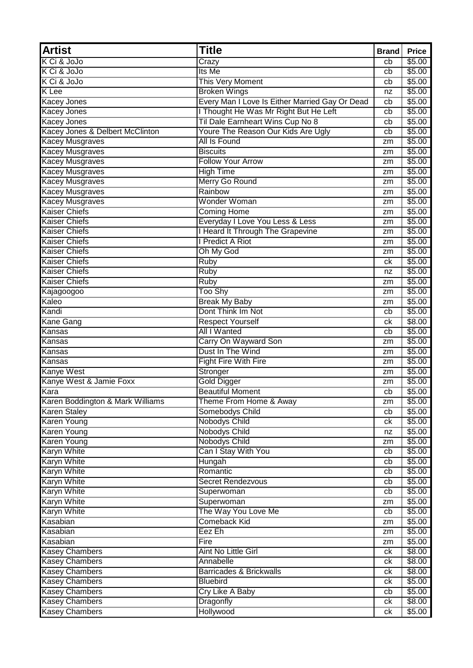| K Ci & JoJo<br>\$5.00<br>Crazy<br>cb<br>K Ci & JoJo<br>Its Me<br>\$5.00<br>cb<br>K Ci & JoJo<br>This Very Moment<br>\$5.00<br>cb<br><b>K</b> Lee<br><b>Broken Wings</b><br>\$5.00<br>nz<br>Every Man I Love Is Either Married Gay Or Dead<br>\$5.00<br><b>Kacey Jones</b><br>cb<br>I Thought He Was Mr Right But He Left<br>\$5.00<br><b>Kacey Jones</b><br>cb<br>Til Dale Earnheart Wins Cup No 8<br>\$5.00<br><b>Kacey Jones</b><br>cb<br>Kacey Jones & Delbert McClinton<br>Youre The Reason Our Kids Are Ugly<br>\$5.00<br>cb<br><b>Kacey Musgraves</b><br>\$5.00<br>All Is Found<br>zm<br><b>Kacey Musgraves</b><br><b>Biscuits</b><br>\$5.00<br>zm<br><b>Kacey Musgraves</b><br><b>Follow Your Arrow</b><br>\$5.00<br>zm<br><b>Kacey Musgraves</b><br><b>High Time</b><br>\$5.00<br>zm<br>Kacey Musgraves<br>Merry Go Round<br>\$5.00<br>zm<br><b>Kacey Musgraves</b><br>Rainbow<br>\$5.00<br>zm<br><b>Kacey Musgraves</b><br>Wonder Woman<br>\$5.00<br>zm<br><b>Kaiser Chiefs</b><br><b>Coming Home</b><br>\$5.00<br>zm<br><b>Kaiser Chiefs</b><br>Everyday I Love You Less & Less<br>\$5.00<br>zm<br>I Heard It Through The Grapevine<br><b>Kaiser Chiefs</b><br>\$5.00<br>zm<br>I Predict A Riot<br><b>Kaiser Chiefs</b><br>\$5.00<br>zm<br><b>Kaiser Chiefs</b><br>Oh My God<br>\$5.00<br>zm<br><b>Kaiser Chiefs</b><br>\$5.00<br><b>Ruby</b><br>ck |
|---------------------------------------------------------------------------------------------------------------------------------------------------------------------------------------------------------------------------------------------------------------------------------------------------------------------------------------------------------------------------------------------------------------------------------------------------------------------------------------------------------------------------------------------------------------------------------------------------------------------------------------------------------------------------------------------------------------------------------------------------------------------------------------------------------------------------------------------------------------------------------------------------------------------------------------------------------------------------------------------------------------------------------------------------------------------------------------------------------------------------------------------------------------------------------------------------------------------------------------------------------------------------------------------------------------------------------------------------------------|
|                                                                                                                                                                                                                                                                                                                                                                                                                                                                                                                                                                                                                                                                                                                                                                                                                                                                                                                                                                                                                                                                                                                                                                                                                                                                                                                                                               |
|                                                                                                                                                                                                                                                                                                                                                                                                                                                                                                                                                                                                                                                                                                                                                                                                                                                                                                                                                                                                                                                                                                                                                                                                                                                                                                                                                               |
|                                                                                                                                                                                                                                                                                                                                                                                                                                                                                                                                                                                                                                                                                                                                                                                                                                                                                                                                                                                                                                                                                                                                                                                                                                                                                                                                                               |
|                                                                                                                                                                                                                                                                                                                                                                                                                                                                                                                                                                                                                                                                                                                                                                                                                                                                                                                                                                                                                                                                                                                                                                                                                                                                                                                                                               |
|                                                                                                                                                                                                                                                                                                                                                                                                                                                                                                                                                                                                                                                                                                                                                                                                                                                                                                                                                                                                                                                                                                                                                                                                                                                                                                                                                               |
|                                                                                                                                                                                                                                                                                                                                                                                                                                                                                                                                                                                                                                                                                                                                                                                                                                                                                                                                                                                                                                                                                                                                                                                                                                                                                                                                                               |
|                                                                                                                                                                                                                                                                                                                                                                                                                                                                                                                                                                                                                                                                                                                                                                                                                                                                                                                                                                                                                                                                                                                                                                                                                                                                                                                                                               |
|                                                                                                                                                                                                                                                                                                                                                                                                                                                                                                                                                                                                                                                                                                                                                                                                                                                                                                                                                                                                                                                                                                                                                                                                                                                                                                                                                               |
|                                                                                                                                                                                                                                                                                                                                                                                                                                                                                                                                                                                                                                                                                                                                                                                                                                                                                                                                                                                                                                                                                                                                                                                                                                                                                                                                                               |
|                                                                                                                                                                                                                                                                                                                                                                                                                                                                                                                                                                                                                                                                                                                                                                                                                                                                                                                                                                                                                                                                                                                                                                                                                                                                                                                                                               |
|                                                                                                                                                                                                                                                                                                                                                                                                                                                                                                                                                                                                                                                                                                                                                                                                                                                                                                                                                                                                                                                                                                                                                                                                                                                                                                                                                               |
|                                                                                                                                                                                                                                                                                                                                                                                                                                                                                                                                                                                                                                                                                                                                                                                                                                                                                                                                                                                                                                                                                                                                                                                                                                                                                                                                                               |
|                                                                                                                                                                                                                                                                                                                                                                                                                                                                                                                                                                                                                                                                                                                                                                                                                                                                                                                                                                                                                                                                                                                                                                                                                                                                                                                                                               |
|                                                                                                                                                                                                                                                                                                                                                                                                                                                                                                                                                                                                                                                                                                                                                                                                                                                                                                                                                                                                                                                                                                                                                                                                                                                                                                                                                               |
|                                                                                                                                                                                                                                                                                                                                                                                                                                                                                                                                                                                                                                                                                                                                                                                                                                                                                                                                                                                                                                                                                                                                                                                                                                                                                                                                                               |
|                                                                                                                                                                                                                                                                                                                                                                                                                                                                                                                                                                                                                                                                                                                                                                                                                                                                                                                                                                                                                                                                                                                                                                                                                                                                                                                                                               |
|                                                                                                                                                                                                                                                                                                                                                                                                                                                                                                                                                                                                                                                                                                                                                                                                                                                                                                                                                                                                                                                                                                                                                                                                                                                                                                                                                               |
|                                                                                                                                                                                                                                                                                                                                                                                                                                                                                                                                                                                                                                                                                                                                                                                                                                                                                                                                                                                                                                                                                                                                                                                                                                                                                                                                                               |
|                                                                                                                                                                                                                                                                                                                                                                                                                                                                                                                                                                                                                                                                                                                                                                                                                                                                                                                                                                                                                                                                                                                                                                                                                                                                                                                                                               |
|                                                                                                                                                                                                                                                                                                                                                                                                                                                                                                                                                                                                                                                                                                                                                                                                                                                                                                                                                                                                                                                                                                                                                                                                                                                                                                                                                               |
|                                                                                                                                                                                                                                                                                                                                                                                                                                                                                                                                                                                                                                                                                                                                                                                                                                                                                                                                                                                                                                                                                                                                                                                                                                                                                                                                                               |
| <b>Kaiser Chiefs</b><br>\$5.00<br><b>Ruby</b><br>nz                                                                                                                                                                                                                                                                                                                                                                                                                                                                                                                                                                                                                                                                                                                                                                                                                                                                                                                                                                                                                                                                                                                                                                                                                                                                                                           |
| <b>Kaiser Chiefs</b><br><b>Ruby</b><br>\$5.00<br>zm                                                                                                                                                                                                                                                                                                                                                                                                                                                                                                                                                                                                                                                                                                                                                                                                                                                                                                                                                                                                                                                                                                                                                                                                                                                                                                           |
| Too Shy<br>\$5.00<br>Kajagoogoo<br>zm                                                                                                                                                                                                                                                                                                                                                                                                                                                                                                                                                                                                                                                                                                                                                                                                                                                                                                                                                                                                                                                                                                                                                                                                                                                                                                                         |
| Kaleo<br><b>Break My Baby</b><br>\$5.00<br>zm                                                                                                                                                                                                                                                                                                                                                                                                                                                                                                                                                                                                                                                                                                                                                                                                                                                                                                                                                                                                                                                                                                                                                                                                                                                                                                                 |
| Dont Think Im Not<br>Kandi<br>\$5.00<br>cb                                                                                                                                                                                                                                                                                                                                                                                                                                                                                                                                                                                                                                                                                                                                                                                                                                                                                                                                                                                                                                                                                                                                                                                                                                                                                                                    |
| <b>Respect Yourself</b><br>\$8.00<br><b>Kane Gang</b><br>сk                                                                                                                                                                                                                                                                                                                                                                                                                                                                                                                                                                                                                                                                                                                                                                                                                                                                                                                                                                                                                                                                                                                                                                                                                                                                                                   |
| All I Wanted<br>\$5.00<br>Kansas<br>cb                                                                                                                                                                                                                                                                                                                                                                                                                                                                                                                                                                                                                                                                                                                                                                                                                                                                                                                                                                                                                                                                                                                                                                                                                                                                                                                        |
| Carry On Wayward Son<br>\$5.00<br>Kansas<br>zm                                                                                                                                                                                                                                                                                                                                                                                                                                                                                                                                                                                                                                                                                                                                                                                                                                                                                                                                                                                                                                                                                                                                                                                                                                                                                                                |
| Dust In The Wind<br>Kansas<br>\$5.00<br>zm                                                                                                                                                                                                                                                                                                                                                                                                                                                                                                                                                                                                                                                                                                                                                                                                                                                                                                                                                                                                                                                                                                                                                                                                                                                                                                                    |
| <b>Fight Fire With Fire</b><br>\$5.00<br>Kansas<br>zm                                                                                                                                                                                                                                                                                                                                                                                                                                                                                                                                                                                                                                                                                                                                                                                                                                                                                                                                                                                                                                                                                                                                                                                                                                                                                                         |
| Kanye West<br>\$5.00<br>Stronger<br>zm                                                                                                                                                                                                                                                                                                                                                                                                                                                                                                                                                                                                                                                                                                                                                                                                                                                                                                                                                                                                                                                                                                                                                                                                                                                                                                                        |
| Kanye West & Jamie Foxx<br><b>Gold Digger</b><br>\$5.00<br>zm                                                                                                                                                                                                                                                                                                                                                                                                                                                                                                                                                                                                                                                                                                                                                                                                                                                                                                                                                                                                                                                                                                                                                                                                                                                                                                 |
| <b>Beautiful Moment</b><br>Kara<br>\$5.00<br>cb                                                                                                                                                                                                                                                                                                                                                                                                                                                                                                                                                                                                                                                                                                                                                                                                                                                                                                                                                                                                                                                                                                                                                                                                                                                                                                               |
| Karen Boddington & Mark Williams<br>Theme From Home & Away<br>\$5.00<br>zm                                                                                                                                                                                                                                                                                                                                                                                                                                                                                                                                                                                                                                                                                                                                                                                                                                                                                                                                                                                                                                                                                                                                                                                                                                                                                    |
| \$5.00<br><b>Karen Staley</b><br>Somebodys Child<br>cb                                                                                                                                                                                                                                                                                                                                                                                                                                                                                                                                                                                                                                                                                                                                                                                                                                                                                                                                                                                                                                                                                                                                                                                                                                                                                                        |
| <b>Nobodys Child</b><br><b>Karen Young</b><br>\$5.00<br>сk                                                                                                                                                                                                                                                                                                                                                                                                                                                                                                                                                                                                                                                                                                                                                                                                                                                                                                                                                                                                                                                                                                                                                                                                                                                                                                    |
| <b>Nobodys Child</b><br><b>Karen Young</b><br>\$5.00<br>nz                                                                                                                                                                                                                                                                                                                                                                                                                                                                                                                                                                                                                                                                                                                                                                                                                                                                                                                                                                                                                                                                                                                                                                                                                                                                                                    |
| <b>Nobodys Child</b><br><b>Karen Young</b><br>\$5.00<br>zm                                                                                                                                                                                                                                                                                                                                                                                                                                                                                                                                                                                                                                                                                                                                                                                                                                                                                                                                                                                                                                                                                                                                                                                                                                                                                                    |
| Can I Stay With You<br>Karyn White<br>\$5.00<br>cb                                                                                                                                                                                                                                                                                                                                                                                                                                                                                                                                                                                                                                                                                                                                                                                                                                                                                                                                                                                                                                                                                                                                                                                                                                                                                                            |
| <b>Karyn White</b><br>\$5.00<br>Hungah<br>cb                                                                                                                                                                                                                                                                                                                                                                                                                                                                                                                                                                                                                                                                                                                                                                                                                                                                                                                                                                                                                                                                                                                                                                                                                                                                                                                  |
| Karyn White<br>Romantic<br>\$5.00<br>cb                                                                                                                                                                                                                                                                                                                                                                                                                                                                                                                                                                                                                                                                                                                                                                                                                                                                                                                                                                                                                                                                                                                                                                                                                                                                                                                       |
| \$5.00<br><b>Karyn White</b><br>Secret Rendezvous<br>cb                                                                                                                                                                                                                                                                                                                                                                                                                                                                                                                                                                                                                                                                                                                                                                                                                                                                                                                                                                                                                                                                                                                                                                                                                                                                                                       |
| <b>Karyn White</b><br>\$5.00<br>Superwoman<br>cb                                                                                                                                                                                                                                                                                                                                                                                                                                                                                                                                                                                                                                                                                                                                                                                                                                                                                                                                                                                                                                                                                                                                                                                                                                                                                                              |
| <b>Karyn White</b><br>\$5.00<br>Superwoman<br>zm                                                                                                                                                                                                                                                                                                                                                                                                                                                                                                                                                                                                                                                                                                                                                                                                                                                                                                                                                                                                                                                                                                                                                                                                                                                                                                              |
| <b>Karyn White</b><br>The Way You Love Me<br>\$5.00<br>cb                                                                                                                                                                                                                                                                                                                                                                                                                                                                                                                                                                                                                                                                                                                                                                                                                                                                                                                                                                                                                                                                                                                                                                                                                                                                                                     |
| Kasabian<br><b>Comeback Kid</b><br>\$5.00<br>zm                                                                                                                                                                                                                                                                                                                                                                                                                                                                                                                                                                                                                                                                                                                                                                                                                                                                                                                                                                                                                                                                                                                                                                                                                                                                                                               |
| Kasabian<br>Eez Eh<br>\$5.00<br>zm                                                                                                                                                                                                                                                                                                                                                                                                                                                                                                                                                                                                                                                                                                                                                                                                                                                                                                                                                                                                                                                                                                                                                                                                                                                                                                                            |
| \$5.00<br>Kasabian<br>Fire<br>zm                                                                                                                                                                                                                                                                                                                                                                                                                                                                                                                                                                                                                                                                                                                                                                                                                                                                                                                                                                                                                                                                                                                                                                                                                                                                                                                              |
| <b>Kasey Chambers</b><br>Aint No Little Girl<br>\$8.00<br>ck                                                                                                                                                                                                                                                                                                                                                                                                                                                                                                                                                                                                                                                                                                                                                                                                                                                                                                                                                                                                                                                                                                                                                                                                                                                                                                  |
| <b>Kasey Chambers</b><br>Annabelle<br>\$8.00<br>сk                                                                                                                                                                                                                                                                                                                                                                                                                                                                                                                                                                                                                                                                                                                                                                                                                                                                                                                                                                                                                                                                                                                                                                                                                                                                                                            |
| <b>Kasey Chambers</b><br><b>Barricades &amp; Brickwalls</b><br>\$8.00<br>сk                                                                                                                                                                                                                                                                                                                                                                                                                                                                                                                                                                                                                                                                                                                                                                                                                                                                                                                                                                                                                                                                                                                                                                                                                                                                                   |
| \$5.00<br><b>Kasey Chambers</b><br><b>Bluebird</b><br>сk                                                                                                                                                                                                                                                                                                                                                                                                                                                                                                                                                                                                                                                                                                                                                                                                                                                                                                                                                                                                                                                                                                                                                                                                                                                                                                      |
| <b>Kasey Chambers</b><br>\$5.00<br>Cry Like A Baby<br>cb                                                                                                                                                                                                                                                                                                                                                                                                                                                                                                                                                                                                                                                                                                                                                                                                                                                                                                                                                                                                                                                                                                                                                                                                                                                                                                      |
| <b>Kasey Chambers</b><br><b>Dragonfly</b><br>\$8.00<br>ck                                                                                                                                                                                                                                                                                                                                                                                                                                                                                                                                                                                                                                                                                                                                                                                                                                                                                                                                                                                                                                                                                                                                                                                                                                                                                                     |
| <b>Kasey Chambers</b><br>Hollywood<br>\$5.00<br>ck                                                                                                                                                                                                                                                                                                                                                                                                                                                                                                                                                                                                                                                                                                                                                                                                                                                                                                                                                                                                                                                                                                                                                                                                                                                                                                            |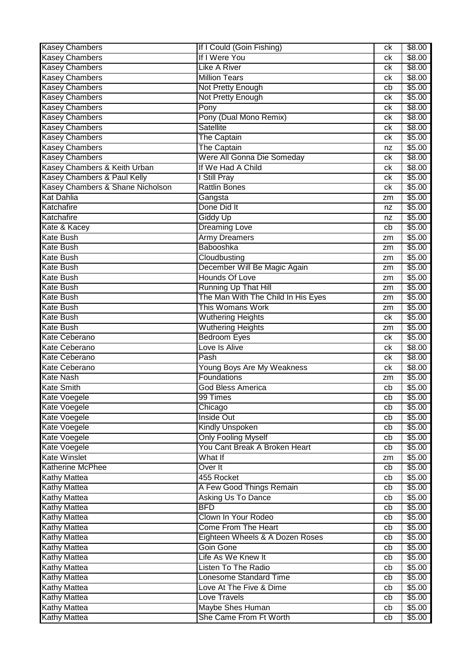| <b>Kasey Chambers</b>            | If I Could (Goin Fishing)          | ck | \$8.00         |
|----------------------------------|------------------------------------|----|----------------|
| <b>Kasey Chambers</b>            | If I Were You                      | ck | \$8.00         |
| <b>Kasey Chambers</b>            | <b>Like A River</b>                | сk | \$8.00         |
| <b>Kasey Chambers</b>            | <b>Million Tears</b>               | ck | \$8.00         |
| <b>Kasey Chambers</b>            | Not Pretty Enough                  | cb | \$5.00         |
| <b>Kasey Chambers</b>            | Not Pretty Enough                  | ck | \$5.00         |
| <b>Kasey Chambers</b>            | Pony                               | ck | \$8.00         |
| <b>Kasey Chambers</b>            | Pony (Dual Mono Remix)             | ck | \$8.00         |
| <b>Kasey Chambers</b>            | <b>Satellite</b>                   | ck | $\sqrt{$8.00}$ |
| <b>Kasey Chambers</b>            | <b>The Captain</b>                 | сk | \$5.00         |
| <b>Kasey Chambers</b>            | <b>The Captain</b>                 | nz | \$5.00         |
| <b>Kasey Chambers</b>            | Were All Gonna Die Someday         | ck | \$8.00         |
| Kasey Chambers & Keith Urban     | If We Had A Child                  | сk | \$8.00         |
| Kasey Chambers & Paul Kelly      | I Still Pray                       | ck | \$5.00         |
| Kasey Chambers & Shane Nicholson | <b>Rattlin Bones</b>               | ck | \$5.00         |
| <b>Kat Dahlia</b>                |                                    |    | \$5.00         |
|                                  | Gangsta                            | zm |                |
| Katchafire                       | Done Did It                        | nz | \$5.00         |
| Katchafire                       | <b>Giddy Up</b>                    | nz | \$5.00         |
| Kate & Kacey                     | <b>Dreaming Love</b>               | cb | \$5.00         |
| <b>Kate Bush</b>                 | <b>Army Dreamers</b>               | zm | \$5.00         |
| <b>Kate Bush</b>                 | Babooshka                          | zm | \$5.00         |
| <b>Kate Bush</b>                 | Cloudbusting                       | zm | \$5.00         |
| <b>Kate Bush</b>                 | December Will Be Magic Again       | zm | \$5.00         |
| <b>Kate Bush</b>                 | <b>Hounds Of Love</b>              | zm | \$5.00         |
| <b>Kate Bush</b>                 | Running Up That Hill               | zm | \$5.00         |
| <b>Kate Bush</b>                 | The Man With The Child In His Eyes | zm | \$5.00         |
| <b>Kate Bush</b>                 | This Womans Work                   | zm | \$5.00         |
| <b>Kate Bush</b>                 | <b>Wuthering Heights</b>           | сk | \$5.00         |
| <b>Kate Bush</b>                 | <b>Wuthering Heights</b>           | zm | \$5.00         |
| <b>Kate Ceberano</b>             | <b>Bedroom Eyes</b>                | ck | \$5.00         |
| Kate Ceberano                    | Love Is Alive                      | ck | \$8.00         |
| <b>Kate Ceberano</b>             | Pash                               | ck | \$8.00         |
| <b>Kate Ceberano</b>             | Young Boys Are My Weakness         | сk | \$8.00         |
| <b>Kate Nash</b>                 | Foundations                        | zm | \$5.00         |
| <b>Kate Smith</b>                | <b>God Bless America</b>           | cb | \$5.00         |
| Kate Voegele                     | 99 Times                           | cb | \$5.00         |
| Kate Voegele                     | Chicago                            | cb | \$5.00         |
| Kate Voegele                     | <b>Inside Out</b>                  | cb | \$5.00         |
| Kate Voegele                     | <b>Kindly Unspoken</b>             | cb | \$5.00         |
| Kate Voegele                     | <b>Only Fooling Myself</b>         | cb | \$5.00         |
| Kate Voegele                     | You Cant Break A Broken Heart      | cb | \$5.00         |
| <b>Kate Winslet</b>              | What If                            | zm | $\sqrt{$5.00}$ |
| Katherine McPhee                 | Over It                            | cb | \$5.00         |
| <b>Kathy Mattea</b>              | 455 Rocket                         | cb | \$5.00         |
| <b>Kathy Mattea</b>              | A Few Good Things Remain           | cb | \$5.00         |
| <b>Kathy Mattea</b>              | Asking Us To Dance                 | cb | \$5.00         |
| <b>Kathy Mattea</b>              | <b>BFD</b>                         | cb | \$5.00         |
| <b>Kathy Mattea</b>              | Clown In Your Rodeo                | cb | \$5.00         |
| <b>Kathy Mattea</b>              | Come From The Heart                | cb | \$5.00         |
| <b>Kathy Mattea</b>              | Eighteen Wheels & A Dozen Roses    | cb | \$5.00         |
| <b>Kathy Mattea</b>              | Goin Gone                          |    | \$5.00         |
|                                  | Life As We Knew It                 | cb |                |
| <b>Kathy Mattea</b>              |                                    | cb | \$5.00         |
| <b>Kathy Mattea</b>              | <b>Listen To The Radio</b>         | cb | \$5.00         |
| <b>Kathy Mattea</b>              | <b>Lonesome Standard Time</b>      | cb | \$5.00         |
| <b>Kathy Mattea</b>              | Love At The Five & Dime            | cb | \$5.00         |
| <b>Kathy Mattea</b>              | <b>Love Travels</b>                | cb | \$5.00         |
| <b>Kathy Mattea</b>              | Maybe Shes Human                   | cb | \$5.00         |
| <b>Kathy Mattea</b>              | She Came From Ft Worth             | cb | \$5.00         |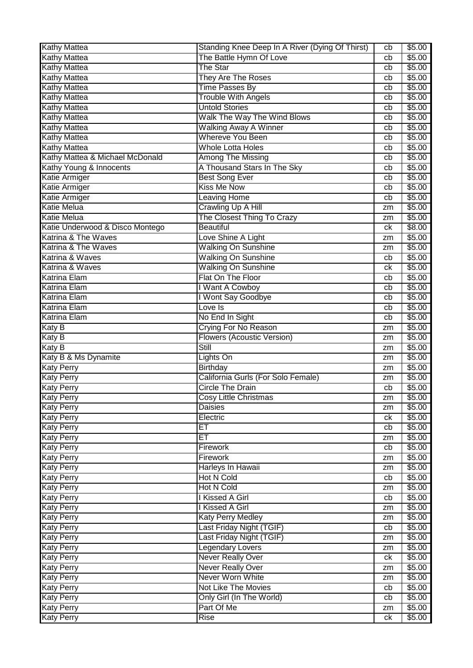| \$5.00<br>cb<br>The Star<br><b>Kathy Mattea</b><br>\$5.00<br>cb<br><b>Kathy Mattea</b><br><b>They Are The Roses</b><br>\$5.00<br>cb<br><b>Kathy Mattea</b><br><b>Time Passes By</b><br>\$5.00<br>cb<br><b>Kathy Mattea</b><br><b>Trouble With Angels</b><br>\$5.00<br>cb<br><b>Kathy Mattea</b><br><b>Untold Stories</b><br>\$5.00<br>cb<br>Walk The Way The Wind Blows<br><b>Kathy Mattea</b><br>\$5.00<br>cb<br><b>Walking Away A Winner</b><br><b>Kathy Mattea</b><br>\$5.00<br>cb<br><b>Whereve You Been</b><br><b>Kathy Mattea</b><br>\$5.00<br>cb<br><b>Whole Lotta Holes</b><br><b>Kathy Mattea</b><br>\$5.00<br>cb<br>Kathy Mattea & Michael McDonald<br>Among The Missing<br>\$5.00<br>cb<br>Kathy Young & Innocents<br>A Thousand Stars In The Sky<br>\$5.00<br>cb<br>Katie Armiger<br><b>Best Song Ever</b><br>\$5.00<br>cb<br><b>Kiss Me Now</b><br>Katie Armiger<br>\$5.00<br>cb<br><b>Leaving Home</b><br>\$5.00<br>Katie Armiger<br>cb<br><b>Katie Melua</b><br>Crawling Up A Hill<br>\$5.00<br>zm<br><b>Katie Melua</b><br>The Closest Thing To Crazy<br>\$5.00<br>zm<br>Katie Underwood & Disco Montego<br><b>Beautiful</b><br>\$8.00<br>сk<br>Katrina & The Waves<br>Love Shine A Light<br>\$5.00<br>zm<br>Katrina & The Waves<br><b>Walking On Sunshine</b><br>\$5.00<br>zm<br><b>Walking On Sunshine</b><br>Katrina & Waves<br>\$5.00<br>cb<br><b>Walking On Sunshine</b><br>Katrina & Waves<br>\$5.00<br>ck<br>Flat On The Floor<br><b>Katrina Elam</b><br>\$5.00<br>cb<br><b>Katrina Elam</b><br>I Want A Cowboy<br>\$5.00<br>cb<br>I Wont Say Goodbye<br><b>Katrina Elam</b><br>\$5.00<br>cb<br><b>Katrina Elam</b><br>Love Is<br>\$5.00<br>cb<br><b>Katrina Elam</b><br>No End In Sight<br>\$5.00<br>cb<br><b>Katy B</b><br><b>Crying For No Reason</b><br>\$5.00<br>zm<br><b>Flowers (Acoustic Version)</b><br><b>Katy B</b><br>\$5.00<br>zm<br><b>Still</b><br>Katy $\overline{B}$<br>\$5.00<br>zm<br>Katy B & Ms Dynamite<br>\$5.00<br>Lights On<br>zm<br><b>Katy Perry</b><br>Birthday<br>\$5.00<br>zm<br><b>Katy Perry</b><br>California Gurls (For Solo Female)<br>\$5.00<br>zm<br><b>Circle The Drain</b><br>\$5.00<br><b>Katy Perry</b><br>cb<br>\$5.00<br>Cosy Little Christmas<br>zm<br><b>Daisies</b><br>\$5.00<br>zm<br>\$5.00<br>Electric<br>ck<br>ET<br>\$5.00<br>cb<br>ЕT<br>\$5.00<br><b>Katy Perry</b><br>zm<br><b>Katy Perry</b><br><b>Firework</b><br>\$5.00<br>cb<br><b>Katy Perry</b><br><b>Firework</b><br>\$5.00<br>zm<br><b>Katy Perry</b><br>Harleys In Hawaii<br>\$5.00<br>zm<br><b>Hot N Cold</b><br>\$5.00<br><b>Katy Perry</b><br>cb<br><b>Hot N Cold</b><br>\$5.00<br><b>Katy Perry</b><br>zm<br>I Kissed A Girl<br>\$5.00<br>cb<br>I Kissed A Girl<br><b>Katy Perry</b><br>\$5.00<br>zm<br><b>Katy Perry Medley</b><br>\$5.00<br><b>Katy Perry</b><br>zm<br>Last Friday Night (TGIF)<br><b>Katy Perry</b><br>\$5.00<br>cb<br>Last Friday Night (TGIF)<br>\$5.00<br><b>Katy Perry</b><br>zm<br><b>Legendary Lovers</b><br><b>Katy Perry</b><br>\$5.00<br>zm<br><b>Never Really Over</b><br><b>Katy Perry</b><br>\$5.00<br>ck<br><b>Never Really Over</b><br>\$5.00<br><b>Katy Perry</b><br>zm<br>Never Worn White<br>\$5.00<br><b>Katy Perry</b><br>zm<br><b>Not Like The Movies</b><br><b>Katy Perry</b><br>\$5.00<br>cb<br>Only Girl (In The World)<br><b>Katy Perry</b><br>\$5.00<br>cb<br><b>Katy Perry</b><br>Part Of Me<br>\$5.00<br>zm<br><b>Katy Perry</b><br>\$5.00<br><b>Rise</b><br>ck | <b>Kathy Mattea</b> | Standing Knee Deep In A River (Dying Of Thirst) | cb | \$5.00 |
|---------------------------------------------------------------------------------------------------------------------------------------------------------------------------------------------------------------------------------------------------------------------------------------------------------------------------------------------------------------------------------------------------------------------------------------------------------------------------------------------------------------------------------------------------------------------------------------------------------------------------------------------------------------------------------------------------------------------------------------------------------------------------------------------------------------------------------------------------------------------------------------------------------------------------------------------------------------------------------------------------------------------------------------------------------------------------------------------------------------------------------------------------------------------------------------------------------------------------------------------------------------------------------------------------------------------------------------------------------------------------------------------------------------------------------------------------------------------------------------------------------------------------------------------------------------------------------------------------------------------------------------------------------------------------------------------------------------------------------------------------------------------------------------------------------------------------------------------------------------------------------------------------------------------------------------------------------------------------------------------------------------------------------------------------------------------------------------------------------------------------------------------------------------------------------------------------------------------------------------------------------------------------------------------------------------------------------------------------------------------------------------------------------------------------------------------------------------------------------------------------------------------------------------------------------------------------------------------------------------------------------------------------------------------------------------------------------------------------------------------------------------------------------------------------------------------------------------------------------------------------------------------------------------------------------------------------------------------------------------------------------------------------------------------------------------------------------------------------------------------------------------------------------------------------------------------------------------------------------------------------------------------------------------------------------------------------------------------------------------------------------------------------------------------------------------------------------|---------------------|-------------------------------------------------|----|--------|
|                                                                                                                                                                                                                                                                                                                                                                                                                                                                                                                                                                                                                                                                                                                                                                                                                                                                                                                                                                                                                                                                                                                                                                                                                                                                                                                                                                                                                                                                                                                                                                                                                                                                                                                                                                                                                                                                                                                                                                                                                                                                                                                                                                                                                                                                                                                                                                                                                                                                                                                                                                                                                                                                                                                                                                                                                                                                                                                                                                                                                                                                                                                                                                                                                                                                                                                                                                                                                                                         | <b>Kathy Mattea</b> | The Battle Hymn Of Love                         |    |        |
|                                                                                                                                                                                                                                                                                                                                                                                                                                                                                                                                                                                                                                                                                                                                                                                                                                                                                                                                                                                                                                                                                                                                                                                                                                                                                                                                                                                                                                                                                                                                                                                                                                                                                                                                                                                                                                                                                                                                                                                                                                                                                                                                                                                                                                                                                                                                                                                                                                                                                                                                                                                                                                                                                                                                                                                                                                                                                                                                                                                                                                                                                                                                                                                                                                                                                                                                                                                                                                                         |                     |                                                 |    |        |
|                                                                                                                                                                                                                                                                                                                                                                                                                                                                                                                                                                                                                                                                                                                                                                                                                                                                                                                                                                                                                                                                                                                                                                                                                                                                                                                                                                                                                                                                                                                                                                                                                                                                                                                                                                                                                                                                                                                                                                                                                                                                                                                                                                                                                                                                                                                                                                                                                                                                                                                                                                                                                                                                                                                                                                                                                                                                                                                                                                                                                                                                                                                                                                                                                                                                                                                                                                                                                                                         |                     |                                                 |    |        |
|                                                                                                                                                                                                                                                                                                                                                                                                                                                                                                                                                                                                                                                                                                                                                                                                                                                                                                                                                                                                                                                                                                                                                                                                                                                                                                                                                                                                                                                                                                                                                                                                                                                                                                                                                                                                                                                                                                                                                                                                                                                                                                                                                                                                                                                                                                                                                                                                                                                                                                                                                                                                                                                                                                                                                                                                                                                                                                                                                                                                                                                                                                                                                                                                                                                                                                                                                                                                                                                         |                     |                                                 |    |        |
|                                                                                                                                                                                                                                                                                                                                                                                                                                                                                                                                                                                                                                                                                                                                                                                                                                                                                                                                                                                                                                                                                                                                                                                                                                                                                                                                                                                                                                                                                                                                                                                                                                                                                                                                                                                                                                                                                                                                                                                                                                                                                                                                                                                                                                                                                                                                                                                                                                                                                                                                                                                                                                                                                                                                                                                                                                                                                                                                                                                                                                                                                                                                                                                                                                                                                                                                                                                                                                                         |                     |                                                 |    |        |
|                                                                                                                                                                                                                                                                                                                                                                                                                                                                                                                                                                                                                                                                                                                                                                                                                                                                                                                                                                                                                                                                                                                                                                                                                                                                                                                                                                                                                                                                                                                                                                                                                                                                                                                                                                                                                                                                                                                                                                                                                                                                                                                                                                                                                                                                                                                                                                                                                                                                                                                                                                                                                                                                                                                                                                                                                                                                                                                                                                                                                                                                                                                                                                                                                                                                                                                                                                                                                                                         |                     |                                                 |    |        |
|                                                                                                                                                                                                                                                                                                                                                                                                                                                                                                                                                                                                                                                                                                                                                                                                                                                                                                                                                                                                                                                                                                                                                                                                                                                                                                                                                                                                                                                                                                                                                                                                                                                                                                                                                                                                                                                                                                                                                                                                                                                                                                                                                                                                                                                                                                                                                                                                                                                                                                                                                                                                                                                                                                                                                                                                                                                                                                                                                                                                                                                                                                                                                                                                                                                                                                                                                                                                                                                         |                     |                                                 |    |        |
|                                                                                                                                                                                                                                                                                                                                                                                                                                                                                                                                                                                                                                                                                                                                                                                                                                                                                                                                                                                                                                                                                                                                                                                                                                                                                                                                                                                                                                                                                                                                                                                                                                                                                                                                                                                                                                                                                                                                                                                                                                                                                                                                                                                                                                                                                                                                                                                                                                                                                                                                                                                                                                                                                                                                                                                                                                                                                                                                                                                                                                                                                                                                                                                                                                                                                                                                                                                                                                                         |                     |                                                 |    |        |
|                                                                                                                                                                                                                                                                                                                                                                                                                                                                                                                                                                                                                                                                                                                                                                                                                                                                                                                                                                                                                                                                                                                                                                                                                                                                                                                                                                                                                                                                                                                                                                                                                                                                                                                                                                                                                                                                                                                                                                                                                                                                                                                                                                                                                                                                                                                                                                                                                                                                                                                                                                                                                                                                                                                                                                                                                                                                                                                                                                                                                                                                                                                                                                                                                                                                                                                                                                                                                                                         |                     |                                                 |    |        |
|                                                                                                                                                                                                                                                                                                                                                                                                                                                                                                                                                                                                                                                                                                                                                                                                                                                                                                                                                                                                                                                                                                                                                                                                                                                                                                                                                                                                                                                                                                                                                                                                                                                                                                                                                                                                                                                                                                                                                                                                                                                                                                                                                                                                                                                                                                                                                                                                                                                                                                                                                                                                                                                                                                                                                                                                                                                                                                                                                                                                                                                                                                                                                                                                                                                                                                                                                                                                                                                         |                     |                                                 |    |        |
|                                                                                                                                                                                                                                                                                                                                                                                                                                                                                                                                                                                                                                                                                                                                                                                                                                                                                                                                                                                                                                                                                                                                                                                                                                                                                                                                                                                                                                                                                                                                                                                                                                                                                                                                                                                                                                                                                                                                                                                                                                                                                                                                                                                                                                                                                                                                                                                                                                                                                                                                                                                                                                                                                                                                                                                                                                                                                                                                                                                                                                                                                                                                                                                                                                                                                                                                                                                                                                                         |                     |                                                 |    |        |
|                                                                                                                                                                                                                                                                                                                                                                                                                                                                                                                                                                                                                                                                                                                                                                                                                                                                                                                                                                                                                                                                                                                                                                                                                                                                                                                                                                                                                                                                                                                                                                                                                                                                                                                                                                                                                                                                                                                                                                                                                                                                                                                                                                                                                                                                                                                                                                                                                                                                                                                                                                                                                                                                                                                                                                                                                                                                                                                                                                                                                                                                                                                                                                                                                                                                                                                                                                                                                                                         |                     |                                                 |    |        |
|                                                                                                                                                                                                                                                                                                                                                                                                                                                                                                                                                                                                                                                                                                                                                                                                                                                                                                                                                                                                                                                                                                                                                                                                                                                                                                                                                                                                                                                                                                                                                                                                                                                                                                                                                                                                                                                                                                                                                                                                                                                                                                                                                                                                                                                                                                                                                                                                                                                                                                                                                                                                                                                                                                                                                                                                                                                                                                                                                                                                                                                                                                                                                                                                                                                                                                                                                                                                                                                         |                     |                                                 |    |        |
|                                                                                                                                                                                                                                                                                                                                                                                                                                                                                                                                                                                                                                                                                                                                                                                                                                                                                                                                                                                                                                                                                                                                                                                                                                                                                                                                                                                                                                                                                                                                                                                                                                                                                                                                                                                                                                                                                                                                                                                                                                                                                                                                                                                                                                                                                                                                                                                                                                                                                                                                                                                                                                                                                                                                                                                                                                                                                                                                                                                                                                                                                                                                                                                                                                                                                                                                                                                                                                                         |                     |                                                 |    |        |
|                                                                                                                                                                                                                                                                                                                                                                                                                                                                                                                                                                                                                                                                                                                                                                                                                                                                                                                                                                                                                                                                                                                                                                                                                                                                                                                                                                                                                                                                                                                                                                                                                                                                                                                                                                                                                                                                                                                                                                                                                                                                                                                                                                                                                                                                                                                                                                                                                                                                                                                                                                                                                                                                                                                                                                                                                                                                                                                                                                                                                                                                                                                                                                                                                                                                                                                                                                                                                                                         |                     |                                                 |    |        |
|                                                                                                                                                                                                                                                                                                                                                                                                                                                                                                                                                                                                                                                                                                                                                                                                                                                                                                                                                                                                                                                                                                                                                                                                                                                                                                                                                                                                                                                                                                                                                                                                                                                                                                                                                                                                                                                                                                                                                                                                                                                                                                                                                                                                                                                                                                                                                                                                                                                                                                                                                                                                                                                                                                                                                                                                                                                                                                                                                                                                                                                                                                                                                                                                                                                                                                                                                                                                                                                         |                     |                                                 |    |        |
|                                                                                                                                                                                                                                                                                                                                                                                                                                                                                                                                                                                                                                                                                                                                                                                                                                                                                                                                                                                                                                                                                                                                                                                                                                                                                                                                                                                                                                                                                                                                                                                                                                                                                                                                                                                                                                                                                                                                                                                                                                                                                                                                                                                                                                                                                                                                                                                                                                                                                                                                                                                                                                                                                                                                                                                                                                                                                                                                                                                                                                                                                                                                                                                                                                                                                                                                                                                                                                                         |                     |                                                 |    |        |
|                                                                                                                                                                                                                                                                                                                                                                                                                                                                                                                                                                                                                                                                                                                                                                                                                                                                                                                                                                                                                                                                                                                                                                                                                                                                                                                                                                                                                                                                                                                                                                                                                                                                                                                                                                                                                                                                                                                                                                                                                                                                                                                                                                                                                                                                                                                                                                                                                                                                                                                                                                                                                                                                                                                                                                                                                                                                                                                                                                                                                                                                                                                                                                                                                                                                                                                                                                                                                                                         |                     |                                                 |    |        |
|                                                                                                                                                                                                                                                                                                                                                                                                                                                                                                                                                                                                                                                                                                                                                                                                                                                                                                                                                                                                                                                                                                                                                                                                                                                                                                                                                                                                                                                                                                                                                                                                                                                                                                                                                                                                                                                                                                                                                                                                                                                                                                                                                                                                                                                                                                                                                                                                                                                                                                                                                                                                                                                                                                                                                                                                                                                                                                                                                                                                                                                                                                                                                                                                                                                                                                                                                                                                                                                         |                     |                                                 |    |        |
|                                                                                                                                                                                                                                                                                                                                                                                                                                                                                                                                                                                                                                                                                                                                                                                                                                                                                                                                                                                                                                                                                                                                                                                                                                                                                                                                                                                                                                                                                                                                                                                                                                                                                                                                                                                                                                                                                                                                                                                                                                                                                                                                                                                                                                                                                                                                                                                                                                                                                                                                                                                                                                                                                                                                                                                                                                                                                                                                                                                                                                                                                                                                                                                                                                                                                                                                                                                                                                                         |                     |                                                 |    |        |
|                                                                                                                                                                                                                                                                                                                                                                                                                                                                                                                                                                                                                                                                                                                                                                                                                                                                                                                                                                                                                                                                                                                                                                                                                                                                                                                                                                                                                                                                                                                                                                                                                                                                                                                                                                                                                                                                                                                                                                                                                                                                                                                                                                                                                                                                                                                                                                                                                                                                                                                                                                                                                                                                                                                                                                                                                                                                                                                                                                                                                                                                                                                                                                                                                                                                                                                                                                                                                                                         |                     |                                                 |    |        |
|                                                                                                                                                                                                                                                                                                                                                                                                                                                                                                                                                                                                                                                                                                                                                                                                                                                                                                                                                                                                                                                                                                                                                                                                                                                                                                                                                                                                                                                                                                                                                                                                                                                                                                                                                                                                                                                                                                                                                                                                                                                                                                                                                                                                                                                                                                                                                                                                                                                                                                                                                                                                                                                                                                                                                                                                                                                                                                                                                                                                                                                                                                                                                                                                                                                                                                                                                                                                                                                         |                     |                                                 |    |        |
|                                                                                                                                                                                                                                                                                                                                                                                                                                                                                                                                                                                                                                                                                                                                                                                                                                                                                                                                                                                                                                                                                                                                                                                                                                                                                                                                                                                                                                                                                                                                                                                                                                                                                                                                                                                                                                                                                                                                                                                                                                                                                                                                                                                                                                                                                                                                                                                                                                                                                                                                                                                                                                                                                                                                                                                                                                                                                                                                                                                                                                                                                                                                                                                                                                                                                                                                                                                                                                                         |                     |                                                 |    |        |
|                                                                                                                                                                                                                                                                                                                                                                                                                                                                                                                                                                                                                                                                                                                                                                                                                                                                                                                                                                                                                                                                                                                                                                                                                                                                                                                                                                                                                                                                                                                                                                                                                                                                                                                                                                                                                                                                                                                                                                                                                                                                                                                                                                                                                                                                                                                                                                                                                                                                                                                                                                                                                                                                                                                                                                                                                                                                                                                                                                                                                                                                                                                                                                                                                                                                                                                                                                                                                                                         |                     |                                                 |    |        |
|                                                                                                                                                                                                                                                                                                                                                                                                                                                                                                                                                                                                                                                                                                                                                                                                                                                                                                                                                                                                                                                                                                                                                                                                                                                                                                                                                                                                                                                                                                                                                                                                                                                                                                                                                                                                                                                                                                                                                                                                                                                                                                                                                                                                                                                                                                                                                                                                                                                                                                                                                                                                                                                                                                                                                                                                                                                                                                                                                                                                                                                                                                                                                                                                                                                                                                                                                                                                                                                         |                     |                                                 |    |        |
|                                                                                                                                                                                                                                                                                                                                                                                                                                                                                                                                                                                                                                                                                                                                                                                                                                                                                                                                                                                                                                                                                                                                                                                                                                                                                                                                                                                                                                                                                                                                                                                                                                                                                                                                                                                                                                                                                                                                                                                                                                                                                                                                                                                                                                                                                                                                                                                                                                                                                                                                                                                                                                                                                                                                                                                                                                                                                                                                                                                                                                                                                                                                                                                                                                                                                                                                                                                                                                                         |                     |                                                 |    |        |
|                                                                                                                                                                                                                                                                                                                                                                                                                                                                                                                                                                                                                                                                                                                                                                                                                                                                                                                                                                                                                                                                                                                                                                                                                                                                                                                                                                                                                                                                                                                                                                                                                                                                                                                                                                                                                                                                                                                                                                                                                                                                                                                                                                                                                                                                                                                                                                                                                                                                                                                                                                                                                                                                                                                                                                                                                                                                                                                                                                                                                                                                                                                                                                                                                                                                                                                                                                                                                                                         |                     |                                                 |    |        |
|                                                                                                                                                                                                                                                                                                                                                                                                                                                                                                                                                                                                                                                                                                                                                                                                                                                                                                                                                                                                                                                                                                                                                                                                                                                                                                                                                                                                                                                                                                                                                                                                                                                                                                                                                                                                                                                                                                                                                                                                                                                                                                                                                                                                                                                                                                                                                                                                                                                                                                                                                                                                                                                                                                                                                                                                                                                                                                                                                                                                                                                                                                                                                                                                                                                                                                                                                                                                                                                         |                     |                                                 |    |        |
|                                                                                                                                                                                                                                                                                                                                                                                                                                                                                                                                                                                                                                                                                                                                                                                                                                                                                                                                                                                                                                                                                                                                                                                                                                                                                                                                                                                                                                                                                                                                                                                                                                                                                                                                                                                                                                                                                                                                                                                                                                                                                                                                                                                                                                                                                                                                                                                                                                                                                                                                                                                                                                                                                                                                                                                                                                                                                                                                                                                                                                                                                                                                                                                                                                                                                                                                                                                                                                                         |                     |                                                 |    |        |
|                                                                                                                                                                                                                                                                                                                                                                                                                                                                                                                                                                                                                                                                                                                                                                                                                                                                                                                                                                                                                                                                                                                                                                                                                                                                                                                                                                                                                                                                                                                                                                                                                                                                                                                                                                                                                                                                                                                                                                                                                                                                                                                                                                                                                                                                                                                                                                                                                                                                                                                                                                                                                                                                                                                                                                                                                                                                                                                                                                                                                                                                                                                                                                                                                                                                                                                                                                                                                                                         |                     |                                                 |    |        |
|                                                                                                                                                                                                                                                                                                                                                                                                                                                                                                                                                                                                                                                                                                                                                                                                                                                                                                                                                                                                                                                                                                                                                                                                                                                                                                                                                                                                                                                                                                                                                                                                                                                                                                                                                                                                                                                                                                                                                                                                                                                                                                                                                                                                                                                                                                                                                                                                                                                                                                                                                                                                                                                                                                                                                                                                                                                                                                                                                                                                                                                                                                                                                                                                                                                                                                                                                                                                                                                         |                     |                                                 |    |        |
|                                                                                                                                                                                                                                                                                                                                                                                                                                                                                                                                                                                                                                                                                                                                                                                                                                                                                                                                                                                                                                                                                                                                                                                                                                                                                                                                                                                                                                                                                                                                                                                                                                                                                                                                                                                                                                                                                                                                                                                                                                                                                                                                                                                                                                                                                                                                                                                                                                                                                                                                                                                                                                                                                                                                                                                                                                                                                                                                                                                                                                                                                                                                                                                                                                                                                                                                                                                                                                                         |                     |                                                 |    |        |
|                                                                                                                                                                                                                                                                                                                                                                                                                                                                                                                                                                                                                                                                                                                                                                                                                                                                                                                                                                                                                                                                                                                                                                                                                                                                                                                                                                                                                                                                                                                                                                                                                                                                                                                                                                                                                                                                                                                                                                                                                                                                                                                                                                                                                                                                                                                                                                                                                                                                                                                                                                                                                                                                                                                                                                                                                                                                                                                                                                                                                                                                                                                                                                                                                                                                                                                                                                                                                                                         |                     |                                                 |    |        |
|                                                                                                                                                                                                                                                                                                                                                                                                                                                                                                                                                                                                                                                                                                                                                                                                                                                                                                                                                                                                                                                                                                                                                                                                                                                                                                                                                                                                                                                                                                                                                                                                                                                                                                                                                                                                                                                                                                                                                                                                                                                                                                                                                                                                                                                                                                                                                                                                                                                                                                                                                                                                                                                                                                                                                                                                                                                                                                                                                                                                                                                                                                                                                                                                                                                                                                                                                                                                                                                         |                     |                                                 |    |        |
|                                                                                                                                                                                                                                                                                                                                                                                                                                                                                                                                                                                                                                                                                                                                                                                                                                                                                                                                                                                                                                                                                                                                                                                                                                                                                                                                                                                                                                                                                                                                                                                                                                                                                                                                                                                                                                                                                                                                                                                                                                                                                                                                                                                                                                                                                                                                                                                                                                                                                                                                                                                                                                                                                                                                                                                                                                                                                                                                                                                                                                                                                                                                                                                                                                                                                                                                                                                                                                                         |                     |                                                 |    |        |
|                                                                                                                                                                                                                                                                                                                                                                                                                                                                                                                                                                                                                                                                                                                                                                                                                                                                                                                                                                                                                                                                                                                                                                                                                                                                                                                                                                                                                                                                                                                                                                                                                                                                                                                                                                                                                                                                                                                                                                                                                                                                                                                                                                                                                                                                                                                                                                                                                                                                                                                                                                                                                                                                                                                                                                                                                                                                                                                                                                                                                                                                                                                                                                                                                                                                                                                                                                                                                                                         | <b>Katy Perry</b>   |                                                 |    |        |
|                                                                                                                                                                                                                                                                                                                                                                                                                                                                                                                                                                                                                                                                                                                                                                                                                                                                                                                                                                                                                                                                                                                                                                                                                                                                                                                                                                                                                                                                                                                                                                                                                                                                                                                                                                                                                                                                                                                                                                                                                                                                                                                                                                                                                                                                                                                                                                                                                                                                                                                                                                                                                                                                                                                                                                                                                                                                                                                                                                                                                                                                                                                                                                                                                                                                                                                                                                                                                                                         | <b>Katy Perry</b>   |                                                 |    |        |
|                                                                                                                                                                                                                                                                                                                                                                                                                                                                                                                                                                                                                                                                                                                                                                                                                                                                                                                                                                                                                                                                                                                                                                                                                                                                                                                                                                                                                                                                                                                                                                                                                                                                                                                                                                                                                                                                                                                                                                                                                                                                                                                                                                                                                                                                                                                                                                                                                                                                                                                                                                                                                                                                                                                                                                                                                                                                                                                                                                                                                                                                                                                                                                                                                                                                                                                                                                                                                                                         | <b>Katy Perry</b>   |                                                 |    |        |
|                                                                                                                                                                                                                                                                                                                                                                                                                                                                                                                                                                                                                                                                                                                                                                                                                                                                                                                                                                                                                                                                                                                                                                                                                                                                                                                                                                                                                                                                                                                                                                                                                                                                                                                                                                                                                                                                                                                                                                                                                                                                                                                                                                                                                                                                                                                                                                                                                                                                                                                                                                                                                                                                                                                                                                                                                                                                                                                                                                                                                                                                                                                                                                                                                                                                                                                                                                                                                                                         | <b>Katy Perry</b>   |                                                 |    |        |
|                                                                                                                                                                                                                                                                                                                                                                                                                                                                                                                                                                                                                                                                                                                                                                                                                                                                                                                                                                                                                                                                                                                                                                                                                                                                                                                                                                                                                                                                                                                                                                                                                                                                                                                                                                                                                                                                                                                                                                                                                                                                                                                                                                                                                                                                                                                                                                                                                                                                                                                                                                                                                                                                                                                                                                                                                                                                                                                                                                                                                                                                                                                                                                                                                                                                                                                                                                                                                                                         |                     |                                                 |    |        |
|                                                                                                                                                                                                                                                                                                                                                                                                                                                                                                                                                                                                                                                                                                                                                                                                                                                                                                                                                                                                                                                                                                                                                                                                                                                                                                                                                                                                                                                                                                                                                                                                                                                                                                                                                                                                                                                                                                                                                                                                                                                                                                                                                                                                                                                                                                                                                                                                                                                                                                                                                                                                                                                                                                                                                                                                                                                                                                                                                                                                                                                                                                                                                                                                                                                                                                                                                                                                                                                         |                     |                                                 |    |        |
|                                                                                                                                                                                                                                                                                                                                                                                                                                                                                                                                                                                                                                                                                                                                                                                                                                                                                                                                                                                                                                                                                                                                                                                                                                                                                                                                                                                                                                                                                                                                                                                                                                                                                                                                                                                                                                                                                                                                                                                                                                                                                                                                                                                                                                                                                                                                                                                                                                                                                                                                                                                                                                                                                                                                                                                                                                                                                                                                                                                                                                                                                                                                                                                                                                                                                                                                                                                                                                                         |                     |                                                 |    |        |
|                                                                                                                                                                                                                                                                                                                                                                                                                                                                                                                                                                                                                                                                                                                                                                                                                                                                                                                                                                                                                                                                                                                                                                                                                                                                                                                                                                                                                                                                                                                                                                                                                                                                                                                                                                                                                                                                                                                                                                                                                                                                                                                                                                                                                                                                                                                                                                                                                                                                                                                                                                                                                                                                                                                                                                                                                                                                                                                                                                                                                                                                                                                                                                                                                                                                                                                                                                                                                                                         |                     |                                                 |    |        |
|                                                                                                                                                                                                                                                                                                                                                                                                                                                                                                                                                                                                                                                                                                                                                                                                                                                                                                                                                                                                                                                                                                                                                                                                                                                                                                                                                                                                                                                                                                                                                                                                                                                                                                                                                                                                                                                                                                                                                                                                                                                                                                                                                                                                                                                                                                                                                                                                                                                                                                                                                                                                                                                                                                                                                                                                                                                                                                                                                                                                                                                                                                                                                                                                                                                                                                                                                                                                                                                         |                     |                                                 |    |        |
|                                                                                                                                                                                                                                                                                                                                                                                                                                                                                                                                                                                                                                                                                                                                                                                                                                                                                                                                                                                                                                                                                                                                                                                                                                                                                                                                                                                                                                                                                                                                                                                                                                                                                                                                                                                                                                                                                                                                                                                                                                                                                                                                                                                                                                                                                                                                                                                                                                                                                                                                                                                                                                                                                                                                                                                                                                                                                                                                                                                                                                                                                                                                                                                                                                                                                                                                                                                                                                                         |                     |                                                 |    |        |
|                                                                                                                                                                                                                                                                                                                                                                                                                                                                                                                                                                                                                                                                                                                                                                                                                                                                                                                                                                                                                                                                                                                                                                                                                                                                                                                                                                                                                                                                                                                                                                                                                                                                                                                                                                                                                                                                                                                                                                                                                                                                                                                                                                                                                                                                                                                                                                                                                                                                                                                                                                                                                                                                                                                                                                                                                                                                                                                                                                                                                                                                                                                                                                                                                                                                                                                                                                                                                                                         | <b>Katy Perry</b>   |                                                 |    |        |
|                                                                                                                                                                                                                                                                                                                                                                                                                                                                                                                                                                                                                                                                                                                                                                                                                                                                                                                                                                                                                                                                                                                                                                                                                                                                                                                                                                                                                                                                                                                                                                                                                                                                                                                                                                                                                                                                                                                                                                                                                                                                                                                                                                                                                                                                                                                                                                                                                                                                                                                                                                                                                                                                                                                                                                                                                                                                                                                                                                                                                                                                                                                                                                                                                                                                                                                                                                                                                                                         |                     |                                                 |    |        |
|                                                                                                                                                                                                                                                                                                                                                                                                                                                                                                                                                                                                                                                                                                                                                                                                                                                                                                                                                                                                                                                                                                                                                                                                                                                                                                                                                                                                                                                                                                                                                                                                                                                                                                                                                                                                                                                                                                                                                                                                                                                                                                                                                                                                                                                                                                                                                                                                                                                                                                                                                                                                                                                                                                                                                                                                                                                                                                                                                                                                                                                                                                                                                                                                                                                                                                                                                                                                                                                         |                     |                                                 |    |        |
|                                                                                                                                                                                                                                                                                                                                                                                                                                                                                                                                                                                                                                                                                                                                                                                                                                                                                                                                                                                                                                                                                                                                                                                                                                                                                                                                                                                                                                                                                                                                                                                                                                                                                                                                                                                                                                                                                                                                                                                                                                                                                                                                                                                                                                                                                                                                                                                                                                                                                                                                                                                                                                                                                                                                                                                                                                                                                                                                                                                                                                                                                                                                                                                                                                                                                                                                                                                                                                                         |                     |                                                 |    |        |
|                                                                                                                                                                                                                                                                                                                                                                                                                                                                                                                                                                                                                                                                                                                                                                                                                                                                                                                                                                                                                                                                                                                                                                                                                                                                                                                                                                                                                                                                                                                                                                                                                                                                                                                                                                                                                                                                                                                                                                                                                                                                                                                                                                                                                                                                                                                                                                                                                                                                                                                                                                                                                                                                                                                                                                                                                                                                                                                                                                                                                                                                                                                                                                                                                                                                                                                                                                                                                                                         |                     |                                                 |    |        |
|                                                                                                                                                                                                                                                                                                                                                                                                                                                                                                                                                                                                                                                                                                                                                                                                                                                                                                                                                                                                                                                                                                                                                                                                                                                                                                                                                                                                                                                                                                                                                                                                                                                                                                                                                                                                                                                                                                                                                                                                                                                                                                                                                                                                                                                                                                                                                                                                                                                                                                                                                                                                                                                                                                                                                                                                                                                                                                                                                                                                                                                                                                                                                                                                                                                                                                                                                                                                                                                         |                     |                                                 |    |        |
|                                                                                                                                                                                                                                                                                                                                                                                                                                                                                                                                                                                                                                                                                                                                                                                                                                                                                                                                                                                                                                                                                                                                                                                                                                                                                                                                                                                                                                                                                                                                                                                                                                                                                                                                                                                                                                                                                                                                                                                                                                                                                                                                                                                                                                                                                                                                                                                                                                                                                                                                                                                                                                                                                                                                                                                                                                                                                                                                                                                                                                                                                                                                                                                                                                                                                                                                                                                                                                                         |                     |                                                 |    |        |
|                                                                                                                                                                                                                                                                                                                                                                                                                                                                                                                                                                                                                                                                                                                                                                                                                                                                                                                                                                                                                                                                                                                                                                                                                                                                                                                                                                                                                                                                                                                                                                                                                                                                                                                                                                                                                                                                                                                                                                                                                                                                                                                                                                                                                                                                                                                                                                                                                                                                                                                                                                                                                                                                                                                                                                                                                                                                                                                                                                                                                                                                                                                                                                                                                                                                                                                                                                                                                                                         |                     |                                                 |    |        |
|                                                                                                                                                                                                                                                                                                                                                                                                                                                                                                                                                                                                                                                                                                                                                                                                                                                                                                                                                                                                                                                                                                                                                                                                                                                                                                                                                                                                                                                                                                                                                                                                                                                                                                                                                                                                                                                                                                                                                                                                                                                                                                                                                                                                                                                                                                                                                                                                                                                                                                                                                                                                                                                                                                                                                                                                                                                                                                                                                                                                                                                                                                                                                                                                                                                                                                                                                                                                                                                         |                     |                                                 |    |        |
|                                                                                                                                                                                                                                                                                                                                                                                                                                                                                                                                                                                                                                                                                                                                                                                                                                                                                                                                                                                                                                                                                                                                                                                                                                                                                                                                                                                                                                                                                                                                                                                                                                                                                                                                                                                                                                                                                                                                                                                                                                                                                                                                                                                                                                                                                                                                                                                                                                                                                                                                                                                                                                                                                                                                                                                                                                                                                                                                                                                                                                                                                                                                                                                                                                                                                                                                                                                                                                                         |                     |                                                 |    |        |
|                                                                                                                                                                                                                                                                                                                                                                                                                                                                                                                                                                                                                                                                                                                                                                                                                                                                                                                                                                                                                                                                                                                                                                                                                                                                                                                                                                                                                                                                                                                                                                                                                                                                                                                                                                                                                                                                                                                                                                                                                                                                                                                                                                                                                                                                                                                                                                                                                                                                                                                                                                                                                                                                                                                                                                                                                                                                                                                                                                                                                                                                                                                                                                                                                                                                                                                                                                                                                                                         |                     |                                                 |    |        |
|                                                                                                                                                                                                                                                                                                                                                                                                                                                                                                                                                                                                                                                                                                                                                                                                                                                                                                                                                                                                                                                                                                                                                                                                                                                                                                                                                                                                                                                                                                                                                                                                                                                                                                                                                                                                                                                                                                                                                                                                                                                                                                                                                                                                                                                                                                                                                                                                                                                                                                                                                                                                                                                                                                                                                                                                                                                                                                                                                                                                                                                                                                                                                                                                                                                                                                                                                                                                                                                         |                     |                                                 |    |        |
|                                                                                                                                                                                                                                                                                                                                                                                                                                                                                                                                                                                                                                                                                                                                                                                                                                                                                                                                                                                                                                                                                                                                                                                                                                                                                                                                                                                                                                                                                                                                                                                                                                                                                                                                                                                                                                                                                                                                                                                                                                                                                                                                                                                                                                                                                                                                                                                                                                                                                                                                                                                                                                                                                                                                                                                                                                                                                                                                                                                                                                                                                                                                                                                                                                                                                                                                                                                                                                                         |                     |                                                 |    |        |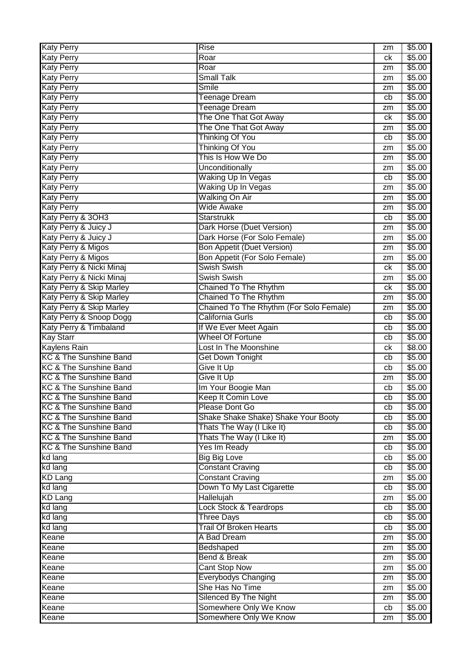| <b>Katy Perry</b>                 | <b>Rise</b>                             | zm | \$5.00             |
|-----------------------------------|-----------------------------------------|----|--------------------|
| <b>Katy Perry</b>                 | Roar                                    | сk | \$5.00             |
| <b>Katy Perry</b>                 | Roar                                    | zm | \$5.00             |
| <b>Katy Perry</b>                 | <b>Small Talk</b>                       | zm | \$5.00             |
| <b>Katy Perry</b>                 | <b>Smile</b>                            | zm | \$5.00             |
| <b>Katy Perry</b>                 | <b>Teenage Dream</b>                    | cb | \$5.00             |
| <b>Katy Perry</b>                 | Teenage Dream                           | zm | \$5.00             |
| <b>Katy Perry</b>                 | The One That Got Away                   | ck | \$5.00             |
| <b>Katy Perry</b>                 | The One That Got Away                   | zm | \$5.00             |
| <b>Katy Perry</b>                 | <b>Thinking Of You</b>                  | cb | \$5.00             |
| <b>Katy Perry</b>                 | <b>Thinking Of You</b>                  | zm | \$5.00             |
| <b>Katy Perry</b>                 | This Is How We Do                       | zm | \$5.00             |
| <b>Katy Perry</b>                 | Unconditionally                         | zm | \$5.00             |
| <b>Katy Perry</b>                 | Waking Up In Vegas                      | cb | \$5.00             |
| <b>Katy Perry</b>                 | Waking Up In Vegas                      | zm | \$5.00             |
| <b>Katy Perry</b>                 | <b>Walking On Air</b>                   | zm | \$5.00             |
| <b>Katy Perry</b>                 | <b>Wide Awake</b>                       | zm | \$5.00             |
| Katy Perry & 3OH3                 | <b>Starstrukk</b>                       | cb | \$5.00             |
| Katy Perry & Juicy J              | Dark Horse (Duet Version)               | zm | \$5.00             |
| Katy Perry & Juicy J              | Dark Horse (For Solo Female)            | zm | \$5.00             |
| Katy Perry & Migos                | <b>Bon Appetit (Duet Version)</b>       | zm | \$5.00             |
| Katy Perry & Migos                | Bon Appetit (For Solo Female)           | zm | \$5.00             |
| Katy Perry & Nicki Minaj          | <b>Swish Swish</b>                      | ck | \$5.00             |
| Katy Perry & Nicki Minaj          | <b>Swish Swish</b>                      | zm | \$5.00             |
| Katy Perry & Skip Marley          | Chained To The Rhythm                   | ck | \$5.00             |
| Katy Perry & Skip Marley          | Chained To The Rhythm                   | zm | \$5.00             |
| Katy Perry & Skip Marley          | Chained To The Rhythm (For Solo Female) | zm | \$5.00             |
| Katy Perry & Snoop Dogg           | California Gurls                        | cb | \$5.00             |
| Katy Perry & Timbaland            | If We Ever Meet Again                   | cb | \$5.00             |
| <b>Kay Starr</b>                  | <b>Wheel Of Fortune</b>                 | cb | $\overline{$}5.00$ |
| <b>Kaylens Rain</b>               | Lost In The Moonshine                   | ck | \$8.00             |
| <b>KC &amp; The Sunshine Band</b> | <b>Get Down Tonight</b>                 | cb | \$5.00             |
| <b>KC &amp; The Sunshine Band</b> | Give It Up                              | cb | \$5.00             |
| <b>KC &amp; The Sunshine Band</b> | Give It Up                              | zm | \$5.00             |
| KC & The Sunshine Band            | Im Your Boogie Man                      | cb | \$5.00             |
| <b>KC &amp; The Sunshine Band</b> | Keep It Comin Love                      | cb | \$5.00             |
| <b>KC &amp; The Sunshine Band</b> | Please Dont Go                          | cb | \$5.00             |
| <b>KC &amp; The Sunshine Band</b> | Shake Shake Shake) Shake Your Booty     | cb | \$5.00             |
| <b>KC &amp; The Sunshine Band</b> | Thats The Way (I Like It)               | cb | \$5.00             |
| <b>KC &amp; The Sunshine Band</b> | Thats The Way (I Like It)               | zm | $\overline{$}5.00$ |
| KC & The Sunshine Band            | Yes Im Ready                            | cb | \$5.00             |
| kd lang                           | <b>Big Big Love</b>                     | cb | \$5.00             |
| kd lang                           | <b>Constant Craving</b>                 | cb | \$5.00             |
| <b>KD Lang</b>                    | <b>Constant Craving</b>                 | zm | \$5.00             |
| kd lang                           | Down To My Last Cigarette               | cb | \$5.00             |
| <b>KD Lang</b>                    | Hallelujah                              | zm | \$5.00             |
| kd lang                           | <b>Lock Stock &amp; Teardrops</b>       | cb | \$5.00             |
| kd lang                           | <b>Three Days</b>                       | cb | \$5.00             |
| kd lang                           | <b>Trail Of Broken Hearts</b>           | cb | \$5.00             |
| Keane                             | A Bad Dream                             | zm | $\sqrt{$5.00}$     |
| Keane                             | Bedshaped                               | zm | \$5.00             |
| Keane                             | Bend & Break                            | zm | \$5.00             |
| Keane                             | <b>Cant Stop Now</b>                    | zm | \$5.00             |
|                                   |                                         |    |                    |
|                                   |                                         | zm |                    |
| Keane                             | Everybodys Changing<br>She Has No Time  | zm | \$5.00             |
| Keane                             | Silenced By The Night                   | zm | \$5.00<br>\$5.00   |
| Keane<br>Keane                    | Somewhere Only We Know                  | cb | \$5.00             |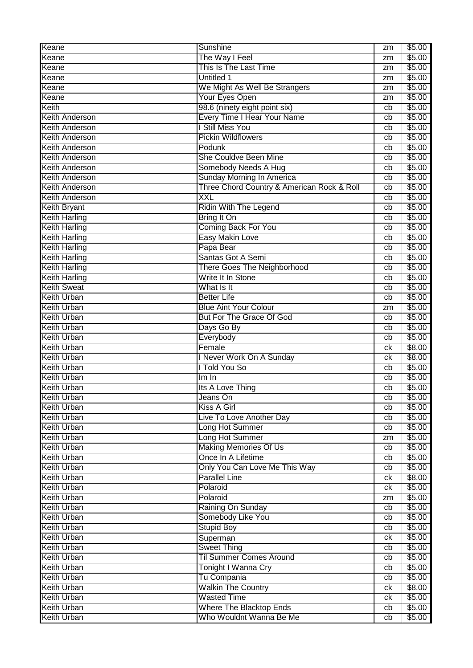| Keane                                    | Sunshine                                        | zm | \$5.00           |
|------------------------------------------|-------------------------------------------------|----|------------------|
| Keane                                    | The Way I Feel                                  | zm | \$5.00           |
| Keane                                    | This Is The Last Time                           | zm | \$5.00           |
| Keane                                    | <b>Untitled 1</b>                               | zm | \$5.00           |
| Keane                                    | We Might As Well Be Strangers                   | zm | \$5.00           |
| Keane                                    | Your Eyes Open                                  | zm | \$5.00           |
| Keith                                    | 98.6 (ninety eight point six)                   | cb | \$5.00           |
| <b>Keith Anderson</b>                    | Every Time I Hear Your Name                     | cb | \$5.00           |
| <b>Keith Anderson</b>                    | I Still Miss You                                | cb | \$5.00           |
| <b>Keith Anderson</b>                    | <b>Pickin Wildflowers</b>                       | cb | \$5.00           |
| <b>Keith Anderson</b>                    | Podunk                                          | cb | \$5.00           |
| <b>Keith Anderson</b>                    | She Couldve Been Mine                           | cb | \$5.00           |
| Keith Anderson                           | Somebody Needs A Hug                            | cb | \$5.00           |
| <b>Keith Anderson</b>                    | Sunday Morning In America                       | cb | \$5.00           |
| <b>Keith Anderson</b>                    | Three Chord Country & American Rock & Roll      | cb | \$5.00           |
| <b>Keith Anderson</b>                    | <b>XXL</b>                                      | cb | \$5.00           |
| <b>Keith Bryant</b>                      | Ridin With The Legend                           | cb | \$5.00           |
| <b>Keith Harling</b>                     | Bring It On                                     | cb | \$5.00           |
| <b>Keith Harling</b>                     | Coming Back For You                             | cb | \$5.00           |
| <b>Keith Harling</b>                     | <b>Easy Makin Love</b>                          | cb | \$5.00           |
| <b>Keith Harling</b>                     | Papa Bear                                       | cb | \$5.00           |
| <b>Keith Harling</b>                     | Santas Got A Semi                               | cb | \$5.00           |
| <b>Keith Harling</b>                     | <b>There Goes The Neighborhood</b>              | cb | \$5.00           |
| <b>Keith Harling</b>                     | Write It In Stone                               | cb | \$5.00           |
| <b>Keith Sweat</b>                       | What Is It                                      | cb | \$5.00           |
| <b>Keith Urban</b>                       | <b>Better Life</b>                              | cb | \$5.00           |
| <b>Keith Urban</b>                       | <b>Blue Aint Your Colour</b>                    | zm | \$5.00           |
| <b>Keith Urban</b>                       | <b>But For The Grace Of God</b>                 | cb | \$5.00           |
| <b>Keith Urban</b>                       | Days Go By                                      | cb | \$5.00           |
| <b>Keith Urban</b>                       | Everybody                                       | cb | \$5.00           |
| <b>Keith Urban</b>                       | Female                                          | ck | \$8.00           |
| <b>Keith Urban</b>                       | I Never Work On A Sunday                        | сk | \$8.00           |
| <b>Keith Urban</b>                       | I Told You So                                   | cb | \$5.00           |
| <b>Keith Urban</b>                       | Im In                                           | cb | \$5.00           |
| <b>Keith Urban</b>                       | Its A Love Thing                                | cb | \$5.00           |
| <b>Keith Urban</b>                       | Jeans On                                        | cb | \$5.00           |
| <b>Keith Urban</b>                       | <b>Kiss A Girl</b>                              | cb | \$5.00           |
| <b>Keith Urban</b>                       | Live To Love Another Day                        | cb | \$5.00           |
| <b>Keith Urban</b>                       | Long Hot Summer                                 | cb | \$5.00           |
| Keith Urban                              | Long Hot Summer                                 | zm | \$5.00           |
| <b>Keith Urban</b>                       | <b>Making Memories Of Us</b>                    | cb | \$5.00           |
| <b>Keith Urban</b>                       | Once In A Lifetime                              | cb | \$5.00           |
| <b>Keith Urban</b>                       | Only You Can Love Me This Way                   | cb | \$5.00           |
| <b>Keith Urban</b>                       | <b>Parallel Line</b>                            | ck | \$8.00           |
| <b>Keith Urban</b>                       | Polaroid                                        | ck | \$5.00           |
| <b>Keith Urban</b>                       | Polaroid                                        | zm | \$5.00           |
| <b>Keith Urban</b>                       | Raining On Sunday                               | cb | \$5.00           |
| <b>Keith Urban</b>                       | Somebody Like You                               | cb | \$5.00           |
| <b>Keith Urban</b>                       | <b>Stupid Boy</b>                               | cb | \$5.00           |
| <b>Keith Urban</b>                       | Superman                                        | ck | \$5.00           |
| <b>Keith Urban</b>                       | Sweet Thing                                     | cb | \$5.00           |
| <b>Keith Urban</b>                       | <b>Til Summer Comes Around</b>                  | cb | \$5.00           |
| <b>Keith Urban</b>                       | Tonight I Wanna Cry                             | cb | \$5.00           |
| <b>Keith Urban</b>                       | Tu Compania                                     | cb | \$5.00           |
| <b>Keith Urban</b>                       | <b>Walkin The Country</b><br><b>Wasted Time</b> | ck | \$8.00           |
| <b>Keith Urban</b><br><b>Keith Urban</b> | Where The Blacktop Ends                         | ck | \$5.00<br>\$5.00 |
| <b>Keith Urban</b>                       | Who Wouldnt Wanna Be Me                         | cb | \$5.00           |
|                                          |                                                 | cb |                  |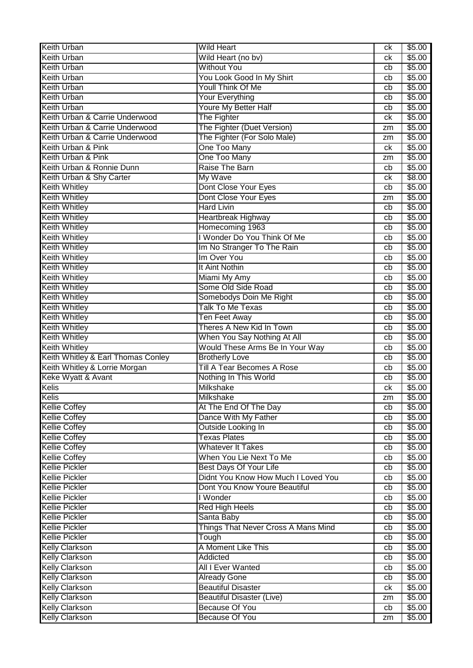| <b>Keith Urban</b>                 | <b>Wild Heart</b>                   | ck | \$5.00 |
|------------------------------------|-------------------------------------|----|--------|
| <b>Keith Urban</b>                 | Wild Heart (no bv)                  | сk | \$5.00 |
| <b>Keith Urban</b>                 | <b>Without You</b>                  | cb | \$5.00 |
| <b>Keith Urban</b>                 | You Look Good In My Shirt           | cb | \$5.00 |
| <b>Keith Urban</b>                 | Youll Think Of Me                   | cb | \$5.00 |
| <b>Keith Urban</b>                 | <b>Your Everything</b>              | cb | \$5.00 |
| <b>Keith Urban</b>                 | Youre My Better Half                | cb | \$5.00 |
| Keith Urban & Carrie Underwood     | The Fighter                         | ck | \$5.00 |
| Keith Urban & Carrie Underwood     | The Fighter (Duet Version)          | zm | \$5.00 |
| Keith Urban & Carrie Underwood     | The Fighter (For Solo Male)         | zm | \$5.00 |
| Keith Urban & Pink                 | One Too Many                        | ck | \$5.00 |
| Keith Urban & Pink                 | One Too Many                        | zm | \$5.00 |
| Keith Urban & Ronnie Dunn          | Raise The Barn                      | cb | \$5.00 |
| Keith Urban & Shy Carter           | My Wave                             | ck | \$8.00 |
| <b>Keith Whitley</b>               | Dont Close Your Eyes                | cb | \$5.00 |
| <b>Keith Whitley</b>               | Dont Close Your Eyes                | zm | \$5.00 |
| <b>Keith Whitley</b>               | <b>Hard Livin</b>                   | cb | \$5.00 |
| <b>Keith Whitley</b>               | <b>Heartbreak Highway</b>           | cb | \$5.00 |
| <b>Keith Whitley</b>               | Homecoming 1963                     | cb | \$5.00 |
| <b>Keith Whitley</b>               | I Wonder Do You Think Of Me         | cb | \$5.00 |
| <b>Keith Whitley</b>               | Im No Stranger To The Rain          | cb | \$5.00 |
| <b>Keith Whitley</b>               | Im Over You                         | cb | \$5.00 |
| <b>Keith Whitley</b>               | It Aint Nothin                      | cb | \$5.00 |
| <b>Keith Whitley</b>               | Miami My Amy                        | cb | \$5.00 |
| <b>Keith Whitley</b>               | Some Old Side Road                  | cb | \$5.00 |
| <b>Keith Whitley</b>               | Somebodys Doin Me Right             | cb | \$5.00 |
| <b>Keith Whitley</b>               | <b>Talk To Me Texas</b>             | cb | \$5.00 |
| <b>Keith Whitley</b>               | Ten Feet Away                       | cb | \$5.00 |
| <b>Keith Whitley</b>               | Theres A New Kid In Town            | cb | \$5.00 |
| <b>Keith Whitley</b>               | When You Say Nothing At All         | cb | \$5.00 |
| <b>Keith Whitley</b>               | Would These Arms Be In Your Way     | cb | \$5.00 |
| Keith Whitley & Earl Thomas Conley | <b>Brotherly Love</b>               | cb | \$5.00 |
| Keith Whitley & Lorrie Morgan      | <b>Till A Tear Becomes A Rose</b>   | cb | \$5.00 |
| Keke Wyatt & Avant                 | Nothing In This World               | cb | \$5.00 |
| Kelis                              | Milkshake                           | ck | \$5.00 |
| <b>Kelis</b>                       | <b>Milkshake</b>                    | zm | \$5.00 |
| <b>Kellie Coffey</b>               | At The End Of The Day               | cb | \$5.00 |
| <b>Kellie Coffey</b>               | Dance With My Father                | cb | \$5.00 |
| <b>Kellie Coffey</b>               | Outside Looking In                  | cb | \$5.00 |
| <b>Kellie Coffey</b>               | <b>Texas Plates</b>                 | cb | \$5.00 |
| <b>Kellie Coffey</b>               | <b>Whatever It Takes</b>            | cb | \$5.00 |
| <b>Kellie Coffey</b>               | When You Lie Next To Me             | cb | \$5.00 |
| <b>Kellie Pickler</b>              | <b>Best Days Of Your Life</b>       | cb | \$5.00 |
| <b>Kellie Pickler</b>              | Didnt You Know How Much I Loved You | cb | \$5.00 |
| <b>Kellie Pickler</b>              | Dont You Know Youre Beautiful       | cb | \$5.00 |
| <b>Kellie Pickler</b>              | I Wonder                            | cb | \$5.00 |
| <b>Kellie Pickler</b>              | <b>Red High Heels</b>               | cb | \$5.00 |
| <b>Kellie Pickler</b>              | Santa Baby                          | cb | \$5.00 |
| <b>Kellie Pickler</b>              | Things That Never Cross A Mans Mind | cb | \$5.00 |
| <b>Kellie Pickler</b>              | Tough                               | cb | \$5.00 |
| <b>Kelly Clarkson</b>              | A Moment Like This                  | cb | \$5.00 |
| <b>Kelly Clarkson</b>              | Addicted                            | cb | \$5.00 |
| <b>Kelly Clarkson</b>              | All I Ever Wanted                   | cb | \$5.00 |
| <b>Kelly Clarkson</b>              | <b>Already Gone</b>                 | cb | \$5.00 |
| <b>Kelly Clarkson</b>              | <b>Beautiful Disaster</b>           | ck | \$5.00 |
| <b>Kelly Clarkson</b>              | <b>Beautiful Disaster (Live)</b>    | zm | \$5.00 |
| <b>Kelly Clarkson</b>              | <b>Because Of You</b>               | cb | \$5.00 |
| <b>Kelly Clarkson</b>              | <b>Because Of You</b>               | zm | \$5.00 |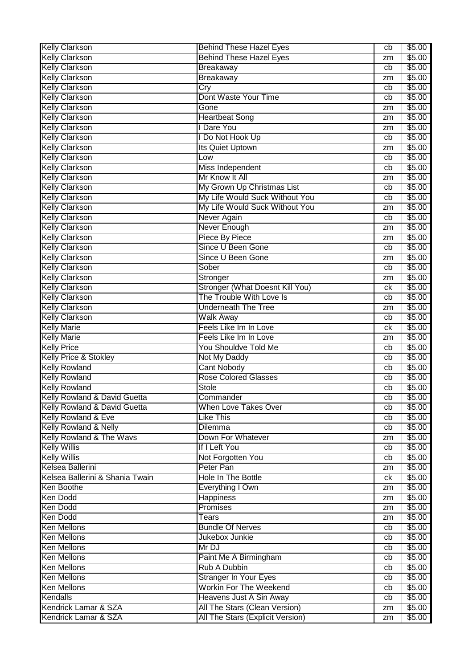| <b>Kelly Clarkson</b>            | <b>Behind These Hazel Eyes</b>   | cb | \$5.00             |
|----------------------------------|----------------------------------|----|--------------------|
| <b>Kelly Clarkson</b>            | <b>Behind These Hazel Eyes</b>   | zm | \$5.00             |
| <b>Kelly Clarkson</b>            | <b>Breakaway</b>                 | cb | $\overline{$}5.00$ |
| <b>Kelly Clarkson</b>            | Breakaway                        | zm | \$5.00             |
| <b>Kelly Clarkson</b>            | Cry                              | cb | \$5.00             |
| <b>Kelly Clarkson</b>            | Dont Waste Your Time             | cb | \$5.00             |
| <b>Kelly Clarkson</b>            | Gone                             | zm | \$5.00             |
| <b>Kelly Clarkson</b>            | <b>Heartbeat Song</b>            | zm | \$5.00             |
| <b>Kelly Clarkson</b>            | I Dare You                       | zm | \$5.00             |
| <b>Kelly Clarkson</b>            | I Do Not Hook Up                 | cb | \$5.00             |
| <b>Kelly Clarkson</b>            | Its Quiet Uptown                 | zm | \$5.00             |
| <b>Kelly Clarkson</b>            | Low                              | cb | \$5.00             |
| <b>Kelly Clarkson</b>            | Miss Independent                 | cb | $\sqrt{$5.00}$     |
| <b>Kelly Clarkson</b>            | Mr Know It All                   | zm | \$5.00             |
| <b>Kelly Clarkson</b>            | My Grown Up Christmas List       | cb | \$5.00             |
| <b>Kelly Clarkson</b>            | My Life Would Suck Without You   | cb | \$5.00             |
| <b>Kelly Clarkson</b>            | My Life Would Suck Without You   |    | \$5.00             |
| <b>Kelly Clarkson</b>            |                                  | zm | \$5.00             |
|                                  | Never Again<br>Never Enough      | cb |                    |
| <b>Kelly Clarkson</b>            |                                  | zm | \$5.00             |
| <b>Kelly Clarkson</b>            | Piece By Piece                   | zm | \$5.00             |
| <b>Kelly Clarkson</b>            | Since U Been Gone                | cb | \$5.00             |
| <b>Kelly Clarkson</b>            | Since U Been Gone                | zm | \$5.00             |
| <b>Kelly Clarkson</b>            | Sober                            | cb | \$5.00             |
| <b>Kelly Clarkson</b>            | Stronger                         | zm | \$5.00             |
| <b>Kelly Clarkson</b>            | Stronger (What Doesnt Kill You)  | ck | \$5.00             |
| <b>Kelly Clarkson</b>            | The Trouble With Love Is         | cb | \$5.00             |
| <b>Kelly Clarkson</b>            | <b>Underneath The Tree</b>       | zm | \$5.00             |
| <b>Kelly Clarkson</b>            | <b>Walk Away</b>                 | cb | \$5.00             |
| <b>Kelly Marie</b>               | Feels Like Im In Love            | ck | \$5.00             |
| <b>Kelly Marie</b>               | Feels Like Im In Love            | zm | \$5.00             |
| <b>Kelly Price</b>               | You Shouldve Told Me             | cb | \$5.00             |
| <b>Kelly Price &amp; Stokley</b> | Not My Daddy                     | cb | \$5.00             |
| <b>Kelly Rowland</b>             | <b>Cant Nobody</b>               | cb | \$5.00             |
| <b>Kelly Rowland</b>             | <b>Rose Colored Glasses</b>      | cb | \$5.00             |
| <b>Kelly Rowland</b>             | Stole                            | cb | \$5.00             |
| Kelly Rowland & David Guetta     | Commander                        | cb | \$5.00             |
| Kelly Rowland & David Guetta     | When Love Takes Over             | cb | \$5.00             |
| Kelly Rowland & Eve              | <b>Like This</b>                 | cb | \$5.00             |
| Kelly Rowland & Nelly            | <b>Dilemma</b>                   | cb | \$5.00             |
| Kelly Rowland & The Wavs         | Down For Whatever                | zm | \$5.00             |
| <b>Kelly Willis</b>              | If I Left You                    | cb | \$5.00             |
| <b>Kelly Willis</b>              | Not Forgotten You                | cb | \$5.00             |
| Kelsea Ballerini                 | Peter Pan                        | zm | \$5.00             |
| Kelsea Ballerini & Shania Twain  | <b>Hole In The Bottle</b>        | ck | \$5.00             |
| Ken Boothe                       | Everything I Own                 | zm | \$5.00             |
| <b>Ken Dodd</b>                  | <b>Happiness</b>                 | zm | \$5.00             |
| <b>Ken Dodd</b>                  | Promises                         | zm | \$5.00             |
| <b>Ken Dodd</b>                  | Tears                            | zm | \$5.00             |
| <b>Ken Mellons</b>               | <b>Bundle Of Nerves</b>          | cb | \$5.00             |
| <b>Ken Mellons</b>               | Jukebox Junkie                   | cb | \$5.00             |
| <b>Ken Mellons</b>               | Mr DJ                            | cb | \$5.00             |
| <b>Ken Mellons</b>               | Paint Me A Birmingham            | cb | \$5.00             |
| <b>Ken Mellons</b>               | Rub A Dubbin                     | cb | \$5.00             |
| <b>Ken Mellons</b>               | <b>Stranger In Your Eyes</b>     | cb | \$5.00             |
| <b>Ken Mellons</b>               | <b>Workin For The Weekend</b>    | cb | \$5.00             |
| Kendalls                         | Heavens Just A Sin Away          | cb | \$5.00             |
| Kendrick Lamar & SZA             | All The Stars (Clean Version)    | zm | \$5.00             |
|                                  |                                  |    |                    |
| Kendrick Lamar & SZA             | All The Stars (Explicit Version) | zm | \$5.00             |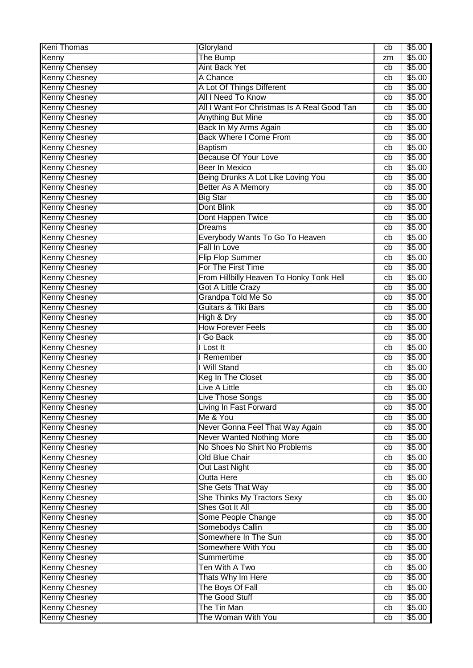| <b>Keni Thomas</b>                           | Gloryland                                      | cb       | \$5.00           |
|----------------------------------------------|------------------------------------------------|----------|------------------|
| Kenny                                        | The Bump                                       | zm       | \$5.00           |
| <b>Kenny Chensey</b>                         | <b>Aint Back Yet</b>                           | cb       | \$5.00           |
| <b>Kenny Chesney</b>                         | A Chance                                       | cb       | \$5.00           |
| <b>Kenny Chesney</b>                         | A Lot Of Things Different                      | cb       | \$5.00           |
| <b>Kenny Chesney</b>                         | All I Need To Know                             | cb       | \$5.00           |
| <b>Kenny Chesney</b>                         | All I Want For Christmas Is A Real Good Tan    | cb       | \$5.00           |
| <b>Kenny Chesney</b>                         | <b>Anything But Mine</b>                       | cb       | \$5.00           |
| <b>Kenny Chesney</b>                         | Back In My Arms Again                          | cb       | \$5.00           |
| <b>Kenny Chesney</b>                         | <b>Back Where I Come From</b>                  | cb       | \$5.00           |
| <b>Kenny Chesney</b>                         | <b>Baptism</b>                                 | cb       | \$5.00           |
| <b>Kenny Chesney</b>                         | <b>Because Of Your Love</b>                    | cb       | \$5.00           |
| <b>Kenny Chesney</b>                         | <b>Beer In Mexico</b>                          | cb       | \$5.00           |
| <b>Kenny Chesney</b>                         | Being Drunks A Lot Like Loving You             | cb       | \$5.00           |
| <b>Kenny Chesney</b>                         | <b>Better As A Memory</b>                      | cb       | \$5.00           |
| <b>Kenny Chesney</b>                         | <b>Big Star</b>                                | cb       | \$5.00           |
| <b>Kenny Chesney</b>                         | Dont Blink                                     | cb       | \$5.00           |
| <b>Kenny Chesney</b>                         | Dont Happen Twice                              | cb       | \$5.00           |
| <b>Kenny Chesney</b>                         | <b>Dreams</b>                                  | cb       | \$5.00           |
| <b>Kenny Chesney</b>                         | Everybody Wants To Go To Heaven                | cb       | \$5.00           |
| <b>Kenny Chesney</b>                         | <b>Fall In Love</b>                            | cb       | \$5.00           |
| <b>Kenny Chesney</b>                         | <b>Flip Flop Summer</b>                        | cb       | \$5.00           |
| <b>Kenny Chesney</b>                         | For The First Time                             | cb       | \$5.00           |
| <b>Kenny Chesney</b>                         | From Hillbilly Heaven To Honky Tonk Hell       | cb       | \$5.00           |
| <b>Kenny Chesney</b>                         | <b>Got A Little Crazy</b>                      | cb       | \$5.00           |
| <b>Kenny Chesney</b>                         | Grandpa Told Me So                             | cb       | \$5.00           |
| <b>Kenny Chesney</b>                         | Guitars & Tiki Bars                            | cb       | \$5.00           |
| <b>Kenny Chesney</b>                         | High & Dry                                     | cb       | \$5.00           |
| <b>Kenny Chesney</b>                         | <b>How Forever Feels</b>                       | cb       | \$5.00           |
| <b>Kenny Chesney</b>                         | I Go Back                                      | cb       | \$5.00           |
| <b>Kenny Chesney</b>                         | I Lost It                                      | cb       | \$5.00           |
| <b>Kenny Chesney</b>                         | I Remember                                     | cb       | \$5.00           |
| <b>Kenny Chesney</b>                         | I Will Stand                                   | cb       | \$5.00           |
| <b>Kenny Chesney</b>                         | Keg In The Closet                              | cb       | \$5.00           |
| <b>Kenny Chesney</b>                         | <b>Live A Little</b>                           | cb       | \$5.00           |
| <b>Kenny Chesney</b>                         | Live Those Songs                               | cb       | \$5.00           |
| <b>Kenny Chesney</b>                         | Living In Fast Forward                         | cb       | \$5.00           |
| <b>Kenny Chesney</b>                         | Me & You                                       | cb       | \$5.00           |
| <b>Kenny Chesney</b>                         | Never Gonna Feel That Way Again                | cb       | \$5.00           |
| <b>Kenny Chesney</b>                         | Never Wanted Nothing More                      | cb       | \$5.00           |
| <b>Kenny Chesney</b>                         | No Shoes No Shirt No Problems                  | cb       | \$5.00           |
| Kenny Chesney                                | <b>Old Blue Chair</b>                          | cb       | \$5.00           |
| <b>Kenny Chesney</b>                         | <b>Out Last Night</b>                          | cb       | \$5.00           |
| <b>Kenny Chesney</b>                         | <b>Outta Here</b>                              | cb       | \$5.00           |
| <b>Kenny Chesney</b>                         | She Gets That Way                              | cb       | \$5.00           |
| <b>Kenny Chesney</b><br><b>Kenny Chesney</b> | She Thinks My Tractors Sexy<br>Shes Got It All | cb       | \$5.00<br>\$5.00 |
|                                              | Some People Change                             | cb       | \$5.00           |
| <b>Kenny Chesney</b><br><b>Kenny Chesney</b> | Somebodys Callin                               | cb       | \$5.00           |
| <b>Kenny Chesney</b>                         | Somewhere In The Sun                           | cb<br>cb | \$5.00           |
| <b>Kenny Chesney</b>                         | Somewhere With You                             | cb       | \$5.00           |
| <b>Kenny Chesney</b>                         | Summertime                                     | cb       | \$5.00           |
| <b>Kenny Chesney</b>                         | Ten With A Two                                 | cb       | \$5.00           |
| <b>Kenny Chesney</b>                         | Thats Why Im Here                              | cb       | \$5.00           |
| <b>Kenny Chesney</b>                         | The Boys Of Fall                               | cb       | \$5.00           |
| <b>Kenny Chesney</b>                         | The Good Stuff                                 | cb       | \$5.00           |
| <b>Kenny Chesney</b>                         | The Tin Man                                    | cb       | \$5.00           |
| <b>Kenny Chesney</b>                         | The Woman With You                             | cb       | \$5.00           |
|                                              |                                                |          |                  |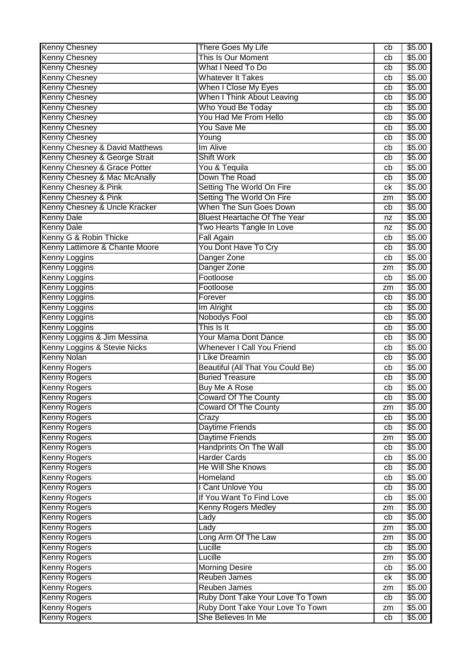| <b>Kenny Chesney</b>           | There Goes My Life                  | cb | \$5.00 |
|--------------------------------|-------------------------------------|----|--------|
| <b>Kenny Chesney</b>           | This Is Our Moment                  | cb | \$5.00 |
| <b>Kenny Chesney</b>           | What I Need To Do                   | cb | \$5.00 |
| <b>Kenny Chesney</b>           | <b>Whatever It Takes</b>            | cb | \$5.00 |
| <b>Kenny Chesney</b>           | When I Close My Eyes                | cb | \$5.00 |
| <b>Kenny Chesney</b>           | When I Think About Leaving          | cb | \$5.00 |
| <b>Kenny Chesney</b>           | Who Youd Be Today                   | cb | \$5.00 |
| <b>Kenny Chesney</b>           | You Had Me From Hello               | cb | \$5.00 |
| <b>Kenny Chesney</b>           | You Save Me                         | cb | \$5.00 |
| <b>Kenny Chesney</b>           | Young                               | cb | \$5.00 |
| Kenny Chesney & David Matthews | Im Alive                            | cb | \$5.00 |
| Kenny Chesney & George Strait  | <b>Shift Work</b>                   | cb | \$5.00 |
| Kenny Chesney & Grace Potter   | You & Tequila                       | cb | \$5.00 |
| Kenny Chesney & Mac McAnally   | Down The Road                       | cb | \$5.00 |
| Kenny Chesney & Pink           | Setting The World On Fire           | ck | \$5.00 |
| Kenny Chesney & Pink           | Setting The World On Fire           | zm | \$5.00 |
| Kenny Chesney & Uncle Kracker  | When The Sun Goes Down              | cb | \$5.00 |
| <b>Kenny Dale</b>              | <b>Bluest Heartache Of The Year</b> | nz | \$5.00 |
| <b>Kenny Dale</b>              | Two Hearts Tangle In Love           | nz | \$5.00 |
| Kenny G & Robin Thicke         | <b>Fall Again</b>                   | cb | \$5.00 |
| Kenny Lattimore & Chante Moore | You Dont Have To Cry                | cb | \$5.00 |
| <b>Kenny Loggins</b>           | Danger Zone                         | cb | \$5.00 |
| Kenny Loggins                  | Danger Zone                         | zm | \$5.00 |
| <b>Kenny Loggins</b>           | Footloose                           | cb | \$5.00 |
| <b>Kenny Loggins</b>           | Footloose                           | zm | \$5.00 |
| <b>Kenny Loggins</b>           | Forever                             | cb | \$5.00 |
| <b>Kenny Loggins</b>           | Im Alright                          | cb | \$5.00 |
| <b>Kenny Loggins</b>           | <b>Nobodys Fool</b>                 | cb | \$5.00 |
| <b>Kenny Loggins</b>           | This Is It                          | cb | \$5.00 |
| Kenny Loggins & Jim Messina    | Your Mama Dont Dance                | cb | \$5.00 |
| Kenny Loggins & Stevie Nicks   | <b>Whenever I Call You Friend</b>   | cb | \$5.00 |
| <b>Kenny Nolan</b>             | I Like Dreamin                      | cb | \$5.00 |
| <b>Kenny Rogers</b>            | Beautiful (All That You Could Be)   | cb | \$5.00 |
| <b>Kenny Rogers</b>            | <b>Buried Treasure</b>              | cb | \$5.00 |
| <b>Kenny Rogers</b>            | Buy Me A Rose                       | cb | \$5.00 |
| <b>Kenny Rogers</b>            | <b>Coward Of The County</b>         | cb | \$5.00 |
| <b>Kenny Rogers</b>            | <b>Coward Of The County</b>         | zm | \$5.00 |
| <b>Kenny Rogers</b>            | Crazy                               | cb | \$5.00 |
| <b>Kenny Rogers</b>            | Daytime Friends                     | cb | \$5.00 |
| <b>Kenny Rogers</b>            | <b>Daytime Friends</b>              | zm | \$5.00 |
| <b>Kenny Rogers</b>            | Handprints On The Wall              | cb | \$5.00 |
| <b>Kenny Rogers</b>            | <b>Harder Cards</b>                 | cb | \$5.00 |
| <b>Kenny Rogers</b>            | <b>He Will She Knows</b>            | cb | \$5.00 |
| <b>Kenny Rogers</b>            | Homeland                            | cb | \$5.00 |
| <b>Kenny Rogers</b>            | I Cant Unlove You                   | cb | \$5.00 |
| <b>Kenny Rogers</b>            | If You Want To Find Love            | cb | \$5.00 |
| <b>Kenny Rogers</b>            | <b>Kenny Rogers Medley</b>          | zm | \$5.00 |
| <b>Kenny Rogers</b>            | Lady                                | cb | \$5.00 |
| <b>Kenny Rogers</b>            | Lady                                | zm | \$5.00 |
| <b>Kenny Rogers</b>            | Long Arm Of The Law                 | zm | \$5.00 |
| <b>Kenny Rogers</b>            | Lucille                             | cb | \$5.00 |
| <b>Kenny Rogers</b>            | Lucille                             | zm | \$5.00 |
| <b>Kenny Rogers</b>            | <b>Morning Desire</b>               | cb | \$5.00 |
| <b>Kenny Rogers</b>            | <b>Reuben James</b>                 | ck | \$5.00 |
| <b>Kenny Rogers</b>            | Reuben James                        | zm | \$5.00 |
| <b>Kenny Rogers</b>            | Ruby Dont Take Your Love To Town    | cb | \$5.00 |
| <b>Kenny Rogers</b>            | Ruby Dont Take Your Love To Town    | zm | \$5.00 |
| <b>Kenny Rogers</b>            | She Believes In Me                  | cb | \$5.00 |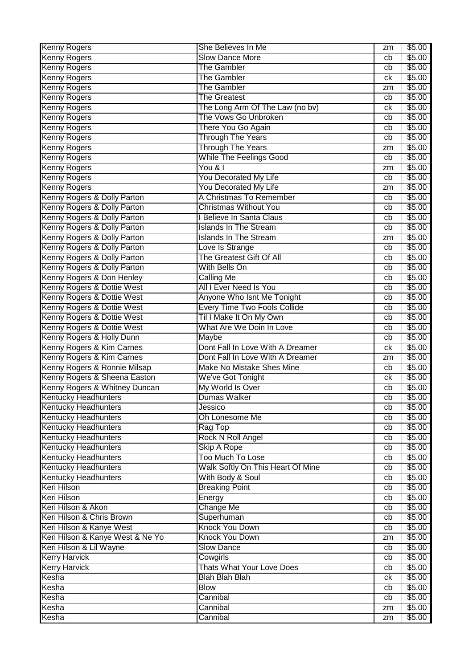| <b>Kenny Rogers</b>              | She Believes In Me                | zm | \$5.00 |
|----------------------------------|-----------------------------------|----|--------|
| <b>Kenny Rogers</b>              | <b>Slow Dance More</b>            | cb | \$5.00 |
| <b>Kenny Rogers</b>              | <b>The Gambler</b>                | cb | \$5.00 |
| <b>Kenny Rogers</b>              | <b>The Gambler</b>                | ck | \$5.00 |
| <b>Kenny Rogers</b>              | <b>The Gambler</b>                | zm | \$5.00 |
| <b>Kenny Rogers</b>              | <b>The Greatest</b>               | cb | \$5.00 |
| <b>Kenny Rogers</b>              | The Long Arm Of The Law (no bv)   | ck | \$5.00 |
| <b>Kenny Rogers</b>              | The Vows Go Unbroken              | cb | \$5.00 |
| <b>Kenny Rogers</b>              | There You Go Again                | cb | \$5.00 |
| <b>Kenny Rogers</b>              | <b>Through The Years</b>          | cb | \$5.00 |
| <b>Kenny Rogers</b>              | <b>Through The Years</b>          | zm | \$5.00 |
| <b>Kenny Rogers</b>              | <b>While The Feelings Good</b>    | cb | \$5.00 |
| <b>Kenny Rogers</b>              | You & I                           | zm | \$5.00 |
| <b>Kenny Rogers</b>              | You Decorated My Life             | cb | \$5.00 |
| <b>Kenny Rogers</b>              | You Decorated My Life             | zm | \$5.00 |
| Kenny Rogers & Dolly Parton      | A Christmas To Remember           | cb | \$5.00 |
| Kenny Rogers & Dolly Parton      | <b>Christmas Without You</b>      | cb | \$5.00 |
| Kenny Rogers & Dolly Parton      | I Believe In Santa Claus          | cb | \$5.00 |
| Kenny Rogers & Dolly Parton      | <b>Islands In The Stream</b>      | cb | \$5.00 |
| Kenny Rogers & Dolly Parton      | <b>Islands In The Stream</b>      | zm | \$5.00 |
| Kenny Rogers & Dolly Parton      | Love Is Strange                   | cb | \$5.00 |
| Kenny Rogers & Dolly Parton      | The Greatest Gift Of All          | cb | \$5.00 |
| Kenny Rogers & Dolly Parton      | With Bells On                     | cb | \$5.00 |
| Kenny Rogers & Don Henley        | <b>Calling Me</b>                 | cb | \$5.00 |
| Kenny Rogers & Dottie West       | All I Ever Need Is You            | cb | \$5.00 |
| Kenny Rogers & Dottie West       | Anyone Who Isnt Me Tonight        | cb | \$5.00 |
| Kenny Rogers & Dottie West       | Every Time Two Fools Collide      | cb | \$5.00 |
| Kenny Rogers & Dottie West       | Til I Make It On My Own           | cb | \$5.00 |
| Kenny Rogers & Dottie West       | What Are We Doin In Love          | cb | \$5.00 |
| Kenny Rogers & Holly Dunn        | Maybe                             | cb | \$5.00 |
| Kenny Rogers & Kim Carnes        | Dont Fall In Love With A Dreamer  | ck | \$5.00 |
| Kenny Rogers & Kim Carnes        | Dont Fall In Love With A Dreamer  | zm | \$5.00 |
| Kenny Rogers & Ronnie Milsap     | Make No Mistake Shes Mine         | cb | \$5.00 |
| Kenny Rogers & Sheena Easton     | We've Got Tonight                 | ck | \$5.00 |
| Kenny Rogers & Whitney Duncan    | My World Is Over                  | cb | \$5.00 |
| <b>Kentucky Headhunters</b>      | Dumas Walker                      | cb | \$5.00 |
| <b>Kentucky Headhunters</b>      | Jessico                           | cb | \$5.00 |
| <b>Kentucky Headhunters</b>      | Oh Lonesome Me                    | cb | \$5.00 |
| <b>Kentucky Headhunters</b>      | Rag Top                           | cb | \$5.00 |
| <b>Kentucky Headhunters</b>      | Rock N Roll Angel                 | cb | \$5.00 |
| <b>Kentucky Headhunters</b>      | <b>Skip A Rope</b>                | cb | \$5.00 |
| <b>Kentucky Headhunters</b>      | <b>Too Much To Lose</b>           | cb | \$5.00 |
| <b>Kentucky Headhunters</b>      | Walk Softly On This Heart Of Mine | cb | \$5.00 |
| Kentucky Headhunters             | With Body & Soul                  | cb | \$5.00 |
| <b>Keri Hilson</b>               | <b>Breaking Point</b>             | cb | \$5.00 |
| <b>Keri Hilson</b>               | Energy                            | cb | \$5.00 |
| Keri Hilson & Akon               | <b>Change Me</b>                  | cb | \$5.00 |
| Keri Hilson & Chris Brown        | Superhuman                        | cb | \$5.00 |
| Keri Hilson & Kanye West         | Knock You Down                    | cb | \$5.00 |
| Keri Hilson & Kanye West & Ne Yo | Knock You Down                    | zm | \$5.00 |
| Keri Hilson & Lil Wayne          | <b>Slow Dance</b>                 | cb | \$5.00 |
| <b>Kerry Harvick</b>             | Cowgirls                          | cb | \$5.00 |
| <b>Kerry Harvick</b>             | <b>Thats What Your Love Does</b>  | cb | \$5.00 |
| Kesha                            | <b>Blah Blah Blah</b>             | ck | \$5.00 |
| Kesha                            | <b>Blow</b>                       | cb | \$5.00 |
| Kesha                            | Cannibal                          | cb | \$5.00 |
| Kesha                            | Cannibal                          | zm | \$5.00 |
| Kesha                            | Cannibal                          | zm | \$5.00 |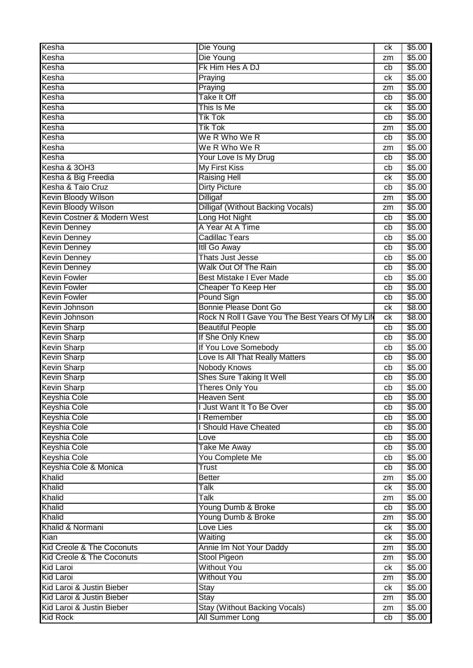| Kesha                       | Die Young                                        | ck | \$5.00 |
|-----------------------------|--------------------------------------------------|----|--------|
| Kesha                       | Die Young                                        | zm | \$5.00 |
| Kesha                       | Fk Him Hes A DJ                                  | cb | \$5.00 |
| Kesha                       | Praying                                          | ck | \$5.00 |
| Kesha                       | Praying                                          | zm | \$5.00 |
| Kesha                       | <b>Take It Off</b>                               | cb | \$5.00 |
| Kesha                       | This Is Me                                       | ck | \$5.00 |
| Kesha                       | <b>Tik Tok</b>                                   | cb | \$5.00 |
| Kesha                       | <b>Tik Tok</b>                                   | zm | \$5.00 |
| Kesha                       | We R Who We R                                    | cb | \$5.00 |
| Kesha                       | We R Who We R                                    | zm | \$5.00 |
| Kesha                       | Your Love Is My Drug                             | cb | \$5.00 |
| Kesha & 3OH3                | <b>My First Kiss</b>                             | cb | \$5.00 |
| Kesha & Big Freedia         | <b>Raising Hell</b>                              | ck | \$5.00 |
| Kesha & Taio Cruz           | <b>Dirty Picture</b>                             | cb | \$5.00 |
| <b>Kevin Bloody Wilson</b>  | <b>Dilligaf</b>                                  | zm | \$5.00 |
| <b>Kevin Bloody Wilson</b>  | <b>Dilligaf (Without Backing Vocals)</b>         | zm | \$5.00 |
| Kevin Costner & Modern West | Long Hot Night                                   | cb | \$5.00 |
| <b>Kevin Denney</b>         | A Year At A Time                                 | cb | \$5.00 |
| <b>Kevin Denney</b>         | <b>Cadillac Tears</b>                            | cb | \$5.00 |
| <b>Kevin Denney</b>         | <b>Itll Go Away</b>                              | cb | \$5.00 |
| <b>Kevin Denney</b>         | Thats Just Jesse                                 | cb | \$5.00 |
| <b>Kevin Denney</b>         | <b>Walk Out Of The Rain</b>                      | cb | \$5.00 |
| <b>Kevin Fowler</b>         | <b>Best Mistake I Ever Made</b>                  | cb | \$5.00 |
| <b>Kevin Fowler</b>         | Cheaper To Keep Her                              | cb | \$5.00 |
| <b>Kevin Fowler</b>         | Pound Sign                                       | cb | \$5.00 |
| Kevin Johnson               | Bonnie Please Dont Go                            | ck | \$8.00 |
| Kevin Johnson               | Rock N Roll I Gave You The Best Years Of My Life | ck | \$8.00 |
| <b>Kevin Sharp</b>          | <b>Beautiful People</b>                          | cb | \$5.00 |
| <b>Kevin Sharp</b>          | If She Only Knew                                 | cb | \$5.00 |
| <b>Kevin Sharp</b>          | If You Love Somebody                             | cb | \$5.00 |
| <b>Kevin Sharp</b>          | Love Is All That Really Matters                  | cb | \$5.00 |
| <b>Kevin Sharp</b>          | <b>Nobody Knows</b>                              | cb | \$5.00 |
| <b>Kevin Sharp</b>          | Shes Sure Taking It Well                         | cb | \$5.00 |
| <b>Kevin Sharp</b>          | <b>Theres Only You</b>                           | cb | \$5.00 |
| <b>Keyshia Cole</b>         | <b>Heaven Sent</b>                               | cb | \$5.00 |
| <b>Keyshia Cole</b>         | I Just Want It To Be Over                        | cb | \$5.00 |
| <b>Keyshia Cole</b>         | I Remember                                       | cb | \$5.00 |
| <b>Keyshia Cole</b>         | I Should Have Cheated                            | cb | \$5.00 |
| <b>Keyshia Cole</b>         | Love                                             | cb | \$5.00 |
| Keyshia Cole                | <b>Take Me Away</b>                              | cb | \$5.00 |
| <b>Keyshia Cole</b>         | You Complete Me                                  | cb | \$5.00 |
| Keyshia Cole & Monica       | Trust                                            | cb | \$5.00 |
| <b>Khalid</b>               | <b>Better</b>                                    | zm | \$5.00 |
| Khalid                      | Talk                                             | ck | \$5.00 |
| Khalid                      | <b>Talk</b>                                      | zm | \$5.00 |
| Khalid                      | Young Dumb & Broke                               | cb | \$5.00 |
| Khalid                      | Young Dumb & Broke                               | zm | \$5.00 |
| Khalid & Normani            | Love Lies                                        | ck | \$5.00 |
| Kian                        | Waiting                                          | ck | \$5.00 |
| Kid Creole & The Coconuts   | Annie Im Not Your Daddy                          | zm | \$5.00 |
| Kid Creole & The Coconuts   | Stool Pigeon                                     | zm | \$5.00 |
| Kid Laroi                   | <b>Without You</b>                               | ck | \$5.00 |
| <b>Kid Laroi</b>            | <b>Without You</b>                               | zm | \$5.00 |
| Kid Laroi & Justin Bieber   | Stay                                             | ck | \$5.00 |
| Kid Laroi & Justin Bieber   | Stay                                             | zm | \$5.00 |
| Kid Laroi & Justin Bieber   | <b>Stay (Without Backing Vocals)</b>             | zm | \$5.00 |
| <b>Kid Rock</b>             | All Summer Long                                  | cb | \$5.00 |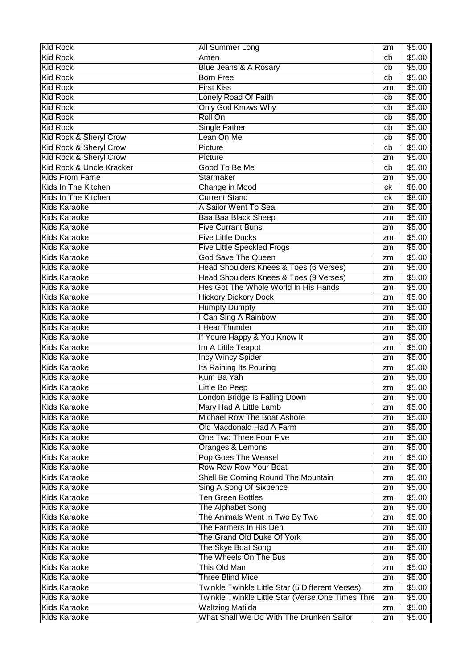| <b>Kid Rock</b>          | <b>All Summer Long</b>                            | zm | \$5.00 |
|--------------------------|---------------------------------------------------|----|--------|
| <b>Kid Rock</b>          | Amen                                              | cb | \$5.00 |
| <b>Kid Rock</b>          | <b>Blue Jeans &amp; A Rosary</b>                  | cb | \$5.00 |
| <b>Kid Rock</b>          | <b>Born Free</b>                                  | cb | \$5.00 |
| <b>Kid Rock</b>          | <b>First Kiss</b>                                 | zm | \$5.00 |
| <b>Kid Rock</b>          | Lonely Road Of Faith                              | cb | \$5.00 |
| <b>Kid Rock</b>          | <b>Only God Knows Why</b>                         | cb | \$5.00 |
| <b>Kid Rock</b>          | Roll On                                           | cb | \$5.00 |
| <b>Kid Rock</b>          | <b>Single Father</b>                              | cb | \$5.00 |
| Kid Rock & Sheryl Crow   | Lean On Me                                        | cb | \$5.00 |
| Kid Rock & Sheryl Crow   | Picture                                           | cb | \$5.00 |
| Kid Rock & Sheryl Crow   | Picture                                           | zm | \$5.00 |
| Kid Rock & Uncle Kracker | Good To Be Me                                     | cb | \$5.00 |
| <b>Kids From Fame</b>    | Starmaker                                         | zm | \$5.00 |
| Kids In The Kitchen      | Change in Mood                                    | ck | \$8.00 |
| Kids In The Kitchen      | <b>Current Stand</b>                              | ck | \$8.00 |
| <b>Kids Karaoke</b>      | A Sailor Went To Sea                              | zm | \$5.00 |
| <b>Kids Karaoke</b>      | Baa Baa Black Sheep                               | zm | \$5.00 |
| <b>Kids Karaoke</b>      | <b>Five Currant Buns</b>                          | zm | \$5.00 |
| <b>Kids Karaoke</b>      | <b>Five Little Ducks</b>                          | zm | \$5.00 |
| <b>Kids Karaoke</b>      | <b>Five Little Speckled Frogs</b>                 | zm | \$5.00 |
| <b>Kids Karaoke</b>      | <b>God Save The Queen</b>                         | zm | \$5.00 |
| <b>Kids Karaoke</b>      | Head Shoulders Knees & Toes (6 Verses)            | zm | \$5.00 |
| <b>Kids Karaoke</b>      | Head Shoulders Knees & Toes (9 Verses)            | zm | \$5.00 |
| <b>Kids Karaoke</b>      | Hes Got The Whole World In His Hands              | zm | \$5.00 |
| <b>Kids Karaoke</b>      | <b>Hickory Dickory Dock</b>                       | zm | \$5.00 |
| <b>Kids Karaoke</b>      | <b>Humpty Dumpty</b>                              | zm | \$5.00 |
| <b>Kids Karaoke</b>      | I Can Sing A Rainbow                              | zm | \$5.00 |
| <b>Kids Karaoke</b>      | I Hear Thunder                                    | zm | \$5.00 |
| <b>Kids Karaoke</b>      | If Youre Happy & You Know It                      | zm | \$5.00 |
| <b>Kids Karaoke</b>      | Im A Little Teapot                                | zm | \$5.00 |
| <b>Kids Karaoke</b>      | <b>Incy Wincy Spider</b>                          | zm | \$5.00 |
| <b>Kids Karaoke</b>      | Its Raining Its Pouring                           | zm | \$5.00 |
| <b>Kids Karaoke</b>      | Kum Ba Yah                                        | zm | \$5.00 |
| <b>Kids Karaoke</b>      | Little Bo Peep                                    | zm | \$5.00 |
| <b>Kids Karaoke</b>      | ondon Bridge Is Falling Down                      | zm | \$5.00 |
| <b>Kids Karaoke</b>      | Mary Had A Little Lamb                            | zm | \$5.00 |
| <b>Kids Karaoke</b>      | Michael Row The Boat Ashore                       | zm | \$5.00 |
| <b>Kids Karaoke</b>      | Old Macdonald Had A Farm                          | zm | \$5.00 |
| <b>Kids Karaoke</b>      | One Two Three Four Five                           | zm | \$5.00 |
| <b>Kids Karaoke</b>      | Oranges & Lemons                                  | zm | \$5.00 |
| <b>Kids Karaoke</b>      | Pop Goes The Weasel                               | zm | \$5.00 |
| <b>Kids Karaoke</b>      | Row Row Row Your Boat                             | zm | \$5.00 |
| <b>Kids Karaoke</b>      | Shell Be Coming Round The Mountain                | zm | \$5.00 |
| <b>Kids Karaoke</b>      | Sing A Song Of Sixpence                           | zm | \$5.00 |
| <b>Kids Karaoke</b>      | <b>Ten Green Bottles</b>                          | zm | \$5.00 |
| <b>Kids Karaoke</b>      | The Alphabet Song                                 | zm | \$5.00 |
| <b>Kids Karaoke</b>      | The Animals Went In Two By Two                    | zm | \$5.00 |
| <b>Kids Karaoke</b>      | The Farmers In His Den                            | zm | \$5.00 |
| <b>Kids Karaoke</b>      | The Grand Old Duke Of York                        | zm | \$5.00 |
| <b>Kids Karaoke</b>      | The Skye Boat Song                                | zm | \$5.00 |
| <b>Kids Karaoke</b>      | The Wheels On The Bus                             | zm | \$5.00 |
| <b>Kids Karaoke</b>      | This Old Man                                      | zm | \$5.00 |
| <b>Kids Karaoke</b>      | <b>Three Blind Mice</b>                           | zm | \$5.00 |
| <b>Kids Karaoke</b>      | Twinkle Twinkle Little Star (5 Different Verses)  | zm | \$5.00 |
| <b>Kids Karaoke</b>      | Twinkle Twinkle Little Star (Verse One Times Thre | zm | \$5.00 |
| <b>Kids Karaoke</b>      | <b>Waltzing Matilda</b>                           | zm | \$5.00 |
| <b>Kids Karaoke</b>      | What Shall We Do With The Drunken Sailor          | zm | \$5.00 |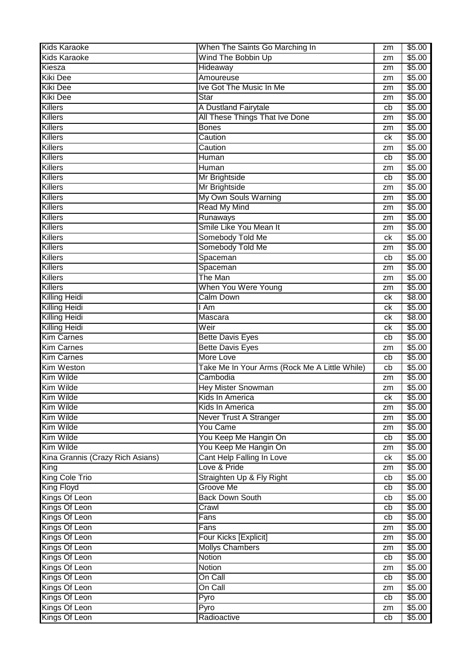| <b>Kids Karaoke</b>              | When The Saints Go Marching In                | zm | \$5.00 |
|----------------------------------|-----------------------------------------------|----|--------|
| <b>Kids Karaoke</b>              | Wind The Bobbin Up                            | zm | \$5.00 |
| Kiesza                           | Hideaway                                      | zm | \$5.00 |
| <b>Kiki Dee</b>                  | Amoureuse                                     | zm | \$5.00 |
| <b>Kiki Dee</b>                  | Ive Got The Music In Me                       | zm | \$5.00 |
| <b>Kiki Dee</b>                  | <b>Star</b>                                   | zm | \$5.00 |
| <b>Killers</b>                   | A Dustland Fairytale                          | cb | \$5.00 |
| <b>Killers</b>                   | All These Things That Ive Done                | zm | \$5.00 |
| <b>Killers</b>                   | <b>Bones</b>                                  | zm | \$5.00 |
| <b>Killers</b>                   | Caution                                       | ck | \$5.00 |
| <b>Killers</b>                   | Caution                                       | zm | \$5.00 |
| <b>Killers</b>                   | Human                                         | cb | \$5.00 |
| <b>Killers</b>                   | Human                                         | zm | \$5.00 |
| <b>Killers</b>                   |                                               | cb | \$5.00 |
| <b>Killers</b>                   | Mr Brightside                                 |    | \$5.00 |
| <b>Killers</b>                   | Mr Brightside                                 | zm |        |
|                                  | My Own Souls Warning                          | zm | \$5.00 |
| Killers                          | <b>Read My Mind</b>                           | zm | \$5.00 |
| <b>Killers</b>                   | Runaways                                      | zm | \$5.00 |
| <b>Killers</b>                   | Smile Like You Mean It                        | zm | \$5.00 |
| Killers                          | Somebody Told Me                              | ck | \$5.00 |
| <b>Killers</b>                   | Somebody Told Me                              | zm | \$5.00 |
| <b>Killers</b>                   | Spaceman                                      | cb | \$5.00 |
| <b>Killers</b>                   | Spaceman                                      | zm | \$5.00 |
| <b>Killers</b>                   | The Man                                       | zm | \$5.00 |
| <b>Killers</b>                   | When You Were Young                           | zm | \$5.00 |
| <b>Killing Heidi</b>             | <b>Calm Down</b>                              | ck | \$8.00 |
| <b>Killing Heidi</b>             | l Am                                          | ck | \$5.00 |
| Killing Heidi                    | Mascara                                       | сk | \$8.00 |
| <b>Killing Heidi</b>             | Weir                                          | сk | \$5.00 |
| <b>Kim Carnes</b>                | <b>Bette Davis Eyes</b>                       | cb | \$5.00 |
| <b>Kim Carnes</b>                | <b>Bette Davis Eyes</b>                       | zm | \$5.00 |
| <b>Kim Carnes</b>                | More Love                                     | cb | \$5.00 |
| <b>Kim Weston</b>                | Take Me In Your Arms (Rock Me A Little While) | cb | \$5.00 |
| Kim Wilde                        | Cambodia                                      | zm | \$5.00 |
| Kim Wilde                        | Hey Mister Snowman                            | zm | \$5.00 |
| Kim Wilde                        | Kids In America                               | ck | \$5.00 |
| Kim Wilde                        | Kids In America                               | zm | \$5.00 |
| Kim Wilde                        | <b>Never Trust A Stranger</b>                 | zm | \$5.00 |
| Kim Wilde                        | <b>You Came</b>                               | zm | \$5.00 |
| Kim Wilde                        | You Keep Me Hangin On                         | cb | \$5.00 |
| Kim Wilde                        | You Keep Me Hangin On                         | zm | \$5.00 |
| Kina Grannis (Crazy Rich Asians) | Cant Help Falling In Love                     | ck | \$5.00 |
| King                             | Love & Pride                                  | zm | \$5.00 |
| King Cole Trio                   | Straighten Up & Fly Right                     | cb | \$5.00 |
| <b>King Floyd</b>                | Groove Me                                     | cb | \$5.00 |
| Kings Of Leon                    | <b>Back Down South</b>                        | cb | \$5.00 |
| Kings Of Leon                    | Crawl                                         | cb | \$5.00 |
| Kings Of Leon                    | Fans                                          | cb | \$5.00 |
| Kings Of Leon                    | Fans                                          | zm | \$5.00 |
| Kings Of Leon                    | Four Kicks [Explicit]                         | zm | \$5.00 |
| Kings Of Leon                    | <b>Mollys Chambers</b>                        | zm | \$5.00 |
| Kings Of Leon                    | Notion                                        | cb | \$5.00 |
| Kings Of Leon                    | Notion                                        | zm | \$5.00 |
| Kings Of Leon                    | On Call                                       | cb | \$5.00 |
| Kings Of Leon                    | On Call                                       | zm | \$5.00 |
| Kings Of Leon                    | Pyro                                          | cb | \$5.00 |
| Kings Of Leon                    | Pyro                                          | zm | \$5.00 |
| Kings Of Leon                    | Radioactive                                   | cb | \$5.00 |
|                                  |                                               |    |        |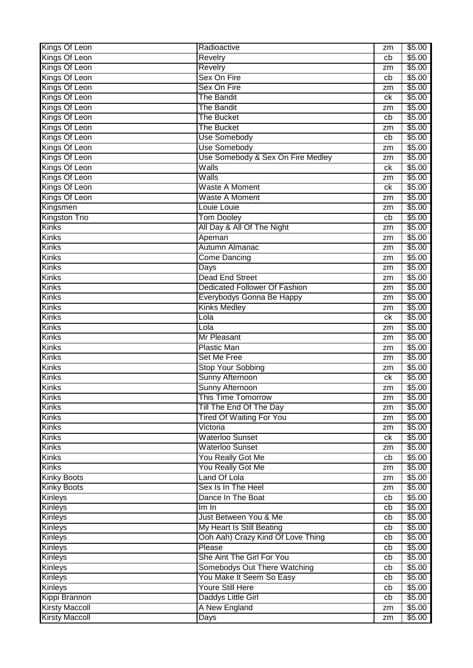| Kings Of Leon         | Radioactive                          | zm | \$5.00 |
|-----------------------|--------------------------------------|----|--------|
| Kings Of Leon         | Revelry                              | cb | \$5.00 |
| Kings Of Leon         | Revelry                              | zm | \$5.00 |
| Kings Of Leon         | Sex On Fire                          | cb | \$5.00 |
| Kings Of Leon         | Sex On Fire                          | zm | \$5.00 |
| Kings Of Leon         | <b>The Bandit</b>                    | ck | \$5.00 |
| Kings Of Leon         | <b>The Bandit</b>                    | zm | \$5.00 |
| Kings Of Leon         | <b>The Bucket</b>                    | cb | \$5.00 |
| Kings Of Leon         | <b>The Bucket</b>                    | zm | \$5.00 |
| Kings Of Leon         | Use Somebody                         | cb | \$5.00 |
| Kings Of Leon         | Use Somebody                         | zm | \$5.00 |
| Kings Of Leon         | Use Somebody & Sex On Fire Medley    | zm | \$5.00 |
| Kings Of Leon         | Walls                                | ck | \$5.00 |
| Kings Of Leon         | Walls                                | zm | \$5.00 |
| Kings Of Leon         | <b>Waste A Moment</b>                | ck | \$5.00 |
| Kings Of Leon         | <b>Waste A Moment</b>                |    | \$5.00 |
|                       |                                      | zm |        |
| Kingsmen              | Louie Louie                          | zm | \$5.00 |
| <b>Kingston Trio</b>  | <b>Tom Dooley</b>                    | cb | \$5.00 |
| <b>Kinks</b>          | All Day & All Of The Night           | zm | \$5.00 |
| <b>Kinks</b>          | Apeman                               | zm | \$5.00 |
| Kinks                 | Autumn Almanac                       | zm | \$5.00 |
| Kinks                 | Come Dancing                         | zm | \$5.00 |
| Kinks                 | Days                                 | zm | \$5.00 |
| Kinks                 | <b>Dead End Street</b>               | zm | \$5.00 |
| Kinks                 | <b>Dedicated Follower Of Fashion</b> | zm | \$5.00 |
| <b>Kinks</b>          | Everybodys Gonna Be Happy            | zm | \$5.00 |
| <b>Kinks</b>          | <b>Kinks Medley</b>                  | zm | \$5.00 |
| <b>Kinks</b>          | Lola                                 | ck | \$5.00 |
| <b>Kinks</b>          | Lola                                 | zm | \$5.00 |
| <b>Kinks</b>          | Mr Pleasant                          | zm | \$5.00 |
| <b>Kinks</b>          | <b>Plastic Man</b>                   | zm | \$5.00 |
| <b>Kinks</b>          | <b>Set Me Free</b>                   | zm | \$5.00 |
| <b>Kinks</b>          | <b>Stop Your Sobbing</b>             | zm | \$5.00 |
| <b>Kinks</b>          | Sunny Afternoon                      | ck | \$5.00 |
| <b>Kinks</b>          | <b>Sunny Afternoon</b>               | zm | \$5.00 |
| <b>Kinks</b>          | <b>This Time Tomorrow</b>            | zm | \$5.00 |
| <b>Kinks</b>          | Till The End Of The Day              | zm | \$5.00 |
| <b>Kinks</b>          | <b>Tired Of Waiting For You</b>      | zm | \$5.00 |
| <b>Kinks</b>          | Victoria                             | zm | \$5.00 |
| <b>Kinks</b>          | <b>Waterloo Sunset</b>               | ck | \$5.00 |
| <b>Kinks</b>          | <b>Waterloo Sunset</b>               | zm | \$5.00 |
| <b>Kinks</b>          | You Really Got Me                    | cb | \$5.00 |
| <b>Kinks</b>          | You Really Got Me                    | zm | \$5.00 |
| Kinky Boots           | Land Of Lola                         | zm | \$5.00 |
| <b>Kinky Boots</b>    | Sex Is In The Heel                   | zm | \$5.00 |
| <b>Kinleys</b>        | Dance In The Boat                    | cb | \$5.00 |
| Kinleys               | Im In                                | cb | \$5.00 |
| <b>Kinleys</b>        | Just Between You & Me                | cb | \$5.00 |
| <b>Kinleys</b>        | My Heart Is Still Beating            | cb | \$5.00 |
| Kinleys               | Ooh Aah) Crazy Kind Of Love Thing    | cb | \$5.00 |
| <b>Kinleys</b>        | Please                               | cb | \$5.00 |
| Kinleys               | She Aint The Girl For You            | cb | \$5.00 |
| Kinleys               | Somebodys Out There Watching         |    | \$5.00 |
|                       | You Make It Seem So Easy             | cb |        |
| <b>Kinleys</b>        |                                      | cb | \$5.00 |
| Kinleys               | <b>Youre Still Here</b>              | cb | \$5.00 |
| Kippi Brannon         | Daddys Little Girl                   | cb | \$5.00 |
| <b>Kirsty Maccoll</b> | A New England                        | zm | \$5.00 |
| <b>Kirsty Maccoll</b> | Days                                 | zm | \$5.00 |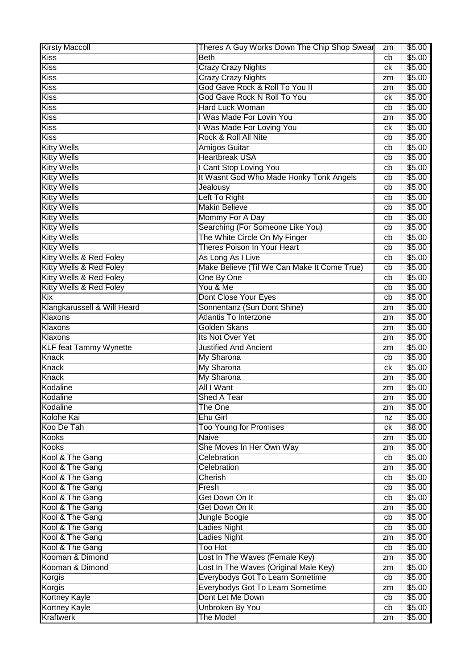| <b>Kirsty Maccoll</b>         | Theres A Guy Works Down The Chip Shop Swear | zm | \$5.00         |
|-------------------------------|---------------------------------------------|----|----------------|
| Kiss                          | <b>Beth</b>                                 | cb | \$5.00         |
| Kiss                          | <b>Crazy Crazy Nights</b>                   | ck | \$5.00         |
| Kiss                          | <b>Crazy Crazy Nights</b>                   | zm | \$5.00         |
| Kiss                          | God Gave Rock & Roll To You II              | zm | \$5.00         |
| <b>Kiss</b>                   | God Gave Rock N Roll To You                 | ck | \$5.00         |
| <b>Kiss</b>                   | <b>Hard Luck Woman</b>                      | cb | \$5.00         |
| <b>Kiss</b>                   | I Was Made For Lovin You                    | zm | \$5.00         |
| <b>Kiss</b>                   | I Was Made For Loving You                   | сk | \$5.00         |
| Kiss                          | Rock & Roll All Nite                        | cb | \$5.00         |
| <b>Kitty Wells</b>            | Amigos Guitar                               | cb | \$5.00         |
| <b>Kitty Wells</b>            | <b>Heartbreak USA</b>                       | cb | \$5.00         |
| <b>Kitty Wells</b>            | I Cant Stop Loving You                      | cb | \$5.00         |
| <b>Kitty Wells</b>            | It Wasnt God Who Made Honky Tonk Angels     | cb | \$5.00         |
| <b>Kitty Wells</b>            | Jealousy                                    | cb | \$5.00         |
| <b>Kitty Wells</b>            | Left To Right                               |    | \$5.00         |
| <b>Kitty Wells</b>            | <b>Makin Believe</b>                        | cb | \$5.00         |
|                               |                                             | cb |                |
| <b>Kitty Wells</b>            | Mommy For A Day                             | cb | \$5.00         |
| <b>Kitty Wells</b>            | Searching (For Someone Like You)            | cb | \$5.00         |
| <b>Kitty Wells</b>            | The White Circle On My Finger               | cb | \$5.00         |
| <b>Kitty Wells</b>            | Theres Poison In Your Heart                 | cb | \$5.00         |
| Kitty Wells & Red Foley       | As Long As I Live                           | cb | \$5.00         |
| Kitty Wells & Red Foley       | Make Believe (Til We Can Make It Come True) | cb | \$5.00         |
| Kitty Wells & Red Foley       | One By One                                  | cb | \$5.00         |
| Kitty Wells & Red Foley       | You & Me                                    | cb | \$5.00         |
| Kix                           | Dont Close Your Eyes                        | cb | \$5.00         |
| Klangkarussell & Will Heard   | Sonnentanz (Sun Dont Shine)                 | zm | \$5.00         |
| Klaxons                       | <b>Atlantis To Interzone</b>                | zm | \$5.00         |
| Klaxons                       | Golden Skans                                | zm | \$5.00         |
| Klaxons                       | Its Not Over Yet                            | zm | \$5.00         |
| <b>KLF feat Tammy Wynette</b> | <b>Justified And Ancient</b>                | zm | $\sqrt{$5.00}$ |
| <b>Knack</b>                  | My Sharona                                  | cb | \$5.00         |
| Knack                         | <b>My Sharona</b>                           | ck | \$5.00         |
| <b>Knack</b>                  | My Sharona                                  | zm | \$5.00         |
| Kodaline                      | All I Want                                  | zm | \$5.00         |
| Kodaline                      | Shed A Tear                                 | zm | \$5.00         |
| Kodaline                      | The One                                     | zm | \$5.00         |
| Kolohe Kai                    | <b>Ehu Girl</b>                             | nz | \$5.00         |
| Koo De Tah                    | <b>Too Young for Promises</b>               | ck | \$8.00         |
| Kooks                         | Naive                                       | zm | \$5.00         |
| <b>Kooks</b>                  | She Moves In Her Own Way                    | zm | \$5.00         |
| Kool & The Gang               | Celebration                                 | cb | \$5.00         |
| Kool & The Gang               | Celebration                                 | zm | \$5.00         |
| Kool & The Gang               | Cherish                                     | cb | \$5.00         |
| Kool & The Gang               | Fresh                                       | cb | \$5.00         |
| Kool & The Gang               | Get Down On It                              | cb | \$5.00         |
| Kool & The Gang               | Get Down On It                              | zm | \$5.00         |
| Kool & The Gang               | Jungle Boogie                               | cb | \$5.00         |
| Kool & The Gang               | <b>Ladies Night</b>                         | cb | \$5.00         |
| Kool & The Gang               | <b>Ladies Night</b>                         | zm | \$5.00         |
| Kool & The Gang               | Too Hot                                     | cb | \$5.00         |
| Kooman & Dimond               | Lost In The Waves (Female Key)              | zm | \$5.00         |
| Kooman & Dimond               | Lost In The Waves (Original Male Key)       | zm | \$5.00         |
| Korgis                        | Everybodys Got To Learn Sometime            | cb | \$5.00         |
| Korgis                        | Everybodys Got To Learn Sometime            | zm | \$5.00         |
| Kortney Kayle                 | Dont Let Me Down                            | cb | \$5.00         |
| <b>Kortney Kayle</b>          | Unbroken By You                             | cb | \$5.00         |
| <b>Kraftwerk</b>              | <b>The Model</b>                            |    | \$5.00         |
|                               |                                             | zm |                |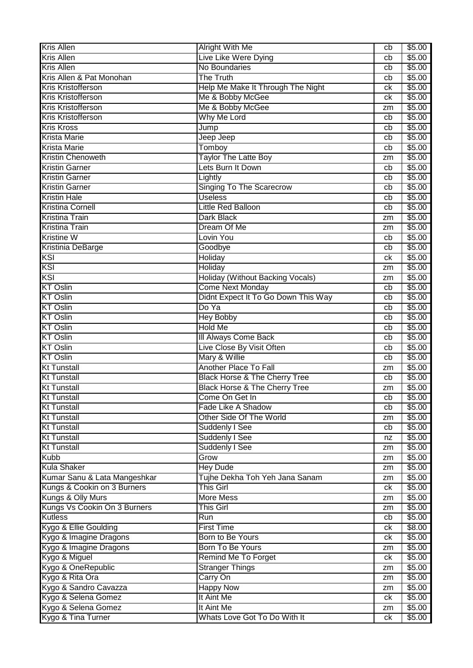| <b>Kris Allen</b>                              | <b>Alright With Me</b>                     | cb       | \$5.00           |
|------------------------------------------------|--------------------------------------------|----------|------------------|
| <b>Kris Allen</b>                              | Live Like Were Dying                       | cb       | \$5.00           |
| <b>Kris Allen</b>                              | No Boundaries                              | cb       | \$5.00           |
| Kris Allen & Pat Monohan                       | The Truth                                  | cb       | \$5.00           |
| <b>Kris Kristofferson</b>                      | Help Me Make It Through The Night          | ck       | \$5.00           |
| <b>Kris Kristofferson</b>                      | Me & Bobby McGee                           | ck       | \$5.00           |
| Kris Kristofferson                             | Me & Bobby McGee                           | zm       | \$5.00           |
| Kris Kristofferson                             | Why Me Lord                                | cb       | \$5.00           |
| <b>Kris Kross</b>                              | Jump                                       | cb       | \$5.00           |
| <b>Krista Marie</b>                            | Jeep Jeep                                  | cb       | \$5.00           |
| <b>Krista Marie</b>                            | Tomboy                                     | cb       | \$5.00           |
| <b>Kristin Chenoweth</b>                       | <b>Taylor The Latte Boy</b>                | zm       | \$5.00           |
| <b>Kristin Garner</b>                          | Lets Burn It Down                          | cb       | \$5.00           |
| <b>Kristin Garner</b>                          | Lightly                                    | cb       | \$5.00           |
| <b>Kristin Garner</b>                          | <b>Singing To The Scarecrow</b>            | cb       | \$5.00           |
| <b>Kristin Hale</b>                            | <b>Useless</b>                             | cb       | \$5.00           |
| <b>Kristina Cornell</b>                        | Little Red Balloon                         | cb       | \$5.00           |
| <b>Kristina Train</b>                          | <b>Dark Black</b>                          | zm       | \$5.00           |
| <b>Kristina Train</b>                          | Dream Of Me                                | zm       | \$5.00           |
| <b>Kristine W</b>                              | Lovin You                                  | cb       | \$5.00           |
| Kristinia DeBarge                              | Goodbye                                    | cb       | \$5.00           |
| KSI                                            | Holiday                                    | сk       | \$5.00           |
| KSI                                            | Holiday                                    | zm       | \$5.00           |
| KSI                                            | <b>Holiday (Without Backing Vocals)</b>    | zm       | \$5.00           |
| <b>KT Oslin</b>                                | <b>Come Next Monday</b>                    | cb       | \$5.00           |
| <b>KT Oslin</b>                                | Didnt Expect It To Go Down This Way        | cb       | \$5.00           |
| <b>KT Oslin</b>                                | Do Ya                                      | cb       | \$5.00           |
| <b>KT Oslin</b>                                | <b>Hey Bobby</b>                           | cb       | \$5.00           |
| <b>KT Oslin</b>                                | <b>Hold Me</b>                             | cb       | \$5.00           |
|                                                |                                            |          |                  |
| <b>KT Oslin</b>                                |                                            | cb       |                  |
| <b>KT Oslin</b>                                | III Always Come Back                       | cb       | \$5.00           |
| <b>KT Oslin</b>                                | Live Close By Visit Often<br>Mary & Willie | cb       | \$5.00<br>\$5.00 |
| <b>Kt Tunstall</b>                             | <b>Another Place To Fall</b>               | zm       |                  |
| <b>Kt Tunstall</b>                             | <b>Black Horse &amp; The Cherry Tree</b>   | cb       | \$5.00<br>\$5.00 |
| <b>Kt Tunstall</b>                             | <b>Black Horse &amp; The Cherry Tree</b>   | zm       | \$5.00           |
|                                                | Come On Get In                             |          |                  |
| <b>Kt Tunstall</b>                             | Fade Like A Shadow                         | cb<br>cb | \$5.00<br>\$5.00 |
| <b>Kt Tunstall</b><br><b>Kt Tunstall</b>       | Other Side Of The World                    | zm       | \$5.00           |
| <b>Kt Tunstall</b>                             | Suddenly I See                             | cb       |                  |
| <b>Kt Tunstall</b>                             |                                            | nz       | \$5.00<br>\$5.00 |
| <b>Kt Tunstall</b>                             | <b>Suddenly I See</b><br>Suddenly I See    | zm       | \$5.00           |
| <b>Kubb</b>                                    | Grow                                       | zm       |                  |
| <b>Kula Shaker</b>                             | <b>Hey Dude</b>                            | zm       | \$5.00<br>\$5.00 |
| Kumar Sanu & Lata Mangeshkar                   | Tujhe Dekha Toh Yeh Jana Sanam             | zm       | \$5.00           |
| Kungs & Cookin on 3 Burners                    | <b>This Girl</b>                           | ck       |                  |
|                                                | <b>More Mess</b>                           | zm       | \$5.00<br>\$5.00 |
| Kungs & Olly Murs                              | <b>This Girl</b>                           | zm       | \$5.00           |
| Kungs Vs Cookin On 3 Burners<br><b>Kutless</b> | Run                                        | cb       | \$5.00           |
| Kygo & Ellie Goulding                          | <b>First Time</b>                          | ck       | \$8.00           |
| Kygo & Imagine Dragons                         | Born to Be Yours                           | ck       | \$5.00           |
| Kygo & Imagine Dragons                         | Born To Be Yours                           | zm       | \$5.00           |
| Kygo & Miguel                                  | Remind Me To Forget                        | ck       | \$5.00           |
| Kygo & OneRepublic                             | <b>Stranger Things</b>                     | zm       | \$5.00           |
| Kygo & Rita Ora                                | Carry On                                   | zm       | \$5.00           |
| Kygo & Sandro Cavazza                          | <b>Happy Now</b>                           | zm       | \$5.00           |
| Kygo & Selena Gomez                            | It Aint Me                                 | ck       | \$5.00           |
| Kygo & Selena Gomez<br>Kygo & Tina Turner      | It Aint Me                                 | zm       | \$5.00           |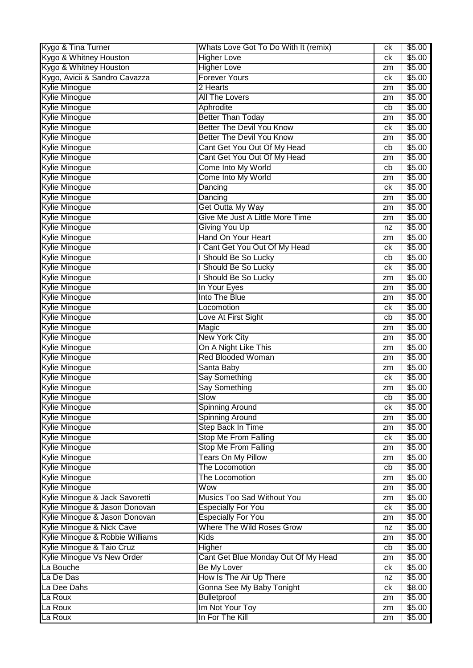| Kygo & Tina Turner              | Whats Love Got To Do With It (remix) | ck | \$5.00 |
|---------------------------------|--------------------------------------|----|--------|
| Kygo & Whitney Houston          | <b>Higher Love</b>                   | ck | \$5.00 |
| Kygo & Whitney Houston          | <b>Higher Love</b>                   | zm | \$5.00 |
| Kygo, Avicii & Sandro Cavazza   | <b>Forever Yours</b>                 | ck | \$5.00 |
| <b>Kylie Minogue</b>            | 2 Hearts                             | zm | \$5.00 |
| <b>Kylie Minogue</b>            | <b>All The Lovers</b>                | zm | \$5.00 |
| <b>Kylie Minogue</b>            | Aphrodite                            | cb | \$5.00 |
| <b>Kylie Minogue</b>            | <b>Better Than Today</b>             | zm | \$5.00 |
| Kylie Minogue                   | <b>Better The Devil You Know</b>     | ck | \$5.00 |
| <b>Kylie Minogue</b>            | <b>Better The Devil You Know</b>     | zm | \$5.00 |
| <b>Kylie Minogue</b>            | Cant Get You Out Of My Head          | cb | \$5.00 |
| <b>Kylie Minogue</b>            | Cant Get You Out Of My Head          | zm | \$5.00 |
| <b>Kylie Minogue</b>            | Come Into My World                   | cb | \$5.00 |
| <b>Kylie Minogue</b>            | Come Into My World                   | zm | \$5.00 |
| <b>Kylie Minogue</b>            | Dancing                              | ck | \$5.00 |
| <b>Kylie Minogue</b>            | Dancing                              | zm | \$5.00 |
| <b>Kylie Minogue</b>            | Get Outta My Way                     | zm | \$5.00 |
| <b>Kylie Minogue</b>            | Give Me Just A Little More Time      | zm | \$5.00 |
| <b>Kylie Minogue</b>            | <b>Giving You Up</b>                 | nz | \$5.00 |
| Kylie Minogue                   | Hand On Your Heart                   | zm | \$5.00 |
| <b>Kylie Minogue</b>            | I Cant Get You Out Of My Head        | ck | \$5.00 |
| <b>Kylie Minogue</b>            | Should Be So Lucky                   | cb | \$5.00 |
| <b>Kylie Minogue</b>            | Should Be So Lucky                   | ck | \$5.00 |
| <b>Kylie Minogue</b>            | Should Be So Lucky                   | zm | \$5.00 |
| <b>Kylie Minogue</b>            | In Your Eyes                         | zm | \$5.00 |
| <b>Kylie Minogue</b>            | Into The Blue                        | zm | \$5.00 |
| <b>Kylie Minogue</b>            | Locomotion                           | ck | \$5.00 |
| Kylie Minogue                   | Love At First Sight                  | cb | \$5.00 |
| <b>Kylie Minogue</b>            | Magic                                | zm | \$5.00 |
| <b>Kylie Minogue</b>            | <b>New York City</b>                 | zm | \$5.00 |
| <b>Kylie Minogue</b>            | On A Night Like This                 | zm | \$5.00 |
| <b>Kylie Minogue</b>            | <b>Red Blooded Woman</b>             | zm | \$5.00 |
| <b>Kylie Minogue</b>            | Santa Baby                           | zm | \$5.00 |
| <b>Kylie Minogue</b>            | <b>Say Something</b>                 | ck | \$5.00 |
| <b>Kylie Minogue</b>            | <b>Say Something</b>                 | zm | \$5.00 |
| Kylie Minogue                   | Slow                                 | cb | \$5.00 |
| <b>Kylie Minogue</b>            | <b>Spinning Around</b>               | ck | \$5.00 |
| <b>Kylie Minogue</b>            | <b>Spinning Around</b>               | zm | \$5.00 |
| <b>Kylie Minogue</b>            | Step Back In Time                    | zm | \$5.00 |
| <b>Kylie Minogue</b>            | <b>Stop Me From Falling</b>          | ck | \$5.00 |
| Kylie Minogue                   | <b>Stop Me From Falling</b>          | zm | \$5.00 |
| <b>Kylie Minogue</b>            | <b>Tears On My Pillow</b>            | zm | \$5.00 |
| Kylie Minogue                   | The Locomotion                       | cb | \$5.00 |
| <b>Kylie Minogue</b>            | The Locomotion                       | zm | \$5.00 |
| <b>Kylie Minogue</b>            | Wow                                  | zm | \$5.00 |
| Kylie Minogue & Jack Savoretti  | Musics Too Sad Without You           | zm | \$5.00 |
| Kylie Minogue & Jason Donovan   | <b>Especially For You</b>            | ck | \$5.00 |
| Kylie Minogue & Jason Donovan   | <b>Especially For You</b>            | zm | \$5.00 |
| Kylie Minogue & Nick Cave       | <b>Where The Wild Roses Grow</b>     | nz | \$5.00 |
| Kylie Minogue & Robbie Williams | Kids                                 | zm | \$5.00 |
| Kylie Minogue & Taio Cruz       | Higher                               | cb | \$5.00 |
| Kylie Minogue Vs New Order      | Cant Get Blue Monday Out Of My Head  | zm | \$5.00 |
| La Bouche                       | <b>Be My Lover</b>                   | ck | \$5.00 |
| La De Das                       | How Is The Air Up There              | nz | \$5.00 |
| La Dee Dahs                     | Gonna See My Baby Tonight            | ck | \$8.00 |
| La Roux                         | <b>Bulletproof</b>                   | zm | \$5.00 |
| La Roux                         | Im Not Your Toy                      | zm | \$5.00 |
| La Roux                         | In For The Kill                      | zm | \$5.00 |
|                                 |                                      |    |        |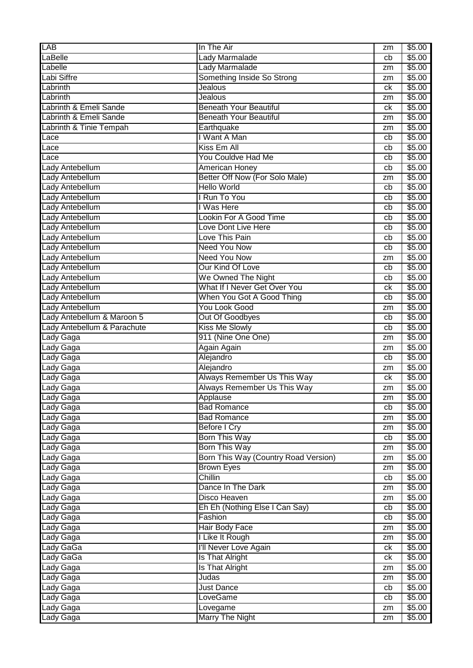| LAB                         | In The Air                           | zm | \$5.00 |
|-----------------------------|--------------------------------------|----|--------|
| LaBelle                     | <b>Lady Marmalade</b>                | cb | \$5.00 |
| Labelle                     | Lady Marmalade                       | zm | \$5.00 |
| Labi Siffre                 | Something Inside So Strong           | zm | \$5.00 |
| Labrinth                    | Jealous                              | сk | \$5.00 |
| Labrinth                    | Jealous                              | zm | \$5.00 |
| Labrinth & Emeli Sande      | <b>Beneath Your Beautiful</b>        | сk | \$5.00 |
| Labrinth & Emeli Sande      | <b>Beneath Your Beautiful</b>        | zm | \$5.00 |
| Labrinth & Tinie Tempah     | Earthquake                           | zm | \$5.00 |
| Lace                        | I Want A Man                         | cb | \$5.00 |
| Lace                        | Kiss Em All                          | cb | \$5.00 |
| Lace                        | You Couldve Had Me                   | cb | \$5.00 |
| Lady Antebellum             | <b>American Honey</b>                | cb | \$5.00 |
| Lady Antebellum             | Better Off Now (For Solo Male)       | zm | \$5.00 |
| Lady Antebellum             | <b>Hello World</b>                   | cb | \$5.00 |
| Lady Antebellum             | I Run To You                         | cb | \$5.00 |
| Lady Antebellum             | I Was Here                           | cb | \$5.00 |
| Lady Antebellum             | <b>Lookin For A Good Time</b>        | cb | \$5.00 |
| Lady Antebellum             | Love Dont Live Here                  | cb | \$5.00 |
| Lady Antebellum             | Love This Pain                       | cb | \$5.00 |
| Lady Antebellum             | <b>Need You Now</b>                  | cb | \$5.00 |
| Lady Antebellum             | <b>Need You Now</b>                  | zm | \$5.00 |
| Lady Antebellum             | <b>Our Kind Of Love</b>              | cb | \$5.00 |
| Lady Antebellum             | We Owned The Night                   | cb | \$5.00 |
| Lady Antebellum             | What If I Never Get Over You         | ck | \$5.00 |
| Lady Antebellum             | When You Got A Good Thing            | cb | \$5.00 |
| Lady Antebellum             | <b>You Look Good</b>                 | zm | \$5.00 |
| Lady Antebellum & Maroon 5  | Out Of Goodbyes                      | cb | \$5.00 |
| Lady Antebellum & Parachute | <b>Kiss Me Slowly</b>                | cb | \$5.00 |
| Lady Gaga                   | 911 (Nine One One)                   | zm | \$5.00 |
| Lady Gaga                   | Again Again                          | zm | \$5.00 |
| Lady Gaga                   | Alejandro                            | cb | \$5.00 |
| Lady Gaga                   | Alejandro                            | zm | \$5.00 |
| Lady Gaga                   | Always Remember Us This Way          | ck | \$5.00 |
| Lady Gaga                   | <b>Always Remember Us This Way</b>   | zm | \$5.00 |
| Lady Gaga                   | Applause                             | zm | \$5.00 |
| Lady Gaga                   | <b>Bad Romance</b>                   | cb | \$5.00 |
| Lady Gaga                   | <b>Bad Romance</b>                   | zm | \$5.00 |
| Lady Gaga                   | <b>Before I Cry</b>                  | zm | \$5.00 |
| Lady Gaga                   | <b>Born This Way</b>                 | cb | \$5.00 |
| Lady Gaga                   | Born This Way                        | zm | \$5.00 |
| Lady Gaga                   | Born This Way (Country Road Version) | zm | \$5.00 |
| Lady Gaga                   | <b>Brown Eyes</b>                    | zm | \$5.00 |
| Lady Gaga                   | Chillin                              | cb | \$5.00 |
| Lady Gaga                   | Dance In The Dark                    | zm | \$5.00 |
| Lady Gaga                   | <b>Disco Heaven</b>                  | zm | \$5.00 |
| Lady Gaga                   | Eh Eh (Nothing Else I Can Say)       | cb | \$5.00 |
| Lady Gaga                   | Fashion                              | cb | \$5.00 |
| Lady Gaga                   | Hair Body Face                       | zm | \$5.00 |
| Lady Gaga                   | I Like It Rough                      | zm | \$5.00 |
| Lady GaGa                   | I'll Never Love Again                | ck | \$5.00 |
| Lady GaGa                   | Is That Alright                      | ck | \$5.00 |
| Lady Gaga                   | <b>Is That Alright</b>               | zm | \$5.00 |
| Lady Gaga                   | Judas                                | zm | \$5.00 |
| Lady Gaga                   | <b>Just Dance</b>                    | cb | \$5.00 |
| Lady Gaga                   | LoveGame                             | cb | \$5.00 |
| Lady Gaga                   | Lovegame                             | zm | \$5.00 |
| Lady Gaga                   | <b>Marry The Night</b>               | zm | \$5.00 |
|                             |                                      |    |        |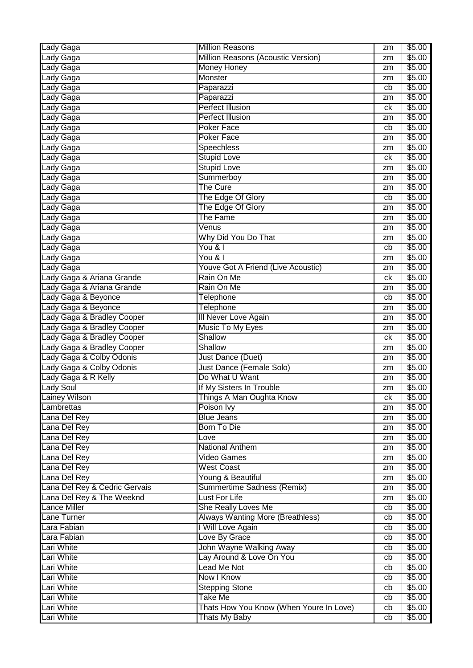| Lady Gaga                     | <b>Million Reasons</b>                    | zm | \$5.00 |
|-------------------------------|-------------------------------------------|----|--------|
| Lady Gaga                     | Million Reasons (Acoustic Version)        | zm | \$5.00 |
| Lady Gaga                     | <b>Money Honey</b>                        | zm | \$5.00 |
| Lady Gaga                     | <b>Monster</b>                            | zm | \$5.00 |
| Lady Gaga                     | Paparazzi                                 | cb | \$5.00 |
| Lady Gaga                     | Paparazzi                                 | zm | \$5.00 |
| Lady Gaga                     | <b>Perfect Illusion</b>                   | ck | \$5.00 |
| Lady Gaga                     | <b>Perfect Illusion</b>                   | zm | \$5.00 |
| Lady Gaga                     | <b>Poker Face</b>                         | cb | \$5.00 |
| Lady Gaga                     | <b>Poker Face</b>                         | zm | \$5.00 |
| Lady Gaga                     | Speechless                                | zm | \$5.00 |
| Lady Gaga                     | <b>Stupid Love</b>                        | ck | \$5.00 |
| Lady Gaga                     | <b>Stupid Love</b>                        | zm | \$5.00 |
| Lady Gaga                     | Summerboy                                 | zm | \$5.00 |
| Lady Gaga                     | <b>The Cure</b>                           | zm | \$5.00 |
|                               | The Edge Of Glory                         |    | \$5.00 |
| Lady Gaga                     |                                           | cb |        |
| Lady Gaga                     | The Edge Of Glory                         | zm | \$5.00 |
| Lady Gaga                     | <b>The Fame</b>                           | zm | \$5.00 |
| Lady Gaga                     | Venus                                     | zm | \$5.00 |
| Lady Gaga                     | Why Did You Do That                       | zm | \$5.00 |
| Lady Gaga                     | You & I                                   | cb | \$5.00 |
| Lady Gaga                     | You & I                                   | zm | \$5.00 |
| Lady Gaga                     | <b>Youve Got A Friend (Live Acoustic)</b> | zm | \$5.00 |
| Lady Gaga & Ariana Grande     | Rain On Me                                | ck | \$5.00 |
| Lady Gaga & Ariana Grande     | Rain On Me                                | zm | \$5.00 |
| Lady Gaga & Beyonce           | Telephone                                 | cb | \$5.00 |
| Lady Gaga & Beyonce           | <b>Telephone</b>                          | zm | \$5.00 |
| Lady Gaga & Bradley Cooper    | Ill Never Love Again                      | zm | \$5.00 |
| Lady Gaga & Bradley Cooper    | Music To My Eyes                          | zm | \$5.00 |
| Lady Gaga & Bradley Cooper    | Shallow                                   | ck | \$5.00 |
| Lady Gaga & Bradley Cooper    | Shallow                                   | zm | \$5.00 |
| Lady Gaga & Colby Odonis      | Just Dance (Duet)                         | zm | \$5.00 |
| Lady Gaga & Colby Odonis      | Just Dance (Female Solo)                  | zm | \$5.00 |
| Lady Gaga & R Kelly           | Do What U Want                            | zm | \$5.00 |
| <b>Lady Soul</b>              | If My Sisters In Trouble                  | zm | \$5.00 |
| Lainey Wilson                 | Things A Man Oughta Know                  | сk | \$5.00 |
| Lambrettas                    |                                           |    |        |
|                               |                                           |    |        |
|                               | Poison Ivy                                | zm | \$5.00 |
| Lana Del Rey                  | <b>Blue Jeans</b>                         | zm | \$5.00 |
| Lana Del Rey                  | <b>Born To Die</b>                        | zm | \$5.00 |
| Lana Del Rey                  | Love                                      | zm | \$5.00 |
| Lana Del Rey                  | <b>National Anthem</b>                    | zm | \$5.00 |
| Lana Del Rey                  | Video Games                               | zm | \$5.00 |
| Lana Del Rey                  | <b>West Coast</b>                         | zm | \$5.00 |
| Lana Del Rey                  | Young & Beautiful                         | zm | \$5.00 |
| Lana Del Rey & Cedric Gervais | Summertime Sadness (Remix)                | zm | \$5.00 |
| Lana Del Rey & The Weeknd     | <b>Lust For Life</b>                      | zm | \$5.00 |
| <b>Lance Miller</b>           | She Really Loves Me                       | cb | \$5.00 |
| Lane Turner                   | Always Wanting More (Breathless)          | cb | \$5.00 |
| Lara Fabian                   | I Will Love Again                         | cb | \$5.00 |
| Lara Fabian                   | Love By Grace                             | cb | \$5.00 |
| Lari White                    | <b>John Wayne Walking Away</b>            | cb | \$5.00 |
| Lari White                    | Lay Around & Love On You                  | cb | \$5.00 |
| Lari White                    | <b>Lead Me Not</b>                        | cb | \$5.00 |
| Lari White                    | Now I Know                                | cb | \$5.00 |
| Lari White                    | <b>Stepping Stone</b>                     | cb | \$5.00 |
| Lari White                    | <b>Take Me</b>                            | cb | \$5.00 |
| Lari White                    | Thats How You Know (When Youre In Love)   | cb | \$5.00 |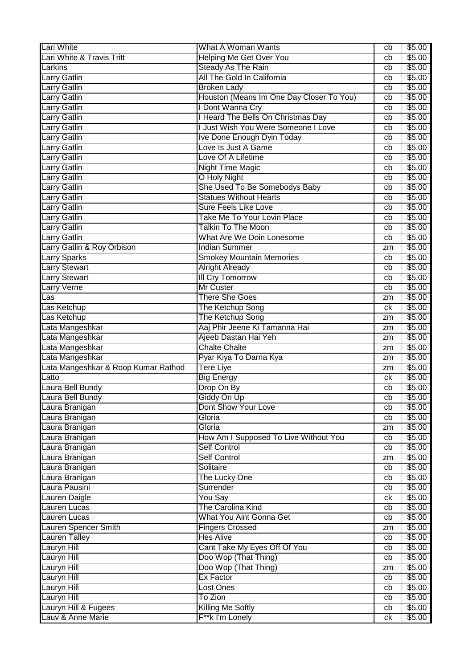| Lari White                          | What A Woman Wants                       | cb | \$5.00 |
|-------------------------------------|------------------------------------------|----|--------|
| Lari White & Travis Tritt           | <b>Helping Me Get Over You</b>           | cb | \$5.00 |
| Larkins                             | <b>Steady As The Rain</b>                | cb | \$5.00 |
| Larry Gatlin                        | All The Gold In California               | cb | \$5.00 |
| Larry Gatlin                        | <b>Broken Lady</b>                       | cb | \$5.00 |
| <b>Larry Gatlin</b>                 | Houston (Means Im One Day Closer To You) | cb | \$5.00 |
| <b>Larry Gatlin</b>                 | I Dont Wanna Cry                         | cb | \$5.00 |
| Larry Gatlin                        | I Heard The Bells On Christmas Day       | cb | \$5.00 |
| Larry Gatlin                        | I Just Wish You Were Someone I Love      | cb | \$5.00 |
| Larry Gatlin                        | Ive Done Enough Dyin Today               | cb | \$5.00 |
| Larry Gatlin                        | Love Is Just A Game                      | cb | \$5.00 |
| Larry Gatlin                        | Love Of A Lifetime                       | cb | \$5.00 |
| Larry Gatlin                        | <b>Night Time Magic</b>                  | cb | \$5.00 |
| Larry Gatlin                        | O Holy Night                             | cb | \$5.00 |
| Larry Gatlin                        | She Used To Be Somebodys Baby            | cb | \$5.00 |
| Larry Gatlin                        | <b>Statues Without Hearts</b>            | cb | \$5.00 |
| Larry Gatlin                        | <b>Sure Feels Like Love</b>              | cb | \$5.00 |
| Larry Gatlin                        | Take Me To Your Lovin Place              | cb | \$5.00 |
| Larry Gatlin                        | <b>Talkin To The Moon</b>                | cb | \$5.00 |
| Larry Gatlin                        | What Are We Doin Lonesome                | cb | \$5.00 |
| Larry Gatlin & Roy Orbison          | <b>Indian Summer</b>                     | zm | \$5.00 |
| <b>Larry Sparks</b>                 | <b>Smokey Mountain Memories</b>          | cb | \$5.00 |
| <b>Larry Stewart</b>                | <b>Alright Already</b>                   | cb | \$5.00 |
| <b>Larry Stewart</b>                | <b>III Cry Tomorrow</b>                  | cb | \$5.00 |
| <b>Larry Verne</b>                  | <b>Mr Custer</b>                         | cb | \$5.00 |
| Las                                 | <b>There She Goes</b>                    | zm | \$5.00 |
| Las Ketchup                         | The Ketchup Song                         | ck | \$5.00 |
| Las Ketchup                         | The Ketchup Song                         | zm | \$5.00 |
| Lata Mangeshkar                     | Aaj Phir Jeene Ki Tamanna Hai            | zm | \$5.00 |
| Lata Mangeshkar                     | Ajeeb Dastan Hai Yeh                     | zm | \$5.00 |
| Lata Mangeshkar                     | <b>Chalte Chalte</b>                     | zm | \$5.00 |
| Lata Mangeshkar                     | Pyar Kiya To Darna Kya                   | zm | \$5.00 |
| Lata Mangeshkar & Roop Kumar Rathod | Tere Liye                                | zm | \$5.00 |
| Latto                               | <b>Big Energy</b>                        | ck | \$5.00 |
| Laura Bell Bundy                    | Drop On By                               | cb | \$5.00 |
| Laura Bell Bundy                    | Giddy On Up                              | cb | \$5.00 |
| Laura Branigan                      | Dont Show Your Love                      | cb | \$5.00 |
| Laura Branigan                      | Gloria                                   | cb | \$5.00 |
| Laura Branigan                      | Gloria                                   | zm | \$5.00 |
| Laura Branigan                      | How Am I Supposed To Live Without You    | cb | \$5.00 |
| Laura Branigan                      | <b>Self Control</b>                      | cb | \$5.00 |
| Laura Branigan                      | <b>Self Control</b>                      | zm | \$5.00 |
| Laura Branigan                      | Solitaire                                | cb | \$5.00 |
| Laura Branigan                      | The Lucky One                            | cb | \$5.00 |
| Laura Pausini                       | Surrender                                | cb | \$5.00 |
| Lauren Daigle                       | You Say                                  | ck | \$5.00 |
| Lauren Lucas                        | The Carolina Kind                        | cb | \$5.00 |
| Lauren Lucas                        | <b>What You Aint Gonna Get</b>           | cb | \$5.00 |
| Lauren Spencer Smith                | <b>Fingers Crossed</b>                   | zm | \$5.00 |
| <b>Lauren Talley</b>                | <b>Hes Alive</b>                         | cb | \$5.00 |
| <b>Lauryn Hill</b>                  | Cant Take My Eyes Off Of You             | cb | \$5.00 |
| Lauryn Hill                         | Doo Wop (That Thing)                     | cb | \$5.00 |
| Lauryn Hill                         | Doo Wop (That Thing)                     | zm | \$5.00 |
| Lauryn Hill                         | Ex Factor                                | cb | \$5.00 |
| Lauryn Hill                         | Lost Ones                                | cb | \$5.00 |
| Lauryn Hill                         | To Zion                                  | cb | \$5.00 |
| Lauryn Hill & Fugees                | <b>Killing Me Softly</b>                 | cb | \$5.00 |
| Lauv & Anne Marie                   | F**k I'm Lonely                          | ck | \$5.00 |
|                                     |                                          |    |        |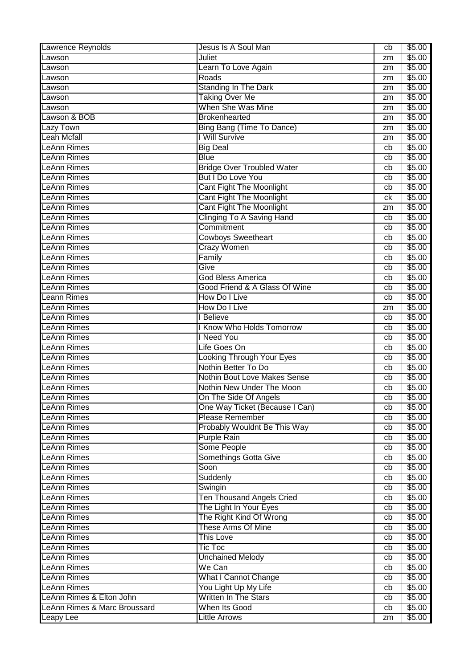| Lawrence Reynolds            | Jesus Is A Soul Man               | cb | \$5.00 |
|------------------------------|-----------------------------------|----|--------|
| Lawson                       | Juliet                            | zm | \$5.00 |
| Lawson                       | Learn To Love Again               | zm | \$5.00 |
| Lawson                       | Roads                             | zm | \$5.00 |
| Lawson                       | <b>Standing In The Dark</b>       | zm | \$5.00 |
| Lawson                       | <b>Taking Over Me</b>             | zm | \$5.00 |
| Lawson                       | When She Was Mine                 | zm | \$5.00 |
| Lawson & BOB                 | <b>Brokenhearted</b>              | zm | \$5.00 |
| Lazy Town                    | Bing Bang (Time To Dance)         | zm | \$5.00 |
| <b>Leah Mcfall</b>           | I Will Survive                    | zm | \$5.00 |
| LeAnn Rimes                  | <b>Big Deal</b>                   | cb | \$5.00 |
| LeAnn Rimes                  | <b>Blue</b>                       | cb | \$5.00 |
| <b>LeAnn Rimes</b>           | <b>Bridge Over Troubled Water</b> | cb | \$5.00 |
| LeAnn Rimes                  | But I Do Love You                 | cb | \$5.00 |
| <b>LeAnn Rimes</b>           | <b>Cant Fight The Moonlight</b>   | cb | \$5.00 |
| <b>LeAnn Rimes</b>           | <b>Cant Fight The Moonlight</b>   | ck | \$5.00 |
| <b>LeAnn Rimes</b>           | <b>Cant Fight The Moonlight</b>   | zm | \$5.00 |
| LeAnn Rimes                  | <b>Clinging To A Saving Hand</b>  | cb | \$5.00 |
| LeAnn Rimes                  | Commitment                        | cb | \$5.00 |
| <b>LeAnn Rimes</b>           | <b>Cowboys Sweetheart</b>         | cb | \$5.00 |
| <b>LeAnn Rimes</b>           | <b>Crazy Women</b>                | cb | \$5.00 |
| LeAnn Rimes                  |                                   |    |        |
|                              | Family                            | cb | \$5.00 |
| <b>LeAnn Rimes</b>           | Give                              | cb | \$5.00 |
| <b>LeAnn Rimes</b>           | <b>God Bless America</b>          | cb | \$5.00 |
| LeAnn Rimes                  | Good Friend & A Glass Of Wine     | cb | \$5.00 |
| <b>Leann Rimes</b>           | How Do I Live                     | cb | \$5.00 |
| <b>LeAnn Rimes</b>           | How Do I Live                     | zm | \$5.00 |
| <b>LeAnn Rimes</b>           | I Believe                         | cb | \$5.00 |
| LeAnn Rimes                  | Know Who Holds Tomorrow           | cb | \$5.00 |
| LeAnn Rimes                  | <b>Need You</b>                   | cb | \$5.00 |
| LeAnn Rimes                  | Life Goes On                      | cb | \$5.00 |
| <b>LeAnn Rimes</b>           | Looking Through Your Eyes         | cb | \$5.00 |
| <b>LeAnn Rimes</b>           | Nothin Better To Do               | cb | \$5.00 |
| <b>LeAnn Rimes</b>           | Nothin Bout Love Makes Sense      | cb | \$5.00 |
| <b>LeAnn Rimes</b>           | Nothin New Under The Moon         | cb | \$5.00 |
| LeAnn Rimes                  | On The Side Of Angels             | cb | \$5.00 |
| <b>LeAnn Rimes</b>           | One Way Ticket (Because I Can)    | cb | \$5.00 |
| <b>LeAnn Rimes</b>           | Please Remember                   | cb | \$5.00 |
| <b>LeAnn Rimes</b>           | Probably Wouldnt Be This Way      | cb | \$5.00 |
| <b>LeAnn Rimes</b>           | <b>Purple Rain</b>                | cb | \$5.00 |
| LeAnn Rimes                  | Some People                       | cb | \$5.00 |
| <b>LeAnn Rimes</b>           | Somethings Gotta Give             | cb | \$5.00 |
| <b>LeAnn Rimes</b>           | Soon                              | cb | \$5.00 |
| <b>LeAnn Rimes</b>           | Suddenly                          | cb | \$5.00 |
| <b>LeAnn Rimes</b>           | Swingin                           | cb | \$5.00 |
| LeAnn Rimes                  | <b>Ten Thousand Angels Cried</b>  | cb | \$5.00 |
| <b>LeAnn Rimes</b>           | The Light In Your Eyes            | cb | \$5.00 |
| <b>LeAnn Rimes</b>           | The Right Kind Of Wrong           | cb | \$5.00 |
| LeAnn Rimes                  | These Arms Of Mine                | cb | \$5.00 |
| LeAnn Rimes                  | <b>This Love</b>                  | cb | \$5.00 |
| LeAnn Rimes                  | <b>Tic Toc</b>                    | cb | \$5.00 |
| <b>LeAnn Rimes</b>           | <b>Unchained Melody</b>           | cb | \$5.00 |
| LeAnn Rimes                  | We Can                            | cb | \$5.00 |
| <b>LeAnn Rimes</b>           | What I Cannot Change              | cb | \$5.00 |
| <b>LeAnn Rimes</b>           | You Light Up My Life              | cb | \$5.00 |
| LeAnn Rimes & Elton John     | Written In The Stars              | cb | \$5.00 |
| LeAnn Rimes & Marc Broussard | When Its Good                     | cb | \$5.00 |
| <b>Leapy Lee</b>             | <b>Little Arrows</b>              | zm | \$5.00 |
|                              |                                   |    |        |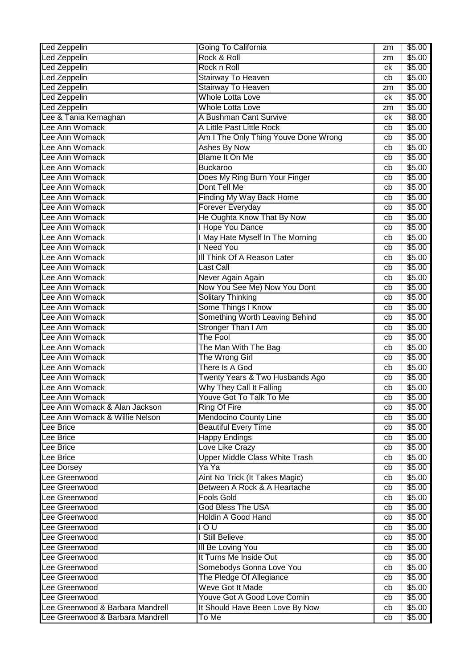| Led Zeppelin                     | Going To California                   | zm       | \$5.00 |
|----------------------------------|---------------------------------------|----------|--------|
| <b>Led Zeppelin</b>              | Rock & Roll                           | zm       | \$5.00 |
| <b>Led Zeppelin</b>              | Rock n Roll                           | сk       | \$5.00 |
| <b>Led Zeppelin</b>              | Stairway To Heaven                    | cb       | \$5.00 |
| <b>Led Zeppelin</b>              | Stairway To Heaven                    | zm       | \$5.00 |
| <b>Led Zeppelin</b>              | <b>Whole Lotta Love</b>               | ck       | \$5.00 |
| <b>Led Zeppelin</b>              | <b>Whole Lotta Love</b>               | zm       | \$5.00 |
| Lee & Tania Kernaghan            | A Bushman Cant Survive                | ck       | \$8.00 |
| Lee Ann Womack                   | A Little Past Little Rock             | cb       | \$5.00 |
| Lee Ann Womack                   | Am I The Only Thing Youve Done Wrong  | cb       | \$5.00 |
| Lee Ann Womack                   | <b>Ashes By Now</b>                   | cb       | \$5.00 |
| Lee Ann Womack                   | <b>Blame It On Me</b>                 | cb       | \$5.00 |
| Lee Ann Womack                   | <b>Buckaroo</b>                       | cb       | \$5.00 |
| Lee Ann Womack                   | Does My Ring Burn Your Finger         | cb       | \$5.00 |
| Lee Ann Womack                   | Dont Tell Me                          | cb       | \$5.00 |
| Lee Ann Womack                   | Finding My Way Back Home              | cb       | \$5.00 |
| Lee Ann Womack                   | Forever Everyday                      | cb       | \$5.00 |
| Lee Ann Womack                   | He Oughta Know That By Now            | cb       | \$5.00 |
| Lee Ann Womack                   | <b>Hope You Dance</b>                 | cb       | \$5.00 |
| Lee Ann Womack                   | I May Hate Myself In The Morning      | cb       | \$5.00 |
| Lee Ann Womack                   | I Need You                            | cb       | \$5.00 |
| Lee Ann Womack                   | III Think Of A Reason Later           | cb       | \$5.00 |
| Lee Ann Womack                   | Last Call                             | cb       | \$5.00 |
| Lee Ann Womack                   | Never Again Again                     | cb       | \$5.00 |
| Lee Ann Womack                   | Now You See Me) Now You Dont          | cb       | \$5.00 |
| Lee Ann Womack                   | <b>Solitary Thinking</b>              | cb       | \$5.00 |
| Lee Ann Womack                   | Some Things I Know                    | cb       | \$5.00 |
| Lee Ann Womack                   | Something Worth Leaving Behind        | cb       | \$5.00 |
| Lee Ann Womack                   | <b>Stronger Than I Am</b>             | cb       | \$5.00 |
| Lee Ann Womack                   | The Fool                              | cb       | \$5.00 |
| Lee Ann Womack                   | The Man With The Bag                  | cb       | \$5.00 |
| Lee Ann Womack                   | The Wrong Girl                        | cb       | \$5.00 |
| Lee Ann Womack                   | There Is A God                        | cb       | \$5.00 |
| Lee Ann Womack                   | Twenty Years & Two Husbands Ago       | cb       | \$5.00 |
| Lee Ann Womack                   | Why They Call It Falling              | cb       | \$5.00 |
| Lee Ann Womack                   | Youve Got To Talk To Me               | cb       | \$5.00 |
| Lee Ann Womack & Alan Jackson    | <b>Ring Of Fire</b>                   | cb       | \$5.00 |
| Lee Ann Womack & Willie Nelson   | <b>Mendocino County Line</b>          | cb       | \$5.00 |
| Lee Brice                        | <b>Beautiful Every Time</b>           | cb       | \$5.00 |
| <b>Lee Brice</b>                 | <b>Happy Endings</b>                  | cb       | \$5.00 |
| Lee Brice                        | Love Like Crazy                       | cb       | \$5.00 |
| Lee Brice                        | <b>Upper Middle Class White Trash</b> | cb       | \$5.00 |
| Lee Dorsey                       | Ya Ya                                 |          | \$5.00 |
| Lee Greenwood                    | Aint No Trick (It Takes Magic)        | cb<br>cb | \$5.00 |
| Lee Greenwood                    | Between A Rock & A Heartache          |          | \$5.00 |
| Lee Greenwood                    | <b>Fools Gold</b>                     | cb       | \$5.00 |
| Lee Greenwood                    | <b>God Bless The USA</b>              | cb       | \$5.00 |
| Lee Greenwood                    | <b>Holdin A Good Hand</b>             | cb       |        |
|                                  |                                       | cb       | \$5.00 |
| Lee Greenwood                    | 100                                   | cb       | \$5.00 |
| Lee Greenwood                    | I Still Believe                       | cb       | \$5.00 |
| Lee Greenwood                    | <b>III Be Loving You</b>              | cb       | \$5.00 |
| Lee Greenwood                    | It Turns Me Inside Out                | cb       | \$5.00 |
| Lee Greenwood                    | Somebodys Gonna Love You              | cb       | \$5.00 |
| Lee Greenwood                    | The Pledge Of Allegiance              | cb       | \$5.00 |
| Lee Greenwood                    | Weve Got It Made                      | cb       | \$5.00 |
| Lee Greenwood                    | Youve Got A Good Love Comin           | cb       | \$5.00 |
| Lee Greenwood & Barbara Mandrell | It Should Have Been Love By Now       | cb       | \$5.00 |
| Lee Greenwood & Barbara Mandrell | To Me                                 | cb       | \$5.00 |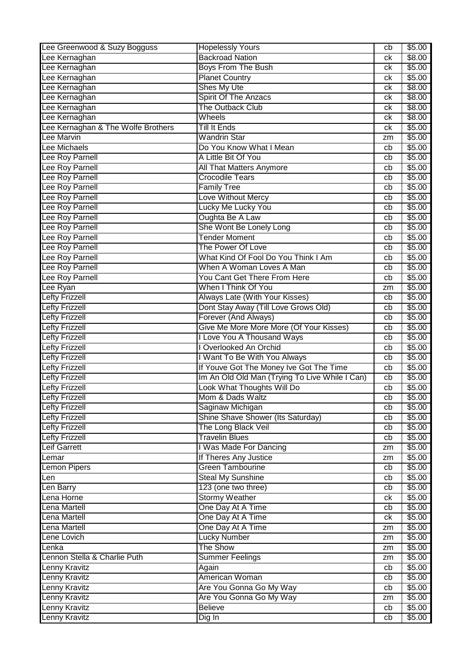| Lee Greenwood & Suzy Bogguss       | <b>Hopelessly Yours</b>                        | cb | \$5.00 |
|------------------------------------|------------------------------------------------|----|--------|
| Lee Kernaghan                      | <b>Backroad Nation</b>                         | сk | \$8.00 |
| Lee Kernaghan                      | <b>Boys From The Bush</b>                      | ck | \$5.00 |
| Lee Kernaghan                      | <b>Planet Country</b>                          | ck | \$5.00 |
| Lee Kernaghan                      | <b>Shes My Ute</b>                             | ck | \$8.00 |
| Lee Kernaghan                      | <b>Spirit Of The Anzacs</b>                    | ck | \$8.00 |
| Lee Kernaghan                      | The Outback Club                               | ck | \$8.00 |
| Lee Kernaghan                      | Wheels                                         | ck | \$8.00 |
| Lee Kernaghan & The Wolfe Brothers | <b>Till It Ends</b>                            | ck | \$5.00 |
| Lee Marvin                         | <b>Wandrin Star</b>                            | zm | \$5.00 |
| Lee Michaels                       | Do You Know What I Mean                        | cb | \$5.00 |
| Lee Roy Parnell                    | A Little Bit Of You                            | cb | \$5.00 |
| Lee Roy Parnell                    | All That Matters Anymore                       | cb | \$5.00 |
| Lee Roy Parnell                    | <b>Crocodile Tears</b>                         |    | \$5.00 |
| Lee Roy Parnell                    | <b>Family Tree</b>                             | cb | \$5.00 |
|                                    |                                                | cb |        |
| Lee Roy Parnell                    | Love Without Mercy                             | cb | \$5.00 |
| Lee Roy Parnell                    | Lucky Me Lucky You                             | cb | \$5.00 |
| Lee Roy Parnell                    | Oughta Be A Law                                | cb | \$5.00 |
| Lee Roy Parnell                    | She Wont Be Lonely Long                        | cb | \$5.00 |
| Lee Roy Parnell                    | <b>Tender Moment</b>                           | cb | \$5.00 |
| Lee Roy Parnell                    | The Power Of Love                              | cb | \$5.00 |
| Lee Roy Parnell                    | What Kind Of Fool Do You Think I Am            | cb | \$5.00 |
| Lee Roy Parnell                    | When A Woman Loves A Man                       | cb | \$5.00 |
| Lee Roy Parnell                    | You Cant Get There From Here                   | cb | \$5.00 |
| Lee Ryan                           | When I Think Of You                            | zm | \$5.00 |
| <b>Lefty Frizzell</b>              | Always Late (With Your Kisses)                 | cb | \$5.00 |
| <b>Lefty Frizzell</b>              | Dont Stay Away (Till Love Grows Old)           | cb | \$5.00 |
| <b>Lefty Frizzell</b>              | Forever (And Always)                           | cb | \$5.00 |
| <b>Lefty Frizzell</b>              | Give Me More More More (Of Your Kisses)        | cb | \$5.00 |
| <b>Lefty Frizzell</b>              | I Love You A Thousand Ways                     | cb | \$5.00 |
| <b>Lefty Frizzell</b>              | <b>I Overlooked An Orchid</b>                  | cb | \$5.00 |
| Lefty Frizzell                     | I Want To Be With You Always                   | cb | \$5.00 |
| <b>Lefty Frizzell</b>              | If Youve Got The Money Ive Got The Time        | cb | \$5.00 |
| <b>Lefty Frizzell</b>              | Im An Old Old Man (Trying To Live While I Can) | cb | \$5.00 |
| <b>Lefty Frizzell</b>              | Look What Thoughts Will Do                     | cb | \$5.00 |
| Lefty Frizzell                     | Mom & Dads Waltz                               | cb | \$5.00 |
| <b>Lefty Frizzell</b>              | Saginaw Michigan                               | cb | \$5.00 |
| <b>Lefty Frizzell</b>              | Shine Shave Shower (Its Saturday)              |    | \$5.00 |
|                                    |                                                | cb |        |
| <b>Lefty Frizzell</b>              | The Long Black Veil                            | cb | \$5.00 |
| <b>Lefty Frizzell</b>              | <b>Travelin Blues</b>                          | cb | \$5.00 |
| Leif Garrett                       | I Was Made For Dancing                         | zm | \$5.00 |
| Lemar                              | If Theres Any Justice                          | zm | \$5.00 |
| Lemon Pipers                       | <b>Green Tambourine</b>                        | cb | \$5.00 |
| Len                                | <b>Steal My Sunshine</b>                       | cb | \$5.00 |
| Len Barry                          | 123 (one two three)                            | cb | \$5.00 |
| Lena Horne                         | <b>Stormy Weather</b>                          | ck | \$5.00 |
| Lena Martell                       | One Day At A Time                              | cb | \$5.00 |
| Lena Martell                       | One Day At A Time                              | ck | \$5.00 |
| Lena Martell                       | One Day At A Time                              | zm | \$5.00 |
| Lene Lovich                        | <b>Lucky Number</b>                            | zm | \$5.00 |
| Lenka                              | The Show                                       | zm | \$5.00 |
| Lennon Stella & Charlie Puth       | <b>Summer Feelings</b>                         | zm | \$5.00 |
| Lenny Kravitz                      | Again                                          | cb | \$5.00 |
| Lenny Kravitz                      | American Woman                                 | cb | \$5.00 |
| Lenny Kravitz                      | Are You Gonna Go My Way                        | cb | \$5.00 |
| Lenny Kravitz                      | Are You Gonna Go My Way                        | zm | \$5.00 |
| Lenny Kravitz                      | <b>Believe</b>                                 | cb | \$5.00 |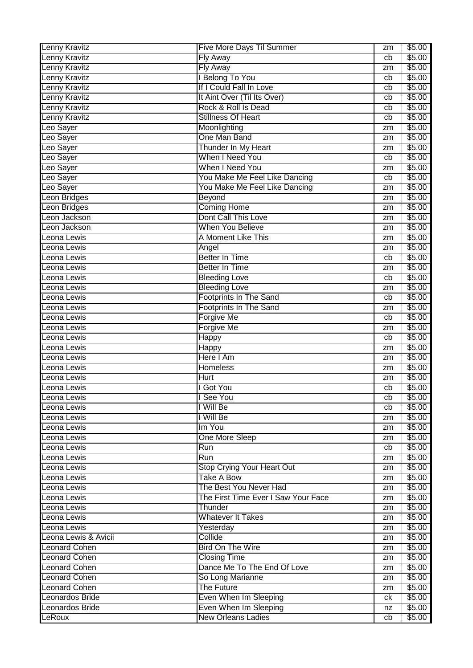| <b>Lenny Kravitz</b><br>\$5.00<br>Fly Away<br>cb<br>Fly Away<br>\$5.00<br>zm<br>I Belong To You<br>\$5.00<br>cb<br>If I Could Fall In Love<br>\$5.00<br>cb<br>It Aint Over (Til Its Over)<br>\$5.00<br>cb<br>Rock & Roll Is Dead<br>\$5.00<br>cb<br><b>Stillness Of Heart</b><br>Lenny Kravitz<br>\$5.00<br>cb<br>Leo Sayer<br>\$5.00<br>Moonlighting<br>zm<br>One Man Band<br>Leo Sayer<br>\$5.00<br>zm<br>Thunder In My Heart<br>Leo Sayer<br>\$5.00<br>zm<br>When I Need You<br>\$5.00<br>Leo Sayer<br>cb<br>When I Need You<br>\$5.00<br>Leo Sayer<br>zm<br>You Make Me Feel Like Dancing<br>Leo Sayer<br>\$5.00<br>cb<br>You Make Me Feel Like Dancing<br>\$5.00<br>Leo Sayer<br>zm<br>Beyond<br>\$5.00<br>Leon Bridges<br>zm<br><b>Coming Home</b><br>\$5.00<br>Leon Bridges<br>zm<br>Dont Call This Love<br>Leon Jackson<br>\$5.00<br>zm<br>When You Believe<br>\$5.00<br>Leon Jackson<br>zm<br>A Moment Like This<br>\$5.00<br>Leona Lewis<br>zm<br>\$5.00<br>Leona Lewis<br>Angel<br>zm<br><b>Better In Time</b><br>\$5.00<br>Leona Lewis<br>cb<br><b>Better In Time</b><br>\$5.00<br>Leona Lewis<br>zm<br>\$5.00<br>Leona Lewis<br><b>Bleeding Love</b><br>cb<br><b>Bleeding Love</b><br>Leona Lewis<br>\$5.00<br>zm<br>Footprints In The Sand<br>\$5.00<br>Leona Lewis<br>cb<br><b>Footprints In The Sand</b><br>\$5.00<br>Leona Lewis<br>zm<br>Forgive Me<br>\$5.00<br>Leona Lewis<br>cb<br><b>Forgive Me</b><br>\$5.00<br>Leona Lewis<br>zm<br>\$5.00<br>Leona Lewis<br><b>Happy</b><br>cb<br>\$5.00<br>Leona Lewis<br>Happy<br>zm<br>Here I Am<br>\$5.00<br>Leona Lewis<br>zm<br>Leona Lewis<br>Homeless<br>\$5.00<br>zm<br>Leona Lewis<br>\$5.00<br><b>Hurt</b><br>zm<br>Leona Lewis<br>I Got You<br>\$5.00<br>cb<br>\$5.00<br>I See You<br>Leona Lewis<br>$\overline{cb}$<br>I Will Be<br>\$5.00<br>Leona Lewis<br>cb<br>I Will Be<br>\$5.00<br>Leona Lewis<br>zm<br>Im You<br>\$5.00<br>Leona Lewis<br>zm<br>One More Sleep<br>Leona Lewis<br>\$5.00<br>zm<br>Leona Lewis<br>Run<br>\$5.00<br>cb<br>Run<br>\$5.00<br>Leona Lewis<br>zm<br>Leona Lewis<br><b>Stop Crying Your Heart Out</b><br>\$5.00<br>zm<br><b>Take A Bow</b><br>Leona Lewis<br>\$5.00<br>zm<br>The Best You Never Had<br>\$5.00<br>zm<br>The First Time Ever I Saw Your Face<br>\$5.00<br>zm<br>Thunder<br>\$5.00<br>Leona Lewis<br>zm<br><b>Whatever It Takes</b><br>\$5.00<br>Leona Lewis<br>zm<br>\$5.00<br>Leona Lewis<br>Yesterday<br>zm<br>Leona Lewis & Avicii<br>Collide<br>\$5.00<br>zm<br><b>Bird On The Wire</b><br><b>Leonard Cohen</b><br>\$5.00<br>zm<br><b>Closing Time</b><br>\$5.00<br>zm<br>Dance Me To The End Of Love<br><b>Leonard Cohen</b><br>\$5.00<br>zm<br>So Long Marianne<br>\$5.00<br>zm<br><b>Leonard Cohen</b><br>The Future<br>\$5.00<br>zm<br>Leonardos Bride<br>Even When Im Sleeping<br>\$5.00<br>ck<br>Even When Im Sleeping<br>\$5.00<br>Leonardos Bride<br>nz | <b>Lenny Kravitz</b> | Five More Days Til Summer | zm | \$5.00 |
|-----------------------------------------------------------------------------------------------------------------------------------------------------------------------------------------------------------------------------------------------------------------------------------------------------------------------------------------------------------------------------------------------------------------------------------------------------------------------------------------------------------------------------------------------------------------------------------------------------------------------------------------------------------------------------------------------------------------------------------------------------------------------------------------------------------------------------------------------------------------------------------------------------------------------------------------------------------------------------------------------------------------------------------------------------------------------------------------------------------------------------------------------------------------------------------------------------------------------------------------------------------------------------------------------------------------------------------------------------------------------------------------------------------------------------------------------------------------------------------------------------------------------------------------------------------------------------------------------------------------------------------------------------------------------------------------------------------------------------------------------------------------------------------------------------------------------------------------------------------------------------------------------------------------------------------------------------------------------------------------------------------------------------------------------------------------------------------------------------------------------------------------------------------------------------------------------------------------------------------------------------------------------------------------------------------------------------------------------------------------------------------------------------------------------------------------------------------------------------------------------------------------------------------------------------------------------------------------------------------------------------------------------------------------------------------------------------------------------------------------------------------------------------------------------------------------------------------------------------------------------------------------|----------------------|---------------------------|----|--------|
|                                                                                                                                                                                                                                                                                                                                                                                                                                                                                                                                                                                                                                                                                                                                                                                                                                                                                                                                                                                                                                                                                                                                                                                                                                                                                                                                                                                                                                                                                                                                                                                                                                                                                                                                                                                                                                                                                                                                                                                                                                                                                                                                                                                                                                                                                                                                                                                                                                                                                                                                                                                                                                                                                                                                                                                                                                                                                         |                      |                           |    |        |
|                                                                                                                                                                                                                                                                                                                                                                                                                                                                                                                                                                                                                                                                                                                                                                                                                                                                                                                                                                                                                                                                                                                                                                                                                                                                                                                                                                                                                                                                                                                                                                                                                                                                                                                                                                                                                                                                                                                                                                                                                                                                                                                                                                                                                                                                                                                                                                                                                                                                                                                                                                                                                                                                                                                                                                                                                                                                                         | Lenny Kravitz        |                           |    |        |
|                                                                                                                                                                                                                                                                                                                                                                                                                                                                                                                                                                                                                                                                                                                                                                                                                                                                                                                                                                                                                                                                                                                                                                                                                                                                                                                                                                                                                                                                                                                                                                                                                                                                                                                                                                                                                                                                                                                                                                                                                                                                                                                                                                                                                                                                                                                                                                                                                                                                                                                                                                                                                                                                                                                                                                                                                                                                                         | <b>Lenny Kravitz</b> |                           |    |        |
|                                                                                                                                                                                                                                                                                                                                                                                                                                                                                                                                                                                                                                                                                                                                                                                                                                                                                                                                                                                                                                                                                                                                                                                                                                                                                                                                                                                                                                                                                                                                                                                                                                                                                                                                                                                                                                                                                                                                                                                                                                                                                                                                                                                                                                                                                                                                                                                                                                                                                                                                                                                                                                                                                                                                                                                                                                                                                         | <b>Lenny Kravitz</b> |                           |    |        |
|                                                                                                                                                                                                                                                                                                                                                                                                                                                                                                                                                                                                                                                                                                                                                                                                                                                                                                                                                                                                                                                                                                                                                                                                                                                                                                                                                                                                                                                                                                                                                                                                                                                                                                                                                                                                                                                                                                                                                                                                                                                                                                                                                                                                                                                                                                                                                                                                                                                                                                                                                                                                                                                                                                                                                                                                                                                                                         | <b>Lenny Kravitz</b> |                           |    |        |
|                                                                                                                                                                                                                                                                                                                                                                                                                                                                                                                                                                                                                                                                                                                                                                                                                                                                                                                                                                                                                                                                                                                                                                                                                                                                                                                                                                                                                                                                                                                                                                                                                                                                                                                                                                                                                                                                                                                                                                                                                                                                                                                                                                                                                                                                                                                                                                                                                                                                                                                                                                                                                                                                                                                                                                                                                                                                                         | Lenny Kravitz        |                           |    |        |
|                                                                                                                                                                                                                                                                                                                                                                                                                                                                                                                                                                                                                                                                                                                                                                                                                                                                                                                                                                                                                                                                                                                                                                                                                                                                                                                                                                                                                                                                                                                                                                                                                                                                                                                                                                                                                                                                                                                                                                                                                                                                                                                                                                                                                                                                                                                                                                                                                                                                                                                                                                                                                                                                                                                                                                                                                                                                                         |                      |                           |    |        |
|                                                                                                                                                                                                                                                                                                                                                                                                                                                                                                                                                                                                                                                                                                                                                                                                                                                                                                                                                                                                                                                                                                                                                                                                                                                                                                                                                                                                                                                                                                                                                                                                                                                                                                                                                                                                                                                                                                                                                                                                                                                                                                                                                                                                                                                                                                                                                                                                                                                                                                                                                                                                                                                                                                                                                                                                                                                                                         |                      |                           |    |        |
|                                                                                                                                                                                                                                                                                                                                                                                                                                                                                                                                                                                                                                                                                                                                                                                                                                                                                                                                                                                                                                                                                                                                                                                                                                                                                                                                                                                                                                                                                                                                                                                                                                                                                                                                                                                                                                                                                                                                                                                                                                                                                                                                                                                                                                                                                                                                                                                                                                                                                                                                                                                                                                                                                                                                                                                                                                                                                         |                      |                           |    |        |
|                                                                                                                                                                                                                                                                                                                                                                                                                                                                                                                                                                                                                                                                                                                                                                                                                                                                                                                                                                                                                                                                                                                                                                                                                                                                                                                                                                                                                                                                                                                                                                                                                                                                                                                                                                                                                                                                                                                                                                                                                                                                                                                                                                                                                                                                                                                                                                                                                                                                                                                                                                                                                                                                                                                                                                                                                                                                                         |                      |                           |    |        |
|                                                                                                                                                                                                                                                                                                                                                                                                                                                                                                                                                                                                                                                                                                                                                                                                                                                                                                                                                                                                                                                                                                                                                                                                                                                                                                                                                                                                                                                                                                                                                                                                                                                                                                                                                                                                                                                                                                                                                                                                                                                                                                                                                                                                                                                                                                                                                                                                                                                                                                                                                                                                                                                                                                                                                                                                                                                                                         |                      |                           |    |        |
|                                                                                                                                                                                                                                                                                                                                                                                                                                                                                                                                                                                                                                                                                                                                                                                                                                                                                                                                                                                                                                                                                                                                                                                                                                                                                                                                                                                                                                                                                                                                                                                                                                                                                                                                                                                                                                                                                                                                                                                                                                                                                                                                                                                                                                                                                                                                                                                                                                                                                                                                                                                                                                                                                                                                                                                                                                                                                         |                      |                           |    |        |
|                                                                                                                                                                                                                                                                                                                                                                                                                                                                                                                                                                                                                                                                                                                                                                                                                                                                                                                                                                                                                                                                                                                                                                                                                                                                                                                                                                                                                                                                                                                                                                                                                                                                                                                                                                                                                                                                                                                                                                                                                                                                                                                                                                                                                                                                                                                                                                                                                                                                                                                                                                                                                                                                                                                                                                                                                                                                                         |                      |                           |    |        |
|                                                                                                                                                                                                                                                                                                                                                                                                                                                                                                                                                                                                                                                                                                                                                                                                                                                                                                                                                                                                                                                                                                                                                                                                                                                                                                                                                                                                                                                                                                                                                                                                                                                                                                                                                                                                                                                                                                                                                                                                                                                                                                                                                                                                                                                                                                                                                                                                                                                                                                                                                                                                                                                                                                                                                                                                                                                                                         |                      |                           |    |        |
|                                                                                                                                                                                                                                                                                                                                                                                                                                                                                                                                                                                                                                                                                                                                                                                                                                                                                                                                                                                                                                                                                                                                                                                                                                                                                                                                                                                                                                                                                                                                                                                                                                                                                                                                                                                                                                                                                                                                                                                                                                                                                                                                                                                                                                                                                                                                                                                                                                                                                                                                                                                                                                                                                                                                                                                                                                                                                         |                      |                           |    |        |
|                                                                                                                                                                                                                                                                                                                                                                                                                                                                                                                                                                                                                                                                                                                                                                                                                                                                                                                                                                                                                                                                                                                                                                                                                                                                                                                                                                                                                                                                                                                                                                                                                                                                                                                                                                                                                                                                                                                                                                                                                                                                                                                                                                                                                                                                                                                                                                                                                                                                                                                                                                                                                                                                                                                                                                                                                                                                                         |                      |                           |    |        |
|                                                                                                                                                                                                                                                                                                                                                                                                                                                                                                                                                                                                                                                                                                                                                                                                                                                                                                                                                                                                                                                                                                                                                                                                                                                                                                                                                                                                                                                                                                                                                                                                                                                                                                                                                                                                                                                                                                                                                                                                                                                                                                                                                                                                                                                                                                                                                                                                                                                                                                                                                                                                                                                                                                                                                                                                                                                                                         |                      |                           |    |        |
|                                                                                                                                                                                                                                                                                                                                                                                                                                                                                                                                                                                                                                                                                                                                                                                                                                                                                                                                                                                                                                                                                                                                                                                                                                                                                                                                                                                                                                                                                                                                                                                                                                                                                                                                                                                                                                                                                                                                                                                                                                                                                                                                                                                                                                                                                                                                                                                                                                                                                                                                                                                                                                                                                                                                                                                                                                                                                         |                      |                           |    |        |
|                                                                                                                                                                                                                                                                                                                                                                                                                                                                                                                                                                                                                                                                                                                                                                                                                                                                                                                                                                                                                                                                                                                                                                                                                                                                                                                                                                                                                                                                                                                                                                                                                                                                                                                                                                                                                                                                                                                                                                                                                                                                                                                                                                                                                                                                                                                                                                                                                                                                                                                                                                                                                                                                                                                                                                                                                                                                                         |                      |                           |    |        |
|                                                                                                                                                                                                                                                                                                                                                                                                                                                                                                                                                                                                                                                                                                                                                                                                                                                                                                                                                                                                                                                                                                                                                                                                                                                                                                                                                                                                                                                                                                                                                                                                                                                                                                                                                                                                                                                                                                                                                                                                                                                                                                                                                                                                                                                                                                                                                                                                                                                                                                                                                                                                                                                                                                                                                                                                                                                                                         |                      |                           |    |        |
|                                                                                                                                                                                                                                                                                                                                                                                                                                                                                                                                                                                                                                                                                                                                                                                                                                                                                                                                                                                                                                                                                                                                                                                                                                                                                                                                                                                                                                                                                                                                                                                                                                                                                                                                                                                                                                                                                                                                                                                                                                                                                                                                                                                                                                                                                                                                                                                                                                                                                                                                                                                                                                                                                                                                                                                                                                                                                         |                      |                           |    |        |
|                                                                                                                                                                                                                                                                                                                                                                                                                                                                                                                                                                                                                                                                                                                                                                                                                                                                                                                                                                                                                                                                                                                                                                                                                                                                                                                                                                                                                                                                                                                                                                                                                                                                                                                                                                                                                                                                                                                                                                                                                                                                                                                                                                                                                                                                                                                                                                                                                                                                                                                                                                                                                                                                                                                                                                                                                                                                                         |                      |                           |    |        |
|                                                                                                                                                                                                                                                                                                                                                                                                                                                                                                                                                                                                                                                                                                                                                                                                                                                                                                                                                                                                                                                                                                                                                                                                                                                                                                                                                                                                                                                                                                                                                                                                                                                                                                                                                                                                                                                                                                                                                                                                                                                                                                                                                                                                                                                                                                                                                                                                                                                                                                                                                                                                                                                                                                                                                                                                                                                                                         |                      |                           |    |        |
|                                                                                                                                                                                                                                                                                                                                                                                                                                                                                                                                                                                                                                                                                                                                                                                                                                                                                                                                                                                                                                                                                                                                                                                                                                                                                                                                                                                                                                                                                                                                                                                                                                                                                                                                                                                                                                                                                                                                                                                                                                                                                                                                                                                                                                                                                                                                                                                                                                                                                                                                                                                                                                                                                                                                                                                                                                                                                         |                      |                           |    |        |
|                                                                                                                                                                                                                                                                                                                                                                                                                                                                                                                                                                                                                                                                                                                                                                                                                                                                                                                                                                                                                                                                                                                                                                                                                                                                                                                                                                                                                                                                                                                                                                                                                                                                                                                                                                                                                                                                                                                                                                                                                                                                                                                                                                                                                                                                                                                                                                                                                                                                                                                                                                                                                                                                                                                                                                                                                                                                                         |                      |                           |    |        |
|                                                                                                                                                                                                                                                                                                                                                                                                                                                                                                                                                                                                                                                                                                                                                                                                                                                                                                                                                                                                                                                                                                                                                                                                                                                                                                                                                                                                                                                                                                                                                                                                                                                                                                                                                                                                                                                                                                                                                                                                                                                                                                                                                                                                                                                                                                                                                                                                                                                                                                                                                                                                                                                                                                                                                                                                                                                                                         |                      |                           |    |        |
|                                                                                                                                                                                                                                                                                                                                                                                                                                                                                                                                                                                                                                                                                                                                                                                                                                                                                                                                                                                                                                                                                                                                                                                                                                                                                                                                                                                                                                                                                                                                                                                                                                                                                                                                                                                                                                                                                                                                                                                                                                                                                                                                                                                                                                                                                                                                                                                                                                                                                                                                                                                                                                                                                                                                                                                                                                                                                         |                      |                           |    |        |
|                                                                                                                                                                                                                                                                                                                                                                                                                                                                                                                                                                                                                                                                                                                                                                                                                                                                                                                                                                                                                                                                                                                                                                                                                                                                                                                                                                                                                                                                                                                                                                                                                                                                                                                                                                                                                                                                                                                                                                                                                                                                                                                                                                                                                                                                                                                                                                                                                                                                                                                                                                                                                                                                                                                                                                                                                                                                                         |                      |                           |    |        |
|                                                                                                                                                                                                                                                                                                                                                                                                                                                                                                                                                                                                                                                                                                                                                                                                                                                                                                                                                                                                                                                                                                                                                                                                                                                                                                                                                                                                                                                                                                                                                                                                                                                                                                                                                                                                                                                                                                                                                                                                                                                                                                                                                                                                                                                                                                                                                                                                                                                                                                                                                                                                                                                                                                                                                                                                                                                                                         |                      |                           |    |        |
|                                                                                                                                                                                                                                                                                                                                                                                                                                                                                                                                                                                                                                                                                                                                                                                                                                                                                                                                                                                                                                                                                                                                                                                                                                                                                                                                                                                                                                                                                                                                                                                                                                                                                                                                                                                                                                                                                                                                                                                                                                                                                                                                                                                                                                                                                                                                                                                                                                                                                                                                                                                                                                                                                                                                                                                                                                                                                         |                      |                           |    |        |
|                                                                                                                                                                                                                                                                                                                                                                                                                                                                                                                                                                                                                                                                                                                                                                                                                                                                                                                                                                                                                                                                                                                                                                                                                                                                                                                                                                                                                                                                                                                                                                                                                                                                                                                                                                                                                                                                                                                                                                                                                                                                                                                                                                                                                                                                                                                                                                                                                                                                                                                                                                                                                                                                                                                                                                                                                                                                                         |                      |                           |    |        |
|                                                                                                                                                                                                                                                                                                                                                                                                                                                                                                                                                                                                                                                                                                                                                                                                                                                                                                                                                                                                                                                                                                                                                                                                                                                                                                                                                                                                                                                                                                                                                                                                                                                                                                                                                                                                                                                                                                                                                                                                                                                                                                                                                                                                                                                                                                                                                                                                                                                                                                                                                                                                                                                                                                                                                                                                                                                                                         |                      |                           |    |        |
|                                                                                                                                                                                                                                                                                                                                                                                                                                                                                                                                                                                                                                                                                                                                                                                                                                                                                                                                                                                                                                                                                                                                                                                                                                                                                                                                                                                                                                                                                                                                                                                                                                                                                                                                                                                                                                                                                                                                                                                                                                                                                                                                                                                                                                                                                                                                                                                                                                                                                                                                                                                                                                                                                                                                                                                                                                                                                         |                      |                           |    |        |
|                                                                                                                                                                                                                                                                                                                                                                                                                                                                                                                                                                                                                                                                                                                                                                                                                                                                                                                                                                                                                                                                                                                                                                                                                                                                                                                                                                                                                                                                                                                                                                                                                                                                                                                                                                                                                                                                                                                                                                                                                                                                                                                                                                                                                                                                                                                                                                                                                                                                                                                                                                                                                                                                                                                                                                                                                                                                                         |                      |                           |    |        |
|                                                                                                                                                                                                                                                                                                                                                                                                                                                                                                                                                                                                                                                                                                                                                                                                                                                                                                                                                                                                                                                                                                                                                                                                                                                                                                                                                                                                                                                                                                                                                                                                                                                                                                                                                                                                                                                                                                                                                                                                                                                                                                                                                                                                                                                                                                                                                                                                                                                                                                                                                                                                                                                                                                                                                                                                                                                                                         |                      |                           |    |        |
|                                                                                                                                                                                                                                                                                                                                                                                                                                                                                                                                                                                                                                                                                                                                                                                                                                                                                                                                                                                                                                                                                                                                                                                                                                                                                                                                                                                                                                                                                                                                                                                                                                                                                                                                                                                                                                                                                                                                                                                                                                                                                                                                                                                                                                                                                                                                                                                                                                                                                                                                                                                                                                                                                                                                                                                                                                                                                         |                      |                           |    |        |
|                                                                                                                                                                                                                                                                                                                                                                                                                                                                                                                                                                                                                                                                                                                                                                                                                                                                                                                                                                                                                                                                                                                                                                                                                                                                                                                                                                                                                                                                                                                                                                                                                                                                                                                                                                                                                                                                                                                                                                                                                                                                                                                                                                                                                                                                                                                                                                                                                                                                                                                                                                                                                                                                                                                                                                                                                                                                                         |                      |                           |    |        |
|                                                                                                                                                                                                                                                                                                                                                                                                                                                                                                                                                                                                                                                                                                                                                                                                                                                                                                                                                                                                                                                                                                                                                                                                                                                                                                                                                                                                                                                                                                                                                                                                                                                                                                                                                                                                                                                                                                                                                                                                                                                                                                                                                                                                                                                                                                                                                                                                                                                                                                                                                                                                                                                                                                                                                                                                                                                                                         |                      |                           |    |        |
|                                                                                                                                                                                                                                                                                                                                                                                                                                                                                                                                                                                                                                                                                                                                                                                                                                                                                                                                                                                                                                                                                                                                                                                                                                                                                                                                                                                                                                                                                                                                                                                                                                                                                                                                                                                                                                                                                                                                                                                                                                                                                                                                                                                                                                                                                                                                                                                                                                                                                                                                                                                                                                                                                                                                                                                                                                                                                         |                      |                           |    |        |
|                                                                                                                                                                                                                                                                                                                                                                                                                                                                                                                                                                                                                                                                                                                                                                                                                                                                                                                                                                                                                                                                                                                                                                                                                                                                                                                                                                                                                                                                                                                                                                                                                                                                                                                                                                                                                                                                                                                                                                                                                                                                                                                                                                                                                                                                                                                                                                                                                                                                                                                                                                                                                                                                                                                                                                                                                                                                                         |                      |                           |    |        |
|                                                                                                                                                                                                                                                                                                                                                                                                                                                                                                                                                                                                                                                                                                                                                                                                                                                                                                                                                                                                                                                                                                                                                                                                                                                                                                                                                                                                                                                                                                                                                                                                                                                                                                                                                                                                                                                                                                                                                                                                                                                                                                                                                                                                                                                                                                                                                                                                                                                                                                                                                                                                                                                                                                                                                                                                                                                                                         |                      |                           |    |        |
|                                                                                                                                                                                                                                                                                                                                                                                                                                                                                                                                                                                                                                                                                                                                                                                                                                                                                                                                                                                                                                                                                                                                                                                                                                                                                                                                                                                                                                                                                                                                                                                                                                                                                                                                                                                                                                                                                                                                                                                                                                                                                                                                                                                                                                                                                                                                                                                                                                                                                                                                                                                                                                                                                                                                                                                                                                                                                         |                      |                           |    |        |
|                                                                                                                                                                                                                                                                                                                                                                                                                                                                                                                                                                                                                                                                                                                                                                                                                                                                                                                                                                                                                                                                                                                                                                                                                                                                                                                                                                                                                                                                                                                                                                                                                                                                                                                                                                                                                                                                                                                                                                                                                                                                                                                                                                                                                                                                                                                                                                                                                                                                                                                                                                                                                                                                                                                                                                                                                                                                                         |                      |                           |    |        |
|                                                                                                                                                                                                                                                                                                                                                                                                                                                                                                                                                                                                                                                                                                                                                                                                                                                                                                                                                                                                                                                                                                                                                                                                                                                                                                                                                                                                                                                                                                                                                                                                                                                                                                                                                                                                                                                                                                                                                                                                                                                                                                                                                                                                                                                                                                                                                                                                                                                                                                                                                                                                                                                                                                                                                                                                                                                                                         | Leona Lewis          |                           |    |        |
|                                                                                                                                                                                                                                                                                                                                                                                                                                                                                                                                                                                                                                                                                                                                                                                                                                                                                                                                                                                                                                                                                                                                                                                                                                                                                                                                                                                                                                                                                                                                                                                                                                                                                                                                                                                                                                                                                                                                                                                                                                                                                                                                                                                                                                                                                                                                                                                                                                                                                                                                                                                                                                                                                                                                                                                                                                                                                         | Leona Lewis          |                           |    |        |
|                                                                                                                                                                                                                                                                                                                                                                                                                                                                                                                                                                                                                                                                                                                                                                                                                                                                                                                                                                                                                                                                                                                                                                                                                                                                                                                                                                                                                                                                                                                                                                                                                                                                                                                                                                                                                                                                                                                                                                                                                                                                                                                                                                                                                                                                                                                                                                                                                                                                                                                                                                                                                                                                                                                                                                                                                                                                                         |                      |                           |    |        |
|                                                                                                                                                                                                                                                                                                                                                                                                                                                                                                                                                                                                                                                                                                                                                                                                                                                                                                                                                                                                                                                                                                                                                                                                                                                                                                                                                                                                                                                                                                                                                                                                                                                                                                                                                                                                                                                                                                                                                                                                                                                                                                                                                                                                                                                                                                                                                                                                                                                                                                                                                                                                                                                                                                                                                                                                                                                                                         |                      |                           |    |        |
|                                                                                                                                                                                                                                                                                                                                                                                                                                                                                                                                                                                                                                                                                                                                                                                                                                                                                                                                                                                                                                                                                                                                                                                                                                                                                                                                                                                                                                                                                                                                                                                                                                                                                                                                                                                                                                                                                                                                                                                                                                                                                                                                                                                                                                                                                                                                                                                                                                                                                                                                                                                                                                                                                                                                                                                                                                                                                         |                      |                           |    |        |
|                                                                                                                                                                                                                                                                                                                                                                                                                                                                                                                                                                                                                                                                                                                                                                                                                                                                                                                                                                                                                                                                                                                                                                                                                                                                                                                                                                                                                                                                                                                                                                                                                                                                                                                                                                                                                                                                                                                                                                                                                                                                                                                                                                                                                                                                                                                                                                                                                                                                                                                                                                                                                                                                                                                                                                                                                                                                                         |                      |                           |    |        |
|                                                                                                                                                                                                                                                                                                                                                                                                                                                                                                                                                                                                                                                                                                                                                                                                                                                                                                                                                                                                                                                                                                                                                                                                                                                                                                                                                                                                                                                                                                                                                                                                                                                                                                                                                                                                                                                                                                                                                                                                                                                                                                                                                                                                                                                                                                                                                                                                                                                                                                                                                                                                                                                                                                                                                                                                                                                                                         |                      |                           |    |        |
|                                                                                                                                                                                                                                                                                                                                                                                                                                                                                                                                                                                                                                                                                                                                                                                                                                                                                                                                                                                                                                                                                                                                                                                                                                                                                                                                                                                                                                                                                                                                                                                                                                                                                                                                                                                                                                                                                                                                                                                                                                                                                                                                                                                                                                                                                                                                                                                                                                                                                                                                                                                                                                                                                                                                                                                                                                                                                         | <b>Leonard Cohen</b> |                           |    |        |
|                                                                                                                                                                                                                                                                                                                                                                                                                                                                                                                                                                                                                                                                                                                                                                                                                                                                                                                                                                                                                                                                                                                                                                                                                                                                                                                                                                                                                                                                                                                                                                                                                                                                                                                                                                                                                                                                                                                                                                                                                                                                                                                                                                                                                                                                                                                                                                                                                                                                                                                                                                                                                                                                                                                                                                                                                                                                                         |                      |                           |    |        |
|                                                                                                                                                                                                                                                                                                                                                                                                                                                                                                                                                                                                                                                                                                                                                                                                                                                                                                                                                                                                                                                                                                                                                                                                                                                                                                                                                                                                                                                                                                                                                                                                                                                                                                                                                                                                                                                                                                                                                                                                                                                                                                                                                                                                                                                                                                                                                                                                                                                                                                                                                                                                                                                                                                                                                                                                                                                                                         | <b>Leonard Cohen</b> |                           |    |        |
|                                                                                                                                                                                                                                                                                                                                                                                                                                                                                                                                                                                                                                                                                                                                                                                                                                                                                                                                                                                                                                                                                                                                                                                                                                                                                                                                                                                                                                                                                                                                                                                                                                                                                                                                                                                                                                                                                                                                                                                                                                                                                                                                                                                                                                                                                                                                                                                                                                                                                                                                                                                                                                                                                                                                                                                                                                                                                         |                      |                           |    |        |
|                                                                                                                                                                                                                                                                                                                                                                                                                                                                                                                                                                                                                                                                                                                                                                                                                                                                                                                                                                                                                                                                                                                                                                                                                                                                                                                                                                                                                                                                                                                                                                                                                                                                                                                                                                                                                                                                                                                                                                                                                                                                                                                                                                                                                                                                                                                                                                                                                                                                                                                                                                                                                                                                                                                                                                                                                                                                                         |                      |                           |    |        |
|                                                                                                                                                                                                                                                                                                                                                                                                                                                                                                                                                                                                                                                                                                                                                                                                                                                                                                                                                                                                                                                                                                                                                                                                                                                                                                                                                                                                                                                                                                                                                                                                                                                                                                                                                                                                                                                                                                                                                                                                                                                                                                                                                                                                                                                                                                                                                                                                                                                                                                                                                                                                                                                                                                                                                                                                                                                                                         |                      |                           |    |        |
|                                                                                                                                                                                                                                                                                                                                                                                                                                                                                                                                                                                                                                                                                                                                                                                                                                                                                                                                                                                                                                                                                                                                                                                                                                                                                                                                                                                                                                                                                                                                                                                                                                                                                                                                                                                                                                                                                                                                                                                                                                                                                                                                                                                                                                                                                                                                                                                                                                                                                                                                                                                                                                                                                                                                                                                                                                                                                         | LeRoux               | <b>New Orleans Ladies</b> | cb | \$5.00 |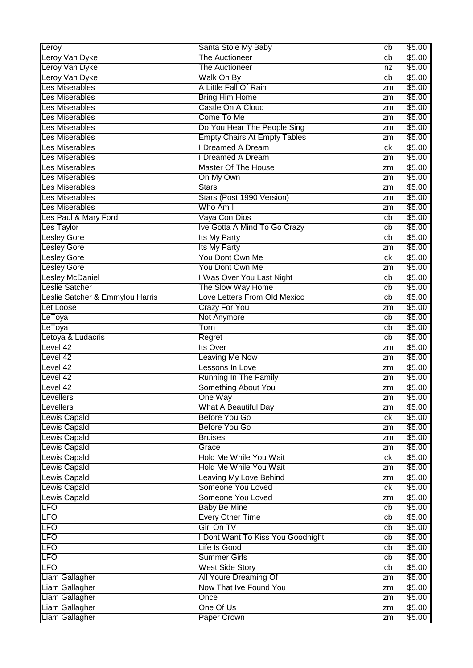| Leroy                           | Santa Stole My Baby                 | cb | \$5.00 |
|---------------------------------|-------------------------------------|----|--------|
| Leroy Van Dyke                  | <b>The Auctioneer</b>               | cb | \$5.00 |
| Leroy Van Dyke                  | <b>The Auctioneer</b>               | nz | \$5.00 |
| Leroy Van Dyke                  | Walk On By                          | cb | \$5.00 |
| <b>Les Miserables</b>           | A Little Fall Of Rain               | zm | \$5.00 |
| <b>Les Miserables</b>           | <b>Bring Him Home</b>               | zm | \$5.00 |
| <b>Les Miserables</b>           | Castle On A Cloud                   | zm | \$5.00 |
| <b>Les Miserables</b>           | Come To Me                          | zm | \$5.00 |
| Les Miserables                  | Do You Hear The People Sing         | zm | \$5.00 |
| <b>Les Miserables</b>           | <b>Empty Chairs At Empty Tables</b> | zm | \$5.00 |
| <b>Les Miserables</b>           | Dreamed A Dream                     | ck | \$5.00 |
| <b>Les Miserables</b>           | I Dreamed A Dream                   | zm | \$5.00 |
| <b>Les Miserables</b>           | Master Of The House                 | zm | \$5.00 |
| Les Miserables                  | On My Own                           | zm | \$5.00 |
| <b>Les Miserables</b>           | <b>Stars</b>                        | zm | \$5.00 |
| <b>Les Miserables</b>           | Stars (Post 1990 Version)           | zm | \$5.00 |
| <b>Les Miserables</b>           | Who Am I                            | zm | \$5.00 |
| Les Paul & Mary Ford            | Vaya Con Dios                       | cb | \$5.00 |
| Les Taylor                      | Ive Gotta A Mind To Go Crazy        | cb | \$5.00 |
| <b>Lesley Gore</b>              | Its My Party                        | cb | \$5.00 |
| <b>Lesley Gore</b>              | Its My Party                        | zm | \$5.00 |
| <b>Lesley Gore</b>              | You Dont Own Me                     | ck | \$5.00 |
| <b>Lesley Gore</b>              | You Dont Own Me                     | zm | \$5.00 |
| <b>Lesley McDaniel</b>          | I Was Over You Last Night           | cb | \$5.00 |
| <b>Leslie Satcher</b>           | The Slow Way Home                   | cb | \$5.00 |
| Leslie Satcher & Emmylou Harris | Love Letters From Old Mexico        | cb | \$5.00 |
| <b>Let Loose</b>                | <b>Crazy For You</b>                | zm | \$5.00 |
| LeToya                          | Not Anymore                         | cb | \$5.00 |
| LeToya                          | Torn                                | cb | \$5.00 |
| Letoya & Ludacris               | Regret                              | cb | \$5.00 |
| Level 42                        | Its Over                            | zm | \$5.00 |
| Level 42                        | Leaving Me Now                      | zm | \$5.00 |
| Level 42                        | Lessons In Love                     | zm | \$5.00 |
| Level 42                        | <b>Running In The Family</b>        | zm | \$5.00 |
| Level 42                        | Something About You                 | zm | \$5.00 |
| Levellers                       | One Way                             | zm | \$5.00 |
| Levellers                       | What A Beautiful Day                | zm | \$5.00 |
| Lewis Capaldi                   | Before You Go                       | ck | \$5.00 |
| Lewis Capaldi                   | <b>Before You Go</b>                | zm | \$5.00 |
| Lewis Capaldi                   | <b>Bruises</b>                      | zm | \$5.00 |
| Lewis Capaldi                   | Grace                               | zm | \$5.00 |
| Lewis Capaldi                   | Hold Me While You Wait              | ck | \$5.00 |
| Lewis Capaldi                   | <b>Hold Me While You Wait</b>       | zm | \$5.00 |
| Lewis Capaldi                   | Leaving My Love Behind              | zm | \$5.00 |
| Lewis Capaldi                   | Someone You Loved                   | ck | \$5.00 |
| Lewis Capaldi                   | Someone You Loved                   | zm | \$5.00 |
| LFO                             | <b>Baby Be Mine</b>                 | cb | \$5.00 |
| LFO                             | <b>Every Other Time</b>             | cb | \$5.00 |
| LFO                             | Girl On TV                          | cb | \$5.00 |
| <b>LFO</b>                      | I Dont Want To Kiss You Goodnight   | cb | \$5.00 |
| <b>LFO</b>                      | Life Is Good                        | cb | \$5.00 |
| <b>LFO</b>                      | <b>Summer Girls</b>                 | cb | \$5.00 |
| <b>LFO</b>                      | <b>West Side Story</b>              | cb | \$5.00 |
| Liam Gallagher                  | All Youre Dreaming Of               | zm | \$5.00 |
| Liam Gallagher                  | Now That Ive Found You              | zm | \$5.00 |
| Liam Gallagher                  | Once                                | zm | \$5.00 |
| Liam Gallagher                  | One Of Us                           | zm | \$5.00 |
| Liam Gallagher                  | Paper Crown                         | zm | \$5.00 |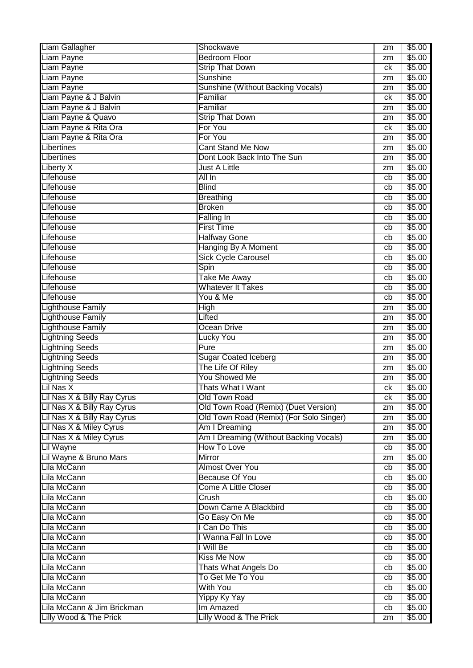| Liam Gallagher              | Shockwave                               | zm | \$5.00 |
|-----------------------------|-----------------------------------------|----|--------|
| Liam Payne                  | <b>Bedroom Floor</b>                    | zm | \$5.00 |
| Liam Payne                  | <b>Strip That Down</b>                  | ck | \$5.00 |
| Liam Payne                  | <b>Sunshine</b>                         | zm | \$5.00 |
| Liam Payne                  | Sunshine (Without Backing Vocals)       | zm | \$5.00 |
| Liam Payne & J Balvin       | Familiar                                | ck | \$5.00 |
| Liam Payne & J Balvin       | Familiar                                | zm | \$5.00 |
| Liam Payne & Quavo          | <b>Strip That Down</b>                  | zm | \$5.00 |
| Liam Payne & Rita Ora       | For You                                 | ck | \$5.00 |
| Liam Payne & Rita Ora       | For You                                 | zm | \$5.00 |
| Libertines                  | <b>Cant Stand Me Now</b>                | zm | \$5.00 |
| Libertines                  | Dont Look Back Into The Sun             | zm | \$5.00 |
| Liberty X                   | <b>Just A Little</b>                    | zm | \$5.00 |
| Lifehouse                   | All In                                  | cb | \$5.00 |
| Lifehouse                   | <b>Blind</b>                            | cb | \$5.00 |
| Lifehouse                   |                                         |    | \$5.00 |
|                             | <b>Breathing</b>                        | cb |        |
| Lifehouse                   | <b>Broken</b>                           | cb | \$5.00 |
| Lifehouse                   | Falling In                              | cb | \$5.00 |
| Lifehouse                   | <b>First Time</b>                       | cb | \$5.00 |
| Lifehouse                   | <b>Halfway Gone</b>                     | cb | \$5.00 |
| Lifehouse                   | Hanging By A Moment                     | cb | \$5.00 |
| Lifehouse                   | Sick Cycle Carousel                     | cb | \$5.00 |
| Lifehouse                   | Spin                                    | cb | \$5.00 |
| Lifehouse                   | <b>Take Me Away</b>                     | cb | \$5.00 |
| Lifehouse                   | <b>Whatever It Takes</b>                | cb | \$5.00 |
| Lifehouse                   | You & Me                                | cb | \$5.00 |
| <b>Lighthouse Family</b>    | <b>High</b>                             | zm | \$5.00 |
| <b>Lighthouse Family</b>    | Lifted                                  | zm | \$5.00 |
| <b>Lighthouse Family</b>    | Ocean Drive                             | zm | \$5.00 |
| <b>Lightning Seeds</b>      | <b>Lucky You</b>                        | zm | \$5.00 |
| <b>Lightning Seeds</b>      | Pure                                    | zm | \$5.00 |
| <b>Lightning Seeds</b>      | <b>Sugar Coated Iceberg</b>             | zm | \$5.00 |
| <b>Lightning Seeds</b>      | The Life Of Riley                       | zm | \$5.00 |
| <b>Lightning Seeds</b>      | <b>You Showed Me</b>                    | zm | \$5.00 |
| Lil Nas X                   | Thats What I Want                       | ck | \$5.00 |
| Lil Nas X & Billy Ray Cyrus | Old Town Road                           | сk | \$5.00 |
| Lil Nas X & Billy Ray Cyrus | Old Town Road (Remix) (Duet Version)    | zm | \$5.00 |
| Lil Nas X & Billy Ray Cyrus | Old Town Road (Remix) (For Solo Singer) | zm | \$5.00 |
| Lil Nas X & Miley Cyrus     | Am I Dreaming                           | zm | \$5.00 |
| Lil Nas X & Miley Cyrus     | Am I Dreaming (Without Backing Vocals)  | zm | \$5.00 |
| Lil Wayne                   | How To Love                             | cb | \$5.00 |
| Lil Wayne & Bruno Mars      | Mirror                                  | zm | \$5.00 |
| Lila McCann                 | <b>Almost Over You</b>                  | cb | \$5.00 |
| Lila McCann                 | <b>Because Of You</b>                   | cb | \$5.00 |
| Lila McCann                 | <b>Come A Little Closer</b>             | cb | \$5.00 |
| Lila McCann                 | Crush                                   | cb | \$5.00 |
| Lila McCann                 | Down Came A Blackbird                   | cb | \$5.00 |
| Lila McCann                 | Go Easy On Me                           | cb | \$5.00 |
| Lila McCann                 | I Can Do This                           | cb | \$5.00 |
| Lila McCann                 | I Wanna Fall In Love                    | cb | \$5.00 |
| Lila McCann                 | I Will Be                               | cb | \$5.00 |
| Lila McCann                 | <b>Kiss Me Now</b>                      | cb | \$5.00 |
| Lila McCann                 | Thats What Angels Do                    |    | \$5.00 |
| Lila McCann                 | To Get Me To You                        | cb | \$5.00 |
|                             |                                         | cb |        |
| Lila McCann                 | <b>With You</b>                         | cb | \$5.00 |
| Lila McCann                 | <b>Yippy Ky Yay</b>                     | cb | \$5.00 |
| Lila McCann & Jim Brickman  | Im Amazed                               | cb | \$5.00 |
| Lilly Wood & The Prick      | Lilly Wood & The Prick                  | zm | \$5.00 |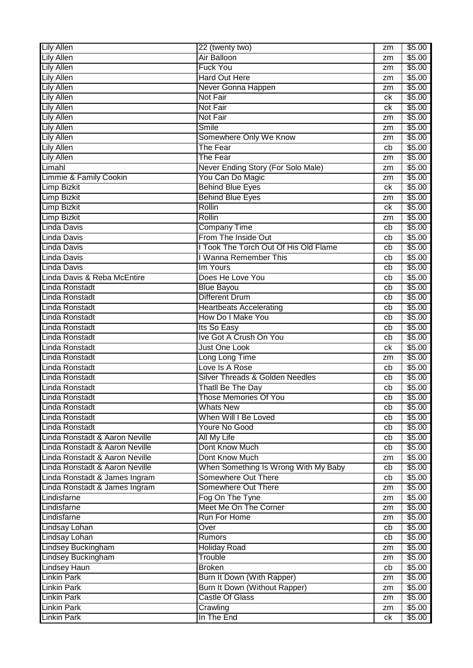| <b>Lily Allen</b>              | 22 (twenty two)                            | zm | \$5.00 |
|--------------------------------|--------------------------------------------|----|--------|
| <b>Lily Allen</b>              | Air Balloon                                | zm | \$5.00 |
| <b>Lily Allen</b>              | <b>Fuck You</b>                            | zm | \$5.00 |
| <b>Lily Allen</b>              | <b>Hard Out Here</b>                       | zm | \$5.00 |
| <b>Lily Allen</b>              | Never Gonna Happen                         | zm | \$5.00 |
| <b>Lily Allen</b>              | <b>Not Fair</b>                            | ck | \$5.00 |
| <b>Lily Allen</b>              | <b>Not Fair</b>                            | ck | \$5.00 |
| <b>Lily Allen</b>              | Not Fair                                   | zm | \$5.00 |
| <b>Lily Allen</b>              | Smile                                      | zm | \$5.00 |
| <b>Lily Allen</b>              | Somewhere Only We Know                     | zm | \$5.00 |
| <b>Lily Allen</b>              | The Fear                                   | cb | \$5.00 |
| <b>Lily Allen</b>              | <b>The Fear</b>                            | zm | \$5.00 |
| Limahl                         | Never Ending Story (For Solo Male)         | zm | \$5.00 |
| Limmie & Family Cookin         | You Can Do Magic                           | zm | \$5.00 |
| <b>Limp Bizkit</b>             | <b>Behind Blue Eyes</b>                    | ck | \$5.00 |
| <b>Limp Bizkit</b>             | <b>Behind Blue Eyes</b>                    | zm | \$5.00 |
| <b>Limp Bizkit</b>             | Rollin                                     | ck | \$5.00 |
| <b>Limp Bizkit</b>             | Rollin                                     | zm | \$5.00 |
| <b>Linda Davis</b>             | <b>Company Time</b>                        | cb | \$5.00 |
| Linda Davis                    | From The Inside Out                        | cb | \$5.00 |
| Linda Davis                    | I Took The Torch Out Of His Old Flame      | cb | \$5.00 |
| Linda Davis                    | I Wanna Remember This                      | cb | \$5.00 |
| Linda Davis                    | Im Yours                                   | cb | \$5.00 |
| Linda Davis & Reba McEntire    | Does He Love You                           | cb | \$5.00 |
| Linda Ronstadt                 | <b>Blue Bayou</b>                          | cb | \$5.00 |
| Linda Ronstadt                 | <b>Different Drum</b>                      | cb | \$5.00 |
| Linda Ronstadt                 | <b>Heartbeats Accelerating</b>             | cb | \$5.00 |
| Linda Ronstadt                 | How Do I Make You                          | cb | \$5.00 |
| Linda Ronstadt                 | Its So Easy                                | cb | \$5.00 |
| Linda Ronstadt                 | Ive Got A Crush On You                     | cb | \$5.00 |
| Linda Ronstadt                 | Just One Look                              | ck | \$5.00 |
| Linda Ronstadt                 | Long Long Time                             | zm | \$5.00 |
| Linda Ronstadt                 | Love Is A Rose                             | cb | \$5.00 |
| Linda Ronstadt                 | <b>Silver Threads &amp; Golden Needles</b> | cb | \$5.00 |
| Linda Ronstadt                 | Thatll Be The Day                          | cb | \$5.00 |
| Linda Ronstadt                 | Those Memories Of You                      | cb | \$5.00 |
| <b>Linda Ronstadt</b>          | <b>Whats New</b>                           | cb | \$5.00 |
| Linda Ronstadt                 | When Will I Be Loved                       | cb | \$5.00 |
| Linda Ronstadt                 | <b>Youre No Good</b>                       | cb | \$5.00 |
| Linda Ronstadt & Aaron Neville | All My Life                                | cb | \$5.00 |
| Linda Ronstadt & Aaron Neville | Dont Know Much                             | cb | \$5.00 |
| Linda Ronstadt & Aaron Neville | Dont Know Much                             | zm | \$5.00 |
| Linda Ronstadt & Aaron Neville | When Something Is Wrong With My Baby       | cb | \$5.00 |
| Linda Ronstadt & James Ingram  | Somewhere Out There                        | cb | \$5.00 |
| Linda Ronstadt & James Ingram  | Somewhere Out There                        | zm | \$5.00 |
| Lindisfarne                    | Fog On The Tyne                            | zm | \$5.00 |
| Lindisfarne                    | Meet Me On The Corner                      | zm | \$5.00 |
| Lindisfarne                    | Run For Home                               | zm | \$5.00 |
| Lindsay Lohan                  | Over                                       | cb | \$5.00 |
| <b>Lindsay Lohan</b>           | Rumors                                     | cb | \$5.00 |
| <b>Lindsey Buckingham</b>      | <b>Holiday Road</b>                        | zm | \$5.00 |
| Lindsey Buckingham             | Trouble                                    | zm | \$5.00 |
| <b>Lindsey Haun</b>            | <b>Broken</b>                              | cb | \$5.00 |
| <b>Linkin Park</b>             | Burn It Down (With Rapper)                 | zm | \$5.00 |
| <b>Linkin Park</b>             | Burn It Down (Without Rapper)              | zm | \$5.00 |
| <b>Linkin Park</b>             | <b>Castle Of Glass</b>                     | zm | \$5.00 |
| <b>Linkin Park</b>             | Crawling                                   | zm | \$5.00 |
| <b>Linkin Park</b>             | In The End                                 | ck | \$5.00 |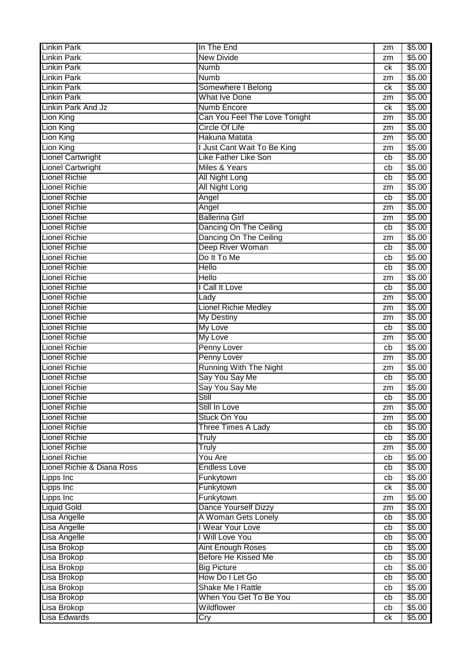| <b>Linkin Park</b>         | In The End                       | zm | \$5.00 |
|----------------------------|----------------------------------|----|--------|
| <b>Linkin Park</b>         | <b>New Divide</b>                | zm | \$5.00 |
| <b>Linkin Park</b>         | <b>Numb</b>                      | ck | \$5.00 |
| <b>Linkin Park</b>         | <b>Numb</b>                      | zm | \$5.00 |
| <b>Linkin Park</b>         | Somewhere I Belong               | ck | \$5.00 |
| <b>Linkin Park</b>         | <b>What Ive Done</b>             | zm | \$5.00 |
| Linkin Park And Jz         | Numb Encore                      | ck | \$5.00 |
| <b>Lion King</b>           | Can You Feel The Love Tonight    | zm | \$5.00 |
| Lion King                  | <b>Circle Of Life</b>            | zm | \$5.00 |
| Lion King                  | Hakuna Matata                    | zm | \$5.00 |
| Lion King                  | <b>Just Cant Wait To Be King</b> | zm | \$5.00 |
| <b>Lionel Cartwright</b>   | <b>Like Father Like Son</b>      | cb | \$5.00 |
| <b>Lionel Cartwright</b>   | Miles & Years                    | cb | \$5.00 |
| <b>Lionel Richie</b>       | <b>All Night Long</b>            | cb | \$5.00 |
| <b>Lionel Richie</b>       | <b>All Night Long</b>            | zm | \$5.00 |
| <b>Lionel Richie</b>       | Angel                            | cb | \$5.00 |
| <b>Lionel Richie</b>       |                                  |    |        |
| <b>Lionel Richie</b>       | Angel<br><b>Ballerina Girl</b>   | zm | \$5.00 |
|                            |                                  | zm | \$5.00 |
| <b>Lionel Richie</b>       | Dancing On The Ceiling           | cb | \$5.00 |
| <b>Lionel Richie</b>       | Dancing On The Ceiling           | zm | \$5.00 |
| <b>Lionel Richie</b>       | Deep River Woman                 | cb | \$5.00 |
| <b>Lionel Richie</b>       | Do It To Me                      | cb | \$5.00 |
| <b>Lionel Richie</b>       | <b>Hello</b>                     | cb | \$5.00 |
| <b>Lionel Richie</b>       | <b>Hello</b>                     | zm | \$5.00 |
| <b>Lionel Richie</b>       | <b>Call It Love</b>              | cb | \$5.00 |
| <b>Lionel Richie</b>       | Lady                             | zm | \$5.00 |
| <b>Lionel Richie</b>       | <b>Lionel Richie Medley</b>      | zm | \$5.00 |
| <b>Lionel Richie</b>       | <b>My Destiny</b>                | zm | \$5.00 |
| <b>Lionel Richie</b>       | <b>My Love</b>                   | cb | \$5.00 |
| <b>Lionel Richie</b>       | My Love                          | zm | \$5.00 |
| <b>Lionel Richie</b>       | Penny Lover                      | cb | \$5.00 |
| <b>Lionel Richie</b>       | Penny Lover                      | zm | \$5.00 |
| <b>Lionel Richie</b>       | <b>Running With The Night</b>    | zm | \$5.00 |
| <b>Lionel Richie</b>       | Say You Say Me                   | cb | \$5.00 |
| <b>Lionel Richie</b>       | Say You Say Me                   | zm | \$5.00 |
| Lionel Richie              | Still                            | cb | \$5.00 |
| <b>Lionel Richie</b>       | Still In Love                    | zm | \$5.00 |
| <b>Lionel Richie</b>       | Stuck On You                     | zm | \$5.00 |
| <b>Lionel Richie</b>       | <b>Three Times A Lady</b>        | cb | \$5.00 |
| <b>Lionel Richie</b>       | <b>Truly</b>                     | cb | \$5.00 |
| <b>Lionel Richie</b>       | <b>Truly</b>                     | zm | \$5.00 |
| <b>Lionel Richie</b>       | You Are                          | cb | \$5.00 |
| Lionel Richie & Diana Ross | <b>Endless Love</b>              | cb | \$5.00 |
| Lipps Inc                  | Funkytown                        | cb | \$5.00 |
| Lipps Inc                  | Funkytown                        | ck | \$5.00 |
| Lipps Inc                  | Funkytown                        | zm | \$5.00 |
| <b>Liquid Gold</b>         | Dance Yourself Dizzy             | zm | \$5.00 |
| Lisa Angelle               | A Woman Gets Lonely              | cb | \$5.00 |
| Lisa Angelle               | I Wear Your Love                 | cb | \$5.00 |
| Lisa Angelle               | I Will Love You                  | cb | \$5.00 |
| Lisa Brokop                | <b>Aint Enough Roses</b>         | cb | \$5.00 |
| Lisa Brokop                | <b>Before He Kissed Me</b>       | cb | \$5.00 |
|                            | <b>Big Picture</b>               |    | \$5.00 |
| Lisa Brokop                | How Do I Let Go                  | cb | \$5.00 |
| Lisa Brokop                |                                  | cb |        |
| Lisa Brokop                | Shake Me I Rattle                | cb | \$5.00 |
| Lisa Brokop                | When You Get To Be You           | cb | \$5.00 |
| Lisa Brokop                | Wildflower                       | cb | \$5.00 |
| Lisa Edwards               | Cry                              | ck | \$5.00 |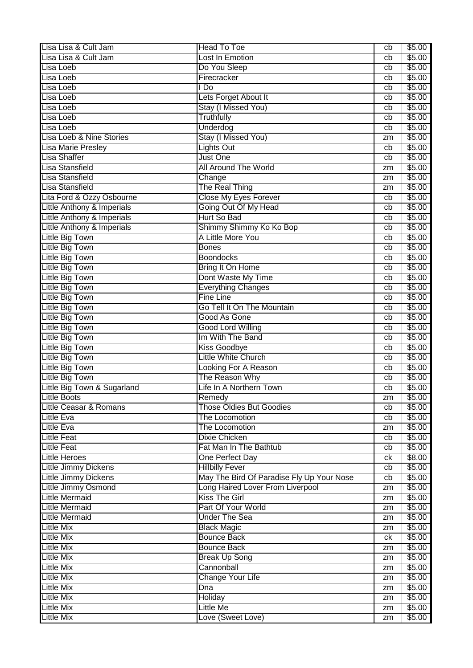| Lisa Lisa & Cult Jam              | Head To Toe                               | cb | \$5.00 |
|-----------------------------------|-------------------------------------------|----|--------|
| Lisa Lisa & Cult Jam              | Lost In Emotion                           | cb | \$5.00 |
| Lisa Loeb                         | Do You Sleep                              | cb | \$5.00 |
| Lisa Loeb                         | Firecracker                               | cb | \$5.00 |
| Lisa Loeb                         | I Do                                      | cb | \$5.00 |
| Lisa Loeb                         | Lets Forget About It                      | cb | \$5.00 |
| Lisa Loeb                         | Stay (I Missed You)                       | cb | \$5.00 |
| Lisa Loeb                         | <b>Truthfully</b>                         | cb | \$5.00 |
| Lisa Loeb                         | Underdog                                  | cb | \$5.00 |
| Lisa Loeb & Nine Stories          | Stay (I Missed You)                       | zm | \$5.00 |
| <b>Lisa Marie Presley</b>         | <b>Lights Out</b>                         | cb | \$5.00 |
| <b>Lisa Shaffer</b>               | Just One                                  | cb | \$5.00 |
| Lisa Stansfield                   | <b>All Around The World</b>               | zm | \$5.00 |
| Lisa Stansfield                   |                                           |    | \$5.00 |
| Lisa Stansfield                   | Change<br>The Real Thing                  | zm | \$5.00 |
|                                   |                                           | zm |        |
| Lita Ford & Ozzy Osbourne         | <b>Close My Eyes Forever</b>              | cb | \$5.00 |
| Little Anthony & Imperials        | Going Out Of My Head                      | cb | \$5.00 |
| Little Anthony & Imperials        | Hurt So Bad                               | cb | \$5.00 |
| Little Anthony & Imperials        | Shimmy Shimmy Ko Ko Bop                   | cb | \$5.00 |
| Little Big Town                   | A Little More You                         | cb | \$5.00 |
| Little Big Town                   | <b>Bones</b>                              | cb | \$5.00 |
| Little Big Town                   | <b>Boondocks</b>                          | cb | \$5.00 |
| Little Big Town                   | Bring It On Home                          | cb | \$5.00 |
| Little Big Town                   | Dont Waste My Time                        | cb | \$5.00 |
| Little Big Town                   | <b>Everything Changes</b>                 | cb | \$5.00 |
| Little Big Town                   | <b>Fine Line</b>                          | cb | \$5.00 |
| Little Big Town                   | Go Tell It On The Mountain                | cb | \$5.00 |
| Little Big Town                   | Good As Gone                              | cb | \$5.00 |
| <b>Little Big Town</b>            | <b>Good Lord Willing</b>                  | cb | \$5.00 |
| Little Big Town                   | Im With The Band                          | cb | \$5.00 |
| Little Big Town                   | <b>Kiss Goodbye</b>                       | cb | \$5.00 |
| <b>Little Big Town</b>            | <b>Little White Church</b>                | cb | \$5.00 |
| Little Big Town                   | Looking For A Reason                      | cb | \$5.00 |
| <b>Little Big Town</b>            | The Reason Why                            | cb | \$5.00 |
| Little Big Town & Sugarland       | Life In A Northern Town                   | cb | \$5.00 |
| <b>Little Boots</b>               | Remedy                                    | zm | \$5.00 |
| <b>Little Ceasar &amp; Romans</b> | <b>Those Oldies But Goodies</b>           | cb | \$5.00 |
| <b>Little Eva</b>                 | The Locomotion                            | cb | \$5.00 |
| <b>Little Eva</b>                 | The Locomotion                            | zm | \$5.00 |
| <b>Little Feat</b>                | <b>Dixie Chicken</b>                      | cb | \$5.00 |
| <b>Little Feat</b>                | Fat Man In The Bathtub                    | cb | \$5.00 |
| <b>Little Heroes</b>              | One Perfect Day                           | ck | \$8.00 |
| <b>Little Jimmy Dickens</b>       | <b>Hillbilly Fever</b>                    | cb | \$5.00 |
| <b>Little Jimmy Dickens</b>       | May The Bird Of Paradise Fly Up Your Nose | cb | \$5.00 |
| Little Jimmy Osmond               | Long Haired Lover From Liverpool          | zm | \$5.00 |
| <b>Little Mermaid</b>             | <b>Kiss The Girl</b>                      | zm | \$5.00 |
| <b>Little Mermaid</b>             | Part Of Your World                        | zm | \$5.00 |
| <b>Little Mermaid</b>             | <b>Under The Sea</b>                      | zm | \$5.00 |
| <b>Little Mix</b>                 | <b>Black Magic</b>                        | zm | \$5.00 |
| <b>Little Mix</b>                 | <b>Bounce Back</b>                        | ck | \$5.00 |
| <b>Little Mix</b>                 | <b>Bounce Back</b>                        | zm | \$5.00 |
| <b>Little Mix</b>                 | <b>Break Up Song</b>                      | zm | \$5.00 |
| <b>Little Mix</b>                 | Cannonball                                | zm | \$5.00 |
| <b>Little Mix</b>                 | Change Your Life                          | zm | \$5.00 |
| <b>Little Mix</b>                 | Dna                                       | zm | \$5.00 |
| <b>Little Mix</b>                 | Holiday                                   | zm | \$5.00 |
| <b>Little Mix</b>                 | <b>Little Me</b>                          | zm | \$5.00 |
| <b>Little Mix</b>                 | Love (Sweet Love)                         | zm | \$5.00 |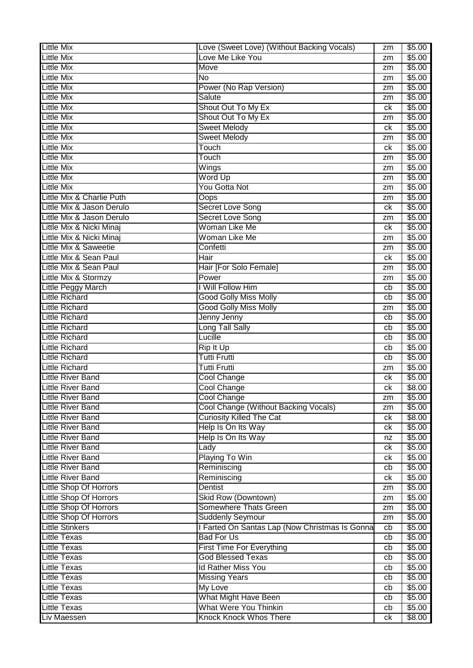| <b>Little Mix</b>             | Love (Sweet Love) (Without Backing Vocals)     | zm | \$5.00 |
|-------------------------------|------------------------------------------------|----|--------|
| <b>Little Mix</b>             | Love Me Like You                               | zm | \$5.00 |
| <b>Little Mix</b>             | Move                                           | zm | \$5.00 |
| <b>Little Mix</b>             | <b>No</b>                                      | zm | \$5.00 |
| <b>Little Mix</b>             | Power (No Rap Version)                         | zm | \$5.00 |
| <b>Little Mix</b>             | Salute                                         | zm | \$5.00 |
| <b>Little Mix</b>             | Shout Out To My Ex                             | ck | \$5.00 |
| <b>Little Mix</b>             | Shout Out To My Ex                             | zm | \$5.00 |
| <b>Little Mix</b>             | <b>Sweet Melody</b>                            | ck | \$5.00 |
| <b>Little Mix</b>             | <b>Sweet Melody</b>                            | zm | \$5.00 |
| <b>Little Mix</b>             | Touch                                          | ck | \$5.00 |
| <b>Little Mix</b>             | Touch                                          | zm | \$5.00 |
| <b>Little Mix</b>             | Wings                                          | zm | \$5.00 |
| <b>Little Mix</b>             | Word Up                                        |    | \$5.00 |
| <b>Little Mix</b>             | You Gotta Not                                  | zm | \$5.00 |
|                               |                                                | zm |        |
| Little Mix & Charlie Puth     | Oops                                           | zm | \$5.00 |
| Little Mix & Jason Derulo     | Secret Love Song                               | ck | \$5.00 |
| Little Mix & Jason Derulo     | Secret Love Song                               | zm | \$5.00 |
| Little Mix & Nicki Minaj      | Woman Like Me                                  | ck | \$5.00 |
| Little Mix & Nicki Minaj      | Woman Like Me                                  | zm | \$5.00 |
| Little Mix & Saweetie         | Confetti                                       | zm | \$5.00 |
| Little Mix & Sean Paul        | Hair                                           | ck | \$5.00 |
| Little Mix & Sean Paul        | Hair [For Solo Female]                         | zm | \$5.00 |
| Little Mix & Stormzy          | Power                                          | zm | \$5.00 |
| Little Peggy March            | I Will Follow Him                              | cb | \$5.00 |
| <b>Little Richard</b>         | <b>Good Golly Miss Molly</b>                   | cb | \$5.00 |
| <b>Little Richard</b>         | <b>Good Golly Miss Molly</b>                   | zm | \$5.00 |
| <b>Little Richard</b>         | Jenny Jenny                                    | cb | \$5.00 |
| <b>Little Richard</b>         | Long Tall Sally                                | cb | \$5.00 |
| <b>Little Richard</b>         | Lucille                                        | cb | \$5.00 |
| <b>Little Richard</b>         | Rip It Up                                      | cb | \$5.00 |
| <b>Little Richard</b>         | <b>Tutti Frutti</b>                            | cb | \$5.00 |
| <b>Little Richard</b>         | <b>Tutti Frutti</b>                            | zm | \$5.00 |
| <b>Little River Band</b>      | Cool Change                                    | сk | \$5.00 |
| <b>Little River Band</b>      | Cool Change                                    | ck | \$8.00 |
| <b>Little River Band</b>      | Cool Change                                    | zm | \$5.00 |
| <b>Little River Band</b>      | Cool Change (Without Backing Vocals)           | zm | \$5.00 |
| <b>Little River Band</b>      | <b>Curiosity Killed The Cat</b>                | ck | \$8.00 |
| <b>Little River Band</b>      | Help Is On Its Way                             | ck | \$5.00 |
| <b>Little River Band</b>      | Help Is On Its Way                             | nz | \$5.00 |
| <b>Little River Band</b>      | Lady                                           | ck | \$5.00 |
| <b>Little River Band</b>      | Playing To Win                                 | ck | \$5.00 |
| <b>Little River Band</b>      | Reminiscing                                    | cb | \$5.00 |
| <b>Little River Band</b>      | Reminiscing                                    | ck | \$5.00 |
| <b>Little Shop Of Horrors</b> | <b>Dentist</b>                                 | zm | \$5.00 |
| <b>Little Shop Of Horrors</b> | Skid Row (Downtown)                            | zm | \$5.00 |
| <b>Little Shop Of Horrors</b> | Somewhere Thats Green                          | zm | \$5.00 |
| <b>Little Shop Of Horrors</b> | <b>Suddenly Seymour</b>                        | zm | \$5.00 |
| <b>Little Stinkers</b>        | I Farted On Santas Lap (Now Christmas Is Gonna | cb | \$5.00 |
| <b>Little Texas</b>           | <b>Bad For Us</b>                              | cb | \$5.00 |
| <b>Little Texas</b>           | <b>First Time For Everything</b>               | cb | \$5.00 |
| <b>Little Texas</b>           | <b>God Blessed Texas</b>                       | cb | \$5.00 |
| <b>Little Texas</b>           | <b>Id Rather Miss You</b>                      | cb | \$5.00 |
| <b>Little Texas</b>           | <b>Missing Years</b>                           | cb | \$5.00 |
| <b>Little Texas</b>           | <b>My Love</b>                                 | cb | \$5.00 |
| <b>Little Texas</b>           | What Might Have Been                           | cb | \$5.00 |
| <b>Little Texas</b>           | <b>What Were You Thinkin</b>                   | cb | \$5.00 |
| Liv Maessen                   | <b>Knock Knock Whos There</b>                  | ck | \$8.00 |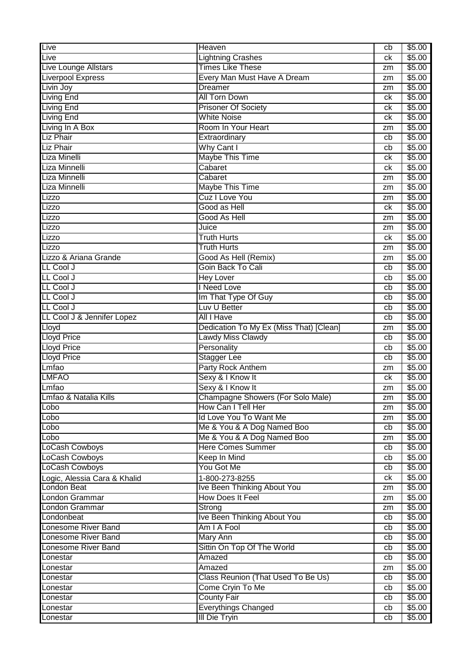| Live                         | <b>Heaven</b>                           | cb | \$5.00 |
|------------------------------|-----------------------------------------|----|--------|
| Live                         | <b>Lightning Crashes</b>                | сk | \$5.00 |
| Live Lounge Allstars         | <b>Times Like These</b>                 | zm | \$5.00 |
| <b>Liverpool Express</b>     | Every Man Must Have A Dream             | zm | \$5.00 |
| Livin Joy                    | <b>Dreamer</b>                          | zm | \$5.00 |
| <b>Living End</b>            | <b>All Torn Down</b>                    | ck | \$5.00 |
| <b>Living End</b>            | <b>Prisoner Of Society</b>              | ck | \$5.00 |
| <b>Living End</b>            | <b>White Noise</b>                      | ck | \$5.00 |
| Living In A Box              | Room In Your Heart                      | zm | \$5.00 |
| <b>Liz Phair</b>             | Extraordinary                           | cb | \$5.00 |
| <b>Liz Phair</b>             | Why Cant I                              | cb | \$5.00 |
| Liza Minelli                 | <b>Maybe This Time</b>                  | ck | \$5.00 |
| Liza Minnelli                | Cabaret                                 | ck | \$5.00 |
| Liza Minnelli                | Cabaret                                 | zm | \$5.00 |
| Liza Minnelli                | <b>Maybe This Time</b>                  | zm | \$5.00 |
| Lizzo                        | <b>Cuz I Love You</b>                   | zm | \$5.00 |
| Lizzo                        | Good as Hell                            | ck | \$5.00 |
| Lizzo                        | Good As Hell                            | zm | \$5.00 |
| Lizzo                        | Juice                                   | zm | \$5.00 |
| Lizzo                        | <b>Truth Hurts</b>                      | сk | \$5.00 |
| Lizzo                        | <b>Truth Hurts</b>                      | zm | \$5.00 |
| Lizzo & Ariana Grande        | Good As Hell (Remix)                    | zm | \$5.00 |
| LL Cool J                    | Goin Back To Cali                       | cb | \$5.00 |
| LL Cool J                    | <b>Hey Lover</b>                        | cb | \$5.00 |
| LL Cool J                    | I Need Love                             | cb | \$5.00 |
| LL Cool J                    | Im That Type Of Guy                     | cb | \$5.00 |
| LL Cool J                    | Luv U Better                            | cb | \$5.00 |
| LL Cool J & Jennifer Lopez   | All I Have                              | cb | \$5.00 |
| Lloyd                        | Dedication To My Ex (Miss That) [Clean] | zm | \$5.00 |
| <b>Lloyd Price</b>           | <b>Lawdy Miss Clawdy</b>                | cb | \$5.00 |
| <b>Lloyd Price</b>           | Personality                             | cb | \$5.00 |
| <b>Lloyd Price</b>           | <b>Stagger Lee</b>                      | cb | \$5.00 |
| Lmfao                        | Party Rock Anthem                       | zm | \$5.00 |
| <b>LMFAO</b>                 | Sexy & I Know It                        | ck | \$5.00 |
| Lmfao                        | Sexy & I Know It                        | zm | \$5.00 |
| Lmfao & Natalia Kills        | Champagne Showers (For Solo Male)       | zm | \$5.00 |
| Lobo                         | How Can I Tell Her                      | zm | \$5.00 |
| Lobo                         | Id Love You To Want Me                  | zm | \$5.00 |
| Lobo                         | Me & You & A Dog Named Boo              | cb | \$5.00 |
| Lobo                         | Me & You & A Dog Named Boo              | zm | \$5.00 |
| LoCash Cowboys               | <b>Here Comes Summer</b>                | cb | \$5.00 |
| LoCash Cowboys               | Keep In Mind                            | cb | \$5.00 |
| LoCash Cowboys               | You Got Me                              | cb | \$5.00 |
| Logic, Alessia Cara & Khalid | 1-800-273-8255                          | ck | \$5.00 |
| <b>London Beat</b>           | <b>Ive Been Thinking About You</b>      | zm | \$5.00 |
| London Grammar               | <b>How Does It Feel</b>                 | zm | \$5.00 |
| London Grammar               | Strong                                  | zm | \$5.00 |
| Londonbeat                   | Ive Been Thinking About You             | cb | \$5.00 |
| Lonesome River Band          | Am I A Fool                             | cb | \$5.00 |
| Lonesome River Band          | <b>Mary Ann</b>                         | cb | \$5.00 |
| Lonesome River Band          | Sittin On Top Of The World              | cb | \$5.00 |
| Lonestar                     | Amazed                                  | cb | \$5.00 |
| Lonestar                     | Amazed                                  | zm | \$5.00 |
| Lonestar                     | Class Reunion (That Used To Be Us)      | cb | \$5.00 |
| Lonestar                     | Come Cryin To Me                        | cb | \$5.00 |
| Lonestar                     | <b>County Fair</b>                      | cb | \$5.00 |
| Lonestar                     | <b>Everythings Changed</b>              | cb | \$5.00 |
| Lonestar                     | <b>III Die Tryin</b>                    | cb | \$5.00 |
|                              |                                         |    |        |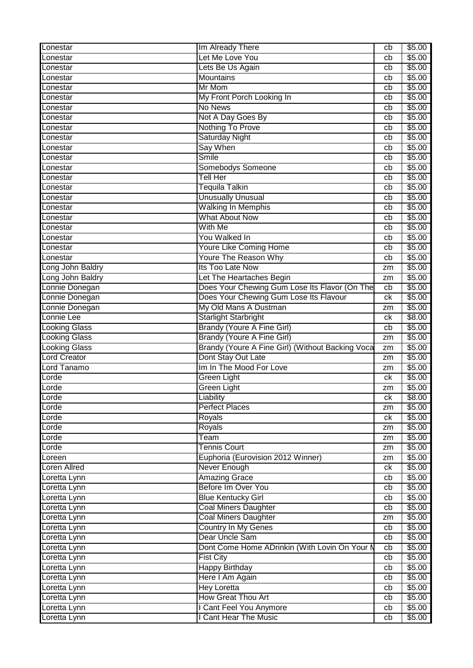| Lonestar             | Im Already There                                 | cb              | \$5.00 |
|----------------------|--------------------------------------------------|-----------------|--------|
| Lonestar             | Let Me Love You                                  | cb              | \$5.00 |
| Lonestar             | Lets Be Us Again                                 | cb              | \$5.00 |
| Lonestar             | <b>Mountains</b>                                 | cb              | \$5.00 |
| Lonestar             | Mr Mom                                           | cb              | \$5.00 |
| Lonestar             | My Front Porch Looking In                        | cb              | \$5.00 |
| Lonestar             | No News                                          | cb              | \$5.00 |
| Lonestar             | Not A Day Goes By                                | cb              | \$5.00 |
| Lonestar             | Nothing To Prove                                 | cb              | \$5.00 |
| Lonestar             | <b>Saturday Night</b>                            | cb              | \$5.00 |
| Lonestar             | Say When                                         | cb              | \$5.00 |
| Lonestar             | <b>Smile</b>                                     | cb              | \$5.00 |
| Lonestar             | Somebodys Someone                                | cb              | \$5.00 |
| Lonestar             | Tell Her                                         | cb              | \$5.00 |
| Lonestar             | <b>Tequila Talkin</b>                            | cb              | \$5.00 |
| Lonestar             | <b>Unusually Unusual</b>                         | cb              | \$5.00 |
| Lonestar             | <b>Walking In Memphis</b>                        | cb              | \$5.00 |
| Lonestar             | <b>What About Now</b>                            | cb              | \$5.00 |
| Lonestar             | With Me                                          | cb              | \$5.00 |
| Lonestar             | You Walked In                                    | cb              | \$5.00 |
| Lonestar             | <b>Youre Like Coming Home</b>                    | cb              | \$5.00 |
| Lonestar             | Youre The Reason Why                             | cb              | \$5.00 |
| Long John Baldry     | Its Too Late Now                                 | zm              | \$5.00 |
| Long John Baldry     | Let The Heartaches Begin                         | zm              | \$5.00 |
| Lonnie Donegan       | Does Your Chewing Gum Lose Its Flavor (On The    | cb              | \$5.00 |
| Lonnie Donegan       | Does Your Chewing Gum Lose Its Flavour           | ck              | \$5.00 |
| Lonnie Donegan       | My Old Mans A Dustman                            | zm              | \$5.00 |
| Lonnie Lee           | <b>Starlight Starbright</b>                      | $c\overline{k}$ | \$8.00 |
| <b>Looking Glass</b> | <b>Brandy (Youre A Fine Girl)</b>                | cb              | \$5.00 |
| <b>Looking Glass</b> | <b>Brandy (Youre A Fine Girl)</b>                | zm              | \$5.00 |
| <b>Looking Glass</b> | Brandy (Youre A Fine Girl) (Without Backing Voca | zm              | \$5.00 |
| <b>Lord Creator</b>  | Dont Stay Out Late                               | zm              | \$5.00 |
| Lord Tanamo          | Im In The Mood For Love                          | zm              | \$5.00 |
| Lorde                | Green Light                                      | ck              | \$5.00 |
| Lorde                | <b>Green Light</b>                               | zm              | \$5.00 |
| Lorde                | Liability                                        | сk              | \$8.00 |
| Lorde                | <b>Perfect Places</b>                            | zm              | \$5.00 |
| Lorde                | Royals                                           | ck              | \$5.00 |
| Lorde                | Royals                                           | zm              | \$5.00 |
| Lorde                | Team                                             | zm              | \$5.00 |
| Lorde                | <b>Tennis Court</b>                              | zm              | \$5.00 |
| Loreen               | Euphoria (Eurovision 2012 Winner)                | zm              | \$5.00 |
| <b>Loren Allred</b>  | Never Enough                                     | ck              | \$5.00 |
| Loretta Lynn         | <b>Amazing Grace</b>                             | cb              | \$5.00 |
| Loretta Lynn         | Before Im Over You                               | cb              | \$5.00 |
| Loretta Lynn         | <b>Blue Kentucky Girl</b>                        | cb              | \$5.00 |
| Loretta Lynn         | <b>Coal Miners Daughter</b>                      | cb              | \$5.00 |
| Loretta Lynn         | <b>Coal Miners Daughter</b>                      | zm              | \$5.00 |
| Loretta Lynn         | <b>Country In My Genes</b>                       | cb              | \$5.00 |
| Loretta Lynn         | Dear Uncle Sam                                   | cb              | \$5.00 |
| Loretta Lynn         | Dont Come Home ADrinkin (With Lovin On Your N    | cb              | \$5.00 |
| Loretta Lynn         | <b>Fist City</b>                                 | cb              | \$5.00 |
| Loretta Lynn         | <b>Happy Birthday</b>                            | cb              | \$5.00 |
| Loretta Lynn         | Here I Am Again                                  | cb              | \$5.00 |
| Loretta Lynn         | <b>Hey Loretta</b>                               | cb              | \$5.00 |
| Loretta Lynn         | <b>How Great Thou Art</b>                        | cb              | \$5.00 |
| Loretta Lynn         | I Cant Feel You Anymore                          | cb              | \$5.00 |
| Loretta Lynn         | I Cant Hear The Music                            | cb              | \$5.00 |
|                      |                                                  |                 |        |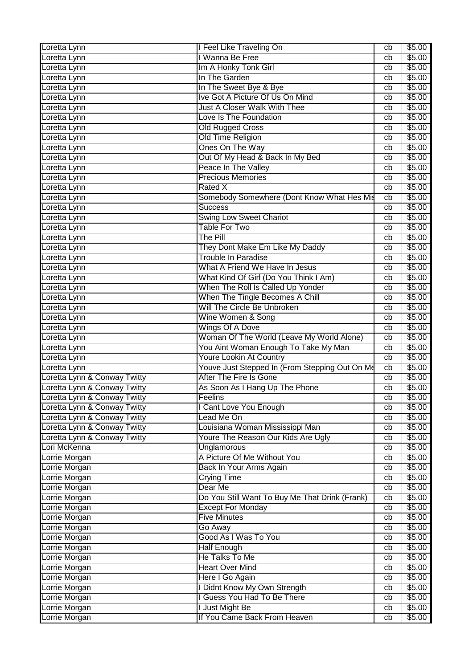| Wanna Be Free<br>\$5.00<br>Loretta Lynn<br>cb<br>Im A Honky Tonk Girl<br>\$5.00<br>cb<br>In The Garden<br>Loretta Lynn<br>\$5.00<br>cb<br>In The Sweet Bye & Bye<br>\$5.00<br>Loretta Lynn<br>cb<br>Ive Got A Picture Of Us On Mind<br>\$5.00<br>Loretta Lynn<br>cb<br>Just A Closer Walk With Thee<br>\$5.00<br>Loretta Lynn<br>cb<br>\$5.00<br>Love Is The Foundation<br>Loretta Lynn<br>cb<br><b>Old Rugged Cross</b><br>\$5.00<br>Loretta Lynn<br>cb<br>Old Time Religion<br>\$5.00<br>Loretta Lynn<br>cb<br>Ones On The Way<br>\$5.00<br>Loretta Lynn<br>cb<br>Out Of My Head & Back In My Bed<br>\$5.00<br>Loretta Lynn<br>cb<br>Peace In The Valley<br>\$5.00<br>Loretta Lynn<br>cb<br><b>Precious Memories</b><br>\$5.00<br>Loretta Lynn<br>cb<br>Rated X<br>\$5.00<br>Loretta Lynn<br>cb<br>Somebody Somewhere (Dont Know What Hes Mis<br>\$5.00<br>Loretta Lynn<br>cb<br>\$5.00<br><b>Success</b><br>Loretta Lynn<br>cb<br><b>Swing Low Sweet Chariot</b><br>\$5.00<br>Loretta Lynn<br>cb<br><b>Table For Two</b><br>\$5.00<br>Loretta Lynn<br>cb<br><b>The Pill</b><br>\$5.00<br>Loretta Lynn<br>cb<br>They Dont Make Em Like My Daddy<br>\$5.00<br>Loretta Lynn<br>cb<br><b>Trouble In Paradise</b><br>\$5.00<br>Loretta Lynn<br>cb<br>What A Friend We Have In Jesus<br>\$5.00<br>Loretta Lynn<br>cb<br>What Kind Of Girl (Do You Think I Am)<br>\$5.00<br>Loretta Lynn<br>cb<br>When The Roll Is Called Up Yonder<br>\$5.00<br>cb<br>When The Tingle Becomes A Chill<br>\$5.00<br>cb<br>Will The Circle Be Unbroken<br>\$5.00<br>Loretta Lynn<br>cb<br>Wine Women & Song<br>\$5.00<br>cb<br><b>Wings Of A Dove</b><br>\$5.00<br>cb<br>Woman Of The World (Leave My World Alone)<br>\$5.00<br>cb<br>You Aint Woman Enough To Take My Man<br>\$5.00<br>cb<br><b>Youre Lookin At Country</b><br>\$5.00<br>Loretta Lynn<br>cb<br>Youve Just Stepped In (From Stepping Out On Me<br>\$5.00<br>cb<br>After The Fire Is Gone<br>\$5.00<br>cb<br>As Soon As I Hang Up The Phone<br>\$5.00<br>cb<br>\$5.00<br>cb<br>Feelins<br>I Cant Love You Enough<br>\$5.00<br>cb<br>Loretta Lynn & Conway Twitty<br>\$5.00<br>Lead Me On<br>cb<br>Loretta Lynn & Conway Twitty<br>Louisiana Woman Mississippi Man<br>\$5.00<br>cb<br>Loretta Lynn & Conway Twitty<br>Youre The Reason Our Kids Are Ugly<br>\$5.00<br>cb<br>Lori McKenna<br><b>Unglamorous</b><br>\$5.00<br>cb<br>A Picture Of Me Without You<br>Lorrie Morgan<br>\$5.00<br>cb<br>Lorrie Morgan<br>Back In Your Arms Again<br>\$5.00<br>cb<br><b>Crying Time</b><br>\$5.00<br>Lorrie Morgan<br>cb<br>Dear Me<br>\$5.00<br>cb<br>Lorrie Morgan<br>Do You Still Want To Buy Me That Drink (Frank)<br>\$5.00<br>cb<br>\$5.00<br>Lorrie Morgan<br><b>Except For Monday</b><br>cb<br><b>Five Minutes</b><br>\$5.00<br>Lorrie Morgan<br>cb<br>Lorrie Morgan<br>Go Away<br>\$5.00<br>cb<br>Good As I Was To You<br>Lorrie Morgan<br>\$5.00<br>cb<br>Lorrie Morgan<br><b>Half Enough</b><br>\$5.00<br>cb<br>He Talks To Me<br>\$5.00<br>Lorrie Morgan<br>cb<br><b>Heart Over Mind</b><br>\$5.00<br>Lorrie Morgan<br>cb<br>Here I Go Again<br>\$5.00<br>cb<br>I Didnt Know My Own Strength<br>\$5.00<br>Lorrie Morgan<br>cb<br>I Guess You Had To Be There<br>Lorrie Morgan<br>\$5.00<br>cb | Loretta Lynn                 | I Feel Like Traveling On | cb | \$5.00 |
|---------------------------------------------------------------------------------------------------------------------------------------------------------------------------------------------------------------------------------------------------------------------------------------------------------------------------------------------------------------------------------------------------------------------------------------------------------------------------------------------------------------------------------------------------------------------------------------------------------------------------------------------------------------------------------------------------------------------------------------------------------------------------------------------------------------------------------------------------------------------------------------------------------------------------------------------------------------------------------------------------------------------------------------------------------------------------------------------------------------------------------------------------------------------------------------------------------------------------------------------------------------------------------------------------------------------------------------------------------------------------------------------------------------------------------------------------------------------------------------------------------------------------------------------------------------------------------------------------------------------------------------------------------------------------------------------------------------------------------------------------------------------------------------------------------------------------------------------------------------------------------------------------------------------------------------------------------------------------------------------------------------------------------------------------------------------------------------------------------------------------------------------------------------------------------------------------------------------------------------------------------------------------------------------------------------------------------------------------------------------------------------------------------------------------------------------------------------------------------------------------------------------------------------------------------------------------------------------------------------------------------------------------------------------------------------------------------------------------------------------------------------------------------------------------------------------------------------------------------------------------------------------------------------------------------------------------------------------------------------------------------------------------------------------------------------------------------------------------------------------------------------------------------------------------------------------------------------------------------------------|------------------------------|--------------------------|----|--------|
|                                                                                                                                                                                                                                                                                                                                                                                                                                                                                                                                                                                                                                                                                                                                                                                                                                                                                                                                                                                                                                                                                                                                                                                                                                                                                                                                                                                                                                                                                                                                                                                                                                                                                                                                                                                                                                                                                                                                                                                                                                                                                                                                                                                                                                                                                                                                                                                                                                                                                                                                                                                                                                                                                                                                                                                                                                                                                                                                                                                                                                                                                                                                                                                                                                             |                              |                          |    |        |
|                                                                                                                                                                                                                                                                                                                                                                                                                                                                                                                                                                                                                                                                                                                                                                                                                                                                                                                                                                                                                                                                                                                                                                                                                                                                                                                                                                                                                                                                                                                                                                                                                                                                                                                                                                                                                                                                                                                                                                                                                                                                                                                                                                                                                                                                                                                                                                                                                                                                                                                                                                                                                                                                                                                                                                                                                                                                                                                                                                                                                                                                                                                                                                                                                                             | Loretta Lynn                 |                          |    |        |
|                                                                                                                                                                                                                                                                                                                                                                                                                                                                                                                                                                                                                                                                                                                                                                                                                                                                                                                                                                                                                                                                                                                                                                                                                                                                                                                                                                                                                                                                                                                                                                                                                                                                                                                                                                                                                                                                                                                                                                                                                                                                                                                                                                                                                                                                                                                                                                                                                                                                                                                                                                                                                                                                                                                                                                                                                                                                                                                                                                                                                                                                                                                                                                                                                                             |                              |                          |    |        |
|                                                                                                                                                                                                                                                                                                                                                                                                                                                                                                                                                                                                                                                                                                                                                                                                                                                                                                                                                                                                                                                                                                                                                                                                                                                                                                                                                                                                                                                                                                                                                                                                                                                                                                                                                                                                                                                                                                                                                                                                                                                                                                                                                                                                                                                                                                                                                                                                                                                                                                                                                                                                                                                                                                                                                                                                                                                                                                                                                                                                                                                                                                                                                                                                                                             |                              |                          |    |        |
|                                                                                                                                                                                                                                                                                                                                                                                                                                                                                                                                                                                                                                                                                                                                                                                                                                                                                                                                                                                                                                                                                                                                                                                                                                                                                                                                                                                                                                                                                                                                                                                                                                                                                                                                                                                                                                                                                                                                                                                                                                                                                                                                                                                                                                                                                                                                                                                                                                                                                                                                                                                                                                                                                                                                                                                                                                                                                                                                                                                                                                                                                                                                                                                                                                             |                              |                          |    |        |
|                                                                                                                                                                                                                                                                                                                                                                                                                                                                                                                                                                                                                                                                                                                                                                                                                                                                                                                                                                                                                                                                                                                                                                                                                                                                                                                                                                                                                                                                                                                                                                                                                                                                                                                                                                                                                                                                                                                                                                                                                                                                                                                                                                                                                                                                                                                                                                                                                                                                                                                                                                                                                                                                                                                                                                                                                                                                                                                                                                                                                                                                                                                                                                                                                                             |                              |                          |    |        |
|                                                                                                                                                                                                                                                                                                                                                                                                                                                                                                                                                                                                                                                                                                                                                                                                                                                                                                                                                                                                                                                                                                                                                                                                                                                                                                                                                                                                                                                                                                                                                                                                                                                                                                                                                                                                                                                                                                                                                                                                                                                                                                                                                                                                                                                                                                                                                                                                                                                                                                                                                                                                                                                                                                                                                                                                                                                                                                                                                                                                                                                                                                                                                                                                                                             |                              |                          |    |        |
|                                                                                                                                                                                                                                                                                                                                                                                                                                                                                                                                                                                                                                                                                                                                                                                                                                                                                                                                                                                                                                                                                                                                                                                                                                                                                                                                                                                                                                                                                                                                                                                                                                                                                                                                                                                                                                                                                                                                                                                                                                                                                                                                                                                                                                                                                                                                                                                                                                                                                                                                                                                                                                                                                                                                                                                                                                                                                                                                                                                                                                                                                                                                                                                                                                             |                              |                          |    |        |
|                                                                                                                                                                                                                                                                                                                                                                                                                                                                                                                                                                                                                                                                                                                                                                                                                                                                                                                                                                                                                                                                                                                                                                                                                                                                                                                                                                                                                                                                                                                                                                                                                                                                                                                                                                                                                                                                                                                                                                                                                                                                                                                                                                                                                                                                                                                                                                                                                                                                                                                                                                                                                                                                                                                                                                                                                                                                                                                                                                                                                                                                                                                                                                                                                                             |                              |                          |    |        |
|                                                                                                                                                                                                                                                                                                                                                                                                                                                                                                                                                                                                                                                                                                                                                                                                                                                                                                                                                                                                                                                                                                                                                                                                                                                                                                                                                                                                                                                                                                                                                                                                                                                                                                                                                                                                                                                                                                                                                                                                                                                                                                                                                                                                                                                                                                                                                                                                                                                                                                                                                                                                                                                                                                                                                                                                                                                                                                                                                                                                                                                                                                                                                                                                                                             |                              |                          |    |        |
|                                                                                                                                                                                                                                                                                                                                                                                                                                                                                                                                                                                                                                                                                                                                                                                                                                                                                                                                                                                                                                                                                                                                                                                                                                                                                                                                                                                                                                                                                                                                                                                                                                                                                                                                                                                                                                                                                                                                                                                                                                                                                                                                                                                                                                                                                                                                                                                                                                                                                                                                                                                                                                                                                                                                                                                                                                                                                                                                                                                                                                                                                                                                                                                                                                             |                              |                          |    |        |
|                                                                                                                                                                                                                                                                                                                                                                                                                                                                                                                                                                                                                                                                                                                                                                                                                                                                                                                                                                                                                                                                                                                                                                                                                                                                                                                                                                                                                                                                                                                                                                                                                                                                                                                                                                                                                                                                                                                                                                                                                                                                                                                                                                                                                                                                                                                                                                                                                                                                                                                                                                                                                                                                                                                                                                                                                                                                                                                                                                                                                                                                                                                                                                                                                                             |                              |                          |    |        |
|                                                                                                                                                                                                                                                                                                                                                                                                                                                                                                                                                                                                                                                                                                                                                                                                                                                                                                                                                                                                                                                                                                                                                                                                                                                                                                                                                                                                                                                                                                                                                                                                                                                                                                                                                                                                                                                                                                                                                                                                                                                                                                                                                                                                                                                                                                                                                                                                                                                                                                                                                                                                                                                                                                                                                                                                                                                                                                                                                                                                                                                                                                                                                                                                                                             |                              |                          |    |        |
|                                                                                                                                                                                                                                                                                                                                                                                                                                                                                                                                                                                                                                                                                                                                                                                                                                                                                                                                                                                                                                                                                                                                                                                                                                                                                                                                                                                                                                                                                                                                                                                                                                                                                                                                                                                                                                                                                                                                                                                                                                                                                                                                                                                                                                                                                                                                                                                                                                                                                                                                                                                                                                                                                                                                                                                                                                                                                                                                                                                                                                                                                                                                                                                                                                             |                              |                          |    |        |
|                                                                                                                                                                                                                                                                                                                                                                                                                                                                                                                                                                                                                                                                                                                                                                                                                                                                                                                                                                                                                                                                                                                                                                                                                                                                                                                                                                                                                                                                                                                                                                                                                                                                                                                                                                                                                                                                                                                                                                                                                                                                                                                                                                                                                                                                                                                                                                                                                                                                                                                                                                                                                                                                                                                                                                                                                                                                                                                                                                                                                                                                                                                                                                                                                                             |                              |                          |    |        |
|                                                                                                                                                                                                                                                                                                                                                                                                                                                                                                                                                                                                                                                                                                                                                                                                                                                                                                                                                                                                                                                                                                                                                                                                                                                                                                                                                                                                                                                                                                                                                                                                                                                                                                                                                                                                                                                                                                                                                                                                                                                                                                                                                                                                                                                                                                                                                                                                                                                                                                                                                                                                                                                                                                                                                                                                                                                                                                                                                                                                                                                                                                                                                                                                                                             |                              |                          |    |        |
|                                                                                                                                                                                                                                                                                                                                                                                                                                                                                                                                                                                                                                                                                                                                                                                                                                                                                                                                                                                                                                                                                                                                                                                                                                                                                                                                                                                                                                                                                                                                                                                                                                                                                                                                                                                                                                                                                                                                                                                                                                                                                                                                                                                                                                                                                                                                                                                                                                                                                                                                                                                                                                                                                                                                                                                                                                                                                                                                                                                                                                                                                                                                                                                                                                             |                              |                          |    |        |
|                                                                                                                                                                                                                                                                                                                                                                                                                                                                                                                                                                                                                                                                                                                                                                                                                                                                                                                                                                                                                                                                                                                                                                                                                                                                                                                                                                                                                                                                                                                                                                                                                                                                                                                                                                                                                                                                                                                                                                                                                                                                                                                                                                                                                                                                                                                                                                                                                                                                                                                                                                                                                                                                                                                                                                                                                                                                                                                                                                                                                                                                                                                                                                                                                                             |                              |                          |    |        |
|                                                                                                                                                                                                                                                                                                                                                                                                                                                                                                                                                                                                                                                                                                                                                                                                                                                                                                                                                                                                                                                                                                                                                                                                                                                                                                                                                                                                                                                                                                                                                                                                                                                                                                                                                                                                                                                                                                                                                                                                                                                                                                                                                                                                                                                                                                                                                                                                                                                                                                                                                                                                                                                                                                                                                                                                                                                                                                                                                                                                                                                                                                                                                                                                                                             |                              |                          |    |        |
|                                                                                                                                                                                                                                                                                                                                                                                                                                                                                                                                                                                                                                                                                                                                                                                                                                                                                                                                                                                                                                                                                                                                                                                                                                                                                                                                                                                                                                                                                                                                                                                                                                                                                                                                                                                                                                                                                                                                                                                                                                                                                                                                                                                                                                                                                                                                                                                                                                                                                                                                                                                                                                                                                                                                                                                                                                                                                                                                                                                                                                                                                                                                                                                                                                             |                              |                          |    |        |
|                                                                                                                                                                                                                                                                                                                                                                                                                                                                                                                                                                                                                                                                                                                                                                                                                                                                                                                                                                                                                                                                                                                                                                                                                                                                                                                                                                                                                                                                                                                                                                                                                                                                                                                                                                                                                                                                                                                                                                                                                                                                                                                                                                                                                                                                                                                                                                                                                                                                                                                                                                                                                                                                                                                                                                                                                                                                                                                                                                                                                                                                                                                                                                                                                                             |                              |                          |    |        |
|                                                                                                                                                                                                                                                                                                                                                                                                                                                                                                                                                                                                                                                                                                                                                                                                                                                                                                                                                                                                                                                                                                                                                                                                                                                                                                                                                                                                                                                                                                                                                                                                                                                                                                                                                                                                                                                                                                                                                                                                                                                                                                                                                                                                                                                                                                                                                                                                                                                                                                                                                                                                                                                                                                                                                                                                                                                                                                                                                                                                                                                                                                                                                                                                                                             |                              |                          |    |        |
|                                                                                                                                                                                                                                                                                                                                                                                                                                                                                                                                                                                                                                                                                                                                                                                                                                                                                                                                                                                                                                                                                                                                                                                                                                                                                                                                                                                                                                                                                                                                                                                                                                                                                                                                                                                                                                                                                                                                                                                                                                                                                                                                                                                                                                                                                                                                                                                                                                                                                                                                                                                                                                                                                                                                                                                                                                                                                                                                                                                                                                                                                                                                                                                                                                             |                              |                          |    |        |
|                                                                                                                                                                                                                                                                                                                                                                                                                                                                                                                                                                                                                                                                                                                                                                                                                                                                                                                                                                                                                                                                                                                                                                                                                                                                                                                                                                                                                                                                                                                                                                                                                                                                                                                                                                                                                                                                                                                                                                                                                                                                                                                                                                                                                                                                                                                                                                                                                                                                                                                                                                                                                                                                                                                                                                                                                                                                                                                                                                                                                                                                                                                                                                                                                                             |                              |                          |    |        |
|                                                                                                                                                                                                                                                                                                                                                                                                                                                                                                                                                                                                                                                                                                                                                                                                                                                                                                                                                                                                                                                                                                                                                                                                                                                                                                                                                                                                                                                                                                                                                                                                                                                                                                                                                                                                                                                                                                                                                                                                                                                                                                                                                                                                                                                                                                                                                                                                                                                                                                                                                                                                                                                                                                                                                                                                                                                                                                                                                                                                                                                                                                                                                                                                                                             | Loretta Lynn                 |                          |    |        |
|                                                                                                                                                                                                                                                                                                                                                                                                                                                                                                                                                                                                                                                                                                                                                                                                                                                                                                                                                                                                                                                                                                                                                                                                                                                                                                                                                                                                                                                                                                                                                                                                                                                                                                                                                                                                                                                                                                                                                                                                                                                                                                                                                                                                                                                                                                                                                                                                                                                                                                                                                                                                                                                                                                                                                                                                                                                                                                                                                                                                                                                                                                                                                                                                                                             | Loretta Lynn                 |                          |    |        |
|                                                                                                                                                                                                                                                                                                                                                                                                                                                                                                                                                                                                                                                                                                                                                                                                                                                                                                                                                                                                                                                                                                                                                                                                                                                                                                                                                                                                                                                                                                                                                                                                                                                                                                                                                                                                                                                                                                                                                                                                                                                                                                                                                                                                                                                                                                                                                                                                                                                                                                                                                                                                                                                                                                                                                                                                                                                                                                                                                                                                                                                                                                                                                                                                                                             |                              |                          |    |        |
|                                                                                                                                                                                                                                                                                                                                                                                                                                                                                                                                                                                                                                                                                                                                                                                                                                                                                                                                                                                                                                                                                                                                                                                                                                                                                                                                                                                                                                                                                                                                                                                                                                                                                                                                                                                                                                                                                                                                                                                                                                                                                                                                                                                                                                                                                                                                                                                                                                                                                                                                                                                                                                                                                                                                                                                                                                                                                                                                                                                                                                                                                                                                                                                                                                             | Loretta Lynn                 |                          |    |        |
|                                                                                                                                                                                                                                                                                                                                                                                                                                                                                                                                                                                                                                                                                                                                                                                                                                                                                                                                                                                                                                                                                                                                                                                                                                                                                                                                                                                                                                                                                                                                                                                                                                                                                                                                                                                                                                                                                                                                                                                                                                                                                                                                                                                                                                                                                                                                                                                                                                                                                                                                                                                                                                                                                                                                                                                                                                                                                                                                                                                                                                                                                                                                                                                                                                             | Loretta Lynn                 |                          |    |        |
|                                                                                                                                                                                                                                                                                                                                                                                                                                                                                                                                                                                                                                                                                                                                                                                                                                                                                                                                                                                                                                                                                                                                                                                                                                                                                                                                                                                                                                                                                                                                                                                                                                                                                                                                                                                                                                                                                                                                                                                                                                                                                                                                                                                                                                                                                                                                                                                                                                                                                                                                                                                                                                                                                                                                                                                                                                                                                                                                                                                                                                                                                                                                                                                                                                             | Loretta Lynn                 |                          |    |        |
|                                                                                                                                                                                                                                                                                                                                                                                                                                                                                                                                                                                                                                                                                                                                                                                                                                                                                                                                                                                                                                                                                                                                                                                                                                                                                                                                                                                                                                                                                                                                                                                                                                                                                                                                                                                                                                                                                                                                                                                                                                                                                                                                                                                                                                                                                                                                                                                                                                                                                                                                                                                                                                                                                                                                                                                                                                                                                                                                                                                                                                                                                                                                                                                                                                             | Loretta Lynn                 |                          |    |        |
|                                                                                                                                                                                                                                                                                                                                                                                                                                                                                                                                                                                                                                                                                                                                                                                                                                                                                                                                                                                                                                                                                                                                                                                                                                                                                                                                                                                                                                                                                                                                                                                                                                                                                                                                                                                                                                                                                                                                                                                                                                                                                                                                                                                                                                                                                                                                                                                                                                                                                                                                                                                                                                                                                                                                                                                                                                                                                                                                                                                                                                                                                                                                                                                                                                             |                              |                          |    |        |
|                                                                                                                                                                                                                                                                                                                                                                                                                                                                                                                                                                                                                                                                                                                                                                                                                                                                                                                                                                                                                                                                                                                                                                                                                                                                                                                                                                                                                                                                                                                                                                                                                                                                                                                                                                                                                                                                                                                                                                                                                                                                                                                                                                                                                                                                                                                                                                                                                                                                                                                                                                                                                                                                                                                                                                                                                                                                                                                                                                                                                                                                                                                                                                                                                                             | Loretta Lynn                 |                          |    |        |
|                                                                                                                                                                                                                                                                                                                                                                                                                                                                                                                                                                                                                                                                                                                                                                                                                                                                                                                                                                                                                                                                                                                                                                                                                                                                                                                                                                                                                                                                                                                                                                                                                                                                                                                                                                                                                                                                                                                                                                                                                                                                                                                                                                                                                                                                                                                                                                                                                                                                                                                                                                                                                                                                                                                                                                                                                                                                                                                                                                                                                                                                                                                                                                                                                                             | Loretta Lynn & Conway Twitty |                          |    |        |
|                                                                                                                                                                                                                                                                                                                                                                                                                                                                                                                                                                                                                                                                                                                                                                                                                                                                                                                                                                                                                                                                                                                                                                                                                                                                                                                                                                                                                                                                                                                                                                                                                                                                                                                                                                                                                                                                                                                                                                                                                                                                                                                                                                                                                                                                                                                                                                                                                                                                                                                                                                                                                                                                                                                                                                                                                                                                                                                                                                                                                                                                                                                                                                                                                                             | Loretta Lynn & Conway Twitty |                          |    |        |
|                                                                                                                                                                                                                                                                                                                                                                                                                                                                                                                                                                                                                                                                                                                                                                                                                                                                                                                                                                                                                                                                                                                                                                                                                                                                                                                                                                                                                                                                                                                                                                                                                                                                                                                                                                                                                                                                                                                                                                                                                                                                                                                                                                                                                                                                                                                                                                                                                                                                                                                                                                                                                                                                                                                                                                                                                                                                                                                                                                                                                                                                                                                                                                                                                                             | Loretta Lynn & Conway Twitty |                          |    |        |
|                                                                                                                                                                                                                                                                                                                                                                                                                                                                                                                                                                                                                                                                                                                                                                                                                                                                                                                                                                                                                                                                                                                                                                                                                                                                                                                                                                                                                                                                                                                                                                                                                                                                                                                                                                                                                                                                                                                                                                                                                                                                                                                                                                                                                                                                                                                                                                                                                                                                                                                                                                                                                                                                                                                                                                                                                                                                                                                                                                                                                                                                                                                                                                                                                                             | Loretta Lynn & Conway Twitty |                          |    |        |
|                                                                                                                                                                                                                                                                                                                                                                                                                                                                                                                                                                                                                                                                                                                                                                                                                                                                                                                                                                                                                                                                                                                                                                                                                                                                                                                                                                                                                                                                                                                                                                                                                                                                                                                                                                                                                                                                                                                                                                                                                                                                                                                                                                                                                                                                                                                                                                                                                                                                                                                                                                                                                                                                                                                                                                                                                                                                                                                                                                                                                                                                                                                                                                                                                                             |                              |                          |    |        |
|                                                                                                                                                                                                                                                                                                                                                                                                                                                                                                                                                                                                                                                                                                                                                                                                                                                                                                                                                                                                                                                                                                                                                                                                                                                                                                                                                                                                                                                                                                                                                                                                                                                                                                                                                                                                                                                                                                                                                                                                                                                                                                                                                                                                                                                                                                                                                                                                                                                                                                                                                                                                                                                                                                                                                                                                                                                                                                                                                                                                                                                                                                                                                                                                                                             |                              |                          |    |        |
|                                                                                                                                                                                                                                                                                                                                                                                                                                                                                                                                                                                                                                                                                                                                                                                                                                                                                                                                                                                                                                                                                                                                                                                                                                                                                                                                                                                                                                                                                                                                                                                                                                                                                                                                                                                                                                                                                                                                                                                                                                                                                                                                                                                                                                                                                                                                                                                                                                                                                                                                                                                                                                                                                                                                                                                                                                                                                                                                                                                                                                                                                                                                                                                                                                             |                              |                          |    |        |
|                                                                                                                                                                                                                                                                                                                                                                                                                                                                                                                                                                                                                                                                                                                                                                                                                                                                                                                                                                                                                                                                                                                                                                                                                                                                                                                                                                                                                                                                                                                                                                                                                                                                                                                                                                                                                                                                                                                                                                                                                                                                                                                                                                                                                                                                                                                                                                                                                                                                                                                                                                                                                                                                                                                                                                                                                                                                                                                                                                                                                                                                                                                                                                                                                                             |                              |                          |    |        |
|                                                                                                                                                                                                                                                                                                                                                                                                                                                                                                                                                                                                                                                                                                                                                                                                                                                                                                                                                                                                                                                                                                                                                                                                                                                                                                                                                                                                                                                                                                                                                                                                                                                                                                                                                                                                                                                                                                                                                                                                                                                                                                                                                                                                                                                                                                                                                                                                                                                                                                                                                                                                                                                                                                                                                                                                                                                                                                                                                                                                                                                                                                                                                                                                                                             |                              |                          |    |        |
|                                                                                                                                                                                                                                                                                                                                                                                                                                                                                                                                                                                                                                                                                                                                                                                                                                                                                                                                                                                                                                                                                                                                                                                                                                                                                                                                                                                                                                                                                                                                                                                                                                                                                                                                                                                                                                                                                                                                                                                                                                                                                                                                                                                                                                                                                                                                                                                                                                                                                                                                                                                                                                                                                                                                                                                                                                                                                                                                                                                                                                                                                                                                                                                                                                             |                              |                          |    |        |
|                                                                                                                                                                                                                                                                                                                                                                                                                                                                                                                                                                                                                                                                                                                                                                                                                                                                                                                                                                                                                                                                                                                                                                                                                                                                                                                                                                                                                                                                                                                                                                                                                                                                                                                                                                                                                                                                                                                                                                                                                                                                                                                                                                                                                                                                                                                                                                                                                                                                                                                                                                                                                                                                                                                                                                                                                                                                                                                                                                                                                                                                                                                                                                                                                                             |                              |                          |    |        |
|                                                                                                                                                                                                                                                                                                                                                                                                                                                                                                                                                                                                                                                                                                                                                                                                                                                                                                                                                                                                                                                                                                                                                                                                                                                                                                                                                                                                                                                                                                                                                                                                                                                                                                                                                                                                                                                                                                                                                                                                                                                                                                                                                                                                                                                                                                                                                                                                                                                                                                                                                                                                                                                                                                                                                                                                                                                                                                                                                                                                                                                                                                                                                                                                                                             | Lorrie Morgan                |                          |    |        |
|                                                                                                                                                                                                                                                                                                                                                                                                                                                                                                                                                                                                                                                                                                                                                                                                                                                                                                                                                                                                                                                                                                                                                                                                                                                                                                                                                                                                                                                                                                                                                                                                                                                                                                                                                                                                                                                                                                                                                                                                                                                                                                                                                                                                                                                                                                                                                                                                                                                                                                                                                                                                                                                                                                                                                                                                                                                                                                                                                                                                                                                                                                                                                                                                                                             |                              |                          |    |        |
|                                                                                                                                                                                                                                                                                                                                                                                                                                                                                                                                                                                                                                                                                                                                                                                                                                                                                                                                                                                                                                                                                                                                                                                                                                                                                                                                                                                                                                                                                                                                                                                                                                                                                                                                                                                                                                                                                                                                                                                                                                                                                                                                                                                                                                                                                                                                                                                                                                                                                                                                                                                                                                                                                                                                                                                                                                                                                                                                                                                                                                                                                                                                                                                                                                             |                              |                          |    |        |
|                                                                                                                                                                                                                                                                                                                                                                                                                                                                                                                                                                                                                                                                                                                                                                                                                                                                                                                                                                                                                                                                                                                                                                                                                                                                                                                                                                                                                                                                                                                                                                                                                                                                                                                                                                                                                                                                                                                                                                                                                                                                                                                                                                                                                                                                                                                                                                                                                                                                                                                                                                                                                                                                                                                                                                                                                                                                                                                                                                                                                                                                                                                                                                                                                                             |                              |                          |    |        |
|                                                                                                                                                                                                                                                                                                                                                                                                                                                                                                                                                                                                                                                                                                                                                                                                                                                                                                                                                                                                                                                                                                                                                                                                                                                                                                                                                                                                                                                                                                                                                                                                                                                                                                                                                                                                                                                                                                                                                                                                                                                                                                                                                                                                                                                                                                                                                                                                                                                                                                                                                                                                                                                                                                                                                                                                                                                                                                                                                                                                                                                                                                                                                                                                                                             |                              |                          |    |        |
|                                                                                                                                                                                                                                                                                                                                                                                                                                                                                                                                                                                                                                                                                                                                                                                                                                                                                                                                                                                                                                                                                                                                                                                                                                                                                                                                                                                                                                                                                                                                                                                                                                                                                                                                                                                                                                                                                                                                                                                                                                                                                                                                                                                                                                                                                                                                                                                                                                                                                                                                                                                                                                                                                                                                                                                                                                                                                                                                                                                                                                                                                                                                                                                                                                             |                              |                          |    |        |
|                                                                                                                                                                                                                                                                                                                                                                                                                                                                                                                                                                                                                                                                                                                                                                                                                                                                                                                                                                                                                                                                                                                                                                                                                                                                                                                                                                                                                                                                                                                                                                                                                                                                                                                                                                                                                                                                                                                                                                                                                                                                                                                                                                                                                                                                                                                                                                                                                                                                                                                                                                                                                                                                                                                                                                                                                                                                                                                                                                                                                                                                                                                                                                                                                                             |                              |                          |    |        |
|                                                                                                                                                                                                                                                                                                                                                                                                                                                                                                                                                                                                                                                                                                                                                                                                                                                                                                                                                                                                                                                                                                                                                                                                                                                                                                                                                                                                                                                                                                                                                                                                                                                                                                                                                                                                                                                                                                                                                                                                                                                                                                                                                                                                                                                                                                                                                                                                                                                                                                                                                                                                                                                                                                                                                                                                                                                                                                                                                                                                                                                                                                                                                                                                                                             |                              |                          |    |        |
|                                                                                                                                                                                                                                                                                                                                                                                                                                                                                                                                                                                                                                                                                                                                                                                                                                                                                                                                                                                                                                                                                                                                                                                                                                                                                                                                                                                                                                                                                                                                                                                                                                                                                                                                                                                                                                                                                                                                                                                                                                                                                                                                                                                                                                                                                                                                                                                                                                                                                                                                                                                                                                                                                                                                                                                                                                                                                                                                                                                                                                                                                                                                                                                                                                             |                              |                          |    |        |
|                                                                                                                                                                                                                                                                                                                                                                                                                                                                                                                                                                                                                                                                                                                                                                                                                                                                                                                                                                                                                                                                                                                                                                                                                                                                                                                                                                                                                                                                                                                                                                                                                                                                                                                                                                                                                                                                                                                                                                                                                                                                                                                                                                                                                                                                                                                                                                                                                                                                                                                                                                                                                                                                                                                                                                                                                                                                                                                                                                                                                                                                                                                                                                                                                                             | Lorrie Morgan                |                          |    |        |
|                                                                                                                                                                                                                                                                                                                                                                                                                                                                                                                                                                                                                                                                                                                                                                                                                                                                                                                                                                                                                                                                                                                                                                                                                                                                                                                                                                                                                                                                                                                                                                                                                                                                                                                                                                                                                                                                                                                                                                                                                                                                                                                                                                                                                                                                                                                                                                                                                                                                                                                                                                                                                                                                                                                                                                                                                                                                                                                                                                                                                                                                                                                                                                                                                                             |                              |                          |    |        |
|                                                                                                                                                                                                                                                                                                                                                                                                                                                                                                                                                                                                                                                                                                                                                                                                                                                                                                                                                                                                                                                                                                                                                                                                                                                                                                                                                                                                                                                                                                                                                                                                                                                                                                                                                                                                                                                                                                                                                                                                                                                                                                                                                                                                                                                                                                                                                                                                                                                                                                                                                                                                                                                                                                                                                                                                                                                                                                                                                                                                                                                                                                                                                                                                                                             |                              |                          |    |        |
|                                                                                                                                                                                                                                                                                                                                                                                                                                                                                                                                                                                                                                                                                                                                                                                                                                                                                                                                                                                                                                                                                                                                                                                                                                                                                                                                                                                                                                                                                                                                                                                                                                                                                                                                                                                                                                                                                                                                                                                                                                                                                                                                                                                                                                                                                                                                                                                                                                                                                                                                                                                                                                                                                                                                                                                                                                                                                                                                                                                                                                                                                                                                                                                                                                             | Lorrie Morgan                | I Just Might Be          | cb | \$5.00 |
| Lorrie Morgan<br>If You Came Back From Heaven<br>\$5.00<br>cb                                                                                                                                                                                                                                                                                                                                                                                                                                                                                                                                                                                                                                                                                                                                                                                                                                                                                                                                                                                                                                                                                                                                                                                                                                                                                                                                                                                                                                                                                                                                                                                                                                                                                                                                                                                                                                                                                                                                                                                                                                                                                                                                                                                                                                                                                                                                                                                                                                                                                                                                                                                                                                                                                                                                                                                                                                                                                                                                                                                                                                                                                                                                                                               |                              |                          |    |        |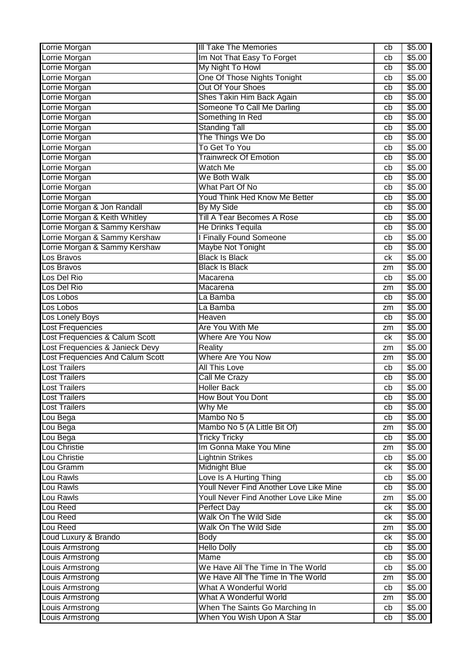| Lorrie Morgan                    | <b>III Take The Memories</b>            | cb | \$5.00 |
|----------------------------------|-----------------------------------------|----|--------|
| Lorrie Morgan                    | Im Not That Easy To Forget              | cb | \$5.00 |
| Lorrie Morgan                    | My Night To Howl                        | cb | \$5.00 |
| Lorrie Morgan                    | One Of Those Nights Tonight             | cb | \$5.00 |
| Lorrie Morgan                    | Out Of Your Shoes                       | cb | \$5.00 |
| Lorrie Morgan                    | Shes Takin Him Back Again               | cb | \$5.00 |
| Lorrie Morgan                    | Someone To Call Me Darling              | cb | \$5.00 |
| Lorrie Morgan                    | Something In Red                        | cb | \$5.00 |
| Lorrie Morgan                    | <b>Standing Tall</b>                    | cb | \$5.00 |
| Lorrie Morgan                    | The Things We Do                        | cb | \$5.00 |
| Lorrie Morgan                    | To Get To You                           | cb | \$5.00 |
| Lorrie Morgan                    | <b>Trainwreck Of Emotion</b>            | cb | \$5.00 |
| Lorrie Morgan                    | Watch Me                                | cb | \$5.00 |
| Lorrie Morgan                    | We Both Walk                            | cb | \$5.00 |
| Lorrie Morgan                    | What Part Of No                         | cb | \$5.00 |
| Lorrie Morgan                    | Youd Think Hed Know Me Better           | cb | \$5.00 |
| Lorrie Morgan & Jon Randall      | By My Side                              | cb | \$5.00 |
| Lorrie Morgan & Keith Whitley    | <b>Till A Tear Becomes A Rose</b>       |    | \$5.00 |
| Lorrie Morgan & Sammy Kershaw    | <b>He Drinks Tequila</b>                | cb |        |
|                                  | <b>I Finally Found Someone</b>          | cb | \$5.00 |
| Lorrie Morgan & Sammy Kershaw    |                                         | cb | \$5.00 |
| Lorrie Morgan & Sammy Kershaw    | Maybe Not Tonight                       | cb | \$5.00 |
| Los Bravos                       | <b>Black Is Black</b>                   | ck | \$5.00 |
| Los Bravos                       | <b>Black Is Black</b>                   | zm | \$5.00 |
| Los Del Rio                      | Macarena                                | cb | \$5.00 |
| Los Del Rio                      | Macarena                                | zm | \$5.00 |
| Los Lobos                        | La Bamba                                | cb | \$5.00 |
| Los Lobos                        | La Bamba                                | zm | \$5.00 |
| Los Lonely Boys                  | Heaven                                  | cb | \$5.00 |
| <b>Lost Frequencies</b>          | Are You With Me                         | zm | \$5.00 |
| Lost Frequencies & Calum Scott   | <b>Where Are You Now</b>                | ck | \$5.00 |
| Lost Frequencies & Janieck Devy  | Reality                                 | zm | \$5.00 |
| Lost Frequencies And Calum Scott | Where Are You Now                       | zm | \$5.00 |
| <b>Lost Trailers</b>             | <b>All This Love</b>                    | cb | \$5.00 |
| <b>Lost Trailers</b>             | Call Me Crazy                           | cb | \$5.00 |
| <b>Lost Trailers</b>             | <b>Holler Back</b>                      | cb | \$5.00 |
| <b>Lost Trailers</b>             | How Bout You Dont                       | cb | \$5.00 |
| <b>Lost Trailers</b>             | Why Me                                  | cb | \$5.00 |
| Lou Bega                         | Mambo No 5                              | cb | \$5.00 |
| Lou Bega                         | Mambo No 5 (A Little Bit Of)            | zm | \$5.00 |
| Lou Bega                         | <b>Tricky Tricky</b>                    | cb | \$5.00 |
| Lou Christie                     | Im Gonna Make You Mine                  | zm | \$5.00 |
| Lou Christie                     | <b>Lightnin Strikes</b>                 | cb | \$5.00 |
| Lou Gramm                        | <b>Midnight Blue</b>                    | ck | \$5.00 |
| Lou Rawls                        | Love Is A Hurting Thing                 | cb | \$5.00 |
| Lou Rawls                        | Youll Never Find Another Love Like Mine | cb | \$5.00 |
| Lou Rawls                        | Youll Never Find Another Love Like Mine | zm | \$5.00 |
| Lou Reed                         | <b>Perfect Day</b>                      | ck | \$5.00 |
| Lou Reed                         | Walk On The Wild Side                   | ck | \$5.00 |
| Lou Reed                         | Walk On The Wild Side                   | zm | \$5.00 |
| Loud Luxury & Brando             | <b>Body</b>                             | ck | \$5.00 |
| Louis Armstrong                  | <b>Hello Dolly</b>                      | cb | \$5.00 |
| Louis Armstrong                  | Mame                                    | cb | \$5.00 |
| Louis Armstrong                  | We Have All The Time In The World       | cb | \$5.00 |
| Louis Armstrong                  | We Have All The Time In The World       | zm | \$5.00 |
| Louis Armstrong                  | What A Wonderful World                  | cb | \$5.00 |
| Louis Armstrong                  | What A Wonderful World                  | zm | \$5.00 |
| <b>Louis Armstrong</b>           | When The Saints Go Marching In          | cb | \$5.00 |
|                                  | When You Wish Upon A Star               |    | \$5.00 |
| <b>Louis Armstrong</b>           |                                         | cb |        |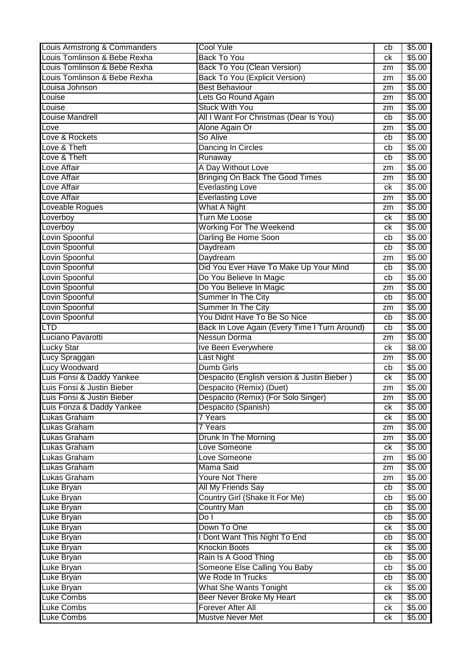| Louis Armstrong & Commanders                                                                                 | Cool Yule                                           | cb       | \$5.00           |
|--------------------------------------------------------------------------------------------------------------|-----------------------------------------------------|----------|------------------|
| Louis Tomlinson & Bebe Rexha                                                                                 | <b>Back To You</b>                                  | сk       | \$5.00           |
| Louis Tomlinson & Bebe Rexha                                                                                 | <b>Back To You (Clean Version)</b>                  | zm       | \$5.00           |
| Louis Tomlinson & Bebe Rexha                                                                                 | <b>Back To You (Explicit Version)</b>               | zm       | \$5.00           |
| Louisa Johnson                                                                                               | <b>Best Behaviour</b>                               | zm       | \$5.00           |
| Louise                                                                                                       | Lets Go Round Again                                 | zm       | \$5.00           |
| Louise                                                                                                       | <b>Stuck With You</b>                               | zm       | \$5.00           |
| <b>Louise Mandrell</b>                                                                                       | All I Want For Christmas (Dear Is You)              | cb       | \$5.00           |
| Love                                                                                                         | Alone Again Or                                      | zm       | \$5.00           |
| Love & Rockets                                                                                               | So Alive                                            | cb       | \$5.00           |
| Love & Theft                                                                                                 | Dancing In Circles                                  | cb       | \$5.00           |
| Love & Theft                                                                                                 | Runaway                                             | cb       | \$5.00           |
| Love Affair                                                                                                  | A Day Without Love                                  | zm       | \$5.00           |
| Love Affair                                                                                                  | Bringing On Back The Good Times                     | zm       | \$5.00           |
| Love Affair                                                                                                  | <b>Everlasting Love</b>                             | сk       | \$5.00           |
| <b>Love Affair</b>                                                                                           |                                                     |          | \$5.00           |
|                                                                                                              | <b>Everlasting Love</b>                             | zm       |                  |
| Loveable Rogues                                                                                              | What A Night                                        | zm       | \$5.00           |
| Loverboy                                                                                                     | <b>Turn Me Loose</b>                                | сk       | \$5.00           |
| Loverboy                                                                                                     | <b>Working For The Weekend</b>                      | сk       | \$5.00           |
| Lovin Spoonful                                                                                               | Darling Be Home Soon                                | cb       | \$5.00           |
| Lovin Spoonful                                                                                               | Daydream                                            | cb       | \$5.00           |
| Lovin Spoonful                                                                                               | Daydream                                            | zm       | \$5.00           |
| Lovin Spoonful                                                                                               | Did You Ever Have To Make Up Your Mind              | cb       | \$5.00           |
| Lovin Spoonful                                                                                               | Do You Believe In Magic                             | cb       | \$5.00           |
| Lovin Spoonful                                                                                               | Do You Believe In Magic                             | zm       | \$5.00           |
| Lovin Spoonful                                                                                               | Summer In The City                                  | cb       | \$5.00           |
| Lovin Spoonful                                                                                               | <b>Summer In The City</b>                           | zm       | \$5.00           |
| Lovin Spoonful                                                                                               | You Didnt Have To Be So Nice                        | cb       | \$5.00           |
| <b>LTD</b>                                                                                                   | Back In Love Again (Every Time I Turn Around)       | cb       | \$5.00           |
| Luciano Pavarotti                                                                                            | Nessun Dorma                                        | zm       | \$5.00           |
|                                                                                                              |                                                     |          |                  |
| <b>Lucky Star</b>                                                                                            | Ive Been Everywhere                                 | сk       | \$8.00           |
|                                                                                                              | Last Night                                          | zm       | \$5.00           |
| Lucy Spraggan<br>Lucy Woodward                                                                               | <b>Dumb Girls</b>                                   | cb       | \$5.00           |
| Luis Fonsi & Daddy Yankee                                                                                    | Despacito (English version & Justin Bieber)         | сk       | \$5.00           |
| Luis Fonsi & Justin Bieber                                                                                   | Despacito (Remix) (Duet)                            | zm       | \$5.00           |
| Luis Fonsi & Justin Bieber                                                                                   | Despacito (Remix) (For Solo Singer)                 | zm       | \$5.00           |
|                                                                                                              | Despacito (Spanish)                                 | ck       | \$5.00           |
| Luis Fonza & Daddy Yankee<br>Lukas Graham                                                                    | <b>7 Years</b>                                      | ck       | \$5.00           |
| Lukas Graham                                                                                                 | <b>7 Years</b>                                      | zm       | \$5.00           |
| Lukas Graham                                                                                                 | Drunk In The Morning                                | zm       | \$5.00           |
| Lukas Graham                                                                                                 | Love Someone                                        | ck       | \$5.00           |
| Lukas Graham                                                                                                 | Love Someone                                        | zm       | \$5.00           |
| Lukas Graham                                                                                                 | <b>Mama Said</b>                                    | zm       | \$5.00           |
| Lukas Graham                                                                                                 | <b>Youre Not There</b>                              | zm       | \$5.00           |
|                                                                                                              | All My Friends Say                                  | cb       | \$5.00           |
|                                                                                                              |                                                     | cb       |                  |
|                                                                                                              | Country Girl (Shake It For Me)                      | cb       | \$5.00           |
| Luke Bryan                                                                                                   | <b>Country Man</b><br>DoI                           |          | \$5.00           |
|                                                                                                              | Down To One                                         | cb<br>ck | \$5.00<br>\$5.00 |
|                                                                                                              |                                                     | cb       |                  |
|                                                                                                              | I Dont Want This Night To End                       | ck       | \$5.00           |
|                                                                                                              | <b>Knockin Boots</b>                                | cb       | \$5.00           |
| Luke Bryan                                                                                                   | Rain Is A Good Thing                                |          | \$5.00           |
| Luke Bryan                                                                                                   | Someone Else Calling You Baby                       | cb       | \$5.00           |
|                                                                                                              | We Rode In Trucks                                   | cb       | \$5.00           |
| Luke Bryan<br>Luke Bryan<br>Luke Bryan<br>Luke Bryan<br>Luke Bryan<br>Luke Bryan<br>Luke Bryan<br>Luke Bryan | <b>What She Wants Tonight</b>                       | ck       | \$5.00           |
| <b>Luke Combs</b>                                                                                            | Beer Never Broke My Heart                           | ck       | \$5.00           |
| <b>Luke Combs</b><br>Luke Combs                                                                              | <b>Forever After All</b><br><b>Mustve Never Met</b> | ck<br>ck | \$5.00<br>\$5.00 |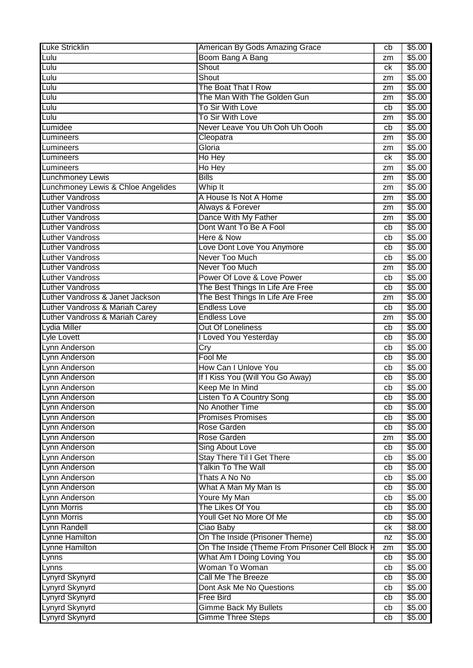| <b>Luke Stricklin</b>              | American By Gods Amazing Grace                  | cb | \$5.00 |
|------------------------------------|-------------------------------------------------|----|--------|
| Lulu                               | Boom Bang A Bang                                | zm | \$5.00 |
| Lulu                               | Shout                                           | сk | \$5.00 |
| Lulu                               | Shout                                           | zm | \$5.00 |
| Lulu                               | The Boat That I Row                             | zm | \$5.00 |
| Lulu                               | The Man With The Golden Gun                     | zm | \$5.00 |
| Lulu                               | To Sir With Love                                | cb | \$5.00 |
| Lulu                               | To Sir With Love                                | zm | \$5.00 |
| Lumidee                            | Never Leave You Uh Ooh Uh Oooh                  | cb | \$5.00 |
| Lumineers                          | Cleopatra                                       | zm | \$5.00 |
| Lumineers                          | Gloria                                          | zm | \$5.00 |
| Lumineers                          | Ho Hey                                          | ck | \$5.00 |
| Lumineers                          | Ho Hey                                          | zm | \$5.00 |
| <b>Lunchmoney Lewis</b>            | <b>Bills</b>                                    | zm | \$5.00 |
| Lunchmoney Lewis & Chloe Angelides | Whip It                                         | zm | \$5.00 |
| <b>Luther Vandross</b>             | A House Is Not A Home                           | zm | \$5.00 |
| <b>Luther Vandross</b>             | Always & Forever                                |    | \$5.00 |
| <b>Luther Vandross</b>             | Dance With My Father                            | zm | \$5.00 |
| <b>Luther Vandross</b>             | Dont Want To Be A Fool                          | zm | \$5.00 |
| <b>Luther Vandross</b>             | Here & Now                                      | cb |        |
| <b>Luther Vandross</b>             |                                                 | cb | \$5.00 |
|                                    | Love Dont Love You Anymore                      | cb | \$5.00 |
| <b>Luther Vandross</b>             | Never Too Much                                  | cb | \$5.00 |
| <b>Luther Vandross</b>             | Never Too Much                                  | zm | \$5.00 |
| <b>Luther Vandross</b>             | Power Of Love & Love Power                      | cb | \$5.00 |
| <b>Luther Vandross</b>             | The Best Things In Life Are Free                | cb | \$5.00 |
| Luther Vandross & Janet Jackson    | The Best Things In Life Are Free                | zm | \$5.00 |
| Luther Vandross & Mariah Carey     | <b>Endless Love</b>                             | cb | \$5.00 |
| Luther Vandross & Mariah Carey     | <b>Endless Love</b>                             | zm | \$5.00 |
| Lydia Miller                       | <b>Out Of Loneliness</b>                        | cb | \$5.00 |
| Lyle Lovett                        | I Loved You Yesterday                           | cb | \$5.00 |
| Lynn Anderson                      | Cry                                             | cb | \$5.00 |
| Lynn Anderson                      | Fool Me                                         | cb | \$5.00 |
| Lynn Anderson                      | How Can I Unlove You                            | cb | \$5.00 |
| Lynn Anderson                      | If I Kiss You (Will You Go Away)                | cb | \$5.00 |
| Lynn Anderson                      | Keep Me In Mind                                 | cb | \$5.00 |
| Lynn Anderson                      | Listen To A Country Song                        | cb | \$5.00 |
| Lynn Anderson                      | No Another Time                                 | cb | \$5.00 |
| Lynn Anderson                      | <b>Promises Promises</b>                        | cb | \$5.00 |
| Lynn Anderson                      | Rose Garden                                     | cb | \$5.00 |
| Lynn Anderson                      | Rose Garden                                     | zm | \$5.00 |
| Lynn Anderson                      | <b>Sing About Love</b>                          | cb | \$5.00 |
| Lynn Anderson                      | <b>Stay There Til I Get There</b>               | cb | \$5.00 |
| Lynn Anderson                      | <b>Talkin To The Wall</b>                       | cb | \$5.00 |
| Lynn Anderson                      | Thats A No No                                   | cb | \$5.00 |
| Lynn Anderson                      | What A Man My Man Is                            | cb | \$5.00 |
| Lynn Anderson                      | Youre My Man                                    | cb | \$5.00 |
| Lynn Morris                        | The Likes Of You                                | cb | \$5.00 |
| <b>Lynn Morris</b>                 | Youll Get No More Of Me                         | cb | \$5.00 |
| Lynn Randell                       | Ciao Baby                                       | ck | \$8.00 |
| <b>Lynne Hamilton</b>              | On The Inside (Prisoner Theme)                  | nz | \$5.00 |
| Lynne Hamilton                     | On The Inside (Theme From Prisoner Cell Block H | zm | \$5.00 |
| Lynns                              | What Am I Doing Loving You                      | cb | \$5.00 |
| Lynns                              | Woman To Woman                                  | cb | \$5.00 |
| Lynyrd Skynyrd                     | Call Me The Breeze                              | cb | \$5.00 |
|                                    | Dont Ask Me No Questions                        |    | \$5.00 |
| Lynyrd Skynyrd                     | <b>Free Bird</b>                                | cb |        |
| Lynyrd Skynyrd                     |                                                 | cb | \$5.00 |
| Lynyrd Skynyrd                     | <b>Gimme Back My Bullets</b>                    | cb | \$5.00 |
| Lynyrd Skynyrd                     | <b>Gimme Three Steps</b>                        | cb | \$5.00 |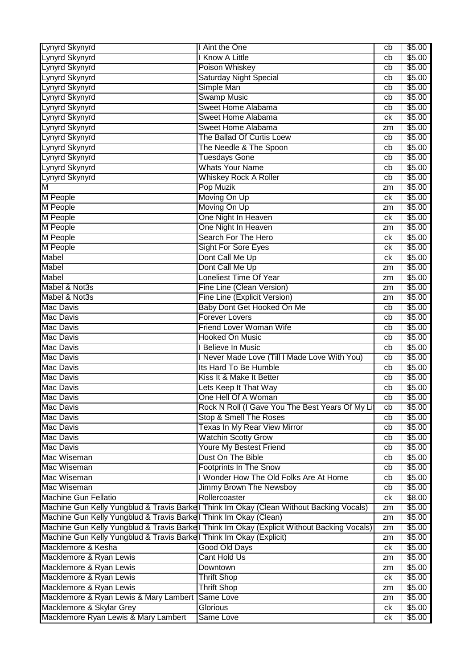| Lynyrd Skynyrd                                                      | <b>Aint the One</b>                                                                        | cb | \$5.00 |
|---------------------------------------------------------------------|--------------------------------------------------------------------------------------------|----|--------|
| Lynyrd Skynyrd                                                      | <b>Know A Little</b>                                                                       | cb | \$5.00 |
| Lynyrd Skynyrd                                                      | Poison Whiskey                                                                             | cb | \$5.00 |
| Lynyrd Skynyrd                                                      | <b>Saturday Night Special</b>                                                              | cb | \$5.00 |
| Lynyrd Skynyrd                                                      | Simple Man                                                                                 | cb | \$5.00 |
| Lynyrd Skynyrd                                                      | <b>Swamp Music</b>                                                                         | cb | \$5.00 |
| Lynyrd Skynyrd                                                      | Sweet Home Alabama                                                                         | cb | \$5.00 |
| Lynyrd Skynyrd                                                      | Sweet Home Alabama                                                                         | ck | \$5.00 |
| Lynyrd Skynyrd                                                      | Sweet Home Alabama                                                                         | zm | \$5.00 |
| Lynyrd Skynyrd                                                      | The Ballad Of Curtis Loew                                                                  | cb | \$5.00 |
| Lynyrd Skynyrd                                                      | The Needle & The Spoon                                                                     | cb | \$5.00 |
| Lynyrd Skynyrd                                                      | <b>Tuesdays Gone</b>                                                                       | cb | \$5.00 |
| Lynyrd Skynyrd                                                      | <b>Whats Your Name</b>                                                                     | cb | \$5.00 |
| Lynyrd Skynyrd                                                      | <b>Whiskey Rock A Roller</b>                                                               | cb | \$5.00 |
| Μ                                                                   | Pop Muzik                                                                                  | zm | \$5.00 |
| M People                                                            | Moving On Up                                                                               | ck | \$5.00 |
| M People                                                            | Moving On Up                                                                               | zm | \$5.00 |
| M People                                                            | One Night In Heaven                                                                        | ck | \$5.00 |
| <b>M</b> People                                                     | One Night In Heaven                                                                        | zm | \$5.00 |
| M People                                                            | Search For The Hero                                                                        | ck | \$5.00 |
| M People                                                            | <b>Sight For Sore Eyes</b>                                                                 | ck | \$5.00 |
| Mabel                                                               | Dont Call Me Up                                                                            | ck | \$5.00 |
| Mabel                                                               | Dont Call Me Up                                                                            |    | \$5.00 |
| <b>Mabel</b>                                                        | <b>Loneliest Time Of Year</b>                                                              | zm | \$5.00 |
|                                                                     |                                                                                            | zm |        |
| Mabel & Not3s                                                       | Fine Line (Clean Version)                                                                  | zm | \$5.00 |
| Mabel & Not3s                                                       | Fine Line (Explicit Version)                                                               | zm | \$5.00 |
| <b>Mac Davis</b>                                                    | Baby Dont Get Hooked On Me                                                                 | cb | \$5.00 |
| <b>Mac Davis</b>                                                    | <b>Forever Lovers</b>                                                                      | cb | \$5.00 |
| <b>Mac Davis</b>                                                    | <b>Friend Lover Woman Wife</b>                                                             | cb | \$5.00 |
| <b>Mac Davis</b>                                                    | <b>Hooked On Music</b>                                                                     | cb | \$5.00 |
| <b>Mac Davis</b>                                                    | <b>Believe In Music</b>                                                                    | cb | \$5.00 |
| <b>Mac Davis</b>                                                    | I Never Made Love (Till I Made Love With You)                                              | cb | \$5.00 |
| <b>Mac Davis</b>                                                    | Its Hard To Be Humble                                                                      | cb | \$5.00 |
| Mac Davis                                                           | Kiss It & Make It Better                                                                   | cb | \$5.00 |
| <b>Mac Davis</b>                                                    | Lets Keep It That Way                                                                      | cb | \$5.00 |
| <b>Mac Davis</b>                                                    | One Hell Of A Woman                                                                        | cb | \$5.00 |
| Mac Davis                                                           | Rock N Roll (I Gave You The Best Years Of My Lit                                           | cb | \$5.00 |
| Mac Davis                                                           | Stop & Smell The Roses                                                                     | cb | \$5.00 |
| Mac Davis                                                           | Texas In My Rear View Mirror                                                               | cb | \$5.00 |
| Mac Davis                                                           | <b>Watchin Scotty Grow</b>                                                                 | cb | \$5.00 |
| Mac Davis                                                           | Youre My Bestest Friend                                                                    | cb | \$5.00 |
| Mac Wiseman                                                         | Dust On The Bible                                                                          | cb | \$5.00 |
| Mac Wiseman                                                         | <b>Footprints In The Snow</b>                                                              | cb | \$5.00 |
| Mac Wiseman                                                         | I Wonder How The Old Folks Are At Home                                                     | cb | \$5.00 |
| Mac Wiseman                                                         | Jimmy Brown The Newsboy                                                                    | cb | \$5.00 |
| <b>Machine Gun Fellatio</b>                                         | Rollercoaster                                                                              | ck | \$8.00 |
|                                                                     | Machine Gun Kelly Yungblud & Travis Barkel Think Im Okay (Clean Without Backing Vocals)    | zm | \$5.00 |
| Machine Gun Kelly Yungblud & Travis Barkell Think Im Okay (Clean)   |                                                                                            | zm | \$5.00 |
|                                                                     | Machine Gun Kelly Yungblud & Travis Barkel Think Im Okay (Explicit Without Backing Vocals) | zm | \$5.00 |
| Machine Gun Kelly Yungblud & Travis Barkel Think Im Okay (Explicit) |                                                                                            | zm | \$5.00 |
| Macklemore & Kesha                                                  | Good Old Days                                                                              | ck | \$5.00 |
| Macklemore & Ryan Lewis                                             | <b>Cant Hold Us</b>                                                                        | zm | \$5.00 |
| Macklemore & Ryan Lewis                                             | Downtown                                                                                   | zm | \$5.00 |
| Macklemore & Ryan Lewis                                             | <b>Thrift Shop</b>                                                                         | ck | \$5.00 |
| Macklemore & Ryan Lewis                                             | <b>Thrift Shop</b>                                                                         | zm | \$5.00 |
| Macklemore & Ryan Lewis & Mary Lambert                              | Same Love                                                                                  | zm | \$5.00 |
| Macklemore & Skylar Grey                                            | Glorious                                                                                   | ck | \$5.00 |
| Macklemore Ryan Lewis & Mary Lambert                                | Same Love                                                                                  | ck | \$5.00 |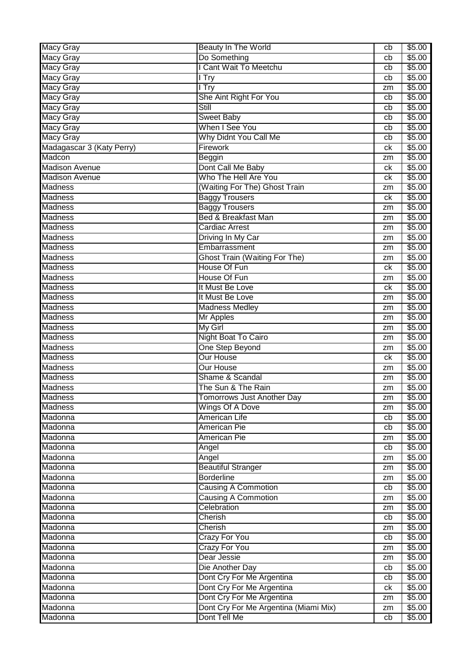| <b>Macy Gray</b>          | <b>Beauty In The World</b>            | cb | \$5.00             |
|---------------------------|---------------------------------------|----|--------------------|
| <b>Macy Gray</b>          | Do Something                          | cb | \$5.00             |
| <b>Macy Gray</b>          | I Cant Wait To Meetchu                | cb | \$5.00             |
| Macy Gray                 | $\overline{\mathsf{Try}}$             | cb | \$5.00             |
| <b>Macy Gray</b>          | l Try                                 | zm | \$5.00             |
| <b>Macy Gray</b>          | She Aint Right For You                | cb | \$5.00             |
| <b>Macy Gray</b>          | Still                                 | cb | \$5.00             |
| <b>Macy Gray</b>          | <b>Sweet Baby</b>                     | cb | \$5.00             |
| <b>Macy Gray</b>          | When I See You                        | cb | \$5.00             |
| <b>Macy Gray</b>          | Why Didnt You Call Me                 | cb | \$5.00             |
| Madagascar 3 (Katy Perry) | <b>Firework</b>                       | ck | \$5.00             |
| Madcon                    | Beggin                                | zm | \$5.00             |
| <b>Madison Avenue</b>     | Dont Call Me Baby                     | ck | \$5.00             |
| <b>Madison Avenue</b>     | Who The Hell Are You                  | ck | \$5.00             |
| <b>Madness</b>            | (Waiting For The) Ghost Train         | zm | \$5.00             |
| <b>Madness</b>            | <b>Baggy Trousers</b>                 | ck | \$5.00             |
| Madness                   | <b>Baggy Trousers</b>                 | zm | \$5.00             |
| <b>Madness</b>            | <b>Bed &amp; Breakfast Man</b>        | zm | \$5.00             |
| <b>Madness</b>            | <b>Cardiac Arrest</b>                 | zm | \$5.00             |
| <b>Madness</b>            | Driving In My Car                     | zm | \$5.00             |
| Madness                   | Embarrassment                         | zm | \$5.00             |
| <b>Madness</b>            | <b>Ghost Train (Waiting For The)</b>  | zm | \$5.00             |
| <b>Madness</b>            | House Of Fun                          | ck | \$5.00             |
| <b>Madness</b>            | House Of Fun                          | zm | \$5.00             |
| <b>Madness</b>            | It Must Be Love                       | ck | \$5.00             |
| <b>Madness</b>            | It Must Be Love                       | zm | \$5.00             |
| <b>Madness</b>            | <b>Madness Medley</b>                 | zm | \$5.00             |
| <b>Madness</b>            | <b>Mr Apples</b>                      | zm | \$5.00             |
| <b>Madness</b>            | <b>My Girl</b>                        | zm | \$5.00             |
| Madness                   | <b>Night Boat To Cairo</b>            | zm | \$5.00             |
| Madness                   | One Step Beyond                       | zm | $\overline{$}5.00$ |
| Madness                   | <b>Our House</b>                      | сk | \$5.00             |
| <b>Madness</b>            | Our House                             | zm | \$5.00             |
| <b>Madness</b>            | Shame & Scandal                       | zm | \$5.00             |
| <b>Madness</b>            | The Sun & The Rain                    | zm | \$5.00             |
| <b>Madness</b>            | Tomorrows Just Another Day            | zm | \$5.00             |
| Madness                   | Wings Of A Dove                       | zm | \$5.00             |
| Madonna                   | American Life                         | cb | \$5.00             |
| Madonna                   | <b>American Pie</b>                   | cb | \$5.00             |
| Madonna                   | <b>American Pie</b>                   | zm | \$5.00             |
| Madonna                   | Angel                                 | cb | \$5.00             |
| Madonna                   | Angel                                 | zm | \$5.00             |
| Madonna                   | <b>Beautiful Stranger</b>             | zm | \$5.00             |
| Madonna                   | <b>Borderline</b>                     | zm | \$5.00             |
| Madonna                   | <b>Causing A Commotion</b>            | cb | \$5.00             |
| Madonna                   | <b>Causing A Commotion</b>            | zm | \$5.00             |
| Madonna                   | Celebration                           | zm | \$5.00             |
| Madonna                   | <b>Cherish</b>                        | cb | \$5.00             |
| Madonna                   | Cherish                               | zm | \$5.00             |
| Madonna                   | <b>Crazy For You</b>                  | cb | \$5.00             |
| Madonna                   | <b>Crazy For You</b>                  | zm | \$5.00             |
| Madonna                   | Dear Jessie                           | zm | \$5.00             |
| Madonna                   | Die Another Day                       | cb | \$5.00             |
| Madonna                   | Dont Cry For Me Argentina             | cb | \$5.00             |
| Madonna                   | Dont Cry For Me Argentina             | ck | \$5.00             |
| Madonna                   | Dont Cry For Me Argentina             | zm | \$5.00             |
| Madonna                   | Dont Cry For Me Argentina (Miami Mix) | zm | \$5.00             |
| Madonna                   | Dont Tell Me                          | cb | \$5.00             |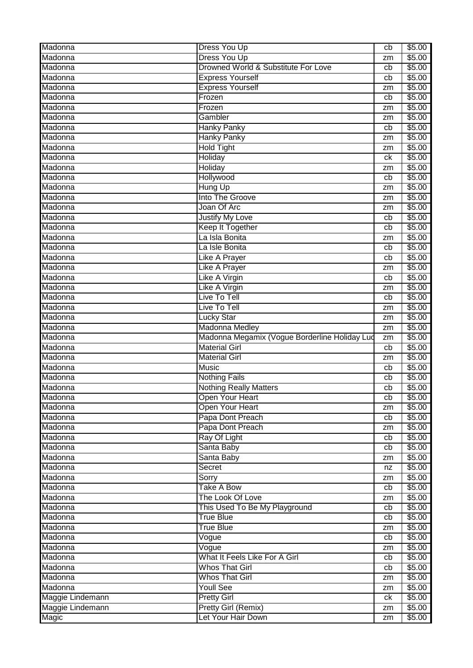| Madonna          | <b>Dress You Up</b>                           | cb | \$5.00 |
|------------------|-----------------------------------------------|----|--------|
| Madonna          | <b>Dress You Up</b>                           | zm | \$5.00 |
| Madonna          | Drowned World & Substitute For Love           | cb | \$5.00 |
| Madonna          | <b>Express Yourself</b>                       | cb | \$5.00 |
| Madonna          | <b>Express Yourself</b>                       | zm | \$5.00 |
| Madonna          | Frozen                                        | cb | \$5.00 |
| Madonna          | Frozen                                        | zm | \$5.00 |
| Madonna          | Gambler                                       | zm | \$5.00 |
| Madonna          | <b>Hanky Panky</b>                            | cb | \$5.00 |
| Madonna          | <b>Hanky Panky</b>                            | zm | \$5.00 |
| Madonna          | <b>Hold Tight</b>                             | zm | \$5.00 |
| Madonna          | <b>Holiday</b>                                | ck | \$5.00 |
| Madonna          | Holiday                                       | zm | \$5.00 |
| Madonna          | Hollywood                                     | cb | \$5.00 |
| Madonna          | <b>Hung Up</b>                                | zm | \$5.00 |
| Madonna          | Into The Groove                               | zm | \$5.00 |
| Madonna          | Joan Of Arc                                   | zm | \$5.00 |
| Madonna          | <b>Justify My Love</b>                        | cb | \$5.00 |
| Madonna          | Keep It Together                              | cb | \$5.00 |
| Madonna          | La Isla Bonita                                | zm | \$5.00 |
| Madonna          | La Isle Bonita                                | cb | \$5.00 |
| Madonna          | <b>Like A Prayer</b>                          | cb | \$5.00 |
| Madonna          | <b>Like A Prayer</b>                          | zm | \$5.00 |
| Madonna          | <b>Like A Virgin</b>                          | cb | \$5.00 |
| Madonna          | <b>Like A Virgin</b>                          | zm | \$5.00 |
| Madonna          | Live To Tell                                  | cb | \$5.00 |
| Madonna          | Live To Tell                                  | zm | \$5.00 |
| Madonna          | Lucky Star                                    | zm | \$5.00 |
| Madonna          | Madonna Medley                                | zm | \$5.00 |
| Madonna          | Madonna Megamix (Vogue Borderline Holiday Lud | zm | \$5.00 |
| Madonna          | <b>Material Girl</b>                          | cb | \$5.00 |
| Madonna          | <b>Material Girl</b>                          | zm | \$5.00 |
| Madonna          | <b>Music</b>                                  | cb | \$5.00 |
| Madonna          | <b>Nothing Fails</b>                          | cb | \$5.00 |
| Madonna          | <b>Nothing Really Matters</b>                 | cb | \$5.00 |
| Madonna          | <b>Open Your Heart</b>                        | cb | \$5.00 |
| Madonna          | <b>Open Your Heart</b>                        | zm | \$5.00 |
| Madonna          | Papa Dont Preach                              | cb | \$5.00 |
| Madonna          | Papa Dont Preach                              | zm | \$5.00 |
| Madonna          | Ray Of Light                                  | cb | \$5.00 |
| Madonna          | Santa Baby                                    | cb | \$5.00 |
| Madonna          | Santa Baby                                    | zm | \$5.00 |
| Madonna          | Secret                                        | nz | \$5.00 |
| Madonna          | Sorry                                         | zm | \$5.00 |
| Madonna          | <b>Take A Bow</b>                             | cb | \$5.00 |
| Madonna          | The Look Of Love                              | zm | \$5.00 |
| Madonna          | This Used To Be My Playground                 | cb | \$5.00 |
| Madonna          | <b>True Blue</b>                              | cb | \$5.00 |
| Madonna          | <b>True Blue</b>                              | zm | \$5.00 |
| Madonna          | Vogue                                         | cb | \$5.00 |
| Madonna          | Vogue                                         | zm | \$5.00 |
| Madonna          | What It Feels Like For A Girl                 | cb | \$5.00 |
| Madonna          | <b>Whos That Girl</b>                         | cb | \$5.00 |
| Madonna          | <b>Whos That Girl</b>                         | zm | \$5.00 |
| Madonna          | <b>Youll See</b>                              | zm | \$5.00 |
| Maggie Lindemann | <b>Pretty Girl</b>                            | ck | \$5.00 |
| Maggie Lindemann | Pretty Girl (Remix)                           | zm | \$5.00 |
| Magic            | Let Your Hair Down                            | zm | \$5.00 |
|                  |                                               |    |        |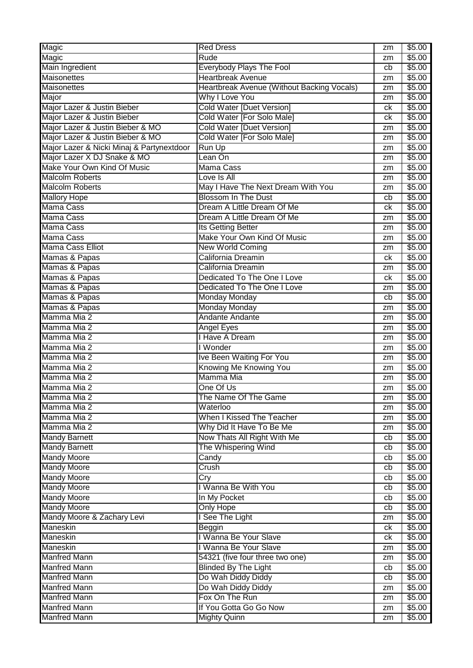| Magic                                     | <b>Red Dress</b>                           | zm | \$5.00 |
|-------------------------------------------|--------------------------------------------|----|--------|
| Magic                                     | <b>Rude</b>                                | zm | \$5.00 |
| Main Ingredient                           | <b>Everybody Plays The Fool</b>            | cb | \$5.00 |
| <b>Maisonettes</b>                        | <b>Heartbreak Avenue</b>                   | zm | \$5.00 |
| Maisonettes                               | Heartbreak Avenue (Without Backing Vocals) | zm | \$5.00 |
| Major                                     | Why I Love You                             | zm | \$5.00 |
| Major Lazer & Justin Bieber               | <b>Cold Water [Duet Version]</b>           | сk | \$5.00 |
| Major Lazer & Justin Bieber               | Cold Water [For Solo Male]                 | сk | \$5.00 |
| Major Lazer & Justin Bieber & MO          | <b>Cold Water [Duet Version]</b>           | zm | \$5.00 |
| Major Lazer & Justin Bieber & MO          | Cold Water [For Solo Male]                 | zm | \$5.00 |
| Major Lazer & Nicki Minaj & Partynextdoor | Run Up                                     | zm | \$5.00 |
| Major Lazer X DJ Snake & MO               | Lean On                                    | zm | \$5.00 |
| Make Your Own Kind Of Music               | Mama Cass                                  | zm | \$5.00 |
| <b>Malcolm Roberts</b>                    | Love Is All                                | zm | \$5.00 |
| <b>Malcolm Roberts</b>                    | May I Have The Next Dream With You         | zm | \$5.00 |
| <b>Mallory Hope</b>                       | <b>Blossom In The Dust</b>                 | cb | \$5.00 |
| <b>Mama Cass</b>                          | Dream A Little Dream Of Me                 | сk | \$5.00 |
| <b>Mama Cass</b>                          | Dream A Little Dream Of Me                 | zm | \$5.00 |
| <b>Mama Cass</b>                          | <b>Its Getting Better</b>                  | zm | \$5.00 |
| <b>Mama Cass</b>                          | Make Your Own Kind Of Music                | zm | \$5.00 |
| Mama Cass Elliot                          | <b>New World Coming</b>                    | zm | \$5.00 |
| Mamas & Papas                             | California Dreamin                         | ck | \$5.00 |
| Mamas & Papas                             | California Dreamin                         | zm | \$5.00 |
| Mamas & Papas                             | Dedicated To The One I Love                | сk | \$5.00 |
| Mamas & Papas                             | Dedicated To The One I Love                | zm | \$5.00 |
| Mamas & Papas                             | <b>Monday Monday</b>                       | cb | \$5.00 |
| Mamas & Papas                             | <b>Monday Monday</b>                       | zm | \$5.00 |
| Mamma Mia 2                               | Andante Andante                            | zm | \$5.00 |
| Mamma Mia 2                               | Angel Eyes                                 | zm | \$5.00 |
| Mamma Mia 2                               | I Have A Dream                             | zm | \$5.00 |
| Mamma Mia 2                               | I Wonder                                   | zm | \$5.00 |
| Mamma Mia 2                               | Ive Been Waiting For You                   | zm | \$5.00 |
| Mamma Mia 2                               | Knowing Me Knowing You                     | zm | \$5.00 |
| Mamma Mia 2                               | Mamma Mia                                  | zm | \$5.00 |
| Mamma Mia 2                               | One Of Us                                  | zm | \$5.00 |
| Mamma Mia 2                               | The Name Of The Game                       | zm | \$5.00 |
| Mamma Mia 2                               | Waterloo                                   | zm | \$5.00 |
| Mamma Mia 2                               | When I Kissed The Teacher                  | zm | \$5.00 |
| Mamma Mia 2                               | Why Did It Have To Be Me                   | zm | \$5.00 |
| <b>Mandy Barnett</b>                      | Now Thats All Right With Me                | cb | \$5.00 |
| <b>Mandy Barnett</b>                      | The Whispering Wind                        | cb | \$5.00 |
| <b>Mandy Moore</b>                        | Candy                                      | cb | \$5.00 |
| <b>Mandy Moore</b>                        | Crush                                      | cb | \$5.00 |
| <b>Mandy Moore</b>                        | $\overline{\mathrm{Cry}}$                  | cb | \$5.00 |
| <b>Mandy Moore</b>                        | I Wanna Be With You                        | cb | \$5.00 |
| <b>Mandy Moore</b>                        | In My Pocket                               | cb | \$5.00 |
| <b>Mandy Moore</b>                        | <b>Only Hope</b>                           | cb | \$5.00 |
| Mandy Moore & Zachary Levi                | I See The Light                            | zm | \$5.00 |
| Maneskin                                  | Beggin                                     | ck | \$5.00 |
| Maneskin                                  | I Wanna Be Your Slave                      | ck | \$5.00 |
| Maneskin                                  | I Wanna Be Your Slave                      | zm | \$5.00 |
| <b>Manfred Mann</b>                       | 54321 (five four three two one)            | zm | \$5.00 |
| <b>Manfred Mann</b>                       | <b>Blinded By The Light</b>                | cb | \$5.00 |
| <b>Manfred Mann</b>                       | Do Wah Diddy Diddy                         | cb | \$5.00 |
| <b>Manfred Mann</b>                       | Do Wah Diddy Diddy                         | zm | \$5.00 |
| <b>Manfred Mann</b>                       | Fox On The Run                             | zm | \$5.00 |
| <b>Manfred Mann</b>                       | If You Gotta Go Go Now                     | zm | \$5.00 |
| <b>Manfred Mann</b>                       | <b>Mighty Quinn</b>                        | zm | \$5.00 |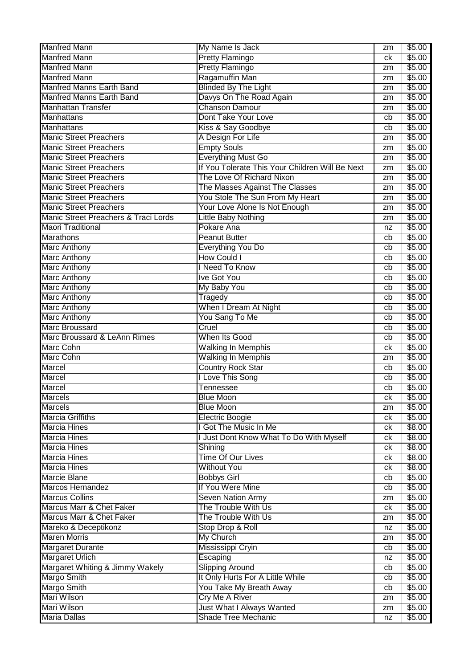| <b>Manfred Mann</b>                               | My Name Is Jack                                 | zm               | \$5.00           |
|---------------------------------------------------|-------------------------------------------------|------------------|------------------|
| <b>Manfred Mann</b>                               | <b>Pretty Flamingo</b>                          | ck               | \$5.00           |
| <b>Manfred Mann</b>                               | <b>Pretty Flamingo</b>                          | zm               | \$5.00           |
| <b>Manfred Mann</b>                               | Ragamuffin Man                                  | zm               | \$5.00           |
| <b>Manfred Manns Earth Band</b>                   | <b>Blinded By The Light</b>                     | zm               | \$5.00           |
| <b>Manfred Manns Earth Band</b>                   | Davys On The Road Again                         | zm               | \$5.00           |
| <b>Manhattan Transfer</b>                         | <b>Chanson Damour</b>                           | zm               | \$5.00           |
| <b>Manhattans</b>                                 | Dont Take Your Love                             | cb               | \$5.00           |
| Manhattans                                        | Kiss & Say Goodbye                              | cb               | \$5.00           |
| <b>Manic Street Preachers</b>                     | A Design For Life                               | zm               | \$5.00           |
| <b>Manic Street Preachers</b>                     | <b>Empty Souls</b>                              | zm               | \$5.00           |
| <b>Manic Street Preachers</b>                     | Everything Must Go                              | zm               | \$5.00           |
| <b>Manic Street Preachers</b>                     | If You Tolerate This Your Children Will Be Next | zm               | \$5.00           |
| <b>Manic Street Preachers</b>                     | The Love Of Richard Nixon                       | zm               | \$5.00           |
| <b>Manic Street Preachers</b>                     | The Masses Against The Classes                  | zm               | \$5.00           |
| <b>Manic Street Preachers</b>                     | You Stole The Sun From My Heart                 | zm               | \$5.00           |
| <b>Manic Street Preachers</b>                     | Your Love Alone Is Not Enough                   | zm               | \$5.00           |
| Manic Street Preachers & Traci Lords              | <b>Little Baby Nothing</b>                      | zm               | \$5.00           |
| <b>Maori Traditional</b>                          | Pokare Ana                                      | nz               | \$5.00           |
| Marathons                                         | <b>Peanut Butter</b>                            | cb               | \$5.00           |
| Marc Anthony                                      | Everything You Do                               | cb               | \$5.00           |
| <b>Marc Anthony</b>                               | <b>How Could I</b>                              | cb               | \$5.00           |
| <b>Marc Anthony</b>                               | I Need To Know                                  | cb               | \$5.00           |
| Marc Anthony                                      | <b>Ive Got You</b>                              | cb               | \$5.00           |
| <b>Marc Anthony</b>                               | My Baby You                                     | cb               | \$5.00           |
| <b>Marc Anthony</b>                               | Tragedy                                         | cb               | \$5.00           |
| <b>Marc Anthony</b>                               | When I Dream At Night                           | cb               | \$5.00           |
| <b>Marc Anthony</b>                               | You Sang To Me                                  | cb               | \$5.00           |
| <b>Marc Broussard</b>                             | Cruel                                           | cb               | \$5.00           |
| Marc Broussard & LeAnn Rimes                      | When Its Good                                   | cb               | \$5.00           |
| <b>Marc Cohn</b>                                  | <b>Walking In Memphis</b>                       | ck               | \$5.00           |
| Marc Cohn                                         | <b>Walking In Memphis</b>                       | zm               | \$5.00           |
| Marcel                                            | <b>Country Rock Star</b>                        | cb               | \$5.00           |
| <b>Marcel</b>                                     | I Love This Song                                | cb               | \$5.00           |
| <b>Marcel</b>                                     | Tennessee                                       | cb               | \$5.00           |
| <b>Marcels</b>                                    | <b>Blue Moon</b>                                | $c_{\mathsf{K}}$ | \$5.00           |
| <b>Marcels</b>                                    | <b>Blue Moon</b>                                | zm               | \$5.00           |
| <b>Marcia Griffiths</b>                           | <b>Electric Boogie</b>                          | ck               | \$5.00           |
| <b>Marcia Hines</b>                               | I Got The Music In Me                           | ck               | \$8.00           |
| <b>Marcia Hines</b>                               | I Just Dont Know What To Do With Myself         | ck               | \$8.00           |
| <b>Marcia Hines</b>                               | Shining                                         | ck               | \$8.00           |
| <b>Marcia Hines</b>                               | <b>Time Of Our Lives</b>                        | ck               | \$8.00           |
| <b>Marcia Hines</b>                               | <b>Without You</b>                              | ck               | \$8.00           |
| <b>Marcie Blane</b>                               | <b>Bobbys Girl</b>                              | cb               | \$5.00           |
| Marcos Hernandez                                  | If You Were Mine                                | cb               | \$5.00           |
| <b>Marcus Collins</b><br>Marcus Marr & Chet Faker | Seven Nation Army<br>The Trouble With Us        | zm               | \$5.00           |
| Marcus Marr & Chet Faker                          | The Trouble With Us                             | ck               | \$5.00<br>\$5.00 |
| Mareko & Deceptikonz                              | Stop Drop & Roll                                | zm               | \$5.00           |
| <b>Maren Morris</b>                               | My Church                                       | nz               |                  |
| <b>Margaret Durante</b>                           | Mississippi Cryin                               | zm<br>cb         | \$5.00<br>\$5.00 |
| <b>Margaret Urlich</b>                            | Escaping                                        | nz               | \$5.00           |
| Margaret Whiting & Jimmy Wakely                   | <b>Slipping Around</b>                          | cb               | \$5.00           |
| <b>Margo Smith</b>                                | It Only Hurts For A Little While                | cb               | \$5.00           |
| <b>Margo Smith</b>                                | You Take My Breath Away                         | cb               | \$5.00           |
| <b>Mari Wilson</b>                                | <b>Cry Me A River</b>                           | zm               | \$5.00           |
| <b>Mari Wilson</b>                                | Just What I Always Wanted                       | zm               | \$5.00           |
| <b>Maria Dallas</b>                               | Shade Tree Mechanic                             | nz               | \$5.00           |
|                                                   |                                                 |                  |                  |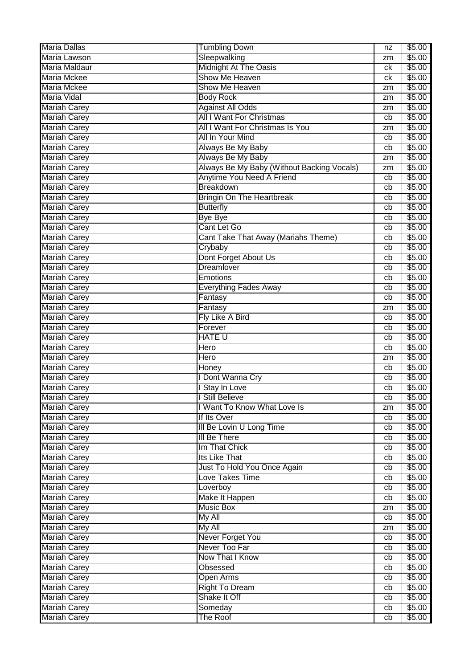| <b>Maria Dallas</b> | <b>Tumbling Down</b>                       | nz       | \$5.00             |
|---------------------|--------------------------------------------|----------|--------------------|
| Maria Lawson        | Sleepwalking                               | zm       | \$5.00             |
| Maria Maldaur       | <b>Midnight At The Oasis</b>               | ck       | \$5.00             |
| <b>Maria Mckee</b>  | Show Me Heaven                             | ck       | \$5.00             |
| <b>Maria Mckee</b>  | Show Me Heaven                             | zm       | \$5.00             |
| <b>Maria Vidal</b>  | <b>Body Rock</b>                           | zm       | \$5.00             |
| <b>Mariah Carey</b> | <b>Against All Odds</b>                    | zm       | \$5.00             |
| <b>Mariah Carey</b> | <b>All I Want For Christmas</b>            | cb       | \$5.00             |
| <b>Mariah Carey</b> | All I Want For Christmas Is You            | zm       | \$5.00             |
| <b>Mariah Carey</b> | All In Your Mind                           | cb       | \$5.00             |
| <b>Mariah Carey</b> | Always Be My Baby                          | cb       | \$5.00             |
| <b>Mariah Carey</b> | Always Be My Baby                          | zm       | \$5.00             |
| <b>Mariah Carey</b> | Always Be My Baby (Without Backing Vocals) | zm       | \$5.00             |
| <b>Mariah Carey</b> | Anytime You Need A Friend                  | cb       | \$5.00             |
| <b>Mariah Carey</b> | Breakdown                                  | cb       | \$5.00             |
| <b>Mariah Carey</b> | <b>Bringin On The Heartbreak</b>           | cb       | \$5.00             |
| <b>Mariah Carey</b> | <b>Butterfly</b>                           | cb       | \$5.00             |
| <b>Mariah Carey</b> | <b>Bye Bye</b>                             | cb       | \$5.00             |
| <b>Mariah Carey</b> | Cant Let Go                                | cb       | \$5.00             |
| <b>Mariah Carey</b> | Cant Take That Away (Mariahs Theme)        | cb       | \$5.00             |
| <b>Mariah Carey</b> | Crybaby                                    | cb       | \$5.00             |
| <b>Mariah Carey</b> | Dont Forget About Us                       | cb       | \$5.00             |
| <b>Mariah Carey</b> | Dreamlover                                 | cb       | \$5.00             |
| <b>Mariah Carey</b> | Emotions                                   | cb       | \$5.00             |
| <b>Mariah Carey</b> | <b>Everything Fades Away</b>               | cb       | \$5.00             |
| <b>Mariah Carey</b> | Fantasy                                    | cb       | \$5.00             |
| <b>Mariah Carey</b> | Fantasy                                    | zm       | \$5.00             |
| <b>Mariah Carey</b> | Fly Like A Bird                            | cb       | \$5.00             |
| <b>Mariah Carey</b> | Forever                                    | cb       | \$5.00             |
| <b>Mariah Carey</b> | <b>HATE U</b>                              | cb       | \$5.00             |
| <b>Mariah Carey</b> | Hero                                       | cb       | $\overline{$}5.00$ |
| <b>Mariah Carey</b> | Hero                                       | zm       | \$5.00             |
| <b>Mariah Carey</b> | Honey                                      | cb       | \$5.00             |
| <b>Mariah Carey</b> | Dont Wanna Cry                             | cb       | \$5.00             |
| <b>Mariah Carey</b> | Stay In Love                               | cb       | \$5.00             |
| <b>Mariah Carey</b> | <b>Still Believe</b>                       | cb       | \$5.00             |
| <b>Mariah Carey</b> | I Want To Know What Love Is                | zm       | \$5.00             |
| <b>Mariah Carey</b> | If Its Over                                | cb       | \$5.00             |
| <b>Mariah Carey</b> | III Be Lovin U Long Time                   | cb       | \$5.00             |
| <b>Mariah Carey</b> | <b>III Be There</b>                        | cb       | \$5.00             |
| <b>Mariah Carey</b> | Im That Chick                              | cb       | \$5.00             |
| <b>Mariah Carey</b> | Its Like That                              | cb       | \$5.00             |
| <b>Mariah Carey</b> | Just To Hold You Once Again                | cb       | \$5.00             |
| <b>Mariah Carey</b> | Love Takes Time                            | cb       | \$5.00             |
| <b>Mariah Carey</b> | Loverboy                                   | cb       | \$5.00             |
| <b>Mariah Carey</b> | Make It Happen                             |          | \$5.00             |
| <b>Mariah Carey</b> | <b>Music Box</b>                           | cb<br>zm | \$5.00             |
|                     |                                            |          | \$5.00             |
| <b>Mariah Carey</b> | My All<br>My All                           | cb       |                    |
| <b>Mariah Carey</b> |                                            | zm       | \$5.00             |
| Mariah Carey        | Never Forget You                           | cb       | \$5.00             |
| <b>Mariah Carey</b> | Never Too Far                              | cb       | \$5.00             |
| Mariah Carey        | Now That I Know                            | cb       | \$5.00             |
| <b>Mariah Carey</b> | <b>Obsessed</b>                            | cb       | \$5.00             |
| <b>Mariah Carey</b> | <b>Open Arms</b>                           | cb       | \$5.00             |
| <b>Mariah Carey</b> | <b>Right To Dream</b>                      | cb       | \$5.00             |
| <b>Mariah Carey</b> | Shake It Off                               | cb       | \$5.00             |
| <b>Mariah Carey</b> | Someday                                    | cb       | \$5.00             |
| <b>Mariah Carey</b> | The Roof                                   | cb       | \$5.00             |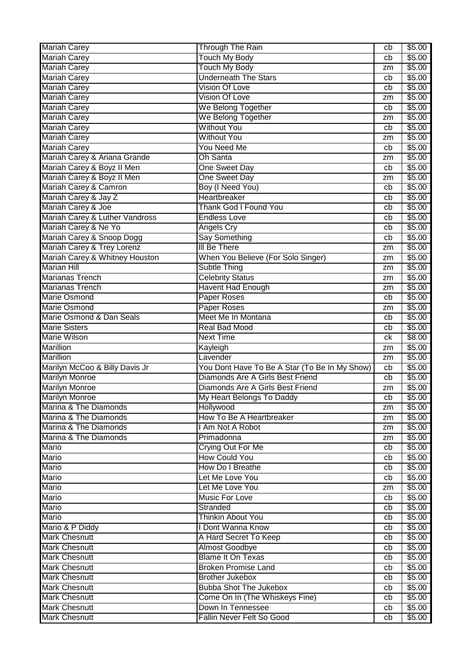| <b>Mariah Carey</b>                     | <b>Through The Rain</b>                       | cb       | \$5.00           |
|-----------------------------------------|-----------------------------------------------|----------|------------------|
| <b>Mariah Carey</b>                     | <b>Touch My Body</b>                          | cb       | \$5.00           |
| <b>Mariah Carey</b>                     | <b>Touch My Body</b>                          | zm       | \$5.00           |
| <b>Mariah Carey</b>                     | <b>Underneath The Stars</b>                   | cb       | \$5.00           |
| <b>Mariah Carey</b>                     | <b>Vision Of Love</b>                         | cb       | \$5.00           |
| <b>Mariah Carey</b>                     | <b>Vision Of Love</b>                         | zm       | \$5.00           |
| <b>Mariah Carey</b>                     | We Belong Together                            | cb       | \$5.00           |
| <b>Mariah Carey</b>                     | We Belong Together                            | zm       | \$5.00           |
| <b>Mariah Carey</b>                     | <b>Without You</b>                            | cb       | \$5.00           |
| <b>Mariah Carey</b>                     | <b>Without You</b>                            | zm       | \$5.00           |
| <b>Mariah Carey</b>                     | <b>You Need Me</b>                            | cb       | \$5.00           |
| Mariah Carey & Ariana Grande            | <b>Oh Santa</b>                               | zm       | \$5.00           |
| Mariah Carey & Boyz II Men              | One Sweet Day                                 | cb       | \$5.00           |
| Mariah Carey & Boyz II Men              | One Sweet Day                                 | zm       | \$5.00           |
| Mariah Carey & Camron                   | Boy (I Need You)                              | cb       | \$5.00           |
| Mariah Carey & Jay Z                    | Heartbreaker                                  | cb       | \$5.00           |
| Mariah Carey & Joe                      | Thank God I Found You                         | cb       | \$5.00           |
| Mariah Carey & Luther Vandross          | <b>Endless Love</b>                           | cb       | \$5.00           |
| Mariah Carey & Ne Yo                    | <b>Angels Cry</b>                             | cb       | \$5.00           |
| Mariah Carey & Snoop Dogg               | <b>Say Something</b>                          | cb       | \$5.00           |
| Mariah Carey & Trey Lorenz              | III Be There                                  | zm       | \$5.00           |
| Mariah Carey & Whitney Houston          | When You Believe (For Solo Singer)            | zm       | \$5.00           |
| <b>Marian Hill</b>                      | Subtle Thing                                  | zm       | \$5.00           |
| <b>Marianas Trench</b>                  | <b>Celebrity Status</b>                       | zm       | \$5.00           |
| <b>Marianas Trench</b>                  | <b>Havent Had Enough</b>                      | zm       | \$5.00           |
| <b>Marie Osmond</b>                     | <b>Paper Roses</b>                            | cb       | \$5.00           |
| <b>Marie Osmond</b>                     | <b>Paper Roses</b>                            | zm       | \$5.00           |
| Marie Osmond & Dan Seals                | Meet Me In Montana                            | cb       | \$5.00           |
| <b>Marie Sisters</b>                    | <b>Real Bad Mood</b>                          | cb       | \$5.00           |
| <b>Marie Wilson</b>                     | <b>Next Time</b>                              | сk       | $\sqrt{$8.00}$   |
| <b>Marillion</b>                        | Kayleigh                                      | zm       | \$5.00           |
| <b>Marillion</b>                        | Lavender                                      | zm       | \$5.00           |
| Marilyn McCoo & Billy Davis Jr          | You Dont Have To Be A Star (To Be In My Show) | cb       | \$5.00           |
| <b>Marilyn Monroe</b>                   | Diamonds Are A Girls Best Friend              | cb       | \$5.00           |
| <b>Marilyn Monroe</b>                   | Diamonds Are A Girls Best Friend              | zm       | \$5.00           |
| <b>Marilyn Monroe</b>                   | My Heart Belongs To Daddy                     | cb       | \$5.00           |
| Marina & The Diamonds                   | Hollywood                                     | zm       | \$5.00           |
| Marina & The Diamonds                   | How To Be A Heartbreaker                      | zm       | \$5.00           |
| Marina & The Diamonds                   | I Am Not A Robot                              | zm       | \$5.00           |
| Marina & The Diamonds                   | Primadonna                                    | zm       | \$5.00           |
| Mario                                   | Crying Out For Me                             | cb       | \$5.00           |
| <b>Mario</b>                            | <b>How Could You</b>                          | cb       | \$5.00           |
| <b>Mario</b>                            | How Do I Breathe<br>Let Me Love You           | cb       | \$5.00<br>\$5.00 |
| <b>Mario</b>                            |                                               | cb       |                  |
| <b>Mario</b>                            | Let Me Love You                               | zm       | \$5.00           |
| Mario                                   | <b>Music For Love</b><br>Stranded             | cb       | \$5.00<br>\$5.00 |
| Mario                                   | <b>Thinkin About You</b>                      | cb       | \$5.00           |
| Mario                                   | I Dont Wanna Know                             | cb       |                  |
| Mario & P Diddy<br><b>Mark Chesnutt</b> | A Hard Secret To Keep                         | cb       | \$5.00<br>\$5.00 |
| <b>Mark Chesnutt</b>                    | <b>Almost Goodbye</b>                         | cb<br>cb | \$5.00           |
| <b>Mark Chesnutt</b>                    | <b>Blame It On Texas</b>                      | cb       | \$5.00           |
| <b>Mark Chesnutt</b>                    | <b>Broken Promise Land</b>                    | cb       | \$5.00           |
| <b>Mark Chesnutt</b>                    | <b>Brother Jukebox</b>                        | cb       | \$5.00           |
| <b>Mark Chesnutt</b>                    | <b>Bubba Shot The Jukebox</b>                 | cb       | \$5.00           |
| <b>Mark Chesnutt</b>                    | Come On In (The Whiskeys Fine)                | cb       | \$5.00           |
| <b>Mark Chesnutt</b>                    | Down In Tennessee                             | cb       | \$5.00           |
|                                         | Fallin Never Felt So Good                     | cb       | \$5.00           |
| <b>Mark Chesnutt</b>                    |                                               |          |                  |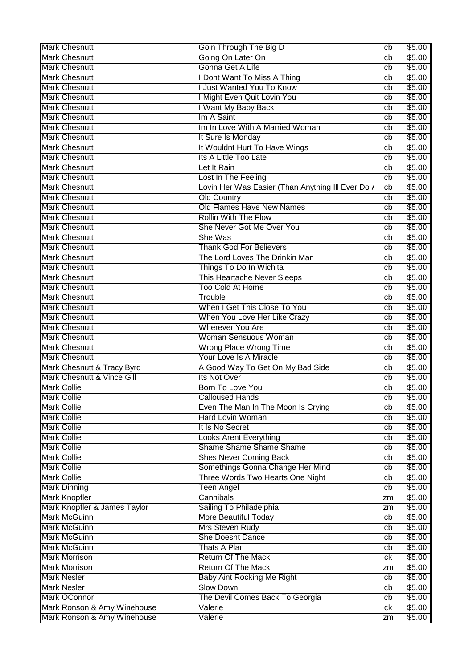| <b>Mark Chesnutt</b>         | Goin Through The Big D                           | cb | \$5.00 |
|------------------------------|--------------------------------------------------|----|--------|
| <b>Mark Chesnutt</b>         | Going On Later On                                | cb | \$5.00 |
| <b>Mark Chesnutt</b>         | Gonna Get A Life                                 | cb | \$5.00 |
| <b>Mark Chesnutt</b>         | I Dont Want To Miss A Thing                      | cb | \$5.00 |
| <b>Mark Chesnutt</b>         | I Just Wanted You To Know                        | cb | \$5.00 |
| <b>Mark Chesnutt</b>         | I Might Even Quit Lovin You                      | cb | \$5.00 |
| <b>Mark Chesnutt</b>         | I Want My Baby Back                              | cb | \$5.00 |
| <b>Mark Chesnutt</b>         | Im A Saint                                       | cb | \$5.00 |
| <b>Mark Chesnutt</b>         | Im In Love With A Married Woman                  | cb | \$5.00 |
| <b>Mark Chesnutt</b>         | It Sure Is Monday                                | cb | \$5.00 |
| <b>Mark Chesnutt</b>         | It Wouldnt Hurt To Have Wings                    | cb | \$5.00 |
| <b>Mark Chesnutt</b>         | Its A Little Too Late                            | cb | \$5.00 |
| <b>Mark Chesnutt</b>         | Let It Rain                                      | cb | \$5.00 |
| <b>Mark Chesnutt</b>         | Lost In The Feeling                              | cb | \$5.00 |
| <b>Mark Chesnutt</b>         | Lovin Her Was Easier (Than Anything III Ever Do. | cb | \$5.00 |
| <b>Mark Chesnutt</b>         | <b>Old Country</b>                               | cb | \$5.00 |
| <b>Mark Chesnutt</b>         | Old Flames Have New Names                        | cb | \$5.00 |
| <b>Mark Chesnutt</b>         | <b>Rollin With The Flow</b>                      | cb | \$5.00 |
| <b>Mark Chesnutt</b>         | She Never Got Me Over You                        | cb | \$5.00 |
| <b>Mark Chesnutt</b>         | She Was                                          | cb | \$5.00 |
| <b>Mark Chesnutt</b>         | <b>Thank God For Believers</b>                   | cb | \$5.00 |
| <b>Mark Chesnutt</b>         | The Lord Loves The Drinkin Man                   | cb | \$5.00 |
| <b>Mark Chesnutt</b>         | Things To Do In Wichita                          | cb | \$5.00 |
| <b>Mark Chesnutt</b>         | This Heartache Never Sleeps                      | cb | \$5.00 |
| <b>Mark Chesnutt</b>         | <b>Too Cold At Home</b>                          | cb | \$5.00 |
| <b>Mark Chesnutt</b>         | Trouble                                          | cb | \$5.00 |
| <b>Mark Chesnutt</b>         | When I Get This Close To You                     | cb | \$5.00 |
| <b>Mark Chesnutt</b>         | When You Love Her Like Crazy                     | cb | \$5.00 |
| <b>Mark Chesnutt</b>         | <b>Wherever You Are</b>                          | cb | \$5.00 |
| <b>Mark Chesnutt</b>         | Woman Sensuous Woman                             | cb | \$5.00 |
| <b>Mark Chesnutt</b>         | <b>Wrong Place Wrong Time</b>                    | cb | \$5.00 |
| <b>Mark Chesnutt</b>         | Your Love Is A Miracle                           | cb | \$5.00 |
| Mark Chesnutt & Tracy Byrd   | A Good Way To Get On My Bad Side                 | cb | \$5.00 |
| Mark Chesnutt & Vince Gill   | Its Not Over                                     | cb | \$5.00 |
| <b>Mark Collie</b>           | Born To Love You                                 | cb | \$5.00 |
| <b>Mark Collie</b>           | <b>Calloused Hands</b>                           | cb | \$5.00 |
| <b>Mark Collie</b>           | Even The Man In The Moon Is Crying               | cb | \$5.00 |
| <b>Mark Collie</b>           | Hard Lovin Woman                                 | cb | \$5.00 |
| <b>Mark Collie</b>           | It Is No Secret                                  | cb | \$5.00 |
| <b>Mark Collie</b>           | <b>Looks Arent Everything</b>                    | cb | \$5.00 |
| <b>Mark Collie</b>           | <b>Shame Shame Shame Shame</b>                   | cb | \$5.00 |
| <b>Mark Collie</b>           | <b>Shes Never Coming Back</b>                    | cb | \$5.00 |
| <b>Mark Collie</b>           | Somethings Gonna Change Her Mind                 | cb | \$5.00 |
| <b>Mark Collie</b>           | Three Words Two Hearts One Night                 | cb | \$5.00 |
| <b>Mark Dinning</b>          | <b>Teen Angel</b>                                | cb | \$5.00 |
| <b>Mark Knopfler</b>         | Cannibals                                        | zm | \$5.00 |
| Mark Knopfler & James Taylor | Sailing To Philadelphia                          | zm | \$5.00 |
| <b>Mark McGuinn</b>          | More Beautiful Today                             | cb | \$5.00 |
| <b>Mark McGuinn</b>          | Mrs Steven Rudy                                  | cb | \$5.00 |
| <b>Mark McGuinn</b>          | <b>She Doesnt Dance</b>                          | cb | \$5.00 |
| <b>Mark McGuinn</b>          | Thats A Plan                                     | cb | \$5.00 |
| <b>Mark Morrison</b>         | <b>Return Of The Mack</b>                        | ck | \$5.00 |
| <b>Mark Morrison</b>         | <b>Return Of The Mack</b>                        | zm | \$5.00 |
| <b>Mark Nesler</b>           | <b>Baby Aint Rocking Me Right</b>                | cb | \$5.00 |
| <b>Mark Nesler</b>           | <b>Slow Down</b>                                 | cb | \$5.00 |
| <b>Mark OConnor</b>          | The Devil Comes Back To Georgia                  | cb | \$5.00 |
| Mark Ronson & Amy Winehouse  | Valerie                                          | ck | \$5.00 |
| Mark Ronson & Amy Winehouse  | Valerie                                          | zm | \$5.00 |
|                              |                                                  |    |        |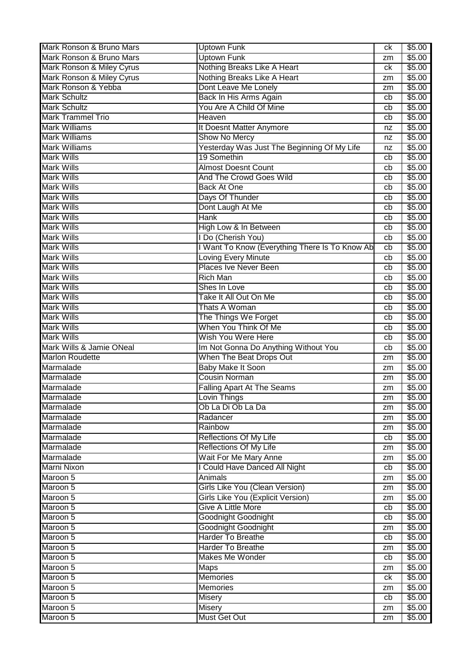| Mark Ronson & Bruno Mars  | <b>Uptown Funk</b>                               | ck | \$5.00 |
|---------------------------|--------------------------------------------------|----|--------|
| Mark Ronson & Bruno Mars  | <b>Uptown Funk</b>                               | zm | \$5.00 |
| Mark Ronson & Miley Cyrus | Nothing Breaks Like A Heart                      | ck | \$5.00 |
| Mark Ronson & Miley Cyrus | Nothing Breaks Like A Heart                      | zm | \$5.00 |
| Mark Ronson & Yebba       | Dont Leave Me Lonely                             | zm | \$5.00 |
| <b>Mark Schultz</b>       | Back In His Arms Again                           | cb | \$5.00 |
| <b>Mark Schultz</b>       | You Are A Child Of Mine                          | cb | \$5.00 |
| <b>Mark Trammel Trio</b>  | Heaven                                           | cb | \$5.00 |
| <b>Mark Williams</b>      | It Doesnt Matter Anymore                         | nz | \$5.00 |
| <b>Mark Williams</b>      | <b>Show No Mercy</b>                             | nz | \$5.00 |
| <b>Mark Williams</b>      | Yesterday Was Just The Beginning Of My Life      | nz | \$5.00 |
| <b>Mark Wills</b>         | 19 Somethin                                      | cb | \$5.00 |
| <b>Mark Wills</b>         | <b>Almost Doesnt Count</b>                       | cb | \$5.00 |
| <b>Mark Wills</b>         | <b>And The Crowd Goes Wild</b>                   | cb | \$5.00 |
| <b>Mark Wills</b>         | <b>Back At One</b>                               | cb | \$5.00 |
| <b>Mark Wills</b>         | Days Of Thunder                                  | cb | \$5.00 |
| <b>Mark Wills</b>         | Dont Laugh At Me                                 | cb | \$5.00 |
| <b>Mark Wills</b>         | <b>Hank</b>                                      | cb | \$5.00 |
| <b>Mark Wills</b>         | High Low & In Between                            | cb | \$5.00 |
| <b>Mark Wills</b>         | I Do (Cherish You)                               | cb | \$5.00 |
| <b>Mark Wills</b>         | I Want To Know (Everything There Is To Know Ab   | cb | \$5.00 |
| <b>Mark Wills</b>         | <b>Loving Every Minute</b>                       | cb | \$5.00 |
| <b>Mark Wills</b>         | Places Ive Never Been                            | cb | \$5.00 |
| <b>Mark Wills</b>         | <b>Rich Man</b>                                  | cb | \$5.00 |
| <b>Mark Wills</b>         | Shes In Love                                     | cb | \$5.00 |
| <b>Mark Wills</b>         | Take It All Out On Me                            | cb | \$5.00 |
| <b>Mark Wills</b>         | Thats A Woman                                    | cb | \$5.00 |
| Mark Wills                | The Things We Forget                             | cb | \$5.00 |
| <b>Mark Wills</b>         | When You Think Of Me                             | cb | \$5.00 |
| <b>Mark Wills</b>         | Wish You Were Here                               | cb | \$5.00 |
| Mark Wills & Jamie ONeal  | Im Not Gonna Do Anything Without You             | cb | \$5.00 |
| <b>Marlon Roudette</b>    | When The Beat Drops Out                          |    | \$5.00 |
|                           |                                                  | zm |        |
| Marmalade                 | <b>Baby Make It Soon</b><br><b>Cousin Norman</b> | zm | \$5.00 |
| Marmalade                 | <b>Falling Apart At The Seams</b>                | zm | \$5.00 |
| Marmalade                 |                                                  | zm | \$5.00 |
| Marmalade                 | ovin Things                                      | zm | \$5.00 |
| Marmalade                 | Ob La Di Ob La Da                                | zm | \$5.00 |
| Marmalade                 | Radancer                                         | zm | \$5.00 |
| Marmalade                 | Rainbow                                          | zm | \$5.00 |
| Marmalade                 | Reflections Of My Life                           | cb | \$5.00 |
| Marmalade                 | Reflections Of My Life                           | zm | \$5.00 |
| Marmalade                 | Wait For Me Mary Anne                            | zm | \$5.00 |
| <b>Marni Nixon</b>        | I Could Have Danced All Night                    | cb | \$5.00 |
| Maroon 5                  | Animals                                          | zm | \$5.00 |
| Maroon 5                  | Girls Like You (Clean Version)                   | zm | \$5.00 |
| Maroon 5                  | <b>Girls Like You (Explicit Version)</b>         | zm | \$5.00 |
| Maroon 5                  | <b>Give A Little More</b>                        | cb | \$5.00 |
| Maroon 5                  | <b>Goodnight Goodnight</b>                       | cb | \$5.00 |
| Maroon 5                  | <b>Goodnight Goodnight</b>                       | zm | \$5.00 |
| Maroon 5                  | <b>Harder To Breathe</b>                         | cb | \$5.00 |
| Maroon 5                  | <b>Harder To Breathe</b>                         | zm | \$5.00 |
| Maroon 5                  | Makes Me Wonder                                  | cb | \$5.00 |
| Maroon 5                  | Maps                                             | zm | \$5.00 |
| Maroon 5                  | <b>Memories</b>                                  | ck | \$5.00 |
| Maroon 5                  | <b>Memories</b>                                  | zm | \$5.00 |
| Maroon 5                  | <b>Misery</b>                                    | cb | \$5.00 |
| Maroon 5                  | <b>Misery</b>                                    | zm | \$5.00 |
| Maroon 5                  | Must Get Out                                     | zm | \$5.00 |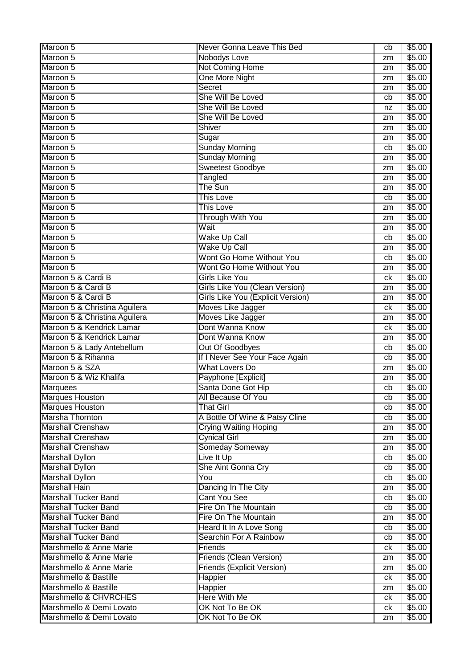| Maroon 5                      | Never Gonna Leave This Bed               | cb | \$5.00 |
|-------------------------------|------------------------------------------|----|--------|
| Maroon 5                      | <b>Nobodys Love</b>                      | zm | \$5.00 |
| Maroon 5                      | <b>Not Coming Home</b>                   | zm | \$5.00 |
| Maroon 5                      | One More Night                           | zm | \$5.00 |
| Maroon 5                      | Secret                                   | zm | \$5.00 |
| Maroon 5                      | She Will Be Loved                        | cb | \$5.00 |
| Maroon 5                      | She Will Be Loved                        | nz | \$5.00 |
| Maroon 5                      | She Will Be Loved                        | zm | \$5.00 |
| Maroon 5                      | Shiver                                   | zm | \$5.00 |
| Maroon 5                      | Sugar                                    | zm | \$5.00 |
| Maroon 5                      | <b>Sunday Morning</b>                    | cb | \$5.00 |
| Maroon 5                      | <b>Sunday Morning</b>                    | zm | \$5.00 |
| Maroon 5                      | <b>Sweetest Goodbye</b>                  | zm | \$5.00 |
| Maroon 5                      | Tangled                                  | zm | \$5.00 |
| Maroon 5                      | The Sun                                  | zm | \$5.00 |
| Maroon 5                      | <b>This Love</b>                         | cb | \$5.00 |
| Maroon 5                      | <b>This Love</b>                         | zm | \$5.00 |
| Maroon 5                      | <b>Through With You</b>                  | zm | \$5.00 |
| Maroon 5                      | Wait                                     | zm | \$5.00 |
| Maroon 5                      | Wake Up Call                             | cb | \$5.00 |
| Maroon 5                      | <b>Wake Up Call</b>                      | zm | \$5.00 |
| Maroon 5                      | Wont Go Home Without You                 | cb | \$5.00 |
| Maroon 5                      | Wont Go Home Without You                 | zm | \$5.00 |
| Maroon 5 & Cardi B            | <b>Girls Like You</b>                    | ck | \$5.00 |
| Maroon 5 & Cardi B            | Girls Like You (Clean Version)           | zm | \$5.00 |
| Maroon 5 & Cardi B            | <b>Girls Like You (Explicit Version)</b> | zm | \$5.00 |
| Maroon 5 & Christina Aguilera | Moves Like Jagger                        | сk | \$5.00 |
| Maroon 5 & Christina Aguilera | Moves Like Jagger                        | zm | \$5.00 |
| Maroon 5 & Kendrick Lamar     | Dont Wanna Know                          | ck | \$5.00 |
| Maroon 5 & Kendrick Lamar     | Dont Wanna Know                          | zm | \$5.00 |
| Maroon 5 & Lady Antebellum    | <b>Out Of Goodbyes</b>                   | cb | \$5.00 |
| Maroon 5 & Rihanna            | If I Never See Your Face Again           | cb | \$5.00 |
| Maroon 5 & SZA                | <b>What Lovers Do</b>                    | zm | \$5.00 |
| Maroon 5 & Wiz Khalifa        | Payphone [Explicit]                      | zm | \$5.00 |
| <b>Marquees</b>               | Santa Done Got Hip                       | cb | \$5.00 |
| <b>Marques Houston</b>        | All Because Of You                       | cb | \$5.00 |
| <b>Marques Houston</b>        | <b>That Girl</b>                         | cb | \$5.00 |
| Marsha Thornton               | A Bottle Of Wine & Patsy Cline           | cb | \$5.00 |
| <b>Marshall Crenshaw</b>      | <b>Crying Waiting Hoping</b>             | zm | \$5.00 |
| <b>Marshall Crenshaw</b>      | <b>Cynical Girl</b>                      | zm | \$5.00 |
| <b>Marshall Crenshaw</b>      | Someday Someway                          | zm | \$5.00 |
| <b>Marshall Dyllon</b>        | Live It Up                               | cb | \$5.00 |
| <b>Marshall Dyllon</b>        | She Aint Gonna Cry                       | cb | \$5.00 |
| <b>Marshall Dyllon</b>        | You                                      | cb | \$5.00 |
| <b>Marshall Hain</b>          | Dancing In The City                      | zm | \$5.00 |
| <b>Marshall Tucker Band</b>   | <b>Cant You See</b>                      | cb | \$5.00 |
| <b>Marshall Tucker Band</b>   | Fire On The Mountain                     | cb | \$5.00 |
| <b>Marshall Tucker Band</b>   | Fire On The Mountain                     | zm | \$5.00 |
| <b>Marshall Tucker Band</b>   | Heard It In A Love Song                  | cb | \$5.00 |
| <b>Marshall Tucker Band</b>   | Searchin For A Rainbow                   | cb | \$5.00 |
| Marshmello & Anne Marie       | Friends                                  | ck | \$5.00 |
| Marshmello & Anne Marie       | Friends (Clean Version)                  | zm | \$5.00 |
| Marshmello & Anne Marie       | <b>Friends (Explicit Version)</b>        | zm | \$5.00 |
| Marshmello & Bastille         | Happier                                  | ck | \$5.00 |
| Marshmello & Bastille         | Happier                                  | zm | \$5.00 |
| Marshmello & CHVRCHES         | Here With Me                             | ck | \$5.00 |
| Marshmello & Demi Lovato      | OK Not To Be OK                          | ck | \$5.00 |
| Marshmello & Demi Lovato      | OK Not To Be OK                          | zm | \$5.00 |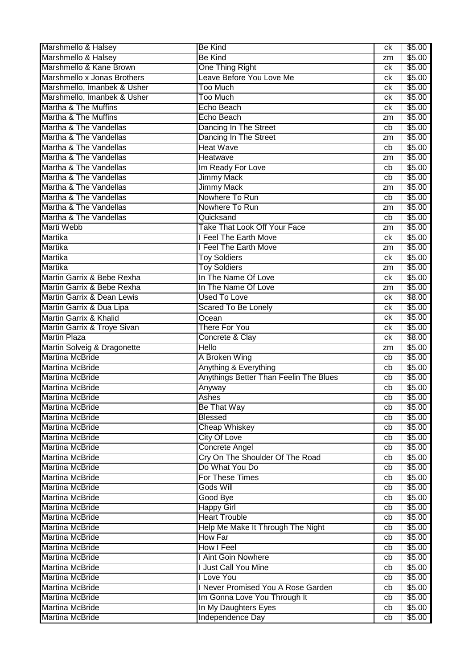| Marshmello & Halsey                              | <b>Be Kind</b>                           | сk       | \$5.00           |
|--------------------------------------------------|------------------------------------------|----------|------------------|
| Marshmello & Halsey                              | <b>Be Kind</b>                           | zm       | \$5.00           |
| Marshmello & Kane Brown                          | <b>One Thing Right</b>                   | сk       | \$5.00           |
| Marshmello x Jonas Brothers                      | Leave Before You Love Me                 | сk       | \$5.00           |
| Marshmello, Imanbek & Usher                      | <b>Too Much</b>                          | сk       | \$5.00           |
| Marshmello, Imanbek & Usher                      | <b>Too Much</b>                          | сk       | \$5.00           |
| Martha & The Muffins                             | Echo Beach                               | сk       | \$5.00           |
| Martha & The Muffins                             | Echo Beach                               | zm       | \$5.00           |
| Martha & The Vandellas                           | Dancing In The Street                    | cb       | \$5.00           |
| Martha & The Vandellas                           | Dancing In The Street                    | zm       | \$5.00           |
| Martha & The Vandellas                           | <b>Heat Wave</b>                         | cb       | \$5.00           |
| Martha & The Vandellas                           | Heatwave                                 | zm       | \$5.00           |
| Martha & The Vandellas                           | Im Ready For Love                        | cb       | \$5.00           |
| Martha & The Vandellas                           | <b>Jimmy Mack</b>                        | cb       | \$5.00           |
| Martha & The Vandellas                           | <b>Jimmy Mack</b>                        | zm       | \$5.00           |
| Martha & The Vandellas                           | Nowhere To Run                           | cb       | \$5.00           |
| Martha & The Vandellas                           | Nowhere To Run                           | zm       | \$5.00           |
| Martha & The Vandellas                           | Quicksand                                | cb       | \$5.00           |
| <b>Marti Webb</b>                                | <b>Take That Look Off Your Face</b>      | zm       | \$5.00           |
| Martika                                          | I Feel The Earth Move                    | ck       | \$5.00           |
| Martika                                          | I Feel The Earth Move                    | zm       | \$5.00           |
| Martika                                          | <b>Toy Soldiers</b>                      | сk       | \$5.00           |
| Martika                                          | <b>Toy Soldiers</b>                      | zm       | \$5.00           |
| Martin Garrix & Bebe Rexha                       | In The Name Of Love                      | сk       | \$5.00           |
| Martin Garrix & Bebe Rexha                       | In The Name Of Love                      | zm       | \$5.00           |
| Martin Garrix & Dean Lewis                       | <b>Used To Love</b>                      | сk       | \$8.00           |
| Martin Garrix & Dua Lipa                         | <b>Scared To Be Lonely</b>               | сk       | \$5.00           |
| Martin Garrix & Khalid                           | Ocean                                    | сk       | \$5.00           |
| Martin Garrix & Troye Sivan                      | There For You                            | сk       | \$5.00           |
| <b>Martin Plaza</b>                              | Concrete & Clay                          | сk       | \$8.00           |
| Martin Solveig & Dragonette                      | <b>Hello</b>                             | zm       | \$5.00           |
| <b>Martina McBride</b>                           | A Broken Wing                            | cb       | \$5.00           |
| Martina McBride                                  | Anything & Everything                    | cb       | \$5.00           |
| <b>Martina McBride</b>                           | Anythings Better Than Feelin The Blues   | cb       | \$5.00           |
| <b>Martina McBride</b>                           | Anyway                                   | cb       | \$5.00           |
| <b>Martina McBride</b>                           | Ashes                                    | cb       | \$5.00           |
| <b>Martina McBride</b>                           | <b>Be That Way</b>                       | cb       | \$5.00           |
| <b>Martina McBride</b>                           | <b>Blessed</b>                           | cb       | \$5.00           |
| <b>Martina McBride</b>                           | <b>Cheap Whiskey</b>                     | cb       | \$5.00           |
| <b>Martina McBride</b>                           | <b>City Of Love</b>                      |          | \$5.00           |
| <b>Martina McBride</b>                           |                                          | cb       |                  |
|                                                  | Concrete Angel                           | cb       | \$5.00           |
| <b>Martina McBride</b>                           | Cry On The Shoulder Of The Road          | cb       | \$5.00           |
| <b>Martina McBride</b>                           | Do What You Do                           | cb       | \$5.00           |
| <b>Martina McBride</b>                           | For These Times                          | cb       | \$5.00           |
| <b>Martina McBride</b>                           | Gods Will                                | cb       | \$5.00           |
| <b>Martina McBride</b>                           | Good Bye                                 | cb       | \$5.00           |
| <b>Martina McBride</b>                           | <b>Happy Girl</b>                        | cb       | \$5.00           |
| <b>Martina McBride</b>                           | <b>Heart Trouble</b>                     | cb       | \$5.00           |
| <b>Martina McBride</b>                           | Help Me Make It Through The Night        | cb       | \$5.00           |
| <b>Martina McBride</b>                           | <b>How Far</b>                           | cb       | \$5.00           |
| <b>Martina McBride</b>                           | <b>How I Feel</b>                        | cb       | \$5.00           |
| <b>Martina McBride</b>                           | I Aint Goin Nowhere                      | cb       | \$5.00           |
| <b>Martina McBride</b>                           | I Just Call You Mine                     | cb       | \$5.00           |
| <b>Martina McBride</b>                           | I Love You                               | cb       | \$5.00           |
| <b>Martina McBride</b>                           | I Never Promised You A Rose Garden       | cb       | \$5.00           |
| <b>Martina McBride</b>                           | Im Gonna Love You Through It             | cb       | \$5.00           |
| <b>Martina McBride</b><br><b>Martina McBride</b> | In My Daughters Eyes<br>Independence Day | cb<br>cb | \$5.00<br>\$5.00 |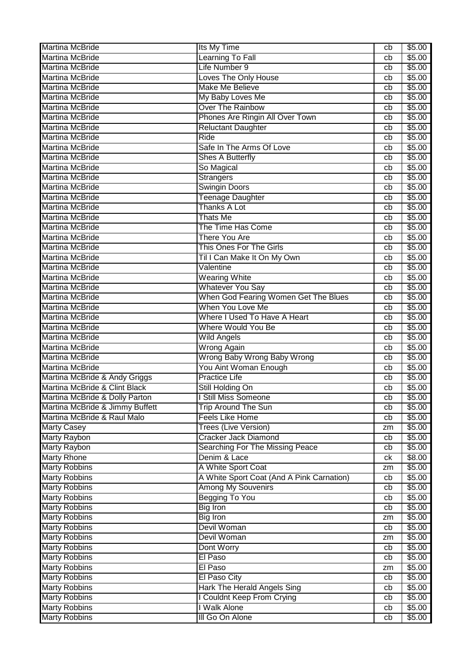| <b>Martina McBride</b>                       | Its My Time                               | cb       | \$5.00         |
|----------------------------------------------|-------------------------------------------|----------|----------------|
| <b>Martina McBride</b>                       | Learning To Fall                          | cb       | \$5.00         |
| <b>Martina McBride</b>                       | Life Number 9                             | cb       | \$5.00         |
| <b>Martina McBride</b>                       | <b>Loves The Only House</b>               | cb       | \$5.00         |
| <b>Martina McBride</b>                       | <b>Make Me Believe</b>                    | cb       | \$5.00         |
| <b>Martina McBride</b>                       | My Baby Loves Me                          | cb       | \$5.00         |
| <b>Martina McBride</b>                       | <b>Over The Rainbow</b>                   | cb       | \$5.00         |
| <b>Martina McBride</b>                       | Phones Are Ringin All Over Town           | cb       | \$5.00         |
| <b>Martina McBride</b>                       | <b>Reluctant Daughter</b>                 | cb       | \$5.00         |
| Martina McBride                              | <b>Ride</b>                               | cb       | \$5.00         |
| Martina McBride                              | Safe In The Arms Of Love                  | cb       | \$5.00         |
| Martina McBride                              | <b>Shes A Butterfly</b>                   | cb       | \$5.00         |
| <b>Martina McBride</b>                       | So Magical                                | cb       | \$5.00         |
| <b>Martina McBride</b>                       | <b>Strangers</b>                          | cb       | \$5.00         |
| <b>Martina McBride</b>                       | <b>Swingin Doors</b>                      | cb       | \$5.00         |
| <b>Martina McBride</b>                       | <b>Teenage Daughter</b>                   | cb       | \$5.00         |
| Martina McBride                              | <b>Thanks A Lot</b>                       | cb       | \$5.00         |
| <b>Martina McBride</b>                       | <b>Thats Me</b>                           | cb       | \$5.00         |
| Martina McBride                              | The Time Has Come                         | cb       | \$5.00         |
| <b>Martina McBride</b>                       | There You Are                             | cb       | \$5.00         |
| <b>Martina McBride</b>                       | This Ones For The Girls                   | cb       | \$5.00         |
| Martina McBride                              | Til I Can Make It On My Own               | cb       | \$5.00         |
| <b>Martina McBride</b>                       | Valentine                                 | cb       | \$5.00         |
| <b>Martina McBride</b>                       | Wearing White                             | cb       | \$5.00         |
| <b>Martina McBride</b>                       | <b>Whatever You Say</b>                   | cb       | \$5.00         |
| <b>Martina McBride</b>                       | When God Fearing Women Get The Blues      | cb       | \$5.00         |
| <b>Martina McBride</b>                       | When You Love Me                          | cb       | \$5.00         |
| <b>Martina McBride</b>                       | Where I Used To Have A Heart              | cb       | \$5.00         |
| Martina McBride                              | <b>Where Would You Be</b>                 | cb       | \$5.00         |
| <b>Martina McBride</b>                       | <b>Wild Angels</b>                        | cb       | \$5.00         |
| Martina McBride                              | <b>Wrong Again</b>                        | cb       | \$5.00         |
| Martina McBride                              | Wrong Baby Wrong Baby Wrong               | cb       | \$5.00         |
| <b>Martina McBride</b>                       | You Aint Woman Enough                     | cb       | \$5.00         |
| Martina McBride & Andy Griggs                | <b>Practice Life</b>                      | cb       | \$5.00         |
| Martina McBride & Clint Black                | Still Holding On                          | cb       | \$5.00         |
| Martina McBride & Dolly Parton               | <b>Still Miss Someone</b>                 | cb       | \$5.00         |
| Martina McBride & Jimmy Buffett              | <b>Trip Around The Sun</b>                | cb       | \$5.00         |
| Martina McBride & Raul Malo                  | <b>Feels Like Home</b>                    | cb       | \$5.00         |
| <b>Marty Casey</b>                           | <b>Trees (Live Version)</b>               | zm       | \$5.00         |
| <b>Marty Raybon</b>                          | <b>Cracker Jack Diamond</b>               | cb       | \$5.00         |
| <b>Marty Raybon</b>                          | Searching For The Missing Peace           | cb       | \$5.00         |
| <b>Marty Rhone</b>                           | Denim & Lace                              | ck       | \$8.00         |
| <b>Marty Robbins</b>                         | A White Sport Coat                        |          | \$5.00         |
| <b>Marty Robbins</b>                         | A White Sport Coat (And A Pink Carnation) | zm<br>cb | \$5.00         |
| <b>Marty Robbins</b>                         | <b>Among My Souvenirs</b>                 | cb       | \$5.00         |
| <b>Marty Robbins</b>                         | <b>Begging To You</b>                     |          | \$5.00         |
| <b>Marty Robbins</b>                         | <b>Big Iron</b>                           | cb<br>cb | \$5.00         |
| <b>Marty Robbins</b>                         | <b>Big Iron</b>                           |          | \$5.00         |
| <b>Marty Robbins</b>                         | Devil Woman                               | zm<br>cb | \$5.00         |
|                                              | Devil Woman                               |          |                |
| <b>Marty Robbins</b>                         |                                           | zm       | \$5.00         |
| <b>Marty Robbins</b>                         | Dont Worry<br>El Paso                     | cb       | \$5.00         |
| <b>Marty Robbins</b>                         |                                           | cb       | $\sqrt{$5.00}$ |
| <b>Marty Robbins</b>                         | El Paso                                   | zm       | \$5.00         |
| <b>Marty Robbins</b>                         | El Paso City                              | cb       | \$5.00         |
| <b>Marty Robbins</b>                         | Hark The Herald Angels Sing               | cb       | \$5.00         |
| <b>Marty Robbins</b>                         | <b>I Couldnt Keep From Crying</b>         | cb       | \$5.00         |
| <b>Marty Robbins</b><br><b>Marty Robbins</b> | I Walk Alone<br>III Go On Alone           | cb       | \$5.00         |
|                                              |                                           | cb       | \$5.00         |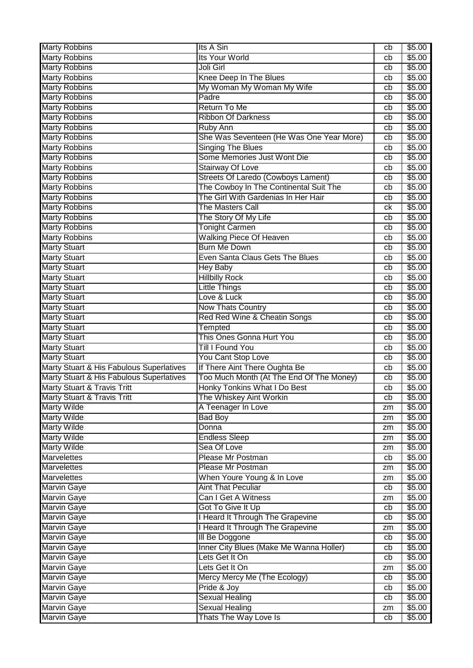| <b>Marty Robbins</b>                              | Its A Sin                                           | cb | \$5.00             |
|---------------------------------------------------|-----------------------------------------------------|----|--------------------|
| <b>Marty Robbins</b>                              | <b>Its Your World</b>                               | cb | \$5.00             |
| <b>Marty Robbins</b>                              | Joli Girl                                           | cb | $\overline{$}5.00$ |
| <b>Marty Robbins</b>                              | Knee Deep In The Blues                              | cb | \$5.00             |
| <b>Marty Robbins</b>                              | My Woman My Woman My Wife                           | cb | \$5.00             |
| <b>Marty Robbins</b>                              | Padre                                               | cb | \$5.00             |
| <b>Marty Robbins</b>                              | Return To Me                                        | cb | \$5.00             |
| <b>Marty Robbins</b>                              | <b>Ribbon Of Darkness</b>                           | cb | \$5.00             |
| <b>Marty Robbins</b>                              | Ruby Ann                                            | cb | \$5.00             |
| <b>Marty Robbins</b>                              | She Was Seventeen (He Was One Year More)            | cb | \$5.00             |
| <b>Marty Robbins</b>                              | <b>Singing The Blues</b>                            | cb | \$5.00             |
| <b>Marty Robbins</b>                              | Some Memories Just Wont Die                         | cb | \$5.00             |
| <b>Marty Robbins</b>                              | Stairway Of Love                                    | cb | $\overline{$}5.00$ |
| <b>Marty Robbins</b>                              | Streets Of Laredo (Cowboys Lament)                  | cb | \$5.00             |
| <b>Marty Robbins</b>                              | The Cowboy In The Continental Suit The              | cb | \$5.00             |
| <b>Marty Robbins</b>                              | The Girl With Gardenias In Her Hair                 | cb | \$5.00             |
| <b>Marty Robbins</b>                              | The Masters Call                                    | ck | \$5.00             |
| <b>Marty Robbins</b>                              | The Story Of My Life                                | cb | \$5.00             |
| <b>Marty Robbins</b>                              | <b>Tonight Carmen</b>                               | cb | \$5.00             |
| <b>Marty Robbins</b>                              | <b>Walking Piece Of Heaven</b>                      | cb | \$5.00             |
| <b>Marty Stuart</b>                               | <b>Burn Me Down</b>                                 | cb | \$5.00             |
| <b>Marty Stuart</b>                               | Even Santa Claus Gets The Blues                     | cb | \$5.00             |
| <b>Marty Stuart</b>                               | Hey Baby                                            | cb | \$5.00             |
| <b>Marty Stuart</b>                               | <b>Hillbilly Rock</b>                               | cb | \$5.00             |
| <b>Marty Stuart</b>                               | Little Things                                       | cb | \$5.00             |
| <b>Marty Stuart</b>                               | Love & Luck                                         | cb | \$5.00             |
| <b>Marty Stuart</b>                               | Now Thats Country                                   | cb | \$5.00             |
| <b>Marty Stuart</b>                               | Red Red Wine & Cheatin Songs                        | cb | \$5.00             |
| <b>Marty Stuart</b>                               |                                                     | cb | \$5.00             |
|                                                   | Tempted<br>This Ones Gonna Hurt You                 |    |                    |
| <b>Marty Stuart</b>                               | Till I Found You                                    | cb | \$5.00             |
| <b>Marty Stuart</b>                               |                                                     | cb | \$5.00             |
| <b>Marty Stuart</b>                               | You Cant Stop Love<br>If There Aint There Oughta Be | cb | \$5.00             |
| Marty Stuart & His Fabulous Superlatives          |                                                     | cb | \$5.00<br>\$5.00   |
| Marty Stuart & His Fabulous Superlatives          | Too Much Month (At The End Of The Money)            | cb | \$5.00             |
| Marty Stuart & Travis Tritt                       | Honky Tonkins What I Do Best                        | cb |                    |
| Marty Stuart & Travis Tritt<br><b>Marty Wilde</b> | The Whiskey Aint Workin                             | cb | \$5.00             |
|                                                   | A Teenager In Love                                  | zm | \$5.00             |
| Marty Wilde                                       | <b>Bad Boy</b>                                      | zm | \$5.00             |
| <b>Marty Wilde</b>                                | Donna                                               | zm | \$5.00             |
| <b>Marty Wilde</b>                                | <b>Endless Sleep</b>                                | zm | \$5.00             |
| <b>Marty Wilde</b>                                | Sea Of Love                                         | zm | \$5.00             |
| Marvelettes                                       | Please Mr Postman                                   | cb | \$5.00             |
| <b>Marvelettes</b>                                | Please Mr Postman                                   | zm | \$5.00             |
| <b>Marvelettes</b>                                | When Youre Young & In Love                          | zm | \$5.00             |
| <b>Marvin Gaye</b>                                | <b>Aint That Peculiar</b>                           | cb | \$5.00             |
| <b>Marvin Gaye</b>                                | Can I Get A Witness                                 | zm | \$5.00             |
| <b>Marvin Gaye</b>                                | Got To Give It Up                                   | cb | \$5.00             |
| <b>Marvin Gaye</b>                                | I Heard It Through The Grapevine                    | cb | \$5.00             |
| <b>Marvin Gaye</b>                                | I Heard It Through The Grapevine                    | zm | \$5.00             |
| <b>Marvin Gaye</b>                                | <b>III Be Doggone</b>                               | cb | \$5.00             |
| <b>Marvin Gaye</b>                                | Inner City Blues (Make Me Wanna Holler)             | cb | \$5.00             |
| <b>Marvin Gaye</b>                                | Lets Get It On                                      | cb | \$5.00             |
| <b>Marvin Gaye</b>                                | Lets Get It On                                      | zm | \$5.00             |
| <b>Marvin Gaye</b>                                | Mercy Mercy Me (The Ecology)                        | cb | \$5.00             |
| <b>Marvin Gaye</b>                                | Pride & Joy                                         | cb | \$5.00             |
| <b>Marvin Gaye</b>                                | <b>Sexual Healing</b>                               | cb | \$5.00             |
| <b>Marvin Gaye</b>                                | <b>Sexual Healing</b>                               | zm | \$5.00             |
| <b>Marvin Gaye</b>                                | Thats The Way Love Is                               | cb | \$5.00             |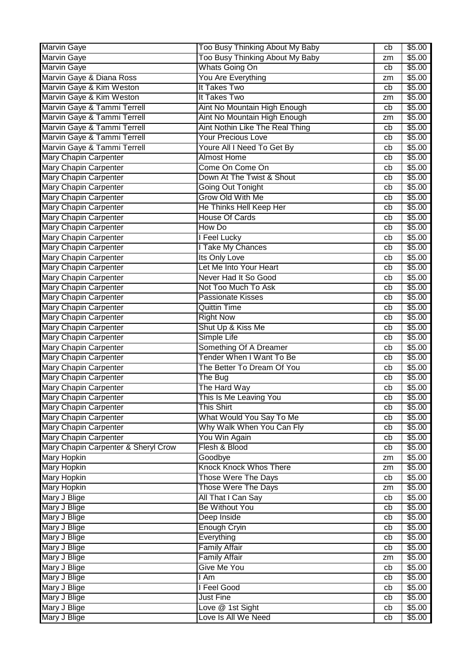| <b>Marvin Gaye</b>                  | Too Busy Thinking About My Baby      | cb       | \$5.00           |
|-------------------------------------|--------------------------------------|----------|------------------|
| Marvin Gaye                         | Too Busy Thinking About My Baby      | zm       | \$5.00           |
| <b>Marvin Gaye</b>                  | <b>Whats Going On</b>                | cb       | \$5.00           |
| Marvin Gaye & Diana Ross            | You Are Everything                   | zm       | \$5.00           |
| Marvin Gaye & Kim Weston            | It Takes Two                         | cb       | \$5.00           |
| Marvin Gaye & Kim Weston            | It Takes Two                         | zm       | \$5.00           |
| Marvin Gaye & Tammi Terrell         | Aint No Mountain High Enough         | cb       | \$5.00           |
| Marvin Gaye & Tammi Terrell         | Aint No Mountain High Enough         | zm       | \$5.00           |
| Marvin Gaye & Tammi Terrell         | Aint Nothin Like The Real Thing      | cb       | \$5.00           |
| Marvin Gaye & Tammi Terrell         | <b>Your Precious Love</b>            | cb       | \$5.00           |
| Marvin Gaye & Tammi Terrell         | Youre All I Need To Get By           | cb       | \$5.00           |
| <b>Mary Chapin Carpenter</b>        | <b>Almost Home</b>                   | cb       | \$5.00           |
| <b>Mary Chapin Carpenter</b>        | Come On Come On                      | cb       | \$5.00           |
| <b>Mary Chapin Carpenter</b>        | Down At The Twist & Shout            | cb       | \$5.00           |
| <b>Mary Chapin Carpenter</b>        | <b>Going Out Tonight</b>             | cb       | \$5.00           |
| <b>Mary Chapin Carpenter</b>        | Grow Old With Me                     | cb       | \$5.00           |
| Mary Chapin Carpenter               | He Thinks Hell Keep Her              | cb       | \$5.00           |
| <b>Mary Chapin Carpenter</b>        | <b>House Of Cards</b>                | cb       | \$5.00           |
| <b>Mary Chapin Carpenter</b>        | How Do                               | cb       | \$5.00           |
| <b>Mary Chapin Carpenter</b>        | I Feel Lucky                         | cb       | \$5.00           |
| <b>Mary Chapin Carpenter</b>        | I Take My Chances                    | cb       | \$5.00           |
| <b>Mary Chapin Carpenter</b>        | Its Only Love                        | cb       | \$5.00           |
| <b>Mary Chapin Carpenter</b>        | Let Me Into Your Heart               | cb       | \$5.00           |
| <b>Mary Chapin Carpenter</b>        | Never Had It So Good                 | cb       | \$5.00           |
| <b>Mary Chapin Carpenter</b>        | Not Too Much To Ask                  | cb       | \$5.00           |
| <b>Mary Chapin Carpenter</b>        | <b>Passionate Kisses</b>             | cb       | \$5.00           |
| <b>Mary Chapin Carpenter</b>        | <b>Quittin Time</b>                  | cb       | \$5.00           |
| <b>Mary Chapin Carpenter</b>        | <b>Right Now</b>                     | cb       | \$5.00           |
| <b>Mary Chapin Carpenter</b>        | Shut Up & Kiss Me                    | cb       | \$5.00           |
| <b>Mary Chapin Carpenter</b>        | Simple Life                          | cb       | \$5.00           |
| <b>Mary Chapin Carpenter</b>        | Something Of A Dreamer               | cb       | \$5.00           |
| <b>Mary Chapin Carpenter</b>        | Tender When I Want To Be             | cb       | \$5.00           |
| <b>Mary Chapin Carpenter</b>        | The Better To Dream Of You           | cb       | \$5.00           |
| <b>Mary Chapin Carpenter</b>        | The Bug                              | cb       | \$5.00           |
| <b>Mary Chapin Carpenter</b>        | The Hard Way                         | cb       | \$5.00           |
| Mary Chapin Carpenter               | This Is Me Leaving You               | cb       | \$5.00           |
| <b>Mary Chapin Carpenter</b>        | This Shirt                           | cb       | \$5.00           |
| <b>Mary Chapin Carpenter</b>        | What Would You Say To Me             | cb       | \$5.00           |
| <b>Mary Chapin Carpenter</b>        | Why Walk When You Can Fly            | cb       | \$5.00           |
| <b>Mary Chapin Carpenter</b>        | You Win Again                        | cb       | \$5.00           |
| Mary Chapin Carpenter & Sheryl Crow | Flesh & Blood                        | cb       | \$5.00           |
| <b>Mary Hopkin</b>                  | Goodbye                              | zm       | \$5.00           |
| <b>Mary Hopkin</b>                  | <b>Knock Knock Whos There</b>        | zm       | \$5.00           |
| <b>Mary Hopkin</b>                  | <b>Those Were The Days</b>           | cb       | \$5.00           |
| <b>Mary Hopkin</b>                  | <b>Those Were The Days</b>           | zm       | \$5.00           |
| Mary J Blige                        | All That I Can Say                   | cb       | \$5.00           |
| Mary J Blige                        |                                      | cb       | \$5.00           |
| Mary J Blige                        |                                      |          |                  |
| Mary J Blige                        | <b>Be Without You</b>                |          |                  |
|                                     | Deep Inside                          | cb       | \$5.00           |
|                                     | <b>Enough Cryin</b>                  | cb<br>cb | \$5.00           |
| Mary J Blige                        | Everything                           |          | \$5.00           |
| Mary J Blige                        | <b>Family Affair</b>                 | cb<br>zm | \$5.00           |
| Mary J Blige                        | <b>Family Affair</b>                 |          | \$5.00           |
| Mary J Blige                        | Give Me You                          | cb       | \$5.00           |
| Mary J Blige                        | I Am                                 | cb<br>cb | \$5.00           |
| Mary J Blige                        | I Feel Good                          | cb       | \$5.00           |
| Mary J Blige<br>Mary J Blige        | <b>Just Fine</b><br>Love @ 1st Sight | cb       | \$5.00<br>\$5.00 |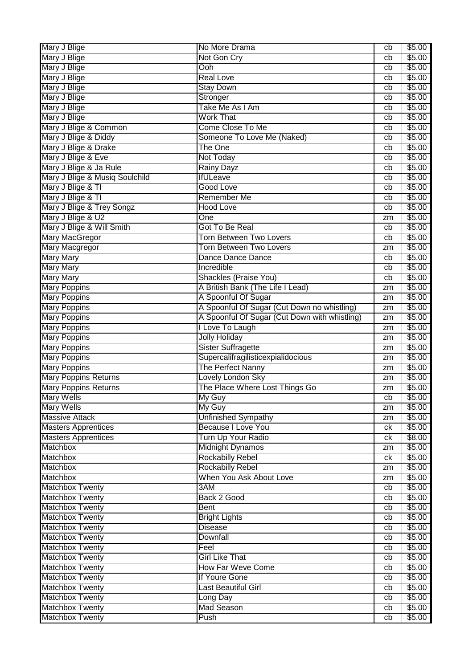| Mary J Blige                              | No More Drama                                 | cb | \$5.00 |
|-------------------------------------------|-----------------------------------------------|----|--------|
| Mary J Blige                              | Not Gon Cry                                   | cb | \$5.00 |
| Mary J Blige                              | Ooh                                           | cb | \$5.00 |
| Mary J Blige                              | <b>Real Love</b>                              | cb | \$5.00 |
| Mary J Blige                              | <b>Stay Down</b>                              | cb | \$5.00 |
| Mary J Blige                              | Stronger                                      | cb | \$5.00 |
| Mary J Blige                              | Take Me As I Am                               | cb | \$5.00 |
| Mary J Blige                              | <b>Work That</b>                              | cb | \$5.00 |
| Mary J Blige & Common                     | Come Close To Me                              | cb | \$5.00 |
| Mary J Blige & Diddy                      | Someone To Love Me (Naked)                    | cb | \$5.00 |
| Mary J Blige & Drake                      | <b>The One</b>                                | cb | \$5.00 |
| Mary J Blige & Eve                        | Not Today                                     | cb | \$5.00 |
| Mary J Blige & Ja Rule                    | Rainy Dayz                                    | cb | \$5.00 |
| Mary J Blige & Musiq Soulchild            | <b>IfULeave</b>                               | cb | \$5.00 |
| Mary J Blige & TI                         | <b>Good Love</b>                              | cb | \$5.00 |
| Mary J Blige & TI                         | <b>Remember Me</b>                            | cb | \$5.00 |
| Mary J Blige & Trey Songz                 | <b>Hood Love</b>                              | cb | \$5.00 |
| Mary J Blige & U2                         | One                                           | zm | \$5.00 |
| Mary J Blige & Will Smith                 | Got To Be Real                                | cb | \$5.00 |
| <b>Mary MacGregor</b>                     | <b>Torn Between Two Lovers</b>                | cb | \$5.00 |
| <b>Mary Macgregor</b>                     | Torn Between Two Lovers                       | zm | \$5.00 |
| <b>Mary Mary</b>                          | Dance Dance Dance                             | cb | \$5.00 |
| <b>Mary Mary</b>                          | Incredible                                    | cb | \$5.00 |
| <b>Mary Mary</b>                          | Shackles (Praise You)                         | cb | \$5.00 |
|                                           | A British Bank (The Life I Lead)              |    |        |
| <b>Mary Poppins</b>                       | A Spoonful Of Sugar                           | zm | \$5.00 |
| <b>Mary Poppins</b>                       |                                               | zm | \$5.00 |
| <b>Mary Poppins</b>                       | A Spoonful Of Sugar (Cut Down no whistling)   | zm | \$5.00 |
| <b>Mary Poppins</b>                       | A Spoonful Of Sugar (Cut Down with whistling) | zm | \$5.00 |
| <b>Mary Poppins</b>                       | I Love To Laugh                               | zm | \$5.00 |
| <b>Mary Poppins</b>                       | <b>Jolly Holiday</b>                          | zm | \$5.00 |
| <b>Mary Poppins</b>                       | <b>Sister Suffragette</b>                     | zm | \$5.00 |
| <b>Mary Poppins</b>                       | Supercalifragilisticexpialidocious            | zm | \$5.00 |
| <b>Mary Poppins</b>                       | The Perfect Nanny                             | zm | \$5.00 |
| <b>Mary Poppins Returns</b>               | Lovely London Sky                             | zm | \$5.00 |
| <b>Mary Poppins Returns</b>               | The Place Where Lost Things Go                | zm | \$5.00 |
| <b>Mary Wells</b>                         | My Guy                                        | cb | \$5.00 |
| <b>Mary Wells</b>                         | My Guy                                        | zm | \$5.00 |
| <b>Massive Attack</b>                     | <b>Unfinished Sympathy</b>                    | zm | \$5.00 |
| <b>Masters Apprentices</b>                | <b>Because I Love You</b>                     | ck | \$5.00 |
| <b>Masters Apprentices</b>                | Turn Up Your Radio                            | ck | \$8.00 |
| <b>Matchbox</b>                           | <b>Midnight Dynamos</b>                       | zm | \$5.00 |
| Matchbox                                  | <b>Rockabilly Rebel</b>                       | ck | \$5.00 |
| Matchbox                                  | <b>Rockabilly Rebel</b>                       | zm | \$5.00 |
| <b>Matchbox</b>                           | When You Ask About Love                       | zm | \$5.00 |
| <b>Matchbox Twenty</b>                    | 3AM                                           | cb | \$5.00 |
| <b>Matchbox Twenty</b>                    | Back 2 Good                                   | cb | \$5.00 |
| <b>Matchbox Twenty</b>                    | Bent                                          | cb | \$5.00 |
| <b>Matchbox Twenty</b>                    | <b>Bright Lights</b>                          | cb | \$5.00 |
| <b>Matchbox Twenty</b>                    | <b>Disease</b>                                | cb | \$5.00 |
| <b>Matchbox Twenty</b>                    | <b>Downfall</b>                               | cb | \$5.00 |
| <b>Matchbox Twenty</b>                    | $\overline{\mathsf{Fe}}$ el                   | cb | \$5.00 |
| <b>Matchbox Twenty</b>                    | <b>Girl Like That</b>                         | cb | \$5.00 |
| <b>Matchbox Twenty</b>                    | <b>How Far Weve Come</b>                      | cb | \$5.00 |
| <b>Matchbox Twenty</b>                    |                                               | cb | \$5.00 |
|                                           | If Youre Gone                                 |    |        |
| <b>Matchbox Twenty</b>                    | Last Beautiful Girl                           | cb | \$5.00 |
| <b>Matchbox Twenty</b>                    | Long Day                                      | cb | \$5.00 |
| <b>Matchbox Twenty</b><br>Matchbox Twenty | <b>Mad Season</b>                             | cb | \$5.00 |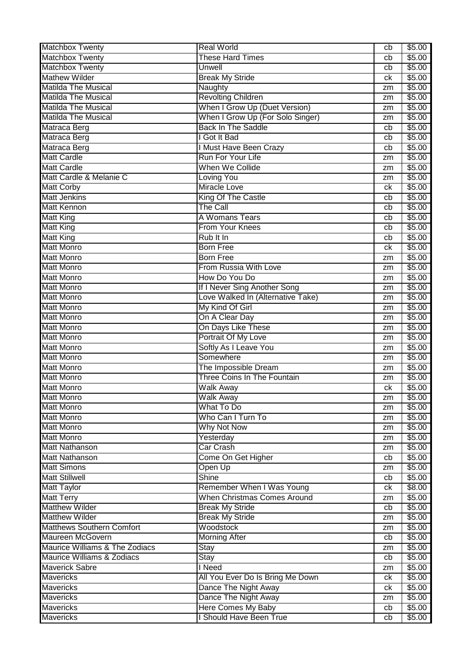| <b>Matchbox Twenty</b>           | <b>Real World</b>                  | cb       | \$5.00 |
|----------------------------------|------------------------------------|----------|--------|
| <b>Matchbox Twenty</b>           | <b>These Hard Times</b>            | cb       | \$5.00 |
| <b>Matchbox Twenty</b>           | Unwell                             | cb       | \$5.00 |
| <b>Mathew Wilder</b>             | <b>Break My Stride</b>             | ck       | \$5.00 |
| <b>Matilda The Musical</b>       | Naughty                            | zm       | \$5.00 |
| <b>Matilda The Musical</b>       | <b>Revolting Children</b>          | zm       | \$5.00 |
| <b>Matilda The Musical</b>       | When I Grow Up (Duet Version)      | zm       | \$5.00 |
| <b>Matilda The Musical</b>       | When I Grow Up (For Solo Singer)   | zm       | \$5.00 |
| Matraca Berg                     | <b>Back In The Saddle</b>          | cb       | \$5.00 |
| Matraca Berg                     | I Got It Bad                       | cb       | \$5.00 |
| Matraca Berg                     | I Must Have Been Crazy             | cb       | \$5.00 |
| <b>Matt Cardle</b>               | Run For Your Life                  | zm       | \$5.00 |
| <b>Matt Cardle</b>               | When We Collide                    | zm       | \$5.00 |
| Matt Cardle & Melanie C          | <b>Loving You</b>                  |          | \$5.00 |
| <b>Matt Corby</b>                | <b>Miracle Love</b>                | zm<br>ck | \$5.00 |
| <b>Matt Jenkins</b>              | King Of The Castle                 | cb       | \$5.00 |
| <b>Matt Kennon</b>               | The Call                           |          |        |
|                                  | A Womans Tears                     | cb       | \$5.00 |
| <b>Matt King</b>                 |                                    | cb       | \$5.00 |
| <b>Matt King</b>                 | From Your Knees                    | cb       | \$5.00 |
| <b>Matt King</b>                 | Rub It In                          | cb       | \$5.00 |
| <b>Matt Monro</b>                | <b>Born Free</b>                   | ck       | \$5.00 |
| <b>Matt Monro</b>                | <b>Born Free</b>                   | zm       | \$5.00 |
| <b>Matt Monro</b>                | From Russia With Love              | zm       | \$5.00 |
| <b>Matt Monro</b>                | How Do You Do                      | zm       | \$5.00 |
| <b>Matt Monro</b>                | If I Never Sing Another Song       | zm       | \$5.00 |
| <b>Matt Monro</b>                | Love Walked In (Alternative Take)  | zm       | \$5.00 |
| <b>Matt Monro</b>                | My Kind Of Girl                    | zm       | \$5.00 |
| <b>Matt Monro</b>                | On A Clear Day                     | zm       | \$5.00 |
| <b>Matt Monro</b>                | On Days Like These                 | zm       | \$5.00 |
| <b>Matt Monro</b>                | Portrait Of My Love                | zm       | \$5.00 |
| <b>Matt Monro</b>                | Softly As I Leave You              | zm       | \$5.00 |
| <b>Matt Monro</b>                | Somewhere                          | zm       | \$5.00 |
| <b>Matt Monro</b>                | The Impossible Dream               | zm       | \$5.00 |
| <b>Matt Monro</b>                | Three Coins In The Fountain        | zm       | \$5.00 |
| <b>Matt Monro</b>                | <b>Walk Away</b>                   | ck       | \$5.00 |
| <b>Matt Monro</b>                | <b>Walk Away</b>                   | zm       | \$5.00 |
| <b>Matt Monro</b>                | What To Do                         | zm       | \$5.00 |
| <b>Matt Monro</b>                | Who Can I Turn To                  | zm       | \$5.00 |
| <b>Matt Monro</b>                | Why Not Now                        | zm       | \$5.00 |
| <b>Matt Monro</b>                | Yesterday                          | zm       | \$5.00 |
| <b>Matt Nathanson</b>            | <b>Car Crash</b>                   | zm       | \$5.00 |
| <b>Matt Nathanson</b>            | Come On Get Higher                 | cb       | \$5.00 |
| <b>Matt Simons</b>               | Open Up                            | zm       | \$5.00 |
| <b>Matt Stillwell</b>            | Shine                              | cb       | \$5.00 |
| <b>Matt Taylor</b>               | Remember When I Was Young          | ck       | \$8.00 |
| <b>Matt Terry</b>                | <b>When Christmas Comes Around</b> | zm       | \$5.00 |
| <b>Matthew Wilder</b>            | <b>Break My Stride</b>             | cb       | \$5.00 |
| <b>Matthew Wilder</b>            | <b>Break My Stride</b>             | zm       | \$5.00 |
| <b>Matthews Southern Comfort</b> | Woodstock                          | zm       | \$5.00 |
| <b>Maureen McGovern</b>          | <b>Morning After</b>               | cb       | \$5.00 |
| Maurice Williams & The Zodiacs   | Stay                               | zm       | \$5.00 |
| Maurice Williams & Zodiacs       | <b>Stay</b>                        | cb       | \$5.00 |
| <b>Maverick Sabre</b>            | I Need                             |          | \$5.00 |
| <b>Mavericks</b>                 |                                    | zm       | \$5.00 |
|                                  | All You Ever Do Is Bring Me Down   | ck       |        |
| <b>Mavericks</b>                 | Dance The Night Away               | ck       | \$5.00 |
| <b>Mavericks</b>                 | Dance The Night Away               | zm       | \$5.00 |
| <b>Mavericks</b>                 | <b>Here Comes My Baby</b>          | cb       | \$5.00 |
| <b>Mavericks</b>                 | I Should Have Been True            | cb       | \$5.00 |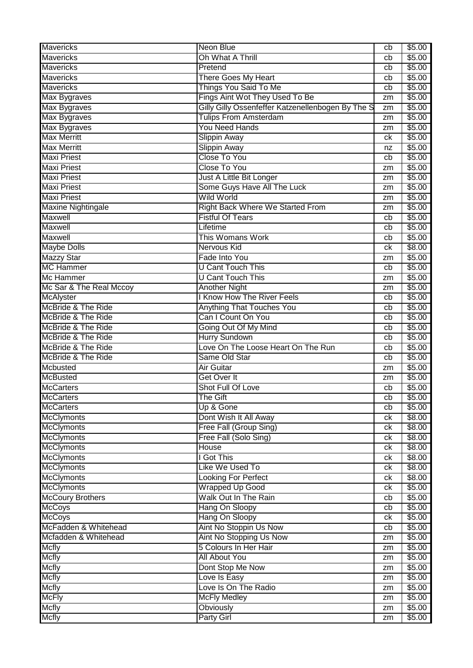| <b>Mavericks</b>              | <b>Neon Blue</b>                                  | cb | \$5.00         |
|-------------------------------|---------------------------------------------------|----|----------------|
| <b>Mavericks</b>              | Oh What A Thrill                                  | cb | \$5.00         |
| <b>Mavericks</b>              | Pretend                                           | cb | \$5.00         |
| <b>Mavericks</b>              | There Goes My Heart                               | cb | \$5.00         |
| <b>Mavericks</b>              | Things You Said To Me                             | cb | \$5.00         |
| <b>Max Bygraves</b>           | Fings Aint Wot They Used To Be                    | zm | \$5.00         |
| <b>Max Bygraves</b>           | Gilly Gilly Ossenfeffer Katzenellenbogen By The S | zm | \$5.00         |
| <b>Max Bygraves</b>           | <b>Tulips From Amsterdam</b>                      | zm | \$5.00         |
| Max Bygraves                  | <b>You Need Hands</b>                             | zm | \$5.00         |
| <b>Max Merritt</b>            | <b>Slippin Away</b>                               | ck | \$5.00         |
| <b>Max Merritt</b>            | Slippin Away                                      | nz | \$5.00         |
| <b>Maxi Priest</b>            | <b>Close To You</b>                               | cb | \$5.00         |
| <b>Maxi Priest</b>            | <b>Close To You</b>                               | zm | \$5.00         |
| <b>Maxi Priest</b>            | Just A Little Bit Longer                          | zm | \$5.00         |
| <b>Maxi Priest</b>            | Some Guys Have All The Luck                       | zm | \$5.00         |
| <b>Maxi Priest</b>            | <b>Wild World</b>                                 | zm | \$5.00         |
| <b>Maxine Nightingale</b>     | Right Back Where We Started From                  | zm | \$5.00         |
| Maxwell                       | <b>Fistful Of Tears</b>                           | cb | \$5.00         |
| <b>Maxwell</b>                | Lifetime                                          | cb | \$5.00         |
| Maxwell                       | This Womans Work                                  | cb | \$5.00         |
| <b>Maybe Dolls</b>            | <b>Nervous Kid</b>                                | ck | \$8.00         |
| <b>Mazzy Star</b>             | Fade Into You                                     | zm | \$5.00         |
| <b>MC Hammer</b>              | <b>U Cant Touch This</b>                          | cb | \$5.00         |
| Mc Hammer                     | <b>U Cant Touch This</b>                          | zm | \$5.00         |
| Mc Sar & The Real Mccoy       | <b>Another Night</b>                              | zm | \$5.00         |
| <b>McAlyster</b>              | <b>I Know How The River Feels</b>                 | cb | \$5.00         |
| McBride & The Ride            | <b>Anything That Touches You</b>                  | cb | \$5.00         |
| <b>McBride &amp; The Ride</b> | Can I Count On You                                | cb | \$5.00         |
| <b>McBride &amp; The Ride</b> | Going Out Of My Mind                              | cb | \$5.00         |
| <b>McBride &amp; The Ride</b> | <b>Hurry Sundown</b>                              | cb | \$5.00         |
| <b>McBride &amp; The Ride</b> | Love On The Loose Heart On The Run                | cb | \$5.00         |
| <b>McBride &amp; The Ride</b> | Same Old Star                                     | cb | \$5.00         |
| Mcbusted                      | Air Guitar                                        | zm | \$5.00         |
| <b>McBusted</b>               | Get Over It                                       | zm | \$5.00         |
| <b>McCarters</b>              | Shot Full Of Love                                 | cb | \$5.00         |
| <b>McCarters</b>              | The Gift                                          | cb | \$5.00         |
| <b>McCarters</b>              | Up & Gone                                         | cb | \$5.00         |
| <b>McClymonts</b>             | Dont Wish It All Away                             | ck | \$8.00         |
| <b>McClymonts</b>             | Free Fall (Group Sing)                            | ck | \$8.00         |
| <b>McClymonts</b>             | Free Fall (Solo Sing)                             | ck | $\sqrt{$8.00}$ |
| <b>McClymonts</b>             | House                                             | ck | \$8.00         |
| <b>McClymonts</b>             | I Got This                                        | ck | \$8.00         |
| <b>McClymonts</b>             | Like We Used To                                   | ck | \$8.00         |
| <b>McClymonts</b>             | <b>Looking For Perfect</b>                        | ck | \$8.00         |
| <b>McClymonts</b>             | <b>Wrapped Up Good</b>                            | ck | \$5.00         |
| <b>McCoury Brothers</b>       | Walk Out In The Rain                              | cb | \$5.00         |
| <b>McCoys</b>                 | Hang On Sloopy                                    | cb | \$5.00         |
| <b>McCoys</b>                 | Hang On Sloopy                                    | ck | \$5.00         |
| McFadden & Whitehead          | Aint No Stoppin Us Now                            | cb | \$5.00         |
| Mcfadden & Whitehead          | Aint No Stopping Us Now                           | zm | \$5.00         |
| <b>Mcfly</b>                  | 5 Colours In Her Hair                             | zm | \$5.00         |
| <b>Mcfly</b>                  | <b>All About You</b>                              | zm | \$5.00         |
| <b>Mcfly</b>                  | Dont Stop Me Now                                  | zm | \$5.00         |
| <b>Mcfly</b>                  | Love Is Easy                                      | zm | \$5.00         |
| <b>Mcfly</b>                  | Love Is On The Radio                              | zm | \$5.00         |
| <b>McFly</b>                  | <b>McFly Medley</b>                               | zm | \$5.00         |
| <b>Mcfly</b>                  | Obviously                                         | zm | \$5.00         |
| <b>Mcfly</b>                  | <b>Party Girl</b>                                 | zm | \$5.00         |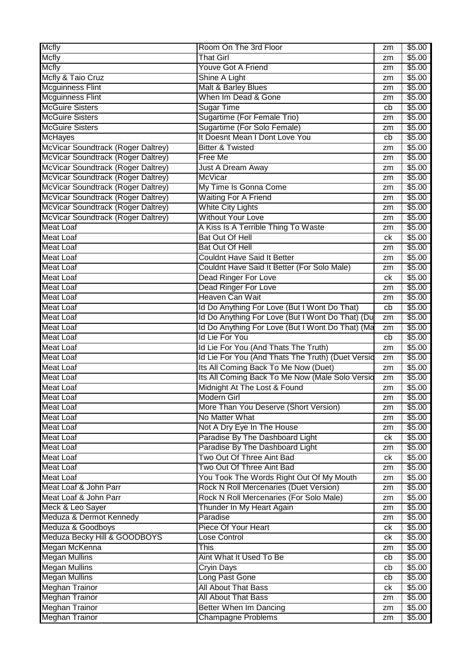| <b>Mcfly</b>                       | Room On The 3rd Floor                             | zm | \$5.00 |
|------------------------------------|---------------------------------------------------|----|--------|
| <b>Mcfly</b>                       | <b>That Girl</b>                                  | zm | \$5.00 |
| <b>Mcfly</b>                       | Youve Got A Friend                                | zm | \$5.00 |
| Mcfly & Taio Cruz                  | Shine A Light                                     | zm | \$5.00 |
| <b>Mcguinness Flint</b>            | Malt & Barley Blues                               | zm | \$5.00 |
| <b>Mcguinness Flint</b>            | When Im Dead & Gone                               | zm | \$5.00 |
| <b>McGuire Sisters</b>             | <b>Sugar Time</b>                                 | cb | \$5.00 |
| <b>McGuire Sisters</b>             | Sugartime (For Female Trio)                       | zm | \$5.00 |
| <b>McGuire Sisters</b>             | Sugartime (For Solo Female)                       | zm | \$5.00 |
| <b>McHayes</b>                     | It Doesnt Mean I Dont Love You                    | cb | \$5.00 |
| McVicar Soundtrack (Roger Daltrey) | <b>Bitter &amp; Twisted</b>                       | zm | \$5.00 |
| McVicar Soundtrack (Roger Daltrey) | Free Me                                           | zm | \$5.00 |
| McVicar Soundtrack (Roger Daltrey) | Just A Dream Away                                 | zm | \$5.00 |
| McVicar Soundtrack (Roger Daltrey) | <b>McVicar</b>                                    | zm | \$5.00 |
| McVicar Soundtrack (Roger Daltrey) | My Time Is Gonna Come                             | zm | \$5.00 |
| McVicar Soundtrack (Roger Daltrey) | <b>Waiting For A Friend</b>                       | zm | \$5.00 |
| McVicar Soundtrack (Roger Daltrey) | <b>White City Lights</b>                          | zm | \$5.00 |
| McVicar Soundtrack (Roger Daltrey) | <b>Without Your Love</b>                          | zm | \$5.00 |
| <b>Meat Loaf</b>                   | A Kiss Is A Terrible Thing To Waste               | zm | \$5.00 |
| <b>Meat Loaf</b>                   | <b>Bat Out Of Hell</b>                            | ck | \$5.00 |
| <b>Meat Loaf</b>                   | <b>Bat Out Of Hell</b>                            | zm | \$5.00 |
| <b>Meat Loaf</b>                   | <b>Couldnt Have Said It Better</b>                | zm | \$5.00 |
| <b>Meat Loaf</b>                   | Couldnt Have Said It Better (For Solo Male)       | zm | \$5.00 |
| <b>Meat Loaf</b>                   | <b>Dead Ringer For Love</b>                       | ck | \$5.00 |
| <b>Meat Loaf</b>                   | <b>Dead Ringer For Love</b>                       | zm | \$5.00 |
| <b>Meat Loaf</b>                   | Heaven Can Wait                                   | zm | \$5.00 |
| <b>Meat Loaf</b>                   | Id Do Anything For Love (But I Wont Do That)      | cb | \$5.00 |
| <b>Meat Loaf</b>                   | Id Do Anything For Love (But I Wont Do That) (Du  | zm | \$5.00 |
| <b>Meat Loaf</b>                   | Id Do Anything For Love (But I Wont Do That) (Ma  | zm | \$5.00 |
| <b>Meat Loaf</b>                   | <b>Id Lie For You</b>                             | cb | \$5.00 |
| <b>Meat Loaf</b>                   | Id Lie For You (And Thats The Truth)              | zm | \$5.00 |
| <b>Meat Loaf</b>                   | Id Lie For You (And Thats The Truth) (Duet Versid | zm | \$5.00 |
| <b>Meat Loaf</b>                   | Its All Coming Back To Me Now (Duet)              | zm | \$5.00 |
| <b>Meat Loaf</b>                   | Its All Coming Back To Me Now (Male Solo Versid   | zm | \$5.00 |
| <b>Meat Loaf</b>                   | Midnight At The Lost & Found                      | zm | \$5.00 |
| <b>Meat Loaf</b>                   | Modern Girl                                       | zm | \$5.00 |
| <b>Meat Loaf</b>                   | More Than You Deserve (Short Version)             | zm | \$5.00 |
| <b>Meat Loaf</b>                   | No Matter What                                    | zm | \$5.00 |
| <b>Meat Loaf</b>                   | Not A Dry Eye In The House                        | zm | \$5.00 |
| <b>Meat Loaf</b>                   | Paradise By The Dashboard Light                   | ck | \$5.00 |
| <b>Meat Loaf</b>                   | Paradise By The Dashboard Light                   | zm | \$5.00 |
| <b>Meat Loaf</b>                   | Two Out Of Three Aint Bad                         | ck | \$5.00 |
| <b>Meat Loaf</b>                   | Two Out Of Three Aint Bad                         | zm | \$5.00 |
| <b>Meat Loaf</b>                   | You Took The Words Right Out Of My Mouth          | zm | \$5.00 |
| Meat Loaf & John Parr              | Rock N Roll Mercenaries (Duet Version)            | zm | \$5.00 |
| Meat Loaf & John Parr              | Rock N Roll Mercenaries (For Solo Male)           | zm | \$5.00 |
| Meck & Leo Sayer                   | Thunder In My Heart Again                         | zm | \$5.00 |
| Meduza & Dermot Kennedy            | Paradise                                          | zm | \$5.00 |
| Meduza & Goodboys                  | Piece Of Your Heart                               | ck | \$5.00 |
| Meduza Becky Hill & GOODBOYS       | <b>Lose Control</b>                               | ck | \$5.00 |
| Megan McKenna                      | This                                              | zm | \$5.00 |
| <b>Megan Mullins</b>               | Aint What It Used To Be                           | cb | \$5.00 |
| <b>Megan Mullins</b>               | Cryin Days                                        | cb | \$5.00 |
| <b>Megan Mullins</b>               | Long Past Gone                                    | cb | \$5.00 |
| <b>Meghan Trainor</b>              | <b>All About That Bass</b>                        | ck | \$5.00 |
| Meghan Trainor                     | <b>All About That Bass</b>                        | zm | \$5.00 |
| <b>Meghan Trainor</b>              | <b>Better When Im Dancing</b>                     | zm | \$5.00 |
| <b>Meghan Trainor</b>              | <b>Champagne Problems</b>                         | zm | \$5.00 |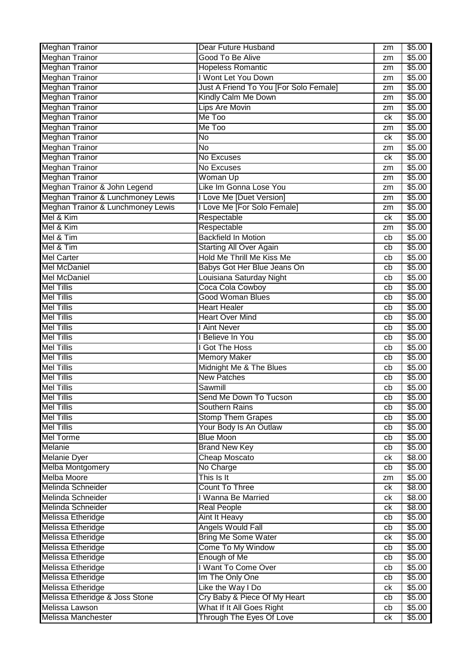| <b>Meghan Trainor</b>             | Dear Future Husband                    | zm | \$5.00 |
|-----------------------------------|----------------------------------------|----|--------|
| <b>Meghan Trainor</b>             | Good To Be Alive                       | zm | \$5.00 |
| <b>Meghan Trainor</b>             | <b>Hopeless Romantic</b>               | zm | \$5.00 |
| <b>Meghan Trainor</b>             | I Wont Let You Down                    | zm | \$5.00 |
| <b>Meghan Trainor</b>             | Just A Friend To You [For Solo Female] | zm | \$5.00 |
| <b>Meghan Trainor</b>             | Kindly Calm Me Down                    | zm | \$5.00 |
| <b>Meghan Trainor</b>             | Lips Are Movin                         | zm | \$5.00 |
| <b>Meghan Trainor</b>             | Me Too                                 | сk | \$5.00 |
| <b>Meghan Trainor</b>             | Me Too                                 | zm | \$5.00 |
| <b>Meghan Trainor</b>             | $\overline{\text{No}}$                 | сk | \$5.00 |
| <b>Meghan Trainor</b>             | $\overline{N}$                         | zm | \$5.00 |
| <b>Meghan Trainor</b>             | No Excuses                             | сk | \$5.00 |
| <b>Meghan Trainor</b>             | No Excuses                             | zm | \$5.00 |
| <b>Meghan Trainor</b>             | Woman Up                               | zm | \$5.00 |
| Meghan Trainor & John Legend      | Like Im Gonna Lose You                 | zm | \$5.00 |
| Meghan Trainor & Lunchmoney Lewis | I Love Me [Duet Version]               | zm | \$5.00 |
| Meghan Trainor & Lunchmoney Lewis | I Love Me [For Solo Female]            | zm | \$5.00 |
| Mel & Kim                         | Respectable                            | сk | \$5.00 |
| Mel & Kim                         | Respectable                            | zm | \$5.00 |
| Mel & Tim                         | <b>Backfield In Motion</b>             | cb | \$5.00 |
| Mel & Tim                         | <b>Starting All Over Again</b>         | cb | \$5.00 |
| <b>Mel Carter</b>                 | Hold Me Thrill Me Kiss Me              |    | \$5.00 |
| <b>Mel McDaniel</b>               |                                        | cb |        |
|                                   | Babys Got Her Blue Jeans On            | cb | \$5.00 |
| <b>Mel McDaniel</b>               | Louisiana Saturday Night               | cb | \$5.00 |
| <b>Mel Tillis</b>                 | Coca Cola Cowboy                       | cb | \$5.00 |
| <b>Mel Tillis</b>                 | <b>Good Woman Blues</b>                | cb | \$5.00 |
| <b>Mel Tillis</b>                 | <b>Heart Healer</b>                    | cb | \$5.00 |
| <b>Mel Tillis</b>                 | <b>Heart Over Mind</b>                 | cb | \$5.00 |
| <b>Mel Tillis</b>                 | I Aint Never                           | cb | \$5.00 |
| <b>Mel Tillis</b>                 | I Believe In You                       | cb | \$5.00 |
| <b>Mel Tillis</b>                 | I Got The Hoss                         | cb | \$5.00 |
| <b>Mel Tillis</b>                 | <b>Memory Maker</b>                    | cb | \$5.00 |
| <b>Mel Tillis</b>                 | Midnight Me & The Blues                | cb | \$5.00 |
| <b>Mel Tillis</b>                 | <b>New Patches</b>                     | cb | \$5.00 |
| <b>Mel Tillis</b>                 | Sawmill                                | cb | \$5.00 |
| <b>Mel Tillis</b>                 | Send Me Down To Tucson                 | cb | \$5.00 |
| <b>Mel Tillis</b>                 | <b>Southern Rains</b>                  | cb | \$5.00 |
| <b>Mel Tillis</b>                 | <b>Stomp Them Grapes</b>               | cb | \$5.00 |
| <b>Mel Tillis</b>                 | Your Body Is An Outlaw                 | cb | \$5.00 |
| <b>Mel Torme</b>                  | <b>Blue Moon</b>                       | cb | \$5.00 |
| Melanie                           | <b>Brand New Key</b>                   | cb | \$5.00 |
| <b>Melanie Dyer</b>               | <b>Cheap Moscato</b>                   | ck | \$8.00 |
| <b>Melba Montgomery</b>           | No Charge                              | cb | \$5.00 |
| <b>Melba Moore</b>                | This Is It                             | zm | \$5.00 |
| Melinda Schneider                 | <b>Count To Three</b>                  | ck | \$8.00 |
| Melinda Schneider                 | I Wanna Be Married                     | ck | \$8.00 |
| Melinda Schneider                 | <b>Real People</b>                     | ck | \$8.00 |
| Melissa Etheridge                 | <b>Aint It Heavy</b>                   | cb | \$5.00 |
| Melissa Etheridge                 | Angels Would Fall                      | cb | \$5.00 |
| Melissa Etheridge                 | <b>Bring Me Some Water</b>             | ck | \$5.00 |
| Melissa Etheridge                 | Come To My Window                      | cb | \$5.00 |
| Melissa Etheridge                 | Enough of Me                           | cb | \$5.00 |
| Melissa Etheridge                 | I Want To Come Over                    | cb | \$5.00 |
| Melissa Etheridge                 | Im The Only One                        | cb | \$5.00 |
| Melissa Etheridge                 | Like the Way I Do                      | ck | \$5.00 |
| Melissa Etheridge & Joss Stone    | Cry Baby & Piece Of My Heart           | cb | \$5.00 |
| Melissa Lawson                    | What If It All Goes Right              | cb | \$5.00 |
| <b>Melissa Manchester</b>         | Through The Eyes Of Love               | ck | \$5.00 |
|                                   |                                        |    |        |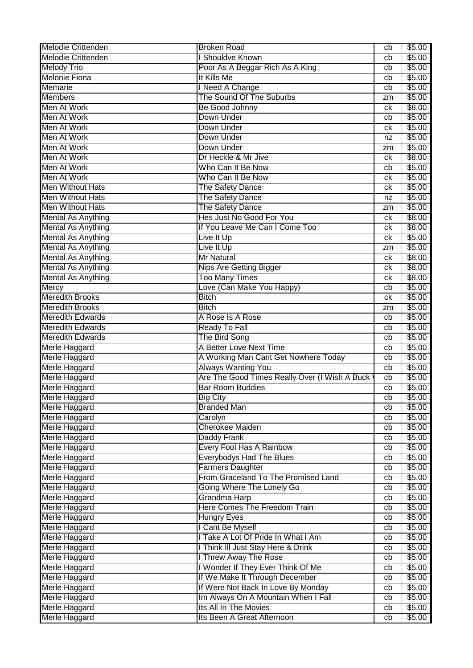| <b>Melodie Crittenden</b><br>I Shouldve Known<br>cb<br><b>Melody Trio</b><br>Poor As A Beggar Rich As A King<br>cb<br><b>Melonie Fiona</b><br>It Kills Me<br>cb<br><b>Memarie</b><br>I Need A Change<br>cb<br>The Sound Of The Suburbs<br><b>Members</b><br>zm | \$5.00<br>\$5.00<br>\$5.00<br>\$5.00<br>\$5.00 |
|----------------------------------------------------------------------------------------------------------------------------------------------------------------------------------------------------------------------------------------------------------------|------------------------------------------------|
|                                                                                                                                                                                                                                                                |                                                |
|                                                                                                                                                                                                                                                                |                                                |
|                                                                                                                                                                                                                                                                |                                                |
|                                                                                                                                                                                                                                                                |                                                |
|                                                                                                                                                                                                                                                                |                                                |
| Men At Work<br>Be Good Johnny<br>ck                                                                                                                                                                                                                            | \$8.00                                         |
| Men At Work<br>Down Under<br>cb                                                                                                                                                                                                                                | \$5.00                                         |
| Men At Work<br>Down Under<br>сk                                                                                                                                                                                                                                | \$5.00                                         |
| Men At Work<br>Down Under<br>nz                                                                                                                                                                                                                                | \$5.00                                         |
| Men At Work<br>Down Under<br>zm                                                                                                                                                                                                                                | \$5.00                                         |
| Men At Work<br>Dr Heckle & Mr Jive<br>сk                                                                                                                                                                                                                       | \$8.00                                         |
| Men At Work<br>Who Can It Be Now<br>cb                                                                                                                                                                                                                         | \$5.00                                         |
| Men At Work<br>Who Can It Be Now<br>сk                                                                                                                                                                                                                         | \$5.00                                         |
| <b>Men Without Hats</b><br>The Safety Dance<br>сk                                                                                                                                                                                                              | \$5.00                                         |
| <b>Men Without Hats</b><br><b>The Safety Dance</b><br>nz                                                                                                                                                                                                       | \$5.00                                         |
| <b>Men Without Hats</b><br>The Safety Dance<br>zm                                                                                                                                                                                                              | \$5.00                                         |
| Hes Just No Good For You<br>Mental As Anything<br>сk                                                                                                                                                                                                           | \$8.00                                         |
| <b>Mental As Anything</b><br>If You Leave Me Can I Come Too<br>сk                                                                                                                                                                                              | \$8.00                                         |
| <b>Mental As Anything</b><br>Live It Up<br>сk                                                                                                                                                                                                                  | \$5.00                                         |
| <b>Mental As Anything</b><br>Live It Up<br>zm                                                                                                                                                                                                                  | \$5.00                                         |
| <b>Mental As Anything</b><br><b>Mr Natural</b><br>сk                                                                                                                                                                                                           | \$8.00                                         |
| <b>Mental As Anything</b><br><b>Nips Are Getting Bigger</b><br>сk                                                                                                                                                                                              | \$8.00                                         |
| <b>Too Many Times</b><br><b>Mental As Anything</b><br>сk                                                                                                                                                                                                       | \$8.00                                         |
| Love (Can Make You Happy)<br><b>Mercy</b><br>cb                                                                                                                                                                                                                | \$5.00                                         |
| <b>Meredith Brooks</b><br><b>Bitch</b><br>ck                                                                                                                                                                                                                   | \$5.00                                         |
| <b>Meredith Brooks</b><br><b>Bitch</b><br>zm                                                                                                                                                                                                                   | \$5.00                                         |
| <b>Meredith Edwards</b><br>A Rose Is A Rose<br>cb                                                                                                                                                                                                              | \$5.00                                         |
| <b>Meredith Edwards</b><br><b>Ready To Fall</b><br>cb                                                                                                                                                                                                          | \$5.00                                         |
| <b>Meredith Edwards</b><br>The Bird Song<br>cb                                                                                                                                                                                                                 | \$5.00                                         |
| A Better Love Next Time<br>Merle Haggard<br>cb                                                                                                                                                                                                                 | \$5.00                                         |
| Merle Haggard<br>A Working Man Cant Get Nowhere Today<br>cb                                                                                                                                                                                                    | \$5.00                                         |
| Merle Haggard<br><b>Always Wanting You</b><br>cb                                                                                                                                                                                                               | \$5.00                                         |
| Are The Good Times Really Over (I Wish A Buck<br>Merle Haggard<br>cb                                                                                                                                                                                           | \$5.00                                         |
| <b>Bar Room Buddies</b><br>Merle Haggard<br>cb                                                                                                                                                                                                                 | \$5.00                                         |
| Merle Haggard<br><b>Big City</b><br>cb                                                                                                                                                                                                                         | \$5.00                                         |
| Merle Haggard<br><b>Branded Man</b><br>cb                                                                                                                                                                                                                      | \$5.00                                         |
| Merle Haggard<br>Carolyn<br>cb                                                                                                                                                                                                                                 | \$5.00                                         |
| Merle Haggard<br><b>Cherokee Maiden</b><br>cb                                                                                                                                                                                                                  | \$5.00                                         |
| Merle Haggard<br>Daddy Frank<br>cb                                                                                                                                                                                                                             | \$5.00                                         |
| Merle Haggard<br>Every Fool Has A Rainbow<br>cb                                                                                                                                                                                                                | \$5.00                                         |
| Merle Haggard<br><b>Everybodys Had The Blues</b><br>cb                                                                                                                                                                                                         | \$5.00                                         |
| <b>Farmers Daughter</b><br>Merle Haggard<br>cb                                                                                                                                                                                                                 | \$5.00                                         |
| From Graceland To The Promised Land<br>Merle Haggard<br>cb                                                                                                                                                                                                     | \$5.00                                         |
| Going Where The Lonely Go<br>Merle Haggard<br>cb                                                                                                                                                                                                               | \$5.00                                         |
| Grandma Harp<br>Merle Haggard<br>cb                                                                                                                                                                                                                            | \$5.00                                         |
| Here Comes The Freedom Train<br>Merle Haggard<br>cb                                                                                                                                                                                                            | \$5.00                                         |
| Merle Haggard<br><b>Hungry Eyes</b><br>cb                                                                                                                                                                                                                      | \$5.00                                         |
| Merle Haggard<br>I Cant Be Myself<br>cb                                                                                                                                                                                                                        | \$5.00                                         |
| I Take A Lot Of Pride In What I Am<br>Merle Haggard<br>cb                                                                                                                                                                                                      | \$5.00                                         |
| Merle Haggard<br>I Think III Just Stay Here & Drink<br>cb                                                                                                                                                                                                      | \$5.00                                         |
| Merle Haggard<br>I Threw Away The Rose<br>cb                                                                                                                                                                                                                   | \$5.00                                         |
| I Wonder If They Ever Think Of Me<br>Merle Haggard<br>cb                                                                                                                                                                                                       | \$5.00                                         |
| If We Make It Through December<br>Merle Haggard<br>cb                                                                                                                                                                                                          | \$5.00                                         |
| If Were Not Back In Love By Monday<br>Merle Haggard<br>cb                                                                                                                                                                                                      | \$5.00                                         |
| Im Always On A Mountain When I Fall<br>Merle Haggard<br>cb                                                                                                                                                                                                     | \$5.00                                         |
| Its All In The Movies<br>Merle Haggard<br>cb                                                                                                                                                                                                                   | \$5.00                                         |
| Merle Haggard<br>Its Been A Great Afternoon<br>cb                                                                                                                                                                                                              | \$5.00                                         |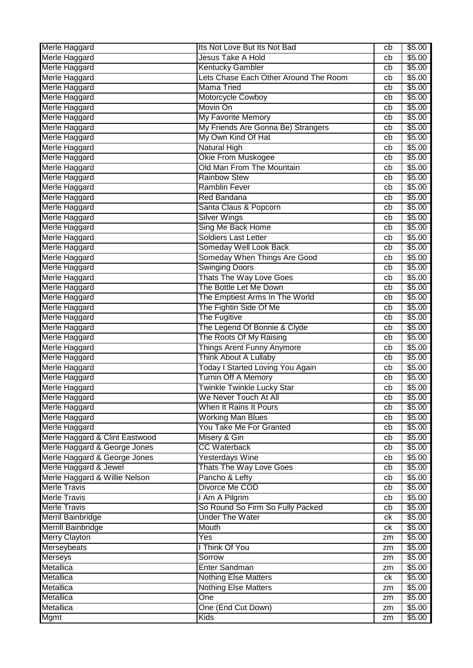| Merle Haggard                  | Its Not Love But Its Not Bad                               | cb       | \$5.00 |
|--------------------------------|------------------------------------------------------------|----------|--------|
| Merle Haggard                  | Jesus Take A Hold                                          | cb       | \$5.00 |
| Merle Haggard                  | <b>Kentucky Gambler</b>                                    | cb       | \$5.00 |
| Merle Haggard                  | Lets Chase Each Other Around The Room                      | cb       | \$5.00 |
| Merle Haggard                  | <b>Mama Tried</b>                                          | cb       | \$5.00 |
| Merle Haggard                  | Motorcycle Cowboy                                          | cb       | \$5.00 |
| Merle Haggard                  | Movin On                                                   | cb       | \$5.00 |
| Merle Haggard                  | My Favorite Memory                                         | cb       | \$5.00 |
| Merle Haggard                  | My Friends Are Gonna Be) Strangers                         | cb       | \$5.00 |
| Merle Haggard                  | My Own Kind Of Hat                                         | cb       | \$5.00 |
| Merle Haggard                  | <b>Natural High</b>                                        | cb       | \$5.00 |
| Merle Haggard                  | <b>Okie From Muskogee</b>                                  | cb       | \$5.00 |
| Merle Haggard                  | Old Man From The Mountain                                  | cb       | \$5.00 |
| Merle Haggard                  | <b>Rainbow Stew</b>                                        | cb       | \$5.00 |
| Merle Haggard                  | <b>Ramblin Fever</b>                                       | cb       | \$5.00 |
| Merle Haggard                  | <b>Red Bandana</b>                                         | cb       | \$5.00 |
| Merle Haggard                  | Santa Claus & Popcorn                                      | cb       | \$5.00 |
| Merle Haggard                  | <b>Silver Wings</b>                                        | cb       | \$5.00 |
| Merle Haggard                  | Sing Me Back Home                                          | cb       | \$5.00 |
| Merle Haggard                  | <b>Soldiers Last Letter</b>                                | cb       | \$5.00 |
| Merle Haggard                  | Someday Well Look Back                                     | cb       | \$5.00 |
| Merle Haggard                  | Someday When Things Are Good                               | cb       | \$5.00 |
| Merle Haggard                  | <b>Swinging Doors</b>                                      | cb       | \$5.00 |
| Merle Haggard                  | Thats The Way Love Goes                                    | cb       | \$5.00 |
| Merle Haggard                  | The Bottle Let Me Down                                     | cb       | \$5.00 |
| Merle Haggard                  | The Emptiest Arms In The World                             | cb       | \$5.00 |
| Merle Haggard                  | The Fightin Side Of Me                                     | cb       | \$5.00 |
| Merle Haggard                  | The Fugitive                                               | cb       | \$5.00 |
| Merle Haggard                  | The Legend Of Bonnie & Clyde                               | cb       | \$5.00 |
| Merle Haggard                  | The Roots Of My Raising                                    | cb       | \$5.00 |
| Merle Haggard                  | Things Arent Funny Anymore                                 | cb       | \$5.00 |
| Merle Haggard                  | Think About A Lullaby                                      | cb       | \$5.00 |
| Merle Haggard                  | <b>Today I Started Loving You Again</b>                    | cb       | \$5.00 |
| Merle Haggard                  | <b>Turnin Off A Memory</b>                                 | cb       | \$5.00 |
| Merle Haggard                  | <b>Twinkle Twinkle Lucky Star</b>                          | cb       | \$5.00 |
| Merle Haggard                  | We Never Touch At All                                      | cb       | \$5.00 |
| Merle Haggard                  | When It Rains It Pours                                     | cb       | \$5.00 |
| Merle Haggard                  | <b>Working Man Blues</b>                                   | cb       | \$5.00 |
| Merle Haggard                  | You Take Me For Granted                                    | cb       | \$5.00 |
| Merle Haggard & Clint Eastwood | Misery & Gin                                               | cb       | \$5.00 |
| Merle Haggard & George Jones   | <b>CC Waterback</b>                                        | cb       | \$5.00 |
| Merle Haggard & George Jones   | <b>Yesterdays Wine</b>                                     | cb       | \$5.00 |
| Merle Haggard & Jewel          | <b>Thats The Way Love Goes</b>                             |          | \$5.00 |
| Merle Haggard & Willie Nelson  | Pancho & Lefty                                             | cb<br>cb | \$5.00 |
| <b>Merle Travis</b>            | Divorce Me COD                                             | cb       | \$5.00 |
| <b>Merle Travis</b>            |                                                            |          |        |
| <b>Merle Travis</b>            | I Am A Pilgrim                                             | cb       | \$5.00 |
|                                | So Round So Firm So Fully Packed<br><b>Under The Water</b> | cb       | \$5.00 |
| Merril Bainbridge              |                                                            | ck       | \$5.00 |
| <b>Merrill Bainbridge</b>      | Mouth<br>$\overline{Yes}$                                  | ck       | \$5.00 |
| <b>Merry Clayton</b>           |                                                            | zm       | \$5.00 |
| Merseybeats                    | I Think Of You<br>Sorrow                                   | zm       | \$5.00 |
| <b>Merseys</b>                 |                                                            | zm       | \$5.00 |
| Metallica                      | <b>Enter Sandman</b>                                       | zm       | \$5.00 |
| <b>Metallica</b>               | <b>Nothing Else Matters</b>                                | ck       | \$5.00 |
| Metallica                      | <b>Nothing Else Matters</b>                                | zm       | \$5.00 |
| Metallica                      | O <sub>ne</sub>                                            | zm       | \$5.00 |
| Metallica                      | One (End Cut Down)                                         | zm       | \$5.00 |
| Mgmt                           | <b>Kids</b>                                                | zm       | \$5.00 |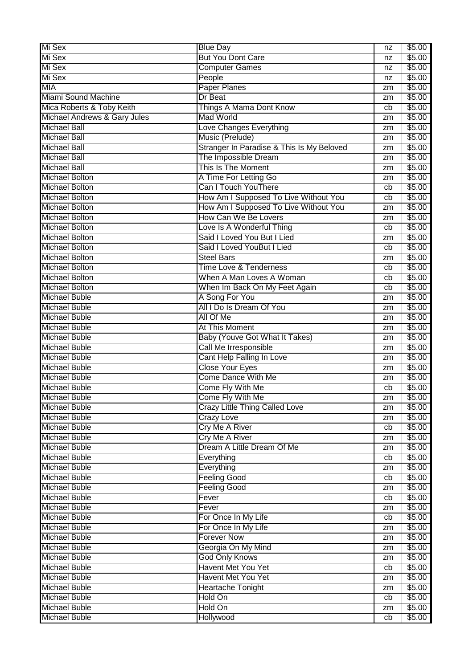| Mi Sex                       | <b>Blue Day</b>                           | nz       | \$5.00           |
|------------------------------|-------------------------------------------|----------|------------------|
| Mi Sex                       | <b>But You Dont Care</b>                  | nz       | \$5.00           |
| Mi Sex                       | <b>Computer Games</b>                     | nz       | \$5.00           |
| Mi Sex                       | People                                    | nz       | \$5.00           |
| <b>MIA</b>                   | <b>Paper Planes</b>                       | zm       | \$5.00           |
| Miami Sound Machine          | Dr Beat                                   | zm       | \$5.00           |
| Mica Roberts & Toby Keith    | Things A Mama Dont Know                   | cb       | \$5.00           |
| Michael Andrews & Gary Jules | <b>Mad World</b>                          | zm       | \$5.00           |
| <b>Michael Ball</b>          | Love Changes Everything                   | zm       | \$5.00           |
| <b>Michael Ball</b>          | Music (Prelude)                           | zm       | \$5.00           |
| <b>Michael Ball</b>          | Stranger In Paradise & This Is My Beloved | zm       | \$5.00           |
| Michael Ball                 | The Impossible Dream                      | zm       | \$5.00           |
| <b>Michael Ball</b>          | This Is The Moment                        | zm       | \$5.00           |
| <b>Michael Bolton</b>        | A Time For Letting Go                     | zm       | \$5.00           |
| <b>Michael Bolton</b>        | Can I Touch YouThere                      | cb       | \$5.00           |
| <b>Michael Bolton</b>        | How Am I Supposed To Live Without You     | cb       | \$5.00           |
| <b>Michael Bolton</b>        | How Am I Supposed To Live Without You     | zm       | \$5.00           |
| <b>Michael Bolton</b>        | How Can We Be Lovers                      | zm       | \$5.00           |
| Michael Bolton               | Love Is A Wonderful Thing                 | cb       | \$5.00           |
| <b>Michael Bolton</b>        | Said I Loved You But I Lied               | zm       | \$5.00           |
| <b>Michael Bolton</b>        | Said I Loved YouBut I Lied                | cb       | \$5.00           |
| Michael Bolton               | <b>Steel Bars</b>                         | zm       | $\sqrt{$5.00}$   |
| <b>Michael Bolton</b>        | <b>Time Love &amp; Tenderness</b>         | cb       | \$5.00           |
| <b>Michael Bolton</b>        | When A Man Loves A Woman                  | cb       | \$5.00           |
| <b>Michael Bolton</b>        | When Im Back On My Feet Again             | cb       | \$5.00           |
| <b>Michael Buble</b>         | A Song For You                            | zm       | \$5.00           |
| <b>Michael Buble</b>         | All I Do Is Dream Of You                  | zm       | \$5.00           |
| <b>Michael Buble</b>         | All Of Me                                 | zm       | \$5.00           |
| <b>Michael Buble</b>         | At This Moment                            | zm       | \$5.00           |
| Michael Buble                | Baby (Youve Got What It Takes)            | zm       | \$5.00           |
| <b>Michael Buble</b>         | Call Me Irresponsible                     | zm       | \$5.00           |
| Michael Buble                | Cant Help Falling In Love                 | zm       | \$5.00           |
| <b>Michael Buble</b>         | <b>Close Your Eyes</b>                    | zm       | \$5.00           |
| <b>Michael Buble</b>         | <b>Come Dance With Me</b>                 | zm       | \$5.00           |
| <b>Michael Buble</b>         | Come Fly With Me                          | cb       | \$5.00           |
| <b>Michael Buble</b>         | Come Fly With Me                          | zm       | \$5.00           |
| <b>Michael Buble</b>         | <b>Crazy Little Thing Called Love</b>     | zm       | \$5.00           |
| <b>Michael Buble</b>         | <b>Crazy Love</b>                         | zm       | \$5.00           |
| <b>Michael Buble</b>         | <b>Cry Me A River</b>                     | cb       | \$5.00           |
| <b>Michael Buble</b>         | <b>Cry Me A River</b>                     | zm       | \$5.00           |
| <b>Michael Buble</b>         | Dream A Little Dream Of Me                | zm       | \$5.00           |
| <b>Michael Buble</b>         | Everything                                | cb       | \$5.00           |
| <b>Michael Buble</b>         | Everything                                | zm       | \$5.00           |
| <b>Michael Buble</b>         | <b>Feeling Good</b>                       | cb       | \$5.00           |
| <b>Michael Buble</b>         | <b>Feeling Good</b>                       | zm       | \$5.00           |
| <b>Michael Buble</b>         | Fever                                     | cb       | \$5.00           |
| <b>Michael Buble</b>         | Fever                                     | zm       | \$5.00           |
| <b>Michael Buble</b>         | For Once In My Life                       | cb       | \$5.00           |
| <b>Michael Buble</b>         | For Once In My Life                       |          | \$5.00           |
| <b>Michael Buble</b>         | <b>Forever Now</b>                        | zm<br>zm | \$5.00           |
| Michael Buble                | Georgia On My Mind                        |          | \$5.00           |
| <b>Michael Buble</b>         | <b>God Only Knows</b>                     | zm       | \$5.00           |
| <b>Michael Buble</b>         | <b>Havent Met You Yet</b>                 | zm<br>cb | \$5.00           |
| <b>Michael Buble</b>         | <b>Havent Met You Yet</b>                 | zm       | \$5.00           |
| <b>Michael Buble</b>         | <b>Heartache Tonight</b>                  |          | \$5.00           |
| <b>Michael Buble</b>         | Hold On                                   | zm       |                  |
| <b>Michael Buble</b>         | Hold On                                   | cb       | \$5.00<br>\$5.00 |
|                              |                                           | zm       |                  |
| <b>Michael Buble</b>         | Hollywood                                 | cb       | \$5.00           |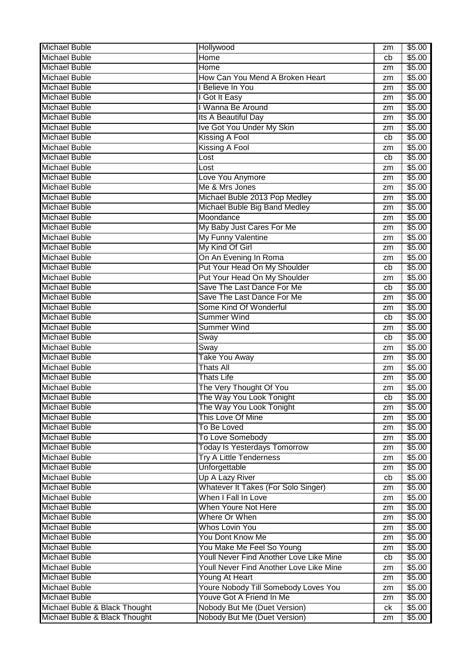| <b>Michael Buble</b>                                           | Hollywood                                                    | zm | \$5.00           |
|----------------------------------------------------------------|--------------------------------------------------------------|----|------------------|
| <b>Michael Buble</b>                                           | Home                                                         | cb | \$5.00           |
| <b>Michael Buble</b>                                           | Home                                                         | zm | \$5.00           |
| <b>Michael Buble</b>                                           | How Can You Mend A Broken Heart                              | zm | \$5.00           |
| <b>Michael Buble</b>                                           | I Believe In You                                             | zm | \$5.00           |
| <b>Michael Buble</b>                                           | I Got It Easy                                                | zm | \$5.00           |
| <b>Michael Buble</b>                                           | I Wanna Be Around                                            | zm | \$5.00           |
| <b>Michael Buble</b>                                           | Its A Beautiful Day                                          | zm | \$5.00           |
| <b>Michael Buble</b>                                           | Ive Got You Under My Skin                                    | zm | \$5.00           |
| <b>Michael Buble</b>                                           | Kissing A Fool                                               | cb | \$5.00           |
| <b>Michael Buble</b>                                           | <b>Kissing A Fool</b>                                        | zm | \$5.00           |
| <b>Michael Buble</b>                                           | Lost                                                         | cb | \$5.00           |
| <b>Michael Buble</b>                                           | Lost                                                         | zm | \$5.00           |
| <b>Michael Buble</b>                                           | Love You Anymore                                             | zm | \$5.00           |
| <b>Michael Buble</b>                                           | Me & Mrs Jones                                               | zm | \$5.00           |
| <b>Michael Buble</b>                                           | Michael Buble 2013 Pop Medley                                | zm | \$5.00           |
| <b>Michael Buble</b>                                           | Michael Buble Big Band Medley                                | zm | \$5.00           |
| <b>Michael Buble</b>                                           | Moondance                                                    | zm | \$5.00           |
| <b>Michael Buble</b>                                           | My Baby Just Cares For Me                                    | zm | \$5.00           |
| <b>Michael Buble</b>                                           | My Funny Valentine                                           | zm | \$5.00           |
| <b>Michael Buble</b>                                           | My Kind Of Girl                                              | zm | \$5.00           |
| <b>Michael Buble</b>                                           | On An Evening In Roma                                        | zm | \$5.00           |
| <b>Michael Buble</b>                                           | Put Your Head On My Shoulder                                 | cb | \$5.00           |
| <b>Michael Buble</b>                                           | Put Your Head On My Shoulder                                 | zm | \$5.00           |
| <b>Michael Buble</b>                                           | Save The Last Dance For Me                                   | cb | \$5.00           |
| <b>Michael Buble</b>                                           | Save The Last Dance For Me                                   | zm | \$5.00           |
| <b>Michael Buble</b>                                           | Some Kind Of Wonderful                                       | zm | \$5.00           |
| <b>Michael Buble</b>                                           | <b>Summer Wind</b>                                           | cb | \$5.00           |
|                                                                |                                                              |    | \$5.00           |
|                                                                |                                                              |    |                  |
| <b>Michael Buble</b>                                           | <b>Summer Wind</b>                                           | zm |                  |
| <b>Michael Buble</b>                                           | Sway                                                         | cb | \$5.00           |
| <b>Michael Buble</b>                                           | Sway                                                         | zm | \$5.00           |
| <b>Michael Buble</b>                                           | <b>Take You Away</b>                                         | zm | \$5.00           |
| <b>Michael Buble</b>                                           | <b>Thats All</b>                                             | zm | \$5.00           |
| <b>Michael Buble</b>                                           | <b>Thats Life</b>                                            | zm | \$5.00           |
| <b>Michael Buble</b>                                           | The Very Thought Of You                                      | zm | \$5.00           |
| <b>Michael Buble</b>                                           | The Way You Look Tonight                                     | cb | \$5.00           |
| <b>Michael Buble</b>                                           | The Way You Look Tonight                                     | zm | \$5.00           |
| <b>Michael Buble</b>                                           | This Love Of Mine                                            | zm | \$5.00           |
| <b>Michael Buble</b>                                           | To Be Loved                                                  | zm | \$5.00           |
| <b>Michael Buble</b>                                           | To Love Somebody                                             | zm | \$5.00           |
| <b>Michael Buble</b>                                           | <b>Today Is Yesterdays Tomorrow</b>                          | zm | \$5.00           |
| <b>Michael Buble</b>                                           | <b>Try A Little Tenderness</b>                               | zm | \$5.00           |
| <b>Michael Buble</b>                                           | Unforgettable                                                | zm | \$5.00           |
| <b>Michael Buble</b>                                           | <b>Up A Lazy River</b>                                       | cb | \$5.00           |
| <b>Michael Buble</b>                                           | <b>Whatever It Takes (For Solo Singer)</b>                   | zm | \$5.00           |
| <b>Michael Buble</b>                                           | When I Fall In Love                                          | zm | \$5.00           |
| <b>Michael Buble</b>                                           | When Youre Not Here                                          | zm | \$5.00           |
| <b>Michael Buble</b>                                           | Where Or When                                                | zm | \$5.00           |
| <b>Michael Buble</b>                                           | Whos Lovin You                                               | zm | \$5.00           |
| <b>Michael Buble</b>                                           | You Dont Know Me                                             | zm | \$5.00           |
| <b>Michael Buble</b>                                           | You Make Me Feel So Young                                    | zm | \$5.00           |
| <b>Michael Buble</b>                                           | Youll Never Find Another Love Like Mine                      | cb | \$5.00           |
| <b>Michael Buble</b>                                           | Youll Never Find Another Love Like Mine                      | zm | \$5.00           |
| <b>Michael Buble</b>                                           | Young At Heart                                               | zm | \$5.00           |
| <b>Michael Buble</b>                                           | Youre Nobody Till Somebody Loves You                         | zm | \$5.00           |
| <b>Michael Buble</b>                                           | Youve Got A Friend In Me                                     | zm | \$5.00           |
| Michael Buble & Black Thought<br>Michael Buble & Black Thought | Nobody But Me (Duet Version)<br>Nobody But Me (Duet Version) | ck | \$5.00<br>\$5.00 |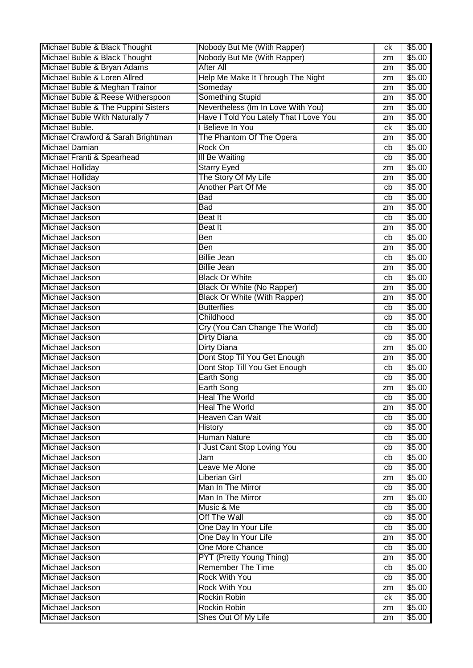| Michael Buble & Black Thought         | Nobody But Me (With Rapper)            | сk       | \$5.00 |
|---------------------------------------|----------------------------------------|----------|--------|
| Michael Buble & Black Thought         | Nobody But Me (With Rapper)            | zm       | \$5.00 |
| Michael Buble & Bryan Adams           | <b>After All</b>                       | zm       | \$5.00 |
| Michael Buble & Loren Allred          | Help Me Make It Through The Night      | zm       | \$5.00 |
| Michael Buble & Meghan Trainor        | Someday                                | zm       | \$5.00 |
| Michael Buble & Reese Witherspoon     | Something Stupid                       | zm       | \$5.00 |
| Michael Buble & The Puppini Sisters   | Nevertheless (Im In Love With You)     | zm       | \$5.00 |
| <b>Michael Buble With Naturally 7</b> | Have I Told You Lately That I Love You | zm       | \$5.00 |
| Michael Buble.                        | I Believe In You                       | ck       | \$5.00 |
| Michael Crawford & Sarah Brightman    | The Phantom Of The Opera               | zm       | \$5.00 |
| Michael Damian                        | Rock On                                | cb       | \$5.00 |
| Michael Franti & Spearhead            | <b>III Be Waiting</b>                  | cb       | \$5.00 |
| Michael Holliday                      | <b>Starry Eyed</b>                     | zm       | \$5.00 |
| Michael Holliday                      | The Story Of My Life                   | zm       | \$5.00 |
| Michael Jackson                       | Another Part Of Me                     | cb       | \$5.00 |
| Michael Jackson                       | <b>Bad</b>                             | cb       | \$5.00 |
| Michael Jackson                       | <b>Bad</b>                             |          | \$5.00 |
| Michael Jackson                       | <b>Beat</b> It                         | zm<br>cb | \$5.00 |
| Michael Jackson                       |                                        |          |        |
|                                       | Beat It                                | zm       | \$5.00 |
| Michael Jackson                       | <b>Ben</b>                             | cb       | \$5.00 |
| Michael Jackson                       | Ben                                    | zm       | \$5.00 |
| Michael Jackson                       | <b>Billie Jean</b>                     | cb       | \$5.00 |
| Michael Jackson                       | <b>Billie Jean</b>                     | zm       | \$5.00 |
| Michael Jackson                       | <b>Black Or White</b>                  | cb       | \$5.00 |
| Michael Jackson                       | <b>Black Or White (No Rapper)</b>      | zm       | \$5.00 |
| Michael Jackson                       | <b>Black Or White (With Rapper)</b>    | zm       | \$5.00 |
| Michael Jackson                       | <b>Butterflies</b>                     | cb       | \$5.00 |
| Michael Jackson                       | Childhood                              | cb       | \$5.00 |
| Michael Jackson                       | Cry (You Can Change The World)         | cb       | \$5.00 |
| Michael Jackson                       | <b>Dirty Diana</b>                     | cb       | \$5.00 |
| Michael Jackson                       | <b>Dirty Diana</b>                     | zm       | \$5.00 |
| Michael Jackson                       | Dont Stop Til You Get Enough           | zm       | \$5.00 |
| Michael Jackson                       | Dont Stop Till You Get Enough          | cb       | \$5.00 |
| Michael Jackson                       | <b>Earth Song</b>                      | cb       | \$5.00 |
| Michael Jackson                       | <b>Earth Song</b>                      | zm       | \$5.00 |
| Michael Jackson                       | <b>Heal The World</b>                  | cb       | \$5.00 |
| Michael Jackson                       | <b>Heal The World</b>                  | zm       | \$5.00 |
| Michael Jackson                       | Heaven Can Wait                        | cb       | \$5.00 |
| Michael Jackson                       | <b>History</b>                         | cb       | \$5.00 |
| Michael Jackson                       | <b>Human Nature</b>                    | cb       | \$5.00 |
| Michael Jackson                       | I Just Cant Stop Loving You            | cb       | \$5.00 |
| Michael Jackson                       | Jam                                    | cb       | \$5.00 |
| Michael Jackson                       | Leave Me Alone                         | cb       | \$5.00 |
| Michael Jackson                       | <b>Liberian Girl</b>                   | zm       | \$5.00 |
| Michael Jackson                       | Man In The Mirror                      | cb       | \$5.00 |
| Michael Jackson                       | Man In The Mirror                      | zm       | \$5.00 |
| Michael Jackson                       | Music & Me                             | cb       | \$5.00 |
| Michael Jackson                       | Off The Wall                           |          | \$5.00 |
| Michael Jackson                       | One Day In Your Life                   | cb       | \$5.00 |
|                                       |                                        | cb       |        |
| Michael Jackson                       | One Day In Your Life                   | zm       | \$5.00 |
| Michael Jackson                       | One More Chance                        | cb       | \$5.00 |
| Michael Jackson                       | PYT (Pretty Young Thing)               | zm       | \$5.00 |
| Michael Jackson                       | <b>Remember The Time</b>               | cb       | \$5.00 |
| Michael Jackson                       | Rock With You                          | cb       | \$5.00 |
| Michael Jackson                       | <b>Rock With You</b>                   | zm       | \$5.00 |
| Michael Jackson                       | Rockin Robin                           | ck       | \$5.00 |
| Michael Jackson                       | Rockin Robin                           | zm       | \$5.00 |
| Michael Jackson                       | Shes Out Of My Life                    | zm       | \$5.00 |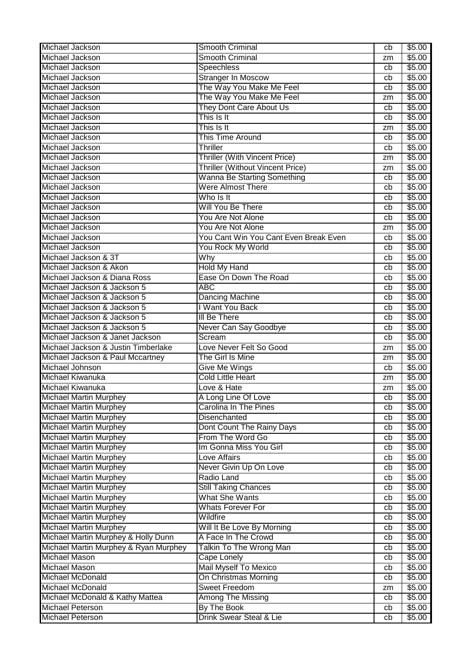| Michael Jackson                                    | <b>Smooth Criminal</b>                  | cb       | \$5.00           |
|----------------------------------------------------|-----------------------------------------|----------|------------------|
| Michael Jackson                                    | Smooth Criminal                         | zm       | \$5.00           |
| Michael Jackson                                    | <b>Speechless</b>                       | cb       | \$5.00           |
| Michael Jackson                                    | <b>Stranger In Moscow</b>               | cb       | \$5.00           |
| Michael Jackson                                    | The Way You Make Me Feel                | cb       | \$5.00           |
| Michael Jackson                                    | The Way You Make Me Feel                | zm       | \$5.00           |
| Michael Jackson                                    | They Dont Care About Us                 | cb       | \$5.00           |
| Michael Jackson                                    | This Is It                              | cb       | \$5.00           |
| Michael Jackson                                    | This Is It                              | zm       | \$5.00           |
| Michael Jackson                                    | This Time Around                        | cb       | \$5.00           |
| Michael Jackson                                    | Thriller                                | cb       | \$5.00           |
| Michael Jackson                                    | Thriller (With Vincent Price)           | zm       | \$5.00           |
| Michael Jackson                                    | <b>Thriller (Without Vincent Price)</b> | zm       | \$5.00           |
| Michael Jackson                                    | <b>Wanna Be Starting Something</b>      | cb       | \$5.00           |
| Michael Jackson                                    | <b>Were Almost There</b>                | cb       | \$5.00           |
| Michael Jackson                                    | Who Is It                               | cb       | \$5.00           |
| Michael Jackson                                    | Will You Be There                       | cb       | \$5.00           |
| Michael Jackson                                    | You Are Not Alone                       | cb       | \$5.00           |
| Michael Jackson                                    | You Are Not Alone                       | zm       | \$5.00           |
| Michael Jackson                                    | You Cant Win You Cant Even Break Even   | cb       | \$5.00           |
| Michael Jackson                                    | You Rock My World                       | cb       | \$5.00           |
| Michael Jackson & 3T                               | Why                                     | cb       | \$5.00           |
| Michael Jackson & Akon                             | <b>Hold My Hand</b>                     | cb       | \$5.00           |
| Michael Jackson & Diana Ross                       | Ease On Down The Road                   | cb       | \$5.00           |
| Michael Jackson & Jackson 5                        | <b>ABC</b>                              | cb       | \$5.00           |
| Michael Jackson & Jackson 5                        | Dancing Machine                         | cb       | \$5.00           |
| Michael Jackson & Jackson 5                        | I Want You Back                         | cb       | \$5.00           |
| Michael Jackson & Jackson 5                        | III Be There                            | cb       | \$5.00           |
| Michael Jackson & Jackson 5                        | Never Can Say Goodbye                   | cb       | \$5.00           |
|                                                    |                                         |          |                  |
|                                                    |                                         |          |                  |
| Michael Jackson & Janet Jackson                    | Scream                                  | cb       | \$5.00           |
| Michael Jackson & Justin Timberlake                | Love Never Felt So Good                 | zm       | \$5.00           |
| Michael Jackson & Paul Mccartney                   | The Girl Is Mine                        | zm       | \$5.00           |
| Michael Johnson                                    | Give Me Wings                           | cb       | \$5.00           |
| Michael Kiwanuka                                   | <b>Cold Little Heart</b>                | zm       | \$5.00           |
| Michael Kiwanuka                                   | Love & Hate                             | zm       | \$5.00           |
| <b>Michael Martin Murphey</b>                      | A Long Line Of Love                     | cb       | \$5.00           |
| <b>Michael Martin Murphey</b>                      | Carolina In The Pines                   | cb       | \$5.00           |
| <b>Michael Martin Murphey</b>                      | <b>Disenchanted</b>                     | cb       | \$5.00           |
| <b>Michael Martin Murphey</b>                      | Dont Count The Rainy Days               | cb       | \$5.00           |
| <b>Michael Martin Murphey</b>                      | From The Word Go                        | cb       | \$5.00           |
| <b>Michael Martin Murphey</b>                      | Im Gonna Miss You Girl                  | cb       | \$5.00           |
| <b>Michael Martin Murphey</b>                      | Love Affairs                            | cb       | \$5.00           |
| <b>Michael Martin Murphey</b>                      | Never Givin Up On Love                  | cb       | \$5.00           |
| <b>Michael Martin Murphey</b>                      | Radio Land                              | cb       | \$5.00           |
| <b>Michael Martin Murphey</b>                      | <b>Still Taking Chances</b>             | cb       | \$5.00           |
| <b>Michael Martin Murphey</b>                      | <b>What She Wants</b>                   | cb       | \$5.00           |
| <b>Michael Martin Murphey</b>                      | <b>Whats Forever For</b>                | cb       | \$5.00           |
| <b>Michael Martin Murphey</b>                      | Wildfire                                | cb       | \$5.00           |
| <b>Michael Martin Murphey</b>                      | Will It Be Love By Morning              | cb       | \$5.00           |
| Michael Martin Murphey & Holly Dunn                | A Face In The Crowd                     | cb       | \$5.00           |
| Michael Martin Murphey & Ryan Murphey              | Talkin To The Wrong Man                 | cb       | \$5.00           |
| Michael Mason                                      | Cape Lonely                             | cb       | \$5.00           |
| <b>Michael Mason</b>                               | Mail Myself To Mexico                   | cb       | \$5.00           |
| Michael McDonald                                   | On Christmas Morning                    | cb       | \$5.00           |
| <b>Michael McDonald</b>                            | <b>Sweet Freedom</b>                    | zm       | \$5.00           |
| Michael McDonald & Kathy Mattea                    | <b>Among The Missing</b>                | cb       | \$5.00           |
| <b>Michael Peterson</b><br><b>Michael Peterson</b> | By The Book<br>Drink Swear Steal & Lie  | cb<br>cb | \$5.00<br>\$5.00 |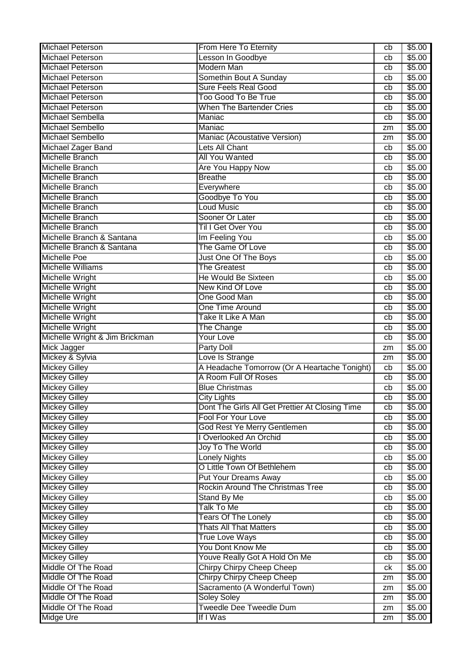| <b>Michael Peterson</b>        | From Here To Eternity                           | cb       | \$5.00 |
|--------------------------------|-------------------------------------------------|----------|--------|
| <b>Michael Peterson</b>        | Lesson In Goodbye                               | cb       | \$5.00 |
| <b>Michael Peterson</b>        | <b>Modern Man</b>                               | cb       | \$5.00 |
| <b>Michael Peterson</b>        | Somethin Bout A Sunday                          | cb       | \$5.00 |
| Michael Peterson               | <b>Sure Feels Real Good</b>                     | cb       | \$5.00 |
| <b>Michael Peterson</b>        | <b>Too Good To Be True</b>                      | cb       | \$5.00 |
| <b>Michael Peterson</b>        | <b>When The Bartender Cries</b>                 | cb       | \$5.00 |
| Michael Sembella               | Maniac                                          | cb       | \$5.00 |
| <b>Michael Sembello</b>        | Maniac                                          | zm       | \$5.00 |
| Michael Sembello               | Maniac (Acoustative Version)                    | zm       | \$5.00 |
| Michael Zager Band             | Lets All Chant                                  | cb       | \$5.00 |
| <b>Michelle Branch</b>         | <b>All You Wanted</b>                           | cb       | \$5.00 |
| Michelle Branch                | <b>Are You Happy Now</b>                        | cb       | \$5.00 |
| Michelle Branch                | <b>Breathe</b>                                  | cb       | \$5.00 |
| Michelle Branch                | Everywhere                                      | cb       | \$5.00 |
| Michelle Branch                | Goodbye To You                                  | cb       | \$5.00 |
| <b>Michelle Branch</b>         | Loud Music                                      | cb       | \$5.00 |
| <b>Michelle Branch</b>         | Sooner Or Later                                 | cb       | \$5.00 |
| <b>Michelle Branch</b>         | Til I Get Over You                              | cb       | \$5.00 |
| Michelle Branch & Santana      | Im Feeling You                                  | cb       | \$5.00 |
| Michelle Branch & Santana      | The Game Of Love                                | cb       | \$5.00 |
| <b>Michelle Poe</b>            | Just One Of The Boys                            | cb       | \$5.00 |
| <b>Michelle Williams</b>       | <b>The Greatest</b>                             | cb       | \$5.00 |
| Michelle Wright                | He Would Be Sixteen                             | cb       | \$5.00 |
| Michelle Wright                | New Kind Of Love                                | cb       | \$5.00 |
| Michelle Wright                | One Good Man                                    | cb       | \$5.00 |
| <b>Michelle Wright</b>         | One Time Around                                 | cb       | \$5.00 |
| Michelle Wright                | Take It Like A Man                              | cb       | \$5.00 |
| Michelle Wright                | The Change                                      | cb       | \$5.00 |
| Michelle Wright & Jim Brickman | <b>Your Love</b>                                | cb       | \$5.00 |
| Mick Jagger                    | Party Doll                                      | zm       | \$5.00 |
| Mickey & Sylvia                | Love Is Strange                                 | zm       | \$5.00 |
| <b>Mickey Gilley</b>           | A Headache Tomorrow (Or A Heartache Tonight)    | cb       | \$5.00 |
| <b>Mickey Gilley</b>           | A Room Full Of Roses                            | cb       | \$5.00 |
| <b>Mickey Gilley</b>           | <b>Blue Christmas</b>                           | cb       | \$5.00 |
| <b>Mickey Gilley</b>           | City Lights                                     | cb       | \$5.00 |
| <b>Mickey Gilley</b>           | Dont The Girls All Get Prettier At Closing Time | cb       | \$5.00 |
| <b>Mickey Gilley</b>           | Fool For Your Love                              | cb       | \$5.00 |
| <b>Mickey Gilley</b>           | God Rest Ye Merry Gentlemen                     | cb       | \$5.00 |
| <b>Mickey Gilley</b>           | I Overlooked An Orchid                          | cb       | \$5.00 |
| <b>Mickey Gilley</b>           | Joy To The World                                | cb       | \$5.00 |
| <b>Mickey Gilley</b>           | Lonely Nights                                   | cb       | \$5.00 |
| <b>Mickey Gilley</b>           | O Little Town Of Bethlehem                      | cb       | \$5.00 |
| <b>Mickey Gilley</b>           | <b>Put Your Dreams Away</b>                     | cb       | \$5.00 |
| <b>Mickey Gilley</b>           | Rockin Around The Christmas Tree                | cb       | \$5.00 |
| <b>Mickey Gilley</b>           | <b>Stand By Me</b>                              | cb       | \$5.00 |
| <b>Mickey Gilley</b>           | <b>Talk To Me</b>                               | cb       | \$5.00 |
| <b>Mickey Gilley</b>           | <b>Tears Of The Lonely</b>                      | cb       | \$5.00 |
| <b>Mickey Gilley</b>           | <b>Thats All That Matters</b>                   | cb       | \$5.00 |
| <b>Mickey Gilley</b>           | <b>True Love Ways</b>                           | cb       | \$5.00 |
| <b>Mickey Gilley</b>           | You Dont Know Me                                | cb       | \$5.00 |
| <b>Mickey Gilley</b>           | Youve Really Got A Hold On Me                   | cb       | \$5.00 |
| Middle Of The Road             | Chirpy Chirpy Cheep Cheep                       | ck       | \$5.00 |
| Middle Of The Road             | Chirpy Chirpy Cheep Cheep                       |          | \$5.00 |
| Middle Of The Road             | Sacramento (A Wonderful Town)                   | zm       | \$5.00 |
| Middle Of The Road             | <b>Soley Soley</b>                              | zm       | \$5.00 |
| Middle Of The Road             | <b>Tweedle Dee Tweedle Dum</b>                  | zm<br>zm | \$5.00 |
| Midge Ure                      | If I Was                                        |          | \$5.00 |
|                                |                                                 | zm       |        |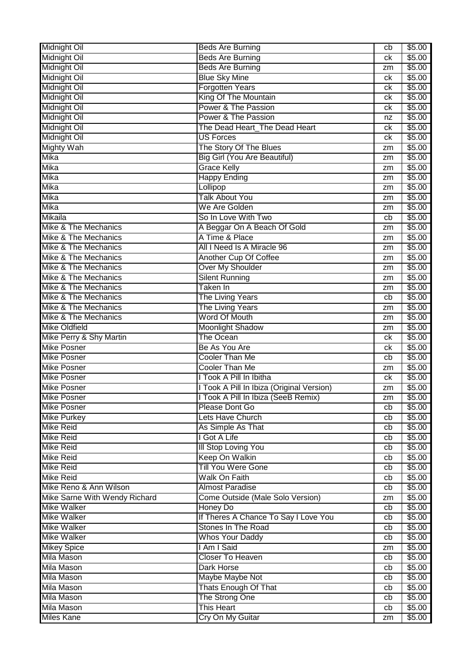| <b>Midnight Oil</b>             | <b>Beds Are Burning</b>                   | cb | \$5.00 |
|---------------------------------|-------------------------------------------|----|--------|
| Midnight Oil                    | <b>Beds Are Burning</b>                   | ck | \$5.00 |
| <b>Midnight Oil</b>             | <b>Beds Are Burning</b>                   | zm | \$5.00 |
| <b>Midnight Oil</b>             | <b>Blue Sky Mine</b>                      | ck | \$5.00 |
| <b>Midnight Oil</b>             | <b>Forgotten Years</b>                    | ck | \$5.00 |
| <b>Midnight Oil</b>             | King Of The Mountain                      | ck | \$5.00 |
| Midnight Oil                    | Power & The Passion                       | ck | \$5.00 |
| <b>Midnight Oil</b>             | Power & The Passion                       | nz | \$5.00 |
| <b>Midnight Oil</b>             | The Dead Heart_The Dead Heart             | ck | \$5.00 |
| <b>Midnight Oil</b>             | <b>US Forces</b>                          | ck | \$5.00 |
| <b>Mighty Wah</b>               | The Story Of The Blues                    | zm | \$5.00 |
| Mika                            | <b>Big Girl (You Are Beautiful)</b>       | zm | \$5.00 |
| <b>Mika</b>                     | <b>Grace Kelly</b>                        | zm | \$5.00 |
| <b>Mika</b>                     | <b>Happy Ending</b>                       | zm | \$5.00 |
| Mika                            | Lollipop                                  | zm | \$5.00 |
| Mika                            | <b>Talk About You</b>                     | zm | \$5.00 |
| Mika                            | We Are Golden                             | zm | \$5.00 |
| <b>Mikaila</b>                  | So In Love With Two                       | cb | \$5.00 |
| Mike & The Mechanics            | A Beggar On A Beach Of Gold               | zm | \$5.00 |
| Mike & The Mechanics            | A Time & Place                            | zm | \$5.00 |
| <b>Mike &amp; The Mechanics</b> | All I Need Is A Miracle 96                | zm | \$5.00 |
| Mike & The Mechanics            | Another Cup Of Coffee                     | zm | \$5.00 |
| Mike & The Mechanics            | <b>Over My Shoulder</b>                   | zm | \$5.00 |
| <b>Mike &amp; The Mechanics</b> | <b>Silent Running</b>                     | zm | \$5.00 |
| Mike & The Mechanics            | Taken In                                  | zm | \$5.00 |
| Mike & The Mechanics            | <b>The Living Years</b>                   | cb | \$5.00 |
| Mike & The Mechanics            | <b>The Living Years</b>                   | zm | \$5.00 |
| Mike & The Mechanics            | Word Of Mouth                             | zm | \$5.00 |
| <b>Mike Oldfield</b>            | <b>Moonlight Shadow</b>                   | zm | \$5.00 |
| Mike Perry & Shy Martin         | <b>The Ocean</b>                          | ck | \$5.00 |
| <b>Mike Posner</b>              | Be As You Are                             | ck | \$5.00 |
| <b>Mike Posner</b>              | <b>Cooler Than Me</b>                     | cb | \$5.00 |
| <b>Mike Posner</b>              | <b>Cooler Than Me</b>                     | zm | \$5.00 |
| <b>Mike Posner</b>              | I Took A Pill In Ibitha                   | ck | \$5.00 |
| <b>Mike Posner</b>              | I Took A Pill In Ibiza (Original Version) | zm | \$5.00 |
| <b>Mike Posner</b>              | I Took A Pill In Ibiza (SeeB Remix)       | zm | \$5.00 |
| <b>Mike Posner</b>              | Please Dont Go                            | cb | \$5.00 |
| <b>Mike Purkey</b>              | Lets Have Church                          | cb | \$5.00 |
| <b>Mike Reid</b>                | As Simple As That                         | cb | \$5.00 |
| <b>Mike Reid</b>                | I Got A Life                              | cb | \$5.00 |
| <b>Mike Reid</b>                | <b>III Stop Loving You</b>                | cb | \$5.00 |
| <b>Mike Reid</b>                | Keep On Walkin                            | cb | \$5.00 |
| <b>Mike Reid</b>                | <b>Till You Were Gone</b>                 | cb | \$5.00 |
| <b>Mike Reid</b>                | <b>Walk On Faith</b>                      | cb | \$5.00 |
| Mike Reno & Ann Wilson          | <b>Almost Paradise</b>                    | cb | \$5.00 |
| Mike Sarne With Wendy Richard   | Come Outside (Male Solo Version)          | zm | \$5.00 |
| <b>Mike Walker</b>              | <b>Honey Do</b>                           | cb | \$5.00 |
| <b>Mike Walker</b>              | If Theres A Chance To Say I Love You      | cb | \$5.00 |
| <b>Mike Walker</b>              | Stones In The Road                        | cb | \$5.00 |
| <b>Mike Walker</b>              | <b>Whos Your Daddy</b>                    | cb | \$5.00 |
| <b>Mikey Spice</b>              | I Am I Said                               | zm | \$5.00 |
| Mila Mason                      | <b>Closer To Heaven</b>                   | cb | \$5.00 |
| Mila Mason                      | Dark Horse                                | cb | \$5.00 |
| Mila Mason                      | Maybe Maybe Not                           | cb | \$5.00 |
| Mila Mason                      | Thats Enough Of That                      | cb | \$5.00 |
| Mila Mason                      | The Strong One                            | cb | \$5.00 |
| Mila Mason                      | <b>This Heart</b>                         | cb | \$5.00 |
| <b>Miles Kane</b>               | Cry On My Guitar                          | zm | \$5.00 |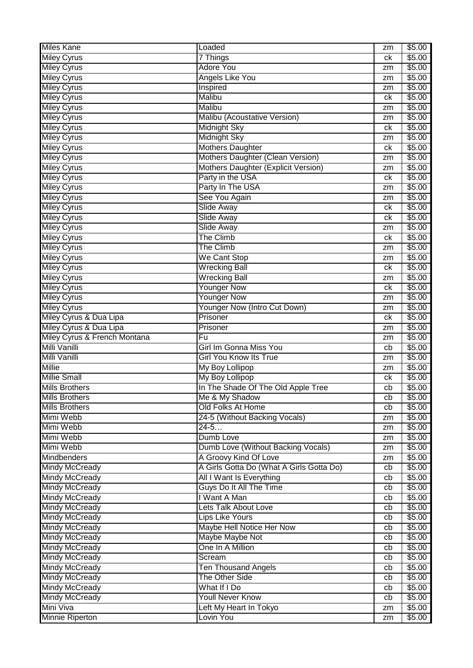| <b>Miles Kane</b>                             | Loaded                                                | zm | \$5.00           |
|-----------------------------------------------|-------------------------------------------------------|----|------------------|
| <b>Miley Cyrus</b>                            | 7 Things                                              | ck | \$5.00           |
| <b>Miley Cyrus</b>                            | <b>Adore You</b>                                      | zm | \$5.00           |
| <b>Miley Cyrus</b>                            | <b>Angels Like You</b>                                | zm | \$5.00           |
| <b>Miley Cyrus</b>                            | Inspired                                              | zm | \$5.00           |
| <b>Miley Cyrus</b>                            | Malibu                                                | ck | \$5.00           |
| <b>Miley Cyrus</b>                            | <b>Malibu</b>                                         | zm | \$5.00           |
| <b>Miley Cyrus</b>                            | Malibu (Acoustative Version)                          | zm | \$5.00           |
| <b>Miley Cyrus</b>                            | Midnight Sky                                          | ck | \$5.00           |
| <b>Miley Cyrus</b>                            | <b>Midnight Sky</b>                                   | zm | \$5.00           |
| <b>Miley Cyrus</b>                            | <b>Mothers Daughter</b>                               | ck | \$5.00           |
| <b>Miley Cyrus</b>                            | Mothers Daughter (Clean Version)                      | zm | \$5.00           |
| <b>Miley Cyrus</b>                            | Mothers Daughter (Explicit Version)                   | zm | \$5.00           |
| <b>Miley Cyrus</b>                            | Party in the USA                                      | ck | \$5.00           |
| <b>Miley Cyrus</b>                            | Party In The USA                                      | zm | \$5.00           |
| <b>Miley Cyrus</b>                            | See You Again                                         | zm | \$5.00           |
| <b>Miley Cyrus</b>                            | <b>Slide Away</b>                                     | ck | \$5.00           |
| <b>Miley Cyrus</b>                            | Slide Away                                            | ck | \$5.00           |
| <b>Miley Cyrus</b>                            | <b>Slide Away</b>                                     | zm | \$5.00           |
| <b>Miley Cyrus</b>                            | <b>The Climb</b>                                      | ck | \$5.00           |
| <b>Miley Cyrus</b>                            | <b>The Climb</b>                                      | zm | \$5.00           |
| <b>Miley Cyrus</b>                            | We Cant Stop                                          | zm | \$5.00           |
| <b>Miley Cyrus</b>                            | <b>Wrecking Ball</b>                                  | ck | \$5.00           |
| <b>Miley Cyrus</b>                            | <b>Wrecking Ball</b>                                  | zm | \$5.00           |
| <b>Miley Cyrus</b>                            | <b>Younger Now</b>                                    | ck | \$5.00           |
| <b>Miley Cyrus</b>                            | <b>Younger Now</b>                                    | zm | \$5.00           |
| <b>Miley Cyrus</b>                            | Younger Now (Intro Cut Down)                          | zm | \$5.00           |
| Miley Cyrus & Dua Lipa                        | Prisoner                                              | ck | \$5.00           |
| Miley Cyrus & Dua Lipa                        | Prisoner                                              | zm | \$5.00           |
|                                               |                                                       |    |                  |
|                                               | $\overline{Fu}$                                       | zm |                  |
| Miley Cyrus & French Montana<br>Milli Vanilli | Girl Im Gonna Miss You                                | cb | \$5.00<br>\$5.00 |
| Milli Vanilli                                 | <b>Girl You Know Its True</b>                         | zm | \$5.00           |
| <b>Millie</b>                                 |                                                       | zm | \$5.00           |
| <b>Millie Small</b>                           | My Boy Lollipop                                       | ck | \$5.00           |
| <b>Mills Brothers</b>                         | My Boy Lollipop<br>In The Shade Of The Old Apple Tree | cb | \$5.00           |
| <b>Mills Brothers</b>                         |                                                       | cb |                  |
| <b>Mills Brothers</b>                         | Me & My Shadow<br>Old Folks At Home                   | cb | \$5.00<br>\$5.00 |
| Mimi Webb                                     |                                                       | zm | \$5.00           |
| Mimi Webb                                     | 24-5 (Without Backing Vocals)<br>$24 - 5$             | zm | \$5.00           |
| Mimi Webb                                     | Dumb Love                                             | zm | \$5.00           |
| Mimi Webb                                     | Dumb Love (Without Backing Vocals)                    | zm | \$5.00           |
| <b>Mindbenders</b>                            | A Groovy Kind Of Love                                 | zm | \$5.00           |
| <b>Mindy McCready</b>                         | A Girls Gotta Do (What A Girls Gotta Do)              | cb | \$5.00           |
| <b>Mindy McCready</b>                         | All I Want Is Everything                              | cb | \$5.00           |
| <b>Mindy McCready</b>                         | Guys Do It All The Time                               | cb | \$5.00           |
| <b>Mindy McCready</b>                         | I Want A Man                                          | cb | \$5.00           |
| <b>Mindy McCready</b>                         | <b>Lets Talk About Love</b>                           | cb | \$5.00           |
| <b>Mindy McCready</b>                         | <b>Lips Like Yours</b>                                | cb | \$5.00           |
| <b>Mindy McCready</b>                         | Maybe Hell Notice Her Now                             | cb | \$5.00           |
| <b>Mindy McCready</b>                         | Maybe Maybe Not                                       | cb | \$5.00           |
| <b>Mindy McCready</b>                         | One In A Million                                      | cb | \$5.00           |
| <b>Mindy McCready</b>                         | Scream                                                | cb | \$5.00           |
| <b>Mindy McCready</b>                         | <b>Ten Thousand Angels</b>                            | cb | \$5.00           |
| <b>Mindy McCready</b>                         | The Other Side                                        | cb | \$5.00           |
| <b>Mindy McCready</b>                         | What If I Do                                          | cb | \$5.00           |
| <b>Mindy McCready</b>                         | <b>Youll Never Know</b>                               | cb | \$5.00           |
| Mini Viva<br><b>Minnie Riperton</b>           | Left My Heart In Tokyo                                | zm | \$5.00           |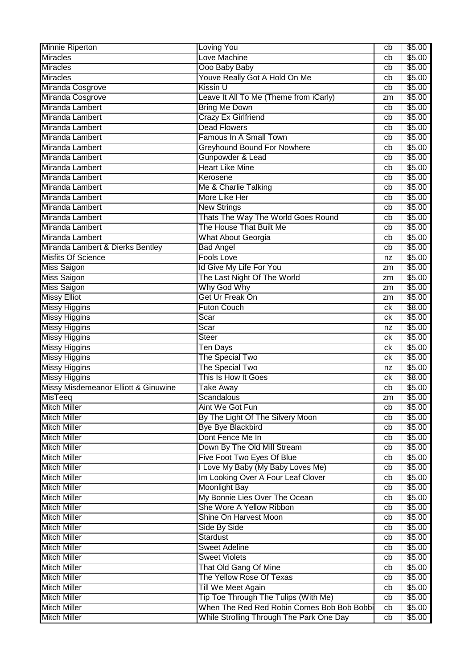| <b>Minnie Riperton</b>               | Loving You                                 | cb | \$5.00 |
|--------------------------------------|--------------------------------------------|----|--------|
| <b>Miracles</b>                      | Love Machine                               | cb | \$5.00 |
| <b>Miracles</b>                      | Ooo Baby Baby                              | cb | \$5.00 |
| <b>Miracles</b>                      | Youve Really Got A Hold On Me              | cb | \$5.00 |
| Miranda Cosgrove                     | <b>Kissin U</b>                            | cb | \$5.00 |
| Miranda Cosgrove                     | Leave It All To Me (Theme from iCarly)     | zm | \$5.00 |
| Miranda Lambert                      | <b>Bring Me Down</b>                       | cb | \$5.00 |
| Miranda Lambert                      | <b>Crazy Ex Girlfriend</b>                 | cb | \$5.00 |
| Miranda Lambert                      | <b>Dead Flowers</b>                        | cb | \$5.00 |
| Miranda Lambert                      | Famous In A Small Town                     | cb | \$5.00 |
| Miranda Lambert                      | Greyhound Bound For Nowhere                | cb | \$5.00 |
| Miranda Lambert                      | Gunpowder & Lead                           | cb | \$5.00 |
| Miranda Lambert                      | <b>Heart Like Mine</b>                     | cb | \$5.00 |
| Miranda Lambert                      | Kerosene                                   | cb | \$5.00 |
| Miranda Lambert                      | Me & Charlie Talking                       | cb | \$5.00 |
| Miranda Lambert                      | More Like Her                              | cb | \$5.00 |
| Miranda Lambert                      | <b>New Strings</b>                         | cb | \$5.00 |
| Miranda Lambert                      | Thats The Way The World Goes Round         | cb | \$5.00 |
| Miranda Lambert                      | The House That Built Me                    | cb | \$5.00 |
| Miranda Lambert                      | <b>What About Georgia</b>                  | cb | \$5.00 |
| Miranda Lambert & Dierks Bentley     | <b>Bad Angel</b>                           | cb | \$5.00 |
| <b>Misfits Of Science</b>            | <b>Fools Love</b>                          | nz | \$5.00 |
| <b>Miss Saigon</b>                   | Id Give My Life For You                    | zm | \$5.00 |
| <b>Miss Saigon</b>                   | The Last Night Of The World                | zm | \$5.00 |
| <b>Miss Saigon</b>                   | Why God Why                                | zm | \$5.00 |
| <b>Missy Elliot</b>                  | Get Ur Freak On                            | zm | \$5.00 |
| <b>Missy Higgins</b>                 | <b>Futon Couch</b>                         | сk | \$8.00 |
| <b>Missy Higgins</b>                 | Scar                                       | ck | \$5.00 |
| <b>Missy Higgins</b>                 | Scar                                       | nz | \$5.00 |
| <b>Missy Higgins</b>                 | Steer                                      | ck | \$5.00 |
| Missy Higgins                        | Ten Days                                   | ck | \$5.00 |
| Missy Higgins                        | The Special Two                            | сk | \$5.00 |
| <b>Missy Higgins</b>                 | The Special Two                            | nz | \$5.00 |
| <b>Missy Higgins</b>                 | This Is How It Goes                        | ck | \$8.00 |
| Missy Misdemeanor Elliott & Ginuwine | <b>Take Away</b>                           | cb | \$5.00 |
| <b>MisTeeq</b>                       | Scandalous                                 | zm | \$5.00 |
| <b>Mitch Miller</b>                  | Aint We Got Fun                            | cb | \$5.00 |
| <b>Mitch Miller</b>                  | By The Light Of The Silvery Moon           | cb | \$5.00 |
| <b>Mitch Miller</b>                  | <b>Bye Bye Blackbird</b>                   | cb | \$5.00 |
| <b>Mitch Miller</b>                  | Dont Fence Me In                           | cb | \$5.00 |
| <b>Mitch Miller</b>                  | Down By The Old Mill Stream                | cb | \$5.00 |
| <b>Mitch Miller</b>                  | Five Foot Two Eyes Of Blue                 | cb | \$5.00 |
| <b>Mitch Miller</b>                  | I Love My Baby (My Baby Loves Me)          | cb | \$5.00 |
| <b>Mitch Miller</b>                  | Im Looking Over A Four Leaf Clover         | cb | \$5.00 |
| <b>Mitch Miller</b>                  | <b>Moonlight Bay</b>                       | cb | \$5.00 |
| <b>Mitch Miller</b>                  | My Bonnie Lies Over The Ocean              | cb | \$5.00 |
| <b>Mitch Miller</b>                  | She Wore A Yellow Ribbon                   | cb | \$5.00 |
| <b>Mitch Miller</b>                  | Shine On Harvest Moon                      | cb | \$5.00 |
| <b>Mitch Miller</b>                  | Side By Side                               | cb | \$5.00 |
| <b>Mitch Miller</b>                  | Stardust                                   | cb | \$5.00 |
| <b>Mitch Miller</b>                  | <b>Sweet Adeline</b>                       | cb | \$5.00 |
| <b>Mitch Miller</b>                  | <b>Sweet Violets</b>                       | cb | \$5.00 |
| <b>Mitch Miller</b>                  | That Old Gang Of Mine                      | cb | \$5.00 |
| <b>Mitch Miller</b>                  | The Yellow Rose Of Texas                   | cb | \$5.00 |
| <b>Mitch Miller</b>                  | Till We Meet Again                         | cb | \$5.00 |
| <b>Mitch Miller</b>                  | Tip Toe Through The Tulips (With Me)       | cb | \$5.00 |
| <b>Mitch Miller</b>                  | When The Red Red Robin Comes Bob Bob Bobbi | cb | \$5.00 |
| <b>Mitch Miller</b>                  | While Strolling Through The Park One Day   | cb | \$5.00 |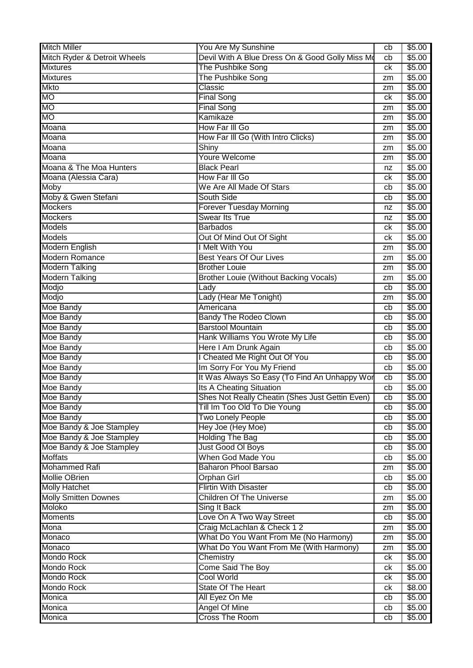| <b>Mitch Miller</b>                                  | You Are My Sunshine                                    | cb                    | \$5.00           |
|------------------------------------------------------|--------------------------------------------------------|-----------------------|------------------|
| Mitch Ryder & Detroit Wheels                         | Devil With A Blue Dress On & Good Golly Miss Mo        | cb                    | \$5.00           |
| <b>Mixtures</b>                                      | The Pushbike Song                                      | сk                    | \$5.00           |
| <b>Mixtures</b>                                      | The Pushbike Song                                      | zm                    | \$5.00           |
| <b>Mkto</b>                                          | Classic                                                | zm                    | \$5.00           |
| <b>MO</b>                                            | <b>Final Song</b>                                      | сk                    | \$5.00           |
| <b>MO</b>                                            | <b>Final Song</b>                                      | zm                    | \$5.00           |
| <b>MO</b>                                            | Kamikaze                                               | zm                    | \$5.00           |
| Moana                                                | How Far III Go                                         | zm                    | \$5.00           |
| Moana                                                | How Far III Go (With Intro Clicks)                     | zm                    | \$5.00           |
| Moana                                                | Shiny                                                  | zm                    | \$5.00           |
| Moana                                                | <b>Youre Welcome</b>                                   | zm                    | \$5.00           |
| Moana & The Moa Hunters                              | <b>Black Pearl</b>                                     | nz                    | \$5.00           |
| Moana (Alessia Cara)                                 | How Far III Go                                         | сk                    | \$5.00           |
| Moby                                                 | We Are All Made Of Stars                               | cb                    | \$5.00           |
| Moby & Gwen Stefani                                  | South Side                                             | cb                    | \$5.00           |
| <b>Mockers</b>                                       | <b>Forever Tuesday Morning</b>                         | nz                    | \$5.00           |
| <b>Mockers</b>                                       | <b>Swear Its True</b>                                  | nz                    | \$5.00           |
| <b>Models</b>                                        | <b>Barbados</b>                                        | сk                    | \$5.00           |
| <b>Models</b>                                        | Out Of Mind Out Of Sight                               | сk                    | \$5.00           |
| Modern English                                       | I Melt With You                                        | zm                    | \$5.00           |
| <b>Modern Romance</b>                                | <b>Best Years Of Our Lives</b>                         | zm                    | \$5.00           |
| <b>Modern Talking</b>                                | <b>Brother Louie</b>                                   | zm                    | \$5.00           |
| <b>Modern Talking</b>                                | Brother Louie (Without Backing Vocals)                 | zm                    | \$5.00           |
| Modjo                                                | Lady                                                   | cb                    | \$5.00           |
| Modjo                                                | Lady (Hear Me Tonight)                                 | zm                    | \$5.00           |
| Moe Bandy                                            | Americana                                              | cb                    | \$5.00           |
| Moe Bandy                                            | <b>Bandy The Rodeo Clown</b>                           | cb                    | \$5.00           |
| Moe Bandy                                            | <b>Barstool Mountain</b>                               | cb                    | \$5.00           |
|                                                      |                                                        |                       |                  |
|                                                      |                                                        | cb                    |                  |
| Moe Bandy                                            | Hank Williams You Wrote My Life                        | cb                    | \$5.00           |
| Moe Bandy                                            | Here I Am Drunk Again                                  | cb                    | \$5.00           |
| Moe Bandy                                            | I Cheated Me Right Out Of You                          |                       | \$5.00           |
| Moe Bandy                                            | Im Sorry For You My Friend                             | cb<br>cb              | \$5.00           |
| Moe Bandy                                            | It Was Always So Easy (To Find An Unhappy Wor          | cb                    | \$5.00           |
| Moe Bandy                                            | <b>Its A Cheating Situation</b>                        |                       | \$5.00           |
| Moe Bandy                                            | Shes Not Really Cheatin (Shes Just Gettin Even)        | $\overline{cb}$<br>cb | \$5.00           |
| Moe Bandy<br>Moe Bandy                               | Till Im Too Old To Die Young                           | cb                    | \$5.00<br>\$5.00 |
|                                                      | <b>Two Lonely People</b>                               | cb                    | \$5.00           |
| Moe Bandy & Joe Stampley                             | Hey Joe (Hey Moe)                                      | cb                    |                  |
| Moe Bandy & Joe Stampley<br>Moe Bandy & Joe Stampley | <b>Holding The Bag</b><br>Just Good OI Boys            | cb                    | \$5.00<br>\$5.00 |
| <b>Moffats</b>                                       | When God Made You                                      | cb                    | \$5.00           |
| <b>Mohammed Rafi</b>                                 | <b>Baharon Phool Barsao</b>                            | zm                    |                  |
| <b>Mollie OBrien</b>                                 |                                                        | cb                    | \$5.00<br>\$5.00 |
|                                                      | <b>Orphan Girl</b><br><b>Flirtin With Disaster</b>     | cb                    |                  |
| <b>Molly Hatchet</b><br><b>Molly Smitten Downes</b>  | <b>Children Of The Universe</b>                        | zm                    | \$5.00<br>\$5.00 |
| Moloko                                               | Sing It Back                                           | zm                    |                  |
|                                                      |                                                        | cb                    | \$5.00           |
| <b>Moments</b><br>Mona                               | Love On A Two Way Street<br>Craig McLachlan & Check 12 | zm                    | \$5.00<br>\$5.00 |
| Monaco                                               | What Do You Want From Me (No Harmony)                  | zm                    | \$5.00           |
| Monaco                                               | What Do You Want From Me (With Harmony)                | zm                    | \$5.00           |
| Mondo Rock                                           | Chemistry                                              | ck                    | \$5.00           |
| Mondo Rock                                           | <b>Come Said The Boy</b>                               | ck                    | \$5.00           |
| <b>Mondo Rock</b>                                    | <b>Cool World</b>                                      | ck                    | \$5.00           |
| Mondo Rock                                           | State Of The Heart                                     | ck                    | \$8.00           |
| Monica                                               | All Eyez On Me                                         | cb                    | \$5.00           |
| Monica                                               | <b>Angel Of Mine</b>                                   | cb                    | \$5.00           |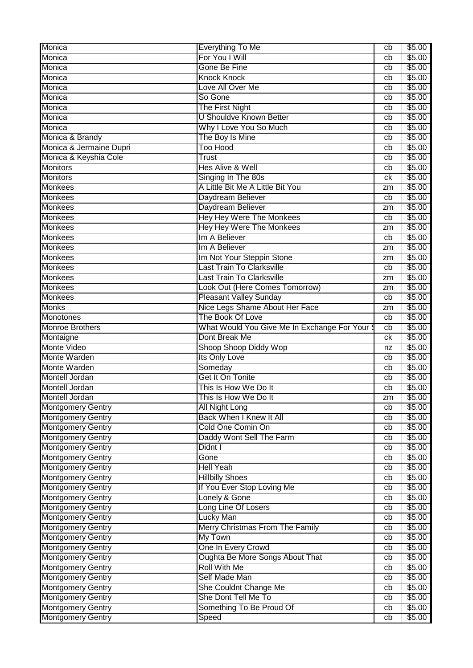| Monica                                               | Everything To Me                               | cb       | \$5.00           |
|------------------------------------------------------|------------------------------------------------|----------|------------------|
| Monica                                               | For You I Will                                 | cb       | \$5.00           |
| Monica                                               | Gone Be Fine                                   | cb       | \$5.00           |
| Monica                                               | <b>Knock Knock</b>                             | cb       | \$5.00           |
| Monica                                               | Love All Over Me                               | cb       | \$5.00           |
| Monica                                               | So Gone                                        | cb       | \$5.00           |
| Monica                                               | The First Night                                | cb       | \$5.00           |
| Monica                                               | <b>U Shouldve Known Better</b>                 | cb       | \$5.00           |
| Monica                                               | Why I Love You So Much                         | cb       | \$5.00           |
| Monica & Brandy                                      | The Boy Is Mine                                | cb       | \$5.00           |
| Monica & Jermaine Dupri                              | <b>Too Hood</b>                                | cb       | \$5.00           |
| Monica & Keyshia Cole                                | Trust                                          | cb       | \$5.00           |
| <b>Monitors</b>                                      | <b>Hes Alive &amp; Well</b>                    | cb       | \$5.00           |
| <b>Monitors</b>                                      | Singing In The 80s                             | сk       | \$5.00           |
| <b>Monkees</b>                                       | A Little Bit Me A Little Bit You               | zm       | \$5.00           |
| <b>Monkees</b>                                       | Daydream Believer                              | cb       | \$5.00           |
| <b>Monkees</b>                                       | Daydream Believer                              | zm       | \$5.00           |
| <b>Monkees</b>                                       | <b>Hey Hey Were The Monkees</b>                | cb       | \$5.00           |
| <b>Monkees</b>                                       | <b>Hey Hey Were The Monkees</b>                | zm       | \$5.00           |
| <b>Monkees</b>                                       | Im A Believer                                  | cb       | \$5.00           |
| <b>Monkees</b>                                       | Im A Believer                                  | zm       | \$5.00           |
| <b>Monkees</b>                                       | Im Not Your Steppin Stone                      | zm       | \$5.00           |
| <b>Monkees</b>                                       | <b>Last Train To Clarksville</b>               | cb       | \$5.00           |
| <b>Monkees</b>                                       | <b>Last Train To Clarksville</b>               | zm       | \$5.00           |
| <b>Monkees</b>                                       | Look Out (Here Comes Tomorrow)                 | zm       | \$5.00           |
| <b>Monkees</b>                                       | <b>Pleasant Valley Sunday</b>                  | cb       | \$5.00           |
| <b>Monks</b>                                         | Nice Legs Shame About Her Face                 | zm       | \$5.00           |
| <b>Monotones</b>                                     | The Book Of Love                               | cb       | \$5.00           |
| <b>Monroe Brothers</b>                               | What Would You Give Me In Exchange For Your \$ | cb       | \$5.00           |
|                                                      |                                                |          |                  |
| Montaigne                                            | Dont Break Me                                  | ck       | \$5.00           |
| <b>Monte Video</b>                                   | Shoop Shoop Diddy Wop                          | nz       | \$5.00           |
| Monte Warden                                         | Its Only Love                                  | cb       | \$5.00           |
| Monte Warden                                         | Someday                                        | cb       | \$5.00           |
| Montell Jordan                                       | Get It On Tonite                               | cb       | \$5.00           |
| <b>Montell Jordan</b>                                | This Is How We Do It                           | cb       | \$5.00           |
|                                                      | This Is How We Do It                           | zm       | \$5.00           |
| <b>Montgomery Gentry</b>                             | <b>All Night Long</b>                          | cb       | \$5.00           |
| Montell Jordan<br><b>Montgomery Gentry</b>           | Back When I Knew It All                        | cb       | \$5.00           |
| <b>Montgomery Gentry</b>                             | Cold One Comin On                              | cb       | \$5.00           |
| <b>Montgomery Gentry</b>                             | Daddy Wont Sell The Farm                       | cb       | \$5.00           |
| <b>Montgomery Gentry</b>                             | Didnt I                                        | cb       | \$5.00           |
| <b>Montgomery Gentry</b>                             | Gone                                           | cb       | \$5.00           |
| <b>Montgomery Gentry</b>                             | <b>Hell Yeah</b>                               | cb       | \$5.00           |
| <b>Montgomery Gentry</b>                             | <b>Hillbilly Shoes</b>                         | cb       | \$5.00           |
| <b>Montgomery Gentry</b>                             | If You Ever Stop Loving Me                     | cb       | \$5.00           |
| <b>Montgomery Gentry</b>                             | Lonely & Gone                                  | cb       | \$5.00           |
| <b>Montgomery Gentry</b>                             | Long Line Of Losers                            | cb       | \$5.00           |
| <b>Montgomery Gentry</b>                             | <b>Lucky Man</b>                               | cb       | \$5.00           |
| <b>Montgomery Gentry</b>                             | Merry Christmas From The Family                | cb       | \$5.00           |
| <b>Montgomery Gentry</b>                             | My Town                                        | cb       | \$5.00           |
| <b>Montgomery Gentry</b>                             | One In Every Crowd                             | cb       | \$5.00           |
| <b>Montgomery Gentry</b>                             | Oughta Be More Songs About That                | cb       | \$5.00           |
| <b>Montgomery Gentry</b>                             | <b>Roll With Me</b>                            | cb       | \$5.00           |
| <b>Montgomery Gentry</b>                             | Self Made Man                                  | cb       | \$5.00           |
| <b>Montgomery Gentry</b>                             | She Couldnt Change Me                          | cb       | \$5.00           |
| <b>Montgomery Gentry</b>                             | She Dont Tell Me To                            | cb       | \$5.00           |
| <b>Montgomery Gentry</b><br><b>Montgomery Gentry</b> | Something To Be Proud Of<br>Speed              | cb<br>cb | \$5.00<br>\$5.00 |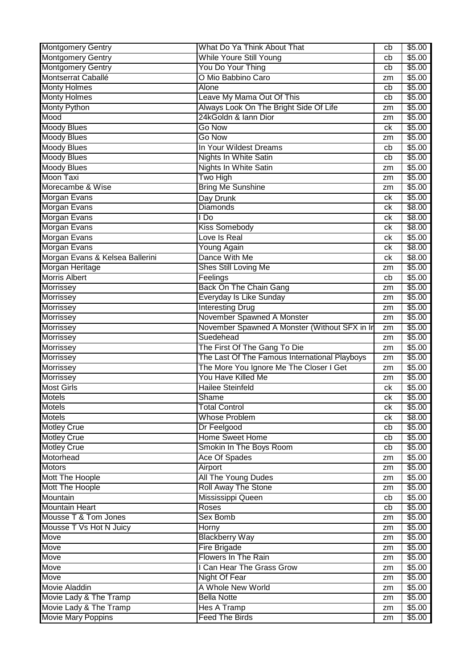| <b>Montgomery Gentry</b>                        | What Do Ya Think About That                                                              | cb       | \$5.00           |
|-------------------------------------------------|------------------------------------------------------------------------------------------|----------|------------------|
| <b>Montgomery Gentry</b>                        | <b>While Youre Still Young</b>                                                           | cb       | \$5.00           |
| <b>Montgomery Gentry</b>                        | You Do Your Thing                                                                        | cb       | \$5.00           |
| Montserrat Caballé                              | O Mio Babbino Caro                                                                       | zm       | \$5.00           |
| <b>Monty Holmes</b>                             | <b>Alone</b>                                                                             | cb       | \$5.00           |
| <b>Monty Holmes</b>                             | Leave My Mama Out Of This                                                                | cb       | \$5.00           |
| Monty Python                                    | Always Look On The Bright Side Of Life                                                   | zm       | \$5.00           |
| Mood                                            | 24kGoldn & Iann Dior                                                                     | zm       | \$5.00           |
| <b>Moody Blues</b>                              | <b>Go Now</b>                                                                            | ck       | \$5.00           |
| <b>Moody Blues</b>                              | Go Now                                                                                   | zm       | \$5.00           |
| <b>Moody Blues</b>                              | In Your Wildest Dreams                                                                   | cb       | \$5.00           |
| <b>Moody Blues</b>                              | <b>Nights In White Satin</b>                                                             | cb       | \$5.00           |
| <b>Moody Blues</b>                              | <b>Nights In White Satin</b>                                                             | zm       | \$5.00           |
| Moon Taxi                                       | Two High                                                                                 | zm       | \$5.00           |
| Morecambe & Wise                                | <b>Bring Me Sunshine</b>                                                                 | zm       | \$5.00           |
| Morgan Evans                                    | Day Drunk                                                                                | сk       | \$5.00           |
| Morgan Evans                                    | Diamonds                                                                                 | сk       | \$8.00           |
| <b>Morgan Evans</b>                             | I Do                                                                                     | сk       | \$8.00           |
| <b>Morgan Evans</b>                             | Kiss Somebody                                                                            | сk       | \$8.00           |
| <b>Morgan Evans</b>                             | Love Is Real                                                                             | сk       | \$5.00           |
| Morgan Evans                                    | Young Again                                                                              | сk       | \$8.00           |
| Morgan Evans & Kelsea Ballerini                 | Dance With Me                                                                            | сk       | \$8.00           |
| Morgan Heritage                                 | Shes Still Loving Me                                                                     | zm       | \$5.00           |
| <b>Morris Albert</b>                            | Feelings                                                                                 | cb       | \$5.00           |
| <b>Morrissey</b>                                | Back On The Chain Gang                                                                   | zm       | \$5.00           |
| <b>Morrissey</b>                                | Everyday Is Like Sunday                                                                  | zm       | \$5.00           |
| <b>Morrissey</b>                                | <b>Interesting Drug</b>                                                                  | zm       | \$5.00           |
| <b>Morrissey</b>                                | November Spawned A Monster                                                               | zm       | \$5.00           |
| Morrissey                                       | November Spawned A Monster (Without SFX in In                                            | zm       | \$5.00           |
|                                                 |                                                                                          |          |                  |
|                                                 | Suedehead                                                                                | zm       |                  |
| <b>Morrissey</b>                                |                                                                                          | zm       | \$5.00           |
| <b>Morrissey</b>                                | The First Of The Gang To Die                                                             | zm       | \$5.00<br>\$5.00 |
| Morrissey                                       | The Last Of The Famous International Playboys<br>The More You Ignore Me The Closer I Get | zm       |                  |
| Morrissey                                       | You Have Killed Me                                                                       | zm       | \$5.00<br>\$5.00 |
| Morrissey<br><b>Most Girls</b>                  | <b>Hailee Steinfeld</b>                                                                  | сk       | \$5.00           |
| <b>Motels</b>                                   | Shame                                                                                    |          |                  |
|                                                 |                                                                                          | сk<br>ck | \$5.00           |
| <b>Motels</b><br><b>Motels</b>                  | <b>Total Control</b><br><b>Whose Problem</b>                                             | ck       | \$5.00<br>\$8.00 |
|                                                 |                                                                                          | cb       | \$5.00           |
| <b>Motley Crue</b>                              | Dr Feelgood<br><b>Home Sweet Home</b>                                                    | cb       | \$5.00           |
| <b>Motley Crue</b><br><b>Motley Crue</b>        | Smokin In The Boys Room                                                                  | cb       | \$5.00           |
| Motorhead                                       |                                                                                          | zm       |                  |
| <b>Motors</b>                                   | <b>Ace Of Spades</b>                                                                     | zm       | \$5.00<br>\$5.00 |
|                                                 | Airport                                                                                  | zm       | \$5.00           |
| Mott The Hoople<br>Mott The Hoople              | <b>All The Young Dudes</b><br><b>Roll Away The Stone</b>                                 | zm       | \$5.00           |
| Mountain                                        |                                                                                          | cb       |                  |
| <b>Mountain Heart</b>                           | Mississippi Queen<br>Roses                                                               | cb       | \$5.00           |
|                                                 | <b>Sex Bomb</b>                                                                          | zm       | \$5.00           |
| Mousse T & Tom Jones<br>Mousse T Vs Hot N Juicy | <b>Horny</b>                                                                             | zm       | \$5.00<br>\$5.00 |
| Move                                            | <b>Blackberry Way</b>                                                                    | zm       | \$5.00           |
| Move                                            | <b>Fire Brigade</b>                                                                      | zm       | \$5.00           |
| Move                                            | <b>Flowers In The Rain</b>                                                               | zm       | \$5.00           |
| Move                                            | I Can Hear The Grass Grow                                                                | zm       | \$5.00           |
| Move                                            | <b>Night Of Fear</b>                                                                     | zm       | \$5.00           |
| <b>Movie Aladdin</b>                            | A Whole New World                                                                        | zm       | \$5.00           |
| Movie Lady & The Tramp                          | <b>Bella Notte</b>                                                                       | zm       | \$5.00           |
| Movie Lady & The Tramp                          | <b>Hes A Tramp</b>                                                                       | zm       | \$5.00           |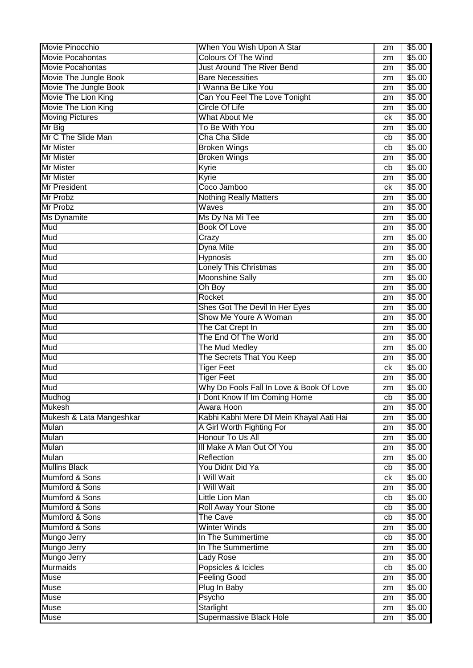| Movie Pinocchio          | When You Wish Upon A Star                 | zm | \$5.00 |
|--------------------------|-------------------------------------------|----|--------|
| <b>Movie Pocahontas</b>  | <b>Colours Of The Wind</b>                | zm | \$5.00 |
| <b>Movie Pocahontas</b>  | <b>Just Around The River Bend</b>         | zm | \$5.00 |
| Movie The Jungle Book    | <b>Bare Necessities</b>                   | zm | \$5.00 |
| Movie The Jungle Book    | I Wanna Be Like You                       | zm | \$5.00 |
| Movie The Lion King      | Can You Feel The Love Tonight             | zm | \$5.00 |
| Movie The Lion King      | <b>Circle Of Life</b>                     | zm | \$5.00 |
| <b>Moving Pictures</b>   | <b>What About Me</b>                      | ck | \$5.00 |
| Mr Big                   | To Be With You                            | zm | \$5.00 |
| Mr C The Slide Man       | Cha Cha Slide                             | cb | \$5.00 |
| <b>Mr Mister</b>         | <b>Broken Wings</b>                       | cb | \$5.00 |
| <b>Mr Mister</b>         | <b>Broken Wings</b>                       | zm | \$5.00 |
| <b>Mr Mister</b>         | Kyrie                                     | cb | \$5.00 |
| <b>Mr Mister</b>         | Kyrie                                     | zm | \$5.00 |
| <b>Mr President</b>      | Coco Jamboo                               | сk | \$5.00 |
| <b>Mr Probz</b>          | <b>Nothing Really Matters</b>             | zm | \$5.00 |
| <b>Mr Probz</b>          | Waves                                     | zm | \$5.00 |
| <b>Ms Dynamite</b>       | Ms Dy Na Mi Tee                           | zm | \$5.00 |
| Mud                      | <b>Book Of Love</b>                       | zm | \$5.00 |
| Mud                      | Crazy                                     | zm | \$5.00 |
| Mud                      | Dyna Mite                                 | zm | \$5.00 |
| Mud                      | <b>Hypnosis</b>                           | zm | \$5.00 |
| Mud                      | <b>Lonely This Christmas</b>              | zm | \$5.00 |
| Mud                      | <b>Moonshine Sally</b>                    | zm | \$5.00 |
| Mud                      | Oh Boy                                    | zm | \$5.00 |
| Mud                      | Rocket                                    | zm | \$5.00 |
| Mud                      | Shes Got The Devil In Her Eyes            | zm | \$5.00 |
| Mud                      | Show Me Youre A Woman                     | zm | \$5.00 |
| Mud                      | The Cat Crept In                          | zm | \$5.00 |
| Mud                      | The End Of The World                      | zm | \$5.00 |
| Mud                      | The Mud Medley                            | zm | \$5.00 |
| Mud                      | The Secrets That You Keep                 | zm | \$5.00 |
| Mud                      | <b>Tiger Feet</b>                         | сk | \$5.00 |
| Mud                      | <b>Tiger Feet</b>                         | zm | \$5.00 |
| Mud                      | Why Do Fools Fall In Love & Book Of Love  | zm | \$5.00 |
| Mudhog                   | I Dont Know If Im Coming Home             | cb | \$5.00 |
| <b>Mukesh</b>            | Awara Hoon                                | zm | \$5.00 |
| Mukesh & Lata Mangeshkar | Kabhi Kabhi Mere Dil Mein Khayal Aati Hai | zm | \$5.00 |
| <b>Mulan</b>             | A Girl Worth Fighting For                 | zm | \$5.00 |
| <b>Mulan</b>             | Honour To Us All                          | zm | \$5.00 |
| <b>Mulan</b>             | III Make A Man Out Of You                 | zm | \$5.00 |
| <b>Mulan</b>             | Reflection                                | zm | \$5.00 |
| <b>Mullins Black</b>     | You Didnt Did Ya                          | cb | \$5.00 |
| Mumford & Sons           | I Will Wait                               | ck | \$5.00 |
| Mumford & Sons           | I Will Wait                               | zm | \$5.00 |
| Mumford & Sons           | Little Lion Man                           | cb | \$5.00 |
| Mumford & Sons           | <b>Roll Away Your Stone</b>               | cb | \$5.00 |
| Mumford & Sons           | <b>The Cave</b>                           | cb | \$5.00 |
| Mumford & Sons           | <b>Winter Winds</b>                       | zm | \$5.00 |
| Mungo Jerry              | In The Summertime                         | cb | \$5.00 |
| Mungo Jerry              | In The Summertime                         | zm | \$5.00 |
| Mungo Jerry              | Lady Rose                                 | zm | \$5.00 |
| <b>Murmaids</b>          | Popsicles & Icicles                       | cb | \$5.00 |
| <b>Muse</b>              | <b>Feeling Good</b>                       | zm | \$5.00 |
| Muse                     | Plug In Baby                              | zm | \$5.00 |
| <b>Muse</b>              | Psycho                                    | zm | \$5.00 |
| Muse                     | Starlight                                 | zm | \$5.00 |
| <b>Muse</b>              | <b>Supermassive Black Hole</b>            | zm | \$5.00 |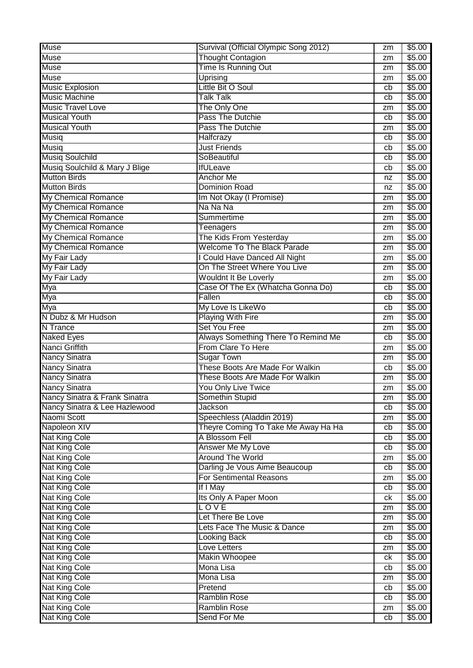| Muse                           | Survival (Official Olympic Song 2012)                 | zm | \$5.00 |
|--------------------------------|-------------------------------------------------------|----|--------|
| <b>Muse</b>                    | <b>Thought Contagion</b>                              | zm | \$5.00 |
| <b>Muse</b>                    | Time Is Running Out                                   | zm | \$5.00 |
| <b>Muse</b>                    | Uprising                                              | zm | \$5.00 |
| <b>Music Explosion</b>         | Little Bit O Soul                                     | cb | \$5.00 |
| <b>Music Machine</b>           | <b>Talk Talk</b>                                      | cb | \$5.00 |
| <b>Music Travel Love</b>       | The Only One                                          | zm | \$5.00 |
| <b>Musical Youth</b>           | Pass The Dutchie                                      | cb | \$5.00 |
| <b>Musical Youth</b>           | Pass The Dutchie                                      | zm | \$5.00 |
| Musiq                          | Halfcrazy                                             | cb | \$5.00 |
| <b>Musiq</b>                   | <b>Just Friends</b>                                   | cb | \$5.00 |
| Musiq Soulchild                | SoBeautiful                                           | cb | \$5.00 |
| Musiq Soulchild & Mary J Blige | <b>IfULeave</b>                                       | cb | \$5.00 |
| <b>Mutton Birds</b>            | <b>Anchor Me</b>                                      |    | \$5.00 |
| <b>Mutton Birds</b>            | <b>Dominion Road</b>                                  | nz | \$5.00 |
|                                |                                                       | nz | \$5.00 |
| My Chemical Romance            | Im Not Okay (I Promise)                               | zm |        |
| My Chemical Romance            | Na Na Na                                              | zm | \$5.00 |
| <b>My Chemical Romance</b>     | Summertime                                            | zm | \$5.00 |
| My Chemical Romance            | <b>Teenagers</b>                                      | zm | \$5.00 |
| My Chemical Romance            | The Kids From Yesterday                               | zm | \$5.00 |
| My Chemical Romance            | <b>Welcome To The Black Parade</b>                    | zm | \$5.00 |
| My Fair Lady                   | I Could Have Danced All Night                         | zm | \$5.00 |
| <b>My Fair Lady</b>            | On The Street Where You Live                          | zm | \$5.00 |
| My Fair Lady                   | <b>Wouldnt It Be Loverly</b>                          | zm | \$5.00 |
| Mya                            | Case Of The Ex (Whatcha Gonna Do)                     | cb | \$5.00 |
| Mya                            | Fallen                                                | cb | \$5.00 |
| Mya                            | My Love Is LikeWo                                     | cb | \$5.00 |
| N Dubz & Mr Hudson             | <b>Playing With Fire</b>                              | zm | \$5.00 |
| N Trance                       | <b>Set You Free</b>                                   | zm | \$5.00 |
| <b>Naked Eyes</b>              | Always Something There To Remind Me                   | cb | \$5.00 |
| Nanci Griffith                 | From Clare To Here                                    | zm | \$5.00 |
| <b>Nancy Sinatra</b>           | <b>Sugar Town</b>                                     | zm | \$5.00 |
| <b>Nancy Sinatra</b>           | These Boots Are Made For Walkin                       | cb | \$5.00 |
| <b>Nancy Sinatra</b>           | <b>These Boots Are Made For Walkin</b>                | zm | \$5.00 |
| <b>Nancy Sinatra</b>           | <b>You Only Live Twice</b>                            | zm | \$5.00 |
| Nancy Sinatra & Frank Sinatra  | Somethin Stupid                                       | zm | \$5.00 |
| Nancy Sinatra & Lee Hazlewood  | Jackson                                               | cb | \$5.00 |
| Naomi Scott                    | Speechless (Aladdin 2019)                             |    | \$5.00 |
| Napoleon XIV                   |                                                       | zm |        |
|                                | Theyre Coming To Take Me Away Ha Ha<br>A Blossom Fell | cb | \$5.00 |
| <b>Nat King Cole</b>           |                                                       | cb | \$5.00 |
| <b>Nat King Cole</b>           | Answer Me My Love                                     | cb | \$5.00 |
| <b>Nat King Cole</b>           | <b>Around The World</b>                               | zm | \$5.00 |
| Nat King Cole                  | Darling Je Vous Aime Beaucoup                         | cb | \$5.00 |
| <b>Nat King Cole</b>           | <b>For Sentimental Reasons</b>                        | zm | \$5.00 |
| <b>Nat King Cole</b>           | If I May                                              | cb | \$5.00 |
| <b>Nat King Cole</b>           | Its Only A Paper Moon                                 | ck | \$5.00 |
| <b>Nat King Cole</b>           | LOVE                                                  | zm | \$5.00 |
| Nat King Cole                  | Let There Be Love                                     | zm | \$5.00 |
| Nat King Cole                  | Lets Face The Music & Dance                           | zm | \$5.00 |
| Nat King Cole                  | <b>Looking Back</b>                                   | cb | \$5.00 |
| <b>Nat King Cole</b>           | Love Letters                                          | zm | \$5.00 |
| <b>Nat King Cole</b>           | Makin Whoopee                                         | ck | \$5.00 |
| Nat King Cole                  | Mona Lisa                                             | cb | \$5.00 |
| Nat King Cole                  | Mona Lisa                                             | zm | \$5.00 |
| <b>Nat King Cole</b>           | Pretend                                               | cb | \$5.00 |
| <b>Nat King Cole</b>           | <b>Ramblin Rose</b>                                   | cb | \$5.00 |
| <b>Nat King Cole</b>           | Ramblin Rose                                          | zm | \$5.00 |
| Nat King Cole                  | Send For Me                                           | cb | \$5.00 |
|                                |                                                       |    |        |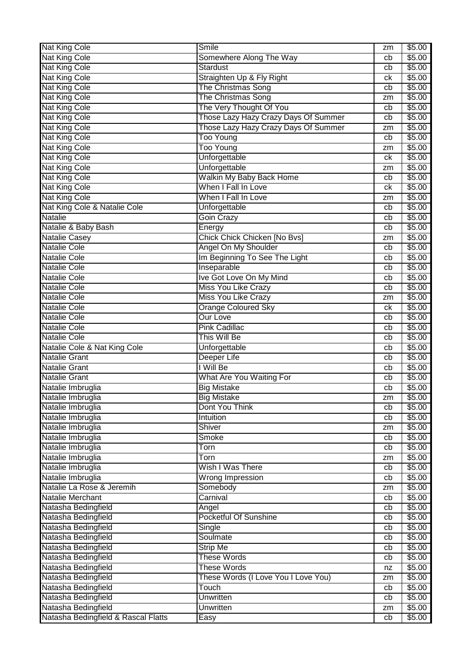| <b>Nat King Cole</b>                | Smile                                | zm | \$5.00 |
|-------------------------------------|--------------------------------------|----|--------|
| Nat King Cole                       | Somewhere Along The Way              | cb | \$5.00 |
| <b>Nat King Cole</b>                | <b>Stardust</b>                      | cb | \$5.00 |
| <b>Nat King Cole</b>                | Straighten Up & Fly Right            | сk | \$5.00 |
| <b>Nat King Cole</b>                | <b>The Christmas Song</b>            | cb | \$5.00 |
| <b>Nat King Cole</b>                | The Christmas Song                   | zm | \$5.00 |
| Nat King Cole                       | The Very Thought Of You              | cb | \$5.00 |
| <b>Nat King Cole</b>                | Those Lazy Hazy Crazy Days Of Summer | cb | \$5.00 |
| <b>Nat King Cole</b>                | Those Lazy Hazy Crazy Days Of Summer | zm | \$5.00 |
| <b>Nat King Cole</b>                | <b>Too Young</b>                     | cb | \$5.00 |
| <b>Nat King Cole</b>                | <b>Too Young</b>                     | zm | \$5.00 |
| <b>Nat King Cole</b>                | Unforgettable                        | сk | \$5.00 |
| <b>Nat King Cole</b>                | Unforgettable                        | zm | \$5.00 |
| <b>Nat King Cole</b>                | <b>Walkin My Baby Back Home</b>      | cb | \$5.00 |
| <b>Nat King Cole</b>                | When I Fall In Love                  | сk | \$5.00 |
| <b>Nat King Cole</b>                | When I Fall In Love                  | zm | \$5.00 |
| Nat King Cole & Natalie Cole        | Unforgettable                        | cb | \$5.00 |
| <b>Natalie</b>                      | <b>Goin Crazy</b>                    | cb | \$5.00 |
| Natalie & Baby Bash                 | Energy                               | cb | \$5.00 |
| <b>Natalie Casey</b>                | Chick Chick Chicken [No Bvs]         | zm | \$5.00 |
| <b>Natalie Cole</b>                 | Angel On My Shoulder                 | cb | \$5.00 |
| <b>Natalie Cole</b>                 | Im Beginning To See The Light        | cb | \$5.00 |
| <b>Natalie Cole</b>                 | Inseparable                          | cb | \$5.00 |
| <b>Natalie Cole</b>                 | Ive Got Love On My Mind              | cb | \$5.00 |
| <b>Natalie Cole</b>                 | Miss You Like Crazy                  | cb | \$5.00 |
| <b>Natalie Cole</b>                 | <b>Miss You Like Crazy</b>           | zm | \$5.00 |
| Natalie Cole                        | <b>Orange Coloured Sky</b>           | сk | \$5.00 |
| <b>Natalie Cole</b>                 | <b>Our Love</b>                      | cb | \$5.00 |
| <b>Natalie Cole</b>                 | <b>Pink Cadillac</b>                 | cb | \$5.00 |
| <b>Natalie Cole</b>                 | This Will Be                         | cb | \$5.00 |
| Natalie Cole & Nat King Cole        | Unforgettable                        | cb | \$5.00 |
| <b>Natalie Grant</b>                | Deeper Life                          | cb | \$5.00 |
| <b>Natalie Grant</b>                | I Will Be                            | cb | \$5.00 |
| <b>Natalie Grant</b>                | What Are You Waiting For             | cb | \$5.00 |
| Natalie Imbruglia                   | <b>Big Mistake</b>                   | cb | \$5.00 |
| Natalie Imbruglia                   | <b>Big Mistake</b>                   | zm | \$5.00 |
| Natalie Imbruglia                   | Dont You Think                       | cb | \$5.00 |
| Natalie Imbruglia                   | Intuition                            | cb | \$5.00 |
| Natalie Imbruglia                   | Shiver                               | zm | \$5.00 |
| Natalie Imbruglia                   | Smoke                                | cb | \$5.00 |
| Natalie Imbruglia                   | Torn                                 | cb | \$5.00 |
| Natalie Imbruglia                   | Torn                                 | zm | \$5.00 |
| Natalie Imbruglia                   | Wish I Was There                     | cb | \$5.00 |
| Natalie Imbruglia                   | <b>Wrong Impression</b>              | cb | \$5.00 |
| Natalie La Rose & Jeremih           | Somebody                             | zm | \$5.00 |
| Natalie Merchant                    | Carnival                             | cb | \$5.00 |
| Natasha Bedingfield                 | Angel                                | cb | \$5.00 |
| Natasha Bedingfield                 | Pocketful Of Sunshine                | cb | \$5.00 |
| Natasha Bedingfield                 | Single                               | cb | \$5.00 |
| Natasha Bedingfield                 | Soulmate                             | cb | \$5.00 |
| Natasha Bedingfield                 | <b>Strip Me</b>                      | cb | \$5.00 |
| Natasha Bedingfield                 | <b>These Words</b>                   | cb | \$5.00 |
| Natasha Bedingfield                 | <b>These Words</b>                   | nz | \$5.00 |
| Natasha Bedingfield                 | These Words (I Love You I Love You)  | zm | \$5.00 |
| Natasha Bedingfield                 | Touch                                | cb | \$5.00 |
| Natasha Bedingfield                 | <b>Unwritten</b>                     | cb | \$5.00 |
| Natasha Bedingfield                 | Unwritten                            | zm | \$5.00 |
| Natasha Bedingfield & Rascal Flatts | Easy                                 | cb | \$5.00 |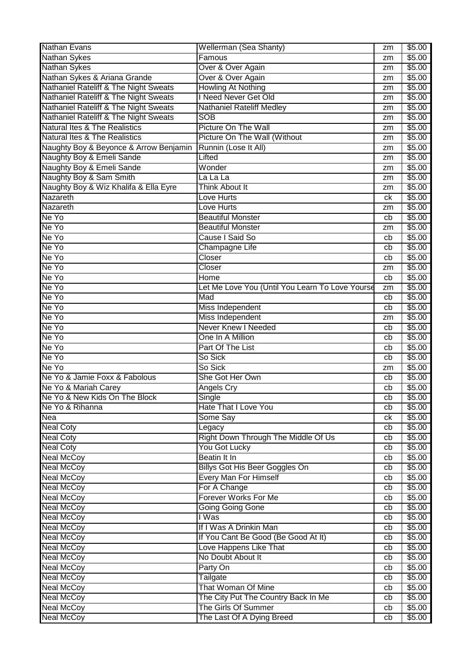| <b>Nathan Sykes</b><br>Famous<br>\$5.00<br>zm<br>Over & Over Again<br>\$5.00<br>zm<br>Over & Over Again<br>\$5.00<br>zm<br>Howling At Nothing<br>\$5.00<br>zm<br>I Need Never Get Old<br>\$5.00<br>zm<br>Nathaniel Rateliff & The Night Sweats<br><b>Nathaniel Rateliff Medley</b><br>\$5.00<br>zm<br>Nathaniel Rateliff & The Night Sweats<br><b>SOB</b><br>\$5.00<br>zm<br>Natural Ites & The Realistics<br>Picture On The Wall<br>\$5.00<br>zm<br>Picture On The Wall (Without<br><b>Natural Ites &amp; The Realistics</b><br>\$5.00<br>zm<br>Runnin (Lose It All)<br>\$5.00<br>Naughty Boy & Beyonce & Arrow Benjamin<br>zm<br>Naughty Boy & Emeli Sande<br>Lifted<br>\$5.00<br>zm<br>Naughty Boy & Emeli Sande<br>Wonder<br>\$5.00<br>zm<br>Naughty Boy & Sam Smith<br>La La La<br>\$5.00<br>zm<br>Naughty Boy & Wiz Khalifa & Ella Eyre<br>Think About It<br>\$5.00<br>zm<br>Nazareth<br>\$5.00<br>Love Hurts<br>ck<br>Nazareth<br>\$5.00<br>Love Hurts<br>zm<br>Ne Yo<br><b>Beautiful Monster</b><br>\$5.00<br>cb<br>Ne Yo<br><b>Beautiful Monster</b><br>\$5.00<br>zm<br>Ne Yo<br>Cause I Said So<br>\$5.00<br>cb<br>Ne Yo<br>Champagne Life<br>\$5.00<br>cb<br>Ne Yo<br>Closer<br>\$5.00<br>cb<br>Ne Yo<br>Closer<br>\$5.00<br>zm<br>Ne Yo<br>Home<br>\$5.00<br>cb<br>Ne Yo<br>Let Me Love You (Until You Learn To Love Yourse<br>\$5.00<br>zm<br>Ne Yo<br>Mad<br>\$5.00<br>cb<br>Ne Yo<br>Miss Independent<br>\$5.00<br>cb<br>Miss Independent<br>Ne Yo<br>\$5.00<br>zm<br>Ne Yo<br><b>Never Knew I Needed</b><br>\$5.00<br>cb<br>Ne Yo<br>One In A Million<br>\$5.00<br>cb<br>Ne Yo<br>Part Of The List<br>\$5.00<br>cb<br>Ne Yo<br>\$5.00<br>So Sick<br>cb<br>Ne Yo<br>So Sick<br>\$5.00<br>zm<br>Ne Yo & Jamie Foxx & Fabolous<br>She Got Her Own<br>\$5.00<br>cb<br>Ne Yo & Mariah Carey<br>\$5.00<br>Angels Cry<br>cb<br>Ne Yo & New Kids On The Block<br>\$5.00<br>Single<br>cb<br>Hate That I Love You<br>Ne Yo & Rihanna<br>\$5.00<br>cb<br>Nea<br>Some Say<br>\$5.00<br>ck<br>\$5.00<br><b>Neal Coty</b><br>Legacy<br>cb<br>Right Down Through The Middle Of Us<br>\$5.00<br><b>Neal Coty</b><br>cb<br>You Got Lucky<br>\$5.00<br><b>Neal Coty</b><br>cb<br>Beatin It In<br><b>Neal McCoy</b><br>\$5.00<br>cb<br><b>Billys Got His Beer Goggles On</b><br><b>Neal McCoy</b><br>\$5.00<br>cb<br><b>Every Man For Himself</b><br><b>Neal McCoy</b><br>\$5.00<br>cb<br>For A Change<br><b>Neal McCoy</b><br>\$5.00<br>cb<br><b>Forever Works For Me</b><br>\$5.00<br><b>Neal McCoy</b><br>cb<br><b>Going Going Gone</b><br><b>Neal McCoy</b><br>\$5.00<br>cb<br><b>Neal McCoy</b><br>I Was<br>\$5.00<br>cb<br>If I Was A Drinkin Man<br><b>Neal McCoy</b><br>\$5.00<br>cb<br>If You Cant Be Good (Be Good At It)<br>\$5.00<br><b>Neal McCoy</b><br>cb<br>Love Happens Like That<br><b>Neal McCoy</b><br>\$5.00<br>cb<br>No Doubt About It<br>\$5.00<br><b>Neal McCoy</b><br>cb<br><b>Neal McCoy</b><br>Party On<br>\$5.00<br>cb<br><b>Neal McCoy</b><br>Tailgate<br>\$5.00<br>cb<br>That Woman Of Mine<br><b>Neal McCoy</b><br>\$5.00<br>cb<br>The City Put The Country Back In Me<br><b>Neal McCoy</b><br>\$5.00<br>cb<br>The Girls Of Summer<br><b>Neal McCoy</b><br>\$5.00<br>cb | <b>Nathan Evans</b>                   | Wellerman (Sea Shanty)    | zm | \$5.00 |
|-----------------------------------------------------------------------------------------------------------------------------------------------------------------------------------------------------------------------------------------------------------------------------------------------------------------------------------------------------------------------------------------------------------------------------------------------------------------------------------------------------------------------------------------------------------------------------------------------------------------------------------------------------------------------------------------------------------------------------------------------------------------------------------------------------------------------------------------------------------------------------------------------------------------------------------------------------------------------------------------------------------------------------------------------------------------------------------------------------------------------------------------------------------------------------------------------------------------------------------------------------------------------------------------------------------------------------------------------------------------------------------------------------------------------------------------------------------------------------------------------------------------------------------------------------------------------------------------------------------------------------------------------------------------------------------------------------------------------------------------------------------------------------------------------------------------------------------------------------------------------------------------------------------------------------------------------------------------------------------------------------------------------------------------------------------------------------------------------------------------------------------------------------------------------------------------------------------------------------------------------------------------------------------------------------------------------------------------------------------------------------------------------------------------------------------------------------------------------------------------------------------------------------------------------------------------------------------------------------------------------------------------------------------------------------------------------------------------------------------------------------------------------------------------------------------------------------------------------------------------------------------------------------------------------------------------------------------------------------------------------------------------------------------------------------------------------------------------------------------------------------------------------------------------------------------------------------|---------------------------------------|---------------------------|----|--------|
|                                                                                                                                                                                                                                                                                                                                                                                                                                                                                                                                                                                                                                                                                                                                                                                                                                                                                                                                                                                                                                                                                                                                                                                                                                                                                                                                                                                                                                                                                                                                                                                                                                                                                                                                                                                                                                                                                                                                                                                                                                                                                                                                                                                                                                                                                                                                                                                                                                                                                                                                                                                                                                                                                                                                                                                                                                                                                                                                                                                                                                                                                                                                                                                                     |                                       |                           |    |        |
|                                                                                                                                                                                                                                                                                                                                                                                                                                                                                                                                                                                                                                                                                                                                                                                                                                                                                                                                                                                                                                                                                                                                                                                                                                                                                                                                                                                                                                                                                                                                                                                                                                                                                                                                                                                                                                                                                                                                                                                                                                                                                                                                                                                                                                                                                                                                                                                                                                                                                                                                                                                                                                                                                                                                                                                                                                                                                                                                                                                                                                                                                                                                                                                                     | <b>Nathan Sykes</b>                   |                           |    |        |
|                                                                                                                                                                                                                                                                                                                                                                                                                                                                                                                                                                                                                                                                                                                                                                                                                                                                                                                                                                                                                                                                                                                                                                                                                                                                                                                                                                                                                                                                                                                                                                                                                                                                                                                                                                                                                                                                                                                                                                                                                                                                                                                                                                                                                                                                                                                                                                                                                                                                                                                                                                                                                                                                                                                                                                                                                                                                                                                                                                                                                                                                                                                                                                                                     | Nathan Sykes & Ariana Grande          |                           |    |        |
|                                                                                                                                                                                                                                                                                                                                                                                                                                                                                                                                                                                                                                                                                                                                                                                                                                                                                                                                                                                                                                                                                                                                                                                                                                                                                                                                                                                                                                                                                                                                                                                                                                                                                                                                                                                                                                                                                                                                                                                                                                                                                                                                                                                                                                                                                                                                                                                                                                                                                                                                                                                                                                                                                                                                                                                                                                                                                                                                                                                                                                                                                                                                                                                                     | Nathaniel Rateliff & The Night Sweats |                           |    |        |
|                                                                                                                                                                                                                                                                                                                                                                                                                                                                                                                                                                                                                                                                                                                                                                                                                                                                                                                                                                                                                                                                                                                                                                                                                                                                                                                                                                                                                                                                                                                                                                                                                                                                                                                                                                                                                                                                                                                                                                                                                                                                                                                                                                                                                                                                                                                                                                                                                                                                                                                                                                                                                                                                                                                                                                                                                                                                                                                                                                                                                                                                                                                                                                                                     | Nathaniel Rateliff & The Night Sweats |                           |    |        |
|                                                                                                                                                                                                                                                                                                                                                                                                                                                                                                                                                                                                                                                                                                                                                                                                                                                                                                                                                                                                                                                                                                                                                                                                                                                                                                                                                                                                                                                                                                                                                                                                                                                                                                                                                                                                                                                                                                                                                                                                                                                                                                                                                                                                                                                                                                                                                                                                                                                                                                                                                                                                                                                                                                                                                                                                                                                                                                                                                                                                                                                                                                                                                                                                     |                                       |                           |    |        |
|                                                                                                                                                                                                                                                                                                                                                                                                                                                                                                                                                                                                                                                                                                                                                                                                                                                                                                                                                                                                                                                                                                                                                                                                                                                                                                                                                                                                                                                                                                                                                                                                                                                                                                                                                                                                                                                                                                                                                                                                                                                                                                                                                                                                                                                                                                                                                                                                                                                                                                                                                                                                                                                                                                                                                                                                                                                                                                                                                                                                                                                                                                                                                                                                     |                                       |                           |    |        |
|                                                                                                                                                                                                                                                                                                                                                                                                                                                                                                                                                                                                                                                                                                                                                                                                                                                                                                                                                                                                                                                                                                                                                                                                                                                                                                                                                                                                                                                                                                                                                                                                                                                                                                                                                                                                                                                                                                                                                                                                                                                                                                                                                                                                                                                                                                                                                                                                                                                                                                                                                                                                                                                                                                                                                                                                                                                                                                                                                                                                                                                                                                                                                                                                     |                                       |                           |    |        |
|                                                                                                                                                                                                                                                                                                                                                                                                                                                                                                                                                                                                                                                                                                                                                                                                                                                                                                                                                                                                                                                                                                                                                                                                                                                                                                                                                                                                                                                                                                                                                                                                                                                                                                                                                                                                                                                                                                                                                                                                                                                                                                                                                                                                                                                                                                                                                                                                                                                                                                                                                                                                                                                                                                                                                                                                                                                                                                                                                                                                                                                                                                                                                                                                     |                                       |                           |    |        |
|                                                                                                                                                                                                                                                                                                                                                                                                                                                                                                                                                                                                                                                                                                                                                                                                                                                                                                                                                                                                                                                                                                                                                                                                                                                                                                                                                                                                                                                                                                                                                                                                                                                                                                                                                                                                                                                                                                                                                                                                                                                                                                                                                                                                                                                                                                                                                                                                                                                                                                                                                                                                                                                                                                                                                                                                                                                                                                                                                                                                                                                                                                                                                                                                     |                                       |                           |    |        |
|                                                                                                                                                                                                                                                                                                                                                                                                                                                                                                                                                                                                                                                                                                                                                                                                                                                                                                                                                                                                                                                                                                                                                                                                                                                                                                                                                                                                                                                                                                                                                                                                                                                                                                                                                                                                                                                                                                                                                                                                                                                                                                                                                                                                                                                                                                                                                                                                                                                                                                                                                                                                                                                                                                                                                                                                                                                                                                                                                                                                                                                                                                                                                                                                     |                                       |                           |    |        |
|                                                                                                                                                                                                                                                                                                                                                                                                                                                                                                                                                                                                                                                                                                                                                                                                                                                                                                                                                                                                                                                                                                                                                                                                                                                                                                                                                                                                                                                                                                                                                                                                                                                                                                                                                                                                                                                                                                                                                                                                                                                                                                                                                                                                                                                                                                                                                                                                                                                                                                                                                                                                                                                                                                                                                                                                                                                                                                                                                                                                                                                                                                                                                                                                     |                                       |                           |    |        |
|                                                                                                                                                                                                                                                                                                                                                                                                                                                                                                                                                                                                                                                                                                                                                                                                                                                                                                                                                                                                                                                                                                                                                                                                                                                                                                                                                                                                                                                                                                                                                                                                                                                                                                                                                                                                                                                                                                                                                                                                                                                                                                                                                                                                                                                                                                                                                                                                                                                                                                                                                                                                                                                                                                                                                                                                                                                                                                                                                                                                                                                                                                                                                                                                     |                                       |                           |    |        |
|                                                                                                                                                                                                                                                                                                                                                                                                                                                                                                                                                                                                                                                                                                                                                                                                                                                                                                                                                                                                                                                                                                                                                                                                                                                                                                                                                                                                                                                                                                                                                                                                                                                                                                                                                                                                                                                                                                                                                                                                                                                                                                                                                                                                                                                                                                                                                                                                                                                                                                                                                                                                                                                                                                                                                                                                                                                                                                                                                                                                                                                                                                                                                                                                     |                                       |                           |    |        |
|                                                                                                                                                                                                                                                                                                                                                                                                                                                                                                                                                                                                                                                                                                                                                                                                                                                                                                                                                                                                                                                                                                                                                                                                                                                                                                                                                                                                                                                                                                                                                                                                                                                                                                                                                                                                                                                                                                                                                                                                                                                                                                                                                                                                                                                                                                                                                                                                                                                                                                                                                                                                                                                                                                                                                                                                                                                                                                                                                                                                                                                                                                                                                                                                     |                                       |                           |    |        |
|                                                                                                                                                                                                                                                                                                                                                                                                                                                                                                                                                                                                                                                                                                                                                                                                                                                                                                                                                                                                                                                                                                                                                                                                                                                                                                                                                                                                                                                                                                                                                                                                                                                                                                                                                                                                                                                                                                                                                                                                                                                                                                                                                                                                                                                                                                                                                                                                                                                                                                                                                                                                                                                                                                                                                                                                                                                                                                                                                                                                                                                                                                                                                                                                     |                                       |                           |    |        |
|                                                                                                                                                                                                                                                                                                                                                                                                                                                                                                                                                                                                                                                                                                                                                                                                                                                                                                                                                                                                                                                                                                                                                                                                                                                                                                                                                                                                                                                                                                                                                                                                                                                                                                                                                                                                                                                                                                                                                                                                                                                                                                                                                                                                                                                                                                                                                                                                                                                                                                                                                                                                                                                                                                                                                                                                                                                                                                                                                                                                                                                                                                                                                                                                     |                                       |                           |    |        |
|                                                                                                                                                                                                                                                                                                                                                                                                                                                                                                                                                                                                                                                                                                                                                                                                                                                                                                                                                                                                                                                                                                                                                                                                                                                                                                                                                                                                                                                                                                                                                                                                                                                                                                                                                                                                                                                                                                                                                                                                                                                                                                                                                                                                                                                                                                                                                                                                                                                                                                                                                                                                                                                                                                                                                                                                                                                                                                                                                                                                                                                                                                                                                                                                     |                                       |                           |    |        |
|                                                                                                                                                                                                                                                                                                                                                                                                                                                                                                                                                                                                                                                                                                                                                                                                                                                                                                                                                                                                                                                                                                                                                                                                                                                                                                                                                                                                                                                                                                                                                                                                                                                                                                                                                                                                                                                                                                                                                                                                                                                                                                                                                                                                                                                                                                                                                                                                                                                                                                                                                                                                                                                                                                                                                                                                                                                                                                                                                                                                                                                                                                                                                                                                     |                                       |                           |    |        |
|                                                                                                                                                                                                                                                                                                                                                                                                                                                                                                                                                                                                                                                                                                                                                                                                                                                                                                                                                                                                                                                                                                                                                                                                                                                                                                                                                                                                                                                                                                                                                                                                                                                                                                                                                                                                                                                                                                                                                                                                                                                                                                                                                                                                                                                                                                                                                                                                                                                                                                                                                                                                                                                                                                                                                                                                                                                                                                                                                                                                                                                                                                                                                                                                     |                                       |                           |    |        |
|                                                                                                                                                                                                                                                                                                                                                                                                                                                                                                                                                                                                                                                                                                                                                                                                                                                                                                                                                                                                                                                                                                                                                                                                                                                                                                                                                                                                                                                                                                                                                                                                                                                                                                                                                                                                                                                                                                                                                                                                                                                                                                                                                                                                                                                                                                                                                                                                                                                                                                                                                                                                                                                                                                                                                                                                                                                                                                                                                                                                                                                                                                                                                                                                     |                                       |                           |    |        |
|                                                                                                                                                                                                                                                                                                                                                                                                                                                                                                                                                                                                                                                                                                                                                                                                                                                                                                                                                                                                                                                                                                                                                                                                                                                                                                                                                                                                                                                                                                                                                                                                                                                                                                                                                                                                                                                                                                                                                                                                                                                                                                                                                                                                                                                                                                                                                                                                                                                                                                                                                                                                                                                                                                                                                                                                                                                                                                                                                                                                                                                                                                                                                                                                     |                                       |                           |    |        |
|                                                                                                                                                                                                                                                                                                                                                                                                                                                                                                                                                                                                                                                                                                                                                                                                                                                                                                                                                                                                                                                                                                                                                                                                                                                                                                                                                                                                                                                                                                                                                                                                                                                                                                                                                                                                                                                                                                                                                                                                                                                                                                                                                                                                                                                                                                                                                                                                                                                                                                                                                                                                                                                                                                                                                                                                                                                                                                                                                                                                                                                                                                                                                                                                     |                                       |                           |    |        |
|                                                                                                                                                                                                                                                                                                                                                                                                                                                                                                                                                                                                                                                                                                                                                                                                                                                                                                                                                                                                                                                                                                                                                                                                                                                                                                                                                                                                                                                                                                                                                                                                                                                                                                                                                                                                                                                                                                                                                                                                                                                                                                                                                                                                                                                                                                                                                                                                                                                                                                                                                                                                                                                                                                                                                                                                                                                                                                                                                                                                                                                                                                                                                                                                     |                                       |                           |    |        |
|                                                                                                                                                                                                                                                                                                                                                                                                                                                                                                                                                                                                                                                                                                                                                                                                                                                                                                                                                                                                                                                                                                                                                                                                                                                                                                                                                                                                                                                                                                                                                                                                                                                                                                                                                                                                                                                                                                                                                                                                                                                                                                                                                                                                                                                                                                                                                                                                                                                                                                                                                                                                                                                                                                                                                                                                                                                                                                                                                                                                                                                                                                                                                                                                     |                                       |                           |    |        |
|                                                                                                                                                                                                                                                                                                                                                                                                                                                                                                                                                                                                                                                                                                                                                                                                                                                                                                                                                                                                                                                                                                                                                                                                                                                                                                                                                                                                                                                                                                                                                                                                                                                                                                                                                                                                                                                                                                                                                                                                                                                                                                                                                                                                                                                                                                                                                                                                                                                                                                                                                                                                                                                                                                                                                                                                                                                                                                                                                                                                                                                                                                                                                                                                     |                                       |                           |    |        |
|                                                                                                                                                                                                                                                                                                                                                                                                                                                                                                                                                                                                                                                                                                                                                                                                                                                                                                                                                                                                                                                                                                                                                                                                                                                                                                                                                                                                                                                                                                                                                                                                                                                                                                                                                                                                                                                                                                                                                                                                                                                                                                                                                                                                                                                                                                                                                                                                                                                                                                                                                                                                                                                                                                                                                                                                                                                                                                                                                                                                                                                                                                                                                                                                     |                                       |                           |    |        |
|                                                                                                                                                                                                                                                                                                                                                                                                                                                                                                                                                                                                                                                                                                                                                                                                                                                                                                                                                                                                                                                                                                                                                                                                                                                                                                                                                                                                                                                                                                                                                                                                                                                                                                                                                                                                                                                                                                                                                                                                                                                                                                                                                                                                                                                                                                                                                                                                                                                                                                                                                                                                                                                                                                                                                                                                                                                                                                                                                                                                                                                                                                                                                                                                     |                                       |                           |    |        |
|                                                                                                                                                                                                                                                                                                                                                                                                                                                                                                                                                                                                                                                                                                                                                                                                                                                                                                                                                                                                                                                                                                                                                                                                                                                                                                                                                                                                                                                                                                                                                                                                                                                                                                                                                                                                                                                                                                                                                                                                                                                                                                                                                                                                                                                                                                                                                                                                                                                                                                                                                                                                                                                                                                                                                                                                                                                                                                                                                                                                                                                                                                                                                                                                     |                                       |                           |    |        |
|                                                                                                                                                                                                                                                                                                                                                                                                                                                                                                                                                                                                                                                                                                                                                                                                                                                                                                                                                                                                                                                                                                                                                                                                                                                                                                                                                                                                                                                                                                                                                                                                                                                                                                                                                                                                                                                                                                                                                                                                                                                                                                                                                                                                                                                                                                                                                                                                                                                                                                                                                                                                                                                                                                                                                                                                                                                                                                                                                                                                                                                                                                                                                                                                     |                                       |                           |    |        |
|                                                                                                                                                                                                                                                                                                                                                                                                                                                                                                                                                                                                                                                                                                                                                                                                                                                                                                                                                                                                                                                                                                                                                                                                                                                                                                                                                                                                                                                                                                                                                                                                                                                                                                                                                                                                                                                                                                                                                                                                                                                                                                                                                                                                                                                                                                                                                                                                                                                                                                                                                                                                                                                                                                                                                                                                                                                                                                                                                                                                                                                                                                                                                                                                     |                                       |                           |    |        |
|                                                                                                                                                                                                                                                                                                                                                                                                                                                                                                                                                                                                                                                                                                                                                                                                                                                                                                                                                                                                                                                                                                                                                                                                                                                                                                                                                                                                                                                                                                                                                                                                                                                                                                                                                                                                                                                                                                                                                                                                                                                                                                                                                                                                                                                                                                                                                                                                                                                                                                                                                                                                                                                                                                                                                                                                                                                                                                                                                                                                                                                                                                                                                                                                     |                                       |                           |    |        |
|                                                                                                                                                                                                                                                                                                                                                                                                                                                                                                                                                                                                                                                                                                                                                                                                                                                                                                                                                                                                                                                                                                                                                                                                                                                                                                                                                                                                                                                                                                                                                                                                                                                                                                                                                                                                                                                                                                                                                                                                                                                                                                                                                                                                                                                                                                                                                                                                                                                                                                                                                                                                                                                                                                                                                                                                                                                                                                                                                                                                                                                                                                                                                                                                     |                                       |                           |    |        |
|                                                                                                                                                                                                                                                                                                                                                                                                                                                                                                                                                                                                                                                                                                                                                                                                                                                                                                                                                                                                                                                                                                                                                                                                                                                                                                                                                                                                                                                                                                                                                                                                                                                                                                                                                                                                                                                                                                                                                                                                                                                                                                                                                                                                                                                                                                                                                                                                                                                                                                                                                                                                                                                                                                                                                                                                                                                                                                                                                                                                                                                                                                                                                                                                     |                                       |                           |    |        |
|                                                                                                                                                                                                                                                                                                                                                                                                                                                                                                                                                                                                                                                                                                                                                                                                                                                                                                                                                                                                                                                                                                                                                                                                                                                                                                                                                                                                                                                                                                                                                                                                                                                                                                                                                                                                                                                                                                                                                                                                                                                                                                                                                                                                                                                                                                                                                                                                                                                                                                                                                                                                                                                                                                                                                                                                                                                                                                                                                                                                                                                                                                                                                                                                     |                                       |                           |    |        |
|                                                                                                                                                                                                                                                                                                                                                                                                                                                                                                                                                                                                                                                                                                                                                                                                                                                                                                                                                                                                                                                                                                                                                                                                                                                                                                                                                                                                                                                                                                                                                                                                                                                                                                                                                                                                                                                                                                                                                                                                                                                                                                                                                                                                                                                                                                                                                                                                                                                                                                                                                                                                                                                                                                                                                                                                                                                                                                                                                                                                                                                                                                                                                                                                     |                                       |                           |    |        |
|                                                                                                                                                                                                                                                                                                                                                                                                                                                                                                                                                                                                                                                                                                                                                                                                                                                                                                                                                                                                                                                                                                                                                                                                                                                                                                                                                                                                                                                                                                                                                                                                                                                                                                                                                                                                                                                                                                                                                                                                                                                                                                                                                                                                                                                                                                                                                                                                                                                                                                                                                                                                                                                                                                                                                                                                                                                                                                                                                                                                                                                                                                                                                                                                     |                                       |                           |    |        |
|                                                                                                                                                                                                                                                                                                                                                                                                                                                                                                                                                                                                                                                                                                                                                                                                                                                                                                                                                                                                                                                                                                                                                                                                                                                                                                                                                                                                                                                                                                                                                                                                                                                                                                                                                                                                                                                                                                                                                                                                                                                                                                                                                                                                                                                                                                                                                                                                                                                                                                                                                                                                                                                                                                                                                                                                                                                                                                                                                                                                                                                                                                                                                                                                     |                                       |                           |    |        |
|                                                                                                                                                                                                                                                                                                                                                                                                                                                                                                                                                                                                                                                                                                                                                                                                                                                                                                                                                                                                                                                                                                                                                                                                                                                                                                                                                                                                                                                                                                                                                                                                                                                                                                                                                                                                                                                                                                                                                                                                                                                                                                                                                                                                                                                                                                                                                                                                                                                                                                                                                                                                                                                                                                                                                                                                                                                                                                                                                                                                                                                                                                                                                                                                     |                                       |                           |    |        |
|                                                                                                                                                                                                                                                                                                                                                                                                                                                                                                                                                                                                                                                                                                                                                                                                                                                                                                                                                                                                                                                                                                                                                                                                                                                                                                                                                                                                                                                                                                                                                                                                                                                                                                                                                                                                                                                                                                                                                                                                                                                                                                                                                                                                                                                                                                                                                                                                                                                                                                                                                                                                                                                                                                                                                                                                                                                                                                                                                                                                                                                                                                                                                                                                     |                                       |                           |    |        |
|                                                                                                                                                                                                                                                                                                                                                                                                                                                                                                                                                                                                                                                                                                                                                                                                                                                                                                                                                                                                                                                                                                                                                                                                                                                                                                                                                                                                                                                                                                                                                                                                                                                                                                                                                                                                                                                                                                                                                                                                                                                                                                                                                                                                                                                                                                                                                                                                                                                                                                                                                                                                                                                                                                                                                                                                                                                                                                                                                                                                                                                                                                                                                                                                     |                                       |                           |    |        |
|                                                                                                                                                                                                                                                                                                                                                                                                                                                                                                                                                                                                                                                                                                                                                                                                                                                                                                                                                                                                                                                                                                                                                                                                                                                                                                                                                                                                                                                                                                                                                                                                                                                                                                                                                                                                                                                                                                                                                                                                                                                                                                                                                                                                                                                                                                                                                                                                                                                                                                                                                                                                                                                                                                                                                                                                                                                                                                                                                                                                                                                                                                                                                                                                     |                                       |                           |    |        |
|                                                                                                                                                                                                                                                                                                                                                                                                                                                                                                                                                                                                                                                                                                                                                                                                                                                                                                                                                                                                                                                                                                                                                                                                                                                                                                                                                                                                                                                                                                                                                                                                                                                                                                                                                                                                                                                                                                                                                                                                                                                                                                                                                                                                                                                                                                                                                                                                                                                                                                                                                                                                                                                                                                                                                                                                                                                                                                                                                                                                                                                                                                                                                                                                     |                                       |                           |    |        |
|                                                                                                                                                                                                                                                                                                                                                                                                                                                                                                                                                                                                                                                                                                                                                                                                                                                                                                                                                                                                                                                                                                                                                                                                                                                                                                                                                                                                                                                                                                                                                                                                                                                                                                                                                                                                                                                                                                                                                                                                                                                                                                                                                                                                                                                                                                                                                                                                                                                                                                                                                                                                                                                                                                                                                                                                                                                                                                                                                                                                                                                                                                                                                                                                     |                                       |                           |    |        |
|                                                                                                                                                                                                                                                                                                                                                                                                                                                                                                                                                                                                                                                                                                                                                                                                                                                                                                                                                                                                                                                                                                                                                                                                                                                                                                                                                                                                                                                                                                                                                                                                                                                                                                                                                                                                                                                                                                                                                                                                                                                                                                                                                                                                                                                                                                                                                                                                                                                                                                                                                                                                                                                                                                                                                                                                                                                                                                                                                                                                                                                                                                                                                                                                     |                                       |                           |    |        |
|                                                                                                                                                                                                                                                                                                                                                                                                                                                                                                                                                                                                                                                                                                                                                                                                                                                                                                                                                                                                                                                                                                                                                                                                                                                                                                                                                                                                                                                                                                                                                                                                                                                                                                                                                                                                                                                                                                                                                                                                                                                                                                                                                                                                                                                                                                                                                                                                                                                                                                                                                                                                                                                                                                                                                                                                                                                                                                                                                                                                                                                                                                                                                                                                     |                                       |                           |    |        |
|                                                                                                                                                                                                                                                                                                                                                                                                                                                                                                                                                                                                                                                                                                                                                                                                                                                                                                                                                                                                                                                                                                                                                                                                                                                                                                                                                                                                                                                                                                                                                                                                                                                                                                                                                                                                                                                                                                                                                                                                                                                                                                                                                                                                                                                                                                                                                                                                                                                                                                                                                                                                                                                                                                                                                                                                                                                                                                                                                                                                                                                                                                                                                                                                     |                                       |                           |    |        |
|                                                                                                                                                                                                                                                                                                                                                                                                                                                                                                                                                                                                                                                                                                                                                                                                                                                                                                                                                                                                                                                                                                                                                                                                                                                                                                                                                                                                                                                                                                                                                                                                                                                                                                                                                                                                                                                                                                                                                                                                                                                                                                                                                                                                                                                                                                                                                                                                                                                                                                                                                                                                                                                                                                                                                                                                                                                                                                                                                                                                                                                                                                                                                                                                     |                                       |                           |    |        |
|                                                                                                                                                                                                                                                                                                                                                                                                                                                                                                                                                                                                                                                                                                                                                                                                                                                                                                                                                                                                                                                                                                                                                                                                                                                                                                                                                                                                                                                                                                                                                                                                                                                                                                                                                                                                                                                                                                                                                                                                                                                                                                                                                                                                                                                                                                                                                                                                                                                                                                                                                                                                                                                                                                                                                                                                                                                                                                                                                                                                                                                                                                                                                                                                     |                                       |                           |    |        |
|                                                                                                                                                                                                                                                                                                                                                                                                                                                                                                                                                                                                                                                                                                                                                                                                                                                                                                                                                                                                                                                                                                                                                                                                                                                                                                                                                                                                                                                                                                                                                                                                                                                                                                                                                                                                                                                                                                                                                                                                                                                                                                                                                                                                                                                                                                                                                                                                                                                                                                                                                                                                                                                                                                                                                                                                                                                                                                                                                                                                                                                                                                                                                                                                     |                                       |                           |    |        |
|                                                                                                                                                                                                                                                                                                                                                                                                                                                                                                                                                                                                                                                                                                                                                                                                                                                                                                                                                                                                                                                                                                                                                                                                                                                                                                                                                                                                                                                                                                                                                                                                                                                                                                                                                                                                                                                                                                                                                                                                                                                                                                                                                                                                                                                                                                                                                                                                                                                                                                                                                                                                                                                                                                                                                                                                                                                                                                                                                                                                                                                                                                                                                                                                     |                                       |                           |    |        |
|                                                                                                                                                                                                                                                                                                                                                                                                                                                                                                                                                                                                                                                                                                                                                                                                                                                                                                                                                                                                                                                                                                                                                                                                                                                                                                                                                                                                                                                                                                                                                                                                                                                                                                                                                                                                                                                                                                                                                                                                                                                                                                                                                                                                                                                                                                                                                                                                                                                                                                                                                                                                                                                                                                                                                                                                                                                                                                                                                                                                                                                                                                                                                                                                     |                                       |                           |    |        |
|                                                                                                                                                                                                                                                                                                                                                                                                                                                                                                                                                                                                                                                                                                                                                                                                                                                                                                                                                                                                                                                                                                                                                                                                                                                                                                                                                                                                                                                                                                                                                                                                                                                                                                                                                                                                                                                                                                                                                                                                                                                                                                                                                                                                                                                                                                                                                                                                                                                                                                                                                                                                                                                                                                                                                                                                                                                                                                                                                                                                                                                                                                                                                                                                     |                                       |                           |    |        |
|                                                                                                                                                                                                                                                                                                                                                                                                                                                                                                                                                                                                                                                                                                                                                                                                                                                                                                                                                                                                                                                                                                                                                                                                                                                                                                                                                                                                                                                                                                                                                                                                                                                                                                                                                                                                                                                                                                                                                                                                                                                                                                                                                                                                                                                                                                                                                                                                                                                                                                                                                                                                                                                                                                                                                                                                                                                                                                                                                                                                                                                                                                                                                                                                     |                                       |                           |    |        |
|                                                                                                                                                                                                                                                                                                                                                                                                                                                                                                                                                                                                                                                                                                                                                                                                                                                                                                                                                                                                                                                                                                                                                                                                                                                                                                                                                                                                                                                                                                                                                                                                                                                                                                                                                                                                                                                                                                                                                                                                                                                                                                                                                                                                                                                                                                                                                                                                                                                                                                                                                                                                                                                                                                                                                                                                                                                                                                                                                                                                                                                                                                                                                                                                     |                                       |                           |    |        |
|                                                                                                                                                                                                                                                                                                                                                                                                                                                                                                                                                                                                                                                                                                                                                                                                                                                                                                                                                                                                                                                                                                                                                                                                                                                                                                                                                                                                                                                                                                                                                                                                                                                                                                                                                                                                                                                                                                                                                                                                                                                                                                                                                                                                                                                                                                                                                                                                                                                                                                                                                                                                                                                                                                                                                                                                                                                                                                                                                                                                                                                                                                                                                                                                     |                                       |                           |    |        |
|                                                                                                                                                                                                                                                                                                                                                                                                                                                                                                                                                                                                                                                                                                                                                                                                                                                                                                                                                                                                                                                                                                                                                                                                                                                                                                                                                                                                                                                                                                                                                                                                                                                                                                                                                                                                                                                                                                                                                                                                                                                                                                                                                                                                                                                                                                                                                                                                                                                                                                                                                                                                                                                                                                                                                                                                                                                                                                                                                                                                                                                                                                                                                                                                     | <b>Neal McCoy</b>                     | The Last Of A Dying Breed | cb | \$5.00 |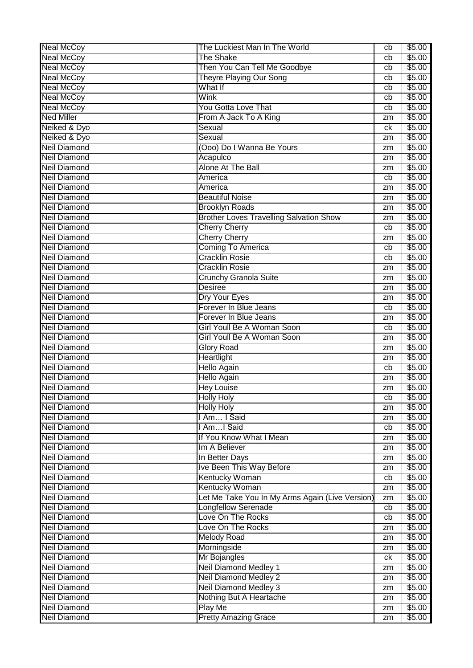| <b>Neal McCoy</b>                          | The Luckiest Man In The World                   | cb       | \$5.00           |
|--------------------------------------------|-------------------------------------------------|----------|------------------|
| <b>Neal McCoy</b>                          | <b>The Shake</b>                                | cb       | \$5.00           |
| <b>Neal McCoy</b>                          | Then You Can Tell Me Goodbye                    | cb       | \$5.00           |
| <b>Neal McCoy</b>                          | <b>Theyre Playing Our Song</b>                  | cb       | \$5.00           |
| <b>Neal McCoy</b>                          | What If                                         | cb       | \$5.00           |
| <b>Neal McCoy</b>                          | Wink                                            | cb       | \$5.00           |
| <b>Neal McCoy</b>                          | <b>You Gotta Love That</b>                      | cb       | \$5.00           |
| <b>Ned Miller</b>                          | From A Jack To A King                           | zm       | \$5.00           |
| Neiked & Dyo                               | Sexual                                          | ck       | \$5.00           |
| Neiked & Dyo                               | Sexual                                          | zm       | \$5.00           |
| <b>Neil Diamond</b>                        | (Ooo) Do I Wanna Be Yours                       | zm       | \$5.00           |
| <b>Neil Diamond</b>                        | Acapulco                                        | zm       | \$5.00           |
| <b>Neil Diamond</b>                        | <b>Alone At The Ball</b>                        | zm       | \$5.00           |
| <b>Neil Diamond</b>                        | America                                         | cb       | \$5.00           |
| <b>Neil Diamond</b>                        | America                                         | zm       | \$5.00           |
| <b>Neil Diamond</b>                        | <b>Beautiful Noise</b>                          | zm       | \$5.00           |
| <b>Neil Diamond</b>                        | <b>Brooklyn Roads</b>                           | zm       | \$5.00           |
| <b>Neil Diamond</b>                        | <b>Brother Loves Travelling Salvation Show</b>  | zm       | \$5.00           |
| <b>Neil Diamond</b>                        | <b>Cherry Cherry</b>                            | cb       | \$5.00           |
| <b>Neil Diamond</b>                        | <b>Cherry Cherry</b>                            | zm       | \$5.00           |
| <b>Neil Diamond</b>                        | <b>Coming To America</b>                        | cb       | \$5.00           |
| <b>Neil Diamond</b>                        | <b>Cracklin Rosie</b>                           | cb       | \$5.00           |
| <b>Neil Diamond</b>                        | <b>Cracklin Rosie</b>                           | zm       | \$5.00           |
| <b>Neil Diamond</b>                        | <b>Crunchy Granola Suite</b>                    | zm       | \$5.00           |
| <b>Neil Diamond</b>                        | <b>Desiree</b>                                  | zm       | \$5.00           |
| <b>Neil Diamond</b>                        | Dry Your Eyes                                   |          | \$5.00           |
| <b>Neil Diamond</b>                        | Forever In Blue Jeans                           | zm<br>cb | \$5.00           |
| <b>Neil Diamond</b>                        | Forever In Blue Jeans                           |          | \$5.00           |
| <b>Neil Diamond</b>                        | Girl Youll Be A Woman Soon                      | zm<br>cb | \$5.00           |
|                                            | Girl Youll Be A Woman Soon                      |          |                  |
| <b>Neil Diamond</b><br><b>Neil Diamond</b> |                                                 | zm       | \$5.00           |
| <b>Neil Diamond</b>                        | <b>Glory Road</b>                               | zm       | \$5.00           |
|                                            | Heartlight                                      | zm       | \$5.00           |
| <b>Neil Diamond</b>                        | <b>Hello Again</b>                              | cb       | \$5.00           |
| <b>Neil Diamond</b>                        | <b>Hello Again</b>                              | zm       | \$5.00           |
| <b>Neil Diamond</b>                        | <b>Hey Louise</b>                               | zm       | \$5.00           |
| <b>Neil Diamond</b>                        | <b>Holly Holy</b>                               | cb       | \$5.00           |
| <b>Neil Diamond</b>                        | <b>Holly Holy</b>                               | zm       | \$5.00           |
| <b>Neil Diamond</b>                        | I Am I Said                                     | zm       | \$5.00           |
| <b>Neil Diamond</b>                        | I AmI Said                                      | cb       | \$5.00           |
| <b>Neil Diamond</b>                        | If You Know What I Mean                         | zm       | \$5.00           |
| <b>Neil Diamond</b>                        | Im A Believer                                   | zm       | \$5.00           |
| <b>Neil Diamond</b>                        | In Better Days                                  | zm       | \$5.00           |
| <b>Neil Diamond</b>                        | Ive Been This Way Before                        | zm       | \$5.00           |
| <b>Neil Diamond</b>                        | Kentucky Woman                                  | cb       | \$5.00           |
| <b>Neil Diamond</b>                        | <b>Kentucky Woman</b>                           | zm       | \$5.00           |
| <b>Neil Diamond</b>                        | Let Me Take You In My Arms Again (Live Version) | zm       | \$5.00           |
| <b>Neil Diamond</b>                        | <b>Longfellow Serenade</b>                      | cb       | \$5.00           |
| <b>Neil Diamond</b>                        | Love On The Rocks                               | cb       | \$5.00           |
| <b>Neil Diamond</b>                        | Love On The Rocks                               | zm       | \$5.00           |
| <b>Neil Diamond</b>                        | <b>Melody Road</b>                              | zm       | \$5.00           |
| <b>Neil Diamond</b>                        | Morningside                                     | zm       | \$5.00           |
| <b>Neil Diamond</b>                        | Mr Bojangles                                    | ck       | \$5.00           |
| <b>Neil Diamond</b>                        | <b>Neil Diamond Medley 1</b>                    | zm       | \$5.00           |
| <b>Neil Diamond</b>                        | <b>Neil Diamond Medley 2</b>                    | zm       | \$5.00           |
| <b>Neil Diamond</b>                        | <b>Neil Diamond Medley 3</b>                    | zm       | \$5.00           |
| <b>Neil Diamond</b>                        | Nothing But A Heartache                         | zm       | \$5.00           |
| <b>Neil Diamond</b>                        |                                                 |          |                  |
| <b>Neil Diamond</b>                        | <b>Play Me</b><br><b>Pretty Amazing Grace</b>   | zm       | \$5.00<br>\$5.00 |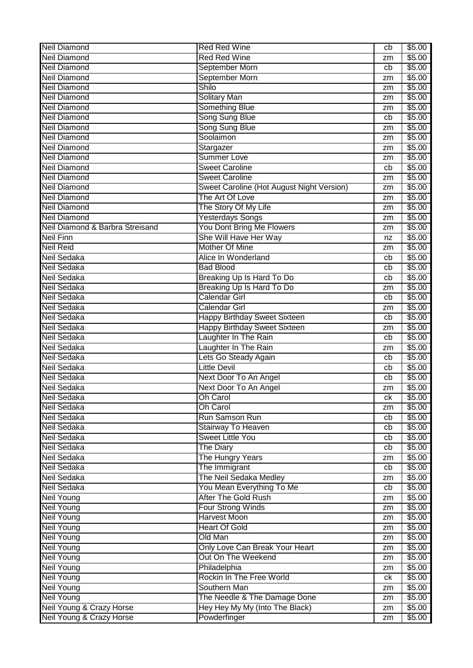| <b>Neil Diamond</b>             | <b>Red Red Wine</b>                       | cb | \$5.00         |
|---------------------------------|-------------------------------------------|----|----------------|
| <b>Neil Diamond</b>             | <b>Red Red Wine</b>                       | zm | \$5.00         |
| <b>Neil Diamond</b>             | September Morn                            | cb | \$5.00         |
| <b>Neil Diamond</b>             | September Morn                            | zm | \$5.00         |
| <b>Neil Diamond</b>             | Shilo                                     | zm | \$5.00         |
| <b>Neil Diamond</b>             | <b>Solitary Man</b>                       | zm | \$5.00         |
| <b>Neil Diamond</b>             | Something Blue                            | zm | \$5.00         |
| <b>Neil Diamond</b>             | Song Sung Blue                            | cb | \$5.00         |
| <b>Neil Diamond</b>             | Song Sung Blue                            | zm | \$5.00         |
| <b>Neil Diamond</b>             | Soolaimon                                 | zm | \$5.00         |
| <b>Neil Diamond</b>             | Stargazer                                 | zm | \$5.00         |
| <b>Neil Diamond</b>             | <b>Summer Love</b>                        | zm | \$5.00         |
| <b>Neil Diamond</b>             | <b>Sweet Caroline</b>                     | cb | \$5.00         |
| <b>Neil Diamond</b>             | <b>Sweet Caroline</b>                     | zm | \$5.00         |
| <b>Neil Diamond</b>             | Sweet Caroline (Hot August Night Version) | zm | \$5.00         |
| <b>Neil Diamond</b>             | The Art Of Love                           | zm | \$5.00         |
| <b>Neil Diamond</b>             | The Story Of My Life                      | zm | \$5.00         |
| <b>Neil Diamond</b>             | <b>Yesterdays Songs</b>                   | zm | \$5.00         |
| Neil Diamond & Barbra Streisand | You Dont Bring Me Flowers                 | zm | \$5.00         |
| <b>Neil Finn</b>                | She Will Have Her Way                     | nz | \$5.00         |
| <b>Neil Reid</b>                | Mother Of Mine                            | zm | \$5.00         |
| Neil Sedaka                     | Alice In Wonderland                       | cb | \$5.00         |
| Neil Sedaka                     | <b>Bad Blood</b>                          | cb | \$5.00         |
| Neil Sedaka                     | Breaking Up Is Hard To Do                 | cb | \$5.00         |
| Neil Sedaka                     | Breaking Up Is Hard To Do                 | zm | \$5.00         |
| <b>Neil Sedaka</b>              | <b>Calendar Girl</b>                      | cb | \$5.00         |
| <b>Neil Sedaka</b>              | <b>Calendar Girl</b>                      |    | \$5.00         |
| Neil Sedaka                     | <b>Happy Birthday Sweet Sixteen</b>       | zm | \$5.00         |
| <b>Neil Sedaka</b>              | <b>Happy Birthday Sweet Sixteen</b>       | cb | \$5.00         |
|                                 |                                           | zm |                |
| <b>Neil Sedaka</b>              | Laughter In The Rain                      | cb | \$5.00         |
| Neil Sedaka                     | Laughter In The Rain                      | zm | \$5.00         |
| Neil Sedaka                     | Lets Go Steady Again                      | cb | \$5.00         |
| Neil Sedaka                     | <b>Little Devil</b>                       | cb | \$5.00         |
| Neil Sedaka                     | Next Door To An Angel                     | cb | \$5.00         |
| <b>Neil Sedaka</b>              | Next Door To An Angel                     | zm | \$5.00         |
| Neil Sedaka                     | Oh Carol                                  | сk | \$5.00         |
| Neil Sedaka                     | <b>Oh Carol</b>                           | zm | \$5.00         |
| <b>Neil Sedaka</b>              | Run Samson Run                            | cb | \$5.00         |
| <b>Neil Sedaka</b>              | Stairway To Heaven                        | cb | \$5.00         |
| <b>Neil Sedaka</b>              | <b>Sweet Little You</b>                   | cb | \$5.00         |
| Neil Sedaka                     | <b>The Diary</b>                          | cb | \$5.00         |
| <b>Neil Sedaka</b>              | The Hungry Years                          | zm | $\sqrt{$5.00}$ |
| Neil Sedaka                     | The Immigrant                             | cb | \$5.00         |
| Neil Sedaka                     | The Neil Sedaka Medley                    | zm | \$5.00         |
| Neil Sedaka                     | You Mean Everything To Me                 | cb | \$5.00         |
| <b>Neil Young</b>               | After The Gold Rush                       | zm | \$5.00         |
| <b>Neil Young</b>               | Four Strong Winds                         | zm | \$5.00         |
| <b>Neil Young</b>               | <b>Harvest Moon</b>                       | zm | \$5.00         |
| <b>Neil Young</b>               | <b>Heart Of Gold</b>                      | zm | \$5.00         |
| <b>Neil Young</b>               | Old Man                                   | zm | \$5.00         |
| <b>Neil Young</b>               | Only Love Can Break Your Heart            | zm | \$5.00         |
| <b>Neil Young</b>               | Out On The Weekend                        | zm | \$5.00         |
| <b>Neil Young</b>               | Philadelphia                              | zm | \$5.00         |
| <b>Neil Young</b>               | Rockin In The Free World                  | ck | \$5.00         |
| <b>Neil Young</b>               | Southern Man                              | zm | \$5.00         |
| <b>Neil Young</b>               | The Needle & The Damage Done              | zm | \$5.00         |
| Neil Young & Crazy Horse        | Hey Hey My My (Into The Black)            | zm | \$5.00         |
| Neil Young & Crazy Horse        | Powderfinger                              | zm | \$5.00         |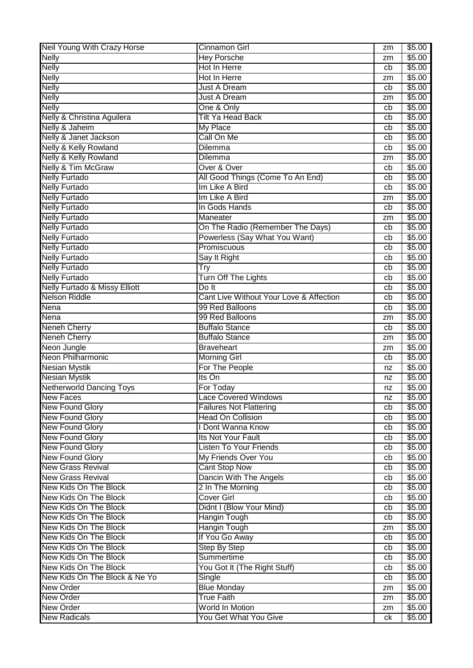| Neil Young With Crazy Horse              | Cinnamon Girl                              | zm       | \$5.00           |
|------------------------------------------|--------------------------------------------|----------|------------------|
| <b>Nelly</b>                             | <b>Hey Porsche</b>                         | zm       | \$5.00           |
| <b>Nelly</b>                             | Hot In Herre                               | cb       | \$5.00           |
| <b>Nelly</b>                             | Hot In Herre                               | zm       | \$5.00           |
| <b>Nelly</b>                             | <b>Just A Dream</b>                        | cb       | \$5.00           |
| <b>Nelly</b>                             | <b>Just A Dream</b>                        | zm       | \$5.00           |
| <b>Nelly</b>                             | One & Only                                 | cb       | \$5.00           |
| Nelly & Christina Aguilera               | <b>Tilt Ya Head Back</b>                   | cb       | \$5.00           |
| Nelly & Jaheim                           | <b>My Place</b>                            | cb       | \$5.00           |
| Nelly & Janet Jackson                    | Call On Me                                 | cb       | \$5.00           |
| Nelly & Kelly Rowland                    | <b>Dilemma</b>                             | cb       | \$5.00           |
| <b>Nelly &amp; Kelly Rowland</b>         | Dilemma                                    | zm       | \$5.00           |
| <b>Nelly &amp; Tim McGraw</b>            | Over & Over                                | cb       | \$5.00           |
| <b>Nelly Furtado</b>                     | All Good Things (Come To An End)           | cb       | \$5.00           |
| <b>Nelly Furtado</b>                     | Im Like A Bird                             | cb       | \$5.00           |
| <b>Nelly Furtado</b>                     | Im Like A Bird                             | zm       | \$5.00           |
| <b>Nelly Furtado</b>                     | In Gods Hands                              | cb       | \$5.00           |
| <b>Nelly Furtado</b>                     | Maneater                                   | zm       | \$5.00           |
| <b>Nelly Furtado</b>                     | On The Radio (Remember The Days)           | cb       | \$5.00           |
| <b>Nelly Furtado</b>                     | Powerless (Say What You Want)              | cb       | \$5.00           |
| <b>Nelly Furtado</b>                     | Promiscuous                                | cb       | \$5.00           |
| <b>Nelly Furtado</b>                     | Say It Right                               | cb       | \$5.00           |
| <b>Nelly Furtado</b>                     | Try                                        | cb       | \$5.00           |
| <b>Nelly Furtado</b>                     | <b>Turn Off The Lights</b>                 | cb       | \$5.00           |
| <b>Nelly Furtado &amp; Missy Elliott</b> | Do It                                      | cb       | \$5.00           |
| <b>Nelson Riddle</b>                     | Cant Live Without Your Love & Affection    | cb       | \$5.00           |
| Nena                                     | 99 Red Balloons                            | cb       | \$5.00           |
| <b>Nena</b>                              | 99 Red Balloons                            | zm       | \$5.00           |
| <b>Neneh Cherry</b>                      | <b>Buffalo Stance</b>                      | cb       | \$5.00           |
| <b>Neneh Cherry</b>                      | <b>Buffalo Stance</b>                      | zm       | \$5.00           |
| Neon Jungle                              | <b>Braveheart</b>                          | zm       | \$5.00           |
| Neon Philharmonic                        | <b>Morning Girl</b>                        | cb       | \$5.00           |
| <b>Nesian Mystik</b>                     | For The People                             | nz       | \$5.00           |
| <b>Nesian Mystik</b>                     | Its On                                     | nz       | \$5.00           |
| <b>Netherworld Dancing Toys</b>          | For Today                                  | nz       | \$5.00           |
| <b>New Faces</b>                         | ace Covered Windows                        | nz       | \$5.00           |
| <b>New Found Glory</b>                   | <b>Failures Not Flattering</b>             | cb       | \$5.00           |
| <b>New Found Glory</b>                   | <b>Head On Collision</b>                   | cb       | \$5.00           |
| <b>New Found Glory</b>                   | I Dont Wanna Know                          | cb       | \$5.00           |
| <b>New Found Glory</b>                   | Its Not Your Fault                         | cb       | \$5.00           |
| <b>New Found Glory</b>                   | <b>Listen To Your Friends</b>              | cb       | \$5.00           |
| <b>New Found Glory</b>                   | My Friends Over You                        | cb       | \$5.00           |
| <b>New Grass Revival</b>                 | <b>Cant Stop Now</b>                       | cb       | \$5.00           |
| <b>New Grass Revival</b>                 | Dancin With The Angels                     | cb       | \$5.00           |
| New Kids On The Block                    | 2 In The Morning                           | cb       | \$5.00           |
| New Kids On The Block                    | <b>Cover Girl</b>                          |          | \$5.00           |
| New Kids On The Block                    | Didnt I (Blow Your Mind)                   | cb<br>cb | \$5.00           |
| New Kids On The Block                    |                                            |          |                  |
| New Kids On The Block                    | <b>Hangin Tough</b><br><b>Hangin Tough</b> | cb       | \$5.00<br>\$5.00 |
| New Kids On The Block                    |                                            | zm       |                  |
|                                          | If You Go Away                             | cb       | \$5.00           |
| New Kids On The Block                    | <b>Step By Step</b>                        | cb       | \$5.00<br>\$5.00 |
| New Kids On The Block                    |                                            |          |                  |
|                                          | Summertime                                 | cb       |                  |
| New Kids On The Block                    | You Got It (The Right Stuff)               | cb       | \$5.00           |
| New Kids On The Block & Ne Yo            | Single                                     | cb       | \$5.00           |
| <b>New Order</b>                         | <b>Blue Monday</b>                         | zm       | \$5.00           |
| <b>New Order</b>                         | <b>True Faith</b>                          | zm       | \$5.00           |
| <b>New Order</b><br><b>New Radicals</b>  | World In Motion<br>You Get What You Give   | zm<br>ck | \$5.00<br>\$5.00 |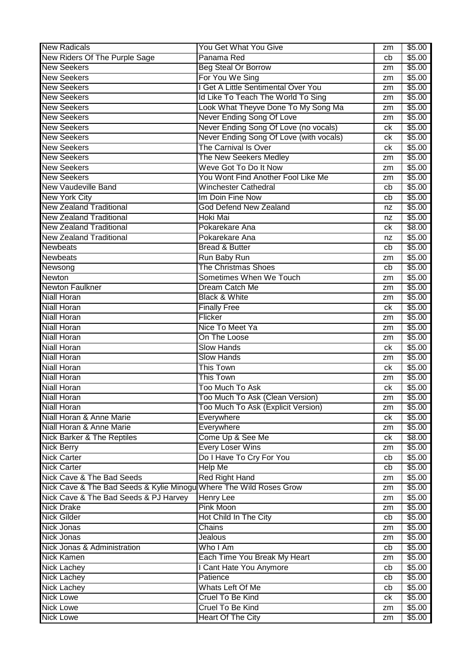| <b>New Radicals</b>                                                | You Get What You Give                   | zm | \$5.00 |
|--------------------------------------------------------------------|-----------------------------------------|----|--------|
| New Riders Of The Purple Sage                                      | Panama Red                              | cb | \$5.00 |
| <b>New Seekers</b>                                                 | <b>Beg Steal Or Borrow</b>              | zm | \$5.00 |
| <b>New Seekers</b>                                                 | For You We Sing                         | zm | \$5.00 |
| <b>New Seekers</b>                                                 | I Get A Little Sentimental Over You     | zm | \$5.00 |
| <b>New Seekers</b>                                                 | Id Like To Teach The World To Sing      | zm | \$5.00 |
| <b>New Seekers</b>                                                 | Look What Theyve Done To My Song Ma     | zm | \$5.00 |
| <b>New Seekers</b>                                                 | Never Ending Song Of Love               | zm | \$5.00 |
| <b>New Seekers</b>                                                 | Never Ending Song Of Love (no vocals)   | ck | \$5.00 |
| <b>New Seekers</b>                                                 | Never Ending Song Of Love (with vocals) | сk | \$5.00 |
| <b>New Seekers</b>                                                 | The Carnival Is Over                    | сk | \$5.00 |
| <b>New Seekers</b>                                                 | The New Seekers Medley                  | zm | \$5.00 |
| <b>New Seekers</b>                                                 | Weve Got To Do It Now                   | zm | \$5.00 |
| <b>New Seekers</b>                                                 | You Wont Find Another Fool Like Me      | zm | \$5.00 |
| <b>New Vaudeville Band</b>                                         | <b>Winchester Cathedral</b>             | cb | \$5.00 |
| <b>New York City</b>                                               | Im Doin Fine Now                        | cb | \$5.00 |
| <b>New Zealand Traditional</b>                                     | <b>God Defend New Zealand</b>           | nz | \$5.00 |
| <b>New Zealand Traditional</b>                                     | Hoki Mai                                | nz | \$5.00 |
| <b>New Zealand Traditional</b>                                     | Pokarekare Ana                          | сk | \$8.00 |
| <b>New Zealand Traditional</b>                                     | Pokarekare Ana                          | nz | \$5.00 |
| <b>Newbeats</b>                                                    | <b>Bread &amp; Butter</b>               | cb | \$5.00 |
| <b>Newbeats</b>                                                    | Run Baby Run                            | zm | \$5.00 |
| Newsong                                                            | <b>The Christmas Shoes</b>              | cb | \$5.00 |
| <b>Newton</b>                                                      | Sometimes When We Touch                 |    | \$5.00 |
| <b>Newton Faulkner</b>                                             | Dream Catch Me                          | zm | \$5.00 |
| <b>Niall Horan</b>                                                 | <b>Black &amp; White</b>                | zm | \$5.00 |
|                                                                    |                                         | zm |        |
| <b>Niall Horan</b><br><b>Niall Horan</b>                           | <b>Finally Free</b><br>Flicker          | ck | \$5.00 |
|                                                                    |                                         | zm | \$5.00 |
| <b>Niall Horan</b>                                                 | Nice To Meet Ya                         | zm | \$5.00 |
| <b>Niall Horan</b>                                                 | On The Loose                            | zm | \$5.00 |
| <b>Niall Horan</b>                                                 | <b>Slow Hands</b>                       | сk | \$5.00 |
| <b>Niall Horan</b>                                                 | <b>Slow Hands</b>                       | zm | \$5.00 |
| <b>Niall Horan</b>                                                 | <b>This Town</b>                        | ck | \$5.00 |
| <b>Niall Horan</b>                                                 | <b>This Town</b>                        | zm | \$5.00 |
| <b>Niall Horan</b>                                                 | <b>Too Much To Ask</b>                  | ck | \$5.00 |
| <b>Niall Horan</b>                                                 | Too Much To Ask (Clean Version)         | zm | \$5.00 |
| <b>Niall Horan</b>                                                 | Too Much To Ask (Explicit Version)      | zm | \$5.00 |
| Niall Horan & Anne Marie                                           | Everywhere                              | ck | \$5.00 |
| Niall Horan & Anne Marie                                           | Everywhere                              | zm | \$5.00 |
| <b>Nick Barker &amp; The Reptiles</b>                              | Come Up & See Me                        | ck | \$8.00 |
| <b>Nick Berry</b>                                                  | <b>Every Loser Wins</b>                 | zm | \$5.00 |
| <b>Nick Carter</b>                                                 | Do I Have To Cry For You                | cb | \$5.00 |
| <b>Nick Carter</b>                                                 | <b>Help Me</b>                          | cb | \$5.00 |
| Nick Cave & The Bad Seeds                                          | <b>Red Right Hand</b>                   | zm | \$5.00 |
| Nick Cave & The Bad Seeds & Kylie Minogu Where The Wild Roses Grow |                                         | zm | \$5.00 |
| Nick Cave & The Bad Seeds & PJ Harvey                              | <b>Henry Lee</b>                        | zm | \$5.00 |
| <b>Nick Drake</b>                                                  | <b>Pink Moon</b>                        | zm | \$5.00 |
| <b>Nick Gilder</b>                                                 | Hot Child In The City                   | cb | \$5.00 |
| <b>Nick Jonas</b>                                                  | Chains                                  | zm | \$5.00 |
| Nick Jonas                                                         | Jealous                                 | zm | \$5.00 |
| Nick Jonas & Administration                                        | Who I Am                                | cb | \$5.00 |
| <b>Nick Kamen</b>                                                  | Each Time You Break My Heart            | zm | \$5.00 |
| <b>Nick Lachey</b>                                                 | I Cant Hate You Anymore                 | cb | \$5.00 |
| <b>Nick Lachey</b>                                                 | Patience                                | cb | \$5.00 |
| <b>Nick Lachey</b>                                                 | Whats Left Of Me                        | cb | \$5.00 |
| <b>Nick Lowe</b>                                                   | Cruel To Be Kind                        | ck | \$5.00 |
| <b>Nick Lowe</b>                                                   | Cruel To Be Kind                        | zm | \$5.00 |
| <b>Nick Lowe</b>                                                   | <b>Heart Of The City</b>                | zm | \$5.00 |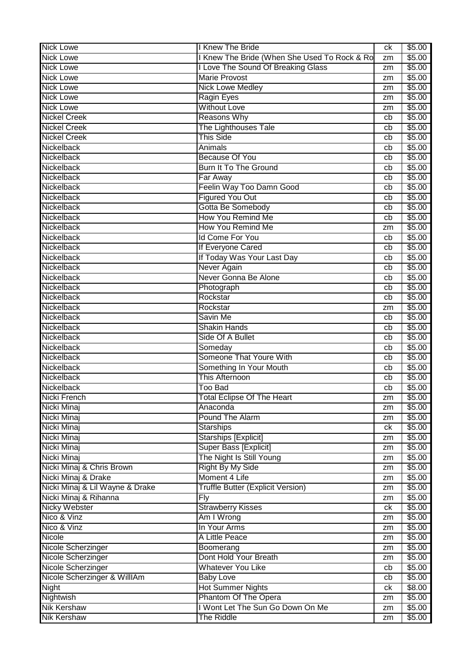| I Knew The Bride (When She Used To Rock & Ro<br>\$5.00<br><b>Nick Lowe</b><br>zm<br><b>Nick Lowe</b><br>I Love The Sound Of Breaking Glass<br>\$5.00<br>zm<br><b>Marie Provost</b><br><b>Nick Lowe</b><br>\$5.00<br>zm<br><b>Nick Lowe</b><br><b>Nick Lowe Medley</b><br>\$5.00<br>zm<br><b>Nick Lowe</b><br><b>Ragin Eyes</b><br>\$5.00<br>zm<br><b>Without Love</b><br><b>Nick Lowe</b><br>\$5.00<br>zm<br><b>Nickel Creek</b><br><b>Reasons Why</b><br>\$5.00<br>cb<br>The Lighthouses Tale<br><b>Nickel Creek</b><br>\$5.00<br>cb<br><b>This Side</b><br><b>Nickel Creek</b><br>\$5.00<br>cb<br>Nickelback<br>Animals<br>\$5.00<br>cb<br>Nickelback<br>\$5.00<br><b>Because Of You</b><br>cb<br>Nickelback<br><b>Burn It To The Ground</b><br>\$5.00<br>cb<br>Nickelback<br>\$5.00<br>Far Away<br>cb<br>Nickelback<br>Feelin Way Too Damn Good<br>\$5.00<br>cb<br><b>Figured You Out</b><br>\$5.00<br>Nickelback<br>cb<br>Gotta Be Somebody<br>\$5.00<br>Nickelback<br>cb<br>How You Remind Me<br>\$5.00<br>Nickelback<br>cb<br>How You Remind Me<br>\$5.00<br>Nickelback<br>zm<br><b>Id Come For You</b><br>Nickelback<br>\$5.00<br>cb<br>If Everyone Cared<br>Nickelback<br>\$5.00<br>cb<br>If Today Was Your Last Day<br>Nickelback<br>\$5.00<br>cb<br>Never Again<br>\$5.00<br>Nickelback<br>cb<br>Never Gonna Be Alone<br>Nickelback<br>\$5.00<br>cb<br>Nickelback<br>\$5.00<br>Photograph<br>cb<br>\$5.00<br>Nickelback<br>Rockstar<br>cb<br>\$5.00<br>Nickelback<br>Rockstar<br>zm<br>\$5.00<br>Nickelback<br>Savin Me<br>cb<br><b>Shakin Hands</b><br>\$5.00<br>Nickelback<br>cb<br>Nickelback<br>Side Of A Bullet<br>\$5.00<br>cb<br>Nickelback<br>\$5.00<br>Someday<br>cb<br>Someone That Youre With<br>Nickelback<br>\$5.00<br>cb<br>Nickelback<br>Something In Your Mouth<br>\$5.00<br>cb<br>Nickelback<br>This Afternoon<br>\$5.00<br>cb<br>Nickelback<br><b>Too Bad</b><br>\$5.00<br>cb<br>\$5.00<br>Nicki French<br><b>Total Eclipse Of The Heart</b><br>zm<br>Nicki Minaj<br>\$5.00<br>Anaconda<br>zm<br><b>Pound The Alarm</b><br>\$5.00<br>Nicki Minaj<br>zm<br><b>Starships</b><br>\$5.00<br>Nicki Minaj<br>ck<br>Nicki Minaj<br><b>Starships [Explicit]</b><br>\$5.00<br>zm<br>Nicki Minaj<br>Super Bass [Explicit]<br>\$5.00<br>zm<br>Nicki Minaj<br>The Night Is Still Young<br>\$5.00<br>zm<br>Nicki Minaj & Chris Brown<br><b>Right By My Side</b><br>\$5.00<br>zm<br>Moment 4 Life<br>\$5.00<br>Nicki Minaj & Drake<br>zm<br>Nicki Minaj & Lil Wayne & Drake<br><b>Truffle Butter (Explicit Version)</b><br>\$5.00<br>zm<br>Nicki Minaj & Rihanna<br>\$5.00<br><b>Fly</b><br>zm<br><b>Nicky Webster</b><br><b>Strawberry Kisses</b><br>\$5.00<br>ck<br>Nico & Vinz<br>Am I Wrong<br>\$5.00<br>zm<br>In Your Arms<br>Nico & Vinz<br>\$5.00<br>zm<br>Nicole<br>A Little Peace<br>\$5.00<br>zm<br>\$5.00<br>Boomerang<br>Nicole Scherzinger<br>zm<br>Dont Hold Your Breath<br>\$5.00<br>Nicole Scherzinger<br>zm<br><b>Whatever You Like</b><br>Nicole Scherzinger<br>\$5.00<br>cb<br>Nicole Scherzinger & WillIAm<br>\$5.00<br><b>Baby Love</b><br>cb<br><b>Hot Summer Nights</b><br>\$8.00<br>Night<br>ck<br>Phantom Of The Opera<br>Nightwish<br>\$5.00<br>zm<br>I Wont Let The Sun Go Down On Me<br><b>Nik Kershaw</b><br>\$5.00<br>zm | <b>Nick Lowe</b>   | I Knew The Bride  | ck | \$5.00 |
|----------------------------------------------------------------------------------------------------------------------------------------------------------------------------------------------------------------------------------------------------------------------------------------------------------------------------------------------------------------------------------------------------------------------------------------------------------------------------------------------------------------------------------------------------------------------------------------------------------------------------------------------------------------------------------------------------------------------------------------------------------------------------------------------------------------------------------------------------------------------------------------------------------------------------------------------------------------------------------------------------------------------------------------------------------------------------------------------------------------------------------------------------------------------------------------------------------------------------------------------------------------------------------------------------------------------------------------------------------------------------------------------------------------------------------------------------------------------------------------------------------------------------------------------------------------------------------------------------------------------------------------------------------------------------------------------------------------------------------------------------------------------------------------------------------------------------------------------------------------------------------------------------------------------------------------------------------------------------------------------------------------------------------------------------------------------------------------------------------------------------------------------------------------------------------------------------------------------------------------------------------------------------------------------------------------------------------------------------------------------------------------------------------------------------------------------------------------------------------------------------------------------------------------------------------------------------------------------------------------------------------------------------------------------------------------------------------------------------------------------------------------------------------------------------------------------------------------------------------------------------------------------------------------------------------------------------------------------------------------------------------------------------------------------------------------------------------------------------------------------------------------------------------------------------------------------------------------------------------------------------------------------|--------------------|-------------------|----|--------|
|                                                                                                                                                                                                                                                                                                                                                                                                                                                                                                                                                                                                                                                                                                                                                                                                                                                                                                                                                                                                                                                                                                                                                                                                                                                                                                                                                                                                                                                                                                                                                                                                                                                                                                                                                                                                                                                                                                                                                                                                                                                                                                                                                                                                                                                                                                                                                                                                                                                                                                                                                                                                                                                                                                                                                                                                                                                                                                                                                                                                                                                                                                                                                                                                                                                                      |                    |                   |    |        |
|                                                                                                                                                                                                                                                                                                                                                                                                                                                                                                                                                                                                                                                                                                                                                                                                                                                                                                                                                                                                                                                                                                                                                                                                                                                                                                                                                                                                                                                                                                                                                                                                                                                                                                                                                                                                                                                                                                                                                                                                                                                                                                                                                                                                                                                                                                                                                                                                                                                                                                                                                                                                                                                                                                                                                                                                                                                                                                                                                                                                                                                                                                                                                                                                                                                                      |                    |                   |    |        |
|                                                                                                                                                                                                                                                                                                                                                                                                                                                                                                                                                                                                                                                                                                                                                                                                                                                                                                                                                                                                                                                                                                                                                                                                                                                                                                                                                                                                                                                                                                                                                                                                                                                                                                                                                                                                                                                                                                                                                                                                                                                                                                                                                                                                                                                                                                                                                                                                                                                                                                                                                                                                                                                                                                                                                                                                                                                                                                                                                                                                                                                                                                                                                                                                                                                                      |                    |                   |    |        |
|                                                                                                                                                                                                                                                                                                                                                                                                                                                                                                                                                                                                                                                                                                                                                                                                                                                                                                                                                                                                                                                                                                                                                                                                                                                                                                                                                                                                                                                                                                                                                                                                                                                                                                                                                                                                                                                                                                                                                                                                                                                                                                                                                                                                                                                                                                                                                                                                                                                                                                                                                                                                                                                                                                                                                                                                                                                                                                                                                                                                                                                                                                                                                                                                                                                                      |                    |                   |    |        |
|                                                                                                                                                                                                                                                                                                                                                                                                                                                                                                                                                                                                                                                                                                                                                                                                                                                                                                                                                                                                                                                                                                                                                                                                                                                                                                                                                                                                                                                                                                                                                                                                                                                                                                                                                                                                                                                                                                                                                                                                                                                                                                                                                                                                                                                                                                                                                                                                                                                                                                                                                                                                                                                                                                                                                                                                                                                                                                                                                                                                                                                                                                                                                                                                                                                                      |                    |                   |    |        |
|                                                                                                                                                                                                                                                                                                                                                                                                                                                                                                                                                                                                                                                                                                                                                                                                                                                                                                                                                                                                                                                                                                                                                                                                                                                                                                                                                                                                                                                                                                                                                                                                                                                                                                                                                                                                                                                                                                                                                                                                                                                                                                                                                                                                                                                                                                                                                                                                                                                                                                                                                                                                                                                                                                                                                                                                                                                                                                                                                                                                                                                                                                                                                                                                                                                                      |                    |                   |    |        |
|                                                                                                                                                                                                                                                                                                                                                                                                                                                                                                                                                                                                                                                                                                                                                                                                                                                                                                                                                                                                                                                                                                                                                                                                                                                                                                                                                                                                                                                                                                                                                                                                                                                                                                                                                                                                                                                                                                                                                                                                                                                                                                                                                                                                                                                                                                                                                                                                                                                                                                                                                                                                                                                                                                                                                                                                                                                                                                                                                                                                                                                                                                                                                                                                                                                                      |                    |                   |    |        |
|                                                                                                                                                                                                                                                                                                                                                                                                                                                                                                                                                                                                                                                                                                                                                                                                                                                                                                                                                                                                                                                                                                                                                                                                                                                                                                                                                                                                                                                                                                                                                                                                                                                                                                                                                                                                                                                                                                                                                                                                                                                                                                                                                                                                                                                                                                                                                                                                                                                                                                                                                                                                                                                                                                                                                                                                                                                                                                                                                                                                                                                                                                                                                                                                                                                                      |                    |                   |    |        |
|                                                                                                                                                                                                                                                                                                                                                                                                                                                                                                                                                                                                                                                                                                                                                                                                                                                                                                                                                                                                                                                                                                                                                                                                                                                                                                                                                                                                                                                                                                                                                                                                                                                                                                                                                                                                                                                                                                                                                                                                                                                                                                                                                                                                                                                                                                                                                                                                                                                                                                                                                                                                                                                                                                                                                                                                                                                                                                                                                                                                                                                                                                                                                                                                                                                                      |                    |                   |    |        |
|                                                                                                                                                                                                                                                                                                                                                                                                                                                                                                                                                                                                                                                                                                                                                                                                                                                                                                                                                                                                                                                                                                                                                                                                                                                                                                                                                                                                                                                                                                                                                                                                                                                                                                                                                                                                                                                                                                                                                                                                                                                                                                                                                                                                                                                                                                                                                                                                                                                                                                                                                                                                                                                                                                                                                                                                                                                                                                                                                                                                                                                                                                                                                                                                                                                                      |                    |                   |    |        |
|                                                                                                                                                                                                                                                                                                                                                                                                                                                                                                                                                                                                                                                                                                                                                                                                                                                                                                                                                                                                                                                                                                                                                                                                                                                                                                                                                                                                                                                                                                                                                                                                                                                                                                                                                                                                                                                                                                                                                                                                                                                                                                                                                                                                                                                                                                                                                                                                                                                                                                                                                                                                                                                                                                                                                                                                                                                                                                                                                                                                                                                                                                                                                                                                                                                                      |                    |                   |    |        |
|                                                                                                                                                                                                                                                                                                                                                                                                                                                                                                                                                                                                                                                                                                                                                                                                                                                                                                                                                                                                                                                                                                                                                                                                                                                                                                                                                                                                                                                                                                                                                                                                                                                                                                                                                                                                                                                                                                                                                                                                                                                                                                                                                                                                                                                                                                                                                                                                                                                                                                                                                                                                                                                                                                                                                                                                                                                                                                                                                                                                                                                                                                                                                                                                                                                                      |                    |                   |    |        |
|                                                                                                                                                                                                                                                                                                                                                                                                                                                                                                                                                                                                                                                                                                                                                                                                                                                                                                                                                                                                                                                                                                                                                                                                                                                                                                                                                                                                                                                                                                                                                                                                                                                                                                                                                                                                                                                                                                                                                                                                                                                                                                                                                                                                                                                                                                                                                                                                                                                                                                                                                                                                                                                                                                                                                                                                                                                                                                                                                                                                                                                                                                                                                                                                                                                                      |                    |                   |    |        |
|                                                                                                                                                                                                                                                                                                                                                                                                                                                                                                                                                                                                                                                                                                                                                                                                                                                                                                                                                                                                                                                                                                                                                                                                                                                                                                                                                                                                                                                                                                                                                                                                                                                                                                                                                                                                                                                                                                                                                                                                                                                                                                                                                                                                                                                                                                                                                                                                                                                                                                                                                                                                                                                                                                                                                                                                                                                                                                                                                                                                                                                                                                                                                                                                                                                                      |                    |                   |    |        |
|                                                                                                                                                                                                                                                                                                                                                                                                                                                                                                                                                                                                                                                                                                                                                                                                                                                                                                                                                                                                                                                                                                                                                                                                                                                                                                                                                                                                                                                                                                                                                                                                                                                                                                                                                                                                                                                                                                                                                                                                                                                                                                                                                                                                                                                                                                                                                                                                                                                                                                                                                                                                                                                                                                                                                                                                                                                                                                                                                                                                                                                                                                                                                                                                                                                                      |                    |                   |    |        |
|                                                                                                                                                                                                                                                                                                                                                                                                                                                                                                                                                                                                                                                                                                                                                                                                                                                                                                                                                                                                                                                                                                                                                                                                                                                                                                                                                                                                                                                                                                                                                                                                                                                                                                                                                                                                                                                                                                                                                                                                                                                                                                                                                                                                                                                                                                                                                                                                                                                                                                                                                                                                                                                                                                                                                                                                                                                                                                                                                                                                                                                                                                                                                                                                                                                                      |                    |                   |    |        |
|                                                                                                                                                                                                                                                                                                                                                                                                                                                                                                                                                                                                                                                                                                                                                                                                                                                                                                                                                                                                                                                                                                                                                                                                                                                                                                                                                                                                                                                                                                                                                                                                                                                                                                                                                                                                                                                                                                                                                                                                                                                                                                                                                                                                                                                                                                                                                                                                                                                                                                                                                                                                                                                                                                                                                                                                                                                                                                                                                                                                                                                                                                                                                                                                                                                                      |                    |                   |    |        |
|                                                                                                                                                                                                                                                                                                                                                                                                                                                                                                                                                                                                                                                                                                                                                                                                                                                                                                                                                                                                                                                                                                                                                                                                                                                                                                                                                                                                                                                                                                                                                                                                                                                                                                                                                                                                                                                                                                                                                                                                                                                                                                                                                                                                                                                                                                                                                                                                                                                                                                                                                                                                                                                                                                                                                                                                                                                                                                                                                                                                                                                                                                                                                                                                                                                                      |                    |                   |    |        |
|                                                                                                                                                                                                                                                                                                                                                                                                                                                                                                                                                                                                                                                                                                                                                                                                                                                                                                                                                                                                                                                                                                                                                                                                                                                                                                                                                                                                                                                                                                                                                                                                                                                                                                                                                                                                                                                                                                                                                                                                                                                                                                                                                                                                                                                                                                                                                                                                                                                                                                                                                                                                                                                                                                                                                                                                                                                                                                                                                                                                                                                                                                                                                                                                                                                                      |                    |                   |    |        |
|                                                                                                                                                                                                                                                                                                                                                                                                                                                                                                                                                                                                                                                                                                                                                                                                                                                                                                                                                                                                                                                                                                                                                                                                                                                                                                                                                                                                                                                                                                                                                                                                                                                                                                                                                                                                                                                                                                                                                                                                                                                                                                                                                                                                                                                                                                                                                                                                                                                                                                                                                                                                                                                                                                                                                                                                                                                                                                                                                                                                                                                                                                                                                                                                                                                                      |                    |                   |    |        |
|                                                                                                                                                                                                                                                                                                                                                                                                                                                                                                                                                                                                                                                                                                                                                                                                                                                                                                                                                                                                                                                                                                                                                                                                                                                                                                                                                                                                                                                                                                                                                                                                                                                                                                                                                                                                                                                                                                                                                                                                                                                                                                                                                                                                                                                                                                                                                                                                                                                                                                                                                                                                                                                                                                                                                                                                                                                                                                                                                                                                                                                                                                                                                                                                                                                                      |                    |                   |    |        |
|                                                                                                                                                                                                                                                                                                                                                                                                                                                                                                                                                                                                                                                                                                                                                                                                                                                                                                                                                                                                                                                                                                                                                                                                                                                                                                                                                                                                                                                                                                                                                                                                                                                                                                                                                                                                                                                                                                                                                                                                                                                                                                                                                                                                                                                                                                                                                                                                                                                                                                                                                                                                                                                                                                                                                                                                                                                                                                                                                                                                                                                                                                                                                                                                                                                                      |                    |                   |    |        |
|                                                                                                                                                                                                                                                                                                                                                                                                                                                                                                                                                                                                                                                                                                                                                                                                                                                                                                                                                                                                                                                                                                                                                                                                                                                                                                                                                                                                                                                                                                                                                                                                                                                                                                                                                                                                                                                                                                                                                                                                                                                                                                                                                                                                                                                                                                                                                                                                                                                                                                                                                                                                                                                                                                                                                                                                                                                                                                                                                                                                                                                                                                                                                                                                                                                                      |                    |                   |    |        |
|                                                                                                                                                                                                                                                                                                                                                                                                                                                                                                                                                                                                                                                                                                                                                                                                                                                                                                                                                                                                                                                                                                                                                                                                                                                                                                                                                                                                                                                                                                                                                                                                                                                                                                                                                                                                                                                                                                                                                                                                                                                                                                                                                                                                                                                                                                                                                                                                                                                                                                                                                                                                                                                                                                                                                                                                                                                                                                                                                                                                                                                                                                                                                                                                                                                                      |                    |                   |    |        |
|                                                                                                                                                                                                                                                                                                                                                                                                                                                                                                                                                                                                                                                                                                                                                                                                                                                                                                                                                                                                                                                                                                                                                                                                                                                                                                                                                                                                                                                                                                                                                                                                                                                                                                                                                                                                                                                                                                                                                                                                                                                                                                                                                                                                                                                                                                                                                                                                                                                                                                                                                                                                                                                                                                                                                                                                                                                                                                                                                                                                                                                                                                                                                                                                                                                                      |                    |                   |    |        |
|                                                                                                                                                                                                                                                                                                                                                                                                                                                                                                                                                                                                                                                                                                                                                                                                                                                                                                                                                                                                                                                                                                                                                                                                                                                                                                                                                                                                                                                                                                                                                                                                                                                                                                                                                                                                                                                                                                                                                                                                                                                                                                                                                                                                                                                                                                                                                                                                                                                                                                                                                                                                                                                                                                                                                                                                                                                                                                                                                                                                                                                                                                                                                                                                                                                                      |                    |                   |    |        |
|                                                                                                                                                                                                                                                                                                                                                                                                                                                                                                                                                                                                                                                                                                                                                                                                                                                                                                                                                                                                                                                                                                                                                                                                                                                                                                                                                                                                                                                                                                                                                                                                                                                                                                                                                                                                                                                                                                                                                                                                                                                                                                                                                                                                                                                                                                                                                                                                                                                                                                                                                                                                                                                                                                                                                                                                                                                                                                                                                                                                                                                                                                                                                                                                                                                                      |                    |                   |    |        |
|                                                                                                                                                                                                                                                                                                                                                                                                                                                                                                                                                                                                                                                                                                                                                                                                                                                                                                                                                                                                                                                                                                                                                                                                                                                                                                                                                                                                                                                                                                                                                                                                                                                                                                                                                                                                                                                                                                                                                                                                                                                                                                                                                                                                                                                                                                                                                                                                                                                                                                                                                                                                                                                                                                                                                                                                                                                                                                                                                                                                                                                                                                                                                                                                                                                                      |                    |                   |    |        |
|                                                                                                                                                                                                                                                                                                                                                                                                                                                                                                                                                                                                                                                                                                                                                                                                                                                                                                                                                                                                                                                                                                                                                                                                                                                                                                                                                                                                                                                                                                                                                                                                                                                                                                                                                                                                                                                                                                                                                                                                                                                                                                                                                                                                                                                                                                                                                                                                                                                                                                                                                                                                                                                                                                                                                                                                                                                                                                                                                                                                                                                                                                                                                                                                                                                                      |                    |                   |    |        |
|                                                                                                                                                                                                                                                                                                                                                                                                                                                                                                                                                                                                                                                                                                                                                                                                                                                                                                                                                                                                                                                                                                                                                                                                                                                                                                                                                                                                                                                                                                                                                                                                                                                                                                                                                                                                                                                                                                                                                                                                                                                                                                                                                                                                                                                                                                                                                                                                                                                                                                                                                                                                                                                                                                                                                                                                                                                                                                                                                                                                                                                                                                                                                                                                                                                                      |                    |                   |    |        |
|                                                                                                                                                                                                                                                                                                                                                                                                                                                                                                                                                                                                                                                                                                                                                                                                                                                                                                                                                                                                                                                                                                                                                                                                                                                                                                                                                                                                                                                                                                                                                                                                                                                                                                                                                                                                                                                                                                                                                                                                                                                                                                                                                                                                                                                                                                                                                                                                                                                                                                                                                                                                                                                                                                                                                                                                                                                                                                                                                                                                                                                                                                                                                                                                                                                                      |                    |                   |    |        |
|                                                                                                                                                                                                                                                                                                                                                                                                                                                                                                                                                                                                                                                                                                                                                                                                                                                                                                                                                                                                                                                                                                                                                                                                                                                                                                                                                                                                                                                                                                                                                                                                                                                                                                                                                                                                                                                                                                                                                                                                                                                                                                                                                                                                                                                                                                                                                                                                                                                                                                                                                                                                                                                                                                                                                                                                                                                                                                                                                                                                                                                                                                                                                                                                                                                                      |                    |                   |    |        |
|                                                                                                                                                                                                                                                                                                                                                                                                                                                                                                                                                                                                                                                                                                                                                                                                                                                                                                                                                                                                                                                                                                                                                                                                                                                                                                                                                                                                                                                                                                                                                                                                                                                                                                                                                                                                                                                                                                                                                                                                                                                                                                                                                                                                                                                                                                                                                                                                                                                                                                                                                                                                                                                                                                                                                                                                                                                                                                                                                                                                                                                                                                                                                                                                                                                                      |                    |                   |    |        |
|                                                                                                                                                                                                                                                                                                                                                                                                                                                                                                                                                                                                                                                                                                                                                                                                                                                                                                                                                                                                                                                                                                                                                                                                                                                                                                                                                                                                                                                                                                                                                                                                                                                                                                                                                                                                                                                                                                                                                                                                                                                                                                                                                                                                                                                                                                                                                                                                                                                                                                                                                                                                                                                                                                                                                                                                                                                                                                                                                                                                                                                                                                                                                                                                                                                                      |                    |                   |    |        |
|                                                                                                                                                                                                                                                                                                                                                                                                                                                                                                                                                                                                                                                                                                                                                                                                                                                                                                                                                                                                                                                                                                                                                                                                                                                                                                                                                                                                                                                                                                                                                                                                                                                                                                                                                                                                                                                                                                                                                                                                                                                                                                                                                                                                                                                                                                                                                                                                                                                                                                                                                                                                                                                                                                                                                                                                                                                                                                                                                                                                                                                                                                                                                                                                                                                                      |                    |                   |    |        |
|                                                                                                                                                                                                                                                                                                                                                                                                                                                                                                                                                                                                                                                                                                                                                                                                                                                                                                                                                                                                                                                                                                                                                                                                                                                                                                                                                                                                                                                                                                                                                                                                                                                                                                                                                                                                                                                                                                                                                                                                                                                                                                                                                                                                                                                                                                                                                                                                                                                                                                                                                                                                                                                                                                                                                                                                                                                                                                                                                                                                                                                                                                                                                                                                                                                                      |                    |                   |    |        |
|                                                                                                                                                                                                                                                                                                                                                                                                                                                                                                                                                                                                                                                                                                                                                                                                                                                                                                                                                                                                                                                                                                                                                                                                                                                                                                                                                                                                                                                                                                                                                                                                                                                                                                                                                                                                                                                                                                                                                                                                                                                                                                                                                                                                                                                                                                                                                                                                                                                                                                                                                                                                                                                                                                                                                                                                                                                                                                                                                                                                                                                                                                                                                                                                                                                                      |                    |                   |    |        |
|                                                                                                                                                                                                                                                                                                                                                                                                                                                                                                                                                                                                                                                                                                                                                                                                                                                                                                                                                                                                                                                                                                                                                                                                                                                                                                                                                                                                                                                                                                                                                                                                                                                                                                                                                                                                                                                                                                                                                                                                                                                                                                                                                                                                                                                                                                                                                                                                                                                                                                                                                                                                                                                                                                                                                                                                                                                                                                                                                                                                                                                                                                                                                                                                                                                                      |                    |                   |    |        |
|                                                                                                                                                                                                                                                                                                                                                                                                                                                                                                                                                                                                                                                                                                                                                                                                                                                                                                                                                                                                                                                                                                                                                                                                                                                                                                                                                                                                                                                                                                                                                                                                                                                                                                                                                                                                                                                                                                                                                                                                                                                                                                                                                                                                                                                                                                                                                                                                                                                                                                                                                                                                                                                                                                                                                                                                                                                                                                                                                                                                                                                                                                                                                                                                                                                                      |                    |                   |    |        |
|                                                                                                                                                                                                                                                                                                                                                                                                                                                                                                                                                                                                                                                                                                                                                                                                                                                                                                                                                                                                                                                                                                                                                                                                                                                                                                                                                                                                                                                                                                                                                                                                                                                                                                                                                                                                                                                                                                                                                                                                                                                                                                                                                                                                                                                                                                                                                                                                                                                                                                                                                                                                                                                                                                                                                                                                                                                                                                                                                                                                                                                                                                                                                                                                                                                                      |                    |                   |    |        |
|                                                                                                                                                                                                                                                                                                                                                                                                                                                                                                                                                                                                                                                                                                                                                                                                                                                                                                                                                                                                                                                                                                                                                                                                                                                                                                                                                                                                                                                                                                                                                                                                                                                                                                                                                                                                                                                                                                                                                                                                                                                                                                                                                                                                                                                                                                                                                                                                                                                                                                                                                                                                                                                                                                                                                                                                                                                                                                                                                                                                                                                                                                                                                                                                                                                                      |                    |                   |    |        |
|                                                                                                                                                                                                                                                                                                                                                                                                                                                                                                                                                                                                                                                                                                                                                                                                                                                                                                                                                                                                                                                                                                                                                                                                                                                                                                                                                                                                                                                                                                                                                                                                                                                                                                                                                                                                                                                                                                                                                                                                                                                                                                                                                                                                                                                                                                                                                                                                                                                                                                                                                                                                                                                                                                                                                                                                                                                                                                                                                                                                                                                                                                                                                                                                                                                                      |                    |                   |    |        |
|                                                                                                                                                                                                                                                                                                                                                                                                                                                                                                                                                                                                                                                                                                                                                                                                                                                                                                                                                                                                                                                                                                                                                                                                                                                                                                                                                                                                                                                                                                                                                                                                                                                                                                                                                                                                                                                                                                                                                                                                                                                                                                                                                                                                                                                                                                                                                                                                                                                                                                                                                                                                                                                                                                                                                                                                                                                                                                                                                                                                                                                                                                                                                                                                                                                                      |                    |                   |    |        |
|                                                                                                                                                                                                                                                                                                                                                                                                                                                                                                                                                                                                                                                                                                                                                                                                                                                                                                                                                                                                                                                                                                                                                                                                                                                                                                                                                                                                                                                                                                                                                                                                                                                                                                                                                                                                                                                                                                                                                                                                                                                                                                                                                                                                                                                                                                                                                                                                                                                                                                                                                                                                                                                                                                                                                                                                                                                                                                                                                                                                                                                                                                                                                                                                                                                                      |                    |                   |    |        |
|                                                                                                                                                                                                                                                                                                                                                                                                                                                                                                                                                                                                                                                                                                                                                                                                                                                                                                                                                                                                                                                                                                                                                                                                                                                                                                                                                                                                                                                                                                                                                                                                                                                                                                                                                                                                                                                                                                                                                                                                                                                                                                                                                                                                                                                                                                                                                                                                                                                                                                                                                                                                                                                                                                                                                                                                                                                                                                                                                                                                                                                                                                                                                                                                                                                                      |                    |                   |    |        |
|                                                                                                                                                                                                                                                                                                                                                                                                                                                                                                                                                                                                                                                                                                                                                                                                                                                                                                                                                                                                                                                                                                                                                                                                                                                                                                                                                                                                                                                                                                                                                                                                                                                                                                                                                                                                                                                                                                                                                                                                                                                                                                                                                                                                                                                                                                                                                                                                                                                                                                                                                                                                                                                                                                                                                                                                                                                                                                                                                                                                                                                                                                                                                                                                                                                                      |                    |                   |    |        |
|                                                                                                                                                                                                                                                                                                                                                                                                                                                                                                                                                                                                                                                                                                                                                                                                                                                                                                                                                                                                                                                                                                                                                                                                                                                                                                                                                                                                                                                                                                                                                                                                                                                                                                                                                                                                                                                                                                                                                                                                                                                                                                                                                                                                                                                                                                                                                                                                                                                                                                                                                                                                                                                                                                                                                                                                                                                                                                                                                                                                                                                                                                                                                                                                                                                                      |                    |                   |    |        |
|                                                                                                                                                                                                                                                                                                                                                                                                                                                                                                                                                                                                                                                                                                                                                                                                                                                                                                                                                                                                                                                                                                                                                                                                                                                                                                                                                                                                                                                                                                                                                                                                                                                                                                                                                                                                                                                                                                                                                                                                                                                                                                                                                                                                                                                                                                                                                                                                                                                                                                                                                                                                                                                                                                                                                                                                                                                                                                                                                                                                                                                                                                                                                                                                                                                                      |                    |                   |    |        |
|                                                                                                                                                                                                                                                                                                                                                                                                                                                                                                                                                                                                                                                                                                                                                                                                                                                                                                                                                                                                                                                                                                                                                                                                                                                                                                                                                                                                                                                                                                                                                                                                                                                                                                                                                                                                                                                                                                                                                                                                                                                                                                                                                                                                                                                                                                                                                                                                                                                                                                                                                                                                                                                                                                                                                                                                                                                                                                                                                                                                                                                                                                                                                                                                                                                                      |                    |                   |    |        |
|                                                                                                                                                                                                                                                                                                                                                                                                                                                                                                                                                                                                                                                                                                                                                                                                                                                                                                                                                                                                                                                                                                                                                                                                                                                                                                                                                                                                                                                                                                                                                                                                                                                                                                                                                                                                                                                                                                                                                                                                                                                                                                                                                                                                                                                                                                                                                                                                                                                                                                                                                                                                                                                                                                                                                                                                                                                                                                                                                                                                                                                                                                                                                                                                                                                                      |                    |                   |    |        |
|                                                                                                                                                                                                                                                                                                                                                                                                                                                                                                                                                                                                                                                                                                                                                                                                                                                                                                                                                                                                                                                                                                                                                                                                                                                                                                                                                                                                                                                                                                                                                                                                                                                                                                                                                                                                                                                                                                                                                                                                                                                                                                                                                                                                                                                                                                                                                                                                                                                                                                                                                                                                                                                                                                                                                                                                                                                                                                                                                                                                                                                                                                                                                                                                                                                                      |                    |                   |    |        |
|                                                                                                                                                                                                                                                                                                                                                                                                                                                                                                                                                                                                                                                                                                                                                                                                                                                                                                                                                                                                                                                                                                                                                                                                                                                                                                                                                                                                                                                                                                                                                                                                                                                                                                                                                                                                                                                                                                                                                                                                                                                                                                                                                                                                                                                                                                                                                                                                                                                                                                                                                                                                                                                                                                                                                                                                                                                                                                                                                                                                                                                                                                                                                                                                                                                                      |                    |                   |    |        |
|                                                                                                                                                                                                                                                                                                                                                                                                                                                                                                                                                                                                                                                                                                                                                                                                                                                                                                                                                                                                                                                                                                                                                                                                                                                                                                                                                                                                                                                                                                                                                                                                                                                                                                                                                                                                                                                                                                                                                                                                                                                                                                                                                                                                                                                                                                                                                                                                                                                                                                                                                                                                                                                                                                                                                                                                                                                                                                                                                                                                                                                                                                                                                                                                                                                                      |                    |                   |    |        |
|                                                                                                                                                                                                                                                                                                                                                                                                                                                                                                                                                                                                                                                                                                                                                                                                                                                                                                                                                                                                                                                                                                                                                                                                                                                                                                                                                                                                                                                                                                                                                                                                                                                                                                                                                                                                                                                                                                                                                                                                                                                                                                                                                                                                                                                                                                                                                                                                                                                                                                                                                                                                                                                                                                                                                                                                                                                                                                                                                                                                                                                                                                                                                                                                                                                                      |                    |                   |    |        |
|                                                                                                                                                                                                                                                                                                                                                                                                                                                                                                                                                                                                                                                                                                                                                                                                                                                                                                                                                                                                                                                                                                                                                                                                                                                                                                                                                                                                                                                                                                                                                                                                                                                                                                                                                                                                                                                                                                                                                                                                                                                                                                                                                                                                                                                                                                                                                                                                                                                                                                                                                                                                                                                                                                                                                                                                                                                                                                                                                                                                                                                                                                                                                                                                                                                                      |                    |                   |    |        |
|                                                                                                                                                                                                                                                                                                                                                                                                                                                                                                                                                                                                                                                                                                                                                                                                                                                                                                                                                                                                                                                                                                                                                                                                                                                                                                                                                                                                                                                                                                                                                                                                                                                                                                                                                                                                                                                                                                                                                                                                                                                                                                                                                                                                                                                                                                                                                                                                                                                                                                                                                                                                                                                                                                                                                                                                                                                                                                                                                                                                                                                                                                                                                                                                                                                                      |                    |                   |    |        |
|                                                                                                                                                                                                                                                                                                                                                                                                                                                                                                                                                                                                                                                                                                                                                                                                                                                                                                                                                                                                                                                                                                                                                                                                                                                                                                                                                                                                                                                                                                                                                                                                                                                                                                                                                                                                                                                                                                                                                                                                                                                                                                                                                                                                                                                                                                                                                                                                                                                                                                                                                                                                                                                                                                                                                                                                                                                                                                                                                                                                                                                                                                                                                                                                                                                                      | <b>Nik Kershaw</b> | <b>The Riddle</b> | zm | \$5.00 |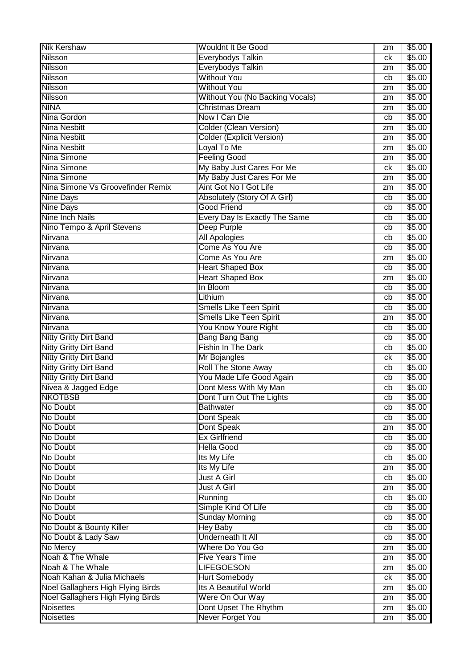| <b>Nik Kershaw</b>                | <b>Wouldnt It Be Good</b>        | zm | \$5.00           |
|-----------------------------------|----------------------------------|----|------------------|
| Nilsson                           | <b>Everybodys Talkin</b>         | ck | \$5.00           |
| <b>Nilsson</b>                    | <b>Everybodys Talkin</b>         | zm | \$5.00           |
| <b>Nilsson</b>                    | <b>Without You</b>               | cb | \$5.00           |
| <b>Nilsson</b>                    | <b>Without You</b>               | zm | \$5.00           |
| <b>Nilsson</b>                    | Without You (No Backing Vocals)  | zm | \$5.00           |
| <b>NINA</b>                       | <b>Christmas Dream</b>           | zm | \$5.00           |
| Nina Gordon                       | Now I Can Die                    | cb | \$5.00           |
| <b>Nina Nesbitt</b>               | <b>Colder (Clean Version)</b>    | zm | \$5.00           |
| <b>Nina Nesbitt</b>               | <b>Colder (Explicit Version)</b> | zm | \$5.00           |
| <b>Nina Nesbitt</b>               | Loyal To Me                      | zm | \$5.00           |
| Nina Simone                       | <b>Feeling Good</b>              | zm | \$5.00           |
| Nina Simone                       | My Baby Just Cares For Me        | сk | \$5.00           |
| Nina Simone                       | My Baby Just Cares For Me        | zm | \$5.00           |
| Nina Simone Vs Groovefinder Remix | Aint Got No I Got Life           | zm | \$5.00           |
| <b>Nine Days</b>                  | Absolutely (Story Of A Girl)     | cb | \$5.00           |
| <b>Nine Days</b>                  | <b>Good Friend</b>               | cb | \$5.00           |
| <b>Nine Inch Nails</b>            | Every Day Is Exactly The Same    | cb | \$5.00           |
| Nino Tempo & April Stevens        | Deep Purple                      | cb | \$5.00           |
| Nirvana                           | <b>All Apologies</b>             | cb | \$5.00           |
| Nirvana                           | Come As You Are                  | cb | \$5.00           |
| Nirvana                           | Come As You Are                  | zm | \$5.00           |
| Nirvana                           | <b>Heart Shaped Box</b>          | cb | \$5.00           |
| Nirvana                           | <b>Heart Shaped Box</b>          | zm | \$5.00           |
| Nirvana                           | In Bloom                         | cb | \$5.00           |
| Nirvana                           | Lithium                          | cb | \$5.00           |
| Nirvana                           | <b>Smells Like Teen Spirit</b>   | cb | \$5.00           |
| Nirvana                           | <b>Smells Like Teen Spirit</b>   | zm | \$5.00           |
| Nirvana                           | You Know Youre Right             | cb | \$5.00           |
| <b>Nitty Gritty Dirt Band</b>     | <b>Bang Bang Bang</b>            | cb | \$5.00           |
| <b>Nitty Gritty Dirt Band</b>     | <b>Fishin In The Dark</b>        | cb | \$5.00           |
| <b>Nitty Gritty Dirt Band</b>     | Mr Bojangles                     | ck | \$5.00           |
| <b>Nitty Gritty Dirt Band</b>     | <b>Roll The Stone Away</b>       | cb | \$5.00           |
| <b>Nitty Gritty Dirt Band</b>     | You Made Life Good Again         | cb | \$5.00           |
| Nivea & Jagged Edge               | Dont Mess With My Man            | cb | \$5.00           |
| <b>NKOTBSB</b>                    | Dont Turn Out The Lights         | cb | \$5.00           |
| No Doubt                          | <b>Bathwater</b>                 | cb | \$5.00           |
| No Doubt                          | Dont Speak                       | cb | \$5.00           |
| No Doubt                          | Dont Speak                       | zm | \$5.00           |
| No Doubt                          | <b>Ex Girlfriend</b>             | cb | \$5.00           |
| No Doubt                          | <b>Hella Good</b>                | cb | \$5.00           |
| No Doubt                          | Its My Life                      | cb | \$5.00           |
| No Doubt                          | Its My Life                      | zm | \$5.00           |
| No Doubt                          | Just A Girl                      | cb | \$5.00           |
| No Doubt                          | Just A Girl                      | zm | \$5.00           |
| No Doubt                          | Running                          | cb | \$5.00           |
| No Doubt                          | Simple Kind Of Life              | cb | \$5.00           |
| No Doubt                          | <b>Sunday Morning</b>            | cb | \$5.00           |
| No Doubt & Bounty Killer          | <b>Hey Baby</b>                  |    | \$5.00           |
| No Doubt & Lady Saw               | <b>Underneath It All</b>         | cb | \$5.00           |
|                                   | Where Do You Go                  | cb |                  |
| No Mercy<br>Noah & The Whale      | <b>Five Years Time</b>           | zm | \$5.00<br>\$5.00 |
| Noah & The Whale                  | <b>LIFEGOESON</b>                | zm |                  |
|                                   |                                  | zm | \$5.00           |
| Noah Kahan & Julia Michaels       | <b>Hurt Somebody</b>             | ck | \$5.00           |
| Noel Gallaghers High Flying Birds | Its A Beautiful World            | zm | \$5.00           |
| Noel Gallaghers High Flying Birds | Were On Our Way                  | zm | \$5.00           |
| <b>Noisettes</b>                  | Dont Upset The Rhythm            | zm | \$5.00           |
| <b>Noisettes</b>                  | <b>Never Forget You</b>          | zm | \$5.00           |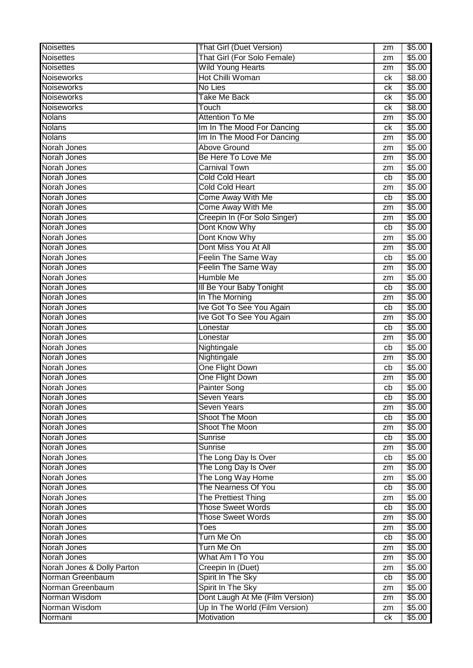| <b>Noisettes</b>           | <b>That Girl (Duet Version)</b> | zm | \$5.00 |
|----------------------------|---------------------------------|----|--------|
| <b>Noisettes</b>           | That Girl (For Solo Female)     | zm | \$5.00 |
| <b>Noisettes</b>           | Wild Young Hearts               | zm | \$5.00 |
| <b>Noiseworks</b>          | Hot Chilli Woman                | ck | \$8.00 |
| <b>Noiseworks</b>          | No Lies                         | ck | \$5.00 |
| <b>Noiseworks</b>          | <b>Take Me Back</b>             | ck | \$5.00 |
| Noiseworks                 | Touch                           | ck | \$8.00 |
| <b>Nolans</b>              | <b>Attention To Me</b>          | zm | \$5.00 |
| <b>Nolans</b>              | Im In The Mood For Dancing      | ck | \$5.00 |
| <b>Nolans</b>              | Im In The Mood For Dancing      | zm | \$5.00 |
| Norah Jones                | <b>Above Ground</b>             | zm | \$5.00 |
| Norah Jones                | Be Here To Love Me              | zm | \$5.00 |
| Norah Jones                | <b>Carnival Town</b>            | zm | \$5.00 |
| Norah Jones                | <b>Cold Cold Heart</b>          | cb | \$5.00 |
| Norah Jones                | <b>Cold Cold Heart</b>          | zm | \$5.00 |
| Norah Jones                | Come Away With Me               | cb | \$5.00 |
| Norah Jones                | Come Away With Me               | zm | \$5.00 |
| Norah Jones                | Creepin In (For Solo Singer)    | zm | \$5.00 |
| Norah Jones                | Dont Know Why                   | cb | \$5.00 |
| Norah Jones                | Dont Know Why                   | zm | \$5.00 |
| Norah Jones                | Dont Miss You At All            | zm | \$5.00 |
| Norah Jones                | Feelin The Same Way             | cb | \$5.00 |
| Norah Jones                | Feelin The Same Way             | zm | \$5.00 |
| Norah Jones                | Humble Me                       | zm | \$5.00 |
| Norah Jones                | III Be Your Baby Tonight        | cb | \$5.00 |
| Norah Jones                | In The Morning                  | zm | \$5.00 |
| Norah Jones                | Ive Got To See You Again        | cb | \$5.00 |
| Norah Jones                | Ive Got To See You Again        | zm | \$5.00 |
| Norah Jones                | Lonestar                        | cb | \$5.00 |
| Norah Jones                | Lonestar                        | zm | \$5.00 |
| Norah Jones                | Nightingale                     | cb | \$5.00 |
| Norah Jones                | Nightingale                     | zm | \$5.00 |
| Norah Jones                | One Flight Down                 | cb | \$5.00 |
| Norah Jones                | One Flight Down                 | zm | \$5.00 |
| Norah Jones                | <b>Painter Song</b>             | cb | \$5.00 |
| Norah Jones                | <b>Seven Years</b>              | cb | \$5.00 |
| Norah Jones                | <b>Seven Years</b>              | zm | \$5.00 |
| Norah Jones                | Shoot The Moon                  | cb | \$5.00 |
| Norah Jones                | Shoot The Moon                  | zm | \$5.00 |
| Norah Jones                | Sunrise                         | cb | \$5.00 |
| Norah Jones                | Sunrise                         | zm | \$5.00 |
| Norah Jones                | The Long Day Is Over            | cb | \$5.00 |
| Norah Jones                | The Long Day Is Over            | zm | \$5.00 |
| Norah Jones                | The Long Way Home               | zm | \$5.00 |
| Norah Jones                | The Nearness Of You             | cb | \$5.00 |
| Norah Jones                | The Prettiest Thing             | zm | \$5.00 |
| Norah Jones                | <b>Those Sweet Words</b>        | cb | \$5.00 |
| Norah Jones                | <b>Those Sweet Words</b>        | zm | \$5.00 |
| Norah Jones                | Toes                            | zm | \$5.00 |
| Norah Jones                | Turn Me On                      | cb | \$5.00 |
| Norah Jones                | Turn Me On                      | zm | \$5.00 |
| Norah Jones                | What Am I To You                | zm | \$5.00 |
| Norah Jones & Dolly Parton | Creepin In (Duet)               | zm | \$5.00 |
| Norman Greenbaum           | Spirit In The Sky               | cb | \$5.00 |
| Norman Greenbaum           | Spirit In The Sky               | zm | \$5.00 |
| Norman Wisdom              | Dont Laugh At Me (Film Version) | zm | \$5.00 |
| Norman Wisdom              | Up In The World (Film Version)  | zm | \$5.00 |
| Normani                    | Motivation                      | ck | \$5.00 |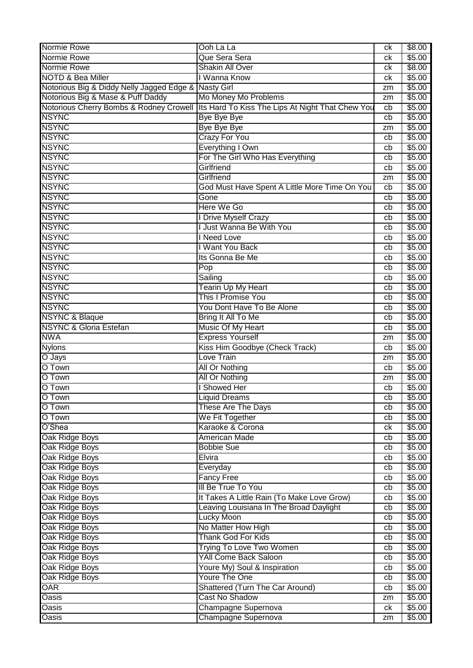| Normie Rowe                                          | Ooh La La                                        | ck | \$8.00 |
|------------------------------------------------------|--------------------------------------------------|----|--------|
| Normie Rowe                                          | Que Sera Sera                                    | ck | \$5.00 |
| Normie Rowe                                          | <b>Shakin All Over</b>                           | сk | \$8.00 |
| <b>NOTD &amp; Bea Miller</b>                         | I Wanna Know                                     | ck | \$5.00 |
| Notorious Big & Diddy Nelly Jagged Edge & Nasty Girl |                                                  | zm | \$5.00 |
| Notorious Big & Mase & Puff Daddy                    | Mo Money Mo Problems                             | zm | \$5.00 |
| Notorious Cherry Bombs & Rodney Crowell              | Its Hard To Kiss The Lips At Night That Chew You | cb | \$5.00 |
| <b>NSYNC</b>                                         | <b>Bye Bye Bye</b>                               | cb | \$5.00 |
| <b>NSYNC</b>                                         | <b>Bye Bye Bye</b>                               | zm | \$5.00 |
| <b>NSYNC</b>                                         | <b>Crazy For You</b>                             | cb | \$5.00 |
| <b>NSYNC</b>                                         | Everything I Own                                 | cb | \$5.00 |
| <b>NSYNC</b>                                         | For The Girl Who Has Everything                  | cb | \$5.00 |
| <b>NSYNC</b>                                         | Girlfriend                                       | cb | \$5.00 |
| <b>NSYNC</b>                                         | Girlfriend                                       | zm | \$5.00 |
| <b>NSYNC</b>                                         | God Must Have Spent A Little More Time On You    | cb | \$5.00 |
| <b>NSYNC</b>                                         | Gone                                             | cb | \$5.00 |
| <b>NSYNC</b>                                         | Here We Go                                       | cb | \$5.00 |
| <b>NSYNC</b>                                         | I Drive Myself Crazy                             | cb | \$5.00 |
| <b>NSYNC</b>                                         | I Just Wanna Be With You                         | cb | \$5.00 |
| <b>NSYNC</b>                                         | I Need Love                                      | cb | \$5.00 |
| <b>NSYNC</b>                                         | I Want You Back                                  | cb | \$5.00 |
| <b>NSYNC</b>                                         | Its Gonna Be Me                                  | cb | \$5.00 |
| <b>NSYNC</b>                                         | Pop                                              | cb | \$5.00 |
| <b>NSYNC</b>                                         | Sailing                                          | cb | \$5.00 |
| <b>NSYNC</b>                                         | <b>Tearin Up My Heart</b>                        | cb | \$5.00 |
| <b>NSYNC</b>                                         | <b>This I Promise You</b>                        | cb | \$5.00 |
| <b>NSYNC</b>                                         | You Dont Have To Be Alone                        | cb | \$5.00 |
| <b>NSYNC &amp; Blaque</b>                            | Bring It All To Me                               | cb | \$5.00 |
| <b>NSYNC &amp; Gloria Estefan</b>                    | Music Of My Heart                                | cb | \$5.00 |
| <b>NWA</b>                                           | <b>Express Yourself</b>                          | zm | \$5.00 |
| <b>Nylons</b>                                        | Kiss Him Goodbye (Check Track)                   | cb | \$5.00 |
| O Jays                                               | Love Train                                       | zm | \$5.00 |
| O Town                                               | <b>All Or Nothing</b>                            | cb | \$5.00 |
| O Town                                               | All Or Nothing                                   | zm | \$5.00 |
| O Town                                               | I Showed Her                                     | cb | \$5.00 |
| O Town                                               | Liquid Dreams                                    | cb | \$5.00 |
| O Town                                               | These Are The Days                               | cb | \$5.00 |
| O Town                                               | We Fit Together                                  | cb | \$5.00 |
| O'Shea                                               | Karaoke & Corona                                 | ck | \$5.00 |
| Oak Ridge Boys                                       | <b>American Made</b>                             | cb | \$5.00 |
| Oak Ridge Boys                                       | <b>Bobbie Sue</b>                                | cb | \$5.00 |
| Oak Ridge Boys                                       | Elvira                                           | cb | \$5.00 |
| Oak Ridge Boys                                       | Everyday                                         | cb | \$5.00 |
| Oak Ridge Boys                                       | <b>Fancy Free</b>                                | cb | \$5.00 |
| Oak Ridge Boys                                       | III Be True To You                               | cb | \$5.00 |
| Oak Ridge Boys                                       | It Takes A Little Rain (To Make Love Grow)       | cb | \$5.00 |
| Oak Ridge Boys                                       | Leaving Louisiana In The Broad Daylight          | cb | \$5.00 |
| Oak Ridge Boys                                       | <b>Lucky Moon</b>                                | cb | \$5.00 |
| Oak Ridge Boys                                       | No Matter How High                               | cb | \$5.00 |
| Oak Ridge Boys                                       | Thank God For Kids                               | cb | \$5.00 |
| Oak Ridge Boys                                       | Trying To Love Two Women                         | cb | \$5.00 |
| Oak Ridge Boys                                       | <b>YAII Come Back Saloon</b>                     | cb | \$5.00 |
| Oak Ridge Boys                                       | Youre My) Soul & Inspiration                     | cb | \$5.00 |
| Oak Ridge Boys                                       | Youre The One                                    | cb | \$5.00 |
| <b>OAR</b>                                           | Shattered (Turn The Car Around)                  | cb | \$5.00 |
| <b>Oasis</b>                                         | <b>Cast No Shadow</b>                            | zm | \$5.00 |
| Oasis                                                | Champagne Supernova                              | ck | \$5.00 |
| <b>Oasis</b>                                         | Champagne Supernova                              | zm | \$5.00 |
|                                                      |                                                  |    |        |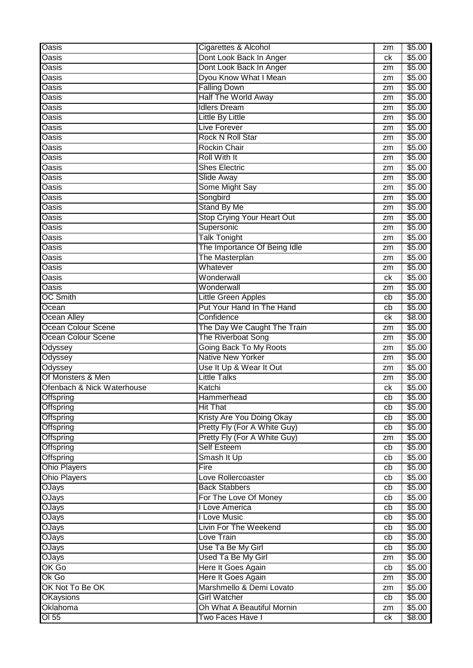| <b>Oasis</b>               | Cigarettes & Alcohol                           | zm       | \$5.00           |
|----------------------------|------------------------------------------------|----------|------------------|
| Oasis                      | Dont Look Back In Anger                        | ck       | \$5.00           |
| Oasis                      | Dont Look Back In Anger                        | zm       | \$5.00           |
| <b>Oasis</b>               | Dyou Know What I Mean                          | zm       | \$5.00           |
| <b>Oasis</b>               | <b>Falling Down</b>                            | zm       | \$5.00           |
| <b>Oasis</b>               | <b>Half The World Away</b>                     | zm       | \$5.00           |
| <b>Oasis</b>               | <b>Idlers Dream</b>                            | zm       | \$5.00           |
| Oasis                      | <b>Little By Little</b>                        | zm       | \$5.00           |
| <b>Oasis</b>               | Live Forever                                   | zm       | \$5.00           |
| <b>Oasis</b>               | <b>Rock N Roll Star</b>                        | zm       | \$5.00           |
| Oasis                      | <b>Rockin Chair</b>                            | zm       | \$5.00           |
| <b>Oasis</b>               | <b>Roll With It</b>                            | zm       | \$5.00           |
| Oasis                      | <b>Shes Electric</b>                           | zm       | \$5.00           |
| <b>Oasis</b>               | Slide Away                                     | zm       | \$5.00           |
| <b>Oasis</b>               | Some Might Say                                 | zm       | \$5.00           |
| <b>Oasis</b>               | Songbird                                       | zm       | \$5.00           |
| <b>Oasis</b>               | <b>Stand By Me</b>                             | zm       | \$5.00           |
| Oasis                      | <b>Stop Crying Your Heart Out</b>              | zm       | \$5.00           |
| Oasis                      | Supersonic                                     | zm       | \$5.00           |
| <b>Oasis</b>               | <b>Talk Tonight</b>                            | zm       | \$5.00           |
| Oasis                      | The Importance Of Being Idle                   | zm       | \$5.00           |
| <b>Oasis</b>               | The Masterplan                                 | zm       | \$5.00           |
| Oasis                      | Whatever                                       | zm       | \$5.00           |
| <b>Oasis</b>               | Wonderwall                                     | сk       | \$5.00           |
| <b>Oasis</b>               | Wonderwall                                     | zm       | \$5.00           |
| <b>OC Smith</b>            | <b>Little Green Apples</b>                     | cb       | \$5.00           |
| Ocean                      | Put Your Hand In The Hand                      | cb       | \$5.00           |
| <b>Ocean Alley</b>         | Confidence                                     | сk       | \$8.00           |
| <b>Ocean Colour Scene</b>  | The Day We Caught The Train                    | zm       | \$5.00           |
|                            |                                                |          |                  |
|                            |                                                |          |                  |
| <b>Ocean Colour Scene</b>  | The Riverboat Song                             | zm       | \$5.00           |
| Odyssey                    | <b>Going Back To My Roots</b>                  | zm       | \$5.00           |
| Odyssey                    | <b>Native New Yorker</b>                       | zm       | \$5.00           |
| Odyssey                    | Use It Up & Wear It Out                        | zm       | \$5.00           |
| Of Monsters & Men          | <b>Little Talks</b>                            | zm       | \$5.00           |
| Ofenbach & Nick Waterhouse | Katchi                                         | сk       | \$5.00           |
| Offspring                  | Hammerhead                                     | cb       | \$5.00           |
| Offspring                  | <b>Hit That</b>                                | cb       | \$5.00           |
| <b>Offspring</b>           | Kristy Are You Doing Okay                      | cb       | \$5.00           |
| <b>Offspring</b>           | Pretty Fly (For A White Guy)                   | cb       | \$5.00           |
| <b>Offspring</b>           | Pretty Fly (For A White Guy)                   | zm       | \$5.00           |
| <b>Offspring</b>           | <b>Self Esteem</b>                             | cb       | \$5.00           |
| <b>Offspring</b>           | Smash It Up                                    | cb       | \$5.00           |
| <b>Ohio Players</b>        | Fire                                           | cb       | \$5.00           |
| <b>Ohio Players</b>        | Love Rollercoaster                             | cb       | \$5.00           |
| <b>OJays</b>               | <b>Back Stabbers</b>                           | cb       | \$5.00           |
| <b>OJays</b>               | For The Love Of Money                          | cb       | \$5.00           |
| <b>OJays</b>               | I Love America                                 | cb       | \$5.00           |
| <b>OJays</b>               | I Love Music                                   | cb       | \$5.00           |
| <b>OJays</b>               | Livin For The Weekend                          | cb       | \$5.00           |
| OJays                      | Love Train                                     | cb       | \$5.00           |
| OJays                      | Use Ta Be My Girl                              | cb       | \$5.00           |
| OJays                      | <b>Used Ta Be My Girl</b>                      | zm       | \$5.00           |
| OK Go                      | Here It Goes Again                             | cb       | \$5.00           |
| Ok Go                      | Here It Goes Again                             | zm       | \$5.00           |
| OK Not To Be OK            | Marshmello & Demi Lovato                       | zm       | \$5.00           |
| <b>OKaysions</b>           | <b>Girl Watcher</b>                            | cb       | \$5.00           |
| Oklahoma<br>$OI$ 55        | Oh What A Beautiful Mornin<br>Two Faces Have I | zm<br>ck | \$5.00<br>\$8.00 |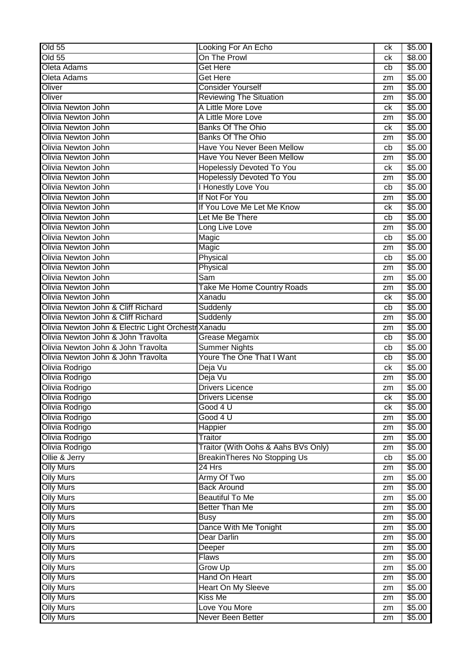| On The Prowl<br>Old 55<br>\$8.00<br>ck<br>Oleta Adams<br><b>Get Here</b><br>\$5.00<br>cb<br>Oleta Adams<br><b>Get Here</b><br>\$5.00<br>zm<br><b>Consider Yourself</b><br>Oliver<br>\$5.00<br>zm<br>Oliver<br><b>Reviewing The Situation</b><br>\$5.00<br>zm<br>Olivia Newton John<br>A Little More Love<br>\$5.00<br>ck<br><b>Olivia Newton John</b><br>A Little More Love<br>\$5.00<br>zm<br>Olivia Newton John<br><b>Banks Of The Ohio</b><br>\$5.00<br>ck<br><b>Banks Of The Ohio</b><br>Olivia Newton John<br>\$5.00<br>zm<br>Have You Never Been Mellow<br>Olivia Newton John<br>\$5.00<br>cb<br>Olivia Newton John<br>Have You Never Been Mellow<br>\$5.00<br>zm<br><b>Hopelessly Devoted To You</b><br>Olivia Newton John<br>\$5.00<br>ck<br><b>Hopelessly Devoted To You</b><br>Olivia Newton John<br>\$5.00<br>zm<br><b>Honestly Love You</b><br><b>Olivia Newton John</b><br>\$5.00<br>cb<br>If Not For You<br>Olivia Newton John<br>\$5.00<br>zm<br>Olivia Newton John<br>If You Love Me Let Me Know<br>\$5.00<br>ck<br>Let Me Be There<br>Olivia Newton John<br>\$5.00<br>cb<br><b>Olivia Newton John</b><br>Long Live Love<br>\$5.00<br>zm<br>Olivia Newton John<br>Magic<br>\$5.00<br>cb<br>Olivia Newton John<br>\$5.00<br>Magic<br>zm<br>Olivia Newton John<br>Physical<br>\$5.00<br>cb<br>Olivia Newton John<br>Physical<br>\$5.00<br>zm<br><b>Olivia Newton John</b><br>\$5.00<br>Sam<br>zm<br><b>Take Me Home Country Roads</b><br>Olivia Newton John<br>\$5.00<br>zm<br>Olivia Newton John<br>Xanadu<br>\$5.00<br>ck<br>Olivia Newton John & Cliff Richard<br>\$5.00<br>Suddenly<br>cb<br>Olivia Newton John & Cliff Richard<br>Suddenly<br>\$5.00<br>zm<br>Olivia Newton John & Electric Light Orchestr Xanadu<br>\$5.00<br>zm<br>Olivia Newton John & John Travolta<br>Grease Megamix<br>\$5.00<br>cb<br>Olivia Newton John & John Travolta<br><b>Summer Nights</b><br>\$5.00<br>cb<br>Youre The One That I Want<br>Olivia Newton John & John Travolta<br>\$5.00<br>cb<br>Deja Vu<br>Olivia Rodrigo<br>\$5.00<br>ck<br>Deja Vu<br>Olivia Rodrigo<br>\$5.00<br>zm<br>Olivia Rodrigo<br><b>Drivers Licence</b><br>\$5.00<br>zm<br>\$5.00<br>сk<br><b>Drivers License</b><br>\$5.00<br>Olivia Rodrigo<br>Good 4 U<br>ck<br>\$5.00<br>Olivia Rodrigo<br>Good 4 U<br>zm<br>Happier<br>\$5.00<br>Olivia Rodrigo<br>zm<br>Olivia Rodrigo<br>Traitor<br>\$5.00<br>zm<br>Traitor (With Oohs & Aahs BVs Only)<br>Olivia Rodrigo<br>\$5.00<br>zm<br>Ollie & Jerry<br>BreakinTheres No Stopping Us<br>\$5.00<br>cb<br><b>Olly Murs</b><br>24 Hrs<br>\$5.00<br>zm<br>\$5.00<br><b>Olly Murs</b><br>Army Of Two<br>zm<br><b>Back Around</b><br><b>Olly Murs</b><br>\$5.00<br>zm<br><b>Olly Murs</b><br><b>Beautiful To Me</b><br>\$5.00<br>zm<br><b>Better Than Me</b><br><b>Olly Murs</b><br>\$5.00<br>zm<br>\$5.00<br><b>Olly Murs</b><br><b>Busy</b><br>zm<br>Dance With Me Tonight<br><b>Olly Murs</b><br>\$5.00<br>zm<br><b>Olly Murs</b><br><b>Dear Darlin</b><br>\$5.00<br>zm<br><b>Olly Murs</b><br>\$5.00<br>Deeper<br>zm<br><b>Olly Murs</b><br><b>Flaws</b><br>\$5.00<br>zm<br>Grow Up<br><b>Olly Murs</b><br>\$5.00<br>zm<br><b>Olly Murs</b><br>Hand On Heart<br>\$5.00<br>zm<br><b>Olly Murs</b><br><b>Heart On My Sleeve</b><br>\$5.00<br>zm<br><b>Olly Murs</b><br>Kiss Me<br>\$5.00<br>zm<br><b>Olly Murs</b><br>Love You More<br>\$5.00<br>zm<br><b>Olly Murs</b><br>Never Been Better<br>\$5.00<br>zm | <b>Old 55</b>  | Looking For An Echo | ck | \$5.00 |
|-----------------------------------------------------------------------------------------------------------------------------------------------------------------------------------------------------------------------------------------------------------------------------------------------------------------------------------------------------------------------------------------------------------------------------------------------------------------------------------------------------------------------------------------------------------------------------------------------------------------------------------------------------------------------------------------------------------------------------------------------------------------------------------------------------------------------------------------------------------------------------------------------------------------------------------------------------------------------------------------------------------------------------------------------------------------------------------------------------------------------------------------------------------------------------------------------------------------------------------------------------------------------------------------------------------------------------------------------------------------------------------------------------------------------------------------------------------------------------------------------------------------------------------------------------------------------------------------------------------------------------------------------------------------------------------------------------------------------------------------------------------------------------------------------------------------------------------------------------------------------------------------------------------------------------------------------------------------------------------------------------------------------------------------------------------------------------------------------------------------------------------------------------------------------------------------------------------------------------------------------------------------------------------------------------------------------------------------------------------------------------------------------------------------------------------------------------------------------------------------------------------------------------------------------------------------------------------------------------------------------------------------------------------------------------------------------------------------------------------------------------------------------------------------------------------------------------------------------------------------------------------------------------------------------------------------------------------------------------------------------------------------------------------------------------------------------------------------------------------------------------------------------------------------------------------------------------------------------------------------------------------------------------------------------------------------------------------------------------------------------------------------------------------------------------------|----------------|---------------------|----|--------|
|                                                                                                                                                                                                                                                                                                                                                                                                                                                                                                                                                                                                                                                                                                                                                                                                                                                                                                                                                                                                                                                                                                                                                                                                                                                                                                                                                                                                                                                                                                                                                                                                                                                                                                                                                                                                                                                                                                                                                                                                                                                                                                                                                                                                                                                                                                                                                                                                                                                                                                                                                                                                                                                                                                                                                                                                                                                                                                                                                                                                                                                                                                                                                                                                                                                                                                                                                                                                                                   |                |                     |    |        |
|                                                                                                                                                                                                                                                                                                                                                                                                                                                                                                                                                                                                                                                                                                                                                                                                                                                                                                                                                                                                                                                                                                                                                                                                                                                                                                                                                                                                                                                                                                                                                                                                                                                                                                                                                                                                                                                                                                                                                                                                                                                                                                                                                                                                                                                                                                                                                                                                                                                                                                                                                                                                                                                                                                                                                                                                                                                                                                                                                                                                                                                                                                                                                                                                                                                                                                                                                                                                                                   |                |                     |    |        |
|                                                                                                                                                                                                                                                                                                                                                                                                                                                                                                                                                                                                                                                                                                                                                                                                                                                                                                                                                                                                                                                                                                                                                                                                                                                                                                                                                                                                                                                                                                                                                                                                                                                                                                                                                                                                                                                                                                                                                                                                                                                                                                                                                                                                                                                                                                                                                                                                                                                                                                                                                                                                                                                                                                                                                                                                                                                                                                                                                                                                                                                                                                                                                                                                                                                                                                                                                                                                                                   |                |                     |    |        |
|                                                                                                                                                                                                                                                                                                                                                                                                                                                                                                                                                                                                                                                                                                                                                                                                                                                                                                                                                                                                                                                                                                                                                                                                                                                                                                                                                                                                                                                                                                                                                                                                                                                                                                                                                                                                                                                                                                                                                                                                                                                                                                                                                                                                                                                                                                                                                                                                                                                                                                                                                                                                                                                                                                                                                                                                                                                                                                                                                                                                                                                                                                                                                                                                                                                                                                                                                                                                                                   |                |                     |    |        |
|                                                                                                                                                                                                                                                                                                                                                                                                                                                                                                                                                                                                                                                                                                                                                                                                                                                                                                                                                                                                                                                                                                                                                                                                                                                                                                                                                                                                                                                                                                                                                                                                                                                                                                                                                                                                                                                                                                                                                                                                                                                                                                                                                                                                                                                                                                                                                                                                                                                                                                                                                                                                                                                                                                                                                                                                                                                                                                                                                                                                                                                                                                                                                                                                                                                                                                                                                                                                                                   |                |                     |    |        |
|                                                                                                                                                                                                                                                                                                                                                                                                                                                                                                                                                                                                                                                                                                                                                                                                                                                                                                                                                                                                                                                                                                                                                                                                                                                                                                                                                                                                                                                                                                                                                                                                                                                                                                                                                                                                                                                                                                                                                                                                                                                                                                                                                                                                                                                                                                                                                                                                                                                                                                                                                                                                                                                                                                                                                                                                                                                                                                                                                                                                                                                                                                                                                                                                                                                                                                                                                                                                                                   |                |                     |    |        |
|                                                                                                                                                                                                                                                                                                                                                                                                                                                                                                                                                                                                                                                                                                                                                                                                                                                                                                                                                                                                                                                                                                                                                                                                                                                                                                                                                                                                                                                                                                                                                                                                                                                                                                                                                                                                                                                                                                                                                                                                                                                                                                                                                                                                                                                                                                                                                                                                                                                                                                                                                                                                                                                                                                                                                                                                                                                                                                                                                                                                                                                                                                                                                                                                                                                                                                                                                                                                                                   |                |                     |    |        |
|                                                                                                                                                                                                                                                                                                                                                                                                                                                                                                                                                                                                                                                                                                                                                                                                                                                                                                                                                                                                                                                                                                                                                                                                                                                                                                                                                                                                                                                                                                                                                                                                                                                                                                                                                                                                                                                                                                                                                                                                                                                                                                                                                                                                                                                                                                                                                                                                                                                                                                                                                                                                                                                                                                                                                                                                                                                                                                                                                                                                                                                                                                                                                                                                                                                                                                                                                                                                                                   |                |                     |    |        |
|                                                                                                                                                                                                                                                                                                                                                                                                                                                                                                                                                                                                                                                                                                                                                                                                                                                                                                                                                                                                                                                                                                                                                                                                                                                                                                                                                                                                                                                                                                                                                                                                                                                                                                                                                                                                                                                                                                                                                                                                                                                                                                                                                                                                                                                                                                                                                                                                                                                                                                                                                                                                                                                                                                                                                                                                                                                                                                                                                                                                                                                                                                                                                                                                                                                                                                                                                                                                                                   |                |                     |    |        |
|                                                                                                                                                                                                                                                                                                                                                                                                                                                                                                                                                                                                                                                                                                                                                                                                                                                                                                                                                                                                                                                                                                                                                                                                                                                                                                                                                                                                                                                                                                                                                                                                                                                                                                                                                                                                                                                                                                                                                                                                                                                                                                                                                                                                                                                                                                                                                                                                                                                                                                                                                                                                                                                                                                                                                                                                                                                                                                                                                                                                                                                                                                                                                                                                                                                                                                                                                                                                                                   |                |                     |    |        |
|                                                                                                                                                                                                                                                                                                                                                                                                                                                                                                                                                                                                                                                                                                                                                                                                                                                                                                                                                                                                                                                                                                                                                                                                                                                                                                                                                                                                                                                                                                                                                                                                                                                                                                                                                                                                                                                                                                                                                                                                                                                                                                                                                                                                                                                                                                                                                                                                                                                                                                                                                                                                                                                                                                                                                                                                                                                                                                                                                                                                                                                                                                                                                                                                                                                                                                                                                                                                                                   |                |                     |    |        |
|                                                                                                                                                                                                                                                                                                                                                                                                                                                                                                                                                                                                                                                                                                                                                                                                                                                                                                                                                                                                                                                                                                                                                                                                                                                                                                                                                                                                                                                                                                                                                                                                                                                                                                                                                                                                                                                                                                                                                                                                                                                                                                                                                                                                                                                                                                                                                                                                                                                                                                                                                                                                                                                                                                                                                                                                                                                                                                                                                                                                                                                                                                                                                                                                                                                                                                                                                                                                                                   |                |                     |    |        |
|                                                                                                                                                                                                                                                                                                                                                                                                                                                                                                                                                                                                                                                                                                                                                                                                                                                                                                                                                                                                                                                                                                                                                                                                                                                                                                                                                                                                                                                                                                                                                                                                                                                                                                                                                                                                                                                                                                                                                                                                                                                                                                                                                                                                                                                                                                                                                                                                                                                                                                                                                                                                                                                                                                                                                                                                                                                                                                                                                                                                                                                                                                                                                                                                                                                                                                                                                                                                                                   |                |                     |    |        |
|                                                                                                                                                                                                                                                                                                                                                                                                                                                                                                                                                                                                                                                                                                                                                                                                                                                                                                                                                                                                                                                                                                                                                                                                                                                                                                                                                                                                                                                                                                                                                                                                                                                                                                                                                                                                                                                                                                                                                                                                                                                                                                                                                                                                                                                                                                                                                                                                                                                                                                                                                                                                                                                                                                                                                                                                                                                                                                                                                                                                                                                                                                                                                                                                                                                                                                                                                                                                                                   |                |                     |    |        |
|                                                                                                                                                                                                                                                                                                                                                                                                                                                                                                                                                                                                                                                                                                                                                                                                                                                                                                                                                                                                                                                                                                                                                                                                                                                                                                                                                                                                                                                                                                                                                                                                                                                                                                                                                                                                                                                                                                                                                                                                                                                                                                                                                                                                                                                                                                                                                                                                                                                                                                                                                                                                                                                                                                                                                                                                                                                                                                                                                                                                                                                                                                                                                                                                                                                                                                                                                                                                                                   |                |                     |    |        |
|                                                                                                                                                                                                                                                                                                                                                                                                                                                                                                                                                                                                                                                                                                                                                                                                                                                                                                                                                                                                                                                                                                                                                                                                                                                                                                                                                                                                                                                                                                                                                                                                                                                                                                                                                                                                                                                                                                                                                                                                                                                                                                                                                                                                                                                                                                                                                                                                                                                                                                                                                                                                                                                                                                                                                                                                                                                                                                                                                                                                                                                                                                                                                                                                                                                                                                                                                                                                                                   |                |                     |    |        |
|                                                                                                                                                                                                                                                                                                                                                                                                                                                                                                                                                                                                                                                                                                                                                                                                                                                                                                                                                                                                                                                                                                                                                                                                                                                                                                                                                                                                                                                                                                                                                                                                                                                                                                                                                                                                                                                                                                                                                                                                                                                                                                                                                                                                                                                                                                                                                                                                                                                                                                                                                                                                                                                                                                                                                                                                                                                                                                                                                                                                                                                                                                                                                                                                                                                                                                                                                                                                                                   |                |                     |    |        |
|                                                                                                                                                                                                                                                                                                                                                                                                                                                                                                                                                                                                                                                                                                                                                                                                                                                                                                                                                                                                                                                                                                                                                                                                                                                                                                                                                                                                                                                                                                                                                                                                                                                                                                                                                                                                                                                                                                                                                                                                                                                                                                                                                                                                                                                                                                                                                                                                                                                                                                                                                                                                                                                                                                                                                                                                                                                                                                                                                                                                                                                                                                                                                                                                                                                                                                                                                                                                                                   |                |                     |    |        |
|                                                                                                                                                                                                                                                                                                                                                                                                                                                                                                                                                                                                                                                                                                                                                                                                                                                                                                                                                                                                                                                                                                                                                                                                                                                                                                                                                                                                                                                                                                                                                                                                                                                                                                                                                                                                                                                                                                                                                                                                                                                                                                                                                                                                                                                                                                                                                                                                                                                                                                                                                                                                                                                                                                                                                                                                                                                                                                                                                                                                                                                                                                                                                                                                                                                                                                                                                                                                                                   |                |                     |    |        |
|                                                                                                                                                                                                                                                                                                                                                                                                                                                                                                                                                                                                                                                                                                                                                                                                                                                                                                                                                                                                                                                                                                                                                                                                                                                                                                                                                                                                                                                                                                                                                                                                                                                                                                                                                                                                                                                                                                                                                                                                                                                                                                                                                                                                                                                                                                                                                                                                                                                                                                                                                                                                                                                                                                                                                                                                                                                                                                                                                                                                                                                                                                                                                                                                                                                                                                                                                                                                                                   |                |                     |    |        |
|                                                                                                                                                                                                                                                                                                                                                                                                                                                                                                                                                                                                                                                                                                                                                                                                                                                                                                                                                                                                                                                                                                                                                                                                                                                                                                                                                                                                                                                                                                                                                                                                                                                                                                                                                                                                                                                                                                                                                                                                                                                                                                                                                                                                                                                                                                                                                                                                                                                                                                                                                                                                                                                                                                                                                                                                                                                                                                                                                                                                                                                                                                                                                                                                                                                                                                                                                                                                                                   |                |                     |    |        |
|                                                                                                                                                                                                                                                                                                                                                                                                                                                                                                                                                                                                                                                                                                                                                                                                                                                                                                                                                                                                                                                                                                                                                                                                                                                                                                                                                                                                                                                                                                                                                                                                                                                                                                                                                                                                                                                                                                                                                                                                                                                                                                                                                                                                                                                                                                                                                                                                                                                                                                                                                                                                                                                                                                                                                                                                                                                                                                                                                                                                                                                                                                                                                                                                                                                                                                                                                                                                                                   |                |                     |    |        |
|                                                                                                                                                                                                                                                                                                                                                                                                                                                                                                                                                                                                                                                                                                                                                                                                                                                                                                                                                                                                                                                                                                                                                                                                                                                                                                                                                                                                                                                                                                                                                                                                                                                                                                                                                                                                                                                                                                                                                                                                                                                                                                                                                                                                                                                                                                                                                                                                                                                                                                                                                                                                                                                                                                                                                                                                                                                                                                                                                                                                                                                                                                                                                                                                                                                                                                                                                                                                                                   |                |                     |    |        |
|                                                                                                                                                                                                                                                                                                                                                                                                                                                                                                                                                                                                                                                                                                                                                                                                                                                                                                                                                                                                                                                                                                                                                                                                                                                                                                                                                                                                                                                                                                                                                                                                                                                                                                                                                                                                                                                                                                                                                                                                                                                                                                                                                                                                                                                                                                                                                                                                                                                                                                                                                                                                                                                                                                                                                                                                                                                                                                                                                                                                                                                                                                                                                                                                                                                                                                                                                                                                                                   |                |                     |    |        |
|                                                                                                                                                                                                                                                                                                                                                                                                                                                                                                                                                                                                                                                                                                                                                                                                                                                                                                                                                                                                                                                                                                                                                                                                                                                                                                                                                                                                                                                                                                                                                                                                                                                                                                                                                                                                                                                                                                                                                                                                                                                                                                                                                                                                                                                                                                                                                                                                                                                                                                                                                                                                                                                                                                                                                                                                                                                                                                                                                                                                                                                                                                                                                                                                                                                                                                                                                                                                                                   |                |                     |    |        |
|                                                                                                                                                                                                                                                                                                                                                                                                                                                                                                                                                                                                                                                                                                                                                                                                                                                                                                                                                                                                                                                                                                                                                                                                                                                                                                                                                                                                                                                                                                                                                                                                                                                                                                                                                                                                                                                                                                                                                                                                                                                                                                                                                                                                                                                                                                                                                                                                                                                                                                                                                                                                                                                                                                                                                                                                                                                                                                                                                                                                                                                                                                                                                                                                                                                                                                                                                                                                                                   |                |                     |    |        |
|                                                                                                                                                                                                                                                                                                                                                                                                                                                                                                                                                                                                                                                                                                                                                                                                                                                                                                                                                                                                                                                                                                                                                                                                                                                                                                                                                                                                                                                                                                                                                                                                                                                                                                                                                                                                                                                                                                                                                                                                                                                                                                                                                                                                                                                                                                                                                                                                                                                                                                                                                                                                                                                                                                                                                                                                                                                                                                                                                                                                                                                                                                                                                                                                                                                                                                                                                                                                                                   |                |                     |    |        |
|                                                                                                                                                                                                                                                                                                                                                                                                                                                                                                                                                                                                                                                                                                                                                                                                                                                                                                                                                                                                                                                                                                                                                                                                                                                                                                                                                                                                                                                                                                                                                                                                                                                                                                                                                                                                                                                                                                                                                                                                                                                                                                                                                                                                                                                                                                                                                                                                                                                                                                                                                                                                                                                                                                                                                                                                                                                                                                                                                                                                                                                                                                                                                                                                                                                                                                                                                                                                                                   |                |                     |    |        |
|                                                                                                                                                                                                                                                                                                                                                                                                                                                                                                                                                                                                                                                                                                                                                                                                                                                                                                                                                                                                                                                                                                                                                                                                                                                                                                                                                                                                                                                                                                                                                                                                                                                                                                                                                                                                                                                                                                                                                                                                                                                                                                                                                                                                                                                                                                                                                                                                                                                                                                                                                                                                                                                                                                                                                                                                                                                                                                                                                                                                                                                                                                                                                                                                                                                                                                                                                                                                                                   |                |                     |    |        |
|                                                                                                                                                                                                                                                                                                                                                                                                                                                                                                                                                                                                                                                                                                                                                                                                                                                                                                                                                                                                                                                                                                                                                                                                                                                                                                                                                                                                                                                                                                                                                                                                                                                                                                                                                                                                                                                                                                                                                                                                                                                                                                                                                                                                                                                                                                                                                                                                                                                                                                                                                                                                                                                                                                                                                                                                                                                                                                                                                                                                                                                                                                                                                                                                                                                                                                                                                                                                                                   |                |                     |    |        |
|                                                                                                                                                                                                                                                                                                                                                                                                                                                                                                                                                                                                                                                                                                                                                                                                                                                                                                                                                                                                                                                                                                                                                                                                                                                                                                                                                                                                                                                                                                                                                                                                                                                                                                                                                                                                                                                                                                                                                                                                                                                                                                                                                                                                                                                                                                                                                                                                                                                                                                                                                                                                                                                                                                                                                                                                                                                                                                                                                                                                                                                                                                                                                                                                                                                                                                                                                                                                                                   |                |                     |    |        |
|                                                                                                                                                                                                                                                                                                                                                                                                                                                                                                                                                                                                                                                                                                                                                                                                                                                                                                                                                                                                                                                                                                                                                                                                                                                                                                                                                                                                                                                                                                                                                                                                                                                                                                                                                                                                                                                                                                                                                                                                                                                                                                                                                                                                                                                                                                                                                                                                                                                                                                                                                                                                                                                                                                                                                                                                                                                                                                                                                                                                                                                                                                                                                                                                                                                                                                                                                                                                                                   |                |                     |    |        |
|                                                                                                                                                                                                                                                                                                                                                                                                                                                                                                                                                                                                                                                                                                                                                                                                                                                                                                                                                                                                                                                                                                                                                                                                                                                                                                                                                                                                                                                                                                                                                                                                                                                                                                                                                                                                                                                                                                                                                                                                                                                                                                                                                                                                                                                                                                                                                                                                                                                                                                                                                                                                                                                                                                                                                                                                                                                                                                                                                                                                                                                                                                                                                                                                                                                                                                                                                                                                                                   |                |                     |    |        |
|                                                                                                                                                                                                                                                                                                                                                                                                                                                                                                                                                                                                                                                                                                                                                                                                                                                                                                                                                                                                                                                                                                                                                                                                                                                                                                                                                                                                                                                                                                                                                                                                                                                                                                                                                                                                                                                                                                                                                                                                                                                                                                                                                                                                                                                                                                                                                                                                                                                                                                                                                                                                                                                                                                                                                                                                                                                                                                                                                                                                                                                                                                                                                                                                                                                                                                                                                                                                                                   |                |                     |    |        |
|                                                                                                                                                                                                                                                                                                                                                                                                                                                                                                                                                                                                                                                                                                                                                                                                                                                                                                                                                                                                                                                                                                                                                                                                                                                                                                                                                                                                                                                                                                                                                                                                                                                                                                                                                                                                                                                                                                                                                                                                                                                                                                                                                                                                                                                                                                                                                                                                                                                                                                                                                                                                                                                                                                                                                                                                                                                                                                                                                                                                                                                                                                                                                                                                                                                                                                                                                                                                                                   |                |                     |    |        |
|                                                                                                                                                                                                                                                                                                                                                                                                                                                                                                                                                                                                                                                                                                                                                                                                                                                                                                                                                                                                                                                                                                                                                                                                                                                                                                                                                                                                                                                                                                                                                                                                                                                                                                                                                                                                                                                                                                                                                                                                                                                                                                                                                                                                                                                                                                                                                                                                                                                                                                                                                                                                                                                                                                                                                                                                                                                                                                                                                                                                                                                                                                                                                                                                                                                                                                                                                                                                                                   |                |                     |    |        |
|                                                                                                                                                                                                                                                                                                                                                                                                                                                                                                                                                                                                                                                                                                                                                                                                                                                                                                                                                                                                                                                                                                                                                                                                                                                                                                                                                                                                                                                                                                                                                                                                                                                                                                                                                                                                                                                                                                                                                                                                                                                                                                                                                                                                                                                                                                                                                                                                                                                                                                                                                                                                                                                                                                                                                                                                                                                                                                                                                                                                                                                                                                                                                                                                                                                                                                                                                                                                                                   | Olivia Rodrigo |                     |    |        |
|                                                                                                                                                                                                                                                                                                                                                                                                                                                                                                                                                                                                                                                                                                                                                                                                                                                                                                                                                                                                                                                                                                                                                                                                                                                                                                                                                                                                                                                                                                                                                                                                                                                                                                                                                                                                                                                                                                                                                                                                                                                                                                                                                                                                                                                                                                                                                                                                                                                                                                                                                                                                                                                                                                                                                                                                                                                                                                                                                                                                                                                                                                                                                                                                                                                                                                                                                                                                                                   |                |                     |    |        |
|                                                                                                                                                                                                                                                                                                                                                                                                                                                                                                                                                                                                                                                                                                                                                                                                                                                                                                                                                                                                                                                                                                                                                                                                                                                                                                                                                                                                                                                                                                                                                                                                                                                                                                                                                                                                                                                                                                                                                                                                                                                                                                                                                                                                                                                                                                                                                                                                                                                                                                                                                                                                                                                                                                                                                                                                                                                                                                                                                                                                                                                                                                                                                                                                                                                                                                                                                                                                                                   |                |                     |    |        |
|                                                                                                                                                                                                                                                                                                                                                                                                                                                                                                                                                                                                                                                                                                                                                                                                                                                                                                                                                                                                                                                                                                                                                                                                                                                                                                                                                                                                                                                                                                                                                                                                                                                                                                                                                                                                                                                                                                                                                                                                                                                                                                                                                                                                                                                                                                                                                                                                                                                                                                                                                                                                                                                                                                                                                                                                                                                                                                                                                                                                                                                                                                                                                                                                                                                                                                                                                                                                                                   |                |                     |    |        |
|                                                                                                                                                                                                                                                                                                                                                                                                                                                                                                                                                                                                                                                                                                                                                                                                                                                                                                                                                                                                                                                                                                                                                                                                                                                                                                                                                                                                                                                                                                                                                                                                                                                                                                                                                                                                                                                                                                                                                                                                                                                                                                                                                                                                                                                                                                                                                                                                                                                                                                                                                                                                                                                                                                                                                                                                                                                                                                                                                                                                                                                                                                                                                                                                                                                                                                                                                                                                                                   |                |                     |    |        |
|                                                                                                                                                                                                                                                                                                                                                                                                                                                                                                                                                                                                                                                                                                                                                                                                                                                                                                                                                                                                                                                                                                                                                                                                                                                                                                                                                                                                                                                                                                                                                                                                                                                                                                                                                                                                                                                                                                                                                                                                                                                                                                                                                                                                                                                                                                                                                                                                                                                                                                                                                                                                                                                                                                                                                                                                                                                                                                                                                                                                                                                                                                                                                                                                                                                                                                                                                                                                                                   |                |                     |    |        |
|                                                                                                                                                                                                                                                                                                                                                                                                                                                                                                                                                                                                                                                                                                                                                                                                                                                                                                                                                                                                                                                                                                                                                                                                                                                                                                                                                                                                                                                                                                                                                                                                                                                                                                                                                                                                                                                                                                                                                                                                                                                                                                                                                                                                                                                                                                                                                                                                                                                                                                                                                                                                                                                                                                                                                                                                                                                                                                                                                                                                                                                                                                                                                                                                                                                                                                                                                                                                                                   |                |                     |    |        |
|                                                                                                                                                                                                                                                                                                                                                                                                                                                                                                                                                                                                                                                                                                                                                                                                                                                                                                                                                                                                                                                                                                                                                                                                                                                                                                                                                                                                                                                                                                                                                                                                                                                                                                                                                                                                                                                                                                                                                                                                                                                                                                                                                                                                                                                                                                                                                                                                                                                                                                                                                                                                                                                                                                                                                                                                                                                                                                                                                                                                                                                                                                                                                                                                                                                                                                                                                                                                                                   |                |                     |    |        |
|                                                                                                                                                                                                                                                                                                                                                                                                                                                                                                                                                                                                                                                                                                                                                                                                                                                                                                                                                                                                                                                                                                                                                                                                                                                                                                                                                                                                                                                                                                                                                                                                                                                                                                                                                                                                                                                                                                                                                                                                                                                                                                                                                                                                                                                                                                                                                                                                                                                                                                                                                                                                                                                                                                                                                                                                                                                                                                                                                                                                                                                                                                                                                                                                                                                                                                                                                                                                                                   |                |                     |    |        |
|                                                                                                                                                                                                                                                                                                                                                                                                                                                                                                                                                                                                                                                                                                                                                                                                                                                                                                                                                                                                                                                                                                                                                                                                                                                                                                                                                                                                                                                                                                                                                                                                                                                                                                                                                                                                                                                                                                                                                                                                                                                                                                                                                                                                                                                                                                                                                                                                                                                                                                                                                                                                                                                                                                                                                                                                                                                                                                                                                                                                                                                                                                                                                                                                                                                                                                                                                                                                                                   |                |                     |    |        |
|                                                                                                                                                                                                                                                                                                                                                                                                                                                                                                                                                                                                                                                                                                                                                                                                                                                                                                                                                                                                                                                                                                                                                                                                                                                                                                                                                                                                                                                                                                                                                                                                                                                                                                                                                                                                                                                                                                                                                                                                                                                                                                                                                                                                                                                                                                                                                                                                                                                                                                                                                                                                                                                                                                                                                                                                                                                                                                                                                                                                                                                                                                                                                                                                                                                                                                                                                                                                                                   |                |                     |    |        |
|                                                                                                                                                                                                                                                                                                                                                                                                                                                                                                                                                                                                                                                                                                                                                                                                                                                                                                                                                                                                                                                                                                                                                                                                                                                                                                                                                                                                                                                                                                                                                                                                                                                                                                                                                                                                                                                                                                                                                                                                                                                                                                                                                                                                                                                                                                                                                                                                                                                                                                                                                                                                                                                                                                                                                                                                                                                                                                                                                                                                                                                                                                                                                                                                                                                                                                                                                                                                                                   |                |                     |    |        |
|                                                                                                                                                                                                                                                                                                                                                                                                                                                                                                                                                                                                                                                                                                                                                                                                                                                                                                                                                                                                                                                                                                                                                                                                                                                                                                                                                                                                                                                                                                                                                                                                                                                                                                                                                                                                                                                                                                                                                                                                                                                                                                                                                                                                                                                                                                                                                                                                                                                                                                                                                                                                                                                                                                                                                                                                                                                                                                                                                                                                                                                                                                                                                                                                                                                                                                                                                                                                                                   |                |                     |    |        |
|                                                                                                                                                                                                                                                                                                                                                                                                                                                                                                                                                                                                                                                                                                                                                                                                                                                                                                                                                                                                                                                                                                                                                                                                                                                                                                                                                                                                                                                                                                                                                                                                                                                                                                                                                                                                                                                                                                                                                                                                                                                                                                                                                                                                                                                                                                                                                                                                                                                                                                                                                                                                                                                                                                                                                                                                                                                                                                                                                                                                                                                                                                                                                                                                                                                                                                                                                                                                                                   |                |                     |    |        |
|                                                                                                                                                                                                                                                                                                                                                                                                                                                                                                                                                                                                                                                                                                                                                                                                                                                                                                                                                                                                                                                                                                                                                                                                                                                                                                                                                                                                                                                                                                                                                                                                                                                                                                                                                                                                                                                                                                                                                                                                                                                                                                                                                                                                                                                                                                                                                                                                                                                                                                                                                                                                                                                                                                                                                                                                                                                                                                                                                                                                                                                                                                                                                                                                                                                                                                                                                                                                                                   |                |                     |    |        |
|                                                                                                                                                                                                                                                                                                                                                                                                                                                                                                                                                                                                                                                                                                                                                                                                                                                                                                                                                                                                                                                                                                                                                                                                                                                                                                                                                                                                                                                                                                                                                                                                                                                                                                                                                                                                                                                                                                                                                                                                                                                                                                                                                                                                                                                                                                                                                                                                                                                                                                                                                                                                                                                                                                                                                                                                                                                                                                                                                                                                                                                                                                                                                                                                                                                                                                                                                                                                                                   |                |                     |    |        |
|                                                                                                                                                                                                                                                                                                                                                                                                                                                                                                                                                                                                                                                                                                                                                                                                                                                                                                                                                                                                                                                                                                                                                                                                                                                                                                                                                                                                                                                                                                                                                                                                                                                                                                                                                                                                                                                                                                                                                                                                                                                                                                                                                                                                                                                                                                                                                                                                                                                                                                                                                                                                                                                                                                                                                                                                                                                                                                                                                                                                                                                                                                                                                                                                                                                                                                                                                                                                                                   |                |                     |    |        |
|                                                                                                                                                                                                                                                                                                                                                                                                                                                                                                                                                                                                                                                                                                                                                                                                                                                                                                                                                                                                                                                                                                                                                                                                                                                                                                                                                                                                                                                                                                                                                                                                                                                                                                                                                                                                                                                                                                                                                                                                                                                                                                                                                                                                                                                                                                                                                                                                                                                                                                                                                                                                                                                                                                                                                                                                                                                                                                                                                                                                                                                                                                                                                                                                                                                                                                                                                                                                                                   |                |                     |    |        |
|                                                                                                                                                                                                                                                                                                                                                                                                                                                                                                                                                                                                                                                                                                                                                                                                                                                                                                                                                                                                                                                                                                                                                                                                                                                                                                                                                                                                                                                                                                                                                                                                                                                                                                                                                                                                                                                                                                                                                                                                                                                                                                                                                                                                                                                                                                                                                                                                                                                                                                                                                                                                                                                                                                                                                                                                                                                                                                                                                                                                                                                                                                                                                                                                                                                                                                                                                                                                                                   |                |                     |    |        |
|                                                                                                                                                                                                                                                                                                                                                                                                                                                                                                                                                                                                                                                                                                                                                                                                                                                                                                                                                                                                                                                                                                                                                                                                                                                                                                                                                                                                                                                                                                                                                                                                                                                                                                                                                                                                                                                                                                                                                                                                                                                                                                                                                                                                                                                                                                                                                                                                                                                                                                                                                                                                                                                                                                                                                                                                                                                                                                                                                                                                                                                                                                                                                                                                                                                                                                                                                                                                                                   |                |                     |    |        |
|                                                                                                                                                                                                                                                                                                                                                                                                                                                                                                                                                                                                                                                                                                                                                                                                                                                                                                                                                                                                                                                                                                                                                                                                                                                                                                                                                                                                                                                                                                                                                                                                                                                                                                                                                                                                                                                                                                                                                                                                                                                                                                                                                                                                                                                                                                                                                                                                                                                                                                                                                                                                                                                                                                                                                                                                                                                                                                                                                                                                                                                                                                                                                                                                                                                                                                                                                                                                                                   |                |                     |    |        |
|                                                                                                                                                                                                                                                                                                                                                                                                                                                                                                                                                                                                                                                                                                                                                                                                                                                                                                                                                                                                                                                                                                                                                                                                                                                                                                                                                                                                                                                                                                                                                                                                                                                                                                                                                                                                                                                                                                                                                                                                                                                                                                                                                                                                                                                                                                                                                                                                                                                                                                                                                                                                                                                                                                                                                                                                                                                                                                                                                                                                                                                                                                                                                                                                                                                                                                                                                                                                                                   |                |                     |    |        |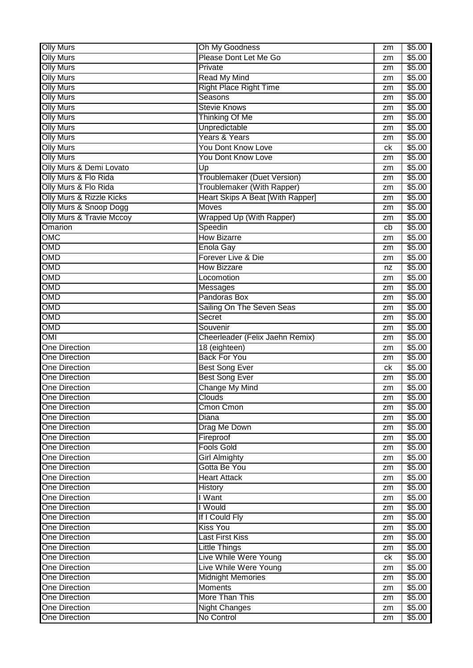| <b>Olly Murs</b>                    | Oh My Goodness                   | zm | \$5.00 |
|-------------------------------------|----------------------------------|----|--------|
| <b>Olly Murs</b>                    | Please Dont Let Me Go            | zm | \$5.00 |
| <b>Olly Murs</b>                    | Private                          | zm | \$5.00 |
| <b>Olly Murs</b>                    | <b>Read My Mind</b>              | zm | \$5.00 |
| <b>Olly Murs</b>                    | <b>Right Place Right Time</b>    | zm | \$5.00 |
| <b>Olly Murs</b>                    | <b>Seasons</b>                   | zm | \$5.00 |
| <b>Olly Murs</b>                    | <b>Stevie Knows</b>              | zm | \$5.00 |
| <b>Olly Murs</b>                    | <b>Thinking Of Me</b>            | zm | \$5.00 |
| <b>Olly Murs</b>                    | Unpredictable                    | zm | \$5.00 |
| <b>Olly Murs</b>                    | Years & Years                    | zm | \$5.00 |
| <b>Olly Murs</b>                    | You Dont Know Love               | ck | \$5.00 |
| <b>Olly Murs</b>                    | <b>You Dont Know Love</b>        | zm | \$5.00 |
| <b>Olly Murs &amp; Demi Lovato</b>  | Up                               | zm | \$5.00 |
| Olly Murs & Flo Rida                | Troublemaker (Duet Version)      |    | \$5.00 |
| Olly Murs & Flo Rida                | Troublemaker (With Rapper)       | zm | \$5.00 |
| Olly Murs & Rizzle Kicks            | Heart Skips A Beat [With Rapper] | zm |        |
|                                     |                                  | zm | \$5.00 |
| Olly Murs & Snoop Dogg              | <b>Moves</b>                     | zm | \$5.00 |
| <b>Olly Murs &amp; Travie Mccoy</b> | <b>Wrapped Up (With Rapper)</b>  | zm | \$5.00 |
| Omarion                             | Speedin                          | cb | \$5.00 |
| OMC                                 | <b>How Bizarre</b>               | zm | \$5.00 |
| OMD                                 | <b>Enola Gay</b>                 | zm | \$5.00 |
| OMD                                 | Forever Live & Die               | zm | \$5.00 |
| OMD                                 | <b>How Bizzare</b>               | nz | \$5.00 |
| OMD                                 | Locomotion                       | zm | \$5.00 |
| OMD                                 | <b>Messages</b>                  | zm | \$5.00 |
| OMD                                 | Pandoras Box                     | zm | \$5.00 |
| OMD                                 | Sailing On The Seven Seas        | zm | \$5.00 |
| OMD                                 | <b>Secret</b>                    | zm | \$5.00 |
| OMD                                 | Souvenir                         | zm | \$5.00 |
| OMI                                 | Cheerleader (Felix Jaehn Remix)  | zm | \$5.00 |
| <b>One Direction</b>                | 18 (eighteen)                    | zm | \$5.00 |
| <b>One Direction</b>                | <b>Back For You</b>              | zm | \$5.00 |
| <b>One Direction</b>                | <b>Best Song Ever</b>            | ck | \$5.00 |
| <b>One Direction</b>                | <b>Best Song Ever</b>            | zm | \$5.00 |
| <b>One Direction</b>                | <b>Change My Mind</b>            | zm | \$5.00 |
| <b>One Direction</b>                | <b>Clouds</b>                    | zm | \$5.00 |
| <b>One Direction</b>                | Cmon Cmon                        | zm | \$5.00 |
| <b>One Direction</b>                | <b>Diana</b>                     | zm | \$5.00 |
| <b>One Direction</b>                | Drag Me Down                     | zm | \$5.00 |
| <b>One Direction</b>                | Fireproof                        | zm | \$5.00 |
| <b>One Direction</b>                | <b>Fools Gold</b>                | zm | \$5.00 |
| <b>One Direction</b>                | <b>Girl Almighty</b>             | zm | \$5.00 |
| <b>One Direction</b>                | Gotta Be You                     | zm | \$5.00 |
| <b>One Direction</b>                | <b>Heart Attack</b>              | zm | \$5.00 |
| <b>One Direction</b>                | <b>History</b>                   | zm | \$5.00 |
| <b>One Direction</b>                | I Want                           | zm | \$5.00 |
| <b>One Direction</b>                | I Would                          | zm | \$5.00 |
| <b>One Direction</b>                | If I Could Fly                   | zm | \$5.00 |
| <b>One Direction</b>                | <b>Kiss You</b>                  | zm | \$5.00 |
| <b>One Direction</b>                | Last First Kiss                  | zm | \$5.00 |
| <b>One Direction</b>                | <b>Little Things</b>             | zm | \$5.00 |
| <b>One Direction</b>                | Live While Were Young            | ck | \$5.00 |
| <b>One Direction</b>                | Live While Were Young            | zm | \$5.00 |
| <b>One Direction</b>                | <b>Midnight Memories</b>         | zm | \$5.00 |
| <b>One Direction</b>                | <b>Moments</b>                   | zm | \$5.00 |
| <b>One Direction</b>                | More Than This                   | zm | \$5.00 |
| <b>One Direction</b>                | <b>Night Changes</b>             | zm | \$5.00 |
| <b>One Direction</b>                | No Control                       | zm | \$5.00 |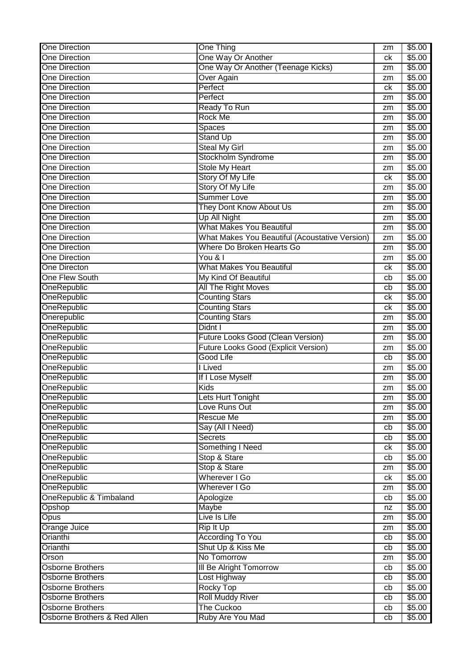| One Direction           | <b>One Thing</b>                                      | zm | \$5.00 |
|-------------------------|-------------------------------------------------------|----|--------|
| <b>One Direction</b>    | One Way Or Another                                    | ck | \$5.00 |
| <b>One Direction</b>    | One Way Or Another (Teenage Kicks)                    | zm | \$5.00 |
| <b>One Direction</b>    | Over Again                                            | zm | \$5.00 |
| <b>One Direction</b>    | Perfect                                               | ck | \$5.00 |
| <b>One Direction</b>    | Perfect                                               | zm | \$5.00 |
| <b>One Direction</b>    | Ready To Run                                          | zm | \$5.00 |
| <b>One Direction</b>    | <b>Rock Me</b>                                        | zm | \$5.00 |
| <b>One Direction</b>    | Spaces                                                | zm | \$5.00 |
| <b>One Direction</b>    | <b>Stand Up</b>                                       | zm | \$5.00 |
| <b>One Direction</b>    | <b>Steal My Girl</b>                                  | zm | \$5.00 |
| <b>One Direction</b>    | Stockholm Syndrome                                    |    | \$5.00 |
| <b>One Direction</b>    | <b>Stole My Heart</b>                                 | zm | \$5.00 |
|                         |                                                       | zm |        |
| <b>One Direction</b>    | Story Of My Life                                      | ck | \$5.00 |
| <b>One Direction</b>    | Story Of My Life                                      | zm | \$5.00 |
| <b>One Direction</b>    | Summer Love                                           | zm | \$5.00 |
| <b>One Direction</b>    | They Dont Know About Us                               | zm | \$5.00 |
| <b>One Direction</b>    | Up All Night                                          | zm | \$5.00 |
| <b>One Direction</b>    | <b>What Makes You Beautiful</b>                       | zm | \$5.00 |
| <b>One Direction</b>    | <b>What Makes You Beautiful (Acoustative Version)</b> | zm | \$5.00 |
| <b>One Direction</b>    | Where Do Broken Hearts Go                             | zm | \$5.00 |
| <b>One Direction</b>    | You & I                                               | zm | \$5.00 |
| <b>One Directon</b>     | <b>What Makes You Beautiful</b>                       | ck | \$5.00 |
| One Flew South          | My Kind Of Beautiful                                  | cb | \$5.00 |
| <b>OneRepublic</b>      | All The Right Moves                                   | cb | \$5.00 |
| OneRepublic             | <b>Counting Stars</b>                                 | ck | \$5.00 |
| <b>OneRepublic</b>      | <b>Counting Stars</b>                                 | ck | \$5.00 |
| Onerepublic             | <b>Counting Stars</b>                                 | zm | \$5.00 |
| <b>OneRepublic</b>      | Didnt I                                               | zm | \$5.00 |
| <b>OneRepublic</b>      | Future Looks Good (Clean Version)                     | zm | \$5.00 |
| <b>OneRepublic</b>      | Future Looks Good (Explicit Version)                  | zm | \$5.00 |
| <b>OneRepublic</b>      | <b>Good Life</b>                                      | cb | \$5.00 |
| <b>OneRepublic</b>      | I Lived                                               | zm | \$5.00 |
| <b>OneRepublic</b>      | If I Lose Myself                                      | zm | \$5.00 |
| <b>OneRepublic</b>      | <b>Kids</b>                                           | zm | \$5.00 |
| OneRepublic             | Lets Hurt Tonight                                     | zm | \$5.00 |
| OneRepublic             | Love Runs Out                                         | zm | \$5.00 |
| OneRepublic             | <b>Rescue Me</b>                                      | zm | \$5.00 |
| <b>OneRepublic</b>      | Say (All I Need)                                      | cb | \$5.00 |
| <b>OneRepublic</b>      | Secrets                                               | cb | \$5.00 |
| <b>OneRepublic</b>      | Something I Need                                      | ck | \$5.00 |
| OneRepublic             | Stop & Stare                                          | cb | \$5.00 |
| OneRepublic             | Stop & Stare                                          | zm | \$5.00 |
| <b>OneRepublic</b>      | Wherever I Go                                         | ck | \$5.00 |
| OneRepublic             | Wherever I Go                                         | zm | \$5.00 |
| OneRepublic & Timbaland | Apologize                                             | cb | \$5.00 |
| Opshop                  | Maybe                                                 | nz | \$5.00 |
| <b>Opus</b>             | Live Is Life                                          | zm | \$5.00 |
| Orange Juice            | Rip It Up                                             | zm | \$5.00 |
| Orianthi                | <b>According To You</b>                               | cb | \$5.00 |
| Orianthi                | Shut Up & Kiss Me                                     | cb | \$5.00 |
| Orson                   | No Tomorrow                                           | zm | \$5.00 |
| Osborne Brothers        | <b>III Be Alright Tomorrow</b>                        | cb | \$5.00 |
| <b>Osborne Brothers</b> | Lost Highway                                          | cb | \$5.00 |
| <b>Osborne Brothers</b> | <b>Rocky Top</b>                                      | cb | \$5.00 |
| Osborne Brothers        |                                                       |    |        |
|                         | <b>Roll Muddy River</b>                               | cb | \$5.00 |
| <b>Osborne Brothers</b> | <b>The Cuckoo</b>                                     | cb | \$5.00 |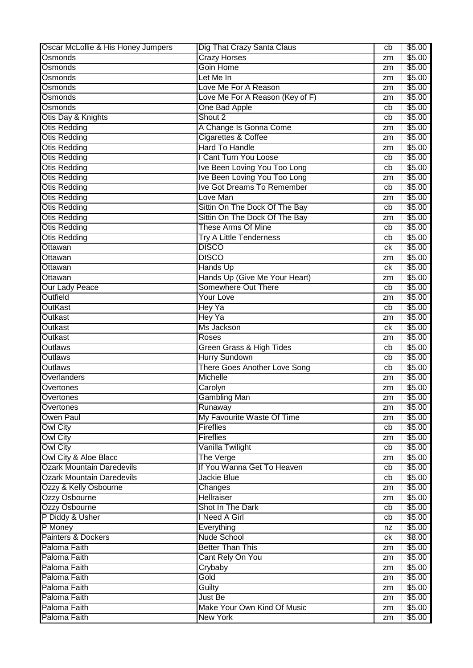| Oscar McLollie & His Honey Jumpers | Dig That Crazy Santa Claus      | cb | \$5.00 |
|------------------------------------|---------------------------------|----|--------|
| Osmonds                            | <b>Crazy Horses</b>             | zm | \$5.00 |
| Osmonds                            | Goin Home                       | zm | \$5.00 |
| Osmonds                            | Let Me In                       | zm | \$5.00 |
| Osmonds                            | Love Me For A Reason            | zm | \$5.00 |
| Osmonds                            | Love Me For A Reason (Key of F) | zm | \$5.00 |
| Osmonds                            | One Bad Apple                   | cb | \$5.00 |
| Otis Day & Knights                 | Shout 2                         | cb | \$5.00 |
| <b>Otis Redding</b>                | A Change Is Gonna Come          | zm | \$5.00 |
| <b>Otis Redding</b>                | Cigarettes & Coffee             | zm | \$5.00 |
| Otis Redding                       | <b>Hard To Handle</b>           | zm | \$5.00 |
| <b>Otis Redding</b>                | I Cant Turn You Loose           | cb | \$5.00 |
| Otis Redding                       | Ive Been Loving You Too Long    | cb | \$5.00 |
| Otis Redding                       | Ive Been Loving You Too Long    | zm | \$5.00 |
| Otis Redding                       | Ive Got Dreams To Remember      | cb | \$5.00 |
| <b>Otis Redding</b>                | Love Man                        | zm | \$5.00 |
| <b>Otis Redding</b>                | Sittin On The Dock Of The Bay   | cb | \$5.00 |
| <b>Otis Redding</b>                | Sittin On The Dock Of The Bay   | zm | \$5.00 |
| <b>Otis Redding</b>                | These Arms Of Mine              | cb | \$5.00 |
| Otis Redding                       | <b>Try A Little Tenderness</b>  | cb | \$5.00 |
| Ottawan                            | <b>DISCO</b>                    | сk | \$5.00 |
| Ottawan                            | <b>DISCO</b>                    | zm | \$5.00 |
| Ottawan                            | Hands Up                        | сk | \$5.00 |
| Ottawan                            | Hands Up (Give Me Your Heart)   | zm | \$5.00 |
| <b>Our Lady Peace</b>              | Somewhere Out There             | cb | \$5.00 |
| Outfield                           | <b>Your Love</b>                |    | \$5.00 |
| <b>OutKast</b>                     | Hey Ya                          | zm | \$5.00 |
| Outkast                            |                                 | cb | \$5.00 |
|                                    | Hey Ya                          | zm |        |
| Outkast                            | Ms Jackson                      | ck | \$5.00 |
| Outkast                            | Roses                           | zm | \$5.00 |
| <b>Outlaws</b>                     | Green Grass & High Tides        | cb | \$5.00 |
| Outlaws                            | <b>Hurry Sundown</b>            | cb | \$5.00 |
| <b>Outlaws</b>                     | There Goes Another Love Song    | cb | \$5.00 |
| Overlanders                        | Michelle                        | zm | \$5.00 |
| Overtones                          | Carolyn                         | zm | \$5.00 |
| Overtones                          | Gambling Man                    | zm | \$5.00 |
| Overtones                          | Runaway                         | zm | \$5.00 |
| <b>Owen Paul</b>                   | My Favourite Waste Of Time      | zm | \$5.00 |
| <b>Owl City</b>                    | <b>Fireflies</b>                | cb | \$5.00 |
| <b>Owl City</b>                    | <b>Fireflies</b>                | zm | \$5.00 |
| <b>Owl City</b>                    | Vanilla Twilight                | cb | \$5.00 |
| Owl City & Aloe Blacc              | The Verge                       | zm | \$5.00 |
| <b>Ozark Mountain Daredevils</b>   | If You Wanna Get To Heaven      | cb | \$5.00 |
| <b>Ozark Mountain Daredevils</b>   | Jackie Blue                     | cb | \$5.00 |
| Ozzy & Kelly Osbourne              | Changes                         | zm | \$5.00 |
| Ozzy Osbourne                      | <b>Hellraiser</b>               | zm | \$5.00 |
| Ozzy Osbourne                      | Shot In The Dark                | cb | \$5.00 |
| P Diddy & Usher                    | I Need A Girl                   | cb | \$5.00 |
| P Money                            | Everything                      | nz | \$5.00 |
| Painters & Dockers                 | Nude School                     | ck | \$8.00 |
| Paloma Faith                       | <b>Better Than This</b>         | zm | \$5.00 |
| Paloma Faith                       | Cant Rely On You                | zm | \$5.00 |
| Paloma Faith                       | Crybaby                         | zm | \$5.00 |
| Paloma Faith                       | Gold                            | zm | \$5.00 |
| Paloma Faith                       | Guilty                          | zm | \$5.00 |
| Paloma Faith                       | Just Be                         | zm | \$5.00 |
| Paloma Faith                       | Make Your Own Kind Of Music     | zm | \$5.00 |
| Paloma Faith                       | <b>New York</b>                 | zm | \$5.00 |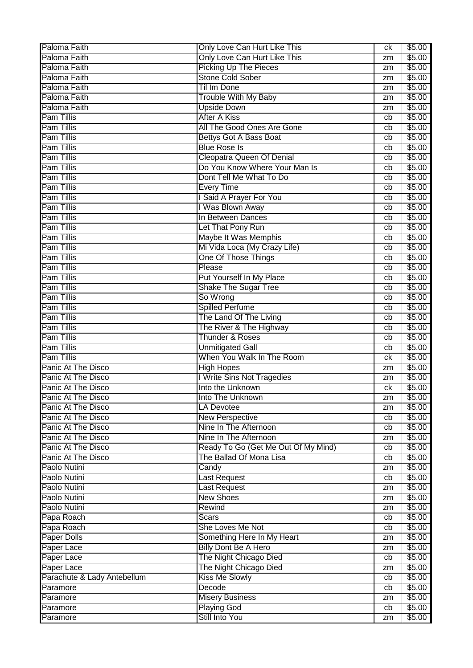| Paloma Faith<br>Only Love Can Hurt Like This<br>\$5.00<br>zm<br>Paloma Faith<br><b>Picking Up The Pieces</b><br>\$5.00<br>zm<br><b>Stone Cold Sober</b><br>Paloma Faith<br>\$5.00<br>zm<br>Paloma Faith<br><b>Til Im Done</b><br>\$5.00<br>zm<br>Paloma Faith<br><b>Trouble With My Baby</b><br>\$5.00<br>zm<br>Paloma Faith<br><b>Upside Down</b><br>\$5.00<br>zm<br><b>Pam Tillis</b><br><b>After A Kiss</b><br>\$5.00<br>cb<br><b>Pam Tillis</b><br>All The Good Ones Are Gone<br>\$5.00<br>cb<br><b>Pam Tillis</b><br><b>Bettys Got A Bass Boat</b><br>\$5.00<br>cb<br><b>Pam Tillis</b><br><b>Blue Rose Is</b><br>\$5.00<br>cb<br><b>Pam Tillis</b><br><b>Cleopatra Queen Of Denial</b><br>\$5.00<br>cb<br><b>Pam Tillis</b><br>Do You Know Where Your Man Is<br>\$5.00<br>cb<br><b>Pam Tillis</b><br>Dont Tell Me What To Do<br>\$5.00<br>cb<br><b>Pam Tillis</b><br><b>Every Time</b><br>\$5.00<br>cb<br>I Said A Prayer For You<br><b>Pam Tillis</b><br>\$5.00<br>cb<br><b>Pam Tillis</b><br>I Was Blown Away<br>\$5.00<br>cb<br><b>Pam Tillis</b><br>In Between Dances<br>\$5.00<br>cb<br><b>Pam Tillis</b><br>Let That Pony Run<br>\$5.00<br>cb<br>Maybe It Was Memphis<br><b>Pam Tillis</b><br>\$5.00<br>cb<br><b>Pam Tillis</b><br>Mi Vida Loca (My Crazy Life)<br>\$5.00<br>cb<br><b>Pam Tillis</b><br>One Of Those Things<br>\$5.00<br>cb<br><b>Pam Tillis</b><br>Please<br>\$5.00<br>cb<br><b>Pam Tillis</b><br>Put Yourself In My Place<br>\$5.00<br>cb<br><b>Pam Tillis</b><br><b>Shake The Sugar Tree</b><br>\$5.00<br>cb<br><b>Pam Tillis</b><br>So Wrong<br>\$5.00<br>cb<br><b>Pam Tillis</b><br><b>Spilled Perfume</b><br>\$5.00<br>cb<br><b>Pam Tillis</b><br>The Land Of The Living<br>\$5.00<br>cb<br><b>Pam Tillis</b><br>The River & The Highway<br>\$5.00<br>cb<br><b>Pam Tillis</b><br><b>Thunder &amp; Roses</b><br>\$5.00<br>cb<br><b>Pam Tillis</b><br><b>Unmitigated Gall</b><br>\$5.00<br>cb<br>When You Walk In The Room<br><b>Pam Tillis</b><br>\$5.00<br>ck<br>Panic At The Disco<br><b>High Hopes</b><br>\$5.00<br>zm<br>I Write Sins Not Tragedies<br><b>Panic At The Disco</b><br>\$5.00<br>zm<br>Panic At The Disco<br>Into the Unknown<br>\$5.00<br>ck<br>\$5.00<br>Panic At The Disco<br>Into The Unknown<br>zm<br>Panic At The Disco<br>LA Devotee<br>\$5.00<br>zm<br>Panic At The Disco<br><b>New Perspective</b><br>\$5.00<br>cb<br>Panic At The Disco<br>Nine In The Afternoon<br>\$5.00<br>cb<br>Panic At The Disco<br>Nine In The Afternoon<br>\$5.00<br>zm<br>Ready To Go (Get Me Out Of My Mind)<br>Panic At The Disco<br>\$5.00<br>cb<br>Panic At The Disco<br>The Ballad Of Mona Lisa<br>\$5.00<br>cb<br>Paolo Nutini<br>\$5.00<br>Candy<br>zm<br>Paolo Nutini<br><b>Last Request</b><br>\$5.00<br>cb<br>Paolo Nutini<br>\$5.00<br><b>Last Request</b><br>zm<br><b>New Shoes</b><br>Paolo Nutini<br>\$5.00<br>zm<br>\$5.00<br>Paolo Nutini<br>Rewind<br>zm<br>Papa Roach<br><b>Scars</b><br>\$5.00<br>cb<br>Papa Roach<br>She Loves Me Not<br>\$5.00<br>cb<br>Paper Dolls<br>Something Here In My Heart<br>\$5.00<br>zm<br><b>Billy Dont Be A Hero</b><br>Paper Lace<br>\$5.00<br>zm<br>Paper Lace<br>The Night Chicago Died<br>\$5.00<br>cb<br>The Night Chicago Died<br>Paper Lace<br>\$5.00<br>zm<br>Parachute & Lady Antebellum<br><b>Kiss Me Slowly</b><br>\$5.00<br>cb<br>Paramore<br>Decode<br>\$5.00<br>cb<br><b>Misery Business</b><br>\$5.00<br>Paramore<br>zm<br><b>Playing God</b><br>\$5.00<br>Paramore<br>cb<br>Still Into You<br>\$5.00<br>Paramore<br>zm | Paloma Faith | Only Love Can Hurt Like This | ck | \$5.00 |
|------------------------------------------------------------------------------------------------------------------------------------------------------------------------------------------------------------------------------------------------------------------------------------------------------------------------------------------------------------------------------------------------------------------------------------------------------------------------------------------------------------------------------------------------------------------------------------------------------------------------------------------------------------------------------------------------------------------------------------------------------------------------------------------------------------------------------------------------------------------------------------------------------------------------------------------------------------------------------------------------------------------------------------------------------------------------------------------------------------------------------------------------------------------------------------------------------------------------------------------------------------------------------------------------------------------------------------------------------------------------------------------------------------------------------------------------------------------------------------------------------------------------------------------------------------------------------------------------------------------------------------------------------------------------------------------------------------------------------------------------------------------------------------------------------------------------------------------------------------------------------------------------------------------------------------------------------------------------------------------------------------------------------------------------------------------------------------------------------------------------------------------------------------------------------------------------------------------------------------------------------------------------------------------------------------------------------------------------------------------------------------------------------------------------------------------------------------------------------------------------------------------------------------------------------------------------------------------------------------------------------------------------------------------------------------------------------------------------------------------------------------------------------------------------------------------------------------------------------------------------------------------------------------------------------------------------------------------------------------------------------------------------------------------------------------------------------------------------------------------------------------------------------------------------------------------------------------------------------------------------------------------------------------------------------------------------------------------------------------------------------------------------------------------------------------------------------------------------------------------------------------------------------|--------------|------------------------------|----|--------|
|                                                                                                                                                                                                                                                                                                                                                                                                                                                                                                                                                                                                                                                                                                                                                                                                                                                                                                                                                                                                                                                                                                                                                                                                                                                                                                                                                                                                                                                                                                                                                                                                                                                                                                                                                                                                                                                                                                                                                                                                                                                                                                                                                                                                                                                                                                                                                                                                                                                                                                                                                                                                                                                                                                                                                                                                                                                                                                                                                                                                                                                                                                                                                                                                                                                                                                                                                                                                                                                                                                                              |              |                              |    |        |
|                                                                                                                                                                                                                                                                                                                                                                                                                                                                                                                                                                                                                                                                                                                                                                                                                                                                                                                                                                                                                                                                                                                                                                                                                                                                                                                                                                                                                                                                                                                                                                                                                                                                                                                                                                                                                                                                                                                                                                                                                                                                                                                                                                                                                                                                                                                                                                                                                                                                                                                                                                                                                                                                                                                                                                                                                                                                                                                                                                                                                                                                                                                                                                                                                                                                                                                                                                                                                                                                                                                              |              |                              |    |        |
|                                                                                                                                                                                                                                                                                                                                                                                                                                                                                                                                                                                                                                                                                                                                                                                                                                                                                                                                                                                                                                                                                                                                                                                                                                                                                                                                                                                                                                                                                                                                                                                                                                                                                                                                                                                                                                                                                                                                                                                                                                                                                                                                                                                                                                                                                                                                                                                                                                                                                                                                                                                                                                                                                                                                                                                                                                                                                                                                                                                                                                                                                                                                                                                                                                                                                                                                                                                                                                                                                                                              |              |                              |    |        |
|                                                                                                                                                                                                                                                                                                                                                                                                                                                                                                                                                                                                                                                                                                                                                                                                                                                                                                                                                                                                                                                                                                                                                                                                                                                                                                                                                                                                                                                                                                                                                                                                                                                                                                                                                                                                                                                                                                                                                                                                                                                                                                                                                                                                                                                                                                                                                                                                                                                                                                                                                                                                                                                                                                                                                                                                                                                                                                                                                                                                                                                                                                                                                                                                                                                                                                                                                                                                                                                                                                                              |              |                              |    |        |
|                                                                                                                                                                                                                                                                                                                                                                                                                                                                                                                                                                                                                                                                                                                                                                                                                                                                                                                                                                                                                                                                                                                                                                                                                                                                                                                                                                                                                                                                                                                                                                                                                                                                                                                                                                                                                                                                                                                                                                                                                                                                                                                                                                                                                                                                                                                                                                                                                                                                                                                                                                                                                                                                                                                                                                                                                                                                                                                                                                                                                                                                                                                                                                                                                                                                                                                                                                                                                                                                                                                              |              |                              |    |        |
|                                                                                                                                                                                                                                                                                                                                                                                                                                                                                                                                                                                                                                                                                                                                                                                                                                                                                                                                                                                                                                                                                                                                                                                                                                                                                                                                                                                                                                                                                                                                                                                                                                                                                                                                                                                                                                                                                                                                                                                                                                                                                                                                                                                                                                                                                                                                                                                                                                                                                                                                                                                                                                                                                                                                                                                                                                                                                                                                                                                                                                                                                                                                                                                                                                                                                                                                                                                                                                                                                                                              |              |                              |    |        |
|                                                                                                                                                                                                                                                                                                                                                                                                                                                                                                                                                                                                                                                                                                                                                                                                                                                                                                                                                                                                                                                                                                                                                                                                                                                                                                                                                                                                                                                                                                                                                                                                                                                                                                                                                                                                                                                                                                                                                                                                                                                                                                                                                                                                                                                                                                                                                                                                                                                                                                                                                                                                                                                                                                                                                                                                                                                                                                                                                                                                                                                                                                                                                                                                                                                                                                                                                                                                                                                                                                                              |              |                              |    |        |
|                                                                                                                                                                                                                                                                                                                                                                                                                                                                                                                                                                                                                                                                                                                                                                                                                                                                                                                                                                                                                                                                                                                                                                                                                                                                                                                                                                                                                                                                                                                                                                                                                                                                                                                                                                                                                                                                                                                                                                                                                                                                                                                                                                                                                                                                                                                                                                                                                                                                                                                                                                                                                                                                                                                                                                                                                                                                                                                                                                                                                                                                                                                                                                                                                                                                                                                                                                                                                                                                                                                              |              |                              |    |        |
|                                                                                                                                                                                                                                                                                                                                                                                                                                                                                                                                                                                                                                                                                                                                                                                                                                                                                                                                                                                                                                                                                                                                                                                                                                                                                                                                                                                                                                                                                                                                                                                                                                                                                                                                                                                                                                                                                                                                                                                                                                                                                                                                                                                                                                                                                                                                                                                                                                                                                                                                                                                                                                                                                                                                                                                                                                                                                                                                                                                                                                                                                                                                                                                                                                                                                                                                                                                                                                                                                                                              |              |                              |    |        |
|                                                                                                                                                                                                                                                                                                                                                                                                                                                                                                                                                                                                                                                                                                                                                                                                                                                                                                                                                                                                                                                                                                                                                                                                                                                                                                                                                                                                                                                                                                                                                                                                                                                                                                                                                                                                                                                                                                                                                                                                                                                                                                                                                                                                                                                                                                                                                                                                                                                                                                                                                                                                                                                                                                                                                                                                                                                                                                                                                                                                                                                                                                                                                                                                                                                                                                                                                                                                                                                                                                                              |              |                              |    |        |
|                                                                                                                                                                                                                                                                                                                                                                                                                                                                                                                                                                                                                                                                                                                                                                                                                                                                                                                                                                                                                                                                                                                                                                                                                                                                                                                                                                                                                                                                                                                                                                                                                                                                                                                                                                                                                                                                                                                                                                                                                                                                                                                                                                                                                                                                                                                                                                                                                                                                                                                                                                                                                                                                                                                                                                                                                                                                                                                                                                                                                                                                                                                                                                                                                                                                                                                                                                                                                                                                                                                              |              |                              |    |        |
|                                                                                                                                                                                                                                                                                                                                                                                                                                                                                                                                                                                                                                                                                                                                                                                                                                                                                                                                                                                                                                                                                                                                                                                                                                                                                                                                                                                                                                                                                                                                                                                                                                                                                                                                                                                                                                                                                                                                                                                                                                                                                                                                                                                                                                                                                                                                                                                                                                                                                                                                                                                                                                                                                                                                                                                                                                                                                                                                                                                                                                                                                                                                                                                                                                                                                                                                                                                                                                                                                                                              |              |                              |    |        |
|                                                                                                                                                                                                                                                                                                                                                                                                                                                                                                                                                                                                                                                                                                                                                                                                                                                                                                                                                                                                                                                                                                                                                                                                                                                                                                                                                                                                                                                                                                                                                                                                                                                                                                                                                                                                                                                                                                                                                                                                                                                                                                                                                                                                                                                                                                                                                                                                                                                                                                                                                                                                                                                                                                                                                                                                                                                                                                                                                                                                                                                                                                                                                                                                                                                                                                                                                                                                                                                                                                                              |              |                              |    |        |
|                                                                                                                                                                                                                                                                                                                                                                                                                                                                                                                                                                                                                                                                                                                                                                                                                                                                                                                                                                                                                                                                                                                                                                                                                                                                                                                                                                                                                                                                                                                                                                                                                                                                                                                                                                                                                                                                                                                                                                                                                                                                                                                                                                                                                                                                                                                                                                                                                                                                                                                                                                                                                                                                                                                                                                                                                                                                                                                                                                                                                                                                                                                                                                                                                                                                                                                                                                                                                                                                                                                              |              |                              |    |        |
|                                                                                                                                                                                                                                                                                                                                                                                                                                                                                                                                                                                                                                                                                                                                                                                                                                                                                                                                                                                                                                                                                                                                                                                                                                                                                                                                                                                                                                                                                                                                                                                                                                                                                                                                                                                                                                                                                                                                                                                                                                                                                                                                                                                                                                                                                                                                                                                                                                                                                                                                                                                                                                                                                                                                                                                                                                                                                                                                                                                                                                                                                                                                                                                                                                                                                                                                                                                                                                                                                                                              |              |                              |    |        |
|                                                                                                                                                                                                                                                                                                                                                                                                                                                                                                                                                                                                                                                                                                                                                                                                                                                                                                                                                                                                                                                                                                                                                                                                                                                                                                                                                                                                                                                                                                                                                                                                                                                                                                                                                                                                                                                                                                                                                                                                                                                                                                                                                                                                                                                                                                                                                                                                                                                                                                                                                                                                                                                                                                                                                                                                                                                                                                                                                                                                                                                                                                                                                                                                                                                                                                                                                                                                                                                                                                                              |              |                              |    |        |
|                                                                                                                                                                                                                                                                                                                                                                                                                                                                                                                                                                                                                                                                                                                                                                                                                                                                                                                                                                                                                                                                                                                                                                                                                                                                                                                                                                                                                                                                                                                                                                                                                                                                                                                                                                                                                                                                                                                                                                                                                                                                                                                                                                                                                                                                                                                                                                                                                                                                                                                                                                                                                                                                                                                                                                                                                                                                                                                                                                                                                                                                                                                                                                                                                                                                                                                                                                                                                                                                                                                              |              |                              |    |        |
|                                                                                                                                                                                                                                                                                                                                                                                                                                                                                                                                                                                                                                                                                                                                                                                                                                                                                                                                                                                                                                                                                                                                                                                                                                                                                                                                                                                                                                                                                                                                                                                                                                                                                                                                                                                                                                                                                                                                                                                                                                                                                                                                                                                                                                                                                                                                                                                                                                                                                                                                                                                                                                                                                                                                                                                                                                                                                                                                                                                                                                                                                                                                                                                                                                                                                                                                                                                                                                                                                                                              |              |                              |    |        |
|                                                                                                                                                                                                                                                                                                                                                                                                                                                                                                                                                                                                                                                                                                                                                                                                                                                                                                                                                                                                                                                                                                                                                                                                                                                                                                                                                                                                                                                                                                                                                                                                                                                                                                                                                                                                                                                                                                                                                                                                                                                                                                                                                                                                                                                                                                                                                                                                                                                                                                                                                                                                                                                                                                                                                                                                                                                                                                                                                                                                                                                                                                                                                                                                                                                                                                                                                                                                                                                                                                                              |              |                              |    |        |
|                                                                                                                                                                                                                                                                                                                                                                                                                                                                                                                                                                                                                                                                                                                                                                                                                                                                                                                                                                                                                                                                                                                                                                                                                                                                                                                                                                                                                                                                                                                                                                                                                                                                                                                                                                                                                                                                                                                                                                                                                                                                                                                                                                                                                                                                                                                                                                                                                                                                                                                                                                                                                                                                                                                                                                                                                                                                                                                                                                                                                                                                                                                                                                                                                                                                                                                                                                                                                                                                                                                              |              |                              |    |        |
|                                                                                                                                                                                                                                                                                                                                                                                                                                                                                                                                                                                                                                                                                                                                                                                                                                                                                                                                                                                                                                                                                                                                                                                                                                                                                                                                                                                                                                                                                                                                                                                                                                                                                                                                                                                                                                                                                                                                                                                                                                                                                                                                                                                                                                                                                                                                                                                                                                                                                                                                                                                                                                                                                                                                                                                                                                                                                                                                                                                                                                                                                                                                                                                                                                                                                                                                                                                                                                                                                                                              |              |                              |    |        |
|                                                                                                                                                                                                                                                                                                                                                                                                                                                                                                                                                                                                                                                                                                                                                                                                                                                                                                                                                                                                                                                                                                                                                                                                                                                                                                                                                                                                                                                                                                                                                                                                                                                                                                                                                                                                                                                                                                                                                                                                                                                                                                                                                                                                                                                                                                                                                                                                                                                                                                                                                                                                                                                                                                                                                                                                                                                                                                                                                                                                                                                                                                                                                                                                                                                                                                                                                                                                                                                                                                                              |              |                              |    |        |
|                                                                                                                                                                                                                                                                                                                                                                                                                                                                                                                                                                                                                                                                                                                                                                                                                                                                                                                                                                                                                                                                                                                                                                                                                                                                                                                                                                                                                                                                                                                                                                                                                                                                                                                                                                                                                                                                                                                                                                                                                                                                                                                                                                                                                                                                                                                                                                                                                                                                                                                                                                                                                                                                                                                                                                                                                                                                                                                                                                                                                                                                                                                                                                                                                                                                                                                                                                                                                                                                                                                              |              |                              |    |        |
|                                                                                                                                                                                                                                                                                                                                                                                                                                                                                                                                                                                                                                                                                                                                                                                                                                                                                                                                                                                                                                                                                                                                                                                                                                                                                                                                                                                                                                                                                                                                                                                                                                                                                                                                                                                                                                                                                                                                                                                                                                                                                                                                                                                                                                                                                                                                                                                                                                                                                                                                                                                                                                                                                                                                                                                                                                                                                                                                                                                                                                                                                                                                                                                                                                                                                                                                                                                                                                                                                                                              |              |                              |    |        |
|                                                                                                                                                                                                                                                                                                                                                                                                                                                                                                                                                                                                                                                                                                                                                                                                                                                                                                                                                                                                                                                                                                                                                                                                                                                                                                                                                                                                                                                                                                                                                                                                                                                                                                                                                                                                                                                                                                                                                                                                                                                                                                                                                                                                                                                                                                                                                                                                                                                                                                                                                                                                                                                                                                                                                                                                                                                                                                                                                                                                                                                                                                                                                                                                                                                                                                                                                                                                                                                                                                                              |              |                              |    |        |
|                                                                                                                                                                                                                                                                                                                                                                                                                                                                                                                                                                                                                                                                                                                                                                                                                                                                                                                                                                                                                                                                                                                                                                                                                                                                                                                                                                                                                                                                                                                                                                                                                                                                                                                                                                                                                                                                                                                                                                                                                                                                                                                                                                                                                                                                                                                                                                                                                                                                                                                                                                                                                                                                                                                                                                                                                                                                                                                                                                                                                                                                                                                                                                                                                                                                                                                                                                                                                                                                                                                              |              |                              |    |        |
|                                                                                                                                                                                                                                                                                                                                                                                                                                                                                                                                                                                                                                                                                                                                                                                                                                                                                                                                                                                                                                                                                                                                                                                                                                                                                                                                                                                                                                                                                                                                                                                                                                                                                                                                                                                                                                                                                                                                                                                                                                                                                                                                                                                                                                                                                                                                                                                                                                                                                                                                                                                                                                                                                                                                                                                                                                                                                                                                                                                                                                                                                                                                                                                                                                                                                                                                                                                                                                                                                                                              |              |                              |    |        |
|                                                                                                                                                                                                                                                                                                                                                                                                                                                                                                                                                                                                                                                                                                                                                                                                                                                                                                                                                                                                                                                                                                                                                                                                                                                                                                                                                                                                                                                                                                                                                                                                                                                                                                                                                                                                                                                                                                                                                                                                                                                                                                                                                                                                                                                                                                                                                                                                                                                                                                                                                                                                                                                                                                                                                                                                                                                                                                                                                                                                                                                                                                                                                                                                                                                                                                                                                                                                                                                                                                                              |              |                              |    |        |
|                                                                                                                                                                                                                                                                                                                                                                                                                                                                                                                                                                                                                                                                                                                                                                                                                                                                                                                                                                                                                                                                                                                                                                                                                                                                                                                                                                                                                                                                                                                                                                                                                                                                                                                                                                                                                                                                                                                                                                                                                                                                                                                                                                                                                                                                                                                                                                                                                                                                                                                                                                                                                                                                                                                                                                                                                                                                                                                                                                                                                                                                                                                                                                                                                                                                                                                                                                                                                                                                                                                              |              |                              |    |        |
|                                                                                                                                                                                                                                                                                                                                                                                                                                                                                                                                                                                                                                                                                                                                                                                                                                                                                                                                                                                                                                                                                                                                                                                                                                                                                                                                                                                                                                                                                                                                                                                                                                                                                                                                                                                                                                                                                                                                                                                                                                                                                                                                                                                                                                                                                                                                                                                                                                                                                                                                                                                                                                                                                                                                                                                                                                                                                                                                                                                                                                                                                                                                                                                                                                                                                                                                                                                                                                                                                                                              |              |                              |    |        |
|                                                                                                                                                                                                                                                                                                                                                                                                                                                                                                                                                                                                                                                                                                                                                                                                                                                                                                                                                                                                                                                                                                                                                                                                                                                                                                                                                                                                                                                                                                                                                                                                                                                                                                                                                                                                                                                                                                                                                                                                                                                                                                                                                                                                                                                                                                                                                                                                                                                                                                                                                                                                                                                                                                                                                                                                                                                                                                                                                                                                                                                                                                                                                                                                                                                                                                                                                                                                                                                                                                                              |              |                              |    |        |
|                                                                                                                                                                                                                                                                                                                                                                                                                                                                                                                                                                                                                                                                                                                                                                                                                                                                                                                                                                                                                                                                                                                                                                                                                                                                                                                                                                                                                                                                                                                                                                                                                                                                                                                                                                                                                                                                                                                                                                                                                                                                                                                                                                                                                                                                                                                                                                                                                                                                                                                                                                                                                                                                                                                                                                                                                                                                                                                                                                                                                                                                                                                                                                                                                                                                                                                                                                                                                                                                                                                              |              |                              |    |        |
|                                                                                                                                                                                                                                                                                                                                                                                                                                                                                                                                                                                                                                                                                                                                                                                                                                                                                                                                                                                                                                                                                                                                                                                                                                                                                                                                                                                                                                                                                                                                                                                                                                                                                                                                                                                                                                                                                                                                                                                                                                                                                                                                                                                                                                                                                                                                                                                                                                                                                                                                                                                                                                                                                                                                                                                                                                                                                                                                                                                                                                                                                                                                                                                                                                                                                                                                                                                                                                                                                                                              |              |                              |    |        |
|                                                                                                                                                                                                                                                                                                                                                                                                                                                                                                                                                                                                                                                                                                                                                                                                                                                                                                                                                                                                                                                                                                                                                                                                                                                                                                                                                                                                                                                                                                                                                                                                                                                                                                                                                                                                                                                                                                                                                                                                                                                                                                                                                                                                                                                                                                                                                                                                                                                                                                                                                                                                                                                                                                                                                                                                                                                                                                                                                                                                                                                                                                                                                                                                                                                                                                                                                                                                                                                                                                                              |              |                              |    |        |
|                                                                                                                                                                                                                                                                                                                                                                                                                                                                                                                                                                                                                                                                                                                                                                                                                                                                                                                                                                                                                                                                                                                                                                                                                                                                                                                                                                                                                                                                                                                                                                                                                                                                                                                                                                                                                                                                                                                                                                                                                                                                                                                                                                                                                                                                                                                                                                                                                                                                                                                                                                                                                                                                                                                                                                                                                                                                                                                                                                                                                                                                                                                                                                                                                                                                                                                                                                                                                                                                                                                              |              |                              |    |        |
|                                                                                                                                                                                                                                                                                                                                                                                                                                                                                                                                                                                                                                                                                                                                                                                                                                                                                                                                                                                                                                                                                                                                                                                                                                                                                                                                                                                                                                                                                                                                                                                                                                                                                                                                                                                                                                                                                                                                                                                                                                                                                                                                                                                                                                                                                                                                                                                                                                                                                                                                                                                                                                                                                                                                                                                                                                                                                                                                                                                                                                                                                                                                                                                                                                                                                                                                                                                                                                                                                                                              |              |                              |    |        |
|                                                                                                                                                                                                                                                                                                                                                                                                                                                                                                                                                                                                                                                                                                                                                                                                                                                                                                                                                                                                                                                                                                                                                                                                                                                                                                                                                                                                                                                                                                                                                                                                                                                                                                                                                                                                                                                                                                                                                                                                                                                                                                                                                                                                                                                                                                                                                                                                                                                                                                                                                                                                                                                                                                                                                                                                                                                                                                                                                                                                                                                                                                                                                                                                                                                                                                                                                                                                                                                                                                                              |              |                              |    |        |
|                                                                                                                                                                                                                                                                                                                                                                                                                                                                                                                                                                                                                                                                                                                                                                                                                                                                                                                                                                                                                                                                                                                                                                                                                                                                                                                                                                                                                                                                                                                                                                                                                                                                                                                                                                                                                                                                                                                                                                                                                                                                                                                                                                                                                                                                                                                                                                                                                                                                                                                                                                                                                                                                                                                                                                                                                                                                                                                                                                                                                                                                                                                                                                                                                                                                                                                                                                                                                                                                                                                              |              |                              |    |        |
|                                                                                                                                                                                                                                                                                                                                                                                                                                                                                                                                                                                                                                                                                                                                                                                                                                                                                                                                                                                                                                                                                                                                                                                                                                                                                                                                                                                                                                                                                                                                                                                                                                                                                                                                                                                                                                                                                                                                                                                                                                                                                                                                                                                                                                                                                                                                                                                                                                                                                                                                                                                                                                                                                                                                                                                                                                                                                                                                                                                                                                                                                                                                                                                                                                                                                                                                                                                                                                                                                                                              |              |                              |    |        |
|                                                                                                                                                                                                                                                                                                                                                                                                                                                                                                                                                                                                                                                                                                                                                                                                                                                                                                                                                                                                                                                                                                                                                                                                                                                                                                                                                                                                                                                                                                                                                                                                                                                                                                                                                                                                                                                                                                                                                                                                                                                                                                                                                                                                                                                                                                                                                                                                                                                                                                                                                                                                                                                                                                                                                                                                                                                                                                                                                                                                                                                                                                                                                                                                                                                                                                                                                                                                                                                                                                                              |              |                              |    |        |
|                                                                                                                                                                                                                                                                                                                                                                                                                                                                                                                                                                                                                                                                                                                                                                                                                                                                                                                                                                                                                                                                                                                                                                                                                                                                                                                                                                                                                                                                                                                                                                                                                                                                                                                                                                                                                                                                                                                                                                                                                                                                                                                                                                                                                                                                                                                                                                                                                                                                                                                                                                                                                                                                                                                                                                                                                                                                                                                                                                                                                                                                                                                                                                                                                                                                                                                                                                                                                                                                                                                              |              |                              |    |        |
|                                                                                                                                                                                                                                                                                                                                                                                                                                                                                                                                                                                                                                                                                                                                                                                                                                                                                                                                                                                                                                                                                                                                                                                                                                                                                                                                                                                                                                                                                                                                                                                                                                                                                                                                                                                                                                                                                                                                                                                                                                                                                                                                                                                                                                                                                                                                                                                                                                                                                                                                                                                                                                                                                                                                                                                                                                                                                                                                                                                                                                                                                                                                                                                                                                                                                                                                                                                                                                                                                                                              |              |                              |    |        |
|                                                                                                                                                                                                                                                                                                                                                                                                                                                                                                                                                                                                                                                                                                                                                                                                                                                                                                                                                                                                                                                                                                                                                                                                                                                                                                                                                                                                                                                                                                                                                                                                                                                                                                                                                                                                                                                                                                                                                                                                                                                                                                                                                                                                                                                                                                                                                                                                                                                                                                                                                                                                                                                                                                                                                                                                                                                                                                                                                                                                                                                                                                                                                                                                                                                                                                                                                                                                                                                                                                                              |              |                              |    |        |
|                                                                                                                                                                                                                                                                                                                                                                                                                                                                                                                                                                                                                                                                                                                                                                                                                                                                                                                                                                                                                                                                                                                                                                                                                                                                                                                                                                                                                                                                                                                                                                                                                                                                                                                                                                                                                                                                                                                                                                                                                                                                                                                                                                                                                                                                                                                                                                                                                                                                                                                                                                                                                                                                                                                                                                                                                                                                                                                                                                                                                                                                                                                                                                                                                                                                                                                                                                                                                                                                                                                              |              |                              |    |        |
|                                                                                                                                                                                                                                                                                                                                                                                                                                                                                                                                                                                                                                                                                                                                                                                                                                                                                                                                                                                                                                                                                                                                                                                                                                                                                                                                                                                                                                                                                                                                                                                                                                                                                                                                                                                                                                                                                                                                                                                                                                                                                                                                                                                                                                                                                                                                                                                                                                                                                                                                                                                                                                                                                                                                                                                                                                                                                                                                                                                                                                                                                                                                                                                                                                                                                                                                                                                                                                                                                                                              |              |                              |    |        |
|                                                                                                                                                                                                                                                                                                                                                                                                                                                                                                                                                                                                                                                                                                                                                                                                                                                                                                                                                                                                                                                                                                                                                                                                                                                                                                                                                                                                                                                                                                                                                                                                                                                                                                                                                                                                                                                                                                                                                                                                                                                                                                                                                                                                                                                                                                                                                                                                                                                                                                                                                                                                                                                                                                                                                                                                                                                                                                                                                                                                                                                                                                                                                                                                                                                                                                                                                                                                                                                                                                                              |              |                              |    |        |
|                                                                                                                                                                                                                                                                                                                                                                                                                                                                                                                                                                                                                                                                                                                                                                                                                                                                                                                                                                                                                                                                                                                                                                                                                                                                                                                                                                                                                                                                                                                                                                                                                                                                                                                                                                                                                                                                                                                                                                                                                                                                                                                                                                                                                                                                                                                                                                                                                                                                                                                                                                                                                                                                                                                                                                                                                                                                                                                                                                                                                                                                                                                                                                                                                                                                                                                                                                                                                                                                                                                              |              |                              |    |        |
|                                                                                                                                                                                                                                                                                                                                                                                                                                                                                                                                                                                                                                                                                                                                                                                                                                                                                                                                                                                                                                                                                                                                                                                                                                                                                                                                                                                                                                                                                                                                                                                                                                                                                                                                                                                                                                                                                                                                                                                                                                                                                                                                                                                                                                                                                                                                                                                                                                                                                                                                                                                                                                                                                                                                                                                                                                                                                                                                                                                                                                                                                                                                                                                                                                                                                                                                                                                                                                                                                                                              |              |                              |    |        |
|                                                                                                                                                                                                                                                                                                                                                                                                                                                                                                                                                                                                                                                                                                                                                                                                                                                                                                                                                                                                                                                                                                                                                                                                                                                                                                                                                                                                                                                                                                                                                                                                                                                                                                                                                                                                                                                                                                                                                                                                                                                                                                                                                                                                                                                                                                                                                                                                                                                                                                                                                                                                                                                                                                                                                                                                                                                                                                                                                                                                                                                                                                                                                                                                                                                                                                                                                                                                                                                                                                                              |              |                              |    |        |
|                                                                                                                                                                                                                                                                                                                                                                                                                                                                                                                                                                                                                                                                                                                                                                                                                                                                                                                                                                                                                                                                                                                                                                                                                                                                                                                                                                                                                                                                                                                                                                                                                                                                                                                                                                                                                                                                                                                                                                                                                                                                                                                                                                                                                                                                                                                                                                                                                                                                                                                                                                                                                                                                                                                                                                                                                                                                                                                                                                                                                                                                                                                                                                                                                                                                                                                                                                                                                                                                                                                              |              |                              |    |        |
|                                                                                                                                                                                                                                                                                                                                                                                                                                                                                                                                                                                                                                                                                                                                                                                                                                                                                                                                                                                                                                                                                                                                                                                                                                                                                                                                                                                                                                                                                                                                                                                                                                                                                                                                                                                                                                                                                                                                                                                                                                                                                                                                                                                                                                                                                                                                                                                                                                                                                                                                                                                                                                                                                                                                                                                                                                                                                                                                                                                                                                                                                                                                                                                                                                                                                                                                                                                                                                                                                                                              |              |                              |    |        |
|                                                                                                                                                                                                                                                                                                                                                                                                                                                                                                                                                                                                                                                                                                                                                                                                                                                                                                                                                                                                                                                                                                                                                                                                                                                                                                                                                                                                                                                                                                                                                                                                                                                                                                                                                                                                                                                                                                                                                                                                                                                                                                                                                                                                                                                                                                                                                                                                                                                                                                                                                                                                                                                                                                                                                                                                                                                                                                                                                                                                                                                                                                                                                                                                                                                                                                                                                                                                                                                                                                                              |              |                              |    |        |
|                                                                                                                                                                                                                                                                                                                                                                                                                                                                                                                                                                                                                                                                                                                                                                                                                                                                                                                                                                                                                                                                                                                                                                                                                                                                                                                                                                                                                                                                                                                                                                                                                                                                                                                                                                                                                                                                                                                                                                                                                                                                                                                                                                                                                                                                                                                                                                                                                                                                                                                                                                                                                                                                                                                                                                                                                                                                                                                                                                                                                                                                                                                                                                                                                                                                                                                                                                                                                                                                                                                              |              |                              |    |        |
|                                                                                                                                                                                                                                                                                                                                                                                                                                                                                                                                                                                                                                                                                                                                                                                                                                                                                                                                                                                                                                                                                                                                                                                                                                                                                                                                                                                                                                                                                                                                                                                                                                                                                                                                                                                                                                                                                                                                                                                                                                                                                                                                                                                                                                                                                                                                                                                                                                                                                                                                                                                                                                                                                                                                                                                                                                                                                                                                                                                                                                                                                                                                                                                                                                                                                                                                                                                                                                                                                                                              |              |                              |    |        |
|                                                                                                                                                                                                                                                                                                                                                                                                                                                                                                                                                                                                                                                                                                                                                                                                                                                                                                                                                                                                                                                                                                                                                                                                                                                                                                                                                                                                                                                                                                                                                                                                                                                                                                                                                                                                                                                                                                                                                                                                                                                                                                                                                                                                                                                                                                                                                                                                                                                                                                                                                                                                                                                                                                                                                                                                                                                                                                                                                                                                                                                                                                                                                                                                                                                                                                                                                                                                                                                                                                                              |              |                              |    |        |
|                                                                                                                                                                                                                                                                                                                                                                                                                                                                                                                                                                                                                                                                                                                                                                                                                                                                                                                                                                                                                                                                                                                                                                                                                                                                                                                                                                                                                                                                                                                                                                                                                                                                                                                                                                                                                                                                                                                                                                                                                                                                                                                                                                                                                                                                                                                                                                                                                                                                                                                                                                                                                                                                                                                                                                                                                                                                                                                                                                                                                                                                                                                                                                                                                                                                                                                                                                                                                                                                                                                              |              |                              |    |        |
|                                                                                                                                                                                                                                                                                                                                                                                                                                                                                                                                                                                                                                                                                                                                                                                                                                                                                                                                                                                                                                                                                                                                                                                                                                                                                                                                                                                                                                                                                                                                                                                                                                                                                                                                                                                                                                                                                                                                                                                                                                                                                                                                                                                                                                                                                                                                                                                                                                                                                                                                                                                                                                                                                                                                                                                                                                                                                                                                                                                                                                                                                                                                                                                                                                                                                                                                                                                                                                                                                                                              |              |                              |    |        |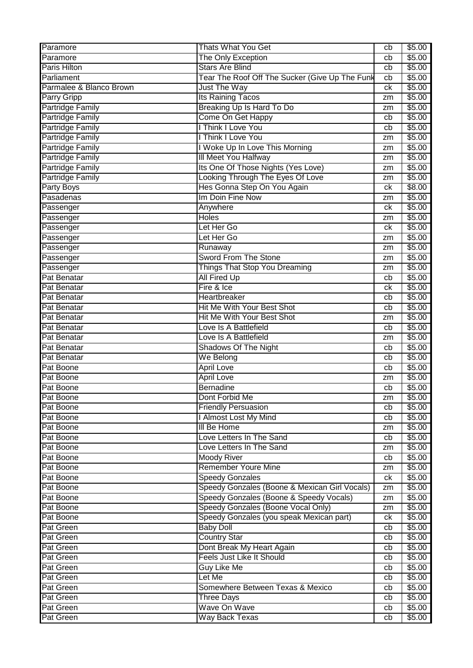| Paramore                | <b>Thats What You Get</b>                                                                | cb       | \$5.00           |
|-------------------------|------------------------------------------------------------------------------------------|----------|------------------|
| Paramore                | The Only Exception                                                                       | cb       | \$5.00           |
| Paris Hilton            | <b>Stars Are Blind</b>                                                                   | cb       | \$5.00           |
| Parliament              | Tear The Roof Off The Sucker (Give Up The Funk                                           | cb       | \$5.00           |
| Parmalee & Blanco Brown | <b>Just The Way</b>                                                                      | сk       | \$5.00           |
| <b>Parry Gripp</b>      | Its Raining Tacos                                                                        | zm       | \$5.00           |
| <b>Partridge Family</b> | Breaking Up Is Hard To Do                                                                | zm       | \$5.00           |
| <b>Partridge Family</b> | Come On Get Happy                                                                        | cb       | \$5.00           |
| <b>Partridge Family</b> | I Think I Love You                                                                       | cb       | \$5.00           |
| <b>Partridge Family</b> | I Think I Love You                                                                       | zm       | \$5.00           |
| <b>Partridge Family</b> | I Woke Up In Love This Morning                                                           | zm       | \$5.00           |
| <b>Partridge Family</b> | III Meet You Halfway                                                                     | zm       | \$5.00           |
| <b>Partridge Family</b> | Its One Of Those Nights (Yes Love)                                                       | zm       | \$5.00           |
| <b>Partridge Family</b> | Looking Through The Eyes Of Love                                                         | zm       | \$5.00           |
| Party Boys              | Hes Gonna Step On You Again                                                              | сk       | \$8.00           |
| Pasadenas               | Im Doin Fine Now                                                                         | zm       | \$5.00           |
| Passenger               | Anywhere                                                                                 | сk       | \$5.00           |
| Passenger               | <b>Holes</b>                                                                             | zm       | \$5.00           |
| Passenger               | Let Her Go                                                                               | сk       | \$5.00           |
| Passenger               | Let Her Go                                                                               |          | \$5.00           |
| Passenger               | Runaway                                                                                  | zm       | \$5.00           |
|                         | Sword From The Stone                                                                     | zm       |                  |
| Passenger               |                                                                                          | zm       | \$5.00           |
| Passenger               | Things That Stop You Dreaming                                                            | zm       | \$5.00           |
| Pat Benatar             | <b>All Fired Up</b>                                                                      | cb       | \$5.00           |
| Pat Benatar             | Fire & Ice                                                                               | ck       | \$5.00           |
| Pat Benatar             | Heartbreaker                                                                             | cb       | \$5.00           |
| Pat Benatar             | Hit Me With Your Best Shot                                                               | cb       | \$5.00           |
| Pat Benatar             | Hit Me With Your Best Shot                                                               | zm       | \$5.00           |
| Pat Benatar             | Love Is A Battlefield                                                                    | cb       | \$5.00           |
|                         |                                                                                          |          |                  |
| Pat Benatar             | Love Is A Battlefield                                                                    | zm       | \$5.00           |
| Pat Benatar             | Shadows Of The Night                                                                     | cb       | \$5.00           |
| Pat Benatar             | We Belong                                                                                | cb       | \$5.00           |
| Pat Boone               | <b>April Love</b>                                                                        | cb       | \$5.00           |
| Pat Boone               | <b>April Love</b>                                                                        | zm       | \$5.00           |
| Pat Boone               | <b>Bernadine</b>                                                                         | cb       | \$5.00           |
| Pat Boone               | Dont Forbid Me                                                                           | zm       | \$5.00           |
| Pat Boone               | <b>Friendly Persuasion</b>                                                               | cb       | \$5.00           |
| Pat Boone               | I Almost Lost My Mind                                                                    | cb       | \$5.00           |
| Pat Boone               | III Be Home                                                                              | zm       | \$5.00           |
| Pat Boone               | Love Letters In The Sand                                                                 | cb       | \$5.00           |
| Pat Boone               | Love Letters In The Sand                                                                 | zm       | \$5.00           |
| Pat Boone               | Moody River                                                                              | cb       | \$5.00           |
| Pat Boone               | <b>Remember Youre Mine</b>                                                               | zm       | \$5.00           |
| Pat Boone               | <b>Speedy Gonzales</b>                                                                   | ck       | \$5.00           |
| Pat Boone               |                                                                                          | zm       | \$5.00           |
| Pat Boone               | Speedy Gonzales (Boone & Mexican Girl Vocals)<br>Speedy Gonzales (Boone & Speedy Vocals) | zm       | \$5.00           |
| Pat Boone               | Speedy Gonzales (Boone Vocal Only)                                                       | zm       | \$5.00           |
| Pat Boone               |                                                                                          | ck       |                  |
| <b>Pat Green</b>        | Speedy Gonzales (you speak Mexican part)                                                 | cb       | \$5.00<br>\$5.00 |
| Pat Green               | <b>Baby Doll</b>                                                                         | cb       | \$5.00           |
| Pat Green               | <b>Country Star</b>                                                                      | cb       |                  |
|                         | Dont Break My Heart Again                                                                | cb       | \$5.00           |
| Pat Green               | <b>Feels Just Like It Should</b>                                                         |          | \$5.00           |
| Pat Green               | <b>Guy Like Me</b>                                                                       | cb       | \$5.00           |
| <b>Pat Green</b>        | Let Me                                                                                   | cb       | \$5.00           |
| <b>Pat Green</b>        | Somewhere Between Texas & Mexico                                                         | cb       | \$5.00           |
| <b>Pat Green</b>        | <b>Three Days</b>                                                                        | cb       | \$5.00           |
| Pat Green<br>Pat Green  | Wave On Wave<br><b>Way Back Texas</b>                                                    | cb<br>cb | \$5.00<br>\$5.00 |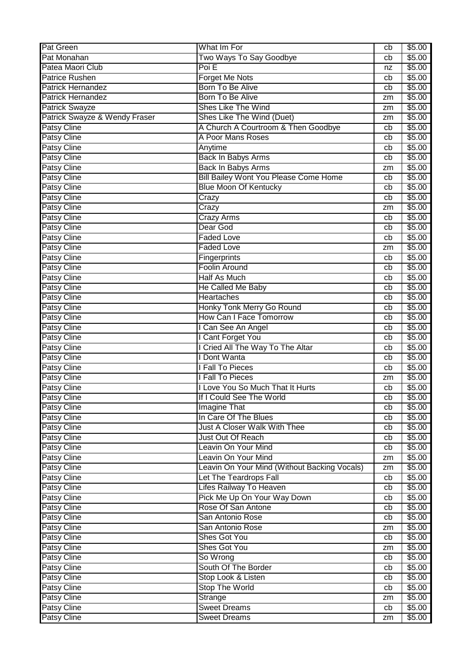| Pat Monahan<br>Two Ways To Say Goodbye<br>\$5.00<br>cb<br>Poi E<br>Patea Maori Club<br>\$5.00<br>nz<br><b>Forget Me Nots</b><br>\$5.00<br><b>Patrice Rushen</b><br>cb<br>Born To Be Alive<br>\$5.00<br><b>Patrick Hernandez</b><br>cb<br>Born To Be Alive<br><b>Patrick Hernandez</b><br>\$5.00<br>zm<br>Shes Like The Wind<br><b>Patrick Swayze</b><br>\$5.00<br>zm<br>Patrick Swayze & Wendy Fraser<br>Shes Like The Wind (Duet)<br>\$5.00<br>zm<br><b>Patsy Cline</b><br>A Church A Courtroom & Then Goodbye<br>\$5.00<br>cb<br>A Poor Mans Roses<br><b>Patsy Cline</b><br>\$5.00<br>cb<br><b>Patsy Cline</b><br>\$5.00<br>Anytime<br>cb<br><b>Patsy Cline</b><br>\$5.00<br>Back In Babys Arms<br>cb<br>Patsy Cline<br>\$5.00<br>Back In Babys Arms<br>zm<br><b>Bill Bailey Wont You Please Come Home</b><br>Patsy Cline<br>\$5.00<br>cb<br><b>Blue Moon Of Kentucky</b><br>\$5.00<br>Patsy Cline<br>cb<br>Patsy Cline<br>\$5.00<br>Crazy<br>cb<br><b>Patsy Cline</b><br>\$5.00<br>Crazy<br>zm<br><b>Patsy Cline</b><br>\$5.00<br>Crazy Arms<br>cb<br>Patsy Cline<br>\$5.00<br>Dear God<br>cb<br><b>Patsy Cline</b><br>\$5.00<br><b>Faded Love</b><br>cb<br>Patsy Cline<br>\$5.00<br><b>Faded Love</b><br>zm<br><b>Patsy Cline</b><br>\$5.00<br>Fingerprints<br>cb<br><b>Foolin Around</b><br><b>Patsy Cline</b><br>\$5.00<br>cb<br><b>Patsy Cline</b><br>Half As Much<br>\$5.00<br>cb<br><b>Patsy Cline</b><br>\$5.00<br>He Called Me Baby<br>cb<br>Patsy Cline<br>Heartaches<br>\$5.00<br>cb<br><b>Patsy Cline</b><br>Honky Tonk Merry Go Round<br>\$5.00<br>cb<br>How Can I Face Tomorrow<br><b>Patsy Cline</b><br>\$5.00<br>cb<br>Patsy Cline<br>I Can See An Angel<br>\$5.00<br>cb<br><b>Patsy Cline</b><br>I Cant Forget You<br>\$5.00<br>cb<br>I Cried All The Way To The Altar<br><b>Patsy Cline</b><br>\$5.00<br>cb<br><b>Patsy Cline</b><br>I Dont Wanta<br>\$5.00<br>cb<br>Patsy Cline<br>I Fall To Pieces<br>\$5.00<br>cb<br>Patsy Cline<br>I Fall To Pieces<br>\$5.00<br>zm<br>I Love You So Much That It Hurts<br>\$5.00<br>Patsy Cline<br>cb<br>\$5.00<br><b>Patsy Cline</b><br>If I Could See The World<br>cb<br><b>Patsy Cline</b><br><b>Imagine That</b><br>\$5.00<br>cb<br>Patsy Cline<br>In Care Of The Blues<br>\$5.00<br>cb<br>Patsy Cline<br><b>Just A Closer Walk With Thee</b><br>\$5.00<br>cb<br>Patsy Cline<br>Just Out Of Reach<br>\$5.00<br>cb<br><b>Patsy Cline</b><br>Leavin On Your Mind<br>\$5.00<br>cb<br><b>Patsy Cline</b><br>Leavin On Your Mind<br>\$5.00<br>zm<br>Patsy Cline<br>Leavin On Your Mind (Without Backing Vocals)<br>\$5.00<br>zm<br>Let The Teardrops Fall<br>\$5.00<br>Patsy Cline<br>cb<br>Lifes Railway To Heaven<br>\$5.00<br><b>Patsy Cline</b><br>cb<br><b>Patsy Cline</b><br>Pick Me Up On Your Way Down<br>\$5.00<br>cb<br><b>Patsy Cline</b><br>Rose Of San Antone<br>\$5.00<br>cb<br>Patsy Cline<br>San Antonio Rose<br>\$5.00<br>cb<br>Patsy Cline<br>San Antonio Rose<br>\$5.00<br>zm<br>Shes Got You<br><b>Patsy Cline</b><br>\$5.00<br>cb<br>Shes Got You<br><b>Patsy Cline</b><br>\$5.00<br>zm<br><b>Patsy Cline</b><br>So Wrong<br>\$5.00<br>cb<br>South Of The Border<br><b>Patsy Cline</b><br>\$5.00<br>cb<br><b>Patsy Cline</b><br>Stop Look & Listen<br>\$5.00<br>cb<br><b>Stop The World</b><br><b>Patsy Cline</b><br>\$5.00<br>cb<br><b>Patsy Cline</b><br>Strange<br>\$5.00<br>zm<br><b>Patsy Cline</b><br><b>Sweet Dreams</b><br>\$5.00<br>cb | <b>Pat Green</b>   | What Im For         | cb | \$5.00 |
|------------------------------------------------------------------------------------------------------------------------------------------------------------------------------------------------------------------------------------------------------------------------------------------------------------------------------------------------------------------------------------------------------------------------------------------------------------------------------------------------------------------------------------------------------------------------------------------------------------------------------------------------------------------------------------------------------------------------------------------------------------------------------------------------------------------------------------------------------------------------------------------------------------------------------------------------------------------------------------------------------------------------------------------------------------------------------------------------------------------------------------------------------------------------------------------------------------------------------------------------------------------------------------------------------------------------------------------------------------------------------------------------------------------------------------------------------------------------------------------------------------------------------------------------------------------------------------------------------------------------------------------------------------------------------------------------------------------------------------------------------------------------------------------------------------------------------------------------------------------------------------------------------------------------------------------------------------------------------------------------------------------------------------------------------------------------------------------------------------------------------------------------------------------------------------------------------------------------------------------------------------------------------------------------------------------------------------------------------------------------------------------------------------------------------------------------------------------------------------------------------------------------------------------------------------------------------------------------------------------------------------------------------------------------------------------------------------------------------------------------------------------------------------------------------------------------------------------------------------------------------------------------------------------------------------------------------------------------------------------------------------------------------------------------------------------------------------------------------------------------------------------------------------------------------------------------------------------------------------------------------------------------------------------------------------------------------------------------------------------------------------------------------------------------------|--------------------|---------------------|----|--------|
|                                                                                                                                                                                                                                                                                                                                                                                                                                                                                                                                                                                                                                                                                                                                                                                                                                                                                                                                                                                                                                                                                                                                                                                                                                                                                                                                                                                                                                                                                                                                                                                                                                                                                                                                                                                                                                                                                                                                                                                                                                                                                                                                                                                                                                                                                                                                                                                                                                                                                                                                                                                                                                                                                                                                                                                                                                                                                                                                                                                                                                                                                                                                                                                                                                                                                                                                                                                                                              |                    |                     |    |        |
|                                                                                                                                                                                                                                                                                                                                                                                                                                                                                                                                                                                                                                                                                                                                                                                                                                                                                                                                                                                                                                                                                                                                                                                                                                                                                                                                                                                                                                                                                                                                                                                                                                                                                                                                                                                                                                                                                                                                                                                                                                                                                                                                                                                                                                                                                                                                                                                                                                                                                                                                                                                                                                                                                                                                                                                                                                                                                                                                                                                                                                                                                                                                                                                                                                                                                                                                                                                                                              |                    |                     |    |        |
|                                                                                                                                                                                                                                                                                                                                                                                                                                                                                                                                                                                                                                                                                                                                                                                                                                                                                                                                                                                                                                                                                                                                                                                                                                                                                                                                                                                                                                                                                                                                                                                                                                                                                                                                                                                                                                                                                                                                                                                                                                                                                                                                                                                                                                                                                                                                                                                                                                                                                                                                                                                                                                                                                                                                                                                                                                                                                                                                                                                                                                                                                                                                                                                                                                                                                                                                                                                                                              |                    |                     |    |        |
|                                                                                                                                                                                                                                                                                                                                                                                                                                                                                                                                                                                                                                                                                                                                                                                                                                                                                                                                                                                                                                                                                                                                                                                                                                                                                                                                                                                                                                                                                                                                                                                                                                                                                                                                                                                                                                                                                                                                                                                                                                                                                                                                                                                                                                                                                                                                                                                                                                                                                                                                                                                                                                                                                                                                                                                                                                                                                                                                                                                                                                                                                                                                                                                                                                                                                                                                                                                                                              |                    |                     |    |        |
|                                                                                                                                                                                                                                                                                                                                                                                                                                                                                                                                                                                                                                                                                                                                                                                                                                                                                                                                                                                                                                                                                                                                                                                                                                                                                                                                                                                                                                                                                                                                                                                                                                                                                                                                                                                                                                                                                                                                                                                                                                                                                                                                                                                                                                                                                                                                                                                                                                                                                                                                                                                                                                                                                                                                                                                                                                                                                                                                                                                                                                                                                                                                                                                                                                                                                                                                                                                                                              |                    |                     |    |        |
|                                                                                                                                                                                                                                                                                                                                                                                                                                                                                                                                                                                                                                                                                                                                                                                                                                                                                                                                                                                                                                                                                                                                                                                                                                                                                                                                                                                                                                                                                                                                                                                                                                                                                                                                                                                                                                                                                                                                                                                                                                                                                                                                                                                                                                                                                                                                                                                                                                                                                                                                                                                                                                                                                                                                                                                                                                                                                                                                                                                                                                                                                                                                                                                                                                                                                                                                                                                                                              |                    |                     |    |        |
|                                                                                                                                                                                                                                                                                                                                                                                                                                                                                                                                                                                                                                                                                                                                                                                                                                                                                                                                                                                                                                                                                                                                                                                                                                                                                                                                                                                                                                                                                                                                                                                                                                                                                                                                                                                                                                                                                                                                                                                                                                                                                                                                                                                                                                                                                                                                                                                                                                                                                                                                                                                                                                                                                                                                                                                                                                                                                                                                                                                                                                                                                                                                                                                                                                                                                                                                                                                                                              |                    |                     |    |        |
|                                                                                                                                                                                                                                                                                                                                                                                                                                                                                                                                                                                                                                                                                                                                                                                                                                                                                                                                                                                                                                                                                                                                                                                                                                                                                                                                                                                                                                                                                                                                                                                                                                                                                                                                                                                                                                                                                                                                                                                                                                                                                                                                                                                                                                                                                                                                                                                                                                                                                                                                                                                                                                                                                                                                                                                                                                                                                                                                                                                                                                                                                                                                                                                                                                                                                                                                                                                                                              |                    |                     |    |        |
|                                                                                                                                                                                                                                                                                                                                                                                                                                                                                                                                                                                                                                                                                                                                                                                                                                                                                                                                                                                                                                                                                                                                                                                                                                                                                                                                                                                                                                                                                                                                                                                                                                                                                                                                                                                                                                                                                                                                                                                                                                                                                                                                                                                                                                                                                                                                                                                                                                                                                                                                                                                                                                                                                                                                                                                                                                                                                                                                                                                                                                                                                                                                                                                                                                                                                                                                                                                                                              |                    |                     |    |        |
|                                                                                                                                                                                                                                                                                                                                                                                                                                                                                                                                                                                                                                                                                                                                                                                                                                                                                                                                                                                                                                                                                                                                                                                                                                                                                                                                                                                                                                                                                                                                                                                                                                                                                                                                                                                                                                                                                                                                                                                                                                                                                                                                                                                                                                                                                                                                                                                                                                                                                                                                                                                                                                                                                                                                                                                                                                                                                                                                                                                                                                                                                                                                                                                                                                                                                                                                                                                                                              |                    |                     |    |        |
|                                                                                                                                                                                                                                                                                                                                                                                                                                                                                                                                                                                                                                                                                                                                                                                                                                                                                                                                                                                                                                                                                                                                                                                                                                                                                                                                                                                                                                                                                                                                                                                                                                                                                                                                                                                                                                                                                                                                                                                                                                                                                                                                                                                                                                                                                                                                                                                                                                                                                                                                                                                                                                                                                                                                                                                                                                                                                                                                                                                                                                                                                                                                                                                                                                                                                                                                                                                                                              |                    |                     |    |        |
|                                                                                                                                                                                                                                                                                                                                                                                                                                                                                                                                                                                                                                                                                                                                                                                                                                                                                                                                                                                                                                                                                                                                                                                                                                                                                                                                                                                                                                                                                                                                                                                                                                                                                                                                                                                                                                                                                                                                                                                                                                                                                                                                                                                                                                                                                                                                                                                                                                                                                                                                                                                                                                                                                                                                                                                                                                                                                                                                                                                                                                                                                                                                                                                                                                                                                                                                                                                                                              |                    |                     |    |        |
|                                                                                                                                                                                                                                                                                                                                                                                                                                                                                                                                                                                                                                                                                                                                                                                                                                                                                                                                                                                                                                                                                                                                                                                                                                                                                                                                                                                                                                                                                                                                                                                                                                                                                                                                                                                                                                                                                                                                                                                                                                                                                                                                                                                                                                                                                                                                                                                                                                                                                                                                                                                                                                                                                                                                                                                                                                                                                                                                                                                                                                                                                                                                                                                                                                                                                                                                                                                                                              |                    |                     |    |        |
|                                                                                                                                                                                                                                                                                                                                                                                                                                                                                                                                                                                                                                                                                                                                                                                                                                                                                                                                                                                                                                                                                                                                                                                                                                                                                                                                                                                                                                                                                                                                                                                                                                                                                                                                                                                                                                                                                                                                                                                                                                                                                                                                                                                                                                                                                                                                                                                                                                                                                                                                                                                                                                                                                                                                                                                                                                                                                                                                                                                                                                                                                                                                                                                                                                                                                                                                                                                                                              |                    |                     |    |        |
|                                                                                                                                                                                                                                                                                                                                                                                                                                                                                                                                                                                                                                                                                                                                                                                                                                                                                                                                                                                                                                                                                                                                                                                                                                                                                                                                                                                                                                                                                                                                                                                                                                                                                                                                                                                                                                                                                                                                                                                                                                                                                                                                                                                                                                                                                                                                                                                                                                                                                                                                                                                                                                                                                                                                                                                                                                                                                                                                                                                                                                                                                                                                                                                                                                                                                                                                                                                                                              |                    |                     |    |        |
|                                                                                                                                                                                                                                                                                                                                                                                                                                                                                                                                                                                                                                                                                                                                                                                                                                                                                                                                                                                                                                                                                                                                                                                                                                                                                                                                                                                                                                                                                                                                                                                                                                                                                                                                                                                                                                                                                                                                                                                                                                                                                                                                                                                                                                                                                                                                                                                                                                                                                                                                                                                                                                                                                                                                                                                                                                                                                                                                                                                                                                                                                                                                                                                                                                                                                                                                                                                                                              |                    |                     |    |        |
|                                                                                                                                                                                                                                                                                                                                                                                                                                                                                                                                                                                                                                                                                                                                                                                                                                                                                                                                                                                                                                                                                                                                                                                                                                                                                                                                                                                                                                                                                                                                                                                                                                                                                                                                                                                                                                                                                                                                                                                                                                                                                                                                                                                                                                                                                                                                                                                                                                                                                                                                                                                                                                                                                                                                                                                                                                                                                                                                                                                                                                                                                                                                                                                                                                                                                                                                                                                                                              |                    |                     |    |        |
|                                                                                                                                                                                                                                                                                                                                                                                                                                                                                                                                                                                                                                                                                                                                                                                                                                                                                                                                                                                                                                                                                                                                                                                                                                                                                                                                                                                                                                                                                                                                                                                                                                                                                                                                                                                                                                                                                                                                                                                                                                                                                                                                                                                                                                                                                                                                                                                                                                                                                                                                                                                                                                                                                                                                                                                                                                                                                                                                                                                                                                                                                                                                                                                                                                                                                                                                                                                                                              |                    |                     |    |        |
|                                                                                                                                                                                                                                                                                                                                                                                                                                                                                                                                                                                                                                                                                                                                                                                                                                                                                                                                                                                                                                                                                                                                                                                                                                                                                                                                                                                                                                                                                                                                                                                                                                                                                                                                                                                                                                                                                                                                                                                                                                                                                                                                                                                                                                                                                                                                                                                                                                                                                                                                                                                                                                                                                                                                                                                                                                                                                                                                                                                                                                                                                                                                                                                                                                                                                                                                                                                                                              |                    |                     |    |        |
|                                                                                                                                                                                                                                                                                                                                                                                                                                                                                                                                                                                                                                                                                                                                                                                                                                                                                                                                                                                                                                                                                                                                                                                                                                                                                                                                                                                                                                                                                                                                                                                                                                                                                                                                                                                                                                                                                                                                                                                                                                                                                                                                                                                                                                                                                                                                                                                                                                                                                                                                                                                                                                                                                                                                                                                                                                                                                                                                                                                                                                                                                                                                                                                                                                                                                                                                                                                                                              |                    |                     |    |        |
|                                                                                                                                                                                                                                                                                                                                                                                                                                                                                                                                                                                                                                                                                                                                                                                                                                                                                                                                                                                                                                                                                                                                                                                                                                                                                                                                                                                                                                                                                                                                                                                                                                                                                                                                                                                                                                                                                                                                                                                                                                                                                                                                                                                                                                                                                                                                                                                                                                                                                                                                                                                                                                                                                                                                                                                                                                                                                                                                                                                                                                                                                                                                                                                                                                                                                                                                                                                                                              |                    |                     |    |        |
|                                                                                                                                                                                                                                                                                                                                                                                                                                                                                                                                                                                                                                                                                                                                                                                                                                                                                                                                                                                                                                                                                                                                                                                                                                                                                                                                                                                                                                                                                                                                                                                                                                                                                                                                                                                                                                                                                                                                                                                                                                                                                                                                                                                                                                                                                                                                                                                                                                                                                                                                                                                                                                                                                                                                                                                                                                                                                                                                                                                                                                                                                                                                                                                                                                                                                                                                                                                                                              |                    |                     |    |        |
|                                                                                                                                                                                                                                                                                                                                                                                                                                                                                                                                                                                                                                                                                                                                                                                                                                                                                                                                                                                                                                                                                                                                                                                                                                                                                                                                                                                                                                                                                                                                                                                                                                                                                                                                                                                                                                                                                                                                                                                                                                                                                                                                                                                                                                                                                                                                                                                                                                                                                                                                                                                                                                                                                                                                                                                                                                                                                                                                                                                                                                                                                                                                                                                                                                                                                                                                                                                                                              |                    |                     |    |        |
|                                                                                                                                                                                                                                                                                                                                                                                                                                                                                                                                                                                                                                                                                                                                                                                                                                                                                                                                                                                                                                                                                                                                                                                                                                                                                                                                                                                                                                                                                                                                                                                                                                                                                                                                                                                                                                                                                                                                                                                                                                                                                                                                                                                                                                                                                                                                                                                                                                                                                                                                                                                                                                                                                                                                                                                                                                                                                                                                                                                                                                                                                                                                                                                                                                                                                                                                                                                                                              |                    |                     |    |        |
|                                                                                                                                                                                                                                                                                                                                                                                                                                                                                                                                                                                                                                                                                                                                                                                                                                                                                                                                                                                                                                                                                                                                                                                                                                                                                                                                                                                                                                                                                                                                                                                                                                                                                                                                                                                                                                                                                                                                                                                                                                                                                                                                                                                                                                                                                                                                                                                                                                                                                                                                                                                                                                                                                                                                                                                                                                                                                                                                                                                                                                                                                                                                                                                                                                                                                                                                                                                                                              |                    |                     |    |        |
|                                                                                                                                                                                                                                                                                                                                                                                                                                                                                                                                                                                                                                                                                                                                                                                                                                                                                                                                                                                                                                                                                                                                                                                                                                                                                                                                                                                                                                                                                                                                                                                                                                                                                                                                                                                                                                                                                                                                                                                                                                                                                                                                                                                                                                                                                                                                                                                                                                                                                                                                                                                                                                                                                                                                                                                                                                                                                                                                                                                                                                                                                                                                                                                                                                                                                                                                                                                                                              |                    |                     |    |        |
|                                                                                                                                                                                                                                                                                                                                                                                                                                                                                                                                                                                                                                                                                                                                                                                                                                                                                                                                                                                                                                                                                                                                                                                                                                                                                                                                                                                                                                                                                                                                                                                                                                                                                                                                                                                                                                                                                                                                                                                                                                                                                                                                                                                                                                                                                                                                                                                                                                                                                                                                                                                                                                                                                                                                                                                                                                                                                                                                                                                                                                                                                                                                                                                                                                                                                                                                                                                                                              |                    |                     |    |        |
|                                                                                                                                                                                                                                                                                                                                                                                                                                                                                                                                                                                                                                                                                                                                                                                                                                                                                                                                                                                                                                                                                                                                                                                                                                                                                                                                                                                                                                                                                                                                                                                                                                                                                                                                                                                                                                                                                                                                                                                                                                                                                                                                                                                                                                                                                                                                                                                                                                                                                                                                                                                                                                                                                                                                                                                                                                                                                                                                                                                                                                                                                                                                                                                                                                                                                                                                                                                                                              |                    |                     |    |        |
|                                                                                                                                                                                                                                                                                                                                                                                                                                                                                                                                                                                                                                                                                                                                                                                                                                                                                                                                                                                                                                                                                                                                                                                                                                                                                                                                                                                                                                                                                                                                                                                                                                                                                                                                                                                                                                                                                                                                                                                                                                                                                                                                                                                                                                                                                                                                                                                                                                                                                                                                                                                                                                                                                                                                                                                                                                                                                                                                                                                                                                                                                                                                                                                                                                                                                                                                                                                                                              |                    |                     |    |        |
|                                                                                                                                                                                                                                                                                                                                                                                                                                                                                                                                                                                                                                                                                                                                                                                                                                                                                                                                                                                                                                                                                                                                                                                                                                                                                                                                                                                                                                                                                                                                                                                                                                                                                                                                                                                                                                                                                                                                                                                                                                                                                                                                                                                                                                                                                                                                                                                                                                                                                                                                                                                                                                                                                                                                                                                                                                                                                                                                                                                                                                                                                                                                                                                                                                                                                                                                                                                                                              |                    |                     |    |        |
|                                                                                                                                                                                                                                                                                                                                                                                                                                                                                                                                                                                                                                                                                                                                                                                                                                                                                                                                                                                                                                                                                                                                                                                                                                                                                                                                                                                                                                                                                                                                                                                                                                                                                                                                                                                                                                                                                                                                                                                                                                                                                                                                                                                                                                                                                                                                                                                                                                                                                                                                                                                                                                                                                                                                                                                                                                                                                                                                                                                                                                                                                                                                                                                                                                                                                                                                                                                                                              |                    |                     |    |        |
|                                                                                                                                                                                                                                                                                                                                                                                                                                                                                                                                                                                                                                                                                                                                                                                                                                                                                                                                                                                                                                                                                                                                                                                                                                                                                                                                                                                                                                                                                                                                                                                                                                                                                                                                                                                                                                                                                                                                                                                                                                                                                                                                                                                                                                                                                                                                                                                                                                                                                                                                                                                                                                                                                                                                                                                                                                                                                                                                                                                                                                                                                                                                                                                                                                                                                                                                                                                                                              |                    |                     |    |        |
|                                                                                                                                                                                                                                                                                                                                                                                                                                                                                                                                                                                                                                                                                                                                                                                                                                                                                                                                                                                                                                                                                                                                                                                                                                                                                                                                                                                                                                                                                                                                                                                                                                                                                                                                                                                                                                                                                                                                                                                                                                                                                                                                                                                                                                                                                                                                                                                                                                                                                                                                                                                                                                                                                                                                                                                                                                                                                                                                                                                                                                                                                                                                                                                                                                                                                                                                                                                                                              |                    |                     |    |        |
|                                                                                                                                                                                                                                                                                                                                                                                                                                                                                                                                                                                                                                                                                                                                                                                                                                                                                                                                                                                                                                                                                                                                                                                                                                                                                                                                                                                                                                                                                                                                                                                                                                                                                                                                                                                                                                                                                                                                                                                                                                                                                                                                                                                                                                                                                                                                                                                                                                                                                                                                                                                                                                                                                                                                                                                                                                                                                                                                                                                                                                                                                                                                                                                                                                                                                                                                                                                                                              |                    |                     |    |        |
|                                                                                                                                                                                                                                                                                                                                                                                                                                                                                                                                                                                                                                                                                                                                                                                                                                                                                                                                                                                                                                                                                                                                                                                                                                                                                                                                                                                                                                                                                                                                                                                                                                                                                                                                                                                                                                                                                                                                                                                                                                                                                                                                                                                                                                                                                                                                                                                                                                                                                                                                                                                                                                                                                                                                                                                                                                                                                                                                                                                                                                                                                                                                                                                                                                                                                                                                                                                                                              |                    |                     |    |        |
|                                                                                                                                                                                                                                                                                                                                                                                                                                                                                                                                                                                                                                                                                                                                                                                                                                                                                                                                                                                                                                                                                                                                                                                                                                                                                                                                                                                                                                                                                                                                                                                                                                                                                                                                                                                                                                                                                                                                                                                                                                                                                                                                                                                                                                                                                                                                                                                                                                                                                                                                                                                                                                                                                                                                                                                                                                                                                                                                                                                                                                                                                                                                                                                                                                                                                                                                                                                                                              |                    |                     |    |        |
|                                                                                                                                                                                                                                                                                                                                                                                                                                                                                                                                                                                                                                                                                                                                                                                                                                                                                                                                                                                                                                                                                                                                                                                                                                                                                                                                                                                                                                                                                                                                                                                                                                                                                                                                                                                                                                                                                                                                                                                                                                                                                                                                                                                                                                                                                                                                                                                                                                                                                                                                                                                                                                                                                                                                                                                                                                                                                                                                                                                                                                                                                                                                                                                                                                                                                                                                                                                                                              |                    |                     |    |        |
|                                                                                                                                                                                                                                                                                                                                                                                                                                                                                                                                                                                                                                                                                                                                                                                                                                                                                                                                                                                                                                                                                                                                                                                                                                                                                                                                                                                                                                                                                                                                                                                                                                                                                                                                                                                                                                                                                                                                                                                                                                                                                                                                                                                                                                                                                                                                                                                                                                                                                                                                                                                                                                                                                                                                                                                                                                                                                                                                                                                                                                                                                                                                                                                                                                                                                                                                                                                                                              |                    |                     |    |        |
|                                                                                                                                                                                                                                                                                                                                                                                                                                                                                                                                                                                                                                                                                                                                                                                                                                                                                                                                                                                                                                                                                                                                                                                                                                                                                                                                                                                                                                                                                                                                                                                                                                                                                                                                                                                                                                                                                                                                                                                                                                                                                                                                                                                                                                                                                                                                                                                                                                                                                                                                                                                                                                                                                                                                                                                                                                                                                                                                                                                                                                                                                                                                                                                                                                                                                                                                                                                                                              |                    |                     |    |        |
|                                                                                                                                                                                                                                                                                                                                                                                                                                                                                                                                                                                                                                                                                                                                                                                                                                                                                                                                                                                                                                                                                                                                                                                                                                                                                                                                                                                                                                                                                                                                                                                                                                                                                                                                                                                                                                                                                                                                                                                                                                                                                                                                                                                                                                                                                                                                                                                                                                                                                                                                                                                                                                                                                                                                                                                                                                                                                                                                                                                                                                                                                                                                                                                                                                                                                                                                                                                                                              |                    |                     |    |        |
|                                                                                                                                                                                                                                                                                                                                                                                                                                                                                                                                                                                                                                                                                                                                                                                                                                                                                                                                                                                                                                                                                                                                                                                                                                                                                                                                                                                                                                                                                                                                                                                                                                                                                                                                                                                                                                                                                                                                                                                                                                                                                                                                                                                                                                                                                                                                                                                                                                                                                                                                                                                                                                                                                                                                                                                                                                                                                                                                                                                                                                                                                                                                                                                                                                                                                                                                                                                                                              |                    |                     |    |        |
|                                                                                                                                                                                                                                                                                                                                                                                                                                                                                                                                                                                                                                                                                                                                                                                                                                                                                                                                                                                                                                                                                                                                                                                                                                                                                                                                                                                                                                                                                                                                                                                                                                                                                                                                                                                                                                                                                                                                                                                                                                                                                                                                                                                                                                                                                                                                                                                                                                                                                                                                                                                                                                                                                                                                                                                                                                                                                                                                                                                                                                                                                                                                                                                                                                                                                                                                                                                                                              |                    |                     |    |        |
|                                                                                                                                                                                                                                                                                                                                                                                                                                                                                                                                                                                                                                                                                                                                                                                                                                                                                                                                                                                                                                                                                                                                                                                                                                                                                                                                                                                                                                                                                                                                                                                                                                                                                                                                                                                                                                                                                                                                                                                                                                                                                                                                                                                                                                                                                                                                                                                                                                                                                                                                                                                                                                                                                                                                                                                                                                                                                                                                                                                                                                                                                                                                                                                                                                                                                                                                                                                                                              |                    |                     |    |        |
|                                                                                                                                                                                                                                                                                                                                                                                                                                                                                                                                                                                                                                                                                                                                                                                                                                                                                                                                                                                                                                                                                                                                                                                                                                                                                                                                                                                                                                                                                                                                                                                                                                                                                                                                                                                                                                                                                                                                                                                                                                                                                                                                                                                                                                                                                                                                                                                                                                                                                                                                                                                                                                                                                                                                                                                                                                                                                                                                                                                                                                                                                                                                                                                                                                                                                                                                                                                                                              |                    |                     |    |        |
|                                                                                                                                                                                                                                                                                                                                                                                                                                                                                                                                                                                                                                                                                                                                                                                                                                                                                                                                                                                                                                                                                                                                                                                                                                                                                                                                                                                                                                                                                                                                                                                                                                                                                                                                                                                                                                                                                                                                                                                                                                                                                                                                                                                                                                                                                                                                                                                                                                                                                                                                                                                                                                                                                                                                                                                                                                                                                                                                                                                                                                                                                                                                                                                                                                                                                                                                                                                                                              |                    |                     |    |        |
|                                                                                                                                                                                                                                                                                                                                                                                                                                                                                                                                                                                                                                                                                                                                                                                                                                                                                                                                                                                                                                                                                                                                                                                                                                                                                                                                                                                                                                                                                                                                                                                                                                                                                                                                                                                                                                                                                                                                                                                                                                                                                                                                                                                                                                                                                                                                                                                                                                                                                                                                                                                                                                                                                                                                                                                                                                                                                                                                                                                                                                                                                                                                                                                                                                                                                                                                                                                                                              |                    |                     |    |        |
|                                                                                                                                                                                                                                                                                                                                                                                                                                                                                                                                                                                                                                                                                                                                                                                                                                                                                                                                                                                                                                                                                                                                                                                                                                                                                                                                                                                                                                                                                                                                                                                                                                                                                                                                                                                                                                                                                                                                                                                                                                                                                                                                                                                                                                                                                                                                                                                                                                                                                                                                                                                                                                                                                                                                                                                                                                                                                                                                                                                                                                                                                                                                                                                                                                                                                                                                                                                                                              |                    |                     |    |        |
|                                                                                                                                                                                                                                                                                                                                                                                                                                                                                                                                                                                                                                                                                                                                                                                                                                                                                                                                                                                                                                                                                                                                                                                                                                                                                                                                                                                                                                                                                                                                                                                                                                                                                                                                                                                                                                                                                                                                                                                                                                                                                                                                                                                                                                                                                                                                                                                                                                                                                                                                                                                                                                                                                                                                                                                                                                                                                                                                                                                                                                                                                                                                                                                                                                                                                                                                                                                                                              |                    |                     |    |        |
|                                                                                                                                                                                                                                                                                                                                                                                                                                                                                                                                                                                                                                                                                                                                                                                                                                                                                                                                                                                                                                                                                                                                                                                                                                                                                                                                                                                                                                                                                                                                                                                                                                                                                                                                                                                                                                                                                                                                                                                                                                                                                                                                                                                                                                                                                                                                                                                                                                                                                                                                                                                                                                                                                                                                                                                                                                                                                                                                                                                                                                                                                                                                                                                                                                                                                                                                                                                                                              |                    |                     |    |        |
|                                                                                                                                                                                                                                                                                                                                                                                                                                                                                                                                                                                                                                                                                                                                                                                                                                                                                                                                                                                                                                                                                                                                                                                                                                                                                                                                                                                                                                                                                                                                                                                                                                                                                                                                                                                                                                                                                                                                                                                                                                                                                                                                                                                                                                                                                                                                                                                                                                                                                                                                                                                                                                                                                                                                                                                                                                                                                                                                                                                                                                                                                                                                                                                                                                                                                                                                                                                                                              |                    |                     |    |        |
|                                                                                                                                                                                                                                                                                                                                                                                                                                                                                                                                                                                                                                                                                                                                                                                                                                                                                                                                                                                                                                                                                                                                                                                                                                                                                                                                                                                                                                                                                                                                                                                                                                                                                                                                                                                                                                                                                                                                                                                                                                                                                                                                                                                                                                                                                                                                                                                                                                                                                                                                                                                                                                                                                                                                                                                                                                                                                                                                                                                                                                                                                                                                                                                                                                                                                                                                                                                                                              |                    |                     |    |        |
|                                                                                                                                                                                                                                                                                                                                                                                                                                                                                                                                                                                                                                                                                                                                                                                                                                                                                                                                                                                                                                                                                                                                                                                                                                                                                                                                                                                                                                                                                                                                                                                                                                                                                                                                                                                                                                                                                                                                                                                                                                                                                                                                                                                                                                                                                                                                                                                                                                                                                                                                                                                                                                                                                                                                                                                                                                                                                                                                                                                                                                                                                                                                                                                                                                                                                                                                                                                                                              |                    |                     |    |        |
|                                                                                                                                                                                                                                                                                                                                                                                                                                                                                                                                                                                                                                                                                                                                                                                                                                                                                                                                                                                                                                                                                                                                                                                                                                                                                                                                                                                                                                                                                                                                                                                                                                                                                                                                                                                                                                                                                                                                                                                                                                                                                                                                                                                                                                                                                                                                                                                                                                                                                                                                                                                                                                                                                                                                                                                                                                                                                                                                                                                                                                                                                                                                                                                                                                                                                                                                                                                                                              |                    |                     |    |        |
|                                                                                                                                                                                                                                                                                                                                                                                                                                                                                                                                                                                                                                                                                                                                                                                                                                                                                                                                                                                                                                                                                                                                                                                                                                                                                                                                                                                                                                                                                                                                                                                                                                                                                                                                                                                                                                                                                                                                                                                                                                                                                                                                                                                                                                                                                                                                                                                                                                                                                                                                                                                                                                                                                                                                                                                                                                                                                                                                                                                                                                                                                                                                                                                                                                                                                                                                                                                                                              |                    |                     |    |        |
|                                                                                                                                                                                                                                                                                                                                                                                                                                                                                                                                                                                                                                                                                                                                                                                                                                                                                                                                                                                                                                                                                                                                                                                                                                                                                                                                                                                                                                                                                                                                                                                                                                                                                                                                                                                                                                                                                                                                                                                                                                                                                                                                                                                                                                                                                                                                                                                                                                                                                                                                                                                                                                                                                                                                                                                                                                                                                                                                                                                                                                                                                                                                                                                                                                                                                                                                                                                                                              |                    |                     |    |        |
|                                                                                                                                                                                                                                                                                                                                                                                                                                                                                                                                                                                                                                                                                                                                                                                                                                                                                                                                                                                                                                                                                                                                                                                                                                                                                                                                                                                                                                                                                                                                                                                                                                                                                                                                                                                                                                                                                                                                                                                                                                                                                                                                                                                                                                                                                                                                                                                                                                                                                                                                                                                                                                                                                                                                                                                                                                                                                                                                                                                                                                                                                                                                                                                                                                                                                                                                                                                                                              |                    |                     |    |        |
|                                                                                                                                                                                                                                                                                                                                                                                                                                                                                                                                                                                                                                                                                                                                                                                                                                                                                                                                                                                                                                                                                                                                                                                                                                                                                                                                                                                                                                                                                                                                                                                                                                                                                                                                                                                                                                                                                                                                                                                                                                                                                                                                                                                                                                                                                                                                                                                                                                                                                                                                                                                                                                                                                                                                                                                                                                                                                                                                                                                                                                                                                                                                                                                                                                                                                                                                                                                                                              | <b>Patsy Cline</b> | <b>Sweet Dreams</b> | zm | \$5.00 |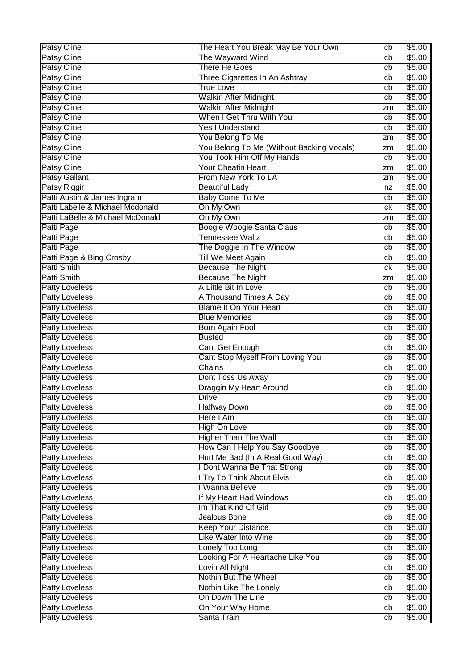| <b>Patsy Cline</b>               | The Heart You Break May Be Your Own       | cb | \$5.00 |
|----------------------------------|-------------------------------------------|----|--------|
| <b>Patsy Cline</b>               | The Wayward Wind                          | cb | \$5.00 |
| <b>Patsy Cline</b>               | <b>There He Goes</b>                      | cb | \$5.00 |
| <b>Patsy Cline</b>               | Three Cigarettes In An Ashtray            | cb | \$5.00 |
| <b>Patsy Cline</b>               | <b>True Love</b>                          | cb | \$5.00 |
| Patsy Cline                      | <b>Walkin After Midnight</b>              | cb | \$5.00 |
| <b>Patsy Cline</b>               | <b>Walkin After Midnight</b>              | zm | \$5.00 |
| Patsy Cline                      | When I Get Thru With You                  | cb | \$5.00 |
| Patsy Cline                      | <b>Yes I Understand</b>                   | cb | \$5.00 |
| <b>Patsy Cline</b>               | You Belong To Me                          | zm | \$5.00 |
| Patsy Cline                      | You Belong To Me (Without Backing Vocals) | zm | \$5.00 |
| <b>Patsy Cline</b>               | You Took Him Off My Hands                 | cb | \$5.00 |
| Patsy Cline                      | <b>Your Cheatin Heart</b>                 | zm | \$5.00 |
| Patsy Gallant                    | From New York To LA                       | zm | \$5.00 |
| Patsy Riggir                     | <b>Beautiful Lady</b>                     | nz | \$5.00 |
| Patti Austin & James Ingram      | <b>Baby Come To Me</b>                    | cb | \$5.00 |
| Patti Labelle & Michael Mcdonald | On My Own                                 | сk | \$5.00 |
| Patti LaBelle & Michael McDonald | On My Own                                 | zm | \$5.00 |
| Patti Page                       | Boogie Woogie Santa Claus                 | cb | \$5.00 |
| Patti Page                       | Tennessee Waltz                           | cb | \$5.00 |
| Patti Page                       | The Doggie In The Window                  | cb | \$5.00 |
| Patti Page & Bing Crosby         | <b>Till We Meet Again</b>                 | cb | \$5.00 |
| <b>Patti Smith</b>               | <b>Because The Night</b>                  | сk | \$5.00 |
| Patti Smith                      | <b>Because The Night</b>                  | zm | \$5.00 |
| <b>Patty Loveless</b>            | A Little Bit In Love                      | cb | \$5.00 |
| Patty Loveless                   | A Thousand Times A Day                    | cb | \$5.00 |
| <b>Patty Loveless</b>            | <b>Blame It On Your Heart</b>             | cb | \$5.00 |
| <b>Patty Loveless</b>            | <b>Blue Memories</b>                      | cb | \$5.00 |
| <b>Patty Loveless</b>            | Born Again Fool                           | cb | \$5.00 |
| <b>Patty Loveless</b>            | <b>Busted</b>                             | cb | \$5.00 |
| Patty Loveless                   | Cant Get Enough                           | cb | \$5.00 |
| Patty Loveless                   | Cant Stop Myself From Loving You          | cb | \$5.00 |
| Patty Loveless                   | Chains                                    | cb | \$5.00 |
| Patty Loveless                   | Dont Toss Us Away                         | cb | \$5.00 |
| <b>Patty Loveless</b>            | <b>Draggin My Heart Around</b>            | cb | \$5.00 |
| <b>Patty Loveless</b>            | <b>Drive</b>                              | cb | \$5.00 |
| <b>Patty Loveless</b>            | <b>Halfway Down</b>                       | cb | \$5.00 |
| <b>Patty Loveless</b>            | Here I Am                                 | cb | \$5.00 |
| <b>Patty Loveless</b>            | <b>High On Love</b>                       | cb | \$5.00 |
| <b>Patty Loveless</b>            | <b>Higher Than The Wall</b>               | cb | \$5.00 |
| <b>Patty Loveless</b>            | How Can I Help You Say Goodbye            | cb | \$5.00 |
| <b>Patty Loveless</b>            | Hurt Me Bad (In A Real Good Way)          | cb | \$5.00 |
| <b>Patty Loveless</b>            | I Dont Wanna Be That Strong               | cb | \$5.00 |
| <b>Patty Loveless</b>            | I Try To Think About Elvis                | cb | \$5.00 |
| <b>Patty Loveless</b>            | I Wanna Believe                           | cb | \$5.00 |
| <b>Patty Loveless</b>            | If My Heart Had Windows                   | cb | \$5.00 |
| <b>Patty Loveless</b>            | Im That Kind Of Girl                      | cb | \$5.00 |
| <b>Patty Loveless</b>            | Jealous Bone                              | cb | \$5.00 |
| <b>Patty Loveless</b>            | <b>Keep Your Distance</b>                 | cb | \$5.00 |
| <b>Patty Loveless</b>            | Like Water Into Wine                      | cb | \$5.00 |
| <b>Patty Loveless</b>            | Lonely Too Long                           | cb | \$5.00 |
| Patty Loveless                   | Looking For A Heartache Like You          | cb | \$5.00 |
| <b>Patty Loveless</b>            | Lovin All Night                           | cb | \$5.00 |
| <b>Patty Loveless</b>            | Nothin But The Wheel                      | cb | \$5.00 |
| <b>Patty Loveless</b>            | Nothin Like The Lonely                    | cb | \$5.00 |
| <b>Patty Loveless</b>            | On Down The Line                          | cb | \$5.00 |
| <b>Patty Loveless</b>            | On Your Way Home                          | cb | \$5.00 |
| <b>Patty Loveless</b>            | Santa Train                               | cb | \$5.00 |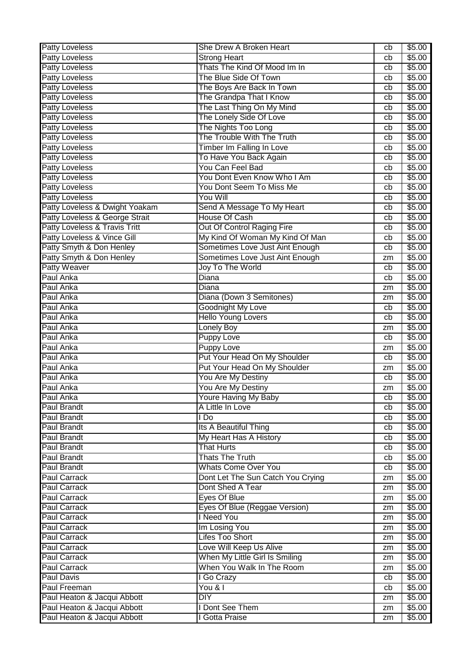| <b>Patty Loveless</b>          | She Drew A Broken Heart           | cb | \$5.00             |
|--------------------------------|-----------------------------------|----|--------------------|
| <b>Patty Loveless</b>          | <b>Strong Heart</b>               | cb | $\sqrt{$5.00}$     |
| Patty Loveless                 | Thats The Kind Of Mood Im In      | cb | \$5.00             |
| <b>Patty Loveless</b>          | The Blue Side Of Town             | cb | \$5.00             |
| <b>Patty Loveless</b>          | The Boys Are Back In Town         | cb | \$5.00             |
| <b>Patty Loveless</b>          | The Grandpa That I Know           | cb | \$5.00             |
| <b>Patty Loveless</b>          | The Last Thing On My Mind         | cb | \$5.00             |
| <b>Patty Loveless</b>          | The Lonely Side Of Love           | cb | \$5.00             |
| <b>Patty Loveless</b>          | The Nights Too Long               | cb | \$5.00             |
| Patty Loveless                 | The Trouble With The Truth        | cb | \$5.00             |
| Patty Loveless                 | Timber Im Falling In Love         | cb | \$5.00             |
| Patty Loveless                 | To Have You Back Again            | cb | \$5.00             |
| Patty Loveless                 | You Can Feel Bad                  | cb | \$5.00             |
| <b>Patty Loveless</b>          | You Dont Even Know Who I Am       | cb | \$5.00             |
| <b>Patty Loveless</b>          | You Dont Seem To Miss Me          | cb | \$5.00             |
| <b>Patty Loveless</b>          | You Will                          | cb | \$5.00             |
| Patty Loveless & Dwight Yoakam | Send A Message To My Heart        | cb | \$5.00             |
| Patty Loveless & George Strait | <b>House Of Cash</b>              | cb | \$5.00             |
| Patty Loveless & Travis Tritt  | Out Of Control Raging Fire        | cb | \$5.00             |
| Patty Loveless & Vince Gill    | My Kind Of Woman My Kind Of Man   | cb | \$5.00             |
| Patty Smyth & Don Henley       | Sometimes Love Just Aint Enough   | cb | \$5.00             |
| Patty Smyth & Don Henley       | Sometimes Love Just Aint Enough   | zm | \$5.00             |
| <b>Patty Weaver</b>            | Joy To The World                  | cb | \$5.00             |
| Paul Anka                      | Diana                             | cb | \$5.00             |
| Paul Anka                      | Diana                             | zm | \$5.00             |
| Paul Anka                      | Diana (Down 3 Semitones)          | zm | \$5.00             |
| Paul Anka                      | Goodnight My Love                 | cb | \$5.00             |
| Paul Anka                      | <b>Hello Young Lovers</b>         | cb | \$5.00             |
| Paul Anka                      | <b>Lonely Boy</b>                 | zm | \$5.00             |
| Paul Anka                      | Puppy Love                        | cb | $\overline{$}5.00$ |
| Paul Anka                      | <b>Puppy Love</b>                 | zm | \$5.00             |
| Paul Anka                      | Put Your Head On My Shoulder      | cb | \$5.00             |
| Paul Anka                      | Put Your Head On My Shoulder      | zm | \$5.00             |
| Paul Anka                      | You Are My Destiny                | cb | \$5.00             |
| Paul Anka                      | You Are My Destiny                | zm | \$5.00             |
| Paul Anka                      | Youre Having My Baby              | cb | \$5.00             |
| <b>Paul Brandt</b>             | A Little In Love                  | cb | \$5.00             |
| <b>Paul Brandt</b>             | l Do                              | cb | \$5.00             |
| <b>Paul Brandt</b>             | Its A Beautiful Thing             | cb | \$5.00             |
| <b>Paul Brandt</b>             | My Heart Has A History            | cb | \$5.00             |
| <b>Paul Brandt</b>             | <b>That Hurts</b>                 | cb | \$5.00             |
| Paul Brandt                    | <b>Thats The Truth</b>            | cb | \$5.00             |
| Paul Brandt                    | <b>Whats Come Over You</b>        | cb | \$5.00             |
| <b>Paul Carrack</b>            | Dont Let The Sun Catch You Crying | zm | \$5.00             |
| <b>Paul Carrack</b>            | Dont Shed A Tear                  | zm | \$5.00             |
| <b>Paul Carrack</b>            | Eyes Of Blue                      | zm | \$5.00             |
| <b>Paul Carrack</b>            | Eyes Of Blue (Reggae Version)     | zm | \$5.00             |
| <b>Paul Carrack</b>            | I Need You                        | zm | \$5.00             |
| <b>Paul Carrack</b>            | Im Losing You                     | zm | \$5.00             |
| <b>Paul Carrack</b>            | <b>Lifes Too Short</b>            | zm | \$5.00             |
| <b>Paul Carrack</b>            | Love Will Keep Us Alive           | zm | \$5.00             |
| <b>Paul Carrack</b>            | When My Little Girl Is Smiling    | zm | \$5.00             |
| <b>Paul Carrack</b>            | When You Walk In The Room         | zm | \$5.00             |
| <b>Paul Davis</b>              | I Go Crazy                        | cb | \$5.00             |
| <b>Paul Freeman</b>            | You & I                           | cb | \$5.00             |
| Paul Heaton & Jacqui Abbott    | <b>DIY</b>                        | zm | \$5.00             |
| Paul Heaton & Jacqui Abbott    | I Dont See Them                   | zm | \$5.00             |
| Paul Heaton & Jacqui Abbott    | I Gotta Praise                    | zm | \$5.00             |
|                                |                                   |    |                    |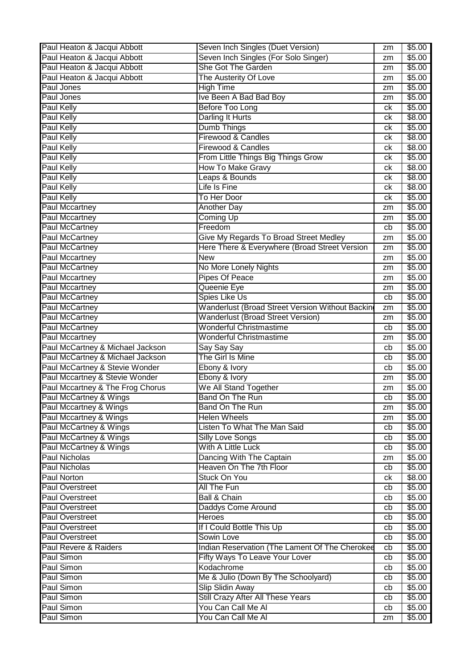| Paul Heaton & Jacqui Abbott      | Seven Inch Singles (Duet Version)               | zm | \$5.00 |
|----------------------------------|-------------------------------------------------|----|--------|
| Paul Heaton & Jacqui Abbott      | Seven Inch Singles (For Solo Singer)            | zm | \$5.00 |
| Paul Heaton & Jacqui Abbott      | She Got The Garden                              | zm | \$5.00 |
| Paul Heaton & Jacqui Abbott      | The Austerity Of Love                           | zm | \$5.00 |
| Paul Jones                       | <b>High Time</b>                                | zm | \$5.00 |
| Paul Jones                       | Ive Been A Bad Bad Boy                          | zm | \$5.00 |
| <b>Paul Kelly</b>                | Before Too Long                                 | ck | \$5.00 |
| <b>Paul Kelly</b>                | Darling It Hurts                                | ck | \$8.00 |
| <b>Paul Kelly</b>                | Dumb Things                                     | ck | \$5.00 |
| <b>Paul Kelly</b>                | Firewood & Candles                              | ck | \$8.00 |
| <b>Paul Kelly</b>                | Firewood & Candles                              | ck | \$8.00 |
| <b>Paul Kelly</b>                | From Little Things Big Things Grow              | ck | \$5.00 |
| <b>Paul Kelly</b>                | <b>How To Make Gravy</b>                        | ck | \$8.00 |
| <b>Paul Kelly</b>                | Leaps & Bounds                                  | ck | \$8.00 |
| <b>Paul Kelly</b>                | Life Is Fine                                    | ck | \$8.00 |
| <b>Paul Kelly</b>                | To Her Door                                     | ck | \$5.00 |
| <b>Paul Mccartney</b>            | <b>Another Day</b>                              | zm | \$5.00 |
| Paul Mccartney                   | <b>Coming Up</b>                                | zm | \$5.00 |
| Paul McCartney                   | Freedom                                         | cb | \$5.00 |
| <b>Paul McCartney</b>            | Give My Regards To Broad Street Medley          | zm | \$5.00 |
| Paul McCartney                   | Here There & Everywhere (Broad Street Version   | zm | \$5.00 |
| Paul Mccartney                   | <b>New</b>                                      | zm | \$5.00 |
| <b>Paul McCartney</b>            | No More Lonely Nights                           | zm | \$5.00 |
| <b>Paul Mccartney</b>            | <b>Pipes Of Peace</b>                           | zm | \$5.00 |
| <b>Paul Mccartney</b>            | Queenie Eye                                     | zm | \$5.00 |
| <b>Paul McCartney</b>            | Spies Like Us                                   | cb | \$5.00 |
| <b>Paul McCartney</b>            | Wanderlust (Broad Street Version Without Backin | zm | \$5.00 |
| <b>Paul McCartney</b>            | <b>Wanderlust (Broad Street Version)</b>        | zm | \$5.00 |
| <b>Paul McCartney</b>            | <b>Wonderful Christmastime</b>                  | cb | \$5.00 |
| <b>Paul Mccartney</b>            | <b>Wonderful Christmastime</b>                  | zm | \$5.00 |
| Paul McCartney & Michael Jackson | Say Say Say                                     | cb | \$5.00 |
| Paul McCartney & Michael Jackson | The Girl Is Mine                                | cb | \$5.00 |
| Paul McCartney & Stevie Wonder   | Ebony & Ivory                                   | cb | \$5.00 |
| Paul Mccartney & Stevie Wonder   | Ebony & Ivory                                   | zm | \$5.00 |
| Paul Mccartney & The Frog Chorus | We All Stand Together                           | zm | \$5.00 |
| Paul McCartney & Wings           | Band On The Run                                 | cb | \$5.00 |
| Paul Mccartney & Wings           | <b>Band On The Run</b>                          | zm | \$5.00 |
| Paul Mccartney & Wings           | <b>Helen Wheels</b>                             | zm | \$5.00 |
| Paul McCartney & Wings           | Listen To What The Man Said                     | cb | \$5.00 |
| Paul McCartney & Wings           | <b>Silly Love Songs</b>                         | cb | \$5.00 |
| Paul McCartney & Wings           | With A Little Luck                              | cb | \$5.00 |
| <b>Paul Nicholas</b>             | Dancing With The Captain                        | zm | \$5.00 |
| <b>Paul Nicholas</b>             | Heaven On The 7th Floor                         | cb | \$5.00 |
| <b>Paul Norton</b>               | Stuck On You                                    | ck | \$8.00 |
| <b>Paul Overstreet</b>           | All The Fun                                     | cb | \$5.00 |
| <b>Paul Overstreet</b>           | <b>Ball &amp; Chain</b>                         | cb | \$5.00 |
| <b>Paul Overstreet</b>           | Daddys Come Around                              | cb | \$5.00 |
| <b>Paul Overstreet</b>           | <b>Heroes</b>                                   | cb | \$5.00 |
| <b>Paul Overstreet</b>           | If I Could Bottle This Up                       | cb | \$5.00 |
| <b>Paul Overstreet</b>           | Sowin Love                                      | cb | \$5.00 |
| Paul Revere & Raiders            | Indian Reservation (The Lament Of The Cherokee  | cb | \$5.00 |
| Paul Simon                       | Fifty Ways To Leave Your Lover                  | cb | \$5.00 |
| Paul Simon                       | Kodachrome                                      | cb | \$5.00 |
| Paul Simon                       | Me & Julio (Down By The Schoolyard)             | cb | \$5.00 |
| Paul Simon                       | <b>Slip Slidin Away</b>                         | cb | \$5.00 |
| Paul Simon                       | Still Crazy After All These Years               | cb | \$5.00 |
| Paul Simon                       | You Can Call Me Al                              | cb | \$5.00 |
| Paul Simon                       | You Can Call Me Al                              | zm | \$5.00 |
|                                  |                                                 |    |        |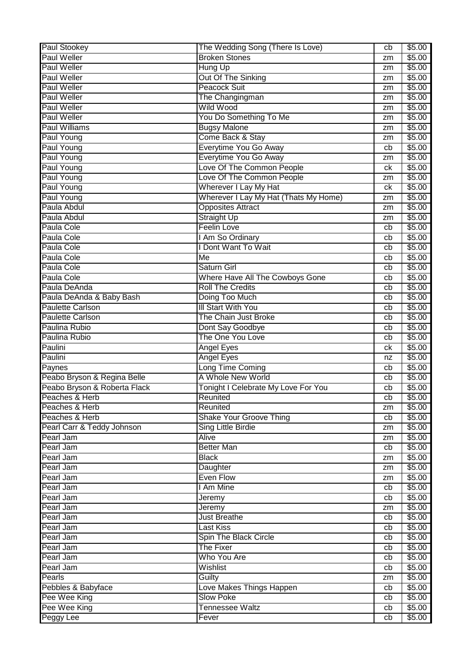| <b>Paul Stookey</b>          | The Wedding Song (There Is Love)      | cb | \$5.00 |
|------------------------------|---------------------------------------|----|--------|
| <b>Paul Weller</b>           | <b>Broken Stones</b>                  | zm | \$5.00 |
| <b>Paul Weller</b>           | Hung Up                               | zm | \$5.00 |
| <b>Paul Weller</b>           | Out Of The Sinking                    | zm | \$5.00 |
| <b>Paul Weller</b>           | <b>Peacock Suit</b>                   | zm | \$5.00 |
| <b>Paul Weller</b>           | The Changingman                       | zm | \$5.00 |
| <b>Paul Weller</b>           | <b>Wild Wood</b>                      | zm | \$5.00 |
| <b>Paul Weller</b>           | You Do Something To Me                | zm | \$5.00 |
| <b>Paul Williams</b>         | <b>Bugsy Malone</b>                   | zm | \$5.00 |
| Paul Young                   | Come Back & Stay                      | zm | \$5.00 |
| Paul Young                   | Everytime You Go Away                 | cb | \$5.00 |
| Paul Young                   | Everytime You Go Away                 | zm | \$5.00 |
| Paul Young                   | Love Of The Common People             | сk | \$5.00 |
| Paul Young                   | Love Of The Common People             | zm | \$5.00 |
| Paul Young                   | Wherever I Lay My Hat                 | ck | \$5.00 |
| Paul Young                   | Wherever I Lay My Hat (Thats My Home) | zm | \$5.00 |
| Paula Abdul                  | <b>Opposites Attract</b>              | zm | \$5.00 |
| Paula Abdul                  | <b>Straight Up</b>                    | zm | \$5.00 |
| Paula Cole                   | <b>Feelin Love</b>                    | cb | \$5.00 |
| <b>Paula Cole</b>            | I Am So Ordinary                      | cb | \$5.00 |
| Paula Cole                   | I Dont Want To Wait                   | cb | \$5.00 |
| Paula Cole                   | Me                                    | cb | \$5.00 |
| Paula Cole                   | Saturn Girl                           | cb | \$5.00 |
| Paula Cole                   |                                       |    |        |
|                              | Where Have All The Cowboys Gone       | cb | \$5.00 |
| Paula DeAnda                 | <b>Roll The Credits</b>               | cb | \$5.00 |
| Paula DeAnda & Baby Bash     | Doing Too Much                        | cb | \$5.00 |
| <b>Paulette Carlson</b>      | III Start With You                    | cb | \$5.00 |
| <b>Paulette Carlson</b>      | The Chain Just Broke                  | cb | \$5.00 |
| Paulina Rubio                | Dont Say Goodbye                      | cb | \$5.00 |
| Paulina Rubio                | The One You Love                      | cb | \$5.00 |
| Paulini                      | Angel Eyes                            | ck | \$5.00 |
| Paulini                      | <b>Angel Eyes</b>                     | nz | \$5.00 |
| Paynes                       | Long Time Coming                      | cb | \$5.00 |
| Peabo Bryson & Regina Belle  | A Whole New World                     | cb | \$5.00 |
| Peabo Bryson & Roberta Flack | Tonight I Celebrate My Love For You   | cb | \$5.00 |
| Peaches & Herb               | Reunited                              | cb | \$5.00 |
| Peaches & Herb               | Reunited                              | zm | \$5.00 |
| Peaches & Herb               | <b>Shake Your Groove Thing</b>        | cb | \$5.00 |
| Pearl Carr & Teddy Johnson   | Sing Little Birdie                    | zm | \$5.00 |
| Pearl Jam                    | <b>Alive</b>                          | zm | \$5.00 |
| Pearl Jam                    | <b>Better Man</b>                     | cb | \$5.00 |
| Pearl Jam                    | <b>Black</b>                          | zm | \$5.00 |
| Pearl Jam                    | Daughter                              | zm | \$5.00 |
| Pearl Jam                    | <b>Even Flow</b>                      | zm | \$5.00 |
| Pearl Jam                    | I Am Mine                             | cb | \$5.00 |
| Pearl Jam                    | Jeremy                                | cb | \$5.00 |
| Pearl Jam                    | Jeremy                                | zm | \$5.00 |
| Pearl Jam                    | <b>Just Breathe</b>                   | cb | \$5.00 |
| Pearl Jam                    | <b>Last Kiss</b>                      | cb | \$5.00 |
| Pearl Jam                    | <b>Spin The Black Circle</b>          | cb | \$5.00 |
| Pearl Jam                    | <b>The Fixer</b>                      | cb | \$5.00 |
| Pearl Jam                    | Who You Are                           | cb | \$5.00 |
| Pearl Jam                    | Wishlist                              | cb | \$5.00 |
| Pearls                       | Guilty                                | zm | \$5.00 |
| Pebbles & Babyface           | Love Makes Things Happen              | cb | \$5.00 |
| Pee Wee King                 | <b>Slow Poke</b>                      | cb | \$5.00 |
| Pee Wee King                 | <b>Tennessee Waltz</b>                | cb | \$5.00 |
| Peggy Lee                    | Fever                                 | cb | \$5.00 |
|                              |                                       |    |        |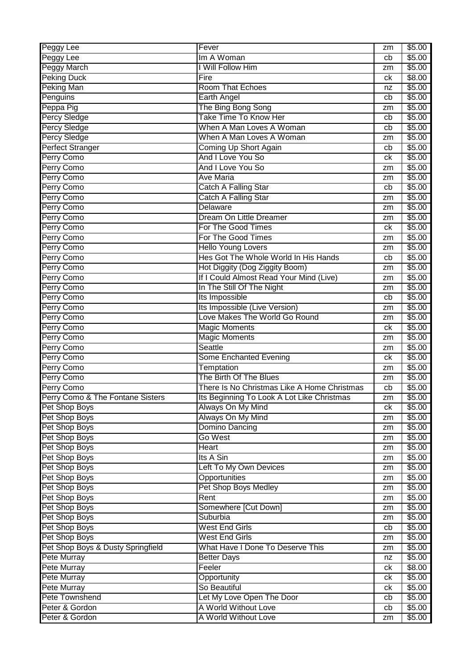| Peggy Lee<br>Im A Woman<br>cb<br><b>Peggy March</b><br>I Will Follow Him<br>zm<br><b>Peking Duck</b><br>Fire<br>ck | \$5.00<br>\$5.00<br>\$8.00<br>\$5.00 |
|--------------------------------------------------------------------------------------------------------------------|--------------------------------------|
|                                                                                                                    |                                      |
|                                                                                                                    |                                      |
|                                                                                                                    |                                      |
| <b>Peking Man</b><br><b>Room That Echoes</b><br>nz                                                                 |                                      |
| Penguins<br><b>Earth Angel</b><br>cb                                                                               | \$5.00                               |
| Peppa Pig<br>The Bing Bong Song<br>zm                                                                              | \$5.00                               |
| Percy Sledge<br>Take Time To Know Her<br>cb                                                                        | \$5.00                               |
| <b>Percy Sledge</b><br>When A Man Loves A Woman<br>cb                                                              | \$5.00                               |
| <b>Percy Sledge</b><br>When A Man Loves A Woman<br>zm                                                              | \$5.00                               |
| <b>Perfect Stranger</b><br>Coming Up Short Again<br>cb                                                             | \$5.00                               |
| And I Love You So<br>Perry Como<br>сk                                                                              | \$5.00                               |
| Perry Como<br>And I Love You So<br>zm                                                                              | \$5.00                               |
| Perry Como<br><b>Ave Maria</b><br>zm                                                                               | \$5.00                               |
| <b>Catch A Falling Star</b><br>Perry Como<br>cb                                                                    | \$5.00                               |
| Perry Como<br><b>Catch A Falling Star</b><br>zm                                                                    | \$5.00                               |
| Perry Como<br>Delaware<br>zm                                                                                       | \$5.00                               |
| Perry Como<br>Dream On Little Dreamer<br>zm                                                                        | \$5.00                               |
| Perry Como<br>For The Good Times<br>ck                                                                             | \$5.00                               |
| For The Good Times<br>Perry Como<br>zm                                                                             | \$5.00                               |
| Perry Como<br><b>Hello Young Lovers</b><br>zm                                                                      | \$5.00                               |
| Hes Got The Whole World In His Hands<br>Perry Como<br>cb                                                           | \$5.00                               |
| Perry Como<br>Hot Diggity (Dog Ziggity Boom)<br>zm                                                                 | \$5.00                               |
| If I Could Almost Read Your Mind (Live)<br>Perry Como<br>zm                                                        | \$5.00                               |
| Perry Como<br>In The Still Of The Night<br>zm                                                                      | \$5.00                               |
| Perry Como<br>Its Impossible<br>cb                                                                                 | \$5.00                               |
| Its Impossible (Live Version)<br>Perry Como<br>zm                                                                  | \$5.00                               |
| Love Makes The World Go Round<br>Perry Como<br>zm                                                                  | \$5.00                               |
| Perry Como<br><b>Magic Moments</b><br>ck                                                                           | \$5.00                               |
| Perry Como<br><b>Magic Moments</b><br>zm                                                                           | \$5.00                               |
| Perry Como<br>Seattle<br>zm                                                                                        | \$5.00                               |
| Perry Como<br><b>Some Enchanted Evening</b><br>сk                                                                  | \$5.00                               |
| Perry Como<br>Temptation<br>zm                                                                                     | \$5.00                               |
| The Birth Of The Blues<br>Perry Como<br>zm                                                                         | \$5.00                               |
| There Is No Christmas Like A Home Christmas<br>Perry Como<br>cb                                                    | \$5.00                               |
| Perry Como & The Fontane Sisters<br>Its Beginning To Look A Lot Like Christmas<br>zm                               | \$5.00                               |
| Pet Shop Boys<br>Always On My Mind<br>ck                                                                           | \$5.00                               |
| Pet Shop Boys<br>Always On My Mind<br>zm                                                                           | \$5.00                               |
| Pet Shop Boys<br>Domino Dancing<br>zm                                                                              | \$5.00                               |
| Pet Shop Boys<br>Go West<br>zm                                                                                     | \$5.00                               |
| Pet Shop Boys<br>Heart<br>zm                                                                                       | \$5.00                               |
| Pet Shop Boys<br>Its A Sin<br>zm                                                                                   | \$5.00                               |
| Pet Shop Boys<br>Left To My Own Devices<br>zm                                                                      | \$5.00                               |
| Opportunities<br>Pet Shop Boys<br>zm                                                                               | \$5.00                               |
| Pet Shop Boys<br>Pet Shop Boys Medley<br>zm                                                                        | \$5.00                               |
| Pet Shop Boys<br>Rent<br>zm                                                                                        | \$5.00                               |
| Somewhere [Cut Down]<br>Pet Shop Boys<br>zm                                                                        | \$5.00                               |
| Pet Shop Boys<br>Suburbia<br>zm                                                                                    | \$5.00                               |
| Pet Shop Boys<br><b>West End Girls</b><br>cb                                                                       | \$5.00                               |
| Pet Shop Boys<br><b>West End Girls</b><br>zm                                                                       | \$5.00                               |
| Pet Shop Boys & Dusty Springfield<br>What Have I Done To Deserve This<br>zm                                        | \$5.00                               |
| Pete Murray<br><b>Better Days</b><br>nz                                                                            | \$5.00                               |
| Pete Murray<br>Feeler<br>ck                                                                                        | \$8.00                               |
| Pete Murray<br>Opportunity<br>ck                                                                                   | \$5.00                               |
| <b>Pete Murray</b><br>So Beautiful<br>ck                                                                           | \$5.00                               |
| Pete Townshend<br>Let My Love Open The Door<br>cb                                                                  | \$5.00                               |
| Peter & Gordon<br>A World Without Love<br>cb                                                                       | \$5.00                               |
| Peter & Gordon<br>A World Without Love<br>zm                                                                       | \$5.00                               |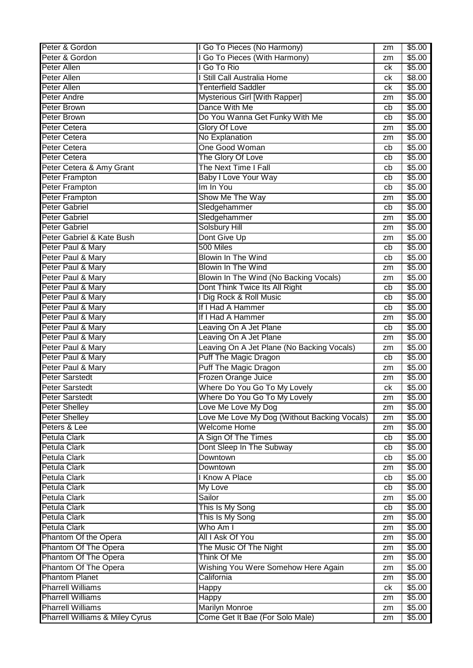| Peter & Gordon                             | I Go To Pieces (No Harmony)                  | zm | \$5.00 |
|--------------------------------------------|----------------------------------------------|----|--------|
| Peter & Gordon                             | I Go To Pieces (With Harmony)                | zm | \$5.00 |
| Peter Allen                                | I Go To Rio                                  | сk | \$5.00 |
| <b>Peter Allen</b>                         | I Still Call Australia Home                  | сk | \$8.00 |
| Peter Allen                                | <b>Tenterfield Saddler</b>                   | сk | \$5.00 |
| <b>Peter Andre</b>                         | Mysterious Girl [With Rapper]                | zm | \$5.00 |
| <b>Peter Brown</b>                         | Dance With Me                                | cb | \$5.00 |
| <b>Peter Brown</b>                         | Do You Wanna Get Funky With Me               | cb | \$5.00 |
| <b>Peter Cetera</b>                        | <b>Glory Of Love</b>                         | zm | \$5.00 |
| <b>Peter Cetera</b>                        | No Explanation                               | zm | \$5.00 |
| <b>Peter Cetera</b>                        | <b>One Good Woman</b>                        | cb | \$5.00 |
| Peter Cetera                               | The Glory Of Love                            | cb | \$5.00 |
| Peter Cetera & Amy Grant                   | The Next Time I Fall                         | cb | \$5.00 |
| Peter Frampton                             | <b>Baby I Love Your Way</b>                  | cb | \$5.00 |
| <b>Peter Frampton</b>                      | Im In You                                    | cb | \$5.00 |
| <b>Peter Frampton</b>                      | Show Me The Way                              | zm | \$5.00 |
| <b>Peter Gabriel</b>                       | Sledgehammer                                 | cb | \$5.00 |
| <b>Peter Gabriel</b>                       | Sledgehammer                                 | zm | \$5.00 |
| <b>Peter Gabriel</b>                       | <b>Solsbury Hill</b>                         | zm | \$5.00 |
| Peter Gabriel & Kate Bush                  | Dont Give Up                                 | zm | \$5.00 |
| Peter Paul & Mary                          | 500 Miles                                    | cb | \$5.00 |
| Peter Paul & Mary                          | <b>Blowin In The Wind</b>                    | cb | \$5.00 |
| Peter Paul & Mary                          | <b>Blowin In The Wind</b>                    | zm | \$5.00 |
| Peter Paul & Mary                          | Blowin In The Wind (No Backing Vocals)       | zm | \$5.00 |
| Peter Paul & Mary                          | Dont Think Twice Its All Right               | cb | \$5.00 |
| Peter Paul & Mary                          | I Dig Rock & Roll Music                      | cb | \$5.00 |
| Peter Paul & Mary                          | If I Had A Hammer                            | cb | \$5.00 |
| Peter Paul & Mary                          | If I Had A Hammer                            | zm | \$5.00 |
| Peter Paul & Mary                          | Leaving On A Jet Plane                       | cb | \$5.00 |
| Peter Paul & Mary                          | Leaving On A Jet Plane                       | zm | \$5.00 |
| Peter Paul & Mary                          | Leaving On A Jet Plane (No Backing Vocals)   | zm | \$5.00 |
| Peter Paul & Mary                          | Puff The Magic Dragon                        | cb | \$5.00 |
| Peter Paul & Mary                          | Puff The Magic Dragon                        | zm | \$5.00 |
| <b>Peter Sarstedt</b>                      | Frozen Orange Juice                          | zm | \$5.00 |
| <b>Peter Sarstedt</b>                      | Where Do You Go To My Lovely                 | сk | \$5.00 |
| <b>Peter Sarstedt</b>                      | Where Do You Go To My Lovely                 | zm | \$5.00 |
| <b>Peter Shelley</b>                       | Love Me Love My Dog                          | zm | \$5.00 |
| Peter Shelley                              | Love Me Love My Dog (Without Backing Vocals) | zm | \$5.00 |
| Peters & Lee                               | <b>Welcome Home</b>                          | zm | \$5.00 |
| <b>Petula Clark</b>                        | A Sign Of The Times                          | cb | \$5.00 |
| Petula Clark                               | Dont Sleep In The Subway                     | cb | \$5.00 |
| Petula Clark                               | Downtown                                     | cb | \$5.00 |
| <b>Petula Clark</b>                        | <b>Downtown</b>                              | zm | \$5.00 |
| Petula Clark                               | I Know A Place                               | cb | \$5.00 |
| <b>Petula Clark</b>                        | My Love                                      | cb | \$5.00 |
| <b>Petula Clark</b>                        | Sailor                                       | zm | \$5.00 |
| <b>Petula Clark</b>                        | This Is My Song                              | cb | \$5.00 |
| Petula Clark                               | This Is My Song                              | zm | \$5.00 |
| Petula Clark                               | Who Am I                                     | zm | \$5.00 |
| Phantom Of the Opera                       | All I Ask Of You                             | zm | \$5.00 |
| Phantom Of The Opera                       | The Music Of The Night                       | zm | \$5.00 |
| Phantom Of The Opera                       | Think Of Me                                  | zm | \$5.00 |
| Phantom Of The Opera                       | Wishing You Were Somehow Here Again          | zm | \$5.00 |
| <b>Phantom Planet</b>                      | California                                   | zm | \$5.00 |
| <b>Pharrell Williams</b>                   | Happy                                        | ck | \$5.00 |
| <b>Pharrell Williams</b>                   | Happy                                        | zm | \$5.00 |
| <b>Pharrell Williams</b>                   | <b>Marilyn Monroe</b>                        | zm | \$5.00 |
| <b>Pharrell Williams &amp; Miley Cyrus</b> | Come Get It Bae (For Solo Male)              | zm | \$5.00 |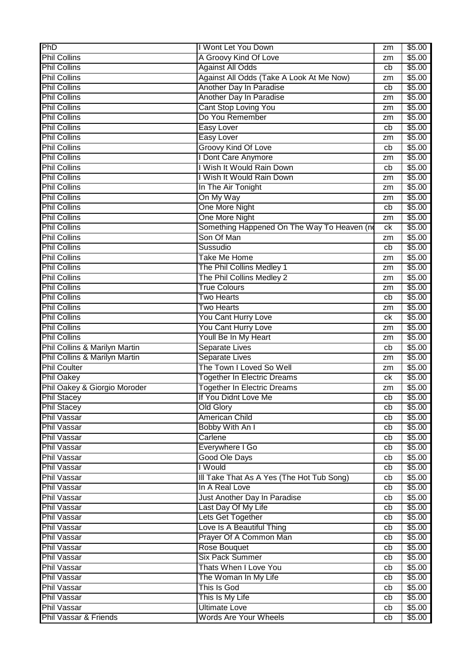| PhD                           | I Wont Let You Down                         | zm       | \$5.00 |
|-------------------------------|---------------------------------------------|----------|--------|
| <b>Phil Collins</b>           | A Groovy Kind Of Love                       | zm       | \$5.00 |
| <b>Phil Collins</b>           | <b>Against All Odds</b>                     | cb       | \$5.00 |
| <b>Phil Collins</b>           | Against All Odds (Take A Look At Me Now)    | zm       | \$5.00 |
| <b>Phil Collins</b>           | Another Day In Paradise                     | cb       | \$5.00 |
| <b>Phil Collins</b>           | Another Day In Paradise                     | zm       | \$5.00 |
| <b>Phil Collins</b>           | <b>Cant Stop Loving You</b>                 | zm       | \$5.00 |
| <b>Phil Collins</b>           | Do You Remember                             | zm       | \$5.00 |
| <b>Phil Collins</b>           | Easy Lover                                  | cb       | \$5.00 |
| <b>Phil Collins</b>           | <b>Easy Lover</b>                           | zm       | \$5.00 |
| <b>Phil Collins</b>           | Groovy Kind Of Love                         | cb       | \$5.00 |
| <b>Phil Collins</b>           | I Dont Care Anymore                         | zm       | \$5.00 |
| <b>Phil Collins</b>           | I Wish It Would Rain Down                   | cb       | \$5.00 |
| <b>Phil Collins</b>           | I Wish It Would Rain Down                   | zm       | \$5.00 |
| <b>Phil Collins</b>           | In The Air Tonight                          | zm       | \$5.00 |
| <b>Phil Collins</b>           | On My Way                                   | zm       | \$5.00 |
| <b>Phil Collins</b>           | One More Night                              | cb       | \$5.00 |
| <b>Phil Collins</b>           | One More Night                              | zm       | \$5.00 |
| <b>Phil Collins</b>           | Something Happened On The Way To Heaven (no | ck       | \$5.00 |
| <b>Phil Collins</b>           | Son Of Man                                  |          | \$5.00 |
| <b>Phil Collins</b>           | Sussudio                                    | zm<br>cb | \$5.00 |
| <b>Phil Collins</b>           | <b>Take Me Home</b>                         |          | \$5.00 |
| <b>Phil Collins</b>           |                                             | zm       |        |
|                               | The Phil Collins Medley 1                   | zm       | \$5.00 |
| <b>Phil Collins</b>           | The Phil Collins Medley 2                   | zm       | \$5.00 |
| <b>Phil Collins</b>           | <b>True Colours</b>                         | zm       | \$5.00 |
| <b>Phil Collins</b>           | <b>Two Hearts</b>                           | cb       | \$5.00 |
| <b>Phil Collins</b>           | <b>Two Hearts</b>                           | zm       | \$5.00 |
| <b>Phil Collins</b>           | You Cant Hurry Love                         | ck       | \$5.00 |
| <b>Phil Collins</b>           | <b>You Cant Hurry Love</b>                  | zm       | \$5.00 |
| <b>Phil Collins</b>           | Youll Be In My Heart                        | zm       | \$5.00 |
| Phil Collins & Marilyn Martin | Separate Lives                              | cb       | \$5.00 |
| Phil Collins & Marilyn Martin | <b>Separate Lives</b>                       | zm       | \$5.00 |
| <b>Phil Coulter</b>           | The Town I Loved So Well                    | zm       | \$5.00 |
| <b>Phil Oakey</b>             | <b>Together In Electric Dreams</b>          | ck       | \$5.00 |
| Phil Oakey & Giorgio Moroder  | <b>Together In Electric Dreams</b>          | zm       | \$5.00 |
| <b>Phil Stacey</b>            | If You Didnt Love Me                        | cb       | \$5.00 |
| <b>Phil Stacey</b>            | <b>Old Glory</b>                            | cb       | \$5.00 |
| <b>Phil Vassar</b>            | <b>American Child</b>                       | cb       | \$5.00 |
| <b>Phil Vassar</b>            | Bobby With An I                             | cb       | \$5.00 |
| <b>Phil Vassar</b>            | Carlene                                     | cb       | \$5.00 |
| <b>Phil Vassar</b>            | Everywhere I Go                             | cb       | \$5.00 |
| <b>Phil Vassar</b>            | Good Ole Days                               | cb       | \$5.00 |
| <b>Phil Vassar</b>            | I Would                                     | cb       | \$5.00 |
| <b>Phil Vassar</b>            | III Take That As A Yes (The Hot Tub Song)   | cb       | \$5.00 |
| <b>Phil Vassar</b>            | In A Real Love                              | cb       | \$5.00 |
| <b>Phil Vassar</b>            | Just Another Day In Paradise                | cb       | \$5.00 |
| <b>Phil Vassar</b>            | Last Day Of My Life                         | cb       | \$5.00 |
| <b>Phil Vassar</b>            | Lets Get Together                           | cb       | \$5.00 |
| <b>Phil Vassar</b>            | Love Is A Beautiful Thing                   | cb       | \$5.00 |
| <b>Phil Vassar</b>            | Prayer Of A Common Man                      | cb       | \$5.00 |
| <b>Phil Vassar</b>            | Rose Bouquet                                | cb       | \$5.00 |
| <b>Phil Vassar</b>            | <b>Six Pack Summer</b>                      | cb       | \$5.00 |
| <b>Phil Vassar</b>            | Thats When I Love You                       | cb       | \$5.00 |
| <b>Phil Vassar</b>            | The Woman In My Life                        | cb       | \$5.00 |
| <b>Phil Vassar</b>            | This Is God                                 | cb       | \$5.00 |
| <b>Phil Vassar</b>            | This Is My Life                             | cb       | \$5.00 |
| <b>Phil Vassar</b>            | <b>Ultimate Love</b>                        | cb       | \$5.00 |
| Phil Vassar & Friends         | <b>Words Are Your Wheels</b>                | cb       | \$5.00 |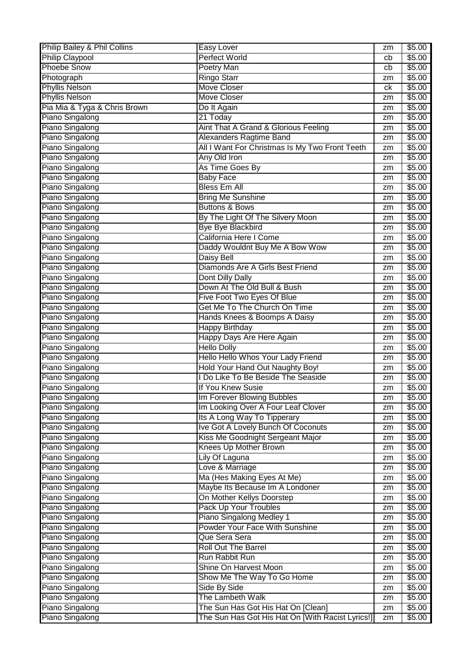| Philip Bailey & Phil Collins | Easy Lover                                       | zm | \$5.00 |
|------------------------------|--------------------------------------------------|----|--------|
| <b>Philip Claypool</b>       | <b>Perfect World</b>                             | cb | \$5.00 |
| <b>Phoebe Snow</b>           | <b>Poetry Man</b>                                | cb | \$5.00 |
| Photograph                   | <b>Ringo Starr</b>                               | zm | \$5.00 |
| <b>Phyllis Nelson</b>        | <b>Move Closer</b>                               | ck | \$5.00 |
| <b>Phyllis Nelson</b>        | <b>Move Closer</b>                               | zm | \$5.00 |
| Pia Mia & Tyga & Chris Brown | Do It Again                                      | zm | \$5.00 |
| Piano Singalong              | 21 Today                                         | zm | \$5.00 |
| Piano Singalong              | Aint That A Grand & Glorious Feeling             | zm | \$5.00 |
| Piano Singalong              | <b>Alexanders Ragtime Band</b>                   | zm | \$5.00 |
| Piano Singalong              | All I Want For Christmas Is My Two Front Teeth   | zm | \$5.00 |
| Piano Singalong              | Any Old Iron                                     | zm | \$5.00 |
| Piano Singalong              | As Time Goes By                                  | zm | \$5.00 |
| <b>Piano Singalong</b>       | <b>Baby Face</b>                                 | zm | \$5.00 |
| <b>Piano Singalong</b>       | <b>Bless Em All</b>                              | zm | \$5.00 |
| <b>Piano Singalong</b>       | <b>Bring Me Sunshine</b>                         | zm | \$5.00 |
| Piano Singalong              | <b>Buttons &amp; Bows</b>                        | zm | \$5.00 |
| Piano Singalong              | By The Light Of The Silvery Moon                 | zm | \$5.00 |
| Piano Singalong              | <b>Bye Bye Blackbird</b>                         | zm | \$5.00 |
| Piano Singalong              | California Here I Come                           | zm | \$5.00 |
| Piano Singalong              | Daddy Wouldnt Buy Me A Bow Wow                   | zm | \$5.00 |
| Piano Singalong              | <b>Daisy Bell</b>                                | zm | \$5.00 |
| <b>Piano Singalong</b>       | Diamonds Are A Girls Best Friend                 | zm | \$5.00 |
| <b>Piano Singalong</b>       | Dont Dilly Dally                                 | zm | \$5.00 |
| Piano Singalong              | Down At The Old Bull & Bush                      | zm | \$5.00 |
| Piano Singalong              | Five Foot Two Eyes Of Blue                       | zm | \$5.00 |
| Piano Singalong              | Get Me To The Church On Time                     | zm | \$5.00 |
| Piano Singalong              | Hands Knees & Boomps A Daisy                     | zm | \$5.00 |
| <b>Piano Singalong</b>       | <b>Happy Birthday</b>                            | zm | \$5.00 |
| <b>Piano Singalong</b>       | Happy Days Are Here Again                        | zm | \$5.00 |
| Piano Singalong              | <b>Hello Dolly</b>                               | zm | \$5.00 |
| Piano Singalong              | Hello Hello Whos Your Lady Friend                | zm | \$5.00 |
| Piano Singalong              | Hold Your Hand Out Naughty Boy!                  | zm | \$5.00 |
| Piano Singalong              | I Do Like To Be Beside The Seaside               | zm | \$5.00 |
| Piano Singalong              | If You Knew Susie                                | zm | \$5.00 |
| Piano Singalong              | Im Forever Blowing Bubbles                       | zm | \$5.00 |
| Piano Singalong              | Im Looking Over A Four Leaf Clover               | zm | \$5.00 |
| Piano Singalong              | Its A Long Way To Tipperary                      | zm | \$5.00 |
| Piano Singalong              | Ive Got A Lovely Bunch Of Coconuts               | zm | \$5.00 |
| Piano Singalong              | Kiss Me Goodnight Sergeant Major                 | zm | \$5.00 |
| Piano Singalong              | Knees Up Mother Brown                            | zm | \$5.00 |
| Piano Singalong              | Lily Of Laguna                                   | zm | \$5.00 |
| Piano Singalong              | Love & Marriage                                  | zm | \$5.00 |
| Piano Singalong              | Ma (Hes Making Eyes At Me)                       | zm | \$5.00 |
| Piano Singalong              | Maybe Its Because Im A Londoner                  | zm | \$5.00 |
| Piano Singalong              | On Mother Kellys Doorstep                        | zm | \$5.00 |
| Piano Singalong              | <b>Pack Up Your Troubles</b>                     | zm | \$5.00 |
| Piano Singalong              | Piano Singalong Medley 1                         | zm | \$5.00 |
| Piano Singalong              | Powder Your Face With Sunshine                   | zm | \$5.00 |
| Piano Singalong              | Que Sera Sera                                    | zm | \$5.00 |
| Piano Singalong              | <b>Roll Out The Barrel</b>                       | zm | \$5.00 |
| Piano Singalong              | Run Rabbit Run                                   | zm | \$5.00 |
| Piano Singalong              | Shine On Harvest Moon                            | zm | \$5.00 |
| Piano Singalong              | Show Me The Way To Go Home                       | zm | \$5.00 |
| Piano Singalong              | Side By Side                                     | zm | \$5.00 |
| Piano Singalong              | The Lambeth Walk                                 | zm | \$5.00 |
| Piano Singalong              | The Sun Has Got His Hat On [Clean]               | zm | \$5.00 |
| Piano Singalong              | The Sun Has Got His Hat On [With Racist Lyrics!] | zm | \$5.00 |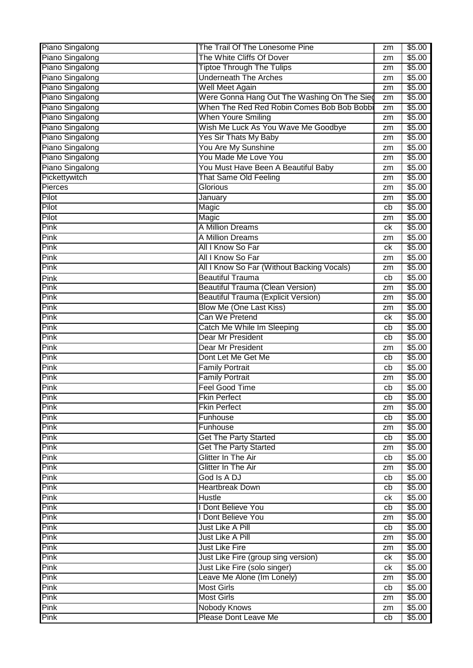| Piano Singalong     | The Trail Of The Lonesome Pine              | zm       | \$5.00           |
|---------------------|---------------------------------------------|----------|------------------|
| Piano Singalong     | The White Cliffs Of Dover                   | zm       | \$5.00           |
| Piano Singalong     | <b>Tiptoe Through The Tulips</b>            | zm       | \$5.00           |
| Piano Singalong     | <b>Underneath The Arches</b>                | zm       | \$5.00           |
| Piano Singalong     | <b>Well Meet Again</b>                      | zm       | \$5.00           |
| Piano Singalong     | Were Gonna Hang Out The Washing On The Sieg | zm       | \$5.00           |
| Piano Singalong     | When The Red Red Robin Comes Bob Bob Bobbi  | zm       | \$5.00           |
| Piano Singalong     | <b>When Youre Smiling</b>                   | zm       | \$5.00           |
| Piano Singalong     | Wish Me Luck As You Wave Me Goodbye         | zm       | \$5.00           |
| Piano Singalong     | Yes Sir Thats My Baby                       | zm       | \$5.00           |
| Piano Singalong     | You Are My Sunshine                         | zm       | \$5.00           |
| Piano Singalong     | You Made Me Love You                        | zm       | \$5.00           |
| Piano Singalong     | You Must Have Been A Beautiful Baby         | zm       | \$5.00           |
| Pickettywitch       | <b>That Same Old Feeling</b>                | zm       | \$5.00           |
| Pierces             | <b>Glorious</b>                             | zm       | \$5.00           |
| Pilot               | January                                     | zm       | \$5.00           |
| Pilot               | Magic                                       | cb       | \$5.00           |
| Pilot               | Magic                                       | zm       | \$5.00           |
| Pink                | A Million Dreams                            | ck       | \$5.00           |
| Pink                | A Million Dreams                            | zm       | \$5.00           |
| Pink                | All I Know So Far                           | сk       | \$5.00           |
| Pink                | All I Know So Far                           | zm       | \$5.00           |
| Pink                | All I Know So Far (Without Backing Vocals)  | zm       | \$5.00           |
| Pink                | <b>Beautiful Trauma</b>                     | cb       | \$5.00           |
| Pink                | <b>Beautiful Trauma (Clean Version)</b>     | zm       | \$5.00           |
| Pink                | <b>Beautiful Trauma (Explicit Version)</b>  | zm       | \$5.00           |
| Pink                | Blow Me (One Last Kiss)                     | zm       | \$5.00           |
| Pink                | Can We Pretend                              | сk       | \$5.00           |
| Pink                | Catch Me While Im Sleeping                  | cb       | \$5.00           |
| Pink                | Dear Mr President                           | cb       | \$5.00           |
| Pink                | Dear Mr President                           | zm       | \$5.00           |
| Pink                | Dont Let Me Get Me                          | cb       | \$5.00           |
| Pink                | <b>Family Portrait</b>                      | cb       | \$5.00           |
| Pink                | <b>Family Portrait</b>                      |          | \$5.00           |
| Pink                | <b>Feel Good Time</b>                       | zm       | \$5.00           |
| Pink                | <b>Fkin Perfect</b>                         | cb<br>cb | \$5.00           |
| Pink                | <b>Fkin Perfect</b>                         |          | \$5.00           |
| Pink                | Funhouse                                    | zm<br>cb | \$5.00           |
| <b>Pink</b>         | Funhouse                                    |          | \$5.00           |
| <b>Pink</b>         | <b>Get The Party Started</b>                | zm       | \$5.00           |
| <b>Pink</b>         | <b>Get The Party Started</b>                | cb       | \$5.00           |
| Pink                | Glitter In The Air                          | zm       |                  |
|                     |                                             | cb       | \$5.00           |
| <b>Pink</b><br>Pink | Glitter In The Air<br>God Is A DJ           | zm       | \$5.00<br>\$5.00 |
| Pink                | <b>Heartbreak Down</b>                      | cb       |                  |
|                     |                                             | cb       | \$5.00           |
| Pink                | <b>Hustle</b>                               | ck       | \$5.00           |
| Pink                | I Dont Believe You                          | cb       | \$5.00           |
| Pink                | I Dont Believe You                          | zm       | \$5.00           |
| <b>Pink</b>         | Just Like A Pill                            | cb       | \$5.00           |
| Pink                | Just Like A Pill                            | zm       | \$5.00           |
| Pink                | Just Like Fire                              | zm       | \$5.00           |
| Pink                | Just Like Fire (group sing version)         | ck       | \$5.00           |
| <b>Pink</b>         | Just Like Fire (solo singer)                | ck       | \$5.00           |
| <b>Pink</b>         | Leave Me Alone (Im Lonely)                  | zm       | \$5.00           |
| <b>Pink</b>         | <b>Most Girls</b>                           | cb       | \$5.00           |
| Pink                | <b>Most Girls</b>                           | zm       | \$5.00           |
| Pink                | <b>Nobody Knows</b>                         | zm       | \$5.00           |
| Pink                | Please Dont Leave Me                        | cb       | \$5.00           |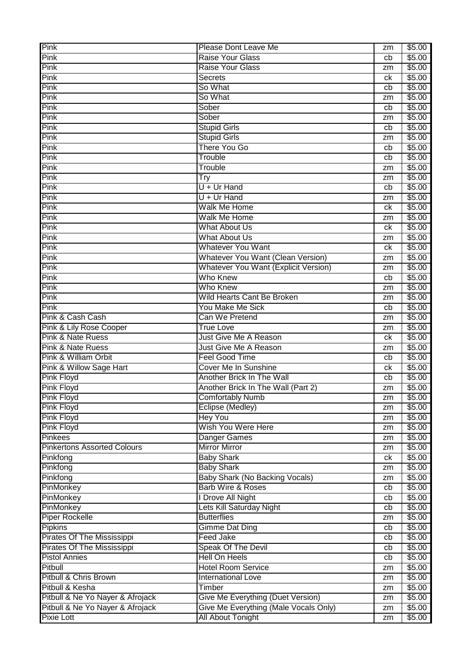| <b>Pink</b>                                           | Please Dont Leave Me                                       | zm       | \$5.00           |
|-------------------------------------------------------|------------------------------------------------------------|----------|------------------|
| Pink                                                  | <b>Raise Your Glass</b>                                    | cb       | \$5.00           |
| Pink                                                  | Raise Your Glass                                           | zm       | \$5.00           |
| Pink                                                  | <b>Secrets</b>                                             | ck       | \$5.00           |
| Pink                                                  | So What                                                    | cb       | \$5.00           |
| Pink                                                  | So What                                                    | zm       | \$5.00           |
| <b>Pink</b>                                           | Sober                                                      | cb       | \$5.00           |
| Pink                                                  | Sober                                                      | zm       | \$5.00           |
| Pink                                                  | <b>Stupid Girls</b>                                        | cb       | \$5.00           |
| Pink                                                  | <b>Stupid Girls</b>                                        | zm       | \$5.00           |
| Pink                                                  | There You Go                                               | cb       | \$5.00           |
| Pink                                                  | Trouble                                                    | cb       | \$5.00           |
| Pink                                                  | Trouble                                                    | zm       | \$5.00           |
| Pink                                                  | Try                                                        | zm       | \$5.00           |
| Pink                                                  | $U + Ur$ Hand                                              | cb       | \$5.00           |
| <b>Pink</b>                                           | $U + Ur$ Hand                                              | zm       | \$5.00           |
| Pink                                                  | Walk Me Home                                               | ck       | \$5.00           |
| Pink                                                  | <b>Walk Me Home</b>                                        | zm       | \$5.00           |
| Pink                                                  | <b>What About Us</b>                                       | ck       | \$5.00           |
| Pink                                                  | <b>What About Us</b>                                       | zm       | \$5.00           |
| Pink                                                  | <b>Whatever You Want</b>                                   | ck       | \$5.00           |
| Pink                                                  | <b>Whatever You Want (Clean Version)</b>                   | zm       | \$5.00           |
| Pink                                                  | <b>Whatever You Want (Explicit Version)</b>                | zm       | \$5.00           |
| Pink                                                  | Who Knew                                                   | cb       | \$5.00           |
| Pink                                                  | Who Knew                                                   | zm       | \$5.00           |
| Pink                                                  | Wild Hearts Cant Be Broken                                 | zm       | \$5.00           |
| Pink                                                  | <b>You Make Me Sick</b>                                    | cb       | \$5.00           |
| Pink & Cash Cash                                      | Can We Pretend                                             | zm       | \$5.00           |
| Pink & Lily Rose Cooper                               | <b>True Love</b>                                           | zm       | \$5.00           |
|                                                       |                                                            |          |                  |
|                                                       |                                                            |          |                  |
| Pink & Nate Ruess                                     | <b>Just Give Me A Reason</b>                               | ck       | \$5.00           |
| Pink & Nate Ruess                                     | Just Give Me A Reason                                      | zm       | \$5.00           |
| Pink & William Orbit                                  | Feel Good Time                                             | cb       | \$5.00           |
| Pink & Willow Sage Hart                               | Cover Me In Sunshine                                       | ck       | \$5.00           |
| <b>Pink Floyd</b>                                     | Another Brick In The Wall                                  | cb       | \$5.00           |
| <b>Pink Floyd</b>                                     | Another Brick In The Wall (Part 2)                         | zm       | \$5.00           |
| Pink Floyd                                            | <b>Comfortably Numb</b>                                    | zm       | \$5.00           |
| <b>Pink Floyd</b>                                     | Eclipse (Medley)                                           | zm       | \$5.00           |
| <b>Pink Floyd</b>                                     | <b>Hey You</b>                                             | zm       | \$5.00           |
| <b>Pink Floyd</b>                                     | Wish You Were Here                                         | zm       | \$5.00           |
| <b>Pinkees</b>                                        | Danger Games                                               | zm       | \$5.00           |
| <b>Pinkertons Assorted Colours</b>                    | <b>Mirror Mirror</b>                                       | zm       | \$5.00           |
| Pinkfong                                              | <b>Baby Shark</b>                                          | ck       | \$5.00           |
| Pinkfong                                              | <b>Baby Shark</b>                                          | zm       | \$5.00           |
| Pinkfong                                              | Baby Shark (No Backing Vocals)                             | zm       | \$5.00           |
| PinMonkey                                             | <b>Barb Wire &amp; Roses</b>                               | cb       | \$5.00           |
| PinMonkey                                             | I Drove All Night                                          | cb       | \$5.00           |
| PinMonkey                                             | Lets Kill Saturday Night                                   | cb       | \$5.00           |
| <b>Piper Rockelle</b>                                 | <b>Butterflies</b>                                         | zm       | \$5.00           |
| <b>Pipkins</b>                                        | <b>Gimme Dat Ding</b>                                      | cb       | \$5.00           |
| <b>Pirates Of The Mississippi</b>                     | <b>Feed Jake</b>                                           | cb       | \$5.00           |
| Pirates Of The Mississippi                            | Speak Of The Devil                                         | cb       | \$5.00           |
| <b>Pistol Annies</b>                                  | <b>Hell On Heels</b>                                       | cb       | \$5.00           |
| Pitbull                                               | <b>Hotel Room Service</b>                                  | zm       | \$5.00           |
| Pitbull & Chris Brown                                 | <b>International Love</b>                                  | zm       | \$5.00           |
| Pitbull & Kesha                                       | Timber                                                     | zm       | \$5.00           |
| Pitbull & Ne Yo Nayer & Afrojack                      | Give Me Everything (Duet Version)                          | zm       | \$5.00           |
| Pitbull & Ne Yo Nayer & Afrojack<br><b>Pixie Lott</b> | Give Me Everything (Male Vocals Only)<br>All About Tonight | zm<br>zm | \$5.00<br>\$5.00 |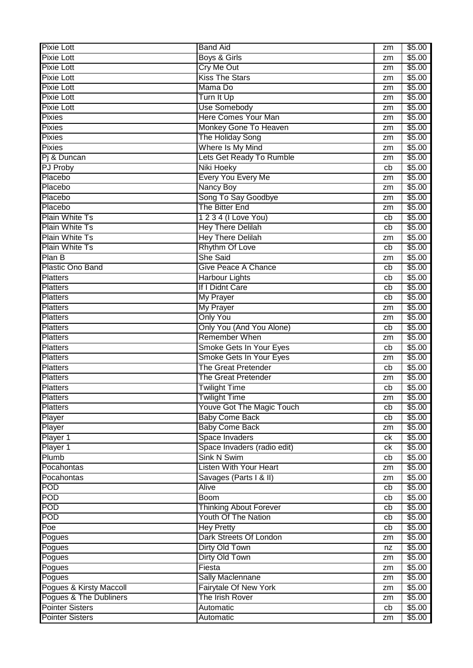| <b>Pixie Lott</b>       | <b>Band Aid</b>                  | zm              | \$5.00 |
|-------------------------|----------------------------------|-----------------|--------|
| <b>Pixie Lott</b>       | Boys & Girls                     | zm              | \$5.00 |
| <b>Pixie Lott</b>       | <b>Cry Me Out</b>                | zm              | \$5.00 |
| <b>Pixie Lott</b>       | <b>Kiss The Stars</b>            | zm              | \$5.00 |
| <b>Pixie Lott</b>       | Mama Do                          | zm              | \$5.00 |
| <b>Pixie Lott</b>       | Turn It Up                       | zm              | \$5.00 |
| <b>Pixie Lott</b>       | <b>Use Somebody</b>              | zm              | \$5.00 |
| <b>Pixies</b>           | <b>Here Comes Your Man</b>       | zm              | \$5.00 |
| <b>Pixies</b>           | Monkey Gone To Heaven            | zm              | \$5.00 |
| <b>Pixies</b>           | The Holiday Song                 | zm              | \$5.00 |
| <b>Pixies</b>           | Where Is My Mind                 | zm              | \$5.00 |
| Pi & Duncan             | Lets Get Ready To Rumble         | zm              | \$5.00 |
| <b>PJ Proby</b>         | <b>Niki Hoeky</b>                | cb              | \$5.00 |
| Placebo                 | Every You Every Me               | zm              | \$5.00 |
| Placebo                 | <b>Nancy Boy</b>                 | zm              | \$5.00 |
| Placebo                 | Song To Say Goodbye              | zm              | \$5.00 |
| Placebo                 | The Bitter End                   | zm              | \$5.00 |
| <b>Plain White Ts</b>   | 1 2 3 4 (I Love You)             | cb              | \$5.00 |
| <b>Plain White Ts</b>   | <b>Hey There Delilah</b>         | cb              | \$5.00 |
| <b>Plain White Ts</b>   | <b>Hey There Delilah</b>         | zm              | \$5.00 |
| <b>Plain White Ts</b>   | <b>Rhythm Of Love</b>            | cb              | \$5.00 |
| Plan B                  | <b>She Said</b>                  | zm              | \$5.00 |
| <b>Plastic Ono Band</b> | <b>Give Peace A Chance</b>       | cb              | \$5.00 |
| Platters                | <b>Harbour Lights</b>            | cb              | \$5.00 |
| <b>Platters</b>         | If I Didnt Care                  | cb              | \$5.00 |
| <b>Platters</b>         | <b>My Prayer</b>                 | cb              | \$5.00 |
| <b>Platters</b>         | <b>My Prayer</b>                 | zm              | \$5.00 |
| <b>Platters</b>         | <b>Only You</b>                  | zm              | \$5.00 |
| <b>Platters</b>         | Only You (And You Alone)         | cb              | \$5.00 |
| <b>Platters</b>         | <b>Remember When</b>             | zm              | \$5.00 |
| <b>Platters</b>         | Smoke Gets In Your Eyes          | cb              | \$5.00 |
| <b>Platters</b>         | <b>Smoke Gets In Your Eyes</b>   | zm              | \$5.00 |
| <b>Platters</b>         | <b>The Great Pretender</b>       | cb              | \$5.00 |
| <b>Platters</b>         | <b>The Great Pretender</b>       | zm              | \$5.00 |
| <b>Platters</b>         | <b>Twilight Time</b>             | cb              | \$5.00 |
| <b>Platters</b>         | <b>Twilight Time</b>             | $z\overline{m}$ | \$5.00 |
| <b>Platters</b>         | <b>Youve Got The Magic Touch</b> | cb              | \$5.00 |
| Player                  | <b>Baby Come Back</b>            | cb              | \$5.00 |
| Player                  | <b>Baby Come Back</b>            | zm              | \$5.00 |
| Player 1                | Space Invaders                   | ck              | \$5.00 |
| Player 1                | Space Invaders (radio edit)      | ck              | \$5.00 |
| Plumb                   | <b>Sink N Swim</b>               | cb              | \$5.00 |
| Pocahontas              | <b>Listen With Your Heart</b>    | zm              | \$5.00 |
| Pocahontas              | Savages (Parts I & II)           | zm              | \$5.00 |
| <b>POD</b>              | Alive                            | cb              | \$5.00 |
| <b>POD</b>              | <b>Boom</b>                      | cb              | \$5.00 |
| <b>POD</b>              | <b>Thinking About Forever</b>    | cb              | \$5.00 |
| POD                     | Youth Of The Nation              | cb              | \$5.00 |
| Poe                     | <b>Hey Pretty</b>                | cb              | \$5.00 |
| Pogues                  | Dark Streets Of London           |                 | \$5.00 |
| Pogues                  | Dirty Old Town                   | zm              | \$5.00 |
| Pogues                  | Dirty Old Town                   | nz<br>zm        | \$5.00 |
| Pogues                  | Fiesta                           | zm              | \$5.00 |
| Pogues                  | <b>Sally Maclennane</b>          | zm              | \$5.00 |
| Pogues & Kirsty Maccoll | Fairytale Of New York            | zm              | \$5.00 |
| Pogues & The Dubliners  | The Irish Rover                  |                 | \$5.00 |
| <b>Pointer Sisters</b>  | Automatic                        | zm<br>cb        | \$5.00 |
| <b>Pointer Sisters</b>  | Automatic                        |                 | \$5.00 |
|                         |                                  | zm              |        |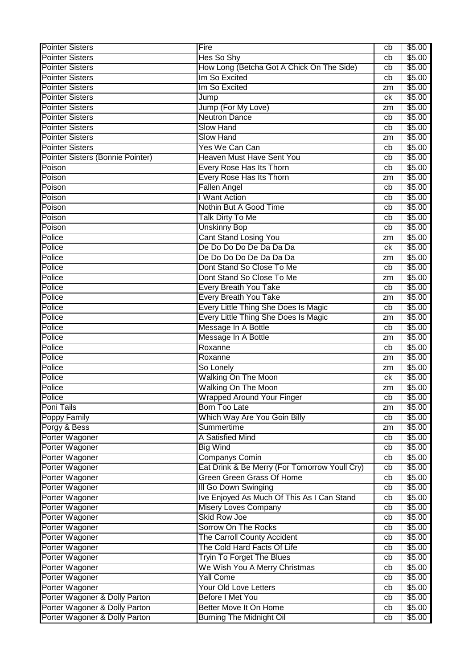| <b>Pointer Sisters</b>           | Fire                                          | cb | \$5.00 |
|----------------------------------|-----------------------------------------------|----|--------|
| <b>Pointer Sisters</b>           | Hes So Shy                                    | cb | \$5.00 |
| <b>Pointer Sisters</b>           | How Long (Betcha Got A Chick On The Side)     | cb | \$5.00 |
| <b>Pointer Sisters</b>           | Im So Excited                                 | cb | \$5.00 |
| <b>Pointer Sisters</b>           | Im So Excited                                 | zm | \$5.00 |
| <b>Pointer Sisters</b>           | Jump                                          | ck | \$5.00 |
| <b>Pointer Sisters</b>           | Jump (For My Love)                            | zm | \$5.00 |
| <b>Pointer Sisters</b>           | <b>Neutron Dance</b>                          | cb | \$5.00 |
| <b>Pointer Sisters</b>           | <b>Slow Hand</b>                              | cb | \$5.00 |
| <b>Pointer Sisters</b>           | <b>Slow Hand</b>                              | zm | \$5.00 |
| <b>Pointer Sisters</b>           | Yes We Can Can                                | cb | \$5.00 |
| Pointer Sisters (Bonnie Pointer) | <b>Heaven Must Have Sent You</b>              | cb | \$5.00 |
| Poison                           | Every Rose Has Its Thorn                      | cb | \$5.00 |
| Poison                           | Every Rose Has Its Thorn                      | zm | \$5.00 |
| Poison                           | Fallen Angel                                  | cb | \$5.00 |
| Poison                           | I Want Action                                 | cb | \$5.00 |
| Poison                           | Nothin But A Good Time                        | cb | \$5.00 |
| Poison                           | Talk Dirty To Me                              | cb | \$5.00 |
| Poison                           | <b>Unskinny Bop</b>                           | cb | \$5.00 |
| Police                           | <b>Cant Stand Losing You</b>                  | zm | \$5.00 |
| Police                           | De Do Do Do De Da Da Da                       | ck | \$5.00 |
| Police                           | De Do Do Do De Da Da Da                       | zm | \$5.00 |
| Police                           | Dont Stand So Close To Me                     | cb | \$5.00 |
| Police                           | Dont Stand So Close To Me                     | zm | \$5.00 |
| Police                           | Every Breath You Take                         | cb | \$5.00 |
| Police                           | <b>Every Breath You Take</b>                  | zm | \$5.00 |
| Police                           | Every Little Thing She Does Is Magic          | cb | \$5.00 |
| Police                           | Every Little Thing She Does Is Magic          | zm | \$5.00 |
| Police                           | Message In A Bottle                           | cb | \$5.00 |
| Police                           | Message In A Bottle                           | zm | \$5.00 |
| Police                           | Roxanne                                       | cb | \$5.00 |
| Police                           | Roxanne                                       | zm | \$5.00 |
| Police                           | So Lonely                                     | zm | \$5.00 |
| Police                           | Walking On The Moon                           | ck | \$5.00 |
| Police                           | <b>Walking On The Moon</b>                    | zm | \$5.00 |
| Police                           | <b>Wrapped Around Your Finger</b>             | cb | \$5.00 |
| Poni Tails                       | Born Too Late                                 | zm | \$5.00 |
| <b>Poppy Family</b>              | Which Way Are You Goin Billy                  | cb | \$5.00 |
| Porgy & Bess                     | Summertime                                    | zm | \$5.00 |
| Porter Wagoner                   | A Satisfied Mind                              | cb | \$5.00 |
| Porter Wagoner                   | <b>Big Wind</b>                               | cb | \$5.00 |
| Porter Wagoner                   | Companys Comin                                | cb | \$5.00 |
| Porter Wagoner                   | Eat Drink & Be Merry (For Tomorrow Youll Cry) | cb | \$5.00 |
| Porter Wagoner                   | Green Green Grass Of Home                     | cb | \$5.00 |
| Porter Wagoner                   | <b>III Go Down Swinging</b>                   | cb | \$5.00 |
| Porter Wagoner                   | Ive Enjoyed As Much Of This As I Can Stand    | cb | \$5.00 |
| Porter Wagoner                   | <b>Misery Loves Company</b>                   | cb | \$5.00 |
| Porter Wagoner                   | <b>Skid Row Joe</b>                           | cb | \$5.00 |
| Porter Wagoner                   | Sorrow On The Rocks                           | cb | \$5.00 |
| Porter Wagoner                   | The Carroll County Accident                   | cb | \$5.00 |
| Porter Wagoner                   | The Cold Hard Facts Of Life                   | cb | \$5.00 |
| Porter Wagoner                   | <b>Tryin To Forget The Blues</b>              | cb | \$5.00 |
| Porter Wagoner                   | We Wish You A Merry Christmas                 | cb | \$5.00 |
| Porter Wagoner                   | <b>Yall Come</b>                              | cb | \$5.00 |
| Porter Wagoner                   | <b>Your Old Love Letters</b>                  | cb | \$5.00 |
| Porter Wagoner & Dolly Parton    | <b>Before I Met You</b>                       | cb | \$5.00 |
| Porter Wagoner & Dolly Parton    | Better Move It On Home                        | cb | \$5.00 |
| Porter Wagoner & Dolly Parton    | <b>Burning The Midnight Oil</b>               | cb | \$5.00 |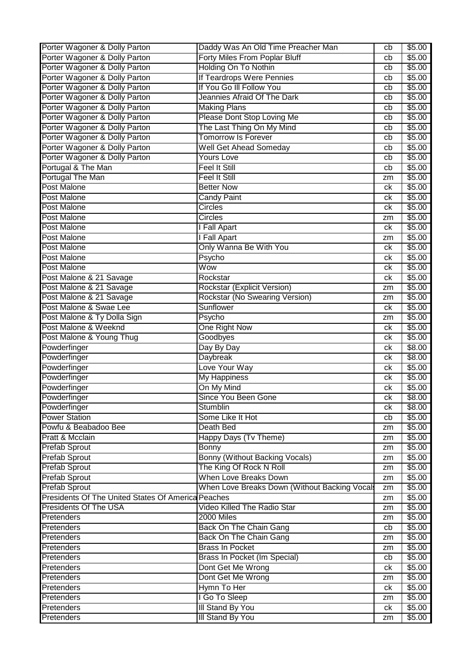| Porter Wagoner & Dolly Parton                      | Daddy Was An Old Time Preacher Man           | cb       | \$5.00         |
|----------------------------------------------------|----------------------------------------------|----------|----------------|
| Porter Wagoner & Dolly Parton                      | Forty Miles From Poplar Bluff                | cb       | \$5.00         |
| Porter Wagoner & Dolly Parton                      | <b>Holding On To Nothin</b>                  | cb       | \$5.00         |
| Porter Wagoner & Dolly Parton                      | If Teardrops Were Pennies                    | cb       | \$5.00         |
| Porter Wagoner & Dolly Parton                      | If You Go III Follow You                     | cb       | \$5.00         |
| Porter Wagoner & Dolly Parton                      | Jeannies Afraid Of The Dark                  | cb       | \$5.00         |
| Porter Wagoner & Dolly Parton                      | <b>Making Plans</b>                          | cb       | \$5.00         |
| Porter Wagoner & Dolly Parton                      | Please Dont Stop Loving Me                   | cb       | \$5.00         |
| Porter Wagoner & Dolly Parton                      | The Last Thing On My Mind                    | cb       | \$5.00         |
| Porter Wagoner & Dolly Parton                      | <b>Tomorrow Is Forever</b>                   | cb       | \$5.00         |
| Porter Wagoner & Dolly Parton                      | <b>Well Get Ahead Someday</b>                | cb       | \$5.00         |
| Porter Wagoner & Dolly Parton                      | Yours Love                                   | cb       | \$5.00         |
| Portugal & The Man                                 | <b>Feel It Still</b>                         | cb       | \$5.00         |
| Portugal The Man                                   | Feel It Still                                |          | \$5.00         |
| <b>Post Malone</b>                                 | <b>Better Now</b>                            | zm<br>ck | \$5.00         |
| Post Malone                                        |                                              |          |                |
|                                                    | <b>Candy Paint</b>                           | ck       | \$5.00         |
| Post Malone                                        | Circles                                      | ck       | \$5.00         |
| Post Malone                                        | Circles                                      | zm       | \$5.00         |
| <b>Post Malone</b>                                 | I Fall Apart                                 | ck       | \$5.00         |
| <b>Post Malone</b>                                 | I Fall Apart                                 | zm       | \$5.00         |
| Post Malone                                        | Only Wanna Be With You                       | ck       | \$5.00         |
| <b>Post Malone</b>                                 | Psycho                                       | ck       | \$5.00         |
| Post Malone                                        | Wow                                          | сk       | \$5.00         |
| Post Malone & 21 Savage                            | Rockstar                                     | ck       | \$5.00         |
| Post Malone & 21 Savage                            | Rockstar (Explicit Version)                  | zm       | \$5.00         |
| Post Malone & 21 Savage                            | Rockstar (No Swearing Version)               | zm       | \$5.00         |
| Post Malone & Swae Lee                             | Sunflower                                    | ck       | \$5.00         |
| Post Malone & Ty Dolla Sign                        | Psycho                                       | zm       | \$5.00         |
| Post Malone & Weeknd                               | One Right Now                                | ck       | \$5.00         |
| Post Malone & Young Thug                           | Goodbyes                                     | ck       | \$5.00         |
| Powderfinger                                       | Day By Day                                   | ck       | \$8.00         |
| Powderfinger                                       | Daybreak                                     | ck       | \$8.00         |
| Powderfinger                                       | Love Your Way                                | сk       | \$5.00         |
| Powderfinger                                       | My Happiness                                 | ck       | \$5.00         |
| Powderfinger                                       | On My Mind                                   | ck       | \$5.00         |
| Powderfinger                                       | Since You Been Gone                          | сk       | \$8.00         |
| Powderfinger                                       | Stumblin                                     | ck       | \$8.00         |
| <b>Power Station</b>                               | Some Like It Hot                             | cb       | \$5.00         |
| Powfu & Beabadoo Bee                               | Death Bed                                    | zm       | \$5.00         |
| Pratt & Mcclain                                    | Happy Days (Tv Theme)                        | zm       | \$5.00         |
| <b>Prefab Sprout</b>                               | Bonny                                        | zm       | \$5.00         |
| <b>Prefab Sprout</b>                               | Bonny (Without Backing Vocals)               | zm       | $\sqrt{$5.00}$ |
| <b>Prefab Sprout</b>                               | The King Of Rock N Roll                      | zm       | \$5.00         |
| <b>Prefab Sprout</b>                               | When Love Breaks Down                        | zm       | \$5.00         |
| <b>Prefab Sprout</b>                               | When Love Breaks Down (Without Backing Vocal | zm       | \$5.00         |
| Presidents Of The United States Of America Peaches |                                              |          | \$5.00         |
| <b>Presidents Of The USA</b>                       | Video Killed The Radio Star                  | zm       | \$5.00         |
|                                                    | 2000 Miles                                   | zm       |                |
| Pretenders                                         |                                              | zm       | \$5.00         |
| Pretenders                                         | Back On The Chain Gang                       | cb       | \$5.00         |
| Pretenders                                         | Back On The Chain Gang                       | zm       | \$5.00         |
| Pretenders                                         | <b>Brass In Pocket</b>                       | zm       | \$5.00         |
| Pretenders                                         | Brass In Pocket (Im Special)                 | cb       | \$5.00         |
| Pretenders                                         | Dont Get Me Wrong                            | ck       | \$5.00         |
| Pretenders                                         | Dont Get Me Wrong                            | zm       | \$5.00         |
| Pretenders                                         | Hymn To Her                                  | ck       | \$5.00         |
| Pretenders                                         | I Go To Sleep                                | zm       | \$5.00         |
| Pretenders                                         | <b>III Stand By You</b>                      | ck       | \$5.00         |
| Pretenders                                         | III Stand By You                             | zm       | \$5.00         |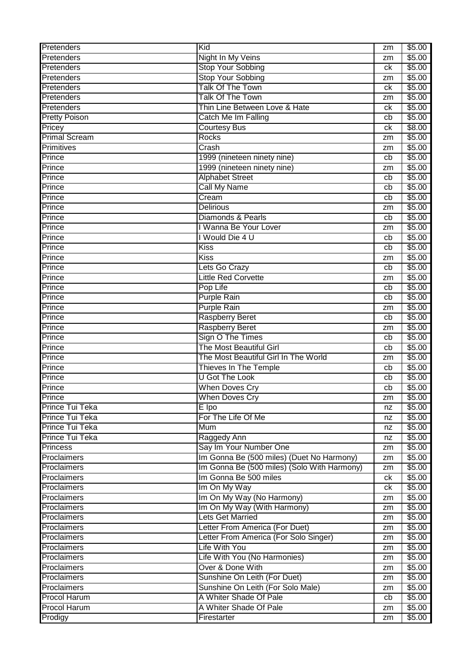| Pretenders             | Kid                                         | zm | \$5.00 |
|------------------------|---------------------------------------------|----|--------|
| Pretenders             | <b>Night In My Veins</b>                    | zm | \$5.00 |
| Pretenders             | <b>Stop Your Sobbing</b>                    | ck | \$5.00 |
| Pretenders             | <b>Stop Your Sobbing</b>                    | zm | \$5.00 |
| Pretenders             | Talk Of The Town                            | ck | \$5.00 |
| Pretenders             | Talk Of The Town                            | zm | \$5.00 |
| Pretenders             | Thin Line Between Love & Hate               | ck | \$5.00 |
| <b>Pretty Poison</b>   | Catch Me Im Falling                         | cb | \$5.00 |
| Pricey                 | <b>Courtesy Bus</b>                         | ck | \$8.00 |
| <b>Primal Scream</b>   | <b>Rocks</b>                                | zm | \$5.00 |
| Primitives             | $\overline{Crash}$                          | zm | \$5.00 |
| Prince                 | 1999 (nineteen ninety nine)                 | cb | \$5.00 |
| Prince                 | 1999 (nineteen ninety nine)                 | zm | \$5.00 |
| Prince                 | <b>Alphabet Street</b>                      | cb | \$5.00 |
| Prince                 | <b>Call My Name</b>                         | cb | \$5.00 |
| Prince                 | Cream                                       | cb | \$5.00 |
| Prince                 | <b>Delirious</b>                            | zm | \$5.00 |
| Prince                 | Diamonds & Pearls                           | cb | \$5.00 |
| Prince                 | I Wanna Be Your Lover                       | zm | \$5.00 |
| Prince                 | I Would Die 4 U                             | cb | \$5.00 |
| Prince                 | Kiss                                        | cb | \$5.00 |
| Prince                 | <b>Kiss</b>                                 | zm | \$5.00 |
| Prince                 | Lets Go Crazy                               | cb | \$5.00 |
| Prince                 | <b>Little Red Corvette</b>                  | zm | \$5.00 |
| Prince                 | Pop Life                                    | cb | \$5.00 |
| Prince                 | <b>Purple Rain</b>                          | cb | \$5.00 |
| Prince                 | <b>Purple Rain</b>                          | zm | \$5.00 |
| Prince                 | Raspberry Beret                             | cb | \$5.00 |
| Prince                 | <b>Raspberry Beret</b>                      | zm | \$5.00 |
| Prince                 | Sign O The Times                            | cb | \$5.00 |
| Prince                 | The Most Beautiful Girl                     | cb | \$5.00 |
| Prince                 | The Most Beautiful Girl In The World        | zm | \$5.00 |
| Prince                 | Thieves In The Temple                       | cb | \$5.00 |
| Prince                 | <b>U Got The Look</b>                       | cb | \$5.00 |
| Prince                 | <b>When Doves Cry</b>                       | cb | \$5.00 |
| Prince                 | <b>When Doves Cry</b>                       | zm | \$5.00 |
| <b>Prince Tui Teka</b> | $\overline{E}$ Ipo                          | nz | \$5.00 |
| Prince Tui Teka        | For The Life Of Me                          | nz | \$5.00 |
| Prince Tui Teka        | Mum                                         | nz | \$5.00 |
| Prince Tui Teka        | Raggedy Ann                                 | nz | \$5.00 |
| <b>Princess</b>        | Say Im Your Number One                      | zm | \$5.00 |
| Proclaimers            | Im Gonna Be (500 miles) (Duet No Harmony)   | zm | \$5.00 |
| Proclaimers            | Im Gonna Be (500 miles) (Solo With Harmony) | zm | \$5.00 |
| Proclaimers            | Im Gonna Be 500 miles                       | ck | \$5.00 |
| Proclaimers            | Im On My Way                                | ck | \$5.00 |
| Proclaimers            | Im On My Way (No Harmony)                   | zm | \$5.00 |
| Proclaimers            | Im On My Way (With Harmony)                 | zm | \$5.00 |
| Proclaimers            | Lets Get Married                            | zm | \$5.00 |
| Proclaimers            | Letter From America (For Duet)              | zm | \$5.00 |
| Proclaimers            | Letter From America (For Solo Singer)       | zm | \$5.00 |
| Proclaimers            | Life With You                               | zm | \$5.00 |
| Proclaimers            | Life With You (No Harmonies)                | zm | \$5.00 |
| Proclaimers            | Over & Done With                            | zm | \$5.00 |
| Proclaimers            | Sunshine On Leith (For Duet)                | zm | \$5.00 |
| Proclaimers            | Sunshine On Leith (For Solo Male)           | zm | \$5.00 |
| Procol Harum           | A Whiter Shade Of Pale                      | cb | \$5.00 |
| <b>Procol Harum</b>    | A Whiter Shade Of Pale                      | zm | \$5.00 |
| Prodigy                | Firestarter                                 | zm | \$5.00 |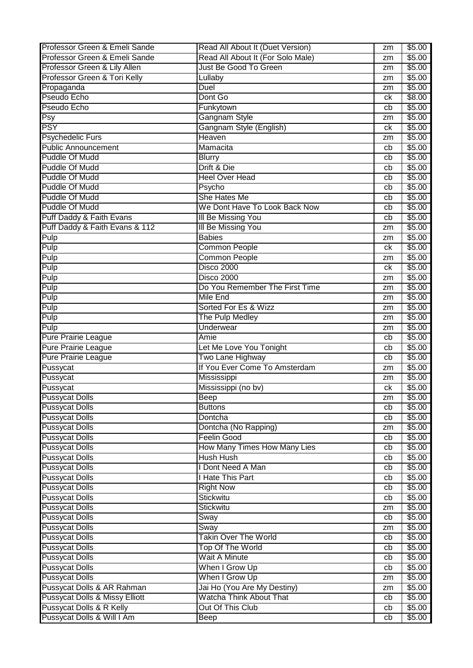| Professor Green & Emeli Sande             | Read All About It (Duet Version)    | zm | \$5.00 |
|-------------------------------------------|-------------------------------------|----|--------|
| Professor Green & Emeli Sande             | Read All About It (For Solo Male)   | zm | \$5.00 |
| Professor Green & Lily Allen              | <b>Just Be Good To Green</b>        | zm | \$5.00 |
| Professor Green & Tori Kelly              | Lullaby                             | zm | \$5.00 |
| Propaganda                                | Duel                                | zm | \$5.00 |
| Pseudo Echo                               | Dont Go                             | сk | \$8.00 |
| Pseudo Echo                               | Funkytown                           | cb | \$5.00 |
| $\overline{\mathsf{Psy}}$                 | Gangnam Style                       | zm | \$5.00 |
| $\overline{\text{PSY}}$                   | Gangnam Style (English)             | ck | \$5.00 |
| <b>Psychedelic Furs</b>                   | Heaven                              | zm | \$5.00 |
| <b>Public Announcement</b>                | Mamacita                            | cb | \$5.00 |
| Puddle Of Mudd                            | <b>Blurry</b>                       | cb | \$5.00 |
| Puddle Of Mudd                            | Drift & Die                         | cb | \$5.00 |
| Puddle Of Mudd                            | <b>Heel Over Head</b>               | cb | \$5.00 |
| Puddle Of Mudd                            | Psycho                              | cb | \$5.00 |
| <b>Puddle Of Mudd</b>                     | She Hates Me                        | cb | \$5.00 |
| Puddle Of Mudd                            | We Dont Have To Look Back Now       |    |        |
|                                           |                                     | cb | \$5.00 |
| Puff Daddy & Faith Evans                  | <b>III Be Missing You</b>           | cb | \$5.00 |
| Puff Daddy & Faith Evans & 112            | <b>III Be Missing You</b>           | zm | \$5.00 |
| Pulp                                      | <b>Babies</b>                       | zm | \$5.00 |
| Pulp                                      | <b>Common People</b>                | сk | \$5.00 |
| Pulp                                      | <b>Common People</b>                | zm | \$5.00 |
| Pulp                                      | Disco 2000                          | ck | \$5.00 |
| Pulp                                      | <b>Disco 2000</b>                   | zm | \$5.00 |
| Pulp                                      | Do You Remember The First Time      | zm | \$5.00 |
| Pulp                                      | <b>Mile End</b>                     | zm | \$5.00 |
| Pulp                                      | Sorted For Es & Wizz                | zm | \$5.00 |
| Pulp                                      | The Pulp Medley                     | zm | \$5.00 |
| Pulp                                      | <b>Underwear</b>                    | zm | \$5.00 |
| <b>Pure Prairie League</b>                | Amie                                | cb | \$5.00 |
| Pure Prairie League                       | Let Me Love You Tonight             | cb | \$5.00 |
| <b>Pure Prairie League</b>                | Two Lane Highway                    | cb | \$5.00 |
| Pussycat                                  | If You Ever Come To Amsterdam       | zm | \$5.00 |
| Pussycat                                  | Mississippi                         | zm | \$5.00 |
| Pussycat                                  | Mississippi (no bv)                 | ck | \$5.00 |
| <b>Pussycat Dolls</b>                     | Beep                                | zm | \$5.00 |
| <b>Pussycat Dolls</b>                     | Buttons                             | cb | \$5.00 |
| <b>Pussycat Dolls</b>                     | Dontcha                             | cb | \$5.00 |
| <b>Pussycat Dolls</b>                     | Dontcha (No Rapping)                | zm | \$5.00 |
| <b>Pussycat Dolls</b>                     | <b>Feelin Good</b>                  | cb | \$5.00 |
| <b>Pussycat Dolls</b>                     | <b>How Many Times How Many Lies</b> | cb | \$5.00 |
| <b>Pussycat Dolls</b>                     | Hush Hush                           | cb | \$5.00 |
| <b>Pussycat Dolls</b>                     | I Dont Need A Man                   | cb | \$5.00 |
| <b>Pussycat Dolls</b>                     | <b>Hate This Part</b>               | cb | \$5.00 |
| <b>Pussycat Dolls</b>                     | <b>Right Now</b>                    | cb | \$5.00 |
| <b>Pussycat Dolls</b>                     | Stickwitu                           | cb | \$5.00 |
| <b>Pussycat Dolls</b>                     | Stickwitu                           | zm | \$5.00 |
| <b>Pussycat Dolls</b>                     | Sway                                | cb | \$5.00 |
| <b>Pussycat Dolls</b>                     | Sway                                | zm | \$5.00 |
| <b>Pussycat Dolls</b>                     | <b>Takin Over The World</b>         | cb | \$5.00 |
| <b>Pussycat Dolls</b>                     | <b>Top Of The World</b>             | cb | \$5.00 |
| <b>Pussycat Dolls</b>                     | <b>Wait A Minute</b>                | cb | \$5.00 |
| <b>Pussycat Dolls</b>                     | When I Grow Up                      | cb | \$5.00 |
| <b>Pussycat Dolls</b>                     | When I Grow Up                      | zm | \$5.00 |
| Pussycat Dolls & AR Rahman                | Jai Ho (You Are My Destiny)         | zm | \$5.00 |
| <b>Pussycat Dolls &amp; Missy Elliott</b> | <b>Watcha Think About That</b>      | cb | \$5.00 |
| Pussycat Dolls & R Kelly                  | Out Of This Club                    | cb | \$5.00 |
| Pussycat Dolls & Will I Am                | Beep                                | cb | \$5.00 |
|                                           |                                     |    |        |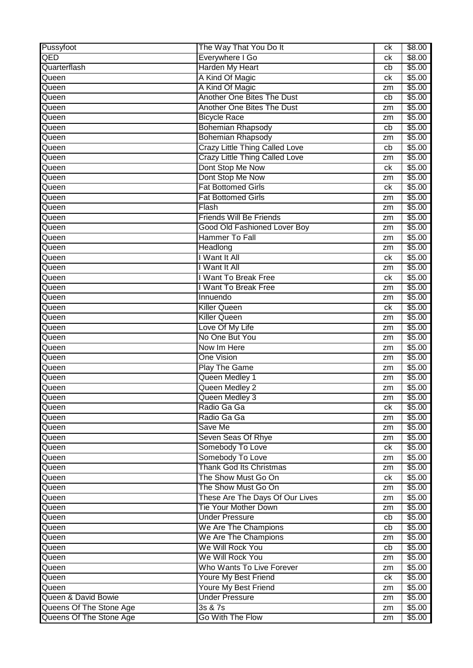| Pussyfoot               | The Way That You Do It                | ck | $\sqrt{$8.00}$ |
|-------------------------|---------------------------------------|----|----------------|
| $\overline{\sf QED}$    | Everywhere I Go                       | ck | \$8.00         |
| Quarterflash            | Harden My Heart                       | cb | \$5.00         |
| Queen                   | A Kind Of Magic                       | ck | \$5.00         |
| Queen                   | A Kind Of Magic                       | zm | \$5.00         |
| Queen                   | Another One Bites The Dust            | cb | \$5.00         |
| Queen                   | <b>Another One Bites The Dust</b>     | zm | \$5.00         |
| Queen                   | <b>Bicycle Race</b>                   | zm | \$5.00         |
| Queen                   | <b>Bohemian Rhapsody</b>              | cb | \$5.00         |
| Queen                   | <b>Bohemian Rhapsody</b>              | zm | \$5.00         |
| Queen                   | <b>Crazy Little Thing Called Love</b> | cb | \$5.00         |
| Queen                   | <b>Crazy Little Thing Called Love</b> | zm | \$5.00         |
| Queen                   | Dont Stop Me Now                      | ck | \$5.00         |
| Queen                   | Dont Stop Me Now                      | zm | \$5.00         |
| Queen                   | <b>Fat Bottomed Girls</b>             | ck | \$5.00         |
| Queen                   | <b>Fat Bottomed Girls</b>             | zm | \$5.00         |
| Queen                   | Flash                                 | zm | \$5.00         |
| Queen                   | <b>Friends Will Be Friends</b>        | zm | \$5.00         |
| Queen                   | <b>Good Old Fashioned Lover Boy</b>   | zm | \$5.00         |
| Queen                   | <b>Hammer To Fall</b>                 | zm | \$5.00         |
| Queen                   | <b>Headlong</b>                       | zm | \$5.00         |
| Queen                   | I Want It All                         | ck | \$5.00         |
| Queen                   | I Want It All                         | zm | \$5.00         |
| Queen                   | I Want To Break Free                  | ck | \$5.00         |
| Queen                   | I Want To Break Free                  | zm | \$5.00         |
| Queen                   | Innuendo                              | zm | \$5.00         |
| Queen                   | <b>Killer Queen</b>                   | ck | \$5.00         |
| Queen                   | <b>Killer Queen</b>                   | zm | \$5.00         |
| Queen                   | Love Of My Life                       | zm | \$5.00         |
| Queen                   | No One But You                        | zm | \$5.00         |
| Queen                   | Now Im Here                           | zm | \$5.00         |
| Queen                   | <b>One Vision</b>                     | zm | \$5.00         |
| Queen                   | <b>Play The Game</b>                  | zm | \$5.00         |
| Queen                   | Queen Medley 1                        | zm | \$5.00         |
| Queen                   | Queen Medley 2                        | zm | \$5.00         |
| Queen                   | Queen Medley 3                        | zm | \$5.00         |
| Queen                   | Radio Ga Ga                           | ck | \$5.00         |
| Queen                   | Radio Ga Ga                           | zm | \$5.00         |
| Queen                   | Save Me                               | zm | \$5.00         |
| Queen                   | Seven Seas Of Rhye                    | zm | \$5.00         |
| Queen                   | Somebody To Love                      | ck | \$5.00         |
| Queen                   | Somebody To Love                      | zm | \$5.00         |
| Queen                   | Thank God Its Christmas               | zm | \$5.00         |
| Queen                   | The Show Must Go On                   | ck | \$5.00         |
| Queen                   | The Show Must Go On                   | zm | \$5.00         |
| Queen                   | These Are The Days Of Our Lives       | zm | \$5.00         |
| Queen                   | <b>Tie Your Mother Down</b>           | zm | \$5.00         |
| Queen                   | <b>Under Pressure</b>                 | cb | \$5.00         |
| Queen                   | We Are The Champions                  | cb | \$5.00         |
| Queen                   | We Are The Champions                  | zm | \$5.00         |
| Queen                   | We Will Rock You                      | cb | \$5.00         |
| Queen                   | We Will Rock You                      | zm | \$5.00         |
| Queen                   | Who Wants To Live Forever             | zm | \$5.00         |
| Queen                   | <b>Youre My Best Friend</b>           | ck | \$5.00         |
| Queen                   | <b>Youre My Best Friend</b>           | zm | \$5.00         |
| Queen & David Bowie     | <b>Under Pressure</b>                 | zm | \$5.00         |
| Queens Of The Stone Age | 3s & 7s                               | zm | \$5.00         |
| Queens Of The Stone Age | Go With The Flow                      | zm | \$5.00         |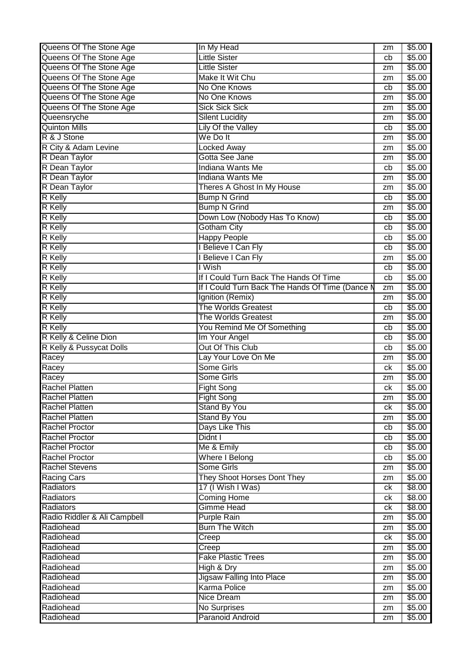| Queens Of The Stone Age      | In My Head                                      | zm | \$5.00 |
|------------------------------|-------------------------------------------------|----|--------|
| Queens Of The Stone Age      | <b>Little Sister</b>                            | cb | \$5.00 |
| Queens Of The Stone Age      | <b>Little Sister</b>                            | zm | \$5.00 |
| Queens Of The Stone Age      | Make It Wit Chu                                 | zm | \$5.00 |
| Queens Of The Stone Age      | No One Knows                                    | cb | \$5.00 |
| Queens Of The Stone Age      | No One Knows                                    | zm | \$5.00 |
| Queens Of The Stone Age      | <b>Sick Sick Sick</b>                           | zm | \$5.00 |
| Queensryche                  | <b>Silent Lucidity</b>                          | zm | \$5.00 |
| <b>Quinton Mills</b>         | Lily Of the Valley                              | cb | \$5.00 |
| R & J Stone                  | We Do It                                        | zm | \$5.00 |
| R City & Adam Levine         | <b>Locked Away</b>                              | zm | \$5.00 |
| R Dean Taylor                | Gotta See Jane                                  | zm | \$5.00 |
| R Dean Taylor                | <b>Indiana Wants Me</b>                         | cb | \$5.00 |
| R Dean Taylor                | Indiana Wants Me                                | zm | \$5.00 |
| R Dean Taylor                | Theres A Ghost In My House                      |    | \$5.00 |
|                              |                                                 | zm |        |
| <b>R</b> Kelly               | <b>Bump N Grind</b>                             | cb | \$5.00 |
| <b>R</b> Kelly               | <b>Bump N Grind</b>                             | zm | \$5.00 |
| <b>R</b> Kelly               | Down Low (Nobody Has To Know)                   | cb | \$5.00 |
| <b>R</b> Kelly               | <b>Gotham City</b>                              | cb | \$5.00 |
| <b>R</b> Kelly               | <b>Happy People</b>                             | cb | \$5.00 |
| <b>R</b> Kelly               | I Believe I Can Fly                             | cb | \$5.00 |
| <b>R</b> Kelly               | I Believe I Can Fly                             | zm | \$5.00 |
| <b>R</b> Kelly               | I Wish                                          | cb | \$5.00 |
| <b>R</b> Kelly               | If I Could Turn Back The Hands Of Time          | cb | \$5.00 |
| <b>R</b> Kelly               | If I Could Turn Back The Hands Of Time (Dance M | zm | \$5.00 |
| <b>R</b> Kelly               | Ignition (Remix)                                | zm | \$5.00 |
| <b>R</b> Kelly               | The Worlds Greatest                             | cb | \$5.00 |
| <b>R</b> Kelly               | <b>The Worlds Greatest</b>                      | zm | \$5.00 |
| <b>R</b> Kelly               | You Remind Me Of Something                      | cb | \$5.00 |
| R Kelly & Celine Dion        | Im Your Angel                                   | cb | \$5.00 |
| R Kelly & Pussycat Dolls     | Out Of This Club                                | cb | \$5.00 |
| Racey                        | Lay Your Love On Me                             | zm | \$5.00 |
| Racey                        | <b>Some Girls</b>                               | ck | \$5.00 |
| Racey                        | <b>Some Girls</b>                               | zm | \$5.00 |
| <b>Rachel Platten</b>        | Fight Song                                      | ck | \$5.00 |
| <b>Rachel Platten</b>        | Fight Song                                      | zm | \$5.00 |
| <b>Rachel Platten</b>        | <b>Stand By You</b>                             | ck | \$5.00 |
| <b>Rachel Platten</b>        | Stand By You                                    | zm | \$5.00 |
| <b>Rachel Proctor</b>        | Days Like This                                  | cb | \$5.00 |
| <b>Rachel Proctor</b>        | Didnt I                                         | cb | \$5.00 |
| <b>Rachel Proctor</b>        | Me & Emily                                      | cb | \$5.00 |
| <b>Rachel Proctor</b>        | Where I Belong                                  | cb | \$5.00 |
| <b>Rachel Stevens</b>        | Some Girls                                      | zm | \$5.00 |
| <b>Racing Cars</b>           | They Shoot Horses Dont They                     | zm | \$5.00 |
| Radiators                    | 17 (I Wish I Was)                               | ck | \$8.00 |
| Radiators                    | <b>Coming Home</b>                              | ck | \$8.00 |
| Radiators                    | <b>Gimme Head</b>                               | ck | \$8.00 |
| Radio Riddler & Ali Campbell | <b>Purple Rain</b>                              | zm | \$5.00 |
| Radiohead                    | <b>Burn The Witch</b>                           |    | \$5.00 |
|                              |                                                 | zm |        |
| Radiohead<br>Radiohead       | Creep                                           | ck | \$5.00 |
|                              | Creep                                           | zm | \$5.00 |
| Radiohead                    | <b>Fake Plastic Trees</b>                       | zm | \$5.00 |
| Radiohead                    | High & Dry                                      | zm | \$5.00 |
| Radiohead                    | <b>Jigsaw Falling Into Place</b>                | zm | \$5.00 |
| Radiohead                    | <b>Karma Police</b>                             | zm | \$5.00 |
| Radiohead                    | <b>Nice Dream</b>                               | zm | \$5.00 |
| Radiohead                    | <b>No Surprises</b>                             | zm | \$5.00 |
| Radiohead                    | Paranoid Android                                | zm | \$5.00 |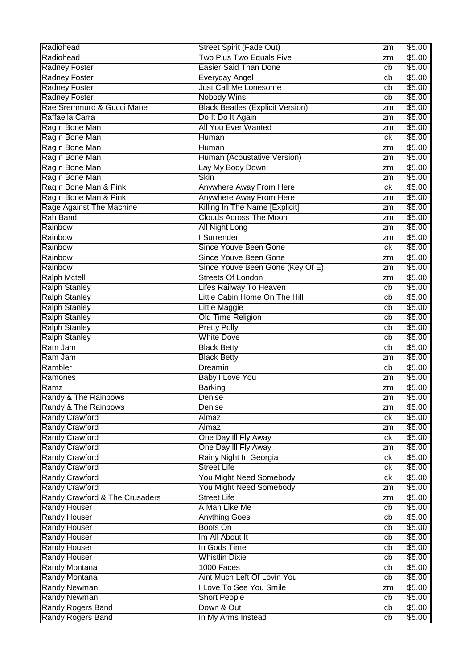| Radiohead<br>\$5.00<br>zm<br><b>Easier Said Than Done</b><br><b>Radney Foster</b><br>\$5.00<br>cb<br><b>Radney Foster</b><br>\$5.00<br>Everyday Angel<br>cb<br><b>Radney Foster</b><br><b>Just Call Me Lonesome</b><br>\$5.00<br>cb<br><b>Radney Foster</b><br><b>Nobody Wins</b><br>\$5.00<br>cb<br>Rae Sremmurd & Gucci Mane<br><b>Black Beatles (Explicit Version)</b><br>\$5.00<br>zm<br>Raffaella Carra<br>Do It Do It Again<br>\$5.00<br>zm<br>All You Ever Wanted<br>Rag n Bone Man<br>\$5.00<br>zm<br>Rag n Bone Man<br>\$5.00<br>Human<br>ck<br>Rag n Bone Man<br>\$5.00<br><b>Human</b><br>zm<br>Rag n Bone Man<br>Human (Acoustative Version)<br>\$5.00<br>zm<br>Rag n Bone Man<br>\$5.00<br>Lay My Body Down<br>zm<br>Rag n Bone Man<br><b>Skin</b><br>\$5.00<br>zm<br>Rag n Bone Man & Pink<br>Anywhere Away From Here<br>\$5.00<br>ck<br>Rag n Bone Man & Pink<br>Anywhere Away From Here<br>\$5.00<br>zm<br>Rage Against The Machine<br>Killing In The Name [Explicit]<br>\$5.00<br>zm<br><b>Clouds Across The Moon</b><br><b>Rah Band</b><br>\$5.00<br>zm<br>Rainbow<br><b>All Night Long</b><br>\$5.00<br>zm<br>I Surrender<br>\$5.00<br>Rainbow<br>zm<br><b>Since Youve Been Gone</b><br>Rainbow<br>\$5.00<br>ck<br>Since Youve Been Gone<br>Rainbow<br>\$5.00<br>zm<br>Since Youve Been Gone (Key Of E)<br>\$5.00<br>Rainbow<br>zm<br><b>Streets Of London</b><br><b>Ralph Mctell</b><br>\$5.00<br>zm<br><b>Ralph Stanley</b><br>Lifes Railway To Heaven<br>\$5.00<br>cb<br>Little Cabin Home On The Hill<br><b>Ralph Stanley</b><br>\$5.00<br>cb<br><b>Ralph Stanley</b><br>Little Maggie<br>\$5.00<br>cb<br><b>Ralph Stanley</b><br>Old Time Religion<br>\$5.00<br>cb<br><b>Ralph Stanley</b><br><b>Pretty Polly</b><br>\$5.00<br>cb<br><b>Ralph Stanley</b><br><b>White Dove</b><br>\$5.00<br>cb<br>Ram Jam<br><b>Black Betty</b><br>\$5.00<br>cb<br>Ram Jam<br><b>Black Betty</b><br>\$5.00<br>zm<br>Rambler<br>\$5.00<br>Dreamin<br>cb<br>Ramones<br><b>Baby I Love You</b><br>\$5.00<br>zm<br>Ramz<br><b>Barking</b><br>\$5.00<br>zm<br>Randy & The Rainbows<br>\$5.00<br>Denise<br>zm<br>Randy & The Rainbows<br>\$5.00<br>Denise<br>zm<br><b>Randy Crawford</b><br>\$5.00<br>Almaz<br>ck<br><b>Randy Crawford</b><br>\$5.00<br>Almaz<br>zm<br><b>Randy Crawford</b><br>One Day III Fly Away<br>\$5.00<br>ck<br><b>Randy Crawford</b><br>One Day III Fly Away<br>\$5.00<br>zm<br><b>Randy Crawford</b><br>Rainy Night In Georgia<br>\$5.00<br>ck<br><b>Randy Crawford</b><br><b>Street Life</b><br>\$5.00<br>ck<br><b>Randy Crawford</b><br>You Might Need Somebody<br>\$5.00<br>ck<br><b>Randy Crawford</b><br>You Might Need Somebody<br>\$5.00<br>zm<br>Randy Crawford & The Crusaders<br><b>Street Life</b><br>\$5.00<br>zm<br><b>Randy Houser</b><br>A Man Like Me<br>\$5.00<br>cb<br>\$5.00<br><b>Randy Houser</b><br><b>Anything Goes</b><br>cb<br><b>Randy Houser</b><br>Boots On<br>\$5.00<br>cb<br><b>Randy Houser</b><br>Im All About It<br>\$5.00<br>cb<br><b>Randy Houser</b><br>In Gods Time<br>\$5.00<br>cb<br><b>Whistlin Dixie</b><br><b>Randy Houser</b><br>\$5.00<br>cb<br>Randy Montana<br>1000 Faces<br>\$5.00<br>cb<br><b>Randy Montana</b><br>Aint Much Left Of Lovin You<br>\$5.00<br>cb<br><b>Randy Newman</b><br>I Love To See You Smile<br>\$5.00<br>zm<br><b>Randy Newman</b><br><b>Short People</b><br>\$5.00<br>cb<br>Randy Rogers Band<br>Down & Out<br>\$5.00<br>cb<br>Randy Rogers Band<br>In My Arms Instead<br>\$5.00<br>cb | Radiohead | <b>Street Spirit (Fade Out)</b> | zm | \$5.00 |
|------------------------------------------------------------------------------------------------------------------------------------------------------------------------------------------------------------------------------------------------------------------------------------------------------------------------------------------------------------------------------------------------------------------------------------------------------------------------------------------------------------------------------------------------------------------------------------------------------------------------------------------------------------------------------------------------------------------------------------------------------------------------------------------------------------------------------------------------------------------------------------------------------------------------------------------------------------------------------------------------------------------------------------------------------------------------------------------------------------------------------------------------------------------------------------------------------------------------------------------------------------------------------------------------------------------------------------------------------------------------------------------------------------------------------------------------------------------------------------------------------------------------------------------------------------------------------------------------------------------------------------------------------------------------------------------------------------------------------------------------------------------------------------------------------------------------------------------------------------------------------------------------------------------------------------------------------------------------------------------------------------------------------------------------------------------------------------------------------------------------------------------------------------------------------------------------------------------------------------------------------------------------------------------------------------------------------------------------------------------------------------------------------------------------------------------------------------------------------------------------------------------------------------------------------------------------------------------------------------------------------------------------------------------------------------------------------------------------------------------------------------------------------------------------------------------------------------------------------------------------------------------------------------------------------------------------------------------------------------------------------------------------------------------------------------------------------------------------------------------------------------------------------------------------------------------------------------------------------------------------------------------------------------------------------------------------------------------------------------------------------------------------------------------------------------------------------------------------------------------|-----------|---------------------------------|----|--------|
|                                                                                                                                                                                                                                                                                                                                                                                                                                                                                                                                                                                                                                                                                                                                                                                                                                                                                                                                                                                                                                                                                                                                                                                                                                                                                                                                                                                                                                                                                                                                                                                                                                                                                                                                                                                                                                                                                                                                                                                                                                                                                                                                                                                                                                                                                                                                                                                                                                                                                                                                                                                                                                                                                                                                                                                                                                                                                                                                                                                                                                                                                                                                                                                                                                                                                                                                                                                                                                                                                          |           | Two Plus Two Equals Five        |    |        |
|                                                                                                                                                                                                                                                                                                                                                                                                                                                                                                                                                                                                                                                                                                                                                                                                                                                                                                                                                                                                                                                                                                                                                                                                                                                                                                                                                                                                                                                                                                                                                                                                                                                                                                                                                                                                                                                                                                                                                                                                                                                                                                                                                                                                                                                                                                                                                                                                                                                                                                                                                                                                                                                                                                                                                                                                                                                                                                                                                                                                                                                                                                                                                                                                                                                                                                                                                                                                                                                                                          |           |                                 |    |        |
|                                                                                                                                                                                                                                                                                                                                                                                                                                                                                                                                                                                                                                                                                                                                                                                                                                                                                                                                                                                                                                                                                                                                                                                                                                                                                                                                                                                                                                                                                                                                                                                                                                                                                                                                                                                                                                                                                                                                                                                                                                                                                                                                                                                                                                                                                                                                                                                                                                                                                                                                                                                                                                                                                                                                                                                                                                                                                                                                                                                                                                                                                                                                                                                                                                                                                                                                                                                                                                                                                          |           |                                 |    |        |
|                                                                                                                                                                                                                                                                                                                                                                                                                                                                                                                                                                                                                                                                                                                                                                                                                                                                                                                                                                                                                                                                                                                                                                                                                                                                                                                                                                                                                                                                                                                                                                                                                                                                                                                                                                                                                                                                                                                                                                                                                                                                                                                                                                                                                                                                                                                                                                                                                                                                                                                                                                                                                                                                                                                                                                                                                                                                                                                                                                                                                                                                                                                                                                                                                                                                                                                                                                                                                                                                                          |           |                                 |    |        |
|                                                                                                                                                                                                                                                                                                                                                                                                                                                                                                                                                                                                                                                                                                                                                                                                                                                                                                                                                                                                                                                                                                                                                                                                                                                                                                                                                                                                                                                                                                                                                                                                                                                                                                                                                                                                                                                                                                                                                                                                                                                                                                                                                                                                                                                                                                                                                                                                                                                                                                                                                                                                                                                                                                                                                                                                                                                                                                                                                                                                                                                                                                                                                                                                                                                                                                                                                                                                                                                                                          |           |                                 |    |        |
|                                                                                                                                                                                                                                                                                                                                                                                                                                                                                                                                                                                                                                                                                                                                                                                                                                                                                                                                                                                                                                                                                                                                                                                                                                                                                                                                                                                                                                                                                                                                                                                                                                                                                                                                                                                                                                                                                                                                                                                                                                                                                                                                                                                                                                                                                                                                                                                                                                                                                                                                                                                                                                                                                                                                                                                                                                                                                                                                                                                                                                                                                                                                                                                                                                                                                                                                                                                                                                                                                          |           |                                 |    |        |
|                                                                                                                                                                                                                                                                                                                                                                                                                                                                                                                                                                                                                                                                                                                                                                                                                                                                                                                                                                                                                                                                                                                                                                                                                                                                                                                                                                                                                                                                                                                                                                                                                                                                                                                                                                                                                                                                                                                                                                                                                                                                                                                                                                                                                                                                                                                                                                                                                                                                                                                                                                                                                                                                                                                                                                                                                                                                                                                                                                                                                                                                                                                                                                                                                                                                                                                                                                                                                                                                                          |           |                                 |    |        |
|                                                                                                                                                                                                                                                                                                                                                                                                                                                                                                                                                                                                                                                                                                                                                                                                                                                                                                                                                                                                                                                                                                                                                                                                                                                                                                                                                                                                                                                                                                                                                                                                                                                                                                                                                                                                                                                                                                                                                                                                                                                                                                                                                                                                                                                                                                                                                                                                                                                                                                                                                                                                                                                                                                                                                                                                                                                                                                                                                                                                                                                                                                                                                                                                                                                                                                                                                                                                                                                                                          |           |                                 |    |        |
|                                                                                                                                                                                                                                                                                                                                                                                                                                                                                                                                                                                                                                                                                                                                                                                                                                                                                                                                                                                                                                                                                                                                                                                                                                                                                                                                                                                                                                                                                                                                                                                                                                                                                                                                                                                                                                                                                                                                                                                                                                                                                                                                                                                                                                                                                                                                                                                                                                                                                                                                                                                                                                                                                                                                                                                                                                                                                                                                                                                                                                                                                                                                                                                                                                                                                                                                                                                                                                                                                          |           |                                 |    |        |
|                                                                                                                                                                                                                                                                                                                                                                                                                                                                                                                                                                                                                                                                                                                                                                                                                                                                                                                                                                                                                                                                                                                                                                                                                                                                                                                                                                                                                                                                                                                                                                                                                                                                                                                                                                                                                                                                                                                                                                                                                                                                                                                                                                                                                                                                                                                                                                                                                                                                                                                                                                                                                                                                                                                                                                                                                                                                                                                                                                                                                                                                                                                                                                                                                                                                                                                                                                                                                                                                                          |           |                                 |    |        |
|                                                                                                                                                                                                                                                                                                                                                                                                                                                                                                                                                                                                                                                                                                                                                                                                                                                                                                                                                                                                                                                                                                                                                                                                                                                                                                                                                                                                                                                                                                                                                                                                                                                                                                                                                                                                                                                                                                                                                                                                                                                                                                                                                                                                                                                                                                                                                                                                                                                                                                                                                                                                                                                                                                                                                                                                                                                                                                                                                                                                                                                                                                                                                                                                                                                                                                                                                                                                                                                                                          |           |                                 |    |        |
|                                                                                                                                                                                                                                                                                                                                                                                                                                                                                                                                                                                                                                                                                                                                                                                                                                                                                                                                                                                                                                                                                                                                                                                                                                                                                                                                                                                                                                                                                                                                                                                                                                                                                                                                                                                                                                                                                                                                                                                                                                                                                                                                                                                                                                                                                                                                                                                                                                                                                                                                                                                                                                                                                                                                                                                                                                                                                                                                                                                                                                                                                                                                                                                                                                                                                                                                                                                                                                                                                          |           |                                 |    |        |
|                                                                                                                                                                                                                                                                                                                                                                                                                                                                                                                                                                                                                                                                                                                                                                                                                                                                                                                                                                                                                                                                                                                                                                                                                                                                                                                                                                                                                                                                                                                                                                                                                                                                                                                                                                                                                                                                                                                                                                                                                                                                                                                                                                                                                                                                                                                                                                                                                                                                                                                                                                                                                                                                                                                                                                                                                                                                                                                                                                                                                                                                                                                                                                                                                                                                                                                                                                                                                                                                                          |           |                                 |    |        |
|                                                                                                                                                                                                                                                                                                                                                                                                                                                                                                                                                                                                                                                                                                                                                                                                                                                                                                                                                                                                                                                                                                                                                                                                                                                                                                                                                                                                                                                                                                                                                                                                                                                                                                                                                                                                                                                                                                                                                                                                                                                                                                                                                                                                                                                                                                                                                                                                                                                                                                                                                                                                                                                                                                                                                                                                                                                                                                                                                                                                                                                                                                                                                                                                                                                                                                                                                                                                                                                                                          |           |                                 |    |        |
|                                                                                                                                                                                                                                                                                                                                                                                                                                                                                                                                                                                                                                                                                                                                                                                                                                                                                                                                                                                                                                                                                                                                                                                                                                                                                                                                                                                                                                                                                                                                                                                                                                                                                                                                                                                                                                                                                                                                                                                                                                                                                                                                                                                                                                                                                                                                                                                                                                                                                                                                                                                                                                                                                                                                                                                                                                                                                                                                                                                                                                                                                                                                                                                                                                                                                                                                                                                                                                                                                          |           |                                 |    |        |
|                                                                                                                                                                                                                                                                                                                                                                                                                                                                                                                                                                                                                                                                                                                                                                                                                                                                                                                                                                                                                                                                                                                                                                                                                                                                                                                                                                                                                                                                                                                                                                                                                                                                                                                                                                                                                                                                                                                                                                                                                                                                                                                                                                                                                                                                                                                                                                                                                                                                                                                                                                                                                                                                                                                                                                                                                                                                                                                                                                                                                                                                                                                                                                                                                                                                                                                                                                                                                                                                                          |           |                                 |    |        |
|                                                                                                                                                                                                                                                                                                                                                                                                                                                                                                                                                                                                                                                                                                                                                                                                                                                                                                                                                                                                                                                                                                                                                                                                                                                                                                                                                                                                                                                                                                                                                                                                                                                                                                                                                                                                                                                                                                                                                                                                                                                                                                                                                                                                                                                                                                                                                                                                                                                                                                                                                                                                                                                                                                                                                                                                                                                                                                                                                                                                                                                                                                                                                                                                                                                                                                                                                                                                                                                                                          |           |                                 |    |        |
|                                                                                                                                                                                                                                                                                                                                                                                                                                                                                                                                                                                                                                                                                                                                                                                                                                                                                                                                                                                                                                                                                                                                                                                                                                                                                                                                                                                                                                                                                                                                                                                                                                                                                                                                                                                                                                                                                                                                                                                                                                                                                                                                                                                                                                                                                                                                                                                                                                                                                                                                                                                                                                                                                                                                                                                                                                                                                                                                                                                                                                                                                                                                                                                                                                                                                                                                                                                                                                                                                          |           |                                 |    |        |
|                                                                                                                                                                                                                                                                                                                                                                                                                                                                                                                                                                                                                                                                                                                                                                                                                                                                                                                                                                                                                                                                                                                                                                                                                                                                                                                                                                                                                                                                                                                                                                                                                                                                                                                                                                                                                                                                                                                                                                                                                                                                                                                                                                                                                                                                                                                                                                                                                                                                                                                                                                                                                                                                                                                                                                                                                                                                                                                                                                                                                                                                                                                                                                                                                                                                                                                                                                                                                                                                                          |           |                                 |    |        |
|                                                                                                                                                                                                                                                                                                                                                                                                                                                                                                                                                                                                                                                                                                                                                                                                                                                                                                                                                                                                                                                                                                                                                                                                                                                                                                                                                                                                                                                                                                                                                                                                                                                                                                                                                                                                                                                                                                                                                                                                                                                                                                                                                                                                                                                                                                                                                                                                                                                                                                                                                                                                                                                                                                                                                                                                                                                                                                                                                                                                                                                                                                                                                                                                                                                                                                                                                                                                                                                                                          |           |                                 |    |        |
|                                                                                                                                                                                                                                                                                                                                                                                                                                                                                                                                                                                                                                                                                                                                                                                                                                                                                                                                                                                                                                                                                                                                                                                                                                                                                                                                                                                                                                                                                                                                                                                                                                                                                                                                                                                                                                                                                                                                                                                                                                                                                                                                                                                                                                                                                                                                                                                                                                                                                                                                                                                                                                                                                                                                                                                                                                                                                                                                                                                                                                                                                                                                                                                                                                                                                                                                                                                                                                                                                          |           |                                 |    |        |
|                                                                                                                                                                                                                                                                                                                                                                                                                                                                                                                                                                                                                                                                                                                                                                                                                                                                                                                                                                                                                                                                                                                                                                                                                                                                                                                                                                                                                                                                                                                                                                                                                                                                                                                                                                                                                                                                                                                                                                                                                                                                                                                                                                                                                                                                                                                                                                                                                                                                                                                                                                                                                                                                                                                                                                                                                                                                                                                                                                                                                                                                                                                                                                                                                                                                                                                                                                                                                                                                                          |           |                                 |    |        |
|                                                                                                                                                                                                                                                                                                                                                                                                                                                                                                                                                                                                                                                                                                                                                                                                                                                                                                                                                                                                                                                                                                                                                                                                                                                                                                                                                                                                                                                                                                                                                                                                                                                                                                                                                                                                                                                                                                                                                                                                                                                                                                                                                                                                                                                                                                                                                                                                                                                                                                                                                                                                                                                                                                                                                                                                                                                                                                                                                                                                                                                                                                                                                                                                                                                                                                                                                                                                                                                                                          |           |                                 |    |        |
|                                                                                                                                                                                                                                                                                                                                                                                                                                                                                                                                                                                                                                                                                                                                                                                                                                                                                                                                                                                                                                                                                                                                                                                                                                                                                                                                                                                                                                                                                                                                                                                                                                                                                                                                                                                                                                                                                                                                                                                                                                                                                                                                                                                                                                                                                                                                                                                                                                                                                                                                                                                                                                                                                                                                                                                                                                                                                                                                                                                                                                                                                                                                                                                                                                                                                                                                                                                                                                                                                          |           |                                 |    |        |
|                                                                                                                                                                                                                                                                                                                                                                                                                                                                                                                                                                                                                                                                                                                                                                                                                                                                                                                                                                                                                                                                                                                                                                                                                                                                                                                                                                                                                                                                                                                                                                                                                                                                                                                                                                                                                                                                                                                                                                                                                                                                                                                                                                                                                                                                                                                                                                                                                                                                                                                                                                                                                                                                                                                                                                                                                                                                                                                                                                                                                                                                                                                                                                                                                                                                                                                                                                                                                                                                                          |           |                                 |    |        |
|                                                                                                                                                                                                                                                                                                                                                                                                                                                                                                                                                                                                                                                                                                                                                                                                                                                                                                                                                                                                                                                                                                                                                                                                                                                                                                                                                                                                                                                                                                                                                                                                                                                                                                                                                                                                                                                                                                                                                                                                                                                                                                                                                                                                                                                                                                                                                                                                                                                                                                                                                                                                                                                                                                                                                                                                                                                                                                                                                                                                                                                                                                                                                                                                                                                                                                                                                                                                                                                                                          |           |                                 |    |        |
|                                                                                                                                                                                                                                                                                                                                                                                                                                                                                                                                                                                                                                                                                                                                                                                                                                                                                                                                                                                                                                                                                                                                                                                                                                                                                                                                                                                                                                                                                                                                                                                                                                                                                                                                                                                                                                                                                                                                                                                                                                                                                                                                                                                                                                                                                                                                                                                                                                                                                                                                                                                                                                                                                                                                                                                                                                                                                                                                                                                                                                                                                                                                                                                                                                                                                                                                                                                                                                                                                          |           |                                 |    |        |
|                                                                                                                                                                                                                                                                                                                                                                                                                                                                                                                                                                                                                                                                                                                                                                                                                                                                                                                                                                                                                                                                                                                                                                                                                                                                                                                                                                                                                                                                                                                                                                                                                                                                                                                                                                                                                                                                                                                                                                                                                                                                                                                                                                                                                                                                                                                                                                                                                                                                                                                                                                                                                                                                                                                                                                                                                                                                                                                                                                                                                                                                                                                                                                                                                                                                                                                                                                                                                                                                                          |           |                                 |    |        |
|                                                                                                                                                                                                                                                                                                                                                                                                                                                                                                                                                                                                                                                                                                                                                                                                                                                                                                                                                                                                                                                                                                                                                                                                                                                                                                                                                                                                                                                                                                                                                                                                                                                                                                                                                                                                                                                                                                                                                                                                                                                                                                                                                                                                                                                                                                                                                                                                                                                                                                                                                                                                                                                                                                                                                                                                                                                                                                                                                                                                                                                                                                                                                                                                                                                                                                                                                                                                                                                                                          |           |                                 |    |        |
|                                                                                                                                                                                                                                                                                                                                                                                                                                                                                                                                                                                                                                                                                                                                                                                                                                                                                                                                                                                                                                                                                                                                                                                                                                                                                                                                                                                                                                                                                                                                                                                                                                                                                                                                                                                                                                                                                                                                                                                                                                                                                                                                                                                                                                                                                                                                                                                                                                                                                                                                                                                                                                                                                                                                                                                                                                                                                                                                                                                                                                                                                                                                                                                                                                                                                                                                                                                                                                                                                          |           |                                 |    |        |
|                                                                                                                                                                                                                                                                                                                                                                                                                                                                                                                                                                                                                                                                                                                                                                                                                                                                                                                                                                                                                                                                                                                                                                                                                                                                                                                                                                                                                                                                                                                                                                                                                                                                                                                                                                                                                                                                                                                                                                                                                                                                                                                                                                                                                                                                                                                                                                                                                                                                                                                                                                                                                                                                                                                                                                                                                                                                                                                                                                                                                                                                                                                                                                                                                                                                                                                                                                                                                                                                                          |           |                                 |    |        |
|                                                                                                                                                                                                                                                                                                                                                                                                                                                                                                                                                                                                                                                                                                                                                                                                                                                                                                                                                                                                                                                                                                                                                                                                                                                                                                                                                                                                                                                                                                                                                                                                                                                                                                                                                                                                                                                                                                                                                                                                                                                                                                                                                                                                                                                                                                                                                                                                                                                                                                                                                                                                                                                                                                                                                                                                                                                                                                                                                                                                                                                                                                                                                                                                                                                                                                                                                                                                                                                                                          |           |                                 |    |        |
|                                                                                                                                                                                                                                                                                                                                                                                                                                                                                                                                                                                                                                                                                                                                                                                                                                                                                                                                                                                                                                                                                                                                                                                                                                                                                                                                                                                                                                                                                                                                                                                                                                                                                                                                                                                                                                                                                                                                                                                                                                                                                                                                                                                                                                                                                                                                                                                                                                                                                                                                                                                                                                                                                                                                                                                                                                                                                                                                                                                                                                                                                                                                                                                                                                                                                                                                                                                                                                                                                          |           |                                 |    |        |
|                                                                                                                                                                                                                                                                                                                                                                                                                                                                                                                                                                                                                                                                                                                                                                                                                                                                                                                                                                                                                                                                                                                                                                                                                                                                                                                                                                                                                                                                                                                                                                                                                                                                                                                                                                                                                                                                                                                                                                                                                                                                                                                                                                                                                                                                                                                                                                                                                                                                                                                                                                                                                                                                                                                                                                                                                                                                                                                                                                                                                                                                                                                                                                                                                                                                                                                                                                                                                                                                                          |           |                                 |    |        |
|                                                                                                                                                                                                                                                                                                                                                                                                                                                                                                                                                                                                                                                                                                                                                                                                                                                                                                                                                                                                                                                                                                                                                                                                                                                                                                                                                                                                                                                                                                                                                                                                                                                                                                                                                                                                                                                                                                                                                                                                                                                                                                                                                                                                                                                                                                                                                                                                                                                                                                                                                                                                                                                                                                                                                                                                                                                                                                                                                                                                                                                                                                                                                                                                                                                                                                                                                                                                                                                                                          |           |                                 |    |        |
|                                                                                                                                                                                                                                                                                                                                                                                                                                                                                                                                                                                                                                                                                                                                                                                                                                                                                                                                                                                                                                                                                                                                                                                                                                                                                                                                                                                                                                                                                                                                                                                                                                                                                                                                                                                                                                                                                                                                                                                                                                                                                                                                                                                                                                                                                                                                                                                                                                                                                                                                                                                                                                                                                                                                                                                                                                                                                                                                                                                                                                                                                                                                                                                                                                                                                                                                                                                                                                                                                          |           |                                 |    |        |
|                                                                                                                                                                                                                                                                                                                                                                                                                                                                                                                                                                                                                                                                                                                                                                                                                                                                                                                                                                                                                                                                                                                                                                                                                                                                                                                                                                                                                                                                                                                                                                                                                                                                                                                                                                                                                                                                                                                                                                                                                                                                                                                                                                                                                                                                                                                                                                                                                                                                                                                                                                                                                                                                                                                                                                                                                                                                                                                                                                                                                                                                                                                                                                                                                                                                                                                                                                                                                                                                                          |           |                                 |    |        |
|                                                                                                                                                                                                                                                                                                                                                                                                                                                                                                                                                                                                                                                                                                                                                                                                                                                                                                                                                                                                                                                                                                                                                                                                                                                                                                                                                                                                                                                                                                                                                                                                                                                                                                                                                                                                                                                                                                                                                                                                                                                                                                                                                                                                                                                                                                                                                                                                                                                                                                                                                                                                                                                                                                                                                                                                                                                                                                                                                                                                                                                                                                                                                                                                                                                                                                                                                                                                                                                                                          |           |                                 |    |        |
|                                                                                                                                                                                                                                                                                                                                                                                                                                                                                                                                                                                                                                                                                                                                                                                                                                                                                                                                                                                                                                                                                                                                                                                                                                                                                                                                                                                                                                                                                                                                                                                                                                                                                                                                                                                                                                                                                                                                                                                                                                                                                                                                                                                                                                                                                                                                                                                                                                                                                                                                                                                                                                                                                                                                                                                                                                                                                                                                                                                                                                                                                                                                                                                                                                                                                                                                                                                                                                                                                          |           |                                 |    |        |
|                                                                                                                                                                                                                                                                                                                                                                                                                                                                                                                                                                                                                                                                                                                                                                                                                                                                                                                                                                                                                                                                                                                                                                                                                                                                                                                                                                                                                                                                                                                                                                                                                                                                                                                                                                                                                                                                                                                                                                                                                                                                                                                                                                                                                                                                                                                                                                                                                                                                                                                                                                                                                                                                                                                                                                                                                                                                                                                                                                                                                                                                                                                                                                                                                                                                                                                                                                                                                                                                                          |           |                                 |    |        |
|                                                                                                                                                                                                                                                                                                                                                                                                                                                                                                                                                                                                                                                                                                                                                                                                                                                                                                                                                                                                                                                                                                                                                                                                                                                                                                                                                                                                                                                                                                                                                                                                                                                                                                                                                                                                                                                                                                                                                                                                                                                                                                                                                                                                                                                                                                                                                                                                                                                                                                                                                                                                                                                                                                                                                                                                                                                                                                                                                                                                                                                                                                                                                                                                                                                                                                                                                                                                                                                                                          |           |                                 |    |        |
|                                                                                                                                                                                                                                                                                                                                                                                                                                                                                                                                                                                                                                                                                                                                                                                                                                                                                                                                                                                                                                                                                                                                                                                                                                                                                                                                                                                                                                                                                                                                                                                                                                                                                                                                                                                                                                                                                                                                                                                                                                                                                                                                                                                                                                                                                                                                                                                                                                                                                                                                                                                                                                                                                                                                                                                                                                                                                                                                                                                                                                                                                                                                                                                                                                                                                                                                                                                                                                                                                          |           |                                 |    |        |
|                                                                                                                                                                                                                                                                                                                                                                                                                                                                                                                                                                                                                                                                                                                                                                                                                                                                                                                                                                                                                                                                                                                                                                                                                                                                                                                                                                                                                                                                                                                                                                                                                                                                                                                                                                                                                                                                                                                                                                                                                                                                                                                                                                                                                                                                                                                                                                                                                                                                                                                                                                                                                                                                                                                                                                                                                                                                                                                                                                                                                                                                                                                                                                                                                                                                                                                                                                                                                                                                                          |           |                                 |    |        |
|                                                                                                                                                                                                                                                                                                                                                                                                                                                                                                                                                                                                                                                                                                                                                                                                                                                                                                                                                                                                                                                                                                                                                                                                                                                                                                                                                                                                                                                                                                                                                                                                                                                                                                                                                                                                                                                                                                                                                                                                                                                                                                                                                                                                                                                                                                                                                                                                                                                                                                                                                                                                                                                                                                                                                                                                                                                                                                                                                                                                                                                                                                                                                                                                                                                                                                                                                                                                                                                                                          |           |                                 |    |        |
|                                                                                                                                                                                                                                                                                                                                                                                                                                                                                                                                                                                                                                                                                                                                                                                                                                                                                                                                                                                                                                                                                                                                                                                                                                                                                                                                                                                                                                                                                                                                                                                                                                                                                                                                                                                                                                                                                                                                                                                                                                                                                                                                                                                                                                                                                                                                                                                                                                                                                                                                                                                                                                                                                                                                                                                                                                                                                                                                                                                                                                                                                                                                                                                                                                                                                                                                                                                                                                                                                          |           |                                 |    |        |
|                                                                                                                                                                                                                                                                                                                                                                                                                                                                                                                                                                                                                                                                                                                                                                                                                                                                                                                                                                                                                                                                                                                                                                                                                                                                                                                                                                                                                                                                                                                                                                                                                                                                                                                                                                                                                                                                                                                                                                                                                                                                                                                                                                                                                                                                                                                                                                                                                                                                                                                                                                                                                                                                                                                                                                                                                                                                                                                                                                                                                                                                                                                                                                                                                                                                                                                                                                                                                                                                                          |           |                                 |    |        |
|                                                                                                                                                                                                                                                                                                                                                                                                                                                                                                                                                                                                                                                                                                                                                                                                                                                                                                                                                                                                                                                                                                                                                                                                                                                                                                                                                                                                                                                                                                                                                                                                                                                                                                                                                                                                                                                                                                                                                                                                                                                                                                                                                                                                                                                                                                                                                                                                                                                                                                                                                                                                                                                                                                                                                                                                                                                                                                                                                                                                                                                                                                                                                                                                                                                                                                                                                                                                                                                                                          |           |                                 |    |        |
|                                                                                                                                                                                                                                                                                                                                                                                                                                                                                                                                                                                                                                                                                                                                                                                                                                                                                                                                                                                                                                                                                                                                                                                                                                                                                                                                                                                                                                                                                                                                                                                                                                                                                                                                                                                                                                                                                                                                                                                                                                                                                                                                                                                                                                                                                                                                                                                                                                                                                                                                                                                                                                                                                                                                                                                                                                                                                                                                                                                                                                                                                                                                                                                                                                                                                                                                                                                                                                                                                          |           |                                 |    |        |
|                                                                                                                                                                                                                                                                                                                                                                                                                                                                                                                                                                                                                                                                                                                                                                                                                                                                                                                                                                                                                                                                                                                                                                                                                                                                                                                                                                                                                                                                                                                                                                                                                                                                                                                                                                                                                                                                                                                                                                                                                                                                                                                                                                                                                                                                                                                                                                                                                                                                                                                                                                                                                                                                                                                                                                                                                                                                                                                                                                                                                                                                                                                                                                                                                                                                                                                                                                                                                                                                                          |           |                                 |    |        |
|                                                                                                                                                                                                                                                                                                                                                                                                                                                                                                                                                                                                                                                                                                                                                                                                                                                                                                                                                                                                                                                                                                                                                                                                                                                                                                                                                                                                                                                                                                                                                                                                                                                                                                                                                                                                                                                                                                                                                                                                                                                                                                                                                                                                                                                                                                                                                                                                                                                                                                                                                                                                                                                                                                                                                                                                                                                                                                                                                                                                                                                                                                                                                                                                                                                                                                                                                                                                                                                                                          |           |                                 |    |        |
|                                                                                                                                                                                                                                                                                                                                                                                                                                                                                                                                                                                                                                                                                                                                                                                                                                                                                                                                                                                                                                                                                                                                                                                                                                                                                                                                                                                                                                                                                                                                                                                                                                                                                                                                                                                                                                                                                                                                                                                                                                                                                                                                                                                                                                                                                                                                                                                                                                                                                                                                                                                                                                                                                                                                                                                                                                                                                                                                                                                                                                                                                                                                                                                                                                                                                                                                                                                                                                                                                          |           |                                 |    |        |
|                                                                                                                                                                                                                                                                                                                                                                                                                                                                                                                                                                                                                                                                                                                                                                                                                                                                                                                                                                                                                                                                                                                                                                                                                                                                                                                                                                                                                                                                                                                                                                                                                                                                                                                                                                                                                                                                                                                                                                                                                                                                                                                                                                                                                                                                                                                                                                                                                                                                                                                                                                                                                                                                                                                                                                                                                                                                                                                                                                                                                                                                                                                                                                                                                                                                                                                                                                                                                                                                                          |           |                                 |    |        |
|                                                                                                                                                                                                                                                                                                                                                                                                                                                                                                                                                                                                                                                                                                                                                                                                                                                                                                                                                                                                                                                                                                                                                                                                                                                                                                                                                                                                                                                                                                                                                                                                                                                                                                                                                                                                                                                                                                                                                                                                                                                                                                                                                                                                                                                                                                                                                                                                                                                                                                                                                                                                                                                                                                                                                                                                                                                                                                                                                                                                                                                                                                                                                                                                                                                                                                                                                                                                                                                                                          |           |                                 |    |        |
|                                                                                                                                                                                                                                                                                                                                                                                                                                                                                                                                                                                                                                                                                                                                                                                                                                                                                                                                                                                                                                                                                                                                                                                                                                                                                                                                                                                                                                                                                                                                                                                                                                                                                                                                                                                                                                                                                                                                                                                                                                                                                                                                                                                                                                                                                                                                                                                                                                                                                                                                                                                                                                                                                                                                                                                                                                                                                                                                                                                                                                                                                                                                                                                                                                                                                                                                                                                                                                                                                          |           |                                 |    |        |
|                                                                                                                                                                                                                                                                                                                                                                                                                                                                                                                                                                                                                                                                                                                                                                                                                                                                                                                                                                                                                                                                                                                                                                                                                                                                                                                                                                                                                                                                                                                                                                                                                                                                                                                                                                                                                                                                                                                                                                                                                                                                                                                                                                                                                                                                                                                                                                                                                                                                                                                                                                                                                                                                                                                                                                                                                                                                                                                                                                                                                                                                                                                                                                                                                                                                                                                                                                                                                                                                                          |           |                                 |    |        |
|                                                                                                                                                                                                                                                                                                                                                                                                                                                                                                                                                                                                                                                                                                                                                                                                                                                                                                                                                                                                                                                                                                                                                                                                                                                                                                                                                                                                                                                                                                                                                                                                                                                                                                                                                                                                                                                                                                                                                                                                                                                                                                                                                                                                                                                                                                                                                                                                                                                                                                                                                                                                                                                                                                                                                                                                                                                                                                                                                                                                                                                                                                                                                                                                                                                                                                                                                                                                                                                                                          |           |                                 |    |        |
|                                                                                                                                                                                                                                                                                                                                                                                                                                                                                                                                                                                                                                                                                                                                                                                                                                                                                                                                                                                                                                                                                                                                                                                                                                                                                                                                                                                                                                                                                                                                                                                                                                                                                                                                                                                                                                                                                                                                                                                                                                                                                                                                                                                                                                                                                                                                                                                                                                                                                                                                                                                                                                                                                                                                                                                                                                                                                                                                                                                                                                                                                                                                                                                                                                                                                                                                                                                                                                                                                          |           |                                 |    |        |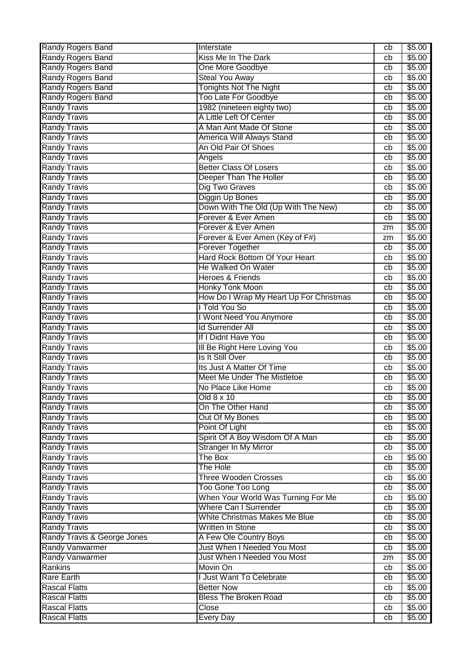| Randy Rogers Band           | Interstate                              | cb | \$5.00 |
|-----------------------------|-----------------------------------------|----|--------|
| <b>Randy Rogers Band</b>    | Kiss Me In The Dark                     | cb | \$5.00 |
| Randy Rogers Band           | <b>One More Goodbye</b>                 | cb | \$5.00 |
| Randy Rogers Band           | <b>Steal You Away</b>                   | cb | \$5.00 |
| <b>Randy Rogers Band</b>    | <b>Tonights Not The Night</b>           | cb | \$5.00 |
| Randy Rogers Band           | <b>Too Late For Goodbye</b>             | cb | \$5.00 |
| <b>Randy Travis</b>         | 1982 (nineteen eighty two)              | cb | \$5.00 |
| <b>Randy Travis</b>         | A Little Left Of Center                 | cb | \$5.00 |
| <b>Randy Travis</b>         | A Man Aint Made Of Stone                | cb | \$5.00 |
| <b>Randy Travis</b>         | America Will Always Stand               | cb | \$5.00 |
| <b>Randy Travis</b>         | An Old Pair Of Shoes                    | cb | \$5.00 |
| <b>Randy Travis</b>         | Angels                                  | cb | \$5.00 |
| <b>Randy Travis</b>         | <b>Better Class Of Losers</b>           | cb | \$5.00 |
| <b>Randy Travis</b>         | Deeper Than The Holler                  | cb | \$5.00 |
| <b>Randy Travis</b>         | Dig Two Graves                          | cb | \$5.00 |
| <b>Randy Travis</b>         | Diggin Up Bones                         |    | \$5.00 |
|                             |                                         | cb |        |
| <b>Randy Travis</b>         | Down With The Old (Up With The New)     | cb | \$5.00 |
| <b>Randy Travis</b>         | Forever & Ever Amen                     | cb | \$5.00 |
| <b>Randy Travis</b>         | Forever & Ever Amen                     | zm | \$5.00 |
| <b>Randy Travis</b>         | Forever & Ever Amen (Key of F#)         | zm | \$5.00 |
| <b>Randy Travis</b>         | <b>Forever Together</b>                 | cb | \$5.00 |
| <b>Randy Travis</b>         | Hard Rock Bottom Of Your Heart          | cb | \$5.00 |
| <b>Randy Travis</b>         | <b>He Walked On Water</b>               | cb | \$5.00 |
| <b>Randy Travis</b>         | <b>Heroes &amp; Friends</b>             | cb | \$5.00 |
| <b>Randy Travis</b>         | <b>Honky Tonk Moon</b>                  | cb | \$5.00 |
| <b>Randy Travis</b>         | How Do I Wrap My Heart Up For Christmas | cb | \$5.00 |
| <b>Randy Travis</b>         | I Told You So                           | cb | \$5.00 |
| <b>Randy Travis</b>         | I Wont Need You Anymore                 | cb | \$5.00 |
| <b>Randy Travis</b>         | <b>Id Surrender All</b>                 | cb | \$5.00 |
| <b>Randy Travis</b>         | If I Didnt Have You                     | cb | \$5.00 |
| <b>Randy Travis</b>         | III Be Right Here Loving You            | cb | \$5.00 |
| <b>Randy Travis</b>         | Is It Still Over                        | cb | \$5.00 |
| <b>Randy Travis</b>         | Its Just A Matter Of Time               | cb | \$5.00 |
| <b>Randy Travis</b>         | Meet Me Under The Mistletoe             | cb | \$5.00 |
| <b>Randy Travis</b>         | No Place Like Home                      | cb | \$5.00 |
| <b>Randy Travis</b>         | Old 8 x 10                              | cb | \$5.00 |
| <b>Randy Travis</b>         | On The Other Hand                       | cb | \$5.00 |
| <b>Randy Travis</b>         | Out Of My Bones                         | cb | \$5.00 |
| <b>Randy Travis</b>         | Point Of Light                          | cb | \$5.00 |
| <b>Randy Travis</b>         | Spirit Of A Boy Wisdom Of A Man         | cb | \$5.00 |
| <b>Randy Travis</b>         | <b>Stranger In My Mirror</b>            | cb | \$5.00 |
| <b>Randy Travis</b>         | The Box                                 | cb | \$5.00 |
| <b>Randy Travis</b>         | The Hole                                | cb | \$5.00 |
| <b>Randy Travis</b>         | <b>Three Wooden Crosses</b>             | cb | \$5.00 |
| <b>Randy Travis</b>         | Too Gone Too Long                       | cb | \$5.00 |
| <b>Randy Travis</b>         | When Your World Was Turning For Me      | cb | \$5.00 |
| <b>Randy Travis</b>         | <b>Where Can I Surrender</b>            | cb | \$5.00 |
| <b>Randy Travis</b>         | White Christmas Makes Me Blue           | cb | \$5.00 |
| <b>Randy Travis</b>         | Written In Stone                        | cb | \$5.00 |
| Randy Travis & George Jones | A Few Ole Country Boys                  | cb | \$5.00 |
| <b>Randy Vanwarmer</b>      | Just When I Needed You Most             | cb | \$5.00 |
| <b>Randy Vanwarmer</b>      | Just When I Needed You Most             | zm | \$5.00 |
| Rankins                     | Movin On                                | cb | \$5.00 |
| <b>Rare Earth</b>           | <b>Just Want To Celebrate</b>           |    | \$5.00 |
| <b>Rascal Flatts</b>        | <b>Better Now</b>                       | cb |        |
|                             |                                         | cb | \$5.00 |
| <b>Rascal Flatts</b>        | <b>Bless The Broken Road</b>            | cb | \$5.00 |
| <b>Rascal Flatts</b>        | Close                                   | cb | \$5.00 |
| <b>Rascal Flatts</b>        | <b>Every Day</b>                        | cb | \$5.00 |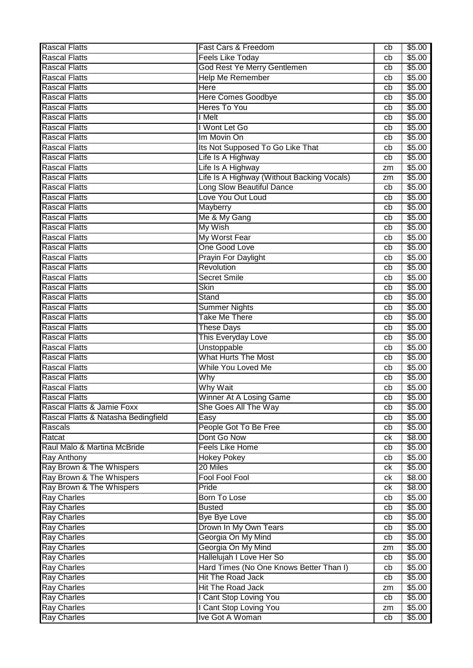| <b>Rascal Flatts</b>                | Fast Cars & Freedom                        | cb | \$5.00           |
|-------------------------------------|--------------------------------------------|----|------------------|
| <b>Rascal Flatts</b>                | <b>Feels Like Today</b>                    | cb | \$5.00           |
| <b>Rascal Flatts</b>                | God Rest Ye Merry Gentlemen                | cb | \$5.00           |
| <b>Rascal Flatts</b>                | <b>Help Me Remember</b>                    | cb | \$5.00           |
| <b>Rascal Flatts</b>                | Here                                       | cb | \$5.00           |
| <b>Rascal Flatts</b>                | <b>Here Comes Goodbye</b>                  | cb | \$5.00           |
| <b>Rascal Flatts</b>                | Heres To You                               | cb | \$5.00           |
| <b>Rascal Flatts</b>                | I Melt                                     | cb | \$5.00           |
| <b>Rascal Flatts</b>                | I Wont Let Go                              | cb | \$5.00           |
| <b>Rascal Flatts</b>                | Im Movin On                                | cb | \$5.00           |
| <b>Rascal Flatts</b>                | Its Not Supposed To Go Like That           | cb | \$5.00           |
| <b>Rascal Flatts</b>                | Life Is A Highway                          | cb | \$5.00           |
| <b>Rascal Flatts</b>                | Life Is A Highway                          | zm | \$5.00           |
| <b>Rascal Flatts</b>                | Life Is A Highway (Without Backing Vocals) | zm | \$5.00           |
| <b>Rascal Flatts</b>                | Long Slow Beautiful Dance                  | cb | \$5.00           |
| <b>Rascal Flatts</b>                | Love You Out Loud                          | cb | \$5.00           |
| <b>Rascal Flatts</b>                | Mayberry                                   | cb | \$5.00           |
| <b>Rascal Flatts</b>                | Me & My Gang                               | cb | \$5.00           |
| <b>Rascal Flatts</b>                | My Wish                                    | cb | \$5.00           |
| <b>Rascal Flatts</b>                | <b>My Worst Fear</b>                       | cb | \$5.00           |
| <b>Rascal Flatts</b>                | One Good Love                              | cb | \$5.00           |
| <b>Rascal Flatts</b>                | <b>Prayin For Daylight</b>                 | cb | \$5.00           |
| <b>Rascal Flatts</b>                | Revolution                                 | cb | \$5.00           |
| <b>Rascal Flatts</b>                | <b>Secret Smile</b>                        | cb | \$5.00           |
| <b>Rascal Flatts</b>                | <b>Skin</b>                                | cb | \$5.00           |
| <b>Rascal Flatts</b>                | Stand                                      | cb | \$5.00           |
| <b>Rascal Flatts</b>                | <b>Summer Nights</b>                       | cb | \$5.00           |
| <b>Rascal Flatts</b>                | Take Me There                              | cb | \$5.00           |
| <b>Rascal Flatts</b>                | <b>These Days</b>                          | cb | \$5.00           |
| <b>Rascal Flatts</b>                | This Everyday Love                         | cb | \$5.00           |
| <b>Rascal Flatts</b>                | Unstoppable                                | cb | \$5.00           |
| <b>Rascal Flatts</b>                | <b>What Hurts The Most</b>                 |    | \$5.00           |
| <b>Rascal Flatts</b>                | While You Loved Me                         | cb |                  |
| <b>Rascal Flatts</b>                | Why                                        | cb | \$5.00<br>\$5.00 |
| <b>Rascal Flatts</b>                | <b>Why Wait</b>                            | cb |                  |
| <b>Rascal Flatts</b>                |                                            | cb | \$5.00           |
| Rascal Flatts & Jamie Foxx          | Winner At A Losing Game                    | cb | \$5.00<br>\$5.00 |
|                                     | She Goes All The Way                       | cb |                  |
| Rascal Flatts & Natasha Bedingfield | Easy<br>People Got To Be Free              | cb | \$5.00           |
| Rascals                             |                                            | cb | \$5.00           |
| Ratcat                              | Dont Go Now                                | ck | \$8.00           |
| Raul Malo & Martina McBride         | <b>Feels Like Home</b>                     | cb | \$5.00           |
| Ray Anthony                         | <b>Hokey Pokey</b>                         | cb | \$5.00           |
| Ray Brown & The Whispers            | 20 Miles                                   | сk | \$5.00           |
| Ray Brown & The Whispers            | <b>Fool Fool Fool</b>                      | ck | \$8.00           |
| Ray Brown & The Whispers            | Pride                                      | ck | \$8.00           |
| <b>Ray Charles</b>                  | <b>Born To Lose</b>                        | cb | \$5.00           |
| <b>Ray Charles</b>                  | <b>Busted</b>                              | cb | \$5.00           |
| <b>Ray Charles</b>                  | <b>Bye Bye Love</b>                        | cb | \$5.00           |
| <b>Ray Charles</b>                  | Drown In My Own Tears                      | cb | \$5.00           |
| <b>Ray Charles</b>                  | Georgia On My Mind                         | cb | \$5.00           |
| <b>Ray Charles</b>                  | Georgia On My Mind                         | zm | \$5.00           |
| <b>Ray Charles</b>                  | Hallelujah I Love Her So                   | cb | \$5.00           |
| <b>Ray Charles</b>                  | Hard Times (No One Knows Better Than I)    | cb | \$5.00           |
| <b>Ray Charles</b>                  | Hit The Road Jack                          | cb | \$5.00           |
| <b>Ray Charles</b>                  | <b>Hit The Road Jack</b>                   | zm | \$5.00           |
| <b>Ray Charles</b>                  | I Cant Stop Loving You                     | cb | \$5.00           |
| <b>Ray Charles</b>                  | I Cant Stop Loving You                     | zm | \$5.00           |
| <b>Ray Charles</b>                  | Ive Got A Woman                            | cb | \$5.00           |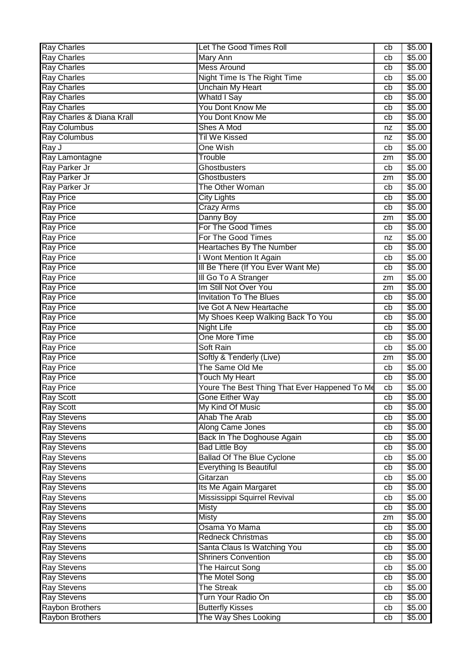| <b>Ray Charles</b>                           | Let The Good Times Roll                       | cb                    | \$5.00             |
|----------------------------------------------|-----------------------------------------------|-----------------------|--------------------|
| <b>Ray Charles</b>                           | <b>Mary Ann</b>                               | cb                    | \$5.00             |
| <b>Ray Charles</b>                           | <b>Mess Around</b>                            | cb                    | \$5.00             |
| <b>Ray Charles</b>                           | <b>Night Time Is The Right Time</b>           | cb                    | \$5.00             |
| <b>Ray Charles</b>                           | <b>Unchain My Heart</b>                       | cb                    | \$5.00             |
| <b>Ray Charles</b>                           | Whatd I Say                                   | cb                    | \$5.00             |
| <b>Ray Charles</b>                           | You Dont Know Me                              | cb                    | \$5.00             |
| Ray Charles & Diana Krall                    | You Dont Know Me                              | cb                    | \$5.00             |
| <b>Ray Columbus</b>                          | Shes A Mod                                    | nz                    | \$5.00             |
| <b>Ray Columbus</b>                          | <b>Til We Kissed</b>                          | nz                    | \$5.00             |
| Ray J                                        | <b>One Wish</b>                               | cb                    | \$5.00             |
| Ray Lamontagne                               | Trouble                                       | zm                    | \$5.00             |
| Ray Parker Jr                                | Ghostbusters                                  | cb                    | \$5.00             |
| Ray Parker Jr                                | Ghostbusters                                  | zm                    | \$5.00             |
| Ray Parker Jr                                | The Other Woman                               | cb                    | \$5.00             |
| <b>Ray Price</b>                             | <b>City Lights</b>                            | cb                    | \$5.00             |
| <b>Ray Price</b>                             | <b>Crazy Arms</b>                             | cb                    | \$5.00             |
| <b>Ray Price</b>                             | Danny Boy                                     | zm                    | \$5.00             |
| <b>Ray Price</b>                             | For The Good Times                            | cb                    | \$5.00             |
| <b>Ray Price</b>                             | For The Good Times                            | nz                    | \$5.00             |
| <b>Ray Price</b>                             | <b>Heartaches By The Number</b>               | cb                    | \$5.00             |
| <b>Ray Price</b>                             | I Wont Mention It Again                       | cb                    | \$5.00             |
| <b>Ray Price</b>                             | III Be There (If You Ever Want Me)            | cb                    | \$5.00             |
| <b>Ray Price</b>                             | III Go To A Stranger                          | zm                    | \$5.00             |
| <b>Ray Price</b>                             | Im Still Not Over You                         | zm                    | \$5.00             |
| <b>Ray Price</b>                             | <b>Invitation To The Blues</b>                | cb                    | \$5.00             |
| <b>Ray Price</b>                             | Ive Got A New Heartache                       | cb                    | \$5.00             |
| <b>Ray Price</b>                             | My Shoes Keep Walking Back To You             | cb                    | \$5.00             |
|                                              |                                               |                       |                    |
|                                              |                                               |                       |                    |
| <b>Ray Price</b>                             | <b>Night Life</b>                             | cb                    | \$5.00             |
| <b>Ray Price</b>                             | <b>One More Time</b>                          | cb<br>cb              | \$5.00             |
| <b>Ray Price</b>                             | Soft Rain                                     |                       | $\overline{$}5.00$ |
| <b>Ray Price</b>                             | Softly & Tenderly (Live)                      | zm                    | \$5.00             |
| <b>Ray Price</b>                             | The Same Old Me                               | cb                    | \$5.00             |
| <b>Ray Price</b>                             | <b>Touch My Heart</b>                         | cb                    | \$5.00             |
| <b>Ray Price</b>                             | Youre The Best Thing That Ever Happened To Me | cb                    | \$5.00             |
| <b>Ray Scott</b>                             | Gone Either Way                               | $\overline{cb}$<br>cb | \$5.00             |
| <b>Ray Scott</b>                             | My Kind Of Music                              | cb                    | \$5.00             |
| <b>Ray Stevens</b>                           | Ahab The Arab                                 |                       | \$5.00             |
| <b>Ray Stevens</b>                           | Along Came Jones                              | cb<br>cb              | \$5.00             |
| <b>Ray Stevens</b>                           | Back In The Doghouse Again                    | cb                    | \$5.00             |
| <b>Ray Stevens</b>                           | <b>Bad Little Boy</b>                         | cb                    | \$5.00             |
| <b>Ray Stevens</b>                           | <b>Ballad Of The Blue Cyclone</b>             | cb                    | \$5.00             |
| <b>Ray Stevens</b>                           | Everything Is Beautiful                       |                       | \$5.00             |
| <b>Ray Stevens</b>                           | Gitarzan                                      | cb                    | \$5.00             |
| <b>Ray Stevens</b>                           | Its Me Again Margaret                         | cb                    | \$5.00             |
| <b>Ray Stevens</b>                           | Mississippi Squirrel Revival                  | cb                    | \$5.00             |
| <b>Ray Stevens</b>                           | <b>Misty</b>                                  | cb                    | \$5.00             |
| <b>Ray Stevens</b>                           | <b>Misty</b>                                  | zm<br>cb              | \$5.00             |
| <b>Ray Stevens</b>                           | Osama Yo Mama                                 | cb                    | \$5.00             |
| <b>Ray Stevens</b>                           | <b>Redneck Christmas</b>                      | cb                    | \$5.00             |
| <b>Ray Stevens</b>                           | Santa Claus Is Watching You                   | cb                    | \$5.00             |
| <b>Ray Stevens</b>                           | <b>Shriners Convention</b>                    | cb                    | \$5.00             |
| <b>Ray Stevens</b>                           | <b>The Haircut Song</b>                       | cb                    | \$5.00             |
| <b>Ray Stevens</b>                           | The Motel Song                                |                       | \$5.00             |
| <b>Ray Stevens</b>                           | <b>The Streak</b>                             | cb<br>cb              | \$5.00             |
| <b>Ray Stevens</b><br><b>Raybon Brothers</b> | Turn Your Radio On<br><b>Butterfly Kisses</b> | cb                    | \$5.00<br>\$5.00   |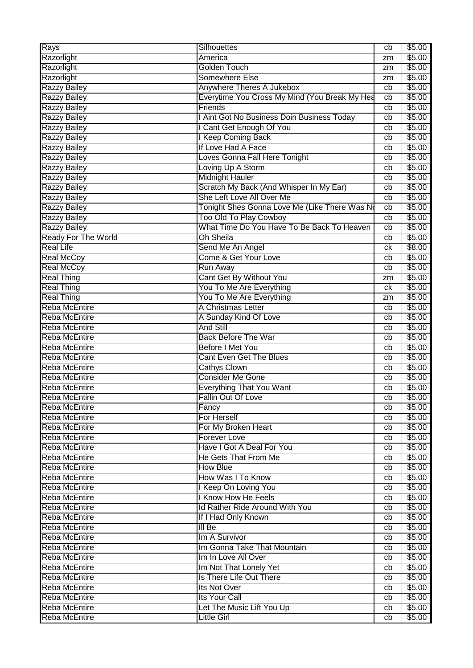| <b>Rays</b>                | Silhouettes                                   | cb | \$5.00 |
|----------------------------|-----------------------------------------------|----|--------|
| Razorlight                 | America                                       | zm | \$5.00 |
| Razorlight                 | <b>Golden Touch</b>                           | zm | \$5.00 |
| Razorlight                 | Somewhere Else                                | zm | \$5.00 |
| <b>Razzy Bailey</b>        | Anywhere Theres A Jukebox                     | cb | \$5.00 |
| <b>Razzy Bailey</b>        | Everytime You Cross My Mind (You Break My Hea | cb | \$5.00 |
| <b>Razzy Bailey</b>        | Friends                                       | cb | \$5.00 |
| <b>Razzy Bailey</b>        | I Aint Got No Business Doin Business Today    | cb | \$5.00 |
| <b>Razzy Bailey</b>        | I Cant Get Enough Of You                      | cb | \$5.00 |
| <b>Razzy Bailey</b>        | I Keep Coming Back                            | cb | \$5.00 |
| <b>Razzy Bailey</b>        | If Love Had A Face                            | cb | \$5.00 |
| <b>Razzy Bailey</b>        | Loves Gonna Fall Here Tonight                 | cb | \$5.00 |
| Razzy Bailey               | Loving Up A Storm                             | cb | \$5.00 |
| <b>Razzy Bailey</b>        | <b>Midnight Hauler</b>                        | cb | \$5.00 |
| <b>Razzy Bailey</b>        | Scratch My Back (And Whisper In My Ear)       | cb | \$5.00 |
| <b>Razzy Bailey</b>        | She Left Love All Over Me                     | cb | \$5.00 |
| <b>Razzy Bailey</b>        | Tonight Shes Gonna Love Me (Like There Was No | cb | \$5.00 |
| <b>Razzy Bailey</b>        | <b>Too Old To Play Cowboy</b>                 | cb | \$5.00 |
| <b>Razzy Bailey</b>        | What Time Do You Have To Be Back To Heaven    | cb | \$5.00 |
| <b>Ready For The World</b> | <b>Oh Sheila</b>                              | cb | \$5.00 |
| <b>Real Life</b>           | Send Me An Angel                              | ck | \$8.00 |
| <b>Real McCoy</b>          | Come & Get Your Love                          | cb | \$5.00 |
| <b>Real McCoy</b>          | Run Away                                      | cb | \$5.00 |
| <b>Real Thing</b>          | Cant Get By Without You                       | zm | \$5.00 |
| <b>Real Thing</b>          | You To Me Are Everything                      | ck | \$5.00 |
| <b>Real Thing</b>          | You To Me Are Everything                      | zm | \$5.00 |
| <b>Reba McEntire</b>       | A Christmas Letter                            | cb | \$5.00 |
| <b>Reba McEntire</b>       | A Sunday Kind Of Love                         | cb | \$5.00 |
| <b>Reba McEntire</b>       | <b>And Still</b>                              | cb | \$5.00 |
| Reba McEntire              | <b>Back Before The War</b>                    | cb | \$5.00 |
| <b>Reba McEntire</b>       | <b>Before I Met You</b>                       | cb | \$5.00 |
| Reba McEntire              | <b>Cant Even Get The Blues</b>                | cb | \$5.00 |
| <b>Reba McEntire</b>       | <b>Cathys Clown</b>                           | cb | \$5.00 |
| <b>Reba McEntire</b>       | <b>Consider Me Gone</b>                       | cb | \$5.00 |
| <b>Reba McEntire</b>       | <b>Everything That You Want</b>               | cb | \$5.00 |
| Reba McEntire              | Fallin Out Of Love                            | cb | \$5.00 |
| <b>Reba McEntire</b>       | Fancy                                         | cb | \$5.00 |
| Reba McEntire              | For Herself                                   | cb | \$5.00 |
| <b>Reba McEntire</b>       | For My Broken Heart                           | cb | \$5.00 |
| Reba McEntire              | <b>Forever Love</b>                           | cb | \$5.00 |
| <b>Reba McEntire</b>       | Have I Got A Deal For You                     | cb | \$5.00 |
| <b>Reba McEntire</b>       | He Gets That From Me                          | cb | \$5.00 |
| <b>Reba McEntire</b>       | <b>How Blue</b>                               | cb | \$5.00 |
| <b>Reba McEntire</b>       | How Was I To Know                             | cb | \$5.00 |
| <b>Reba McEntire</b>       | I Keep On Loving You                          | cb | \$5.00 |
| <b>Reba McEntire</b>       | I Know How He Feels                           | cb | \$5.00 |
| <b>Reba McEntire</b>       | Id Rather Ride Around With You                | cb | \$5.00 |
| <b>Reba McEntire</b>       | If I Had Only Known                           | cb | \$5.00 |
| <b>Reba McEntire</b>       | $III$ Be                                      | cb | \$5.00 |
| Reba McEntire              | Im A Survivor                                 | cb | \$5.00 |
| <b>Reba McEntire</b>       | Im Gonna Take That Mountain                   | cb | \$5.00 |
| <b>Reba McEntire</b>       | Im In Love All Over                           | cb | \$5.00 |
| <b>Reba McEntire</b>       | Im Not That Lonely Yet                        | cb | \$5.00 |
| <b>Reba McEntire</b>       | Is There Life Out There                       | cb | \$5.00 |
| <b>Reba McEntire</b>       | Its Not Over                                  | cb | \$5.00 |
| <b>Reba McEntire</b>       | Its Your Call                                 | cb | \$5.00 |
| Reba McEntire              | Let The Music Lift You Up                     | cb | \$5.00 |
| <b>Reba McEntire</b>       | <b>Little Girl</b>                            | cb | \$5.00 |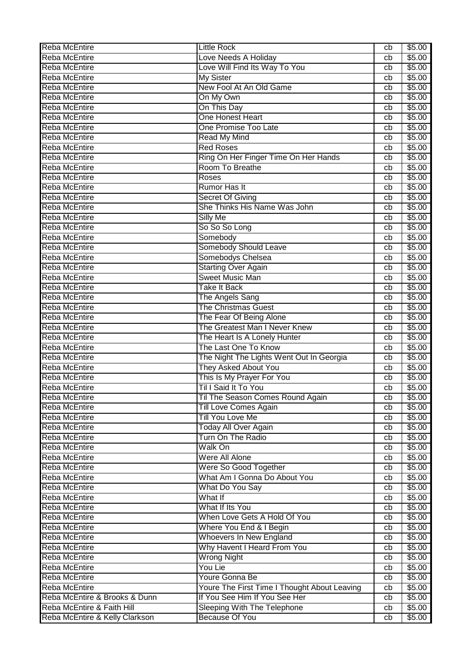| <b>Reba McEntire</b>           | <b>Little Rock</b>                                      | cb | \$5.00 |
|--------------------------------|---------------------------------------------------------|----|--------|
| <b>Reba McEntire</b>           | Love Needs A Holiday                                    | cb | \$5.00 |
| <b>Reba McEntire</b>           | Love Will Find Its Way To You                           | cb | \$5.00 |
| <b>Reba McEntire</b>           | <b>My Sister</b>                                        | cb | \$5.00 |
| Reba McEntire                  | New Fool At An Old Game                                 | cb | \$5.00 |
| <b>Reba McEntire</b>           | On My Own                                               | cb | \$5.00 |
| <b>Reba McEntire</b>           | On This Day                                             | cb | \$5.00 |
| <b>Reba McEntire</b>           | One Honest Heart                                        | cb | \$5.00 |
| <b>Reba McEntire</b>           | One Promise Too Late                                    | cb | \$5.00 |
| Reba McEntire                  | <b>Read My Mind</b>                                     | cb | \$5.00 |
| Reba McEntire                  | <b>Red Roses</b>                                        | cb | \$5.00 |
| Reba McEntire                  | Ring On Her Finger Time On Her Hands                    | cb | \$5.00 |
| <b>Reba McEntire</b>           | Room To Breathe                                         | cb | \$5.00 |
| Reba McEntire                  | Roses                                                   | cb | \$5.00 |
| Reba McEntire                  | Rumor Has It                                            | cb | \$5.00 |
| <b>Reba McEntire</b>           |                                                         |    | \$5.00 |
|                                | <b>Secret Of Giving</b><br>She Thinks His Name Was John | cb |        |
| <b>Reba McEntire</b>           |                                                         | cb | \$5.00 |
| Reba McEntire                  | <b>Silly Me</b>                                         | cb | \$5.00 |
| <b>Reba McEntire</b>           | So So So Long                                           | cb | \$5.00 |
| <b>Reba McEntire</b>           | Somebody                                                | cb | \$5.00 |
| Reba McEntire                  | Somebody Should Leave                                   | cb | \$5.00 |
| Reba McEntire                  | Somebodys Chelsea                                       | cb | \$5.00 |
| <b>Reba McEntire</b>           | <b>Starting Over Again</b>                              | cb | \$5.00 |
| Reba McEntire                  | <b>Sweet Music Man</b>                                  | cb | \$5.00 |
| <b>Reba McEntire</b>           | <b>Take It Back</b>                                     | cb | \$5.00 |
| <b>Reba McEntire</b>           | The Angels Sang                                         | cb | \$5.00 |
| <b>Reba McEntire</b>           | <b>The Christmas Guest</b>                              | cb | \$5.00 |
| <b>Reba McEntire</b>           | The Fear Of Being Alone                                 | cb | \$5.00 |
| <b>Reba McEntire</b>           | The Greatest Man I Never Knew                           | cb | \$5.00 |
| Reba McEntire                  | The Heart Is A Lonely Hunter                            | cb | \$5.00 |
| Reba McEntire                  | The Last One To Know                                    | cb | \$5.00 |
| Reba McEntire                  | The Night The Lights Went Out In Georgia                | cb | \$5.00 |
| Reba McEntire                  | <b>They Asked About You</b>                             | cb | \$5.00 |
| Reba McEntire                  | This Is My Prayer For You                               | cb | \$5.00 |
| <b>Reba McEntire</b>           | Til I Said It To You                                    | cb | \$5.00 |
| <b>Reba McEntire</b>           | Til The Season Comes Round Again                        | cb | \$5.00 |
| <b>Reba McEntire</b>           | <b>Till Love Comes Again</b>                            | cb | \$5.00 |
| <b>Reba McEntire</b>           | Till You Love Me                                        | cb | \$5.00 |
| <b>Reba McEntire</b>           | <b>Today All Over Again</b>                             | cb | \$5.00 |
| <b>Reba McEntire</b>           | Turn On The Radio                                       | cb | \$5.00 |
| <b>Reba McEntire</b>           | Walk On                                                 | cb | \$5.00 |
| <b>Reba McEntire</b>           | Were All Alone                                          | cb | \$5.00 |
| <b>Reba McEntire</b>           | Were So Good Together                                   | cb | \$5.00 |
| <b>Reba McEntire</b>           | What Am I Gonna Do About You                            | cb | \$5.00 |
| <b>Reba McEntire</b>           | What Do You Say                                         | cb | \$5.00 |
| <b>Reba McEntire</b>           | What If                                                 | cb | \$5.00 |
| <b>Reba McEntire</b>           | What If Its You                                         | cb | \$5.00 |
| <b>Reba McEntire</b>           | When Love Gets A Hold Of You                            | cb | \$5.00 |
| <b>Reba McEntire</b>           | Where You End & I Begin                                 | cb | \$5.00 |
| <b>Reba McEntire</b>           | Whoevers In New England                                 | cb | \$5.00 |
| Reba McEntire                  | Why Havent I Heard From You                             | cb | \$5.00 |
| <b>Reba McEntire</b>           | <b>Wrong Night</b>                                      | cb | \$5.00 |
| <b>Reba McEntire</b>           | You Lie                                                 | cb | \$5.00 |
| Reba McEntire                  | Youre Gonna Be                                          | cb | \$5.00 |
| Reba McEntire                  | Youre The First Time I Thought About Leaving            | cb | \$5.00 |
| Reba McEntire & Brooks & Dunn  | If You See Him If You See Her                           | cb | \$5.00 |
| Reba McEntire & Faith Hill     | Sleeping With The Telephone                             | cb | \$5.00 |
| Reba McEntire & Kelly Clarkson | <b>Because Of You</b>                                   | cb | \$5.00 |
|                                |                                                         |    |        |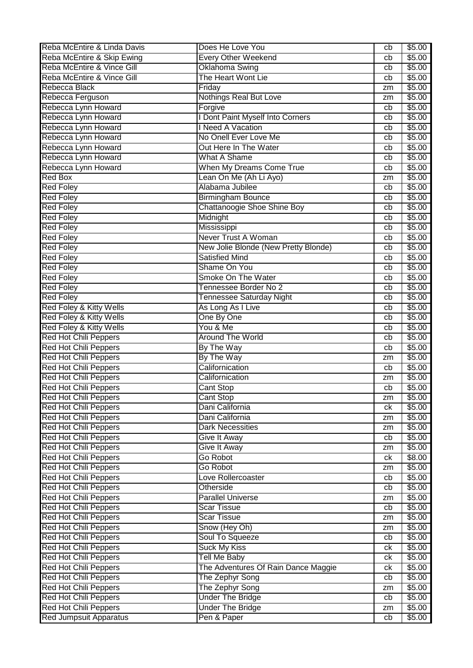| Reba McEntire & Linda Davis   | Does He Love You                     | cb | \$5.00             |
|-------------------------------|--------------------------------------|----|--------------------|
| Reba McEntire & Skip Ewing    | <b>Every Other Weekend</b>           | cb | \$5.00             |
| Reba McEntire & Vince Gill    | Oklahoma Swing                       | cb | \$5.00             |
| Reba McEntire & Vince Gill    | The Heart Wont Lie                   | cb | \$5.00             |
| Rebecca Black                 | Friday                               | zm | \$5.00             |
| Rebecca Ferguson              | Nothings Real But Love               | zm | \$5.00             |
| Rebecca Lynn Howard           | Forgive                              | cb | \$5.00             |
| Rebecca Lynn Howard           | I Dont Paint Myself Into Corners     | cb | \$5.00             |
| Rebecca Lynn Howard           | I Need A Vacation                    | cb | \$5.00             |
| Rebecca Lynn Howard           | No Onell Ever Love Me                | cb | \$5.00             |
| Rebecca Lynn Howard           | Out Here In The Water                | cb | \$5.00             |
| Rebecca Lynn Howard           | <b>What A Shame</b>                  | cb | \$5.00             |
| Rebecca Lynn Howard           | When My Dreams Come True             | cb | \$5.00             |
| Red Box                       | Lean On Me (Ah Li Ayo)               | zm | \$5.00             |
| <b>Red Foley</b>              | Alabama Jubilee                      | cb | \$5.00             |
| <b>Red Foley</b>              | <b>Birmingham Bounce</b>             | cb | \$5.00             |
| <b>Red Foley</b>              | Chattanoogie Shoe Shine Boy          | cb | \$5.00             |
| <b>Red Foley</b>              | Midnight                             | cb | \$5.00             |
| <b>Red Foley</b>              | Mississippi                          | cb | \$5.00             |
| <b>Red Foley</b>              | Never Trust A Woman                  | cb | \$5.00             |
| <b>Red Foley</b>              | New Jolie Blonde (New Pretty Blonde) | cb | \$5.00             |
| <b>Red Foley</b>              | <b>Satisfied Mind</b>                | cb | \$5.00             |
| <b>Red Foley</b>              | Shame On You                         | cb | \$5.00             |
|                               | Smoke On The Water                   |    | \$5.00             |
| <b>Red Foley</b>              |                                      | cb |                    |
| <b>Red Foley</b>              | Tennessee Border No 2                | cb | \$5.00             |
| <b>Red Foley</b>              | Tennessee Saturday Night             | cb | \$5.00             |
| Red Foley & Kitty Wells       | As Long As I Live                    | cb | \$5.00             |
| Red Foley & Kitty Wells       | One By One                           | cb | \$5.00             |
| Red Foley & Kitty Wells       | You & Me                             | cb | \$5.00             |
| Red Hot Chili Peppers         | <b>Around The World</b>              | cb | \$5.00             |
| Red Hot Chili Peppers         | By The Way                           | cb | \$5.00             |
| Red Hot Chili Peppers         | By The Way                           | zm | \$5.00             |
| <b>Red Hot Chili Peppers</b>  | Californication                      | cb | $\overline{$}5.00$ |
| Red Hot Chili Peppers         | Californication                      | zm | \$5.00             |
| <b>Red Hot Chili Peppers</b>  | Cant Stop                            | cb | \$5.00             |
| Red Hot Chili Peppers         | Cant Stop                            | zm | \$5.00             |
| <b>Red Hot Chili Peppers</b>  | Dani California                      | ck | \$5.00             |
| <b>Red Hot Chili Peppers</b>  | Dani California                      | zm | \$5.00             |
| <b>Red Hot Chili Peppers</b>  | <b>Dark Necessities</b>              | zm | \$5.00             |
| <b>Red Hot Chili Peppers</b>  | <b>Give It Away</b>                  | cb | \$5.00             |
| <b>Red Hot Chili Peppers</b>  | <b>Give It Away</b>                  | zm | \$5.00             |
| <b>Red Hot Chili Peppers</b>  | Go Robot                             | ck | \$8.00             |
| <b>Red Hot Chili Peppers</b>  | <b>Go Robot</b>                      | zm | \$5.00             |
| <b>Red Hot Chili Peppers</b>  | Love Rollercoaster                   | cb | \$5.00             |
| <b>Red Hot Chili Peppers</b>  | Otherside                            | cb | \$5.00             |
| <b>Red Hot Chili Peppers</b>  | <b>Parallel Universe</b>             | zm | \$5.00             |
| <b>Red Hot Chili Peppers</b>  | <b>Scar Tissue</b>                   | cb | \$5.00             |
| <b>Red Hot Chili Peppers</b>  | <b>Scar Tissue</b>                   | zm | \$5.00             |
| <b>Red Hot Chili Peppers</b>  | Snow (Hey Oh)                        | zm | \$5.00             |
| <b>Red Hot Chili Peppers</b>  | Soul To Squeeze                      | cb | \$5.00             |
| <b>Red Hot Chili Peppers</b>  | <b>Suck My Kiss</b>                  | ck | \$5.00             |
| <b>Red Hot Chili Peppers</b>  | <b>Tell Me Baby</b>                  | ck | \$5.00             |
| <b>Red Hot Chili Peppers</b>  | The Adventures Of Rain Dance Maggie  | ck | \$5.00             |
| <b>Red Hot Chili Peppers</b>  | The Zephyr Song                      | cb | \$5.00             |
| <b>Red Hot Chili Peppers</b>  | The Zephyr Song                      | zm | \$5.00             |
| <b>Red Hot Chili Peppers</b>  | <b>Under The Bridge</b>              | cb | \$5.00             |
| <b>Red Hot Chili Peppers</b>  | <b>Under The Bridge</b>              | zm | \$5.00             |
|                               | Pen & Paper                          |    |                    |
| <b>Red Jumpsuit Apparatus</b> |                                      | cb | \$5.00             |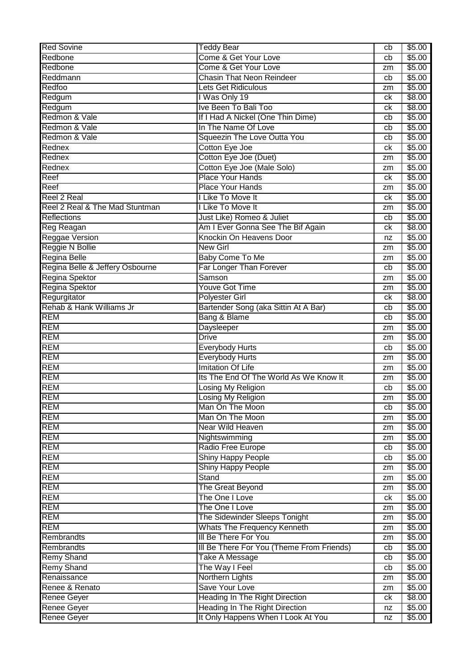| <b>Red Sovine</b>               | <b>Teddy Bear</b>                         | cb | \$5.00 |
|---------------------------------|-------------------------------------------|----|--------|
| Redbone                         | Come & Get Your Love                      | cb | \$5.00 |
| Redbone                         | Come & Get Your Love                      | zm | \$5.00 |
| Reddmann                        | <b>Chasin That Neon Reindeer</b>          | cb | \$5.00 |
| Redfoo                          | <b>Lets Get Ridiculous</b>                | zm | \$5.00 |
| Redgum                          | I Was Only 19                             | ck | \$8.00 |
| Redgum                          | Ive Been To Bali Too                      | ck | \$8.00 |
| Redmon & Vale                   | If I Had A Nickel (One Thin Dime)         | cb | \$5.00 |
| Redmon & Vale                   | In The Name Of Love                       | cb | \$5.00 |
| Redmon & Vale                   | Squeezin The Love Outta You               | cb | \$5.00 |
| Rednex                          | Cotton Eye Joe                            | ck | \$5.00 |
| Rednex                          | Cotton Eye Joe (Duet)                     | zm | \$5.00 |
| Rednex                          | Cotton Eye Joe (Male Solo)                | zm | \$5.00 |
| Reef                            | <b>Place Your Hands</b>                   | ck | \$5.00 |
| Reef                            | <b>Place Your Hands</b>                   | zm | \$5.00 |
| <b>Reel 2 Real</b>              | I Like To Move It                         | ck | \$5.00 |
| Reel 2 Real & The Mad Stuntman  | I Like To Move It                         | zm | \$5.00 |
| Reflections                     | Just Like) Romeo & Juliet                 | cb | \$5.00 |
| Reg Reagan                      | Am I Ever Gonna See The Bif Again         | ck | \$8.00 |
| <b>Reggae Version</b>           | Knockin On Heavens Door                   | nz | \$5.00 |
| Reggie N Bollie                 | <b>New Girl</b>                           | zm | \$5.00 |
| Regina Belle                    | <b>Baby Come To Me</b>                    | zm | \$5.00 |
| Regina Belle & Jeffery Osbourne | Far Longer Than Forever                   | cb | \$5.00 |
| Regina Spektor                  | Samson                                    | zm | \$5.00 |
| Regina Spektor                  | <b>Youve Got Time</b>                     | zm | \$5.00 |
| Regurgitator                    | <b>Polyester Girl</b>                     | ck | \$8.00 |
| Rehab & Hank Williams Jr        | Bartender Song (aka Sittin At A Bar)      | cb | \$5.00 |
| <b>REM</b>                      | Bang & Blame                              | cb | \$5.00 |
| <b>REM</b>                      | Daysleeper                                | zm | \$5.00 |
| <b>REM</b>                      | <b>Drive</b>                              | zm | \$5.00 |
| <b>REM</b>                      | <b>Everybody Hurts</b>                    | cb | \$5.00 |
| <b>REM</b>                      | <b>Everybody Hurts</b>                    | zm | \$5.00 |
| <b>REM</b>                      | <b>Imitation Of Life</b>                  | zm | \$5.00 |
| <b>REM</b>                      | Its The End Of The World As We Know It    | zm | \$5.00 |
| <b>REM</b>                      | Losing My Religion                        | cb | \$5.00 |
| <b>REM</b>                      | Losing My Religion                        | zm | \$5.00 |
| <b>REM</b>                      | Man On The Moon                           | cb | \$5.00 |
| REM                             | Man On The Moon                           | zm | \$5.00 |
| <b>REM</b>                      | <b>Near Wild Heaven</b>                   | zm | \$5.00 |
| <b>REM</b>                      | Nightswimming                             | zm | \$5.00 |
| <b>REM</b>                      | Radio Free Europe                         | cb | \$5.00 |
| <b>REM</b>                      | <b>Shiny Happy People</b>                 | cb | \$5.00 |
| REM                             | <b>Shiny Happy People</b>                 | zm | \$5.00 |
| REM                             | Stand                                     | zm | \$5.00 |
| <b>REM</b>                      | The Great Beyond                          | zm | \$5.00 |
| <b>REM</b>                      | The One I Love                            | ck | \$5.00 |
| <b>REM</b>                      | The One I Love                            | zm | \$5.00 |
| <b>REM</b>                      | The Sidewinder Sleeps Tonight             | zm | \$5.00 |
| <b>REM</b>                      | <b>Whats The Frequency Kenneth</b>        | zm | \$5.00 |
| Rembrandts                      | III Be There For You                      | zm | \$5.00 |
| Rembrandts                      | III Be There For You (Theme From Friends) | cb | \$5.00 |
| <b>Remy Shand</b>               | Take A Message                            | cb | \$5.00 |
| <b>Remy Shand</b>               | The Way I Feel                            | cb | \$5.00 |
| Renaissance                     | Northern Lights                           | zm | \$5.00 |
| Renee & Renato                  | Save Your Love                            | zm | \$5.00 |
| <b>Renee Geyer</b>              | <b>Heading In The Right Direction</b>     | ck | \$8.00 |
| Renee Geyer                     | <b>Heading In The Right Direction</b>     | nz | \$5.00 |
| <b>Renee Geyer</b>              | It Only Happens When I Look At You        | nz | \$5.00 |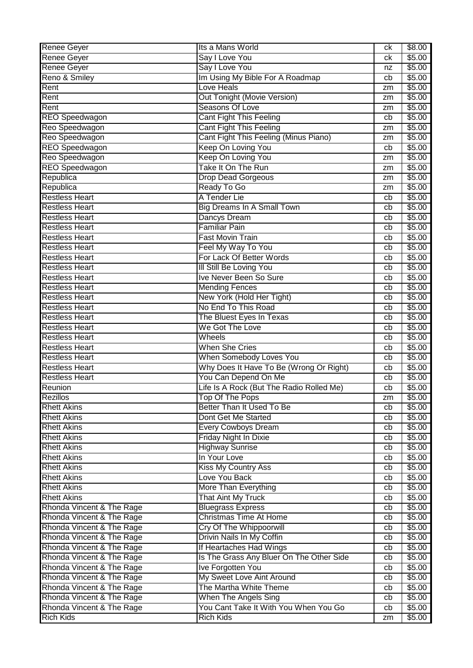| Renee Geyer               | Its a Mans World                         | сk | \$8.00 |
|---------------------------|------------------------------------------|----|--------|
| Renee Geyer               | Say I Love You                           | ck | \$5.00 |
| <b>Renee Geyer</b>        | Say I Love You                           | nz | \$5.00 |
| Reno & Smiley             | Im Using My Bible For A Roadmap          | cb | \$5.00 |
| Rent                      | Love Heals                               | zm | \$5.00 |
| Rent                      | <b>Out Tonight (Movie Version)</b>       | zm | \$5.00 |
| Rent                      | Seasons Of Love                          | zm | \$5.00 |
| <b>REO Speedwagon</b>     | <b>Cant Fight This Feeling</b>           | cb | \$5.00 |
| Reo Speedwagon            | <b>Cant Fight This Feeling</b>           | zm | \$5.00 |
| Reo Speedwagon            | Cant Fight This Feeling (Minus Piano)    | zm | \$5.00 |
| <b>REO Speedwagon</b>     | Keep On Loving You                       | cb | \$5.00 |
| Reo Speedwagon            | Keep On Loving You                       | zm | \$5.00 |
| <b>REO Speedwagon</b>     | Take It On The Run                       | zm | \$5.00 |
| Republica                 | <b>Drop Dead Gorgeous</b>                | zm | \$5.00 |
| Republica                 | Ready To Go                              | zm | \$5.00 |
| <b>Restless Heart</b>     | A Tender Lie                             | cb | \$5.00 |
| <b>Restless Heart</b>     | <b>Big Dreams In A Small Town</b>        | cb | \$5.00 |
| <b>Restless Heart</b>     | Dancys Dream                             |    | \$5.00 |
| <b>Restless Heart</b>     | <b>Familiar Pain</b>                     | cb | \$5.00 |
| <b>Restless Heart</b>     | <b>Fast Movin Train</b>                  | cb |        |
| <b>Restless Heart</b>     |                                          | cb | \$5.00 |
|                           | Feel My Way To You                       | cb | \$5.00 |
| <b>Restless Heart</b>     | For Lack Of Better Words                 | cb | \$5.00 |
| <b>Restless Heart</b>     | III Still Be Loving You                  | cb | \$5.00 |
| <b>Restless Heart</b>     | Ive Never Been So Sure                   | cb | \$5.00 |
| <b>Restless Heart</b>     | <b>Mending Fences</b>                    | cb | \$5.00 |
| <b>Restless Heart</b>     | New York (Hold Her Tight)                | cb | \$5.00 |
| <b>Restless Heart</b>     | No End To This Road                      | cb | \$5.00 |
| <b>Restless Heart</b>     | The Bluest Eyes In Texas                 | cb | \$5.00 |
| <b>Restless Heart</b>     | We Got The Love                          | cb | \$5.00 |
| <b>Restless Heart</b>     | Wheels                                   | cb | \$5.00 |
| <b>Restless Heart</b>     | <b>When She Cries</b>                    | cb | \$5.00 |
| <b>Restless Heart</b>     | When Somebody Loves You                  | cb | \$5.00 |
| <b>Restless Heart</b>     | Why Does It Have To Be (Wrong Or Right)  | cb | \$5.00 |
| <b>Restless Heart</b>     | You Can Depend On Me                     | cb | \$5.00 |
| Reunion                   | Life Is A Rock (But The Radio Rolled Me) | cb | \$5.00 |
| Rezillos                  | Top Of The Pops                          | zm | \$5.00 |
| <b>Rhett Akins</b>        | Better Than It Used To Be                | cb | \$5.00 |
| <b>Rhett Akins</b>        | Dont Get Me Started                      | cb | \$5.00 |
| <b>Rhett Akins</b>        | <b>Every Cowboys Dream</b>               | cb | \$5.00 |
| <b>Rhett Akins</b>        | Friday Night In Dixie                    | cb | \$5.00 |
| <b>Rhett Akins</b>        | <b>Highway Sunrise</b>                   | cb | \$5.00 |
| <b>Rhett Akins</b>        | In Your Love                             | cb | \$5.00 |
| <b>Rhett Akins</b>        | <b>Kiss My Country Ass</b>               | cb | \$5.00 |
| <b>Rhett Akins</b>        | Love You Back                            | cb | \$5.00 |
| <b>Rhett Akins</b>        | More Than Everything                     | cb | \$5.00 |
| <b>Rhett Akins</b>        | <b>That Aint My Truck</b>                | cb | \$5.00 |
| Rhonda Vincent & The Rage | <b>Bluegrass Express</b>                 | cb | \$5.00 |
| Rhonda Vincent & The Rage | <b>Christmas Time At Home</b>            | cb | \$5.00 |
| Rhonda Vincent & The Rage | Cry Of The Whippoorwill                  | cb | \$5.00 |
| Rhonda Vincent & The Rage | Drivin Nails In My Coffin                | cb | \$5.00 |
| Rhonda Vincent & The Rage | If Heartaches Had Wings                  | cb | \$5.00 |
| Rhonda Vincent & The Rage | Is The Grass Any Bluer On The Other Side | cb | \$5.00 |
| Rhonda Vincent & The Rage | Ive Forgotten You                        | cb | \$5.00 |
| Rhonda Vincent & The Rage | My Sweet Love Aint Around                | cb | \$5.00 |
| Rhonda Vincent & The Rage | The Martha White Theme                   | cb | \$5.00 |
| Rhonda Vincent & The Rage | When The Angels Sing                     | cb | \$5.00 |
| Rhonda Vincent & The Rage | You Cant Take It With You When You Go    | cb | \$5.00 |
| <b>Rich Kids</b>          | <b>Rich Kids</b>                         | zm | \$5.00 |
|                           |                                          |    |        |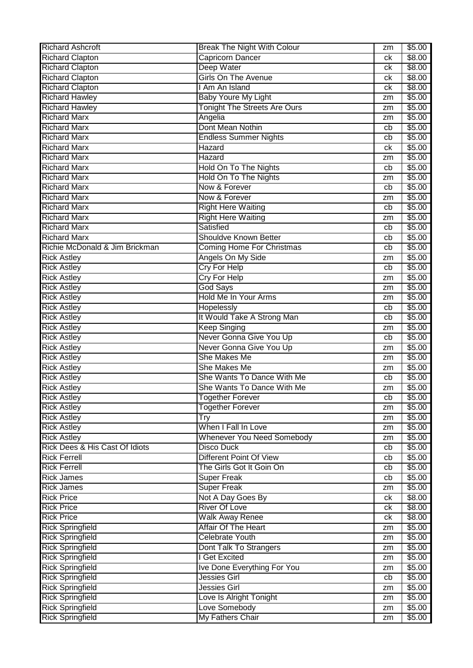| <b>Richard Ashcroft</b>        | <b>Break The Night With Colour</b>         | zm       | \$5.00 |
|--------------------------------|--------------------------------------------|----------|--------|
| <b>Richard Clapton</b>         | <b>Capricorn Dancer</b>                    | сk       | \$8.00 |
| <b>Richard Clapton</b>         | Deep Water                                 | сk       | \$8.00 |
| <b>Richard Clapton</b>         | <b>Girls On The Avenue</b>                 | сk       | \$8.00 |
| <b>Richard Clapton</b>         | I Am An Island                             | сk       | \$8.00 |
| <b>Richard Hawley</b>          | <b>Baby Youre My Light</b>                 | zm       | \$5.00 |
| <b>Richard Hawley</b>          | <b>Tonight The Streets Are Ours</b>        | zm       | \$5.00 |
| <b>Richard Marx</b>            | Angelia                                    | zm       | \$5.00 |
| <b>Richard Marx</b>            | Dont Mean Nothin                           | cb       | \$5.00 |
| <b>Richard Marx</b>            | <b>Endless Summer Nights</b>               | cb       | \$5.00 |
| <b>Richard Marx</b>            | Hazard                                     | сk       | \$5.00 |
| <b>Richard Marx</b>            | Hazard                                     | zm       | \$5.00 |
| <b>Richard Marx</b>            | Hold On To The Nights                      | cb       | \$5.00 |
| <b>Richard Marx</b>            | <b>Hold On To The Nights</b>               | zm       | \$5.00 |
| <b>Richard Marx</b>            | Now & Forever                              | cb       | \$5.00 |
| <b>Richard Marx</b>            | Now & Forever                              | zm       | \$5.00 |
| <b>Richard Marx</b>            | <b>Right Here Waiting</b>                  | cb       | \$5.00 |
| <b>Richard Marx</b>            | <b>Right Here Waiting</b>                  | zm       | \$5.00 |
| <b>Richard Marx</b>            | Satisfied                                  | cb       | \$5.00 |
| <b>Richard Marx</b>            | Shouldve Known Better                      | cb       | \$5.00 |
| Richie McDonald & Jim Brickman | <b>Coming Home For Christmas</b>           | cb       | \$5.00 |
| <b>Rick Astley</b>             | Angels On My Side                          | zm       | \$5.00 |
| <b>Rick Astley</b>             | <b>Cry For Help</b>                        | cb       | \$5.00 |
| <b>Rick Astley</b>             | <b>Cry For Help</b>                        | zm       | \$5.00 |
| <b>Rick Astley</b>             | <b>God Says</b>                            | zm       | \$5.00 |
| <b>Rick Astley</b>             | <b>Hold Me In Your Arms</b>                | zm       | \$5.00 |
| <b>Rick Astley</b>             | Hopelessly                                 | cb       | \$5.00 |
| <b>Rick Astley</b>             | It Would Take A Strong Man                 | cb       | \$5.00 |
| <b>Rick Astley</b>             | <b>Keep Singing</b>                        |          | \$5.00 |
| <b>Rick Astley</b>             | Never Gonna Give You Up                    | zm<br>cb | \$5.00 |
|                                | Never Gonna Give You Up                    |          | \$5.00 |
| <b>Rick Astley</b>             | She Makes Me                               | zm       |        |
| <b>Rick Astley</b>             |                                            | zm       | \$5.00 |
| <b>Rick Astley</b>             | She Makes Me<br>She Wants To Dance With Me | zm       | \$5.00 |
| <b>Rick Astley</b>             |                                            | cb       | \$5.00 |
| <b>Rick Astley</b>             | She Wants To Dance With Me                 | zm       | \$5.00 |
| <b>Rick Astley</b>             | Together Forever                           | cb       | \$5.00 |
| <b>Rick Astley</b>             | <b>Together Forever</b>                    | zm       | \$5.00 |
| <b>Rick Astley</b>             | Try                                        | zm       | \$5.00 |
| <b>Rick Astley</b>             | When I Fall In Love                        | zm       | \$5.00 |
| <b>Rick Astley</b>             | <b>Whenever You Need Somebody</b>          | zm       | \$5.00 |
| Rick Dees & His Cast Of Idiots | <b>Disco Duck</b>                          | cb       | \$5.00 |
| <b>Rick Ferrell</b>            | <b>Different Point Of View</b>             | cb       | \$5.00 |
| <b>Rick Ferrell</b>            | The Girls Got It Goin On                   | cb       | \$5.00 |
| <b>Rick James</b>              | <b>Super Freak</b>                         | cb       | \$5.00 |
| <b>Rick James</b>              | <b>Super Freak</b>                         | zm       | \$5.00 |
| <b>Rick Price</b>              | Not A Day Goes By                          | ck       | \$8.00 |
| <b>Rick Price</b>              | <b>River Of Love</b>                       | ck       | \$8.00 |
| <b>Rick Price</b>              | <b>Walk Away Renee</b>                     | ck       | \$8.00 |
| <b>Rick Springfield</b>        | Affair Of The Heart                        | zm       | \$5.00 |
| <b>Rick Springfield</b>        | <b>Celebrate Youth</b>                     | zm       | \$5.00 |
| <b>Rick Springfield</b>        | Dont Talk To Strangers                     | zm       | \$5.00 |
| <b>Rick Springfield</b>        | I Get Excited                              | zm       | \$5.00 |
| <b>Rick Springfield</b>        | Ive Done Everything For You                | zm       | \$5.00 |
| <b>Rick Springfield</b>        | Jessies Girl                               | cb       | \$5.00 |
| <b>Rick Springfield</b>        | <b>Jessies Girl</b>                        | zm       | \$5.00 |
| <b>Rick Springfield</b>        | Love Is Alright Tonight                    | zm       | \$5.00 |
| <b>Rick Springfield</b>        | Love Somebody                              | zm       | \$5.00 |
| <b>Rick Springfield</b>        | My Fathers Chair                           | zm       | \$5.00 |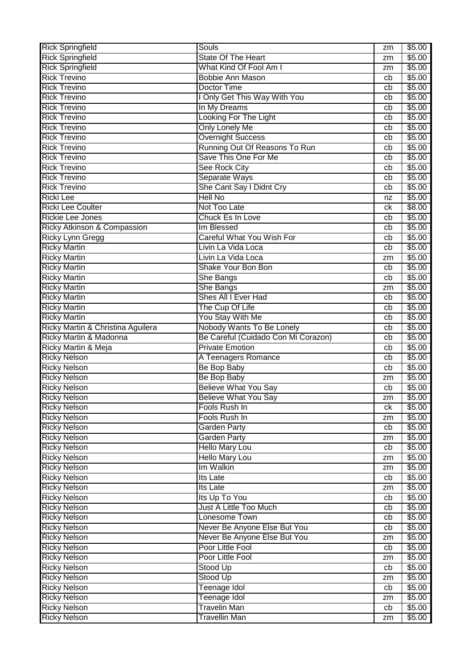| <b>Rick Springfield</b>                    | Souls                                                         | zm       | \$5.00           |
|--------------------------------------------|---------------------------------------------------------------|----------|------------------|
| <b>Rick Springfield</b>                    | State Of The Heart                                            | zm       | \$5.00           |
| <b>Rick Springfield</b>                    | What Kind Of Fool Am I                                        | zm       | \$5.00           |
| <b>Rick Trevino</b>                        | <b>Bobbie Ann Mason</b>                                       | cb       | \$5.00           |
| <b>Rick Trevino</b>                        | Doctor Time                                                   | cb       | \$5.00           |
| <b>Rick Trevino</b>                        | I Only Get This Way With You                                  | cb       | \$5.00           |
| <b>Rick Trevino</b>                        | In My Dreams                                                  | cb       | \$5.00           |
| <b>Rick Trevino</b>                        | Looking For The Light                                         | cb       | \$5.00           |
| <b>Rick Trevino</b>                        | <b>Only Lonely Me</b>                                         | cb       | \$5.00           |
| <b>Rick Trevino</b>                        | <b>Overnight Success</b>                                      | cb       | \$5.00           |
| <b>Rick Trevino</b>                        | Running Out Of Reasons To Run                                 | cb       | \$5.00           |
| <b>Rick Trevino</b>                        | Save This One For Me                                          | cb       | \$5.00           |
| <b>Rick Trevino</b>                        | <b>See Rock City</b>                                          | cb       | \$5.00           |
| <b>Rick Trevino</b>                        | Separate Ways                                                 | cb       | \$5.00           |
| <b>Rick Trevino</b>                        | She Cant Say I Didnt Cry                                      | cb       | \$5.00           |
| <b>Ricki Lee</b>                           | <b>Hell No</b>                                                | nz       | \$5.00           |
| <b>Ricki Lee Coulter</b>                   | Not Too Late                                                  | сk       | \$8.00           |
| <b>Rickie Lee Jones</b>                    | Chuck Es In Love                                              | cb       | \$5.00           |
| Ricky Atkinson & Compassion                | Im Blessed                                                    | cb       | \$5.00           |
| Ricky Lynn Gregg                           | Careful What You Wish For                                     | cb       | \$5.00           |
| <b>Ricky Martin</b>                        | Livin La Vida Loca                                            | cb       | \$5.00           |
| <b>Ricky Martin</b>                        | Livin La Vida Loca                                            | zm       | \$5.00           |
| <b>Ricky Martin</b>                        | Shake Your Bon Bon                                            | cb       | \$5.00           |
| <b>Ricky Martin</b>                        | She Bangs                                                     | cb       | \$5.00           |
| <b>Ricky Martin</b>                        | She Bangs                                                     | zm       | \$5.00           |
| <b>Ricky Martin</b>                        | Shes All I Ever Had                                           | cb       | \$5.00           |
| <b>Ricky Martin</b>                        | The Cup Of Life                                               | cb       | \$5.00           |
| <b>Ricky Martin</b>                        | You Stay With Me                                              | cb       | \$5.00           |
| Ricky Martin & Christina Aguilera          | Nobody Wants To Be Lonely                                     | cb       | \$5.00           |
|                                            |                                                               |          |                  |
|                                            |                                                               | cb       |                  |
| Ricky Martin & Madonna                     | Be Careful (Cuidado Con Mi Corazon)<br><b>Private Emotion</b> | cb       | \$5.00           |
| Ricky Martin & Meja                        |                                                               | сb       | \$5.00           |
| <b>Ricky Nelson</b>                        | A Teenagers Romance                                           | cb       | \$5.00           |
| <b>Ricky Nelson</b>                        | Be Bop Baby                                                   | zm       | \$5.00<br>\$5.00 |
| <b>Ricky Nelson</b>                        | Be Bop Baby                                                   | cb       |                  |
| <b>Ricky Nelson</b>                        | <b>Believe What You Say</b>                                   |          | \$5.00           |
| <b>Ricky Nelson</b>                        | <b>Believe What You Say</b>                                   | zm<br>сk | \$5.00           |
| <b>Ricky Nelson</b><br><b>Ricky Nelson</b> | Fools Rush In<br>Fools Rush In                                | zm       | \$5.00<br>\$5.00 |
|                                            |                                                               | cb       |                  |
| <b>Ricky Nelson</b><br><b>Ricky Nelson</b> | <b>Garden Party</b><br>Garden Party                           | zm       | \$5.00<br>\$5.00 |
| <b>Ricky Nelson</b>                        | <b>Hello Mary Lou</b>                                         | cb       | \$5.00           |
| <b>Ricky Nelson</b>                        | Hello Mary Lou                                                | zm       | \$5.00           |
| <b>Ricky Nelson</b>                        | Im Walkin                                                     | zm       | \$5.00           |
| <b>Ricky Nelson</b>                        | <b>Its Late</b>                                               | cb       | \$5.00           |
| <b>Ricky Nelson</b>                        | <b>Its Late</b>                                               | zm       | \$5.00           |
| <b>Ricky Nelson</b>                        | Its Up To You                                                 | cb       | \$5.00           |
|                                            | Just A Little Too Much                                        | cb       |                  |
| <b>Ricky Nelson</b><br><b>Ricky Nelson</b> | Lonesome Town                                                 | cb       | \$5.00<br>\$5.00 |
| <b>Ricky Nelson</b>                        | Never Be Anyone Else But You                                  | cb       | \$5.00           |
| <b>Ricky Nelson</b>                        | Never Be Anyone Else But You                                  | zm       | \$5.00           |
| <b>Ricky Nelson</b>                        | Poor Little Fool                                              | cb       | \$5.00           |
| <b>Ricky Nelson</b>                        | Poor Little Fool                                              | zm       | \$5.00           |
| <b>Ricky Nelson</b>                        | Stood Up                                                      | cb       | \$5.00           |
| <b>Ricky Nelson</b>                        | Stood Up                                                      | zm       | \$5.00           |
| <b>Ricky Nelson</b>                        | <b>Teenage Idol</b>                                           | cb       | \$5.00           |
| <b>Ricky Nelson</b>                        | <b>Teenage Idol</b>                                           | zm       | \$5.00           |
| <b>Ricky Nelson</b>                        | <b>Travelin Man</b>                                           | cb       | \$5.00           |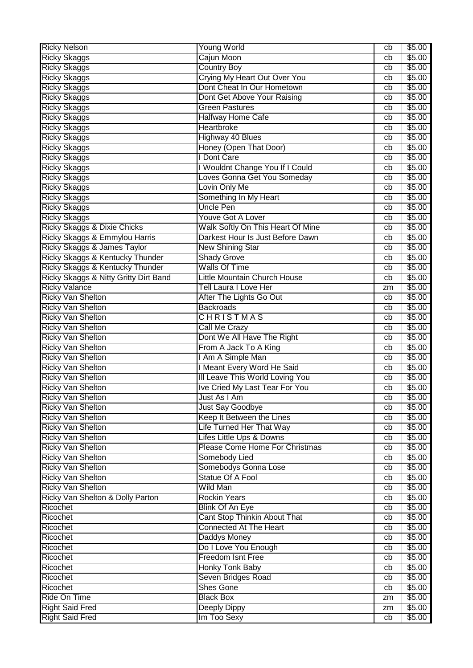| <b>Ricky Nelson</b>                    | <b>Young World</b>                | cb | \$5.00 |
|----------------------------------------|-----------------------------------|----|--------|
| <b>Ricky Skaggs</b>                    | Cajun Moon                        | cb | \$5.00 |
| <b>Ricky Skaggs</b>                    | <b>Country Boy</b>                | cb | \$5.00 |
| <b>Ricky Skaggs</b>                    | Crying My Heart Out Over You      | cb | \$5.00 |
| <b>Ricky Skaggs</b>                    | Dont Cheat In Our Hometown        | cb | \$5.00 |
| <b>Ricky Skaggs</b>                    | Dont Get Above Your Raising       | cb | \$5.00 |
| <b>Ricky Skaggs</b>                    | <b>Green Pastures</b>             | cb | \$5.00 |
| <b>Ricky Skaggs</b>                    | <b>Halfway Home Cafe</b>          | cb | \$5.00 |
| <b>Ricky Skaggs</b>                    | Heartbroke                        | cb | \$5.00 |
| <b>Ricky Skaggs</b>                    | <b>Highway 40 Blues</b>           | cb | \$5.00 |
| <b>Ricky Skaggs</b>                    | Honey (Open That Door)            | cb | \$5.00 |
| <b>Ricky Skaggs</b>                    | <b>I Dont Care</b>                | cb | \$5.00 |
| <b>Ricky Skaggs</b>                    | I Wouldnt Change You If I Could   | cb | \$5.00 |
| <b>Ricky Skaggs</b>                    | Loves Gonna Get You Someday       | cb | \$5.00 |
| <b>Ricky Skaggs</b>                    | Lovin Only Me                     | cb | \$5.00 |
| <b>Ricky Skaggs</b>                    | Something In My Heart             | cb | \$5.00 |
| <b>Ricky Skaggs</b>                    | <b>Uncle Pen</b>                  | cb | \$5.00 |
| <b>Ricky Skaggs</b>                    | <b>Youve Got A Lover</b>          | cb | \$5.00 |
| <b>Ricky Skaggs &amp; Dixie Chicks</b> | Walk Softly On This Heart Of Mine | cb | \$5.00 |
| Ricky Skaggs & Emmylou Harris          | Darkest Hour Is Just Before Dawn  | cb | \$5.00 |
| Ricky Skaggs & James Taylor            | <b>New Shining Star</b>           | cb | \$5.00 |
| Ricky Skaggs & Kentucky Thunder        | <b>Shady Grove</b>                | cb | \$5.00 |
| Ricky Skaggs & Kentucky Thunder        | <b>Walls Of Time</b>              | cb | \$5.00 |
| Ricky Skaggs & Nitty Gritty Dirt Band  | Little Mountain Church House      | cb | \$5.00 |
| <b>Ricky Valance</b>                   | Tell Laura I Love Her             | zm | \$5.00 |
| <b>Ricky Van Shelton</b>               | After The Lights Go Out           | cb | \$5.00 |
| <b>Ricky Van Shelton</b>               | <b>Backroads</b>                  | cb | \$5.00 |
| <b>Ricky Van Shelton</b>               | CHRISTMAS                         | cb | \$5.00 |
| <b>Ricky Van Shelton</b>               | Call Me Crazy                     | cb | \$5.00 |
| <b>Ricky Van Shelton</b>               | Dont We All Have The Right        | cb | \$5.00 |
| <b>Ricky Van Shelton</b>               | From A Jack To A King             | cb | \$5.00 |
| <b>Ricky Van Shelton</b>               | I Am A Simple Man                 | cb | \$5.00 |
| <b>Ricky Van Shelton</b>               | I Meant Every Word He Said        | cb | \$5.00 |
| <b>Ricky Van Shelton</b>               | Ill Leave This World Loving You   | cb | \$5.00 |
| <b>Ricky Van Shelton</b>               | Ive Cried My Last Tear For You    | cb | \$5.00 |
| <b>Ricky Van Shelton</b>               | Just As I Am                      | cb | \$5.00 |
| <b>Ricky Van Shelton</b>               | <b>Just Say Goodbye</b>           | cb | \$5.00 |
| <b>Ricky Van Shelton</b>               | Keep It Between the Lines         | cb | \$5.00 |
| <b>Ricky Van Shelton</b>               | Life Turned Her That Way          | cb | \$5.00 |
| <b>Ricky Van Shelton</b>               | Lifes Little Ups & Downs          | cb | \$5.00 |
| <b>Ricky Van Shelton</b>               | Please Come Home For Christmas    | cb | \$5.00 |
| <b>Ricky Van Shelton</b>               | Somebody Lied                     | cb | \$5.00 |
| <b>Ricky Van Shelton</b>               | Somebodys Gonna Lose              | cb | \$5.00 |
| <b>Ricky Van Shelton</b>               | Statue Of A Fool                  | cb | \$5.00 |
| Ricky Van Shelton                      | <b>Wild Man</b>                   | cb | \$5.00 |
| Ricky Van Shelton & Dolly Parton       | <b>Rockin Years</b>               | cb | \$5.00 |
| Ricochet                               | <b>Blink Of An Eye</b>            | cb | \$5.00 |
| Ricochet                               | Cant Stop Thinkin About That      | cb | \$5.00 |
| Ricochet                               | <b>Connected At The Heart</b>     | cb | \$5.00 |
| Ricochet                               | Daddys Money                      | cb | \$5.00 |
| Ricochet                               | Do I Love You Enough              | cb | \$5.00 |
| Ricochet                               | <b>Freedom Isnt Free</b>          | cb | \$5.00 |
| Ricochet                               | <b>Honky Tonk Baby</b>            | cb | \$5.00 |
| Ricochet                               | Seven Bridges Road                | cb | \$5.00 |
| Ricochet                               | <b>Shes Gone</b>                  | cb | \$5.00 |
| Ride On Time                           | <b>Black Box</b>                  | zm | \$5.00 |
| <b>Right Said Fred</b>                 | Deeply Dippy                      | zm | \$5.00 |
| <b>Right Said Fred</b>                 | Im Too Sexy                       | cb | \$5.00 |
|                                        |                                   |    |        |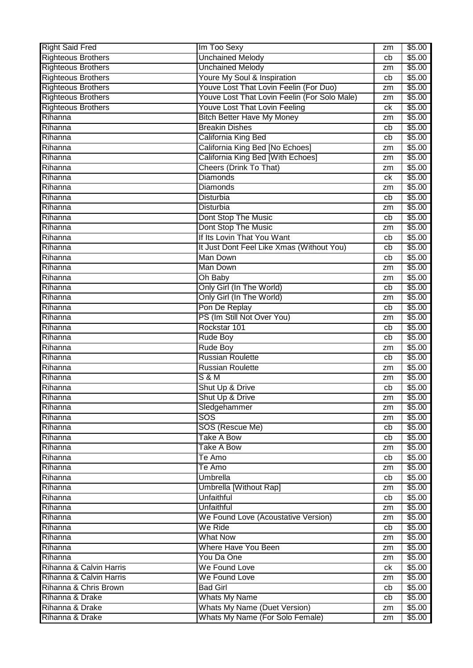| <b>Right Said Fred</b>    | Im Too Sexy                                  | zm | \$5.00           |
|---------------------------|----------------------------------------------|----|------------------|
| <b>Righteous Brothers</b> | <b>Unchained Melody</b>                      | cb | \$5.00           |
| <b>Righteous Brothers</b> | <b>Unchained Melody</b>                      | zm | \$5.00           |
| <b>Righteous Brothers</b> | Youre My Soul & Inspiration                  | cb | \$5.00           |
| <b>Righteous Brothers</b> | Youve Lost That Lovin Feelin (For Duo)       | zm | \$5.00           |
| <b>Righteous Brothers</b> | Youve Lost That Lovin Feelin (For Solo Male) | zm | \$5.00           |
| <b>Righteous Brothers</b> | Youve Lost That Lovin Feeling                | ck | \$5.00           |
| Rihanna                   | <b>Bitch Better Have My Money</b>            | zm | \$5.00           |
| Rihanna                   | <b>Breakin Dishes</b>                        | cb | \$5.00           |
| Rihanna                   | California King Bed                          | cb | \$5.00           |
| Rihanna                   | California King Bed [No Echoes]              | zm | \$5.00           |
| Rihanna                   | California King Bed [With Echoes]            | zm | \$5.00           |
| Rihanna                   | <b>Cheers (Drink To That)</b>                | zm | \$5.00           |
| Rihanna                   | <b>Diamonds</b>                              | ck | \$5.00           |
| Rihanna                   | <b>Diamonds</b>                              | zm | \$5.00           |
| Rihanna                   | <b>Disturbia</b>                             | cb | \$5.00           |
| Rihanna                   | Disturbia                                    | zm | \$5.00           |
| Rihanna                   | Dont Stop The Music                          | cb | \$5.00           |
| Rihanna                   | Dont Stop The Music                          | zm | \$5.00           |
| Rihanna                   | If Its Lovin That You Want                   | cb | \$5.00           |
| Rihanna                   | It Just Dont Feel Like Xmas (Without You)    | cb | \$5.00           |
| Rihanna                   | <b>Man Down</b>                              | cb | \$5.00           |
| Rihanna                   | Man Down                                     | zm | \$5.00           |
| Rihanna                   | Oh Baby                                      | zm | \$5.00           |
| Rihanna                   | Only Girl (In The World)                     | cb | \$5.00           |
| Rihanna                   | Only Girl (In The World)                     | zm | \$5.00           |
| Rihanna                   | Pon De Replay                                | cb | \$5.00           |
| Rihanna                   | PS (Im Still Not Over You)                   | zm | \$5.00           |
| Rihanna                   | Rockstar 101                                 | cb | \$5.00           |
| Rihanna                   | <b>Rude Boy</b>                              | cb | \$5.00           |
| Rihanna                   | <b>Rude Boy</b>                              | zm | \$5.00           |
| Rihanna                   | <b>Russian Roulette</b>                      | cb | \$5.00           |
| Rihanna                   | <b>Russian Roulette</b>                      |    | \$5.00           |
| Rihanna                   | <b>S&amp;M</b>                               | zm | \$5.00           |
| Rihanna                   | Shut Up & Drive                              | zm | \$5.00           |
| Rihanna                   | Shut Up & Drive                              | cb | \$5.00           |
|                           |                                              | zm | \$5.00           |
| Rihanna                   | Sledgehammer<br><b>SOS</b>                   | zm | \$5.00           |
| Rihanna<br>Rihanna        | SOS (Rescue Me)                              | zm | \$5.00           |
|                           | <b>Take A Bow</b>                            | cb | \$5.00           |
| Rihanna                   | Take A Bow                                   | cb |                  |
| Rihanna                   |                                              | zm | \$5.00           |
| Rihanna                   | Te Amo                                       | cb | \$5.00           |
| Rihanna<br>Rihanna        | Te Amo<br><b>Umbrella</b>                    | zm | \$5.00<br>\$5.00 |
|                           |                                              | cb |                  |
| Rihanna                   | Umbrella [Without Rap]                       | zm | \$5.00           |
| Rihanna                   | Unfaithful                                   | cb | \$5.00           |
| Rihanna                   | Unfaithful                                   | zm | \$5.00           |
| Rihanna                   | We Found Love (Acoustative Version)          | zm | \$5.00           |
| Rihanna                   | We Ride                                      | cb | \$5.00           |
| Rihanna                   | <b>What Now</b>                              | zm | \$5.00           |
| Rihanna                   | Where Have You Been                          | zm | \$5.00           |
| Rihanna                   | You Da One                                   | zm | \$5.00           |
| Rihanna & Calvin Harris   | We Found Love                                | ck | \$5.00           |
| Rihanna & Calvin Harris   | We Found Love                                | zm | \$5.00           |
| Rihanna & Chris Brown     | <b>Bad Girl</b>                              | cb | \$5.00           |
| Rihanna & Drake           | <b>Whats My Name</b>                         | cb | \$5.00           |
| Rihanna & Drake           | <b>Whats My Name (Duet Version)</b>          | zm | \$5.00           |
| Rihanna & Drake           | Whats My Name (For Solo Female)              | zm | \$5.00           |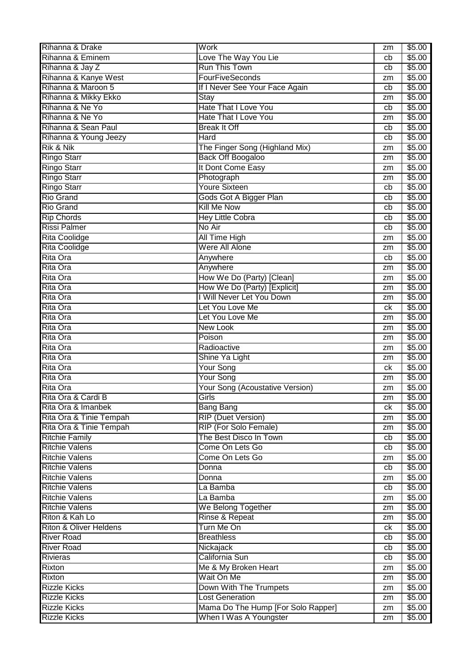| Rihanna & Drake                   | Work                                   | zm | \$5.00 |
|-----------------------------------|----------------------------------------|----|--------|
| Rihanna & Eminem                  | Love The Way You Lie                   | cb | \$5.00 |
| Rihanna & Jay Z                   | <b>Run This Town</b>                   | cb | \$5.00 |
| Rihanna & Kanye West              | <b>FourFiveSeconds</b>                 | zm | \$5.00 |
| Rihanna & Maroon 5                | If I Never See Your Face Again         | cb | \$5.00 |
| Rihanna & Mikky Ekko              | Stay                                   | zm | \$5.00 |
| Rihanna & Ne Yo                   | <b>Hate That I Love You</b>            | cb | \$5.00 |
| Rihanna & Ne Yo                   | <b>Hate That I Love You</b>            | zm | \$5.00 |
| Rihanna & Sean Paul               | <b>Break It Off</b>                    | cb | \$5.00 |
| Rihanna & Young Jeezy             | Hard                                   | cb | \$5.00 |
| <b>Rik &amp; Nik</b>              | The Finger Song (Highland Mix)         | zm | \$5.00 |
| <b>Ringo Starr</b>                | <b>Back Off Boogaloo</b>               | zm | \$5.00 |
| <b>Ringo Starr</b>                | It Dont Come Easy                      | zm | \$5.00 |
| <b>Ringo Starr</b>                | Photograph                             | zm | \$5.00 |
| <b>Ringo Starr</b>                | <b>Youre Sixteen</b>                   | cb | \$5.00 |
| <b>Rio Grand</b>                  | Gods Got A Bigger Plan                 | cb | \$5.00 |
| <b>Rio Grand</b>                  | <b>Kill Me Now</b>                     | cb | \$5.00 |
| <b>Rip Chords</b>                 | <b>Hey Little Cobra</b>                | cb | \$5.00 |
| <b>Rissi Palmer</b>               | No Air                                 | cb | \$5.00 |
| <b>Rita Coolidge</b>              | <b>All Time High</b>                   | zm | \$5.00 |
| <b>Rita Coolidge</b>              | Were All Alone                         | zm | \$5.00 |
| Rita Ora                          | Anywhere                               | cb | \$5.00 |
| <b>Rita Ora</b>                   | Anywhere                               | zm | \$5.00 |
| Rita Ora                          | How We Do (Party) [Clean]              | zm | \$5.00 |
| <b>Rita Ora</b>                   | How We Do (Party) [Explicit]           | zm | \$5.00 |
| <b>Rita Ora</b>                   | I Will Never Let You Down              | zm | \$5.00 |
| <b>Rita Ora</b>                   | Let You Love Me                        | сk | \$5.00 |
| <b>Rita Ora</b>                   | Let You Love Me                        | zm | \$5.00 |
| <b>Rita Ora</b>                   | <b>New Look</b>                        | zm | \$5.00 |
| <b>Rita Ora</b>                   | Poison                                 | zm | \$5.00 |
| <b>Rita Ora</b>                   | Radioactive                            | zm | \$5.00 |
| <b>Rita Ora</b>                   | Shine Ya Light                         | zm | \$5.00 |
| <b>Rita Ora</b>                   | <b>Your Song</b>                       | сk | \$5.00 |
| Rita Ora                          | Your Song                              | zm | \$5.00 |
| Rita Ora                          | <b>Your Song (Acoustative Version)</b> | zm | \$5.00 |
| Rita Ora & Cardi B                | Girls                                  | zm | \$5.00 |
| Rita Ora & Imanbek                | <b>Bang Bang</b>                       | ck | \$5.00 |
| Rita Ora & Tinie Tempah           | <b>RIP (Duet Version)</b>              | zm | \$5.00 |
| Rita Ora & Tinie Tempah           | <b>RIP (For Solo Female)</b>           | zm | \$5.00 |
| <b>Ritchie Family</b>             | The Best Disco In Town                 | cb | \$5.00 |
| <b>Ritchie Valens</b>             | Come On Lets Go                        | cb | \$5.00 |
| <b>Ritchie Valens</b>             | Come On Lets Go                        | zm | \$5.00 |
| <b>Ritchie Valens</b>             | Donna                                  | cb | \$5.00 |
| <b>Ritchie Valens</b>             | Donna                                  | zm | \$5.00 |
| <b>Ritchie Valens</b>             | La Bamba                               | cb | \$5.00 |
| <b>Ritchie Valens</b>             | La Bamba                               | zm | \$5.00 |
| <b>Ritchie Valens</b>             | We Belong Together                     | zm | \$5.00 |
| Riton & Kah Lo                    | Rinse & Repeat                         | zm | \$5.00 |
| <b>Riton &amp; Oliver Heldens</b> | Turn Me On                             | ck | \$5.00 |
| <b>River Road</b>                 | <b>Breathless</b>                      | cb | \$5.00 |
| <b>River Road</b>                 | Nickajack                              | cb | \$5.00 |
| <b>Rivieras</b>                   | California Sun                         | cb | \$5.00 |
| Rixton                            | Me & My Broken Heart                   | zm | \$5.00 |
| Rixton                            | Wait On Me                             | zm | \$5.00 |
| <b>Rizzle Kicks</b>               | Down With The Trumpets                 | zm | \$5.00 |
| <b>Rizzle Kicks</b>               | <b>Lost Generation</b>                 | zm | \$5.00 |
| <b>Rizzle Kicks</b>               | Mama Do The Hump [For Solo Rapper]     | zm | \$5.00 |
| <b>Rizzle Kicks</b>               | When I Was A Youngster                 | zm | \$5.00 |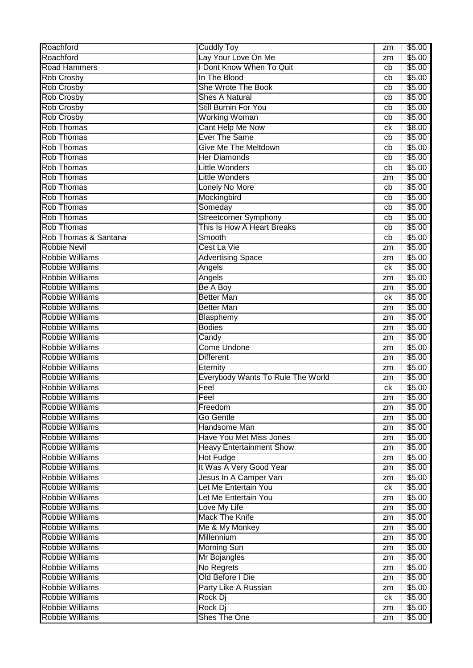| Roachford              | <b>Cuddly Toy</b>                 | zm | \$5.00 |
|------------------------|-----------------------------------|----|--------|
| Roachford              | Lay Your Love On Me               | zm | \$5.00 |
| <b>Road Hammers</b>    | <b>I Dont Know When To Quit</b>   | cb | \$5.00 |
| <b>Rob Crosby</b>      | In The Blood                      | cb | \$5.00 |
| <b>Rob Crosby</b>      | She Wrote The Book                | cb | \$5.00 |
| <b>Rob Crosby</b>      | <b>Shes A Natural</b>             | cb | \$5.00 |
| <b>Rob Crosby</b>      | Still Burnin For You              | cb | \$5.00 |
| <b>Rob Crosby</b>      | <b>Working Woman</b>              | cb | \$5.00 |
| <b>Rob Thomas</b>      | Cant Help Me Now                  | ck | \$8.00 |
| <b>Rob Thomas</b>      | <b>Ever The Same</b>              | cb | \$5.00 |
| <b>Rob Thomas</b>      | <b>Give Me The Meltdown</b>       | cb | \$5.00 |
| <b>Rob Thomas</b>      | <b>Her Diamonds</b>               | cb | \$5.00 |
| <b>Rob Thomas</b>      | <b>Little Wonders</b>             | cb | \$5.00 |
| <b>Rob Thomas</b>      | <b>Little Wonders</b>             | zm | \$5.00 |
| <b>Rob Thomas</b>      | Lonely No More                    | cb | \$5.00 |
| <b>Rob Thomas</b>      | Mockingbird                       | cb | \$5.00 |
| <b>Rob Thomas</b>      | Someday                           | cb | \$5.00 |
| <b>Rob Thomas</b>      | <b>Streetcorner Symphony</b>      | cb | \$5.00 |
| <b>Rob Thomas</b>      | This Is How A Heart Breaks        | cb | \$5.00 |
| Rob Thomas & Santana   | Smooth                            | cb | \$5.00 |
| <b>Robbie Nevil</b>    | Cest La Vie                       | zm | \$5.00 |
| <b>Robbie Williams</b> | <b>Advertising Space</b>          | zm | \$5.00 |
| <b>Robbie Williams</b> | Angels                            | ck | \$5.00 |
| <b>Robbie Williams</b> | Angels                            | zm | \$5.00 |
| <b>Robbie Williams</b> | Be A Boy                          | zm | \$5.00 |
| <b>Robbie Williams</b> | <b>Better Man</b>                 | ck | \$5.00 |
| <b>Robbie Williams</b> | <b>Better Man</b>                 | zm | \$5.00 |
| <b>Robbie Williams</b> | Blasphemy                         | zm | \$5.00 |
| <b>Robbie Williams</b> | <b>Bodies</b>                     | zm | \$5.00 |
| <b>Robbie Williams</b> | Candy                             | zm | \$5.00 |
| <b>Robbie Williams</b> | <b>Come Undone</b>                | zm | \$5.00 |
| Robbie Williams        | <b>Different</b>                  | zm | \$5.00 |
| <b>Robbie Williams</b> | Eternity                          | zm | \$5.00 |
| <b>Robbie Williams</b> | Everybody Wants To Rule The World | zm | \$5.00 |
| <b>Robbie Williams</b> | Feel                              | ck | \$5.00 |
| <b>Robbie Williams</b> | Feel                              | zm | \$5.00 |
| <b>Robbie Williams</b> | Freedom                           | zm | \$5.00 |
| <b>Robbie Williams</b> | Go Gentle                         |    | \$5.00 |
| <b>Robbie Williams</b> |                                   | zm |        |
|                        | Handsome Man                      | zm | \$5.00 |
| <b>Robbie Williams</b> | <b>Have You Met Miss Jones</b>    | zm | \$5.00 |
| Robbie Williams        | <b>Heavy Entertainment Show</b>   | zm | \$5.00 |
| <b>Robbie Williams</b> | <b>Hot Fudge</b>                  | zm | \$5.00 |
| <b>Robbie Williams</b> | It Was A Very Good Year           | zm | \$5.00 |
| <b>Robbie Williams</b> | Jesus In A Camper Van             | zm | \$5.00 |
| <b>Robbie Williams</b> | Let Me Entertain You              | ck | \$5.00 |
| <b>Robbie Williams</b> | Let Me Entertain You              | zm | \$5.00 |
| <b>Robbie Williams</b> | Love My Life                      | zm | \$5.00 |
| <b>Robbie Williams</b> | <b>Mack The Knife</b>             | zm | \$5.00 |
| <b>Robbie Williams</b> | Me & My Monkey                    | zm | \$5.00 |
| <b>Robbie Williams</b> | Millennium                        | zm | \$5.00 |
| <b>Robbie Williams</b> | <b>Morning Sun</b>                | zm | \$5.00 |
| <b>Robbie Williams</b> | Mr Bojangles                      | zm | \$5.00 |
| <b>Robbie Williams</b> | No Regrets                        | zm | \$5.00 |
| <b>Robbie Williams</b> | Old Before I Die                  | zm | \$5.00 |
| <b>Robbie Williams</b> | Party Like A Russian              | zm | \$5.00 |
| <b>Robbie Williams</b> | Rock Dj                           | ck | \$5.00 |
| <b>Robbie Williams</b> | Rock Dj                           | zm | \$5.00 |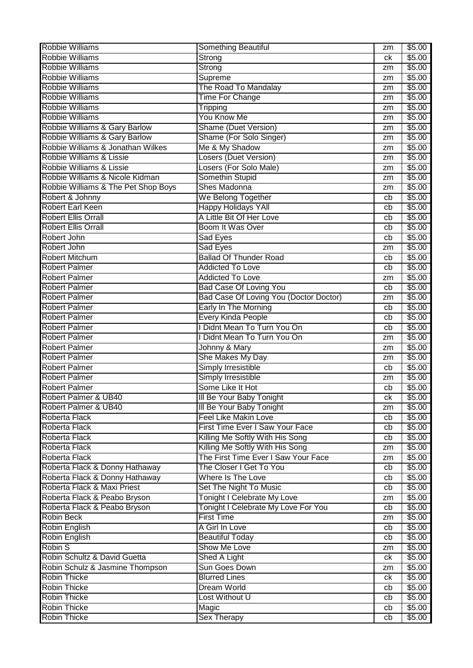| <b>Robbie Williams</b>              | Something Beautiful                    | zm               | \$5.00 |
|-------------------------------------|----------------------------------------|------------------|--------|
| <b>Robbie Williams</b>              | Strong                                 | сk               | \$5.00 |
| <b>Robbie Williams</b>              | Strong                                 | zm               | \$5.00 |
| <b>Robbie Williams</b>              | Supreme                                | zm               | \$5.00 |
| <b>Robbie Williams</b>              | The Road To Mandalay                   | zm               | \$5.00 |
| <b>Robbie Williams</b>              | <b>Time For Change</b>                 | zm               | \$5.00 |
| <b>Robbie Williams</b>              | <b>Tripping</b>                        | zm               | \$5.00 |
| <b>Robbie Williams</b>              | <b>You Know Me</b>                     | zm               | \$5.00 |
| Robbie Williams & Gary Barlow       | <b>Shame (Duet Version)</b>            | zm               | \$5.00 |
| Robbie Williams & Gary Barlow       | Shame (For Solo Singer)                | zm               | \$5.00 |
| Robbie Williams & Jonathan Wilkes   | Me & My Shadow                         | zm               | \$5.00 |
| Robbie Williams & Lissie            | <b>Losers (Duet Version)</b>           | zm               | \$5.00 |
| Robbie Williams & Lissie            | Losers (For Solo Male)                 | zm               | \$5.00 |
| Robbie Williams & Nicole Kidman     | Somethin Stupid                        | zm               | \$5.00 |
| Robbie Williams & The Pet Shop Boys | Shes Madonna                           | zm               | \$5.00 |
| Robert & Johnny                     | We Belong Together                     | cb               | \$5.00 |
| <b>Robert Earl Keen</b>             | <b>Happy Holidays YAll</b>             | cb               | \$5.00 |
| <b>Robert Ellis Orrall</b>          | A Little Bit Of Her Love               | cb               | \$5.00 |
| <b>Robert Ellis Orrall</b>          | Boom It Was Over                       | cb               | \$5.00 |
| Robert John                         | Sad Eyes                               | cb               | \$5.00 |
| Robert John                         | Sad Eyes                               | zm               | \$5.00 |
| <b>Robert Mitchum</b>               | <b>Ballad Of Thunder Road</b>          | cb               | \$5.00 |
| <b>Robert Palmer</b>                | <b>Addicted To Love</b>                | cb               | \$5.00 |
| <b>Robert Palmer</b>                | <b>Addicted To Love</b>                | zm               | \$5.00 |
| <b>Robert Palmer</b>                | <b>Bad Case Of Loving You</b>          | cb               | \$5.00 |
| <b>Robert Palmer</b>                | Bad Case Of Loving You (Doctor Doctor) | zm               | \$5.00 |
| <b>Robert Palmer</b>                | Early In The Morning                   | cb               | \$5.00 |
| <b>Robert Palmer</b>                | <b>Every Kinda People</b>              | cb               | \$5.00 |
| <b>Robert Palmer</b>                | Didnt Mean To Turn You On              | cb               | \$5.00 |
| <b>Robert Palmer</b>                | Didnt Mean To Turn You On              | zm               | \$5.00 |
| <b>Robert Palmer</b>                | Johnny & Mary                          | zm               | \$5.00 |
| <b>Robert Palmer</b>                | She Makes My Day                       | zm               | \$5.00 |
| <b>Robert Palmer</b>                | <b>Simply Irresistible</b>             | cb               | \$5.00 |
| <b>Robert Palmer</b>                | Simply Irresistible                    | zm               | \$5.00 |
| <b>Robert Palmer</b>                | Some Like It Hot                       | cb               | \$5.00 |
| Robert Palmer & UB40                | III Be Your Baby Tonight               | $c_{\mathsf{K}}$ | \$5.00 |
| Robert Palmer & UB40                | III Be Your Baby Tonight               | zm               | \$5.00 |
| Roberta Flack                       | <b>Feel Like Makin Love</b>            | cb               | \$5.00 |
| Roberta Flack                       | First Time Ever I Saw Your Face        | cb               | \$5.00 |
| Roberta Flack                       | Killing Me Softly With His Song        | cb               | \$5.00 |
| Roberta Flack                       | Killing Me Softly With His Song        | zm               | \$5.00 |
| Roberta Flack                       | The First Time Ever I Saw Your Face    | zm               | \$5.00 |
| Roberta Flack & Donny Hathaway      | The Closer I Get To You                | cb               | \$5.00 |
| Roberta Flack & Donny Hathaway      | Where Is The Love                      | cb               | \$5.00 |
| Roberta Flack & Maxi Priest         | Set The Night To Music                 | cb               | \$5.00 |
| Roberta Flack & Peabo Bryson        | <b>Tonight I Celebrate My Love</b>     | zm               | \$5.00 |
| Roberta Flack & Peabo Bryson        | Tonight I Celebrate My Love For You    | cb               | \$5.00 |
| <b>Robin Beck</b>                   | <b>First Time</b>                      | zm               | \$5.00 |
| Robin English                       | A Girl In Love                         | cb               | \$5.00 |
| Robin English                       | <b>Beautiful Today</b>                 | cb               | \$5.00 |
| Robin S                             | Show Me Love                           | zm               | \$5.00 |
| Robin Schultz & David Guetta        | Shed A Light                           | ck               | \$5.00 |
| Robin Schulz & Jasmine Thompson     | <b>Sun Goes Down</b>                   | zm               | \$5.00 |
| <b>Robin Thicke</b>                 | <b>Blurred Lines</b>                   | ck               | \$5.00 |
| <b>Robin Thicke</b>                 | <b>Dream World</b>                     | cb               | \$5.00 |
| <b>Robin Thicke</b>                 | Lost Without U                         | cb               | \$5.00 |
| <b>Robin Thicke</b>                 | Magic                                  | cb               | \$5.00 |
| <b>Robin Thicke</b>                 | <b>Sex Therapy</b>                     | cb               | \$5.00 |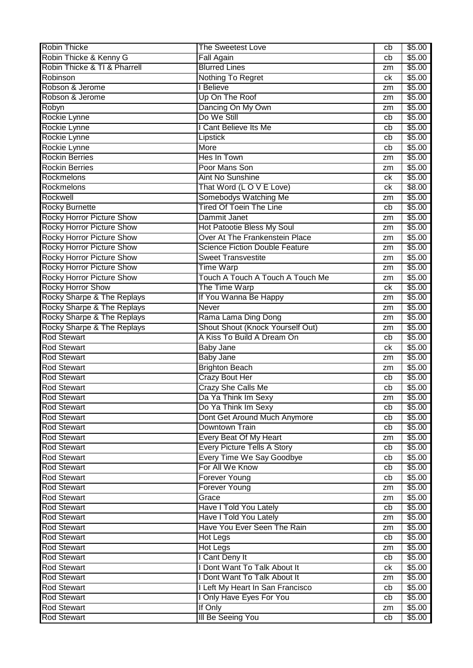| <b>Robin Thicke</b>              | <b>The Sweetest Love</b>              | cb | \$5.00 |
|----------------------------------|---------------------------------------|----|--------|
| Robin Thicke & Kenny G           | <b>Fall Again</b>                     | cb | \$5.00 |
| Robin Thicke & TI & Pharrell     | <b>Blurred Lines</b>                  | zm | \$5.00 |
| Robinson                         | Nothing To Regret                     | ck | \$5.00 |
| Robson & Jerome                  | I Believe                             | zm | \$5.00 |
| Robson & Jerome                  | Up On The Roof                        | zm | \$5.00 |
| Robyn                            | Dancing On My Own                     | zm | \$5.00 |
| Rockie Lynne                     | Do We Still                           | cb | \$5.00 |
| Rockie Lynne                     | I Cant Believe Its Me                 | cb | \$5.00 |
| Rockie Lynne                     | Lipstick                              | cb | \$5.00 |
| Rockie Lynne                     | More                                  | cb | \$5.00 |
| <b>Rockin Berries</b>            | Hes In Town                           | zm | \$5.00 |
| <b>Rockin Berries</b>            | Poor Mans Son                         | zm | \$5.00 |
| Rockmelons                       | <b>Aint No Sunshine</b>               | ck | \$5.00 |
| Rockmelons                       | That Word (LOVE Love)                 | ck | \$8.00 |
| Rockwell                         | Somebodys Watching Me                 | zm | \$5.00 |
| <b>Rocky Burnette</b>            | <b>Tired Of Toein The Line</b>        | cb | \$5.00 |
| <b>Rocky Horror Picture Show</b> | Dammit Janet                          | zm | \$5.00 |
| <b>Rocky Horror Picture Show</b> | Hot Patootie Bless My Soul            | zm | \$5.00 |
| <b>Rocky Horror Picture Show</b> | Over At The Frankenstein Place        | zm | \$5.00 |
| <b>Rocky Horror Picture Show</b> | <b>Science Fiction Double Feature</b> | zm | \$5.00 |
| <b>Rocky Horror Picture Show</b> | <b>Sweet Transvestite</b>             |    | \$5.00 |
| <b>Rocky Horror Picture Show</b> | <b>Time Warp</b>                      | zm | \$5.00 |
|                                  | Touch A Touch A Touch A Touch Me      | zm |        |
| <b>Rocky Horror Picture Show</b> |                                       | zm | \$5.00 |
| <b>Rocky Horror Show</b>         | The Time Warp                         | ck | \$5.00 |
| Rocky Sharpe & The Replays       | If You Wanna Be Happy                 | zm | \$5.00 |
| Rocky Sharpe & The Replays       | <b>Never</b>                          | zm | \$5.00 |
| Rocky Sharpe & The Replays       | Rama Lama Ding Dong                   | zm | \$5.00 |
| Rocky Sharpe & The Replays       | Shout Shout (Knock Yourself Out)      | zm | \$5.00 |
| <b>Rod Stewart</b>               | A Kiss To Build A Dream On            | cb | \$5.00 |
| <b>Rod Stewart</b>               | <b>Baby Jane</b>                      | ck | \$5.00 |
| <b>Rod Stewart</b>               | Baby Jane                             | zm | \$5.00 |
| <b>Rod Stewart</b>               | <b>Brighton Beach</b>                 | zm | \$5.00 |
| <b>Rod Stewart</b>               | Crazy Bout Her                        | cb | \$5.00 |
| <b>Rod Stewart</b>               | <b>Crazy She Calls Me</b>             | cb | \$5.00 |
| <b>Rod Stewart</b>               | Da Ya Think Im Sexy                   | zm | \$5.00 |
| <b>Rod Stewart</b>               | Do Ya Think Im Sexy                   | cb | \$5.00 |
| <b>Rod Stewart</b>               | Dont Get Around Much Anymore          | cb | \$5.00 |
| <b>Rod Stewart</b>               | Downtown Train                        | cb | \$5.00 |
| <b>Rod Stewart</b>               | Every Beat Of My Heart                | zm | \$5.00 |
| <b>Rod Stewart</b>               | <b>Every Picture Tells A Story</b>    | cb | \$5.00 |
| <b>Rod Stewart</b>               | Every Time We Say Goodbye             | cb | \$5.00 |
| <b>Rod Stewart</b>               | For All We Know                       | cb | \$5.00 |
| <b>Rod Stewart</b>               | <b>Forever Young</b>                  | cb | \$5.00 |
| <b>Rod Stewart</b>               | <b>Forever Young</b>                  | zm | \$5.00 |
| <b>Rod Stewart</b>               | Grace                                 | zm | \$5.00 |
| <b>Rod Stewart</b>               | Have I Told You Lately                | cb | \$5.00 |
| <b>Rod Stewart</b>               | Have I Told You Lately                | zm | \$5.00 |
| <b>Rod Stewart</b>               | Have You Ever Seen The Rain           | zm | \$5.00 |
| <b>Rod Stewart</b>               | <b>Hot Legs</b>                       | cb | \$5.00 |
| <b>Rod Stewart</b>               | <b>Hot Legs</b>                       | zm | \$5.00 |
| <b>Rod Stewart</b>               | I Cant Deny It                        | cb | \$5.00 |
| <b>Rod Stewart</b>               | I Dont Want To Talk About It          | ck | \$5.00 |
| <b>Rod Stewart</b>               | I Dont Want To Talk About It          | zm | \$5.00 |
| <b>Rod Stewart</b>               | I Left My Heart In San Francisco      | cb | \$5.00 |
| <b>Rod Stewart</b>               | I Only Have Eyes For You              | cb | \$5.00 |
| <b>Rod Stewart</b>               | If Only                               | zm | \$5.00 |
| <b>Rod Stewart</b>               | <b>III Be Seeing You</b>              | cb | \$5.00 |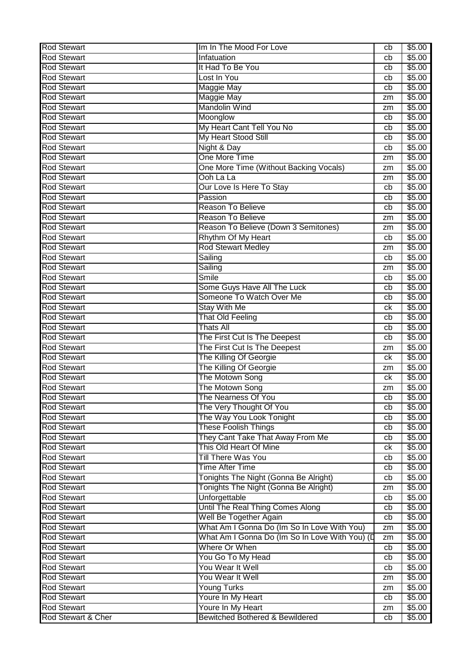| <b>Rod Stewart</b> | Im In The Mood For Love                        | cb | \$5.00 |
|--------------------|------------------------------------------------|----|--------|
| <b>Rod Stewart</b> | Infatuation                                    | cb | \$5.00 |
| <b>Rod Stewart</b> | It Had To Be You                               | cb | \$5.00 |
| <b>Rod Stewart</b> | Lost In You                                    | cb | \$5.00 |
| <b>Rod Stewart</b> | <b>Maggie May</b>                              | cb | \$5.00 |
| <b>Rod Stewart</b> | <b>Maggie May</b>                              | zm | \$5.00 |
| <b>Rod Stewart</b> | <b>Mandolin Wind</b>                           | zm | \$5.00 |
| <b>Rod Stewart</b> | Moonglow                                       | cb | \$5.00 |
| <b>Rod Stewart</b> | My Heart Cant Tell You No                      | cb | \$5.00 |
| <b>Rod Stewart</b> | My Heart Stood Still                           | cb | \$5.00 |
| <b>Rod Stewart</b> | Night & Day                                    | cb | \$5.00 |
| <b>Rod Stewart</b> | One More Time                                  | zm | \$5.00 |
| <b>Rod Stewart</b> | One More Time (Without Backing Vocals)         | zm | \$5.00 |
| <b>Rod Stewart</b> | Ooh La La                                      | zm | \$5.00 |
| <b>Rod Stewart</b> | Our Love Is Here To Stay                       | cb | \$5.00 |
| <b>Rod Stewart</b> | Passion                                        | cb | \$5.00 |
| <b>Rod Stewart</b> | <b>Reason To Believe</b>                       | cb | \$5.00 |
| <b>Rod Stewart</b> | <b>Reason To Believe</b>                       |    | \$5.00 |
| <b>Rod Stewart</b> |                                                | zm |        |
| <b>Rod Stewart</b> | Reason To Believe (Down 3 Semitones)           | zm | \$5.00 |
|                    | Rhythm Of My Heart                             | cb | \$5.00 |
| <b>Rod Stewart</b> | <b>Rod Stewart Medley</b>                      | zm | \$5.00 |
| <b>Rod Stewart</b> | Sailing                                        | cb | \$5.00 |
| <b>Rod Stewart</b> | Sailing                                        | zm | \$5.00 |
| <b>Rod Stewart</b> | <b>Smile</b>                                   | cb | \$5.00 |
| <b>Rod Stewart</b> | Some Guys Have All The Luck                    | cb | \$5.00 |
| <b>Rod Stewart</b> | Someone To Watch Over Me                       | cb | \$5.00 |
| <b>Rod Stewart</b> | <b>Stay With Me</b>                            | ck | \$5.00 |
| <b>Rod Stewart</b> | <b>That Old Feeling</b>                        | cb | \$5.00 |
| <b>Rod Stewart</b> | <b>Thats All</b>                               | cb | \$5.00 |
| <b>Rod Stewart</b> | The First Cut Is The Deepest                   | cb | \$5.00 |
| <b>Rod Stewart</b> | The First Cut Is The Deepest                   | zm | \$5.00 |
| <b>Rod Stewart</b> | The Killing Of Georgie                         | ck | \$5.00 |
| <b>Rod Stewart</b> | The Killing Of Georgie                         | zm | \$5.00 |
| <b>Rod Stewart</b> | The Motown Song                                | ck | \$5.00 |
| <b>Rod Stewart</b> | The Motown Song                                | zm | \$5.00 |
| <b>Rod Stewart</b> | The Nearness Of You                            | cb | \$5.00 |
| <b>Rod Stewart</b> | The Very Thought Of You                        | cb | \$5.00 |
| <b>Rod Stewart</b> | The Way You Look Tonight                       | cb | \$5.00 |
| <b>Rod Stewart</b> | <b>These Foolish Things</b>                    | cb | \$5.00 |
| <b>Rod Stewart</b> | They Cant Take That Away From Me               | cb | \$5.00 |
| <b>Rod Stewart</b> | This Old Heart Of Mine                         | ck | \$5.00 |
| <b>Rod Stewart</b> | Till There Was You                             | cb | \$5.00 |
| <b>Rod Stewart</b> | <b>Time After Time</b>                         | cb | \$5.00 |
| <b>Rod Stewart</b> | Tonights The Night (Gonna Be Alright)          | cb | \$5.00 |
| <b>Rod Stewart</b> | Tonights The Night (Gonna Be Alright)          | zm | \$5.00 |
| <b>Rod Stewart</b> | Unforgettable                                  | cb | \$5.00 |
| <b>Rod Stewart</b> | Until The Real Thing Comes Along               | cb | \$5.00 |
| <b>Rod Stewart</b> | Well Be Together Again                         | cb | \$5.00 |
| <b>Rod Stewart</b> | What Am I Gonna Do (Im So In Love With You)    | zm | \$5.00 |
| <b>Rod Stewart</b> | What Am I Gonna Do (Im So In Love With You) (D |    |        |
|                    | Where Or When                                  | zm | \$5.00 |
| <b>Rod Stewart</b> |                                                | cb | \$5.00 |
| <b>Rod Stewart</b> | You Go To My Head                              | cb | \$5.00 |
| <b>Rod Stewart</b> | You Wear It Well                               | cb | \$5.00 |
| <b>Rod Stewart</b> | You Wear It Well                               | zm | \$5.00 |
| <b>Rod Stewart</b> | Young Turks                                    | zm | \$5.00 |
| <b>Rod Stewart</b> | Youre In My Heart                              | cb | \$5.00 |
| <b>Rod Stewart</b> | Youre In My Heart                              | zm | \$5.00 |
| Rod Stewart & Cher | <b>Bewitched Bothered &amp; Bewildered</b>     | cb | \$5.00 |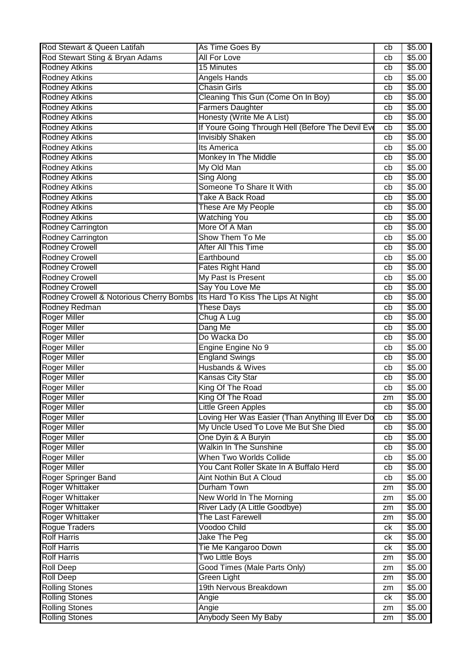| Rod Stewart & Queen Latifah                                                  | As Time Goes By                                   | cb | \$5.00             |
|------------------------------------------------------------------------------|---------------------------------------------------|----|--------------------|
| Rod Stewart Sting & Bryan Adams                                              | <b>All For Love</b>                               | cb | \$5.00             |
| <b>Rodney Atkins</b>                                                         | <b>15 Minutes</b>                                 | cb | \$5.00             |
| <b>Rodney Atkins</b>                                                         | Angels Hands                                      | cb | \$5.00             |
| Rodney Atkins                                                                | <b>Chasin Girls</b>                               | cb | \$5.00             |
| <b>Rodney Atkins</b>                                                         | Cleaning This Gun (Come On In Boy)                | cb | \$5.00             |
| <b>Rodney Atkins</b>                                                         | <b>Farmers Daughter</b>                           | cb | \$5.00             |
| <b>Rodney Atkins</b>                                                         | Honesty (Write Me A List)                         | cb | \$5.00             |
| <b>Rodney Atkins</b>                                                         | If Youre Going Through Hell (Before The Devil Eve | cb | \$5.00             |
| Rodney Atkins                                                                | <b>Invisibly Shaken</b>                           | cb | \$5.00             |
| Rodney Atkins                                                                | <b>Its America</b>                                | cb | \$5.00             |
| Rodney Atkins                                                                | Monkey In The Middle                              | cb | $\overline{$}5.00$ |
| <b>Rodney Atkins</b>                                                         | My Old Man                                        | cb | \$5.00             |
| <b>Rodney Atkins</b>                                                         | Sing Along                                        | cb | \$5.00             |
| Rodney Atkins                                                                | Someone To Share It With                          | cb | \$5.00             |
| <b>Rodney Atkins</b>                                                         | Take A Back Road                                  | cb | \$5.00             |
| <b>Rodney Atkins</b>                                                         | These Are My People                               | cb | \$5.00             |
| <b>Rodney Atkins</b>                                                         | <b>Watching You</b>                               | cb | \$5.00             |
| Rodney Carrington                                                            | More Of A Man                                     | cb | \$5.00             |
| Rodney Carrington                                                            | Show Them To Me                                   | cb | \$5.00             |
| <b>Rodney Crowell</b>                                                        | <b>After All This Time</b>                        | cb | \$5.00             |
| <b>Rodney Crowell</b>                                                        | Earthbound                                        | cb | \$5.00             |
| <b>Rodney Crowell</b>                                                        | <b>Fates Right Hand</b>                           | cb | \$5.00             |
| <b>Rodney Crowell</b>                                                        | My Past Is Present                                | cb | \$5.00             |
| <b>Rodney Crowell</b>                                                        | Say You Love Me                                   | cb | \$5.00             |
| Rodney Crowell & Notorious Cherry Bombs   Its Hard To Kiss The Lips At Night |                                                   | cb | \$5.00             |
| Rodney Redman                                                                | <b>These Days</b>                                 | cb | \$5.00             |
| <b>Roger Miller</b>                                                          | Chug A Lug                                        | cb | \$5.00             |
| <b>Roger Miller</b>                                                          | Dang Me                                           | cb | \$5.00             |
| <b>Roger Miller</b>                                                          | Do Wacka Do                                       | cb | \$5.00             |
| Roger Miller                                                                 | Engine Engine No 9                                | cb | \$5.00             |
| <b>Roger Miller</b>                                                          | <b>England Swings</b>                             | cb | \$5.00             |
| <b>Roger Miller</b>                                                          | Husbands & Wives                                  | cb | \$5.00             |
| <b>Roger Miller</b>                                                          | Kansas City Star                                  | cb | \$5.00             |
| <b>Roger Miller</b>                                                          | King Of The Road                                  | cb | \$5.00             |
| Roger Miller                                                                 | King Of The Road                                  | zm | \$5.00             |
| Roger Miller                                                                 | <b>Little Green Apples</b>                        | cb | \$5.00             |
| <b>Roger Miller</b>                                                          | Loving Her Was Easier (Than Anything III Ever Do  | cb | \$5.00             |
| <b>Roger Miller</b>                                                          | My Uncle Used To Love Me But She Died             | cb | \$5.00             |
| <b>Roger Miller</b>                                                          | One Dyin & A Buryin                               | cb | \$5.00             |
| <b>Roger Miller</b>                                                          | <b>Walkin In The Sunshine</b>                     | cb | \$5.00             |
| <b>Roger Miller</b>                                                          | When Two Worlds Collide                           | cb | \$5.00             |
| <b>Roger Miller</b>                                                          | You Cant Roller Skate In A Buffalo Herd           | cb | \$5.00             |
| <b>Roger Springer Band</b>                                                   | Aint Nothin But A Cloud                           | cb | \$5.00             |
| Roger Whittaker                                                              | <b>Durham Town</b>                                | zm | \$5.00             |
| <b>Roger Whittaker</b>                                                       | New World In The Morning                          | zm | \$5.00             |
| <b>Roger Whittaker</b>                                                       | River Lady (A Little Goodbye)                     | zm | \$5.00             |
| Roger Whittaker                                                              | <b>The Last Farewell</b>                          | zm | \$5.00             |
| <b>Rogue Traders</b>                                                         | Voodoo Child                                      | ck | \$5.00             |
| <b>Rolf Harris</b>                                                           | Jake The Peg                                      | ck | \$5.00             |
| <b>Rolf Harris</b>                                                           | Tie Me Kangaroo Down                              | ck | \$5.00             |
| <b>Rolf Harris</b>                                                           | Two Little Boys                                   | zm | \$5.00             |
| <b>Roll Deep</b>                                                             | <b>Good Times (Male Parts Only)</b>               | zm | \$5.00             |
| <b>Roll Deep</b>                                                             | Green Light                                       | zm | \$5.00             |
| <b>Rolling Stones</b>                                                        | 19th Nervous Breakdown                            | zm | \$5.00             |
| <b>Rolling Stones</b>                                                        | Angie                                             | ck | \$5.00             |
| <b>Rolling Stones</b>                                                        | Angie                                             | zm | \$5.00             |
| <b>Rolling Stones</b>                                                        | Anybody Seen My Baby                              | zm | \$5.00             |
|                                                                              |                                                   |    |                    |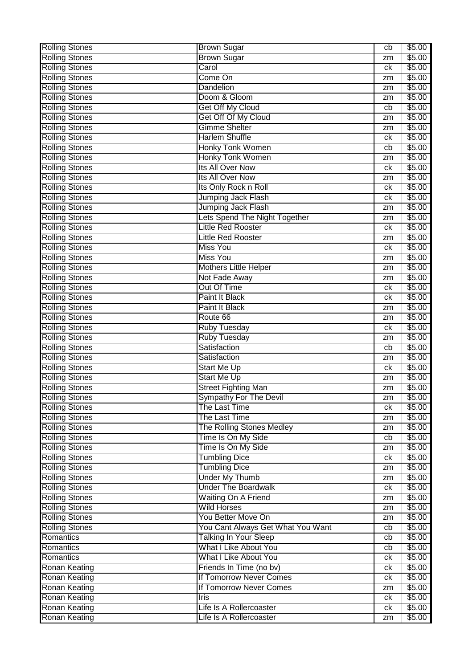| <b>Rolling Stones</b>                          | <b>Brown Sugar</b>                        | cb       | \$5.00             |
|------------------------------------------------|-------------------------------------------|----------|--------------------|
| <b>Rolling Stones</b>                          | <b>Brown Sugar</b>                        | zm       | \$5.00             |
| <b>Rolling Stones</b>                          | Carol                                     | сk       | \$5.00             |
| <b>Rolling Stones</b>                          | Come On                                   | zm       | \$5.00             |
| <b>Rolling Stones</b>                          | Dandelion                                 | zm       | \$5.00             |
| <b>Rolling Stones</b>                          | Doom & Gloom                              | zm       | \$5.00             |
| <b>Rolling Stones</b>                          | Get Off My Cloud                          | cb       | \$5.00             |
| <b>Rolling Stones</b>                          | Get Off Of My Cloud                       | zm       | \$5.00             |
| <b>Rolling Stones</b>                          | <b>Gimme Shelter</b>                      | zm       | \$5.00             |
| <b>Rolling Stones</b>                          | <b>Harlem Shuffle</b>                     | сk       | \$5.00             |
| <b>Rolling Stones</b>                          | <b>Honky Tonk Women</b>                   | cb       | \$5.00             |
| <b>Rolling Stones</b>                          | Honky Tonk Women                          | zm       | $\overline{$}5.00$ |
| <b>Rolling Stones</b>                          | Its All Over Now                          | сk       | \$5.00             |
| <b>Rolling Stones</b>                          | Its All Over Now                          | zm       | \$5.00             |
| <b>Rolling Stones</b>                          | Its Only Rock n Roll                      | сk       | \$5.00             |
| <b>Rolling Stones</b>                          | <b>Jumping Jack Flash</b>                 | сk       | \$5.00             |
| <b>Rolling Stones</b>                          | <b>Jumping Jack Flash</b>                 | zm       | \$5.00             |
| <b>Rolling Stones</b>                          | Lets Spend The Night Together             | zm       | \$5.00             |
| <b>Rolling Stones</b>                          | <b>Little Red Rooster</b>                 | ck       | \$5.00             |
| <b>Rolling Stones</b>                          | <b>Little Red Rooster</b>                 | zm       | \$5.00             |
| <b>Rolling Stones</b>                          | <b>Miss You</b>                           | ck       | \$5.00             |
| <b>Rolling Stones</b>                          | <b>Miss You</b>                           | zm       | \$5.00             |
| <b>Rolling Stones</b>                          | <b>Mothers Little Helper</b>              | zm       | \$5.00             |
| <b>Rolling Stones</b>                          | Not Fade Away                             | zm       | \$5.00             |
| <b>Rolling Stones</b>                          | <b>Out Of Time</b>                        | сk       | \$5.00             |
| <b>Rolling Stones</b>                          | Paint It Black                            | сk       | \$5.00             |
| <b>Rolling Stones</b>                          | Paint It Black                            | zm       | \$5.00             |
| <b>Rolling Stones</b>                          | Route 66                                  | zm       | \$5.00             |
| <b>Rolling Stones</b>                          | <b>Ruby Tuesday</b>                       | ck       | \$5.00             |
| <b>Rolling Stones</b>                          | <b>Ruby Tuesday</b>                       | zm       | \$5.00             |
| <b>Rolling Stones</b>                          | Satisfaction                              | cb       | \$5.00             |
| <b>Rolling Stones</b>                          | Satisfaction                              | zm       | \$5.00             |
| <b>Rolling Stones</b>                          | Start Me Up                               | сk       | \$5.00             |
| <b>Rolling Stones</b>                          | Start Me Up                               | zm       | \$5.00             |
| <b>Rolling Stones</b>                          | <b>Street Fighting Man</b>                | zm       | \$5.00             |
|                                                |                                           | zm       | \$5.00             |
| <b>Rolling Stones</b><br><b>Rolling Stones</b> | Sympathy For The Devil<br>The Last Time   | ck       | \$5.00             |
| <b>Rolling Stones</b>                          | The Last Time                             |          | \$5.00             |
| <b>Rolling Stones</b>                          | The Rolling Stones Medley                 | zm       | \$5.00             |
| <b>Rolling Stones</b>                          | Time Is On My Side                        | zm<br>cb | \$5.00             |
| <b>Rolling Stones</b>                          | Time Is On My Side                        |          | \$5.00             |
| <b>Rolling Stones</b>                          | <b>Tumbling Dice</b>                      | zm       | \$5.00             |
| <b>Rolling Stones</b>                          | <b>Tumbling Dice</b>                      | ck       | \$5.00             |
| <b>Rolling Stones</b>                          | <b>Under My Thumb</b>                     | zm       | \$5.00             |
|                                                | <b>Under The Boardwalk</b>                | zm       |                    |
| <b>Rolling Stones</b>                          |                                           | ck       | \$5.00             |
| <b>Rolling Stones</b>                          | Waiting On A Friend<br><b>Wild Horses</b> | zm       | \$5.00             |
| <b>Rolling Stones</b>                          |                                           | zm       | \$5.00             |
| <b>Rolling Stones</b>                          | You Better Move On                        | zm       | \$5.00             |
| <b>Rolling Stones</b>                          | You Cant Always Get What You Want         | cb       | \$5.00             |
| Romantics                                      | <b>Talking In Your Sleep</b>              | cb       | \$5.00             |
| Romantics                                      | What I Like About You                     | cb       | \$5.00             |
| Romantics                                      | <b>What I Like About You</b>              | ck       | \$5.00             |
| <b>Ronan Keating</b>                           | Friends In Time (no bv)                   | сk       | \$5.00             |
| <b>Ronan Keating</b>                           | If Tomorrow Never Comes                   | ck       | \$5.00             |
| <b>Ronan Keating</b>                           | If Tomorrow Never Comes                   | zm       | \$5.00             |
| <b>Ronan Keating</b>                           | Iris                                      | ck       | \$5.00             |
| <b>Ronan Keating</b>                           | Life Is A Rollercoaster                   | ck       | \$5.00             |
| <b>Ronan Keating</b>                           | Life Is A Rollercoaster                   | zm       | \$5.00             |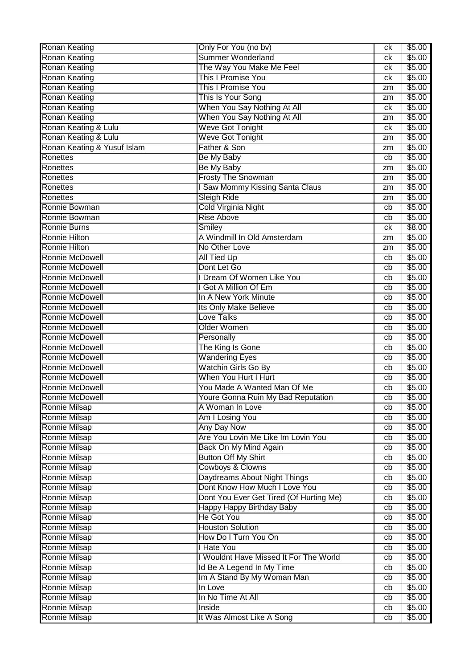| <b>Ronan Keating</b>        | Only For You (no bv)                    | сk              | \$5.00 |
|-----------------------------|-----------------------------------------|-----------------|--------|
| <b>Ronan Keating</b>        | <b>Summer Wonderland</b>                | сk              | \$5.00 |
| <b>Ronan Keating</b>        | The Way You Make Me Feel                | сk              | \$5.00 |
| <b>Ronan Keating</b>        | This I Promise You                      | сk              | \$5.00 |
| <b>Ronan Keating</b>        | This I Promise You                      | zm              | \$5.00 |
| <b>Ronan Keating</b>        | This Is Your Song                       | zm              | \$5.00 |
| <b>Ronan Keating</b>        | When You Say Nothing At All             | сk              | \$5.00 |
| <b>Ronan Keating</b>        | When You Say Nothing At All             | zm              | \$5.00 |
| Ronan Keating & Lulu        | <b>Weve Got Tonight</b>                 | сk              | \$5.00 |
| Ronan Keating & Lulu        | Weve Got Tonight                        | zm              | \$5.00 |
| Ronan Keating & Yusuf Islam | Father & Son                            | zm              | \$5.00 |
| Ronettes                    | Be My Baby                              | cb              | \$5.00 |
| Ronettes                    | Be My Baby                              | zm              | \$5.00 |
| Ronettes                    | <b>Frosty The Snowman</b>               | zm              | \$5.00 |
| Ronettes                    | I Saw Mommy Kissing Santa Claus         | zm              | \$5.00 |
| Ronettes                    | <b>Sleigh Ride</b>                      | zm              | \$5.00 |
| Ronnie Bowman               | Cold Virginia Night                     | cb              | \$5.00 |
| Ronnie Bowman               | <b>Rise Above</b>                       | cb              | \$5.00 |
| <b>Ronnie Burns</b>         | Smiley                                  | сk              | \$8.00 |
| Ronnie Hilton               | A Windmill In Old Amsterdam             | zm              | \$5.00 |
| Ronnie Hilton               | No Other Love                           | zm              | \$5.00 |
| Ronnie McDowell             | <b>All Tied Up</b>                      | cb              | \$5.00 |
| Ronnie McDowell             | Dont Let Go                             | cb              | \$5.00 |
| <b>Ronnie McDowell</b>      | I Dream Of Women Like You               | cb              | \$5.00 |
| Ronnie McDowell             | I Got A Million Of Em                   | cb              | \$5.00 |
| Ronnie McDowell             | In A New York Minute                    | cb              | \$5.00 |
| <b>Ronnie McDowell</b>      | Its Only Make Believe                   | cb              | \$5.00 |
| Ronnie McDowell             | Love Talks                              | cb              | \$5.00 |
| Ronnie McDowell             | Older Women                             | cb              | \$5.00 |
| Ronnie McDowell             | Personally                              | cb              | \$5.00 |
| Ronnie McDowell             | The King Is Gone                        | cb              | \$5.00 |
| Ronnie McDowell             | <b>Wandering Eyes</b>                   | cb              | \$5.00 |
| Ronnie McDowell             | Watchin Girls Go By                     | cb              | \$5.00 |
| <b>Ronnie McDowell</b>      | When You Hurt I Hurt                    | cb              | \$5.00 |
| <b>Ronnie McDowell</b>      | You Made A Wanted Man Of Me             | cb              | \$5.00 |
| Ronnie McDowell             | Youre Gonna Ruin My Bad Reputation      | $\overline{cb}$ | \$5.00 |
| <b>Ronnie Milsap</b>        | A Woman In Love                         | cb              | \$5.00 |
| <b>Ronnie Milsap</b>        | Am I Losing You                         | cb              | \$5.00 |
| <b>Ronnie Milsap</b>        | <b>Any Day Now</b>                      | cb              | \$5.00 |
| <b>Ronnie Milsap</b>        | Are You Lovin Me Like Im Lovin You      | cb              | \$5.00 |
| <b>Ronnie Milsap</b>        | Back On My Mind Again                   | cb              | \$5.00 |
| <b>Ronnie Milsap</b>        | <b>Button Off My Shirt</b>              | cb              | \$5.00 |
| <b>Ronnie Milsap</b>        | Cowboys & Clowns                        | cb              | \$5.00 |
| <b>Ronnie Milsap</b>        | Daydreams About Night Things            | cb              | \$5.00 |
| <b>Ronnie Milsap</b>        | Dont Know How Much I Love You           | cb              | \$5.00 |
| <b>Ronnie Milsap</b>        | Dont You Ever Get Tired (Of Hurting Me) | cb              | \$5.00 |
| <b>Ronnie Milsap</b>        | Happy Happy Birthday Baby               | cb              | \$5.00 |
| <b>Ronnie Milsap</b>        | <b>He Got You</b>                       | cb              | \$5.00 |
| <b>Ronnie Milsap</b>        | <b>Houston Solution</b>                 | cb              | \$5.00 |
| <b>Ronnie Milsap</b>        | How Do I Turn You On                    | cb              | \$5.00 |
| <b>Ronnie Milsap</b>        | <b>I Hate You</b>                       | cb              | \$5.00 |
| <b>Ronnie Milsap</b>        | I Wouldnt Have Missed It For The World  | cb              | \$5.00 |
| Ronnie Milsap               | Id Be A Legend In My Time               | cb              | \$5.00 |
| Ronnie Milsap               | Im A Stand By My Woman Man              | cb              | \$5.00 |
| <b>Ronnie Milsap</b>        | In Love                                 | cb              | \$5.00 |
| <b>Ronnie Milsap</b>        | In No Time At All                       | cb              | \$5.00 |
| Ronnie Milsap               | Inside                                  | cb              | \$5.00 |
| Ronnie Milsap               | It Was Almost Like A Song               | cb              | \$5.00 |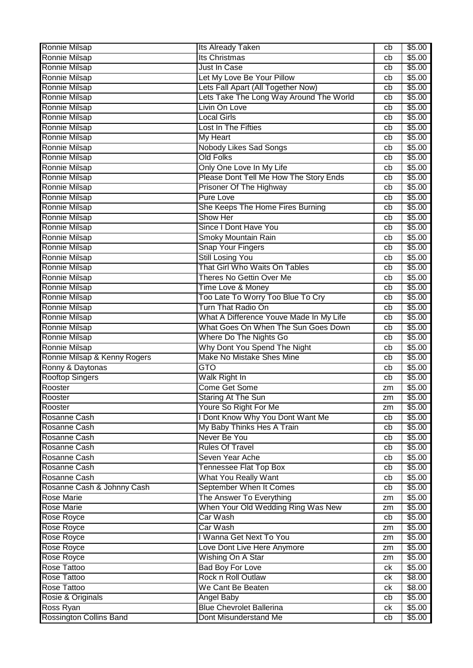| <b>Ronnie Milsap</b>                        | <b>Its Already Taken</b>                                 | cb       | \$5.00           |
|---------------------------------------------|----------------------------------------------------------|----------|------------------|
| <b>Ronnie Milsap</b>                        | Its Christmas                                            | cb       | \$5.00           |
| Ronnie Milsap                               | <b>Just In Case</b>                                      | cb       | \$5.00           |
| Ronnie Milsap                               | Let My Love Be Your Pillow                               | cb       | \$5.00           |
| Ronnie Milsap                               | Lets Fall Apart (All Together Now)                       | cb       | \$5.00           |
| <b>Ronnie Milsap</b>                        | Lets Take The Long Way Around The World                  | cb       | \$5.00           |
| <b>Ronnie Milsap</b>                        | Livin On Love                                            | cb       | \$5.00           |
| <b>Ronnie Milsap</b>                        | <b>Local Girls</b>                                       | cb       | \$5.00           |
| <b>Ronnie Milsap</b>                        | Lost In The Fifties                                      | cb       | \$5.00           |
| <b>Ronnie Milsap</b>                        | <b>My Heart</b>                                          | cb       | \$5.00           |
| <b>Ronnie Milsap</b>                        | <b>Nobody Likes Sad Songs</b>                            | cb       | \$5.00           |
| <b>Ronnie Milsap</b>                        | <b>Old Folks</b>                                         | cb       | \$5.00           |
| <b>Ronnie Milsap</b>                        | Only One Love In My Life                                 | cb       | \$5.00           |
| Ronnie Milsap                               | Please Dont Tell Me How The Story Ends                   | cb       | \$5.00           |
| Ronnie Milsap                               | Prisoner Of The Highway                                  | cb       | \$5.00           |
| <b>Ronnie Milsap</b>                        | <b>Pure Love</b>                                         | cb       | \$5.00           |
| <b>Ronnie Milsap</b>                        | She Keeps The Home Fires Burning                         | cb       | \$5.00           |
| <b>Ronnie Milsap</b>                        | Show Her                                                 | cb       | \$5.00           |
| Ronnie Milsap                               | Since I Dont Have You                                    | cb       | \$5.00           |
| <b>Ronnie Milsap</b>                        | Smoky Mountain Rain                                      | cb       | \$5.00           |
| <b>Ronnie Milsap</b>                        | <b>Snap Your Fingers</b>                                 | cb       | \$5.00           |
| <b>Ronnie Milsap</b>                        | <b>Still Losing You</b>                                  | cb       | \$5.00           |
| Ronnie Milsap                               | That Girl Who Waits On Tables                            | cb       | \$5.00           |
| Ronnie Milsap                               | Theres No Gettin Over Me                                 | cb       | \$5.00           |
| <b>Ronnie Milsap</b>                        |                                                          |          | \$5.00           |
| <b>Ronnie Milsap</b>                        | Time Love & Money<br>Too Late To Worry Too Blue To Cry   | cb       | \$5.00           |
| <b>Ronnie Milsap</b>                        | Turn That Radio On                                       | cb       | \$5.00           |
|                                             | What A Difference Youve Made In My Life                  | cb       |                  |
| <b>Ronnie Milsap</b>                        | What Goes On When The Sun Goes Down                      | cb       | \$5.00           |
| Ronnie Milsap                               |                                                          | cb       | \$5.00           |
| Ronnie Milsap                               | Where Do The Nights Go                                   | cb       | \$5.00           |
| <b>Ronnie Milsap</b>                        | Why Dont You Spend The Night                             | cb       | \$5.00           |
| Ronnie Milsap & Kenny Rogers                | Make No Mistake Shes Mine                                | cb       | \$5.00           |
| Ronny & Daytonas                            | GTO                                                      | cb       | \$5.00           |
| <b>Rooftop Singers</b>                      | Walk Right In                                            | cb       | \$5.00           |
| Rooster                                     | <b>Come Get Some</b>                                     | zm       | \$5.00           |
| Rooster                                     | Staring At The Sun                                       | zm       | \$5.00           |
| Rooster                                     | Youre So Right For Me                                    | zm       | \$5.00           |
| <b>Rosanne Cash</b>                         | I Dont Know Why You Dont Want Me                         | cb       | \$5.00           |
| Rosanne Cash                                | My Baby Thinks Hes A Train                               | cb       | \$5.00           |
| Rosanne Cash                                | Never Be You                                             | cb       | \$5.00           |
| Rosanne Cash                                | <b>Rules Of Travel</b>                                   | cb       | \$5.00           |
| Rosanne Cash                                | Seven Year Ache                                          | cb       | \$5.00           |
| Rosanne Cash                                | <b>Tennessee Flat Top Box</b>                            | cb       | \$5.00           |
| Rosanne Cash                                | What You Really Want                                     | cb       | \$5.00           |
| Rosanne Cash & Johnny Cash                  | September When It Comes                                  | cb       | \$5.00           |
| <b>Rose Marie</b>                           | The Answer To Everything                                 | zm       | \$5.00           |
| <b>Rose Marie</b>                           | When Your Old Wedding Ring Was New                       | zm       | \$5.00           |
| Rose Royce                                  |                                                          |          | \$5.00           |
| <b>Rose Royce</b>                           | Car Wash                                                 | cb       |                  |
|                                             | <b>Car Wash</b>                                          | zm       | \$5.00           |
| <b>Rose Royce</b>                           | I Wanna Get Next To You                                  | zm       | \$5.00           |
| <b>Rose Royce</b>                           | Love Dont Live Here Anymore                              | zm       | \$5.00           |
| <b>Rose Royce</b>                           | Wishing On A Star                                        | zm       | \$5.00           |
| <b>Rose Tattoo</b>                          | <b>Bad Boy For Love</b>                                  | ck       | \$5.00           |
| Rose Tattoo                                 | Rock n Roll Outlaw                                       | ck       | \$8.00           |
| <b>Rose Tattoo</b>                          | We Cant Be Beaten                                        | ck       | \$8.00           |
| Rosie & Originals                           | <b>Angel Baby</b>                                        | cb       | \$5.00           |
| Ross Ryan<br><b>Rossington Collins Band</b> | <b>Blue Chevrolet Ballerina</b><br>Dont Misunderstand Me | ck<br>cb | \$5.00<br>\$5.00 |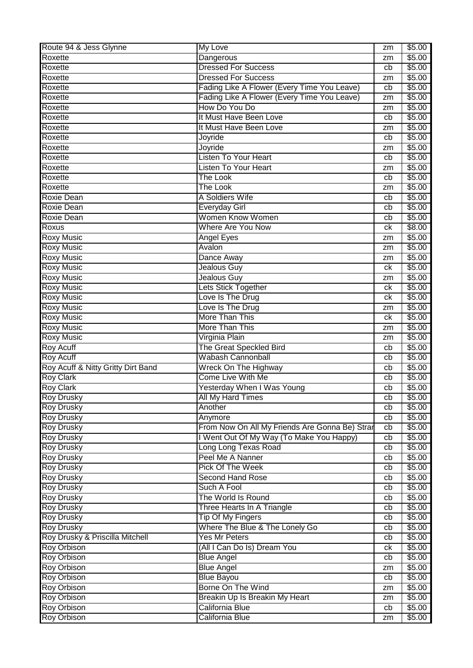| Route 94 & Jess Glynne             | My Love                                        | zm | \$5.00 |
|------------------------------------|------------------------------------------------|----|--------|
| Roxette                            | Dangerous                                      | zm | \$5.00 |
| Roxette                            | <b>Dressed For Success</b>                     | cb | \$5.00 |
| Roxette                            | <b>Dressed For Success</b>                     | zm | \$5.00 |
| Roxette                            | Fading Like A Flower (Every Time You Leave)    | cb | \$5.00 |
| Roxette                            | Fading Like A Flower (Every Time You Leave)    | zm | \$5.00 |
| Roxette                            | How Do You Do                                  | zm | \$5.00 |
| Roxette                            | It Must Have Been Love                         | cb | \$5.00 |
| Roxette                            | It Must Have Been Love                         | zm | \$5.00 |
| Roxette                            | Joyride                                        | cb | \$5.00 |
| Roxette                            | Joyride                                        | zm | \$5.00 |
| Roxette                            | <b>Listen To Your Heart</b>                    | cb | \$5.00 |
| Roxette                            | <b>Listen To Your Heart</b>                    | zm | \$5.00 |
| Roxette                            | <b>The Look</b>                                | cb | \$5.00 |
| Roxette                            | <b>The Look</b>                                | zm | \$5.00 |
| <b>Roxie Dean</b>                  | A Soldiers Wife                                | cb | \$5.00 |
| <b>Roxie Dean</b>                  | <b>Everyday Girl</b>                           | cb | \$5.00 |
| <b>Roxie Dean</b>                  | Women Know Women                               | cb | \$5.00 |
| Roxus                              | Where Are You Now                              | сk | \$8.00 |
| <b>Roxy Music</b>                  | <b>Angel Eyes</b>                              | zm | \$5.00 |
| <b>Roxy Music</b>                  | Avalon                                         | zm | \$5.00 |
| <b>Roxy Music</b>                  | Dance Away                                     | zm | \$5.00 |
| <b>Roxy Music</b>                  | Jealous Guy                                    | ck | \$5.00 |
| <b>Roxy Music</b>                  | <b>Jealous Guy</b>                             | zm | \$5.00 |
| <b>Roxy Music</b>                  | Lets Stick Together                            | ck | \$5.00 |
| <b>Roxy Music</b>                  | Love Is The Drug                               | сk | \$5.00 |
| <b>Roxy Music</b>                  | Love Is The Drug                               | zm | \$5.00 |
| <b>Roxy Music</b>                  | More Than This                                 | ck | \$5.00 |
| <b>Roxy Music</b>                  | More Than This                                 | zm | \$5.00 |
| <b>Roxy Music</b>                  | Virginia Plain                                 | zm | \$5.00 |
| <b>Roy Acuff</b>                   | The Great Speckled Bird                        | cb | \$5.00 |
| <b>Roy Acuff</b>                   | <b>Wabash Cannonball</b>                       | cb | \$5.00 |
| Roy Acuff & Nitty Gritty Dirt Band | Wreck On The Highway                           | cb | \$5.00 |
| <b>Roy Clark</b>                   | Come Live With Me                              | cb | \$5.00 |
| <b>Roy Clark</b>                   | Yesterday When I Was Young                     | cb | \$5.00 |
| <b>Roy Drusky</b>                  | All My Hard Times                              | cb | \$5.00 |
| <b>Roy Drusky</b>                  | Another                                        | cb | \$5.00 |
| <b>Roy Drusky</b>                  | Anymore                                        | cb | \$5.00 |
| <b>Roy Drusky</b>                  | From Now On All My Friends Are Gonna Be) Strar | cb | \$5.00 |
| <b>Roy Drusky</b>                  | I Went Out Of My Way (To Make You Happy)       | cb | \$5.00 |
| <b>Roy Drusky</b>                  | Long Long Texas Road                           | cb | \$5.00 |
| <b>Roy Drusky</b>                  | Peel Me A Nanner                               | cb | \$5.00 |
| <b>Roy Drusky</b>                  | <b>Pick Of The Week</b>                        | cb | \$5.00 |
| <b>Roy Drusky</b>                  | <b>Second Hand Rose</b>                        | cb | \$5.00 |
| <b>Roy Drusky</b>                  | Such A Fool                                    | cb | \$5.00 |
| <b>Roy Drusky</b>                  | The World Is Round                             | cb | \$5.00 |
| <b>Roy Drusky</b>                  | Three Hearts In A Triangle                     | cb | \$5.00 |
| <b>Roy Drusky</b>                  | <b>Tip Of My Fingers</b>                       | cb | \$5.00 |
| <b>Roy Drusky</b>                  | Where The Blue & The Lonely Go                 | cb | \$5.00 |
| Roy Drusky & Priscilla Mitchell    | <b>Yes Mr Peters</b>                           | cb | \$5.00 |
| <b>Roy Orbison</b>                 | (All I Can Do Is) Dream You                    | сk | \$5.00 |
| <b>Roy Orbison</b>                 | <b>Blue Angel</b>                              | cb | \$5.00 |
| <b>Roy Orbison</b>                 | <b>Blue Angel</b>                              | zm | \$5.00 |
| <b>Roy Orbison</b>                 | <b>Blue Bayou</b>                              | cb | \$5.00 |
| <b>Roy Orbison</b>                 | Borne On The Wind                              | zm | \$5.00 |
| <b>Roy Orbison</b>                 | Breakin Up Is Breakin My Heart                 | zm | \$5.00 |
| <b>Roy Orbison</b>                 | California Blue                                | cb | \$5.00 |
| <b>Roy Orbison</b>                 | California Blue                                | zm | \$5.00 |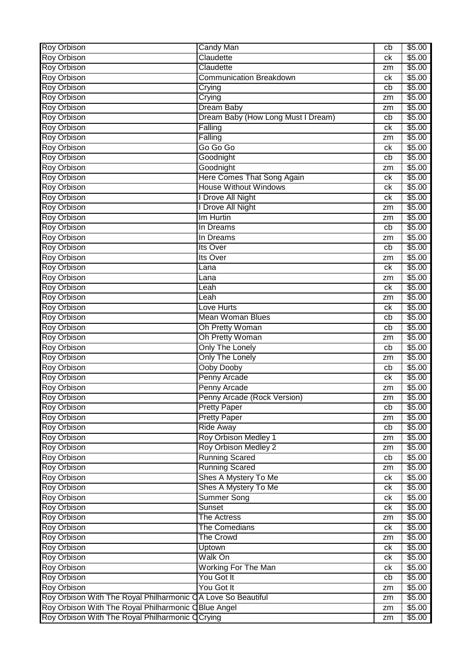| Roy Orbison                                                  | Candy Man                          | cb       | \$5.00 |
|--------------------------------------------------------------|------------------------------------|----------|--------|
| <b>Roy Orbison</b>                                           | Claudette                          | ck       | \$5.00 |
| <b>Roy Orbison</b>                                           | Claudette                          | zm       | \$5.00 |
| <b>Roy Orbison</b>                                           | Communication Breakdown            | ck       | \$5.00 |
| <b>Roy Orbison</b>                                           | Crying                             | cb       | \$5.00 |
| <b>Roy Orbison</b>                                           | Crying                             | zm       | \$5.00 |
| <b>Roy Orbison</b>                                           | <b>Dream Baby</b>                  | zm       | \$5.00 |
| <b>Roy Orbison</b>                                           | Dream Baby (How Long Must I Dream) | cb       | \$5.00 |
| <b>Roy Orbison</b>                                           | Falling                            | ck       | \$5.00 |
| <b>Roy Orbison</b>                                           | Falling                            | zm       | \$5.00 |
| <b>Roy Orbison</b>                                           | Go Go Go                           | ck       | \$5.00 |
| <b>Roy Orbison</b>                                           | Goodnight                          | cb       | \$5.00 |
| <b>Roy Orbison</b>                                           | Goodnight                          | zm       | \$5.00 |
| Roy Orbison                                                  | Here Comes That Song Again         | сk       | \$5.00 |
| <b>Roy Orbison</b>                                           | <b>House Without Windows</b>       | ck       | \$5.00 |
| Roy Orbison                                                  | I Drove All Night                  | ck       | \$5.00 |
| <b>Roy Orbison</b>                                           | I Drove All Night                  | zm       | \$5.00 |
| <b>Roy Orbison</b>                                           | Im Hurtin                          | zm       | \$5.00 |
| <b>Roy Orbison</b>                                           | In Dreams                          | cb       | \$5.00 |
| <b>Roy Orbison</b>                                           | In Dreams                          | zm       | \$5.00 |
| <b>Roy Orbison</b>                                           | Its Over                           | cb       | \$5.00 |
| <b>Roy Orbison</b>                                           | Its Over                           | zm       | \$5.00 |
| <b>Roy Orbison</b>                                           | Lana                               | ck       | \$5.00 |
| <b>Roy Orbison</b>                                           | Lana                               | zm       | \$5.00 |
| Roy Orbison                                                  | Leah                               | ck       | \$5.00 |
| <b>Roy Orbison</b>                                           | Leah                               | zm       | \$5.00 |
| <b>Roy Orbison</b>                                           | Love Hurts                         | ck       | \$5.00 |
| <b>Roy Orbison</b>                                           | <b>Mean Woman Blues</b>            | cb       | \$5.00 |
| <b>Roy Orbison</b>                                           | Oh Pretty Woman                    | cb       | \$5.00 |
| <b>Roy Orbison</b>                                           | Oh Pretty Woman                    | zm       | \$5.00 |
| <b>Roy Orbison</b>                                           | <b>Only The Lonely</b>             | cb       | \$5.00 |
| <b>Roy Orbison</b>                                           | <b>Only The Lonely</b>             | zm       | \$5.00 |
| <b>Roy Orbison</b>                                           | Ooby Dooby                         | cb       | \$5.00 |
| <b>Roy Orbison</b>                                           | Penny Arcade                       | ck       | \$5.00 |
| <b>Roy Orbison</b>                                           | Penny Arcade                       | zm       | \$5.00 |
| Roy Orbison                                                  | Penny Arcade (Rock Version)        | zm       | \$5.00 |
| Roy Orbison                                                  | <b>Pretty Paper</b>                | cb       | \$5.00 |
| <b>Roy Orbison</b>                                           | <b>Pretty Paper</b>                | zm       | \$5.00 |
| Roy Orbison                                                  | <b>Ride Away</b>                   | cb       | \$5.00 |
| <b>Roy Orbison</b>                                           | Roy Orbison Medley 1               | zm       | \$5.00 |
| <b>Roy Orbison</b>                                           | Roy Orbison Medley 2               | zm       | \$5.00 |
| <b>Roy Orbison</b>                                           | <b>Running Scared</b>              | cb       | \$5.00 |
| <b>Roy Orbison</b>                                           | <b>Running Scared</b>              |          | \$5.00 |
| <b>Roy Orbison</b>                                           | Shes A Mystery To Me               | zm<br>ck | \$5.00 |
| <b>Roy Orbison</b>                                           | Shes A Mystery To Me               | ck       | \$5.00 |
| Roy Orbison                                                  | <b>Summer Song</b>                 |          | \$5.00 |
| <b>Roy Orbison</b>                                           | Sunset                             | ck<br>ck | \$5.00 |
| <b>Roy Orbison</b>                                           | <b>The Actress</b>                 |          | \$5.00 |
| <b>Roy Orbison</b>                                           | <b>The Comedians</b>               | zm<br>ck | \$5.00 |
|                                                              |                                    |          |        |
| <b>Roy Orbison</b>                                           | <b>The Crowd</b>                   | zm       | \$5.00 |
| <b>Roy Orbison</b>                                           | Uptown                             | ck       | \$5.00 |
| <b>Roy Orbison</b>                                           | Walk On                            | ck       | \$5.00 |
| <b>Roy Orbison</b>                                           | <b>Working For The Man</b>         | ck       | \$5.00 |
| Roy Orbison                                                  | You Got It                         | cb       | \$5.00 |
| <b>Roy Orbison</b>                                           | You Got It                         | zm       | \$5.00 |
| Roy Orbison With The Royal Philharmonic CA Love So Beautiful |                                    | zm       | \$5.00 |
| Roy Orbison With The Royal Philharmonic CBlue Angel          |                                    | zm       | \$5.00 |
| Roy Orbison With The Royal Philharmonic O                    | Crying                             | zm       | \$5.00 |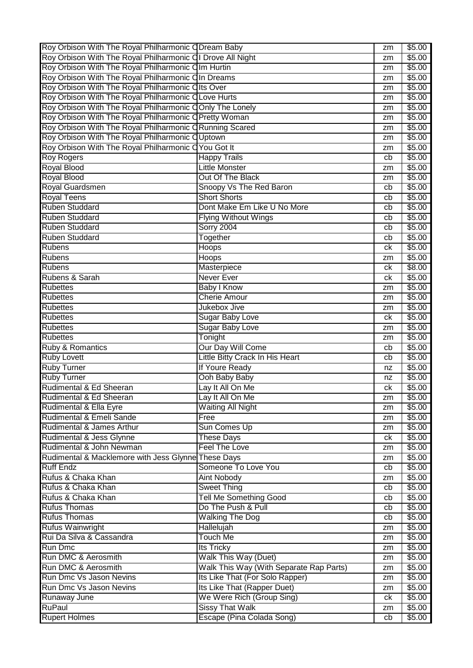| Roy Orbison With The Royal Philharmonic ODream Baby        |                                                     | zm       | \$5.00           |
|------------------------------------------------------------|-----------------------------------------------------|----------|------------------|
| Roy Orbison With The Royal Philharmonic QI Drove All Night |                                                     | zm       | \$5.00           |
| Roy Orbison With The Royal Philharmonic Clm Hurtin         |                                                     | zm       | \$5.00           |
| Roy Orbison With The Royal Philharmonic CIn Dreams         |                                                     | zm       | \$5.00           |
| Roy Orbison With The Royal Philharmonic Clts Over          |                                                     | zm       | \$5.00           |
| Roy Orbison With The Royal Philharmonic CLove Hurts        |                                                     | zm       | \$5.00           |
| Roy Orbison With The Royal Philharmonic COnly The Lonely   |                                                     | zm       | \$5.00           |
| Roy Orbison With The Royal Philharmonic OPretty Woman      |                                                     | zm       | \$5.00           |
| Roy Orbison With The Royal Philharmonic CRunning Scared    |                                                     | zm       | \$5.00           |
| Roy Orbison With The Royal Philharmonic OUptown            |                                                     | zm       | \$5.00           |
| Roy Orbison With The Royal Philharmonic C You Got It       |                                                     | zm       | \$5.00           |
| <b>Roy Rogers</b>                                          | <b>Happy Trails</b>                                 | cb       | \$5.00           |
| <b>Royal Blood</b>                                         | <b>Little Monster</b>                               |          | \$5.00           |
| <b>Royal Blood</b>                                         | Out Of The Black                                    | zm       |                  |
|                                                            |                                                     | zm       | \$5.00           |
| <b>Royal Guardsmen</b>                                     | Snoopy Vs The Red Baron                             | cb       | \$5.00           |
| <b>Royal Teens</b>                                         | <b>Short Shorts</b>                                 | cb       | \$5.00           |
| <b>Ruben Studdard</b>                                      | Dont Make Em Like U No More                         | cb       | \$5.00           |
| <b>Ruben Studdard</b>                                      | <b>Flying Without Wings</b>                         | cb       | \$5.00           |
| <b>Ruben Studdard</b>                                      | <b>Sorry 2004</b>                                   | cb       | \$5.00           |
| <b>Ruben Studdard</b>                                      | Together                                            | cb       | \$5.00           |
| Rubens                                                     | Hoops                                               | сk       | \$5.00           |
| <b>Rubens</b>                                              | Hoops                                               | zm       | \$5.00           |
| <b>Rubens</b>                                              | Masterpiece                                         | сk       | \$8.00           |
| <b>Rubens &amp; Sarah</b>                                  | <b>Never Ever</b>                                   | сk       | \$5.00           |
| <b>Rubettes</b>                                            | Baby I Know                                         | zm       | \$5.00           |
| <b>Rubettes</b>                                            | <b>Cherie Amour</b>                                 | zm       | \$5.00           |
| <b>Rubettes</b>                                            | Jukebox Jive                                        | zm       | \$5.00           |
| <b>Rubettes</b>                                            | <b>Sugar Baby Love</b>                              | сk       | \$5.00           |
| <b>Rubettes</b>                                            | <b>Sugar Baby Love</b>                              | zm       | \$5.00           |
| <b>Rubettes</b>                                            | Tonight                                             | zm       | \$5.00           |
| Ruby & Romantics                                           | Our Day Will Come                                   | cb       | \$5.00           |
| <b>Ruby Lovett</b>                                         | Little Bitty Crack In His Heart                     | сb       | \$5.00           |
| <b>Ruby Turner</b>                                         | If Youre Ready                                      | nz       | \$5.00           |
| <b>Ruby Turner</b>                                         | Ooh Baby Baby                                       | nz       | \$5.00           |
| Rudimental & Ed Sheeran                                    | Lay It All On Me                                    | сk       | \$5.00           |
| Rudimental & Ed Sheeran                                    | Lay It All On Me                                    | zm       | \$5.00           |
| <b>Rudimental &amp; Ella Eyre</b>                          | <b>Waiting All Night</b>                            | zm       | \$5.00           |
| <b>Rudimental &amp; Emeli Sande</b>                        | Free                                                | zm       | \$5.00           |
| Rudimental & James Arthur                                  |                                                     |          | \$5.00           |
|                                                            |                                                     |          |                  |
|                                                            | Sun Comes Up                                        | zm       |                  |
| Rudimental & Jess Glynne                                   | <b>These Days</b>                                   | ck       | \$5.00           |
| Rudimental & John Newman                                   | <b>Feel The Love</b>                                | zm       | \$5.00           |
| Rudimental & Macklemore with Jess Glynne These Days        |                                                     | zm       | \$5.00           |
| <b>Ruff Endz</b>                                           | Someone To Love You                                 | cb       | \$5.00           |
| Rufus & Chaka Khan                                         | <b>Aint Nobody</b>                                  | zm       | \$5.00           |
| Rufus & Chaka Khan                                         | <b>Sweet Thing</b>                                  | cb       | \$5.00           |
| Rufus & Chaka Khan                                         | <b>Tell Me Something Good</b>                       | cb       | \$5.00           |
| <b>Rufus Thomas</b>                                        | Do The Push & Pull                                  | cb       | \$5.00           |
| <b>Rufus Thomas</b>                                        | <b>Walking The Dog</b>                              | cb       | \$5.00           |
| <b>Rufus Wainwright</b>                                    | Hallelujah                                          | zm       | \$5.00           |
| Rui Da Silva & Cassandra                                   | <b>Touch Me</b>                                     | zm       | \$5.00           |
| <b>Run Dmc</b>                                             | <b>Its Tricky</b>                                   | zm       | \$5.00           |
| Run DMC & Aerosmith                                        | Walk This Way (Duet)                                | zm       | \$5.00           |
| Run DMC & Aerosmith                                        | Walk This Way (With Separate Rap Parts)             | zm       | \$5.00           |
| <b>Run Dmc Vs Jason Nevins</b>                             | Its Like That (For Solo Rapper)                     | zm       | \$5.00           |
| <b>Run Dmc Vs Jason Nevins</b>                             | Its Like That (Rapper Duet)                         | zm       | \$5.00           |
| <b>Runaway June</b>                                        | We Were Rich (Group Sing)                           | ck       | \$5.00           |
| <b>RuPaul</b><br><b>Rupert Holmes</b>                      | <b>Sissy That Walk</b><br>Escape (Pina Colada Song) | zm<br>cb | \$5.00<br>\$5.00 |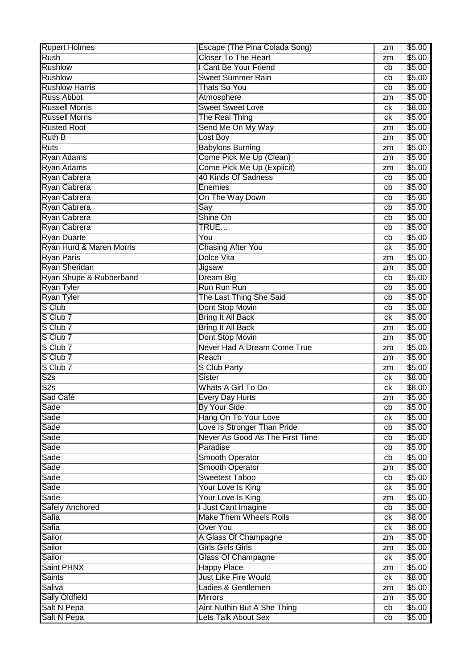| <b>Rupert Holmes</b>     | Escape (The Pina Colada Song)   | zm | \$5.00 |
|--------------------------|---------------------------------|----|--------|
| Rush                     | <b>Closer To The Heart</b>      | zm | \$5.00 |
| <b>Rushlow</b>           | I Cant Be Your Friend           | cb | \$5.00 |
| <b>Rushlow</b>           | <b>Sweet Summer Rain</b>        | cb | \$5.00 |
| <b>Rushlow Harris</b>    | Thats So You                    | cb | \$5.00 |
| <b>Russ Abbot</b>        | Atmosphere                      | zm | \$5.00 |
| <b>Russell Morris</b>    | <b>Sweet Sweet Love</b>         | ck | \$8.00 |
| <b>Russell Morris</b>    | The Real Thing                  | сk | \$5.00 |
| <b>Rusted Root</b>       | Send Me On My Way               | zm | \$5.00 |
| <b>Ruth B</b>            | Lost Boy                        | zm | \$5.00 |
| <b>Ruts</b>              | <b>Babylons Burning</b>         | zm | \$5.00 |
| <b>Ryan Adams</b>        | Come Pick Me Up (Clean)         | zm | \$5.00 |
| <b>Ryan Adams</b>        | Come Pick Me Up (Explicit)      | zm | \$5.00 |
| Ryan Cabrera             | 40 Kinds Of Sadness             | cb | \$5.00 |
| Ryan Cabrera             | Enemies                         | cb | \$5.00 |
| Ryan Cabrera             | On The Way Down                 | cb | \$5.00 |
| Ryan Cabrera             | Say                             | cb | \$5.00 |
| Ryan Cabrera             | Shine On                        | cb | \$5.00 |
| Ryan Cabrera             | TRUE                            | cb | \$5.00 |
| <b>Ryan Duarte</b>       | You                             | cb | \$5.00 |
| Ryan Hurd & Maren Morris | <b>Chasing After You</b>        | ck | \$5.00 |
| Ryan Paris               | Dolce Vita                      | zm | \$5.00 |
| Ryan Sheridan            | Jigsaw                          | zm | \$5.00 |
| Ryan Shupe & Rubberband  | Dream Big                       | cb | \$5.00 |
| Ryan Tyler               | Run Run Run                     | cb | \$5.00 |
| Ryan Tyler               | The Last Thing She Said         | cb | \$5.00 |
| S Club                   | Dont Stop Movin                 | cb | \$5.00 |
| S Club 7                 | <b>Bring It All Back</b>        | ck | \$5.00 |
| S Club 7                 | <b>Bring It All Back</b>        | zm | \$5.00 |
| S Club 7                 | Dont Stop Movin                 | zm | \$5.00 |
| S Club 7                 | Never Had A Dream Come True     | zm | \$5.00 |
| S Club 7                 | Reach                           | zm | \$5.00 |
| S Club 7                 | S Club Party                    | zm | \$5.00 |
| $\overline{\text{S2s}}$  | <b>Sister</b>                   | сk | \$8.00 |
| $\overline{\text{S2s}}$  | <b>Whats A Girl To Do</b>       | ck | \$8.00 |
| Sad Café                 | Every Day Hurts                 | zm | \$5.00 |
| Sade                     | By Your Side                    | cb | \$5.00 |
| Sade                     | Hang On To Your Love            | ck | \$5.00 |
| Sade                     | Love Is Stronger Than Pride     | cb | \$5.00 |
| Sade                     | Never As Good As The First Time | cb | \$5.00 |
| Sade                     | Paradise                        | cb | \$5.00 |
| Sade                     | <b>Smooth Operator</b>          | cb | \$5.00 |
| Sade                     | Smooth Operator                 | zm | \$5.00 |
| Sade                     | <b>Sweetest Taboo</b>           | cb | \$5.00 |
| Sade                     | Your Love Is King               | ck | \$5.00 |
| Sade                     | Your Love Is King               | zm | \$5.00 |
| <b>Safely Anchored</b>   | I Just Cant Imagine             | cb | \$5.00 |
| Safia                    | Make Them Wheels Rolls          | ck | \$8.00 |
| Safia                    | <b>Over You</b>                 | ck | \$8.00 |
| Sailor                   | A Glass Of Champagne            | zm | \$5.00 |
| Sailor                   | <b>Girls Girls Girls</b>        | zm | \$5.00 |
| Sailor                   | <b>Glass Of Champagne</b>       | ck | \$5.00 |
| Saint PHNX               | <b>Happy Place</b>              | zm | \$5.00 |
| <b>Saints</b>            | <b>Just Like Fire Would</b>     | ck | \$8.00 |
| Saliva                   | Ladies & Gentlemen              | zm | \$5.00 |
| <b>Sally Oldfield</b>    | <b>Mirrors</b>                  | zm | \$5.00 |
| Salt N Pepa              | Aint Nuthin But A She Thing     | cb | \$5.00 |
| Salt N Pepa              | Lets Talk About Sex             | cb | \$5.00 |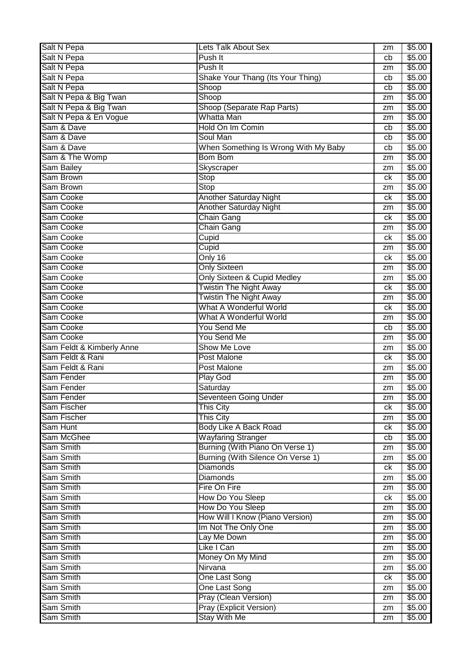| Salt N Pepa               | Lets Talk About Sex                  | zm       | \$5.00 |
|---------------------------|--------------------------------------|----------|--------|
| Salt N Pepa               | Push It                              | cb       | \$5.00 |
| Salt N Pepa               | Push It                              | zm       | \$5.00 |
| Salt N Pepa               | Shake Your Thang (Its Your Thing)    | cb       | \$5.00 |
| <b>Salt N Pepa</b>        | Shoop                                | cb       | \$5.00 |
| Salt N Pepa & Big Twan    | Shoop                                | zm       | \$5.00 |
| Salt N Pepa & Big Twan    | Shoop (Separate Rap Parts)           | zm       | \$5.00 |
| Salt N Pepa & En Vogue    | Whatta Man                           | zm       | \$5.00 |
| Sam & Dave                | Hold On Im Comin                     | cb       | \$5.00 |
| Sam & Dave                | Soul Man                             | cb       | \$5.00 |
| Sam & Dave                | When Something Is Wrong With My Baby | cb       | \$5.00 |
| Sam & The Womp            | <b>Bom Bom</b>                       | zm       | \$5.00 |
| Sam Bailey                | Skyscraper                           | zm       | \$5.00 |
| Sam Brown                 | Stop                                 | ck       | \$5.00 |
| Sam Brown                 | Stop                                 | zm       | \$5.00 |
| Sam Cooke                 | Another Saturday Night               | сk       | \$5.00 |
| Sam Cooke                 | <b>Another Saturday Night</b>        | zm       | \$5.00 |
| Sam Cooke                 | <b>Chain Gang</b>                    | сk       | \$5.00 |
| Sam Cooke                 | <b>Chain Gang</b>                    |          | \$5.00 |
| Sam Cooke                 | Cupid                                | zm<br>сk | \$5.00 |
| Sam Cooke                 | Cupid                                | zm       | \$5.00 |
| Sam Cooke                 | Only 16                              |          |        |
|                           |                                      | ck       | \$5.00 |
| Sam Cooke                 | <b>Only Sixteen</b>                  | zm       | \$5.00 |
| Sam Cooke                 | Only Sixteen & Cupid Medley          | zm       | \$5.00 |
| Sam Cooke                 | <b>Twistin The Night Away</b>        | ck       | \$5.00 |
| Sam Cooke                 | <b>Twistin The Night Away</b>        | zm       | \$5.00 |
| Sam Cooke                 | What A Wonderful World               | ck       | \$5.00 |
| Sam Cooke                 | What A Wonderful World               | zm       | \$5.00 |
| Sam Cooke                 | You Send Me                          | cb       | \$5.00 |
| Sam Cooke                 | You Send Me                          | zm       | \$5.00 |
| Sam Feldt & Kimberly Anne | Show Me Love                         | zm       | \$5.00 |
| Sam Feldt & Rani          | <b>Post Malone</b>                   | ck       | \$5.00 |
| Sam Feldt & Rani          | <b>Post Malone</b>                   | zm       | \$5.00 |
| Sam Fender                | Play God                             | zm       | \$5.00 |
| Sam Fender                | Saturday                             | zm       | \$5.00 |
| Sam Fender                | Seventeen Going Under                | zm       | \$5.00 |
| Sam Fischer               | <b>This City</b>                     | ck       | \$5.00 |
| Sam Fischer               | <b>This City</b>                     | zm       | \$5.00 |
| Sam Hunt                  | Body Like A Back Road                | ck       | \$5.00 |
| Sam McGhee                | <b>Wayfaring Stranger</b>            | cb       | \$5.00 |
| Sam Smith                 | Burning (With Piano On Verse 1)      | zm       | \$5.00 |
| Sam Smith                 | Burning (With Silence On Verse 1)    | zm       | \$5.00 |
| Sam Smith                 | <b>Diamonds</b>                      | ck       | \$5.00 |
| Sam Smith                 | <b>Diamonds</b>                      | zm       | \$5.00 |
| Sam Smith                 | Fire On Fire                         | zm       | \$5.00 |
| Sam Smith                 | How Do You Sleep                     | ck       | \$5.00 |
| Sam Smith                 | How Do You Sleep                     | zm       | \$5.00 |
| Sam Smith                 | How Will I Know (Piano Version)      | zm       | \$5.00 |
| Sam Smith                 | Im Not The Only One                  | zm       | \$5.00 |
| Sam Smith                 | Lay Me Down                          | zm       | \$5.00 |
| Sam Smith                 | Like I Can                           | zm       | \$5.00 |
| Sam Smith                 |                                      | zm       | \$5.00 |
|                           | Money On My Mind                     |          |        |
| Sam Smith                 | Nirvana                              | zm       | \$5.00 |
| Sam Smith                 | One Last Song                        | ck       | \$5.00 |
| Sam Smith                 | One Last Song                        | zm       | \$5.00 |
| Sam Smith                 | Pray (Clean Version)                 | zm       | \$5.00 |
| Sam Smith                 | Pray (Explicit Version)              | zm       | \$5.00 |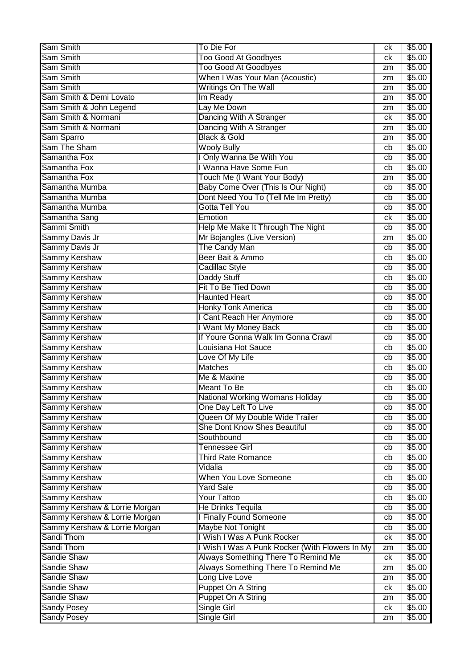| Sam Smith                     | To Die For                                     | сk              | \$5.00 |
|-------------------------------|------------------------------------------------|-----------------|--------|
| Sam Smith                     | <b>Too Good At Goodbyes</b>                    | сk              | \$5.00 |
| Sam Smith                     | <b>Too Good At Goodbyes</b>                    | zm              | \$5.00 |
| Sam Smith                     | When I Was Your Man (Acoustic)                 | zm              | \$5.00 |
| Sam Smith                     | Writings On The Wall                           | zm              | \$5.00 |
| Sam Smith & Demi Lovato       | Im Ready                                       | zm              | \$5.00 |
| Sam Smith & John Legend       | Lay Me Down                                    | zm              | \$5.00 |
| Sam Smith & Normani           | Dancing With A Stranger                        | ck              | \$5.00 |
| Sam Smith & Normani           | Dancing With A Stranger                        | zm              | \$5.00 |
| Sam Sparro                    | <b>Black &amp; Gold</b>                        | zm              | \$5.00 |
| Sam The Sham                  | <b>Wooly Bully</b>                             | cb              | \$5.00 |
| Samantha Fox                  | I Only Wanna Be With You                       | cb              | \$5.00 |
| Samantha Fox                  | I Wanna Have Some Fun                          | cb              | \$5.00 |
| Samantha Fox                  | Touch Me (I Want Your Body)                    | zm              | \$5.00 |
| Samantha Mumba                | Baby Come Over (This Is Our Night)             | cb              | \$5.00 |
| Samantha Mumba                | Dont Need You To (Tell Me Im Pretty)           | cb              | \$5.00 |
| Samantha Mumba                | Gotta Tell You                                 | cb              | \$5.00 |
| Samantha Sang                 | Emotion                                        | сk              | \$5.00 |
| Sammi Smith                   | Help Me Make It Through The Night              | cb              | \$5.00 |
| Sammy Davis Jr                | Mr Bojangles (Live Version)                    | zm              | \$5.00 |
| Sammy Davis Jr                | The Candy Man                                  | cb              | \$5.00 |
| <b>Sammy Kershaw</b>          | Beer Bait & Ammo                               | cb              | \$5.00 |
| <b>Sammy Kershaw</b>          | Cadillac Style                                 | cb              | \$5.00 |
| <b>Sammy Kershaw</b>          | Daddy Stuff                                    | cb              | \$5.00 |
| <b>Sammy Kershaw</b>          | Fit To Be Tied Down                            | cb              | \$5.00 |
| <b>Sammy Kershaw</b>          | <b>Haunted Heart</b>                           | cb              | \$5.00 |
| <b>Sammy Kershaw</b>          | <b>Honky Tonk America</b>                      | cb              | \$5.00 |
| Sammy Kershaw                 | I Cant Reach Her Anymore                       | cb              | \$5.00 |
| Sammy Kershaw                 | I Want My Money Back                           | cb              | \$5.00 |
| <b>Sammy Kershaw</b>          | If Youre Gonna Walk Im Gonna Crawl             | cb              | \$5.00 |
| <b>Sammy Kershaw</b>          | Louisiana Hot Sauce                            | cb              | \$5.00 |
| <b>Sammy Kershaw</b>          | Love Of My Life                                | cb              | \$5.00 |
| <b>Sammy Kershaw</b>          | <b>Matches</b>                                 | cb              | \$5.00 |
| <b>Sammy Kershaw</b>          | Me & Maxine                                    | cb              | \$5.00 |
| Sammy Kershaw                 | <b>Meant To Be</b>                             | cb              | \$5.00 |
| <b>Sammy Kershaw</b>          | National Working Womans Holiday                | $\overline{cb}$ | \$5.00 |
| <b>Sammy Kershaw</b>          | One Day Left To Live                           | cb              | \$5.00 |
| Sammy Kershaw                 | Queen Of My Double Wide Trailer                | cb              | \$5.00 |
| <b>Sammy Kershaw</b>          | She Dont Know Shes Beautiful                   | cb              | \$5.00 |
| <b>Sammy Kershaw</b>          | Southbound                                     | cb              | \$5.00 |
| <b>Sammy Kershaw</b>          | Tennessee Girl                                 | cb              | \$5.00 |
| Sammy Kershaw                 | <b>Third Rate Romance</b>                      | cb              | \$5.00 |
| <b>Sammy Kershaw</b>          | Vidalia                                        | cb              | \$5.00 |
| <b>Sammy Kershaw</b>          | <b>When You Love Someone</b>                   | cb              | \$5.00 |
| <b>Sammy Kershaw</b>          | <b>Yard Sale</b>                               | cb              | \$5.00 |
| Sammy Kershaw                 | <b>Your Tattoo</b>                             | cb              | \$5.00 |
| Sammy Kershaw & Lorrie Morgan | <b>He Drinks Tequila</b>                       | cb              | \$5.00 |
| Sammy Kershaw & Lorrie Morgan | I Finally Found Someone                        | cb              | \$5.00 |
| Sammy Kershaw & Lorrie Morgan | Maybe Not Tonight                              | cb              | \$5.00 |
| Sandi Thom                    | I Wish I Was A Punk Rocker                     | ck              | \$5.00 |
| Sandi Thom                    | I Wish I Was A Punk Rocker (With Flowers In My | zm              | \$5.00 |
| Sandie Shaw                   | Always Something There To Remind Me            | сk              | \$5.00 |
| <b>Sandie Shaw</b>            | Always Something There To Remind Me            | zm              | \$5.00 |
| Sandie Shaw                   | Long Live Love                                 | zm              | \$5.00 |
| <b>Sandie Shaw</b>            | Puppet On A String                             | ck              | \$5.00 |
| Sandie Shaw                   | Puppet On A String                             | zm              | \$5.00 |
| <b>Sandy Posey</b>            | Single Girl                                    | ck              | \$5.00 |
| <b>Sandy Posey</b>            | Single Girl                                    | zm              | \$5.00 |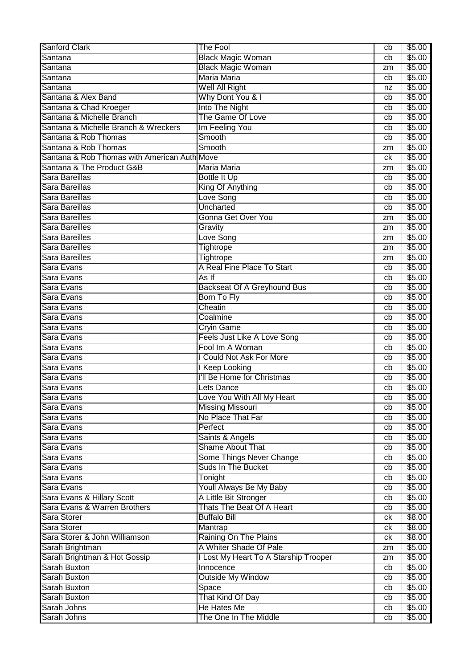| <b>Sanford Clark</b>                         | <b>The Fool</b>                       | cb       | \$5.00 |
|----------------------------------------------|---------------------------------------|----------|--------|
| Santana                                      | <b>Black Magic Woman</b>              | cb       | \$5.00 |
| Santana                                      | <b>Black Magic Woman</b>              | zm       | \$5.00 |
| Santana                                      | <b>Maria Maria</b>                    | cb       | \$5.00 |
| Santana                                      | Well All Right                        | nz       | \$5.00 |
| Santana & Alex Band                          | Why Dont You & I                      | cb       | \$5.00 |
| Santana & Chad Kroeger                       | <b>Into The Night</b>                 | cb       | \$5.00 |
| Santana & Michelle Branch                    | The Game Of Love                      | cb       | \$5.00 |
| Santana & Michelle Branch & Wreckers         | Im Feeling You                        | cb       | \$5.00 |
| Santana & Rob Thomas                         | Smooth                                | cb       | \$5.00 |
| Santana & Rob Thomas                         | Smooth                                | zm       | \$5.00 |
| Santana & Rob Thomas with American Auth Move |                                       | ck       | \$5.00 |
| Santana & The Product G&B                    | Maria Maria                           |          | \$5.00 |
| Sara Bareillas                               |                                       | zm<br>cb | \$5.00 |
| Sara Bareillas                               | Bottle It Up                          | cb       | \$5.00 |
| Sara Bareillas                               | King Of Anything                      |          |        |
|                                              | Love Song                             | cb       | \$5.00 |
| Sara Bareillas                               | <b>Uncharted</b>                      | cb       | \$5.00 |
| <b>Sara Bareilles</b>                        | <b>Gonna Get Over You</b>             | zm       | \$5.00 |
| Sara Bareilles                               | Gravity                               | zm       | \$5.00 |
| Sara Bareilles                               | Love Song                             | zm       | \$5.00 |
| Sara Bareilles                               | Tightrope                             | zm       | \$5.00 |
| Sara Bareilles                               | Tightrope                             | zm       | \$5.00 |
| Sara Evans                                   | A Real Fine Place To Start            | cb       | \$5.00 |
| Sara Evans                                   | As If                                 | cb       | \$5.00 |
| Sara Evans                                   | <b>Backseat Of A Greyhound Bus</b>    | cb       | \$5.00 |
| Sara Evans                                   | <b>Born To Fly</b>                    | cb       | \$5.00 |
| Sara Evans                                   | Cheatin                               | cb       | \$5.00 |
| Sara Evans                                   | Coalmine                              | cb       | \$5.00 |
| Sara Evans                                   | <b>Cryin Game</b>                     | cb       | \$5.00 |
| Sara Evans                                   | Feels Just Like A Love Song           | cb       | \$5.00 |
| Sara Evans                                   | Fool Im A Woman                       | cb       | \$5.00 |
| Sara Evans                                   | <b>Could Not Ask For More</b>         | cb       | \$5.00 |
| Sara Evans                                   | I Keep Looking                        | cb       | \$5.00 |
| Sara Evans                                   | I'll Be Home for Christmas            | cb       | \$5.00 |
| Sara Evans                                   | Lets Dance                            | cb       | \$5.00 |
| Sara Evans                                   | ove You With All My Heart             | cb       | \$5.00 |
| Sara Evans                                   | <b>Missing Missouri</b>               | cb       | \$5.00 |
| Sara Evans                                   | No Place That Far                     | cb       | \$5.00 |
| Sara Evans                                   | Perfect                               | cb       | \$5.00 |
| Sara Evans                                   | Saints & Angels                       | cb       | \$5.00 |
| Sara Evans                                   | <b>Shame About That</b>               | cb       | \$5.00 |
| Sara Evans                                   | Some Things Never Change              | cb       | \$5.00 |
| Sara Evans                                   | <b>Suds In The Bucket</b>             | cb       | \$5.00 |
| Sara Evans                                   | Tonight                               | cb       | \$5.00 |
| Sara Evans                                   | Youll Always Be My Baby               | cb       | \$5.00 |
| Sara Evans & Hillary Scott                   | A Little Bit Stronger                 | cb       | \$5.00 |
| Sara Evans & Warren Brothers                 | Thats The Beat Of A Heart             | cb       | \$5.00 |
| Sara Storer                                  | <b>Buffalo Bill</b>                   | ck       | \$8.00 |
| Sara Storer                                  | Mantrap                               | ck       | \$8.00 |
| Sara Storer & John Williamson                | Raining On The Plains                 | ck       | \$8.00 |
| Sarah Brightman                              | A Whiter Shade Of Pale                | zm       | \$5.00 |
| Sarah Brightman & Hot Gossip                 | I Lost My Heart To A Starship Trooper | zm       | \$5.00 |
| Sarah Buxton                                 | Innocence                             | cb       | \$5.00 |
| Sarah Buxton                                 | <b>Outside My Window</b>              | cb       | \$5.00 |
| <b>Sarah Buxton</b>                          | Space                                 | cb       | \$5.00 |
| <b>Sarah Buxton</b>                          | That Kind Of Day                      | cb       | \$5.00 |
| Sarah Johns                                  | He Hates Me                           | cb       | \$5.00 |
| Sarah Johns                                  | The One In The Middle                 | cb       | \$5.00 |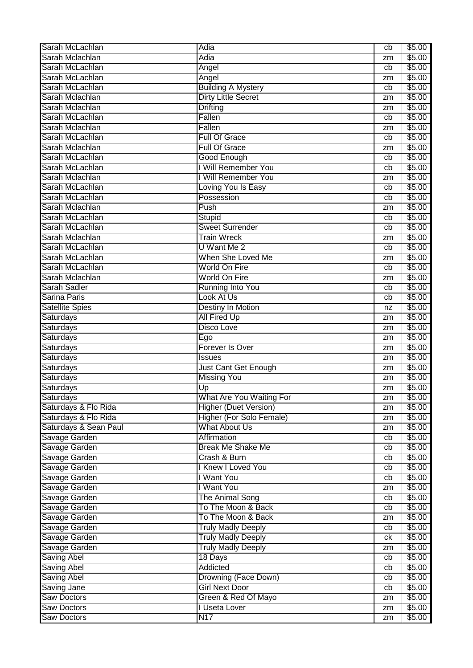| Sarah Mclachlan<br>Adia<br>\$5.00<br>zm<br>Sarah McLachlan<br>\$5.00<br>Angel<br>cb<br>Sarah McLachlan<br>\$5.00<br>Angel<br>zm<br>Sarah McLachlan<br><b>Building A Mystery</b><br>\$5.00<br>cb<br><b>Dirty Little Secret</b><br>Sarah Mclachlan<br>\$5.00<br>zm<br>Sarah Mclachlan<br><b>Drifting</b><br>\$5.00<br>zm<br>Sarah McLachlan<br>Fallen<br>\$5.00<br>cb<br>Sarah Mclachlan<br>Fallen<br>\$5.00<br>zm<br>Sarah McLachlan<br>\$5.00<br><b>Full Of Grace</b><br>cb<br>Sarah Mclachlan<br><b>Full Of Grace</b><br>\$5.00<br>zm<br>Sarah McLachlan<br><b>Good Enough</b><br>\$5.00<br>cb<br>I Will Remember You<br>Sarah McLachlan<br>\$5.00<br>cb<br>I Will Remember You<br>Sarah Mclachlan<br>\$5.00<br>zm<br>Sarah McLachlan<br>Loving You Is Easy<br>\$5.00<br>cb<br>Sarah McLachlan<br>Possession<br>\$5.00<br>cb<br>Sarah Mclachlan<br>Push<br>\$5.00<br>zm<br>Sarah McLachlan<br>Stupid<br>\$5.00<br>cb<br><b>Sweet Surrender</b><br>Sarah McLachlan<br>\$5.00<br>cb<br>Sarah Mclachlan<br><b>Train Wreck</b><br>\$5.00<br>zm<br>Sarah McLachlan<br>U Want Me 2<br>\$5.00<br>cb<br>When She Loved Me<br>Sarah McLachlan<br>\$5.00<br>zm<br><b>World On Fire</b><br>Sarah McLachlan<br>\$5.00<br>cb<br>Sarah Mclachlan<br><b>World On Fire</b><br>\$5.00<br>zm<br><b>Sarah Sadler</b><br><b>Running Into You</b><br>\$5.00<br>cb<br><b>Sarina Paris</b><br>Look At Us<br>\$5.00<br>cb<br><b>Destiny In Motion</b><br><b>Satellite Spies</b><br>\$5.00<br>nz<br><b>All Fired Up</b><br>\$5.00<br>Saturdays<br>zm<br>Saturdays<br><b>Disco Love</b><br>\$5.00<br>zm<br><b>Saturdays</b><br>\$5.00<br>Ego<br>zm<br>Forever Is Over<br><b>Saturdays</b><br>\$5.00<br>zm<br><b>Saturdays</b><br>\$5.00<br><b>Issues</b><br>zm<br>Saturdays<br>Just Cant Get Enough<br>\$5.00<br>zm<br><b>Missing You</b><br><b>Saturdays</b><br>\$5.00<br>zm<br>Saturdays<br>\$5.00<br>Up<br>zm<br>What Are You Waiting For<br>\$5.00<br>Saturdays<br>zm<br>Saturdays & Flo Rida<br><b>Higher (Duet Version)</b><br>\$5.00<br>zm<br>Saturdays & Flo Rida<br>Higher (For Solo Female)<br>\$5.00<br>zm<br>Saturdays & Sean Paul<br>What About Us<br>\$5.00<br>zm<br>Savage Garden<br>Affirmation<br>\$5.00<br>cb<br><b>Break Me Shake Me</b><br>Savage Garden<br>\$5.00<br>cb<br>Savage Garden<br>\$5.00<br>Crash & Burn<br>cb<br>Savage Garden<br><b>Knew I Loved You</b><br>\$5.00<br>cb<br>I Want You<br>Savage Garden<br>\$5.00<br>cb<br>I Want You<br>Savage Garden<br>\$5.00<br>zm<br>Savage Garden<br><b>The Animal Song</b><br>\$5.00<br>cb<br>\$5.00<br>Savage Garden<br>To The Moon & Back<br>cb<br>Savage Garden<br>To The Moon & Back<br>\$5.00<br>zm<br><b>Truly Madly Deeply</b><br>Savage Garden<br>\$5.00<br>cb<br><b>Truly Madly Deeply</b><br>Savage Garden<br>\$5.00<br>ck<br>Savage Garden<br><b>Truly Madly Deeply</b><br>\$5.00<br>zm<br><b>Saving Abel</b><br>18 Days<br>\$5.00<br>cb<br><b>Saving Abel</b><br><b>Addicted</b><br>\$5.00<br>cb<br>Drowning (Face Down)<br>\$5.00<br><b>Saving Abel</b><br>cb<br><b>Girl Next Door</b><br>\$5.00<br>Saving Jane<br>cb<br><b>Saw Doctors</b><br>Green & Red Of Mayo<br>\$5.00<br>zm<br><b>Saw Doctors</b><br>I Useta Lover<br>\$5.00<br>zm | Sarah McLachlan    | Adia | cb | \$5.00 |
|-------------------------------------------------------------------------------------------------------------------------------------------------------------------------------------------------------------------------------------------------------------------------------------------------------------------------------------------------------------------------------------------------------------------------------------------------------------------------------------------------------------------------------------------------------------------------------------------------------------------------------------------------------------------------------------------------------------------------------------------------------------------------------------------------------------------------------------------------------------------------------------------------------------------------------------------------------------------------------------------------------------------------------------------------------------------------------------------------------------------------------------------------------------------------------------------------------------------------------------------------------------------------------------------------------------------------------------------------------------------------------------------------------------------------------------------------------------------------------------------------------------------------------------------------------------------------------------------------------------------------------------------------------------------------------------------------------------------------------------------------------------------------------------------------------------------------------------------------------------------------------------------------------------------------------------------------------------------------------------------------------------------------------------------------------------------------------------------------------------------------------------------------------------------------------------------------------------------------------------------------------------------------------------------------------------------------------------------------------------------------------------------------------------------------------------------------------------------------------------------------------------------------------------------------------------------------------------------------------------------------------------------------------------------------------------------------------------------------------------------------------------------------------------------------------------------------------------------------------------------------------------------------------------------------------------------------------------------------------------------------------------------------------------------------------------------------------------------------------------------------------------------------------------------------------------------------------|--------------------|------|----|--------|
|                                                                                                                                                                                                                                                                                                                                                                                                                                                                                                                                                                                                                                                                                                                                                                                                                                                                                                                                                                                                                                                                                                                                                                                                                                                                                                                                                                                                                                                                                                                                                                                                                                                                                                                                                                                                                                                                                                                                                                                                                                                                                                                                                                                                                                                                                                                                                                                                                                                                                                                                                                                                                                                                                                                                                                                                                                                                                                                                                                                                                                                                                                                                                                                                       |                    |      |    |        |
|                                                                                                                                                                                                                                                                                                                                                                                                                                                                                                                                                                                                                                                                                                                                                                                                                                                                                                                                                                                                                                                                                                                                                                                                                                                                                                                                                                                                                                                                                                                                                                                                                                                                                                                                                                                                                                                                                                                                                                                                                                                                                                                                                                                                                                                                                                                                                                                                                                                                                                                                                                                                                                                                                                                                                                                                                                                                                                                                                                                                                                                                                                                                                                                                       |                    |      |    |        |
|                                                                                                                                                                                                                                                                                                                                                                                                                                                                                                                                                                                                                                                                                                                                                                                                                                                                                                                                                                                                                                                                                                                                                                                                                                                                                                                                                                                                                                                                                                                                                                                                                                                                                                                                                                                                                                                                                                                                                                                                                                                                                                                                                                                                                                                                                                                                                                                                                                                                                                                                                                                                                                                                                                                                                                                                                                                                                                                                                                                                                                                                                                                                                                                                       |                    |      |    |        |
|                                                                                                                                                                                                                                                                                                                                                                                                                                                                                                                                                                                                                                                                                                                                                                                                                                                                                                                                                                                                                                                                                                                                                                                                                                                                                                                                                                                                                                                                                                                                                                                                                                                                                                                                                                                                                                                                                                                                                                                                                                                                                                                                                                                                                                                                                                                                                                                                                                                                                                                                                                                                                                                                                                                                                                                                                                                                                                                                                                                                                                                                                                                                                                                                       |                    |      |    |        |
|                                                                                                                                                                                                                                                                                                                                                                                                                                                                                                                                                                                                                                                                                                                                                                                                                                                                                                                                                                                                                                                                                                                                                                                                                                                                                                                                                                                                                                                                                                                                                                                                                                                                                                                                                                                                                                                                                                                                                                                                                                                                                                                                                                                                                                                                                                                                                                                                                                                                                                                                                                                                                                                                                                                                                                                                                                                                                                                                                                                                                                                                                                                                                                                                       |                    |      |    |        |
|                                                                                                                                                                                                                                                                                                                                                                                                                                                                                                                                                                                                                                                                                                                                                                                                                                                                                                                                                                                                                                                                                                                                                                                                                                                                                                                                                                                                                                                                                                                                                                                                                                                                                                                                                                                                                                                                                                                                                                                                                                                                                                                                                                                                                                                                                                                                                                                                                                                                                                                                                                                                                                                                                                                                                                                                                                                                                                                                                                                                                                                                                                                                                                                                       |                    |      |    |        |
|                                                                                                                                                                                                                                                                                                                                                                                                                                                                                                                                                                                                                                                                                                                                                                                                                                                                                                                                                                                                                                                                                                                                                                                                                                                                                                                                                                                                                                                                                                                                                                                                                                                                                                                                                                                                                                                                                                                                                                                                                                                                                                                                                                                                                                                                                                                                                                                                                                                                                                                                                                                                                                                                                                                                                                                                                                                                                                                                                                                                                                                                                                                                                                                                       |                    |      |    |        |
|                                                                                                                                                                                                                                                                                                                                                                                                                                                                                                                                                                                                                                                                                                                                                                                                                                                                                                                                                                                                                                                                                                                                                                                                                                                                                                                                                                                                                                                                                                                                                                                                                                                                                                                                                                                                                                                                                                                                                                                                                                                                                                                                                                                                                                                                                                                                                                                                                                                                                                                                                                                                                                                                                                                                                                                                                                                                                                                                                                                                                                                                                                                                                                                                       |                    |      |    |        |
|                                                                                                                                                                                                                                                                                                                                                                                                                                                                                                                                                                                                                                                                                                                                                                                                                                                                                                                                                                                                                                                                                                                                                                                                                                                                                                                                                                                                                                                                                                                                                                                                                                                                                                                                                                                                                                                                                                                                                                                                                                                                                                                                                                                                                                                                                                                                                                                                                                                                                                                                                                                                                                                                                                                                                                                                                                                                                                                                                                                                                                                                                                                                                                                                       |                    |      |    |        |
|                                                                                                                                                                                                                                                                                                                                                                                                                                                                                                                                                                                                                                                                                                                                                                                                                                                                                                                                                                                                                                                                                                                                                                                                                                                                                                                                                                                                                                                                                                                                                                                                                                                                                                                                                                                                                                                                                                                                                                                                                                                                                                                                                                                                                                                                                                                                                                                                                                                                                                                                                                                                                                                                                                                                                                                                                                                                                                                                                                                                                                                                                                                                                                                                       |                    |      |    |        |
|                                                                                                                                                                                                                                                                                                                                                                                                                                                                                                                                                                                                                                                                                                                                                                                                                                                                                                                                                                                                                                                                                                                                                                                                                                                                                                                                                                                                                                                                                                                                                                                                                                                                                                                                                                                                                                                                                                                                                                                                                                                                                                                                                                                                                                                                                                                                                                                                                                                                                                                                                                                                                                                                                                                                                                                                                                                                                                                                                                                                                                                                                                                                                                                                       |                    |      |    |        |
|                                                                                                                                                                                                                                                                                                                                                                                                                                                                                                                                                                                                                                                                                                                                                                                                                                                                                                                                                                                                                                                                                                                                                                                                                                                                                                                                                                                                                                                                                                                                                                                                                                                                                                                                                                                                                                                                                                                                                                                                                                                                                                                                                                                                                                                                                                                                                                                                                                                                                                                                                                                                                                                                                                                                                                                                                                                                                                                                                                                                                                                                                                                                                                                                       |                    |      |    |        |
|                                                                                                                                                                                                                                                                                                                                                                                                                                                                                                                                                                                                                                                                                                                                                                                                                                                                                                                                                                                                                                                                                                                                                                                                                                                                                                                                                                                                                                                                                                                                                                                                                                                                                                                                                                                                                                                                                                                                                                                                                                                                                                                                                                                                                                                                                                                                                                                                                                                                                                                                                                                                                                                                                                                                                                                                                                                                                                                                                                                                                                                                                                                                                                                                       |                    |      |    |        |
|                                                                                                                                                                                                                                                                                                                                                                                                                                                                                                                                                                                                                                                                                                                                                                                                                                                                                                                                                                                                                                                                                                                                                                                                                                                                                                                                                                                                                                                                                                                                                                                                                                                                                                                                                                                                                                                                                                                                                                                                                                                                                                                                                                                                                                                                                                                                                                                                                                                                                                                                                                                                                                                                                                                                                                                                                                                                                                                                                                                                                                                                                                                                                                                                       |                    |      |    |        |
|                                                                                                                                                                                                                                                                                                                                                                                                                                                                                                                                                                                                                                                                                                                                                                                                                                                                                                                                                                                                                                                                                                                                                                                                                                                                                                                                                                                                                                                                                                                                                                                                                                                                                                                                                                                                                                                                                                                                                                                                                                                                                                                                                                                                                                                                                                                                                                                                                                                                                                                                                                                                                                                                                                                                                                                                                                                                                                                                                                                                                                                                                                                                                                                                       |                    |      |    |        |
|                                                                                                                                                                                                                                                                                                                                                                                                                                                                                                                                                                                                                                                                                                                                                                                                                                                                                                                                                                                                                                                                                                                                                                                                                                                                                                                                                                                                                                                                                                                                                                                                                                                                                                                                                                                                                                                                                                                                                                                                                                                                                                                                                                                                                                                                                                                                                                                                                                                                                                                                                                                                                                                                                                                                                                                                                                                                                                                                                                                                                                                                                                                                                                                                       |                    |      |    |        |
|                                                                                                                                                                                                                                                                                                                                                                                                                                                                                                                                                                                                                                                                                                                                                                                                                                                                                                                                                                                                                                                                                                                                                                                                                                                                                                                                                                                                                                                                                                                                                                                                                                                                                                                                                                                                                                                                                                                                                                                                                                                                                                                                                                                                                                                                                                                                                                                                                                                                                                                                                                                                                                                                                                                                                                                                                                                                                                                                                                                                                                                                                                                                                                                                       |                    |      |    |        |
|                                                                                                                                                                                                                                                                                                                                                                                                                                                                                                                                                                                                                                                                                                                                                                                                                                                                                                                                                                                                                                                                                                                                                                                                                                                                                                                                                                                                                                                                                                                                                                                                                                                                                                                                                                                                                                                                                                                                                                                                                                                                                                                                                                                                                                                                                                                                                                                                                                                                                                                                                                                                                                                                                                                                                                                                                                                                                                                                                                                                                                                                                                                                                                                                       |                    |      |    |        |
|                                                                                                                                                                                                                                                                                                                                                                                                                                                                                                                                                                                                                                                                                                                                                                                                                                                                                                                                                                                                                                                                                                                                                                                                                                                                                                                                                                                                                                                                                                                                                                                                                                                                                                                                                                                                                                                                                                                                                                                                                                                                                                                                                                                                                                                                                                                                                                                                                                                                                                                                                                                                                                                                                                                                                                                                                                                                                                                                                                                                                                                                                                                                                                                                       |                    |      |    |        |
|                                                                                                                                                                                                                                                                                                                                                                                                                                                                                                                                                                                                                                                                                                                                                                                                                                                                                                                                                                                                                                                                                                                                                                                                                                                                                                                                                                                                                                                                                                                                                                                                                                                                                                                                                                                                                                                                                                                                                                                                                                                                                                                                                                                                                                                                                                                                                                                                                                                                                                                                                                                                                                                                                                                                                                                                                                                                                                                                                                                                                                                                                                                                                                                                       |                    |      |    |        |
|                                                                                                                                                                                                                                                                                                                                                                                                                                                                                                                                                                                                                                                                                                                                                                                                                                                                                                                                                                                                                                                                                                                                                                                                                                                                                                                                                                                                                                                                                                                                                                                                                                                                                                                                                                                                                                                                                                                                                                                                                                                                                                                                                                                                                                                                                                                                                                                                                                                                                                                                                                                                                                                                                                                                                                                                                                                                                                                                                                                                                                                                                                                                                                                                       |                    |      |    |        |
|                                                                                                                                                                                                                                                                                                                                                                                                                                                                                                                                                                                                                                                                                                                                                                                                                                                                                                                                                                                                                                                                                                                                                                                                                                                                                                                                                                                                                                                                                                                                                                                                                                                                                                                                                                                                                                                                                                                                                                                                                                                                                                                                                                                                                                                                                                                                                                                                                                                                                                                                                                                                                                                                                                                                                                                                                                                                                                                                                                                                                                                                                                                                                                                                       |                    |      |    |        |
|                                                                                                                                                                                                                                                                                                                                                                                                                                                                                                                                                                                                                                                                                                                                                                                                                                                                                                                                                                                                                                                                                                                                                                                                                                                                                                                                                                                                                                                                                                                                                                                                                                                                                                                                                                                                                                                                                                                                                                                                                                                                                                                                                                                                                                                                                                                                                                                                                                                                                                                                                                                                                                                                                                                                                                                                                                                                                                                                                                                                                                                                                                                                                                                                       |                    |      |    |        |
|                                                                                                                                                                                                                                                                                                                                                                                                                                                                                                                                                                                                                                                                                                                                                                                                                                                                                                                                                                                                                                                                                                                                                                                                                                                                                                                                                                                                                                                                                                                                                                                                                                                                                                                                                                                                                                                                                                                                                                                                                                                                                                                                                                                                                                                                                                                                                                                                                                                                                                                                                                                                                                                                                                                                                                                                                                                                                                                                                                                                                                                                                                                                                                                                       |                    |      |    |        |
|                                                                                                                                                                                                                                                                                                                                                                                                                                                                                                                                                                                                                                                                                                                                                                                                                                                                                                                                                                                                                                                                                                                                                                                                                                                                                                                                                                                                                                                                                                                                                                                                                                                                                                                                                                                                                                                                                                                                                                                                                                                                                                                                                                                                                                                                                                                                                                                                                                                                                                                                                                                                                                                                                                                                                                                                                                                                                                                                                                                                                                                                                                                                                                                                       |                    |      |    |        |
|                                                                                                                                                                                                                                                                                                                                                                                                                                                                                                                                                                                                                                                                                                                                                                                                                                                                                                                                                                                                                                                                                                                                                                                                                                                                                                                                                                                                                                                                                                                                                                                                                                                                                                                                                                                                                                                                                                                                                                                                                                                                                                                                                                                                                                                                                                                                                                                                                                                                                                                                                                                                                                                                                                                                                                                                                                                                                                                                                                                                                                                                                                                                                                                                       |                    |      |    |        |
|                                                                                                                                                                                                                                                                                                                                                                                                                                                                                                                                                                                                                                                                                                                                                                                                                                                                                                                                                                                                                                                                                                                                                                                                                                                                                                                                                                                                                                                                                                                                                                                                                                                                                                                                                                                                                                                                                                                                                                                                                                                                                                                                                                                                                                                                                                                                                                                                                                                                                                                                                                                                                                                                                                                                                                                                                                                                                                                                                                                                                                                                                                                                                                                                       |                    |      |    |        |
|                                                                                                                                                                                                                                                                                                                                                                                                                                                                                                                                                                                                                                                                                                                                                                                                                                                                                                                                                                                                                                                                                                                                                                                                                                                                                                                                                                                                                                                                                                                                                                                                                                                                                                                                                                                                                                                                                                                                                                                                                                                                                                                                                                                                                                                                                                                                                                                                                                                                                                                                                                                                                                                                                                                                                                                                                                                                                                                                                                                                                                                                                                                                                                                                       |                    |      |    |        |
|                                                                                                                                                                                                                                                                                                                                                                                                                                                                                                                                                                                                                                                                                                                                                                                                                                                                                                                                                                                                                                                                                                                                                                                                                                                                                                                                                                                                                                                                                                                                                                                                                                                                                                                                                                                                                                                                                                                                                                                                                                                                                                                                                                                                                                                                                                                                                                                                                                                                                                                                                                                                                                                                                                                                                                                                                                                                                                                                                                                                                                                                                                                                                                                                       |                    |      |    |        |
|                                                                                                                                                                                                                                                                                                                                                                                                                                                                                                                                                                                                                                                                                                                                                                                                                                                                                                                                                                                                                                                                                                                                                                                                                                                                                                                                                                                                                                                                                                                                                                                                                                                                                                                                                                                                                                                                                                                                                                                                                                                                                                                                                                                                                                                                                                                                                                                                                                                                                                                                                                                                                                                                                                                                                                                                                                                                                                                                                                                                                                                                                                                                                                                                       |                    |      |    |        |
|                                                                                                                                                                                                                                                                                                                                                                                                                                                                                                                                                                                                                                                                                                                                                                                                                                                                                                                                                                                                                                                                                                                                                                                                                                                                                                                                                                                                                                                                                                                                                                                                                                                                                                                                                                                                                                                                                                                                                                                                                                                                                                                                                                                                                                                                                                                                                                                                                                                                                                                                                                                                                                                                                                                                                                                                                                                                                                                                                                                                                                                                                                                                                                                                       |                    |      |    |        |
|                                                                                                                                                                                                                                                                                                                                                                                                                                                                                                                                                                                                                                                                                                                                                                                                                                                                                                                                                                                                                                                                                                                                                                                                                                                                                                                                                                                                                                                                                                                                                                                                                                                                                                                                                                                                                                                                                                                                                                                                                                                                                                                                                                                                                                                                                                                                                                                                                                                                                                                                                                                                                                                                                                                                                                                                                                                                                                                                                                                                                                                                                                                                                                                                       |                    |      |    |        |
|                                                                                                                                                                                                                                                                                                                                                                                                                                                                                                                                                                                                                                                                                                                                                                                                                                                                                                                                                                                                                                                                                                                                                                                                                                                                                                                                                                                                                                                                                                                                                                                                                                                                                                                                                                                                                                                                                                                                                                                                                                                                                                                                                                                                                                                                                                                                                                                                                                                                                                                                                                                                                                                                                                                                                                                                                                                                                                                                                                                                                                                                                                                                                                                                       |                    |      |    |        |
|                                                                                                                                                                                                                                                                                                                                                                                                                                                                                                                                                                                                                                                                                                                                                                                                                                                                                                                                                                                                                                                                                                                                                                                                                                                                                                                                                                                                                                                                                                                                                                                                                                                                                                                                                                                                                                                                                                                                                                                                                                                                                                                                                                                                                                                                                                                                                                                                                                                                                                                                                                                                                                                                                                                                                                                                                                                                                                                                                                                                                                                                                                                                                                                                       |                    |      |    |        |
|                                                                                                                                                                                                                                                                                                                                                                                                                                                                                                                                                                                                                                                                                                                                                                                                                                                                                                                                                                                                                                                                                                                                                                                                                                                                                                                                                                                                                                                                                                                                                                                                                                                                                                                                                                                                                                                                                                                                                                                                                                                                                                                                                                                                                                                                                                                                                                                                                                                                                                                                                                                                                                                                                                                                                                                                                                                                                                                                                                                                                                                                                                                                                                                                       |                    |      |    |        |
|                                                                                                                                                                                                                                                                                                                                                                                                                                                                                                                                                                                                                                                                                                                                                                                                                                                                                                                                                                                                                                                                                                                                                                                                                                                                                                                                                                                                                                                                                                                                                                                                                                                                                                                                                                                                                                                                                                                                                                                                                                                                                                                                                                                                                                                                                                                                                                                                                                                                                                                                                                                                                                                                                                                                                                                                                                                                                                                                                                                                                                                                                                                                                                                                       |                    |      |    |        |
|                                                                                                                                                                                                                                                                                                                                                                                                                                                                                                                                                                                                                                                                                                                                                                                                                                                                                                                                                                                                                                                                                                                                                                                                                                                                                                                                                                                                                                                                                                                                                                                                                                                                                                                                                                                                                                                                                                                                                                                                                                                                                                                                                                                                                                                                                                                                                                                                                                                                                                                                                                                                                                                                                                                                                                                                                                                                                                                                                                                                                                                                                                                                                                                                       |                    |      |    |        |
|                                                                                                                                                                                                                                                                                                                                                                                                                                                                                                                                                                                                                                                                                                                                                                                                                                                                                                                                                                                                                                                                                                                                                                                                                                                                                                                                                                                                                                                                                                                                                                                                                                                                                                                                                                                                                                                                                                                                                                                                                                                                                                                                                                                                                                                                                                                                                                                                                                                                                                                                                                                                                                                                                                                                                                                                                                                                                                                                                                                                                                                                                                                                                                                                       |                    |      |    |        |
|                                                                                                                                                                                                                                                                                                                                                                                                                                                                                                                                                                                                                                                                                                                                                                                                                                                                                                                                                                                                                                                                                                                                                                                                                                                                                                                                                                                                                                                                                                                                                                                                                                                                                                                                                                                                                                                                                                                                                                                                                                                                                                                                                                                                                                                                                                                                                                                                                                                                                                                                                                                                                                                                                                                                                                                                                                                                                                                                                                                                                                                                                                                                                                                                       |                    |      |    |        |
|                                                                                                                                                                                                                                                                                                                                                                                                                                                                                                                                                                                                                                                                                                                                                                                                                                                                                                                                                                                                                                                                                                                                                                                                                                                                                                                                                                                                                                                                                                                                                                                                                                                                                                                                                                                                                                                                                                                                                                                                                                                                                                                                                                                                                                                                                                                                                                                                                                                                                                                                                                                                                                                                                                                                                                                                                                                                                                                                                                                                                                                                                                                                                                                                       |                    |      |    |        |
|                                                                                                                                                                                                                                                                                                                                                                                                                                                                                                                                                                                                                                                                                                                                                                                                                                                                                                                                                                                                                                                                                                                                                                                                                                                                                                                                                                                                                                                                                                                                                                                                                                                                                                                                                                                                                                                                                                                                                                                                                                                                                                                                                                                                                                                                                                                                                                                                                                                                                                                                                                                                                                                                                                                                                                                                                                                                                                                                                                                                                                                                                                                                                                                                       |                    |      |    |        |
|                                                                                                                                                                                                                                                                                                                                                                                                                                                                                                                                                                                                                                                                                                                                                                                                                                                                                                                                                                                                                                                                                                                                                                                                                                                                                                                                                                                                                                                                                                                                                                                                                                                                                                                                                                                                                                                                                                                                                                                                                                                                                                                                                                                                                                                                                                                                                                                                                                                                                                                                                                                                                                                                                                                                                                                                                                                                                                                                                                                                                                                                                                                                                                                                       |                    |      |    |        |
|                                                                                                                                                                                                                                                                                                                                                                                                                                                                                                                                                                                                                                                                                                                                                                                                                                                                                                                                                                                                                                                                                                                                                                                                                                                                                                                                                                                                                                                                                                                                                                                                                                                                                                                                                                                                                                                                                                                                                                                                                                                                                                                                                                                                                                                                                                                                                                                                                                                                                                                                                                                                                                                                                                                                                                                                                                                                                                                                                                                                                                                                                                                                                                                                       |                    |      |    |        |
|                                                                                                                                                                                                                                                                                                                                                                                                                                                                                                                                                                                                                                                                                                                                                                                                                                                                                                                                                                                                                                                                                                                                                                                                                                                                                                                                                                                                                                                                                                                                                                                                                                                                                                                                                                                                                                                                                                                                                                                                                                                                                                                                                                                                                                                                                                                                                                                                                                                                                                                                                                                                                                                                                                                                                                                                                                                                                                                                                                                                                                                                                                                                                                                                       |                    |      |    |        |
|                                                                                                                                                                                                                                                                                                                                                                                                                                                                                                                                                                                                                                                                                                                                                                                                                                                                                                                                                                                                                                                                                                                                                                                                                                                                                                                                                                                                                                                                                                                                                                                                                                                                                                                                                                                                                                                                                                                                                                                                                                                                                                                                                                                                                                                                                                                                                                                                                                                                                                                                                                                                                                                                                                                                                                                                                                                                                                                                                                                                                                                                                                                                                                                                       |                    |      |    |        |
|                                                                                                                                                                                                                                                                                                                                                                                                                                                                                                                                                                                                                                                                                                                                                                                                                                                                                                                                                                                                                                                                                                                                                                                                                                                                                                                                                                                                                                                                                                                                                                                                                                                                                                                                                                                                                                                                                                                                                                                                                                                                                                                                                                                                                                                                                                                                                                                                                                                                                                                                                                                                                                                                                                                                                                                                                                                                                                                                                                                                                                                                                                                                                                                                       |                    |      |    |        |
|                                                                                                                                                                                                                                                                                                                                                                                                                                                                                                                                                                                                                                                                                                                                                                                                                                                                                                                                                                                                                                                                                                                                                                                                                                                                                                                                                                                                                                                                                                                                                                                                                                                                                                                                                                                                                                                                                                                                                                                                                                                                                                                                                                                                                                                                                                                                                                                                                                                                                                                                                                                                                                                                                                                                                                                                                                                                                                                                                                                                                                                                                                                                                                                                       |                    |      |    |        |
|                                                                                                                                                                                                                                                                                                                                                                                                                                                                                                                                                                                                                                                                                                                                                                                                                                                                                                                                                                                                                                                                                                                                                                                                                                                                                                                                                                                                                                                                                                                                                                                                                                                                                                                                                                                                                                                                                                                                                                                                                                                                                                                                                                                                                                                                                                                                                                                                                                                                                                                                                                                                                                                                                                                                                                                                                                                                                                                                                                                                                                                                                                                                                                                                       |                    |      |    |        |
|                                                                                                                                                                                                                                                                                                                                                                                                                                                                                                                                                                                                                                                                                                                                                                                                                                                                                                                                                                                                                                                                                                                                                                                                                                                                                                                                                                                                                                                                                                                                                                                                                                                                                                                                                                                                                                                                                                                                                                                                                                                                                                                                                                                                                                                                                                                                                                                                                                                                                                                                                                                                                                                                                                                                                                                                                                                                                                                                                                                                                                                                                                                                                                                                       |                    |      |    |        |
|                                                                                                                                                                                                                                                                                                                                                                                                                                                                                                                                                                                                                                                                                                                                                                                                                                                                                                                                                                                                                                                                                                                                                                                                                                                                                                                                                                                                                                                                                                                                                                                                                                                                                                                                                                                                                                                                                                                                                                                                                                                                                                                                                                                                                                                                                                                                                                                                                                                                                                                                                                                                                                                                                                                                                                                                                                                                                                                                                                                                                                                                                                                                                                                                       |                    |      |    |        |
|                                                                                                                                                                                                                                                                                                                                                                                                                                                                                                                                                                                                                                                                                                                                                                                                                                                                                                                                                                                                                                                                                                                                                                                                                                                                                                                                                                                                                                                                                                                                                                                                                                                                                                                                                                                                                                                                                                                                                                                                                                                                                                                                                                                                                                                                                                                                                                                                                                                                                                                                                                                                                                                                                                                                                                                                                                                                                                                                                                                                                                                                                                                                                                                                       |                    |      |    |        |
|                                                                                                                                                                                                                                                                                                                                                                                                                                                                                                                                                                                                                                                                                                                                                                                                                                                                                                                                                                                                                                                                                                                                                                                                                                                                                                                                                                                                                                                                                                                                                                                                                                                                                                                                                                                                                                                                                                                                                                                                                                                                                                                                                                                                                                                                                                                                                                                                                                                                                                                                                                                                                                                                                                                                                                                                                                                                                                                                                                                                                                                                                                                                                                                                       |                    |      |    |        |
|                                                                                                                                                                                                                                                                                                                                                                                                                                                                                                                                                                                                                                                                                                                                                                                                                                                                                                                                                                                                                                                                                                                                                                                                                                                                                                                                                                                                                                                                                                                                                                                                                                                                                                                                                                                                                                                                                                                                                                                                                                                                                                                                                                                                                                                                                                                                                                                                                                                                                                                                                                                                                                                                                                                                                                                                                                                                                                                                                                                                                                                                                                                                                                                                       |                    |      |    |        |
|                                                                                                                                                                                                                                                                                                                                                                                                                                                                                                                                                                                                                                                                                                                                                                                                                                                                                                                                                                                                                                                                                                                                                                                                                                                                                                                                                                                                                                                                                                                                                                                                                                                                                                                                                                                                                                                                                                                                                                                                                                                                                                                                                                                                                                                                                                                                                                                                                                                                                                                                                                                                                                                                                                                                                                                                                                                                                                                                                                                                                                                                                                                                                                                                       |                    |      |    |        |
|                                                                                                                                                                                                                                                                                                                                                                                                                                                                                                                                                                                                                                                                                                                                                                                                                                                                                                                                                                                                                                                                                                                                                                                                                                                                                                                                                                                                                                                                                                                                                                                                                                                                                                                                                                                                                                                                                                                                                                                                                                                                                                                                                                                                                                                                                                                                                                                                                                                                                                                                                                                                                                                                                                                                                                                                                                                                                                                                                                                                                                                                                                                                                                                                       |                    |      |    |        |
|                                                                                                                                                                                                                                                                                                                                                                                                                                                                                                                                                                                                                                                                                                                                                                                                                                                                                                                                                                                                                                                                                                                                                                                                                                                                                                                                                                                                                                                                                                                                                                                                                                                                                                                                                                                                                                                                                                                                                                                                                                                                                                                                                                                                                                                                                                                                                                                                                                                                                                                                                                                                                                                                                                                                                                                                                                                                                                                                                                                                                                                                                                                                                                                                       |                    |      |    |        |
|                                                                                                                                                                                                                                                                                                                                                                                                                                                                                                                                                                                                                                                                                                                                                                                                                                                                                                                                                                                                                                                                                                                                                                                                                                                                                                                                                                                                                                                                                                                                                                                                                                                                                                                                                                                                                                                                                                                                                                                                                                                                                                                                                                                                                                                                                                                                                                                                                                                                                                                                                                                                                                                                                                                                                                                                                                                                                                                                                                                                                                                                                                                                                                                                       | <b>Saw Doctors</b> | N17  | zm | \$5.00 |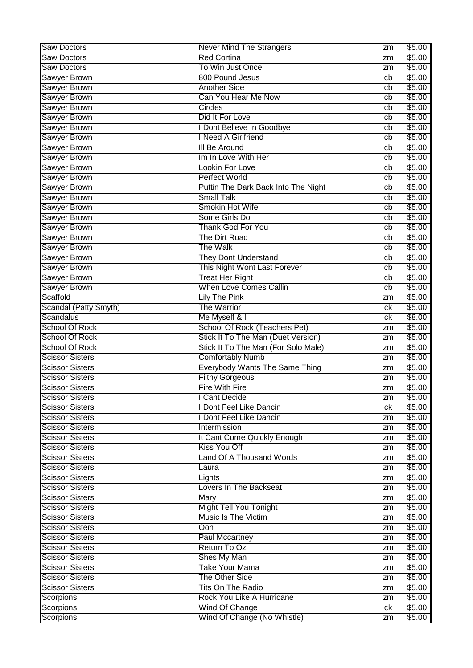| <b>Red Cortina</b><br>\$5.00<br><b>Saw Doctors</b><br>zm<br>To Win Just Once<br>\$5.00<br>Saw Doctors<br>zm<br>800 Pound Jesus<br>\$5.00<br>Sawyer Brown<br>cb<br><b>Another Side</b><br><b>Sawyer Brown</b><br>\$5.00<br>cb<br>Can You Hear Me Now<br><b>Sawyer Brown</b><br>\$5.00<br>cb<br>Sawyer Brown<br>\$5.00<br><b>Circles</b><br>cb<br>Sawyer Brown<br>\$5.00<br>Did It For Love<br>cb<br>Sawyer Brown<br>Dont Believe In Goodbye<br>\$5.00<br>cb<br><b>Sawyer Brown</b><br>Need A Girlfriend<br>\$5.00<br>cb<br><b>Sawyer Brown</b><br><b>III Be Around</b><br>\$5.00<br>cb<br>Sawyer Brown<br>Im In Love With Her<br>\$5.00<br>cb<br><b>Sawyer Brown</b><br><b>Lookin For Love</b><br>\$5.00<br>cb<br>Perfect World<br><b>Sawyer Brown</b><br>\$5.00<br>cb<br><b>Sawyer Brown</b><br>Puttin The Dark Back Into The Night<br>\$5.00<br>cb<br><b>Small Talk</b><br><b>Sawyer Brown</b><br>\$5.00<br>cb<br><b>Sawyer Brown</b><br>Smokin Hot Wife<br>\$5.00<br>cb<br>Sawyer Brown<br>Some Girls Do<br>\$5.00<br>cb<br><b>Sawyer Brown</b><br>\$5.00<br><b>Thank God For You</b><br>cb<br><b>Sawyer Brown</b><br>The Dirt Road<br>\$5.00<br>cb<br>The Walk<br><b>Sawyer Brown</b><br>\$5.00<br>cb<br>Sawyer Brown<br><b>They Dont Understand</b><br>\$5.00<br>cb<br><b>Sawyer Brown</b><br>This Night Wont Last Forever<br>\$5.00<br>cb<br>Sawyer Brown<br><b>Treat Her Right</b><br>\$5.00<br>cb<br><b>When Love Comes Callin</b><br><b>Sawyer Brown</b><br>\$5.00<br>cb<br>Scaffold<br><b>Lily The Pink</b><br>\$5.00<br>zm<br>Scandal (Patty Smyth)<br>The Warrior<br>\$5.00<br>ck<br>Scandalus<br>Me Myself & I<br>\$8.00<br>ck<br><b>School Of Rock (Teachers Pet)</b><br><b>School Of Rock</b><br>\$5.00<br>zm<br>Stick It To The Man (Duet Version)<br><b>School Of Rock</b><br>\$5.00<br>zm<br>Stick It To The Man (For Solo Male)<br><b>School Of Rock</b><br>\$5.00<br>zm<br><b>Scissor Sisters</b><br><b>Comfortably Numb</b><br>\$5.00<br>zm<br><b>Everybody Wants The Same Thing</b><br><b>Scissor Sisters</b><br>\$5.00<br>zm<br><b>Filthy Gorgeous</b><br><b>Scissor Sisters</b><br>\$5.00<br>zm<br><b>Scissor Sisters</b><br><b>Fire With Fire</b><br>\$5.00<br>zm<br>\$5.00<br><b>Scissor Sisters</b><br><b>Cant Decide</b><br>zm<br><b>Scissor Sisters</b><br>I Dont Feel Like Dancin<br>\$5.00<br>ck<br><b>Scissor Sisters</b><br>Dont Feel Like Dancin<br>\$5.00<br>zm<br><b>Scissor Sisters</b><br>\$5.00<br>Intermission<br>zm<br><b>Scissor Sisters</b><br>It Cant Come Quickly Enough<br>\$5.00<br>zm<br><b>Scissor Sisters</b><br>Kiss You Off<br>\$5.00<br>zm<br><b>Scissor Sisters</b><br><b>Land Of A Thousand Words</b><br>\$5.00<br>zm<br><b>Scissor Sisters</b><br>\$5.00<br>Laura<br>zm<br><b>Scissor Sisters</b><br>Lights<br>\$5.00<br>zm<br>Lovers In The Backseat<br><b>Scissor Sisters</b><br>\$5.00<br>zm<br><b>Scissor Sisters</b><br>Mary<br>\$5.00<br>zm<br><b>Might Tell You Tonight</b><br><b>Scissor Sisters</b><br>\$5.00<br>zm<br>Music Is The Victim<br><b>Scissor Sisters</b><br>\$5.00<br>zm<br><b>Scissor Sisters</b><br>Ooh<br>\$5.00<br>zm<br><b>Scissor Sisters</b><br><b>Paul Mccartney</b><br>\$5.00<br>zm<br>Return To Oz<br><b>Scissor Sisters</b><br>\$5.00<br>zm<br>Shes My Man<br><b>Scissor Sisters</b><br>\$5.00<br>zm<br><b>Take Your Mama</b><br><b>Scissor Sisters</b><br>\$5.00<br>zm<br><b>Scissor Sisters</b><br>The Other Side<br>\$5.00<br>zm<br><b>Scissor Sisters</b><br><b>Tits On The Radio</b><br>\$5.00<br>zm<br>Rock You Like A Hurricane<br>Scorpions<br>\$5.00<br>zm<br><b>Scorpions</b><br>\$5.00<br>Wind Of Change<br>ck | <b>Saw Doctors</b> | <b>Never Mind The Strangers</b> | zm | \$5.00 |
|------------------------------------------------------------------------------------------------------------------------------------------------------------------------------------------------------------------------------------------------------------------------------------------------------------------------------------------------------------------------------------------------------------------------------------------------------------------------------------------------------------------------------------------------------------------------------------------------------------------------------------------------------------------------------------------------------------------------------------------------------------------------------------------------------------------------------------------------------------------------------------------------------------------------------------------------------------------------------------------------------------------------------------------------------------------------------------------------------------------------------------------------------------------------------------------------------------------------------------------------------------------------------------------------------------------------------------------------------------------------------------------------------------------------------------------------------------------------------------------------------------------------------------------------------------------------------------------------------------------------------------------------------------------------------------------------------------------------------------------------------------------------------------------------------------------------------------------------------------------------------------------------------------------------------------------------------------------------------------------------------------------------------------------------------------------------------------------------------------------------------------------------------------------------------------------------------------------------------------------------------------------------------------------------------------------------------------------------------------------------------------------------------------------------------------------------------------------------------------------------------------------------------------------------------------------------------------------------------------------------------------------------------------------------------------------------------------------------------------------------------------------------------------------------------------------------------------------------------------------------------------------------------------------------------------------------------------------------------------------------------------------------------------------------------------------------------------------------------------------------------------------------------------------------------------------------------------------------------------------------------------------------------------------------------------------------------------------------------------------------------------------------------------------------------------------------------------------------------------------------------------------------------------------------------------------------------------------------------------------|--------------------|---------------------------------|----|--------|
|                                                                                                                                                                                                                                                                                                                                                                                                                                                                                                                                                                                                                                                                                                                                                                                                                                                                                                                                                                                                                                                                                                                                                                                                                                                                                                                                                                                                                                                                                                                                                                                                                                                                                                                                                                                                                                                                                                                                                                                                                                                                                                                                                                                                                                                                                                                                                                                                                                                                                                                                                                                                                                                                                                                                                                                                                                                                                                                                                                                                                                                                                                                                                                                                                                                                                                                                                                                                                                                                                                                                                                                                                  |                    |                                 |    |        |
|                                                                                                                                                                                                                                                                                                                                                                                                                                                                                                                                                                                                                                                                                                                                                                                                                                                                                                                                                                                                                                                                                                                                                                                                                                                                                                                                                                                                                                                                                                                                                                                                                                                                                                                                                                                                                                                                                                                                                                                                                                                                                                                                                                                                                                                                                                                                                                                                                                                                                                                                                                                                                                                                                                                                                                                                                                                                                                                                                                                                                                                                                                                                                                                                                                                                                                                                                                                                                                                                                                                                                                                                                  |                    |                                 |    |        |
|                                                                                                                                                                                                                                                                                                                                                                                                                                                                                                                                                                                                                                                                                                                                                                                                                                                                                                                                                                                                                                                                                                                                                                                                                                                                                                                                                                                                                                                                                                                                                                                                                                                                                                                                                                                                                                                                                                                                                                                                                                                                                                                                                                                                                                                                                                                                                                                                                                                                                                                                                                                                                                                                                                                                                                                                                                                                                                                                                                                                                                                                                                                                                                                                                                                                                                                                                                                                                                                                                                                                                                                                                  |                    |                                 |    |        |
|                                                                                                                                                                                                                                                                                                                                                                                                                                                                                                                                                                                                                                                                                                                                                                                                                                                                                                                                                                                                                                                                                                                                                                                                                                                                                                                                                                                                                                                                                                                                                                                                                                                                                                                                                                                                                                                                                                                                                                                                                                                                                                                                                                                                                                                                                                                                                                                                                                                                                                                                                                                                                                                                                                                                                                                                                                                                                                                                                                                                                                                                                                                                                                                                                                                                                                                                                                                                                                                                                                                                                                                                                  |                    |                                 |    |        |
|                                                                                                                                                                                                                                                                                                                                                                                                                                                                                                                                                                                                                                                                                                                                                                                                                                                                                                                                                                                                                                                                                                                                                                                                                                                                                                                                                                                                                                                                                                                                                                                                                                                                                                                                                                                                                                                                                                                                                                                                                                                                                                                                                                                                                                                                                                                                                                                                                                                                                                                                                                                                                                                                                                                                                                                                                                                                                                                                                                                                                                                                                                                                                                                                                                                                                                                                                                                                                                                                                                                                                                                                                  |                    |                                 |    |        |
|                                                                                                                                                                                                                                                                                                                                                                                                                                                                                                                                                                                                                                                                                                                                                                                                                                                                                                                                                                                                                                                                                                                                                                                                                                                                                                                                                                                                                                                                                                                                                                                                                                                                                                                                                                                                                                                                                                                                                                                                                                                                                                                                                                                                                                                                                                                                                                                                                                                                                                                                                                                                                                                                                                                                                                                                                                                                                                                                                                                                                                                                                                                                                                                                                                                                                                                                                                                                                                                                                                                                                                                                                  |                    |                                 |    |        |
|                                                                                                                                                                                                                                                                                                                                                                                                                                                                                                                                                                                                                                                                                                                                                                                                                                                                                                                                                                                                                                                                                                                                                                                                                                                                                                                                                                                                                                                                                                                                                                                                                                                                                                                                                                                                                                                                                                                                                                                                                                                                                                                                                                                                                                                                                                                                                                                                                                                                                                                                                                                                                                                                                                                                                                                                                                                                                                                                                                                                                                                                                                                                                                                                                                                                                                                                                                                                                                                                                                                                                                                                                  |                    |                                 |    |        |
|                                                                                                                                                                                                                                                                                                                                                                                                                                                                                                                                                                                                                                                                                                                                                                                                                                                                                                                                                                                                                                                                                                                                                                                                                                                                                                                                                                                                                                                                                                                                                                                                                                                                                                                                                                                                                                                                                                                                                                                                                                                                                                                                                                                                                                                                                                                                                                                                                                                                                                                                                                                                                                                                                                                                                                                                                                                                                                                                                                                                                                                                                                                                                                                                                                                                                                                                                                                                                                                                                                                                                                                                                  |                    |                                 |    |        |
|                                                                                                                                                                                                                                                                                                                                                                                                                                                                                                                                                                                                                                                                                                                                                                                                                                                                                                                                                                                                                                                                                                                                                                                                                                                                                                                                                                                                                                                                                                                                                                                                                                                                                                                                                                                                                                                                                                                                                                                                                                                                                                                                                                                                                                                                                                                                                                                                                                                                                                                                                                                                                                                                                                                                                                                                                                                                                                                                                                                                                                                                                                                                                                                                                                                                                                                                                                                                                                                                                                                                                                                                                  |                    |                                 |    |        |
|                                                                                                                                                                                                                                                                                                                                                                                                                                                                                                                                                                                                                                                                                                                                                                                                                                                                                                                                                                                                                                                                                                                                                                                                                                                                                                                                                                                                                                                                                                                                                                                                                                                                                                                                                                                                                                                                                                                                                                                                                                                                                                                                                                                                                                                                                                                                                                                                                                                                                                                                                                                                                                                                                                                                                                                                                                                                                                                                                                                                                                                                                                                                                                                                                                                                                                                                                                                                                                                                                                                                                                                                                  |                    |                                 |    |        |
|                                                                                                                                                                                                                                                                                                                                                                                                                                                                                                                                                                                                                                                                                                                                                                                                                                                                                                                                                                                                                                                                                                                                                                                                                                                                                                                                                                                                                                                                                                                                                                                                                                                                                                                                                                                                                                                                                                                                                                                                                                                                                                                                                                                                                                                                                                                                                                                                                                                                                                                                                                                                                                                                                                                                                                                                                                                                                                                                                                                                                                                                                                                                                                                                                                                                                                                                                                                                                                                                                                                                                                                                                  |                    |                                 |    |        |
|                                                                                                                                                                                                                                                                                                                                                                                                                                                                                                                                                                                                                                                                                                                                                                                                                                                                                                                                                                                                                                                                                                                                                                                                                                                                                                                                                                                                                                                                                                                                                                                                                                                                                                                                                                                                                                                                                                                                                                                                                                                                                                                                                                                                                                                                                                                                                                                                                                                                                                                                                                                                                                                                                                                                                                                                                                                                                                                                                                                                                                                                                                                                                                                                                                                                                                                                                                                                                                                                                                                                                                                                                  |                    |                                 |    |        |
|                                                                                                                                                                                                                                                                                                                                                                                                                                                                                                                                                                                                                                                                                                                                                                                                                                                                                                                                                                                                                                                                                                                                                                                                                                                                                                                                                                                                                                                                                                                                                                                                                                                                                                                                                                                                                                                                                                                                                                                                                                                                                                                                                                                                                                                                                                                                                                                                                                                                                                                                                                                                                                                                                                                                                                                                                                                                                                                                                                                                                                                                                                                                                                                                                                                                                                                                                                                                                                                                                                                                                                                                                  |                    |                                 |    |        |
|                                                                                                                                                                                                                                                                                                                                                                                                                                                                                                                                                                                                                                                                                                                                                                                                                                                                                                                                                                                                                                                                                                                                                                                                                                                                                                                                                                                                                                                                                                                                                                                                                                                                                                                                                                                                                                                                                                                                                                                                                                                                                                                                                                                                                                                                                                                                                                                                                                                                                                                                                                                                                                                                                                                                                                                                                                                                                                                                                                                                                                                                                                                                                                                                                                                                                                                                                                                                                                                                                                                                                                                                                  |                    |                                 |    |        |
|                                                                                                                                                                                                                                                                                                                                                                                                                                                                                                                                                                                                                                                                                                                                                                                                                                                                                                                                                                                                                                                                                                                                                                                                                                                                                                                                                                                                                                                                                                                                                                                                                                                                                                                                                                                                                                                                                                                                                                                                                                                                                                                                                                                                                                                                                                                                                                                                                                                                                                                                                                                                                                                                                                                                                                                                                                                                                                                                                                                                                                                                                                                                                                                                                                                                                                                                                                                                                                                                                                                                                                                                                  |                    |                                 |    |        |
|                                                                                                                                                                                                                                                                                                                                                                                                                                                                                                                                                                                                                                                                                                                                                                                                                                                                                                                                                                                                                                                                                                                                                                                                                                                                                                                                                                                                                                                                                                                                                                                                                                                                                                                                                                                                                                                                                                                                                                                                                                                                                                                                                                                                                                                                                                                                                                                                                                                                                                                                                                                                                                                                                                                                                                                                                                                                                                                                                                                                                                                                                                                                                                                                                                                                                                                                                                                                                                                                                                                                                                                                                  |                    |                                 |    |        |
|                                                                                                                                                                                                                                                                                                                                                                                                                                                                                                                                                                                                                                                                                                                                                                                                                                                                                                                                                                                                                                                                                                                                                                                                                                                                                                                                                                                                                                                                                                                                                                                                                                                                                                                                                                                                                                                                                                                                                                                                                                                                                                                                                                                                                                                                                                                                                                                                                                                                                                                                                                                                                                                                                                                                                                                                                                                                                                                                                                                                                                                                                                                                                                                                                                                                                                                                                                                                                                                                                                                                                                                                                  |                    |                                 |    |        |
|                                                                                                                                                                                                                                                                                                                                                                                                                                                                                                                                                                                                                                                                                                                                                                                                                                                                                                                                                                                                                                                                                                                                                                                                                                                                                                                                                                                                                                                                                                                                                                                                                                                                                                                                                                                                                                                                                                                                                                                                                                                                                                                                                                                                                                                                                                                                                                                                                                                                                                                                                                                                                                                                                                                                                                                                                                                                                                                                                                                                                                                                                                                                                                                                                                                                                                                                                                                                                                                                                                                                                                                                                  |                    |                                 |    |        |
|                                                                                                                                                                                                                                                                                                                                                                                                                                                                                                                                                                                                                                                                                                                                                                                                                                                                                                                                                                                                                                                                                                                                                                                                                                                                                                                                                                                                                                                                                                                                                                                                                                                                                                                                                                                                                                                                                                                                                                                                                                                                                                                                                                                                                                                                                                                                                                                                                                                                                                                                                                                                                                                                                                                                                                                                                                                                                                                                                                                                                                                                                                                                                                                                                                                                                                                                                                                                                                                                                                                                                                                                                  |                    |                                 |    |        |
|                                                                                                                                                                                                                                                                                                                                                                                                                                                                                                                                                                                                                                                                                                                                                                                                                                                                                                                                                                                                                                                                                                                                                                                                                                                                                                                                                                                                                                                                                                                                                                                                                                                                                                                                                                                                                                                                                                                                                                                                                                                                                                                                                                                                                                                                                                                                                                                                                                                                                                                                                                                                                                                                                                                                                                                                                                                                                                                                                                                                                                                                                                                                                                                                                                                                                                                                                                                                                                                                                                                                                                                                                  |                    |                                 |    |        |
|                                                                                                                                                                                                                                                                                                                                                                                                                                                                                                                                                                                                                                                                                                                                                                                                                                                                                                                                                                                                                                                                                                                                                                                                                                                                                                                                                                                                                                                                                                                                                                                                                                                                                                                                                                                                                                                                                                                                                                                                                                                                                                                                                                                                                                                                                                                                                                                                                                                                                                                                                                                                                                                                                                                                                                                                                                                                                                                                                                                                                                                                                                                                                                                                                                                                                                                                                                                                                                                                                                                                                                                                                  |                    |                                 |    |        |
|                                                                                                                                                                                                                                                                                                                                                                                                                                                                                                                                                                                                                                                                                                                                                                                                                                                                                                                                                                                                                                                                                                                                                                                                                                                                                                                                                                                                                                                                                                                                                                                                                                                                                                                                                                                                                                                                                                                                                                                                                                                                                                                                                                                                                                                                                                                                                                                                                                                                                                                                                                                                                                                                                                                                                                                                                                                                                                                                                                                                                                                                                                                                                                                                                                                                                                                                                                                                                                                                                                                                                                                                                  |                    |                                 |    |        |
|                                                                                                                                                                                                                                                                                                                                                                                                                                                                                                                                                                                                                                                                                                                                                                                                                                                                                                                                                                                                                                                                                                                                                                                                                                                                                                                                                                                                                                                                                                                                                                                                                                                                                                                                                                                                                                                                                                                                                                                                                                                                                                                                                                                                                                                                                                                                                                                                                                                                                                                                                                                                                                                                                                                                                                                                                                                                                                                                                                                                                                                                                                                                                                                                                                                                                                                                                                                                                                                                                                                                                                                                                  |                    |                                 |    |        |
|                                                                                                                                                                                                                                                                                                                                                                                                                                                                                                                                                                                                                                                                                                                                                                                                                                                                                                                                                                                                                                                                                                                                                                                                                                                                                                                                                                                                                                                                                                                                                                                                                                                                                                                                                                                                                                                                                                                                                                                                                                                                                                                                                                                                                                                                                                                                                                                                                                                                                                                                                                                                                                                                                                                                                                                                                                                                                                                                                                                                                                                                                                                                                                                                                                                                                                                                                                                                                                                                                                                                                                                                                  |                    |                                 |    |        |
|                                                                                                                                                                                                                                                                                                                                                                                                                                                                                                                                                                                                                                                                                                                                                                                                                                                                                                                                                                                                                                                                                                                                                                                                                                                                                                                                                                                                                                                                                                                                                                                                                                                                                                                                                                                                                                                                                                                                                                                                                                                                                                                                                                                                                                                                                                                                                                                                                                                                                                                                                                                                                                                                                                                                                                                                                                                                                                                                                                                                                                                                                                                                                                                                                                                                                                                                                                                                                                                                                                                                                                                                                  |                    |                                 |    |        |
|                                                                                                                                                                                                                                                                                                                                                                                                                                                                                                                                                                                                                                                                                                                                                                                                                                                                                                                                                                                                                                                                                                                                                                                                                                                                                                                                                                                                                                                                                                                                                                                                                                                                                                                                                                                                                                                                                                                                                                                                                                                                                                                                                                                                                                                                                                                                                                                                                                                                                                                                                                                                                                                                                                                                                                                                                                                                                                                                                                                                                                                                                                                                                                                                                                                                                                                                                                                                                                                                                                                                                                                                                  |                    |                                 |    |        |
|                                                                                                                                                                                                                                                                                                                                                                                                                                                                                                                                                                                                                                                                                                                                                                                                                                                                                                                                                                                                                                                                                                                                                                                                                                                                                                                                                                                                                                                                                                                                                                                                                                                                                                                                                                                                                                                                                                                                                                                                                                                                                                                                                                                                                                                                                                                                                                                                                                                                                                                                                                                                                                                                                                                                                                                                                                                                                                                                                                                                                                                                                                                                                                                                                                                                                                                                                                                                                                                                                                                                                                                                                  |                    |                                 |    |        |
|                                                                                                                                                                                                                                                                                                                                                                                                                                                                                                                                                                                                                                                                                                                                                                                                                                                                                                                                                                                                                                                                                                                                                                                                                                                                                                                                                                                                                                                                                                                                                                                                                                                                                                                                                                                                                                                                                                                                                                                                                                                                                                                                                                                                                                                                                                                                                                                                                                                                                                                                                                                                                                                                                                                                                                                                                                                                                                                                                                                                                                                                                                                                                                                                                                                                                                                                                                                                                                                                                                                                                                                                                  |                    |                                 |    |        |
|                                                                                                                                                                                                                                                                                                                                                                                                                                                                                                                                                                                                                                                                                                                                                                                                                                                                                                                                                                                                                                                                                                                                                                                                                                                                                                                                                                                                                                                                                                                                                                                                                                                                                                                                                                                                                                                                                                                                                                                                                                                                                                                                                                                                                                                                                                                                                                                                                                                                                                                                                                                                                                                                                                                                                                                                                                                                                                                                                                                                                                                                                                                                                                                                                                                                                                                                                                                                                                                                                                                                                                                                                  |                    |                                 |    |        |
|                                                                                                                                                                                                                                                                                                                                                                                                                                                                                                                                                                                                                                                                                                                                                                                                                                                                                                                                                                                                                                                                                                                                                                                                                                                                                                                                                                                                                                                                                                                                                                                                                                                                                                                                                                                                                                                                                                                                                                                                                                                                                                                                                                                                                                                                                                                                                                                                                                                                                                                                                                                                                                                                                                                                                                                                                                                                                                                                                                                                                                                                                                                                                                                                                                                                                                                                                                                                                                                                                                                                                                                                                  |                    |                                 |    |        |
|                                                                                                                                                                                                                                                                                                                                                                                                                                                                                                                                                                                                                                                                                                                                                                                                                                                                                                                                                                                                                                                                                                                                                                                                                                                                                                                                                                                                                                                                                                                                                                                                                                                                                                                                                                                                                                                                                                                                                                                                                                                                                                                                                                                                                                                                                                                                                                                                                                                                                                                                                                                                                                                                                                                                                                                                                                                                                                                                                                                                                                                                                                                                                                                                                                                                                                                                                                                                                                                                                                                                                                                                                  |                    |                                 |    |        |
|                                                                                                                                                                                                                                                                                                                                                                                                                                                                                                                                                                                                                                                                                                                                                                                                                                                                                                                                                                                                                                                                                                                                                                                                                                                                                                                                                                                                                                                                                                                                                                                                                                                                                                                                                                                                                                                                                                                                                                                                                                                                                                                                                                                                                                                                                                                                                                                                                                                                                                                                                                                                                                                                                                                                                                                                                                                                                                                                                                                                                                                                                                                                                                                                                                                                                                                                                                                                                                                                                                                                                                                                                  |                    |                                 |    |        |
|                                                                                                                                                                                                                                                                                                                                                                                                                                                                                                                                                                                                                                                                                                                                                                                                                                                                                                                                                                                                                                                                                                                                                                                                                                                                                                                                                                                                                                                                                                                                                                                                                                                                                                                                                                                                                                                                                                                                                                                                                                                                                                                                                                                                                                                                                                                                                                                                                                                                                                                                                                                                                                                                                                                                                                                                                                                                                                                                                                                                                                                                                                                                                                                                                                                                                                                                                                                                                                                                                                                                                                                                                  |                    |                                 |    |        |
|                                                                                                                                                                                                                                                                                                                                                                                                                                                                                                                                                                                                                                                                                                                                                                                                                                                                                                                                                                                                                                                                                                                                                                                                                                                                                                                                                                                                                                                                                                                                                                                                                                                                                                                                                                                                                                                                                                                                                                                                                                                                                                                                                                                                                                                                                                                                                                                                                                                                                                                                                                                                                                                                                                                                                                                                                                                                                                                                                                                                                                                                                                                                                                                                                                                                                                                                                                                                                                                                                                                                                                                                                  |                    |                                 |    |        |
|                                                                                                                                                                                                                                                                                                                                                                                                                                                                                                                                                                                                                                                                                                                                                                                                                                                                                                                                                                                                                                                                                                                                                                                                                                                                                                                                                                                                                                                                                                                                                                                                                                                                                                                                                                                                                                                                                                                                                                                                                                                                                                                                                                                                                                                                                                                                                                                                                                                                                                                                                                                                                                                                                                                                                                                                                                                                                                                                                                                                                                                                                                                                                                                                                                                                                                                                                                                                                                                                                                                                                                                                                  |                    |                                 |    |        |
|                                                                                                                                                                                                                                                                                                                                                                                                                                                                                                                                                                                                                                                                                                                                                                                                                                                                                                                                                                                                                                                                                                                                                                                                                                                                                                                                                                                                                                                                                                                                                                                                                                                                                                                                                                                                                                                                                                                                                                                                                                                                                                                                                                                                                                                                                                                                                                                                                                                                                                                                                                                                                                                                                                                                                                                                                                                                                                                                                                                                                                                                                                                                                                                                                                                                                                                                                                                                                                                                                                                                                                                                                  |                    |                                 |    |        |
|                                                                                                                                                                                                                                                                                                                                                                                                                                                                                                                                                                                                                                                                                                                                                                                                                                                                                                                                                                                                                                                                                                                                                                                                                                                                                                                                                                                                                                                                                                                                                                                                                                                                                                                                                                                                                                                                                                                                                                                                                                                                                                                                                                                                                                                                                                                                                                                                                                                                                                                                                                                                                                                                                                                                                                                                                                                                                                                                                                                                                                                                                                                                                                                                                                                                                                                                                                                                                                                                                                                                                                                                                  |                    |                                 |    |        |
|                                                                                                                                                                                                                                                                                                                                                                                                                                                                                                                                                                                                                                                                                                                                                                                                                                                                                                                                                                                                                                                                                                                                                                                                                                                                                                                                                                                                                                                                                                                                                                                                                                                                                                                                                                                                                                                                                                                                                                                                                                                                                                                                                                                                                                                                                                                                                                                                                                                                                                                                                                                                                                                                                                                                                                                                                                                                                                                                                                                                                                                                                                                                                                                                                                                                                                                                                                                                                                                                                                                                                                                                                  |                    |                                 |    |        |
|                                                                                                                                                                                                                                                                                                                                                                                                                                                                                                                                                                                                                                                                                                                                                                                                                                                                                                                                                                                                                                                                                                                                                                                                                                                                                                                                                                                                                                                                                                                                                                                                                                                                                                                                                                                                                                                                                                                                                                                                                                                                                                                                                                                                                                                                                                                                                                                                                                                                                                                                                                                                                                                                                                                                                                                                                                                                                                                                                                                                                                                                                                                                                                                                                                                                                                                                                                                                                                                                                                                                                                                                                  |                    |                                 |    |        |
|                                                                                                                                                                                                                                                                                                                                                                                                                                                                                                                                                                                                                                                                                                                                                                                                                                                                                                                                                                                                                                                                                                                                                                                                                                                                                                                                                                                                                                                                                                                                                                                                                                                                                                                                                                                                                                                                                                                                                                                                                                                                                                                                                                                                                                                                                                                                                                                                                                                                                                                                                                                                                                                                                                                                                                                                                                                                                                                                                                                                                                                                                                                                                                                                                                                                                                                                                                                                                                                                                                                                                                                                                  |                    |                                 |    |        |
|                                                                                                                                                                                                                                                                                                                                                                                                                                                                                                                                                                                                                                                                                                                                                                                                                                                                                                                                                                                                                                                                                                                                                                                                                                                                                                                                                                                                                                                                                                                                                                                                                                                                                                                                                                                                                                                                                                                                                                                                                                                                                                                                                                                                                                                                                                                                                                                                                                                                                                                                                                                                                                                                                                                                                                                                                                                                                                                                                                                                                                                                                                                                                                                                                                                                                                                                                                                                                                                                                                                                                                                                                  |                    |                                 |    |        |
|                                                                                                                                                                                                                                                                                                                                                                                                                                                                                                                                                                                                                                                                                                                                                                                                                                                                                                                                                                                                                                                                                                                                                                                                                                                                                                                                                                                                                                                                                                                                                                                                                                                                                                                                                                                                                                                                                                                                                                                                                                                                                                                                                                                                                                                                                                                                                                                                                                                                                                                                                                                                                                                                                                                                                                                                                                                                                                                                                                                                                                                                                                                                                                                                                                                                                                                                                                                                                                                                                                                                                                                                                  |                    |                                 |    |        |
|                                                                                                                                                                                                                                                                                                                                                                                                                                                                                                                                                                                                                                                                                                                                                                                                                                                                                                                                                                                                                                                                                                                                                                                                                                                                                                                                                                                                                                                                                                                                                                                                                                                                                                                                                                                                                                                                                                                                                                                                                                                                                                                                                                                                                                                                                                                                                                                                                                                                                                                                                                                                                                                                                                                                                                                                                                                                                                                                                                                                                                                                                                                                                                                                                                                                                                                                                                                                                                                                                                                                                                                                                  |                    |                                 |    |        |
|                                                                                                                                                                                                                                                                                                                                                                                                                                                                                                                                                                                                                                                                                                                                                                                                                                                                                                                                                                                                                                                                                                                                                                                                                                                                                                                                                                                                                                                                                                                                                                                                                                                                                                                                                                                                                                                                                                                                                                                                                                                                                                                                                                                                                                                                                                                                                                                                                                                                                                                                                                                                                                                                                                                                                                                                                                                                                                                                                                                                                                                                                                                                                                                                                                                                                                                                                                                                                                                                                                                                                                                                                  |                    |                                 |    |        |
|                                                                                                                                                                                                                                                                                                                                                                                                                                                                                                                                                                                                                                                                                                                                                                                                                                                                                                                                                                                                                                                                                                                                                                                                                                                                                                                                                                                                                                                                                                                                                                                                                                                                                                                                                                                                                                                                                                                                                                                                                                                                                                                                                                                                                                                                                                                                                                                                                                                                                                                                                                                                                                                                                                                                                                                                                                                                                                                                                                                                                                                                                                                                                                                                                                                                                                                                                                                                                                                                                                                                                                                                                  |                    |                                 |    |        |
|                                                                                                                                                                                                                                                                                                                                                                                                                                                                                                                                                                                                                                                                                                                                                                                                                                                                                                                                                                                                                                                                                                                                                                                                                                                                                                                                                                                                                                                                                                                                                                                                                                                                                                                                                                                                                                                                                                                                                                                                                                                                                                                                                                                                                                                                                                                                                                                                                                                                                                                                                                                                                                                                                                                                                                                                                                                                                                                                                                                                                                                                                                                                                                                                                                                                                                                                                                                                                                                                                                                                                                                                                  |                    |                                 |    |        |
|                                                                                                                                                                                                                                                                                                                                                                                                                                                                                                                                                                                                                                                                                                                                                                                                                                                                                                                                                                                                                                                                                                                                                                                                                                                                                                                                                                                                                                                                                                                                                                                                                                                                                                                                                                                                                                                                                                                                                                                                                                                                                                                                                                                                                                                                                                                                                                                                                                                                                                                                                                                                                                                                                                                                                                                                                                                                                                                                                                                                                                                                                                                                                                                                                                                                                                                                                                                                                                                                                                                                                                                                                  |                    |                                 |    |        |
|                                                                                                                                                                                                                                                                                                                                                                                                                                                                                                                                                                                                                                                                                                                                                                                                                                                                                                                                                                                                                                                                                                                                                                                                                                                                                                                                                                                                                                                                                                                                                                                                                                                                                                                                                                                                                                                                                                                                                                                                                                                                                                                                                                                                                                                                                                                                                                                                                                                                                                                                                                                                                                                                                                                                                                                                                                                                                                                                                                                                                                                                                                                                                                                                                                                                                                                                                                                                                                                                                                                                                                                                                  |                    |                                 |    |        |
|                                                                                                                                                                                                                                                                                                                                                                                                                                                                                                                                                                                                                                                                                                                                                                                                                                                                                                                                                                                                                                                                                                                                                                                                                                                                                                                                                                                                                                                                                                                                                                                                                                                                                                                                                                                                                                                                                                                                                                                                                                                                                                                                                                                                                                                                                                                                                                                                                                                                                                                                                                                                                                                                                                                                                                                                                                                                                                                                                                                                                                                                                                                                                                                                                                                                                                                                                                                                                                                                                                                                                                                                                  |                    |                                 |    |        |
|                                                                                                                                                                                                                                                                                                                                                                                                                                                                                                                                                                                                                                                                                                                                                                                                                                                                                                                                                                                                                                                                                                                                                                                                                                                                                                                                                                                                                                                                                                                                                                                                                                                                                                                                                                                                                                                                                                                                                                                                                                                                                                                                                                                                                                                                                                                                                                                                                                                                                                                                                                                                                                                                                                                                                                                                                                                                                                                                                                                                                                                                                                                                                                                                                                                                                                                                                                                                                                                                                                                                                                                                                  |                    |                                 |    |        |
|                                                                                                                                                                                                                                                                                                                                                                                                                                                                                                                                                                                                                                                                                                                                                                                                                                                                                                                                                                                                                                                                                                                                                                                                                                                                                                                                                                                                                                                                                                                                                                                                                                                                                                                                                                                                                                                                                                                                                                                                                                                                                                                                                                                                                                                                                                                                                                                                                                                                                                                                                                                                                                                                                                                                                                                                                                                                                                                                                                                                                                                                                                                                                                                                                                                                                                                                                                                                                                                                                                                                                                                                                  |                    |                                 |    |        |
|                                                                                                                                                                                                                                                                                                                                                                                                                                                                                                                                                                                                                                                                                                                                                                                                                                                                                                                                                                                                                                                                                                                                                                                                                                                                                                                                                                                                                                                                                                                                                                                                                                                                                                                                                                                                                                                                                                                                                                                                                                                                                                                                                                                                                                                                                                                                                                                                                                                                                                                                                                                                                                                                                                                                                                                                                                                                                                                                                                                                                                                                                                                                                                                                                                                                                                                                                                                                                                                                                                                                                                                                                  |                    |                                 |    |        |
|                                                                                                                                                                                                                                                                                                                                                                                                                                                                                                                                                                                                                                                                                                                                                                                                                                                                                                                                                                                                                                                                                                                                                                                                                                                                                                                                                                                                                                                                                                                                                                                                                                                                                                                                                                                                                                                                                                                                                                                                                                                                                                                                                                                                                                                                                                                                                                                                                                                                                                                                                                                                                                                                                                                                                                                                                                                                                                                                                                                                                                                                                                                                                                                                                                                                                                                                                                                                                                                                                                                                                                                                                  |                    |                                 |    |        |
|                                                                                                                                                                                                                                                                                                                                                                                                                                                                                                                                                                                                                                                                                                                                                                                                                                                                                                                                                                                                                                                                                                                                                                                                                                                                                                                                                                                                                                                                                                                                                                                                                                                                                                                                                                                                                                                                                                                                                                                                                                                                                                                                                                                                                                                                                                                                                                                                                                                                                                                                                                                                                                                                                                                                                                                                                                                                                                                                                                                                                                                                                                                                                                                                                                                                                                                                                                                                                                                                                                                                                                                                                  |                    |                                 |    |        |
|                                                                                                                                                                                                                                                                                                                                                                                                                                                                                                                                                                                                                                                                                                                                                                                                                                                                                                                                                                                                                                                                                                                                                                                                                                                                                                                                                                                                                                                                                                                                                                                                                                                                                                                                                                                                                                                                                                                                                                                                                                                                                                                                                                                                                                                                                                                                                                                                                                                                                                                                                                                                                                                                                                                                                                                                                                                                                                                                                                                                                                                                                                                                                                                                                                                                                                                                                                                                                                                                                                                                                                                                                  |                    |                                 |    |        |
|                                                                                                                                                                                                                                                                                                                                                                                                                                                                                                                                                                                                                                                                                                                                                                                                                                                                                                                                                                                                                                                                                                                                                                                                                                                                                                                                                                                                                                                                                                                                                                                                                                                                                                                                                                                                                                                                                                                                                                                                                                                                                                                                                                                                                                                                                                                                                                                                                                                                                                                                                                                                                                                                                                                                                                                                                                                                                                                                                                                                                                                                                                                                                                                                                                                                                                                                                                                                                                                                                                                                                                                                                  |                    |                                 |    |        |
|                                                                                                                                                                                                                                                                                                                                                                                                                                                                                                                                                                                                                                                                                                                                                                                                                                                                                                                                                                                                                                                                                                                                                                                                                                                                                                                                                                                                                                                                                                                                                                                                                                                                                                                                                                                                                                                                                                                                                                                                                                                                                                                                                                                                                                                                                                                                                                                                                                                                                                                                                                                                                                                                                                                                                                                                                                                                                                                                                                                                                                                                                                                                                                                                                                                                                                                                                                                                                                                                                                                                                                                                                  | Scorpions          | Wind Of Change (No Whistle)     | zm | \$5.00 |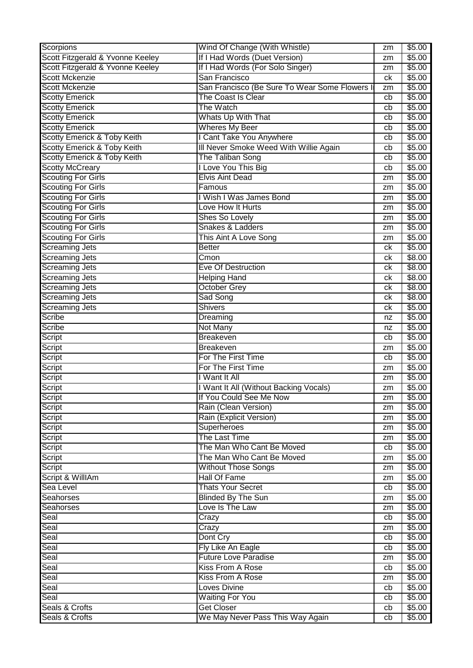| Scorpions                        | Wind Of Change (With Whistle)                 | zm | \$5.00         |
|----------------------------------|-----------------------------------------------|----|----------------|
| Scott Fitzgerald & Yvonne Keeley | If I Had Words (Duet Version)                 | zm | $\sqrt{$5.00}$ |
| Scott Fitzgerald & Yvonne Keeley | If I Had Words (For Solo Singer)              | zm | \$5.00         |
| <b>Scott Mckenzie</b>            | San Francisco                                 | ck | \$5.00         |
| <b>Scott Mckenzie</b>            | San Francisco (Be Sure To Wear Some Flowers I | zm | \$5.00         |
| <b>Scotty Emerick</b>            | The Coast Is Clear                            | cb | \$5.00         |
| <b>Scotty Emerick</b>            | The Watch                                     | cb | \$5.00         |
| <b>Scotty Emerick</b>            | Whats Up With That                            | cb | \$5.00         |
| <b>Scotty Emerick</b>            | <b>Wheres My Beer</b>                         | cb | \$5.00         |
| Scotty Emerick & Toby Keith      | I Cant Take You Anywhere                      | cb | \$5.00         |
| Scotty Emerick & Toby Keith      | III Never Smoke Weed With Willie Again        | cb | \$5.00         |
| Scotty Emerick & Toby Keith      | The Taliban Song                              | cb | \$5.00         |
| <b>Scotty McCreary</b>           | I Love You This Big                           | cb | \$5.00         |
| <b>Scouting For Girls</b>        | <b>Elvis Aint Dead</b>                        | zm | \$5.00         |
| <b>Scouting For Girls</b>        | Famous                                        | zm | \$5.00         |
| <b>Scouting For Girls</b>        | I Wish I Was James Bond                       | zm | \$5.00         |
| <b>Scouting For Girls</b>        | Love How It Hurts                             | zm | \$5.00         |
| <b>Scouting For Girls</b>        | Shes So Lovely                                | zm | \$5.00         |
| <b>Scouting For Girls</b>        | Snakes & Ladders                              | zm | \$5.00         |
| <b>Scouting For Girls</b>        | This Aint A Love Song                         | zm | \$5.00         |
| <b>Screaming Jets</b>            | <b>Better</b>                                 | ck | \$5.00         |
| <b>Screaming Jets</b>            | Cmon                                          | сk | \$8.00         |
| <b>Screaming Jets</b>            | <b>Eve Of Destruction</b>                     | сk | \$8.00         |
| <b>Screaming Jets</b>            | <b>Helping Hand</b>                           | сk | \$8.00         |
| <b>Screaming Jets</b>            | <b>October Grey</b>                           | ck | \$8.00         |
| <b>Screaming Jets</b>            | Sad Song                                      | сk | \$8.00         |
| <b>Screaming Jets</b>            | <b>Shivers</b>                                | сk | \$5.00         |
| Scribe                           | Dreaming                                      | nz | \$5.00         |
| Scribe                           | Not Many                                      | nz | \$5.00         |
| Script                           | <b>Breakeven</b>                              | cb | \$5.00         |
| Script                           | <b>Breakeven</b>                              | zm | \$5.00         |
| Script                           | For The First Time                            | cb | \$5.00         |
| Script                           | For The First Time                            | zm | \$5.00         |
| Script                           | I Want It All                                 | zm | \$5.00         |
| <b>Script</b>                    | I Want It All (Without Backing Vocals)        | zm | \$5.00         |
| Script                           | If You Could See Me Now                       | zm | \$5.00         |
| <b>Script</b>                    | Rain (Clean Version)                          | zm | \$5.00         |
| Script                           | Rain (Explicit Version)                       | zm | \$5.00         |
| Script                           | <b>Superheroes</b>                            | zm | \$5.00         |
| Script                           | The Last Time                                 | zm | \$5.00         |
| Script                           | The Man Who Cant Be Moved                     | cb | \$5.00         |
| Script                           | The Man Who Cant Be Moved                     | zm | \$5.00         |
| Script                           | <b>Without Those Songs</b>                    | zm | \$5.00         |
| Script & WillIAm                 | <b>Hall Of Fame</b>                           | zm | \$5.00         |
| Sea Level                        | <b>Thats Your Secret</b>                      | cb | \$5.00         |
| <b>Seahorses</b>                 | <b>Blinded By The Sun</b>                     | zm | \$5.00         |
| Seahorses                        | Love Is The Law                               | zm | \$5.00         |
| Seal                             | Crazy                                         | cb | \$5.00         |
| Seal                             | Crazy                                         | zm | \$5.00         |
| Seal                             | Dont Cry                                      | cb | \$5.00         |
| Seal                             | Fly Like An Eagle                             | cb | \$5.00         |
| Seal                             | <b>Future Love Paradise</b>                   | zm | \$5.00         |
| Seal                             | <b>Kiss From A Rose</b>                       | cb | \$5.00         |
| Seal                             | <b>Kiss From A Rose</b>                       | zm | \$5.00         |
| Seal                             | <b>Loves Divine</b>                           | cb | \$5.00         |
| Seal                             | <b>Waiting For You</b>                        | cb | \$5.00         |
| Seals & Crofts                   | <b>Get Closer</b>                             | cb | \$5.00         |
| Seals & Crofts                   | We May Never Pass This Way Again              | cb | \$5.00         |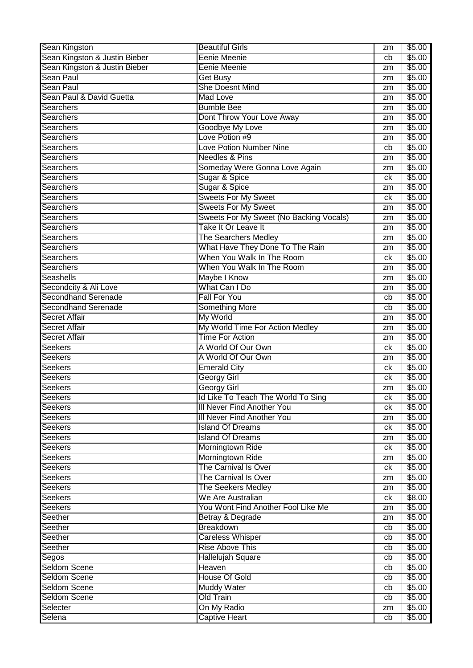| Sean Kingston                                      | <b>Beautiful Girls</b>                  | zm | \$5.00 |
|----------------------------------------------------|-----------------------------------------|----|--------|
| Sean Kingston & Justin Bieber                      | Eenie Meenie                            | cb | \$5.00 |
| Sean Kingston & Justin Bieber                      | Eenie Meenie                            | zm | \$5.00 |
| Sean Paul                                          | <b>Get Busy</b>                         | zm | \$5.00 |
| Sean Paul                                          | <b>She Doesnt Mind</b>                  | zm | \$5.00 |
| Sean Paul & David Guetta                           | <b>Mad Love</b>                         | zm | \$5.00 |
| <b>Searchers</b>                                   | <b>Bumble Bee</b>                       | zm | \$5.00 |
| Searchers                                          | Dont Throw Your Love Away               | zm | \$5.00 |
| Searchers                                          | Goodbye My Love                         | zm | \$5.00 |
| <b>Searchers</b>                                   | Love Potion #9                          | zm | \$5.00 |
| Searchers                                          | <b>Love Potion Number Nine</b>          | cb | \$5.00 |
| Searchers                                          | <b>Needles &amp; Pins</b>               | zm | \$5.00 |
| <b>Searchers</b>                                   | Someday Were Gonna Love Again           | zm | \$5.00 |
| <b>Searchers</b>                                   | Sugar & Spice                           | сk | \$5.00 |
| <b>Searchers</b>                                   | Sugar & Spice                           | zm | \$5.00 |
| <b>Searchers</b>                                   | <b>Sweets For My Sweet</b>              | ck | \$5.00 |
| <b>Searchers</b>                                   | <b>Sweets For My Sweet</b>              | zm | \$5.00 |
| Searchers                                          | Sweets For My Sweet (No Backing Vocals) | zm | \$5.00 |
| <b>Searchers</b>                                   | Take It Or Leave It                     | zm | \$5.00 |
| Searchers                                          | <b>The Searchers Medley</b>             | zm | \$5.00 |
| <b>Searchers</b>                                   | What Have They Done To The Rain         | zm | \$5.00 |
| Searchers                                          | When You Walk In The Room               | ck | \$5.00 |
| <b>Searchers</b>                                   | When You Walk In The Room               | zm | \$5.00 |
| Seashells                                          | <b>Maybe I Know</b>                     | zm | \$5.00 |
| Secondcity & Ali Love                              | What Can I Do                           |    | \$5.00 |
| <b>Secondhand Serenade</b>                         | <b>Fall For You</b>                     | zm | \$5.00 |
|                                                    |                                         | cb |        |
| <b>Secondhand Serenade</b><br><b>Secret Affair</b> | <b>Something More</b>                   | cb | \$5.00 |
|                                                    | My World                                | zm | \$5.00 |
| <b>Secret Affair</b>                               | My World Time For Action Medley         | zm | \$5.00 |
| <b>Secret Affair</b>                               | <b>Time For Action</b>                  | zm | \$5.00 |
| <b>Seekers</b>                                     | A World Of Our Own                      | ck | \$5.00 |
| <b>Seekers</b>                                     | A World Of Our Own                      | zm | \$5.00 |
| <b>Seekers</b>                                     | <b>Emerald City</b>                     | сk | \$5.00 |
| <b>Seekers</b>                                     | <b>Georgy Girl</b>                      | сk | \$5.00 |
| <b>Seekers</b>                                     | <b>Georgy Girl</b>                      | zm | \$5.00 |
| <b>Seekers</b>                                     | Id Like To Teach The World To Sing      | ck | \$5.00 |
| <b>Seekers</b>                                     | III Never Find Another You              | ck | \$5.00 |
| <b>Seekers</b>                                     | III Never Find Another You              | zm | \$5.00 |
| <b>Seekers</b>                                     | <b>Island Of Dreams</b>                 | ck | \$5.00 |
| <b>Seekers</b>                                     | <b>Island Of Dreams</b>                 | zm | \$5.00 |
| <b>Seekers</b>                                     | Morningtown Ride                        | ck | \$5.00 |
| <b>Seekers</b>                                     | Morningtown Ride                        | zm | \$5.00 |
| <b>Seekers</b>                                     | The Carnival Is Over                    | ck | \$5.00 |
| <b>Seekers</b>                                     | The Carnival Is Over                    | zm | \$5.00 |
| <b>Seekers</b>                                     | The Seekers Medley                      | zm | \$5.00 |
| <b>Seekers</b>                                     | We Are Australian                       | ck | \$8.00 |
| <b>Seekers</b>                                     | You Wont Find Another Fool Like Me      | zm | \$5.00 |
| Seether                                            | Betray & Degrade                        | zm | \$5.00 |
| Seether                                            | <b>Breakdown</b>                        | cb | \$5.00 |
| Seether                                            | Careless Whisper                        | cb | \$5.00 |
| Seether                                            | <b>Rise Above This</b>                  | cb | \$5.00 |
| Segos                                              | <b>Hallelujah Square</b>                | cb | \$5.00 |
| <b>Seldom Scene</b>                                | Heaven                                  | cb | \$5.00 |
| Seldom Scene                                       | <b>House Of Gold</b>                    | cb | \$5.00 |
| Seldom Scene                                       | <b>Muddy Water</b>                      | cb | \$5.00 |
| <b>Seldom Scene</b>                                | <b>Old Train</b>                        | cb | \$5.00 |
|                                                    |                                         |    |        |
| Selecter                                           | On My Radio                             | zm | \$5.00 |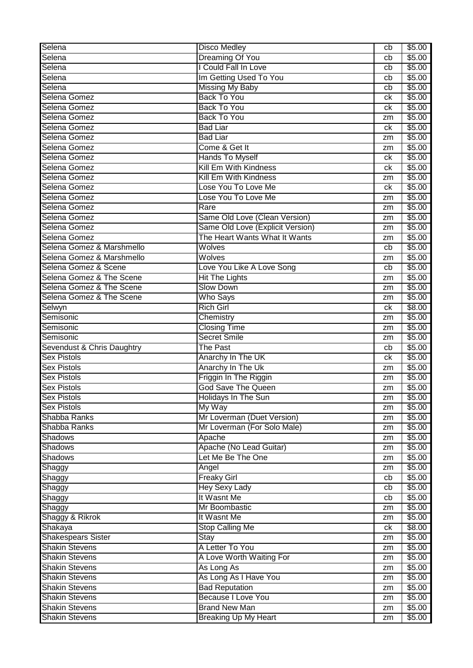| Selena                     | <b>Disco Medley</b>              | cb | \$5.00 |
|----------------------------|----------------------------------|----|--------|
| Selena                     | <b>Dreaming Of You</b>           | cb | \$5.00 |
| Selena                     | I Could Fall In Love             | cb | \$5.00 |
| Selena                     | Im Getting Used To You           | cb | \$5.00 |
| Selena                     | <b>Missing My Baby</b>           | cb | \$5.00 |
| Selena Gomez               | <b>Back To You</b>               | ck | \$5.00 |
| Selena Gomez               | <b>Back To You</b>               | ck | \$5.00 |
| Selena Gomez               | <b>Back To You</b>               | zm | \$5.00 |
| Selena Gomez               | <b>Bad Liar</b>                  | ck | \$5.00 |
| Selena Gomez               | <b>Bad Liar</b>                  | zm | \$5.00 |
| Selena Gomez               | Come & Get It                    | zm | \$5.00 |
| Selena Gomez               | <b>Hands To Myself</b>           | ck | \$5.00 |
| Selena Gomez               | <b>Kill Em With Kindness</b>     | ck | \$5.00 |
| Selena Gomez               | <b>Kill Em With Kindness</b>     | zm | \$5.00 |
| Selena Gomez               | Lose You To Love Me              | ck | \$5.00 |
| Selena Gomez               | Lose You To Love Me              |    | \$5.00 |
| Selena Gomez               | Rare                             | zm |        |
|                            |                                  | zm | \$5.00 |
| Selena Gomez               | Same Old Love (Clean Version)    | zm | \$5.00 |
| Selena Gomez               | Same Old Love (Explicit Version) | zm | \$5.00 |
| Selena Gomez               | The Heart Wants What It Wants    | zm | \$5.00 |
| Selena Gomez & Marshmello  | Wolves                           | cb | \$5.00 |
| Selena Gomez & Marshmello  | Wolves                           | zm | \$5.00 |
| Selena Gomez & Scene       | Love You Like A Love Song        | cb | \$5.00 |
| Selena Gomez & The Scene   | <b>Hit The Lights</b>            | zm | \$5.00 |
| Selena Gomez & The Scene   | <b>Slow Down</b>                 | zm | \$5.00 |
| Selena Gomez & The Scene   | <b>Who Says</b>                  | zm | \$5.00 |
| Selwyn                     | <b>Rich Girl</b>                 | ck | \$8.00 |
| Semisonic                  | Chemistry                        | zm | \$5.00 |
| Semisonic                  | <b>Closing Time</b>              | zm | \$5.00 |
| Semisonic                  | <b>Secret Smile</b>              | zm | \$5.00 |
| Sevendust & Chris Daughtry | <b>The Past</b>                  | cb | \$5.00 |
| <b>Sex Pistols</b>         | Anarchy In The UK                | ck | \$5.00 |
| <b>Sex Pistols</b>         | Anarchy In The Uk                | zm | \$5.00 |
| <b>Sex Pistols</b>         | Friggin In The Riggin            | zm | \$5.00 |
| <b>Sex Pistols</b>         | <b>God Save The Queen</b>        | zm | \$5.00 |
| <b>Sex Pistols</b>         | Holidays In The Sun              | zm | \$5.00 |
| <b>Sex Pistols</b>         | My Way                           | zm | \$5.00 |
| Shabba Ranks               | Mr Loverman (Duet Version)       | zm | \$5.00 |
| Shabba Ranks               | Mr Loverman (For Solo Male)      | zm | \$5.00 |
| <b>Shadows</b>             | Apache                           | zm | \$5.00 |
| <b>Shadows</b>             | Apache (No Lead Guitar)          | zm | \$5.00 |
| <b>Shadows</b>             | Let Me Be The One                | zm | \$5.00 |
| Shaggy                     | Angel                            | zm | \$5.00 |
| Shaggy                     | <b>Freaky Girl</b>               | cb | \$5.00 |
| Shaggy                     | <b>Hey Sexy Lady</b>             | cb | \$5.00 |
| Shaggy                     | It Wasnt Me                      | cb | \$5.00 |
| Shaggy                     | Mr Boombastic                    | zm | \$5.00 |
| Shaggy & Rikrok            | It Wasnt Me                      | zm | \$5.00 |
| Shakaya                    | <b>Stop Calling Me</b>           | ck | \$8.00 |
| <b>Shakespears Sister</b>  | <b>Stay</b>                      | zm | \$5.00 |
| <b>Shakin Stevens</b>      | A Letter To You                  | zm | \$5.00 |
| <b>Shakin Stevens</b>      | A Love Worth Waiting For         | zm | \$5.00 |
| <b>Shakin Stevens</b>      | As Long As                       | zm | \$5.00 |
| <b>Shakin Stevens</b>      | As Long As I Have You            | zm | \$5.00 |
| <b>Shakin Stevens</b>      | <b>Bad Reputation</b>            | zm | \$5.00 |
| <b>Shakin Stevens</b>      | <b>Because I Love You</b>        | zm | \$5.00 |
| <b>Shakin Stevens</b>      | <b>Brand New Man</b>             | zm | \$5.00 |
| <b>Shakin Stevens</b>      | <b>Breaking Up My Heart</b>      | zm | \$5.00 |
|                            |                                  |    |        |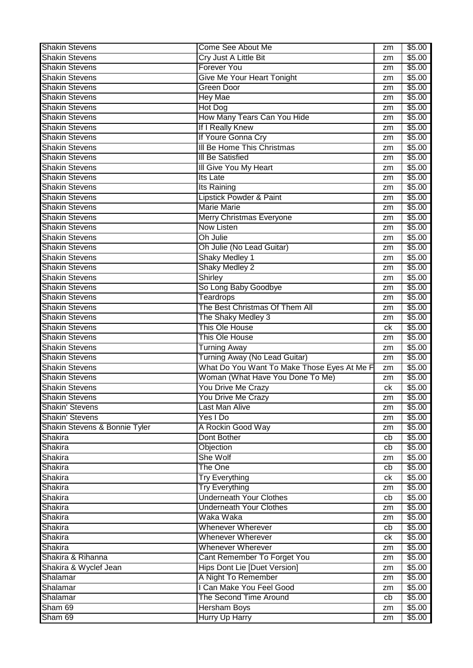| <b>Shakin Stevens</b>         | Come See About Me                                 | zm | \$5.00           |
|-------------------------------|---------------------------------------------------|----|------------------|
| <b>Shakin Stevens</b>         | Cry Just A Little Bit                             | zm | \$5.00           |
| <b>Shakin Stevens</b>         | <b>Forever You</b>                                | zm | \$5.00           |
| <b>Shakin Stevens</b>         | <b>Give Me Your Heart Tonight</b>                 | zm | \$5.00           |
| <b>Shakin Stevens</b>         | Green Door                                        | zm | \$5.00           |
| <b>Shakin Stevens</b>         | <b>Hey Mae</b>                                    | zm | \$5.00           |
| <b>Shakin Stevens</b>         | <b>Hot Dog</b>                                    | zm | \$5.00           |
| <b>Shakin Stevens</b>         | How Many Tears Can You Hide                       | zm | \$5.00           |
| <b>Shakin Stevens</b>         | If I Really Knew                                  | zm | \$5.00           |
| <b>Shakin Stevens</b>         | If Youre Gonna Cry                                | zm | \$5.00           |
| <b>Shakin Stevens</b>         | III Be Home This Christmas                        | zm | \$5.00           |
| <b>Shakin Stevens</b>         | <b>III Be Satisfied</b>                           | zm | \$5.00           |
| <b>Shakin Stevens</b>         | III Give You My Heart                             | zm | \$5.00           |
| <b>Shakin Stevens</b>         | Its Late                                          |    | \$5.00           |
| <b>Shakin Stevens</b>         |                                                   | zm | \$5.00           |
| <b>Shakin Stevens</b>         | Its Raining<br><b>Lipstick Powder &amp; Paint</b> | zm |                  |
|                               | <b>Marie Marie</b>                                | zm | \$5.00           |
| <b>Shakin Stevens</b>         |                                                   | zm | \$5.00           |
| <b>Shakin Stevens</b>         | <b>Merry Christmas Everyone</b>                   | zm | \$5.00           |
| <b>Shakin Stevens</b>         | <b>Now Listen</b>                                 | zm | \$5.00           |
| <b>Shakin Stevens</b>         | Oh Julie                                          | zm | \$5.00           |
| <b>Shakin Stevens</b>         | Oh Julie (No Lead Guitar)                         | zm | \$5.00           |
| <b>Shakin Stevens</b>         | <b>Shaky Medley 1</b>                             | zm | \$5.00           |
| <b>Shakin Stevens</b>         | <b>Shaky Medley 2</b>                             | zm | \$5.00           |
| <b>Shakin Stevens</b>         | <b>Shirley</b>                                    | zm | \$5.00           |
| <b>Shakin Stevens</b>         | So Long Baby Goodbye                              | zm | \$5.00           |
| <b>Shakin Stevens</b>         | <b>Teardrops</b>                                  | zm | \$5.00           |
| <b>Shakin Stevens</b>         | The Best Christmas Of Them All                    | zm | \$5.00           |
| <b>Shakin Stevens</b>         | The Shaky Medley 3                                | zm | \$5.00           |
| <b>Shakin Stevens</b>         | This Ole House                                    | ck | \$5.00           |
|                               |                                                   |    |                  |
| <b>Shakin Stevens</b>         | This Ole House                                    | zm | \$5.00           |
| <b>Shakin Stevens</b>         | <b>Turning Away</b>                               | zm | \$5.00           |
| <b>Shakin Stevens</b>         | Turning Away (No Lead Guitar)                     | zm | \$5.00           |
| <b>Shakin Stevens</b>         | What Do You Want To Make Those Eyes At Me F       | zm | \$5.00           |
| <b>Shakin Stevens</b>         | Woman (What Have You Done To Me)                  | zm | \$5.00           |
| <b>Shakin Stevens</b>         | You Drive Me Crazy                                | ck | \$5.00           |
| <b>Shakin Stevens</b>         | You Drive Me Crazy                                | zm | \$5.00           |
| <b>Shakin' Stevens</b>        | Last Man Alive                                    | zm | \$5.00           |
| <b>Shakin' Stevens</b>        | Yes I Do                                          | zm | \$5.00           |
| Shakin Stevens & Bonnie Tyler | A Rockin Good Way                                 | zm | \$5.00           |
| Shakira                       | Dont Bother                                       | cb | \$5.00           |
| Shakira                       | Objection                                         | cb | \$5.00           |
| Shakira                       | She Wolf                                          | zm | \$5.00           |
| Shakira                       | The One                                           | cb | \$5.00           |
| Shakira                       | <b>Try Everything</b>                             | ck | \$5.00           |
| Shakira                       | <b>Try Everything</b>                             | zm | \$5.00           |
| Shakira                       | <b>Underneath Your Clothes</b>                    | cb | \$5.00           |
| Shakira                       | <b>Underneath Your Clothes</b>                    | zm | \$5.00           |
| Shakira                       | Waka Waka                                         | zm | \$5.00           |
| Shakira                       | <b>Whenever Wherever</b>                          | cb | \$5.00           |
| Shakira                       | <b>Whenever Wherever</b>                          | ck | \$5.00           |
| Shakira                       | <b>Whenever Wherever</b>                          | zm | \$5.00           |
| Shakira & Rihanna             | Cant Remember To Forget You                       | zm | \$5.00           |
| Shakira & Wyclef Jean         | <b>Hips Dont Lie [Duet Version]</b>               | zm | \$5.00           |
| Shalamar                      | A Night To Remember                               | zm | \$5.00           |
| Shalamar                      | I Can Make You Feel Good                          | zm | \$5.00           |
| Shalamar                      | The Second Time Around                            | cb | \$5.00           |
| Sham 69<br>Sham 69            | <b>Hersham Boys</b><br><b>Hurry Up Harry</b>      | zm | \$5.00<br>\$5.00 |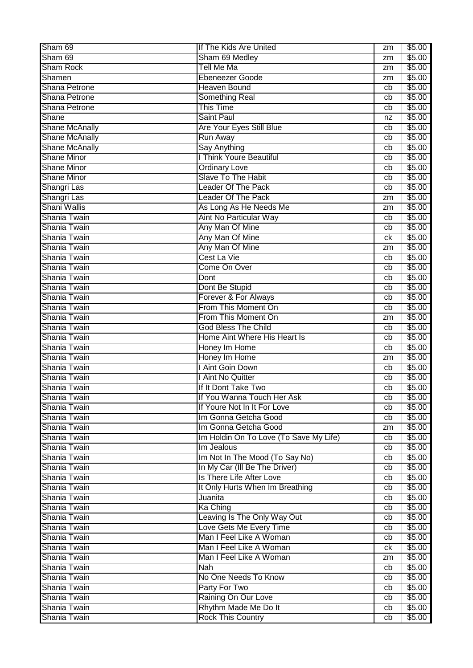| Sham 69                      | If The Kids Are United                           | zm              | \$5.00           |
|------------------------------|--------------------------------------------------|-----------------|------------------|
| Sham 69                      | Sham 69 Medley                                   | zm              | \$5.00           |
| Sham Rock                    | Tell Me Ma                                       | zm              | \$5.00           |
| Shamen                       | Ebeneezer Goode                                  | zm              | \$5.00           |
| Shana Petrone                | <b>Heaven Bound</b>                              | cb              | \$5.00           |
| Shana Petrone                | <b>Something Real</b>                            | cb              | \$5.00           |
| Shana Petrone                | <b>This Time</b>                                 | cb              | \$5.00           |
| <b>Shane</b>                 | <b>Saint Paul</b>                                | nz              | \$5.00           |
| <b>Shane McAnally</b>        | Are Your Eyes Still Blue                         | cb              | \$5.00           |
| <b>Shane McAnally</b>        | <b>Run Away</b>                                  | cb              | \$5.00           |
| <b>Shane McAnally</b>        | <b>Say Anything</b>                              | cb              | \$5.00           |
| <b>Shane Minor</b>           | <b>I Think Youre Beautiful</b>                   | cb              | \$5.00           |
| <b>Shane Minor</b>           | Ordinary Love                                    | cb              | \$5.00           |
| <b>Shane Minor</b>           | Slave To The Habit                               | cb              | \$5.00           |
| Shangri Las                  | <b>Leader Of The Pack</b>                        | cb              | \$5.00           |
| Shangri Las                  | <b>Leader Of The Pack</b>                        | zm              | \$5.00           |
| Shani Wallis                 | As Long As He Needs Me                           | zm              | \$5.00           |
| Shania Twain                 | Aint No Particular Way                           | cb              | \$5.00           |
| Shania Twain                 | Any Man Of Mine                                  | cb              | \$5.00           |
| Shania Twain                 | Any Man Of Mine                                  | ck              | \$5.00           |
| Shania Twain                 | Any Man Of Mine                                  | zm              | \$5.00           |
| Shania Twain                 | Cest La Vie                                      | cb              | \$5.00           |
| Shania Twain                 | Come On Over                                     | cb              | \$5.00           |
| Shania Twain                 | <b>Dont</b>                                      | cb              | \$5.00           |
| Shania Twain                 | Dont Be Stupid                                   | cb              | \$5.00           |
| Shania Twain                 | Forever & For Always                             | cb              | \$5.00           |
| Shania Twain                 | From This Moment On                              | cb              | \$5.00           |
| Shania Twain                 | From This Moment On                              | zm              | \$5.00           |
| Shania Twain                 | <b>God Bless The Child</b>                       | cb              | \$5.00           |
|                              |                                                  |                 |                  |
| Shania Twain                 | Home Aint Where His Heart Is                     | cb              | \$5.00           |
| Shania Twain                 | Honey Im Home                                    | cb              | \$5.00           |
| Shania Twain                 | Honey Im Home                                    | zm              | \$5.00           |
| Shania Twain                 | I Aint Goin Down                                 | cb              | \$5.00           |
| Shania Twain                 | I Aint No Quitter                                | cb              | \$5.00           |
| Shania Twain                 | If It Dont Take Two                              | cb              | \$5.00           |
| Shania Twain                 | If You Wanna Touch Her Ask                       | $\overline{cb}$ | \$5.00           |
| Shania Twain                 | If Youre Not In It For Love                      | cb              | \$5.00           |
| Shania Twain                 | Im Gonna Getcha Good                             | cb              | \$5.00           |
| Shania Twain                 | Im Gonna Getcha Good                             | zm              | \$5.00           |
| Shania Twain                 | Im Holdin On To Love (To Save My Life)           | cb              | \$5.00           |
| Shania Twain                 | Im Jealous                                       | cb              | \$5.00           |
| Shania Twain                 | Im Not In The Mood (To Say No)                   | cb              | \$5.00           |
| Shania Twain                 | In My Car (III Be The Driver)                    | cb              | \$5.00           |
| Shania Twain                 | Is There Life After Love                         | cb              | \$5.00           |
| Shania Twain                 | It Only Hurts When Im Breathing                  | cb              | \$5.00           |
| Shania Twain                 | Juanita                                          | cb              | \$5.00           |
| Shania Twain                 | <b>Ka Ching</b>                                  | cb              | \$5.00           |
| Shania Twain                 | Leaving Is The Only Way Out                      | cb              | \$5.00           |
| Shania Twain                 | Love Gets Me Every Time                          | cb              | \$5.00           |
| Shania Twain                 | Man I Feel Like A Woman                          | cb              | \$5.00           |
| Shania Twain                 | Man I Feel Like A Woman                          | ck              | \$5.00           |
| Shania Twain                 | Man I Feel Like A Woman                          | zm              | \$5.00           |
| Shania Twain                 | Nah                                              | cb              | \$5.00           |
| Shania Twain                 | No One Needs To Know                             | cb              | \$5.00           |
| Shania Twain                 | Party For Two                                    | cb              | \$5.00           |
| Shania Twain                 | Raining On Our Love                              | cb              | \$5.00           |
| Shania Twain<br>Shania Twain | Rhythm Made Me Do It<br><b>Rock This Country</b> | cb<br>cb        | \$5.00<br>\$5.00 |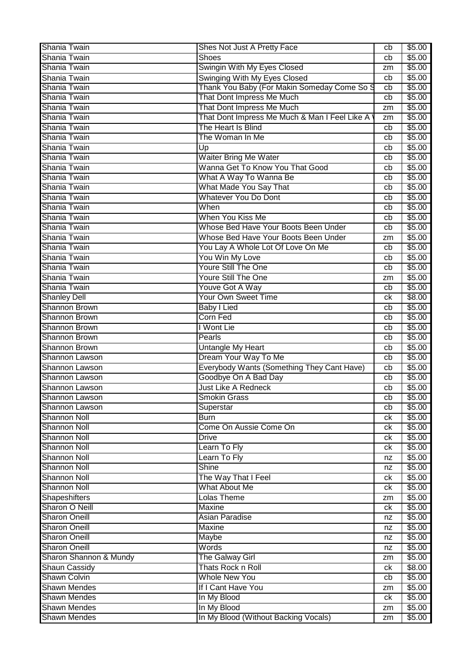| Shania Twain                               | Shes Not Just A Pretty Face                         | cb | \$5.00           |
|--------------------------------------------|-----------------------------------------------------|----|------------------|
| Shania Twain                               | <b>Shoes</b>                                        | cb | \$5.00           |
| Shania Twain                               | Swingin With My Eyes Closed                         | zm | \$5.00           |
| Shania Twain                               | Swinging With My Eyes Closed                        | cb | \$5.00           |
| Shania Twain                               | Thank You Baby (For Makin Someday Come So S         | cb | \$5.00           |
| Shania Twain                               | That Dont Impress Me Much                           | cb | \$5.00           |
| Shania Twain                               | That Dont Impress Me Much                           | zm | \$5.00           |
| Shania Twain                               | That Dont Impress Me Much & Man I Feel Like A       |    | \$5.00           |
| Shania Twain                               | The Heart Is Blind                                  | zm |                  |
|                                            |                                                     | cb | \$5.00           |
| Shania Twain                               | The Woman In Me                                     | cb | \$5.00           |
| Shania Twain                               | Up                                                  | cb | \$5.00           |
| Shania Twain                               | <b>Waiter Bring Me Water</b>                        | cb | \$5.00           |
| Shania Twain                               | Wanna Get To Know You That Good                     | cb | \$5.00           |
| Shania Twain                               | What A Way To Wanna Be                              | cb | \$5.00           |
| Shania Twain                               | What Made You Say That                              | cb | \$5.00           |
| Shania Twain                               | <b>Whatever You Do Dont</b>                         | cb | \$5.00           |
| Shania Twain                               | When                                                | cb | \$5.00           |
| Shania Twain                               | When You Kiss Me                                    | cb | \$5.00           |
| Shania Twain                               | Whose Bed Have Your Boots Been Under                | cb | \$5.00           |
| Shania Twain                               | Whose Bed Have Your Boots Been Under                | zm | \$5.00           |
| Shania Twain                               | You Lay A Whole Lot Of Love On Me                   | cb | \$5.00           |
| Shania Twain                               | You Win My Love                                     | cb | \$5.00           |
| Shania Twain                               | <b>Youre Still The One</b>                          | cb | \$5.00           |
| Shania Twain                               | <b>Youre Still The One</b>                          |    | \$5.00           |
|                                            |                                                     | zm |                  |
| Shania Twain                               | Youve Got A Way                                     | cb | \$5.00           |
| <b>Shanley Dell</b>                        | Your Own Sweet Time                                 | ck | \$8.00           |
| <b>Shannon Brown</b>                       | <b>Baby I Lied</b>                                  | cb | \$5.00           |
| <b>Shannon Brown</b>                       | Corn Fed                                            | cb | \$5.00           |
| Shannon Brown                              | I Wont Lie                                          | cb | \$5.00           |
| <b>Shannon Brown</b>                       | Pearls                                              | cb | \$5.00           |
| Shannon Brown                              | Untangle My Heart                                   | cb | \$5.00           |
| Shannon Lawson                             | Dream Your Way To Me                                | cb | \$5.00           |
| Shannon Lawson                             | Everybody Wants (Something They Cant Have)          | cb | \$5.00           |
| <b>Shannon Lawson</b>                      | Goodbye On A Bad Day                                | cb | \$5.00           |
| <b>Shannon Lawson</b>                      | <b>Just Like A Redneck</b>                          | cb | \$5.00           |
| Shannon Lawson                             | <b>Smokin Grass</b>                                 | cb | \$5.00           |
|                                            |                                                     |    |                  |
|                                            |                                                     | cb |                  |
| Shannon Lawson                             | Superstar                                           |    | \$5.00           |
| <b>Shannon Noll</b>                        | <b>Burn</b>                                         | ck | \$5.00           |
| <b>Shannon Noll</b>                        | Come On Aussie Come On                              | ck | \$5.00           |
| <b>Shannon Noll</b>                        | <b>Drive</b>                                        | ck | \$5.00           |
| <b>Shannon Noll</b>                        | Learn To Fly                                        | ck | \$5.00           |
| <b>Shannon Noll</b>                        | Learn To Fly                                        | nz | \$5.00           |
| <b>Shannon Noll</b>                        | <b>Shine</b>                                        | nz | \$5.00           |
| <b>Shannon Noll</b>                        | The Way That I Feel                                 | ck | \$5.00           |
| <b>Shannon Noll</b>                        | <b>What About Me</b>                                | ck | \$5.00           |
| <b>Shapeshifters</b>                       | <b>Lolas Theme</b>                                  | zm | \$5.00           |
| <b>Sharon O Neill</b>                      | <b>Maxine</b>                                       | ck | \$5.00           |
| <b>Sharon Oneill</b>                       | Asian Paradise                                      | nz | \$5.00           |
| <b>Sharon Oneill</b>                       | <b>Maxine</b>                                       | nz | \$5.00           |
| <b>Sharon Oneill</b>                       | Maybe                                               | nz | \$5.00           |
| <b>Sharon Oneill</b>                       | Words                                               | nz | \$5.00           |
| Sharon Shannon & Mundy                     | The Galway Girl                                     | zm | \$5.00           |
| <b>Shaun Cassidy</b>                       | Thats Rock n Roll                                   | ck | \$8.00           |
| Shawn Colvin                               | <b>Whole New You</b>                                | cb | \$5.00           |
| <b>Shawn Mendes</b>                        | If I Cant Have You                                  | zm | \$5.00           |
| <b>Shawn Mendes</b>                        |                                                     | ck |                  |
|                                            | In My Blood                                         | zm | \$5.00           |
| <b>Shawn Mendes</b><br><b>Shawn Mendes</b> | In My Blood<br>In My Blood (Without Backing Vocals) | zm | \$5.00<br>\$5.00 |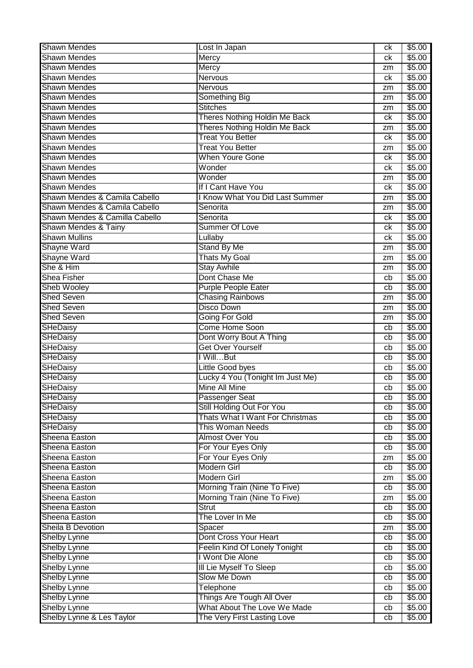| <b>Shawn Mendes</b>            | Lost In Japan                          | ck | \$5.00 |
|--------------------------------|----------------------------------------|----|--------|
| <b>Shawn Mendes</b>            | <b>Mercy</b>                           | ck | \$5.00 |
| <b>Shawn Mendes</b>            | Mercy                                  | zm | \$5.00 |
| <b>Shawn Mendes</b>            | <b>Nervous</b>                         | ck | \$5.00 |
| <b>Shawn Mendes</b>            | <b>Nervous</b>                         | zm | \$5.00 |
| <b>Shawn Mendes</b>            | <b>Something Big</b>                   | zm | \$5.00 |
| <b>Shawn Mendes</b>            | <b>Stitches</b>                        | zm | \$5.00 |
| <b>Shawn Mendes</b>            | Theres Nothing Holdin Me Back          | ck | \$5.00 |
| <b>Shawn Mendes</b>            | Theres Nothing Holdin Me Back          | zm | \$5.00 |
| <b>Shawn Mendes</b>            | <b>Treat You Better</b>                | ck | \$5.00 |
| <b>Shawn Mendes</b>            | <b>Treat You Better</b>                | zm | \$5.00 |
| <b>Shawn Mendes</b>            | <b>When Youre Gone</b>                 | ck | \$5.00 |
| <b>Shawn Mendes</b>            | Wonder                                 | ck | \$5.00 |
| <b>Shawn Mendes</b>            | Wonder                                 | zm | \$5.00 |
| <b>Shawn Mendes</b>            | If I Cant Have You                     | ck | \$5.00 |
| Shawn Mendes & Camila Cabello  | <b>Know What You Did Last Summer</b>   |    | \$5.00 |
| Shawn Mendes & Camila Cabello  | Senorita                               | zm | \$5.00 |
| Shawn Mendes & Camilla Cabello | Senorita                               | zm | \$5.00 |
|                                |                                        | ck |        |
| Shawn Mendes & Tainy           | <b>Summer Of Love</b>                  | ck | \$5.00 |
| <b>Shawn Mullins</b>           | Lullaby                                | ck | \$5.00 |
| <b>Shayne Ward</b>             | <b>Stand By Me</b>                     | zm | \$5.00 |
| <b>Shayne Ward</b>             | <b>Thats My Goal</b>                   | zm | \$5.00 |
| She & Him                      | <b>Stay Awhile</b>                     | zm | \$5.00 |
| Shea Fisher                    | Dont Chase Me                          | cb | \$5.00 |
| <b>Sheb Wooley</b>             | <b>Purple People Eater</b>             | cb | \$5.00 |
| <b>Shed Seven</b>              | <b>Chasing Rainbows</b>                | zm | \$5.00 |
| <b>Shed Seven</b>              | <b>Disco Down</b>                      | zm | \$5.00 |
| <b>Shed Seven</b>              | <b>Going For Gold</b>                  | zm | \$5.00 |
| SHeDaisy                       | Come Home Soon                         | cb | \$5.00 |
| <b>SHeDaisy</b>                | Dont Worry Bout A Thing                | cb | \$5.00 |
| SHeDaisy                       | Get Over Yourself                      | cb | \$5.00 |
| SHeDaisy                       | I WillBut                              | cb | \$5.00 |
| SHeDaisy                       | Little Good byes                       | cb | \$5.00 |
| SHeDaisy                       | Lucky 4 You (Tonight Im Just Me)       | cb | \$5.00 |
| <b>SHeDaisy</b>                | <b>Mine All Mine</b>                   | cb | \$5.00 |
| <b>SHeDaisy</b>                | Passenger Seat                         | cb | \$5.00 |
| SHeDaisy                       | Still Holding Out For You              | cb | \$5.00 |
| <b>SHeDaisy</b>                | <b>Thats What I Want For Christmas</b> | cb | \$5.00 |
| <b>SHeDaisy</b>                | <b>This Woman Needs</b>                | cb | \$5.00 |
| Sheena Easton                  | <b>Almost Over You</b>                 | cb | \$5.00 |
| Sheena Easton                  | For Your Eyes Only                     | cb | \$5.00 |
| Sheena Easton                  | For Your Eyes Only                     | zm | \$5.00 |
| Sheena Easton                  | <b>Modern Girl</b>                     | cb | \$5.00 |
| Sheena Easton                  | Modern Girl                            | zm | \$5.00 |
| Sheena Easton                  | Morning Train (Nine To Five)           | cb | \$5.00 |
| Sheena Easton                  | Morning Train (Nine To Five)           |    | \$5.00 |
| Sheena Easton                  | Strut                                  | zm | \$5.00 |
|                                |                                        | cb |        |
| Sheena Easton                  | The Lover In Me                        | cb | \$5.00 |
| Sheila B Devotion              | Spacer                                 | zm | \$5.00 |
| <b>Shelby Lynne</b>            | Dont Cross Your Heart                  | cb | \$5.00 |
| <b>Shelby Lynne</b>            | Feelin Kind Of Lonely Tonight          | cb | \$5.00 |
| <b>Shelby Lynne</b>            | I Wont Die Alone                       | cb | \$5.00 |
| <b>Shelby Lynne</b>            | III Lie Myself To Sleep                | cb | \$5.00 |
| <b>Shelby Lynne</b>            | Slow Me Down                           | cb | \$5.00 |
| <b>Shelby Lynne</b>            | <b>Telephone</b>                       | cb | \$5.00 |
| <b>Shelby Lynne</b>            | Things Are Tough All Over              | cb | \$5.00 |
| <b>Shelby Lynne</b>            | What About The Love We Made            | cb | \$5.00 |
| Shelby Lynne & Les Taylor      | The Very First Lasting Love            | cb | \$5.00 |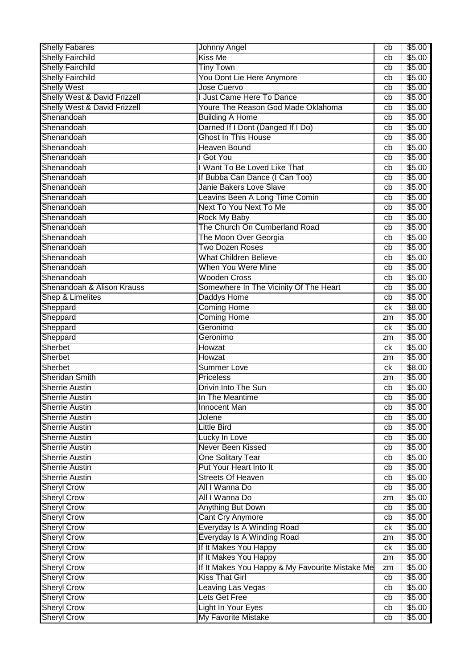| <b>Shelly Fabares</b>                          | Johnny Angel                                     | cb       | \$5.00           |
|------------------------------------------------|--------------------------------------------------|----------|------------------|
| <b>Shelly Fairchild</b>                        | Kiss Me                                          | cb       | \$5.00           |
| <b>Shelly Fairchild</b>                        | <b>Tiny Town</b>                                 | cb       | \$5.00           |
| <b>Shelly Fairchild</b>                        | You Dont Lie Here Anymore                        | cb       | \$5.00           |
| <b>Shelly West</b>                             | Jose Cuervo                                      | cb       | \$5.00           |
| Shelly West & David Frizzell                   | <b>Just Came Here To Dance</b>                   | cb       | \$5.00           |
| Shelly West & David Frizzell                   | Youre The Reason God Made Oklahoma               | cb       | \$5.00           |
| Shenandoah                                     | <b>Building A Home</b>                           | cb       | \$5.00           |
| Shenandoah                                     | Darned If I Dont (Danged If I Do)                | cb       | \$5.00           |
| Shenandoah                                     | <b>Ghost In This House</b>                       | cb       | \$5.00           |
| Shenandoah                                     | <b>Heaven Bound</b>                              | cb       | \$5.00           |
| Shenandoah                                     | I Got You                                        | cb       | \$5.00           |
| Shenandoah                                     | I Want To Be Loved Like That                     | cb       | \$5.00           |
| Shenandoah                                     | If Bubba Can Dance (I Can Too)                   | cb       | \$5.00           |
| Shenandoah                                     | <b>Janie Bakers Love Slave</b>                   | cb       | \$5.00           |
| Shenandoah                                     | Leavins Been A Long Time Comin                   | cb       | \$5.00           |
| Shenandoah                                     | Next To You Next To Me                           | cb       | \$5.00           |
| Shenandoah                                     | <b>Rock My Baby</b>                              | cb       | \$5.00           |
| Shenandoah                                     | The Church On Cumberland Road                    | cb       | \$5.00           |
| Shenandoah                                     | The Moon Over Georgia                            | cb       | \$5.00           |
| Shenandoah                                     | <b>Two Dozen Roses</b>                           | cb       | \$5.00           |
| Shenandoah                                     | <b>What Children Believe</b>                     | cb       | \$5.00           |
| Shenandoah                                     | When You Were Mine                               | cb       | \$5.00           |
| Shenandoah                                     | <b>Wooden Cross</b>                              | cb       | \$5.00           |
| Shenandoah & Alison Krauss                     | Somewhere In The Vicinity Of The Heart           | cb       | \$5.00           |
| Shep & Limelites                               | Daddys Home                                      | cb       | \$5.00           |
| Sheppard                                       | <b>Coming Home</b>                               | ck       | \$8.00           |
| Sheppard                                       | <b>Coming Home</b>                               |          | \$5.00           |
|                                                | Geronimo                                         | zm<br>сk | \$5.00           |
| Sheppard<br>Sheppard                           | Geronimo                                         |          | \$5.00           |
| Sherbet                                        | Howzat                                           | zm<br>ck | \$5.00           |
|                                                | Howzat                                           |          |                  |
| Sherbet                                        | <b>Summer Love</b>                               | zm       | \$5.00           |
| Sherbet<br>Sheridan Smith                      | <b>Priceless</b>                                 | сk       | \$8.00<br>\$5.00 |
|                                                | Drivin Into The Sun                              | zm       |                  |
| <b>Sherrie Austin</b><br><b>Sherrie Austin</b> |                                                  | cb       | \$5.00           |
| <b>Sherrie Austin</b>                          | In The Meantime                                  | cb       | \$5.00           |
| <b>Sherrie Austin</b>                          | Innocent Man<br>Jolene                           | cb       | \$5.00           |
| <b>Sherrie Austin</b>                          | <b>Little Bird</b>                               | cb       | \$5.00           |
|                                                |                                                  | cb       | \$5.00           |
| <b>Sherrie Austin</b>                          | Lucky In Love                                    | cb       | \$5.00           |
| <b>Sherrie Austin</b>                          | Never Been Kissed                                | cb       | \$5.00           |
| <b>Sherrie Austin</b>                          | <b>One Solitary Tear</b>                         | cb       | \$5.00           |
| <b>Sherrie Austin</b>                          | Put Your Heart Into It                           | cb       | \$5.00           |
| <b>Sherrie Austin</b>                          | <b>Streets Of Heaven</b>                         | cb       | \$5.00           |
| <b>Sheryl Crow</b>                             | All I Wanna Do                                   | cb       | \$5.00           |
| <b>Sheryl Crow</b>                             | All I Wanna Do                                   | zm       | \$5.00           |
| <b>Sheryl Crow</b>                             |                                                  | cb       | \$5.00           |
| <b>Sheryl Crow</b>                             | <b>Anything But Down</b>                         |          |                  |
|                                                | <b>Cant Cry Anymore</b>                          | cb       | \$5.00           |
|                                                | Everyday Is A Winding Road                       | ck       | \$5.00           |
| <b>Sheryl Crow</b>                             | Everyday Is A Winding Road                       | zm       | \$5.00           |
| <b>Sheryl Crow</b>                             | If It Makes You Happy                            | ck       | \$5.00           |
| <b>Sheryl Crow</b>                             | If It Makes You Happy                            | zm       | \$5.00           |
| <b>Sheryl Crow</b>                             | If It Makes You Happy & My Favourite Mistake Me  | zm       | \$5.00           |
| <b>Sheryl Crow</b>                             | <b>Kiss That Girl</b>                            | cb       | \$5.00           |
| <b>Sheryl Crow</b><br><b>Sheryl Crow</b>       | <b>Leaving Las Vegas</b>                         | cb       | \$5.00           |
| <b>Sheryl Crow</b>                             | Lets Get Free                                    | cb       | \$5.00           |
| <b>Sheryl Crow</b><br><b>Sheryl Crow</b>       | Light In Your Eyes<br><b>My Favorite Mistake</b> | cb<br>cb | \$5.00<br>\$5.00 |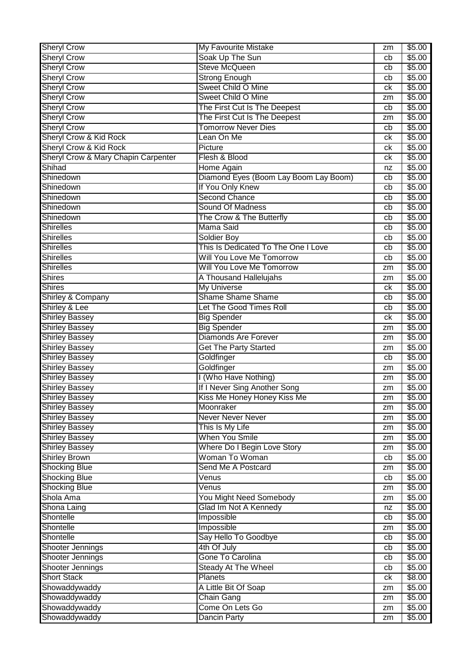| <b>Sheryl Crow</b>                  | My Favourite Mistake                  | zm | \$5.00         |
|-------------------------------------|---------------------------------------|----|----------------|
| <b>Sheryl Crow</b>                  | Soak Up The Sun                       | cb | $\sqrt{$5.00}$ |
| <b>Sheryl Crow</b>                  | <b>Steve McQueen</b>                  | cb | \$5.00         |
| <b>Sheryl Crow</b>                  | <b>Strong Enough</b>                  | cb | \$5.00         |
| <b>Sheryl Crow</b>                  | Sweet Child O Mine                    | ck | \$5.00         |
| <b>Sheryl Crow</b>                  | Sweet Child O Mine                    | zm | \$5.00         |
| <b>Sheryl Crow</b>                  | The First Cut Is The Deepest          | cb | \$5.00         |
| <b>Sheryl Crow</b>                  | The First Cut Is The Deepest          | zm | \$5.00         |
| <b>Sheryl Crow</b>                  | <b>Tomorrow Never Dies</b>            | cb | \$5.00         |
| <b>Sheryl Crow &amp; Kid Rock</b>   | Lean On Me                            | сk | \$5.00         |
| <b>Sheryl Crow &amp; Kid Rock</b>   | Picture                               | сk | \$5.00         |
| Sheryl Crow & Mary Chapin Carpenter | Flesh & Blood                         | сk | \$5.00         |
| Shihad                              | Home Again                            | nz | \$5.00         |
| Shinedown                           | Diamond Eyes (Boom Lay Boom Lay Boom) | cb | \$5.00         |
| Shinedown                           | If You Only Knew                      | cb | \$5.00         |
| Shinedown                           | <b>Second Chance</b>                  | cb | \$5.00         |
| Shinedown                           | Sound Of Madness                      | cb | \$5.00         |
| Shinedown                           | The Crow & The Butterfly              | cb | \$5.00         |
| <b>Shirelles</b>                    | <b>Mama Said</b>                      | cb | \$5.00         |
| <b>Shirelles</b>                    | <b>Soldier Boy</b>                    | cb | \$5.00         |
| <b>Shirelles</b>                    | This Is Dedicated To The One I Love   | cb | \$5.00         |
| <b>Shirelles</b>                    | Will You Love Me Tomorrow             | cb | \$5.00         |
| Shirelles                           | Will You Love Me Tomorrow             | zm | \$5.00         |
| <b>Shires</b>                       | A Thousand Hallelujahs                | zm | \$5.00         |
| <b>Shires</b>                       | <b>My Universe</b>                    | сk | \$5.00         |
| Shirley & Company                   | <b>Shame Shame Shame</b>              | cb | \$5.00         |
| Shirley & Lee                       | Let The Good Times Roll               | cb | \$5.00         |
| <b>Shirley Bassey</b>               | <b>Big Spender</b>                    | сk | \$5.00         |
| <b>Shirley Bassey</b>               | <b>Big Spender</b>                    | zm | \$5.00         |
| <b>Shirley Bassey</b>               | <b>Diamonds Are Forever</b>           | zm | \$5.00         |
| <b>Shirley Bassey</b>               | <b>Get The Party Started</b>          | zm | \$5.00         |
| <b>Shirley Bassey</b>               | Goldfinger                            | cb | \$5.00         |
| <b>Shirley Bassey</b>               | Goldfinger                            | zm | \$5.00         |
| <b>Shirley Bassey</b>               | I (Who Have Nothing)                  | zm | \$5.00         |
| <b>Shirley Bassey</b>               | If I Never Sing Another Song          | zm | \$5.00         |
| Shirley Bassey                      | Kiss Me Honey Honey Kiss Me           | zm | \$5.00         |
| Shirley Bassey                      | Moonraker                             | zm | \$5.00         |
| <b>Shirley Bassey</b>               | <b>Never Never Never</b>              | zm | \$5.00         |
| <b>Shirley Bassey</b>               | This Is My Life                       | zm | \$5.00         |
| <b>Shirley Bassey</b>               | <b>When You Smile</b>                 | zm | \$5.00         |
| <b>Shirley Bassey</b>               | Where Do I Begin Love Story           | zm | \$5.00         |
| <b>Shirley Brown</b>                | Woman To Woman                        | cb | \$5.00         |
| <b>Shocking Blue</b>                | Send Me A Postcard                    | zm | \$5.00         |
| <b>Shocking Blue</b>                | Venus                                 | cb | \$5.00         |
| <b>Shocking Blue</b>                | Venus                                 | zm | \$5.00         |
| Shola Ama                           | You Might Need Somebody               | zm | \$5.00         |
| Shona Laing                         | Glad Im Not A Kennedy                 | nz | \$5.00         |
| Shontelle                           | Impossible                            | cb | \$5.00         |
| Shontelle                           | Impossible                            | zm | \$5.00         |
| Shontelle                           | Say Hello To Goodbye                  | cb | \$5.00         |
| Shooter Jennings                    | 4th Of July                           | cb | \$5.00         |
| Shooter Jennings                    | Gone To Carolina                      | cb | \$5.00         |
| Shooter Jennings                    | <b>Steady At The Wheel</b>            | cb | \$5.00         |
| <b>Short Stack</b>                  | <b>Planets</b>                        | ck | \$8.00         |
| Showaddywaddy                       | A Little Bit Of Soap                  | zm | \$5.00         |
| Showaddywaddy                       | <b>Chain Gang</b>                     | zm | \$5.00         |
| Showaddywaddy                       | Come On Lets Go                       | zm | \$5.00         |
| Showaddywaddy                       | <b>Dancin Party</b>                   | zm | \$5.00         |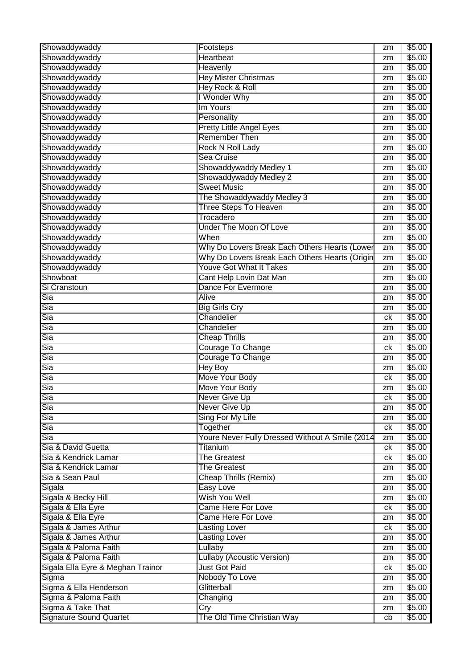| Showaddywaddy                     | Footsteps                                       | zm | \$5.00             |
|-----------------------------------|-------------------------------------------------|----|--------------------|
| Showaddywaddy                     | Heartbeat                                       | zm | \$5.00             |
| Showaddywaddy                     | <b>Heavenly</b>                                 | zm | \$5.00             |
| Showaddywaddy                     | <b>Hey Mister Christmas</b>                     | zm | \$5.00             |
| Showaddywaddy                     | <b>Hey Rock &amp; Roll</b>                      | zm | \$5.00             |
| Showaddywaddy                     | I Wonder Why                                    | zm | \$5.00             |
| Showaddywaddy                     | Im Yours                                        | zm | \$5.00             |
| Showaddywaddy                     | Personality                                     | zm | \$5.00             |
| Showaddywaddy                     | <b>Pretty Little Angel Eyes</b>                 | zm | \$5.00             |
| Showaddywaddy                     | <b>Remember Then</b>                            | zm | \$5.00             |
| Showaddywaddy                     | <b>Rock N Roll Lady</b>                         | zm | \$5.00             |
| Showaddywaddy                     | Sea Cruise                                      | zm | $\overline{$}5.00$ |
| Showaddywaddy                     | Showaddywaddy Medley 1                          | zm | \$5.00             |
| Showaddywaddy                     | Showaddywaddy Medley 2                          | zm | \$5.00             |
| Showaddywaddy                     | <b>Sweet Music</b>                              | zm | \$5.00             |
| Showaddywaddy                     | The Showaddywaddy Medley 3                      | zm | \$5.00             |
| Showaddywaddy                     | <b>Three Steps To Heaven</b>                    | zm | \$5.00             |
| Showaddywaddy                     | Trocadero                                       | zm | \$5.00             |
| Showaddywaddy                     | <b>Under The Moon Of Love</b>                   | zm | \$5.00             |
| Showaddywaddy                     | When                                            | zm | \$5.00             |
| Showaddywaddy                     | Why Do Lovers Break Each Others Hearts (Lower   | zm | \$5.00             |
| Showaddywaddy                     | Why Do Lovers Break Each Others Hearts (Origin  |    | \$5.00             |
| Showaddywaddy                     | <b>Youve Got What It Takes</b>                  | zm | \$5.00             |
|                                   |                                                 | zm |                    |
| Showboat                          | Cant Help Lovin Dat Man                         | zm | \$5.00             |
| Si Cranstoun                      | Dance For Evermore                              | zm | \$5.00             |
| Sia                               | <b>Alive</b>                                    | zm | \$5.00             |
| Sia                               | <b>Big Girls Cry</b>                            | zm | \$5.00             |
| Sia                               | Chandelier                                      | ck | \$5.00             |
| Sia                               | Chandelier                                      | zm | \$5.00             |
| Sia                               | <b>Cheap Thrills</b>                            | zm | \$5.00             |
| Sia                               | Courage To Change                               | ck | \$5.00             |
| Sia                               | Courage To Change                               | zm | \$5.00             |
| Sia                               | <b>Hey Boy</b>                                  | zm | \$5.00             |
| Sia                               | Move Your Body                                  | ck | \$5.00             |
| Sia                               | <b>Move Your Body</b>                           | zm | \$5.00             |
| Sia                               | Never Give Up                                   | сk | \$5.00             |
| Sia                               | <b>Never Give Up</b>                            | zm | \$5.00             |
| Sia                               | Sing For My Life                                | zm | \$5.00             |
| Sia                               | Together                                        | ck | \$5.00             |
| Sia                               | Youre Never Fully Dressed Without A Smile (2014 | zm | \$5.00             |
| Sia & David Guetta                | Titanium                                        | ck | \$5.00             |
| Sia & Kendrick Lamar              | <b>The Greatest</b>                             | ck | \$5.00             |
| Sia & Kendrick Lamar              | <b>The Greatest</b>                             | zm | \$5.00             |
| Sia & Sean Paul                   | Cheap Thrills (Remix)                           | zm | \$5.00             |
| Sigala                            | Easy Love                                       | zm | \$5.00             |
| Sigala & Becky Hill               | Wish You Well                                   | zm | \$5.00             |
| Sigala & Ella Eyre                | Came Here For Love                              | ck | \$5.00             |
| Sigala & Ella Eyre                | <b>Came Here For Love</b>                       | zm | \$5.00             |
| Sigala & James Arthur             | <b>Lasting Lover</b>                            | ck | \$5.00             |
| Sigala & James Arthur             | <b>Lasting Lover</b>                            | zm | \$5.00             |
| Sigala & Paloma Faith             | Lullaby                                         | zm | \$5.00             |
| Sigala & Paloma Faith             | Lullaby (Acoustic Version)                      | zm | \$5.00             |
| Sigala Ella Eyre & Meghan Trainor | <b>Just Got Paid</b>                            | ck | \$5.00             |
| Sigma                             | Nobody To Love                                  | zm | \$5.00             |
| Sigma & Ella Henderson            | Glitterball                                     | zm | \$5.00             |
| Sigma & Paloma Faith              | Changing                                        |    | \$5.00             |
| Sigma & Take That                 |                                                 | zm | \$5.00             |
|                                   | Cry                                             | zm |                    |
| <b>Signature Sound Quartet</b>    | The Old Time Christian Way                      | cb | \$5.00             |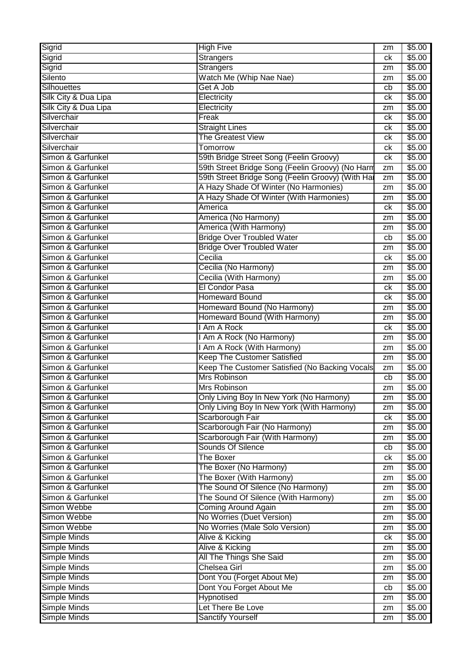| Sigrid<br><b>Strangers</b><br>\$5.00<br>ck<br>\$5.00<br>Sigrid<br><b>Strangers</b><br>zm<br>Silento<br>Watch Me (Whip Nae Nae)<br>\$5.00<br>zm<br>Get A Job<br><b>Silhouettes</b><br>\$5.00<br>cb<br>Silk City & Dua Lipa<br>Electricity<br>\$5.00<br>ck<br>Silk City & Dua Lipa<br>\$5.00<br>Electricity<br>zm<br>\$5.00<br>Silverchair<br>Freak<br>ck<br>Silverchair<br><b>Straight Lines</b><br>\$5.00<br>ck<br>Silverchair<br>The Greatest View<br>\$5.00<br>ck<br>Silverchair<br>\$5.00<br>Tomorrow<br>ck<br>Simon & Garfunkel<br>59th Bridge Street Song (Feelin Groovy)<br>\$5.00<br>ck<br>Simon & Garfunkel<br>59th Street Bridge Song (Feelin Groovy) (No Harm<br>\$5.00<br>zm<br>59th Street Bridge Song (Feelin Groovy) (With Har<br>Simon & Garfunkel<br>\$5.00<br>zm<br>A Hazy Shade Of Winter (No Harmonies)<br>Simon & Garfunkel<br>\$5.00<br>zm<br>Simon & Garfunkel<br>A Hazy Shade Of Winter (With Harmonies)<br>\$5.00<br>zm<br>Simon & Garfunkel<br>\$5.00<br>America<br>ck<br>Simon & Garfunkel<br>America (No Harmony)<br>\$5.00<br>zm<br>Simon & Garfunkel<br>America (With Harmony)<br>\$5.00<br>zm<br><b>Bridge Over Troubled Water</b><br>Simon & Garfunkel<br>\$5.00<br>cb<br><b>Bridge Over Troubled Water</b><br>Simon & Garfunkel<br>\$5.00<br>zm<br>Cecilia<br>Simon & Garfunkel<br>\$5.00<br>ck<br>Simon & Garfunkel<br>Cecilia (No Harmony)<br>\$5.00<br>zm<br>Simon & Garfunkel<br>Cecilia (With Harmony)<br>\$5.00<br>zm<br>Simon & Garfunkel<br>El Condor Pasa<br>\$5.00<br>ck<br>Simon & Garfunkel<br><b>Homeward Bound</b><br>\$5.00<br>ck<br>Simon & Garfunkel<br>Homeward Bound (No Harmony)<br>\$5.00<br>zm<br>Simon & Garfunkel<br>Homeward Bound (With Harmony)<br>\$5.00<br>zm<br>Simon & Garfunkel<br>Am A Rock<br>\$5.00<br>ck<br>Simon & Garfunkel<br>I Am A Rock (No Harmony)<br>\$5.00<br>zm<br>Simon & Garfunkel<br>Am A Rock (With Harmony)<br>\$5.00<br>zm<br><b>Keep The Customer Satisfied</b><br>Simon & Garfunkel<br>\$5.00<br>zm<br>Simon & Garfunkel<br>Keep The Customer Satisfied (No Backing Vocals<br>\$5.00<br>zm<br>Simon & Garfunkel<br>Mrs Robinson<br>\$5.00<br>cb<br>Simon & Garfunkel<br>Mrs Robinson<br>\$5.00<br>zm<br>\$5.00<br>Simon & Garfunkel<br>Only Living Boy In New York (No Harmony)<br>zm<br>Simon & Garfunkel<br>Only Living Boy In New York (With Harmony)<br>\$5.00<br>zm<br>Simon & Garfunkel<br>Scarborough Fair<br>\$5.00<br>ck<br>Scarborough Fair (No Harmony)<br>Simon & Garfunkel<br>\$5.00<br>zm<br>Scarborough Fair (With Harmony)<br>Simon & Garfunkel<br>\$5.00<br>zm<br>Sounds Of Silence<br>Simon & Garfunkel<br>\$5.00<br>cb<br>Simon & Garfunkel<br><b>The Boxer</b><br>\$5.00<br>ck<br>Simon & Garfunkel<br>The Boxer (No Harmony)<br>\$5.00<br>zm<br>Simon & Garfunkel<br>The Boxer (With Harmony)<br>\$5.00<br>zm<br>Simon & Garfunkel<br>The Sound Of Silence (No Harmony)<br>\$5.00<br>zm<br>The Sound Of Silence (With Harmony)<br>Simon & Garfunkel<br>\$5.00<br>zm<br>Simon Webbe<br><b>Coming Around Again</b><br>\$5.00<br>zm<br>Simon Webbe<br>No Worries (Duet Version)<br>\$5.00<br>zm<br>No Worries (Male Solo Version)<br>Simon Webbe<br>\$5.00<br>zm<br><b>Simple Minds</b><br>Alive & Kicking<br>\$5.00<br>ck<br>Simple Minds<br>Alive & Kicking<br>\$5.00<br>zm<br>Simple Minds<br><b>All The Things She Said</b><br>\$5.00<br>zm<br>Simple Minds<br>Chelsea Girl<br>\$5.00<br>zm<br>Dont You (Forget About Me)<br>Simple Minds<br>\$5.00<br>zm<br>Simple Minds<br>Dont You Forget About Me<br>\$5.00<br>cb<br>Simple Minds<br>Hypnotised<br>\$5.00<br>zm<br>Simple Minds<br>Let There Be Love<br>\$5.00<br>zm<br>Simple Minds<br><b>Sanctify Yourself</b><br>\$5.00<br>zm | Sigrid | <b>High Five</b> | zm | \$5.00 |
|--------------------------------------------------------------------------------------------------------------------------------------------------------------------------------------------------------------------------------------------------------------------------------------------------------------------------------------------------------------------------------------------------------------------------------------------------------------------------------------------------------------------------------------------------------------------------------------------------------------------------------------------------------------------------------------------------------------------------------------------------------------------------------------------------------------------------------------------------------------------------------------------------------------------------------------------------------------------------------------------------------------------------------------------------------------------------------------------------------------------------------------------------------------------------------------------------------------------------------------------------------------------------------------------------------------------------------------------------------------------------------------------------------------------------------------------------------------------------------------------------------------------------------------------------------------------------------------------------------------------------------------------------------------------------------------------------------------------------------------------------------------------------------------------------------------------------------------------------------------------------------------------------------------------------------------------------------------------------------------------------------------------------------------------------------------------------------------------------------------------------------------------------------------------------------------------------------------------------------------------------------------------------------------------------------------------------------------------------------------------------------------------------------------------------------------------------------------------------------------------------------------------------------------------------------------------------------------------------------------------------------------------------------------------------------------------------------------------------------------------------------------------------------------------------------------------------------------------------------------------------------------------------------------------------------------------------------------------------------------------------------------------------------------------------------------------------------------------------------------------------------------------------------------------------------------------------------------------------------------------------------------------------------------------------------------------------------------------------------------------------------------------------------------------------------------------------------------------------------------------------------------------------------------------------------------------------------------------------------------------------------------------------------------------------------------------------|--------|------------------|----|--------|
|                                                                                                                                                                                                                                                                                                                                                                                                                                                                                                                                                                                                                                                                                                                                                                                                                                                                                                                                                                                                                                                                                                                                                                                                                                                                                                                                                                                                                                                                                                                                                                                                                                                                                                                                                                                                                                                                                                                                                                                                                                                                                                                                                                                                                                                                                                                                                                                                                                                                                                                                                                                                                                                                                                                                                                                                                                                                                                                                                                                                                                                                                                                                                                                                                                                                                                                                                                                                                                                                                                                                                                                                                                                                                                  |        |                  |    |        |
|                                                                                                                                                                                                                                                                                                                                                                                                                                                                                                                                                                                                                                                                                                                                                                                                                                                                                                                                                                                                                                                                                                                                                                                                                                                                                                                                                                                                                                                                                                                                                                                                                                                                                                                                                                                                                                                                                                                                                                                                                                                                                                                                                                                                                                                                                                                                                                                                                                                                                                                                                                                                                                                                                                                                                                                                                                                                                                                                                                                                                                                                                                                                                                                                                                                                                                                                                                                                                                                                                                                                                                                                                                                                                                  |        |                  |    |        |
|                                                                                                                                                                                                                                                                                                                                                                                                                                                                                                                                                                                                                                                                                                                                                                                                                                                                                                                                                                                                                                                                                                                                                                                                                                                                                                                                                                                                                                                                                                                                                                                                                                                                                                                                                                                                                                                                                                                                                                                                                                                                                                                                                                                                                                                                                                                                                                                                                                                                                                                                                                                                                                                                                                                                                                                                                                                                                                                                                                                                                                                                                                                                                                                                                                                                                                                                                                                                                                                                                                                                                                                                                                                                                                  |        |                  |    |        |
|                                                                                                                                                                                                                                                                                                                                                                                                                                                                                                                                                                                                                                                                                                                                                                                                                                                                                                                                                                                                                                                                                                                                                                                                                                                                                                                                                                                                                                                                                                                                                                                                                                                                                                                                                                                                                                                                                                                                                                                                                                                                                                                                                                                                                                                                                                                                                                                                                                                                                                                                                                                                                                                                                                                                                                                                                                                                                                                                                                                                                                                                                                                                                                                                                                                                                                                                                                                                                                                                                                                                                                                                                                                                                                  |        |                  |    |        |
|                                                                                                                                                                                                                                                                                                                                                                                                                                                                                                                                                                                                                                                                                                                                                                                                                                                                                                                                                                                                                                                                                                                                                                                                                                                                                                                                                                                                                                                                                                                                                                                                                                                                                                                                                                                                                                                                                                                                                                                                                                                                                                                                                                                                                                                                                                                                                                                                                                                                                                                                                                                                                                                                                                                                                                                                                                                                                                                                                                                                                                                                                                                                                                                                                                                                                                                                                                                                                                                                                                                                                                                                                                                                                                  |        |                  |    |        |
|                                                                                                                                                                                                                                                                                                                                                                                                                                                                                                                                                                                                                                                                                                                                                                                                                                                                                                                                                                                                                                                                                                                                                                                                                                                                                                                                                                                                                                                                                                                                                                                                                                                                                                                                                                                                                                                                                                                                                                                                                                                                                                                                                                                                                                                                                                                                                                                                                                                                                                                                                                                                                                                                                                                                                                                                                                                                                                                                                                                                                                                                                                                                                                                                                                                                                                                                                                                                                                                                                                                                                                                                                                                                                                  |        |                  |    |        |
|                                                                                                                                                                                                                                                                                                                                                                                                                                                                                                                                                                                                                                                                                                                                                                                                                                                                                                                                                                                                                                                                                                                                                                                                                                                                                                                                                                                                                                                                                                                                                                                                                                                                                                                                                                                                                                                                                                                                                                                                                                                                                                                                                                                                                                                                                                                                                                                                                                                                                                                                                                                                                                                                                                                                                                                                                                                                                                                                                                                                                                                                                                                                                                                                                                                                                                                                                                                                                                                                                                                                                                                                                                                                                                  |        |                  |    |        |
|                                                                                                                                                                                                                                                                                                                                                                                                                                                                                                                                                                                                                                                                                                                                                                                                                                                                                                                                                                                                                                                                                                                                                                                                                                                                                                                                                                                                                                                                                                                                                                                                                                                                                                                                                                                                                                                                                                                                                                                                                                                                                                                                                                                                                                                                                                                                                                                                                                                                                                                                                                                                                                                                                                                                                                                                                                                                                                                                                                                                                                                                                                                                                                                                                                                                                                                                                                                                                                                                                                                                                                                                                                                                                                  |        |                  |    |        |
|                                                                                                                                                                                                                                                                                                                                                                                                                                                                                                                                                                                                                                                                                                                                                                                                                                                                                                                                                                                                                                                                                                                                                                                                                                                                                                                                                                                                                                                                                                                                                                                                                                                                                                                                                                                                                                                                                                                                                                                                                                                                                                                                                                                                                                                                                                                                                                                                                                                                                                                                                                                                                                                                                                                                                                                                                                                                                                                                                                                                                                                                                                                                                                                                                                                                                                                                                                                                                                                                                                                                                                                                                                                                                                  |        |                  |    |        |
|                                                                                                                                                                                                                                                                                                                                                                                                                                                                                                                                                                                                                                                                                                                                                                                                                                                                                                                                                                                                                                                                                                                                                                                                                                                                                                                                                                                                                                                                                                                                                                                                                                                                                                                                                                                                                                                                                                                                                                                                                                                                                                                                                                                                                                                                                                                                                                                                                                                                                                                                                                                                                                                                                                                                                                                                                                                                                                                                                                                                                                                                                                                                                                                                                                                                                                                                                                                                                                                                                                                                                                                                                                                                                                  |        |                  |    |        |
|                                                                                                                                                                                                                                                                                                                                                                                                                                                                                                                                                                                                                                                                                                                                                                                                                                                                                                                                                                                                                                                                                                                                                                                                                                                                                                                                                                                                                                                                                                                                                                                                                                                                                                                                                                                                                                                                                                                                                                                                                                                                                                                                                                                                                                                                                                                                                                                                                                                                                                                                                                                                                                                                                                                                                                                                                                                                                                                                                                                                                                                                                                                                                                                                                                                                                                                                                                                                                                                                                                                                                                                                                                                                                                  |        |                  |    |        |
|                                                                                                                                                                                                                                                                                                                                                                                                                                                                                                                                                                                                                                                                                                                                                                                                                                                                                                                                                                                                                                                                                                                                                                                                                                                                                                                                                                                                                                                                                                                                                                                                                                                                                                                                                                                                                                                                                                                                                                                                                                                                                                                                                                                                                                                                                                                                                                                                                                                                                                                                                                                                                                                                                                                                                                                                                                                                                                                                                                                                                                                                                                                                                                                                                                                                                                                                                                                                                                                                                                                                                                                                                                                                                                  |        |                  |    |        |
|                                                                                                                                                                                                                                                                                                                                                                                                                                                                                                                                                                                                                                                                                                                                                                                                                                                                                                                                                                                                                                                                                                                                                                                                                                                                                                                                                                                                                                                                                                                                                                                                                                                                                                                                                                                                                                                                                                                                                                                                                                                                                                                                                                                                                                                                                                                                                                                                                                                                                                                                                                                                                                                                                                                                                                                                                                                                                                                                                                                                                                                                                                                                                                                                                                                                                                                                                                                                                                                                                                                                                                                                                                                                                                  |        |                  |    |        |
|                                                                                                                                                                                                                                                                                                                                                                                                                                                                                                                                                                                                                                                                                                                                                                                                                                                                                                                                                                                                                                                                                                                                                                                                                                                                                                                                                                                                                                                                                                                                                                                                                                                                                                                                                                                                                                                                                                                                                                                                                                                                                                                                                                                                                                                                                                                                                                                                                                                                                                                                                                                                                                                                                                                                                                                                                                                                                                                                                                                                                                                                                                                                                                                                                                                                                                                                                                                                                                                                                                                                                                                                                                                                                                  |        |                  |    |        |
|                                                                                                                                                                                                                                                                                                                                                                                                                                                                                                                                                                                                                                                                                                                                                                                                                                                                                                                                                                                                                                                                                                                                                                                                                                                                                                                                                                                                                                                                                                                                                                                                                                                                                                                                                                                                                                                                                                                                                                                                                                                                                                                                                                                                                                                                                                                                                                                                                                                                                                                                                                                                                                                                                                                                                                                                                                                                                                                                                                                                                                                                                                                                                                                                                                                                                                                                                                                                                                                                                                                                                                                                                                                                                                  |        |                  |    |        |
|                                                                                                                                                                                                                                                                                                                                                                                                                                                                                                                                                                                                                                                                                                                                                                                                                                                                                                                                                                                                                                                                                                                                                                                                                                                                                                                                                                                                                                                                                                                                                                                                                                                                                                                                                                                                                                                                                                                                                                                                                                                                                                                                                                                                                                                                                                                                                                                                                                                                                                                                                                                                                                                                                                                                                                                                                                                                                                                                                                                                                                                                                                                                                                                                                                                                                                                                                                                                                                                                                                                                                                                                                                                                                                  |        |                  |    |        |
|                                                                                                                                                                                                                                                                                                                                                                                                                                                                                                                                                                                                                                                                                                                                                                                                                                                                                                                                                                                                                                                                                                                                                                                                                                                                                                                                                                                                                                                                                                                                                                                                                                                                                                                                                                                                                                                                                                                                                                                                                                                                                                                                                                                                                                                                                                                                                                                                                                                                                                                                                                                                                                                                                                                                                                                                                                                                                                                                                                                                                                                                                                                                                                                                                                                                                                                                                                                                                                                                                                                                                                                                                                                                                                  |        |                  |    |        |
|                                                                                                                                                                                                                                                                                                                                                                                                                                                                                                                                                                                                                                                                                                                                                                                                                                                                                                                                                                                                                                                                                                                                                                                                                                                                                                                                                                                                                                                                                                                                                                                                                                                                                                                                                                                                                                                                                                                                                                                                                                                                                                                                                                                                                                                                                                                                                                                                                                                                                                                                                                                                                                                                                                                                                                                                                                                                                                                                                                                                                                                                                                                                                                                                                                                                                                                                                                                                                                                                                                                                                                                                                                                                                                  |        |                  |    |        |
|                                                                                                                                                                                                                                                                                                                                                                                                                                                                                                                                                                                                                                                                                                                                                                                                                                                                                                                                                                                                                                                                                                                                                                                                                                                                                                                                                                                                                                                                                                                                                                                                                                                                                                                                                                                                                                                                                                                                                                                                                                                                                                                                                                                                                                                                                                                                                                                                                                                                                                                                                                                                                                                                                                                                                                                                                                                                                                                                                                                                                                                                                                                                                                                                                                                                                                                                                                                                                                                                                                                                                                                                                                                                                                  |        |                  |    |        |
|                                                                                                                                                                                                                                                                                                                                                                                                                                                                                                                                                                                                                                                                                                                                                                                                                                                                                                                                                                                                                                                                                                                                                                                                                                                                                                                                                                                                                                                                                                                                                                                                                                                                                                                                                                                                                                                                                                                                                                                                                                                                                                                                                                                                                                                                                                                                                                                                                                                                                                                                                                                                                                                                                                                                                                                                                                                                                                                                                                                                                                                                                                                                                                                                                                                                                                                                                                                                                                                                                                                                                                                                                                                                                                  |        |                  |    |        |
|                                                                                                                                                                                                                                                                                                                                                                                                                                                                                                                                                                                                                                                                                                                                                                                                                                                                                                                                                                                                                                                                                                                                                                                                                                                                                                                                                                                                                                                                                                                                                                                                                                                                                                                                                                                                                                                                                                                                                                                                                                                                                                                                                                                                                                                                                                                                                                                                                                                                                                                                                                                                                                                                                                                                                                                                                                                                                                                                                                                                                                                                                                                                                                                                                                                                                                                                                                                                                                                                                                                                                                                                                                                                                                  |        |                  |    |        |
|                                                                                                                                                                                                                                                                                                                                                                                                                                                                                                                                                                                                                                                                                                                                                                                                                                                                                                                                                                                                                                                                                                                                                                                                                                                                                                                                                                                                                                                                                                                                                                                                                                                                                                                                                                                                                                                                                                                                                                                                                                                                                                                                                                                                                                                                                                                                                                                                                                                                                                                                                                                                                                                                                                                                                                                                                                                                                                                                                                                                                                                                                                                                                                                                                                                                                                                                                                                                                                                                                                                                                                                                                                                                                                  |        |                  |    |        |
|                                                                                                                                                                                                                                                                                                                                                                                                                                                                                                                                                                                                                                                                                                                                                                                                                                                                                                                                                                                                                                                                                                                                                                                                                                                                                                                                                                                                                                                                                                                                                                                                                                                                                                                                                                                                                                                                                                                                                                                                                                                                                                                                                                                                                                                                                                                                                                                                                                                                                                                                                                                                                                                                                                                                                                                                                                                                                                                                                                                                                                                                                                                                                                                                                                                                                                                                                                                                                                                                                                                                                                                                                                                                                                  |        |                  |    |        |
|                                                                                                                                                                                                                                                                                                                                                                                                                                                                                                                                                                                                                                                                                                                                                                                                                                                                                                                                                                                                                                                                                                                                                                                                                                                                                                                                                                                                                                                                                                                                                                                                                                                                                                                                                                                                                                                                                                                                                                                                                                                                                                                                                                                                                                                                                                                                                                                                                                                                                                                                                                                                                                                                                                                                                                                                                                                                                                                                                                                                                                                                                                                                                                                                                                                                                                                                                                                                                                                                                                                                                                                                                                                                                                  |        |                  |    |        |
|                                                                                                                                                                                                                                                                                                                                                                                                                                                                                                                                                                                                                                                                                                                                                                                                                                                                                                                                                                                                                                                                                                                                                                                                                                                                                                                                                                                                                                                                                                                                                                                                                                                                                                                                                                                                                                                                                                                                                                                                                                                                                                                                                                                                                                                                                                                                                                                                                                                                                                                                                                                                                                                                                                                                                                                                                                                                                                                                                                                                                                                                                                                                                                                                                                                                                                                                                                                                                                                                                                                                                                                                                                                                                                  |        |                  |    |        |
|                                                                                                                                                                                                                                                                                                                                                                                                                                                                                                                                                                                                                                                                                                                                                                                                                                                                                                                                                                                                                                                                                                                                                                                                                                                                                                                                                                                                                                                                                                                                                                                                                                                                                                                                                                                                                                                                                                                                                                                                                                                                                                                                                                                                                                                                                                                                                                                                                                                                                                                                                                                                                                                                                                                                                                                                                                                                                                                                                                                                                                                                                                                                                                                                                                                                                                                                                                                                                                                                                                                                                                                                                                                                                                  |        |                  |    |        |
|                                                                                                                                                                                                                                                                                                                                                                                                                                                                                                                                                                                                                                                                                                                                                                                                                                                                                                                                                                                                                                                                                                                                                                                                                                                                                                                                                                                                                                                                                                                                                                                                                                                                                                                                                                                                                                                                                                                                                                                                                                                                                                                                                                                                                                                                                                                                                                                                                                                                                                                                                                                                                                                                                                                                                                                                                                                                                                                                                                                                                                                                                                                                                                                                                                                                                                                                                                                                                                                                                                                                                                                                                                                                                                  |        |                  |    |        |
|                                                                                                                                                                                                                                                                                                                                                                                                                                                                                                                                                                                                                                                                                                                                                                                                                                                                                                                                                                                                                                                                                                                                                                                                                                                                                                                                                                                                                                                                                                                                                                                                                                                                                                                                                                                                                                                                                                                                                                                                                                                                                                                                                                                                                                                                                                                                                                                                                                                                                                                                                                                                                                                                                                                                                                                                                                                                                                                                                                                                                                                                                                                                                                                                                                                                                                                                                                                                                                                                                                                                                                                                                                                                                                  |        |                  |    |        |
|                                                                                                                                                                                                                                                                                                                                                                                                                                                                                                                                                                                                                                                                                                                                                                                                                                                                                                                                                                                                                                                                                                                                                                                                                                                                                                                                                                                                                                                                                                                                                                                                                                                                                                                                                                                                                                                                                                                                                                                                                                                                                                                                                                                                                                                                                                                                                                                                                                                                                                                                                                                                                                                                                                                                                                                                                                                                                                                                                                                                                                                                                                                                                                                                                                                                                                                                                                                                                                                                                                                                                                                                                                                                                                  |        |                  |    |        |
|                                                                                                                                                                                                                                                                                                                                                                                                                                                                                                                                                                                                                                                                                                                                                                                                                                                                                                                                                                                                                                                                                                                                                                                                                                                                                                                                                                                                                                                                                                                                                                                                                                                                                                                                                                                                                                                                                                                                                                                                                                                                                                                                                                                                                                                                                                                                                                                                                                                                                                                                                                                                                                                                                                                                                                                                                                                                                                                                                                                                                                                                                                                                                                                                                                                                                                                                                                                                                                                                                                                                                                                                                                                                                                  |        |                  |    |        |
|                                                                                                                                                                                                                                                                                                                                                                                                                                                                                                                                                                                                                                                                                                                                                                                                                                                                                                                                                                                                                                                                                                                                                                                                                                                                                                                                                                                                                                                                                                                                                                                                                                                                                                                                                                                                                                                                                                                                                                                                                                                                                                                                                                                                                                                                                                                                                                                                                                                                                                                                                                                                                                                                                                                                                                                                                                                                                                                                                                                                                                                                                                                                                                                                                                                                                                                                                                                                                                                                                                                                                                                                                                                                                                  |        |                  |    |        |
|                                                                                                                                                                                                                                                                                                                                                                                                                                                                                                                                                                                                                                                                                                                                                                                                                                                                                                                                                                                                                                                                                                                                                                                                                                                                                                                                                                                                                                                                                                                                                                                                                                                                                                                                                                                                                                                                                                                                                                                                                                                                                                                                                                                                                                                                                                                                                                                                                                                                                                                                                                                                                                                                                                                                                                                                                                                                                                                                                                                                                                                                                                                                                                                                                                                                                                                                                                                                                                                                                                                                                                                                                                                                                                  |        |                  |    |        |
|                                                                                                                                                                                                                                                                                                                                                                                                                                                                                                                                                                                                                                                                                                                                                                                                                                                                                                                                                                                                                                                                                                                                                                                                                                                                                                                                                                                                                                                                                                                                                                                                                                                                                                                                                                                                                                                                                                                                                                                                                                                                                                                                                                                                                                                                                                                                                                                                                                                                                                                                                                                                                                                                                                                                                                                                                                                                                                                                                                                                                                                                                                                                                                                                                                                                                                                                                                                                                                                                                                                                                                                                                                                                                                  |        |                  |    |        |
|                                                                                                                                                                                                                                                                                                                                                                                                                                                                                                                                                                                                                                                                                                                                                                                                                                                                                                                                                                                                                                                                                                                                                                                                                                                                                                                                                                                                                                                                                                                                                                                                                                                                                                                                                                                                                                                                                                                                                                                                                                                                                                                                                                                                                                                                                                                                                                                                                                                                                                                                                                                                                                                                                                                                                                                                                                                                                                                                                                                                                                                                                                                                                                                                                                                                                                                                                                                                                                                                                                                                                                                                                                                                                                  |        |                  |    |        |
|                                                                                                                                                                                                                                                                                                                                                                                                                                                                                                                                                                                                                                                                                                                                                                                                                                                                                                                                                                                                                                                                                                                                                                                                                                                                                                                                                                                                                                                                                                                                                                                                                                                                                                                                                                                                                                                                                                                                                                                                                                                                                                                                                                                                                                                                                                                                                                                                                                                                                                                                                                                                                                                                                                                                                                                                                                                                                                                                                                                                                                                                                                                                                                                                                                                                                                                                                                                                                                                                                                                                                                                                                                                                                                  |        |                  |    |        |
|                                                                                                                                                                                                                                                                                                                                                                                                                                                                                                                                                                                                                                                                                                                                                                                                                                                                                                                                                                                                                                                                                                                                                                                                                                                                                                                                                                                                                                                                                                                                                                                                                                                                                                                                                                                                                                                                                                                                                                                                                                                                                                                                                                                                                                                                                                                                                                                                                                                                                                                                                                                                                                                                                                                                                                                                                                                                                                                                                                                                                                                                                                                                                                                                                                                                                                                                                                                                                                                                                                                                                                                                                                                                                                  |        |                  |    |        |
|                                                                                                                                                                                                                                                                                                                                                                                                                                                                                                                                                                                                                                                                                                                                                                                                                                                                                                                                                                                                                                                                                                                                                                                                                                                                                                                                                                                                                                                                                                                                                                                                                                                                                                                                                                                                                                                                                                                                                                                                                                                                                                                                                                                                                                                                                                                                                                                                                                                                                                                                                                                                                                                                                                                                                                                                                                                                                                                                                                                                                                                                                                                                                                                                                                                                                                                                                                                                                                                                                                                                                                                                                                                                                                  |        |                  |    |        |
|                                                                                                                                                                                                                                                                                                                                                                                                                                                                                                                                                                                                                                                                                                                                                                                                                                                                                                                                                                                                                                                                                                                                                                                                                                                                                                                                                                                                                                                                                                                                                                                                                                                                                                                                                                                                                                                                                                                                                                                                                                                                                                                                                                                                                                                                                                                                                                                                                                                                                                                                                                                                                                                                                                                                                                                                                                                                                                                                                                                                                                                                                                                                                                                                                                                                                                                                                                                                                                                                                                                                                                                                                                                                                                  |        |                  |    |        |
|                                                                                                                                                                                                                                                                                                                                                                                                                                                                                                                                                                                                                                                                                                                                                                                                                                                                                                                                                                                                                                                                                                                                                                                                                                                                                                                                                                                                                                                                                                                                                                                                                                                                                                                                                                                                                                                                                                                                                                                                                                                                                                                                                                                                                                                                                                                                                                                                                                                                                                                                                                                                                                                                                                                                                                                                                                                                                                                                                                                                                                                                                                                                                                                                                                                                                                                                                                                                                                                                                                                                                                                                                                                                                                  |        |                  |    |        |
|                                                                                                                                                                                                                                                                                                                                                                                                                                                                                                                                                                                                                                                                                                                                                                                                                                                                                                                                                                                                                                                                                                                                                                                                                                                                                                                                                                                                                                                                                                                                                                                                                                                                                                                                                                                                                                                                                                                                                                                                                                                                                                                                                                                                                                                                                                                                                                                                                                                                                                                                                                                                                                                                                                                                                                                                                                                                                                                                                                                                                                                                                                                                                                                                                                                                                                                                                                                                                                                                                                                                                                                                                                                                                                  |        |                  |    |        |
|                                                                                                                                                                                                                                                                                                                                                                                                                                                                                                                                                                                                                                                                                                                                                                                                                                                                                                                                                                                                                                                                                                                                                                                                                                                                                                                                                                                                                                                                                                                                                                                                                                                                                                                                                                                                                                                                                                                                                                                                                                                                                                                                                                                                                                                                                                                                                                                                                                                                                                                                                                                                                                                                                                                                                                                                                                                                                                                                                                                                                                                                                                                                                                                                                                                                                                                                                                                                                                                                                                                                                                                                                                                                                                  |        |                  |    |        |
|                                                                                                                                                                                                                                                                                                                                                                                                                                                                                                                                                                                                                                                                                                                                                                                                                                                                                                                                                                                                                                                                                                                                                                                                                                                                                                                                                                                                                                                                                                                                                                                                                                                                                                                                                                                                                                                                                                                                                                                                                                                                                                                                                                                                                                                                                                                                                                                                                                                                                                                                                                                                                                                                                                                                                                                                                                                                                                                                                                                                                                                                                                                                                                                                                                                                                                                                                                                                                                                                                                                                                                                                                                                                                                  |        |                  |    |        |
|                                                                                                                                                                                                                                                                                                                                                                                                                                                                                                                                                                                                                                                                                                                                                                                                                                                                                                                                                                                                                                                                                                                                                                                                                                                                                                                                                                                                                                                                                                                                                                                                                                                                                                                                                                                                                                                                                                                                                                                                                                                                                                                                                                                                                                                                                                                                                                                                                                                                                                                                                                                                                                                                                                                                                                                                                                                                                                                                                                                                                                                                                                                                                                                                                                                                                                                                                                                                                                                                                                                                                                                                                                                                                                  |        |                  |    |        |
|                                                                                                                                                                                                                                                                                                                                                                                                                                                                                                                                                                                                                                                                                                                                                                                                                                                                                                                                                                                                                                                                                                                                                                                                                                                                                                                                                                                                                                                                                                                                                                                                                                                                                                                                                                                                                                                                                                                                                                                                                                                                                                                                                                                                                                                                                                                                                                                                                                                                                                                                                                                                                                                                                                                                                                                                                                                                                                                                                                                                                                                                                                                                                                                                                                                                                                                                                                                                                                                                                                                                                                                                                                                                                                  |        |                  |    |        |
|                                                                                                                                                                                                                                                                                                                                                                                                                                                                                                                                                                                                                                                                                                                                                                                                                                                                                                                                                                                                                                                                                                                                                                                                                                                                                                                                                                                                                                                                                                                                                                                                                                                                                                                                                                                                                                                                                                                                                                                                                                                                                                                                                                                                                                                                                                                                                                                                                                                                                                                                                                                                                                                                                                                                                                                                                                                                                                                                                                                                                                                                                                                                                                                                                                                                                                                                                                                                                                                                                                                                                                                                                                                                                                  |        |                  |    |        |
|                                                                                                                                                                                                                                                                                                                                                                                                                                                                                                                                                                                                                                                                                                                                                                                                                                                                                                                                                                                                                                                                                                                                                                                                                                                                                                                                                                                                                                                                                                                                                                                                                                                                                                                                                                                                                                                                                                                                                                                                                                                                                                                                                                                                                                                                                                                                                                                                                                                                                                                                                                                                                                                                                                                                                                                                                                                                                                                                                                                                                                                                                                                                                                                                                                                                                                                                                                                                                                                                                                                                                                                                                                                                                                  |        |                  |    |        |
|                                                                                                                                                                                                                                                                                                                                                                                                                                                                                                                                                                                                                                                                                                                                                                                                                                                                                                                                                                                                                                                                                                                                                                                                                                                                                                                                                                                                                                                                                                                                                                                                                                                                                                                                                                                                                                                                                                                                                                                                                                                                                                                                                                                                                                                                                                                                                                                                                                                                                                                                                                                                                                                                                                                                                                                                                                                                                                                                                                                                                                                                                                                                                                                                                                                                                                                                                                                                                                                                                                                                                                                                                                                                                                  |        |                  |    |        |
|                                                                                                                                                                                                                                                                                                                                                                                                                                                                                                                                                                                                                                                                                                                                                                                                                                                                                                                                                                                                                                                                                                                                                                                                                                                                                                                                                                                                                                                                                                                                                                                                                                                                                                                                                                                                                                                                                                                                                                                                                                                                                                                                                                                                                                                                                                                                                                                                                                                                                                                                                                                                                                                                                                                                                                                                                                                                                                                                                                                                                                                                                                                                                                                                                                                                                                                                                                                                                                                                                                                                                                                                                                                                                                  |        |                  |    |        |
|                                                                                                                                                                                                                                                                                                                                                                                                                                                                                                                                                                                                                                                                                                                                                                                                                                                                                                                                                                                                                                                                                                                                                                                                                                                                                                                                                                                                                                                                                                                                                                                                                                                                                                                                                                                                                                                                                                                                                                                                                                                                                                                                                                                                                                                                                                                                                                                                                                                                                                                                                                                                                                                                                                                                                                                                                                                                                                                                                                                                                                                                                                                                                                                                                                                                                                                                                                                                                                                                                                                                                                                                                                                                                                  |        |                  |    |        |
|                                                                                                                                                                                                                                                                                                                                                                                                                                                                                                                                                                                                                                                                                                                                                                                                                                                                                                                                                                                                                                                                                                                                                                                                                                                                                                                                                                                                                                                                                                                                                                                                                                                                                                                                                                                                                                                                                                                                                                                                                                                                                                                                                                                                                                                                                                                                                                                                                                                                                                                                                                                                                                                                                                                                                                                                                                                                                                                                                                                                                                                                                                                                                                                                                                                                                                                                                                                                                                                                                                                                                                                                                                                                                                  |        |                  |    |        |
|                                                                                                                                                                                                                                                                                                                                                                                                                                                                                                                                                                                                                                                                                                                                                                                                                                                                                                                                                                                                                                                                                                                                                                                                                                                                                                                                                                                                                                                                                                                                                                                                                                                                                                                                                                                                                                                                                                                                                                                                                                                                                                                                                                                                                                                                                                                                                                                                                                                                                                                                                                                                                                                                                                                                                                                                                                                                                                                                                                                                                                                                                                                                                                                                                                                                                                                                                                                                                                                                                                                                                                                                                                                                                                  |        |                  |    |        |
|                                                                                                                                                                                                                                                                                                                                                                                                                                                                                                                                                                                                                                                                                                                                                                                                                                                                                                                                                                                                                                                                                                                                                                                                                                                                                                                                                                                                                                                                                                                                                                                                                                                                                                                                                                                                                                                                                                                                                                                                                                                                                                                                                                                                                                                                                                                                                                                                                                                                                                                                                                                                                                                                                                                                                                                                                                                                                                                                                                                                                                                                                                                                                                                                                                                                                                                                                                                                                                                                                                                                                                                                                                                                                                  |        |                  |    |        |
|                                                                                                                                                                                                                                                                                                                                                                                                                                                                                                                                                                                                                                                                                                                                                                                                                                                                                                                                                                                                                                                                                                                                                                                                                                                                                                                                                                                                                                                                                                                                                                                                                                                                                                                                                                                                                                                                                                                                                                                                                                                                                                                                                                                                                                                                                                                                                                                                                                                                                                                                                                                                                                                                                                                                                                                                                                                                                                                                                                                                                                                                                                                                                                                                                                                                                                                                                                                                                                                                                                                                                                                                                                                                                                  |        |                  |    |        |
|                                                                                                                                                                                                                                                                                                                                                                                                                                                                                                                                                                                                                                                                                                                                                                                                                                                                                                                                                                                                                                                                                                                                                                                                                                                                                                                                                                                                                                                                                                                                                                                                                                                                                                                                                                                                                                                                                                                                                                                                                                                                                                                                                                                                                                                                                                                                                                                                                                                                                                                                                                                                                                                                                                                                                                                                                                                                                                                                                                                                                                                                                                                                                                                                                                                                                                                                                                                                                                                                                                                                                                                                                                                                                                  |        |                  |    |        |
|                                                                                                                                                                                                                                                                                                                                                                                                                                                                                                                                                                                                                                                                                                                                                                                                                                                                                                                                                                                                                                                                                                                                                                                                                                                                                                                                                                                                                                                                                                                                                                                                                                                                                                                                                                                                                                                                                                                                                                                                                                                                                                                                                                                                                                                                                                                                                                                                                                                                                                                                                                                                                                                                                                                                                                                                                                                                                                                                                                                                                                                                                                                                                                                                                                                                                                                                                                                                                                                                                                                                                                                                                                                                                                  |        |                  |    |        |
|                                                                                                                                                                                                                                                                                                                                                                                                                                                                                                                                                                                                                                                                                                                                                                                                                                                                                                                                                                                                                                                                                                                                                                                                                                                                                                                                                                                                                                                                                                                                                                                                                                                                                                                                                                                                                                                                                                                                                                                                                                                                                                                                                                                                                                                                                                                                                                                                                                                                                                                                                                                                                                                                                                                                                                                                                                                                                                                                                                                                                                                                                                                                                                                                                                                                                                                                                                                                                                                                                                                                                                                                                                                                                                  |        |                  |    |        |
|                                                                                                                                                                                                                                                                                                                                                                                                                                                                                                                                                                                                                                                                                                                                                                                                                                                                                                                                                                                                                                                                                                                                                                                                                                                                                                                                                                                                                                                                                                                                                                                                                                                                                                                                                                                                                                                                                                                                                                                                                                                                                                                                                                                                                                                                                                                                                                                                                                                                                                                                                                                                                                                                                                                                                                                                                                                                                                                                                                                                                                                                                                                                                                                                                                                                                                                                                                                                                                                                                                                                                                                                                                                                                                  |        |                  |    |        |
|                                                                                                                                                                                                                                                                                                                                                                                                                                                                                                                                                                                                                                                                                                                                                                                                                                                                                                                                                                                                                                                                                                                                                                                                                                                                                                                                                                                                                                                                                                                                                                                                                                                                                                                                                                                                                                                                                                                                                                                                                                                                                                                                                                                                                                                                                                                                                                                                                                                                                                                                                                                                                                                                                                                                                                                                                                                                                                                                                                                                                                                                                                                                                                                                                                                                                                                                                                                                                                                                                                                                                                                                                                                                                                  |        |                  |    |        |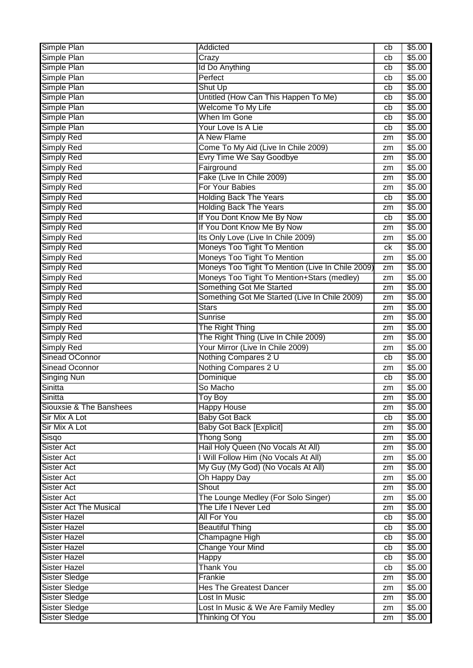| Simple Plan                   | Addicted                                         | cb | \$5.00             |
|-------------------------------|--------------------------------------------------|----|--------------------|
| Simple Plan                   | Crazy                                            | cb | \$5.00             |
| Simple Plan                   | Id Do Anything                                   | cb | \$5.00             |
| Simple Plan                   | Perfect                                          | cb | \$5.00             |
| Simple Plan                   | <b>Shut Up</b>                                   | cb | \$5.00             |
| Simple Plan                   | Untitled (How Can This Happen To Me)             | cb | \$5.00             |
| Simple Plan                   | Welcome To My Life                               | cb | \$5.00             |
| Simple Plan                   | When Im Gone                                     | cb | \$5.00             |
| Simple Plan                   | Your Love Is A Lie                               | cb | \$5.00             |
| <b>Simply Red</b>             | A New Flame                                      | zm | \$5.00             |
| <b>Simply Red</b>             | Come To My Aid (Live In Chile 2009)              | zm | \$5.00             |
| <b>Simply Red</b>             | Evry Time We Say Goodbye                         | zm | $\overline{$}5.00$ |
| <b>Simply Red</b>             | Fairground                                       |    | \$5.00             |
| <b>Simply Red</b>             | Fake (Live In Chile 2009)                        | zm | \$5.00             |
|                               | For Your Babies                                  | zm | \$5.00             |
| Simply Red                    |                                                  | zm |                    |
| Simply Red                    | <b>Holding Back The Years</b>                    | cb | \$5.00             |
| <b>Simply Red</b>             | <b>Holding Back The Years</b>                    | zm | \$5.00             |
| <b>Simply Red</b>             | If You Dont Know Me By Now                       | cb | \$5.00             |
| <b>Simply Red</b>             | If You Dont Know Me By Now                       | zm | \$5.00             |
| <b>Simply Red</b>             | Its Only Love (Live In Chile 2009)               | zm | \$5.00             |
| <b>Simply Red</b>             | Moneys Too Tight To Mention                      | ck | \$5.00             |
| <b>Simply Red</b>             | Moneys Too Tight To Mention                      | zm | \$5.00             |
| <b>Simply Red</b>             | Moneys Too Tight To Mention (Live In Chile 2009) | zm | \$5.00             |
| <b>Simply Red</b>             | Moneys Too Tight To Mention+Stars (medley)       | zm | \$5.00             |
| <b>Simply Red</b>             | Something Got Me Started                         | zm | \$5.00             |
| Simply Red                    | Something Got Me Started (Live In Chile 2009)    | zm | \$5.00             |
| <b>Simply Red</b>             | <b>Stars</b>                                     | zm | \$5.00             |
| <b>Simply Red</b>             | Sunrise                                          | zm | \$5.00             |
| <b>Simply Red</b>             | The Right Thing                                  | zm | \$5.00             |
| <b>Simply Red</b>             | The Right Thing (Live In Chile 2009)             | zm | \$5.00             |
| <b>Simply Red</b>             | Your Mirror (Live In Chile 2009)                 | zm | \$5.00             |
| <b>Sinead OConnor</b>         | Nothing Compares 2 U                             | cb | $\overline{$}5.00$ |
| <b>Sinead Oconnor</b>         | Nothing Compares 2 U                             | zm | \$5.00             |
| <b>Singing Nun</b>            | Dominique                                        | cb | \$5.00             |
| Sinitta                       | So Macho                                         | zm | \$5.00             |
| Sinitta                       | Toy Boy                                          | zm | \$5.00             |
| Siouxsie & The Banshees       | <b>Happy House</b>                               | zm | \$5.00             |
| Sir Mix A Lot                 | <b>Baby Got Back</b>                             | cb | \$5.00             |
| Sir Mix A Lot                 | <b>Baby Got Back [Explicit]</b>                  | zm | \$5.00             |
| Sisqo                         | <b>Thong Song</b>                                | zm | \$5.00             |
| <b>Sister Act</b>             | Hail Holy Queen (No Vocals At All)               | zm | \$5.00             |
| Sister Act                    | I Will Follow Him (No Vocals At All)             | zm | \$5.00             |
| <b>Sister Act</b>             | My Guy (My God) (No Vocals At All)               | zm | \$5.00             |
| <b>Sister Act</b>             | Oh Happy Day                                     | zm | \$5.00             |
| <b>Sister Act</b>             | Shout                                            | zm | \$5.00             |
| <b>Sister Act</b>             | The Lounge Medley (For Solo Singer)              | zm | \$5.00             |
| <b>Sister Act The Musical</b> | The Life I Never Led                             | zm | \$5.00             |
| <b>Sister Hazel</b>           | <b>All For You</b>                               | cb | \$5.00             |
| <b>Sister Hazel</b>           | <b>Beautiful Thing</b>                           | cb | \$5.00             |
| <b>Sister Hazel</b>           | Champagne High                                   | cb | \$5.00             |
| <b>Sister Hazel</b>           | <b>Change Your Mind</b>                          | cb | \$5.00             |
| Sister Hazel                  | Happy                                            | cb | \$5.00             |
| Sister Hazel                  | <b>Thank You</b>                                 | cb | \$5.00             |
| Sister Sledge                 | Frankie                                          | zm | \$5.00             |
| <b>Sister Sledge</b>          | <b>Hes The Greatest Dancer</b>                   | zm | \$5.00             |
| Sister Sledge                 | Lost In Music                                    | zm | \$5.00             |
| <b>Sister Sledge</b>          | Lost In Music & We Are Family Medley             | zm | \$5.00             |
| <b>Sister Sledge</b>          | <b>Thinking Of You</b>                           | zm | \$5.00             |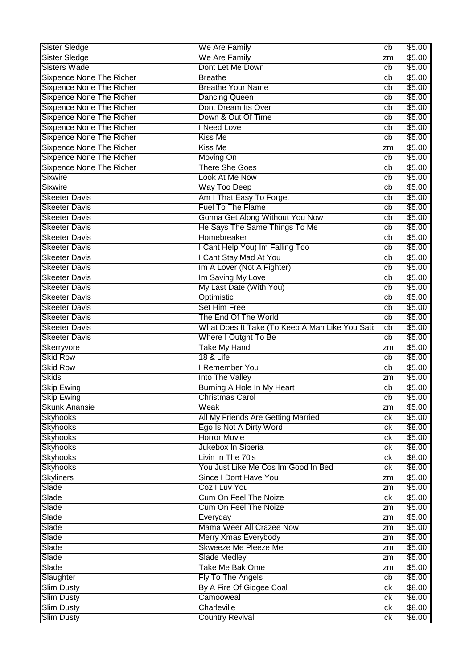| Sister Sledge<br>We Are Family<br>$\sqrt{$5.00}$<br>zm<br>Sisters Wade<br>Dont Let Me Down<br>\$5.00<br>cb<br><b>Breathe</b><br><b>Sixpence None The Richer</b><br>\$5.00<br>cb<br><b>Sixpence None The Richer</b><br><b>Breathe Your Name</b><br>\$5.00<br>cb<br><b>Sixpence None The Richer</b><br><b>Dancing Queen</b><br>\$5.00<br>cb<br>Sixpence None The Richer<br>Dont Dream Its Over<br>\$5.00<br>cb<br><b>Sixpence None The Richer</b><br>Down & Out Of Time<br>\$5.00<br>cb<br>Sixpence None The Richer<br><b>I</b> Need Love<br>\$5.00<br>cb<br><b>Sixpence None The Richer</b><br><b>Kiss Me</b><br>\$5.00<br>cb<br>Sixpence None The Richer<br><b>Kiss Me</b><br>\$5.00<br>zm<br><b>Sixpence None The Richer</b><br>\$5.00<br>Moving On<br>cb<br><b>Sixpence None The Richer</b><br><b>There She Goes</b><br>\$5.00<br>cb<br><b>Sixwire</b><br>Look At Me Now<br>\$5.00<br>cb<br><b>Sixwire</b><br><b>Way Too Deep</b><br>\$5.00<br>cb<br>Am I That Easy To Forget<br><b>Skeeter Davis</b><br>\$5.00<br>cb<br><b>Fuel To The Flame</b><br>\$5.00<br><b>Skeeter Davis</b><br>cb<br>Gonna Get Along Without You Now<br>\$5.00<br><b>Skeeter Davis</b><br>cb<br>He Says The Same Things To Me<br>\$5.00<br><b>Skeeter Davis</b><br>cb<br>Homebreaker<br><b>Skeeter Davis</b><br>\$5.00<br>cb<br>Cant Help You) Im Falling Too<br><b>Skeeter Davis</b><br>\$5.00<br>cb<br>I Cant Stay Mad At You<br><b>Skeeter Davis</b><br>\$5.00<br>cb<br>Im A Lover (Not A Fighter)<br>\$5.00<br>Skeeter Davis<br>cb<br>Im Saving My Love<br><b>Skeeter Davis</b><br>\$5.00<br>cb<br>My Last Date (With You)<br><b>Skeeter Davis</b><br>\$5.00<br>cb<br><b>Skeeter Davis</b><br>Optimistic<br>\$5.00<br>cb<br><b>Set Him Free</b><br>\$5.00<br><b>Skeeter Davis</b><br>cb<br>The End Of The World<br>\$5.00<br><b>Skeeter Davis</b><br>cb<br>What Does It Take (To Keep A Man Like You Sati<br><b>Skeeter Davis</b><br>\$5.00<br>cb<br>Where I Outght To Be<br><b>Skeeter Davis</b><br>\$5.00<br>cb<br><b>Take My Hand</b><br>Skerryvore<br>\$5.00<br>zm<br><b>Skid Row</b><br><b>18 &amp; Life</b><br>\$5.00<br>cb<br><b>Skid Row</b><br><b>Remember You</b><br>\$5.00<br>cb<br><b>Skids</b><br>\$5.00<br>Into The Valley<br>zm<br>Burning A Hole In My Heart<br><b>Skip Ewing</b><br>\$5.00<br>cb<br>\$5.00<br><b>Skip Ewing</b><br><b>Christmas Carol</b><br>cb<br><b>Skunk Anansie</b><br>Weak<br>\$5.00<br>zm<br>All My Friends Are Getting Married<br><b>Skyhooks</b><br>\$5.00<br>ck<br><b>Skyhooks</b><br>Ego Is Not A Dirty Word<br>\$8.00<br>ck<br><b>Skyhooks</b><br><b>Horror Movie</b><br>\$5.00<br>ck<br><b>Skyhooks</b><br>Jukebox In Siberia<br>\$8.00<br>ck<br>Livin In The 70's<br><b>Skyhooks</b><br>\$8.00<br>ck<br><b>Skyhooks</b><br>You Just Like Me Cos Im Good In Bed<br>\$8.00<br>ck<br><b>Skyliners</b><br>Since I Dont Have You<br>\$5.00<br>zm<br>Coz I Luv You<br>Slade<br>\$5.00<br>zm<br><b>Cum On Feel The Noize</b><br>\$5.00<br>Slade<br>ck<br>\$5.00<br>Slade<br>Cum On Feel The Noize<br>zm<br>\$5.00<br>Slade<br>Everyday<br>zm<br>Mama Weer All Crazee Now<br>Slade<br>\$5.00<br>zm<br>Slade<br>Merry Xmas Everybody<br>\$5.00<br>zm<br>Skweeze Me Pleeze Me<br>Slade<br>\$5.00<br>zm<br>Slade<br><b>Slade Medley</b><br>\$5.00<br>zm<br>Take Me Bak Ome<br>Slade<br>\$5.00<br>zm<br>Slaughter<br>Fly To The Angels<br>\$5.00<br>cb<br>By A Fire Of Gidgee Coal<br><b>Slim Dusty</b><br>\$8.00<br>ck<br>Camooweal<br>\$8.00<br><b>Slim Dusty</b><br>ck<br>Charleville<br>\$8.00<br><b>Slim Dusty</b><br>ck | <b>Sister Sledge</b> | We Are Family          | cb | \$5.00 |
|-----------------------------------------------------------------------------------------------------------------------------------------------------------------------------------------------------------------------------------------------------------------------------------------------------------------------------------------------------------------------------------------------------------------------------------------------------------------------------------------------------------------------------------------------------------------------------------------------------------------------------------------------------------------------------------------------------------------------------------------------------------------------------------------------------------------------------------------------------------------------------------------------------------------------------------------------------------------------------------------------------------------------------------------------------------------------------------------------------------------------------------------------------------------------------------------------------------------------------------------------------------------------------------------------------------------------------------------------------------------------------------------------------------------------------------------------------------------------------------------------------------------------------------------------------------------------------------------------------------------------------------------------------------------------------------------------------------------------------------------------------------------------------------------------------------------------------------------------------------------------------------------------------------------------------------------------------------------------------------------------------------------------------------------------------------------------------------------------------------------------------------------------------------------------------------------------------------------------------------------------------------------------------------------------------------------------------------------------------------------------------------------------------------------------------------------------------------------------------------------------------------------------------------------------------------------------------------------------------------------------------------------------------------------------------------------------------------------------------------------------------------------------------------------------------------------------------------------------------------------------------------------------------------------------------------------------------------------------------------------------------------------------------------------------------------------------------------------------------------------------------------------------------------------------------------------------------------------------------------------------------------------------------------------------------------------------------------------------------------------------------------------------------------------------------------------------------------------------------------------------------------------------------------------------|----------------------|------------------------|----|--------|
|                                                                                                                                                                                                                                                                                                                                                                                                                                                                                                                                                                                                                                                                                                                                                                                                                                                                                                                                                                                                                                                                                                                                                                                                                                                                                                                                                                                                                                                                                                                                                                                                                                                                                                                                                                                                                                                                                                                                                                                                                                                                                                                                                                                                                                                                                                                                                                                                                                                                                                                                                                                                                                                                                                                                                                                                                                                                                                                                                                                                                                                                                                                                                                                                                                                                                                                                                                                                                                                                                                                                               |                      |                        |    |        |
|                                                                                                                                                                                                                                                                                                                                                                                                                                                                                                                                                                                                                                                                                                                                                                                                                                                                                                                                                                                                                                                                                                                                                                                                                                                                                                                                                                                                                                                                                                                                                                                                                                                                                                                                                                                                                                                                                                                                                                                                                                                                                                                                                                                                                                                                                                                                                                                                                                                                                                                                                                                                                                                                                                                                                                                                                                                                                                                                                                                                                                                                                                                                                                                                                                                                                                                                                                                                                                                                                                                                               |                      |                        |    |        |
|                                                                                                                                                                                                                                                                                                                                                                                                                                                                                                                                                                                                                                                                                                                                                                                                                                                                                                                                                                                                                                                                                                                                                                                                                                                                                                                                                                                                                                                                                                                                                                                                                                                                                                                                                                                                                                                                                                                                                                                                                                                                                                                                                                                                                                                                                                                                                                                                                                                                                                                                                                                                                                                                                                                                                                                                                                                                                                                                                                                                                                                                                                                                                                                                                                                                                                                                                                                                                                                                                                                                               |                      |                        |    |        |
|                                                                                                                                                                                                                                                                                                                                                                                                                                                                                                                                                                                                                                                                                                                                                                                                                                                                                                                                                                                                                                                                                                                                                                                                                                                                                                                                                                                                                                                                                                                                                                                                                                                                                                                                                                                                                                                                                                                                                                                                                                                                                                                                                                                                                                                                                                                                                                                                                                                                                                                                                                                                                                                                                                                                                                                                                                                                                                                                                                                                                                                                                                                                                                                                                                                                                                                                                                                                                                                                                                                                               |                      |                        |    |        |
|                                                                                                                                                                                                                                                                                                                                                                                                                                                                                                                                                                                                                                                                                                                                                                                                                                                                                                                                                                                                                                                                                                                                                                                                                                                                                                                                                                                                                                                                                                                                                                                                                                                                                                                                                                                                                                                                                                                                                                                                                                                                                                                                                                                                                                                                                                                                                                                                                                                                                                                                                                                                                                                                                                                                                                                                                                                                                                                                                                                                                                                                                                                                                                                                                                                                                                                                                                                                                                                                                                                                               |                      |                        |    |        |
|                                                                                                                                                                                                                                                                                                                                                                                                                                                                                                                                                                                                                                                                                                                                                                                                                                                                                                                                                                                                                                                                                                                                                                                                                                                                                                                                                                                                                                                                                                                                                                                                                                                                                                                                                                                                                                                                                                                                                                                                                                                                                                                                                                                                                                                                                                                                                                                                                                                                                                                                                                                                                                                                                                                                                                                                                                                                                                                                                                                                                                                                                                                                                                                                                                                                                                                                                                                                                                                                                                                                               |                      |                        |    |        |
|                                                                                                                                                                                                                                                                                                                                                                                                                                                                                                                                                                                                                                                                                                                                                                                                                                                                                                                                                                                                                                                                                                                                                                                                                                                                                                                                                                                                                                                                                                                                                                                                                                                                                                                                                                                                                                                                                                                                                                                                                                                                                                                                                                                                                                                                                                                                                                                                                                                                                                                                                                                                                                                                                                                                                                                                                                                                                                                                                                                                                                                                                                                                                                                                                                                                                                                                                                                                                                                                                                                                               |                      |                        |    |        |
|                                                                                                                                                                                                                                                                                                                                                                                                                                                                                                                                                                                                                                                                                                                                                                                                                                                                                                                                                                                                                                                                                                                                                                                                                                                                                                                                                                                                                                                                                                                                                                                                                                                                                                                                                                                                                                                                                                                                                                                                                                                                                                                                                                                                                                                                                                                                                                                                                                                                                                                                                                                                                                                                                                                                                                                                                                                                                                                                                                                                                                                                                                                                                                                                                                                                                                                                                                                                                                                                                                                                               |                      |                        |    |        |
|                                                                                                                                                                                                                                                                                                                                                                                                                                                                                                                                                                                                                                                                                                                                                                                                                                                                                                                                                                                                                                                                                                                                                                                                                                                                                                                                                                                                                                                                                                                                                                                                                                                                                                                                                                                                                                                                                                                                                                                                                                                                                                                                                                                                                                                                                                                                                                                                                                                                                                                                                                                                                                                                                                                                                                                                                                                                                                                                                                                                                                                                                                                                                                                                                                                                                                                                                                                                                                                                                                                                               |                      |                        |    |        |
|                                                                                                                                                                                                                                                                                                                                                                                                                                                                                                                                                                                                                                                                                                                                                                                                                                                                                                                                                                                                                                                                                                                                                                                                                                                                                                                                                                                                                                                                                                                                                                                                                                                                                                                                                                                                                                                                                                                                                                                                                                                                                                                                                                                                                                                                                                                                                                                                                                                                                                                                                                                                                                                                                                                                                                                                                                                                                                                                                                                                                                                                                                                                                                                                                                                                                                                                                                                                                                                                                                                                               |                      |                        |    |        |
|                                                                                                                                                                                                                                                                                                                                                                                                                                                                                                                                                                                                                                                                                                                                                                                                                                                                                                                                                                                                                                                                                                                                                                                                                                                                                                                                                                                                                                                                                                                                                                                                                                                                                                                                                                                                                                                                                                                                                                                                                                                                                                                                                                                                                                                                                                                                                                                                                                                                                                                                                                                                                                                                                                                                                                                                                                                                                                                                                                                                                                                                                                                                                                                                                                                                                                                                                                                                                                                                                                                                               |                      |                        |    |        |
|                                                                                                                                                                                                                                                                                                                                                                                                                                                                                                                                                                                                                                                                                                                                                                                                                                                                                                                                                                                                                                                                                                                                                                                                                                                                                                                                                                                                                                                                                                                                                                                                                                                                                                                                                                                                                                                                                                                                                                                                                                                                                                                                                                                                                                                                                                                                                                                                                                                                                                                                                                                                                                                                                                                                                                                                                                                                                                                                                                                                                                                                                                                                                                                                                                                                                                                                                                                                                                                                                                                                               |                      |                        |    |        |
|                                                                                                                                                                                                                                                                                                                                                                                                                                                                                                                                                                                                                                                                                                                                                                                                                                                                                                                                                                                                                                                                                                                                                                                                                                                                                                                                                                                                                                                                                                                                                                                                                                                                                                                                                                                                                                                                                                                                                                                                                                                                                                                                                                                                                                                                                                                                                                                                                                                                                                                                                                                                                                                                                                                                                                                                                                                                                                                                                                                                                                                                                                                                                                                                                                                                                                                                                                                                                                                                                                                                               |                      |                        |    |        |
|                                                                                                                                                                                                                                                                                                                                                                                                                                                                                                                                                                                                                                                                                                                                                                                                                                                                                                                                                                                                                                                                                                                                                                                                                                                                                                                                                                                                                                                                                                                                                                                                                                                                                                                                                                                                                                                                                                                                                                                                                                                                                                                                                                                                                                                                                                                                                                                                                                                                                                                                                                                                                                                                                                                                                                                                                                                                                                                                                                                                                                                                                                                                                                                                                                                                                                                                                                                                                                                                                                                                               |                      |                        |    |        |
|                                                                                                                                                                                                                                                                                                                                                                                                                                                                                                                                                                                                                                                                                                                                                                                                                                                                                                                                                                                                                                                                                                                                                                                                                                                                                                                                                                                                                                                                                                                                                                                                                                                                                                                                                                                                                                                                                                                                                                                                                                                                                                                                                                                                                                                                                                                                                                                                                                                                                                                                                                                                                                                                                                                                                                                                                                                                                                                                                                                                                                                                                                                                                                                                                                                                                                                                                                                                                                                                                                                                               |                      |                        |    |        |
|                                                                                                                                                                                                                                                                                                                                                                                                                                                                                                                                                                                                                                                                                                                                                                                                                                                                                                                                                                                                                                                                                                                                                                                                                                                                                                                                                                                                                                                                                                                                                                                                                                                                                                                                                                                                                                                                                                                                                                                                                                                                                                                                                                                                                                                                                                                                                                                                                                                                                                                                                                                                                                                                                                                                                                                                                                                                                                                                                                                                                                                                                                                                                                                                                                                                                                                                                                                                                                                                                                                                               |                      |                        |    |        |
|                                                                                                                                                                                                                                                                                                                                                                                                                                                                                                                                                                                                                                                                                                                                                                                                                                                                                                                                                                                                                                                                                                                                                                                                                                                                                                                                                                                                                                                                                                                                                                                                                                                                                                                                                                                                                                                                                                                                                                                                                                                                                                                                                                                                                                                                                                                                                                                                                                                                                                                                                                                                                                                                                                                                                                                                                                                                                                                                                                                                                                                                                                                                                                                                                                                                                                                                                                                                                                                                                                                                               |                      |                        |    |        |
|                                                                                                                                                                                                                                                                                                                                                                                                                                                                                                                                                                                                                                                                                                                                                                                                                                                                                                                                                                                                                                                                                                                                                                                                                                                                                                                                                                                                                                                                                                                                                                                                                                                                                                                                                                                                                                                                                                                                                                                                                                                                                                                                                                                                                                                                                                                                                                                                                                                                                                                                                                                                                                                                                                                                                                                                                                                                                                                                                                                                                                                                                                                                                                                                                                                                                                                                                                                                                                                                                                                                               |                      |                        |    |        |
|                                                                                                                                                                                                                                                                                                                                                                                                                                                                                                                                                                                                                                                                                                                                                                                                                                                                                                                                                                                                                                                                                                                                                                                                                                                                                                                                                                                                                                                                                                                                                                                                                                                                                                                                                                                                                                                                                                                                                                                                                                                                                                                                                                                                                                                                                                                                                                                                                                                                                                                                                                                                                                                                                                                                                                                                                                                                                                                                                                                                                                                                                                                                                                                                                                                                                                                                                                                                                                                                                                                                               |                      |                        |    |        |
|                                                                                                                                                                                                                                                                                                                                                                                                                                                                                                                                                                                                                                                                                                                                                                                                                                                                                                                                                                                                                                                                                                                                                                                                                                                                                                                                                                                                                                                                                                                                                                                                                                                                                                                                                                                                                                                                                                                                                                                                                                                                                                                                                                                                                                                                                                                                                                                                                                                                                                                                                                                                                                                                                                                                                                                                                                                                                                                                                                                                                                                                                                                                                                                                                                                                                                                                                                                                                                                                                                                                               |                      |                        |    |        |
|                                                                                                                                                                                                                                                                                                                                                                                                                                                                                                                                                                                                                                                                                                                                                                                                                                                                                                                                                                                                                                                                                                                                                                                                                                                                                                                                                                                                                                                                                                                                                                                                                                                                                                                                                                                                                                                                                                                                                                                                                                                                                                                                                                                                                                                                                                                                                                                                                                                                                                                                                                                                                                                                                                                                                                                                                                                                                                                                                                                                                                                                                                                                                                                                                                                                                                                                                                                                                                                                                                                                               |                      |                        |    |        |
|                                                                                                                                                                                                                                                                                                                                                                                                                                                                                                                                                                                                                                                                                                                                                                                                                                                                                                                                                                                                                                                                                                                                                                                                                                                                                                                                                                                                                                                                                                                                                                                                                                                                                                                                                                                                                                                                                                                                                                                                                                                                                                                                                                                                                                                                                                                                                                                                                                                                                                                                                                                                                                                                                                                                                                                                                                                                                                                                                                                                                                                                                                                                                                                                                                                                                                                                                                                                                                                                                                                                               |                      |                        |    |        |
|                                                                                                                                                                                                                                                                                                                                                                                                                                                                                                                                                                                                                                                                                                                                                                                                                                                                                                                                                                                                                                                                                                                                                                                                                                                                                                                                                                                                                                                                                                                                                                                                                                                                                                                                                                                                                                                                                                                                                                                                                                                                                                                                                                                                                                                                                                                                                                                                                                                                                                                                                                                                                                                                                                                                                                                                                                                                                                                                                                                                                                                                                                                                                                                                                                                                                                                                                                                                                                                                                                                                               |                      |                        |    |        |
|                                                                                                                                                                                                                                                                                                                                                                                                                                                                                                                                                                                                                                                                                                                                                                                                                                                                                                                                                                                                                                                                                                                                                                                                                                                                                                                                                                                                                                                                                                                                                                                                                                                                                                                                                                                                                                                                                                                                                                                                                                                                                                                                                                                                                                                                                                                                                                                                                                                                                                                                                                                                                                                                                                                                                                                                                                                                                                                                                                                                                                                                                                                                                                                                                                                                                                                                                                                                                                                                                                                                               |                      |                        |    |        |
|                                                                                                                                                                                                                                                                                                                                                                                                                                                                                                                                                                                                                                                                                                                                                                                                                                                                                                                                                                                                                                                                                                                                                                                                                                                                                                                                                                                                                                                                                                                                                                                                                                                                                                                                                                                                                                                                                                                                                                                                                                                                                                                                                                                                                                                                                                                                                                                                                                                                                                                                                                                                                                                                                                                                                                                                                                                                                                                                                                                                                                                                                                                                                                                                                                                                                                                                                                                                                                                                                                                                               |                      |                        |    |        |
|                                                                                                                                                                                                                                                                                                                                                                                                                                                                                                                                                                                                                                                                                                                                                                                                                                                                                                                                                                                                                                                                                                                                                                                                                                                                                                                                                                                                                                                                                                                                                                                                                                                                                                                                                                                                                                                                                                                                                                                                                                                                                                                                                                                                                                                                                                                                                                                                                                                                                                                                                                                                                                                                                                                                                                                                                                                                                                                                                                                                                                                                                                                                                                                                                                                                                                                                                                                                                                                                                                                                               |                      |                        |    |        |
|                                                                                                                                                                                                                                                                                                                                                                                                                                                                                                                                                                                                                                                                                                                                                                                                                                                                                                                                                                                                                                                                                                                                                                                                                                                                                                                                                                                                                                                                                                                                                                                                                                                                                                                                                                                                                                                                                                                                                                                                                                                                                                                                                                                                                                                                                                                                                                                                                                                                                                                                                                                                                                                                                                                                                                                                                                                                                                                                                                                                                                                                                                                                                                                                                                                                                                                                                                                                                                                                                                                                               |                      |                        |    |        |
|                                                                                                                                                                                                                                                                                                                                                                                                                                                                                                                                                                                                                                                                                                                                                                                                                                                                                                                                                                                                                                                                                                                                                                                                                                                                                                                                                                                                                                                                                                                                                                                                                                                                                                                                                                                                                                                                                                                                                                                                                                                                                                                                                                                                                                                                                                                                                                                                                                                                                                                                                                                                                                                                                                                                                                                                                                                                                                                                                                                                                                                                                                                                                                                                                                                                                                                                                                                                                                                                                                                                               |                      |                        |    |        |
|                                                                                                                                                                                                                                                                                                                                                                                                                                                                                                                                                                                                                                                                                                                                                                                                                                                                                                                                                                                                                                                                                                                                                                                                                                                                                                                                                                                                                                                                                                                                                                                                                                                                                                                                                                                                                                                                                                                                                                                                                                                                                                                                                                                                                                                                                                                                                                                                                                                                                                                                                                                                                                                                                                                                                                                                                                                                                                                                                                                                                                                                                                                                                                                                                                                                                                                                                                                                                                                                                                                                               |                      |                        |    |        |
|                                                                                                                                                                                                                                                                                                                                                                                                                                                                                                                                                                                                                                                                                                                                                                                                                                                                                                                                                                                                                                                                                                                                                                                                                                                                                                                                                                                                                                                                                                                                                                                                                                                                                                                                                                                                                                                                                                                                                                                                                                                                                                                                                                                                                                                                                                                                                                                                                                                                                                                                                                                                                                                                                                                                                                                                                                                                                                                                                                                                                                                                                                                                                                                                                                                                                                                                                                                                                                                                                                                                               |                      |                        |    |        |
|                                                                                                                                                                                                                                                                                                                                                                                                                                                                                                                                                                                                                                                                                                                                                                                                                                                                                                                                                                                                                                                                                                                                                                                                                                                                                                                                                                                                                                                                                                                                                                                                                                                                                                                                                                                                                                                                                                                                                                                                                                                                                                                                                                                                                                                                                                                                                                                                                                                                                                                                                                                                                                                                                                                                                                                                                                                                                                                                                                                                                                                                                                                                                                                                                                                                                                                                                                                                                                                                                                                                               |                      |                        |    |        |
|                                                                                                                                                                                                                                                                                                                                                                                                                                                                                                                                                                                                                                                                                                                                                                                                                                                                                                                                                                                                                                                                                                                                                                                                                                                                                                                                                                                                                                                                                                                                                                                                                                                                                                                                                                                                                                                                                                                                                                                                                                                                                                                                                                                                                                                                                                                                                                                                                                                                                                                                                                                                                                                                                                                                                                                                                                                                                                                                                                                                                                                                                                                                                                                                                                                                                                                                                                                                                                                                                                                                               |                      |                        |    |        |
|                                                                                                                                                                                                                                                                                                                                                                                                                                                                                                                                                                                                                                                                                                                                                                                                                                                                                                                                                                                                                                                                                                                                                                                                                                                                                                                                                                                                                                                                                                                                                                                                                                                                                                                                                                                                                                                                                                                                                                                                                                                                                                                                                                                                                                                                                                                                                                                                                                                                                                                                                                                                                                                                                                                                                                                                                                                                                                                                                                                                                                                                                                                                                                                                                                                                                                                                                                                                                                                                                                                                               |                      |                        |    |        |
|                                                                                                                                                                                                                                                                                                                                                                                                                                                                                                                                                                                                                                                                                                                                                                                                                                                                                                                                                                                                                                                                                                                                                                                                                                                                                                                                                                                                                                                                                                                                                                                                                                                                                                                                                                                                                                                                                                                                                                                                                                                                                                                                                                                                                                                                                                                                                                                                                                                                                                                                                                                                                                                                                                                                                                                                                                                                                                                                                                                                                                                                                                                                                                                                                                                                                                                                                                                                                                                                                                                                               |                      |                        |    |        |
|                                                                                                                                                                                                                                                                                                                                                                                                                                                                                                                                                                                                                                                                                                                                                                                                                                                                                                                                                                                                                                                                                                                                                                                                                                                                                                                                                                                                                                                                                                                                                                                                                                                                                                                                                                                                                                                                                                                                                                                                                                                                                                                                                                                                                                                                                                                                                                                                                                                                                                                                                                                                                                                                                                                                                                                                                                                                                                                                                                                                                                                                                                                                                                                                                                                                                                                                                                                                                                                                                                                                               |                      |                        |    |        |
|                                                                                                                                                                                                                                                                                                                                                                                                                                                                                                                                                                                                                                                                                                                                                                                                                                                                                                                                                                                                                                                                                                                                                                                                                                                                                                                                                                                                                                                                                                                                                                                                                                                                                                                                                                                                                                                                                                                                                                                                                                                                                                                                                                                                                                                                                                                                                                                                                                                                                                                                                                                                                                                                                                                                                                                                                                                                                                                                                                                                                                                                                                                                                                                                                                                                                                                                                                                                                                                                                                                                               |                      |                        |    |        |
|                                                                                                                                                                                                                                                                                                                                                                                                                                                                                                                                                                                                                                                                                                                                                                                                                                                                                                                                                                                                                                                                                                                                                                                                                                                                                                                                                                                                                                                                                                                                                                                                                                                                                                                                                                                                                                                                                                                                                                                                                                                                                                                                                                                                                                                                                                                                                                                                                                                                                                                                                                                                                                                                                                                                                                                                                                                                                                                                                                                                                                                                                                                                                                                                                                                                                                                                                                                                                                                                                                                                               |                      |                        |    |        |
|                                                                                                                                                                                                                                                                                                                                                                                                                                                                                                                                                                                                                                                                                                                                                                                                                                                                                                                                                                                                                                                                                                                                                                                                                                                                                                                                                                                                                                                                                                                                                                                                                                                                                                                                                                                                                                                                                                                                                                                                                                                                                                                                                                                                                                                                                                                                                                                                                                                                                                                                                                                                                                                                                                                                                                                                                                                                                                                                                                                                                                                                                                                                                                                                                                                                                                                                                                                                                                                                                                                                               |                      |                        |    |        |
|                                                                                                                                                                                                                                                                                                                                                                                                                                                                                                                                                                                                                                                                                                                                                                                                                                                                                                                                                                                                                                                                                                                                                                                                                                                                                                                                                                                                                                                                                                                                                                                                                                                                                                                                                                                                                                                                                                                                                                                                                                                                                                                                                                                                                                                                                                                                                                                                                                                                                                                                                                                                                                                                                                                                                                                                                                                                                                                                                                                                                                                                                                                                                                                                                                                                                                                                                                                                                                                                                                                                               |                      |                        |    |        |
|                                                                                                                                                                                                                                                                                                                                                                                                                                                                                                                                                                                                                                                                                                                                                                                                                                                                                                                                                                                                                                                                                                                                                                                                                                                                                                                                                                                                                                                                                                                                                                                                                                                                                                                                                                                                                                                                                                                                                                                                                                                                                                                                                                                                                                                                                                                                                                                                                                                                                                                                                                                                                                                                                                                                                                                                                                                                                                                                                                                                                                                                                                                                                                                                                                                                                                                                                                                                                                                                                                                                               |                      |                        |    |        |
|                                                                                                                                                                                                                                                                                                                                                                                                                                                                                                                                                                                                                                                                                                                                                                                                                                                                                                                                                                                                                                                                                                                                                                                                                                                                                                                                                                                                                                                                                                                                                                                                                                                                                                                                                                                                                                                                                                                                                                                                                                                                                                                                                                                                                                                                                                                                                                                                                                                                                                                                                                                                                                                                                                                                                                                                                                                                                                                                                                                                                                                                                                                                                                                                                                                                                                                                                                                                                                                                                                                                               |                      |                        |    |        |
|                                                                                                                                                                                                                                                                                                                                                                                                                                                                                                                                                                                                                                                                                                                                                                                                                                                                                                                                                                                                                                                                                                                                                                                                                                                                                                                                                                                                                                                                                                                                                                                                                                                                                                                                                                                                                                                                                                                                                                                                                                                                                                                                                                                                                                                                                                                                                                                                                                                                                                                                                                                                                                                                                                                                                                                                                                                                                                                                                                                                                                                                                                                                                                                                                                                                                                                                                                                                                                                                                                                                               |                      |                        |    |        |
|                                                                                                                                                                                                                                                                                                                                                                                                                                                                                                                                                                                                                                                                                                                                                                                                                                                                                                                                                                                                                                                                                                                                                                                                                                                                                                                                                                                                                                                                                                                                                                                                                                                                                                                                                                                                                                                                                                                                                                                                                                                                                                                                                                                                                                                                                                                                                                                                                                                                                                                                                                                                                                                                                                                                                                                                                                                                                                                                                                                                                                                                                                                                                                                                                                                                                                                                                                                                                                                                                                                                               |                      |                        |    |        |
|                                                                                                                                                                                                                                                                                                                                                                                                                                                                                                                                                                                                                                                                                                                                                                                                                                                                                                                                                                                                                                                                                                                                                                                                                                                                                                                                                                                                                                                                                                                                                                                                                                                                                                                                                                                                                                                                                                                                                                                                                                                                                                                                                                                                                                                                                                                                                                                                                                                                                                                                                                                                                                                                                                                                                                                                                                                                                                                                                                                                                                                                                                                                                                                                                                                                                                                                                                                                                                                                                                                                               |                      |                        |    |        |
|                                                                                                                                                                                                                                                                                                                                                                                                                                                                                                                                                                                                                                                                                                                                                                                                                                                                                                                                                                                                                                                                                                                                                                                                                                                                                                                                                                                                                                                                                                                                                                                                                                                                                                                                                                                                                                                                                                                                                                                                                                                                                                                                                                                                                                                                                                                                                                                                                                                                                                                                                                                                                                                                                                                                                                                                                                                                                                                                                                                                                                                                                                                                                                                                                                                                                                                                                                                                                                                                                                                                               |                      |                        |    |        |
|                                                                                                                                                                                                                                                                                                                                                                                                                                                                                                                                                                                                                                                                                                                                                                                                                                                                                                                                                                                                                                                                                                                                                                                                                                                                                                                                                                                                                                                                                                                                                                                                                                                                                                                                                                                                                                                                                                                                                                                                                                                                                                                                                                                                                                                                                                                                                                                                                                                                                                                                                                                                                                                                                                                                                                                                                                                                                                                                                                                                                                                                                                                                                                                                                                                                                                                                                                                                                                                                                                                                               |                      |                        |    |        |
|                                                                                                                                                                                                                                                                                                                                                                                                                                                                                                                                                                                                                                                                                                                                                                                                                                                                                                                                                                                                                                                                                                                                                                                                                                                                                                                                                                                                                                                                                                                                                                                                                                                                                                                                                                                                                                                                                                                                                                                                                                                                                                                                                                                                                                                                                                                                                                                                                                                                                                                                                                                                                                                                                                                                                                                                                                                                                                                                                                                                                                                                                                                                                                                                                                                                                                                                                                                                                                                                                                                                               |                      |                        |    |        |
|                                                                                                                                                                                                                                                                                                                                                                                                                                                                                                                                                                                                                                                                                                                                                                                                                                                                                                                                                                                                                                                                                                                                                                                                                                                                                                                                                                                                                                                                                                                                                                                                                                                                                                                                                                                                                                                                                                                                                                                                                                                                                                                                                                                                                                                                                                                                                                                                                                                                                                                                                                                                                                                                                                                                                                                                                                                                                                                                                                                                                                                                                                                                                                                                                                                                                                                                                                                                                                                                                                                                               |                      |                        |    |        |
|                                                                                                                                                                                                                                                                                                                                                                                                                                                                                                                                                                                                                                                                                                                                                                                                                                                                                                                                                                                                                                                                                                                                                                                                                                                                                                                                                                                                                                                                                                                                                                                                                                                                                                                                                                                                                                                                                                                                                                                                                                                                                                                                                                                                                                                                                                                                                                                                                                                                                                                                                                                                                                                                                                                                                                                                                                                                                                                                                                                                                                                                                                                                                                                                                                                                                                                                                                                                                                                                                                                                               |                      |                        |    |        |
|                                                                                                                                                                                                                                                                                                                                                                                                                                                                                                                                                                                                                                                                                                                                                                                                                                                                                                                                                                                                                                                                                                                                                                                                                                                                                                                                                                                                                                                                                                                                                                                                                                                                                                                                                                                                                                                                                                                                                                                                                                                                                                                                                                                                                                                                                                                                                                                                                                                                                                                                                                                                                                                                                                                                                                                                                                                                                                                                                                                                                                                                                                                                                                                                                                                                                                                                                                                                                                                                                                                                               |                      |                        |    |        |
|                                                                                                                                                                                                                                                                                                                                                                                                                                                                                                                                                                                                                                                                                                                                                                                                                                                                                                                                                                                                                                                                                                                                                                                                                                                                                                                                                                                                                                                                                                                                                                                                                                                                                                                                                                                                                                                                                                                                                                                                                                                                                                                                                                                                                                                                                                                                                                                                                                                                                                                                                                                                                                                                                                                                                                                                                                                                                                                                                                                                                                                                                                                                                                                                                                                                                                                                                                                                                                                                                                                                               |                      |                        |    |        |
|                                                                                                                                                                                                                                                                                                                                                                                                                                                                                                                                                                                                                                                                                                                                                                                                                                                                                                                                                                                                                                                                                                                                                                                                                                                                                                                                                                                                                                                                                                                                                                                                                                                                                                                                                                                                                                                                                                                                                                                                                                                                                                                                                                                                                                                                                                                                                                                                                                                                                                                                                                                                                                                                                                                                                                                                                                                                                                                                                                                                                                                                                                                                                                                                                                                                                                                                                                                                                                                                                                                                               |                      |                        |    |        |
|                                                                                                                                                                                                                                                                                                                                                                                                                                                                                                                                                                                                                                                                                                                                                                                                                                                                                                                                                                                                                                                                                                                                                                                                                                                                                                                                                                                                                                                                                                                                                                                                                                                                                                                                                                                                                                                                                                                                                                                                                                                                                                                                                                                                                                                                                                                                                                                                                                                                                                                                                                                                                                                                                                                                                                                                                                                                                                                                                                                                                                                                                                                                                                                                                                                                                                                                                                                                                                                                                                                                               |                      |                        |    |        |
|                                                                                                                                                                                                                                                                                                                                                                                                                                                                                                                                                                                                                                                                                                                                                                                                                                                                                                                                                                                                                                                                                                                                                                                                                                                                                                                                                                                                                                                                                                                                                                                                                                                                                                                                                                                                                                                                                                                                                                                                                                                                                                                                                                                                                                                                                                                                                                                                                                                                                                                                                                                                                                                                                                                                                                                                                                                                                                                                                                                                                                                                                                                                                                                                                                                                                                                                                                                                                                                                                                                                               |                      |                        |    |        |
|                                                                                                                                                                                                                                                                                                                                                                                                                                                                                                                                                                                                                                                                                                                                                                                                                                                                                                                                                                                                                                                                                                                                                                                                                                                                                                                                                                                                                                                                                                                                                                                                                                                                                                                                                                                                                                                                                                                                                                                                                                                                                                                                                                                                                                                                                                                                                                                                                                                                                                                                                                                                                                                                                                                                                                                                                                                                                                                                                                                                                                                                                                                                                                                                                                                                                                                                                                                                                                                                                                                                               |                      |                        |    |        |
|                                                                                                                                                                                                                                                                                                                                                                                                                                                                                                                                                                                                                                                                                                                                                                                                                                                                                                                                                                                                                                                                                                                                                                                                                                                                                                                                                                                                                                                                                                                                                                                                                                                                                                                                                                                                                                                                                                                                                                                                                                                                                                                                                                                                                                                                                                                                                                                                                                                                                                                                                                                                                                                                                                                                                                                                                                                                                                                                                                                                                                                                                                                                                                                                                                                                                                                                                                                                                                                                                                                                               |                      |                        |    |        |
|                                                                                                                                                                                                                                                                                                                                                                                                                                                                                                                                                                                                                                                                                                                                                                                                                                                                                                                                                                                                                                                                                                                                                                                                                                                                                                                                                                                                                                                                                                                                                                                                                                                                                                                                                                                                                                                                                                                                                                                                                                                                                                                                                                                                                                                                                                                                                                                                                                                                                                                                                                                                                                                                                                                                                                                                                                                                                                                                                                                                                                                                                                                                                                                                                                                                                                                                                                                                                                                                                                                                               |                      |                        |    |        |
|                                                                                                                                                                                                                                                                                                                                                                                                                                                                                                                                                                                                                                                                                                                                                                                                                                                                                                                                                                                                                                                                                                                                                                                                                                                                                                                                                                                                                                                                                                                                                                                                                                                                                                                                                                                                                                                                                                                                                                                                                                                                                                                                                                                                                                                                                                                                                                                                                                                                                                                                                                                                                                                                                                                                                                                                                                                                                                                                                                                                                                                                                                                                                                                                                                                                                                                                                                                                                                                                                                                                               | <b>Slim Dusty</b>    | <b>Country Revival</b> | ck | \$8.00 |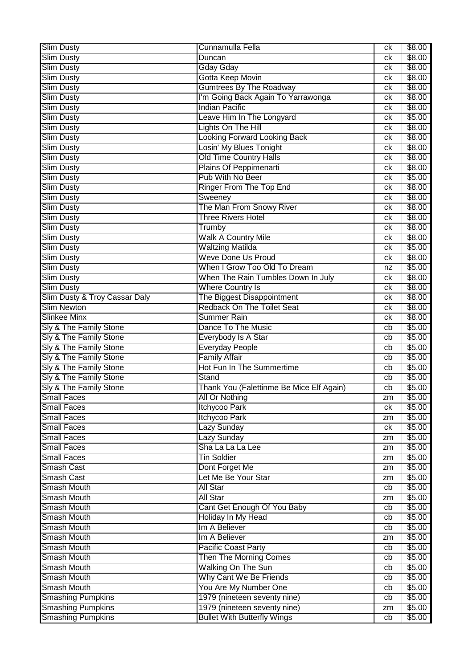| <b>Slim Dusty</b>                                    | Cunnamulla Fella                                                   | ck       | \$8.00           |
|------------------------------------------------------|--------------------------------------------------------------------|----------|------------------|
| Slim Dusty                                           | Duncan                                                             | ck       | \$8.00           |
| <b>Slim Dusty</b>                                    | <b>Gday Gday</b>                                                   | ck       | \$8.00           |
| <b>Slim Dusty</b>                                    | Gotta Keep Movin                                                   | ck       | \$8.00           |
| <b>Slim Dusty</b>                                    | <b>Gumtrees By The Roadway</b>                                     | ck       | \$8.00           |
| <b>Slim Dusty</b>                                    | I'm Going Back Again To Yarrawonga                                 | ck       | \$8.00           |
| <b>Slim Dusty</b>                                    | <b>Indian Pacific</b>                                              | ck       | \$8.00           |
| <b>Slim Dusty</b>                                    | Leave Him In The Longyard                                          | ck       | \$5.00           |
| <b>Slim Dusty</b>                                    | Lights On The Hill                                                 | ck       | \$8.00           |
| <b>Slim Dusty</b>                                    | <b>Looking Forward Looking Back</b>                                | ck       | \$8.00           |
| <b>Slim Dusty</b>                                    | Losin' My Blues Tonight                                            | ck       | \$8.00           |
| Slim Dusty                                           | <b>Old Time Country Halls</b>                                      | ck       | \$8.00           |
| Slim Dusty                                           | Plains Of Peppimenarti                                             | ck       | \$8.00           |
|                                                      | Pub With No Beer                                                   |          |                  |
| <b>Slim Dusty</b>                                    |                                                                    | ck       | \$5.00           |
| <b>Slim Dusty</b>                                    | Ringer From The Top End                                            | ck       | \$8.00           |
| <b>Slim Dusty</b>                                    | Sweeney                                                            | ck       | \$8.00           |
| <b>Slim Dusty</b>                                    | The Man From Snowy River                                           | ck       | \$8.00           |
| <b>Slim Dusty</b>                                    | <b>Three Rivers Hotel</b>                                          | ck       | \$8.00           |
| <b>Slim Dusty</b>                                    | Trumby                                                             | ck       | \$8.00           |
| <b>Slim Dusty</b>                                    | <b>Walk A Country Mile</b>                                         | ck       | \$8.00           |
| <b>Slim Dusty</b>                                    | <b>Waltzing Matilda</b>                                            | ck       | \$5.00           |
| <b>Slim Dusty</b>                                    | <b>Weve Done Us Proud</b>                                          | ck       | \$8.00           |
| Slim Dusty                                           | When I Grow Too Old To Dream                                       | nz       | \$5.00           |
| <b>Slim Dusty</b>                                    | When The Rain Tumbles Down In July                                 | ck       | \$8.00           |
| <b>Slim Dusty</b>                                    | <b>Where Country Is</b>                                            | ck       | \$8.00           |
| Slim Dusty & Troy Cassar Daly                        | The Biggest Disappointment                                         | ck       | \$8.00           |
| <b>Slim Newton</b>                                   | <b>Redback On The Toilet Seat</b>                                  | ck       | \$8.00           |
| <b>Slinkee Minx</b>                                  | <b>Summer Rain</b>                                                 | ck       | \$8.00           |
| Sly & The Family Stone                               | Dance To The Music                                                 | cb       | \$5.00           |
| Sly & The Family Stone                               | Everybody Is A Star                                                | cb       | \$5.00           |
| Sly & The Family Stone                               | Everyday People                                                    | cb       | \$5.00           |
| Sly & The Family Stone                               | <b>Family Affair</b>                                               | cb       | \$5.00           |
| Sly & The Family Stone                               |                                                                    |          |                  |
|                                                      | <b>Hot Fun In The Summertime</b>                                   | cb       | \$5.00           |
| Sly & The Family Stone                               | Stand                                                              | cb       | \$5.00           |
| Sly & The Family Stone                               | Thank You (Falettinme Be Mice Elf Again)                           | cb       | \$5.00           |
| <b>Small Faces</b>                                   |                                                                    | zm       |                  |
| Small Faces                                          | All Or Nothing<br>Itchycoo Park                                    | ck       | \$5.00<br>\$5.00 |
| <b>Small Faces</b>                                   | Itchycoo Park                                                      | zm       | \$5.00           |
| <b>Small Faces</b>                                   | Lazy Sunday                                                        | ck       | \$5.00           |
| <b>Small Faces</b>                                   | <b>Lazy Sunday</b>                                                 | zm       | \$5.00           |
| <b>Small Faces</b>                                   | Sha La La La Lee                                                   | zm       |                  |
| <b>Small Faces</b>                                   | <b>Tin Soldier</b>                                                 | zm       | \$5.00           |
| Smash Cast                                           |                                                                    | zm       | \$5.00           |
| Smash Cast                                           | Dont Forget Me<br>Let Me Be Your Star                              | zm       | \$5.00           |
|                                                      |                                                                    |          | \$5.00           |
| <b>Smash Mouth</b>                                   | <b>All Star</b>                                                    | cb       | \$5.00           |
| <b>Smash Mouth</b>                                   | All Star                                                           | zm       | \$5.00           |
| <b>Smash Mouth</b>                                   | Cant Get Enough Of You Baby                                        | cb       | \$5.00           |
| <b>Smash Mouth</b>                                   | Holiday In My Head                                                 | cb       | \$5.00           |
| <b>Smash Mouth</b>                                   | Im A Believer                                                      | cb       | \$5.00           |
| <b>Smash Mouth</b>                                   | Im A Believer                                                      | zm       | \$5.00           |
| <b>Smash Mouth</b>                                   | Pacific Coast Party                                                | cb       | \$5.00           |
| <b>Smash Mouth</b>                                   | Then The Morning Comes                                             | cb       | \$5.00           |
| <b>Smash Mouth</b>                                   | Walking On The Sun                                                 | cb       | \$5.00           |
| <b>Smash Mouth</b>                                   | Why Cant We Be Friends                                             | cb       | \$5.00           |
| <b>Smash Mouth</b>                                   | You Are My Number One                                              | cb       | \$5.00           |
| <b>Smashing Pumpkins</b>                             | 1979 (nineteen seventy nine)                                       | cb       | \$5.00           |
| <b>Smashing Pumpkins</b><br><b>Smashing Pumpkins</b> | 1979 (nineteen seventy nine)<br><b>Bullet With Butterfly Wings</b> | zm<br>cb | \$5.00<br>\$5.00 |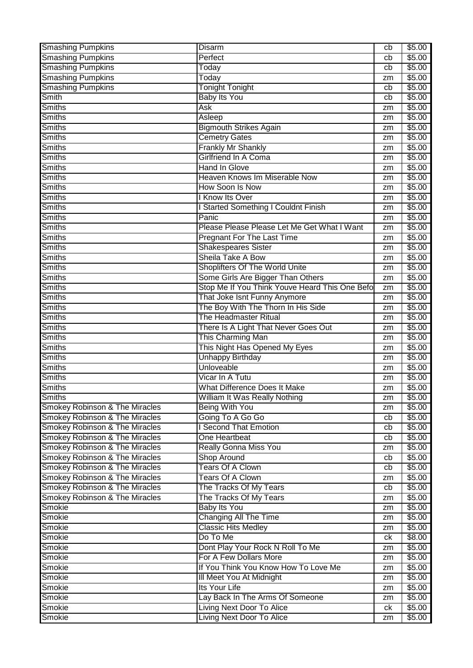| <b>Smashing Pumpkins</b>                  | Disarm                                         | cb | \$5.00         |
|-------------------------------------------|------------------------------------------------|----|----------------|
| <b>Smashing Pumpkins</b>                  | Perfect                                        | cb | \$5.00         |
| <b>Smashing Pumpkins</b>                  | Today                                          | cb | \$5.00         |
| <b>Smashing Pumpkins</b>                  | Today                                          | zm | \$5.00         |
| <b>Smashing Pumpkins</b>                  | <b>Tonight Tonight</b>                         | cb | \$5.00         |
| Smith                                     | <b>Baby Its You</b>                            | cb | \$5.00         |
| Smiths                                    | Ask                                            | zm | \$5.00         |
| <b>Smiths</b>                             | Asleep                                         | zm | \$5.00         |
| <b>Smiths</b>                             | <b>Bigmouth Strikes Again</b>                  | zm | \$5.00         |
| Smiths                                    | <b>Cemetry Gates</b>                           | zm | \$5.00         |
| <b>Smiths</b>                             | <b>Frankly Mr Shankly</b>                      | zm | \$5.00         |
| <b>Smiths</b>                             | Girlfriend In A Coma                           | zm | \$5.00         |
| <b>Smiths</b>                             | <b>Hand In Glove</b>                           | zm | \$5.00         |
| <b>Smiths</b>                             | Heaven Knows Im Miserable Now                  | zm | \$5.00         |
| <b>Smiths</b>                             | How Soon Is Now                                | zm | \$5.00         |
| <b>Smiths</b>                             | <b>Know Its Over</b>                           | zm | \$5.00         |
| <b>Smiths</b>                             | <b>Started Something I Couldnt Finish</b>      | zm | \$5.00         |
| <b>Smiths</b>                             | Panic                                          | zm | \$5.00         |
| <b>Smiths</b>                             | Please Please Please Let Me Get What I Want    | zm | \$5.00         |
| Smiths                                    | <b>Pregnant For The Last Time</b>              | zm | \$5.00         |
| <b>Smiths</b>                             | <b>Shakespeares Sister</b>                     |    | \$5.00         |
| <b>Smiths</b>                             | Sheila Take A Bow                              | zm |                |
| <b>Smiths</b>                             | Shoplifters Of The World Unite                 | zm | \$5.00         |
|                                           |                                                | zm | \$5.00         |
| <b>Smiths</b>                             | Some Girls Are Bigger Than Others              | zm | \$5.00         |
| <b>Smiths</b>                             | Stop Me If You Think Youve Heard This One Befo | zm | \$5.00         |
| Smiths                                    | That Joke Isnt Funny Anymore                   | zm | \$5.00         |
| <b>Smiths</b>                             | The Boy With The Thorn In His Side             | zm | \$5.00         |
| Smiths                                    | The Headmaster Ritual                          | zm | \$5.00         |
| <b>Smiths</b>                             | There Is A Light That Never Goes Out           | zm | \$5.00         |
| <b>Smiths</b>                             | This Charming Man                              | zm | \$5.00         |
| <b>Smiths</b>                             | This Night Has Opened My Eyes                  | zm | \$5.00         |
| <b>Smiths</b>                             | <b>Unhappy Birthday</b>                        | zm | \$5.00         |
| <b>Smiths</b>                             | Unloveable                                     | zm | \$5.00         |
| <b>Smiths</b>                             | Vicar In A Tutu                                | zm | \$5.00         |
| <b>Smiths</b>                             | <b>What Difference Does It Make</b>            | zm | \$5.00         |
| <b>Smiths</b>                             | William It Was Really Nothing                  | zm | \$5.00         |
| <b>Smokey Robinson &amp; The Miracles</b> | <b>Being With You</b>                          | zm | \$5.00         |
| <b>Smokey Robinson &amp; The Miracles</b> | Going To A Go Go                               | cb | \$5.00         |
| <b>Smokey Robinson &amp; The Miracles</b> | <b>Second That Emotion</b>                     | cb | \$5.00         |
| <b>Smokey Robinson &amp; The Miracles</b> | One Heartbeat                                  | cb | \$5.00         |
| <b>Smokey Robinson &amp; The Miracles</b> | <b>Really Gonna Miss You</b>                   | zm | \$5.00         |
| <b>Smokey Robinson &amp; The Miracles</b> | <b>Shop Around</b>                             | cb | $\sqrt{$5.00}$ |
| <b>Smokey Robinson &amp; The Miracles</b> | <b>Tears Of A Clown</b>                        | cb | \$5.00         |
| <b>Smokey Robinson &amp; The Miracles</b> | <b>Tears Of A Clown</b>                        | zm | \$5.00         |
| <b>Smokey Robinson &amp; The Miracles</b> | The Tracks Of My Tears                         | cb | \$5.00         |
| <b>Smokey Robinson &amp; The Miracles</b> | The Tracks Of My Tears                         | zm | \$5.00         |
| Smokie                                    | <b>Baby Its You</b>                            | zm | \$5.00         |
| Smokie                                    | <b>Changing All The Time</b>                   | zm | \$5.00         |
| Smokie                                    | <b>Classic Hits Medley</b>                     | zm | \$5.00         |
| Smokie                                    | Do To Me                                       | ck | \$8.00         |
| Smokie                                    | Dont Play Your Rock N Roll To Me               | zm | \$5.00         |
| Smokie                                    | For A Few Dollars More                         | zm | \$5.00         |
| Smokie                                    | If You Think You Know How To Love Me           | zm | \$5.00         |
| Smokie                                    | III Meet You At Midnight                       | zm | \$5.00         |
| Smokie                                    | Its Your Life                                  | zm | \$5.00         |
| Smokie                                    | Lay Back In The Arms Of Someone                | zm | \$5.00         |
| Smokie                                    | Living Next Door To Alice                      | ck | \$5.00         |
| Smokie                                    | <b>Living Next Door To Alice</b>               |    | \$5.00         |
|                                           |                                                | zm |                |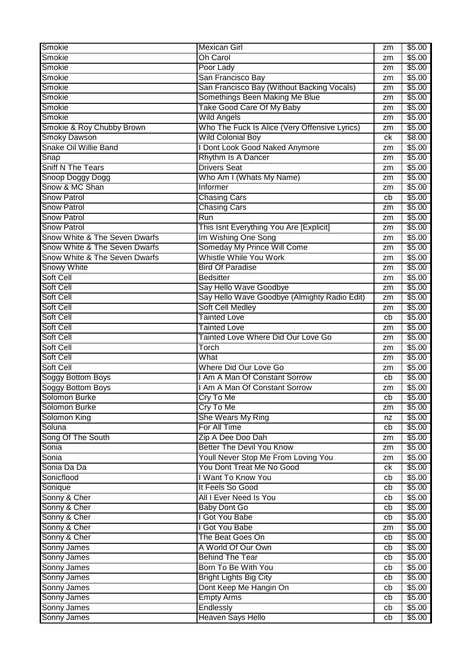| Smokie                        | <b>Mexican Girl</b>                           | zm | \$5.00 |
|-------------------------------|-----------------------------------------------|----|--------|
| Smokie                        | <b>Oh Carol</b>                               | zm | \$5.00 |
| Smokie                        | Poor Lady                                     | zm | \$5.00 |
| Smokie                        | San Francisco Bay                             | zm | \$5.00 |
| Smokie                        | San Francisco Bay (Without Backing Vocals)    | zm | \$5.00 |
| Smokie                        | Somethings Been Making Me Blue                | zm | \$5.00 |
| Smokie                        | Take Good Care Of My Baby                     | zm | \$5.00 |
| Smokie                        | <b>Wild Angels</b>                            | zm | \$5.00 |
| Smokie & Roy Chubby Brown     | Who The Fuck Is Alice (Very Offensive Lyrics) | zm | \$5.00 |
| <b>Smoky Dawson</b>           | <b>Wild Colonial Boy</b>                      | ck | \$8.00 |
| <b>Snake Oil Willie Band</b>  | I Dont Look Good Naked Anymore                | zm | \$5.00 |
| Snap                          | Rhythm Is A Dancer                            | zm | \$5.00 |
| <b>Sniff N The Tears</b>      | <b>Drivers Seat</b>                           | zm | \$5.00 |
| Snoop Doggy Dogg              | Who Am I (Whats My Name)                      | zm | \$5.00 |
| Snow & MC Shan                | Informer                                      | zm | \$5.00 |
| <b>Snow Patrol</b>            | <b>Chasing Cars</b>                           | cb | \$5.00 |
| <b>Snow Patrol</b>            | <b>Chasing Cars</b>                           | zm | \$5.00 |
| <b>Snow Patrol</b>            | Run                                           | zm | \$5.00 |
| <b>Snow Patrol</b>            | This Isnt Everything You Are [Explicit]       | zm | \$5.00 |
| Snow White & The Seven Dwarfs | Im Wishing One Song                           | zm | \$5.00 |
| Snow White & The Seven Dwarfs | Someday My Prince Will Come                   | zm | \$5.00 |
| Snow White & The Seven Dwarfs | Whistle While You Work                        | zm | \$5.00 |
| <b>Snowy White</b>            | <b>Bird Of Paradise</b>                       | zm | \$5.00 |
| <b>Soft Cell</b>              | <b>Bedsitter</b>                              | zm | \$5.00 |
| Soft Cell                     | Say Hello Wave Goodbye                        | zm | \$5.00 |
| Soft Cell                     | Say Hello Wave Goodbye (Almighty Radio Edit)  | zm | \$5.00 |
| <b>Soft Cell</b>              | <b>Soft Cell Medley</b>                       | zm | \$5.00 |
| Soft Cell                     | <b>Tainted Love</b>                           | cb | \$5.00 |
| Soft Cell                     | <b>Tainted Love</b>                           | zm | \$5.00 |
| Soft Cell                     | Tainted Love Where Did Our Love Go            | zm | \$5.00 |
| Soft Cell                     | Torch                                         | zm | \$5.00 |
| Soft Cell                     | What                                          | zm | \$5.00 |
| Soft Cell                     | Where Did Our Love Go                         | zm | \$5.00 |
| <b>Soggy Bottom Boys</b>      | I Am A Man Of Constant Sorrow                 | cb | \$5.00 |
| Soggy Bottom Boys             | I Am A Man Of Constant Sorrow                 | zm | \$5.00 |
| Solomon Burke                 | Cry To Me                                     | cb | \$5.00 |
| Solomon Burke                 | Cry To Me                                     | zm | \$5.00 |
| Solomon King                  | She Wears My Ring                             | nz | \$5.00 |
| Soluna                        | For All Time                                  | cb | \$5.00 |
| Song Of The South             | Zip A Dee Doo Dah                             | zm | \$5.00 |
| Sonia                         | <b>Better The Devil You Know</b>              | zm | \$5.00 |
| Sonia                         | Youll Never Stop Me From Loving You           | zm | \$5.00 |
| Sonia Da Da                   | You Dont Treat Me No Good                     | ck | \$5.00 |
| Sonicflood                    | I Want To Know You                            | cb | \$5.00 |
| Sonique                       | It Feels So Good                              | cb | \$5.00 |
| Sonny & Cher                  | All I Ever Need Is You                        | cb | \$5.00 |
| Sonny & Cher                  | <b>Baby Dont Go</b>                           | cb | \$5.00 |
| Sonny & Cher                  | I Got You Babe                                | cb | \$5.00 |
| Sonny & Cher                  | I Got You Babe                                | zm | \$5.00 |
| Sonny & Cher                  | The Beat Goes On                              | cb | \$5.00 |
| Sonny James                   | A World Of Our Own                            | cb | \$5.00 |
| Sonny James                   | <b>Behind The Tear</b>                        | cb | \$5.00 |
| <b>Sonny James</b>            | Born To Be With You                           | cb | \$5.00 |
| Sonny James                   | <b>Bright Lights Big City</b>                 | cb | \$5.00 |
| Sonny James                   | Dont Keep Me Hangin On                        | cb | \$5.00 |
| <b>Sonny James</b>            | <b>Empty Arms</b>                             | cb | \$5.00 |
| Sonny James                   | Endlessly                                     | cb | \$5.00 |
| Sonny James                   | Heaven Says Hello                             | cb | \$5.00 |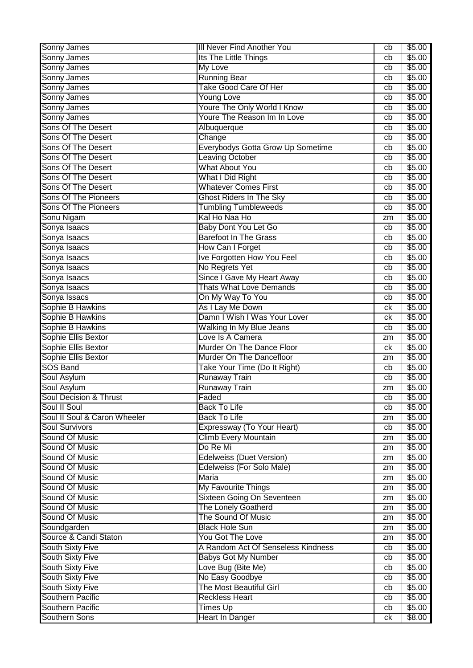| Sonny James                                 | III Never Find Another You                  | cb       | \$5.00           |
|---------------------------------------------|---------------------------------------------|----------|------------------|
| Sonny James                                 | Its The Little Things                       | cb       | \$5.00           |
| Sonny James                                 | My Love                                     | cb       | \$5.00           |
| Sonny James                                 | <b>Running Bear</b>                         | cb       | \$5.00           |
| Sonny James                                 | <b>Take Good Care Of Her</b>                | cb       | \$5.00           |
| Sonny James                                 | <b>Young Love</b>                           | cb       | \$5.00           |
| Sonny James                                 | <b>Youre The Only World I Know</b>          | cb       | \$5.00           |
| Sonny James                                 | Youre The Reason Im In Love                 | cb       | \$5.00           |
| <b>Sons Of The Desert</b>                   | Albuquerque                                 | cb       | \$5.00           |
| Sons Of The Desert                          | Change                                      | cb       | \$5.00           |
| <b>Sons Of The Desert</b>                   | <b>Everybodys Gotta Grow Up Sometime</b>    | cb       | \$5.00           |
| <b>Sons Of The Desert</b>                   | <b>Leaving October</b>                      | cb       | \$5.00           |
| <b>Sons Of The Desert</b>                   | <b>What About You</b>                       | cb       | \$5.00           |
| <b>Sons Of The Desert</b>                   | What I Did Right                            | cb       | \$5.00           |
| <b>Sons Of The Desert</b>                   | <b>Whatever Comes First</b>                 | cb       | \$5.00           |
| Sons Of The Pioneers                        | <b>Ghost Riders In The Sky</b>              | cb       | \$5.00           |
| <b>Sons Of The Pioneers</b>                 | <b>Tumbling Tumbleweeds</b>                 | cb       | \$5.00           |
| Sonu Nigam                                  | Kal Ho Naa Ho                               | zm       | \$5.00           |
| Sonya Isaacs                                | Baby Dont You Let Go                        | cb       | \$5.00           |
| Sonya Isaacs                                | <b>Barefoot In The Grass</b>                | cb       | \$5.00           |
| Sonya Isaacs                                | How Can I Forget                            | cb       | \$5.00           |
| Sonya Isaacs                                | Ive Forgotten How You Feel                  | cb       | \$5.00           |
| Sonya Isaacs                                | No Regrets Yet                              | cb       | \$5.00           |
| Sonya Isaacs                                | Since I Gave My Heart Away                  | cb       | \$5.00           |
| Sonya Isaacs                                | <b>Thats What Love Demands</b>              | cb       | \$5.00           |
| Sonya Issacs                                | On My Way To You                            | cb       | \$5.00           |
| Sophie B Hawkins                            | As I Lay Me Down                            | ck       | \$5.00           |
| Sophie B Hawkins                            | Damn I Wish I Was Your Lover                | сk       | \$5.00           |
| Sophie B Hawkins                            | Walking In My Blue Jeans                    | cb       | \$5.00           |
| Sophie Ellis Bextor                         | Love Is A Camera                            | zm       | \$5.00           |
| Sophie Ellis Bextor                         | Murder On The Dance Floor                   | сk       | \$5.00           |
| Sophie Ellis Bextor                         | Murder On The Dancefloor                    | zm       | \$5.00           |
| <b>SOS Band</b>                             | Take Your Time (Do It Right)                | cb       | \$5.00           |
| Soul Asylum                                 | <b>Runaway Train</b>                        | cb       | \$5.00           |
| <b>Soul Asylum</b>                          | <b>Runaway Train</b>                        | zm       | \$5.00           |
| <b>Soul Decision &amp; Thrust</b>           | Faded                                       | cb       | \$5.00           |
| Soul II Soul                                | <b>Back To Life</b>                         | cb       | \$5.00           |
| Soul II Soul & Caron Wheeler                | <b>Back To Life</b>                         | zm       | \$5.00           |
| <b>Soul Survivors</b>                       | Expressway (To Your Heart)                  | cb       | \$5.00           |
| Sound Of Music                              | <b>Climb Every Mountain</b>                 | zm       | \$5.00           |
| Sound Of Music                              | Do Re Mi                                    | zm       | \$5.00           |
| Sound Of Music                              | <b>Edelweiss (Duet Version)</b>             | zm       | \$5.00           |
| Sound Of Music                              | Edelweiss (For Solo Male)                   | zm       | \$5.00           |
| Sound Of Music                              |                                             |          | \$5.00           |
|                                             | Maria                                       | zm       |                  |
| Sound Of Music                              |                                             | zm       |                  |
|                                             | <b>My Favourite Things</b>                  |          | \$5.00           |
| Sound Of Music<br>Sound Of Music            | Sixteen Going On Seventeen                  | zm<br>zm | \$5.00           |
|                                             | <b>The Lonely Goatherd</b>                  | zm       | \$5.00           |
| Sound Of Music                              | The Sound Of Music<br><b>Black Hole Sun</b> | zm       | \$5.00<br>\$5.00 |
| Soundgarden<br>Source & Candi Staton        | You Got The Love                            | zm       | \$5.00           |
|                                             | A Random Act Of Senseless Kindness          | cb       |                  |
| <b>South Sixty Five</b>                     |                                             | cb       | \$5.00           |
| <b>South Sixty Five</b>                     | <b>Babys Got My Number</b>                  | cb       | \$5.00           |
| <b>South Sixty Five</b>                     | Love Bug (Bite Me)                          | cb       | \$5.00           |
| South Sixty Five                            | No Easy Goodbye<br>The Most Beautiful Girl  | cb       | \$5.00           |
| <b>South Sixty Five</b><br>Southern Pacific | <b>Reckless Heart</b>                       | cb       | \$5.00           |
| Southern Pacific                            | <b>Times Up</b>                             | cb       | \$5.00<br>\$5.00 |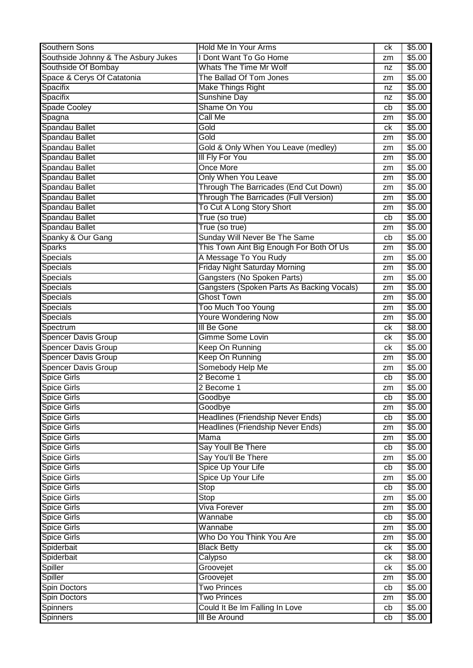| Southern Sons                       | Hold Me In Your Arms                                 | ck | \$5.00           |
|-------------------------------------|------------------------------------------------------|----|------------------|
| Southside Johnny & The Asbury Jukes | I Dont Want To Go Home                               | zm | \$5.00           |
| Southside Of Bombay                 | Whats The Time Mr Wolf                               | nz | \$5.00           |
| Space & Cerys Of Catatonia          | The Ballad Of Tom Jones                              | zm | \$5.00           |
| Spacifix                            | <b>Make Things Right</b>                             | nz | \$5.00           |
| Spacifix                            | <b>Sunshine Day</b>                                  | nz | \$5.00           |
| <b>Spade Cooley</b>                 | Shame On You                                         | cb | \$5.00           |
| Spagna                              | <b>Call Me</b>                                       | zm | \$5.00           |
| Spandau Ballet                      | Gold                                                 | сk | \$5.00           |
| Spandau Ballet                      | Gold                                                 | zm | \$5.00           |
| Spandau Ballet                      | Gold & Only When You Leave (medley)                  | zm | \$5.00           |
| Spandau Ballet                      | <b>III Fly For You</b>                               | zm | \$5.00           |
| Spandau Ballet                      | <b>Once More</b>                                     | zm | \$5.00           |
| Spandau Ballet                      | Only When You Leave                                  | zm | \$5.00           |
| Spandau Ballet                      | Through The Barricades (End Cut Down)                | zm | \$5.00           |
| Spandau Ballet                      | Through The Barricades (Full Version)                | zm | \$5.00           |
| Spandau Ballet                      | To Cut A Long Story Short                            | zm | \$5.00           |
| Spandau Ballet                      | True (so true)                                       | cb | \$5.00           |
| Spandau Ballet                      | True (so true)                                       | zm | \$5.00           |
| Spanky & Our Gang                   | Sunday Will Never Be The Same                        | cb | \$5.00           |
| <b>Sparks</b>                       | This Town Aint Big Enough For Both Of Us             | zm | \$5.00           |
| <b>Specials</b>                     | A Message To You Rudy                                | zm | \$5.00           |
| <b>Specials</b>                     | <b>Friday Night Saturday Morning</b>                 | zm | \$5.00           |
| <b>Specials</b>                     | Gangsters (No Spoken Parts)                          | zm | \$5.00           |
| <b>Specials</b>                     | Gangsters (Spoken Parts As Backing Vocals)           | zm | \$5.00           |
| Specials                            | <b>Ghost Town</b>                                    | zm | \$5.00           |
| Specials                            | Too Much Too Young                                   | zm | \$5.00           |
| Specials                            | <b>Youre Wondering Now</b>                           | zm | \$5.00           |
| Spectrum                            | III Be Gone                                          | сk | \$8.00           |
| <b>Spencer Davis Group</b>          | <b>Gimme Some Lovin</b>                              | сk | \$5.00           |
| <b>Spencer Davis Group</b>          | Keep On Running                                      | ck | \$5.00           |
| <b>Spencer Davis Group</b>          | Keep On Running                                      | zm | \$5.00           |
| <b>Spencer Davis Group</b>          | Somebody Help Me                                     | zm | \$5.00           |
| <b>Spice Girls</b>                  | 2 Become 1                                           | cb | \$5.00           |
| <b>Spice Girls</b>                  | 2 Become 1                                           | zm | \$5.00           |
| <b>Spice Girls</b>                  | Goodbye                                              | cb | \$5.00           |
| <b>Spice Girls</b>                  | Goodbye                                              | zm | \$5.00           |
| <b>Spice Girls</b>                  | <b>Headlines (Friendship Never Ends)</b>             | cb | \$5.00           |
| <b>Spice Girls</b>                  | <b>Headlines (Friendship Never Ends)</b>             | zm | \$5.00           |
| <b>Spice Girls</b>                  | Mama                                                 | zm | \$5.00           |
| <b>Spice Girls</b>                  | Say Youll Be There                                   | cb | \$5.00           |
| <b>Spice Girls</b>                  | Say You'll Be There                                  | zm | \$5.00           |
| <b>Spice Girls</b>                  | Spice Up Your Life                                   | cb | \$5.00           |
| <b>Spice Girls</b>                  | Spice Up Your Life                                   | zm | \$5.00           |
| <b>Spice Girls</b>                  | Stop                                                 | cb | \$5.00           |
| <b>Spice Girls</b>                  | Stop                                                 | zm | \$5.00           |
| <b>Spice Girls</b>                  | <b>Viva Forever</b>                                  | zm | \$5.00           |
| Spice Girls                         | Wannabe                                              | cb | \$5.00           |
| <b>Spice Girls</b>                  | Wannabe                                              | zm | \$5.00           |
| <b>Spice Girls</b>                  | Who Do You Think You Are                             | zm | \$5.00           |
| Spiderbait                          | <b>Black Betty</b>                                   | ck | \$5.00           |
| Spiderbait                          | Calypso                                              | ck | \$8.00           |
| <b>Spiller</b>                      | Groovejet                                            | ck | \$5.00           |
| <b>Spiller</b>                      | Groovejet                                            | zm | \$5.00           |
| Spin Doctors                        | <b>Two Princes</b>                                   | cb | \$5.00           |
| Spin Doctors<br><b>Spinners</b>     | <b>Two Princes</b><br>Could It Be Im Falling In Love | zm | \$5.00<br>\$5.00 |
|                                     | <b>III Be Around</b>                                 | cb | \$5.00           |
| <b>Spinners</b>                     |                                                      | cb |                  |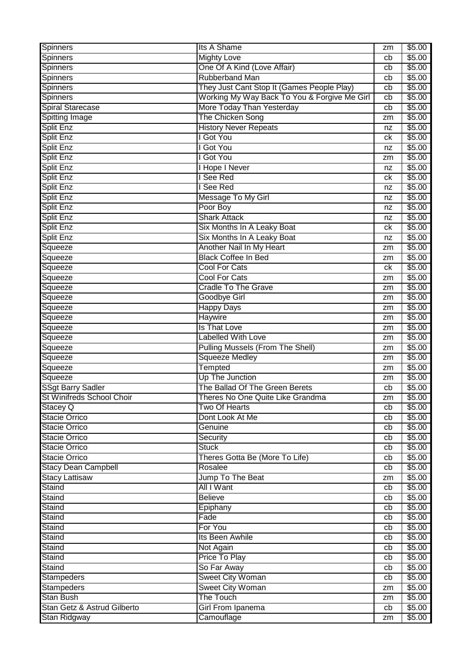| Spinners                                           | Its A Shame                                  | zm | \$5.00           |
|----------------------------------------------------|----------------------------------------------|----|------------------|
| <b>Spinners</b>                                    | <b>Mighty Love</b>                           | cb | \$5.00           |
| <b>Spinners</b>                                    | One Of A Kind (Love Affair)                  | cb | \$5.00           |
| <b>Spinners</b>                                    | <b>Rubberband Man</b>                        | cb | \$5.00           |
| <b>Spinners</b>                                    | They Just Cant Stop It (Games People Play)   | cb | \$5.00           |
| <b>Spinners</b>                                    | Working My Way Back To You & Forgive Me Girl | cb | \$5.00           |
| <b>Spiral Starecase</b>                            | More Today Than Yesterday                    | cb | \$5.00           |
| <b>Spitting Image</b>                              | The Chicken Song                             | zm | \$5.00           |
| <b>Split Enz</b>                                   | <b>History Never Repeats</b>                 | nz | \$5.00           |
| Split Enz                                          | <b>Got You</b>                               | сk | \$5.00           |
| Split Enz                                          | <b>Got You</b>                               | nz | \$5.00           |
| <b>Split Enz</b>                                   | I Got You                                    | zm | \$5.00           |
| Split Enz                                          | <b>I Hope I Never</b>                        | nz | \$5.00           |
| Split Enz                                          | See Red                                      | ck | \$5.00           |
| <b>Split Enz</b>                                   | See Red                                      | nz | \$5.00           |
| <b>Split Enz</b>                                   | Message To My Girl                           | nz | \$5.00           |
| Split Enz                                          | Poor Boy                                     | nz | \$5.00           |
| Split Enz                                          | <b>Shark Attack</b>                          | nz | \$5.00           |
| Split Enz                                          | Six Months In A Leaky Boat                   | ck | \$5.00           |
| <b>Split Enz</b>                                   | Six Months In A Leaky Boat                   | nz | \$5.00           |
| Squeeze                                            | Another Nail In My Heart                     | zm | \$5.00           |
| Squeeze                                            | <b>Black Coffee In Bed</b>                   | zm | \$5.00           |
| Squeeze                                            | <b>Cool For Cats</b>                         | ck | \$5.00           |
| Squeeze                                            | <b>Cool For Cats</b>                         | zm | \$5.00           |
| Squeeze                                            | <b>Cradle To The Grave</b>                   |    | \$5.00           |
| Squeeze                                            | <b>Goodbye Girl</b>                          | zm | \$5.00           |
|                                                    | <b>Happy Days</b>                            | zm | \$5.00           |
| Squeeze<br>Squeeze                                 | <b>Haywire</b>                               | zm | \$5.00           |
|                                                    | Is That Love                                 | zm |                  |
| Squeeze                                            |                                              | zm | \$5.00           |
|                                                    |                                              |    |                  |
| Squeeze                                            | <b>Labelled With Love</b>                    | zm | \$5.00           |
| Squeeze                                            | <b>Pulling Mussels (From The Shell)</b>      | zm | \$5.00           |
| Squeeze                                            | <b>Squeeze Medley</b>                        | zm | \$5.00           |
| Squeeze                                            | Tempted                                      | zm | \$5.00           |
| Squeeze                                            | Up The Junction                              | zm | \$5.00           |
| <b>SSgt Barry Sadler</b>                           | The Ballad Of The Green Berets               | cb | \$5.00           |
| St Winifreds School Choir                          | Theres No One Quite Like Grandma             | zm | \$5.00           |
| Stacey Q                                           | Two Of Hearts                                | cb | \$5.00           |
| <b>Stacie Orrico</b>                               | Dont Look At Me                              | cb | \$5.00           |
| <b>Stacie Orrico</b>                               | Genuine                                      | cb | \$5.00           |
| <b>Stacie Orrico</b>                               | Security                                     | cb | \$5.00           |
| <b>Stacie Orrico</b>                               | <b>Stuck</b>                                 | cb | \$5.00           |
| <b>Stacie Orrico</b>                               | Theres Gotta Be (More To Life)               | cb | \$5.00           |
| <b>Stacy Dean Campbell</b>                         | Rosalee                                      | cb | \$5.00           |
| <b>Stacy Lattisaw</b>                              | Jump To The Beat                             | zm | \$5.00           |
| Staind                                             | All I Want                                   | cb | \$5.00           |
| Staind                                             | <b>Believe</b>                               | cb | \$5.00           |
| Staind                                             | Epiphany                                     | cb | \$5.00           |
| Staind                                             | Fade                                         | cb | \$5.00           |
| Staind                                             | For You                                      | cb | \$5.00           |
| Staind                                             | Its Been Awhile                              | cb | \$5.00           |
| Staind                                             | Not Again                                    | cb | \$5.00           |
| Staind                                             | Price To Play                                | cb | \$5.00           |
| Staind                                             | So Far Away                                  | cb | \$5.00           |
| <b>Stampeders</b>                                  | <b>Sweet City Woman</b>                      | cb | \$5.00           |
| <b>Stampeders</b>                                  | <b>Sweet City Woman</b>                      | zm | \$5.00           |
| <b>Stan Bush</b>                                   | The Touch                                    | zm | \$5.00           |
| Stan Getz & Astrud Gilberto<br><b>Stan Ridgway</b> | <b>Girl From Ipanema</b><br>Camouflage       | cb | \$5.00<br>\$5.00 |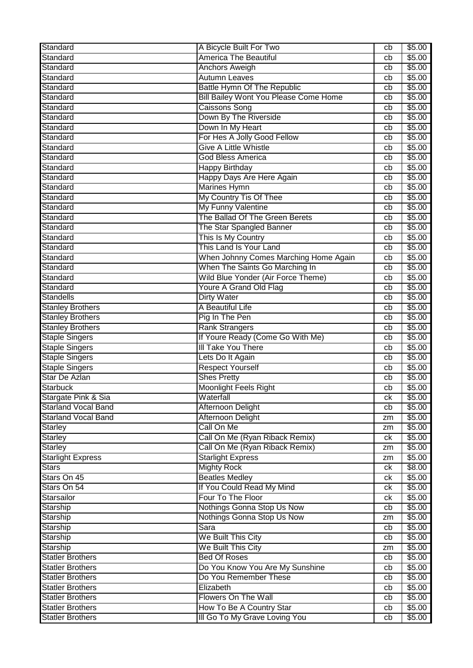| Standard                   | A Bicycle Built For Two                      | cb              | \$5.00 |
|----------------------------|----------------------------------------------|-----------------|--------|
| Standard                   | <b>America The Beautiful</b>                 | cb              | \$5.00 |
| Standard                   | <b>Anchors Aweigh</b>                        | cb              | \$5.00 |
| Standard                   | <b>Autumn Leaves</b>                         | cb              | \$5.00 |
| Standard                   | Battle Hymn Of The Republic                  | cb              | \$5.00 |
| Standard                   | <b>Bill Bailey Wont You Please Come Home</b> | cb              | \$5.00 |
| Standard                   | <b>Caissons Song</b>                         | cb              | \$5.00 |
| Standard                   | Down By The Riverside                        | cb              | \$5.00 |
| Standard                   | Down In My Heart                             | cb              | \$5.00 |
| Standard                   | For Hes A Jolly Good Fellow                  | cb              | \$5.00 |
| Standard                   | <b>Give A Little Whistle</b>                 | cb              | \$5.00 |
| Standard                   | <b>God Bless America</b>                     | cb              | \$5.00 |
| Standard                   | Happy Birthday                               | cb              | \$5.00 |
| Standard                   | Happy Days Are Here Again                    | cb              | \$5.00 |
| Standard                   | <b>Marines Hymn</b>                          | cb              | \$5.00 |
| Standard                   | My Country Tis Of Thee                       | cb              | \$5.00 |
| Standard                   | My Funny Valentine                           | cb              | \$5.00 |
| Standard                   | The Ballad Of The Green Berets               | cb              | \$5.00 |
| Standard                   | The Star Spangled Banner                     | cb              | \$5.00 |
| Standard                   | This Is My Country                           | cb              | \$5.00 |
| Standard                   | This Land Is Your Land                       | cb              | \$5.00 |
| Standard                   | When Johnny Comes Marching Home Again        | cb              | \$5.00 |
| Standard                   | When The Saints Go Marching In               | cb              | \$5.00 |
| Standard                   | Wild Blue Yonder (Air Force Theme)           | cb              | \$5.00 |
| Standard                   | Youre A Grand Old Flag                       | cb              | \$5.00 |
| <b>Standells</b>           | <b>Dirty Water</b>                           | cb              | \$5.00 |
| <b>Stanley Brothers</b>    | A Beautiful Life                             | cb              | \$5.00 |
| <b>Stanley Brothers</b>    | Pig In The Pen                               | cb              | \$5.00 |
| <b>Stanley Brothers</b>    | <b>Rank Strangers</b>                        | cb              | \$5.00 |
| <b>Staple Singers</b>      | If Youre Ready (Come Go With Me)             | cb              | \$5.00 |
| <b>Staple Singers</b>      | III Take You There                           | cb              | \$5.00 |
| <b>Staple Singers</b>      | Lets Do It Again                             | cb              | \$5.00 |
| <b>Staple Singers</b>      | <b>Respect Yourself</b>                      | cb              | \$5.00 |
| Star De Azlan              | <b>Shes Pretty</b>                           | cb              | \$5.00 |
| <b>Starbuck</b>            | <b>Moonlight Feels Right</b>                 | cb              | \$5.00 |
| Stargate Pink & Sia        | Waterfall                                    | $c\overline{k}$ | \$5.00 |
| <b>Starland Vocal Band</b> | Afternoon Delight                            | cb              | \$5.00 |
| <b>Starland Vocal Band</b> | Afternoon Delight                            | zm              | \$5.00 |
| <b>Starley</b>             | Call On Me                                   | zm              | \$5.00 |
| <b>Starley</b>             | Call On Me (Ryan Riback Remix)               | ck              | \$5.00 |
| <b>Starley</b>             | Call On Me (Ryan Riback Remix)               | zm              | \$5.00 |
| <b>Starlight Express</b>   | <b>Starlight Express</b>                     | zm              | \$5.00 |
| <b>Stars</b>               | <b>Mighty Rock</b>                           | ck              | \$8.00 |
| Stars On 45                | <b>Beatles Medley</b>                        | ck              | \$5.00 |
| Stars On 54                | If You Could Read My Mind                    | ck              | \$5.00 |
| Starsailor                 | Four To The Floor                            | ck              | \$5.00 |
| Starship                   | Nothings Gonna Stop Us Now                   | cb              | \$5.00 |
| Starship                   | Nothings Gonna Stop Us Now                   | zm              | \$5.00 |
| Starship                   | Sara                                         | cb              | \$5.00 |
| Starship                   | We Built This City                           | cb              | \$5.00 |
| Starship                   | We Built This City                           | zm              | \$5.00 |
| <b>Statler Brothers</b>    | <b>Bed Of Roses</b>                          | cb              | \$5.00 |
| <b>Statler Brothers</b>    | Do You Know You Are My Sunshine              | cb              | \$5.00 |
| <b>Statler Brothers</b>    | Do You Remember These                        | cb              | \$5.00 |
| <b>Statler Brothers</b>    | Elizabeth                                    | cb              | \$5.00 |
| <b>Statler Brothers</b>    | Flowers On The Wall                          | cb              | \$5.00 |
| <b>Statler Brothers</b>    | How To Be A Country Star                     | cb              | \$5.00 |
| <b>Statler Brothers</b>    | III Go To My Grave Loving You                | cb              | \$5.00 |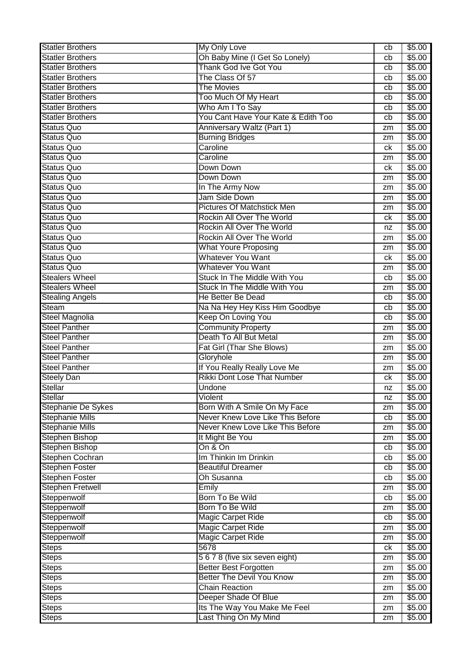| <b>Statler Brothers</b>   | <b>My Only Love</b>                 | cb | \$5.00 |
|---------------------------|-------------------------------------|----|--------|
| <b>Statler Brothers</b>   | Oh Baby Mine (I Get So Lonely)      | cb | \$5.00 |
| <b>Statler Brothers</b>   | <b>Thank God Ive Got You</b>        | cb | \$5.00 |
| <b>Statler Brothers</b>   | The Class Of 57                     | cb | \$5.00 |
| <b>Statler Brothers</b>   | <b>The Movies</b>                   | cb | \$5.00 |
| <b>Statler Brothers</b>   | Too Much Of My Heart                | cb | \$5.00 |
| <b>Statler Brothers</b>   | Who Am I To Say                     | cb | \$5.00 |
| <b>Statler Brothers</b>   | You Cant Have Your Kate & Edith Too | cb | \$5.00 |
| <b>Status Quo</b>         | Anniversary Waltz (Part 1)          | zm | \$5.00 |
| <b>Status Quo</b>         | <b>Burning Bridges</b>              | zm | \$5.00 |
| <b>Status Quo</b>         | Caroline                            | ck | \$5.00 |
| <b>Status Quo</b>         | Caroline                            | zm | \$5.00 |
| Status Quo                | Down Down                           | ck | \$5.00 |
| <b>Status Quo</b>         | Down Down                           | zm | \$5.00 |
| <b>Status Quo</b>         | In The Army Now                     | zm | \$5.00 |
| <b>Status Quo</b>         | Jam Side Down                       | zm | \$5.00 |
| <b>Status Quo</b>         | <b>Pictures Of Matchstick Men</b>   |    | \$5.00 |
| <b>Status Quo</b>         | Rockin All Over The World           | zm | \$5.00 |
| <b>Status Quo</b>         | Rockin All Over The World           | ck | \$5.00 |
| <b>Status Quo</b>         | Rockin All Over The World           | nz |        |
|                           |                                     | zm | \$5.00 |
| <b>Status Quo</b>         | <b>What Youre Proposing</b>         | zm | \$5.00 |
| <b>Status Quo</b>         | <b>Whatever You Want</b>            | ck | \$5.00 |
| <b>Status Quo</b>         | <b>Whatever You Want</b>            | zm | \$5.00 |
| <b>Stealers Wheel</b>     | Stuck In The Middle With You        | cb | \$5.00 |
| <b>Stealers Wheel</b>     | Stuck In The Middle With You        | zm | \$5.00 |
| <b>Stealing Angels</b>    | <b>He Better Be Dead</b>            | cb | \$5.00 |
| <b>Steam</b>              | Na Na Hey Hey Kiss Him Goodbye      | cb | \$5.00 |
| Steel Magnolia            | Keep On Loving You                  | cb | \$5.00 |
| <b>Steel Panther</b>      | <b>Community Property</b>           | zm | \$5.00 |
| <b>Steel Panther</b>      | Death To All But Metal              | zm | \$5.00 |
| <b>Steel Panther</b>      | Fat Girl (Thar She Blows)           | zm | \$5.00 |
| <b>Steel Panther</b>      | Gloryhole                           | zm | \$5.00 |
| <b>Steel Panther</b>      | If You Really Really Love Me        | zm | \$5.00 |
| <b>Steely Dan</b>         | <b>Rikki Dont Lose That Number</b>  | ck | \$5.00 |
| <b>Stellar</b>            | Undone                              | nz | \$5.00 |
| <b>Stellar</b>            | Violent                             | nz | \$5.00 |
| <b>Stephanie De Sykes</b> | Born With A Smile On My Face        | zm | \$5.00 |
| <b>Stephanie Mills</b>    | Never Knew Love Like This Before    | cb | \$5.00 |
| <b>Stephanie Mills</b>    | Never Knew Love Like This Before    | zm | \$5.00 |
| <b>Stephen Bishop</b>     | It Might Be You                     | zm | \$5.00 |
| Stephen Bishop            | On & On                             | cb | \$5.00 |
| Stephen Cochran           | Im Thinkin Im Drinkin               | cb | \$5.00 |
| Stephen Foster            | <b>Beautiful Dreamer</b>            | cb | \$5.00 |
| <b>Stephen Foster</b>     | Oh Susanna                          | cb | \$5.00 |
| <b>Stephen Fretwell</b>   | Emily                               | zm | \$5.00 |
| Steppenwolf               | Born To Be Wild                     | cb | \$5.00 |
| Steppenwolf               | Born To Be Wild                     | zm | \$5.00 |
| Steppenwolf               | <b>Magic Carpet Ride</b>            | cb | \$5.00 |
| Steppenwolf               | <b>Magic Carpet Ride</b>            | zm | \$5.00 |
| Steppenwolf               | <b>Magic Carpet Ride</b>            | zm | \$5.00 |
| <b>Steps</b>              | 5678                                | ck | \$5.00 |
| <b>Steps</b>              | 5678 (five six seven eight)         | zm | \$5.00 |
|                           | <b>Better Best Forgotten</b>        |    | \$5.00 |
| <b>Steps</b>              | <b>Better The Devil You Know</b>    | zm | \$5.00 |
| <b>Steps</b>              | <b>Chain Reaction</b>               | zm |        |
| <b>Steps</b>              |                                     | zm | \$5.00 |
| <b>Steps</b>              | Deeper Shade Of Blue                | zm | \$5.00 |
| <b>Steps</b>              | Its The Way You Make Me Feel        | zm | \$5.00 |
| <b>Steps</b>              | Last Thing On My Mind               | zm | \$5.00 |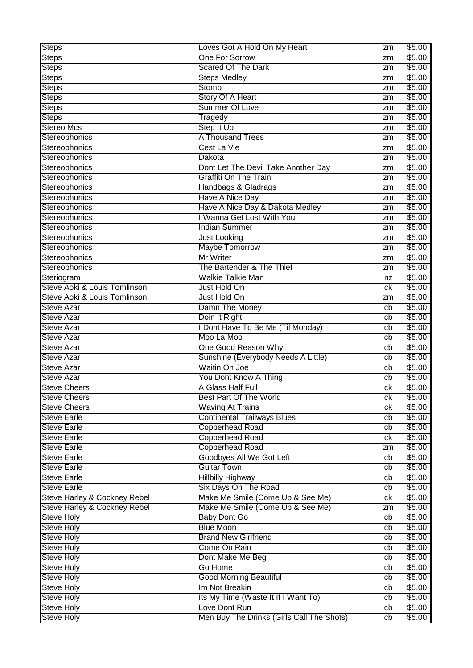| <b>Steps</b>                            | Loves Got A Hold On My Heart              | zm              | \$5.00 |
|-----------------------------------------|-------------------------------------------|-----------------|--------|
| <b>Steps</b>                            | One For Sorrow                            | zm              | \$5.00 |
| <b>Steps</b>                            | <b>Scared Of The Dark</b>                 | zm              | \$5.00 |
| <b>Steps</b>                            | <b>Steps Medley</b>                       | zm              | \$5.00 |
| <b>Steps</b>                            | Stomp                                     | zm              | \$5.00 |
| <b>Steps</b>                            | <b>Story Of A Heart</b>                   | zm              | \$5.00 |
| <b>Steps</b>                            | Summer Of Love                            | zm              | \$5.00 |
| <b>Steps</b>                            | Tragedy                                   | zm              | \$5.00 |
| <b>Stereo Mcs</b>                       | <b>Step It Up</b>                         | zm              | \$5.00 |
| Stereophonics                           | A Thousand Trees                          | zm              | \$5.00 |
| Stereophonics                           | Cest La Vie                               | zm              | \$5.00 |
| Stereophonics                           | Dakota                                    | zm              | \$5.00 |
| Stereophonics                           | Dont Let The Devil Take Another Day       | zm              | \$5.00 |
| Stereophonics                           | <b>Graffiti On The Train</b>              | zm              | \$5.00 |
| Stereophonics                           | Handbags & Gladrags                       | zm              | \$5.00 |
| Stereophonics                           | <b>Have A Nice Day</b>                    | zm              | \$5.00 |
| Stereophonics                           | Have A Nice Day & Dakota Medley           | zm              | \$5.00 |
| Stereophonics                           | I Wanna Get Lost With You                 | zm              | \$5.00 |
| Stereophonics                           | <b>Indian Summer</b>                      | zm              | \$5.00 |
| Stereophonics                           | <b>Just Looking</b>                       | zm              | \$5.00 |
| Stereophonics                           | <b>Maybe Tomorrow</b>                     | zm              | \$5.00 |
| Stereophonics                           | Mr Writer                                 | zm              | \$5.00 |
| Stereophonics                           | The Bartender & The Thief                 | zm              | \$5.00 |
| Steriogram                              | <b>Walkie Talkie Man</b>                  | nz              | \$5.00 |
| Steve Aoki & Louis Tomlinson            | Just Hold On                              | сk              | \$5.00 |
| Steve Aoki & Louis Tomlinson            | Just Hold On                              | zm              | \$5.00 |
| Steve Azar                              | Damn The Money                            | cb              | \$5.00 |
| <b>Steve Azar</b>                       | Doin It Right                             | cb              | \$5.00 |
| <b>Steve Azar</b>                       | I Dont Have To Be Me (Til Monday)         | cb              | \$5.00 |
| Steve Azar                              | Moo La Moo                                | cb              | \$5.00 |
| <b>Steve Azar</b>                       | One Good Reason Why                       | cb              | \$5.00 |
| <b>Steve Azar</b>                       | Sunshine (Everybody Needs A Little)       | cb              | \$5.00 |
| <b>Steve Azar</b>                       | <b>Waitin On Joe</b>                      | cb              | \$5.00 |
| <b>Steve Azar</b>                       | You Dont Know A Thing                     | cb              | \$5.00 |
| <b>Steve Cheers</b>                     | A Glass Half Full                         | сk              | \$5.00 |
| <b>Steve Cheers</b>                     | Best Part Of The World                    | $c\overline{k}$ | \$5.00 |
| Steve Cheers                            | <b>Waving At Trains</b>                   | ck              | \$5.00 |
| <b>Steve Earle</b>                      | <b>Continental Trailways Blues</b>        | cb              | \$5.00 |
| <b>Steve Earle</b>                      | <b>Copperhead Road</b>                    | cb              | \$5.00 |
| <b>Steve Earle</b>                      | Copperhead Road                           | ck              | \$5.00 |
| <b>Steve Earle</b>                      | <b>Copperhead Road</b>                    | zm              | \$5.00 |
| <b>Steve Earle</b>                      | Goodbyes All We Got Left                  | cb              | \$5.00 |
| <b>Steve Earle</b>                      | <b>Guitar Town</b>                        | cb              | \$5.00 |
| <b>Steve Earle</b>                      | <b>Hillbilly Highway</b>                  | cb              | \$5.00 |
| <b>Steve Earle</b>                      | Six Days On The Road                      | cb              | \$5.00 |
| <b>Steve Harley &amp; Cockney Rebel</b> | Make Me Smile (Come Up & See Me)          | ck              | \$5.00 |
| <b>Steve Harley &amp; Cockney Rebel</b> | Make Me Smile (Come Up & See Me)          | zm              | \$5.00 |
| <b>Steve Holy</b>                       | <b>Baby Dont Go</b>                       | cb              | \$5.00 |
| <b>Steve Holy</b>                       | <b>Blue Moon</b>                          | cb              | \$5.00 |
| Steve Holy                              | <b>Brand New Girlfriend</b>               | cb              | \$5.00 |
| <b>Steve Holy</b>                       | Come On Rain                              | cb              | \$5.00 |
| Steve Holy                              | Dont Make Me Beg                          | cb              | \$5.00 |
| <b>Steve Holy</b>                       | Go Home                                   | cb              | \$5.00 |
| <b>Steve Holy</b>                       | <b>Good Morning Beautiful</b>             | cb              | \$5.00 |
| Steve Holy                              | Im Not Breakin                            | cb              | \$5.00 |
| <b>Steve Holy</b>                       | Its My Time (Waste It If I Want To)       | cb              | \$5.00 |
| Steve Holy                              | Love Dont Run                             | cb              | \$5.00 |
| <b>Steve Holy</b>                       | Men Buy The Drinks (Girls Call The Shots) | cb              | \$5.00 |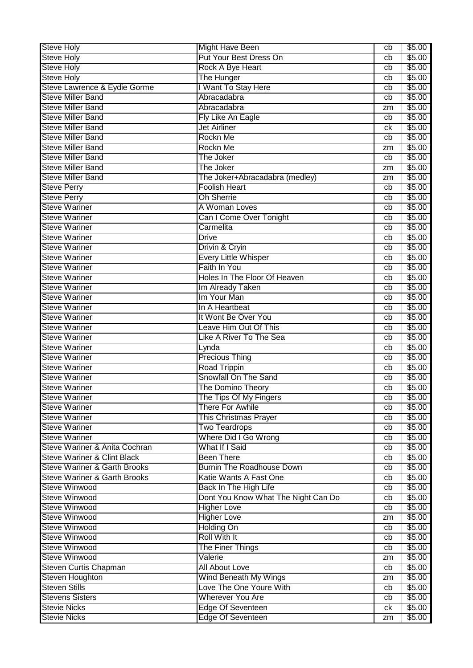| <b>Steve Holy</b>                       | <b>Might Have Been</b>                            | cb       | \$5.00           |
|-----------------------------------------|---------------------------------------------------|----------|------------------|
| <b>Steve Holy</b>                       | Put Your Best Dress On                            | cb       | \$5.00           |
| <b>Steve Holy</b>                       | Rock A Bye Heart                                  | cb       | \$5.00           |
| <b>Steve Holy</b>                       | The Hunger                                        | cb       | \$5.00           |
| Steve Lawrence & Eydie Gorme            | I Want To Stay Here                               | cb       | \$5.00           |
| <b>Steve Miller Band</b>                | Abracadabra                                       | cb       | \$5.00           |
| <b>Steve Miller Band</b>                | Abracadabra                                       | zm       | \$5.00           |
| <b>Steve Miller Band</b>                | Fly Like An Eagle                                 | cb       | \$5.00           |
| <b>Steve Miller Band</b>                | <b>Jet Airliner</b>                               | сk       | \$5.00           |
| <b>Steve Miller Band</b>                | Rockn Me                                          | cb       | \$5.00           |
| <b>Steve Miller Band</b>                | Rockn Me                                          | zm       | \$5.00           |
| <b>Steve Miller Band</b>                | The Joker                                         | cb       | \$5.00           |
| <b>Steve Miller Band</b>                | The Joker                                         | zm       | \$5.00           |
| <b>Steve Miller Band</b>                | The Joker+Abracadabra (medley)                    | zm       | \$5.00           |
| <b>Steve Perry</b>                      | <b>Foolish Heart</b>                              | cb       | \$5.00           |
| <b>Steve Perry</b>                      | <b>Oh Sherrie</b>                                 | cb       | \$5.00           |
| <b>Steve Wariner</b>                    | A Woman Loves                                     | cb       | \$5.00           |
| <b>Steve Wariner</b>                    | Can I Come Over Tonight                           | cb       | \$5.00           |
| <b>Steve Wariner</b>                    | Carmelita                                         | cb       | \$5.00           |
| <b>Steve Wariner</b>                    | <b>Drive</b>                                      | cb       | \$5.00           |
| <b>Steve Wariner</b>                    | Drivin & Cryin                                    | cb       | \$5.00           |
| <b>Steve Wariner</b>                    | Every Little Whisper                              | cb       | \$5.00           |
| <b>Steve Wariner</b>                    | Faith In You                                      | cb       | \$5.00           |
| <b>Steve Wariner</b>                    | Holes In The Floor Of Heaven                      | cb       | \$5.00           |
| <b>Steve Wariner</b>                    | Im Already Taken                                  | cb       | \$5.00           |
| <b>Steve Wariner</b>                    | Im Your Man                                       | cb       | \$5.00           |
| <b>Steve Wariner</b>                    | In A Heartbeat                                    | cb       | \$5.00           |
| <b>Steve Wariner</b>                    | It Wont Be Over You                               | cb       | \$5.00           |
| <b>Steve Wariner</b>                    | Leave Him Out Of This                             | cb       | \$5.00           |
| <b>Steve Wariner</b>                    | Like A River To The Sea                           | cb       | \$5.00           |
| <b>Steve Wariner</b>                    | Lynda                                             | cb       | \$5.00           |
| <b>Steve Wariner</b>                    | Precious Thing                                    | cb       | \$5.00           |
| <b>Steve Wariner</b>                    | <b>Road Trippin</b>                               |          | \$5.00           |
| <b>Steve Wariner</b>                    | Snowfall On The Sand                              | cb<br>cb | \$5.00           |
| <b>Steve Wariner</b>                    | The Domino Theory                                 |          | \$5.00           |
| <b>Steve Wariner</b>                    |                                                   | cb<br>cb | \$5.00           |
| <b>Steve Wariner</b>                    | The Tips Of My Fingers<br><b>There For Awhile</b> |          | \$5.00           |
| <b>Steve Wariner</b>                    | This Christmas Prayer                             | cb       | \$5.00           |
| <b>Steve Wariner</b>                    | <b>Two Teardrops</b>                              | cb       | \$5.00           |
| <b>Steve Wariner</b>                    | Where Did I Go Wrong                              | cb       | \$5.00           |
| Steve Wariner & Anita Cochran           | What If I Said                                    | cb       |                  |
| <b>Steve Wariner &amp; Clint Black</b>  | <b>Been There</b>                                 | cb       | \$5.00           |
| <b>Steve Wariner &amp; Garth Brooks</b> | <b>Burnin The Roadhouse Down</b>                  | cb       | \$5.00<br>\$5.00 |
| <b>Steve Wariner &amp; Garth Brooks</b> | Katie Wants A Fast One                            | cb       | \$5.00           |
| <b>Steve Winwood</b>                    |                                                   | cb       |                  |
|                                         | Back In The High Life                             | cb       | \$5.00           |
| <b>Steve Winwood</b>                    | Dont You Know What The Night Can Do               | cb       | \$5.00           |
| <b>Steve Winwood</b>                    | <b>Higher Love</b>                                | cb       | \$5.00           |
| <b>Steve Winwood</b>                    | <b>Higher Love</b>                                | zm       | \$5.00           |
| <b>Steve Winwood</b>                    | <b>Holding On</b>                                 | cb       | \$5.00           |
| <b>Steve Winwood</b>                    | <b>Roll With It</b>                               | cb       | \$5.00           |
| <b>Steve Winwood</b>                    | The Finer Things                                  | cb       | \$5.00           |
| <b>Steve Winwood</b>                    | Valerie                                           | zm       | \$5.00           |
| <b>Steven Curtis Chapman</b>            | <b>All About Love</b>                             | cb       | \$5.00           |
| Steven Houghton                         | Wind Beneath My Wings                             | zm       | \$5.00           |
| <b>Steven Stills</b>                    | Love The One Youre With                           | cb       | \$5.00           |
| <b>Stevens Sisters</b>                  | <b>Wherever You Are</b>                           | cb       | \$5.00           |
| <b>Stevie Nicks</b>                     | <b>Edge Of Seventeen</b>                          | ck       | \$5.00           |
| <b>Stevie Nicks</b>                     | <b>Edge Of Seventeen</b>                          | zm       | \$5.00           |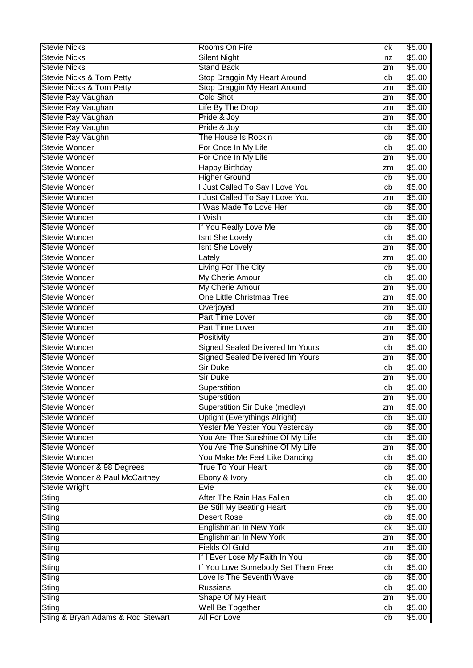| <b>Stevie Nicks</b>                 | Rooms On Fire                           | ck | \$5.00           |
|-------------------------------------|-----------------------------------------|----|------------------|
| <b>Stevie Nicks</b>                 | <b>Silent Night</b>                     | nz | \$5.00           |
| <b>Stevie Nicks</b>                 | <b>Stand Back</b>                       | zm | \$5.00           |
| <b>Stevie Nicks &amp; Tom Petty</b> | Stop Draggin My Heart Around            | cb | \$5.00           |
| <b>Stevie Nicks &amp; Tom Petty</b> | Stop Draggin My Heart Around            | zm | \$5.00           |
| Stevie Ray Vaughan                  | <b>Cold Shot</b>                        | zm | \$5.00           |
| Stevie Ray Vaughan                  | Life By The Drop                        | zm | \$5.00           |
| Stevie Ray Vaughan                  | Pride & Joy                             | zm | \$5.00           |
| Stevie Ray Vaughn                   | Pride & Joy                             | cb | \$5.00           |
| Stevie Ray Vaughn                   | The House Is Rockin                     | cb | \$5.00           |
| <b>Stevie Wonder</b>                | For Once In My Life                     | cb | \$5.00           |
| Stevie Wonder                       | For Once In My Life                     | zm | \$5.00           |
| <b>Stevie Wonder</b>                | <b>Happy Birthday</b>                   | zm | \$5.00           |
| <b>Stevie Wonder</b>                | <b>Higher Ground</b>                    | cb | \$5.00           |
| <b>Stevie Wonder</b>                | Just Called To Say I Love You           | cb | \$5.00           |
| <b>Stevie Wonder</b>                | Just Called To Say I Love You           | zm | \$5.00           |
| Stevie Wonder                       | I Was Made To Love Her                  | cb | \$5.00           |
| <b>Stevie Wonder</b>                | I Wish                                  | cb | \$5.00           |
| <b>Stevie Wonder</b>                | If You Really Love Me                   | cb | \$5.00           |
| <b>Stevie Wonder</b>                | <b>Isnt She Lovely</b>                  | cb | \$5.00           |
| <b>Stevie Wonder</b>                | <b>Isnt She Lovely</b>                  | zm | \$5.00           |
| <b>Stevie Wonder</b>                | Lately                                  | zm | \$5.00           |
| <b>Stevie Wonder</b>                | Living For The City                     | cb | \$5.00           |
| <b>Stevie Wonder</b>                | My Cherie Amour                         | cb | \$5.00           |
| <b>Stevie Wonder</b>                | My Cherie Amour                         | zm | \$5.00           |
| <b>Stevie Wonder</b>                | One Little Christmas Tree               | zm | \$5.00           |
| <b>Stevie Wonder</b>                | Overjoyed                               | zm | \$5.00           |
| <b>Stevie Wonder</b>                | Part Time Lover                         | cb | \$5.00           |
| <b>Stevie Wonder</b>                | <b>Part Time Lover</b>                  | zm | \$5.00           |
| <b>Stevie Wonder</b>                | Positivity                              |    | \$5.00           |
| <b>Stevie Wonder</b>                | Signed Sealed Delivered Im Yours        | zm | \$5.00           |
| <b>Stevie Wonder</b>                | <b>Signed Sealed Delivered Im Yours</b> | cb | \$5.00           |
| <b>Stevie Wonder</b>                | <b>Sir Duke</b>                         | zm |                  |
| <b>Stevie Wonder</b>                | Sir Duke                                | cb | \$5.00           |
| <b>Stevie Wonder</b>                |                                         | zm | \$5.00           |
| <b>Stevie Wonder</b>                | Superstition                            | cb | \$5.00           |
| Stevie Wonder                       | Superstition                            | zm | \$5.00           |
| <b>Stevie Wonder</b>                | <b>Superstition Sir Duke (medley)</b>   | zm | \$5.00           |
|                                     | <b>Uptight (Everythings Alright)</b>    | cb | \$5.00           |
| <b>Stevie Wonder</b>                | Yester Me Yester You Yesterday          | cb | \$5.00           |
| <b>Stevie Wonder</b>                | You Are The Sunshine Of My Life         | cb | \$5.00           |
| <b>Stevie Wonder</b>                | You Are The Sunshine Of My Life         | zm | \$5.00           |
| <b>Stevie Wonder</b>                | You Make Me Feel Like Dancing           | cb | \$5.00           |
| Stevie Wonder & 98 Degrees          | <b>True To Your Heart</b>               | cb | \$5.00<br>\$5.00 |
| Stevie Wonder & Paul McCartney      | Ebony & Ivory                           | cb |                  |
| <b>Stevie Wright</b>                | Evie                                    | ck | \$8.00           |
| <b>Sting</b>                        | After The Rain Has Fallen               | cb | \$5.00           |
| <b>Sting</b>                        | Be Still My Beating Heart               | cb | \$5.00           |
| Sting                               | <b>Desert Rose</b>                      | cb | \$5.00           |
| <b>Sting</b>                        | Englishman In New York                  | ck | \$5.00           |
| Sting                               | Englishman In New York                  | zm | \$5.00           |
| Sting                               | <b>Fields Of Gold</b>                   | zm | \$5.00           |
| Sting                               | If I Ever Lose My Faith In You          | cb | \$5.00           |
| <b>Sting</b>                        | If You Love Somebody Set Them Free      | cb | \$5.00           |
| Sting                               | Love Is The Seventh Wave                | cb | \$5.00           |
| <b>Sting</b>                        | Russians                                | cb | \$5.00           |
| <b>Sting</b>                        | Shape Of My Heart                       | zm | \$5.00           |
| <b>Sting</b>                        | Well Be Together                        | cb | \$5.00           |
| Sting & Bryan Adams & Rod Stewart   | <b>All For Love</b>                     | cb | \$5.00           |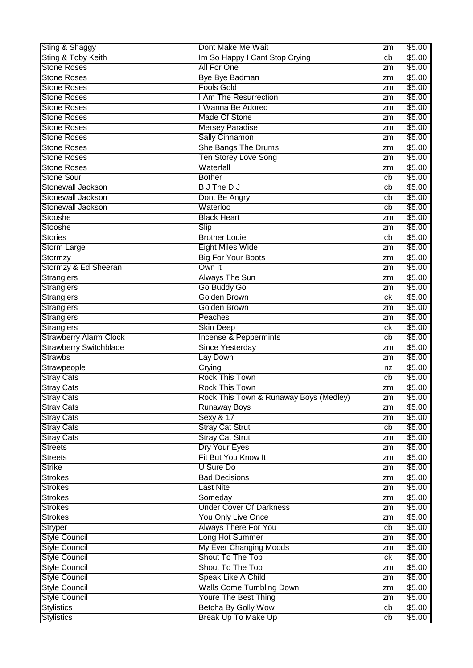| Sting & Shaggy                                  | Dont Make Me Wait                                 | zm       | \$5.00           |
|-------------------------------------------------|---------------------------------------------------|----------|------------------|
| Sting & Toby Keith                              | Im So Happy I Cant Stop Crying                    | cb       | \$5.00           |
| <b>Stone Roses</b>                              | <b>All For One</b>                                | zm       | \$5.00           |
| <b>Stone Roses</b>                              | <b>Bye Bye Badman</b>                             | zm       | \$5.00           |
| <b>Stone Roses</b>                              | <b>Fools Gold</b>                                 | zm       | \$5.00           |
| <b>Stone Roses</b>                              | I Am The Resurrection                             | zm       | \$5.00           |
| <b>Stone Roses</b>                              | I Wanna Be Adored                                 | zm       | \$5.00           |
| <b>Stone Roses</b>                              | Made Of Stone                                     | zm       | \$5.00           |
| <b>Stone Roses</b>                              | <b>Mersey Paradise</b>                            | zm       | \$5.00           |
| <b>Stone Roses</b>                              | <b>Sally Cinnamon</b>                             | zm       | \$5.00           |
| <b>Stone Roses</b>                              | She Bangs The Drums                               | zm       | \$5.00           |
| <b>Stone Roses</b>                              | <b>Ten Storey Love Song</b>                       | zm       | \$5.00           |
| <b>Stone Roses</b>                              | Waterfall                                         | zm       | \$5.00           |
| <b>Stone Sour</b>                               | <b>Bother</b>                                     | cb       | \$5.00           |
| <b>Stonewall Jackson</b>                        | <b>BJ</b> The DJ                                  | cb       | \$5.00           |
| <b>Stonewall Jackson</b>                        | Dont Be Angry                                     | cb       | \$5.00           |
| <b>Stonewall Jackson</b>                        | Waterloo                                          | cb       | \$5.00           |
| Stooshe                                         | <b>Black Heart</b>                                | zm       | \$5.00           |
| Stooshe                                         | Slip                                              | zm       | \$5.00           |
| <b>Stories</b>                                  | <b>Brother Louie</b>                              | cb       | \$5.00           |
| Storm Large                                     | <b>Eight Miles Wide</b>                           | zm       | \$5.00           |
| Stormzy                                         | <b>Big For Your Boots</b>                         | zm       | \$5.00           |
| Stormzy & Ed Sheeran                            | Own It                                            | zm       | \$5.00           |
| <b>Stranglers</b>                               | <b>Always The Sun</b>                             | zm       | \$5.00           |
| <b>Stranglers</b>                               | Go Buddy Go                                       | zm       | \$5.00           |
| <b>Stranglers</b>                               | <b>Golden Brown</b>                               | ck       | \$5.00           |
| <b>Stranglers</b>                               | <b>Golden Brown</b>                               | zm       | \$5.00           |
| <b>Stranglers</b>                               | Peaches                                           | zm       | \$5.00           |
| <b>Stranglers</b>                               | Skin Deep                                         | ck       | \$5.00           |
|                                                 |                                                   |          |                  |
|                                                 |                                                   | cb       |                  |
| <b>Strawberry Alarm Clock</b>                   | Incense & Peppermints                             | zm       | \$5.00           |
| <b>Strawberry Switchblade</b><br><b>Strawbs</b> | <b>Since Yesterday</b>                            | zm       | \$5.00           |
|                                                 | Lay Down                                          | nz       | \$5.00           |
| Strawpeople<br><b>Stray Cats</b>                | $\overline{C}$ rying<br><b>Rock This Town</b>     | cb       | \$5.00<br>\$5.00 |
|                                                 | <b>Rock This Town</b>                             | zm       |                  |
| <b>Stray Cats</b>                               |                                                   |          | \$5.00           |
| <b>Stray Cats</b>                               | Rock This Town & Runaway Boys (Medley)            | zm<br>zm | \$5.00<br>\$5.00 |
| <b>Stray Cats</b>                               | <b>Runaway Boys</b>                               | zm       | \$5.00           |
| <b>Stray Cats</b>                               | Sexy & 17<br><b>Stray Cat Strut</b>               | cb       | \$5.00           |
| <b>Stray Cats</b>                               | <b>Stray Cat Strut</b>                            | zm       |                  |
| <b>Stray Cats</b><br><b>Streets</b>             |                                                   | zm       | \$5.00<br>\$5.00 |
| <b>Streets</b>                                  | <b>Dry Your Eyes</b><br>Fit But You Know It       | zm       | \$5.00           |
| <b>Strike</b>                                   | U Sure Do                                         | zm       | \$5.00           |
| <b>Strokes</b>                                  | <b>Bad Decisions</b>                              | zm       | \$5.00           |
| <b>Strokes</b>                                  | <b>Last Nite</b>                                  | zm       |                  |
| <b>Strokes</b>                                  |                                                   | zm       | \$5.00<br>\$5.00 |
| <b>Strokes</b>                                  | Someday<br><b>Under Cover Of Darkness</b>         | zm       | \$5.00           |
| <b>Strokes</b>                                  |                                                   | zm       |                  |
| Stryper                                         | You Only Live Once<br><b>Always There For You</b> | cb       | \$5.00<br>\$5.00 |
| <b>Style Council</b>                            | Long Hot Summer                                   | zm       | \$5.00           |
| <b>Style Council</b>                            | <b>My Ever Changing Moods</b>                     | zm       | \$5.00           |
| <b>Style Council</b>                            | Shout To The Top                                  | ck       | \$5.00           |
| <b>Style Council</b>                            | Shout To The Top                                  | zm       | \$5.00           |
| <b>Style Council</b>                            | Speak Like A Child                                | zm       | \$5.00           |
| <b>Style Council</b>                            | <b>Walls Come Tumbling Down</b>                   | zm       | \$5.00           |
| <b>Style Council</b>                            | <b>Youre The Best Thing</b>                       | zm       | \$5.00           |
| <b>Stylistics</b>                               | <b>Betcha By Golly Wow</b>                        | cb       | \$5.00           |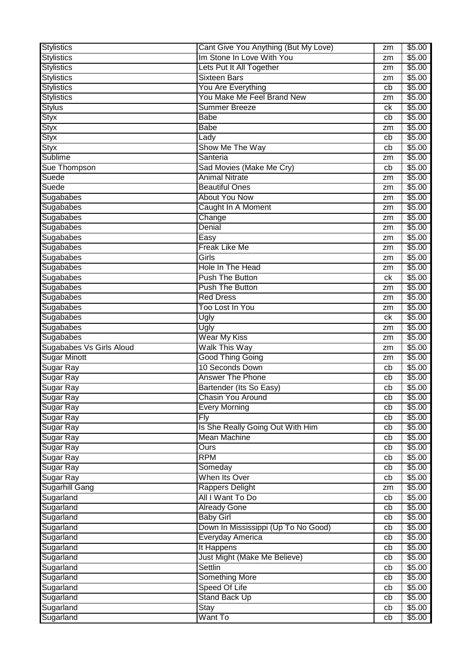| <b>Stylistics</b>        | Cant Give You Anything (But My Love) | zm       | \$5.00 |
|--------------------------|--------------------------------------|----------|--------|
| <b>Stylistics</b>        | Im Stone In Love With You            | zm       | \$5.00 |
| <b>Stylistics</b>        | Lets Put It All Together             | zm       | \$5.00 |
| <b>Stylistics</b>        | <b>Sixteen Bars</b>                  | zm       | \$5.00 |
| <b>Stylistics</b>        | You Are Everything                   | cb       | \$5.00 |
| <b>Stylistics</b>        | You Make Me Feel Brand New           | zm       | \$5.00 |
| <b>Stylus</b>            | <b>Summer Breeze</b>                 | ck       | \$5.00 |
| <b>Styx</b>              | <b>Babe</b>                          | cb       | \$5.00 |
| <b>Styx</b>              | <b>Babe</b>                          | zm       | \$5.00 |
| <b>Styx</b>              | Lady                                 | cb       | \$5.00 |
| <b>Styx</b>              | Show Me The Way                      | cb       | \$5.00 |
| <b>Sublime</b>           | Santeria                             |          | \$5.00 |
| Sue Thompson             | Sad Movies (Make Me Cry)             | zm<br>cb | \$5.00 |
| Suede                    | <b>Animal Nitrate</b>                |          | \$5.00 |
| Suede                    |                                      | zm       |        |
|                          | <b>Beautiful Ones</b>                | zm       | \$5.00 |
| Sugababes                | <b>About You Now</b>                 | zm       | \$5.00 |
| Sugababes                | Caught In A Moment                   | zm       | \$5.00 |
| Sugababes                | Change                               | zm       | \$5.00 |
| Sugababes                | Denial                               | zm       | \$5.00 |
| Sugababes                | Easy                                 | zm       | \$5.00 |
| Sugababes                | <b>Freak Like Me</b>                 | zm       | \$5.00 |
| Sugababes                | Girls                                | zm       | \$5.00 |
| Sugababes                | Hole In The Head                     | zm       | \$5.00 |
| Sugababes                | <b>Push The Button</b>               | сk       | \$5.00 |
| Sugababes                | Push The Button                      | zm       | \$5.00 |
| Sugababes                | <b>Red Dress</b>                     | zm       | \$5.00 |
| Sugababes                | Too Lost In You                      | zm       | \$5.00 |
| Sugababes                | Ugly                                 | сk       | \$5.00 |
| Sugababes                | Ugly                                 | zm       | \$5.00 |
| Sugababes                | <b>Wear My Kiss</b>                  | zm       | \$5.00 |
| Sugababes Vs Girls Aloud | Walk This Way                        | zm       | \$5.00 |
| Sugar Minott             | <b>Good Thing Going</b>              | zm       | \$5.00 |
| Sugar Ray                | 10 Seconds Down                      | cb       | \$5.00 |
| Sugar Ray                | <b>Answer The Phone</b>              | cb       | \$5.00 |
| Sugar Ray                | Bartender (Its So Easy)              | cb       | \$5.00 |
| Sugar Ray                | <b>Chasin You Around</b>             | cb       | \$5.00 |
| Sugar Ray                | <b>Every Morning</b>                 | cb       | \$5.00 |
| Sugar Ray                | $\overline{Fly}$                     | cb       | \$5.00 |
| Sugar Ray                | Is She Really Going Out With Him     | cb       | \$5.00 |
| Sugar Ray                | <b>Mean Machine</b>                  | cb       | \$5.00 |
| Sugar Ray                | Ours                                 | cb       | \$5.00 |
| Sugar Ray                | <b>RPM</b>                           | cb       | \$5.00 |
| Sugar Ray                | Someday                              | cb       | \$5.00 |
| Sugar Ray                | When Its Over                        | cb       | \$5.00 |
| <b>Sugarhill Gang</b>    | <b>Rappers Delight</b>               | zm       | \$5.00 |
| Sugarland                | All I Want To Do                     | cb       | \$5.00 |
| Sugarland                | <b>Already Gone</b>                  | cb       | \$5.00 |
| Sugarland                | <b>Baby Girl</b>                     | cb       | \$5.00 |
| Sugarland                | Down In Mississippi (Up To No Good)  | cb       | \$5.00 |
| Sugarland                | Everyday America                     | cb       | \$5.00 |
| Sugarland                | It Happens                           | cb       | \$5.00 |
| Sugarland                | Just Might (Make Me Believe)         | cb       | \$5.00 |
| Sugarland                | <b>Settlin</b>                       | cb       | \$5.00 |
| Sugarland                | <b>Something More</b>                | cb       | \$5.00 |
| Sugarland                | Speed Of Life                        | cb       | \$5.00 |
| Sugarland                |                                      | cb       | \$5.00 |
|                          | <b>Stand Back Up</b>                 |          |        |
| Sugarland                | Stay                                 | cb       | \$5.00 |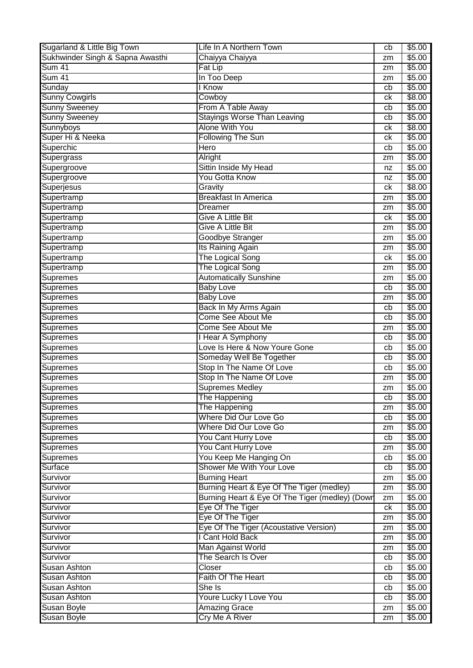| Sugarland & Little Big Town      | Life In A Northern Town                         | cb | \$5.00             |
|----------------------------------|-------------------------------------------------|----|--------------------|
| Sukhwinder Singh & Sapna Awasthi | Chaiyya Chaiyya                                 | zm | \$5.00             |
| <b>Sum 41</b>                    | Fat Lip                                         | zm | \$5.00             |
| Sum 41                           | In Too Deep                                     | zm | \$5.00             |
| Sunday                           | I Know                                          | cb | \$5.00             |
| <b>Sunny Cowgirls</b>            | Cowboy                                          | ck | \$8.00             |
| <b>Sunny Sweeney</b>             | From A Table Away                               | cb | \$5.00             |
| <b>Sunny Sweeney</b>             | <b>Stayings Worse Than Leaving</b>              | cb | \$5.00             |
| Sunnyboys                        | <b>Alone With You</b>                           | сk | \$8.00             |
| Super Hi & Neeka                 | <b>Following The Sun</b>                        | сk | \$5.00             |
| Superchic                        | Hero                                            | cb | \$5.00             |
| Supergrass                       | Alright                                         | zm | \$5.00             |
| Supergroove                      | Sittin Inside My Head                           | nz | \$5.00             |
| Supergroove                      | <b>You Gotta Know</b>                           | nz | \$5.00             |
| Superjesus                       | Gravity                                         | сk | \$8.00             |
| Supertramp                       | <b>Breakfast In America</b>                     | zm | \$5.00             |
| Supertramp                       | <b>Dreamer</b>                                  | zm | \$5.00             |
| Supertramp                       | <b>Give A Little Bit</b>                        | ck | \$5.00             |
| Supertramp                       | <b>Give A Little Bit</b>                        | zm | \$5.00             |
| Supertramp                       | Goodbye Stranger                                | zm | \$5.00             |
| Supertramp                       | Its Raining Again                               |    | \$5.00             |
|                                  | The Logical Song                                | zm | \$5.00             |
| Supertramp                       | The Logical Song                                | ck | \$5.00             |
| Supertramp                       |                                                 | zm |                    |
| Supremes                         | <b>Automatically Sunshine</b>                   | zm | \$5.00             |
| Supremes                         | <b>Baby Love</b>                                | cb | \$5.00             |
| Supremes                         | <b>Baby Love</b>                                | zm | \$5.00             |
| Supremes                         | Back In My Arms Again                           | cb | \$5.00             |
| <b>Supremes</b>                  | Come See About Me                               | cb | \$5.00             |
| Supremes                         | Come See About Me                               | zm | \$5.00             |
| Supremes                         | <b>I Hear A Symphony</b>                        | cb | \$5.00             |
| Supremes                         | Love Is Here & Now Youre Gone                   | cb | \$5.00             |
| Supremes                         | Someday Well Be Together                        | cb | \$5.00             |
| Supremes                         | Stop In The Name Of Love                        | cb | $\overline{$}5.00$ |
| Supremes                         | Stop In The Name Of Love                        | zm | \$5.00             |
| Supremes                         | <b>Supremes Medley</b>                          | zm | \$5.00             |
| Supremes                         | The Happening                                   | cb | \$5.00             |
| Supremes                         | The Happening                                   | zm | \$5.00             |
| Supremes                         | <b>Where Did Our Love Go</b>                    | cb | \$5.00             |
| Supremes                         | Where Did Our Love Go                           | zm | \$5.00             |
| <b>Supremes</b>                  | You Cant Hurry Love                             | cb | \$5.00             |
| Supremes                         | You Cant Hurry Love                             | zm | \$5.00             |
| <b>Supremes</b>                  | You Keep Me Hanging On                          | cb | \$5.00             |
| Surface                          | Shower Me With Your Love                        | cb | \$5.00             |
| Survivor                         | <b>Burning Heart</b>                            | zm | \$5.00             |
| Survivor                         | Burning Heart & Eye Of The Tiger (medley)       | zm | \$5.00             |
| Survivor                         | Burning Heart & Eye Of The Tiger (medley) (Down | zm | \$5.00             |
| Survivor                         | Eye Of The Tiger                                | ck | \$5.00             |
| Survivor                         | Eye Of The Tiger                                | zm | \$5.00             |
| Survivor                         | Eye Of The Tiger (Acoustative Version)          | zm | \$5.00             |
| Survivor                         | I Cant Hold Back                                | zm | \$5.00             |
| Survivor                         | Man Against World                               | zm | \$5.00             |
| Survivor                         | The Search Is Over                              | cb | \$5.00             |
| Susan Ashton                     | Closer                                          | cb | \$5.00             |
| <b>Susan Ashton</b>              | Faith Of The Heart                              | cb | \$5.00             |
| <b>Susan Ashton</b>              | She Is                                          | cb | \$5.00             |
| <b>Susan Ashton</b>              | <b>Youre Lucky I Love You</b>                   | cb | \$5.00             |
| <b>Susan Boyle</b>               | <b>Amazing Grace</b>                            | zm | \$5.00             |
| <b>Susan Boyle</b>               | Cry Me A River                                  | zm | \$5.00             |
|                                  |                                                 |    |                    |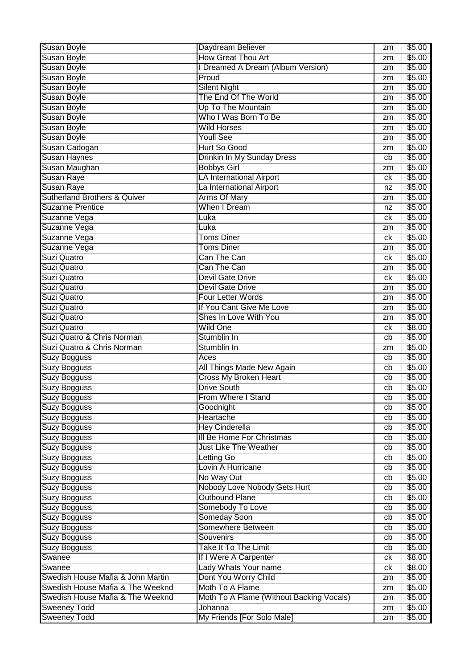| <b>Susan Boyle</b>                      | Daydream Believer                        | zm | \$5.00           |
|-----------------------------------------|------------------------------------------|----|------------------|
| <b>Susan Boyle</b>                      | <b>How Great Thou Art</b>                | zm | \$5.00           |
| <b>Susan Boyle</b>                      | I Dreamed A Dream (Album Version)        | zm | \$5.00           |
| <b>Susan Boyle</b>                      | Proud                                    | zm | \$5.00           |
| <b>Susan Boyle</b>                      | <b>Silent Night</b>                      | zm | \$5.00           |
| Susan Boyle                             | The End Of The World                     | zm | \$5.00           |
| <b>Susan Boyle</b>                      | Up To The Mountain                       | zm | \$5.00           |
| <b>Susan Boyle</b>                      | Who I Was Born To Be                     | zm | \$5.00           |
| <b>Susan Boyle</b>                      | <b>Wild Horses</b>                       | zm | \$5.00           |
| <b>Susan Boyle</b>                      | <b>Youll See</b>                         | zm | \$5.00           |
| Susan Cadogan                           | Hurt So Good                             | zm | \$5.00           |
| <b>Susan Haynes</b>                     | Drinkin In My Sunday Dress               | cb | \$5.00           |
| Susan Maughan                           | <b>Bobbys Girl</b>                       | zm | \$5.00           |
| <b>Susan Raye</b>                       | <b>LA International Airport</b>          | сk | \$5.00           |
| <b>Susan Raye</b>                       | La International Airport                 | nz | \$5.00           |
| <b>Sutherland Brothers &amp; Quiver</b> | <b>Arms Of Mary</b>                      |    | \$5.00           |
|                                         | When I Dream                             | zm |                  |
| <b>Suzanne Prentice</b><br>Suzanne Vega |                                          | nz | \$5.00<br>\$5.00 |
|                                         | Luka                                     | сk |                  |
| Suzanne Vega                            | Luka                                     | zm | \$5.00           |
| Suzanne Vega                            | Toms Diner                               | сk | \$5.00           |
| Suzanne Vega                            | <b>Toms Diner</b>                        | zm | \$5.00           |
| Suzi Quatro                             | Can The Can                              | сk | \$5.00           |
| Suzi Quatro                             | Can The Can                              | zm | \$5.00           |
| Suzi Quatro                             | <b>Devil Gate Drive</b>                  | сk | \$5.00           |
| Suzi Quatro                             | <b>Devil Gate Drive</b>                  | zm | \$5.00           |
| Suzi Quatro                             | <b>Four Letter Words</b>                 | zm | \$5.00           |
| Suzi Quatro                             | If You Cant Give Me Love                 | zm | \$5.00           |
| Suzi Quatro                             | Shes In Love With You                    | zm | \$5.00           |
| Suzi Quatro                             | <b>Wild One</b>                          | сk | \$8.00           |
| Suzi Quatro & Chris Norman              | Stumblin In                              | cb | \$5.00           |
| Suzi Quatro & Chris Norman              | Stumblin In                              | zm | \$5.00           |
| Suzy Bogguss                            | Aces                                     | cb | \$5.00           |
| Suzy Bogguss                            | All Things Made New Again                | cb | \$5.00           |
| Suzy Bogguss                            | <b>Cross My Broken Heart</b>             | cb | \$5.00           |
| <b>Suzy Bogguss</b>                     | <b>Drive South</b>                       | cb | \$5.00           |
| Suzy Bogguss                            | From Where I Stand                       | cb | \$5.00           |
| <b>Suzy Bogguss</b>                     | Goodnight                                | cb | \$5.00           |
| <b>Suzy Bogguss</b>                     | Heartache                                | cb | \$5.00           |
| <b>Suzy Bogguss</b>                     | <b>Hey Cinderella</b>                    | cb | \$5.00           |
| <b>Suzy Bogguss</b>                     | III Be Home For Christmas                | cb | \$5.00           |
| <b>Suzy Bogguss</b>                     | <b>Just Like The Weather</b>             | cb | \$5.00           |
| <b>Suzy Bogguss</b>                     | Letting Go                               | cb | \$5.00           |
| Suzy Bogguss                            | Lovin A Hurricane                        | cb | \$5.00           |
| Suzy Bogguss                            | No Way Out                               | cb | \$5.00           |
| <b>Suzy Bogguss</b>                     | Nobody Love Nobody Gets Hurt             | cb | \$5.00           |
| <b>Suzy Bogguss</b>                     | <b>Outbound Plane</b>                    | cb | \$5.00           |
| <b>Suzy Bogguss</b>                     | Somebody To Love                         | cb | \$5.00           |
| <b>Suzy Bogguss</b>                     | Someday Soon                             | cb | \$5.00           |
| <b>Suzy Bogguss</b>                     | Somewhere Between                        | cb | \$5.00           |
| <b>Suzy Bogguss</b>                     | Souvenirs                                | cb | \$5.00           |
| Suzy Bogguss                            | Take It To The Limit                     | cb | \$5.00           |
| Swanee                                  | If I Were A Carpenter                    | ck | \$8.00           |
| Swanee                                  | Lady Whats Your name                     | сk | \$8.00           |
| Swedish House Mafia & John Martin       | Dont You Worry Child                     | zm | \$5.00           |
| Swedish House Mafia & The Weeknd        | Moth To A Flame                          | zm | \$5.00           |
| Swedish House Mafia & The Weeknd        | Moth To A Flame (Without Backing Vocals) | zm | \$5.00           |
| <b>Sweeney Todd</b>                     | Johanna                                  | zm | \$5.00           |
| <b>Sweeney Todd</b>                     | My Friends [For Solo Male]               | zm | \$5.00           |
|                                         |                                          |    |                  |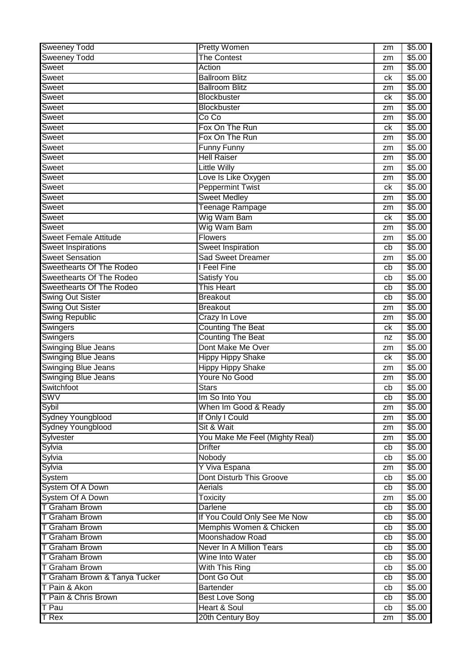| Sweeney Todd                    | <b>Pretty Women</b>             | zm                    | \$5.00 |
|---------------------------------|---------------------------------|-----------------------|--------|
| <b>Sweeney Todd</b>             | <b>The Contest</b>              | zm                    | \$5.00 |
| Sweet                           | Action                          | zm                    | \$5.00 |
| Sweet                           | <b>Ballroom Blitz</b>           | сk                    | \$5.00 |
| Sweet                           | <b>Ballroom Blitz</b>           | zm                    | \$5.00 |
| Sweet                           | Blockbuster                     | ck                    | \$5.00 |
| Sweet                           | Blockbuster                     | zm                    | \$5.00 |
| Sweet                           | Co Co                           | zm                    | \$5.00 |
| Sweet                           | Fox On The Run                  | сk                    | \$5.00 |
| Sweet                           | Fox On The Run                  | zm                    | \$5.00 |
| Sweet                           | <b>Funny Funny</b>              | zm                    | \$5.00 |
| <b>Sweet</b>                    | <b>Hell Raiser</b>              | zm                    | \$5.00 |
| <b>Sweet</b>                    | <b>Little Willy</b>             | zm                    | \$5.00 |
| Sweet                           | Love Is Like Oxygen             | zm                    | \$5.00 |
| <b>Sweet</b>                    | <b>Peppermint Twist</b>         | ck                    | \$5.00 |
| Sweet                           | <b>Sweet Medley</b>             | zm                    | \$5.00 |
| Sweet                           | Teenage Rampage                 | zm                    | \$5.00 |
| Sweet                           | Wig Wam Bam                     | ck                    | \$5.00 |
| Sweet                           | Wig Wam Bam                     | zm                    | \$5.00 |
| <b>Sweet Female Attitude</b>    | <b>Flowers</b>                  | zm                    | \$5.00 |
| <b>Sweet Inspirations</b>       | <b>Sweet Inspiration</b>        | cb                    | \$5.00 |
| <b>Sweet Sensation</b>          | Sad Sweet Dreamer               | zm                    | \$5.00 |
| <b>Sweethearts Of The Rodeo</b> | I Feel Fine                     | cb                    | \$5.00 |
| <b>Sweethearts Of The Rodeo</b> | <b>Satisfy You</b>              | cb                    | \$5.00 |
| <b>Sweethearts Of The Rodeo</b> | This Heart                      | cb                    | \$5.00 |
| <b>Swing Out Sister</b>         | <b>Breakout</b>                 | cb                    | \$5.00 |
| <b>Swing Out Sister</b>         | <b>Breakout</b>                 | zm                    | \$5.00 |
| <b>Swing Republic</b>           | Crazy In Love                   | zm                    | \$5.00 |
| <b>Swingers</b>                 | <b>Counting The Beat</b>        | сk                    | \$5.00 |
| <b>Swingers</b>                 | <b>Counting The Beat</b>        | nz                    | \$5.00 |
| <b>Swinging Blue Jeans</b>      | Dont Make Me Over               |                       | \$5.00 |
| <b>Swinging Blue Jeans</b>      | <b>Hippy Hippy Shake</b>        | zm<br>ck              | \$5.00 |
| <b>Swinging Blue Jeans</b>      | <b>Hippy Hippy Shake</b>        |                       | \$5.00 |
| <b>Swinging Blue Jeans</b>      | Youre No Good                   | zm                    | \$5.00 |
| Switchfoot                      | <b>Stars</b>                    | zm                    | \$5.00 |
| <b>SWV</b>                      | Im So Into You                  | cb<br>$\overline{cb}$ |        |
| Sybil                           | When Im Good & Ready            |                       | \$5.00 |
| <b>Sydney Youngblood</b>        |                                 | zm                    | \$5.00 |
| <b>Sydney Youngblood</b>        | If Only I Could<br>Sit & Wait   | zm                    | \$5.00 |
|                                 |                                 | zm                    | \$5.00 |
| Sylvester                       | You Make Me Feel (Mighty Real)  | zm                    | \$5.00 |
| Sylvia                          | <b>Drifter</b>                  | cb                    | \$5.00 |
| Sylvia                          | Nobody                          | cb                    | \$5.00 |
| Sylvia                          | Y Viva Espana                   | zm                    | \$5.00 |
| System                          | Dont Disturb This Groove        | cb                    | \$5.00 |
| System Of A Down                | Aerials                         | cb                    | \$5.00 |
| System Of A Down                | <b>Toxicity</b>                 | zm                    | \$5.00 |
| <b>T Graham Brown</b>           | <b>Darlene</b>                  | cb                    | \$5.00 |
| <b>T Graham Brown</b>           | If You Could Only See Me Now    | cb                    | \$5.00 |
| T Graham Brown                  | Memphis Women & Chicken         | cb                    | \$5.00 |
| <b>T Graham Brown</b>           | Moonshadow Road                 | cb                    | \$5.00 |
| <b>T Graham Brown</b>           | <b>Never In A Million Tears</b> | cb                    | \$5.00 |
| <b>T Graham Brown</b>           | Wine Into Water                 | cb                    | \$5.00 |
| <b>T Graham Brown</b>           | With This Ring                  | cb                    | \$5.00 |
| T Graham Brown & Tanya Tucker   | Dont Go Out                     | cb                    | \$5.00 |
| T Pain & Akon                   | <b>Bartender</b>                | cb                    | \$5.00 |
| T Pain & Chris Brown            | <b>Best Love Song</b>           | cb                    | \$5.00 |
| T Pau                           | <b>Heart &amp; Soul</b>         | cb                    | \$5.00 |
| $T$ Rex                         | 20th Century Boy                | zm                    | \$5.00 |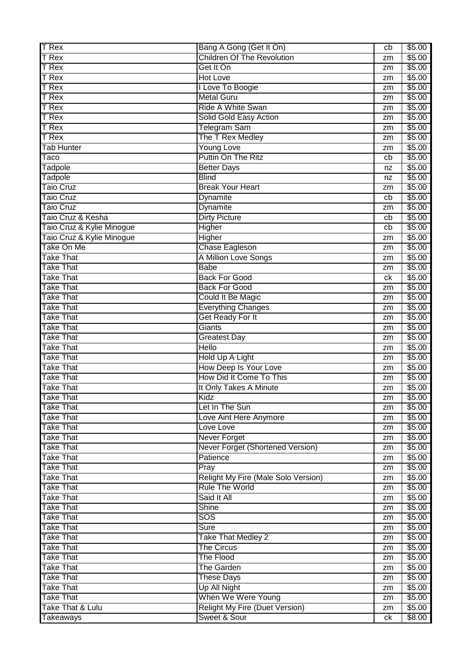| <b>T</b> Rex              | Bang A Gong (Get It On)               | cb | \$5.00 |
|---------------------------|---------------------------------------|----|--------|
| <b>T</b> Rex              | <b>Children Of The Revolution</b>     | zm | \$5.00 |
| <b>T</b> Rex              | Get It On                             | zm | \$5.00 |
| <b>T</b> Rex              | <b>Hot Love</b>                       | zm | \$5.00 |
| <b>T</b> Rex              | I Love To Boogie                      | zm | \$5.00 |
| <b>T</b> Rex              | <b>Metal Guru</b>                     | zm | \$5.00 |
| T Rex                     | Ride A White Swan                     | zm | \$5.00 |
| <b>T</b> Rex              | Solid Gold Easy Action                | zm | \$5.00 |
| T Rex                     | <b>Telegram Sam</b>                   | zm | \$5.00 |
| T Rex                     | The T Rex Medley                      | zm | \$5.00 |
| <b>Tab Hunter</b>         | <b>Young Love</b>                     | zm | \$5.00 |
| Taco                      | Puttin On The Ritz                    | cb | \$5.00 |
| Tadpole                   | <b>Better Days</b>                    | nz | \$5.00 |
| Tadpole                   | <b>Blind</b>                          | nz | \$5.00 |
| <b>Taio Cruz</b>          | <b>Break Your Heart</b>               | zm | \$5.00 |
| <b>Taio Cruz</b>          | Dynamite                              | cb | \$5.00 |
| <b>Taio Cruz</b>          | Dynamite                              | zm | \$5.00 |
| Taio Cruz & Kesha         | <b>Dirty Picture</b>                  | cb | \$5.00 |
| Taio Cruz & Kylie Minogue | Higher                                | cb | \$5.00 |
| Taio Cruz & Kylie Minogue | Higher                                | zm | \$5.00 |
| Take On Me                | <b>Chase Eagleson</b>                 | zm | \$5.00 |
| <b>Take That</b>          | A Million Love Songs                  | zm | \$5.00 |
| <b>Take That</b>          | <b>Babe</b>                           | zm | \$5.00 |
| <b>Take That</b>          | <b>Back For Good</b>                  | ck | \$5.00 |
| <b>Take That</b>          | <b>Back For Good</b>                  | zm | \$5.00 |
| <b>Take That</b>          | Could It Be Magic                     | zm | \$5.00 |
| <b>Take That</b>          | <b>Everything Changes</b>             | zm | \$5.00 |
| <b>Take That</b>          | <b>Get Ready For It</b>               | zm | \$5.00 |
| <b>Take That</b>          | Giants                                | zm | \$5.00 |
| <b>Take That</b>          | <b>Greatest Day</b>                   | zm | \$5.00 |
| <b>Take That</b>          | <b>Hello</b>                          | zm | \$5.00 |
| <b>Take That</b>          | Hold Up A Light                       | zm | \$5.00 |
| <b>Take That</b>          | <b>How Deep Is Your Love</b>          | zm | \$5.00 |
| <b>Take That</b>          | How Did It Come To This               | zm | \$5.00 |
| <b>Take That</b>          | It Only Takes A Minute                | zm | \$5.00 |
| <b>Take That</b>          | Kidz                                  | zm | \$5.00 |
| <b>Take That</b>          | Let In The Sun                        | zm | \$5.00 |
| <b>Take That</b>          | Love Aint Here Anymore                | zm | \$5.00 |
| <b>Take That</b>          | Love Love                             | zm | \$5.00 |
| <b>Take That</b>          | <b>Never Forget</b>                   | zm | \$5.00 |
| <b>Take That</b>          | Never Forget (Shortened Version)      | zm | \$5.00 |
| <b>Take That</b>          | Patience                              | zm | \$5.00 |
| <b>Take That</b>          | Pray                                  | zm | \$5.00 |
| <b>Take That</b>          | Relight My Fire (Male Solo Version)   | zm | \$5.00 |
| <b>Take That</b>          | <b>Rule The World</b>                 | zm | \$5.00 |
| <b>Take That</b>          | Said It All                           | zm | \$5.00 |
| <b>Take That</b>          | Shine                                 | zm | \$5.00 |
| <b>Take That</b>          | SOS                                   | zm | \$5.00 |
| <b>Take That</b>          | Sure                                  | zm | \$5.00 |
| <b>Take That</b>          | <b>Take That Medley 2</b>             | zm | \$5.00 |
| <b>Take That</b>          | <b>The Circus</b>                     | zm | \$5.00 |
| <b>Take That</b>          | The Flood                             | zm | \$5.00 |
| <b>Take That</b>          | <b>The Garden</b>                     | zm | \$5.00 |
| <b>Take That</b>          | <b>These Days</b>                     | zm | \$5.00 |
| <b>Take That</b>          | Up All Night                          | zm | \$5.00 |
| <b>Take That</b>          | When We Were Young                    | zm | \$5.00 |
| Take That & Lulu          | <b>Relight My Fire (Duet Version)</b> | zm | \$5.00 |
| Takeaways                 | Sweet & Sour                          | ck | \$8.00 |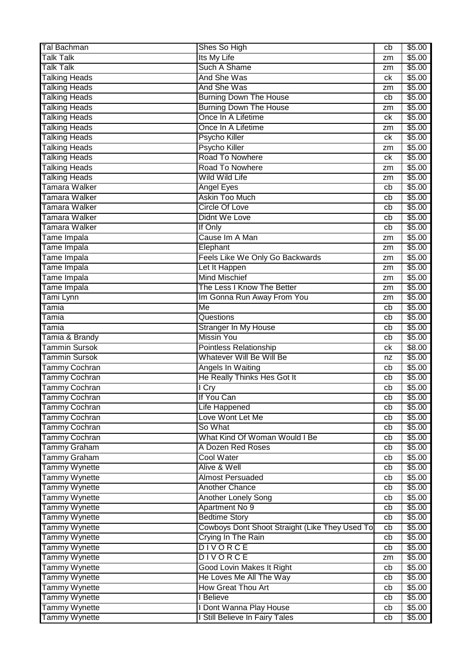| <b>Tal Bachman</b>   | Shes So High                                   | cb | \$5.00 |
|----------------------|------------------------------------------------|----|--------|
| <b>Talk Talk</b>     | Its My Life                                    | zm | \$5.00 |
| <b>Talk Talk</b>     | Such A Shame                                   | zm | \$5.00 |
| <b>Talking Heads</b> | And She Was                                    | ck | \$5.00 |
| <b>Talking Heads</b> | And She Was                                    | zm | \$5.00 |
| <b>Talking Heads</b> | <b>Burning Down The House</b>                  | cb | \$5.00 |
| <b>Talking Heads</b> | <b>Burning Down The House</b>                  | zm | \$5.00 |
| <b>Talking Heads</b> | Once In A Lifetime                             | сk | \$5.00 |
| <b>Talking Heads</b> | Once In A Lifetime                             | zm | \$5.00 |
| <b>Talking Heads</b> | <b>Psycho Killer</b>                           | ck | \$5.00 |
| <b>Talking Heads</b> | Psycho Killer                                  | zm | \$5.00 |
| <b>Talking Heads</b> | Road To Nowhere                                | ck | \$5.00 |
| <b>Talking Heads</b> | Road To Nowhere                                | zm | \$5.00 |
| <b>Talking Heads</b> | <b>Wild Wild Life</b>                          | zm | \$5.00 |
| Tamara Walker        | Angel Eyes                                     | cb | \$5.00 |
| Tamara Walker        | <b>Askin Too Much</b>                          | cb | \$5.00 |
| Tamara Walker        | <b>Circle Of Love</b>                          | cb | \$5.00 |
| Tamara Walker        | Didnt We Love                                  | cb | \$5.00 |
| Tamara Walker        | If Only                                        | cb | \$5.00 |
| Tame Impala          | Cause Im A Man                                 | zm | \$5.00 |
| Tame Impala          | Elephant                                       | zm | \$5.00 |
| Tame Impala          | Feels Like We Only Go Backwards                | zm | \$5.00 |
| Tame Impala          | Let It Happen                                  | zm | \$5.00 |
| Tame Impala          | <b>Mind Mischief</b>                           | zm | \$5.00 |
| Tame Impala          | The Less I Know The Better                     | zm | \$5.00 |
| Tami Lynn            | Im Gonna Run Away From You                     | zm | \$5.00 |
| Tamia                | $\overline{\mathsf{Me}}$                       | cb | \$5.00 |
| Tamia                | Questions                                      | cb | \$5.00 |
| Tamia                | Stranger In My House                           | cb | \$5.00 |
| Tamia & Brandy       | <b>Missin You</b>                              | cb | \$5.00 |
| <b>Tammin Sursok</b> | Pointless Relationship                         | ck | \$8.00 |
| <b>Tammin Sursok</b> | Whatever Will Be Will Be                       | nz | \$5.00 |
| Tammy Cochran        | Angels In Waiting                              | cb | \$5.00 |
| <b>Tammy Cochran</b> | He Really Thinks Hes Got It                    | cb | \$5.00 |
| Tammy Cochran        | I Cry                                          | cb | \$5.00 |
| Tammy Cochran        | If You Can                                     | cb | \$5.00 |
| Tammy Cochran        | Life Happened                                  | cb | \$5.00 |
| Tammy Cochran        | Love Wont Let Me                               | cb | \$5.00 |
| Tammy Cochran        | So What                                        | cb | \$5.00 |
| <b>Tammy Cochran</b> | What Kind Of Woman Would I Be                  | cb | \$5.00 |
| Tammy Graham         | A Dozen Red Roses                              | cb | \$5.00 |
| Tammy Graham         | <b>Cool Water</b>                              | cb | \$5.00 |
| <b>Tammy Wynette</b> | Alive & Well                                   | cb | \$5.00 |
| <b>Tammy Wynette</b> | <b>Almost Persuaded</b>                        | cb | \$5.00 |
| Tammy Wynette        | <b>Another Chance</b>                          | cb | \$5.00 |
| <b>Tammy Wynette</b> | <b>Another Lonely Song</b>                     | cb | \$5.00 |
| Tammy Wynette        | Apartment No 9                                 | cb | \$5.00 |
| Tammy Wynette        | <b>Bedtime Story</b>                           | cb | \$5.00 |
| <b>Tammy Wynette</b> | Cowboys Dont Shoot Straight (Like They Used To | cb | \$5.00 |
| Tammy Wynette        | Crying In The Rain                             | cb | \$5.00 |
| Tammy Wynette        | <b>DIVORCE</b>                                 | cb | \$5.00 |
| <b>Tammy Wynette</b> | <b>DIVORCE</b>                                 | zm | \$5.00 |
| Tammy Wynette        | <b>Good Lovin Makes It Right</b>               | cb | \$5.00 |
| <b>Tammy Wynette</b> | He Loves Me All The Way                        | cb | \$5.00 |
| Tammy Wynette        | <b>How Great Thou Art</b>                      | cb | \$5.00 |
| <b>Tammy Wynette</b> | I Believe                                      | cb | \$5.00 |
| Tammy Wynette        | I Dont Wanna Play House                        | cb | \$5.00 |
| Tammy Wynette        | I Still Believe In Fairy Tales                 | cb | \$5.00 |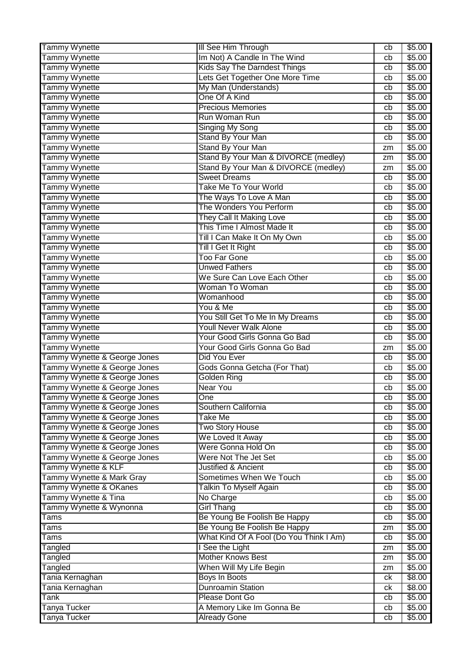| Tammy Wynette<br>Im Not) A Candle In The Wind<br>cb<br>Tammy Wynette<br><b>Kids Say The Darndest Things</b><br>cb<br>Tammy Wynette<br>Lets Get Together One More Time<br>cb<br>Tammy Wynette<br>My Man (Understands)<br>cb<br>Tammy Wynette<br>One Of A Kind<br>cb<br>Tammy Wynette<br><b>Precious Memories</b><br>cb<br>Tammy Wynette<br>Run Woman Run<br>cb | \$5.00<br>\$5.00<br>\$5.00<br>\$5.00<br>\$5.00<br>\$5.00<br>\$5.00<br>\$5.00 |
|---------------------------------------------------------------------------------------------------------------------------------------------------------------------------------------------------------------------------------------------------------------------------------------------------------------------------------------------------------------|------------------------------------------------------------------------------|
|                                                                                                                                                                                                                                                                                                                                                               |                                                                              |
|                                                                                                                                                                                                                                                                                                                                                               |                                                                              |
|                                                                                                                                                                                                                                                                                                                                                               |                                                                              |
|                                                                                                                                                                                                                                                                                                                                                               |                                                                              |
|                                                                                                                                                                                                                                                                                                                                                               |                                                                              |
|                                                                                                                                                                                                                                                                                                                                                               |                                                                              |
|                                                                                                                                                                                                                                                                                                                                                               |                                                                              |
| Tammy Wynette<br><b>Singing My Song</b><br>cb                                                                                                                                                                                                                                                                                                                 |                                                                              |
| Tammy Wynette<br><b>Stand By Your Man</b><br>cb                                                                                                                                                                                                                                                                                                               | \$5.00                                                                       |
| Tammy Wynette<br><b>Stand By Your Man</b><br>zm                                                                                                                                                                                                                                                                                                               | \$5.00                                                                       |
| Tammy Wynette<br>Stand By Your Man & DIVORCE (medley)<br>zm                                                                                                                                                                                                                                                                                                   | \$5.00                                                                       |
| Stand By Your Man & DIVORCE (medley)<br>Tammy Wynette<br>zm                                                                                                                                                                                                                                                                                                   | \$5.00                                                                       |
| <b>Tammy Wynette</b><br><b>Sweet Dreams</b><br>cb                                                                                                                                                                                                                                                                                                             | \$5.00                                                                       |
| Take Me To Your World<br><b>Tammy Wynette</b><br>cb                                                                                                                                                                                                                                                                                                           | \$5.00                                                                       |
| Tammy Wynette<br>The Ways To Love A Man<br>cb                                                                                                                                                                                                                                                                                                                 | \$5.00                                                                       |
| Tammy Wynette<br>The Wonders You Perform<br>cb                                                                                                                                                                                                                                                                                                                | \$5.00                                                                       |
| Tammy Wynette<br>They Call It Making Love<br>cb                                                                                                                                                                                                                                                                                                               | \$5.00                                                                       |
| Tammy Wynette<br>This Time I Almost Made It<br>cb                                                                                                                                                                                                                                                                                                             | \$5.00                                                                       |
| Tammy Wynette<br>Till I Can Make It On My Own<br>cb                                                                                                                                                                                                                                                                                                           | \$5.00                                                                       |
| <b>Tammy Wynette</b><br>Till I Get It Right<br>cb                                                                                                                                                                                                                                                                                                             | \$5.00                                                                       |
| Tammy Wynette<br><b>Too Far Gone</b><br>cb                                                                                                                                                                                                                                                                                                                    | \$5.00                                                                       |
| Tammy Wynette<br><b>Unwed Fathers</b><br>cb                                                                                                                                                                                                                                                                                                                   | \$5.00                                                                       |
| <b>Tammy Wynette</b><br>We Sure Can Love Each Other<br>cb                                                                                                                                                                                                                                                                                                     | \$5.00                                                                       |
| Tammy Wynette<br>Woman To Woman<br>cb                                                                                                                                                                                                                                                                                                                         | \$5.00                                                                       |
| Tammy Wynette<br>Womanhood<br>cb                                                                                                                                                                                                                                                                                                                              | \$5.00                                                                       |
| Tammy Wynette<br>You & Me<br>cb                                                                                                                                                                                                                                                                                                                               | \$5.00                                                                       |
| Tammy Wynette<br>You Still Get To Me In My Dreams<br>cb                                                                                                                                                                                                                                                                                                       | \$5.00                                                                       |
| Tammy Wynette<br><b>Youll Never Walk Alone</b><br>cb                                                                                                                                                                                                                                                                                                          | \$5.00                                                                       |
| Tammy Wynette<br>Your Good Girls Gonna Go Bad<br>cb                                                                                                                                                                                                                                                                                                           | \$5.00                                                                       |
| <b>Tammy Wynette</b><br>Your Good Girls Gonna Go Bad<br>zm                                                                                                                                                                                                                                                                                                    | \$5.00                                                                       |
| Tammy Wynette & George Jones<br>Did You Ever<br>cb                                                                                                                                                                                                                                                                                                            | \$5.00                                                                       |
| Tammy Wynette & George Jones<br>Gods Gonna Getcha (For That)<br>cb                                                                                                                                                                                                                                                                                            | \$5.00                                                                       |
| Tammy Wynette & George Jones<br><b>Golden Ring</b><br>cb                                                                                                                                                                                                                                                                                                      | \$5.00                                                                       |
| Tammy Wynette & George Jones<br><b>Near You</b><br>cb                                                                                                                                                                                                                                                                                                         | \$5.00                                                                       |
| Tammy Wynette & George Jones<br>One<br>cb                                                                                                                                                                                                                                                                                                                     | \$5.00                                                                       |
| Tammy Wynette & George Jones<br>Southern California<br>cb                                                                                                                                                                                                                                                                                                     | \$5.00                                                                       |
| Tammy Wynette & George Jones<br>Take Me<br>cb                                                                                                                                                                                                                                                                                                                 | \$5.00                                                                       |
| Tammy Wynette & George Jones<br><b>Two Story House</b><br>cb                                                                                                                                                                                                                                                                                                  | \$5.00                                                                       |
| Tammy Wynette & George Jones<br>We Loved It Away<br>cb                                                                                                                                                                                                                                                                                                        | \$5.00                                                                       |
| Tammy Wynette & George Jones<br>Were Gonna Hold On<br>cb                                                                                                                                                                                                                                                                                                      | \$5.00                                                                       |
| Tammy Wynette & George Jones<br>Were Not The Jet Set<br>cb                                                                                                                                                                                                                                                                                                    | \$5.00                                                                       |
| Tammy Wynette & KLF<br><b>Justified &amp; Ancient</b><br>cb                                                                                                                                                                                                                                                                                                   | \$5.00                                                                       |
| Tammy Wynette & Mark Gray<br>Sometimes When We Touch<br>cb                                                                                                                                                                                                                                                                                                    | \$5.00                                                                       |
| Tammy Wynette & OKanes<br><b>Talkin To Myself Again</b><br>cb                                                                                                                                                                                                                                                                                                 | \$5.00                                                                       |
| Tammy Wynette & Tina<br>No Charge<br>cb                                                                                                                                                                                                                                                                                                                       | \$5.00                                                                       |
| Tammy Wynette & Wynonna<br><b>Girl Thang</b><br>cb                                                                                                                                                                                                                                                                                                            | \$5.00                                                                       |
| Be Young Be Foolish Be Happy<br>Tams<br>cb                                                                                                                                                                                                                                                                                                                    | \$5.00                                                                       |
| Be Young Be Foolish Be Happy<br>Tams<br>zm                                                                                                                                                                                                                                                                                                                    | \$5.00                                                                       |
| What Kind Of A Fool (Do You Think I Am)<br>Tams<br>cb                                                                                                                                                                                                                                                                                                         | \$5.00                                                                       |
| I See the Light<br>Tangled<br>zm                                                                                                                                                                                                                                                                                                                              | \$5.00                                                                       |
| <b>Mother Knows Best</b><br>Tangled<br>zm                                                                                                                                                                                                                                                                                                                     | \$5.00                                                                       |
| Tangled<br>When Will My Life Begin<br>zm                                                                                                                                                                                                                                                                                                                      | \$5.00                                                                       |
| Tania Kernaghan<br><b>Boys In Boots</b><br>ck                                                                                                                                                                                                                                                                                                                 | \$8.00                                                                       |
| Tania Kernaghan<br><b>Dunroamin Station</b><br>ck                                                                                                                                                                                                                                                                                                             | \$8.00                                                                       |
| Please Dont Go<br>Tank<br>cb                                                                                                                                                                                                                                                                                                                                  | \$5.00                                                                       |
| Tanya Tucker<br>A Memory Like Im Gonna Be<br>cb                                                                                                                                                                                                                                                                                                               | \$5.00                                                                       |
| <b>Already Gone</b><br>Tanya Tucker<br>cb                                                                                                                                                                                                                                                                                                                     | \$5.00                                                                       |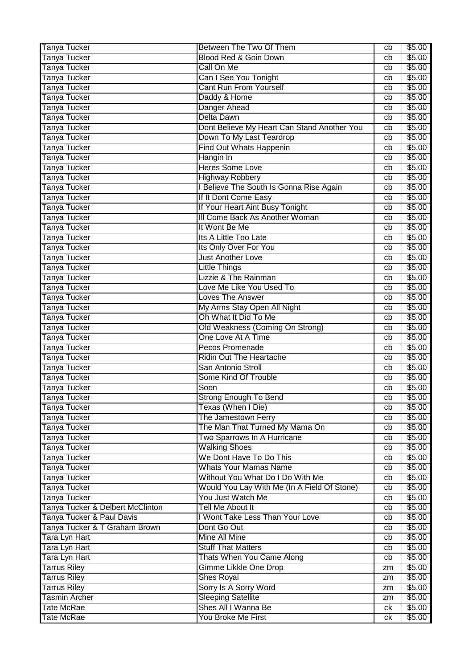| Tanya Tucker                     | Between The Two Of Them                     | cb       | \$5.00         |
|----------------------------------|---------------------------------------------|----------|----------------|
| <b>Tanya Tucker</b>              | Blood Red & Goin Down                       | cb       | \$5.00         |
| <b>Tanya Tucker</b>              | Call On Me                                  | cb       | \$5.00         |
| Tanya Tucker                     | Can I See You Tonight                       | cb       | \$5.00         |
| <b>Tanya Tucker</b>              | <b>Cant Run From Yourself</b>               | cb       | \$5.00         |
| <b>Tanya Tucker</b>              | Daddy & Home                                | cb       | \$5.00         |
| Tanya Tucker                     | Danger Ahead                                | cb       | \$5.00         |
| Tanya Tucker                     | Delta Dawn                                  | cb       | \$5.00         |
| Tanya Tucker                     | Dont Believe My Heart Can Stand Another You | cb       | \$5.00         |
| Tanya Tucker                     | Down To My Last Teardrop                    | cb       | \$5.00         |
| <b>Tanya Tucker</b>              | Find Out Whats Happenin                     | cb       | \$5.00         |
| Tanya Tucker                     | Hangin In                                   | cb       | \$5.00         |
| <b>Tanya Tucker</b>              | <b>Heres Some Love</b>                      | cb       | \$5.00         |
| <b>Tanya Tucker</b>              | <b>Highway Robbery</b>                      | cb       | \$5.00         |
| <b>Tanya Tucker</b>              | I Believe The South Is Gonna Rise Again     | cb       | \$5.00         |
| Tanya Tucker                     | If It Dont Come Easy                        | cb       | \$5.00         |
| <b>Tanya Tucker</b>              | If Your Heart Aint Busy Tonight             | cb       | \$5.00         |
| Tanya Tucker                     | III Come Back As Another Woman              | cb       | \$5.00         |
| <b>Tanya Tucker</b>              | It Wont Be Me                               | cb       | \$5.00         |
| Tanya Tucker                     | Its A Little Too Late                       | cb       | \$5.00         |
| Tanya Tucker                     | Its Only Over For You                       | cb       | \$5.00         |
| <b>Tanya Tucker</b>              | <b>Just Another Love</b>                    | cb       | \$5.00         |
| Tanya Tucker                     | <b>Little Things</b>                        | cb       | \$5.00         |
| <b>Tanya Tucker</b>              | <b>Lizzie &amp; The Rainman</b>             | cb       | \$5.00         |
| Tanya Tucker                     | Love Me Like You Used To                    | cb       | \$5.00         |
| Tanya Tucker                     | <b>Loves The Answer</b>                     | cb       | \$5.00         |
| Tanya Tucker                     | My Arms Stay Open All Night                 |          | \$5.00         |
| <b>Tanya Tucker</b>              | Oh What It Did To Me                        | cb<br>cb | \$5.00         |
|                                  | Old Weakness (Coming On Strong)             |          | \$5.00         |
| <b>Tanya Tucker</b>              | One Love At A Time                          | cb       |                |
| Tanya Tucker                     | Pecos Promenade                             | cb       | \$5.00         |
| <b>Tanya Tucker</b>              | <b>Ridin Out The Heartache</b>              | cb       | \$5.00         |
| <b>Tanya Tucker</b>              |                                             | cb       | \$5.00         |
| <b>Tanya Tucker</b>              | San Antonio Stroll                          | cb       | \$5.00         |
| <b>Tanya Tucker</b>              | Some Kind Of Trouble                        | cb       | \$5.00         |
| <b>Tanya Tucker</b>              | Soon                                        | cb       | \$5.00         |
| Tanya Tucker                     | Strong Enough To Bend                       | cb       | \$5.00         |
| <b>Tanya Tucker</b>              | Texas (When I Die)                          | cb       | \$5.00         |
| <b>Tanya Tucker</b>              | The Jamestown Ferry                         | cb       | \$5.00         |
| <b>Tanya Tucker</b>              | The Man That Turned My Mama On              | cb       | \$5.00         |
| <b>Tanya Tucker</b>              | Two Sparrows In A Hurricane                 | cb       | \$5.00         |
| <b>Tanya Tucker</b>              | <b>Walking Shoes</b>                        | cb       | \$5.00         |
| Tanya Tucker                     | We Dont Have To Do This                     | cb       | \$5.00         |
| <b>Tanya Tucker</b>              | <b>Whats Your Mamas Name</b>                | cb       | \$5.00         |
| Tanya Tucker                     | Without You What Do I Do With Me            | cb       | \$5.00         |
| <b>Tanya Tucker</b>              | Would You Lay With Me (In A Field Of Stone) | cb       | \$5.00         |
| <b>Tanya Tucker</b>              | You Just Watch Me                           | cb       | \$5.00         |
| Tanya Tucker & Delbert McClinton | Tell Me About It                            | cb       | \$5.00         |
| Tanya Tucker & Paul Davis        | I Wont Take Less Than Your Love             | cb       | \$5.00         |
| Tanya Tucker & T Graham Brown    | Dont Go Out                                 | cb       | \$5.00         |
| Tara Lyn Hart                    | <b>Mine All Mine</b>                        | cb       | \$5.00         |
| Tara Lyn Hart                    | <b>Stuff That Matters</b>                   | cb       | \$5.00         |
| Tara Lyn Hart                    | Thats When You Came Along                   | cb       | $\sqrt{$5.00}$ |
| <b>Tarrus Riley</b>              | Gimme Likkle One Drop                       | zm       | \$5.00         |
| <b>Tarrus Riley</b>              | <b>Shes Royal</b>                           | zm       | \$5.00         |
| <b>Tarrus Riley</b>              | Sorry Is A Sorry Word                       | zm       | \$5.00         |
| <b>Tasmin Archer</b>             | <b>Sleeping Satellite</b>                   | zm       | \$5.00         |
| Tate McRae                       | Shes All I Wanna Be                         | ck       | \$5.00         |
| <b>Tate McRae</b>                | You Broke Me First                          | ck       | \$5.00         |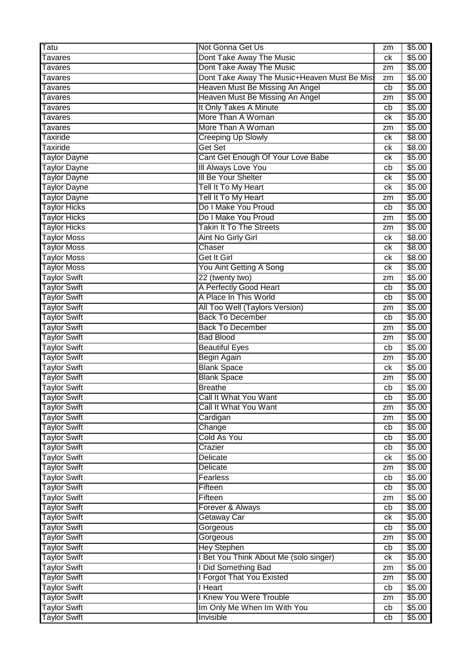| Tatu                | Not Gonna Get Us                            | zm       | \$5.00 |
|---------------------|---------------------------------------------|----------|--------|
| Tavares             | Dont Take Away The Music                    | ck       | \$5.00 |
| Tavares             | Dont Take Away The Music                    | zm       | \$5.00 |
| Tavares             | Dont Take Away The Music+Heaven Must Be Mis | zm       | \$5.00 |
| Tavares             | Heaven Must Be Missing An Angel             | cb       | \$5.00 |
| Tavares             | Heaven Must Be Missing An Angel             | zm       | \$5.00 |
| Tavares             | It Only Takes A Minute                      | cb       | \$5.00 |
| Tavares             | More Than A Woman                           | сk       | \$5.00 |
| Tavares             | More Than A Woman                           | zm       | \$5.00 |
| <b>Taxiride</b>     | <b>Creeping Up Slowly</b>                   | ck       | \$8.00 |
| Taxiride            | Get Set                                     | сk       | \$8.00 |
| <b>Taylor Dayne</b> | Cant Get Enough Of Your Love Babe           | ck       | \$5.00 |
| <b>Taylor Dayne</b> | III Always Love You                         | cb       | \$5.00 |
| <b>Taylor Dayne</b> | <b>III Be Your Shelter</b>                  | ck       | \$5.00 |
| <b>Taylor Dayne</b> | Tell It To My Heart                         | ck       | \$5.00 |
| <b>Taylor Dayne</b> | Tell It To My Heart                         | zm       | \$5.00 |
| <b>Taylor Hicks</b> | Do I Make You Proud                         | cb       | \$5.00 |
| <b>Taylor Hicks</b> | Do I Make You Proud                         | zm       | \$5.00 |
| <b>Taylor Hicks</b> | <b>Takin It To The Streets</b>              | zm       | \$5.00 |
| <b>Taylor Moss</b>  | Aint No Girly Girl                          | ck       | \$8.00 |
| <b>Taylor Moss</b>  | Chaser                                      | сk       | \$8.00 |
| <b>Taylor Moss</b>  | Get It Girl                                 | ck       | \$8.00 |
| <b>Taylor Moss</b>  | You Aint Getting A Song                     | ck       | \$5.00 |
| <b>Taylor Swift</b> | 22 (twenty two)                             | zm       | \$5.00 |
| <b>Taylor Swift</b> | A Perfectly Good Heart                      | cb       | \$5.00 |
| <b>Taylor Swift</b> | A Place In This World                       | cb       | \$5.00 |
| <b>Taylor Swift</b> | All Too Well (Taylors Version)              | zm       | \$5.00 |
| <b>Taylor Swift</b> | <b>Back To December</b>                     | cb       | \$5.00 |
| <b>Taylor Swift</b> | <b>Back To December</b>                     | zm       | \$5.00 |
| <b>Taylor Swift</b> | <b>Bad Blood</b>                            | zm       | \$5.00 |
| <b>Taylor Swift</b> | <b>Beautiful Eyes</b>                       | cb       | \$5.00 |
| <b>Taylor Swift</b> | Begin Again                                 | zm       | \$5.00 |
| <b>Taylor Swift</b> | <b>Blank Space</b>                          | ck       | \$5.00 |
| <b>Taylor Swift</b> | <b>Blank Space</b>                          | zm       | \$5.00 |
| <b>Taylor Swift</b> | <b>Breathe</b>                              | cb       | \$5.00 |
| <b>Taylor Swift</b> | Call It What You Want                       | cb       | \$5.00 |
| <b>Taylor Swift</b> | Call It What You Want                       | zm       | \$5.00 |
| <b>Taylor Swift</b> | Cardigan                                    | zm       | \$5.00 |
| <b>Taylor Swift</b> | Change                                      | cb       | \$5.00 |
| <b>Taylor Swift</b> | Cold As You                                 | cb       | \$5.00 |
| <b>Taylor Swift</b> | Crazier                                     | cb       | \$5.00 |
| <b>Taylor Swift</b> | Delicate                                    | ck       | \$5.00 |
| <b>Taylor Swift</b> | Delicate                                    | zm       | \$5.00 |
| <b>Taylor Swift</b> | Fearless                                    | cb       | \$5.00 |
| <b>Taylor Swift</b> | Fifteen                                     | cb       | \$5.00 |
| <b>Taylor Swift</b> | Fifteen                                     | zm       | \$5.00 |
| <b>Taylor Swift</b> | Forever & Always                            | cb       | \$5.00 |
| <b>Taylor Swift</b> | Getaway Car                                 | ck       | \$5.00 |
| <b>Taylor Swift</b> | Gorgeous                                    | cb       | \$5.00 |
| <b>Taylor Swift</b> | Gorgeous                                    | zm       | \$5.00 |
| <b>Taylor Swift</b> | <b>Hey Stephen</b>                          | cb       | \$5.00 |
| <b>Taylor Swift</b> | I Bet You Think About Me (solo singer)      | ck       | \$5.00 |
| <b>Taylor Swift</b> | <b>I Did Something Bad</b>                  | zm       | \$5.00 |
| <b>Taylor Swift</b> | <b>Forgot That You Existed</b>              | zm       | \$5.00 |
| <b>Taylor Swift</b> | I Heart                                     | cb       | \$5.00 |
| <b>Taylor Swift</b> | <b>I Knew You Were Trouble</b>              |          | \$5.00 |
| <b>Taylor Swift</b> | Im Only Me When Im With You                 | zm<br>cb | \$5.00 |
| <b>Taylor Swift</b> | Invisible                                   | cb       | \$5.00 |
|                     |                                             |          |        |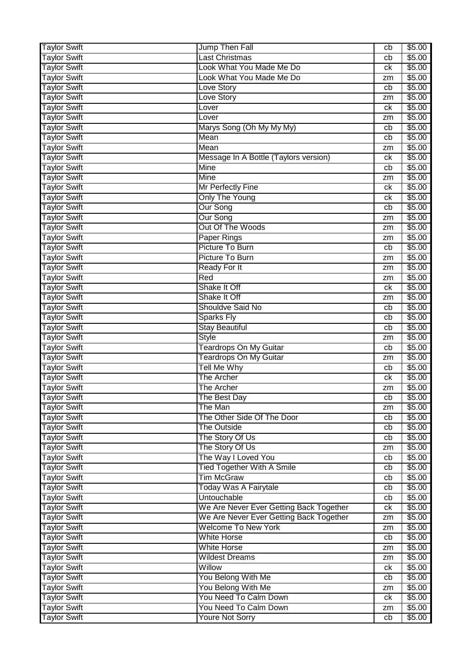| <b>Taylor Swift</b>                        | Jump Then Fall                                  | cb | \$5.00           |
|--------------------------------------------|-------------------------------------------------|----|------------------|
| <b>Taylor Swift</b>                        | Last Christmas                                  | cb | \$5.00           |
| <b>Taylor Swift</b>                        | Look What You Made Me Do                        | ck | \$5.00           |
| <b>Taylor Swift</b>                        | Look What You Made Me Do                        | zm | \$5.00           |
| <b>Taylor Swift</b>                        | <b>Love Story</b>                               | cb | \$5.00           |
| <b>Taylor Swift</b>                        | <b>Love Story</b>                               | zm | \$5.00           |
| <b>Taylor Swift</b>                        | Lover                                           | ck | \$5.00           |
| <b>Taylor Swift</b>                        | Lover                                           | zm | \$5.00           |
| <b>Taylor Swift</b>                        | Marys Song (Oh My My My)                        | cb | \$5.00           |
| <b>Taylor Swift</b>                        | Mean                                            | cb | \$5.00           |
| <b>Taylor Swift</b>                        | Mean                                            | zm | \$5.00           |
| <b>Taylor Swift</b>                        | Message In A Bottle (Taylors version)           | ck | \$5.00           |
| <b>Taylor Swift</b>                        | <b>Mine</b>                                     | cb | \$5.00           |
| <b>Taylor Swift</b>                        | <b>Mine</b>                                     |    | \$5.00           |
| <b>Taylor Swift</b>                        |                                                 | zm | \$5.00           |
|                                            | Mr Perfectly Fine                               | ck |                  |
| <b>Taylor Swift</b>                        | <b>Only The Young</b>                           | ck | \$5.00           |
| <b>Taylor Swift</b>                        | <b>Our Song</b>                                 | cb | \$5.00           |
| <b>Taylor Swift</b>                        | <b>Our Song</b>                                 | zm | \$5.00           |
| <b>Taylor Swift</b>                        | Out Of The Woods                                | zm | \$5.00           |
| <b>Taylor Swift</b>                        | <b>Paper Rings</b>                              | zm | \$5.00           |
| <b>Taylor Swift</b>                        | Picture To Burn                                 | cb | \$5.00           |
| <b>Taylor Swift</b>                        | Picture To Burn                                 | zm | \$5.00           |
| <b>Taylor Swift</b>                        | <b>Ready For It</b>                             | zm | \$5.00           |
| <b>Taylor Swift</b>                        | Red                                             | zm | \$5.00           |
| <b>Taylor Swift</b>                        | Shake It Off                                    | ck | \$5.00           |
| <b>Taylor Swift</b>                        | Shake It Off                                    | zm | \$5.00           |
| <b>Taylor Swift</b>                        | Shouldve Said No                                | cb | \$5.00           |
| <b>Taylor Swift</b>                        | <b>Sparks Fly</b>                               | cb | \$5.00           |
| <b>Taylor Swift</b>                        | <b>Stay Beautiful</b>                           | cb | \$5.00           |
| <b>Taylor Swift</b>                        | <b>Style</b>                                    | zm | \$5.00           |
| <b>Taylor Swift</b>                        | <b>Teardrops On My Guitar</b>                   | cb | \$5.00           |
| <b>Taylor Swift</b>                        | <b>Teardrops On My Guitar</b>                   | zm | \$5.00           |
| <b>Taylor Swift</b>                        | <b>Tell Me Why</b>                              | cb | \$5.00           |
| <b>Taylor Swift</b>                        | The Archer                                      | ck | \$5.00           |
| <b>Taylor Swift</b>                        | <b>The Archer</b>                               | zm | \$5.00           |
| <b>Taylor Swift</b>                        | The Best Day                                    | cb | \$5.00           |
| <b>Taylor Swift</b>                        | The Man                                         | zm | \$5.00           |
| <b>Taylor Swift</b>                        | The Other Side Of The Door                      | cb | \$5.00           |
| <b>Taylor Swift</b>                        | <b>The Outside</b>                              | cb | \$5.00           |
| <b>Taylor Swift</b>                        | The Story Of Us                                 | cb | \$5.00           |
| <b>Taylor Swift</b>                        | The Story Of Us                                 | zm | \$5.00           |
| <b>Taylor Swift</b>                        | The Way I Loved You                             | cb | \$5.00           |
| <b>Taylor Swift</b>                        | <b>Tied Together With A Smile</b>               | cb | \$5.00           |
| <b>Taylor Swift</b>                        | <b>Tim McGraw</b>                               | cb | \$5.00           |
| <b>Taylor Swift</b>                        | <b>Today Was A Fairytale</b>                    | cb | \$5.00           |
| <b>Taylor Swift</b>                        | Untouchable                                     | cb | \$5.00           |
| <b>Taylor Swift</b>                        | We Are Never Ever Getting Back Together         | ck | \$5.00           |
| <b>Taylor Swift</b>                        | We Are Never Ever Getting Back Together         | zm | \$5.00           |
| <b>Taylor Swift</b>                        | <b>Welcome To New York</b>                      | zm | \$5.00           |
| <b>Taylor Swift</b>                        | <b>White Horse</b>                              | cb | \$5.00           |
| <b>Taylor Swift</b>                        | <b>White Horse</b>                              | zm | \$5.00           |
| <b>Taylor Swift</b>                        | <b>Wildest Dreams</b>                           | zm | \$5.00           |
| <b>Taylor Swift</b>                        | Willow                                          | ck | \$5.00           |
| <b>Taylor Swift</b>                        |                                                 |    | \$5.00           |
|                                            | You Belong With Me                              | cb |                  |
| <b>Taylor Swift</b>                        | You Belong With Me                              | zm | \$5.00           |
| <b>Taylor Swift</b>                        | You Need To Calm Down                           | ck | \$5.00           |
| <b>Taylor Swift</b><br><b>Taylor Swift</b> | You Need To Calm Down<br><b>Youre Not Sorry</b> | zm | \$5.00<br>\$5.00 |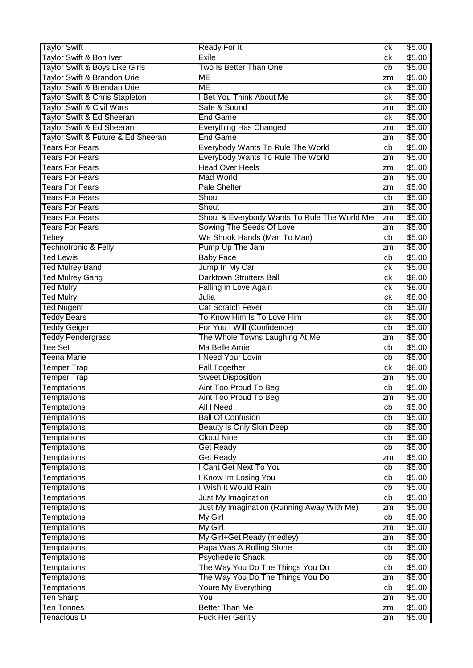| <b>Taylor Swift</b>                     | <b>Ready For It</b>                             | сk       | \$5.00           |
|-----------------------------------------|-------------------------------------------------|----------|------------------|
| Taylor Swift & Bon Iver                 | Exile                                           | сk       | \$5.00           |
| Taylor Swift & Boys Like Girls          | Two Is Better Than One                          | cb       | \$5.00           |
| Taylor Swift & Brandon Urie             | ME                                              | zm       | \$5.00           |
| Taylor Swift & Brendan Urie             | <b>ME</b>                                       | сk       | \$5.00           |
| Taylor Swift & Chris Stapleton          | I Bet You Think About Me                        | сk       | \$5.00           |
| <b>Taylor Swift &amp; Civil Wars</b>    | Safe & Sound                                    | zm       | \$5.00           |
| Taylor Swift & Ed Sheeran               | <b>End Game</b>                                 | ck       | \$5.00           |
| Taylor Swift & Ed Sheeran               | <b>Everything Has Changed</b>                   | zm       | \$5.00           |
| Taylor Swift & Future & Ed Sheeran      | <b>End Game</b>                                 | zm       | \$5.00           |
| <b>Tears For Fears</b>                  | Everybody Wants To Rule The World               | cb       | \$5.00           |
| <b>Tears For Fears</b>                  | <b>Everybody Wants To Rule The World</b>        | zm       | \$5.00           |
| <b>Tears For Fears</b>                  | <b>Head Over Heels</b>                          | zm       | \$5.00           |
| <b>Tears For Fears</b>                  | <b>Mad World</b>                                | zm       | \$5.00           |
| <b>Tears For Fears</b>                  | <b>Pale Shelter</b>                             | zm       | \$5.00           |
| <b>Tears For Fears</b>                  | Shout                                           | cb       | \$5.00           |
| <b>Tears For Fears</b>                  | Shout                                           |          | \$5.00           |
| <b>Tears For Fears</b>                  | Shout & Everybody Wants To Rule The World Me    | zm<br>zm | \$5.00           |
| <b>Tears For Fears</b>                  | Sowing The Seeds Of Love                        |          | \$5.00           |
|                                         | We Shook Hands (Man To Man)                     | zm       |                  |
| Tebey                                   |                                                 | cb       | \$5.00           |
| <b>Technotronic &amp; Felly</b>         | Pump Up The Jam                                 | zm       | \$5.00           |
| <b>Ted Lewis</b>                        | <b>Baby Face</b>                                | cb       | \$5.00           |
| <b>Ted Mulrey Band</b>                  | Jump In My Car                                  | сk       | \$5.00           |
| <b>Ted Mulrey Gang</b>                  | <b>Darktown Strutters Ball</b>                  | сk       | \$8.00           |
| <b>Ted Mulry</b>                        | Falling In Love Again                           | ck       | \$8.00           |
| <b>Ted Mulry</b>                        | Julia                                           | сk       | \$8.00           |
| <b>Ted Nugent</b>                       | <b>Cat Scratch Fever</b>                        | cb       | \$5.00           |
| <b>Teddy Bears</b>                      | To Know Him Is To Love Him                      | ck       | \$5.00           |
| <b>Teddy Geiger</b>                     | For You I Will (Confidence)                     | cb       | \$5.00           |
|                                         |                                                 |          |                  |
| <b>Teddy Pendergrass</b>                | The Whole Towns Laughing At Me                  | zm       | \$5.00           |
| Tee Set                                 | Ma Belle Amie                                   | cb       | \$5.00           |
| Teena Marie                             | I Need Your Lovin                               | cb       | \$5.00           |
| <b>Temper Trap</b>                      | <b>Fall Together</b>                            | сk       | \$8.00           |
| <b>Temper Trap</b>                      | <b>Sweet Disposition</b>                        | zm       | \$5.00           |
| <b>Temptations</b>                      | <b>Aint Too Proud To Beg</b>                    | cb       | \$5.00           |
| Temptations                             | Aint Too Proud To Beg                           | zm       | \$5.00           |
| Temptations                             | All I Need                                      | cb       | \$5.00           |
| <b>Temptations</b>                      | <b>Ball Of Confusion</b>                        | cb       | \$5.00           |
| <b>Temptations</b>                      | <b>Beauty Is Only Skin Deep</b>                 | cb       | \$5.00           |
| <b>Temptations</b>                      | <b>Cloud Nine</b>                               | cb       | \$5.00           |
| <b>Temptations</b>                      | <b>Get Ready</b>                                | cb       | \$5.00           |
| Temptations                             | <b>Get Ready</b>                                | zm       | \$5.00           |
| Temptations                             | I Cant Get Next To You                          | cb       | \$5.00           |
|                                         |                                                 | cb       | \$5.00           |
| Temptations                             | I Know Im Losing You<br>I Wish It Would Rain    | cb       |                  |
| Temptations                             |                                                 |          | \$5.00           |
| <b>Temptations</b>                      | <b>Just My Imagination</b>                      | cb<br>zm | \$5.00           |
| Temptations                             | Just My Imagination (Running Away With Me)      |          | \$5.00           |
| <b>Temptations</b>                      | <b>My Girl</b>                                  | cb       | \$5.00           |
| <b>Temptations</b>                      | My Girl                                         | zm       | \$5.00           |
| <b>Temptations</b>                      | My Girl+Get Ready (medley)                      | zm       | \$5.00           |
| <b>Temptations</b>                      | Papa Was A Rolling Stone                        | cb       | \$5.00           |
| <b>Temptations</b>                      | <b>Psychedelic Shack</b>                        | cb       | \$5.00           |
| <b>Temptations</b>                      | The Way You Do The Things You Do                | cb       | \$5.00           |
| <b>Temptations</b>                      | The Way You Do The Things You Do                | zm       | \$5.00           |
| <b>Temptations</b>                      | Youre My Everything                             | cb       | \$5.00           |
| <b>Ten Sharp</b>                        | You                                             | zm       | \$5.00           |
| <b>Ten Tonnes</b><br><b>Tenacious D</b> | <b>Better Than Me</b><br><b>Fuck Her Gently</b> | zm<br>zm | \$5.00<br>\$5.00 |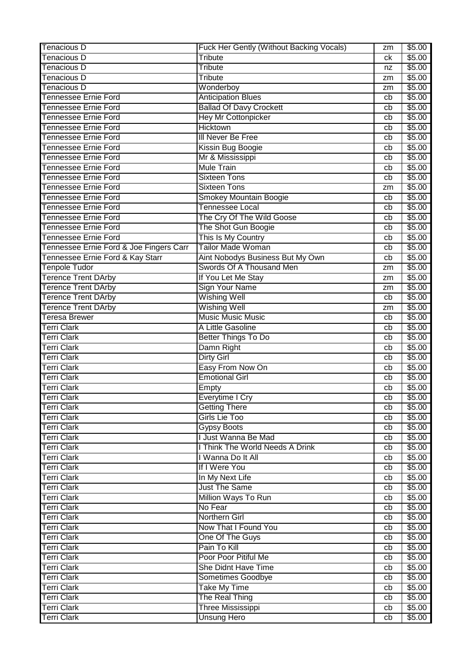| Tenacious D                             | Fuck Her Gently (Without Backing Vocals) | zm | \$5.00 |
|-----------------------------------------|------------------------------------------|----|--------|
| Tenacious D                             | Tribute                                  | сk | \$5.00 |
| Tenacious D                             | Tribute                                  | nz | \$5.00 |
| <b>Tenacious D</b>                      | Tribute                                  | zm | \$5.00 |
| <b>Tenacious D</b>                      | Wonderboy                                | zm | \$5.00 |
| Tennessee Ernie Ford                    | <b>Anticipation Blues</b>                | cb | \$5.00 |
| Tennessee Ernie Ford                    | <b>Ballad Of Davy Crockett</b>           | cb | \$5.00 |
| <b>Tennessee Ernie Ford</b>             | <b>Hey Mr Cottonpicker</b>               | cb | \$5.00 |
| <b>Tennessee Ernie Ford</b>             | <b>Hicktown</b>                          | cb | \$5.00 |
| <b>Tennessee Ernie Ford</b>             | III Never Be Free                        | cb | \$5.00 |
| Tennessee Ernie Ford                    | Kissin Bug Boogie                        | cb | \$5.00 |
| Tennessee Ernie Ford                    | Mr & Mississippi                         | cb | \$5.00 |
| Tennessee Ernie Ford                    | <b>Mule Train</b>                        | cb | \$5.00 |
| Tennessee Ernie Ford                    | <b>Sixteen Tons</b>                      | cb | \$5.00 |
| Tennessee Ernie Ford                    | <b>Sixteen Tons</b>                      | zm | \$5.00 |
| <b>Tennessee Ernie Ford</b>             | Smokey Mountain Boogie                   | cb | \$5.00 |
| <b>Tennessee Ernie Ford</b>             | <b>Tennessee Local</b>                   | cb | \$5.00 |
| <b>Tennessee Ernie Ford</b>             | The Cry Of The Wild Goose                | cb | \$5.00 |
| <b>Tennessee Ernie Ford</b>             | The Shot Gun Boogie                      | cb | \$5.00 |
| Tennessee Ernie Ford                    | This Is My Country                       | cb | \$5.00 |
| Tennessee Ernie Ford & Joe Fingers Carr | <b>Tailor Made Woman</b>                 | cb | \$5.00 |
| Tennessee Ernie Ford & Kay Starr        | Aint Nobodys Business But My Own         | cb | \$5.00 |
| <b>Tenpole Tudor</b>                    | Swords Of A Thousand Men                 | zm | \$5.00 |
| <b>Terence Trent DArby</b>              | If You Let Me Stay                       | zm | \$5.00 |
| <b>Terence Trent DArby</b>              | <b>Sign Your Name</b>                    | zm | \$5.00 |
| <b>Terence Trent DArby</b>              | <b>Wishing Well</b>                      | cb | \$5.00 |
| <b>Terence Trent DArby</b>              | <b>Wishing Well</b>                      | zm | \$5.00 |
| <b>Teresa Brewer</b>                    | <b>Music Music Music</b>                 | cb | \$5.00 |
| <b>Terri Clark</b>                      | A Little Gasoline                        | cb | \$5.00 |
| <b>Terri Clark</b>                      | <b>Better Things To Do</b>               | cb | \$5.00 |
| <b>Terri Clark</b>                      | Damn Right                               | cb | \$5.00 |
| <b>Terri Clark</b>                      | <b>Dirty Girl</b>                        | cb | \$5.00 |
| <b>Terri Clark</b>                      | Easy From Now On                         | cb | \$5.00 |
| <b>Terri Clark</b>                      | <b>Emotional Girl</b>                    | cb | \$5.00 |
| <b>Terri Clark</b>                      | Empty                                    | cb | \$5.00 |
| <b>Terri Clark</b>                      | Everytime I Cry                          | cb | \$5.00 |
| <b>Terri Clark</b>                      | <b>Getting There</b>                     | cb | \$5.00 |
| <b>Terri Clark</b>                      | Girls Lie Too                            | cb | \$5.00 |
| <b>Terri Clark</b>                      | <b>Gypsy Boots</b>                       | cb | \$5.00 |
| <b>Terri Clark</b>                      | I Just Wanna Be Mad                      | cb | \$5.00 |
| <b>Terri Clark</b>                      | I Think The World Needs A Drink          | cb | \$5.00 |
| <b>Terri Clark</b>                      | I Wanna Do It All                        | cb | \$5.00 |
| <b>Terri Clark</b>                      | If I Were You                            | cb | \$5.00 |
| <b>Terri Clark</b>                      | In My Next Life                          | cb | \$5.00 |
| <b>Terri Clark</b>                      | <b>Just The Same</b>                     | cb | \$5.00 |
| <b>Terri Clark</b>                      | Million Ways To Run                      | cb | \$5.00 |
| <b>Terri Clark</b>                      | No Fear                                  | cb | \$5.00 |
| <b>Terri Clark</b>                      | Northern Girl                            | cb | \$5.00 |
| <b>Terri Clark</b>                      | Now That I Found You                     | cb | \$5.00 |
| <b>Terri Clark</b>                      | One Of The Guys                          | cb | \$5.00 |
| <b>Terri Clark</b>                      | Pain To Kill                             | cb | \$5.00 |
| <b>Terri Clark</b>                      | Poor Poor Pitiful Me                     | cb | \$5.00 |
| <b>Terri Clark</b>                      | She Didnt Have Time                      | cb | \$5.00 |
| <b>Terri Clark</b>                      | Sometimes Goodbye                        | cb | \$5.00 |
| <b>Terri Clark</b>                      | <b>Take My Time</b>                      | cb | \$5.00 |
| <b>Terri Clark</b>                      | The Real Thing                           | cb | \$5.00 |
| <b>Terri Clark</b>                      | <b>Three Mississippi</b>                 | cb | \$5.00 |
| <b>Terri Clark</b>                      | <b>Unsung Hero</b>                       | cb | \$5.00 |
|                                         |                                          |    |        |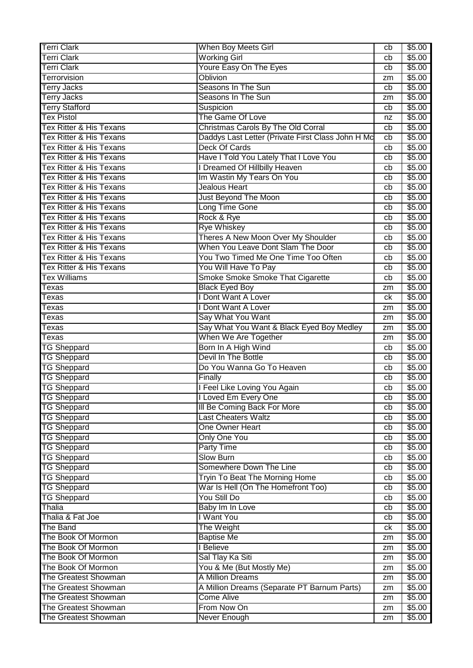| <b>Terri Clark</b>                           | When Boy Meets Girl                                | cb       | \$5.00           |
|----------------------------------------------|----------------------------------------------------|----------|------------------|
| <b>Terri Clark</b>                           | <b>Working Girl</b>                                | cb       | \$5.00           |
| <b>Terri Clark</b>                           | Youre Easy On The Eyes                             | cb       | \$5.00           |
| <b>Terrorvision</b>                          | <b>Oblivion</b>                                    | zm       | \$5.00           |
| <b>Terry Jacks</b>                           | Seasons In The Sun                                 | cb       | \$5.00           |
| <b>Terry Jacks</b>                           | Seasons In The Sun                                 | zm       | \$5.00           |
| <b>Terry Stafford</b>                        | Suspicion                                          | cb       | \$5.00           |
| <b>Tex Pistol</b>                            | The Game Of Love                                   | nz       | \$5.00           |
| <b>Tex Ritter &amp; His Texans</b>           | Christmas Carols By The Old Corral                 | cb       | \$5.00           |
| <b>Tex Ritter &amp; His Texans</b>           | Daddys Last Letter (Private First Class John H Mc  | cb       | \$5.00           |
| <b>Tex Ritter &amp; His Texans</b>           | Deck Of Cards                                      | cb       | \$5.00           |
| <b>Tex Ritter &amp; His Texans</b>           | Have I Told You Lately That I Love You             | cb       | \$5.00           |
| <b>Tex Ritter &amp; His Texans</b>           | I Dreamed Of Hillbilly Heaven                      | cb       | \$5.00           |
| <b>Tex Ritter &amp; His Texans</b>           | Im Wastin My Tears On You                          | cb       | \$5.00           |
| <b>Tex Ritter &amp; His Texans</b>           | <b>Jealous Heart</b>                               | cb       | \$5.00           |
| <b>Tex Ritter &amp; His Texans</b>           | Just Beyond The Moon                               | cb       | \$5.00           |
| Tex Ritter & His Texans                      | Long Time Gone                                     | cb       | \$5.00           |
| Tex Ritter & His Texans                      | Rock & Rye                                         | cb       | \$5.00           |
| <b>Tex Ritter &amp; His Texans</b>           | <b>Rye Whiskey</b>                                 | cb       | \$5.00           |
| Tex Ritter & His Texans                      | Theres A New Moon Over My Shoulder                 | cb       | \$5.00           |
| <b>Tex Ritter &amp; His Texans</b>           | When You Leave Dont Slam The Door                  | cb       | \$5.00           |
| <b>Tex Ritter &amp; His Texans</b>           | You Two Timed Me One Time Too Often                | cb       | \$5.00           |
| <b>Tex Ritter &amp; His Texans</b>           | You Will Have To Pay                               | cb       | \$5.00           |
| <b>Tex Williams</b>                          | Smoke Smoke Smoke That Cigarette                   | cb       | \$5.00           |
| Texas                                        | <b>Black Eyed Boy</b>                              | zm       | \$5.00           |
| Texas                                        | I Dont Want A Lover                                | ck       | \$5.00           |
| Texas                                        | I Dont Want A Lover                                | zm       | \$5.00           |
| Texas                                        | Say What You Want                                  | zm       | \$5.00           |
| Texas                                        | Say What You Want & Black Eyed Boy Medley          | zm       | \$5.00           |
| Texas                                        | When We Are Together                               | zm       | \$5.00           |
| <b>TG Sheppard</b>                           | Born In A High Wind                                | cb       | \$5.00           |
| <b>TG Sheppard</b>                           | Devil In The Bottle                                | cb       | \$5.00           |
| <b>TG Sheppard</b>                           | Do You Wanna Go To Heaven                          | cb       | \$5.00           |
| <b>TG Sheppard</b>                           | Finally                                            | cb       | \$5.00           |
| <b>TG Sheppard</b>                           | I Feel Like Loving You Again                       | cb       | \$5.00           |
| <b>TG Sheppard</b>                           | I Loved Em Every One                               | cb       | \$5.00           |
| <b>TG Sheppard</b>                           | III Be Coming Back For More                        | cb       | \$5.00           |
| <b>TG Sheppard</b>                           | <b>Last Cheaters Waltz</b>                         | cb       | \$5.00           |
| <b>TG Sheppard</b>                           | One Owner Heart                                    | cb       | \$5.00           |
| <b>TG Sheppard</b>                           | <b>Only One You</b>                                | cb       | \$5.00           |
| <b>TG Sheppard</b>                           | <b>Party Time</b>                                  | cb       | \$5.00           |
| <b>TG Sheppard</b>                           | <b>Slow Burn</b>                                   | cb       | \$5.00           |
| <b>TG Sheppard</b>                           | Somewhere Down The Line                            | cb       | \$5.00           |
| <b>TG Sheppard</b>                           | Tryin To Beat The Morning Home                     | cb       | \$5.00           |
| <b>TG Sheppard</b>                           | War Is Hell (On The Homefront Too)<br>You Still Do | cb       | \$5.00           |
| <b>TG Sheppard</b>                           |                                                    | cb       | \$5.00           |
| Thalia                                       | Baby Im In Love                                    | cb       | \$5.00           |
| Thalia & Fat Joe<br>The Band                 | I Want You<br>The Weight                           | cb       | \$5.00           |
| The Book Of Mormon                           | <b>Baptise Me</b>                                  | ck       | \$5.00           |
| The Book Of Mormon                           | I Believe                                          | zm       | \$5.00<br>\$5.00 |
| The Book Of Mormon                           | Sal Tlay Ka Siti                                   | zm       | \$5.00           |
| The Book Of Mormon                           | You & Me (But Mostly Me)                           | zm       | \$5.00           |
| <b>The Greatest Showman</b>                  | A Million Dreams                                   | zm<br>zm | \$5.00           |
| The Greatest Showman                         | A Million Dreams (Separate PT Barnum Parts)        | zm       | \$5.00           |
| The Greatest Showman                         | <b>Come Alive</b>                                  | zm       | \$5.00           |
|                                              |                                                    |          |                  |
|                                              |                                                    |          |                  |
| The Greatest Showman<br>The Greatest Showman | From Now On<br>Never Enough                        | zm<br>zm | \$5.00<br>\$5.00 |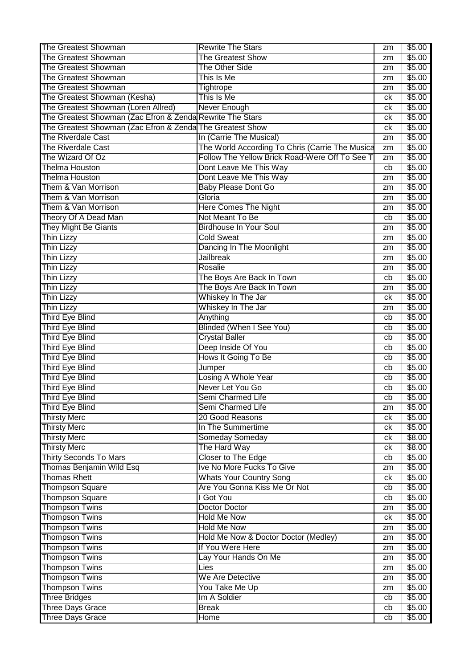| The Greatest Showman                                      | <b>Rewrite The Stars</b>                        | zm | \$5.00 |
|-----------------------------------------------------------|-------------------------------------------------|----|--------|
| <b>The Greatest Showman</b>                               | <b>The Greatest Show</b>                        | zm | \$5.00 |
| <b>The Greatest Showman</b>                               | <b>The Other Side</b>                           | zm | \$5.00 |
| <b>The Greatest Showman</b>                               | This Is Me                                      | zm | \$5.00 |
| <b>The Greatest Showman</b>                               | Tightrope                                       | zm | \$5.00 |
| The Greatest Showman (Kesha)                              | This Is Me                                      | ck | \$5.00 |
| The Greatest Showman (Loren Allred)                       | Never Enough                                    | ck | \$5.00 |
| The Greatest Showman (Zac Efron & Zenda Rewrite The Stars |                                                 | сk | \$5.00 |
| The Greatest Showman (Zac Efron & Zenda The Greatest Show |                                                 | ck | \$5.00 |
| <b>The Riverdale Cast</b>                                 | In (Carrie The Musical)                         | zm | \$5.00 |
| <b>The Riverdale Cast</b>                                 | The World According To Chris (Carrie The Musica | zm | \$5.00 |
| The Wizard Of Oz                                          | Follow The Yellow Brick Road-Were Off To See T  | zm | \$5.00 |
| <b>Thelma Houston</b>                                     | Dont Leave Me This Way                          | cb | \$5.00 |
| <b>Thelma Houston</b>                                     | Dont Leave Me This Way                          |    | \$5.00 |
| Them & Van Morrison                                       |                                                 | zm |        |
|                                                           | <b>Baby Please Dont Go</b>                      | zm | \$5.00 |
| Them & Van Morrison                                       | Gloria                                          | zm | \$5.00 |
| Them & Van Morrison                                       | <b>Here Comes The Night</b>                     | zm | \$5.00 |
| Theory Of A Dead Man                                      | Not Meant To Be                                 | cb | \$5.00 |
| <b>They Might Be Giants</b>                               | <b>Birdhouse In Your Soul</b>                   | zm | \$5.00 |
| <b>Thin Lizzy</b>                                         | <b>Cold Sweat</b>                               | zm | \$5.00 |
| Thin Lizzy                                                | Dancing In The Moonlight                        | zm | \$5.00 |
| Thin Lizzy                                                | <b>Jailbreak</b>                                | zm | \$5.00 |
| Thin Lizzy                                                | Rosalie                                         | zm | \$5.00 |
| Thin Lizzy                                                | The Boys Are Back In Town                       | cb | \$5.00 |
| <b>Thin Lizzy</b>                                         | The Boys Are Back In Town                       | zm | \$5.00 |
| Thin Lizzy                                                | Whiskey In The Jar                              | ck | \$5.00 |
| <b>Thin Lizzy</b>                                         | Whiskey In The Jar                              | zm | \$5.00 |
| <b>Third Eye Blind</b>                                    | Anything                                        | cb | \$5.00 |
| <b>Third Eye Blind</b>                                    | <b>Blinded (When I See You)</b>                 | cb | \$5.00 |
| <b>Third Eye Blind</b>                                    | <b>Crystal Baller</b>                           | cb | \$5.00 |
| <b>Third Eye Blind</b>                                    | Deep Inside Of You                              | cb | \$5.00 |
| <b>Third Eye Blind</b>                                    | Hows It Going To Be                             | cb | \$5.00 |
| <b>Third Eye Blind</b>                                    | Jumper                                          | cb | \$5.00 |
| <b>Third Eye Blind</b>                                    | Losing A Whole Year                             | cb | \$5.00 |
| <b>Third Eye Blind</b>                                    | Never Let You Go                                | cb | \$5.00 |
| Third Eye Blind                                           | Semi Charmed Life                               | cb | \$5.00 |
| Third Eye Blind                                           | Semi Charmed Life                               | zm | \$5.00 |
| <b>Thirsty Merc</b>                                       | 20 Good Reasons                                 | ck | \$5.00 |
| <b>Thirsty Merc</b>                                       | In The Summertime                               | ck | \$5.00 |
| <b>Thirsty Merc</b>                                       | Someday Someday                                 | ck | \$8.00 |
| <b>Thirsty Merc</b>                                       | The Hard Way                                    | ck | \$8.00 |
| <b>Thirty Seconds To Mars</b>                             | Closer to The Edge                              | cb | \$5.00 |
| Thomas Benjamin Wild Esq                                  | Ive No More Fucks To Give                       | zm | \$5.00 |
| <b>Thomas Rhett</b>                                       | <b>Whats Your Country Song</b>                  | ck | \$5.00 |
| <b>Thompson Square</b>                                    | Are You Gonna Kiss Me Or Not                    | cb | \$5.00 |
| <b>Thompson Square</b>                                    | I Got You                                       | cb | \$5.00 |
| <b>Thompson Twins</b>                                     | Doctor Doctor                                   | zm | \$5.00 |
| <b>Thompson Twins</b>                                     | <b>Hold Me Now</b>                              | ck | \$5.00 |
| <b>Thompson Twins</b>                                     | <b>Hold Me Now</b>                              | zm | \$5.00 |
| <b>Thompson Twins</b>                                     | Hold Me Now & Doctor Doctor (Medley)            | zm | \$5.00 |
| <b>Thompson Twins</b>                                     | If You Were Here                                | zm | \$5.00 |
| <b>Thompson Twins</b>                                     | Lay Your Hands On Me                            | zm | \$5.00 |
| <b>Thompson Twins</b>                                     | Lies                                            | zm | \$5.00 |
| <b>Thompson Twins</b>                                     | We Are Detective                                | zm | \$5.00 |
| <b>Thompson Twins</b>                                     | You Take Me Up                                  | zm | \$5.00 |
| <b>Three Bridges</b>                                      | Im A Soldier                                    | cb | \$5.00 |
| <b>Three Days Grace</b>                                   | <b>Break</b>                                    | cb | \$5.00 |
| Three Days Grace                                          | Home                                            | cb | \$5.00 |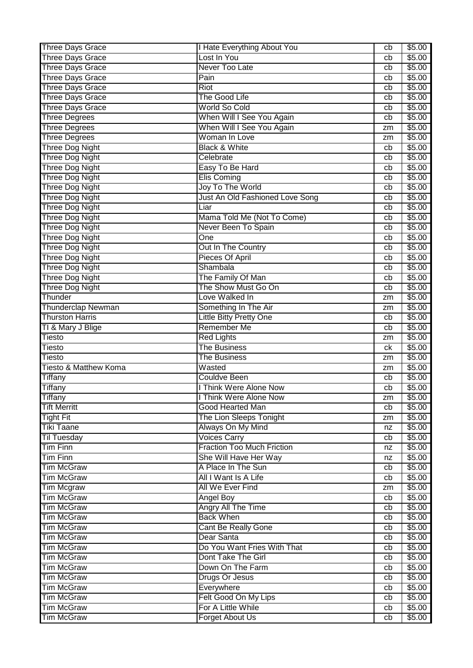| <b>Three Days Grace</b>   | I Hate Everything About You       | cb | \$5.00 |
|---------------------------|-----------------------------------|----|--------|
| <b>Three Days Grace</b>   | Lost In You                       | cb | \$5.00 |
| <b>Three Days Grace</b>   | Never Too Late                    | cb | \$5.00 |
| <b>Three Days Grace</b>   | Pain                              | cb | \$5.00 |
| Three Days Grace          | <b>Riot</b>                       | cb | \$5.00 |
| <b>Three Days Grace</b>   | The Good Life                     | cb | \$5.00 |
| <b>Three Days Grace</b>   | World So Cold                     | cb | \$5.00 |
| <b>Three Degrees</b>      | When Will I See You Again         | cb | \$5.00 |
| <b>Three Degrees</b>      | When Will I See You Again         | zm | \$5.00 |
| <b>Three Degrees</b>      | Woman In Love                     | zm | \$5.00 |
| <b>Three Dog Night</b>    | <b>Black &amp; White</b>          | cb | \$5.00 |
| <b>Three Dog Night</b>    | Celebrate                         | cb | \$5.00 |
| <b>Three Dog Night</b>    | Easy To Be Hard                   | cb | \$5.00 |
| <b>Three Dog Night</b>    | <b>Elis Coming</b>                | cb | \$5.00 |
| Three Dog Night           | Joy To The World                  | cb | \$5.00 |
| <b>Three Dog Night</b>    | Just An Old Fashioned Love Song   | cb | \$5.00 |
| <b>Three Dog Night</b>    | Liar                              | cb | \$5.00 |
| <b>Three Dog Night</b>    | Mama Told Me (Not To Come)        | cb | \$5.00 |
| <b>Three Dog Night</b>    | Never Been To Spain               | cb | \$5.00 |
| <b>Three Dog Night</b>    | One                               | cb | \$5.00 |
| <b>Three Dog Night</b>    | Out In The Country                | cb | \$5.00 |
| <b>Three Dog Night</b>    | Pieces Of April                   | cb | \$5.00 |
| <b>Three Dog Night</b>    | Shambala                          | cb | \$5.00 |
| Three Dog Night           | The Family Of Man                 | cb | \$5.00 |
| <b>Three Dog Night</b>    | The Show Must Go On               | cb | \$5.00 |
| Thunder                   | Love Walked In                    | zm | \$5.00 |
| <b>Thunderclap Newman</b> | Something In The Air              | zm | \$5.00 |
| <b>Thurston Harris</b>    | <b>Little Bitty Pretty One</b>    | cb | \$5.00 |
| TI & Mary J Blige         | <b>Remember Me</b>                | cb | \$5.00 |
| <b>Tiesto</b>             | <b>Red Lights</b>                 | zm | \$5.00 |
| Tiesto                    | <b>The Business</b>               | ck | \$5.00 |
| Tiesto                    | The Business                      | zm | \$5.00 |
| Tiesto & Matthew Koma     | Wasted                            | zm | \$5.00 |
| <b>Tiffany</b>            | <b>Couldve Been</b>               | cb | \$5.00 |
| <b>Tiffany</b>            | I Think Were Alone Now            | cb | \$5.00 |
| <b>Tiffany</b>            | I Think Were Alone Now            | zm | \$5.00 |
| <b>Tift Merritt</b>       | Good Hearted Man                  | cb | \$5.00 |
| <b>Tight Fit</b>          | The Lion Sleeps Tonight           | zm | \$5.00 |
| <b>Tiki Taane</b>         | Always On My Mind                 | nz | \$5.00 |
| <b>Til Tuesday</b>        | <b>Voices Carry</b>               | cb | \$5.00 |
| <b>Tim Finn</b>           | <b>Fraction Too Much Friction</b> | nz | \$5.00 |
| <b>Tim Finn</b>           | She Will Have Her Way             | nz | \$5.00 |
| <b>Tim McGraw</b>         | A Place In The Sun                | cb | \$5.00 |
| <b>Tim McGraw</b>         | All I Want Is A Life              | cb | \$5.00 |
| <b>Tim Mcgraw</b>         | All We Ever Find                  | zm | \$5.00 |
| <b>Tim McGraw</b>         | <b>Angel Boy</b>                  | cb | \$5.00 |
| <b>Tim McGraw</b>         | Angry All The Time                | cb | \$5.00 |
| <b>Tim McGraw</b>         | <b>Back When</b>                  | cb | \$5.00 |
| <b>Tim McGraw</b>         | Cant Be Really Gone               | cb | \$5.00 |
| <b>Tim McGraw</b>         | Dear Santa                        | cb | \$5.00 |
| <b>Tim McGraw</b>         | Do You Want Fries With That       | cb | \$5.00 |
| <b>Tim McGraw</b>         | Dont Take The Girl                | cb | \$5.00 |
| <b>Tim McGraw</b>         | Down On The Farm                  | cb | \$5.00 |
| <b>Tim McGraw</b>         | Drugs Or Jesus                    | cb | \$5.00 |
| <b>Tim McGraw</b>         | Everywhere                        | cb | \$5.00 |
| <b>Tim McGraw</b>         | Felt Good On My Lips              | cb | \$5.00 |
| <b>Tim McGraw</b>         | For A Little While                | cb | \$5.00 |
| <b>Tim McGraw</b>         | Forget About Us                   | cb | \$5.00 |
|                           |                                   |    |        |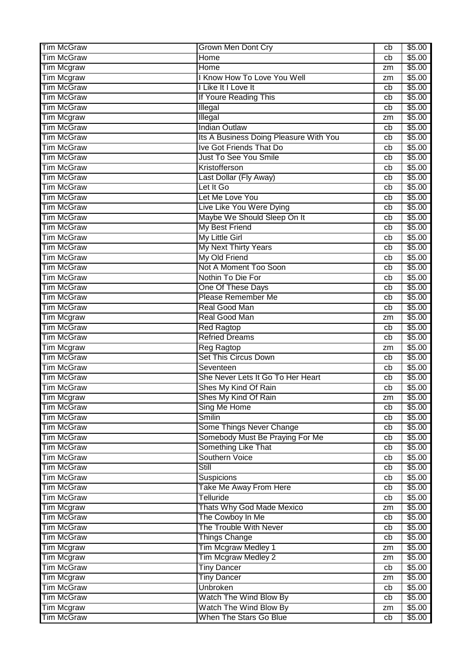| <b>Tim McGraw</b> | <b>Grown Men Dont Cry</b>              | cb | \$5.00 |
|-------------------|----------------------------------------|----|--------|
| <b>Tim McGraw</b> | Home                                   | cb | \$5.00 |
| <b>Tim Mcgraw</b> | Home                                   | zm | \$5.00 |
| <b>Tim Mcgraw</b> | <b>I Know How To Love You Well</b>     | zm | \$5.00 |
| <b>Tim McGraw</b> | I Like It I Love It                    | cb | \$5.00 |
| <b>Tim McGraw</b> | If Youre Reading This                  | cb | \$5.00 |
| <b>Tim McGraw</b> | Illegal                                | cb | \$5.00 |
| <b>Tim Mcgraw</b> | Illegal                                | zm | \$5.00 |
| <b>Tim McGraw</b> | <b>Indian Outlaw</b>                   | cb | \$5.00 |
| <b>Tim McGraw</b> | Its A Business Doing Pleasure With You | cb | \$5.00 |
| <b>Tim McGraw</b> | <b>Ive Got Friends That Do</b>         | cb | \$5.00 |
| <b>Tim McGraw</b> | <b>Just To See You Smile</b>           | cb | \$5.00 |
| <b>Tim McGraw</b> | Kristofferson                          | cb | \$5.00 |
| <b>Tim McGraw</b> | Last Dollar (Fly Away)                 | cb | \$5.00 |
| <b>Tim McGraw</b> | Let It Go                              | cb | \$5.00 |
| <b>Tim McGraw</b> | Let Me Love You                        |    | \$5.00 |
|                   |                                        | cb |        |
| <b>Tim McGraw</b> | Live Like You Were Dying               | cb | \$5.00 |
| <b>Tim McGraw</b> | Maybe We Should Sleep On It            | cb | \$5.00 |
| <b>Tim McGraw</b> | <b>My Best Friend</b>                  | cb | \$5.00 |
| <b>Tim McGraw</b> | My Little Girl                         | cb | \$5.00 |
| <b>Tim McGraw</b> | My Next Thirty Years                   | cb | \$5.00 |
| <b>Tim McGraw</b> | My Old Friend                          | cb | \$5.00 |
| <b>Tim McGraw</b> | Not A Moment Too Soon                  | cb | \$5.00 |
| <b>Tim McGraw</b> | Nothin To Die For                      | cb | \$5.00 |
| <b>Tim McGraw</b> | One Of These Days                      | cb | \$5.00 |
| <b>Tim McGraw</b> | <b>Please Remember Me</b>              | cb | \$5.00 |
| <b>Tim McGraw</b> | Real Good Man                          | cb | \$5.00 |
| <b>Tim Mcgraw</b> | Real Good Man                          | zm | \$5.00 |
| <b>Tim McGraw</b> | <b>Red Ragtop</b>                      | cb | \$5.00 |
| <b>Tim McGraw</b> | <b>Refried Dreams</b>                  | cb | \$5.00 |
| <b>Tim Mcgraw</b> | <b>Reg Ragtop</b>                      | zm | \$5.00 |
| <b>Tim McGraw</b> | <b>Set This Circus Down</b>            | cb | \$5.00 |
| <b>Tim McGraw</b> | Seventeen                              | cb | \$5.00 |
| <b>Tim McGraw</b> | She Never Lets It Go To Her Heart      | cb | \$5.00 |
| <b>Tim McGraw</b> | Shes My Kind Of Rain                   | cb | \$5.00 |
| Tim Mcgraw        | Shes My Kind Of Rain                   | zm | \$5.00 |
| <b>Tim McGraw</b> | Sing Me Home                           | cb | \$5.00 |
| <b>Tim McGraw</b> | <b>Smilin</b>                          | cb | \$5.00 |
| <b>Tim McGraw</b> | Some Things Never Change               | cb | \$5.00 |
| <b>Tim McGraw</b> | Somebody Must Be Praying For Me        | cb | \$5.00 |
| <b>Tim McGraw</b> | Something Like That                    | cb | \$5.00 |
| <b>Tim McGraw</b> | Southern Voice                         | cb | \$5.00 |
| <b>Tim McGraw</b> | <b>Still</b>                           | cb | \$5.00 |
| <b>Tim McGraw</b> | Suspicions                             | cb | \$5.00 |
| <b>Tim McGraw</b> | Take Me Away From Here                 | cb | \$5.00 |
| <b>Tim McGraw</b> | Telluride                              | cb | \$5.00 |
| <b>Tim Mcgraw</b> | Thats Why God Made Mexico              | zm | \$5.00 |
| <b>Tim McGraw</b> | The Cowboy In Me                       | cb | \$5.00 |
| <b>Tim McGraw</b> | The Trouble With Never                 | cb | \$5.00 |
| <b>Tim McGraw</b> | <b>Things Change</b>                   | cb | \$5.00 |
| <b>Tim Mcgraw</b> | <b>Tim Mcgraw Medley 1</b>             | zm | \$5.00 |
| <b>Tim Mcgraw</b> | Tim Mcgraw Medley 2                    | zm | \$5.00 |
| <b>Tim McGraw</b> | <b>Tiny Dancer</b>                     | cb | \$5.00 |
| <b>Tim Mcgraw</b> | <b>Tiny Dancer</b>                     | zm | \$5.00 |
| <b>Tim McGraw</b> | <b>Unbroken</b>                        | cb | \$5.00 |
| <b>Tim McGraw</b> | Watch The Wind Blow By                 | cb | \$5.00 |
| <b>Tim Mcgraw</b> | Watch The Wind Blow By                 | zm | \$5.00 |
| <b>Tim McGraw</b> | When The Stars Go Blue                 |    | \$5.00 |
|                   |                                        | cb |        |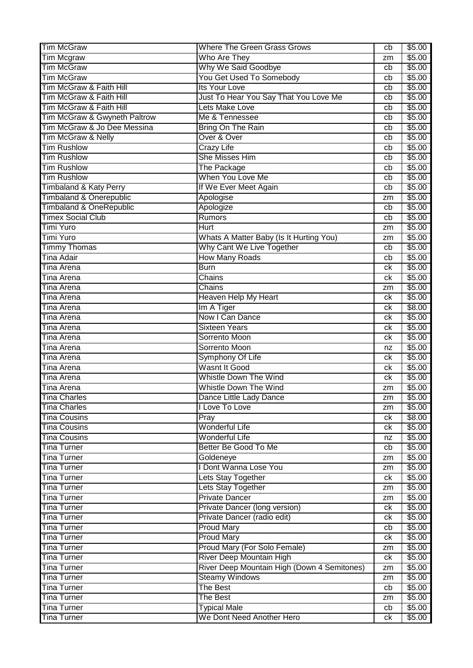| <b>Tim McGraw</b>                  | <b>Where The Green Grass Grows</b>          | cb | \$5.00 |
|------------------------------------|---------------------------------------------|----|--------|
| <b>Tim Mcgraw</b>                  | Who Are They                                | zm | \$5.00 |
| <b>Tim McGraw</b>                  | Why We Said Goodbye                         | cb | \$5.00 |
| <b>Tim McGraw</b>                  | You Get Used To Somebody                    | cb | \$5.00 |
| Tim McGraw & Faith Hill            | Its Your Love                               | cb | \$5.00 |
| Tim McGraw & Faith Hill            | Just To Hear You Say That You Love Me       | cb | \$5.00 |
| Tim McGraw & Faith Hill            | Lets Make Love                              | cb | \$5.00 |
| Tim McGraw & Gwyneth Paltrow       | Me & Tennessee                              | cb | \$5.00 |
| Tim McGraw & Jo Dee Messina        | Bring On The Rain                           | cb | \$5.00 |
| Tim McGraw & Nelly                 | Over & Over                                 | cb | \$5.00 |
| <b>Tim Rushlow</b>                 | <b>Crazy Life</b>                           | cb | \$5.00 |
| <b>Tim Rushlow</b>                 | <b>She Misses Him</b>                       | cb | \$5.00 |
| <b>Tim Rushlow</b>                 | The Package                                 | cb | \$5.00 |
| <b>Tim Rushlow</b>                 | When You Love Me                            | cb | \$5.00 |
| <b>Timbaland &amp; Katy Perry</b>  | If We Ever Meet Again                       | cb | \$5.00 |
| <b>Timbaland &amp; Onerepublic</b> | Apologise                                   | zm | \$5.00 |
| <b>Timbaland &amp; OneRepublic</b> | Apologize                                   | cb | \$5.00 |
| <b>Timex Social Club</b>           | Rumors                                      | cb | \$5.00 |
| Timi Yuro                          | <b>Hurt</b>                                 | zm | \$5.00 |
| Timi Yuro                          | Whats A Matter Baby (Is It Hurting You)     | zm | \$5.00 |
| <b>Timmy Thomas</b>                | Why Cant We Live Together                   | cb | \$5.00 |
| <b>Tina Adair</b>                  | <b>How Many Roads</b>                       | cb | \$5.00 |
| Tina Arena                         | <b>Burn</b>                                 | сk | \$5.00 |
| <b>Tina Arena</b>                  | Chains                                      | сk | \$5.00 |
| Tina Arena                         | Chains                                      | zm | \$5.00 |
| <b>Tina Arena</b>                  | Heaven Help My Heart                        | сk | \$5.00 |
| Tina Arena                         | Im A Tiger                                  | сk | \$8.00 |
| Tina Arena                         | Now I Can Dance                             | сk | \$5.00 |
| Tina Arena                         | <b>Sixteen Years</b>                        | сk | \$5.00 |
| Tina Arena                         | Sorrento Moon                               | сk | \$5.00 |
| Tina Arena                         | Sorrento Moon                               | nz | \$5.00 |
| Tina Arena                         | Symphony Of Life                            | сk | \$5.00 |
| <b>Tina Arena</b>                  | <b>Wasnt It Good</b>                        | сk | \$5.00 |
| Tina Arena                         | Whistle Down The Wind                       | сk | \$5.00 |
| <b>Tina Arena</b>                  | <b>Whistle Down The Wind</b>                | zm | \$5.00 |
| <b>Tina Charles</b>                | Dance Little Lady Dance                     | zm | \$5.00 |
| <b>Tina Charles</b>                | I Love To Love                              | zm | \$5.00 |
| <b>Tina Cousins</b>                | Pray                                        | ck | \$8.00 |
| <b>Tina Cousins</b>                | <b>Wonderful Life</b>                       | ck | \$5.00 |
| <b>Tina Cousins</b>                | <b>Wonderful Life</b>                       | nz | \$5.00 |
| <b>Tina Turner</b>                 | Better Be Good To Me                        | cb | \$5.00 |
| <b>Tina Turner</b>                 | Goldeneye                                   | zm | \$5.00 |
| <b>Tina Turner</b>                 | I Dont Wanna Lose You                       | zm | \$5.00 |
| <b>Tina Turner</b>                 | Lets Stay Together                          | ck | \$5.00 |
| <b>Tina Turner</b>                 | Lets Stay Together                          | zm | \$5.00 |
| <b>Tina Turner</b>                 | <b>Private Dancer</b>                       | zm | \$5.00 |
| <b>Tina Turner</b>                 | Private Dancer (long version)               | ck | \$5.00 |
| <b>Tina Turner</b>                 | Private Dancer (radio edit)                 | ck | \$5.00 |
| <b>Tina Turner</b>                 | <b>Proud Mary</b>                           | cb | \$5.00 |
| <b>Tina Turner</b>                 | <b>Proud Mary</b>                           | ck | \$5.00 |
| <b>Tina Turner</b>                 | Proud Mary (For Solo Female)                | zm | \$5.00 |
| <b>Tina Turner</b>                 | River Deep Mountain High                    | сk | \$5.00 |
| <b>Tina Turner</b>                 | River Deep Mountain High (Down 4 Semitones) | zm | \$5.00 |
| <b>Tina Turner</b>                 | <b>Steamy Windows</b>                       | zm | \$5.00 |
| <b>Tina Turner</b>                 | The Best                                    | cb | \$5.00 |
| <b>Tina Turner</b>                 | The Best                                    | zm | \$5.00 |
| <b>Tina Turner</b>                 | <b>Typical Male</b>                         | cb | \$5.00 |
| <b>Tina Turner</b>                 | We Dont Need Another Hero                   | ck | \$5.00 |
|                                    |                                             |    |        |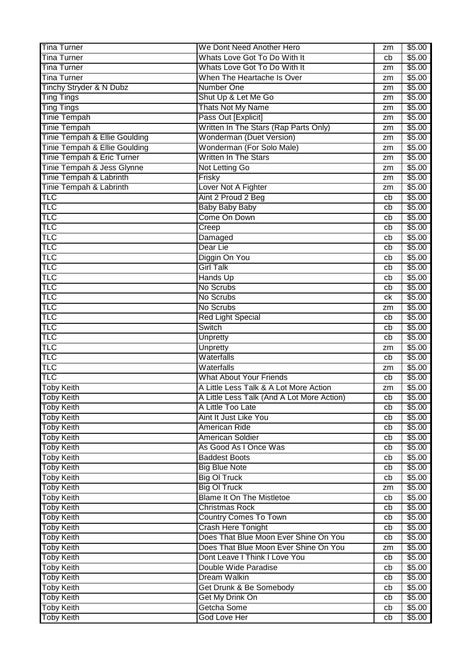| <b>Tina Turner</b>            | We Dont Need Another Hero                  | zm | \$5.00 |
|-------------------------------|--------------------------------------------|----|--------|
| <b>Tina Turner</b>            | Whats Love Got To Do With It               | cb | \$5.00 |
| <b>Tina Turner</b>            | Whats Love Got To Do With It               | zm | \$5.00 |
| <b>Tina Turner</b>            | When The Heartache Is Over                 | zm | \$5.00 |
| Tinchy Stryder & N Dubz       | <b>Number One</b>                          | zm | \$5.00 |
| <b>Ting Tings</b>             | Shut Up & Let Me Go                        | zm | \$5.00 |
| <b>Ting Tings</b>             | Thats Not My Name                          | zm | \$5.00 |
| <b>Tinie Tempah</b>           | Pass Out [Explicit]                        | zm | \$5.00 |
| Tinie Tempah                  | Written In The Stars (Rap Parts Only)      | zm | \$5.00 |
| Tinie Tempah & Ellie Goulding | <b>Wonderman (Duet Version)</b>            | zm | \$5.00 |
| Tinie Tempah & Ellie Goulding | Wonderman (For Solo Male)                  | zm | \$5.00 |
| Tinie Tempah & Eric Turner    | <b>Written In The Stars</b>                | zm | \$5.00 |
| Tinie Tempah & Jess Glynne    | Not Letting Go                             | zm | \$5.00 |
| Tinie Tempah & Labrinth       | Frisky                                     | zm | \$5.00 |
| Tinie Tempah & Labrinth       | Lover Not A Fighter                        | zm | \$5.00 |
| <b>TLC</b>                    | Aint 2 Proud 2 Beg                         | cb | \$5.00 |
| <b>TLC</b>                    | <b>Baby Baby Baby</b>                      | cb | \$5.00 |
| <b>TLC</b>                    | Come On Down                               | cb | \$5.00 |
| TLC                           | Creep                                      | cb | \$5.00 |
| TLC                           | Damaged                                    | cb | \$5.00 |
| <b>TLC</b>                    | Dear Lie                                   | cb | \$5.00 |
| <b>TLC</b>                    | Diggin On You                              | cb | \$5.00 |
| TLC                           | <b>Girl Talk</b>                           | cb | \$5.00 |
| TLC                           | Hands Up                                   | cb | \$5.00 |
| TLC                           | No Scrubs                                  | cb | \$5.00 |
| <b>TLC</b>                    | No Scrubs                                  | ck | \$5.00 |
| TLC                           | No Scrubs                                  | zm | \$5.00 |
| TLC                           | <b>Red Light Special</b>                   | cb | \$5.00 |
| TLC                           | Switch                                     | cb | \$5.00 |
| TLC                           | Unpretty                                   | cb | \$5.00 |
| TLC                           | Unpretty                                   | zm | \$5.00 |
| TLC                           | Waterfalls                                 | cb | \$5.00 |
| TLC                           | Waterfalls                                 | zm | \$5.00 |
| TLC                           | <b>What About Your Friends</b>             | cb | \$5.00 |
| <b>Toby Keith</b>             | A Little Less Talk & A Lot More Action     | zm | \$5.00 |
| <b>Toby Keith</b>             | A Little Less Talk (And A Lot More Action) | cb | \$5.00 |
| <b>Toby Keith</b>             | A Little Too Late                          | cb | \$5.00 |
| <b>Toby Keith</b>             | Aint It Just Like You                      | cb | \$5.00 |
| <b>Toby Keith</b>             | <b>American Ride</b>                       | cb | \$5.00 |
| <b>Toby Keith</b>             | <b>American Soldier</b>                    | cb | \$5.00 |
| <b>Toby Keith</b>             | As Good As I Once Was                      | cb | \$5.00 |
| <b>Toby Keith</b>             | <b>Baddest Boots</b>                       | cb | \$5.00 |
| <b>Toby Keith</b>             | <b>Big Blue Note</b>                       | cb | \$5.00 |
| <b>Toby Keith</b>             | <b>Big OI Truck</b>                        | cb | \$5.00 |
| <b>Toby Keith</b>             | <b>Big OI Truck</b>                        | zm | \$5.00 |
| <b>Toby Keith</b>             | <b>Blame It On The Mistletoe</b>           | cb | \$5.00 |
| <b>Toby Keith</b>             | <b>Christmas Rock</b>                      | cb | \$5.00 |
| <b>Toby Keith</b>             | <b>Country Comes To Town</b>               | cb | \$5.00 |
| <b>Toby Keith</b>             | Crash Here Tonight                         | cb | \$5.00 |
| <b>Toby Keith</b>             | Does That Blue Moon Ever Shine On You      | cb | \$5.00 |
| <b>Toby Keith</b>             | Does That Blue Moon Ever Shine On You      | zm | \$5.00 |
| <b>Toby Keith</b>             | Dont Leave I Think I Love You              | cb | \$5.00 |
| <b>Toby Keith</b>             | Double Wide Paradise                       | cb | \$5.00 |
| <b>Toby Keith</b>             | <b>Dream Walkin</b>                        | cb | \$5.00 |
| <b>Toby Keith</b>             | Get Drunk & Be Somebody                    | cb | \$5.00 |
| <b>Toby Keith</b>             | Get My Drink On                            | cb | \$5.00 |
| <b>Toby Keith</b>             | Getcha Some                                | cb | \$5.00 |
| <b>Toby Keith</b>             | <b>God Love Her</b>                        | cb | \$5.00 |
|                               |                                            |    |        |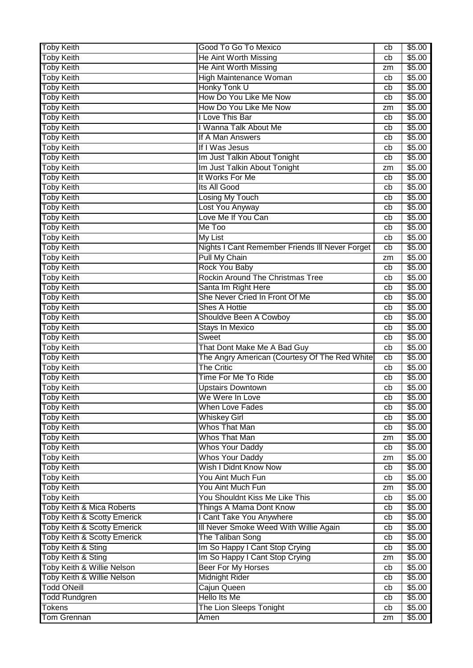| <b>Toby Keith</b>                                                                | Good To Go To Mexico                                       | cb       | \$5.00           |
|----------------------------------------------------------------------------------|------------------------------------------------------------|----------|------------------|
| <b>Toby Keith</b>                                                                | He Aint Worth Missing                                      | cb       | \$5.00           |
| <b>Toby Keith</b>                                                                | He Aint Worth Missing                                      | zm       | \$5.00           |
| <b>Toby Keith</b>                                                                | High Maintenance Woman                                     | cb       | \$5.00           |
| <b>Toby Keith</b>                                                                | Honky Tonk U                                               | cb       | \$5.00           |
| <b>Toby Keith</b>                                                                | How Do You Like Me Now                                     | cb       | \$5.00           |
| <b>Toby Keith</b>                                                                | How Do You Like Me Now                                     | zm       | \$5.00           |
| <b>Toby Keith</b>                                                                | I Love This Bar                                            | cb       | \$5.00           |
| <b>Toby Keith</b>                                                                | I Wanna Talk About Me                                      | cb       | \$5.00           |
| <b>Toby Keith</b>                                                                | If A Man Answers                                           | cb       | \$5.00           |
| <b>Toby Keith</b>                                                                | If I Was Jesus                                             | cb       | \$5.00           |
| <b>Toby Keith</b>                                                                | Im Just Talkin About Tonight                               | cb       | \$5.00           |
| Toby Keith                                                                       | Im Just Talkin About Tonight                               | zm       | \$5.00           |
| <b>Toby Keith</b>                                                                | It Works For Me                                            | cb       | \$5.00           |
| <b>Toby Keith</b>                                                                | <b>Its All Good</b>                                        | cb       | \$5.00           |
| <b>Toby Keith</b>                                                                | <b>Losing My Touch</b>                                     | cb       | \$5.00           |
| <b>Toby Keith</b>                                                                | Lost You Anyway                                            | cb       | \$5.00           |
| <b>Toby Keith</b>                                                                | Love Me If You Can                                         | cb       | \$5.00           |
| <b>Toby Keith</b>                                                                | Me Too                                                     | cb       | \$5.00           |
| <b>Toby Keith</b>                                                                | <b>My List</b>                                             | cb       | \$5.00           |
| <b>Toby Keith</b>                                                                | Nights I Cant Remember Friends III Never Forget            | cb       | \$5.00           |
| <b>Toby Keith</b>                                                                | <b>Pull My Chain</b>                                       | zm       | \$5.00           |
| <b>Toby Keith</b>                                                                | Rock You Baby                                              | cb       | \$5.00           |
| <b>Toby Keith</b>                                                                | Rockin Around The Christmas Tree                           | cb       | \$5.00           |
| <b>Toby Keith</b>                                                                | Santa Im Right Here                                        | cb       | \$5.00           |
| <b>Toby Keith</b>                                                                | She Never Cried In Front Of Me                             | cb       | \$5.00           |
| <b>Toby Keith</b>                                                                | <b>Shes A Hottie</b>                                       | cb       | \$5.00           |
| <b>Toby Keith</b>                                                                | Shouldve Been A Cowboy                                     | cb       | \$5.00           |
| <b>Toby Keith</b>                                                                | <b>Stays In Mexico</b>                                     | cb       | \$5.00           |
|                                                                                  |                                                            |          |                  |
|                                                                                  |                                                            |          |                  |
| <b>Toby Keith</b>                                                                | Sweet                                                      | cb       | \$5.00           |
| <b>Toby Keith</b>                                                                | That Dont Make Me A Bad Guy                                | cb<br>cb | \$5.00           |
| <b>Toby Keith</b>                                                                | The Angry American (Courtesy Of The Red White              |          | \$5.00           |
| <b>Toby Keith</b>                                                                | <b>The Critic</b>                                          | cb       | \$5.00           |
| <b>Toby Keith</b>                                                                | <b>Time For Me To Ride</b>                                 | cb       | \$5.00           |
| <b>Toby Keith</b>                                                                | <b>Upstairs Downtown</b>                                   | cb       | \$5.00           |
|                                                                                  | We Were In Love                                            | cb<br>cb | \$5.00           |
| <b>Toby Keith</b><br><b>Toby Keith</b>                                           | <b>When Love Fades</b>                                     | cb       | \$5.00           |
| <b>Toby Keith</b>                                                                | <b>Whiskey Girl</b><br>Whos That Man                       | cb       | \$5.00           |
| <b>Toby Keith</b>                                                                |                                                            | zm       | \$5.00           |
| <b>Toby Keith</b><br><b>Toby Keith</b>                                           | Whos That Man<br><b>Whos Your Daddy</b>                    | cb       | \$5.00           |
|                                                                                  |                                                            | zm       | \$5.00           |
| <b>Toby Keith</b><br><b>Toby Keith</b>                                           | <b>Whos Your Daddy</b><br>Wish I Didnt Know Now            | cb       | \$5.00<br>\$5.00 |
|                                                                                  | You Aint Much Fun                                          | cb       | \$5.00           |
| Toby Keith                                                                       | You Aint Much Fun                                          | zm       |                  |
| <b>Toby Keith</b>                                                                | You Shouldnt Kiss Me Like This                             | cb       | \$5.00           |
| <b>Toby Keith</b>                                                                |                                                            | cb       | \$5.00           |
| <b>Toby Keith &amp; Mica Roberts</b>                                             | Things A Mama Dont Know                                    | cb       | \$5.00           |
| <b>Toby Keith &amp; Scotty Emerick</b>                                           | I Cant Take You Anywhere                                   | cb       | \$5.00<br>\$5.00 |
| <b>Toby Keith &amp; Scotty Emerick</b><br><b>Toby Keith &amp; Scotty Emerick</b> | Ill Never Smoke Weed With Willie Again<br>The Taliban Song | cb       | \$5.00           |
| Toby Keith & Sting                                                               | Im So Happy I Cant Stop Crying                             | cb       | \$5.00           |
| Toby Keith & Sting                                                               | Im So Happy I Cant Stop Crying                             | zm       | \$5.00           |
| Toby Keith & Willie Nelson                                                       | <b>Beer For My Horses</b>                                  | cb       | \$5.00           |
| Toby Keith & Willie Nelson                                                       | <b>Midnight Rider</b>                                      | cb       | \$5.00           |
| <b>Todd ONeill</b>                                                               | Cajun Queen                                                | cb       | \$5.00           |
| <b>Todd Rundgren</b>                                                             | <b>Hello Its Me</b>                                        | cb       | \$5.00           |
| Tokens                                                                           | The Lion Sleeps Tonight                                    | cb       | \$5.00           |
| <b>Tom Grennan</b>                                                               | Amen                                                       | zm       | \$5.00           |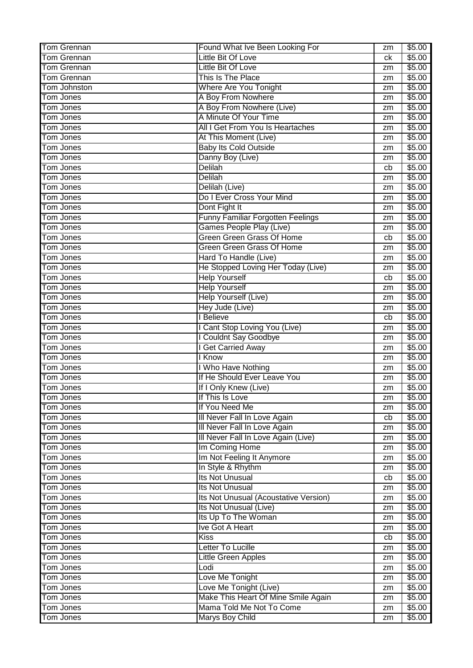| <b>Tom Grennan</b>            | Found What Ive Been Looking For             | zm       | \$5.00           |
|-------------------------------|---------------------------------------------|----------|------------------|
| <b>Tom Grennan</b>            | <b>Little Bit Of Love</b>                   | сk       | \$5.00           |
| <b>Tom Grennan</b>            | <b>Little Bit Of Love</b>                   | zm       | \$5.00           |
| <b>Tom Grennan</b>            | This Is The Place                           | zm       | \$5.00           |
| Tom Johnston                  | <b>Where Are You Tonight</b>                | zm       | \$5.00           |
| Tom Jones                     | A Boy From Nowhere                          | zm       | \$5.00           |
| Tom Jones                     | A Boy From Nowhere (Live)                   | zm       | \$5.00           |
| <b>Tom Jones</b>              | A Minute Of Your Time                       | zm       | \$5.00           |
| Tom Jones                     | All I Get From You Is Heartaches            | zm       | \$5.00           |
| <b>Tom Jones</b>              | At This Moment (Live)                       | zm       | \$5.00           |
| <b>Tom Jones</b>              | <b>Baby Its Cold Outside</b>                | zm       | \$5.00           |
| <b>Tom Jones</b>              | Danny Boy (Live)                            | zm       | \$5.00           |
| <b>Tom Jones</b>              | <b>Delilah</b>                              | cb       | \$5.00           |
| Tom Jones                     | <b>Delilah</b>                              | zm       | \$5.00           |
| <b>Tom Jones</b>              | Delilah (Live)                              | zm       | \$5.00           |
| Tom Jones                     | Do I Ever Cross Your Mind                   | zm       | \$5.00           |
| Tom Jones                     | Dont Fight It                               | zm       | \$5.00           |
| Tom Jones                     | Funny Familiar Forgotten Feelings           | zm       | \$5.00           |
| Tom Jones                     | Games People Play (Live)                    | zm       | \$5.00           |
| Tom Jones                     | Green Green Grass Of Home                   | cb       | \$5.00           |
| Tom Jones                     | Green Green Grass Of Home                   | zm       | \$5.00           |
| <b>Tom Jones</b>              | Hard To Handle (Live)                       | zm       | \$5.00           |
| <b>Tom Jones</b>              | He Stopped Loving Her Today (Live)          |          | \$5.00           |
| Tom Jones                     | <b>Help Yourself</b>                        | zm       | \$5.00           |
|                               |                                             | cb       |                  |
| Tom Jones                     | <b>Help Yourself</b>                        | zm       | \$5.00           |
| Tom Jones                     | Help Yourself (Live)                        | zm       | \$5.00           |
| <b>Tom Jones</b>              | Hey Jude (Live)                             | zm       | \$5.00           |
| <b>Tom Jones</b>              | I Believe                                   | cb       | \$5.00           |
| Tom Jones                     | I Cant Stop Loving You (Live)               | zm       | \$5.00           |
| <b>Tom Jones</b>              | I Couldnt Say Goodbye                       | zm       | \$5.00           |
| <b>Tom Jones</b>              | I Get Carried Away                          | zm       | \$5.00           |
| Tom Jones                     | I Know                                      | zm       | \$5.00           |
|                               |                                             |          |                  |
| <b>Tom Jones</b>              | I Who Have Nothing                          | zm       | \$5.00           |
| Tom Jones                     | If He Should Ever Leave You                 | zm       | \$5.00           |
| Tom Jones                     | If I Only Knew (Live)                       | zm       | \$5.00           |
| Tom Jones                     | If This Is Love                             | zm       | \$5.00           |
| Tom Jones                     | If You Need Me                              | zm       | \$5.00           |
| <b>Tom Jones</b>              | Ill Never Fall In Love Again                | cb       | \$5.00           |
| <b>Tom Jones</b>              | III Never Fall In Love Again                | zm       | \$5.00           |
| Tom Jones                     | Ill Never Fall In Love Again (Live)         | zm       | \$5.00           |
| <b>Tom Jones</b>              | Im Coming Home                              | zm       | \$5.00           |
| <b>Tom Jones</b>              | Im Not Feeling It Anymore                   | zm       | \$5.00           |
| <b>Tom Jones</b>              | In Style & Rhythm                           | zm       | \$5.00           |
| Tom Jones                     | Its Not Unusual                             | cb       | \$5.00           |
| <b>Tom Jones</b>              | Its Not Unusual                             | zm       | \$5.00           |
| Tom Jones                     | Its Not Unusual (Acoustative Version)       | zm       | \$5.00           |
| <b>Tom Jones</b>              | Its Not Unusual (Live)                      | zm       | \$5.00           |
| <b>Tom Jones</b>              | Its Up To The Woman                         | zm       | \$5.00           |
| Tom Jones                     | Ive Got A Heart                             | zm       | \$5.00           |
| Tom Jones                     | <b>Kiss</b>                                 | cb       | \$5.00           |
| Tom Jones                     | Letter To Lucille                           | zm       | \$5.00           |
| <b>Tom Jones</b>              |                                             | zm       | \$5.00           |
| Tom Jones                     | <b>Little Green Apples</b><br>Lodi          | zm       | \$5.00           |
|                               |                                             | zm       |                  |
| Tom Jones                     | Love Me Tonight                             | zm       | \$5.00           |
| <b>Tom Jones</b>              | Love Me Tonight (Live)                      |          | \$5.00           |
| <b>Tom Jones</b>              | Make This Heart Of Mine Smile Again         | zm       | \$5.00           |
| <b>Tom Jones</b><br>Tom Jones | Mama Told Me Not To Come<br>Marys Boy Child | zm<br>zm | \$5.00<br>\$5.00 |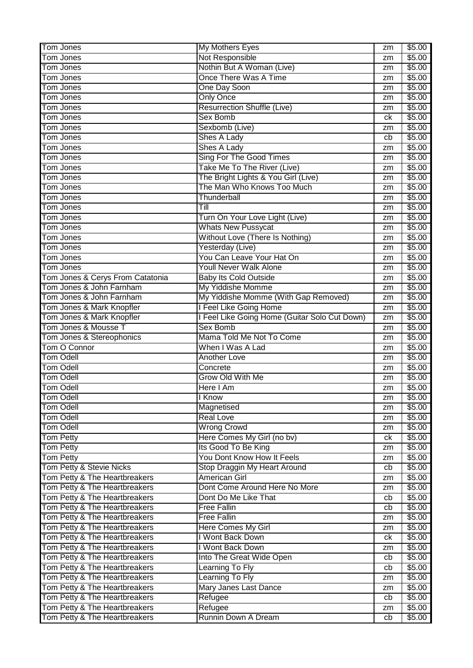| Tom Jones                                                      | <b>My Mothers Eyes</b>                        | zm | \$5.00           |
|----------------------------------------------------------------|-----------------------------------------------|----|------------------|
| Tom Jones                                                      | Not Responsible                               | zm | \$5.00           |
| Tom Jones                                                      | Nothin But A Woman (Live)                     | zm | \$5.00           |
| <b>Tom Jones</b>                                               | Once There Was A Time                         | zm | \$5.00           |
| <b>Tom Jones</b>                                               | One Day Soon                                  | zm | \$5.00           |
| <b>Tom Jones</b>                                               | <b>Only Once</b>                              | zm | \$5.00           |
| <b>Tom Jones</b>                                               | <b>Resurrection Shuffle (Live)</b>            | zm | \$5.00           |
| Tom Jones                                                      | Sex Bomb                                      | ck | \$5.00           |
| Tom Jones                                                      | Sexbomb (Live)                                | zm | \$5.00           |
| <b>Tom Jones</b>                                               | Shes A Lady                                   | cb | \$5.00           |
| <b>Tom Jones</b>                                               | Shes A Lady                                   | zm | \$5.00           |
| Tom Jones                                                      | Sing For The Good Times                       | zm | \$5.00           |
| <b>Tom Jones</b>                                               | Take Me To The River (Live)                   | zm | \$5.00           |
| <b>Tom Jones</b>                                               | The Bright Lights & You Girl (Live)           | zm | \$5.00           |
| <b>Tom Jones</b>                                               | The Man Who Knows Too Much                    | zm | \$5.00           |
| Tom Jones                                                      | Thunderball                                   | zm | \$5.00           |
| Tom Jones                                                      | Till                                          | zm | \$5.00           |
| Tom Jones                                                      | Turn On Your Love Light (Live)                | zm | \$5.00           |
| Tom Jones                                                      | <b>Whats New Pussycat</b>                     | zm | \$5.00           |
| Tom Jones                                                      | Without Love (There Is Nothing)               | zm | \$5.00           |
| Tom Jones                                                      | Yesterday (Live)                              | zm | \$5.00           |
| <b>Tom Jones</b>                                               | You Can Leave Your Hat On                     | zm | \$5.00           |
| <b>Tom Jones</b>                                               | Youll Never Walk Alone                        | zm | \$5.00           |
| Tom Jones & Cerys From Catatonia                               | <b>Baby Its Cold Outside</b>                  | zm | \$5.00           |
| Tom Jones & John Farnham                                       | My Yiddishe Momme                             | zm | \$5.00           |
| Tom Jones & John Farnham                                       | My Yiddishe Momme (With Gap Removed)          | zm | \$5.00           |
| Tom Jones & Mark Knopfler                                      | I Feel Like Going Home                        | zm | \$5.00           |
| Tom Jones & Mark Knopfler                                      | I Feel Like Going Home (Guitar Solo Cut Down) | zm | \$5.00           |
|                                                                |                                               |    |                  |
| Tom Jones & Mousse T                                           | Sex Bomb                                      | zm | \$5.00           |
|                                                                | Mama Told Me Not To Come                      | zm | \$5.00           |
| Tom Jones & Stereophonics<br>Tom O Connor                      | When I Was A Lad                              | zm | \$5.00           |
| <b>Tom Odell</b>                                               | <b>Another Love</b>                           | zm | \$5.00           |
| <b>Tom Odell</b>                                               | Concrete                                      | zm | \$5.00           |
| <b>Tom Odell</b>                                               | Grow Old With Me                              | zm | \$5.00           |
| <b>Tom Odell</b>                                               | Here I Am                                     | zm | \$5.00           |
| <b>Tom Odell</b>                                               | I Know                                        | zm |                  |
| <b>Tom Odell</b>                                               | Magnetised                                    | zm | \$5.00<br>\$5.00 |
| <b>Tom Odell</b>                                               | <b>Real Love</b>                              | zm | \$5.00           |
| Tom Odell                                                      | <b>Wrong Crowd</b>                            | zm | \$5.00           |
| <b>Tom Petty</b>                                               | Here Comes My Girl (no bv)                    | ck | \$5.00           |
| <b>Tom Petty</b>                                               | Its Good To Be King                           | zm | \$5.00           |
| <b>Tom Petty</b>                                               | You Dont Know How It Feels                    | zm | \$5.00           |
| Tom Petty & Stevie Nicks                                       | Stop Draggin My Heart Around                  | cb | \$5.00           |
| Tom Petty & The Heartbreakers                                  | <b>American Girl</b>                          | zm | \$5.00           |
| Tom Petty & The Heartbreakers                                  | Dont Come Around Here No More                 | zm | \$5.00           |
| Tom Petty & The Heartbreakers                                  | Dont Do Me Like That                          | cb | \$5.00           |
| Tom Petty & The Heartbreakers                                  | <b>Free Fallin</b>                            | cb | \$5.00           |
| Tom Petty & The Heartbreakers                                  | <b>Free Fallin</b>                            | zm | \$5.00           |
| Tom Petty & The Heartbreakers                                  | <b>Here Comes My Girl</b>                     | zm | \$5.00           |
| Tom Petty & The Heartbreakers                                  | I Wont Back Down                              | ck | \$5.00           |
| Tom Petty & The Heartbreakers                                  | I Wont Back Down                              | zm | \$5.00           |
| Tom Petty & The Heartbreakers                                  | Into The Great Wide Open                      | cb | \$5.00           |
| Tom Petty & The Heartbreakers                                  | Learning To Fly                               | cb | \$5.00           |
| Tom Petty & The Heartbreakers                                  | <b>Learning To Fly</b>                        | zm | \$5.00           |
| Tom Petty & The Heartbreakers                                  | Mary Janes Last Dance                         | zm | \$5.00           |
| Tom Petty & The Heartbreakers                                  | Refugee                                       | cb | \$5.00           |
| Tom Petty & The Heartbreakers<br>Tom Petty & The Heartbreakers | Refugee<br>Runnin Down A Dream                | zm | \$5.00           |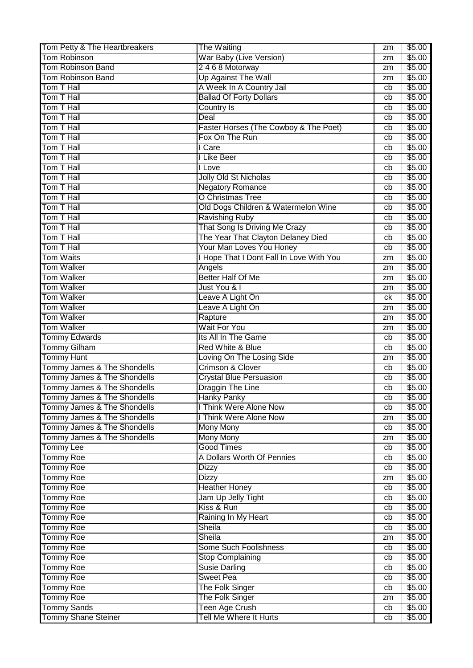| Tom Petty & The Heartbreakers          | The Waiting                               | zm | \$5.00 |
|----------------------------------------|-------------------------------------------|----|--------|
| <b>Tom Robinson</b>                    | War Baby (Live Version)                   | zm | \$5.00 |
| <b>Tom Robinson Band</b>               | 2468 Motorway                             | zm | \$5.00 |
| <b>Tom Robinson Band</b>               | Up Against The Wall                       | zm | \$5.00 |
| Tom T Hall                             | A Week In A Country Jail                  | cb | \$5.00 |
| Tom T Hall                             | <b>Ballad Of Forty Dollars</b>            | cb | \$5.00 |
| Tom T Hall                             | <b>Country Is</b>                         | cb | \$5.00 |
| Tom T Hall                             | Deal                                      | cb | \$5.00 |
| Tom T Hall                             | Faster Horses (The Cowboy & The Poet)     | cb | \$5.00 |
| Tom T Hall                             | Fox On The Run                            | cb | \$5.00 |
| Tom T Hall                             | I Care                                    | cb | \$5.00 |
| Tom T Hall                             | I Like Beer                               | cb | \$5.00 |
| Tom T Hall                             | I Love                                    | cb | \$5.00 |
| Tom T Hall                             | Jolly Old St Nicholas                     | cb | \$5.00 |
| Tom T Hall                             | <b>Negatory Romance</b>                   | cb | \$5.00 |
| Tom T Hall                             | O Christmas Tree                          |    | \$5.00 |
| Tom T Hall                             |                                           | cb |        |
|                                        | Old Dogs Children & Watermelon Wine       | cb | \$5.00 |
| Tom T Hall                             | <b>Ravishing Ruby</b>                     | cb | \$5.00 |
| Tom T Hall                             | That Song Is Driving Me Crazy             | cb | \$5.00 |
| Tom T Hall                             | The Year That Clayton Delaney Died        | cb | \$5.00 |
| Tom T Hall                             | Your Man Loves You Honey                  | cb | \$5.00 |
| <b>Tom Waits</b>                       | I Hope That I Dont Fall In Love With You  | zm | \$5.00 |
| <b>Tom Walker</b>                      | Angels                                    | zm | \$5.00 |
| <b>Tom Walker</b>                      | <b>Better Half Of Me</b>                  | zm | \$5.00 |
| <b>Tom Walker</b>                      | Just You & I                              | zm | \$5.00 |
| <b>Tom Walker</b>                      | Leave A Light On                          | ck | \$5.00 |
| <b>Tom Walker</b>                      | Leave A Light On                          | zm | \$5.00 |
| <b>Tom Walker</b>                      | Rapture                                   | zm | \$5.00 |
| <b>Tom Walker</b>                      | <b>Wait For You</b>                       | zm | \$5.00 |
| <b>Tommy Edwards</b>                   | Its All In The Game                       | cb | \$5.00 |
| Tommy Gilham                           | Red White & Blue                          | cb | \$5.00 |
| <b>Tommy Hunt</b>                      | Loving On The Losing Side                 | zm | \$5.00 |
| Tommy James & The Shondells            | <b>Crimson &amp; Clover</b>               | cb | \$5.00 |
| Tommy James & The Shondells            | <b>Crystal Blue Persuasion</b>            | cb | \$5.00 |
| <b>Tommy James &amp; The Shondells</b> | <b>Draggin The Line</b>                   | cb | \$5.00 |
| Tommy James & The Shondells            | Hanky Panky                               | cb | \$5.00 |
| Tommy James & The Shondells            | I Think Were Alone Now                    | cb | \$5.00 |
| Tommy James & The Shondells            | I Think Were Alone Now                    | zm | \$5.00 |
| Tommy James & The Shondells            | <b>Mony Mony</b>                          | cb | \$5.00 |
| Tommy James & The Shondells            | <b>Mony Mony</b>                          | zm | \$5.00 |
| <b>Tommy Lee</b>                       | <b>Good Times</b>                         | cb | \$5.00 |
| Tommy Roe                              | A Dollars Worth Of Pennies                | cb | \$5.00 |
| <b>Tommy Roe</b>                       | <b>Dizzy</b>                              | cb | \$5.00 |
| Tommy Roe                              | <b>Dizzy</b>                              | zm | \$5.00 |
| Tommy Roe                              | <b>Heather Honey</b>                      | cb | \$5.00 |
| Tommy Roe                              | Jam Up Jelly Tight                        | cb | \$5.00 |
| Tommy Roe                              | Kiss & Run                                | cb | \$5.00 |
| <b>Tommy Roe</b>                       | Raining In My Heart                       | cb | \$5.00 |
| <b>Tommy Roe</b>                       | <b>Sheila</b>                             | cb | \$5.00 |
| <b>Tommy Roe</b>                       | Sheila                                    | zm | \$5.00 |
| <b>Tommy Roe</b>                       | Some Such Foolishness                     | cb | \$5.00 |
| Tommy Roe                              | Stop Complaining                          | cb | \$5.00 |
| <b>Tommy Roe</b>                       | <b>Susie Darling</b>                      | cb | \$5.00 |
| <b>Tommy Roe</b>                       | <b>Sweet Pea</b>                          | cb | \$5.00 |
|                                        |                                           |    | \$5.00 |
| Tommy Roe                              | <b>The Folk Singer</b><br>The Folk Singer | cb |        |
| <b>Tommy Roe</b><br><b>Tommy Sands</b> | <b>Teen Age Crush</b>                     | zm | \$5.00 |
|                                        |                                           | cb | \$5.00 |
| <b>Tommy Shane Steiner</b>             | Tell Me Where It Hurts                    | cb | \$5.00 |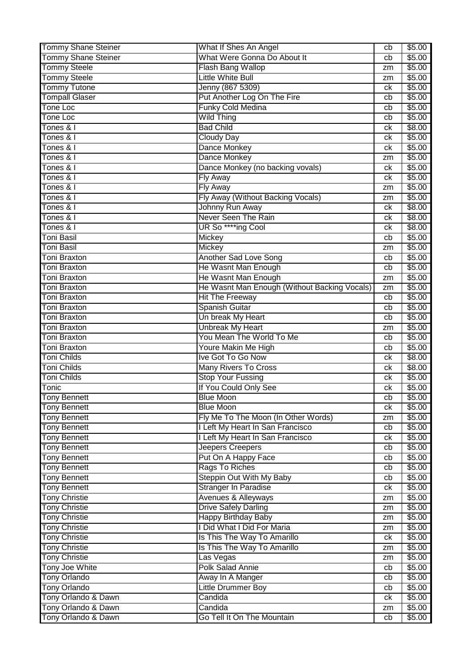| <b>Tommy Shane Steiner</b>                   | What If Shes An Angel                        | cb | \$5.00 |
|----------------------------------------------|----------------------------------------------|----|--------|
| Tommy Shane Steiner                          | What Were Gonna Do About It                  | cb | \$5.00 |
| <b>Tommy Steele</b>                          | <b>Flash Bang Wallop</b>                     | zm | \$5.00 |
| <b>Tommy Steele</b>                          | <b>Little White Bull</b>                     | zm | \$5.00 |
| <b>Tommy Tutone</b>                          | Jenny (867 5309)                             | сk | \$5.00 |
| <b>Tompall Glaser</b>                        | Put Another Log On The Fire                  | cb | \$5.00 |
| <b>Tone Loc</b>                              | <b>Funky Cold Medina</b>                     | cb | \$5.00 |
| <b>Tone Loc</b>                              | <b>Wild Thing</b>                            | cb | \$5.00 |
| Tones & I                                    | <b>Bad Child</b>                             | сk | \$8.00 |
| Tones & I                                    | <b>Cloudy Day</b>                            | сk | \$5.00 |
| Tones & I                                    | Dance Monkey                                 | сk | \$5.00 |
| Tones & I                                    | Dance Monkey                                 | zm | \$5.00 |
| Tones & I                                    | Dance Monkey (no backing vovals)             | сk | \$5.00 |
| Tones & I                                    | Fly Away                                     | сk | \$5.00 |
| Tones & I                                    | Fly Away                                     | zm | \$5.00 |
| Tones & I                                    | Fly Away (Without Backing Vocals)            |    | \$5.00 |
|                                              |                                              | zm |        |
| Tones & I                                    | Johnny Run Away                              | сk | \$8.00 |
| Tones & I                                    | Never Seen The Rain                          | сk | \$8.00 |
| Tones & I                                    | UR So ****ing Cool                           | сk | \$8.00 |
| Toni Basil                                   | Mickey                                       | cb | \$5.00 |
| Toni Basil                                   | Mickey                                       | zm | \$5.00 |
| Toni Braxton                                 | Another Sad Love Song                        | cb | \$5.00 |
| <b>Toni Braxton</b>                          | He Wasnt Man Enough                          | cb | \$5.00 |
| <b>Toni Braxton</b>                          | He Wasnt Man Enough                          | zm | \$5.00 |
| <b>Toni Braxton</b>                          | He Wasnt Man Enough (Without Backing Vocals) | zm | \$5.00 |
| <b>Toni Braxton</b>                          | <b>Hit The Freeway</b>                       | cb | \$5.00 |
| <b>Toni Braxton</b>                          | Spanish Guitar                               | cb | \$5.00 |
| <b>Toni Braxton</b>                          | Un break My Heart                            | cb | \$5.00 |
| <b>Toni Braxton</b>                          | <b>Unbreak My Heart</b>                      | zm | \$5.00 |
| <b>Toni Braxton</b>                          | You Mean The World To Me                     | cb | \$5.00 |
| Toni Braxton                                 | Youre Makin Me High                          | cb | \$5.00 |
| <b>Toni Childs</b>                           | Ive Got To Go Now                            | сk | \$8.00 |
| <b>Toni Childs</b>                           | <b>Many Rivers To Cross</b>                  | сk | \$8.00 |
| <b>Toni Childs</b>                           | <b>Stop Your Fussing</b>                     | сk | \$5.00 |
| Tonic                                        | If You Could Only See                        | сk | \$5.00 |
| <b>Tony Bennett</b>                          | <b>Blue Moon</b>                             | cb | \$5.00 |
| <b>Tony Bennett</b>                          | <b>Blue Moon</b>                             | ck | \$5.00 |
| <b>Tony Bennett</b>                          | Fly Me To The Moon (In Other Words)          | zm | \$5.00 |
| <b>Tony Bennett</b>                          | I Left My Heart In San Francisco             | cb | \$5.00 |
| <b>Tony Bennett</b>                          | I Left My Heart In San Francisco             | ck | \$5.00 |
| <b>Tony Bennett</b>                          | Jeepers Creepers                             | cb | \$5.00 |
| <b>Tony Bennett</b>                          | Put On A Happy Face                          | cb | \$5.00 |
| <b>Tony Bennett</b>                          | Rags To Riches                               | cb | \$5.00 |
| <b>Tony Bennett</b>                          | Steppin Out With My Baby                     | cb | \$5.00 |
| <b>Tony Bennett</b>                          | <b>Stranger In Paradise</b>                  | ck | \$5.00 |
| <b>Tony Christie</b>                         | Avenues & Alleyways                          | zm | \$5.00 |
| <b>Tony Christie</b>                         | <b>Drive Safely Darling</b>                  | zm | \$5.00 |
| <b>Tony Christie</b>                         | <b>Happy Birthday Baby</b>                   |    | \$5.00 |
| <b>Tony Christie</b>                         | I Did What I Did For Maria                   | zm | \$5.00 |
|                                              |                                              | zm |        |
| <b>Tony Christie</b><br><b>Tony Christie</b> | Is This The Way To Amarillo                  | ck | \$5.00 |
|                                              | Is This The Way To Amarillo                  | zm | \$5.00 |
| <b>Tony Christie</b>                         | Las Vegas                                    | zm | \$5.00 |
| <b>Tony Joe White</b>                        | Polk Salad Annie                             | cb | \$5.00 |
| <b>Tony Orlando</b>                          | Away In A Manger                             | cb | \$5.00 |
| <b>Tony Orlando</b>                          | <b>Little Drummer Boy</b>                    | cb | \$5.00 |
| Tony Orlando & Dawn                          | Candida                                      | ck | \$5.00 |
| Tony Orlando & Dawn                          | Candida                                      | zm | \$5.00 |
| Tony Orlando & Dawn                          | Go Tell It On The Mountain                   | cb | \$5.00 |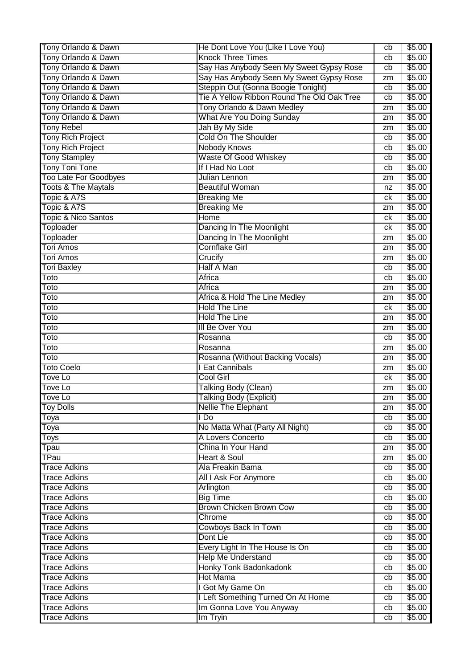| Tony Orlando & Dawn            | He Dont Love You (Like I Love You)         | cb | \$5.00 |
|--------------------------------|--------------------------------------------|----|--------|
| Tony Orlando & Dawn            | <b>Knock Three Times</b>                   | cb | \$5.00 |
| Tony Orlando & Dawn            | Say Has Anybody Seen My Sweet Gypsy Rose   | cb | \$5.00 |
| Tony Orlando & Dawn            | Say Has Anybody Seen My Sweet Gypsy Rose   | zm | \$5.00 |
| Tony Orlando & Dawn            | Steppin Out (Gonna Boogie Tonight)         | cb | \$5.00 |
| Tony Orlando & Dawn            | Tie A Yellow Ribbon Round The Old Oak Tree | cb | \$5.00 |
| Tony Orlando & Dawn            | Tony Orlando & Dawn Medley                 | zm | \$5.00 |
| Tony Orlando & Dawn            | <b>What Are You Doing Sunday</b>           | zm | \$5.00 |
| <b>Tony Rebel</b>              | Jah By My Side                             | zm | \$5.00 |
| <b>Tony Rich Project</b>       | <b>Cold On The Shoulder</b>                | cb | \$5.00 |
| <b>Tony Rich Project</b>       | Nobody Knows                               | cb | \$5.00 |
| <b>Tony Stampley</b>           | Waste Of Good Whiskey                      | cb | \$5.00 |
| Tony Toni Tone                 | If I Had No Loot                           | cb | \$5.00 |
| <b>Too Late For Goodbyes</b>   | Julian Lennon                              | zm | \$5.00 |
| <b>Toots &amp; The Maytals</b> | <b>Beautiful Woman</b>                     | nz | \$5.00 |
| Topic & A7S                    | <b>Breaking Me</b>                         | ck | \$5.00 |
| Topic & A7S                    | <b>Breaking Me</b>                         | zm | \$5.00 |
| <b>Topic &amp; Nico Santos</b> | Home                                       | ck | \$5.00 |
| Toploader                      | Dancing In The Moonlight                   | ck | \$5.00 |
| Toploader                      | Dancing In The Moonlight                   | zm | \$5.00 |
| <b>Tori Amos</b>               | <b>Cornflake Girl</b>                      | zm | \$5.00 |
| <b>Tori Amos</b>               | Crucify                                    | zm | \$5.00 |
| <b>Tori Baxley</b>             | Half A Man                                 | cb | \$5.00 |
| Toto                           | Africa                                     | cb | \$5.00 |
| Toto                           | Africa                                     | zm | \$5.00 |
| Toto                           | Africa & Hold The Line Medley              | zm | \$5.00 |
| Toto                           | <b>Hold The Line</b>                       | ck | \$5.00 |
| Toto                           | <b>Hold The Line</b>                       | zm | \$5.00 |
| Toto                           | <b>III Be Over You</b>                     | zm | \$5.00 |
| Toto                           | Rosanna                                    | cb | \$5.00 |
| Toto                           | Rosanna                                    | zm | \$5.00 |
| Toto                           | Rosanna (Without Backing Vocals)           | zm | \$5.00 |
| <b>Toto Coelo</b>              | I Eat Cannibals                            | zm | \$5.00 |
| <b>Tove Lo</b>                 | <b>Cool Girl</b>                           | ck | \$5.00 |
| <b>Tove Lo</b>                 | <b>Talking Body (Clean)</b>                | zm | \$5.00 |
| Tove Lo                        | <b>Talking Body (Explicit)</b>             | zm | \$5.00 |
| <b>Toy Dolls</b>               | <b>Nellie The Elephant</b>                 | zm | \$5.00 |
| Toya                           | l Do                                       | cb | \$5.00 |
| Toya                           | No Matta What (Party All Night)            | cb | \$5.00 |
| Toys                           | A Lovers Concerto                          | cb | \$5.00 |
| Tpau                           | China In Your Hand                         | zm | \$5.00 |
| <b>TPau</b>                    | <b>Heart &amp; Soul</b>                    | zm | \$5.00 |
| <b>Trace Adkins</b>            | Ala Freakin Bama                           | cb | \$5.00 |
| <b>Trace Adkins</b>            | All I Ask For Anymore                      | cb | \$5.00 |
| <b>Trace Adkins</b>            | Arlington                                  | cb | \$5.00 |
| <b>Trace Adkins</b>            | <b>Big Time</b>                            | cb | \$5.00 |
| <b>Trace Adkins</b>            | Brown Chicken Brown Cow                    | cb | \$5.00 |
| <b>Trace Adkins</b>            | Chrome                                     | cb | \$5.00 |
| <b>Trace Adkins</b>            | Cowboys Back In Town                       | cb | \$5.00 |
| <b>Trace Adkins</b>            | Dont Lie                                   | cb | \$5.00 |
| <b>Trace Adkins</b>            | Every Light In The House Is On             | cb | \$5.00 |
| <b>Trace Adkins</b>            | <b>Help Me Understand</b>                  | cb | \$5.00 |
| <b>Trace Adkins</b>            | Honky Tonk Badonkadonk                     | cb | \$5.00 |
| <b>Trace Adkins</b>            | <b>Hot Mama</b>                            | cb | \$5.00 |
| <b>Trace Adkins</b>            | I Got My Game On                           | cb | \$5.00 |
| <b>Trace Adkins</b>            | I Left Something Turned On At Home         | cb | \$5.00 |
| <b>Trace Adkins</b>            | Im Gonna Love You Anyway                   | cb | \$5.00 |
| <b>Trace Adkins</b>            | Im Tryin                                   | cb | \$5.00 |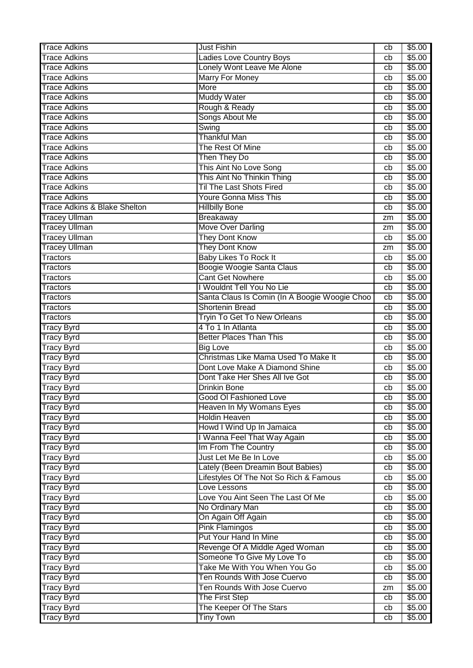| <b>Trace Adkins</b><br>\$5.00<br>Ladies Love Country Boys<br>cb<br>Lonely Wont Leave Me Alone<br><b>Trace Adkins</b><br>\$5.00<br>cb<br><b>Trace Adkins</b><br><b>Marry For Money</b><br>\$5.00<br>cb<br><b>Trace Adkins</b><br>More<br>\$5.00<br>cb<br><b>Muddy Water</b><br>\$5.00<br><b>Trace Adkins</b><br>cb<br>Rough & Ready<br>\$5.00<br><b>Trace Adkins</b><br>cb<br>Songs About Me<br><b>Trace Adkins</b><br>\$5.00<br>cb<br>Swing<br>\$5.00<br><b>Trace Adkins</b><br>cb<br><b>Trace Adkins</b><br><b>Thankful Man</b><br>\$5.00<br>cb<br><b>Trace Adkins</b><br>The Rest Of Mine<br>\$5.00<br>cb<br><b>Trace Adkins</b><br>Then They Do<br>\$5.00<br>cb<br>This Aint No Love Song<br><b>Trace Adkins</b><br>\$5.00<br>cb<br>This Aint No Thinkin Thing<br>\$5.00<br><b>Trace Adkins</b><br>cb<br><b>Til The Last Shots Fired</b><br><b>Trace Adkins</b><br>\$5.00<br>cb<br><b>Trace Adkins</b><br><b>Youre Gonna Miss This</b><br>\$5.00<br>cb<br><b>Trace Adkins &amp; Blake Shelton</b><br>\$5.00<br><b>Hillbilly Bone</b><br>cb<br>\$5.00<br><b>Tracey Ullman</b><br><b>Breakaway</b><br>zm<br>Move Over Darling<br><b>Tracey Ullman</b><br>\$5.00<br>zm<br><b>They Dont Know</b><br><b>Tracey Ullman</b><br>\$5.00<br>cb<br><b>Tracey Ullman</b><br><b>They Dont Know</b><br>\$5.00<br>zm<br>Tractors<br><b>Baby Likes To Rock It</b><br>\$5.00<br>cb<br>Boogie Woogie Santa Claus<br>Tractors<br>\$5.00<br>cb<br><b>Cant Get Nowhere</b><br>\$5.00<br>Tractors<br>cb<br>I Wouldnt Tell You No Lie<br>\$5.00<br><b>Tractors</b><br>cb<br>Santa Claus Is Comin (In A Boogie Woogie Choo<br>\$5.00<br><b>Tractors</b><br>cb<br><b>Shortenin Bread</b><br>\$5.00<br><b>Tractors</b><br>cb<br><b>Tryin To Get To New Orleans</b><br>\$5.00<br>Tractors<br>cb<br>4 To 1 In Atlanta<br>\$5.00<br><b>Tracy Byrd</b><br>cb<br><b>Better Places Than This</b><br>\$5.00<br><b>Tracy Byrd</b><br>cb<br>\$5.00<br><b>Tracy Byrd</b><br><b>Big Love</b><br>cb<br>Christmas Like Mama Used To Make It<br>\$5.00<br><b>Tracy Byrd</b><br>cb<br>Dont Love Make A Diamond Shine<br><b>Tracy Byrd</b><br>\$5.00<br>cb<br>Dont Take Her Shes All Ive Got<br><b>Tracy Byrd</b><br>\$5.00<br>cb<br><b>Drinkin Bone</b><br>\$5.00<br><b>Tracy Byrd</b><br>cb<br>\$5.00<br><b>Tracy Byrd</b><br>Good OI Fashioned Love<br>cb<br>Heaven In My Womans Eyes<br>\$5.00<br><b>Tracy Byrd</b><br>cb<br><b>Tracy Byrd</b><br>\$5.00<br>Holdin Heaven<br>cb<br>Howd I Wind Up In Jamaica<br>\$5.00<br><b>Tracy Byrd</b><br>cb<br>I Wanna Feel That Way Again<br>\$5.00<br><b>Tracy Byrd</b><br>cb<br>Im From The Country<br>\$5.00<br><b>Tracy Byrd</b><br>cb<br>Just Let Me Be In Love<br>\$5.00<br><b>Tracy Byrd</b><br>cb<br>Lately (Been Dreamin Bout Babies)<br>\$5.00<br><b>Tracy Byrd</b><br>cb<br>Lifestyles Of The Not So Rich & Famous<br>\$5.00<br><b>Tracy Byrd</b><br>cb<br>\$5.00<br><b>Tracy Byrd</b><br>Love Lessons<br>cb<br>\$5.00<br>Love You Aint Seen The Last Of Me<br><b>Tracy Byrd</b><br>cb<br>No Ordinary Man<br>\$5.00<br><b>Tracy Byrd</b><br>cb<br>On Again Off Again<br>\$5.00<br><b>Tracy Byrd</b><br>cb<br><b>Pink Flamingos</b><br>\$5.00<br><b>Tracy Byrd</b><br>cb<br>Put Your Hand In Mine<br><b>Tracy Byrd</b><br>\$5.00<br>cb<br><b>Tracy Byrd</b><br>Revenge Of A Middle Aged Woman<br>\$5.00<br>cb<br>Someone To Give My Love To<br>\$5.00<br><b>Tracy Byrd</b><br>cb<br>Take Me With You When You Go<br><b>Tracy Byrd</b><br>\$5.00<br>cb<br>Ten Rounds With Jose Cuervo<br>\$5.00<br><b>Tracy Byrd</b><br>cb<br>Ten Rounds With Jose Cuervo<br>\$5.00<br><b>Tracy Byrd</b><br>zm<br><b>Tracy Byrd</b><br>The First Step<br>\$5.00<br>cb<br>The Keeper Of The Stars<br>\$5.00<br><b>Tracy Byrd</b><br>cb<br><b>Tiny Town</b><br><b>Tracy Byrd</b><br>\$5.00<br>cb | <b>Trace Adkins</b> | <b>Just Fishin</b> | cb | \$5.00 |
|---------------------------------------------------------------------------------------------------------------------------------------------------------------------------------------------------------------------------------------------------------------------------------------------------------------------------------------------------------------------------------------------------------------------------------------------------------------------------------------------------------------------------------------------------------------------------------------------------------------------------------------------------------------------------------------------------------------------------------------------------------------------------------------------------------------------------------------------------------------------------------------------------------------------------------------------------------------------------------------------------------------------------------------------------------------------------------------------------------------------------------------------------------------------------------------------------------------------------------------------------------------------------------------------------------------------------------------------------------------------------------------------------------------------------------------------------------------------------------------------------------------------------------------------------------------------------------------------------------------------------------------------------------------------------------------------------------------------------------------------------------------------------------------------------------------------------------------------------------------------------------------------------------------------------------------------------------------------------------------------------------------------------------------------------------------------------------------------------------------------------------------------------------------------------------------------------------------------------------------------------------------------------------------------------------------------------------------------------------------------------------------------------------------------------------------------------------------------------------------------------------------------------------------------------------------------------------------------------------------------------------------------------------------------------------------------------------------------------------------------------------------------------------------------------------------------------------------------------------------------------------------------------------------------------------------------------------------------------------------------------------------------------------------------------------------------------------------------------------------------------------------------------------------------------------------------------------------------------------------------------------------------------------------------------------------------------------------------------------------------------------------------------------------------------------------------------------------------------------------------------------------------------------------------------------------------------------------------------------------------------------------------------------------------------------------------------------------------------------------------------------------------------------------------|---------------------|--------------------|----|--------|
|                                                                                                                                                                                                                                                                                                                                                                                                                                                                                                                                                                                                                                                                                                                                                                                                                                                                                                                                                                                                                                                                                                                                                                                                                                                                                                                                                                                                                                                                                                                                                                                                                                                                                                                                                                                                                                                                                                                                                                                                                                                                                                                                                                                                                                                                                                                                                                                                                                                                                                                                                                                                                                                                                                                                                                                                                                                                                                                                                                                                                                                                                                                                                                                                                                                                                                                                                                                                                                                                                                                                                                                                                                                                                                                                                                                             |                     |                    |    |        |
|                                                                                                                                                                                                                                                                                                                                                                                                                                                                                                                                                                                                                                                                                                                                                                                                                                                                                                                                                                                                                                                                                                                                                                                                                                                                                                                                                                                                                                                                                                                                                                                                                                                                                                                                                                                                                                                                                                                                                                                                                                                                                                                                                                                                                                                                                                                                                                                                                                                                                                                                                                                                                                                                                                                                                                                                                                                                                                                                                                                                                                                                                                                                                                                                                                                                                                                                                                                                                                                                                                                                                                                                                                                                                                                                                                                             |                     |                    |    |        |
|                                                                                                                                                                                                                                                                                                                                                                                                                                                                                                                                                                                                                                                                                                                                                                                                                                                                                                                                                                                                                                                                                                                                                                                                                                                                                                                                                                                                                                                                                                                                                                                                                                                                                                                                                                                                                                                                                                                                                                                                                                                                                                                                                                                                                                                                                                                                                                                                                                                                                                                                                                                                                                                                                                                                                                                                                                                                                                                                                                                                                                                                                                                                                                                                                                                                                                                                                                                                                                                                                                                                                                                                                                                                                                                                                                                             |                     |                    |    |        |
|                                                                                                                                                                                                                                                                                                                                                                                                                                                                                                                                                                                                                                                                                                                                                                                                                                                                                                                                                                                                                                                                                                                                                                                                                                                                                                                                                                                                                                                                                                                                                                                                                                                                                                                                                                                                                                                                                                                                                                                                                                                                                                                                                                                                                                                                                                                                                                                                                                                                                                                                                                                                                                                                                                                                                                                                                                                                                                                                                                                                                                                                                                                                                                                                                                                                                                                                                                                                                                                                                                                                                                                                                                                                                                                                                                                             |                     |                    |    |        |
|                                                                                                                                                                                                                                                                                                                                                                                                                                                                                                                                                                                                                                                                                                                                                                                                                                                                                                                                                                                                                                                                                                                                                                                                                                                                                                                                                                                                                                                                                                                                                                                                                                                                                                                                                                                                                                                                                                                                                                                                                                                                                                                                                                                                                                                                                                                                                                                                                                                                                                                                                                                                                                                                                                                                                                                                                                                                                                                                                                                                                                                                                                                                                                                                                                                                                                                                                                                                                                                                                                                                                                                                                                                                                                                                                                                             |                     |                    |    |        |
|                                                                                                                                                                                                                                                                                                                                                                                                                                                                                                                                                                                                                                                                                                                                                                                                                                                                                                                                                                                                                                                                                                                                                                                                                                                                                                                                                                                                                                                                                                                                                                                                                                                                                                                                                                                                                                                                                                                                                                                                                                                                                                                                                                                                                                                                                                                                                                                                                                                                                                                                                                                                                                                                                                                                                                                                                                                                                                                                                                                                                                                                                                                                                                                                                                                                                                                                                                                                                                                                                                                                                                                                                                                                                                                                                                                             |                     |                    |    |        |
|                                                                                                                                                                                                                                                                                                                                                                                                                                                                                                                                                                                                                                                                                                                                                                                                                                                                                                                                                                                                                                                                                                                                                                                                                                                                                                                                                                                                                                                                                                                                                                                                                                                                                                                                                                                                                                                                                                                                                                                                                                                                                                                                                                                                                                                                                                                                                                                                                                                                                                                                                                                                                                                                                                                                                                                                                                                                                                                                                                                                                                                                                                                                                                                                                                                                                                                                                                                                                                                                                                                                                                                                                                                                                                                                                                                             |                     |                    |    |        |
|                                                                                                                                                                                                                                                                                                                                                                                                                                                                                                                                                                                                                                                                                                                                                                                                                                                                                                                                                                                                                                                                                                                                                                                                                                                                                                                                                                                                                                                                                                                                                                                                                                                                                                                                                                                                                                                                                                                                                                                                                                                                                                                                                                                                                                                                                                                                                                                                                                                                                                                                                                                                                                                                                                                                                                                                                                                                                                                                                                                                                                                                                                                                                                                                                                                                                                                                                                                                                                                                                                                                                                                                                                                                                                                                                                                             |                     |                    |    |        |
|                                                                                                                                                                                                                                                                                                                                                                                                                                                                                                                                                                                                                                                                                                                                                                                                                                                                                                                                                                                                                                                                                                                                                                                                                                                                                                                                                                                                                                                                                                                                                                                                                                                                                                                                                                                                                                                                                                                                                                                                                                                                                                                                                                                                                                                                                                                                                                                                                                                                                                                                                                                                                                                                                                                                                                                                                                                                                                                                                                                                                                                                                                                                                                                                                                                                                                                                                                                                                                                                                                                                                                                                                                                                                                                                                                                             |                     |                    |    |        |
|                                                                                                                                                                                                                                                                                                                                                                                                                                                                                                                                                                                                                                                                                                                                                                                                                                                                                                                                                                                                                                                                                                                                                                                                                                                                                                                                                                                                                                                                                                                                                                                                                                                                                                                                                                                                                                                                                                                                                                                                                                                                                                                                                                                                                                                                                                                                                                                                                                                                                                                                                                                                                                                                                                                                                                                                                                                                                                                                                                                                                                                                                                                                                                                                                                                                                                                                                                                                                                                                                                                                                                                                                                                                                                                                                                                             |                     |                    |    |        |
|                                                                                                                                                                                                                                                                                                                                                                                                                                                                                                                                                                                                                                                                                                                                                                                                                                                                                                                                                                                                                                                                                                                                                                                                                                                                                                                                                                                                                                                                                                                                                                                                                                                                                                                                                                                                                                                                                                                                                                                                                                                                                                                                                                                                                                                                                                                                                                                                                                                                                                                                                                                                                                                                                                                                                                                                                                                                                                                                                                                                                                                                                                                                                                                                                                                                                                                                                                                                                                                                                                                                                                                                                                                                                                                                                                                             |                     |                    |    |        |
|                                                                                                                                                                                                                                                                                                                                                                                                                                                                                                                                                                                                                                                                                                                                                                                                                                                                                                                                                                                                                                                                                                                                                                                                                                                                                                                                                                                                                                                                                                                                                                                                                                                                                                                                                                                                                                                                                                                                                                                                                                                                                                                                                                                                                                                                                                                                                                                                                                                                                                                                                                                                                                                                                                                                                                                                                                                                                                                                                                                                                                                                                                                                                                                                                                                                                                                                                                                                                                                                                                                                                                                                                                                                                                                                                                                             |                     |                    |    |        |
|                                                                                                                                                                                                                                                                                                                                                                                                                                                                                                                                                                                                                                                                                                                                                                                                                                                                                                                                                                                                                                                                                                                                                                                                                                                                                                                                                                                                                                                                                                                                                                                                                                                                                                                                                                                                                                                                                                                                                                                                                                                                                                                                                                                                                                                                                                                                                                                                                                                                                                                                                                                                                                                                                                                                                                                                                                                                                                                                                                                                                                                                                                                                                                                                                                                                                                                                                                                                                                                                                                                                                                                                                                                                                                                                                                                             |                     |                    |    |        |
|                                                                                                                                                                                                                                                                                                                                                                                                                                                                                                                                                                                                                                                                                                                                                                                                                                                                                                                                                                                                                                                                                                                                                                                                                                                                                                                                                                                                                                                                                                                                                                                                                                                                                                                                                                                                                                                                                                                                                                                                                                                                                                                                                                                                                                                                                                                                                                                                                                                                                                                                                                                                                                                                                                                                                                                                                                                                                                                                                                                                                                                                                                                                                                                                                                                                                                                                                                                                                                                                                                                                                                                                                                                                                                                                                                                             |                     |                    |    |        |
|                                                                                                                                                                                                                                                                                                                                                                                                                                                                                                                                                                                                                                                                                                                                                                                                                                                                                                                                                                                                                                                                                                                                                                                                                                                                                                                                                                                                                                                                                                                                                                                                                                                                                                                                                                                                                                                                                                                                                                                                                                                                                                                                                                                                                                                                                                                                                                                                                                                                                                                                                                                                                                                                                                                                                                                                                                                                                                                                                                                                                                                                                                                                                                                                                                                                                                                                                                                                                                                                                                                                                                                                                                                                                                                                                                                             |                     |                    |    |        |
|                                                                                                                                                                                                                                                                                                                                                                                                                                                                                                                                                                                                                                                                                                                                                                                                                                                                                                                                                                                                                                                                                                                                                                                                                                                                                                                                                                                                                                                                                                                                                                                                                                                                                                                                                                                                                                                                                                                                                                                                                                                                                                                                                                                                                                                                                                                                                                                                                                                                                                                                                                                                                                                                                                                                                                                                                                                                                                                                                                                                                                                                                                                                                                                                                                                                                                                                                                                                                                                                                                                                                                                                                                                                                                                                                                                             |                     |                    |    |        |
|                                                                                                                                                                                                                                                                                                                                                                                                                                                                                                                                                                                                                                                                                                                                                                                                                                                                                                                                                                                                                                                                                                                                                                                                                                                                                                                                                                                                                                                                                                                                                                                                                                                                                                                                                                                                                                                                                                                                                                                                                                                                                                                                                                                                                                                                                                                                                                                                                                                                                                                                                                                                                                                                                                                                                                                                                                                                                                                                                                                                                                                                                                                                                                                                                                                                                                                                                                                                                                                                                                                                                                                                                                                                                                                                                                                             |                     |                    |    |        |
|                                                                                                                                                                                                                                                                                                                                                                                                                                                                                                                                                                                                                                                                                                                                                                                                                                                                                                                                                                                                                                                                                                                                                                                                                                                                                                                                                                                                                                                                                                                                                                                                                                                                                                                                                                                                                                                                                                                                                                                                                                                                                                                                                                                                                                                                                                                                                                                                                                                                                                                                                                                                                                                                                                                                                                                                                                                                                                                                                                                                                                                                                                                                                                                                                                                                                                                                                                                                                                                                                                                                                                                                                                                                                                                                                                                             |                     |                    |    |        |
|                                                                                                                                                                                                                                                                                                                                                                                                                                                                                                                                                                                                                                                                                                                                                                                                                                                                                                                                                                                                                                                                                                                                                                                                                                                                                                                                                                                                                                                                                                                                                                                                                                                                                                                                                                                                                                                                                                                                                                                                                                                                                                                                                                                                                                                                                                                                                                                                                                                                                                                                                                                                                                                                                                                                                                                                                                                                                                                                                                                                                                                                                                                                                                                                                                                                                                                                                                                                                                                                                                                                                                                                                                                                                                                                                                                             |                     |                    |    |        |
|                                                                                                                                                                                                                                                                                                                                                                                                                                                                                                                                                                                                                                                                                                                                                                                                                                                                                                                                                                                                                                                                                                                                                                                                                                                                                                                                                                                                                                                                                                                                                                                                                                                                                                                                                                                                                                                                                                                                                                                                                                                                                                                                                                                                                                                                                                                                                                                                                                                                                                                                                                                                                                                                                                                                                                                                                                                                                                                                                                                                                                                                                                                                                                                                                                                                                                                                                                                                                                                                                                                                                                                                                                                                                                                                                                                             |                     |                    |    |        |
|                                                                                                                                                                                                                                                                                                                                                                                                                                                                                                                                                                                                                                                                                                                                                                                                                                                                                                                                                                                                                                                                                                                                                                                                                                                                                                                                                                                                                                                                                                                                                                                                                                                                                                                                                                                                                                                                                                                                                                                                                                                                                                                                                                                                                                                                                                                                                                                                                                                                                                                                                                                                                                                                                                                                                                                                                                                                                                                                                                                                                                                                                                                                                                                                                                                                                                                                                                                                                                                                                                                                                                                                                                                                                                                                                                                             |                     |                    |    |        |
|                                                                                                                                                                                                                                                                                                                                                                                                                                                                                                                                                                                                                                                                                                                                                                                                                                                                                                                                                                                                                                                                                                                                                                                                                                                                                                                                                                                                                                                                                                                                                                                                                                                                                                                                                                                                                                                                                                                                                                                                                                                                                                                                                                                                                                                                                                                                                                                                                                                                                                                                                                                                                                                                                                                                                                                                                                                                                                                                                                                                                                                                                                                                                                                                                                                                                                                                                                                                                                                                                                                                                                                                                                                                                                                                                                                             |                     |                    |    |        |
|                                                                                                                                                                                                                                                                                                                                                                                                                                                                                                                                                                                                                                                                                                                                                                                                                                                                                                                                                                                                                                                                                                                                                                                                                                                                                                                                                                                                                                                                                                                                                                                                                                                                                                                                                                                                                                                                                                                                                                                                                                                                                                                                                                                                                                                                                                                                                                                                                                                                                                                                                                                                                                                                                                                                                                                                                                                                                                                                                                                                                                                                                                                                                                                                                                                                                                                                                                                                                                                                                                                                                                                                                                                                                                                                                                                             |                     |                    |    |        |
|                                                                                                                                                                                                                                                                                                                                                                                                                                                                                                                                                                                                                                                                                                                                                                                                                                                                                                                                                                                                                                                                                                                                                                                                                                                                                                                                                                                                                                                                                                                                                                                                                                                                                                                                                                                                                                                                                                                                                                                                                                                                                                                                                                                                                                                                                                                                                                                                                                                                                                                                                                                                                                                                                                                                                                                                                                                                                                                                                                                                                                                                                                                                                                                                                                                                                                                                                                                                                                                                                                                                                                                                                                                                                                                                                                                             |                     |                    |    |        |
|                                                                                                                                                                                                                                                                                                                                                                                                                                                                                                                                                                                                                                                                                                                                                                                                                                                                                                                                                                                                                                                                                                                                                                                                                                                                                                                                                                                                                                                                                                                                                                                                                                                                                                                                                                                                                                                                                                                                                                                                                                                                                                                                                                                                                                                                                                                                                                                                                                                                                                                                                                                                                                                                                                                                                                                                                                                                                                                                                                                                                                                                                                                                                                                                                                                                                                                                                                                                                                                                                                                                                                                                                                                                                                                                                                                             |                     |                    |    |        |
|                                                                                                                                                                                                                                                                                                                                                                                                                                                                                                                                                                                                                                                                                                                                                                                                                                                                                                                                                                                                                                                                                                                                                                                                                                                                                                                                                                                                                                                                                                                                                                                                                                                                                                                                                                                                                                                                                                                                                                                                                                                                                                                                                                                                                                                                                                                                                                                                                                                                                                                                                                                                                                                                                                                                                                                                                                                                                                                                                                                                                                                                                                                                                                                                                                                                                                                                                                                                                                                                                                                                                                                                                                                                                                                                                                                             |                     |                    |    |        |
|                                                                                                                                                                                                                                                                                                                                                                                                                                                                                                                                                                                                                                                                                                                                                                                                                                                                                                                                                                                                                                                                                                                                                                                                                                                                                                                                                                                                                                                                                                                                                                                                                                                                                                                                                                                                                                                                                                                                                                                                                                                                                                                                                                                                                                                                                                                                                                                                                                                                                                                                                                                                                                                                                                                                                                                                                                                                                                                                                                                                                                                                                                                                                                                                                                                                                                                                                                                                                                                                                                                                                                                                                                                                                                                                                                                             |                     |                    |    |        |
|                                                                                                                                                                                                                                                                                                                                                                                                                                                                                                                                                                                                                                                                                                                                                                                                                                                                                                                                                                                                                                                                                                                                                                                                                                                                                                                                                                                                                                                                                                                                                                                                                                                                                                                                                                                                                                                                                                                                                                                                                                                                                                                                                                                                                                                                                                                                                                                                                                                                                                                                                                                                                                                                                                                                                                                                                                                                                                                                                                                                                                                                                                                                                                                                                                                                                                                                                                                                                                                                                                                                                                                                                                                                                                                                                                                             |                     |                    |    |        |
|                                                                                                                                                                                                                                                                                                                                                                                                                                                                                                                                                                                                                                                                                                                                                                                                                                                                                                                                                                                                                                                                                                                                                                                                                                                                                                                                                                                                                                                                                                                                                                                                                                                                                                                                                                                                                                                                                                                                                                                                                                                                                                                                                                                                                                                                                                                                                                                                                                                                                                                                                                                                                                                                                                                                                                                                                                                                                                                                                                                                                                                                                                                                                                                                                                                                                                                                                                                                                                                                                                                                                                                                                                                                                                                                                                                             |                     |                    |    |        |
|                                                                                                                                                                                                                                                                                                                                                                                                                                                                                                                                                                                                                                                                                                                                                                                                                                                                                                                                                                                                                                                                                                                                                                                                                                                                                                                                                                                                                                                                                                                                                                                                                                                                                                                                                                                                                                                                                                                                                                                                                                                                                                                                                                                                                                                                                                                                                                                                                                                                                                                                                                                                                                                                                                                                                                                                                                                                                                                                                                                                                                                                                                                                                                                                                                                                                                                                                                                                                                                                                                                                                                                                                                                                                                                                                                                             |                     |                    |    |        |
|                                                                                                                                                                                                                                                                                                                                                                                                                                                                                                                                                                                                                                                                                                                                                                                                                                                                                                                                                                                                                                                                                                                                                                                                                                                                                                                                                                                                                                                                                                                                                                                                                                                                                                                                                                                                                                                                                                                                                                                                                                                                                                                                                                                                                                                                                                                                                                                                                                                                                                                                                                                                                                                                                                                                                                                                                                                                                                                                                                                                                                                                                                                                                                                                                                                                                                                                                                                                                                                                                                                                                                                                                                                                                                                                                                                             |                     |                    |    |        |
|                                                                                                                                                                                                                                                                                                                                                                                                                                                                                                                                                                                                                                                                                                                                                                                                                                                                                                                                                                                                                                                                                                                                                                                                                                                                                                                                                                                                                                                                                                                                                                                                                                                                                                                                                                                                                                                                                                                                                                                                                                                                                                                                                                                                                                                                                                                                                                                                                                                                                                                                                                                                                                                                                                                                                                                                                                                                                                                                                                                                                                                                                                                                                                                                                                                                                                                                                                                                                                                                                                                                                                                                                                                                                                                                                                                             |                     |                    |    |        |
|                                                                                                                                                                                                                                                                                                                                                                                                                                                                                                                                                                                                                                                                                                                                                                                                                                                                                                                                                                                                                                                                                                                                                                                                                                                                                                                                                                                                                                                                                                                                                                                                                                                                                                                                                                                                                                                                                                                                                                                                                                                                                                                                                                                                                                                                                                                                                                                                                                                                                                                                                                                                                                                                                                                                                                                                                                                                                                                                                                                                                                                                                                                                                                                                                                                                                                                                                                                                                                                                                                                                                                                                                                                                                                                                                                                             |                     |                    |    |        |
|                                                                                                                                                                                                                                                                                                                                                                                                                                                                                                                                                                                                                                                                                                                                                                                                                                                                                                                                                                                                                                                                                                                                                                                                                                                                                                                                                                                                                                                                                                                                                                                                                                                                                                                                                                                                                                                                                                                                                                                                                                                                                                                                                                                                                                                                                                                                                                                                                                                                                                                                                                                                                                                                                                                                                                                                                                                                                                                                                                                                                                                                                                                                                                                                                                                                                                                                                                                                                                                                                                                                                                                                                                                                                                                                                                                             |                     |                    |    |        |
|                                                                                                                                                                                                                                                                                                                                                                                                                                                                                                                                                                                                                                                                                                                                                                                                                                                                                                                                                                                                                                                                                                                                                                                                                                                                                                                                                                                                                                                                                                                                                                                                                                                                                                                                                                                                                                                                                                                                                                                                                                                                                                                                                                                                                                                                                                                                                                                                                                                                                                                                                                                                                                                                                                                                                                                                                                                                                                                                                                                                                                                                                                                                                                                                                                                                                                                                                                                                                                                                                                                                                                                                                                                                                                                                                                                             |                     |                    |    |        |
|                                                                                                                                                                                                                                                                                                                                                                                                                                                                                                                                                                                                                                                                                                                                                                                                                                                                                                                                                                                                                                                                                                                                                                                                                                                                                                                                                                                                                                                                                                                                                                                                                                                                                                                                                                                                                                                                                                                                                                                                                                                                                                                                                                                                                                                                                                                                                                                                                                                                                                                                                                                                                                                                                                                                                                                                                                                                                                                                                                                                                                                                                                                                                                                                                                                                                                                                                                                                                                                                                                                                                                                                                                                                                                                                                                                             |                     |                    |    |        |
|                                                                                                                                                                                                                                                                                                                                                                                                                                                                                                                                                                                                                                                                                                                                                                                                                                                                                                                                                                                                                                                                                                                                                                                                                                                                                                                                                                                                                                                                                                                                                                                                                                                                                                                                                                                                                                                                                                                                                                                                                                                                                                                                                                                                                                                                                                                                                                                                                                                                                                                                                                                                                                                                                                                                                                                                                                                                                                                                                                                                                                                                                                                                                                                                                                                                                                                                                                                                                                                                                                                                                                                                                                                                                                                                                                                             |                     |                    |    |        |
|                                                                                                                                                                                                                                                                                                                                                                                                                                                                                                                                                                                                                                                                                                                                                                                                                                                                                                                                                                                                                                                                                                                                                                                                                                                                                                                                                                                                                                                                                                                                                                                                                                                                                                                                                                                                                                                                                                                                                                                                                                                                                                                                                                                                                                                                                                                                                                                                                                                                                                                                                                                                                                                                                                                                                                                                                                                                                                                                                                                                                                                                                                                                                                                                                                                                                                                                                                                                                                                                                                                                                                                                                                                                                                                                                                                             |                     |                    |    |        |
|                                                                                                                                                                                                                                                                                                                                                                                                                                                                                                                                                                                                                                                                                                                                                                                                                                                                                                                                                                                                                                                                                                                                                                                                                                                                                                                                                                                                                                                                                                                                                                                                                                                                                                                                                                                                                                                                                                                                                                                                                                                                                                                                                                                                                                                                                                                                                                                                                                                                                                                                                                                                                                                                                                                                                                                                                                                                                                                                                                                                                                                                                                                                                                                                                                                                                                                                                                                                                                                                                                                                                                                                                                                                                                                                                                                             |                     |                    |    |        |
|                                                                                                                                                                                                                                                                                                                                                                                                                                                                                                                                                                                                                                                                                                                                                                                                                                                                                                                                                                                                                                                                                                                                                                                                                                                                                                                                                                                                                                                                                                                                                                                                                                                                                                                                                                                                                                                                                                                                                                                                                                                                                                                                                                                                                                                                                                                                                                                                                                                                                                                                                                                                                                                                                                                                                                                                                                                                                                                                                                                                                                                                                                                                                                                                                                                                                                                                                                                                                                                                                                                                                                                                                                                                                                                                                                                             |                     |                    |    |        |
|                                                                                                                                                                                                                                                                                                                                                                                                                                                                                                                                                                                                                                                                                                                                                                                                                                                                                                                                                                                                                                                                                                                                                                                                                                                                                                                                                                                                                                                                                                                                                                                                                                                                                                                                                                                                                                                                                                                                                                                                                                                                                                                                                                                                                                                                                                                                                                                                                                                                                                                                                                                                                                                                                                                                                                                                                                                                                                                                                                                                                                                                                                                                                                                                                                                                                                                                                                                                                                                                                                                                                                                                                                                                                                                                                                                             |                     |                    |    |        |
|                                                                                                                                                                                                                                                                                                                                                                                                                                                                                                                                                                                                                                                                                                                                                                                                                                                                                                                                                                                                                                                                                                                                                                                                                                                                                                                                                                                                                                                                                                                                                                                                                                                                                                                                                                                                                                                                                                                                                                                                                                                                                                                                                                                                                                                                                                                                                                                                                                                                                                                                                                                                                                                                                                                                                                                                                                                                                                                                                                                                                                                                                                                                                                                                                                                                                                                                                                                                                                                                                                                                                                                                                                                                                                                                                                                             |                     |                    |    |        |
|                                                                                                                                                                                                                                                                                                                                                                                                                                                                                                                                                                                                                                                                                                                                                                                                                                                                                                                                                                                                                                                                                                                                                                                                                                                                                                                                                                                                                                                                                                                                                                                                                                                                                                                                                                                                                                                                                                                                                                                                                                                                                                                                                                                                                                                                                                                                                                                                                                                                                                                                                                                                                                                                                                                                                                                                                                                                                                                                                                                                                                                                                                                                                                                                                                                                                                                                                                                                                                                                                                                                                                                                                                                                                                                                                                                             |                     |                    |    |        |
|                                                                                                                                                                                                                                                                                                                                                                                                                                                                                                                                                                                                                                                                                                                                                                                                                                                                                                                                                                                                                                                                                                                                                                                                                                                                                                                                                                                                                                                                                                                                                                                                                                                                                                                                                                                                                                                                                                                                                                                                                                                                                                                                                                                                                                                                                                                                                                                                                                                                                                                                                                                                                                                                                                                                                                                                                                                                                                                                                                                                                                                                                                                                                                                                                                                                                                                                                                                                                                                                                                                                                                                                                                                                                                                                                                                             |                     |                    |    |        |
|                                                                                                                                                                                                                                                                                                                                                                                                                                                                                                                                                                                                                                                                                                                                                                                                                                                                                                                                                                                                                                                                                                                                                                                                                                                                                                                                                                                                                                                                                                                                                                                                                                                                                                                                                                                                                                                                                                                                                                                                                                                                                                                                                                                                                                                                                                                                                                                                                                                                                                                                                                                                                                                                                                                                                                                                                                                                                                                                                                                                                                                                                                                                                                                                                                                                                                                                                                                                                                                                                                                                                                                                                                                                                                                                                                                             |                     |                    |    |        |
|                                                                                                                                                                                                                                                                                                                                                                                                                                                                                                                                                                                                                                                                                                                                                                                                                                                                                                                                                                                                                                                                                                                                                                                                                                                                                                                                                                                                                                                                                                                                                                                                                                                                                                                                                                                                                                                                                                                                                                                                                                                                                                                                                                                                                                                                                                                                                                                                                                                                                                                                                                                                                                                                                                                                                                                                                                                                                                                                                                                                                                                                                                                                                                                                                                                                                                                                                                                                                                                                                                                                                                                                                                                                                                                                                                                             |                     |                    |    |        |
|                                                                                                                                                                                                                                                                                                                                                                                                                                                                                                                                                                                                                                                                                                                                                                                                                                                                                                                                                                                                                                                                                                                                                                                                                                                                                                                                                                                                                                                                                                                                                                                                                                                                                                                                                                                                                                                                                                                                                                                                                                                                                                                                                                                                                                                                                                                                                                                                                                                                                                                                                                                                                                                                                                                                                                                                                                                                                                                                                                                                                                                                                                                                                                                                                                                                                                                                                                                                                                                                                                                                                                                                                                                                                                                                                                                             |                     |                    |    |        |
|                                                                                                                                                                                                                                                                                                                                                                                                                                                                                                                                                                                                                                                                                                                                                                                                                                                                                                                                                                                                                                                                                                                                                                                                                                                                                                                                                                                                                                                                                                                                                                                                                                                                                                                                                                                                                                                                                                                                                                                                                                                                                                                                                                                                                                                                                                                                                                                                                                                                                                                                                                                                                                                                                                                                                                                                                                                                                                                                                                                                                                                                                                                                                                                                                                                                                                                                                                                                                                                                                                                                                                                                                                                                                                                                                                                             |                     |                    |    |        |
|                                                                                                                                                                                                                                                                                                                                                                                                                                                                                                                                                                                                                                                                                                                                                                                                                                                                                                                                                                                                                                                                                                                                                                                                                                                                                                                                                                                                                                                                                                                                                                                                                                                                                                                                                                                                                                                                                                                                                                                                                                                                                                                                                                                                                                                                                                                                                                                                                                                                                                                                                                                                                                                                                                                                                                                                                                                                                                                                                                                                                                                                                                                                                                                                                                                                                                                                                                                                                                                                                                                                                                                                                                                                                                                                                                                             |                     |                    |    |        |
|                                                                                                                                                                                                                                                                                                                                                                                                                                                                                                                                                                                                                                                                                                                                                                                                                                                                                                                                                                                                                                                                                                                                                                                                                                                                                                                                                                                                                                                                                                                                                                                                                                                                                                                                                                                                                                                                                                                                                                                                                                                                                                                                                                                                                                                                                                                                                                                                                                                                                                                                                                                                                                                                                                                                                                                                                                                                                                                                                                                                                                                                                                                                                                                                                                                                                                                                                                                                                                                                                                                                                                                                                                                                                                                                                                                             |                     |                    |    |        |
|                                                                                                                                                                                                                                                                                                                                                                                                                                                                                                                                                                                                                                                                                                                                                                                                                                                                                                                                                                                                                                                                                                                                                                                                                                                                                                                                                                                                                                                                                                                                                                                                                                                                                                                                                                                                                                                                                                                                                                                                                                                                                                                                                                                                                                                                                                                                                                                                                                                                                                                                                                                                                                                                                                                                                                                                                                                                                                                                                                                                                                                                                                                                                                                                                                                                                                                                                                                                                                                                                                                                                                                                                                                                                                                                                                                             |                     |                    |    |        |
|                                                                                                                                                                                                                                                                                                                                                                                                                                                                                                                                                                                                                                                                                                                                                                                                                                                                                                                                                                                                                                                                                                                                                                                                                                                                                                                                                                                                                                                                                                                                                                                                                                                                                                                                                                                                                                                                                                                                                                                                                                                                                                                                                                                                                                                                                                                                                                                                                                                                                                                                                                                                                                                                                                                                                                                                                                                                                                                                                                                                                                                                                                                                                                                                                                                                                                                                                                                                                                                                                                                                                                                                                                                                                                                                                                                             |                     |                    |    |        |
|                                                                                                                                                                                                                                                                                                                                                                                                                                                                                                                                                                                                                                                                                                                                                                                                                                                                                                                                                                                                                                                                                                                                                                                                                                                                                                                                                                                                                                                                                                                                                                                                                                                                                                                                                                                                                                                                                                                                                                                                                                                                                                                                                                                                                                                                                                                                                                                                                                                                                                                                                                                                                                                                                                                                                                                                                                                                                                                                                                                                                                                                                                                                                                                                                                                                                                                                                                                                                                                                                                                                                                                                                                                                                                                                                                                             |                     |                    |    |        |
|                                                                                                                                                                                                                                                                                                                                                                                                                                                                                                                                                                                                                                                                                                                                                                                                                                                                                                                                                                                                                                                                                                                                                                                                                                                                                                                                                                                                                                                                                                                                                                                                                                                                                                                                                                                                                                                                                                                                                                                                                                                                                                                                                                                                                                                                                                                                                                                                                                                                                                                                                                                                                                                                                                                                                                                                                                                                                                                                                                                                                                                                                                                                                                                                                                                                                                                                                                                                                                                                                                                                                                                                                                                                                                                                                                                             |                     |                    |    |        |
|                                                                                                                                                                                                                                                                                                                                                                                                                                                                                                                                                                                                                                                                                                                                                                                                                                                                                                                                                                                                                                                                                                                                                                                                                                                                                                                                                                                                                                                                                                                                                                                                                                                                                                                                                                                                                                                                                                                                                                                                                                                                                                                                                                                                                                                                                                                                                                                                                                                                                                                                                                                                                                                                                                                                                                                                                                                                                                                                                                                                                                                                                                                                                                                                                                                                                                                                                                                                                                                                                                                                                                                                                                                                                                                                                                                             |                     |                    |    |        |
|                                                                                                                                                                                                                                                                                                                                                                                                                                                                                                                                                                                                                                                                                                                                                                                                                                                                                                                                                                                                                                                                                                                                                                                                                                                                                                                                                                                                                                                                                                                                                                                                                                                                                                                                                                                                                                                                                                                                                                                                                                                                                                                                                                                                                                                                                                                                                                                                                                                                                                                                                                                                                                                                                                                                                                                                                                                                                                                                                                                                                                                                                                                                                                                                                                                                                                                                                                                                                                                                                                                                                                                                                                                                                                                                                                                             |                     |                    |    |        |
|                                                                                                                                                                                                                                                                                                                                                                                                                                                                                                                                                                                                                                                                                                                                                                                                                                                                                                                                                                                                                                                                                                                                                                                                                                                                                                                                                                                                                                                                                                                                                                                                                                                                                                                                                                                                                                                                                                                                                                                                                                                                                                                                                                                                                                                                                                                                                                                                                                                                                                                                                                                                                                                                                                                                                                                                                                                                                                                                                                                                                                                                                                                                                                                                                                                                                                                                                                                                                                                                                                                                                                                                                                                                                                                                                                                             |                     |                    |    |        |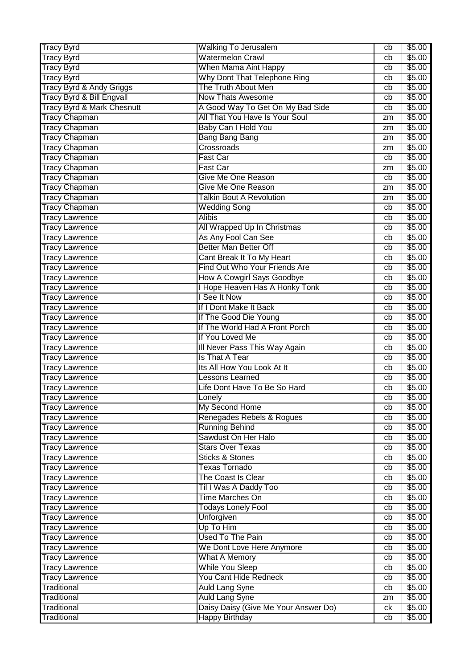| <b>Watermelon Crawl</b><br><b>Tracy Byrd</b><br>cb<br><b>Tracy Byrd</b><br><b>When Mama Aint Happy</b><br>cb<br><b>Tracy Byrd</b><br>Why Dont That Telephone Ring<br>cb<br>Tracy Byrd & Andy Griggs<br>The Truth About Men<br>cb<br>Tracy Byrd & Bill Engvall<br><b>Now Thats Awesome</b><br>cb<br>Tracy Byrd & Mark Chesnutt<br>A Good Way To Get On My Bad Side<br>cb<br><b>Tracy Chapman</b><br>All That You Have Is Your Soul<br>zm | \$5.00<br>\$5.00<br>\$5.00<br>\$5.00<br>\$5.00<br>\$5.00<br>\$5.00<br>\$5.00<br>\$5.00<br>\$5.00 |
|-----------------------------------------------------------------------------------------------------------------------------------------------------------------------------------------------------------------------------------------------------------------------------------------------------------------------------------------------------------------------------------------------------------------------------------------|--------------------------------------------------------------------------------------------------|
|                                                                                                                                                                                                                                                                                                                                                                                                                                         |                                                                                                  |
|                                                                                                                                                                                                                                                                                                                                                                                                                                         |                                                                                                  |
|                                                                                                                                                                                                                                                                                                                                                                                                                                         |                                                                                                  |
|                                                                                                                                                                                                                                                                                                                                                                                                                                         |                                                                                                  |
|                                                                                                                                                                                                                                                                                                                                                                                                                                         |                                                                                                  |
|                                                                                                                                                                                                                                                                                                                                                                                                                                         |                                                                                                  |
|                                                                                                                                                                                                                                                                                                                                                                                                                                         |                                                                                                  |
| Baby Can I Hold You<br><b>Tracy Chapman</b><br>zm                                                                                                                                                                                                                                                                                                                                                                                       |                                                                                                  |
| <b>Tracy Chapman</b><br><b>Bang Bang Bang</b><br>zm                                                                                                                                                                                                                                                                                                                                                                                     |                                                                                                  |
| <b>Tracy Chapman</b><br>Crossroads<br>zm                                                                                                                                                                                                                                                                                                                                                                                                |                                                                                                  |
| <b>Tracy Chapman</b><br><b>Fast Car</b><br>cb                                                                                                                                                                                                                                                                                                                                                                                           | \$5.00                                                                                           |
| Tracy Chapman<br>Fast Car<br>zm                                                                                                                                                                                                                                                                                                                                                                                                         | \$5.00                                                                                           |
| <b>Tracy Chapman</b><br><b>Give Me One Reason</b><br>cb                                                                                                                                                                                                                                                                                                                                                                                 | \$5.00                                                                                           |
| <b>Tracy Chapman</b><br>Give Me One Reason<br>zm                                                                                                                                                                                                                                                                                                                                                                                        | \$5.00                                                                                           |
| <b>Talkin Bout A Revolution</b><br><b>Tracy Chapman</b><br>zm                                                                                                                                                                                                                                                                                                                                                                           | \$5.00                                                                                           |
| <b>Tracy Chapman</b><br><b>Wedding Song</b><br>cb                                                                                                                                                                                                                                                                                                                                                                                       | \$5.00                                                                                           |
| <b>Alibis</b><br><b>Tracy Lawrence</b><br>cb                                                                                                                                                                                                                                                                                                                                                                                            | \$5.00                                                                                           |
| All Wrapped Up In Christmas<br><b>Tracy Lawrence</b><br>cb                                                                                                                                                                                                                                                                                                                                                                              | \$5.00                                                                                           |
| As Any Fool Can See<br><b>Tracy Lawrence</b><br>cb                                                                                                                                                                                                                                                                                                                                                                                      | \$5.00                                                                                           |
| <b>Better Man Better Off</b><br><b>Tracy Lawrence</b><br>cb                                                                                                                                                                                                                                                                                                                                                                             | \$5.00                                                                                           |
| Cant Break It To My Heart<br><b>Tracy Lawrence</b><br>cb                                                                                                                                                                                                                                                                                                                                                                                | \$5.00                                                                                           |
| Find Out Who Your Friends Are<br><b>Tracy Lawrence</b><br>cb                                                                                                                                                                                                                                                                                                                                                                            | \$5.00                                                                                           |
| How A Cowgirl Says Goodbye<br><b>Tracy Lawrence</b><br>cb                                                                                                                                                                                                                                                                                                                                                                               | \$5.00                                                                                           |
| I Hope Heaven Has A Honky Tonk<br><b>Tracy Lawrence</b><br>cb                                                                                                                                                                                                                                                                                                                                                                           | \$5.00                                                                                           |
| I See It Now<br><b>Tracy Lawrence</b><br>cb                                                                                                                                                                                                                                                                                                                                                                                             | \$5.00                                                                                           |
| If I Dont Make It Back<br><b>Tracy Lawrence</b><br>cb                                                                                                                                                                                                                                                                                                                                                                                   | \$5.00                                                                                           |
| If The Good Die Young<br><b>Tracy Lawrence</b><br>cb                                                                                                                                                                                                                                                                                                                                                                                    | \$5.00                                                                                           |
| If The World Had A Front Porch<br><b>Tracy Lawrence</b><br>cb                                                                                                                                                                                                                                                                                                                                                                           | \$5.00                                                                                           |
| If You Loved Me<br><b>Tracy Lawrence</b><br>cb                                                                                                                                                                                                                                                                                                                                                                                          | \$5.00                                                                                           |
| Ill Never Pass This Way Again<br><b>Tracy Lawrence</b><br>cb                                                                                                                                                                                                                                                                                                                                                                            | \$5.00                                                                                           |
| Is That A Tear<br><b>Tracy Lawrence</b><br>cb                                                                                                                                                                                                                                                                                                                                                                                           | \$5.00                                                                                           |
| Its All How You Look At It<br><b>Tracy Lawrence</b><br>cb                                                                                                                                                                                                                                                                                                                                                                               | \$5.00                                                                                           |
| <b>Lessons Learned</b><br><b>Tracy Lawrence</b><br>cb                                                                                                                                                                                                                                                                                                                                                                                   | \$5.00                                                                                           |
| Life Dont Have To Be So Hard<br><b>Tracy Lawrence</b><br>cb                                                                                                                                                                                                                                                                                                                                                                             | \$5.00                                                                                           |
| <b>Tracy Lawrence</b><br>cb<br>Lonely                                                                                                                                                                                                                                                                                                                                                                                                   | \$5.00                                                                                           |
| My Second Home<br><b>Tracy Lawrence</b><br>cb                                                                                                                                                                                                                                                                                                                                                                                           | \$5.00                                                                                           |
| Renegades Rebels & Rogues<br><b>Tracy Lawrence</b><br>cb                                                                                                                                                                                                                                                                                                                                                                                | \$5.00                                                                                           |
| <b>Running Behind</b><br><b>Tracy Lawrence</b><br>cb                                                                                                                                                                                                                                                                                                                                                                                    | \$5.00                                                                                           |
| Sawdust On Her Halo<br><b>Tracy Lawrence</b><br>cb                                                                                                                                                                                                                                                                                                                                                                                      | \$5.00                                                                                           |
| <b>Stars Over Texas</b><br><b>Tracy Lawrence</b><br>cb                                                                                                                                                                                                                                                                                                                                                                                  | \$5.00                                                                                           |
| <b>Sticks &amp; Stones</b><br><b>Tracy Lawrence</b><br>сb<br><b>Texas Tornado</b>                                                                                                                                                                                                                                                                                                                                                       | \$5.00                                                                                           |
| <b>Tracy Lawrence</b><br>cb<br>The Coast Is Clear                                                                                                                                                                                                                                                                                                                                                                                       | \$5.00<br>\$5.00                                                                                 |
| <b>Tracy Lawrence</b><br>cb<br>Til I Was A Daddy Too<br><b>Tracy Lawrence</b>                                                                                                                                                                                                                                                                                                                                                           | \$5.00                                                                                           |
| cb<br><b>Time Marches On</b><br><b>Tracy Lawrence</b>                                                                                                                                                                                                                                                                                                                                                                                   | \$5.00                                                                                           |
| cb<br><b>Todays Lonely Fool</b><br><b>Tracy Lawrence</b><br>cb                                                                                                                                                                                                                                                                                                                                                                          | \$5.00                                                                                           |
| <b>Unforgiven</b><br><b>Tracy Lawrence</b><br>cb                                                                                                                                                                                                                                                                                                                                                                                        | \$5.00                                                                                           |
| Up To Him<br><b>Tracy Lawrence</b><br>cb                                                                                                                                                                                                                                                                                                                                                                                                | \$5.00                                                                                           |
| <b>Used To The Pain</b><br><b>Tracy Lawrence</b><br>cb                                                                                                                                                                                                                                                                                                                                                                                  | \$5.00                                                                                           |
| We Dont Love Here Anymore<br><b>Tracy Lawrence</b><br>cb                                                                                                                                                                                                                                                                                                                                                                                | \$5.00                                                                                           |
| What A Memory<br><b>Tracy Lawrence</b><br>cb                                                                                                                                                                                                                                                                                                                                                                                            | \$5.00                                                                                           |
| <b>While You Sleep</b><br><b>Tracy Lawrence</b><br>cb                                                                                                                                                                                                                                                                                                                                                                                   | \$5.00                                                                                           |
| You Cant Hide Redneck<br><b>Tracy Lawrence</b><br>cb                                                                                                                                                                                                                                                                                                                                                                                    | \$5.00                                                                                           |
| <b>Auld Lang Syne</b><br>Traditional<br>cb                                                                                                                                                                                                                                                                                                                                                                                              | \$5.00                                                                                           |
| <b>Auld Lang Syne</b><br>Traditional<br>zm                                                                                                                                                                                                                                                                                                                                                                                              | \$5.00                                                                                           |
| Daisy Daisy (Give Me Your Answer Do)<br>Traditional<br>ck                                                                                                                                                                                                                                                                                                                                                                               | \$5.00                                                                                           |
| <b>Happy Birthday</b><br>Traditional<br>cb                                                                                                                                                                                                                                                                                                                                                                                              | \$5.00                                                                                           |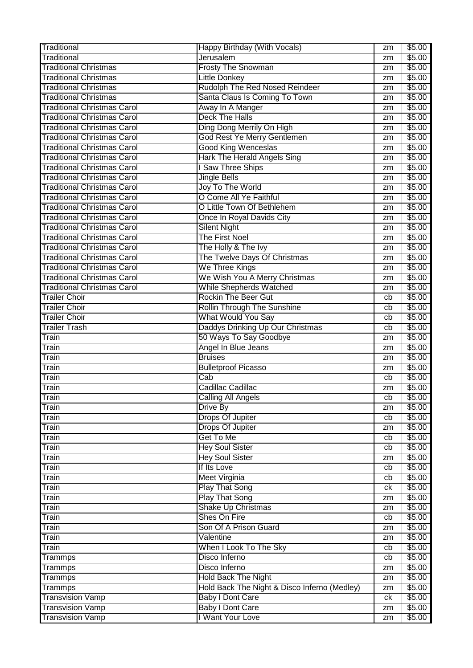| Jerusalem<br>Traditional<br>\$5.00<br>zm<br><b>Traditional Christmas</b><br>\$5.00<br><b>Frosty The Snowman</b><br>zm<br><b>Traditional Christmas</b><br><b>Little Donkey</b><br>\$5.00<br>zm<br>Rudolph The Red Nosed Reindeer<br><b>Traditional Christmas</b><br>\$5.00<br>zm<br>Santa Claus Is Coming To Town<br><b>Traditional Christmas</b><br>\$5.00<br>zm<br>Away In A Manger<br><b>Traditional Christmas Carol</b><br>\$5.00<br>zm<br><b>Deck The Halls</b><br><b>Traditional Christmas Carol</b><br>\$5.00<br>zm<br>Ding Dong Merrily On High<br><b>Traditional Christmas Carol</b><br>\$5.00<br>zm<br>God Rest Ye Merry Gentlemen<br><b>Traditional Christmas Carol</b><br>\$5.00<br>zm<br><b>Good King Wenceslas</b><br>\$5.00<br><b>Traditional Christmas Carol</b><br>zm<br><b>Hark The Herald Angels Sing</b><br><b>Traditional Christmas Carol</b><br>\$5.00<br>zm<br><b>Traditional Christmas Carol</b><br>I Saw Three Ships<br>\$5.00<br>zm<br><b>Traditional Christmas Carol</b><br><b>Jingle Bells</b><br>\$5.00<br>zm<br><b>Traditional Christmas Carol</b><br>Joy To The World<br>\$5.00<br>zm<br>O Come All Ye Faithful<br><b>Traditional Christmas Carol</b><br>\$5.00<br>zm<br>O Little Town Of Bethlehem<br>\$5.00<br><b>Traditional Christmas Carol</b><br>zm<br><b>Traditional Christmas Carol</b><br>Once In Royal Davids City<br>\$5.00<br>zm<br><b>Traditional Christmas Carol</b><br><b>Silent Night</b><br>\$5.00<br>zm<br>The First Noel<br><b>Traditional Christmas Carol</b><br>\$5.00<br>zm<br>The Holly & The Ivy<br>\$5.00<br><b>Traditional Christmas Carol</b><br>zm<br><b>Traditional Christmas Carol</b><br>The Twelve Days Of Christmas<br>\$5.00<br>zm<br>We Three Kings<br><b>Traditional Christmas Carol</b><br>\$5.00<br>zm<br>We Wish You A Merry Christmas<br><b>Traditional Christmas Carol</b><br>\$5.00<br>zm<br>While Shepherds Watched<br><b>Traditional Christmas Carol</b><br>\$5.00<br>zm<br><b>Rockin The Beer Gut</b><br><b>Trailer Choir</b><br>\$5.00<br>cb<br><b>Trailer Choir</b><br><b>Rollin Through The Sunshine</b><br>\$5.00<br>cb<br>What Would You Say<br><b>Trailer Choir</b><br>\$5.00<br>cb<br>Daddys Drinking Up Our Christmas<br><b>Trailer Trash</b><br>\$5.00<br>cb<br>50 Ways To Say Goodbye<br>Train<br>\$5.00<br>zm<br>Angel In Blue Jeans<br>\$5.00<br>Train<br>zm<br><b>Bruises</b><br>\$5.00<br>Train<br>zm<br>\$5.00<br><b>Bulletproof Picasso</b><br>Train<br>zm<br>$\overline{\text{Cab}}$<br>\$5.00<br>Train<br>cb<br>Cadillac Cadillac<br>\$5.00<br>Train<br>zm<br>\$5.00<br>Train<br><b>Calling All Angels</b><br>$\overline{cb}$<br>Drive By<br>\$5.00<br>Train<br>zm<br>Drops Of Jupiter<br>\$5.00<br>Train<br>cb<br><b>Drops Of Jupiter</b><br>\$5.00<br>Train<br>zm<br>Get To Me<br>Train<br>\$5.00<br>cb<br><b>Hey Soul Sister</b><br>\$5.00<br>Train<br>cb<br><b>Hey Soul Sister</b><br>\$5.00<br>Train<br>zm<br>If Its Love<br>\$5.00<br>Train<br>cb<br><b>Meet Virginia</b><br>\$5.00<br>Train<br>cb<br><b>Play That Song</b><br>\$5.00<br>Train<br>ck<br><b>Play That Song</b><br>\$5.00<br>Train<br>zm<br><b>Shake Up Christmas</b><br>\$5.00<br>Train<br>zm<br>Shes On Fire<br>\$5.00<br>Train<br>cb<br>Son Of A Prison Guard<br>\$5.00<br>Train<br>zm<br>\$5.00<br>Valentine<br>Train<br>zm<br>\$5.00<br>When I Look To The Sky<br>Train<br>cb<br>Disco Inferno<br>\$5.00<br>Trammps<br>cb<br>\$5.00<br>Disco Inferno<br>Trammps<br>zm<br><b>Hold Back The Night</b><br>\$5.00<br><b>Trammps</b><br>zm<br>Hold Back The Night & Disco Inferno (Medley)<br>\$5.00<br>Trammps<br>zm<br><b>Baby I Dont Care</b><br><b>Transvision Vamp</b><br>\$5.00<br>ck<br><b>Baby I Dont Care</b><br>\$5.00<br><b>Transvision Vamp</b><br>zm<br>I Want Your Love<br><b>Transvision Vamp</b><br>\$5.00<br>zm | Traditional | Happy Birthday (With Vocals) | zm | \$5.00 |
|---------------------------------------------------------------------------------------------------------------------------------------------------------------------------------------------------------------------------------------------------------------------------------------------------------------------------------------------------------------------------------------------------------------------------------------------------------------------------------------------------------------------------------------------------------------------------------------------------------------------------------------------------------------------------------------------------------------------------------------------------------------------------------------------------------------------------------------------------------------------------------------------------------------------------------------------------------------------------------------------------------------------------------------------------------------------------------------------------------------------------------------------------------------------------------------------------------------------------------------------------------------------------------------------------------------------------------------------------------------------------------------------------------------------------------------------------------------------------------------------------------------------------------------------------------------------------------------------------------------------------------------------------------------------------------------------------------------------------------------------------------------------------------------------------------------------------------------------------------------------------------------------------------------------------------------------------------------------------------------------------------------------------------------------------------------------------------------------------------------------------------------------------------------------------------------------------------------------------------------------------------------------------------------------------------------------------------------------------------------------------------------------------------------------------------------------------------------------------------------------------------------------------------------------------------------------------------------------------------------------------------------------------------------------------------------------------------------------------------------------------------------------------------------------------------------------------------------------------------------------------------------------------------------------------------------------------------------------------------------------------------------------------------------------------------------------------------------------------------------------------------------------------------------------------------------------------------------------------------------------------------------------------------------------------------------------------------------------------------------------------------------------------------------------------------------------------------------------------------------------------------------------------------------------------------------------------------------------------------------------------------------------------------------------------------------------------------------------------------------------------------------------------------------------------|-------------|------------------------------|----|--------|
|                                                                                                                                                                                                                                                                                                                                                                                                                                                                                                                                                                                                                                                                                                                                                                                                                                                                                                                                                                                                                                                                                                                                                                                                                                                                                                                                                                                                                                                                                                                                                                                                                                                                                                                                                                                                                                                                                                                                                                                                                                                                                                                                                                                                                                                                                                                                                                                                                                                                                                                                                                                                                                                                                                                                                                                                                                                                                                                                                                                                                                                                                                                                                                                                                                                                                                                                                                                                                                                                                                                                                                                                                                                                                                                                                                                                   |             |                              |    |        |
|                                                                                                                                                                                                                                                                                                                                                                                                                                                                                                                                                                                                                                                                                                                                                                                                                                                                                                                                                                                                                                                                                                                                                                                                                                                                                                                                                                                                                                                                                                                                                                                                                                                                                                                                                                                                                                                                                                                                                                                                                                                                                                                                                                                                                                                                                                                                                                                                                                                                                                                                                                                                                                                                                                                                                                                                                                                                                                                                                                                                                                                                                                                                                                                                                                                                                                                                                                                                                                                                                                                                                                                                                                                                                                                                                                                                   |             |                              |    |        |
|                                                                                                                                                                                                                                                                                                                                                                                                                                                                                                                                                                                                                                                                                                                                                                                                                                                                                                                                                                                                                                                                                                                                                                                                                                                                                                                                                                                                                                                                                                                                                                                                                                                                                                                                                                                                                                                                                                                                                                                                                                                                                                                                                                                                                                                                                                                                                                                                                                                                                                                                                                                                                                                                                                                                                                                                                                                                                                                                                                                                                                                                                                                                                                                                                                                                                                                                                                                                                                                                                                                                                                                                                                                                                                                                                                                                   |             |                              |    |        |
|                                                                                                                                                                                                                                                                                                                                                                                                                                                                                                                                                                                                                                                                                                                                                                                                                                                                                                                                                                                                                                                                                                                                                                                                                                                                                                                                                                                                                                                                                                                                                                                                                                                                                                                                                                                                                                                                                                                                                                                                                                                                                                                                                                                                                                                                                                                                                                                                                                                                                                                                                                                                                                                                                                                                                                                                                                                                                                                                                                                                                                                                                                                                                                                                                                                                                                                                                                                                                                                                                                                                                                                                                                                                                                                                                                                                   |             |                              |    |        |
|                                                                                                                                                                                                                                                                                                                                                                                                                                                                                                                                                                                                                                                                                                                                                                                                                                                                                                                                                                                                                                                                                                                                                                                                                                                                                                                                                                                                                                                                                                                                                                                                                                                                                                                                                                                                                                                                                                                                                                                                                                                                                                                                                                                                                                                                                                                                                                                                                                                                                                                                                                                                                                                                                                                                                                                                                                                                                                                                                                                                                                                                                                                                                                                                                                                                                                                                                                                                                                                                                                                                                                                                                                                                                                                                                                                                   |             |                              |    |        |
|                                                                                                                                                                                                                                                                                                                                                                                                                                                                                                                                                                                                                                                                                                                                                                                                                                                                                                                                                                                                                                                                                                                                                                                                                                                                                                                                                                                                                                                                                                                                                                                                                                                                                                                                                                                                                                                                                                                                                                                                                                                                                                                                                                                                                                                                                                                                                                                                                                                                                                                                                                                                                                                                                                                                                                                                                                                                                                                                                                                                                                                                                                                                                                                                                                                                                                                                                                                                                                                                                                                                                                                                                                                                                                                                                                                                   |             |                              |    |        |
|                                                                                                                                                                                                                                                                                                                                                                                                                                                                                                                                                                                                                                                                                                                                                                                                                                                                                                                                                                                                                                                                                                                                                                                                                                                                                                                                                                                                                                                                                                                                                                                                                                                                                                                                                                                                                                                                                                                                                                                                                                                                                                                                                                                                                                                                                                                                                                                                                                                                                                                                                                                                                                                                                                                                                                                                                                                                                                                                                                                                                                                                                                                                                                                                                                                                                                                                                                                                                                                                                                                                                                                                                                                                                                                                                                                                   |             |                              |    |        |
|                                                                                                                                                                                                                                                                                                                                                                                                                                                                                                                                                                                                                                                                                                                                                                                                                                                                                                                                                                                                                                                                                                                                                                                                                                                                                                                                                                                                                                                                                                                                                                                                                                                                                                                                                                                                                                                                                                                                                                                                                                                                                                                                                                                                                                                                                                                                                                                                                                                                                                                                                                                                                                                                                                                                                                                                                                                                                                                                                                                                                                                                                                                                                                                                                                                                                                                                                                                                                                                                                                                                                                                                                                                                                                                                                                                                   |             |                              |    |        |
|                                                                                                                                                                                                                                                                                                                                                                                                                                                                                                                                                                                                                                                                                                                                                                                                                                                                                                                                                                                                                                                                                                                                                                                                                                                                                                                                                                                                                                                                                                                                                                                                                                                                                                                                                                                                                                                                                                                                                                                                                                                                                                                                                                                                                                                                                                                                                                                                                                                                                                                                                                                                                                                                                                                                                                                                                                                                                                                                                                                                                                                                                                                                                                                                                                                                                                                                                                                                                                                                                                                                                                                                                                                                                                                                                                                                   |             |                              |    |        |
|                                                                                                                                                                                                                                                                                                                                                                                                                                                                                                                                                                                                                                                                                                                                                                                                                                                                                                                                                                                                                                                                                                                                                                                                                                                                                                                                                                                                                                                                                                                                                                                                                                                                                                                                                                                                                                                                                                                                                                                                                                                                                                                                                                                                                                                                                                                                                                                                                                                                                                                                                                                                                                                                                                                                                                                                                                                                                                                                                                                                                                                                                                                                                                                                                                                                                                                                                                                                                                                                                                                                                                                                                                                                                                                                                                                                   |             |                              |    |        |
|                                                                                                                                                                                                                                                                                                                                                                                                                                                                                                                                                                                                                                                                                                                                                                                                                                                                                                                                                                                                                                                                                                                                                                                                                                                                                                                                                                                                                                                                                                                                                                                                                                                                                                                                                                                                                                                                                                                                                                                                                                                                                                                                                                                                                                                                                                                                                                                                                                                                                                                                                                                                                                                                                                                                                                                                                                                                                                                                                                                                                                                                                                                                                                                                                                                                                                                                                                                                                                                                                                                                                                                                                                                                                                                                                                                                   |             |                              |    |        |
|                                                                                                                                                                                                                                                                                                                                                                                                                                                                                                                                                                                                                                                                                                                                                                                                                                                                                                                                                                                                                                                                                                                                                                                                                                                                                                                                                                                                                                                                                                                                                                                                                                                                                                                                                                                                                                                                                                                                                                                                                                                                                                                                                                                                                                                                                                                                                                                                                                                                                                                                                                                                                                                                                                                                                                                                                                                                                                                                                                                                                                                                                                                                                                                                                                                                                                                                                                                                                                                                                                                                                                                                                                                                                                                                                                                                   |             |                              |    |        |
|                                                                                                                                                                                                                                                                                                                                                                                                                                                                                                                                                                                                                                                                                                                                                                                                                                                                                                                                                                                                                                                                                                                                                                                                                                                                                                                                                                                                                                                                                                                                                                                                                                                                                                                                                                                                                                                                                                                                                                                                                                                                                                                                                                                                                                                                                                                                                                                                                                                                                                                                                                                                                                                                                                                                                                                                                                                                                                                                                                                                                                                                                                                                                                                                                                                                                                                                                                                                                                                                                                                                                                                                                                                                                                                                                                                                   |             |                              |    |        |
|                                                                                                                                                                                                                                                                                                                                                                                                                                                                                                                                                                                                                                                                                                                                                                                                                                                                                                                                                                                                                                                                                                                                                                                                                                                                                                                                                                                                                                                                                                                                                                                                                                                                                                                                                                                                                                                                                                                                                                                                                                                                                                                                                                                                                                                                                                                                                                                                                                                                                                                                                                                                                                                                                                                                                                                                                                                                                                                                                                                                                                                                                                                                                                                                                                                                                                                                                                                                                                                                                                                                                                                                                                                                                                                                                                                                   |             |                              |    |        |
|                                                                                                                                                                                                                                                                                                                                                                                                                                                                                                                                                                                                                                                                                                                                                                                                                                                                                                                                                                                                                                                                                                                                                                                                                                                                                                                                                                                                                                                                                                                                                                                                                                                                                                                                                                                                                                                                                                                                                                                                                                                                                                                                                                                                                                                                                                                                                                                                                                                                                                                                                                                                                                                                                                                                                                                                                                                                                                                                                                                                                                                                                                                                                                                                                                                                                                                                                                                                                                                                                                                                                                                                                                                                                                                                                                                                   |             |                              |    |        |
|                                                                                                                                                                                                                                                                                                                                                                                                                                                                                                                                                                                                                                                                                                                                                                                                                                                                                                                                                                                                                                                                                                                                                                                                                                                                                                                                                                                                                                                                                                                                                                                                                                                                                                                                                                                                                                                                                                                                                                                                                                                                                                                                                                                                                                                                                                                                                                                                                                                                                                                                                                                                                                                                                                                                                                                                                                                                                                                                                                                                                                                                                                                                                                                                                                                                                                                                                                                                                                                                                                                                                                                                                                                                                                                                                                                                   |             |                              |    |        |
|                                                                                                                                                                                                                                                                                                                                                                                                                                                                                                                                                                                                                                                                                                                                                                                                                                                                                                                                                                                                                                                                                                                                                                                                                                                                                                                                                                                                                                                                                                                                                                                                                                                                                                                                                                                                                                                                                                                                                                                                                                                                                                                                                                                                                                                                                                                                                                                                                                                                                                                                                                                                                                                                                                                                                                                                                                                                                                                                                                                                                                                                                                                                                                                                                                                                                                                                                                                                                                                                                                                                                                                                                                                                                                                                                                                                   |             |                              |    |        |
|                                                                                                                                                                                                                                                                                                                                                                                                                                                                                                                                                                                                                                                                                                                                                                                                                                                                                                                                                                                                                                                                                                                                                                                                                                                                                                                                                                                                                                                                                                                                                                                                                                                                                                                                                                                                                                                                                                                                                                                                                                                                                                                                                                                                                                                                                                                                                                                                                                                                                                                                                                                                                                                                                                                                                                                                                                                                                                                                                                                                                                                                                                                                                                                                                                                                                                                                                                                                                                                                                                                                                                                                                                                                                                                                                                                                   |             |                              |    |        |
|                                                                                                                                                                                                                                                                                                                                                                                                                                                                                                                                                                                                                                                                                                                                                                                                                                                                                                                                                                                                                                                                                                                                                                                                                                                                                                                                                                                                                                                                                                                                                                                                                                                                                                                                                                                                                                                                                                                                                                                                                                                                                                                                                                                                                                                                                                                                                                                                                                                                                                                                                                                                                                                                                                                                                                                                                                                                                                                                                                                                                                                                                                                                                                                                                                                                                                                                                                                                                                                                                                                                                                                                                                                                                                                                                                                                   |             |                              |    |        |
|                                                                                                                                                                                                                                                                                                                                                                                                                                                                                                                                                                                                                                                                                                                                                                                                                                                                                                                                                                                                                                                                                                                                                                                                                                                                                                                                                                                                                                                                                                                                                                                                                                                                                                                                                                                                                                                                                                                                                                                                                                                                                                                                                                                                                                                                                                                                                                                                                                                                                                                                                                                                                                                                                                                                                                                                                                                                                                                                                                                                                                                                                                                                                                                                                                                                                                                                                                                                                                                                                                                                                                                                                                                                                                                                                                                                   |             |                              |    |        |
|                                                                                                                                                                                                                                                                                                                                                                                                                                                                                                                                                                                                                                                                                                                                                                                                                                                                                                                                                                                                                                                                                                                                                                                                                                                                                                                                                                                                                                                                                                                                                                                                                                                                                                                                                                                                                                                                                                                                                                                                                                                                                                                                                                                                                                                                                                                                                                                                                                                                                                                                                                                                                                                                                                                                                                                                                                                                                                                                                                                                                                                                                                                                                                                                                                                                                                                                                                                                                                                                                                                                                                                                                                                                                                                                                                                                   |             |                              |    |        |
|                                                                                                                                                                                                                                                                                                                                                                                                                                                                                                                                                                                                                                                                                                                                                                                                                                                                                                                                                                                                                                                                                                                                                                                                                                                                                                                                                                                                                                                                                                                                                                                                                                                                                                                                                                                                                                                                                                                                                                                                                                                                                                                                                                                                                                                                                                                                                                                                                                                                                                                                                                                                                                                                                                                                                                                                                                                                                                                                                                                                                                                                                                                                                                                                                                                                                                                                                                                                                                                                                                                                                                                                                                                                                                                                                                                                   |             |                              |    |        |
|                                                                                                                                                                                                                                                                                                                                                                                                                                                                                                                                                                                                                                                                                                                                                                                                                                                                                                                                                                                                                                                                                                                                                                                                                                                                                                                                                                                                                                                                                                                                                                                                                                                                                                                                                                                                                                                                                                                                                                                                                                                                                                                                                                                                                                                                                                                                                                                                                                                                                                                                                                                                                                                                                                                                                                                                                                                                                                                                                                                                                                                                                                                                                                                                                                                                                                                                                                                                                                                                                                                                                                                                                                                                                                                                                                                                   |             |                              |    |        |
|                                                                                                                                                                                                                                                                                                                                                                                                                                                                                                                                                                                                                                                                                                                                                                                                                                                                                                                                                                                                                                                                                                                                                                                                                                                                                                                                                                                                                                                                                                                                                                                                                                                                                                                                                                                                                                                                                                                                                                                                                                                                                                                                                                                                                                                                                                                                                                                                                                                                                                                                                                                                                                                                                                                                                                                                                                                                                                                                                                                                                                                                                                                                                                                                                                                                                                                                                                                                                                                                                                                                                                                                                                                                                                                                                                                                   |             |                              |    |        |
|                                                                                                                                                                                                                                                                                                                                                                                                                                                                                                                                                                                                                                                                                                                                                                                                                                                                                                                                                                                                                                                                                                                                                                                                                                                                                                                                                                                                                                                                                                                                                                                                                                                                                                                                                                                                                                                                                                                                                                                                                                                                                                                                                                                                                                                                                                                                                                                                                                                                                                                                                                                                                                                                                                                                                                                                                                                                                                                                                                                                                                                                                                                                                                                                                                                                                                                                                                                                                                                                                                                                                                                                                                                                                                                                                                                                   |             |                              |    |        |
|                                                                                                                                                                                                                                                                                                                                                                                                                                                                                                                                                                                                                                                                                                                                                                                                                                                                                                                                                                                                                                                                                                                                                                                                                                                                                                                                                                                                                                                                                                                                                                                                                                                                                                                                                                                                                                                                                                                                                                                                                                                                                                                                                                                                                                                                                                                                                                                                                                                                                                                                                                                                                                                                                                                                                                                                                                                                                                                                                                                                                                                                                                                                                                                                                                                                                                                                                                                                                                                                                                                                                                                                                                                                                                                                                                                                   |             |                              |    |        |
|                                                                                                                                                                                                                                                                                                                                                                                                                                                                                                                                                                                                                                                                                                                                                                                                                                                                                                                                                                                                                                                                                                                                                                                                                                                                                                                                                                                                                                                                                                                                                                                                                                                                                                                                                                                                                                                                                                                                                                                                                                                                                                                                                                                                                                                                                                                                                                                                                                                                                                                                                                                                                                                                                                                                                                                                                                                                                                                                                                                                                                                                                                                                                                                                                                                                                                                                                                                                                                                                                                                                                                                                                                                                                                                                                                                                   |             |                              |    |        |
|                                                                                                                                                                                                                                                                                                                                                                                                                                                                                                                                                                                                                                                                                                                                                                                                                                                                                                                                                                                                                                                                                                                                                                                                                                                                                                                                                                                                                                                                                                                                                                                                                                                                                                                                                                                                                                                                                                                                                                                                                                                                                                                                                                                                                                                                                                                                                                                                                                                                                                                                                                                                                                                                                                                                                                                                                                                                                                                                                                                                                                                                                                                                                                                                                                                                                                                                                                                                                                                                                                                                                                                                                                                                                                                                                                                                   |             |                              |    |        |
|                                                                                                                                                                                                                                                                                                                                                                                                                                                                                                                                                                                                                                                                                                                                                                                                                                                                                                                                                                                                                                                                                                                                                                                                                                                                                                                                                                                                                                                                                                                                                                                                                                                                                                                                                                                                                                                                                                                                                                                                                                                                                                                                                                                                                                                                                                                                                                                                                                                                                                                                                                                                                                                                                                                                                                                                                                                                                                                                                                                                                                                                                                                                                                                                                                                                                                                                                                                                                                                                                                                                                                                                                                                                                                                                                                                                   |             |                              |    |        |
|                                                                                                                                                                                                                                                                                                                                                                                                                                                                                                                                                                                                                                                                                                                                                                                                                                                                                                                                                                                                                                                                                                                                                                                                                                                                                                                                                                                                                                                                                                                                                                                                                                                                                                                                                                                                                                                                                                                                                                                                                                                                                                                                                                                                                                                                                                                                                                                                                                                                                                                                                                                                                                                                                                                                                                                                                                                                                                                                                                                                                                                                                                                                                                                                                                                                                                                                                                                                                                                                                                                                                                                                                                                                                                                                                                                                   |             |                              |    |        |
|                                                                                                                                                                                                                                                                                                                                                                                                                                                                                                                                                                                                                                                                                                                                                                                                                                                                                                                                                                                                                                                                                                                                                                                                                                                                                                                                                                                                                                                                                                                                                                                                                                                                                                                                                                                                                                                                                                                                                                                                                                                                                                                                                                                                                                                                                                                                                                                                                                                                                                                                                                                                                                                                                                                                                                                                                                                                                                                                                                                                                                                                                                                                                                                                                                                                                                                                                                                                                                                                                                                                                                                                                                                                                                                                                                                                   |             |                              |    |        |
|                                                                                                                                                                                                                                                                                                                                                                                                                                                                                                                                                                                                                                                                                                                                                                                                                                                                                                                                                                                                                                                                                                                                                                                                                                                                                                                                                                                                                                                                                                                                                                                                                                                                                                                                                                                                                                                                                                                                                                                                                                                                                                                                                                                                                                                                                                                                                                                                                                                                                                                                                                                                                                                                                                                                                                                                                                                                                                                                                                                                                                                                                                                                                                                                                                                                                                                                                                                                                                                                                                                                                                                                                                                                                                                                                                                                   |             |                              |    |        |
|                                                                                                                                                                                                                                                                                                                                                                                                                                                                                                                                                                                                                                                                                                                                                                                                                                                                                                                                                                                                                                                                                                                                                                                                                                                                                                                                                                                                                                                                                                                                                                                                                                                                                                                                                                                                                                                                                                                                                                                                                                                                                                                                                                                                                                                                                                                                                                                                                                                                                                                                                                                                                                                                                                                                                                                                                                                                                                                                                                                                                                                                                                                                                                                                                                                                                                                                                                                                                                                                                                                                                                                                                                                                                                                                                                                                   |             |                              |    |        |
|                                                                                                                                                                                                                                                                                                                                                                                                                                                                                                                                                                                                                                                                                                                                                                                                                                                                                                                                                                                                                                                                                                                                                                                                                                                                                                                                                                                                                                                                                                                                                                                                                                                                                                                                                                                                                                                                                                                                                                                                                                                                                                                                                                                                                                                                                                                                                                                                                                                                                                                                                                                                                                                                                                                                                                                                                                                                                                                                                                                                                                                                                                                                                                                                                                                                                                                                                                                                                                                                                                                                                                                                                                                                                                                                                                                                   |             |                              |    |        |
|                                                                                                                                                                                                                                                                                                                                                                                                                                                                                                                                                                                                                                                                                                                                                                                                                                                                                                                                                                                                                                                                                                                                                                                                                                                                                                                                                                                                                                                                                                                                                                                                                                                                                                                                                                                                                                                                                                                                                                                                                                                                                                                                                                                                                                                                                                                                                                                                                                                                                                                                                                                                                                                                                                                                                                                                                                                                                                                                                                                                                                                                                                                                                                                                                                                                                                                                                                                                                                                                                                                                                                                                                                                                                                                                                                                                   |             |                              |    |        |
|                                                                                                                                                                                                                                                                                                                                                                                                                                                                                                                                                                                                                                                                                                                                                                                                                                                                                                                                                                                                                                                                                                                                                                                                                                                                                                                                                                                                                                                                                                                                                                                                                                                                                                                                                                                                                                                                                                                                                                                                                                                                                                                                                                                                                                                                                                                                                                                                                                                                                                                                                                                                                                                                                                                                                                                                                                                                                                                                                                                                                                                                                                                                                                                                                                                                                                                                                                                                                                                                                                                                                                                                                                                                                                                                                                                                   |             |                              |    |        |
|                                                                                                                                                                                                                                                                                                                                                                                                                                                                                                                                                                                                                                                                                                                                                                                                                                                                                                                                                                                                                                                                                                                                                                                                                                                                                                                                                                                                                                                                                                                                                                                                                                                                                                                                                                                                                                                                                                                                                                                                                                                                                                                                                                                                                                                                                                                                                                                                                                                                                                                                                                                                                                                                                                                                                                                                                                                                                                                                                                                                                                                                                                                                                                                                                                                                                                                                                                                                                                                                                                                                                                                                                                                                                                                                                                                                   |             |                              |    |        |
|                                                                                                                                                                                                                                                                                                                                                                                                                                                                                                                                                                                                                                                                                                                                                                                                                                                                                                                                                                                                                                                                                                                                                                                                                                                                                                                                                                                                                                                                                                                                                                                                                                                                                                                                                                                                                                                                                                                                                                                                                                                                                                                                                                                                                                                                                                                                                                                                                                                                                                                                                                                                                                                                                                                                                                                                                                                                                                                                                                                                                                                                                                                                                                                                                                                                                                                                                                                                                                                                                                                                                                                                                                                                                                                                                                                                   |             |                              |    |        |
|                                                                                                                                                                                                                                                                                                                                                                                                                                                                                                                                                                                                                                                                                                                                                                                                                                                                                                                                                                                                                                                                                                                                                                                                                                                                                                                                                                                                                                                                                                                                                                                                                                                                                                                                                                                                                                                                                                                                                                                                                                                                                                                                                                                                                                                                                                                                                                                                                                                                                                                                                                                                                                                                                                                                                                                                                                                                                                                                                                                                                                                                                                                                                                                                                                                                                                                                                                                                                                                                                                                                                                                                                                                                                                                                                                                                   |             |                              |    |        |
|                                                                                                                                                                                                                                                                                                                                                                                                                                                                                                                                                                                                                                                                                                                                                                                                                                                                                                                                                                                                                                                                                                                                                                                                                                                                                                                                                                                                                                                                                                                                                                                                                                                                                                                                                                                                                                                                                                                                                                                                                                                                                                                                                                                                                                                                                                                                                                                                                                                                                                                                                                                                                                                                                                                                                                                                                                                                                                                                                                                                                                                                                                                                                                                                                                                                                                                                                                                                                                                                                                                                                                                                                                                                                                                                                                                                   |             |                              |    |        |
|                                                                                                                                                                                                                                                                                                                                                                                                                                                                                                                                                                                                                                                                                                                                                                                                                                                                                                                                                                                                                                                                                                                                                                                                                                                                                                                                                                                                                                                                                                                                                                                                                                                                                                                                                                                                                                                                                                                                                                                                                                                                                                                                                                                                                                                                                                                                                                                                                                                                                                                                                                                                                                                                                                                                                                                                                                                                                                                                                                                                                                                                                                                                                                                                                                                                                                                                                                                                                                                                                                                                                                                                                                                                                                                                                                                                   |             |                              |    |        |
|                                                                                                                                                                                                                                                                                                                                                                                                                                                                                                                                                                                                                                                                                                                                                                                                                                                                                                                                                                                                                                                                                                                                                                                                                                                                                                                                                                                                                                                                                                                                                                                                                                                                                                                                                                                                                                                                                                                                                                                                                                                                                                                                                                                                                                                                                                                                                                                                                                                                                                                                                                                                                                                                                                                                                                                                                                                                                                                                                                                                                                                                                                                                                                                                                                                                                                                                                                                                                                                                                                                                                                                                                                                                                                                                                                                                   |             |                              |    |        |
|                                                                                                                                                                                                                                                                                                                                                                                                                                                                                                                                                                                                                                                                                                                                                                                                                                                                                                                                                                                                                                                                                                                                                                                                                                                                                                                                                                                                                                                                                                                                                                                                                                                                                                                                                                                                                                                                                                                                                                                                                                                                                                                                                                                                                                                                                                                                                                                                                                                                                                                                                                                                                                                                                                                                                                                                                                                                                                                                                                                                                                                                                                                                                                                                                                                                                                                                                                                                                                                                                                                                                                                                                                                                                                                                                                                                   |             |                              |    |        |
|                                                                                                                                                                                                                                                                                                                                                                                                                                                                                                                                                                                                                                                                                                                                                                                                                                                                                                                                                                                                                                                                                                                                                                                                                                                                                                                                                                                                                                                                                                                                                                                                                                                                                                                                                                                                                                                                                                                                                                                                                                                                                                                                                                                                                                                                                                                                                                                                                                                                                                                                                                                                                                                                                                                                                                                                                                                                                                                                                                                                                                                                                                                                                                                                                                                                                                                                                                                                                                                                                                                                                                                                                                                                                                                                                                                                   |             |                              |    |        |
|                                                                                                                                                                                                                                                                                                                                                                                                                                                                                                                                                                                                                                                                                                                                                                                                                                                                                                                                                                                                                                                                                                                                                                                                                                                                                                                                                                                                                                                                                                                                                                                                                                                                                                                                                                                                                                                                                                                                                                                                                                                                                                                                                                                                                                                                                                                                                                                                                                                                                                                                                                                                                                                                                                                                                                                                                                                                                                                                                                                                                                                                                                                                                                                                                                                                                                                                                                                                                                                                                                                                                                                                                                                                                                                                                                                                   |             |                              |    |        |
|                                                                                                                                                                                                                                                                                                                                                                                                                                                                                                                                                                                                                                                                                                                                                                                                                                                                                                                                                                                                                                                                                                                                                                                                                                                                                                                                                                                                                                                                                                                                                                                                                                                                                                                                                                                                                                                                                                                                                                                                                                                                                                                                                                                                                                                                                                                                                                                                                                                                                                                                                                                                                                                                                                                                                                                                                                                                                                                                                                                                                                                                                                                                                                                                                                                                                                                                                                                                                                                                                                                                                                                                                                                                                                                                                                                                   |             |                              |    |        |
|                                                                                                                                                                                                                                                                                                                                                                                                                                                                                                                                                                                                                                                                                                                                                                                                                                                                                                                                                                                                                                                                                                                                                                                                                                                                                                                                                                                                                                                                                                                                                                                                                                                                                                                                                                                                                                                                                                                                                                                                                                                                                                                                                                                                                                                                                                                                                                                                                                                                                                                                                                                                                                                                                                                                                                                                                                                                                                                                                                                                                                                                                                                                                                                                                                                                                                                                                                                                                                                                                                                                                                                                                                                                                                                                                                                                   |             |                              |    |        |
|                                                                                                                                                                                                                                                                                                                                                                                                                                                                                                                                                                                                                                                                                                                                                                                                                                                                                                                                                                                                                                                                                                                                                                                                                                                                                                                                                                                                                                                                                                                                                                                                                                                                                                                                                                                                                                                                                                                                                                                                                                                                                                                                                                                                                                                                                                                                                                                                                                                                                                                                                                                                                                                                                                                                                                                                                                                                                                                                                                                                                                                                                                                                                                                                                                                                                                                                                                                                                                                                                                                                                                                                                                                                                                                                                                                                   |             |                              |    |        |
|                                                                                                                                                                                                                                                                                                                                                                                                                                                                                                                                                                                                                                                                                                                                                                                                                                                                                                                                                                                                                                                                                                                                                                                                                                                                                                                                                                                                                                                                                                                                                                                                                                                                                                                                                                                                                                                                                                                                                                                                                                                                                                                                                                                                                                                                                                                                                                                                                                                                                                                                                                                                                                                                                                                                                                                                                                                                                                                                                                                                                                                                                                                                                                                                                                                                                                                                                                                                                                                                                                                                                                                                                                                                                                                                                                                                   |             |                              |    |        |
|                                                                                                                                                                                                                                                                                                                                                                                                                                                                                                                                                                                                                                                                                                                                                                                                                                                                                                                                                                                                                                                                                                                                                                                                                                                                                                                                                                                                                                                                                                                                                                                                                                                                                                                                                                                                                                                                                                                                                                                                                                                                                                                                                                                                                                                                                                                                                                                                                                                                                                                                                                                                                                                                                                                                                                                                                                                                                                                                                                                                                                                                                                                                                                                                                                                                                                                                                                                                                                                                                                                                                                                                                                                                                                                                                                                                   |             |                              |    |        |
|                                                                                                                                                                                                                                                                                                                                                                                                                                                                                                                                                                                                                                                                                                                                                                                                                                                                                                                                                                                                                                                                                                                                                                                                                                                                                                                                                                                                                                                                                                                                                                                                                                                                                                                                                                                                                                                                                                                                                                                                                                                                                                                                                                                                                                                                                                                                                                                                                                                                                                                                                                                                                                                                                                                                                                                                                                                                                                                                                                                                                                                                                                                                                                                                                                                                                                                                                                                                                                                                                                                                                                                                                                                                                                                                                                                                   |             |                              |    |        |
|                                                                                                                                                                                                                                                                                                                                                                                                                                                                                                                                                                                                                                                                                                                                                                                                                                                                                                                                                                                                                                                                                                                                                                                                                                                                                                                                                                                                                                                                                                                                                                                                                                                                                                                                                                                                                                                                                                                                                                                                                                                                                                                                                                                                                                                                                                                                                                                                                                                                                                                                                                                                                                                                                                                                                                                                                                                                                                                                                                                                                                                                                                                                                                                                                                                                                                                                                                                                                                                                                                                                                                                                                                                                                                                                                                                                   |             |                              |    |        |
|                                                                                                                                                                                                                                                                                                                                                                                                                                                                                                                                                                                                                                                                                                                                                                                                                                                                                                                                                                                                                                                                                                                                                                                                                                                                                                                                                                                                                                                                                                                                                                                                                                                                                                                                                                                                                                                                                                                                                                                                                                                                                                                                                                                                                                                                                                                                                                                                                                                                                                                                                                                                                                                                                                                                                                                                                                                                                                                                                                                                                                                                                                                                                                                                                                                                                                                                                                                                                                                                                                                                                                                                                                                                                                                                                                                                   |             |                              |    |        |
|                                                                                                                                                                                                                                                                                                                                                                                                                                                                                                                                                                                                                                                                                                                                                                                                                                                                                                                                                                                                                                                                                                                                                                                                                                                                                                                                                                                                                                                                                                                                                                                                                                                                                                                                                                                                                                                                                                                                                                                                                                                                                                                                                                                                                                                                                                                                                                                                                                                                                                                                                                                                                                                                                                                                                                                                                                                                                                                                                                                                                                                                                                                                                                                                                                                                                                                                                                                                                                                                                                                                                                                                                                                                                                                                                                                                   |             |                              |    |        |
|                                                                                                                                                                                                                                                                                                                                                                                                                                                                                                                                                                                                                                                                                                                                                                                                                                                                                                                                                                                                                                                                                                                                                                                                                                                                                                                                                                                                                                                                                                                                                                                                                                                                                                                                                                                                                                                                                                                                                                                                                                                                                                                                                                                                                                                                                                                                                                                                                                                                                                                                                                                                                                                                                                                                                                                                                                                                                                                                                                                                                                                                                                                                                                                                                                                                                                                                                                                                                                                                                                                                                                                                                                                                                                                                                                                                   |             |                              |    |        |
|                                                                                                                                                                                                                                                                                                                                                                                                                                                                                                                                                                                                                                                                                                                                                                                                                                                                                                                                                                                                                                                                                                                                                                                                                                                                                                                                                                                                                                                                                                                                                                                                                                                                                                                                                                                                                                                                                                                                                                                                                                                                                                                                                                                                                                                                                                                                                                                                                                                                                                                                                                                                                                                                                                                                                                                                                                                                                                                                                                                                                                                                                                                                                                                                                                                                                                                                                                                                                                                                                                                                                                                                                                                                                                                                                                                                   |             |                              |    |        |
|                                                                                                                                                                                                                                                                                                                                                                                                                                                                                                                                                                                                                                                                                                                                                                                                                                                                                                                                                                                                                                                                                                                                                                                                                                                                                                                                                                                                                                                                                                                                                                                                                                                                                                                                                                                                                                                                                                                                                                                                                                                                                                                                                                                                                                                                                                                                                                                                                                                                                                                                                                                                                                                                                                                                                                                                                                                                                                                                                                                                                                                                                                                                                                                                                                                                                                                                                                                                                                                                                                                                                                                                                                                                                                                                                                                                   |             |                              |    |        |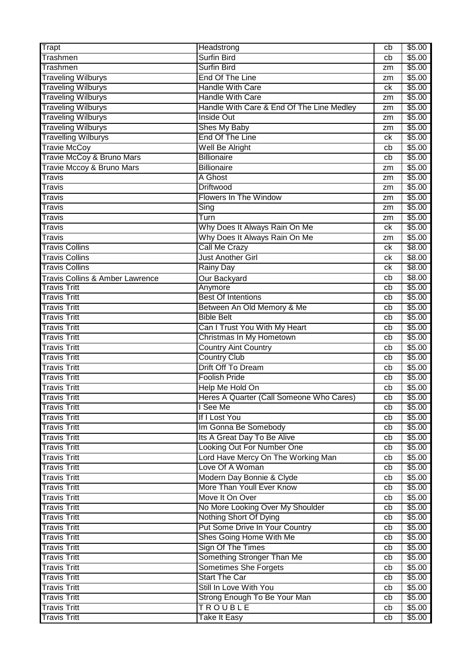| Trapt                           | Headstrong                                | cb | \$5.00 |
|---------------------------------|-------------------------------------------|----|--------|
| <b>Trashmen</b>                 | <b>Surfin Bird</b>                        | cb | \$5.00 |
| Trashmen                        | <b>Surfin Bird</b>                        | zm | \$5.00 |
| <b>Traveling Wilburys</b>       | End Of The Line                           | zm | \$5.00 |
| <b>Traveling Wilburys</b>       | <b>Handle With Care</b>                   | ck | \$5.00 |
| <b>Traveling Wilburys</b>       | <b>Handle With Care</b>                   | zm | \$5.00 |
| <b>Traveling Wilburys</b>       | Handle With Care & End Of The Line Medley | zm | \$5.00 |
| <b>Traveling Wilburys</b>       | <b>Inside Out</b>                         | zm | \$5.00 |
| <b>Traveling Wilburys</b>       | Shes My Baby                              | zm | \$5.00 |
| <b>Travelling Wilburys</b>      | End Of The Line                           | ck | \$5.00 |
| <b>Travie McCoy</b>             | Well Be Alright                           | cb | \$5.00 |
| Travie McCoy & Bruno Mars       | <b>Billionaire</b>                        | cb | \$5.00 |
| Travie Mccoy & Bruno Mars       | <b>Billionaire</b>                        | zm | \$5.00 |
| Travis                          | A Ghost                                   | zm | \$5.00 |
| Travis                          | <b>Driftwood</b>                          | zm | \$5.00 |
| <b>Travis</b>                   | <b>Flowers In The Window</b>              | zm | \$5.00 |
| <b>Travis</b>                   | $\overline{\mathsf{Sing}}$                | zm | \$5.00 |
| Travis                          | Turn                                      | zm | \$5.00 |
| <b>Travis</b>                   | Why Does It Always Rain On Me             | ck | \$5.00 |
| Travis                          | Why Does It Always Rain On Me             | zm | \$5.00 |
| <b>Travis Collins</b>           | Call Me Crazy                             | сk | \$8.00 |
| <b>Travis Collins</b>           | <b>Just Another Girl</b>                  | сk | \$8.00 |
| <b>Travis Collins</b>           | Rainy Day                                 | сk | \$8.00 |
| Travis Collins & Amber Lawrence | Our Backyard                              | cb | \$8.00 |
| <b>Travis Tritt</b>             | Anymore                                   | cb | \$5.00 |
| <b>Travis Tritt</b>             | <b>Best Of Intentions</b>                 | cb | \$5.00 |
| <b>Travis Tritt</b>             | Between An Old Memory & Me                | cb | \$5.00 |
| <b>Travis Tritt</b>             | <b>Bible Belt</b>                         | cb | \$5.00 |
| <b>Travis Tritt</b>             | Can I Trust You With My Heart             | cb | \$5.00 |
| <b>Travis Tritt</b>             | Christmas In My Hometown                  | cb | \$5.00 |
| <b>Travis Tritt</b>             | <b>Country Aint Country</b>               | cb | \$5.00 |
| <b>Travis Tritt</b>             | <b>Country Club</b>                       | cb | \$5.00 |
| <b>Travis Tritt</b>             | Drift Off To Dream                        | cb | \$5.00 |
| <b>Travis Tritt</b>             | <b>Foolish Pride</b>                      | cb | \$5.00 |
| <b>Travis Tritt</b>             | Help Me Hold On                           | cb | \$5.00 |
| <b>Travis Tritt</b>             | Heres A Quarter (Call Someone Who Cares)  | cb | \$5.00 |
| <b>Travis Tritt</b>             | I See Me                                  | cb | \$5.00 |
| <b>Travis Tritt</b>             | If I Lost You                             | cb | \$5.00 |
| <b>Travis Tritt</b>             | Im Gonna Be Somebody                      | cb | \$5.00 |
| <b>Travis Tritt</b>             | Its A Great Day To Be Alive               | cb | \$5.00 |
| <b>Travis Tritt</b>             | Looking Out For Number One                | cb | \$5.00 |
| <b>Travis Tritt</b>             | Lord Have Mercy On The Working Man        | cb | \$5.00 |
| <b>Travis Tritt</b>             | Love Of A Woman                           | cb | \$5.00 |
| <b>Travis Tritt</b>             | Modern Day Bonnie & Clyde                 | cb | \$5.00 |
| <b>Travis Tritt</b>             | More Than Youll Ever Know                 | cb | \$5.00 |
| <b>Travis Tritt</b>             | Move It On Over                           | cb | \$5.00 |
| <b>Travis Tritt</b>             | No More Looking Over My Shoulder          | cb | \$5.00 |
| <b>Travis Tritt</b>             | Nothing Short Of Dying                    | cb | \$5.00 |
| <b>Travis Tritt</b>             | Put Some Drive In Your Country            | cb | \$5.00 |
| <b>Travis Tritt</b>             | Shes Going Home With Me                   | cb | \$5.00 |
| <b>Travis Tritt</b>             | Sign Of The Times                         | cb | \$5.00 |
| <b>Travis Tritt</b>             | Something Stronger Than Me                | cb | \$5.00 |
| <b>Travis Tritt</b>             | <b>Sometimes She Forgets</b>              | cb | \$5.00 |
| <b>Travis Tritt</b>             | <b>Start The Car</b>                      | cb | \$5.00 |
| <b>Travis Tritt</b>             | Still In Love With You                    | cb | \$5.00 |
| <b>Travis Tritt</b>             | Strong Enough To Be Your Man              | cb | \$5.00 |
| <b>Travis Tritt</b>             | <b>TROUBLE</b>                            | cb | \$5.00 |
| <b>Travis Tritt</b>             | <b>Take It Easy</b>                       | cb | \$5.00 |
|                                 |                                           |    |        |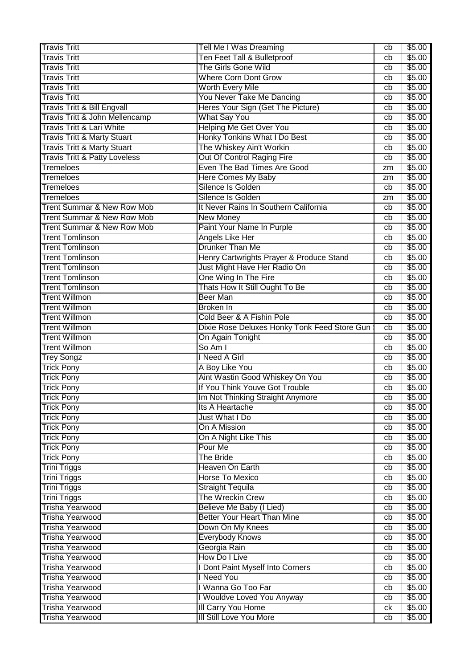| <b>Travis Tritt</b>                      | Tell Me I Was Dreaming                       | cb | \$5.00 |
|------------------------------------------|----------------------------------------------|----|--------|
| <b>Travis Tritt</b>                      | Ten Feet Tall & Bulletproof                  | cb | \$5.00 |
| <b>Travis Tritt</b>                      | The Girls Gone Wild                          | cb | \$5.00 |
| <b>Travis Tritt</b>                      | <b>Where Corn Dont Grow</b>                  | cb | \$5.00 |
| <b>Travis Tritt</b>                      | <b>Worth Every Mile</b>                      | cb | \$5.00 |
| <b>Travis Tritt</b>                      | You Never Take Me Dancing                    | cb | \$5.00 |
| <b>Travis Tritt &amp; Bill Engvall</b>   | Heres Your Sign (Get The Picture)            | cb | \$5.00 |
| Travis Tritt & John Mellencamp           | <b>What Say You</b>                          | cb | \$5.00 |
| <b>Travis Tritt &amp; Lari White</b>     | <b>Helping Me Get Over You</b>               | cb | \$5.00 |
| <b>Travis Tritt &amp; Marty Stuart</b>   | Honky Tonkins What I Do Best                 | cb | \$5.00 |
| <b>Travis Tritt &amp; Marty Stuart</b>   | The Whiskey Ain't Workin                     | cb | \$5.00 |
| <b>Travis Tritt &amp; Patty Loveless</b> | Out Of Control Raging Fire                   | cb | \$5.00 |
| <b>Tremeloes</b>                         | Even The Bad Times Are Good                  | zm | \$5.00 |
| <b>Tremeloes</b>                         | <b>Here Comes My Baby</b>                    | zm | \$5.00 |
| <b>Tremeloes</b>                         | Silence Is Golden                            | cb | \$5.00 |
| <b>Tremeloes</b>                         | Silence Is Golden                            | zm | \$5.00 |
| <b>Trent Summar &amp; New Row Mob</b>    | It Never Rains In Southern California        | cb | \$5.00 |
| <b>Trent Summar &amp; New Row Mob</b>    | <b>New Money</b>                             | cb | \$5.00 |
| Trent Summar & New Row Mob               | Paint Your Name In Purple                    | cb | \$5.00 |
| <b>Trent Tomlinson</b>                   | Angels Like Her                              | cb | \$5.00 |
| <b>Trent Tomlinson</b>                   | <b>Drunker Than Me</b>                       | cb | \$5.00 |
| <b>Trent Tomlinson</b>                   | Henry Cartwrights Prayer & Produce Stand     | cb | \$5.00 |
| <b>Trent Tomlinson</b>                   | Just Might Have Her Radio On                 | cb | \$5.00 |
| <b>Trent Tomlinson</b>                   | One Wing In The Fire                         | cb | \$5.00 |
| <b>Trent Tomlinson</b>                   | Thats How It Still Ought To Be               | cb | \$5.00 |
| <b>Trent Willmon</b>                     | <b>Beer Man</b>                              | cb | \$5.00 |
| <b>Trent Willmon</b>                     | Broken In                                    | cb | \$5.00 |
| <b>Trent Willmon</b>                     | Cold Beer & A Fishin Pole                    | cb | \$5.00 |
| <b>Trent Willmon</b>                     | Dixie Rose Deluxes Honky Tonk Feed Store Gun | cb | \$5.00 |
| <b>Trent Willmon</b>                     | On Again Tonight                             | cb | \$5.00 |
| <b>Trent Willmon</b>                     | So Am I                                      | cb | \$5.00 |
| Trey Songz                               | <b>Need A Girl</b>                           | cb | \$5.00 |
| <b>Trick Pony</b>                        | A Boy Like You                               | cb | \$5.00 |
| <b>Trick Pony</b>                        | Aint Wastin Good Whiskey On You              | cb | \$5.00 |
| <b>Trick Pony</b>                        | If You Think Youve Got Trouble               | cb | \$5.00 |
| <b>Trick Pony</b>                        | Im Not Thinking Straight Anymore             | cb | \$5.00 |
| <b>Trick Pony</b>                        | Its A Heartache                              | cb | \$5.00 |
| <b>Trick Pony</b>                        | Just What I Do                               | cb | \$5.00 |
| <b>Trick Pony</b>                        | On A Mission                                 | cb | \$5.00 |
| <b>Trick Pony</b>                        | On A Night Like This                         | cb | \$5.00 |
| <b>Trick Pony</b>                        | Pour Me                                      | cb | \$5.00 |
| <b>Trick Pony</b>                        | <b>The Bride</b>                             | cb | \$5.00 |
| Trini Triggs                             | Heaven On Earth                              | cb | \$5.00 |
| <b>Trini Triggs</b>                      | Horse To Mexico                              | cb | \$5.00 |
| <b>Trini Triggs</b>                      | <b>Straight Tequila</b>                      | cb | \$5.00 |
| <b>Trini Triggs</b>                      | The Wreckin Crew                             | cb | \$5.00 |
| <b>Trisha Yearwood</b>                   | Believe Me Baby (I Lied)                     | cb | \$5.00 |
| <b>Trisha Yearwood</b>                   | <b>Better Your Heart Than Mine</b>           | cb | \$5.00 |
| <b>Trisha Yearwood</b>                   | Down On My Knees                             | cb | \$5.00 |
| <b>Trisha Yearwood</b>                   | <b>Everybody Knows</b>                       | cb | \$5.00 |
| Trisha Yearwood                          | Georgia Rain                                 | cb | \$5.00 |
| Trisha Yearwood                          | How Do I Live                                | cb | \$5.00 |
| <b>Trisha Yearwood</b>                   | Dont Paint Myself Into Corners               | cb | \$5.00 |
| <b>Trisha Yearwood</b>                   | <b>I</b> Need You                            | cb | \$5.00 |
| <b>Trisha Yearwood</b>                   | Wanna Go Too Far                             | cb | \$5.00 |
| <b>Trisha Yearwood</b>                   | I Wouldve Loved You Anyway                   | cb | \$5.00 |
| <b>Trisha Yearwood</b>                   | III Carry You Home                           | ck | \$5.00 |
| Trisha Yearwood                          | <b>III Still Love You More</b>               | cb | \$5.00 |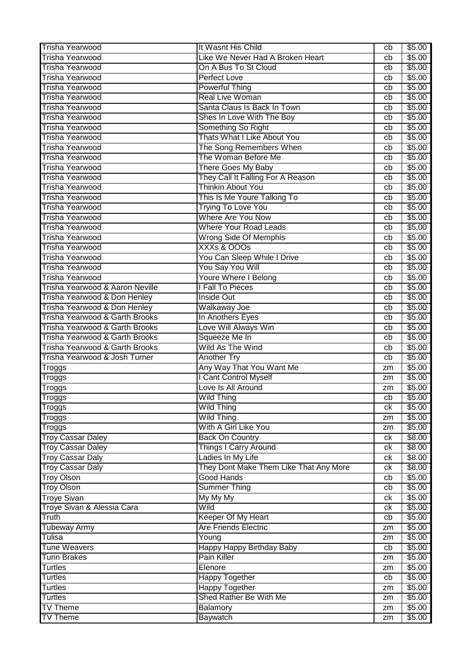| <b>Trisha Yearwood</b>                           | It Wasnt His Child                          | cb | \$5.00           |
|--------------------------------------------------|---------------------------------------------|----|------------------|
| <b>Trisha Yearwood</b>                           | Like We Never Had A Broken Heart            | cb | \$5.00           |
| <b>Trisha Yearwood</b>                           | On A Bus To St Cloud                        | cb | \$5.00           |
| <b>Trisha Yearwood</b>                           | <b>Perfect Love</b>                         | cb | \$5.00           |
| <b>Trisha Yearwood</b>                           | <b>Powerful Thing</b>                       | cb | \$5.00           |
| <b>Trisha Yearwood</b>                           | <b>Real Live Woman</b>                      | cb | \$5.00           |
| Trisha Yearwood                                  | Santa Claus Is Back In Town                 | cb | \$5.00           |
| <b>Trisha Yearwood</b>                           | Shes In Love With The Boy                   | cb | \$5.00           |
| <b>Trisha Yearwood</b>                           | Something So Right                          | cb | \$5.00           |
| <b>Trisha Yearwood</b>                           | Thats What I Like About You                 | cb | \$5.00           |
| <b>Trisha Yearwood</b>                           | The Song Remembers When                     | cb | \$5.00           |
| <b>Trisha Yearwood</b>                           | The Woman Before Me                         | cb | \$5.00           |
| <b>Trisha Yearwood</b>                           | <b>There Goes My Baby</b>                   | cb | \$5.00           |
| <b>Trisha Yearwood</b>                           | They Call It Falling For A Reason           | cb | \$5.00           |
| <b>Trisha Yearwood</b>                           | <b>Thinkin About You</b>                    | cb | \$5.00           |
| <b>Trisha Yearwood</b>                           | This Is Me Youre Talking To                 | cb | \$5.00           |
| <b>Trisha Yearwood</b>                           | <b>Trying To Love You</b>                   | cb | \$5.00           |
| <b>Trisha Yearwood</b>                           | Where Are You Now                           | cb | \$5.00           |
| Trisha Yearwood                                  | <b>Where Your Road Leads</b>                | cb | \$5.00           |
| <b>Trisha Yearwood</b>                           | <b>Wrong Side Of Memphis</b>                | cb | \$5.00           |
| <b>Trisha Yearwood</b>                           | XXXs & OOOs                                 | cb | \$5.00           |
| <b>Trisha Yearwood</b>                           | You Can Sleep While I Drive                 | cb | \$5.00           |
| <b>Trisha Yearwood</b>                           | You Say You Will                            | cb | \$5.00           |
| <b>Trisha Yearwood</b>                           | <b>Youre Where I Belong</b>                 | cb | \$5.00           |
| Trisha Yearwood & Aaron Neville                  | I Fall To Pieces                            | cb | \$5.00           |
| Trisha Yearwood & Don Henley                     | <b>Inside Out</b>                           | cb | \$5.00           |
| Trisha Yearwood & Don Henley                     | Walkaway Joe                                | cb | \$5.00           |
| Trisha Yearwood & Garth Brooks                   | In Anothers Eyes                            | cb | \$5.00           |
| Trisha Yearwood & Garth Brooks                   | Love Will Always Win                        | cb | \$5.00           |
|                                                  |                                             |    |                  |
| Trisha Yearwood & Garth Brooks                   |                                             | cb |                  |
| Trisha Yearwood & Garth Brooks                   | Squeeze Me In<br>Wild As The Wind           | cb | \$5.00<br>\$5.00 |
| Trisha Yearwood & Josh Turner                    | Another Try                                 | cb | \$5.00           |
|                                                  | Any Way That You Want Me                    | zm | \$5.00           |
| Troggs                                           |                                             | zm | \$5.00           |
| Troggs                                           | I Cant Control Myself<br>Love Is All Around | zm | \$5.00           |
| <b>Troggs</b>                                    |                                             | cb |                  |
| Troggs                                           | <b>Wild Thing</b>                           | ck | \$5.00<br>\$5.00 |
| Troggs                                           | <b>Wild Thing</b>                           | zm | \$5.00           |
| <b>Troggs</b>                                    | <b>Wild Thing</b><br>With A Girl Like You   | zm | \$5.00           |
| <b>Troggs</b><br><b>Troy Cassar Daley</b>        | <b>Back On Country</b>                      | ck | \$8.00           |
| <b>Troy Cassar Daley</b>                         | <b>Things I Carry Around</b>                | ck | \$8.00           |
| <b>Troy Cassar Daly</b>                          | Ladies In My Life                           | ck | \$8.00           |
| <b>Troy Cassar Daly</b>                          | They Dont Make Them Like That Any More      | ck | \$8.00           |
| <b>Troy Olson</b>                                | <b>Good Hands</b>                           | cb | \$5.00           |
| <b>Troy Olson</b>                                | <b>Summer Thing</b>                         | cb | \$5.00           |
|                                                  | My My My                                    | ck | \$5.00           |
| <b>Troye Sivan</b><br>Troye Sivan & Alessia Cara | Wild                                        | ck | \$5.00           |
| Truth                                            | Keeper Of My Heart                          | cb | \$5.00           |
| <b>Tubeway Army</b>                              | <b>Are Friends Electric</b>                 | zm | \$5.00           |
| Tulisa                                           | Young                                       | zm | \$5.00           |
| <b>Tune Weavers</b>                              | Happy Happy Birthday Baby                   | cb | \$5.00           |
| <b>Turin Brakes</b>                              | <b>Pain Killer</b>                          | zm | \$5.00           |
| <b>Turtles</b>                                   | Elenore                                     | zm | \$5.00           |
| <b>Turtles</b>                                   | <b>Happy Together</b>                       | cb | \$5.00           |
| <b>Turtles</b>                                   | <b>Happy Together</b>                       | zm | \$5.00           |
| <b>Turtles</b>                                   | Shed Rather Be With Me                      | zm | \$5.00           |
| <b>TV Theme</b><br><b>TV Theme</b>               | Balamory                                    | zm | \$5.00           |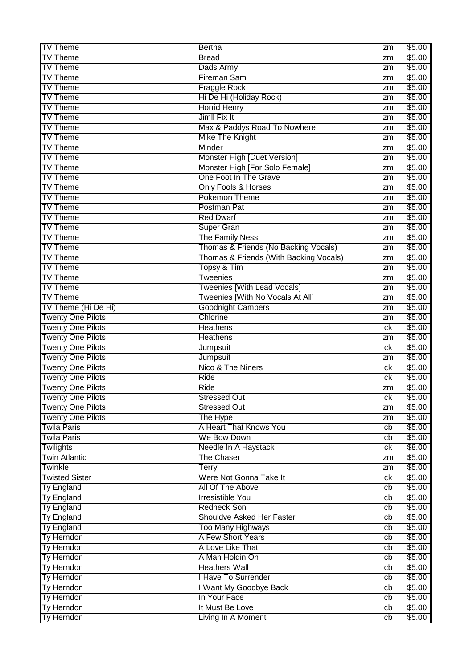| <b>TV Theme</b>          | <b>Bertha</b>                          | zm               | \$5.00 |
|--------------------------|----------------------------------------|------------------|--------|
| <b>TV Theme</b>          | <b>Bread</b>                           | zm               | \$5.00 |
| <b>TV Theme</b>          | Dads Army                              | zm               | \$5.00 |
| <b>TV Theme</b>          | <b>Fireman Sam</b>                     | zm               | \$5.00 |
| <b>TV Theme</b>          | <b>Fraggle Rock</b>                    | zm               | \$5.00 |
| <b>TV Theme</b>          | Hi De Hi (Holiday Rock)                | zm               | \$5.00 |
| <b>TV Theme</b>          | <b>Horrid Henry</b>                    | zm               | \$5.00 |
| <b>TV Theme</b>          | Jimll Fix It                           | zm               | \$5.00 |
| <b>TV Theme</b>          | Max & Paddys Road To Nowhere           | zm               | \$5.00 |
| <b>TV Theme</b>          | <b>Mike The Knight</b>                 | zm               | \$5.00 |
| <b>TV Theme</b>          | Minder                                 | zm               | \$5.00 |
| <b>TV Theme</b>          | Monster High [Duet Version]            |                  | \$5.00 |
| <b>TV Theme</b>          | Monster High [For Solo Female]         | zm               | \$5.00 |
| <b>TV Theme</b>          | One Foot In The Grave                  | zm               |        |
|                          |                                        | zm               | \$5.00 |
| <b>TV Theme</b>          | Only Fools & Horses                    | zm               | \$5.00 |
| <b>TV Theme</b>          | <b>Pokemon Theme</b>                   | zm               | \$5.00 |
| <b>TV Theme</b>          | Postman Pat                            | zm               | \$5.00 |
| <b>TV Theme</b>          | <b>Red Dwarf</b>                       | zm               | \$5.00 |
| <b>TV Theme</b>          | <b>Super Gran</b>                      | zm               | \$5.00 |
| <b>TV Theme</b>          | <b>The Family Ness</b>                 | zm               | \$5.00 |
| <b>TV Theme</b>          | Thomas & Friends (No Backing Vocals)   | zm               | \$5.00 |
| <b>TV Theme</b>          | Thomas & Friends (With Backing Vocals) | zm               | \$5.00 |
| <b>TV Theme</b>          | Topsy & Tim                            | zm               | \$5.00 |
| <b>TV Theme</b>          | <b>Tweenies</b>                        | zm               | \$5.00 |
| <b>TV Theme</b>          | <b>Tweenies [With Lead Vocals]</b>     | zm               | \$5.00 |
| <b>TV Theme</b>          | Tweenies [With No Vocals At All]       | zm               | \$5.00 |
| TV Theme (Hi De Hi)      | <b>Goodnight Campers</b>               | zm               | \$5.00 |
| <b>Twenty One Pilots</b> | Chlorine                               | zm               | \$5.00 |
| <b>Twenty One Pilots</b> | <b>Heathens</b>                        | ck               | \$5.00 |
| <b>Twenty One Pilots</b> | <b>Heathens</b>                        | zm               | \$5.00 |
| <b>Twenty One Pilots</b> | Jumpsuit                               | ck               | \$5.00 |
| <b>Twenty One Pilots</b> | <b>Jumpsuit</b>                        | zm               | \$5.00 |
| <b>Twenty One Pilots</b> | Nico & The Niners                      | ck               | \$5.00 |
| <b>Twenty One Pilots</b> | <b>Ride</b>                            | ck               | \$5.00 |
| <b>Twenty One Pilots</b> | Ride                                   | zm               | \$5.00 |
| <b>Twenty One Pilots</b> | <b>Stressed Out</b>                    | $c_{\mathsf{K}}$ | \$5.00 |
| <b>Twenty One Pilots</b> | <b>Stressed Out</b>                    | zm               | \$5.00 |
| <b>Twenty One Pilots</b> | The Hype                               | zm               | \$5.00 |
| <b>Twila Paris</b>       | A Heart That Knows You                 | cb               | \$5.00 |
| <b>Twila Paris</b>       | We Bow Down                            | cb               | \$5.00 |
| <b>Twilights</b>         | Needle In A Haystack                   | ck               | \$8.00 |
| <b>Twin Atlantic</b>     | <b>The Chaser</b>                      | zm               | \$5.00 |
| <b>Twinkle</b>           | Terry                                  | zm               | \$5.00 |
| <b>Twisted Sister</b>    | Were Not Gonna Take It                 | ck               | \$5.00 |
| <b>Ty England</b>        | All Of The Above                       | cb               | \$5.00 |
| <b>Ty England</b>        | <b>Irresistible You</b>                | cb               | \$5.00 |
| Ty England               | <b>Redneck Son</b>                     | cb               | \$5.00 |
| <b>Ty England</b>        | Shouldve Asked Her Faster              | cb               | \$5.00 |
| <b>Ty England</b>        | <b>Too Many Highways</b>               | cb               | \$5.00 |
| Ty Herndon               | A Few Short Years                      | cb               | \$5.00 |
| Ty Herndon               | A Love Like That                       | cb               | \$5.00 |
| Ty Herndon               | A Man Holdin On                        | cb               | \$5.00 |
| Ty Herndon               | <b>Heathers Wall</b>                   | cb               | \$5.00 |
| Ty Herndon               | I Have To Surrender                    | cb               | \$5.00 |
| <b>Ty Herndon</b>        | I Want My Goodbye Back                 | cb               | \$5.00 |
| Ty Herndon               | In Your Face                           | cb               | \$5.00 |
| Ty Herndon               | It Must Be Love                        | cb               | \$5.00 |
| Ty Herndon               | Living In A Moment                     | cb               | \$5.00 |
|                          |                                        |                  |        |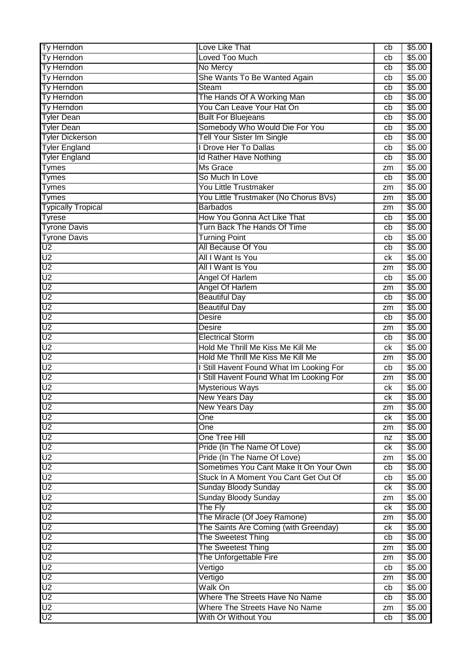| Ty Herndon                | Love Like That                           | cb               | \$5.00 |
|---------------------------|------------------------------------------|------------------|--------|
| Ty Herndon                | Loved Too Much                           | cb               | \$5.00 |
| Ty Herndon                | No Mercy                                 | cb               | \$5.00 |
| Ty Herndon                | She Wants To Be Wanted Again             | cb               | \$5.00 |
| Ty Herndon                | <b>Steam</b>                             | cb               | \$5.00 |
| Ty Herndon                | The Hands Of A Working Man               | cb               | \$5.00 |
| Ty Herndon                | You Can Leave Your Hat On                | cb               | \$5.00 |
| <b>Tyler Dean</b>         | <b>Built For Bluejeans</b>               | cb               | \$5.00 |
| <b>Tyler Dean</b>         | Somebody Who Would Die For You           | cb               | \$5.00 |
| <b>Tyler Dickerson</b>    | <b>Tell Your Sister Im Single</b>        | cb               | \$5.00 |
| <b>Tyler England</b>      | I Drove Her To Dallas                    | cb               | \$5.00 |
| <b>Tyler England</b>      | <b>Id Rather Have Nothing</b>            | cb               | \$5.00 |
| <b>Tymes</b>              | <b>Ms Grace</b>                          | zm               | \$5.00 |
| <b>Tymes</b>              | So Much In Love                          | cb               | \$5.00 |
| <b>Tymes</b>              | <b>You Little Trustmaker</b>             | zm               | \$5.00 |
| <b>Tymes</b>              | You Little Trustmaker (No Chorus BVs)    | zm               | \$5.00 |
| <b>Typically Tropical</b> | <b>Barbados</b>                          | zm               | \$5.00 |
| <b>Tyrese</b>             | How You Gonna Act Like That              | cb               | \$5.00 |
| <b>Tyrone Davis</b>       | Turn Back The Hands Of Time              | cb               | \$5.00 |
| <b>Tyrone Davis</b>       | <b>Turning Point</b>                     | cb               | \$5.00 |
| $\overline{\mathsf{U2}}$  | All Because Of You                       | cb               | \$5.00 |
| U2                        | All I Want Is You                        | ck               | \$5.00 |
| U2                        | All I Want Is You                        | zm               | \$5.00 |
| U <sub>2</sub>            | <b>Angel Of Harlem</b>                   | cb               | \$5.00 |
| U <sub>2</sub>            | <b>Angel Of Harlem</b>                   | zm               | \$5.00 |
| U2                        | <b>Beautiful Day</b>                     | cb               | \$5.00 |
| U <sub>2</sub>            | <b>Beautiful Day</b>                     | zm               | \$5.00 |
| $\overline{U2}$           | <b>Desire</b>                            | cb               | \$5.00 |
| U <sub>2</sub>            | <b>Desire</b>                            | zm               | \$5.00 |
| $\overline{U2}$           | <b>Electrical Storm</b>                  | cb               | \$5.00 |
| U <sub>2</sub>            | Hold Me Thrill Me Kiss Me Kill Me        | ck               | \$5.00 |
| U <sub>2</sub>            | Hold Me Thrill Me Kiss Me Kill Me        | zm               | \$5.00 |
| $\overline{\mathsf{U2}}$  | I Still Havent Found What Im Looking For | cb               | \$5.00 |
| $\overline{U2}$           | I Still Havent Found What Im Looking For | zm               | \$5.00 |
| $\overline{U2}$           | <b>Mysterious Ways</b>                   | ck               | \$5.00 |
| U <sub>2</sub>            | <b>New Years Day</b>                     | $c_{\mathsf{K}}$ | \$5.00 |
| U <sub>2</sub>            | <b>New Years Day</b>                     | zm               | \$5.00 |
| U <sub>2</sub>            | One                                      | ck               | \$5.00 |
| U <sub>2</sub>            | One                                      | zm               | \$5.00 |
| $\overline{U2}$           | One Tree Hill                            | nz               | \$5.00 |
| $\overline{U2}$           | Pride (In The Name Of Love)              | ck               | \$5.00 |
| U <sub>2</sub>            | Pride (In The Name Of Love)              | zm               | \$5.00 |
| $\overline{U2}$           | Sometimes You Cant Make It On Your Own   | cb               | \$5.00 |
| $\overline{U}$            | Stuck In A Moment You Cant Get Out Of    | cb               | \$5.00 |
| U <sub>2</sub>            | <b>Sunday Bloody Sunday</b>              | ck               | \$5.00 |
| $\overline{U2}$           | <b>Sunday Bloody Sunday</b>              | zm               | \$5.00 |
| $\overline{U}$            | The Fly                                  | сk               | \$5.00 |
| $\overline{U2}$           | The Miracle (Of Joey Ramone)             | zm               | \$5.00 |
| $\overline{U}$            | The Saints Are Coming (with Greenday)    | ck               | \$5.00 |
| U <sub>2</sub>            | The Sweetest Thing                       | cb               | \$5.00 |
| $\overline{U2}$           | The Sweetest Thing                       | zm               | \$5.00 |
| U <sub>2</sub>            | The Unforgettable Fire                   | zm               | \$5.00 |
| $\overline{U2}$           | Vertigo                                  | cb               | \$5.00 |
| U2                        | Vertigo                                  | zm               | \$5.00 |
| U <sub>2</sub>            | Walk On                                  | cb               | \$5.00 |
| U <sub>2</sub>            | Where The Streets Have No Name           | cb               | \$5.00 |
| $\overline{U}$            | Where The Streets Have No Name           | zm               | \$5.00 |
| $\overline{U2}$           | With Or Without You                      | cb               | \$5.00 |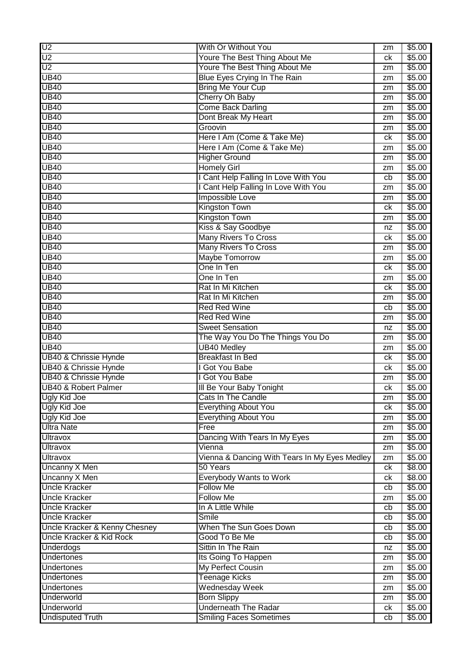| U <sub>2</sub>                   | With Or Without You                           | zm | \$5.00 |
|----------------------------------|-----------------------------------------------|----|--------|
| U <sub>2</sub>                   | Youre The Best Thing About Me                 | сk | \$5.00 |
| $\overline{U}$                   | Youre The Best Thing About Me                 | zm | \$5.00 |
| <b>UB40</b>                      | Blue Eyes Crying In The Rain                  | zm | \$5.00 |
| <b>UB40</b>                      | <b>Bring Me Your Cup</b>                      | zm | \$5.00 |
| <b>UB40</b>                      | Cherry Oh Baby                                | zm | \$5.00 |
| <b>UB40</b>                      | <b>Come Back Darling</b>                      | zm | \$5.00 |
| <b>UB40</b>                      | Dont Break My Heart                           | zm | \$5.00 |
| <b>UB40</b>                      | Groovin                                       | zm | \$5.00 |
| <b>UB40</b>                      | Here I Am (Come & Take Me)                    | ck | \$5.00 |
| <b>UB40</b>                      | Here I Am (Come & Take Me)                    | zm | \$5.00 |
| <b>UB40</b>                      | <b>Higher Ground</b>                          | zm | \$5.00 |
| <b>UB40</b>                      | <b>Homely Girl</b>                            | zm | \$5.00 |
| <b>UB40</b>                      | I Cant Help Falling In Love With You          | cb | \$5.00 |
| <b>UB40</b>                      | I Cant Help Falling In Love With You          | zm | \$5.00 |
| <b>UB40</b>                      | Impossible Love                               | zm | \$5.00 |
| <b>UB40</b>                      | <b>Kingston Town</b>                          | ck | \$5.00 |
| <b>UB40</b>                      | <b>Kingston Town</b>                          | zm | \$5.00 |
| <b>UB40</b>                      | Kiss & Say Goodbye                            | nz | \$5.00 |
| <b>UB40</b>                      | <b>Many Rivers To Cross</b>                   | сk | \$5.00 |
| <b>UB40</b>                      | <b>Many Rivers To Cross</b>                   | zm | \$5.00 |
| <b>UB40</b>                      | <b>Maybe Tomorrow</b>                         | zm | \$5.00 |
| <b>UB40</b>                      | One In Ten                                    | ck | \$5.00 |
| <b>UB40</b>                      | One In Ten                                    | zm | \$5.00 |
| <b>UB40</b>                      | Rat In Mi Kitchen                             | ck | \$5.00 |
| <b>UB40</b>                      | Rat In Mi Kitchen                             | zm | \$5.00 |
| <b>UB40</b>                      | <b>Red Red Wine</b>                           | cb | \$5.00 |
| <b>UB40</b>                      | <b>Red Red Wine</b>                           | zm | \$5.00 |
| <b>UB40</b>                      | <b>Sweet Sensation</b>                        | nz | \$5.00 |
| <b>UB40</b>                      | The Way You Do The Things You Do              | zm | \$5.00 |
| <b>UB40</b>                      | <b>UB40 Medley</b>                            | zm | \$5.00 |
| UB40 & Chrissie Hynde            | <b>Breakfast In Bed</b>                       | ck | \$5.00 |
| <b>UB40 &amp; Chrissie Hynde</b> | I Got You Babe                                | ck | \$5.00 |
| <b>UB40 &amp; Chrissie Hynde</b> | I Got You Babe                                | zm | \$5.00 |
| <b>UB40 &amp; Robert Palmer</b>  | III Be Your Baby Tonight                      | ck | \$5.00 |
| Ugly Kid Joe                     | Cats In The Candle                            | zm | \$5.00 |
| <b>Ugly Kid Joe</b>              | <b>Everything About You</b>                   | ck | \$5.00 |
| <b>Ugly Kid Joe</b>              | <b>Everything About You</b>                   | zm | \$5.00 |
| <b>Ultra Nate</b>                | Free                                          | zm | \$5.00 |
| <b>Ultravox</b>                  | Dancing With Tears In My Eyes                 | zm | \$5.00 |
| <b>Ultravox</b>                  | Vienna                                        | zm | \$5.00 |
| Ultravox                         | Vienna & Dancing With Tears In My Eyes Medley | zm | \$5.00 |
| <b>Uncanny X Men</b>             | 50 Years                                      | ck | \$8.00 |
| Uncanny X Men                    | <b>Everybody Wants to Work</b>                | ck | \$8.00 |
| <b>Uncle Kracker</b>             | <b>Follow Me</b>                              | cb | \$5.00 |
| <b>Uncle Kracker</b>             | <b>Follow Me</b>                              | zm | \$5.00 |
| <b>Uncle Kracker</b>             | In A Little While                             | cb | \$5.00 |
| <b>Uncle Kracker</b>             | Smile                                         | cb | \$5.00 |
| Uncle Kracker & Kenny Chesney    | When The Sun Goes Down                        | cb | \$5.00 |
| Uncle Kracker & Kid Rock         | Good To Be Me                                 | cb | \$5.00 |
| Underdogs                        | Sittin In The Rain                            | nz | \$5.00 |
| <b>Undertones</b>                | Its Going To Happen                           | zm | \$5.00 |
| <b>Undertones</b>                | My Perfect Cousin                             | zm | \$5.00 |
| <b>Undertones</b>                | <b>Teenage Kicks</b>                          | zm | \$5.00 |
| Undertones                       | <b>Wednesday Week</b>                         | zm | \$5.00 |
| <b>Underworld</b>                | <b>Born Slippy</b>                            | zm | \$5.00 |
| <b>Underworld</b>                | <b>Underneath The Radar</b>                   | ck | \$5.00 |
| <b>Undisputed Truth</b>          | <b>Smiling Faces Sometimes</b>                | cb | \$5.00 |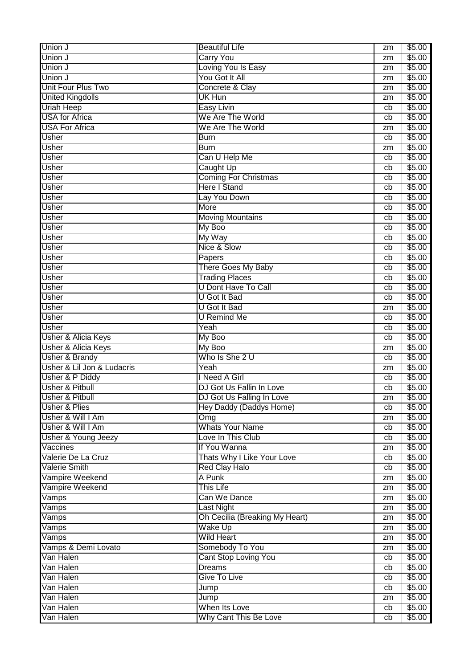| Union J                        | <b>Beautiful Life</b>          | zm       | \$5.00 |
|--------------------------------|--------------------------------|----------|--------|
| Union J                        | <b>Carry You</b>               | zm       | \$5.00 |
| Union J                        | Loving You Is Easy             | zm       | \$5.00 |
| Union J                        | You Got It All                 | zm       | \$5.00 |
| Unit Four Plus Two             | Concrete & Clay                | zm       | \$5.00 |
| <b>United Kingdolls</b>        | UK Hun                         | zm       | \$5.00 |
| <b>Uriah Heep</b>              | <b>Easy Livin</b>              | cb       | \$5.00 |
| <b>USA</b> for Africa          | We Are The World               | cb       | \$5.00 |
| <b>USA For Africa</b>          | We Are The World               | zm       | \$5.00 |
| <b>Usher</b>                   | <b>Burn</b>                    | cb       | \$5.00 |
| <b>Usher</b>                   | <b>Burn</b>                    | zm       | \$5.00 |
| <b>Usher</b>                   | Can U Help Me                  | cb       | \$5.00 |
| <b>Usher</b>                   | Caught Up                      | cb       | \$5.00 |
| <b>Usher</b>                   | <b>Coming For Christmas</b>    |          | \$5.00 |
| <b>Usher</b>                   | <b>Here I Stand</b>            | cb<br>cb | \$5.00 |
|                                |                                |          |        |
| <b>Usher</b>                   | Lay You Down                   | cb       | \$5.00 |
| <b>Usher</b>                   | More                           | cb       | \$5.00 |
| <b>Usher</b>                   | <b>Moving Mountains</b>        | cb       | \$5.00 |
| Usher                          | My Boo                         | cb       | \$5.00 |
| <b>Usher</b>                   | My Way                         | cb       | \$5.00 |
| Usher                          | Nice & Slow                    | cb       | \$5.00 |
| <b>Usher</b>                   | Papers                         | cb       | \$5.00 |
| <b>Usher</b>                   | <b>There Goes My Baby</b>      | cb       | \$5.00 |
| <b>Usher</b>                   | <b>Trading Places</b>          | cb       | \$5.00 |
| <b>Usher</b>                   | <b>U Dont Have To Call</b>     | cb       | \$5.00 |
| <b>Usher</b>                   | <b>U</b> Got It Bad            | cb       | \$5.00 |
| <b>Usher</b>                   | <b>U</b> Got It Bad            | zm       | \$5.00 |
| <b>Usher</b>                   | <b>U</b> Remind Me             | cb       | \$5.00 |
| Usher                          | Yeah                           | cb       | \$5.00 |
| Usher & Alicia Keys            | My Boo                         | cb       | \$5.00 |
| Usher & Alicia Keys            | My Boo                         | zm       | \$5.00 |
| <b>Usher &amp; Brandy</b>      | Who Is She 2 U                 | cb       | \$5.00 |
| Usher & Lil Jon & Ludacris     | Yeah                           | zm       | \$5.00 |
| Usher & P Diddy                | I Need A Girl                  | cb       | \$5.00 |
| <b>Usher &amp; Pitbull</b>     | DJ Got Us Fallin In Love       | cb       | \$5.00 |
| <b>Usher &amp; Pitbull</b>     | DJ Got Us Falling In Love      | zm       | \$5.00 |
| Usher & Plies                  | Hey Daddy (Daddys Home)        | cb       | \$5.00 |
| Usher & Will I Am              | Omg                            | zm       | \$5.00 |
| Usher & Will I Am              | <b>Whats Your Name</b>         | cb       | \$5.00 |
| <b>Usher &amp; Young Jeezy</b> | Love In This Club              | cb       | \$5.00 |
| Vaccines                       | If You Wanna                   | zm       | \$5.00 |
| Valerie De La Cruz             | Thats Why I Like Your Love     | cb       | \$5.00 |
| <b>Valerie Smith</b>           | <b>Red Clay Halo</b>           | cb       | \$5.00 |
| Vampire Weekend                | A Punk                         | zm       | \$5.00 |
| Vampire Weekend                | <b>This Life</b>               | zm       | \$5.00 |
| Vamps                          | Can We Dance                   | zm       | \$5.00 |
| Vamps                          | <b>Last Night</b>              | zm       | \$5.00 |
| Vamps                          | Oh Cecilia (Breaking My Heart) | zm       | \$5.00 |
| Vamps                          | <b>Wake Up</b>                 | zm       | \$5.00 |
| $\overline{\mathsf{V}}$ amps   | <b>Wild Heart</b>              | zm       | \$5.00 |
| Vamps & Demi Lovato            | Somebody To You                |          | \$5.00 |
| Van Halen                      | <b>Cant Stop Loving You</b>    | zm<br>cb | \$5.00 |
| Van Halen                      | <b>Dreams</b>                  |          | \$5.00 |
|                                | <b>Give To Live</b>            | cb       |        |
| Van Halen                      |                                | cb       | \$5.00 |
| Van Halen                      | Jump                           | cb       | \$5.00 |
| Van Halen                      | Jump                           | zm       | \$5.00 |
| Van Halen                      | When Its Love                  | cb       | \$5.00 |
| Van Halen                      | Why Cant This Be Love          | cb       | \$5.00 |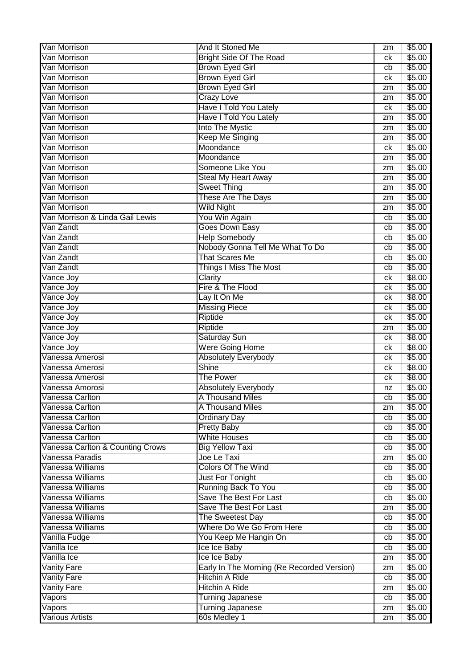| Van Morrison                     | And It Stoned Me                           | zm | \$5.00 |
|----------------------------------|--------------------------------------------|----|--------|
| Van Morrison                     | <b>Bright Side Of The Road</b>             | сk | \$5.00 |
| Van Morrison                     | <b>Brown Eyed Girl</b>                     | cb | \$5.00 |
| Van Morrison                     | <b>Brown Eyed Girl</b>                     | ck | \$5.00 |
| Van Morrison                     | <b>Brown Eyed Girl</b>                     | zm | \$5.00 |
| Van Morrison                     | <b>Crazy Love</b>                          | zm | \$5.00 |
| Van Morrison                     | Have I Told You Lately                     | ck | \$5.00 |
| Van Morrison                     | <b>Have I Told You Lately</b>              | zm | \$5.00 |
| Van Morrison                     | Into The Mystic                            | zm | \$5.00 |
| Van Morrison                     | <b>Keep Me Singing</b>                     | zm | \$5.00 |
| Van Morrison                     | Moondance                                  | ck | \$5.00 |
| Van Morrison                     | Moondance                                  | zm | \$5.00 |
| Van Morrison                     | Someone Like You                           | zm | \$5.00 |
| Van Morrison                     | <b>Steal My Heart Away</b>                 | zm | \$5.00 |
| Van Morrison                     | <b>Sweet Thing</b>                         | zm | \$5.00 |
| Van Morrison                     | <b>These Are The Days</b>                  | zm | \$5.00 |
| Van Morrison                     | <b>Wild Night</b>                          | zm | \$5.00 |
| Van Morrison & Linda Gail Lewis  | You Win Again                              | cb | \$5.00 |
| Van Zandt                        | Goes Down Easy                             | cb | \$5.00 |
| Van Zandt                        | <b>Help Somebody</b>                       | cb | \$5.00 |
| Van Zandt                        | Nobody Gonna Tell Me What To Do            | cb | \$5.00 |
| Van Zandt                        | That Scares Me                             | cb | \$5.00 |
| Van Zandt                        | <b>Things I Miss The Most</b>              | cb | \$5.00 |
| Vance Joy                        | Clarity                                    | ck | \$8.00 |
| Vance Joy                        | Fire & The Flood                           | ck | \$5.00 |
| Vance Joy                        | Lay It On Me                               | ck | \$8.00 |
| Vance Joy                        | <b>Missing Piece</b>                       | ck | \$5.00 |
| Vance Joy                        | Riptide                                    | сk | \$5.00 |
| Vance Joy                        | Riptide                                    | zm | \$5.00 |
| Vance Joy                        | <b>Saturday Sun</b>                        | сk | \$8.00 |
| Vance Joy                        | <b>Were Going Home</b>                     | ck | \$8.00 |
| Vanessa Amerosi                  | <b>Absolutely Everybody</b>                | ck | \$5.00 |
| Vanessa Amerosi                  | <b>Shine</b>                               | сk | \$8.00 |
| Vanessa Amerosi                  | <b>The Power</b>                           | ck | \$8.00 |
| Vanessa Amorosi                  | <b>Absolutely Everybody</b>                | nz | \$5.00 |
| Vanessa Carlton                  | A Thousand Miles                           | cb | \$5.00 |
| Vanessa Carlton                  | A Thousand Miles                           | zm | \$5.00 |
| Vanessa Carlton                  | <b>Ordinary Day</b>                        | cb | \$5.00 |
| Vanessa Carlton                  | <b>Pretty Baby</b>                         | cb | \$5.00 |
| Vanessa Carlton                  | <b>White Houses</b>                        | cb | \$5.00 |
| Vanessa Carlton & Counting Crows | <b>Big Yellow Taxi</b>                     | cb | \$5.00 |
| Vanessa Paradis                  | Joe Le Taxi                                | zm | \$5.00 |
| Vanessa Williams                 | <b>Colors Of The Wind</b>                  | cb | \$5.00 |
| Vanessa Williams                 | Just For Tonight                           | cb | \$5.00 |
| Vanessa Williams                 | Running Back To You                        | cb | \$5.00 |
| Vanessa Williams                 | Save The Best For Last                     | cb | \$5.00 |
| Vanessa Williams                 | Save The Best For Last                     | zm | \$5.00 |
| Vanessa Williams                 | The Sweetest Day                           | cb | \$5.00 |
| Vanessa Williams                 | Where Do We Go From Here                   | cb | \$5.00 |
| Vanilla Fudge                    | You Keep Me Hangin On                      | cb | \$5.00 |
| Vanilla Ice                      | Ice Ice Baby                               | cb | \$5.00 |
| Vanilla Ice                      | Ice Ice Baby                               | zm | \$5.00 |
| <b>Vanity Fare</b>               | Early In The Morning (Re Recorded Version) | zm | \$5.00 |
| <b>Vanity Fare</b>               | <b>Hitchin A Ride</b>                      | cb | \$5.00 |
| <b>Vanity Fare</b>               | <b>Hitchin A Ride</b>                      | zm | \$5.00 |
| Vapors                           | <b>Turning Japanese</b>                    | cb | \$5.00 |
| Vapors                           | <b>Turning Japanese</b>                    | zm | \$5.00 |
| <b>Various Artists</b>           | 60s Medley 1                               | zm | \$5.00 |
|                                  |                                            |    |        |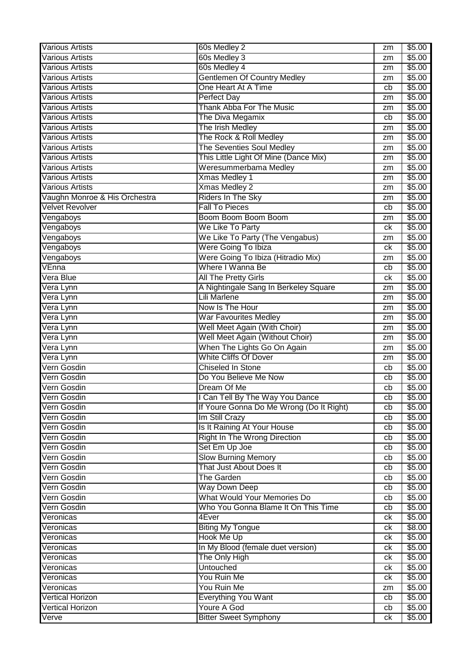| <b>Various Artists</b>           | 60s Medley 2                                       | zm       | \$5.00           |
|----------------------------------|----------------------------------------------------|----------|------------------|
| <b>Various Artists</b>           | 60s Medley 3                                       | zm       | \$5.00           |
| <b>Various Artists</b>           | 60s Medley 4                                       | zm       | \$5.00           |
| <b>Various Artists</b>           | <b>Gentlemen Of Country Medley</b>                 | zm       | \$5.00           |
| <b>Various Artists</b>           | One Heart At A Time                                | cb       | \$5.00           |
| <b>Various Artists</b>           | <b>Perfect Day</b>                                 | zm       | \$5.00           |
| <b>Various Artists</b>           | <b>Thank Abba For The Music</b>                    | zm       | \$5.00           |
| <b>Various Artists</b>           | The Diva Megamix                                   | cb       | \$5.00           |
| <b>Various Artists</b>           | The Irish Medley                                   | zm       | \$5.00           |
| <b>Various Artists</b>           | The Rock & Roll Medley                             | zm       | \$5.00           |
| Various Artists                  | The Seventies Soul Medley                          | zm       | \$5.00           |
| <b>Various Artists</b>           | This Little Light Of Mine (Dance Mix)              | zm       | \$5.00           |
| <b>Various Artists</b>           | Weresummerbama Medley                              | zm       | \$5.00           |
| <b>Various Artists</b>           | <b>Xmas Medley 1</b>                               | zm       | \$5.00           |
| <b>Various Artists</b>           | <b>Xmas Medley 2</b>                               | zm       | \$5.00           |
| Vaughn Monroe & His Orchestra    | Riders In The Sky                                  |          | \$5.00           |
| <b>Velvet Revolver</b>           | <b>Fall To Pieces</b>                              | zm       |                  |
|                                  |                                                    | cb       | \$5.00           |
| Vengaboys                        | Boom Boom Boom Boom                                | zm       | \$5.00           |
| Vengaboys                        | We Like To Party                                   | ck       | \$5.00           |
| Vengaboys                        | We Like To Party (The Vengabus)                    | zm       | \$5.00           |
| Vengaboys                        | Were Going To Ibiza                                | ck       | \$5.00           |
| Vengaboys                        | Were Going To Ibiza (Hitradio Mix)                 | zm       | \$5.00           |
| VEnna                            | Where I Wanna Be                                   | cb       | \$5.00           |
| Vera Blue                        | All The Pretty Girls                               | ck       | \$5.00           |
| Vera Lynn                        | A Nightingale Sang In Berkeley Square              | zm       | \$5.00           |
| Vera Lynn                        | <b>Lili Marlene</b>                                | zm       | \$5.00           |
| Vera Lynn                        | Now Is The Hour                                    | zm       | \$5.00           |
| Vera Lynn                        | <b>War Favourites Medley</b>                       | zm       | \$5.00           |
| Vera Lynn                        | Well Meet Again (With Choir)                       | zm       | \$5.00           |
| Vera Lynn                        | Well Meet Again (Without Choir)                    | zm       | \$5.00           |
| Vera Lynn                        | When The Lights Go On Again                        | zm       | \$5.00           |
| Vera Lynn                        | <b>White Cliffs Of Dover</b>                       | zm       | \$5.00           |
| Vern Gosdin                      | <b>Chiseled In Stone</b>                           | cb       | \$5.00           |
| Vern Gosdin                      | Do You Believe Me Now                              | cb       | \$5.00           |
| Vern Gosdin                      | Dream Of Me                                        | cb       | $\sqrt{$5.00}$   |
| Vern Gosdin                      | I Can Tell By The Way You Dance                    | cb       | \$5.00           |
| Vern Gosdin                      | If Youre Gonna Do Me Wrong (Do It Right)           | cb       | \$5.00           |
| Vern Gosdin                      | Im Still Crazy                                     | cb       | \$5.00           |
| Vern Gosdin                      | Is It Raining At Your House                        | cb       | \$5.00           |
| Vern Gosdin                      | <b>Right In The Wrong Direction</b>                | cb       | \$5.00           |
| Vern Gosdin                      | Set Em Up Joe                                      | cb       | \$5.00           |
| Vern Gosdin                      | <b>Slow Burning Memory</b>                         | cb       | \$5.00           |
| Vern Gosdin                      | That Just About Does It                            | cb       | \$5.00           |
| Vern Gosdin                      | <b>The Garden</b>                                  | cb       | \$5.00           |
| Vern Gosdin                      | <b>Way Down Deep</b>                               | cb       | \$5.00           |
| Vern Gosdin                      | What Would Your Memories Do                        | cb       | \$5.00           |
| Vern Gosdin                      | Who You Gonna Blame It On This Time                | cb       | \$5.00           |
| Veronicas                        | 4Ever                                              | ck       | \$5.00           |
| Veronicas                        | <b>Biting My Tongue</b>                            | ck       | \$8.00           |
| Veronicas                        | Hook Me Up                                         | ck       | \$5.00           |
| Veronicas                        | In My Blood (female duet version)                  | ck       | \$5.00           |
| Veronicas                        | The Only High                                      | ck       | \$5.00           |
| Veronicas                        | <b>Untouched</b>                                   |          | \$5.00           |
| Veronicas                        | You Ruin Me                                        | ck       | \$5.00           |
|                                  |                                                    | ck<br>zm | \$5.00           |
| Veronicas                        |                                                    |          |                  |
|                                  | You Ruin Me                                        |          |                  |
| <b>Vertical Horizon</b>          | <b>Everything You Want</b>                         | cb       | \$5.00           |
| <b>Vertical Horizon</b><br>Verve | <b>Youre A God</b><br><b>Bitter Sweet Symphony</b> | cb<br>ck | \$5.00<br>\$5.00 |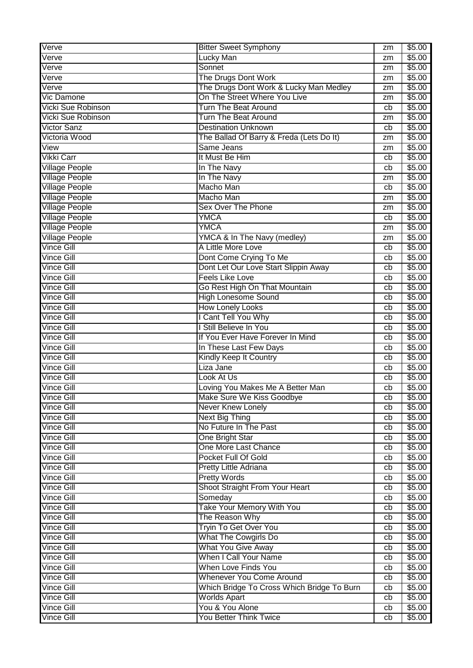| Verve                     | <b>Bitter Sweet Symphony</b>               | zm | \$5.00 |
|---------------------------|--------------------------------------------|----|--------|
| Verve                     | Lucky Man                                  | zm | \$5.00 |
| Verve                     | Sonnet                                     | zm | \$5.00 |
| Verve                     | The Drugs Dont Work                        | zm | \$5.00 |
| Verve                     | The Drugs Dont Work & Lucky Man Medley     | zm | \$5.00 |
| <b>Vic Damone</b>         | On The Street Where You Live               | zm | \$5.00 |
| <b>Vicki Sue Robinson</b> | Turn The Beat Around                       | cb | \$5.00 |
| Vicki Sue Robinson        | Turn The Beat Around                       | zm | \$5.00 |
| <b>Victor Sanz</b>        | <b>Destination Unknown</b>                 | cb | \$5.00 |
| Victoria Wood             | The Ballad Of Barry & Freda (Lets Do It)   | zm | \$5.00 |
| View                      | Same Jeans                                 | zm | \$5.00 |
| Vikki Carr                | It Must Be Him                             | cb | \$5.00 |
| <b>Village People</b>     | In The Navy                                | cb | \$5.00 |
| <b>Village People</b>     | In The Navy                                | zm | \$5.00 |
| <b>Village People</b>     | Macho Man                                  | cb | \$5.00 |
| <b>Village People</b>     | Macho Man                                  | zm | \$5.00 |
| <b>Village People</b>     | <b>Sex Over The Phone</b>                  | zm | \$5.00 |
| <b>Village People</b>     | YMCA                                       | cb | \$5.00 |
| <b>Village People</b>     | <b>YMCA</b>                                | zm | \$5.00 |
| <b>Village People</b>     | YMCA & In The Navy (medley)                | zm | \$5.00 |
| <b>Vince Gill</b>         | A Little More Love                         | cb | \$5.00 |
| <b>Vince Gill</b>         | Dont Come Crying To Me                     | cb | \$5.00 |
| <b>Vince Gill</b>         | Dont Let Our Love Start Slippin Away       | cb | \$5.00 |
| <b>Vince Gill</b>         | <b>Feels Like Love</b>                     | cb | \$5.00 |
| Vince Gill                | Go Rest High On That Mountain              | cb | \$5.00 |
| <b>Vince Gill</b>         | <b>High Lonesome Sound</b>                 | cb | \$5.00 |
| <b>Vince Gill</b>         | <b>How Lonely Looks</b>                    | cb | \$5.00 |
| <b>Vince Gill</b>         | I Cant Tell You Why                        | cb | \$5.00 |
| <b>Vince Gill</b>         | I Still Believe In You                     | cb | \$5.00 |
| <b>Vince Gill</b>         | If You Ever Have Forever In Mind           | cb | \$5.00 |
| <b>Vince Gill</b>         | In These Last Few Days                     | cb | \$5.00 |
| <b>Vince Gill</b>         | <b>Kindly Keep It Country</b>              | cb | \$5.00 |
| <b>Vince Gill</b>         | Liza Jane                                  | cb | \$5.00 |
| Vince Gill                | Look At Us                                 | cb | \$5.00 |
| Vince Gill                | Loving You Makes Me A Better Man           | cb | \$5.00 |
| <b>Vince Gill</b>         | Make Sure We Kiss Goodbye                  | cb | \$5.00 |
| <b>Vince Gill</b>         | <b>Never Knew Lonely</b>                   | cb | \$5.00 |
| <b>Vince Gill</b>         | Next Big Thing                             | cb | \$5.00 |
| Vince Gill                | No Future In The Past                      | cb | \$5.00 |
| <b>Vince Gill</b>         | One Bright Star                            | cb | \$5.00 |
| <b>Vince Gill</b>         | One More Last Chance                       | cb | \$5.00 |
| <b>Vince Gill</b>         | Pocket Full Of Gold                        | cb | \$5.00 |
| <b>Vince Gill</b>         | Pretty Little Adriana                      | cb | \$5.00 |
| <b>Vince Gill</b>         | <b>Pretty Words</b>                        | cb | \$5.00 |
| <b>Vince Gill</b>         | Shoot Straight From Your Heart             | cb | \$5.00 |
| <b>Vince Gill</b>         | Someday                                    | cb | \$5.00 |
| <b>Vince Gill</b>         | Take Your Memory With You                  | cb | \$5.00 |
| <b>Vince Gill</b>         | The Reason Why                             | cb | \$5.00 |
| <b>Vince Gill</b>         | <b>Tryin To Get Over You</b>               | cb | \$5.00 |
| <b>Vince Gill</b>         | <b>What The Cowgirls Do</b>                | cb | \$5.00 |
| <b>Vince Gill</b>         | <b>What You Give Away</b>                  | cb | \$5.00 |
| <b>Vince Gill</b>         | <b>When I Call Your Name</b>               | cb | \$5.00 |
| <b>Vince Gill</b>         | <b>When Love Finds You</b>                 | cb | \$5.00 |
| <b>Vince Gill</b>         | <b>Whenever You Come Around</b>            | cb | \$5.00 |
| <b>Vince Gill</b>         | Which Bridge To Cross Which Bridge To Burn | cb | \$5.00 |
| <b>Vince Gill</b>         | <b>Worlds Apart</b>                        | cb | \$5.00 |
| Vince Gill                | You & You Alone                            | cb | \$5.00 |
| <b>Vince Gill</b>         | You Better Think Twice                     | cb | \$5.00 |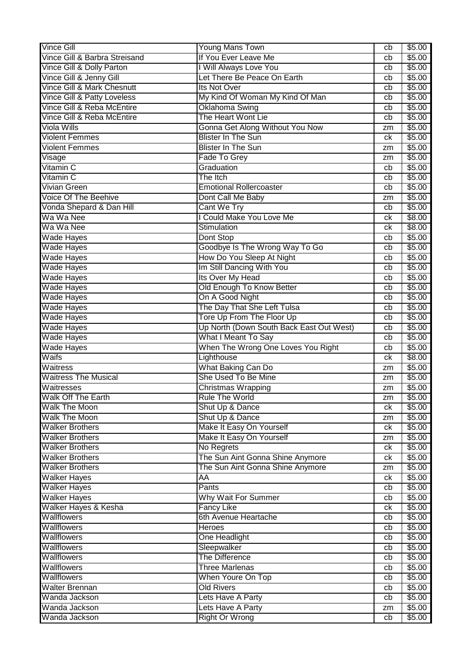| <b>Vince Gill</b>                      | Young Mans Town                          | cb | \$5.00 |
|----------------------------------------|------------------------------------------|----|--------|
| Vince Gill & Barbra Streisand          | If You Ever Leave Me                     | cb | \$5.00 |
| Vince Gill & Dolly Parton              | I Will Always Love You                   | cb | \$5.00 |
| Vince Gill & Jenny Gill                | Let There Be Peace On Earth              | cb | \$5.00 |
| Vince Gill & Mark Chesnutt             | Its Not Over                             | cb | \$5.00 |
| <b>Vince Gill &amp; Patty Loveless</b> | My Kind Of Woman My Kind Of Man          | cb | \$5.00 |
| Vince Gill & Reba McEntire             | Oklahoma Swing                           | cb | \$5.00 |
| Vince Gill & Reba McEntire             | The Heart Wont Lie                       | cb | \$5.00 |
| Viola Wills                            | Gonna Get Along Without You Now          | zm | \$5.00 |
| <b>Violent Femmes</b>                  | <b>Blister In The Sun</b>                | ck | \$5.00 |
| <b>Violent Femmes</b>                  | <b>Blister In The Sun</b>                | zm | \$5.00 |
| $\overline{\mathsf{V}}$ isage          | Fade To Grey                             | zm | \$5.00 |
| Vitamin C                              | Graduation                               | cb | \$5.00 |
| Vitamin C                              | The Itch                                 | cb | \$5.00 |
| Vivian Green                           | <b>Emotional Rollercoaster</b>           | cb | \$5.00 |
| Voice Of The Beehive                   | Dont Call Me Baby                        | zm | \$5.00 |
| Vonda Shepard & Dan Hill               | Cant We Try                              | cb | \$5.00 |
| Wa Wa Nee                              | I Could Make You Love Me                 | ck | \$8.00 |
| Wa Wa Nee                              | Stimulation                              | ck | \$8.00 |
| <b>Wade Hayes</b>                      | Dont Stop                                | cb | \$5.00 |
| <b>Wade Hayes</b>                      | Goodbye Is The Wrong Way To Go           | cb | \$5.00 |
| <b>Wade Hayes</b>                      | How Do You Sleep At Night                | cb | \$5.00 |
| <b>Wade Hayes</b>                      | Im Still Dancing With You                | cb | \$5.00 |
| <b>Wade Hayes</b>                      | Its Over My Head                         | cb | \$5.00 |
| <b>Wade Hayes</b>                      | Old Enough To Know Better                | cb | \$5.00 |
| <b>Wade Hayes</b>                      | On A Good Night                          | cb | \$5.00 |
| <b>Wade Hayes</b>                      | The Day That She Left Tulsa              | cb | \$5.00 |
| <b>Wade Hayes</b>                      | Tore Up From The Floor Up                | cb | \$5.00 |
| <b>Wade Hayes</b>                      | Up North (Down South Back East Out West) | cb | \$5.00 |
| <b>Wade Hayes</b>                      | <b>What I Meant To Say</b>               | cb | \$5.00 |
| <b>Wade Hayes</b>                      | When The Wrong One Loves You Right       | cb | \$5.00 |
| Waifs                                  | Lighthouse                               | ck | \$8.00 |
| Waitress                               | What Baking Can Do                       | zm | \$5.00 |
| <b>Waitress The Musical</b>            | She Used To Be Mine                      | zm | \$5.00 |
| Waitresses                             | <b>Christmas Wrapping</b>                | zm | \$5.00 |
| Walk Off The Earth                     | Rule The World                           | zm | \$5.00 |
| <b>Walk The Moon</b>                   | Shut Up & Dance                          | сk | \$5.00 |
| <b>Walk The Moon</b>                   | Shut Up & Dance                          | zm | \$5.00 |
| <b>Walker Brothers</b>                 | Make It Easy On Yourself                 | ck | \$5.00 |
| <b>Walker Brothers</b>                 | Make It Easy On Yourself                 | zm | \$5.00 |
| <b>Walker Brothers</b>                 | No Regrets                               | ck | \$5.00 |
| <b>Walker Brothers</b>                 | The Sun Aint Gonna Shine Anymore         | ck | \$5.00 |
| <b>Walker Brothers</b>                 | The Sun Aint Gonna Shine Anymore         | zm | \$5.00 |
| <b>Walker Hayes</b>                    | AĀ                                       | ck | \$5.00 |
| <b>Walker Hayes</b>                    | Pants                                    | cb | \$5.00 |
| <b>Walker Hayes</b>                    | <b>Why Wait For Summer</b>               | cb | \$5.00 |
| Walker Hayes & Kesha                   | <b>Fancy Like</b>                        | ck | \$5.00 |
| Wallflowers                            | 6th Avenue Heartache                     | cb | \$5.00 |
| <b>Wallflowers</b>                     | <b>Heroes</b>                            | cb | \$5.00 |
| <b>Wallflowers</b>                     | One Headlight                            | cb | \$5.00 |
| <b>Wallflowers</b>                     | Sleepwalker                              | cb | \$5.00 |
| <b>Wallflowers</b>                     | The Difference                           | cb | \$5.00 |
| <b>Wallflowers</b>                     | <b>Three Marlenas</b>                    | cb | \$5.00 |
| <b>Wallflowers</b>                     | When Youre On Top                        | cb | \$5.00 |
| <b>Walter Brennan</b>                  | <b>Old Rivers</b>                        | cb | \$5.00 |
| Wanda Jackson                          | Lets Have A Party                        | cb | \$5.00 |
| Wanda Jackson                          | Lets Have A Party                        | zm | \$5.00 |
| Wanda Jackson                          | <b>Right Or Wrong</b>                    | cb | \$5.00 |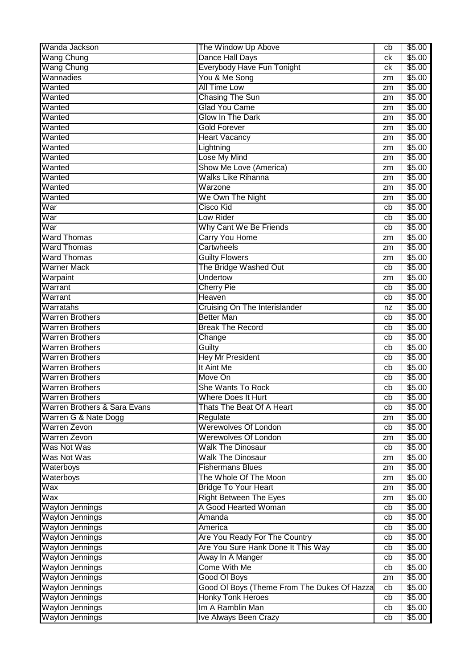| Wanda Jackson                                    | The Window Up Above                          | cb       | \$5.00           |
|--------------------------------------------------|----------------------------------------------|----------|------------------|
| <b>Wang Chung</b>                                | <b>Dance Hall Days</b>                       | сk       | \$5.00           |
| <b>Wang Chung</b>                                | Everybody Have Fun Tonight                   | сk       | \$5.00           |
| Wannadies                                        | You & Me Song                                | zm       | \$5.00           |
| Wanted                                           | <b>All Time Low</b>                          | zm       | \$5.00           |
| Wanted                                           | <b>Chasing The Sun</b>                       | zm       | \$5.00           |
| Wanted                                           | <b>Glad You Came</b>                         | zm       | \$5.00           |
| Wanted                                           | <b>Glow In The Dark</b>                      | zm       | \$5.00           |
| Wanted                                           | <b>Gold Forever</b>                          | zm       | \$5.00           |
| Wanted                                           | <b>Heart Vacancy</b>                         | zm       | \$5.00           |
| Wanted                                           | Lightning                                    | zm       | \$5.00           |
| Wanted                                           | Lose My Mind                                 | zm       | \$5.00           |
| Wanted                                           | Show Me Love (America)                       | zm       | \$5.00           |
| Wanted                                           | <b>Walks Like Rihanna</b>                    | zm       | \$5.00           |
| Wanted                                           | Warzone                                      | zm       | \$5.00           |
| Wanted                                           | We Own The Night                             | zm       | \$5.00           |
| War                                              | <b>Cisco Kid</b>                             | cb       | \$5.00           |
| War                                              | Low Rider                                    | cb       | \$5.00           |
| War                                              | Why Cant We Be Friends                       | cb       | \$5.00           |
| <b>Ward Thomas</b>                               | Carry You Home                               | zm       | \$5.00           |
| <b>Ward Thomas</b>                               | <b>Cartwheels</b>                            | zm       | \$5.00           |
| <b>Ward Thomas</b>                               | <b>Guilty Flowers</b>                        | zm       | \$5.00           |
| Warner Mack                                      | The Bridge Washed Out                        | cb       | \$5.00           |
| Warpaint                                         | <b>Undertow</b>                              | zm       | \$5.00           |
| Warrant                                          | <b>Cherry Pie</b>                            | cb       | \$5.00           |
| Warrant                                          | Heaven                                       | cb       | \$5.00           |
| Warratahs                                        | Cruising On The Interislander                | nz       | \$5.00           |
| <b>Warren Brothers</b>                           | <b>Better Man</b>                            | cb       | \$5.00           |
| <b>Warren Brothers</b>                           | <b>Break The Record</b>                      | cb       | \$5.00           |
|                                                  |                                              |          |                  |
|                                                  |                                              | cb       |                  |
| <b>Warren Brothers</b><br><b>Warren Brothers</b> | Change                                       | cb       | \$5.00           |
|                                                  | Guilty                                       | cb       | \$5.00           |
| <b>Warren Brothers</b>                           | <b>Hey Mr President</b><br>It Aint Me        |          | \$5.00           |
| <b>Warren Brothers</b><br><b>Warren Brothers</b> | Move On                                      | cb<br>cb | \$5.00           |
| <b>Warren Brothers</b>                           | She Wants To Rock                            | cb       | \$5.00           |
|                                                  | <b>Where Does It Hurt</b>                    |          | \$5.00           |
| <b>Warren Brothers</b>                           | Thats The Beat Of A Heart                    | cb<br>cb | \$5.00           |
| Warren Brothers & Sara Evans                     |                                              | zm       | \$5.00           |
| Warren G & Nate Dogg<br>Warren Zevon             | Regulate<br><b>Werewolves Of London</b>      | cb       | \$5.00           |
|                                                  |                                              | zm       | \$5.00           |
| <b>Warren Zevon</b>                              | <b>Werewolves Of London</b>                  | cb       | \$5.00           |
| Was Not Was                                      | <b>Walk The Dinosaur</b>                     | zm       | \$5.00           |
| Was Not Was                                      | <b>Walk The Dinosaur</b>                     |          | \$5.00           |
| Waterboys                                        | <b>Fishermans Blues</b>                      | zm       | \$5.00           |
| Waterboys                                        | The Whole Of The Moon                        | zm       | \$5.00           |
| Wax                                              | <b>Bridge To Your Heart</b>                  | zm       | \$5.00           |
| Wax                                              | <b>Right Between The Eyes</b>                | zm       | \$5.00           |
| <b>Waylon Jennings</b>                           | A Good Hearted Woman                         | cb       | \$5.00           |
| Waylon Jennings                                  | Amanda<br>America                            | cb<br>cb | \$5.00           |
| <b>Waylon Jennings</b>                           |                                              | cb       | \$5.00           |
| Waylon Jennings                                  | Are You Ready For The Country                | cb       | \$5.00           |
| Waylon Jennings                                  | Are You Sure Hank Done It This Way           | cb       | \$5.00           |
| Waylon Jennings                                  | Away In A Manger                             |          | \$5.00           |
| <b>Waylon Jennings</b>                           | Come With Me                                 | cb       | \$5.00           |
| Waylon Jennings                                  | Good OI Boys                                 | zm       | \$5.00           |
| Waylon Jennings                                  | Good OI Boys (Theme From The Dukes Of Hazza  | cb       | \$5.00           |
| <b>Waylon Jennings</b><br>Waylon Jennings        | <b>Honky Tonk Heroes</b><br>Im A Ramblin Man | cb<br>cb | \$5.00<br>\$5.00 |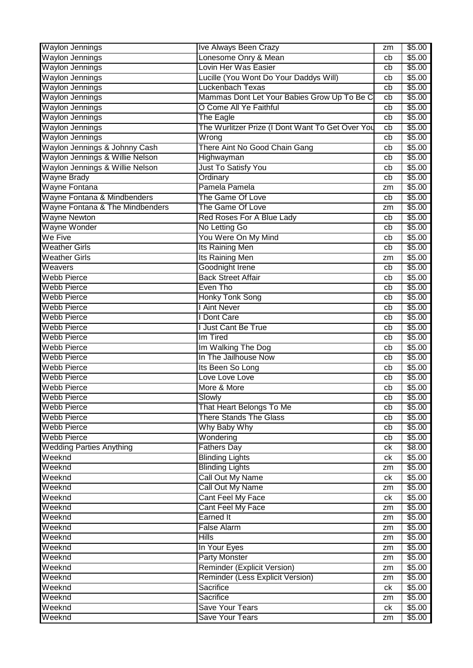| <b>Waylon Jennings</b>          | Ive Always Been Crazy                            | zm | \$5.00 |
|---------------------------------|--------------------------------------------------|----|--------|
| <b>Waylon Jennings</b>          | Lonesome Onry & Mean                             | cb | \$5.00 |
| <b>Waylon Jennings</b>          | Lovin Her Was Easier                             | cb | \$5.00 |
| <b>Waylon Jennings</b>          | Lucille (You Wont Do Your Daddys Will)           | cb | \$5.00 |
| <b>Waylon Jennings</b>          | Luckenbach Texas                                 | cb | \$5.00 |
| Waylon Jennings                 | Mammas Dont Let Your Babies Grow Up To Be C      | cb | \$5.00 |
| <b>Waylon Jennings</b>          | O Come All Ye Faithful                           | cb | \$5.00 |
| <b>Waylon Jennings</b>          | <b>The Eagle</b>                                 | cb | \$5.00 |
| <b>Waylon Jennings</b>          | The Wurlitzer Prize (I Dont Want To Get Over You | cb | \$5.00 |
| <b>Waylon Jennings</b>          | Wrong                                            | cb | \$5.00 |
| Waylon Jennings & Johnny Cash   | There Aint No Good Chain Gang                    | cb | \$5.00 |
| Waylon Jennings & Willie Nelson | Highwayman                                       | cb | \$5.00 |
| Waylon Jennings & Willie Nelson | Just To Satisfy You                              | cb | \$5.00 |
| <b>Wayne Brady</b>              | Ordinary                                         | cb | \$5.00 |
| Wayne Fontana                   | Pamela Pamela                                    | zm | \$5.00 |
| Wayne Fontana & Mindbenders     | The Game Of Love                                 | cb | \$5.00 |
| Wayne Fontana & The Mindbenders | The Game Of Love                                 | zm | \$5.00 |
| <b>Wayne Newton</b>             | Red Roses For A Blue Lady                        | cb | \$5.00 |
| Wayne Wonder                    | No Letting Go                                    | cb | \$5.00 |
| We Five                         | You Were On My Mind                              | cb | \$5.00 |
| <b>Weather Girls</b>            | Its Raining Men                                  | cb | \$5.00 |
| <b>Weather Girls</b>            | Its Raining Men                                  | zm | \$5.00 |
| Weavers                         | Goodnight Irene                                  | cb | \$5.00 |
| <b>Webb Pierce</b>              | <b>Back Street Affair</b>                        | cb | \$5.00 |
| <b>Webb Pierce</b>              | Even Tho                                         | cb | \$5.00 |
| <b>Webb Pierce</b>              | <b>Honky Tonk Song</b>                           | cb | \$5.00 |
| <b>Webb Pierce</b>              | I Aint Never                                     | cb | \$5.00 |
| <b>Webb Pierce</b>              | I Dont Care                                      | cb | \$5.00 |
| <b>Webb Pierce</b>              | <b>I Just Cant Be True</b>                       | cb | \$5.00 |
| <b>Webb Pierce</b>              | Im Tired                                         | cb | \$5.00 |
| <b>Webb Pierce</b>              | Im Walking The Dog                               | cb | \$5.00 |
| <b>Webb Pierce</b>              | In The Jailhouse Now                             | cb | \$5.00 |
| <b>Webb Pierce</b>              | Its Been So Long                                 | cb | \$5.00 |
| <b>Webb Pierce</b>              | Love Love Love                                   | cb | \$5.00 |
| <b>Webb Pierce</b>              | More & More                                      | cb | \$5.00 |
| <b>Webb Pierce</b>              | Slowly                                           | cb | \$5.00 |
| <b>Webb Pierce</b>              | That Heart Belongs To Me                         | cb | \$5.00 |
| <b>Webb Pierce</b>              | <b>There Stands The Glass</b>                    | cb | \$5.00 |
| <b>Webb Pierce</b>              | Why Baby Why                                     | cb | \$5.00 |
| <b>Webb Pierce</b>              | Wondering                                        | cb | \$5.00 |
| <b>Wedding Parties Anything</b> | <b>Fathers Day</b>                               | ck | \$8.00 |
| Weeknd                          | <b>Blinding Lights</b>                           | ck | \$5.00 |
| Weeknd                          | <b>Blinding Lights</b>                           | zm | \$5.00 |
| Weeknd                          | Call Out My Name                                 | ck | \$5.00 |
| Weeknd                          | Call Out My Name                                 | zm | \$5.00 |
| Weeknd                          | Cant Feel My Face                                | ck | \$5.00 |
| Weeknd                          | Cant Feel My Face                                | zm | \$5.00 |
| Weeknd                          | Earned It                                        | zm | \$5.00 |
| Weeknd                          | <b>False Alarm</b>                               | zm | \$5.00 |
| Weeknd                          | <b>Hills</b>                                     | zm | \$5.00 |
| Weeknd                          | In Your Eyes                                     | zm | \$5.00 |
| Weeknd                          | <b>Party Monster</b>                             | zm | \$5.00 |
| Weeknd                          | <b>Reminder (Explicit Version)</b>               | zm | \$5.00 |
| Weeknd                          | Reminder (Less Explicit Version)                 | zm | \$5.00 |
| Weeknd                          | Sacrifice                                        | ck | \$5.00 |
| Weeknd                          | Sacrifice                                        | zm | \$5.00 |
| Weeknd                          | <b>Save Your Tears</b>                           | ck | \$5.00 |
| Weeknd                          | <b>Save Your Tears</b>                           | zm | \$5.00 |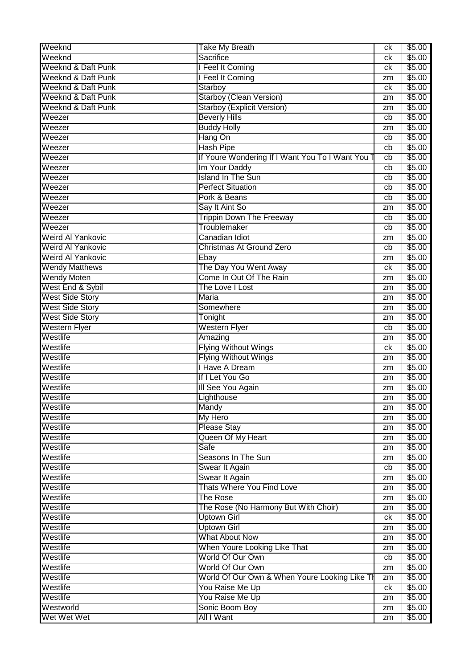| Weeknd                        | <b>Take My Breath</b>                          | ck | \$5.00 |
|-------------------------------|------------------------------------------------|----|--------|
| Weeknd                        | Sacrifice                                      | ck | \$5.00 |
| <b>Weeknd &amp; Daft Punk</b> | I Feel It Coming                               | ck | \$5.00 |
| <b>Weeknd &amp; Daft Punk</b> | I Feel It Coming                               | zm | \$5.00 |
| Weeknd & Daft Punk            | Starboy                                        | ck | \$5.00 |
| Weeknd & Daft Punk            | Starboy (Clean Version)                        | zm | \$5.00 |
| Weeknd & Daft Punk            | <b>Starboy (Explicit Version)</b>              | zm | \$5.00 |
| Weezer                        | <b>Beverly Hills</b>                           | cb | \$5.00 |
| Weezer                        | <b>Buddy Holly</b>                             | zm | \$5.00 |
| Weezer                        | Hang On                                        | cb | \$5.00 |
| Weezer                        | <b>Hash Pipe</b>                               | cb | \$5.00 |
| Weezer                        | If Youre Wondering If I Want You To I Want You | cb | \$5.00 |
| Weezer                        | Im Your Daddy                                  | cb | \$5.00 |
| Weezer                        | <b>Island In The Sun</b>                       | cb | \$5.00 |
| Weezer                        | <b>Perfect Situation</b>                       | cb | \$5.00 |
| Weezer                        | Pork & Beans                                   | cb | \$5.00 |
| Weezer                        | Say It Aint So                                 | zm | \$5.00 |
| Weezer                        | <b>Trippin Down The Freeway</b>                | cb | \$5.00 |
| Weezer                        | Troublemaker                                   | cb | \$5.00 |
| Weird Al Yankovic             | Canadian Idiot                                 | zm | \$5.00 |
| <b>Weird Al Yankovic</b>      | Christmas At Ground Zero                       | cb | \$5.00 |
| Weird Al Yankovic             | Ebay                                           | zm | \$5.00 |
| <b>Wendy Matthews</b>         | The Day You Went Away                          | ck | \$5.00 |
| <b>Wendy Moten</b>            | Come In Out Of The Rain                        | zm | \$5.00 |
| West End & Sybil              | The Love I Lost                                | zm | \$5.00 |
| <b>West Side Story</b>        | <b>Maria</b>                                   | zm | \$5.00 |
| <b>West Side Story</b>        | Somewhere                                      | zm | \$5.00 |
| <b>West Side Story</b>        | Tonight                                        | zm | \$5.00 |
| <b>Western Flyer</b>          | <b>Western Flyer</b>                           | cb | \$5.00 |
| Westlife                      | Amazing                                        | zm | \$5.00 |
| Westlife                      | <b>Flying Without Wings</b>                    | ck | \$5.00 |
| Westlife                      | <b>Flying Without Wings</b>                    | zm | \$5.00 |
| Westlife                      | I Have A Dream                                 | zm | \$5.00 |
| Westlife                      | If I Let You Go                                | zm | \$5.00 |
| Westlife                      | III See You Again                              | zm | \$5.00 |
| Westlife                      | Lighthouse                                     | zm | \$5.00 |
| Westlife                      | Mandy                                          | zm | \$5.00 |
| Westlife                      | My Hero                                        | zm | \$5.00 |
| Westlife                      | <b>Please Stay</b>                             | zm | \$5.00 |
| Westlife                      | Queen Of My Heart                              | zm | \$5.00 |
| Westlife                      | Safe                                           | zm | \$5.00 |
| Westlife                      | Seasons In The Sun                             | zm | \$5.00 |
| Westlife                      | Swear It Again                                 | cb | \$5.00 |
| Westlife                      | Swear It Again                                 | zm | \$5.00 |
| Westlife                      | Thats Where You Find Love                      | zm | \$5.00 |
| Westlife                      | <b>The Rose</b>                                | zm | \$5.00 |
| Westlife                      | The Rose (No Harmony But With Choir)           | zm | \$5.00 |
| Westlife                      | <b>Uptown Girl</b>                             | ck | \$5.00 |
| Westlife                      | <b>Uptown Girl</b>                             | zm | \$5.00 |
| Westlife                      | <b>What About Now</b>                          | zm | \$5.00 |
| Westlife                      | When Youre Looking Like That                   | zm | \$5.00 |
| Westlife                      | World Of Our Own                               | cb | \$5.00 |
| Westlife                      | World Of Our Own                               | zm | \$5.00 |
| Westlife                      | World Of Our Own & When Youre Looking Like TI  | zm | \$5.00 |
| Westlife                      | You Raise Me Up                                | ck | \$5.00 |
| Westlife                      | You Raise Me Up                                | zm | \$5.00 |
| Westworld                     | Sonic Boom Boy                                 | zm | \$5.00 |
| Wet Wet Wet                   | All I Want                                     | zm | \$5.00 |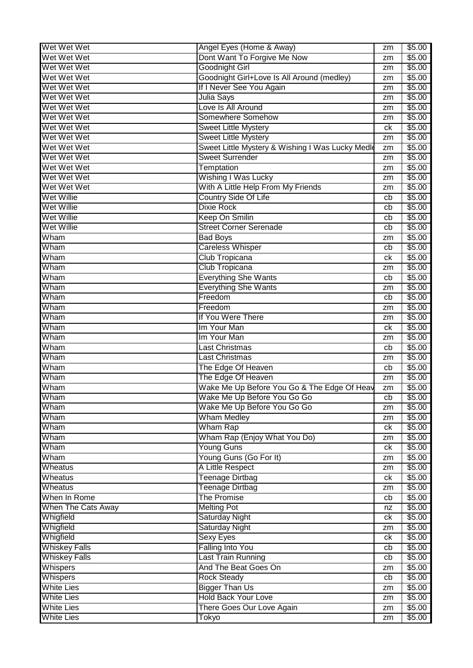| Wet Wet Wet                                  | Angel Eyes (Home & Away)                         | zm | \$5.00           |
|----------------------------------------------|--------------------------------------------------|----|------------------|
| Wet Wet Wet                                  | Dont Want To Forgive Me Now                      | zm | \$5.00           |
| Wet Wet Wet                                  | <b>Goodnight Girl</b>                            | zm | \$5.00           |
| Wet Wet Wet                                  | Goodnight Girl+Love Is All Around (medley)       | zm | \$5.00           |
| Wet Wet Wet                                  | If I Never See You Again                         | zm | \$5.00           |
| Wet Wet Wet                                  | Julia Says                                       | zm | \$5.00           |
| Wet Wet Wet                                  | Love Is All Around                               | zm | \$5.00           |
| Wet Wet Wet                                  | Somewhere Somehow                                | zm | \$5.00           |
| Wet Wet Wet                                  | <b>Sweet Little Mystery</b>                      | ck | \$5.00           |
| Wet Wet Wet                                  | <b>Sweet Little Mystery</b>                      | zm | \$5.00           |
| Wet Wet Wet                                  | Sweet Little Mystery & Wishing I Was Lucky Medle | zm | \$5.00           |
| Wet Wet Wet                                  | <b>Sweet Surrender</b>                           | zm | \$5.00           |
| Wet Wet Wet                                  | Temptation                                       | zm | \$5.00           |
| Wet Wet Wet                                  | Wishing I Was Lucky                              | zm | \$5.00           |
| Wet Wet Wet                                  | With A Little Help From My Friends               | zm | \$5.00           |
| <b>Wet Willie</b>                            | <b>Country Side Of Life</b>                      | cb | \$5.00           |
| Wet Willie                                   | <b>Dixie Rock</b>                                | cb | \$5.00           |
| <b>Wet Willie</b>                            | <b>Keep On Smilin</b>                            | cb | \$5.00           |
| Wet Willie                                   | <b>Street Corner Serenade</b>                    | cb | \$5.00           |
| Wham                                         | <b>Bad Boys</b>                                  | zm | \$5.00           |
| Wham                                         | <b>Careless Whisper</b>                          | cb | \$5.00           |
| Wham                                         | Club Tropicana                                   | сk | \$5.00           |
| Wham                                         | Club Tropicana                                   | zm | \$5.00           |
| Wham                                         | <b>Everything She Wants</b>                      | cb | \$5.00           |
| Wham                                         | <b>Everything She Wants</b>                      | zm | \$5.00           |
| Wham                                         | Freedom                                          | cb | \$5.00           |
| Wham                                         | Freedom                                          | zm | \$5.00           |
| Wham                                         | If You Were There                                | zm | \$5.00           |
| Wham                                         | Im Your Man                                      | сk | \$5.00           |
| Wham                                         | Im Your Man                                      | zm | \$5.00           |
| Wham                                         | <b>Last Christmas</b>                            | cb | \$5.00           |
| Wham                                         | Last Christmas                                   | zm | \$5.00           |
| Wham                                         | The Edge Of Heaven                               | cb | \$5.00           |
| Wham                                         | The Edge Of Heaven                               | zm | \$5.00           |
| Wham                                         | Wake Me Up Before You Go & The Edge Of Heav      | zm | \$5.00           |
| Wham                                         | Wake Me Up Before You Go Go                      | cb | \$5.00           |
| Wham                                         | Wake Me Up Before You Go Go                      | zm | \$5.00           |
| Wham                                         | <b>Wham Medley</b>                               | zm | \$5.00           |
| Wham                                         | <b>Wham Rap</b>                                  | ck | \$5.00           |
| Wham                                         | Wham Rap (Enjoy What You Do)                     | zm | \$5.00           |
| Wham                                         | <b>Young Guns</b>                                | ck | \$5.00           |
| Wham                                         | Young Guns (Go For It)                           | zm | \$5.00           |
| Wheatus                                      | A Little Respect                                 | zm | \$5.00           |
| Wheatus                                      | <b>Teenage Dirtbag</b>                           | ck | \$5.00           |
| Wheatus                                      | <b>Teenage Dirtbag</b>                           | zm | \$5.00           |
| When In Rome                                 | <b>The Promise</b>                               | cb | \$5.00           |
| When The Cats Away                           | <b>Melting Pot</b>                               | nz | \$5.00           |
| Whigfield                                    | <b>Saturday Night</b>                            | ck | \$5.00           |
|                                              | <b>Saturday Night</b>                            |    | \$5.00           |
| Whigfield                                    |                                                  | zm |                  |
| Whigfield                                    | <b>Sexy Eyes</b>                                 | ck | \$5.00           |
| <b>Whiskey Falls</b><br><b>Whiskey Falls</b> | <b>Falling Into You</b><br>Last Train Running    | cb | \$5.00<br>\$5.00 |
|                                              | And The Beat Goes On                             | cb |                  |
| Whispers                                     |                                                  | zm | \$5.00           |
| <b>Whispers</b>                              | <b>Rock Steady</b>                               | cb | \$5.00           |
| <b>White Lies</b>                            | <b>Bigger Than Us</b>                            | zm | \$5.00           |
| <b>White Lies</b>                            | <b>Hold Back Your Love</b>                       | zm | \$5.00           |
| <b>White Lies</b>                            | There Goes Our Love Again                        | zm | \$5.00           |
| <b>White Lies</b>                            | Tokyo                                            | zm | \$5.00           |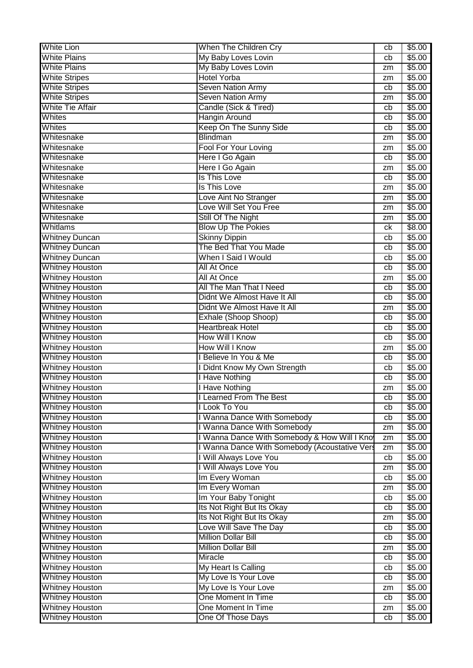| <b>White Lion</b>       | When The Children Cry                         | cb | \$5.00 |
|-------------------------|-----------------------------------------------|----|--------|
| <b>White Plains</b>     | My Baby Loves Lovin                           | cb | \$5.00 |
| <b>White Plains</b>     | My Baby Loves Lovin                           | zm | \$5.00 |
| <b>White Stripes</b>    | <b>Hotel Yorba</b>                            | zm | \$5.00 |
| <b>White Stripes</b>    | Seven Nation Army                             | cb | \$5.00 |
| <b>White Stripes</b>    | Seven Nation Army                             | zm | \$5.00 |
| <b>White Tie Affair</b> | Candle (Sick & Tired)                         | cb | \$5.00 |
| Whites                  | <b>Hangin Around</b>                          | cb | \$5.00 |
| Whites                  | Keep On The Sunny Side                        | cb | \$5.00 |
| Whitesnake              | <b>Blindman</b>                               | zm | \$5.00 |
| Whitesnake              | Fool For Your Loving                          | zm | \$5.00 |
| Whitesnake              | Here I Go Again                               | cb | \$5.00 |
| Whitesnake              | Here I Go Again                               | zm | \$5.00 |
| Whitesnake              | Is This Love                                  | cb | \$5.00 |
| Whitesnake              | Is This Love                                  | zm | \$5.00 |
| Whitesnake              | Love Aint No Stranger                         | zm | \$5.00 |
| Whitesnake              | Love Will Set You Free                        | zm | \$5.00 |
| Whitesnake              | Still Of The Night                            | zm | \$5.00 |
| Whitlams                | <b>Blow Up The Pokies</b>                     | сk | \$8.00 |
| <b>Whitney Duncan</b>   | <b>Skinny Dippin</b>                          | cb | \$5.00 |
| <b>Whitney Duncan</b>   | The Bed That You Made                         | cb | \$5.00 |
| <b>Whitney Duncan</b>   | When I Said I Would                           | cb | \$5.00 |
| <b>Whitney Houston</b>  | All At Once                                   | cb | \$5.00 |
| <b>Whitney Houston</b>  | All At Once                                   | zm | \$5.00 |
| <b>Whitney Houston</b>  | All The Man That I Need                       | cb | \$5.00 |
| <b>Whitney Houston</b>  | Didnt We Almost Have It All                   | cb | \$5.00 |
| <b>Whitney Houston</b>  | Didnt We Almost Have It All                   | zm | \$5.00 |
| <b>Whitney Houston</b>  | Exhale (Shoop Shoop)                          | cb | \$5.00 |
| <b>Whitney Houston</b>  | <b>Heartbreak Hotel</b>                       | cb | \$5.00 |
| <b>Whitney Houston</b>  | <b>How Will I Know</b>                        | cb | \$5.00 |
| <b>Whitney Houston</b>  | <b>How Will I Know</b>                        | zm | \$5.00 |
| <b>Whitney Houston</b>  | I Believe In You & Me                         | cb | \$5.00 |
| <b>Whitney Houston</b>  | I Didnt Know My Own Strength                  | cb | \$5.00 |
| <b>Whitney Houston</b>  | <b>I Have Nothing</b>                         | cb | \$5.00 |
| <b>Whitney Houston</b>  | I Have Nothing                                | zm | \$5.00 |
| <b>Whitney Houston</b>  | I Learned From The Best                       | cb | \$5.00 |
| <b>Whitney Houston</b>  | I Look To You                                 | cb | \$5.00 |
| <b>Whitney Houston</b>  | I Wanna Dance With Somebody                   | cb | \$5.00 |
| <b>Whitney Houston</b>  | I Wanna Dance With Somebody                   | zm | \$5.00 |
| <b>Whitney Houston</b>  | I Wanna Dance With Somebody & How Will I Kno  | zm | \$5.00 |
| <b>Whitney Houston</b>  | I Wanna Dance With Somebody (Acoustative Vers | zm | \$5.00 |
| <b>Whitney Houston</b>  | I Will Always Love You                        | cb | \$5.00 |
| <b>Whitney Houston</b>  | I Will Always Love You                        | zm | \$5.00 |
| <b>Whitney Houston</b>  | Im Every Woman                                | cb | \$5.00 |
| <b>Whitney Houston</b>  | Im Every Woman                                | zm | \$5.00 |
| <b>Whitney Houston</b>  | Im Your Baby Tonight                          | cb | \$5.00 |
| <b>Whitney Houston</b>  | Its Not Right But Its Okay                    | cb | \$5.00 |
| <b>Whitney Houston</b>  | Its Not Right But Its Okay                    | zm | \$5.00 |
| <b>Whitney Houston</b>  | Love Will Save The Day                        | cb | \$5.00 |
| <b>Whitney Houston</b>  | <b>Million Dollar Bill</b>                    | cb | \$5.00 |
| <b>Whitney Houston</b>  | <b>Million Dollar Bill</b>                    | zm | \$5.00 |
| <b>Whitney Houston</b>  | Miracle                                       | cb | \$5.00 |
| <b>Whitney Houston</b>  | My Heart Is Calling                           | cb | \$5.00 |
| <b>Whitney Houston</b>  | My Love Is Your Love                          | cb | \$5.00 |
| <b>Whitney Houston</b>  | My Love Is Your Love                          | zm | \$5.00 |
| <b>Whitney Houston</b>  | One Moment In Time                            | cb | \$5.00 |
| <b>Whitney Houston</b>  | One Moment In Time                            | zm | \$5.00 |
| <b>Whitney Houston</b>  | One Of Those Days                             | cb | \$5.00 |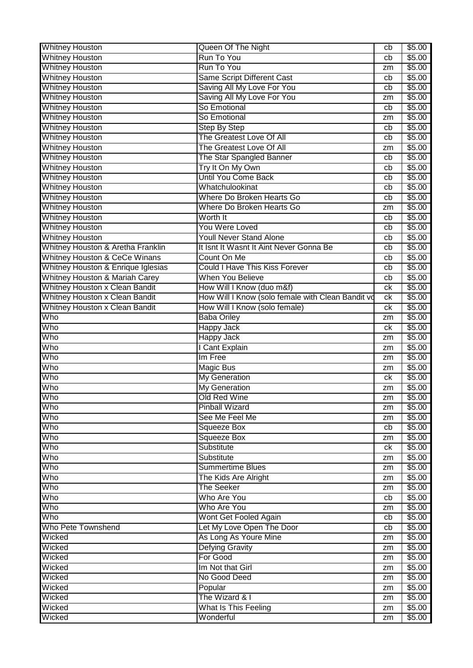| <b>Whitney Houston</b>                    | Queen Of The Night                                | cb | \$5.00             |
|-------------------------------------------|---------------------------------------------------|----|--------------------|
| <b>Whitney Houston</b>                    | Run To You                                        | cb | \$5.00             |
| <b>Whitney Houston</b>                    | Run To You                                        | zm | \$5.00             |
| <b>Whitney Houston</b>                    | Same Script Different Cast                        | cb | \$5.00             |
| <b>Whitney Houston</b>                    | Saving All My Love For You                        | cb | \$5.00             |
| <b>Whitney Houston</b>                    | Saving All My Love For You                        | zm | \$5.00             |
| <b>Whitney Houston</b>                    | So Emotional                                      | cb | \$5.00             |
| <b>Whitney Houston</b>                    | So Emotional                                      | zm | \$5.00             |
| <b>Whitney Houston</b>                    | <b>Step By Step</b>                               | cb | \$5.00             |
| <b>Whitney Houston</b>                    | The Greatest Love Of All                          | cb | \$5.00             |
| <b>Whitney Houston</b>                    | The Greatest Love Of All                          | zm | \$5.00             |
| <b>Whitney Houston</b>                    | The Star Spangled Banner                          | cb | \$5.00             |
| <b>Whitney Houston</b>                    | Try It On My Own                                  | cb | \$5.00             |
| <b>Whitney Houston</b>                    | <b>Until You Come Back</b>                        | cb | \$5.00             |
| <b>Whitney Houston</b>                    | Whatchulookinat                                   | cb | \$5.00             |
| <b>Whitney Houston</b>                    | Where Do Broken Hearts Go                         | cb | \$5.00             |
| <b>Whitney Houston</b>                    | Where Do Broken Hearts Go                         | zm | \$5.00             |
| <b>Whitney Houston</b>                    | Worth It                                          | cb | \$5.00             |
| <b>Whitney Houston</b>                    | You Were Loved                                    | cb | \$5.00             |
| <b>Whitney Houston</b>                    | <b>Youll Never Stand Alone</b>                    | cb | \$5.00             |
| Whitney Houston & Aretha Franklin         | It Isnt It Wasnt It Aint Never Gonna Be           | cb | \$5.00             |
| <b>Whitney Houston &amp; CeCe Winans</b>  | Count On Me                                       | cb | \$5.00             |
| Whitney Houston & Enrique Iglesias        | <b>Could I Have This Kiss Forever</b>             | cb | \$5.00             |
| <b>Whitney Houston &amp; Mariah Carey</b> | <b>When You Believe</b>                           | cb | \$5.00             |
| <b>Whitney Houston x Clean Bandit</b>     | How Will I Know (duo m&f)                         | ck | \$5.00             |
| <b>Whitney Houston x Clean Bandit</b>     | How Will I Know (solo female with Clean Bandit vo | ck | \$5.00             |
| <b>Whitney Houston x Clean Bandit</b>     | How Will I Know (solo female)                     | ck | \$5.00             |
| Who                                       | <b>Baba Oriley</b>                                | zm | \$5.00             |
| Who                                       | Happy Jack                                        | ck | \$5.00             |
| Who                                       | Happy Jack                                        | zm | \$5.00             |
| Who                                       | <b>Cant Explain</b>                               | zm | $\overline{$}5.00$ |
| Who                                       | Im Free                                           | zm | \$5.00             |
| Who                                       | Magic Bus                                         | zm | \$5.00             |
| Who                                       | <b>My Generation</b>                              | ck | \$5.00             |
| Who                                       | <b>My Generation</b>                              | zm | \$5.00             |
| Who                                       | Old Red Wine                                      | zm | \$5.00             |
| Who                                       | <b>Pinball Wizard</b>                             | zm | \$5.00             |
| Who                                       | See Me Feel Me                                    | zm | \$5.00             |
| Who                                       | <b>Squeeze Box</b>                                | cb | \$5.00             |
| Who                                       | <b>Squeeze Box</b>                                | zm | \$5.00             |
| Who                                       | Substitute                                        | ck | \$5.00             |
| Who                                       | Substitute                                        | zm | \$5.00             |
| Who                                       | <b>Summertime Blues</b>                           | zm | \$5.00             |
| Who                                       | The Kids Are Alright                              | zm | \$5.00             |
| Who                                       | The Seeker                                        | zm | \$5.00             |
| Who                                       | Who Are You                                       | cb | \$5.00             |
| Who                                       | Who Are You                                       | zm | \$5.00             |
| Who                                       | Wont Get Fooled Again                             | cb | \$5.00             |
| Who Pete Townshend                        | Let My Love Open The Door                         | cb | \$5.00             |
| Wicked                                    | As Long As Youre Mine                             | zm | \$5.00             |
| Wicked                                    | <b>Defying Gravity</b>                            | zm | \$5.00             |
| Wicked                                    | For Good                                          | zm | \$5.00             |
| Wicked                                    | Im Not that Girl                                  | zm | \$5.00             |
| Wicked                                    | No Good Deed                                      | zm | \$5.00             |
| Wicked                                    | Popular                                           | zm | \$5.00             |
| Wicked                                    | The Wizard & I                                    | zm | \$5.00             |
| Wicked                                    | What Is This Feeling                              | zm | \$5.00             |
| Wicked                                    | Wonderful                                         | zm | \$5.00             |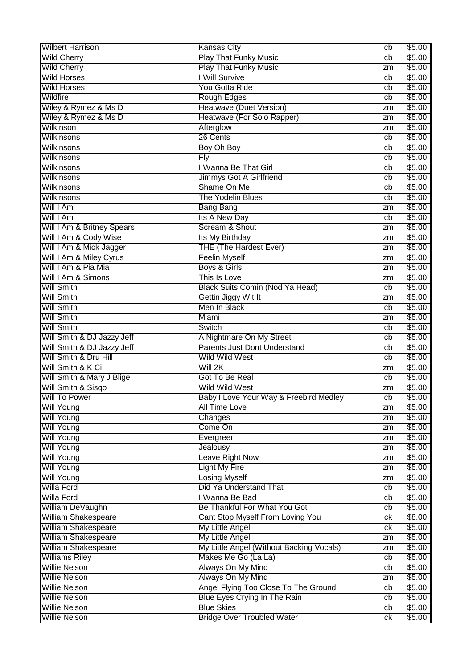| <b>Wilbert Harrison</b>    | <b>Kansas City</b>                       | cb | \$5.00 |
|----------------------------|------------------------------------------|----|--------|
| <b>Wild Cherry</b>         | <b>Play That Funky Music</b>             | cb | \$5.00 |
| <b>Wild Cherry</b>         | <b>Play That Funky Music</b>             | zm | \$5.00 |
| <b>Wild Horses</b>         | I Will Survive                           | cb | \$5.00 |
| <b>Wild Horses</b>         | You Gotta Ride                           | cb | \$5.00 |
| Wildfire                   | <b>Rough Edges</b>                       | cb | \$5.00 |
| Wiley & Rymez & Ms D       | Heatwave (Duet Version)                  | zm | \$5.00 |
| Wiley & Rymez & Ms D       | Heatwave (For Solo Rapper)               | zm | \$5.00 |
| Wilkinson                  | Afterglow                                | zm | \$5.00 |
| <b>Wilkinsons</b>          | 26 Cents                                 | cb | \$5.00 |
| Wilkinsons                 | Boy Oh Boy                               | cb | \$5.00 |
| <b>Wilkinsons</b>          | <b>Fly</b>                               | cb | \$5.00 |
| Wilkinsons                 | I Wanna Be That Girl                     | cb | \$5.00 |
| <b>Wilkinsons</b>          |                                          | cb | \$5.00 |
| <b>Wilkinsons</b>          | Jimmys Got A Girlfriend<br>Shame On Me   |    | \$5.00 |
| <b>Wilkinsons</b>          | <b>The Yodelin Blues</b>                 | cb |        |
|                            |                                          | cb | \$5.00 |
| Will I Am                  | <b>Bang Bang</b>                         | zm | \$5.00 |
| Will I Am                  | Its A New Day                            | cb | \$5.00 |
| Will I Am & Britney Spears | Scream & Shout                           | zm | \$5.00 |
| Will I Am & Cody Wise      | Its My Birthday                          | zm | \$5.00 |
| Will I Am & Mick Jagger    | <b>THE (The Hardest Ever)</b>            | zm | \$5.00 |
| Will I Am & Miley Cyrus    | <b>Feelin Myself</b>                     | zm | \$5.00 |
| Will I Am & Pia Mia        | Boys & Girls                             | zm | \$5.00 |
| Will I Am & Simons         | This Is Love                             | zm | \$5.00 |
| <b>Will Smith</b>          | <b>Black Suits Comin (Nod Ya Head)</b>   | cb | \$5.00 |
| <b>Will Smith</b>          | Gettin Jiggy Wit It                      | zm | \$5.00 |
| <b>Will Smith</b>          | Men In Black                             | cb | \$5.00 |
| <b>Will Smith</b>          | Miami                                    | zm | \$5.00 |
| <b>Will Smith</b>          | Switch                                   | cb | \$5.00 |
| Will Smith & DJ Jazzy Jeff | A Nightmare On My Street                 | cb | \$5.00 |
| Will Smith & DJ Jazzy Jeff | <b>Parents Just Dont Understand</b>      | cb | \$5.00 |
| Will Smith & Dru Hill      | <b>Wild Wild West</b>                    | cb | \$5.00 |
| Will Smith & K Ci          | Will 2K                                  | zm | \$5.00 |
| Will Smith & Mary J Blige  | Got To Be Real                           | cb | \$5.00 |
| Will Smith & Sisgo         | <b>Wild Wild West</b>                    | zm | \$5.00 |
| Will To Power              | Baby I Love Your Way & Freebird Medley   | cb | \$5.00 |
| <b>Will Young</b>          | All Time Love                            | zm | \$5.00 |
| <b>Will Young</b>          | Changes                                  | zm | \$5.00 |
| <b>Will Young</b>          | Come On                                  | zm | \$5.00 |
| <b>Will Young</b>          | Evergreen                                | zm | \$5.00 |
| <b>Will Young</b>          | Jealousy                                 | zm | \$5.00 |
| <b>Will Young</b>          | Leave Right Now                          | zm | \$5.00 |
| <b>Will Young</b>          | <b>Light My Fire</b>                     | zm | \$5.00 |
| <b>Will Young</b>          | <b>Losing Myself</b>                     | zm | \$5.00 |
| Willa Ford                 | Did Ya Understand That                   | cb | \$5.00 |
| Willa Ford                 | I Wanna Be Bad                           | cb | \$5.00 |
| William DeVaughn           | Be Thankful For What You Got             | cb | \$5.00 |
| <b>William Shakespeare</b> | Cant Stop Myself From Loving You         | ck | \$8.00 |
| William Shakespeare        | My Little Angel                          | ck | \$5.00 |
| <b>William Shakespeare</b> | My Little Angel                          | zm | \$5.00 |
| <b>William Shakespeare</b> | My Little Angel (Without Backing Vocals) | zm | \$5.00 |
| <b>Williams Riley</b>      | Makes Me Go (La La)                      | cb | \$5.00 |
| <b>Willie Nelson</b>       | Always On My Mind                        | cb | \$5.00 |
| Willie Nelson              | Always On My Mind                        | zm | \$5.00 |
| <b>Willie Nelson</b>       | Angel Flying Too Close To The Ground     | cb | \$5.00 |
| <b>Willie Nelson</b>       | Blue Eyes Crying In The Rain             | cb | \$5.00 |
| <b>Willie Nelson</b>       | <b>Blue Skies</b>                        | cb | \$5.00 |
| <b>Willie Nelson</b>       | <b>Bridge Over Troubled Water</b>        | ck | \$5.00 |
|                            |                                          |    |        |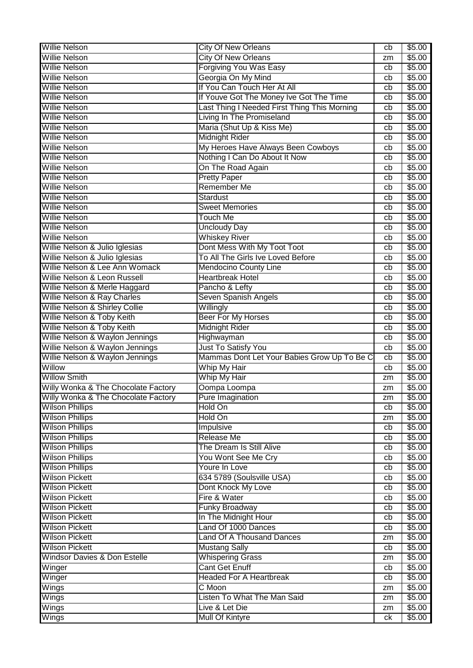| <b>Willie Nelson</b>                    | <b>City Of New Orleans</b>                   | cb       | \$5.00           |
|-----------------------------------------|----------------------------------------------|----------|------------------|
| <b>Willie Nelson</b>                    | <b>City Of New Orleans</b>                   | zm       | $\sqrt{$5.00}$   |
| Willie Nelson                           | <b>Forgiving You Was Easy</b>                | cb       | \$5.00           |
| <b>Willie Nelson</b>                    | Georgia On My Mind                           | cb       | \$5.00           |
| <b>Willie Nelson</b>                    | If You Can Touch Her At All                  | cb       | \$5.00           |
| <b>Willie Nelson</b>                    | If Youve Got The Money Ive Got The Time      | cb       | \$5.00           |
| <b>Willie Nelson</b>                    | Last Thing I Needed First Thing This Morning | cb       | \$5.00           |
| <b>Willie Nelson</b>                    | Living In The Promiseland                    | cb       | \$5.00           |
| <b>Willie Nelson</b>                    | Maria (Shut Up & Kiss Me)                    | cb       | \$5.00           |
| <b>Willie Nelson</b>                    | <b>Midnight Rider</b>                        | cb       | \$5.00           |
| <b>Willie Nelson</b>                    | My Heroes Have Always Been Cowboys           | cb       | \$5.00           |
| <b>Willie Nelson</b>                    | Nothing I Can Do About It Now                | cb       | \$5.00           |
| <b>Willie Nelson</b>                    | On The Road Again                            | cb       | \$5.00           |
| <b>Willie Nelson</b>                    | <b>Pretty Paper</b>                          | cb       | \$5.00           |
| <b>Willie Nelson</b>                    | Remember Me                                  | cb       | \$5.00           |
| <b>Willie Nelson</b>                    | <b>Stardust</b>                              | cb       | \$5.00           |
| <b>Willie Nelson</b>                    | Sweet Memories                               | cb       | \$5.00           |
| Willie Nelson                           | Touch Me                                     | cb       | \$5.00           |
| <b>Willie Nelson</b>                    | <b>Uncloudy Day</b>                          | cb       | \$5.00           |
| <b>Willie Nelson</b>                    | <b>Whiskey River</b>                         | cb       | \$5.00           |
| Willie Nelson & Julio Iglesias          | Dont Mess With My Toot Toot                  | cb       | \$5.00           |
| Willie Nelson & Julio Iglesias          | To All The Girls Ive Loved Before            | cb       | \$5.00           |
| Willie Nelson & Lee Ann Womack          | Mendocino County Line                        | cb       | \$5.00           |
| Willie Nelson & Leon Russell            | <b>Heartbreak Hotel</b>                      | cb       | \$5.00           |
| Willie Nelson & Merle Haggard           | Pancho & Lefty                               | cb       | \$5.00           |
| <b>Willie Nelson &amp; Ray Charles</b>  | Seven Spanish Angels                         | cb       | \$5.00           |
| Willie Nelson & Shirley Collie          | Willingly                                    | cb       | \$5.00           |
| Willie Nelson & Toby Keith              | <b>Beer For My Horses</b>                    | cb       | \$5.00           |
| Willie Nelson & Toby Keith              | <b>Midnight Rider</b>                        | cb       | \$5.00           |
|                                         |                                              |          |                  |
| Willie Nelson & Waylon Jennings         | Highwayman                                   | cb       | \$5.00           |
| Willie Nelson & Waylon Jennings         | Just To Satisfy You                          | cb       | \$5.00           |
| Willie Nelson & Waylon Jennings         | Mammas Dont Let Your Babies Grow Up To Be C  | cb       | \$5.00           |
| Willow                                  | Whip My Hair                                 | cb       | \$5.00           |
| <b>Willow Smith</b>                     | Whip My Hair                                 | zm       | \$5.00           |
| Willy Wonka & The Chocolate Factory     | Oompa Loompa                                 | zm       | \$5.00           |
| Willy Wonka & The Chocolate Factory     | Pure Imagination                             | zm       | \$5.00           |
| <b>Wilson Phillips</b>                  | Hold On                                      | cb       | \$5.00           |
| <b>Wilson Phillips</b>                  | Hold On                                      | zm       | \$5.00           |
| <b>Wilson Phillips</b>                  | <b>Impulsive</b>                             | cb       | \$5.00           |
| <b>Wilson Phillips</b>                  | <b>Release Me</b>                            | cb       | \$5.00           |
| <b>Wilson Phillips</b>                  | The Dream Is Still Alive                     | cb       | \$5.00           |
| <b>Wilson Phillips</b>                  | You Wont See Me Cry                          | cb       | \$5.00           |
| <b>Wilson Phillips</b>                  | Youre In Love                                | cb       | \$5.00           |
| <b>Wilson Pickett</b>                   | 634 5789 (Soulsville USA)                    | cb       | \$5.00           |
| <b>Wilson Pickett</b>                   | Dont Knock My Love                           | cb       | \$5.00           |
| <b>Wilson Pickett</b>                   | Fire & Water                                 | cb       | \$5.00           |
| <b>Wilson Pickett</b>                   | <b>Funky Broadway</b>                        | cb       | \$5.00           |
| <b>Wilson Pickett</b>                   | In The Midnight Hour                         | cb       | \$5.00           |
| <b>Wilson Pickett</b>                   | Land Of 1000 Dances                          | cb       | \$5.00           |
| <b>Wilson Pickett</b>                   | <b>Land Of A Thousand Dances</b>             | zm       | \$5.00           |
| <b>Wilson Pickett</b>                   | <b>Mustang Sally</b>                         | cb       | \$5.00           |
| <b>Windsor Davies &amp; Don Estelle</b> | <b>Whispering Grass</b>                      | zm       | \$5.00           |
| Winger                                  | <b>Cant Get Enuff</b>                        | cb       | \$5.00           |
| Winger                                  | <b>Headed For A Heartbreak</b>               | cb       | \$5.00           |
| Wings                                   | C Moon                                       | zm       | \$5.00           |
| Wings                                   | Listen To What The Man Said                  | zm       | \$5.00           |
| Wings<br>Wings                          | Live & Let Die<br><b>Mull Of Kintyre</b>     | zm<br>ck | \$5.00<br>\$5.00 |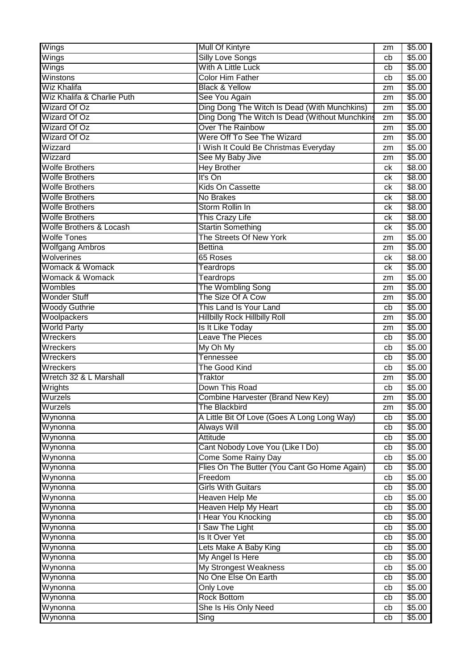| Wings                              | <b>Mull Of Kintyre</b>                         | zm | \$5.00 |
|------------------------------------|------------------------------------------------|----|--------|
| Wings                              | <b>Silly Love Songs</b>                        | cb | \$5.00 |
| Wings                              | With A Little Luck                             | cb | \$5.00 |
| Winstons                           | <b>Color Him Father</b>                        | cb | \$5.00 |
| <b>Wiz Khalifa</b>                 | <b>Black &amp; Yellow</b>                      | zm | \$5.00 |
| Wiz Khalifa & Charlie Puth         | See You Again                                  | zm | \$5.00 |
| Wizard Of Oz                       | Ding Dong The Witch Is Dead (With Munchkins)   | zm | \$5.00 |
| <b>Wizard Of Oz</b>                | Ding Dong The Witch Is Dead (Without Munchkins | zm | \$5.00 |
| <b>Wizard Of Oz</b>                | <b>Over The Rainbow</b>                        | zm | \$5.00 |
| <b>Wizard Of Oz</b>                | Were Off To See The Wizard                     | zm | \$5.00 |
| Wizzard                            | I Wish It Could Be Christmas Everyday          | zm | \$5.00 |
| Wizzard                            | See My Baby Jive                               | zm | \$5.00 |
| <b>Wolfe Brothers</b>              | <b>Hey Brother</b>                             | ck | \$8.00 |
| <b>Wolfe Brothers</b>              | It's On                                        | сk | \$8.00 |
| <b>Wolfe Brothers</b>              | Kids On Cassette                               | сk | \$8.00 |
| <b>Wolfe Brothers</b>              | No Brakes                                      | сk | \$8.00 |
| <b>Wolfe Brothers</b>              | Storm Rollin In                                | сk | \$8.00 |
| <b>Wolfe Brothers</b>              | <b>This Crazy Life</b>                         | сk | \$8.00 |
| <b>Wolfe Brothers &amp; Locash</b> | <b>Startin Something</b>                       | ck | \$5.00 |
| <b>Wolfe Tones</b>                 | The Streets Of New York                        | zm | \$5.00 |
| <b>Wolfgang Ambros</b>             | <b>Bettina</b>                                 | zm | \$5.00 |
| Wolverines                         | 65 Roses                                       | сk | \$8.00 |
| Womack & Womack                    | Teardrops                                      | ck | \$5.00 |
| Womack & Womack                    | Teardrops                                      | zm | \$5.00 |
| Wombles                            | The Wombling Song                              | zm | \$5.00 |
| <b>Wonder Stuff</b>                | The Size Of A Cow                              | zm | \$5.00 |
| <b>Woody Guthrie</b>               | This Land Is Your Land                         | cb | \$5.00 |
| Woolpackers                        | <b>Hillbilly Rock Hillbilly Roll</b>           | zm | \$5.00 |
| <b>World Party</b>                 | Is It Like Today                               | zm | \$5.00 |
| Wreckers                           | <b>Leave The Pieces</b>                        | cb | \$5.00 |
| Wreckers                           | My Oh My                                       | cb | \$5.00 |
| Wreckers                           | Tennessee                                      | cb | \$5.00 |
| Wreckers                           | The Good Kind                                  | cb | \$5.00 |
| Wretch 32 & L Marshall             | Traktor                                        | zm | \$5.00 |
| Wrights                            | Down This Road                                 | cb | \$5.00 |
| Wurzels                            | Combine Harvester (Brand New Key)              | zm | \$5.00 |
| Wurzels                            | The Blackbird                                  | zm | \$5.00 |
| Wynonna                            | A Little Bit Of Love (Goes A Long Long Way)    | cb | \$5.00 |
| Wynonna                            | <b>Always Will</b>                             | cb | \$5.00 |
| Wynonna                            | Attitude                                       | cb | \$5.00 |
| Wynonna                            | Cant Nobody Love You (Like I Do)               | cb | \$5.00 |
| Wynonna                            | <b>Come Some Rainy Day</b>                     | cb | \$5.00 |
| Wynonna                            | Flies On The Butter (You Cant Go Home Again)   | cb | \$5.00 |
| Wynonna                            | Freedom                                        | cb | \$5.00 |
| Wynonna                            | <b>Girls With Guitars</b>                      | cb | \$5.00 |
| Wynonna                            | <b>Heaven Help Me</b>                          | cb | \$5.00 |
| Wynonna                            | <b>Heaven Help My Heart</b>                    | cb | \$5.00 |
| Wynonna                            | I Hear You Knocking                            | cb | \$5.00 |
| Wynonna                            | I Saw The Light                                | cb | \$5.00 |
| Wynonna                            | Is It Over Yet                                 | cb | \$5.00 |
| Wynonna                            | Lets Make A Baby King                          | cb | \$5.00 |
| Wynonna                            | My Angel Is Here                               | cb | \$5.00 |
| Wynonna                            | <b>My Strongest Weakness</b>                   | cb | \$5.00 |
| Wynonna                            | No One Else On Earth                           | cb | \$5.00 |
| Wynonna                            | <b>Only Love</b>                               | cb | \$5.00 |
| Wynonna                            | <b>Rock Bottom</b>                             | cb | \$5.00 |
| Wynonna                            | She Is His Only Need                           | cb | \$5.00 |
| Wynonna                            | Sing                                           | cb | \$5.00 |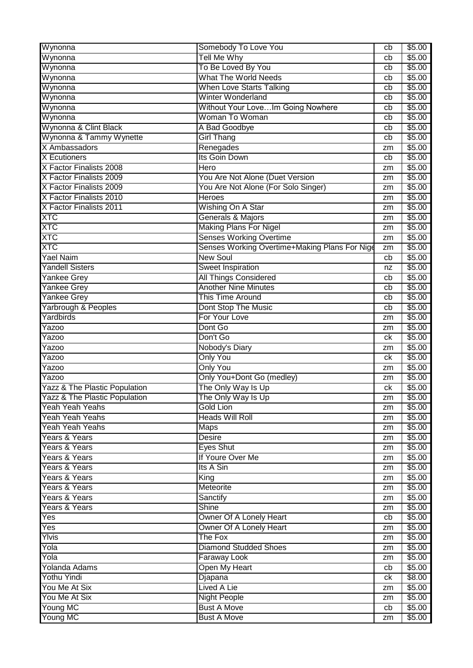| Wynonna                                  | Somebody To Love You                          | cb | \$5.00 |
|------------------------------------------|-----------------------------------------------|----|--------|
| Wynonna                                  | <b>Tell Me Why</b>                            | cb | \$5.00 |
| Wynonna                                  | To Be Loved By You                            | cb | \$5.00 |
| Wynonna                                  | <b>What The World Needs</b>                   | cb | \$5.00 |
| Wynonna                                  | <b>When Love Starts Talking</b>               | cb | \$5.00 |
| Wynonna                                  | <b>Winter Wonderland</b>                      | cb | \$5.00 |
| Wynonna                                  | Without Your LoveIm Going Nowhere             | cb | \$5.00 |
| Wynonna                                  | Woman To Woman                                | cb | \$5.00 |
| Wynonna & Clint Black                    | A Bad Goodbye                                 | cb | \$5.00 |
| Wynonna & Tammy Wynette                  | <b>Girl Thang</b>                             | cb | \$5.00 |
| X Ambassadors                            | Renegades                                     | zm | \$5.00 |
| <b>X</b> Ecutioners                      | Its Goin Down                                 | cb | \$5.00 |
| X Factor Finalists 2008                  | Hero                                          | zm | \$5.00 |
| X Factor Finalists 2009                  | You Are Not Alone (Duet Version               | zm | \$5.00 |
| X Factor Finalists 2009                  | You Are Not Alone (For Solo Singer)           | zm | \$5.00 |
| X Factor Finalists 2010                  | <b>Heroes</b>                                 | zm | \$5.00 |
| X Factor Finalists 2011                  | Wishing On A Star                             | zm | \$5.00 |
| <b>XTC</b>                               | Generals & Majors                             | zm | \$5.00 |
| <b>XTC</b>                               | <b>Making Plans For Nigel</b>                 | zm | \$5.00 |
| <b>XTC</b>                               | <b>Senses Working Overtime</b>                | zm | \$5.00 |
| <b>XTC</b>                               | Senses Working Overtime+Making Plans For Nige | zm | \$5.00 |
| <b>Yael Naim</b>                         | <b>New Soul</b>                               | cb | \$5.00 |
| <b>Yandell Sisters</b>                   | <b>Sweet Inspiration</b>                      | nz | \$5.00 |
| <b>Yankee Grey</b>                       | <b>All Things Considered</b>                  | cb | \$5.00 |
| <b>Yankee Grey</b>                       | <b>Another Nine Minutes</b>                   | cb | \$5.00 |
| <b>Yankee Grey</b>                       | <b>This Time Around</b>                       | cb | \$5.00 |
| Yarbrough & Peoples                      | Dont Stop The Music                           | cb | \$5.00 |
| Yardbirds                                | For Your Love                                 | zm | \$5.00 |
| Yazoo                                    | Dont Go                                       | zm | \$5.00 |
| <b>Yazoo</b>                             | Don't Go                                      | ck | \$5.00 |
| <b>Yazoo</b>                             | Nobody's Diary                                | zm | \$5.00 |
| Yazoo                                    | <b>Only You</b>                               | сk | \$5.00 |
| Yazoo                                    | <b>Only You</b>                               | zm | \$5.00 |
| Yazoo                                    | Only You+Dont Go (medley)                     | zm | \$5.00 |
| <b>Yazz &amp; The Plastic Population</b> | The Only Way Is Up                            | ck | \$5.00 |
| Yazz & The Plastic Population            | The Only Way Is Up                            | zm | \$5.00 |
| Yeah Yeah Yeahs                          | Gold Lion                                     | zm | \$5.00 |
| Yeah Yeah Yeahs                          | <b>Heads Will Roll</b>                        | zm | \$5.00 |
| Yeah Yeah Yeahs                          | <b>Maps</b>                                   | zm | \$5.00 |
| Years & Years                            | <b>Desire</b>                                 | zm | \$5.00 |
| Years & Years                            | <b>Eyes Shut</b>                              | zm | \$5.00 |
| Years & Years                            | If Youre Over Me                              | zm | \$5.00 |
| Years & Years                            | Its A Sin                                     | zm | \$5.00 |
| Years & Years                            | King                                          | zm | \$5.00 |
| Years & Years                            | Meteorite                                     | zm | \$5.00 |
| Years & Years                            | Sanctify                                      | zm | \$5.00 |
| Years & Years                            | <b>Shine</b>                                  | zm | \$5.00 |
| Yes                                      | Owner Of A Lonely Heart                       | cb | \$5.00 |
| Yes                                      | Owner Of A Lonely Heart                       | zm | \$5.00 |
| Ylvis                                    | The Fox                                       | zm | \$5.00 |
| Yola                                     | <b>Diamond Studded Shoes</b>                  | zm | \$5.00 |
| Yola                                     | Faraway Look                                  | zm | \$5.00 |
| Yolanda Adams                            | Open My Heart                                 | cb | \$5.00 |
| <b>Yothu Yindi</b>                       | Djapana                                       | ck | \$8.00 |
| You Me At Six                            | <b>Lived A Lie</b>                            | zm | \$5.00 |
| You Me At Six                            | <b>Night People</b>                           | zm | \$5.00 |
| Young MC                                 | <b>Bust A Move</b>                            | cb | \$5.00 |
| Young MC                                 | <b>Bust A Move</b>                            | zm | \$5.00 |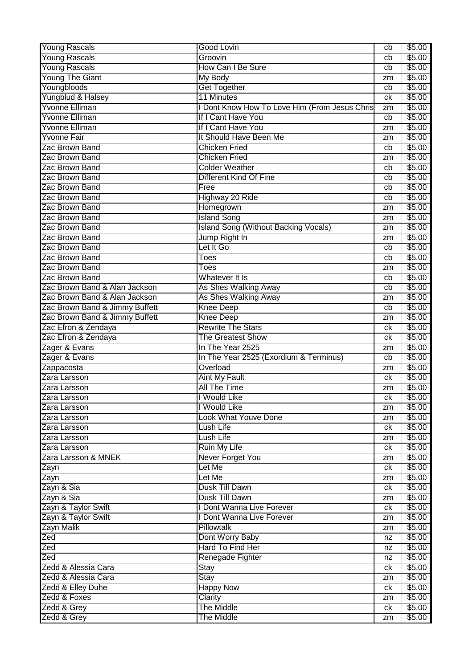| <b>Young Rascals</b>           | <b>Good Lovin</b>                             | cb | \$5.00 |
|--------------------------------|-----------------------------------------------|----|--------|
| <b>Young Rascals</b>           | Groovin                                       | cb | \$5.00 |
| <b>Young Rascals</b>           | How Can I Be Sure                             | cb | \$5.00 |
| <b>Young The Giant</b>         | My Body                                       | zm | \$5.00 |
| Youngbloods                    | <b>Get Together</b>                           | cb | \$5.00 |
| Yungblud & Halsey              | 11 Minutes                                    | ck | \$5.00 |
| Yvonne Elliman                 | I Dont Know How To Love Him (From Jesus Chris | zm | \$5.00 |
| <b>Yvonne Elliman</b>          | If I Cant Have You                            | cb | \$5.00 |
| <b>Yvonne Elliman</b>          | If I Cant Have You                            | zm | \$5.00 |
| <b>Yvonne Fair</b>             | It Should Have Been Me                        | zm | \$5.00 |
| Zac Brown Band                 | <b>Chicken Fried</b>                          | cb | \$5.00 |
| Zac Brown Band                 | <b>Chicken Fried</b>                          | zm | \$5.00 |
| Zac Brown Band                 | <b>Colder Weather</b>                         | cb | \$5.00 |
| Zac Brown Band                 | Different Kind Of Fine                        | cb | \$5.00 |
| Zac Brown Band                 | Free                                          | cb | \$5.00 |
| Zac Brown Band                 | Highway 20 Ride                               | cb | \$5.00 |
| Zac Brown Band                 | Homegrown                                     | zm | \$5.00 |
| Zac Brown Band                 | <b>Island Song</b>                            | zm | \$5.00 |
| Zac Brown Band                 | <b>Island Song (Without Backing Vocals)</b>   | zm | \$5.00 |
| Zac Brown Band                 | Jump Right In                                 | zm | \$5.00 |
| Zac Brown Band                 | Let It Go                                     | cb | \$5.00 |
| Zac Brown Band                 | Toes                                          | cb | \$5.00 |
| Zac Brown Band                 | Toes                                          | zm | \$5.00 |
| Zac Brown Band                 | Whatever It Is                                | cb | \$5.00 |
| Zac Brown Band & Alan Jackson  | As Shes Walking Away                          | cb | \$5.00 |
| Zac Brown Band & Alan Jackson  | As Shes Walking Away                          | zm | \$5.00 |
| Zac Brown Band & Jimmy Buffett | <b>Knee Deep</b>                              | cb | \$5.00 |
| Zac Brown Band & Jimmy Buffett | <b>Knee Deep</b>                              | zm | \$5.00 |
| Zac Efron & Zendaya            | <b>Rewrite The Stars</b>                      | сk | \$5.00 |
| Zac Efron & Zendaya            | <b>The Greatest Show</b>                      | сk | \$5.00 |
| Zager & Evans                  | In The Year 2525                              |    | \$5.00 |
|                                |                                               | zm | \$5.00 |
| Zager & Evans                  | In The Year 2525 (Exordium & Terminus)        | cb |        |
| Zappacosta                     | Overload                                      | zm | \$5.00 |
| Zara Larsson                   | Aint My Fault                                 | сk | \$5.00 |
| Zara Larsson                   | <b>All The Time</b>                           | zm | \$5.00 |
| Zara Larsson                   | I Would Like                                  | ck | \$5.00 |
| Zara Larsson                   | I Would Like                                  | zm | \$5.00 |
| Zara Larsson                   | <b>Look What Youve Done</b>                   | zm | \$5.00 |
| Zara Larsson                   | Lush Life                                     | ck | \$5.00 |
| Zara Larsson                   | Lush Life                                     | zm | \$5.00 |
| Zara Larsson                   | <b>Ruin My Life</b>                           | ck | \$5.00 |
| Zara Larsson & MNEK            | Never Forget You                              | zm | \$5.00 |
| Zayn                           | Let Me                                        | ck | \$5.00 |
| Zayn                           | Let Me                                        | zm | \$5.00 |
| Zayn & Sia                     | Dusk Till Dawn                                | ck | \$5.00 |
| Zayn & Sia                     | Dusk Till Dawn                                | zm | \$5.00 |
| Zayn & Taylor Swift            | I Dont Wanna Live Forever                     | ck | \$5.00 |
| Zayn & Taylor Swift            | I Dont Wanna Live Forever                     | zm | \$5.00 |
| Zayn Malik                     | <b>Pillowtalk</b>                             | zm | \$5.00 |
| Zed                            | Dont Worry Baby                               | nz | \$5.00 |
| Zed                            | Hard To Find Her                              | nz | \$5.00 |
| Zed                            | Renegade Fighter                              | nz | \$5.00 |
| Zedd & Alessia Cara            | Stay                                          | ck | \$5.00 |
| Zedd & Alessia Cara            | <b>Stay</b>                                   | zm | \$5.00 |
| Zedd & Elley Duhe              | <b>Happy Now</b>                              | ck | \$5.00 |
| Zedd & Foxes                   | Clarity                                       | zm | \$5.00 |
| Zedd & Grey                    | The Middle                                    | ck | \$5.00 |
| Zedd & Grey                    | The Middle                                    | zm | \$5.00 |